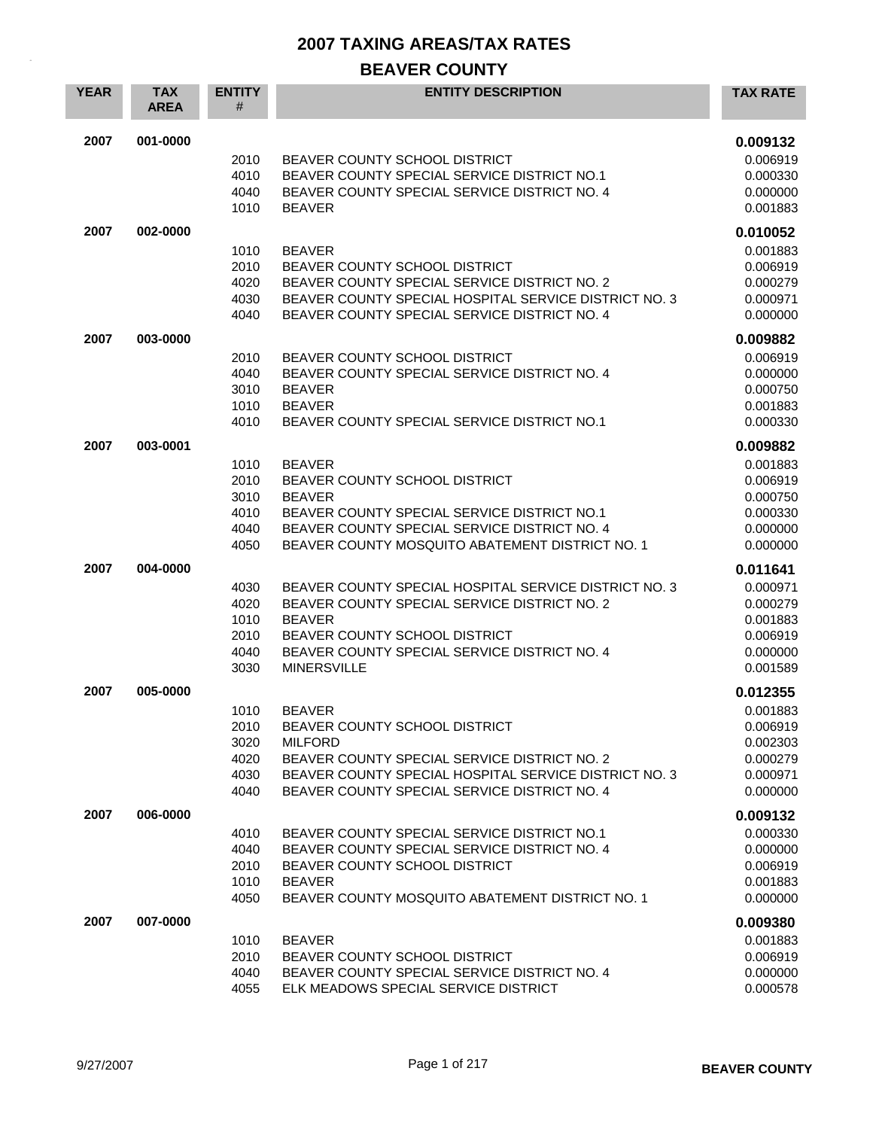### **BEAVER COUNTY**

| <b>YEAR</b> | <b>TAX</b><br><b>AREA</b> | <b>ENTITY</b><br># | <b>ENTITY DESCRIPTION</b>                                                                   | <b>TAX RATE</b>      |
|-------------|---------------------------|--------------------|---------------------------------------------------------------------------------------------|----------------------|
| 2007        | 001-0000                  |                    |                                                                                             | 0.009132             |
|             |                           | 2010               | BEAVER COUNTY SCHOOL DISTRICT                                                               | 0.006919             |
|             |                           | 4010               | BEAVER COUNTY SPECIAL SERVICE DISTRICT NO.1                                                 | 0.000330             |
|             |                           | 4040               | BEAVER COUNTY SPECIAL SERVICE DISTRICT NO. 4                                                | 0.000000             |
|             |                           | 1010               | <b>BEAVER</b>                                                                               | 0.001883             |
| 2007        | 002-0000                  |                    |                                                                                             | 0.010052             |
|             |                           | 1010               | <b>BEAVER</b>                                                                               | 0.001883             |
|             |                           | 2010               | BEAVER COUNTY SCHOOL DISTRICT                                                               | 0.006919             |
|             |                           | 4020               | BEAVER COUNTY SPECIAL SERVICE DISTRICT NO. 2                                                | 0.000279             |
|             |                           | 4030               | BEAVER COUNTY SPECIAL HOSPITAL SERVICE DISTRICT NO. 3                                       | 0.000971             |
|             |                           | 4040               | BEAVER COUNTY SPECIAL SERVICE DISTRICT NO. 4                                                | 0.000000             |
| 2007        | 003-0000                  |                    |                                                                                             | 0.009882             |
|             |                           | 2010               | BEAVER COUNTY SCHOOL DISTRICT                                                               | 0.006919             |
|             |                           | 4040               | BEAVER COUNTY SPECIAL SERVICE DISTRICT NO. 4                                                | 0.000000             |
|             |                           | 3010               | <b>BEAVER</b>                                                                               | 0.000750             |
|             |                           | 1010<br>4010       | <b>BEAVER</b><br>BEAVER COUNTY SPECIAL SERVICE DISTRICT NO.1                                | 0.001883             |
|             |                           |                    |                                                                                             | 0.000330             |
| 2007        | 003-0001                  |                    |                                                                                             | 0.009882             |
|             |                           | 1010               | <b>BEAVER</b>                                                                               | 0.001883             |
|             |                           | 2010               | BEAVER COUNTY SCHOOL DISTRICT                                                               | 0.006919             |
|             |                           | 3010               | <b>BEAVER</b>                                                                               | 0.000750             |
|             |                           | 4010<br>4040       | BEAVER COUNTY SPECIAL SERVICE DISTRICT NO.1<br>BEAVER COUNTY SPECIAL SERVICE DISTRICT NO. 4 | 0.000330<br>0.000000 |
|             |                           | 4050               | BEAVER COUNTY MOSQUITO ABATEMENT DISTRICT NO. 1                                             | 0.000000             |
|             |                           |                    |                                                                                             |                      |
| 2007        | 004-0000                  |                    |                                                                                             | 0.011641             |
|             |                           | 4030               | BEAVER COUNTY SPECIAL HOSPITAL SERVICE DISTRICT NO. 3                                       | 0.000971             |
|             |                           | 4020<br>1010       | BEAVER COUNTY SPECIAL SERVICE DISTRICT NO. 2<br><b>BEAVER</b>                               | 0.000279<br>0.001883 |
|             |                           | 2010               | BEAVER COUNTY SCHOOL DISTRICT                                                               | 0.006919             |
|             |                           | 4040               | BEAVER COUNTY SPECIAL SERVICE DISTRICT NO. 4                                                | 0.000000             |
|             |                           | 3030               | <b>MINERSVILLE</b>                                                                          | 0.001589             |
| 2007        | 005-0000                  |                    |                                                                                             | 0.012355             |
|             |                           | 1010               | <b>BEAVER</b>                                                                               | 0.001883             |
|             |                           | 2010               | BEAVER COUNTY SCHOOL DISTRICT                                                               | 0.006919             |
|             |                           | 3020               | <b>MILFORD</b>                                                                              | 0.002303             |
|             |                           | 4020               | BEAVER COUNTY SPECIAL SERVICE DISTRICT NO. 2                                                | 0.000279             |
|             |                           | 4030               | BEAVER COUNTY SPECIAL HOSPITAL SERVICE DISTRICT NO. 3                                       | 0.000971             |
|             |                           | 4040               | BEAVER COUNTY SPECIAL SERVICE DISTRICT NO. 4                                                | 0.000000             |
| 2007        | 006-0000                  |                    |                                                                                             | 0.009132             |
|             |                           | 4010               | BEAVER COUNTY SPECIAL SERVICE DISTRICT NO.1                                                 | 0.000330             |
|             |                           | 4040               | BEAVER COUNTY SPECIAL SERVICE DISTRICT NO. 4                                                | 0.000000             |
|             |                           | 2010               | BEAVER COUNTY SCHOOL DISTRICT                                                               | 0.006919             |
|             |                           | 1010               | <b>BEAVER</b>                                                                               | 0.001883             |
|             |                           | 4050               | BEAVER COUNTY MOSQUITO ABATEMENT DISTRICT NO. 1                                             | 0.000000             |
| 2007        | 007-0000                  |                    |                                                                                             | 0.009380             |
|             |                           | 1010               | <b>BEAVER</b>                                                                               | 0.001883             |
|             |                           | 2010               | BEAVER COUNTY SCHOOL DISTRICT                                                               | 0.006919             |
|             |                           | 4040               | BEAVER COUNTY SPECIAL SERVICE DISTRICT NO. 4                                                | 0.000000             |
|             |                           | 4055               | ELK MEADOWS SPECIAL SERVICE DISTRICT                                                        | 0.000578             |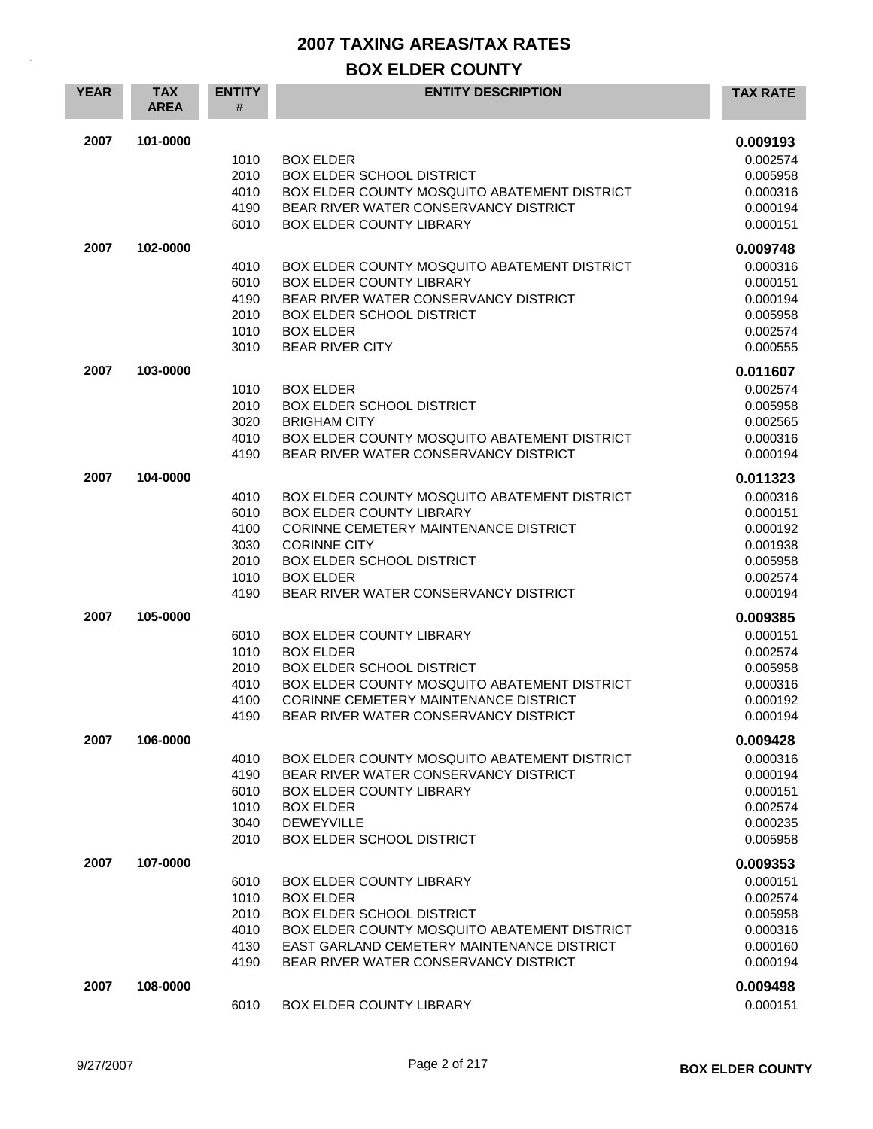| <b>YEAR</b> | <b>TAX</b><br><b>AREA</b> | <b>ENTITY</b><br>#                                   | <b>ENTITY DESCRIPTION</b>                                                                                                                                                                                                                        | <b>TAX RATE</b>                                                                              |
|-------------|---------------------------|------------------------------------------------------|--------------------------------------------------------------------------------------------------------------------------------------------------------------------------------------------------------------------------------------------------|----------------------------------------------------------------------------------------------|
| 2007        | 101-0000                  | 1010<br>2010<br>4010<br>4190<br>6010                 | <b>BOX ELDER</b><br><b>BOX ELDER SCHOOL DISTRICT</b><br>BOX ELDER COUNTY MOSQUITO ABATEMENT DISTRICT<br>BEAR RIVER WATER CONSERVANCY DISTRICT<br>BOX ELDER COUNTY LIBRARY                                                                        | 0.009193<br>0.002574<br>0.005958<br>0.000316<br>0.000194<br>0.000151                         |
| 2007        | 102-0000                  | 4010<br>6010<br>4190<br>2010<br>1010<br>3010         | BOX ELDER COUNTY MOSQUITO ABATEMENT DISTRICT<br><b>BOX ELDER COUNTY LIBRARY</b><br>BEAR RIVER WATER CONSERVANCY DISTRICT<br><b>BOX ELDER SCHOOL DISTRICT</b><br><b>BOX ELDER</b><br><b>BEAR RIVER CITY</b>                                       | 0.009748<br>0.000316<br>0.000151<br>0.000194<br>0.005958<br>0.002574<br>0.000555             |
| 2007        | 103-0000                  | 1010<br>2010<br>3020<br>4010<br>4190                 | <b>BOX ELDER</b><br><b>BOX ELDER SCHOOL DISTRICT</b><br><b>BRIGHAM CITY</b><br>BOX ELDER COUNTY MOSQUITO ABATEMENT DISTRICT<br>BEAR RIVER WATER CONSERVANCY DISTRICT                                                                             | 0.011607<br>0.002574<br>0.005958<br>0.002565<br>0.000316<br>0.000194                         |
| 2007        | 104-0000                  | 4010<br>6010<br>4100<br>3030<br>2010<br>1010<br>4190 | BOX ELDER COUNTY MOSQUITO ABATEMENT DISTRICT<br><b>BOX ELDER COUNTY LIBRARY</b><br>CORINNE CEMETERY MAINTENANCE DISTRICT<br><b>CORINNE CITY</b><br><b>BOX ELDER SCHOOL DISTRICT</b><br><b>BOX ELDER</b><br>BEAR RIVER WATER CONSERVANCY DISTRICT | 0.011323<br>0.000316<br>0.000151<br>0.000192<br>0.001938<br>0.005958<br>0.002574<br>0.000194 |
| 2007        | 105-0000                  | 6010<br>1010<br>2010<br>4010<br>4100<br>4190         | <b>BOX ELDER COUNTY LIBRARY</b><br><b>BOX ELDER</b><br><b>BOX ELDER SCHOOL DISTRICT</b><br>BOX ELDER COUNTY MOSQUITO ABATEMENT DISTRICT<br>CORINNE CEMETERY MAINTENANCE DISTRICT<br>BEAR RIVER WATER CONSERVANCY DISTRICT                        | 0.009385<br>0.000151<br>0.002574<br>0.005958<br>0.000316<br>0.000192<br>0.000194             |
| 2007        | 106-0000                  | 4010<br>4190<br>6010<br>1010<br>3040<br>2010         | BOX ELDER COUNTY MOSQUITO ABATEMENT DISTRICT<br>BEAR RIVER WATER CONSERVANCY DISTRICT<br><b>BOX ELDER COUNTY LIBRARY</b><br><b>BOX ELDER</b><br><b>DEWEYVILLE</b><br><b>BOX ELDER SCHOOL DISTRICT</b>                                            | 0.009428<br>0.000316<br>0.000194<br>0.000151<br>0.002574<br>0.000235<br>0.005958             |
| 2007        | 107-0000                  | 6010<br>1010<br>2010<br>4010<br>4130<br>4190         | <b>BOX ELDER COUNTY LIBRARY</b><br><b>BOX ELDER</b><br><b>BOX ELDER SCHOOL DISTRICT</b><br>BOX ELDER COUNTY MOSQUITO ABATEMENT DISTRICT<br>EAST GARLAND CEMETERY MAINTENANCE DISTRICT<br>BEAR RIVER WATER CONSERVANCY DISTRICT                   | 0.009353<br>0.000151<br>0.002574<br>0.005958<br>0.000316<br>0.000160<br>0.000194             |
| 2007        | 108-0000                  | 6010                                                 | <b>BOX ELDER COUNTY LIBRARY</b>                                                                                                                                                                                                                  | 0.009498<br>0.000151                                                                         |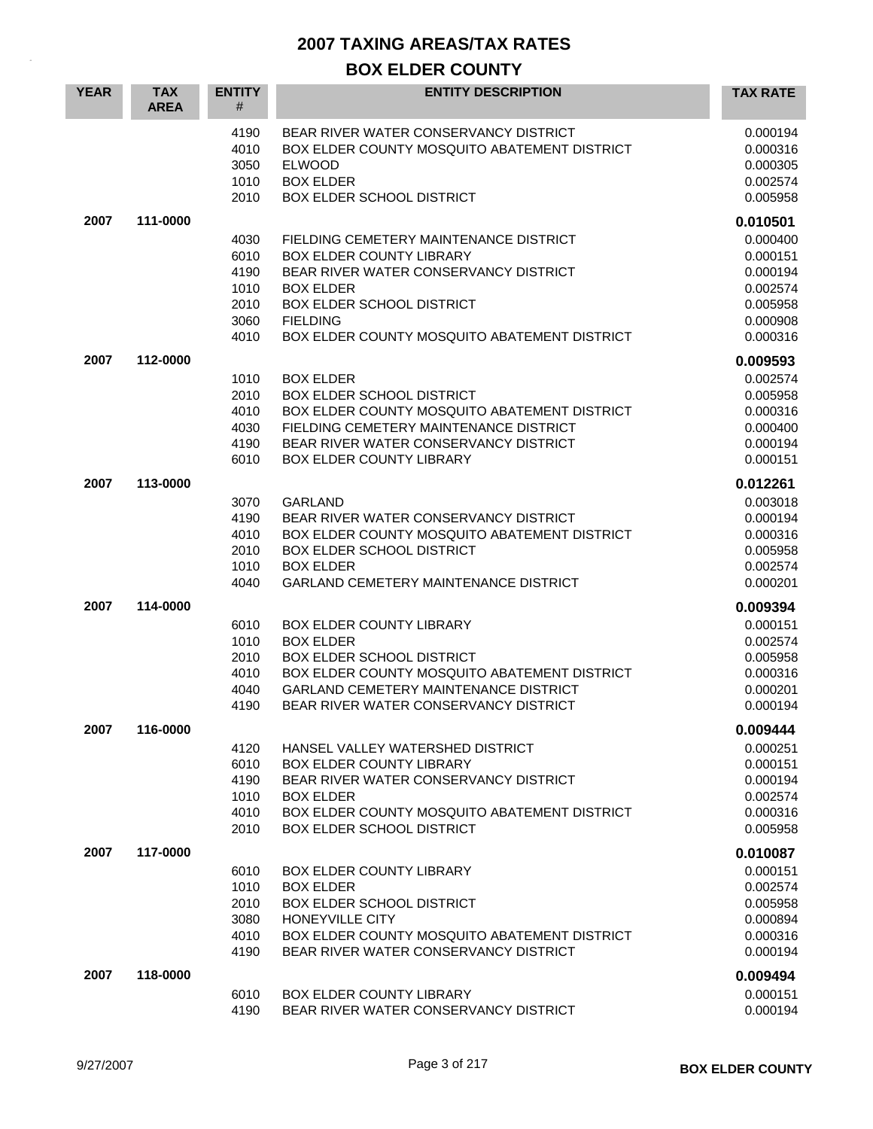| <b>YEAR</b> | <b>TAX</b><br><b>AREA</b> | <b>ENTITY</b><br>#                           | <b>ENTITY DESCRIPTION</b>                                                                                                                                                                                                        | <b>TAX RATE</b>                                                      |
|-------------|---------------------------|----------------------------------------------|----------------------------------------------------------------------------------------------------------------------------------------------------------------------------------------------------------------------------------|----------------------------------------------------------------------|
|             |                           | 4190<br>4010<br>3050<br>1010<br>2010         | BEAR RIVER WATER CONSERVANCY DISTRICT<br>BOX ELDER COUNTY MOSQUITO ABATEMENT DISTRICT<br><b>ELWOOD</b><br><b>BOX ELDER</b><br>BOX ELDER SCHOOL DISTRICT                                                                          | 0.000194<br>0.000316<br>0.000305<br>0.002574<br>0.005958             |
| 2007        | 111-0000                  | 4030                                         | FIELDING CEMETERY MAINTENANCE DISTRICT                                                                                                                                                                                           | 0.010501<br>0.000400                                                 |
|             |                           | 6010<br>4190<br>1010<br>2010<br>3060<br>4010 | <b>BOX ELDER COUNTY LIBRARY</b><br>BEAR RIVER WATER CONSERVANCY DISTRICT<br><b>BOX ELDER</b><br><b>BOX ELDER SCHOOL DISTRICT</b><br><b>FIELDING</b><br>BOX ELDER COUNTY MOSQUITO ABATEMENT DISTRICT                              | 0.000151<br>0.000194<br>0.002574<br>0.005958<br>0.000908<br>0.000316 |
| 2007        | 112-0000                  |                                              |                                                                                                                                                                                                                                  | 0.009593                                                             |
|             |                           | 1010<br>2010<br>4010<br>4030<br>4190<br>6010 | <b>BOX ELDER</b><br><b>BOX ELDER SCHOOL DISTRICT</b><br>BOX ELDER COUNTY MOSQUITO ABATEMENT DISTRICT<br>FIELDING CEMETERY MAINTENANCE DISTRICT<br>BEAR RIVER WATER CONSERVANCY DISTRICT<br><b>BOX ELDER COUNTY LIBRARY</b>       | 0.002574<br>0.005958<br>0.000316<br>0.000400<br>0.000194<br>0.000151 |
| 2007        | 113-0000                  |                                              |                                                                                                                                                                                                                                  | 0.012261                                                             |
|             |                           | 3070<br>4190<br>4010<br>2010<br>1010<br>4040 | <b>GARLAND</b><br>BEAR RIVER WATER CONSERVANCY DISTRICT<br>BOX ELDER COUNTY MOSQUITO ABATEMENT DISTRICT<br><b>BOX ELDER SCHOOL DISTRICT</b><br><b>BOX ELDER</b><br><b>GARLAND CEMETERY MAINTENANCE DISTRICT</b>                  | 0.003018<br>0.000194<br>0.000316<br>0.005958<br>0.002574<br>0.000201 |
| 2007        | 114-0000                  |                                              |                                                                                                                                                                                                                                  | 0.009394                                                             |
|             |                           | 6010<br>1010<br>2010<br>4010<br>4040<br>4190 | <b>BOX ELDER COUNTY LIBRARY</b><br><b>BOX ELDER</b><br><b>BOX ELDER SCHOOL DISTRICT</b><br>BOX ELDER COUNTY MOSQUITO ABATEMENT DISTRICT<br><b>GARLAND CEMETERY MAINTENANCE DISTRICT</b><br>BEAR RIVER WATER CONSERVANCY DISTRICT | 0.000151<br>0.002574<br>0.005958<br>0.000316<br>0.000201<br>0.000194 |
| 2007        | 116-0000                  |                                              |                                                                                                                                                                                                                                  | 0.009444                                                             |
|             |                           | 4120<br>6010<br>4190<br>1010<br>4010<br>2010 | HANSEL VALLEY WATERSHED DISTRICT<br><b>BOX ELDER COUNTY LIBRARY</b><br>BEAR RIVER WATER CONSERVANCY DISTRICT<br><b>BOX ELDER</b><br>BOX ELDER COUNTY MOSQUITO ABATEMENT DISTRICT<br><b>BOX ELDER SCHOOL DISTRICT</b>             | 0.000251<br>0.000151<br>0.000194<br>0.002574<br>0.000316<br>0.005958 |
| 2007        | 117-0000                  |                                              |                                                                                                                                                                                                                                  | 0.010087                                                             |
|             |                           | 6010<br>1010<br>2010<br>3080<br>4010<br>4190 | <b>BOX ELDER COUNTY LIBRARY</b><br><b>BOX ELDER</b><br>BOX ELDER SCHOOL DISTRICT<br>HONEYVILLE CITY<br>BOX ELDER COUNTY MOSQUITO ABATEMENT DISTRICT<br>BEAR RIVER WATER CONSERVANCY DISTRICT                                     | 0.000151<br>0.002574<br>0.005958<br>0.000894<br>0.000316<br>0.000194 |
| 2007        | 118-0000                  | 6010                                         | <b>BOX ELDER COUNTY LIBRARY</b>                                                                                                                                                                                                  | 0.009494<br>0.000151                                                 |
|             |                           | 4190                                         | BEAR RIVER WATER CONSERVANCY DISTRICT                                                                                                                                                                                            | 0.000194                                                             |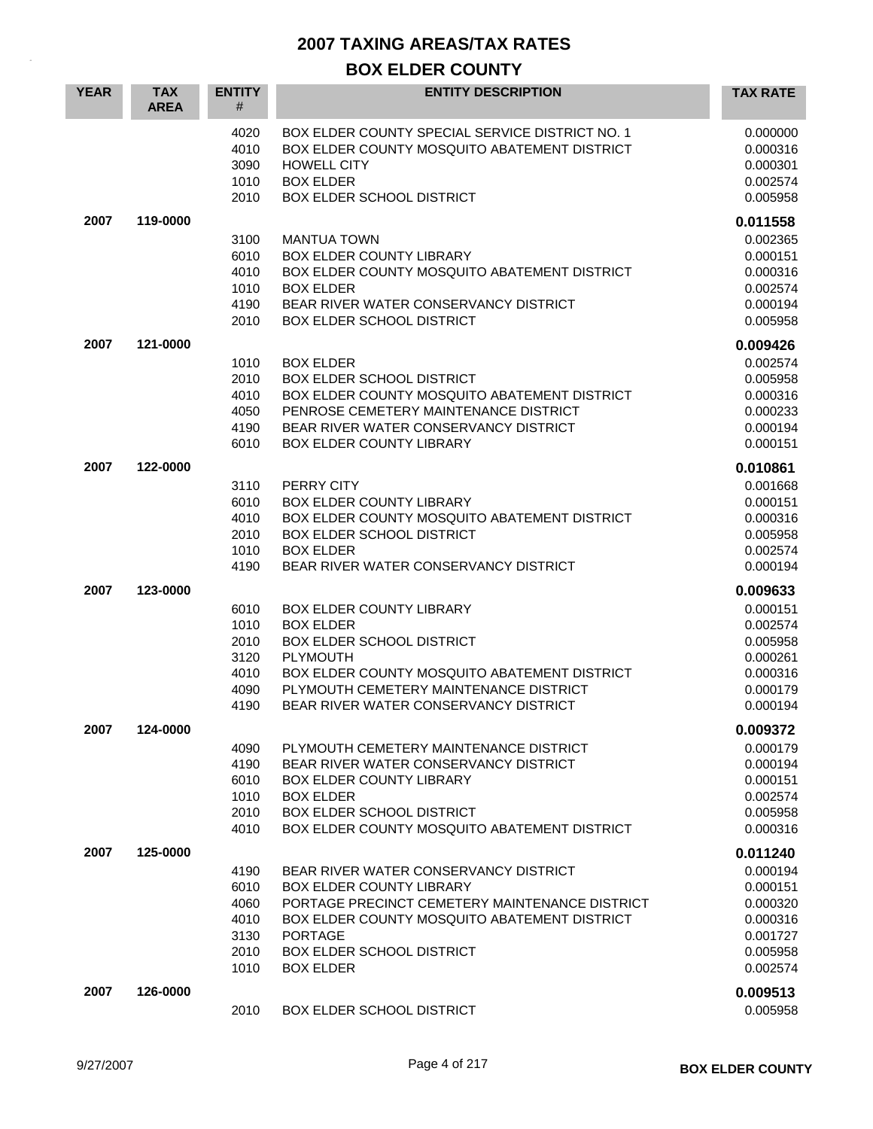| <b>YEAR</b> | <b>TAX</b><br><b>AREA</b> | <b>ENTITY</b><br>#                                   | <b>ENTITY DESCRIPTION</b>                                                                                                                                                                                                                     | <b>TAX RATE</b>                                                                  |
|-------------|---------------------------|------------------------------------------------------|-----------------------------------------------------------------------------------------------------------------------------------------------------------------------------------------------------------------------------------------------|----------------------------------------------------------------------------------|
|             |                           | 4020<br>4010<br>3090<br>1010<br>2010                 | <b>BOX ELDER COUNTY SPECIAL SERVICE DISTRICT NO. 1</b><br>BOX ELDER COUNTY MOSQUITO ABATEMENT DISTRICT<br>HOWELL CITY<br><b>BOX ELDER</b><br>BOX ELDER SCHOOL DISTRICT                                                                        | 0.000000<br>0.000316<br>0.000301<br>0.002574<br>0.005958                         |
| 2007        | 119-0000                  |                                                      |                                                                                                                                                                                                                                               | 0.011558                                                                         |
|             |                           | 3100<br>6010<br>4010<br>1010<br>4190<br>2010         | <b>MANTUA TOWN</b><br>BOX ELDER COUNTY LIBRARY<br>BOX ELDER COUNTY MOSQUITO ABATEMENT DISTRICT<br><b>BOX ELDER</b><br>BEAR RIVER WATER CONSERVANCY DISTRICT<br><b>BOX ELDER SCHOOL DISTRICT</b>                                               | 0.002365<br>0.000151<br>0.000316<br>0.002574<br>0.000194<br>0.005958             |
| 2007        | 121-0000                  |                                                      |                                                                                                                                                                                                                                               | 0.009426                                                                         |
|             |                           | 1010<br>2010<br>4010<br>4050<br>4190<br>6010         | <b>BOX ELDER</b><br><b>BOX ELDER SCHOOL DISTRICT</b><br>BOX ELDER COUNTY MOSQUITO ABATEMENT DISTRICT<br>PENROSE CEMETERY MAINTENANCE DISTRICT<br>BEAR RIVER WATER CONSERVANCY DISTRICT<br><b>BOX ELDER COUNTY LIBRARY</b>                     | 0.002574<br>0.005958<br>0.000316<br>0.000233<br>0.000194<br>0.000151             |
| 2007        | 122-0000                  |                                                      |                                                                                                                                                                                                                                               | 0.010861                                                                         |
|             |                           | 3110<br>6010<br>4010<br>2010<br>1010<br>4190         | PERRY CITY<br><b>BOX ELDER COUNTY LIBRARY</b><br>BOX ELDER COUNTY MOSQUITO ABATEMENT DISTRICT<br><b>BOX ELDER SCHOOL DISTRICT</b><br><b>BOX ELDER</b><br>BEAR RIVER WATER CONSERVANCY DISTRICT                                                | 0.001668<br>0.000151<br>0.000316<br>0.005958<br>0.002574<br>0.000194             |
| 2007        | 123-0000                  |                                                      |                                                                                                                                                                                                                                               | 0.009633                                                                         |
|             |                           | 6010<br>1010<br>2010<br>3120<br>4010<br>4090<br>4190 | <b>BOX ELDER COUNTY LIBRARY</b><br><b>BOX ELDER</b><br><b>BOX ELDER SCHOOL DISTRICT</b><br>PLYMOUTH<br>BOX ELDER COUNTY MOSQUITO ABATEMENT DISTRICT<br>PLYMOUTH CEMETERY MAINTENANCE DISTRICT<br>BEAR RIVER WATER CONSERVANCY DISTRICT        | 0.000151<br>0.002574<br>0.005958<br>0.000261<br>0.000316<br>0.000179<br>0.000194 |
| 2007        | 124-0000                  |                                                      |                                                                                                                                                                                                                                               | 0.009372                                                                         |
|             |                           | 4090<br>4190<br>6010<br>1010<br>2010<br>4010         | PLYMOUTH CEMETERY MAINTENANCE DISTRICT<br>BEAR RIVER WATER CONSERVANCY DISTRICT<br><b>BOX ELDER COUNTY LIBRARY</b><br><b>BOX ELDER</b><br><b>BOX ELDER SCHOOL DISTRICT</b><br>BOX ELDER COUNTY MOSQUITO ABATEMENT DISTRICT                    | 0.000179<br>0.000194<br>0.000151<br>0.002574<br>0.005958<br>0.000316             |
| 2007        | 125-0000                  |                                                      |                                                                                                                                                                                                                                               | 0.011240                                                                         |
|             |                           | 4190<br>6010<br>4060<br>4010<br>3130<br>2010<br>1010 | BEAR RIVER WATER CONSERVANCY DISTRICT<br>BOX ELDER COUNTY LIBRARY<br>PORTAGE PRECINCT CEMETERY MAINTENANCE DISTRICT<br>BOX ELDER COUNTY MOSQUITO ABATEMENT DISTRICT<br><b>PORTAGE</b><br><b>BOX ELDER SCHOOL DISTRICT</b><br><b>BOX ELDER</b> | 0.000194<br>0.000151<br>0.000320<br>0.000316<br>0.001727<br>0.005958<br>0.002574 |
| 2007        | 126-0000                  | 2010                                                 | <b>BOX ELDER SCHOOL DISTRICT</b>                                                                                                                                                                                                              | 0.009513<br>0.005958                                                             |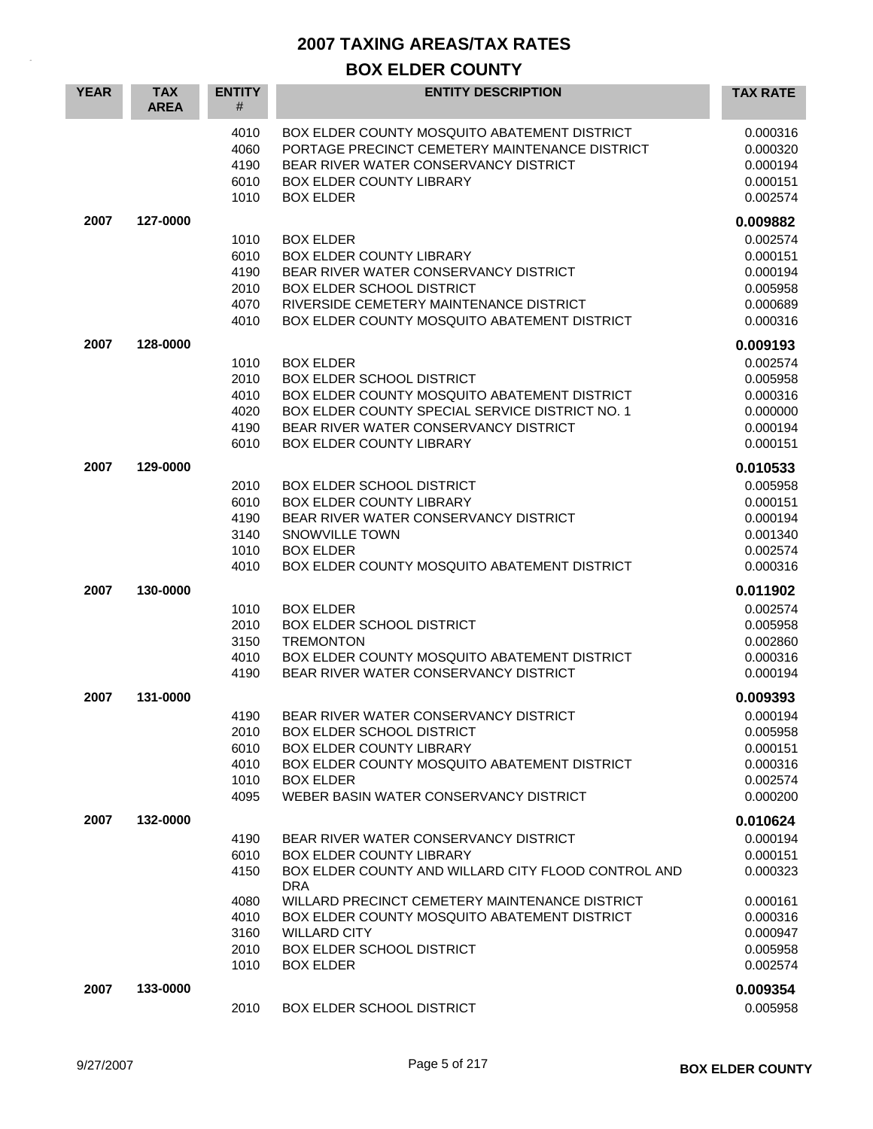| <b>YEAR</b> | <b>TAX</b><br><b>AREA</b> | <b>ENTITY</b><br>#                                           | <b>ENTITY DESCRIPTION</b>                                                                                                                                                                                                                                                                                                      | <b>TAX RATE</b>                                                                                          |
|-------------|---------------------------|--------------------------------------------------------------|--------------------------------------------------------------------------------------------------------------------------------------------------------------------------------------------------------------------------------------------------------------------------------------------------------------------------------|----------------------------------------------------------------------------------------------------------|
|             |                           | 4010<br>4060<br>4190<br>6010<br>1010                         | BOX ELDER COUNTY MOSQUITO ABATEMENT DISTRICT<br>PORTAGE PRECINCT CEMETERY MAINTENANCE DISTRICT<br>BEAR RIVER WATER CONSERVANCY DISTRICT<br>BOX ELDER COUNTY LIBRARY<br><b>BOX ELDER</b>                                                                                                                                        | 0.000316<br>0.000320<br>0.000194<br>0.000151<br>0.002574                                                 |
| 2007        | 127-0000                  | 1010<br>6010<br>4190<br>2010<br>4070<br>4010                 | <b>BOX ELDER</b><br>BOX ELDER COUNTY LIBRARY<br>BEAR RIVER WATER CONSERVANCY DISTRICT<br><b>BOX ELDER SCHOOL DISTRICT</b><br>RIVERSIDE CEMETERY MAINTENANCE DISTRICT<br>BOX ELDER COUNTY MOSQUITO ABATEMENT DISTRICT                                                                                                           | 0.009882<br>0.002574<br>0.000151<br>0.000194<br>0.005958<br>0.000689<br>0.000316                         |
| 2007        | 128-0000                  | 1010<br>2010<br>4010<br>4020<br>4190<br>6010                 | <b>BOX ELDER</b><br><b>BOX ELDER SCHOOL DISTRICT</b><br>BOX ELDER COUNTY MOSQUITO ABATEMENT DISTRICT<br>BOX ELDER COUNTY SPECIAL SERVICE DISTRICT NO. 1<br>BEAR RIVER WATER CONSERVANCY DISTRICT<br><b>BOX ELDER COUNTY LIBRARY</b>                                                                                            | 0.009193<br>0.002574<br>0.005958<br>0.000316<br>0.000000<br>0.000194<br>0.000151                         |
| 2007        | 129-0000                  | 2010<br>6010<br>4190<br>3140<br>1010<br>4010                 | <b>BOX ELDER SCHOOL DISTRICT</b><br><b>BOX ELDER COUNTY LIBRARY</b><br>BEAR RIVER WATER CONSERVANCY DISTRICT<br><b>SNOWVILLE TOWN</b><br><b>BOX ELDER</b><br>BOX ELDER COUNTY MOSQUITO ABATEMENT DISTRICT                                                                                                                      | 0.010533<br>0.005958<br>0.000151<br>0.000194<br>0.001340<br>0.002574<br>0.000316                         |
| 2007        | 130-0000                  | 1010<br>2010<br>3150<br>4010<br>4190                         | <b>BOX ELDER</b><br><b>BOX ELDER SCHOOL DISTRICT</b><br><b>TREMONTON</b><br>BOX ELDER COUNTY MOSQUITO ABATEMENT DISTRICT<br>BEAR RIVER WATER CONSERVANCY DISTRICT                                                                                                                                                              | 0.011902<br>0.002574<br>0.005958<br>0.002860<br>0.000316<br>0.000194                                     |
| 2007        | 131-0000                  | 4190<br>2010<br>6010<br>4010<br>1010<br>4095                 | BEAR RIVER WATER CONSERVANCY DISTRICT<br>BOX ELDER SCHOOL DISTRICT<br>BOX ELDER COUNTY LIBRARY<br>BOX ELDER COUNTY MOSQUITO ABATEMENT DISTRICT<br><b>BOX ELDER</b><br>WEBER BASIN WATER CONSERVANCY DISTRICT                                                                                                                   | 0.009393<br>0.000194<br>0.005958<br>0.000151<br>0.000316<br>0.002574<br>0.000200                         |
| 2007        | 132-0000                  | 4190<br>6010<br>4150<br>4080<br>4010<br>3160<br>2010<br>1010 | BEAR RIVER WATER CONSERVANCY DISTRICT<br><b>BOX ELDER COUNTY LIBRARY</b><br>BOX ELDER COUNTY AND WILLARD CITY FLOOD CONTROL AND<br><b>DRA</b><br>WILLARD PRECINCT CEMETERY MAINTENANCE DISTRICT<br>BOX ELDER COUNTY MOSQUITO ABATEMENT DISTRICT<br><b>WILLARD CITY</b><br><b>BOX ELDER SCHOOL DISTRICT</b><br><b>BOX ELDER</b> | 0.010624<br>0.000194<br>0.000151<br>0.000323<br>0.000161<br>0.000316<br>0.000947<br>0.005958<br>0.002574 |
| 2007        | 133-0000                  | 2010                                                         | <b>BOX ELDER SCHOOL DISTRICT</b>                                                                                                                                                                                                                                                                                               | 0.009354<br>0.005958                                                                                     |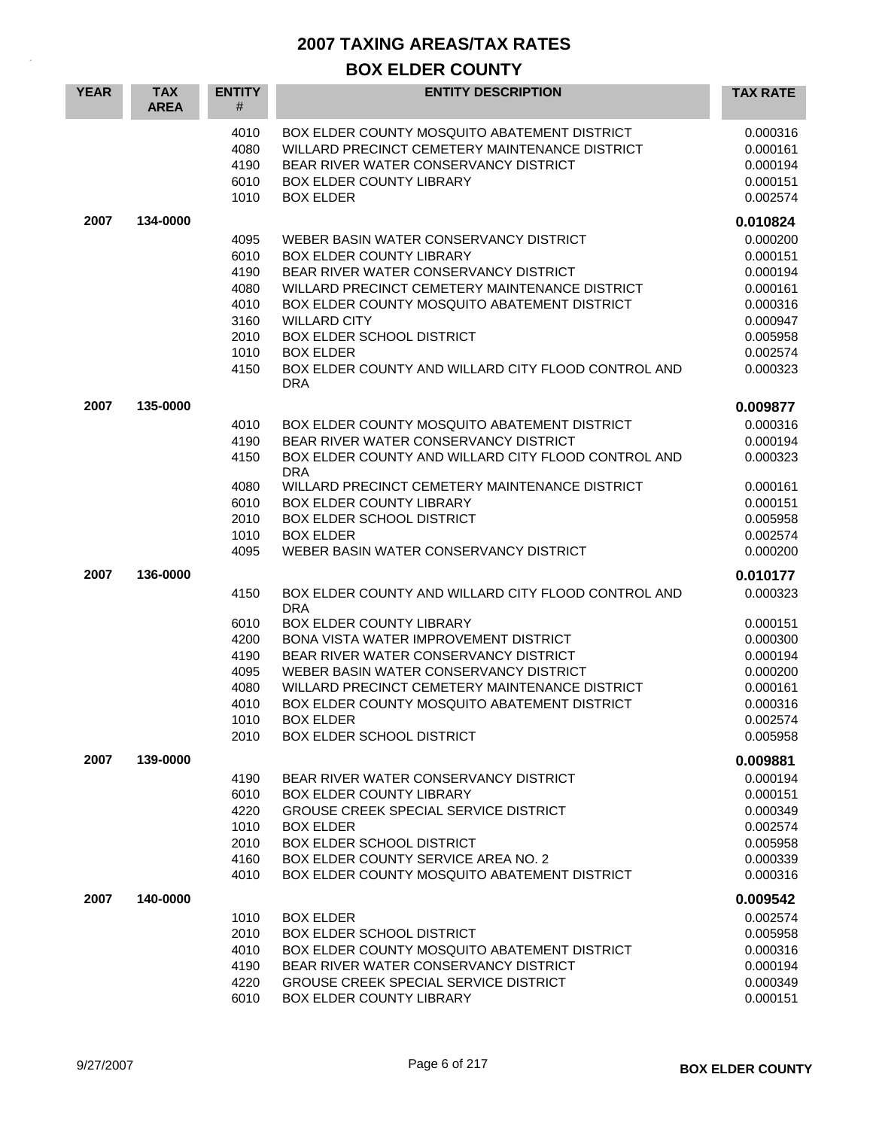| <b>YEAR</b> | <b>TAX</b><br><b>AREA</b> | <b>ENTITY</b><br>#                                                   | <b>ENTITY DESCRIPTION</b>                                                                                                                                                                                                                                                                                                                                                                         | <b>TAX RATE</b>                                                                                          |
|-------------|---------------------------|----------------------------------------------------------------------|---------------------------------------------------------------------------------------------------------------------------------------------------------------------------------------------------------------------------------------------------------------------------------------------------------------------------------------------------------------------------------------------------|----------------------------------------------------------------------------------------------------------|
|             |                           | 4010<br>4080<br>4190<br>6010<br>1010                                 | BOX ELDER COUNTY MOSQUITO ABATEMENT DISTRICT<br>WILLARD PRECINCT CEMETERY MAINTENANCE DISTRICT<br>BEAR RIVER WATER CONSERVANCY DISTRICT<br>BOX ELDER COUNTY LIBRARY<br><b>BOX ELDER</b>                                                                                                                                                                                                           | 0.000316<br>0.000161<br>0.000194<br>0.000151<br>0.002574                                                 |
| 2007        | 134-0000                  |                                                                      |                                                                                                                                                                                                                                                                                                                                                                                                   | 0.010824                                                                                                 |
|             |                           | 4095<br>6010<br>4190<br>4080<br>4010<br>3160<br>2010<br>1010<br>4150 | WEBER BASIN WATER CONSERVANCY DISTRICT<br>BOX ELDER COUNTY LIBRARY<br>BEAR RIVER WATER CONSERVANCY DISTRICT<br>WILLARD PRECINCT CEMETERY MAINTENANCE DISTRICT<br>BOX ELDER COUNTY MOSQUITO ABATEMENT DISTRICT<br><b>WILLARD CITY</b><br><b>BOX ELDER SCHOOL DISTRICT</b><br><b>BOX ELDER</b><br>BOX ELDER COUNTY AND WILLARD CITY FLOOD CONTROL AND<br><b>DRA</b>                                 | 0.000200<br>0.000151<br>0.000194<br>0.000161<br>0.000316<br>0.000947<br>0.005958<br>0.002574<br>0.000323 |
| 2007        | 135-0000                  |                                                                      |                                                                                                                                                                                                                                                                                                                                                                                                   | 0.009877                                                                                                 |
|             |                           | 4010<br>4190<br>4150<br>4080<br>6010<br>2010<br>1010<br>4095         | BOX ELDER COUNTY MOSQUITO ABATEMENT DISTRICT<br>BEAR RIVER WATER CONSERVANCY DISTRICT<br>BOX ELDER COUNTY AND WILLARD CITY FLOOD CONTROL AND<br><b>DRA</b><br>WILLARD PRECINCT CEMETERY MAINTENANCE DISTRICT<br><b>BOX ELDER COUNTY LIBRARY</b><br><b>BOX ELDER SCHOOL DISTRICT</b><br><b>BOX ELDER</b><br>WEBER BASIN WATER CONSERVANCY DISTRICT                                                 | 0.000316<br>0.000194<br>0.000323<br>0.000161<br>0.000151<br>0.005958<br>0.002574<br>0.000200             |
| 2007        | 136-0000                  |                                                                      |                                                                                                                                                                                                                                                                                                                                                                                                   | 0.010177                                                                                                 |
|             |                           | 4150<br>6010<br>4200<br>4190<br>4095<br>4080<br>4010<br>1010<br>2010 | BOX ELDER COUNTY AND WILLARD CITY FLOOD CONTROL AND<br><b>DRA</b><br><b>BOX ELDER COUNTY LIBRARY</b><br><b>BONA VISTA WATER IMPROVEMENT DISTRICT</b><br>BEAR RIVER WATER CONSERVANCY DISTRICT<br>WEBER BASIN WATER CONSERVANCY DISTRICT<br>WILLARD PRECINCT CEMETERY MAINTENANCE DISTRICT<br>BOX ELDER COUNTY MOSQUITO ABATEMENT DISTRICT<br><b>BOX ELDER</b><br><b>BOX ELDER SCHOOL DISTRICT</b> | 0.000323<br>0.000151<br>0.000300<br>0.000194<br>0.000200<br>0.000161<br>0.000316<br>0.002574<br>0.005958 |
| 2007        | 139-0000                  |                                                                      |                                                                                                                                                                                                                                                                                                                                                                                                   | 0.009881                                                                                                 |
|             |                           | 4190<br>6010<br>4220<br>1010<br>2010<br>4160<br>4010                 | BEAR RIVER WATER CONSERVANCY DISTRICT<br><b>BOX ELDER COUNTY LIBRARY</b><br><b>GROUSE CREEK SPECIAL SERVICE DISTRICT</b><br><b>BOX ELDER</b><br><b>BOX ELDER SCHOOL DISTRICT</b><br>BOX ELDER COUNTY SERVICE AREA NO. 2<br>BOX ELDER COUNTY MOSQUITO ABATEMENT DISTRICT                                                                                                                           | 0.000194<br>0.000151<br>0.000349<br>0.002574<br>0.005958<br>0.000339<br>0.000316                         |
| 2007        | 140-0000                  |                                                                      |                                                                                                                                                                                                                                                                                                                                                                                                   | 0.009542                                                                                                 |
|             |                           | 1010<br>2010<br>4010<br>4190<br>4220<br>6010                         | <b>BOX ELDER</b><br><b>BOX ELDER SCHOOL DISTRICT</b><br>BOX ELDER COUNTY MOSQUITO ABATEMENT DISTRICT<br>BEAR RIVER WATER CONSERVANCY DISTRICT<br><b>GROUSE CREEK SPECIAL SERVICE DISTRICT</b><br>BOX ELDER COUNTY LIBRARY                                                                                                                                                                         | 0.002574<br>0.005958<br>0.000316<br>0.000194<br>0.000349<br>0.000151                                     |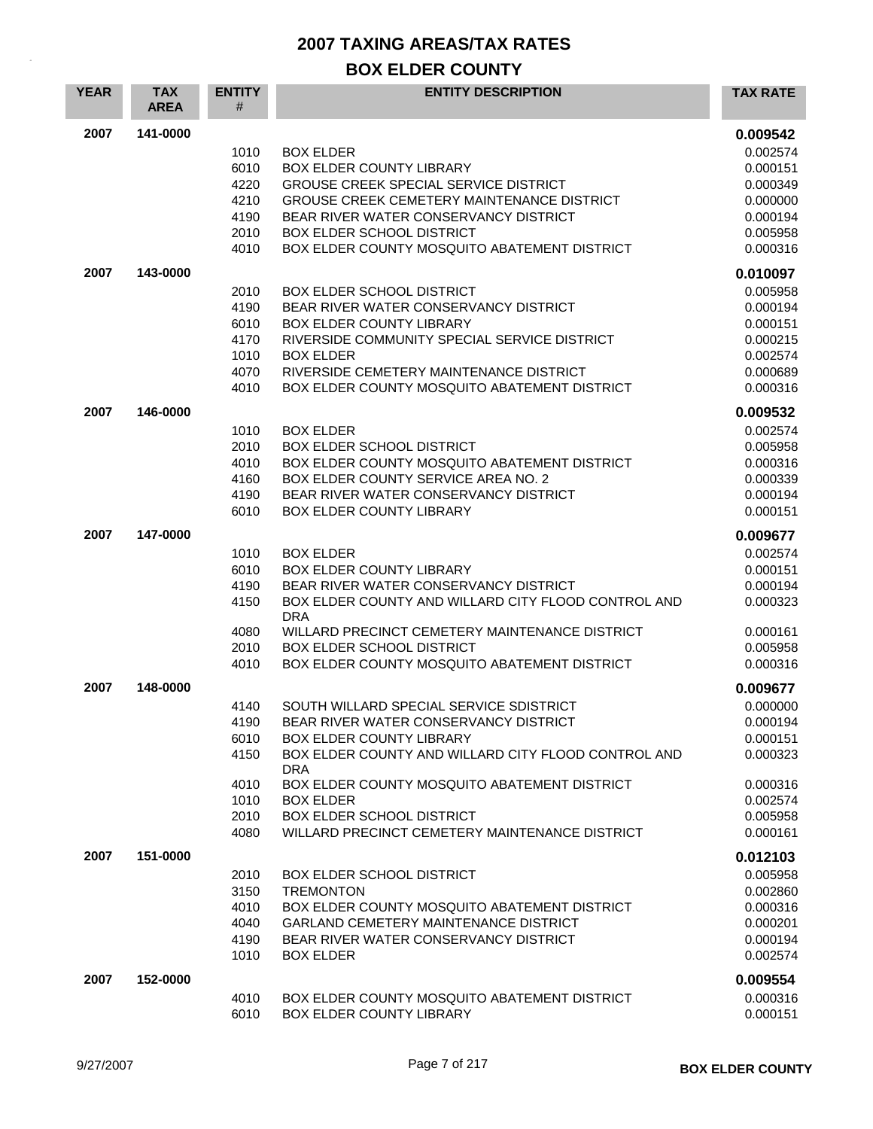| <b>YEAR</b> | <b>TAX</b><br><b>AREA</b> | <b>ENTITY</b><br># | <b>ENTITY DESCRIPTION</b>                                                                    | <b>TAX RATE</b>      |
|-------------|---------------------------|--------------------|----------------------------------------------------------------------------------------------|----------------------|
| 2007        | 141-0000                  |                    |                                                                                              | 0.009542             |
|             |                           | 1010               | <b>BOX ELDER</b>                                                                             | 0.002574             |
|             |                           | 6010               | <b>BOX ELDER COUNTY LIBRARY</b>                                                              | 0.000151             |
|             |                           | 4220               | <b>GROUSE CREEK SPECIAL SERVICE DISTRICT</b>                                                 | 0.000349             |
|             |                           | 4210               | GROUSE CREEK CEMETERY MAINTENANCE DISTRICT                                                   | 0.000000             |
|             |                           | 4190               | BEAR RIVER WATER CONSERVANCY DISTRICT                                                        | 0.000194             |
|             |                           | 2010               | <b>BOX ELDER SCHOOL DISTRICT</b>                                                             | 0.005958             |
|             |                           | 4010               | BOX ELDER COUNTY MOSQUITO ABATEMENT DISTRICT                                                 | 0.000316             |
| 2007        | 143-0000                  |                    |                                                                                              | 0.010097             |
|             |                           | 2010               | <b>BOX ELDER SCHOOL DISTRICT</b>                                                             | 0.005958             |
|             |                           | 4190<br>6010       | BEAR RIVER WATER CONSERVANCY DISTRICT<br><b>BOX ELDER COUNTY LIBRARY</b>                     | 0.000194<br>0.000151 |
|             |                           | 4170               | RIVERSIDE COMMUNITY SPECIAL SERVICE DISTRICT                                                 | 0.000215             |
|             |                           | 1010               | <b>BOX ELDER</b>                                                                             | 0.002574             |
|             |                           | 4070               | RIVERSIDE CEMETERY MAINTENANCE DISTRICT                                                      | 0.000689             |
|             |                           | 4010               | BOX ELDER COUNTY MOSQUITO ABATEMENT DISTRICT                                                 | 0.000316             |
| 2007        | 146-0000                  |                    |                                                                                              | 0.009532             |
|             |                           | 1010               | <b>BOX ELDER</b>                                                                             | 0.002574             |
|             |                           | 2010               | <b>BOX ELDER SCHOOL DISTRICT</b>                                                             | 0.005958             |
|             |                           | 4010               | BOX ELDER COUNTY MOSQUITO ABATEMENT DISTRICT                                                 | 0.000316             |
|             |                           | 4160               | BOX ELDER COUNTY SERVICE AREA NO. 2                                                          | 0.000339             |
|             |                           | 4190               | BEAR RIVER WATER CONSERVANCY DISTRICT                                                        | 0.000194             |
|             |                           | 6010               | <b>BOX ELDER COUNTY LIBRARY</b>                                                              | 0.000151             |
| 2007        | 147-0000                  |                    |                                                                                              | 0.009677             |
|             |                           | 1010<br>6010       | <b>BOX ELDER</b><br><b>BOX ELDER COUNTY LIBRARY</b>                                          | 0.002574<br>0.000151 |
|             |                           | 4190               | BEAR RIVER WATER CONSERVANCY DISTRICT                                                        | 0.000194             |
|             |                           | 4150               | BOX ELDER COUNTY AND WILLARD CITY FLOOD CONTROL AND                                          | 0.000323             |
|             |                           |                    | <b>DRA</b>                                                                                   |                      |
|             |                           | 4080               | WILLARD PRECINCT CEMETERY MAINTENANCE DISTRICT                                               | 0.000161             |
|             |                           | 2010               | <b>BOX ELDER SCHOOL DISTRICT</b>                                                             | 0.005958             |
|             |                           | 4010               | BOX ELDER COUNTY MOSQUITO ABATEMENT DISTRICT                                                 | 0.000316             |
| 2007        | 148-0000                  |                    |                                                                                              | 0.009677             |
|             |                           | 4140               | SOUTH WILLARD SPECIAL SERVICE SDISTRICT                                                      | 0.000000             |
|             |                           | 4190<br>6010       | BEAR RIVER WATER CONSERVANCY DISTRICT<br><b>BOX ELDER COUNTY LIBRARY</b>                     | 0.000194<br>0.000151 |
|             |                           | 4150               | BOX ELDER COUNTY AND WILLARD CITY FLOOD CONTROL AND                                          | 0.000323             |
|             |                           |                    | <b>DRA</b>                                                                                   |                      |
|             |                           | 4010               | BOX ELDER COUNTY MOSQUITO ABATEMENT DISTRICT                                                 | 0.000316             |
|             |                           | 1010               | <b>BOX ELDER</b>                                                                             | 0.002574             |
|             |                           | 2010               | BOX ELDER SCHOOL DISTRICT                                                                    | 0.005958             |
|             |                           | 4080               | WILLARD PRECINCT CEMETERY MAINTENANCE DISTRICT                                               | 0.000161             |
| 2007        | 151-0000                  |                    |                                                                                              | 0.012103             |
|             |                           | 2010               | <b>BOX ELDER SCHOOL DISTRICT</b>                                                             | 0.005958             |
|             |                           | 3150               | <b>TREMONTON</b>                                                                             | 0.002860             |
|             |                           | 4010               | BOX ELDER COUNTY MOSQUITO ABATEMENT DISTRICT<br><b>GARLAND CEMETERY MAINTENANCE DISTRICT</b> | 0.000316             |
|             |                           | 4040<br>4190       | BEAR RIVER WATER CONSERVANCY DISTRICT                                                        | 0.000201<br>0.000194 |
|             |                           | 1010               | <b>BOX ELDER</b>                                                                             | 0.002574             |
| 2007        | 152-0000                  |                    |                                                                                              | 0.009554             |
|             |                           | 4010               | BOX ELDER COUNTY MOSQUITO ABATEMENT DISTRICT                                                 | 0.000316             |
|             |                           | 6010               | <b>BOX ELDER COUNTY LIBRARY</b>                                                              | 0.000151             |
|             |                           |                    |                                                                                              |                      |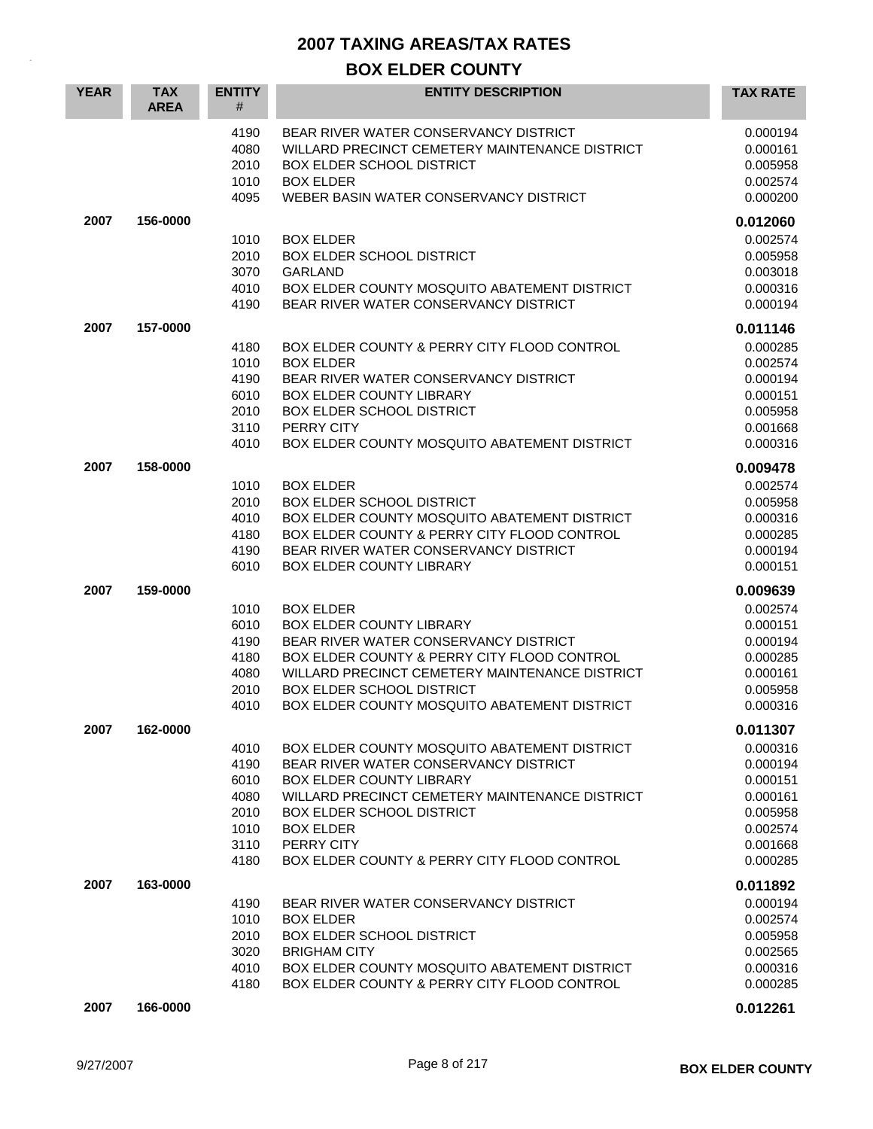| <b>YEAR</b> | <b>TAX</b><br><b>AREA</b> | <b>ENTITY</b><br>#                                           | <b>ENTITY DESCRIPTION</b>                                                                                                                                                                                                                                                                | <b>TAX RATE</b>                                                                              |
|-------------|---------------------------|--------------------------------------------------------------|------------------------------------------------------------------------------------------------------------------------------------------------------------------------------------------------------------------------------------------------------------------------------------------|----------------------------------------------------------------------------------------------|
|             |                           | 4190<br>4080<br>2010<br>1010<br>4095                         | BEAR RIVER WATER CONSERVANCY DISTRICT<br>WILLARD PRECINCT CEMETERY MAINTENANCE DISTRICT<br><b>BOX ELDER SCHOOL DISTRICT</b><br><b>BOX ELDER</b><br>WEBER BASIN WATER CONSERVANCY DISTRICT                                                                                                | 0.000194<br>0.000161<br>0.005958<br>0.002574<br>0.000200                                     |
| 2007        | 156-0000                  |                                                              |                                                                                                                                                                                                                                                                                          | 0.012060                                                                                     |
|             |                           | 1010<br>2010<br>3070<br>4010<br>4190                         | <b>BOX ELDER</b><br><b>BOX ELDER SCHOOL DISTRICT</b><br><b>GARLAND</b><br>BOX ELDER COUNTY MOSQUITO ABATEMENT DISTRICT<br>BEAR RIVER WATER CONSERVANCY DISTRICT                                                                                                                          | 0.002574<br>0.005958<br>0.003018<br>0.000316<br>0.000194                                     |
| 2007        | 157-0000                  |                                                              |                                                                                                                                                                                                                                                                                          | 0.011146                                                                                     |
|             |                           | 4180<br>1010<br>4190<br>6010<br>2010<br>3110<br>4010         | BOX ELDER COUNTY & PERRY CITY FLOOD CONTROL<br><b>BOX ELDER</b><br>BEAR RIVER WATER CONSERVANCY DISTRICT<br>BOX ELDER COUNTY LIBRARY<br>BOX ELDER SCHOOL DISTRICT<br>PERRY CITY<br>BOX ELDER COUNTY MOSQUITO ABATEMENT DISTRICT                                                          | 0.000285<br>0.002574<br>0.000194<br>0.000151<br>0.005958<br>0.001668<br>0.000316             |
| 2007        | 158-0000                  |                                                              |                                                                                                                                                                                                                                                                                          | 0.009478                                                                                     |
|             |                           | 1010<br>2010<br>4010<br>4180<br>4190<br>6010                 | <b>BOX ELDER</b><br><b>BOX ELDER SCHOOL DISTRICT</b><br>BOX ELDER COUNTY MOSQUITO ABATEMENT DISTRICT<br>BOX ELDER COUNTY & PERRY CITY FLOOD CONTROL<br>BEAR RIVER WATER CONSERVANCY DISTRICT<br>BOX ELDER COUNTY LIBRARY                                                                 | 0.002574<br>0.005958<br>0.000316<br>0.000285<br>0.000194<br>0.000151                         |
| 2007        | 159-0000                  |                                                              |                                                                                                                                                                                                                                                                                          | 0.009639                                                                                     |
|             |                           | 1010<br>6010<br>4190<br>4180<br>4080<br>2010<br>4010         | <b>BOX ELDER</b><br><b>BOX ELDER COUNTY LIBRARY</b><br>BEAR RIVER WATER CONSERVANCY DISTRICT<br>BOX ELDER COUNTY & PERRY CITY FLOOD CONTROL<br>WILLARD PRECINCT CEMETERY MAINTENANCE DISTRICT<br><b>BOX ELDER SCHOOL DISTRICT</b><br>BOX ELDER COUNTY MOSQUITO ABATEMENT DISTRICT        | 0.002574<br>0.000151<br>0.000194<br>0.000285<br>0.000161<br>0.005958<br>0.000316             |
| 2007        | 162-0000                  |                                                              |                                                                                                                                                                                                                                                                                          | 0.011307                                                                                     |
|             |                           | 4010<br>4190<br>6010<br>4080<br>2010<br>1010<br>3110<br>4180 | BOX ELDER COUNTY MOSQUITO ABATEMENT DISTRICT<br>BEAR RIVER WATER CONSERVANCY DISTRICT<br>BOX ELDER COUNTY LIBRARY<br>WILLARD PRECINCT CEMETERY MAINTENANCE DISTRICT<br><b>BOX ELDER SCHOOL DISTRICT</b><br><b>BOX ELDER</b><br>PERRY CITY<br>BOX ELDER COUNTY & PERRY CITY FLOOD CONTROL | 0.000316<br>0.000194<br>0.000151<br>0.000161<br>0.005958<br>0.002574<br>0.001668<br>0.000285 |
| 2007        | 163-0000                  |                                                              |                                                                                                                                                                                                                                                                                          | 0.011892                                                                                     |
|             |                           | 4190<br>1010<br>2010<br>3020<br>4010<br>4180                 | BEAR RIVER WATER CONSERVANCY DISTRICT<br><b>BOX ELDER</b><br><b>BOX ELDER SCHOOL DISTRICT</b><br><b>BRIGHAM CITY</b><br>BOX ELDER COUNTY MOSQUITO ABATEMENT DISTRICT<br>BOX ELDER COUNTY & PERRY CITY FLOOD CONTROL                                                                      | 0.000194<br>0.002574<br>0.005958<br>0.002565<br>0.000316<br>0.000285                         |
| 2007        | 166-0000                  |                                                              |                                                                                                                                                                                                                                                                                          | 0.012261                                                                                     |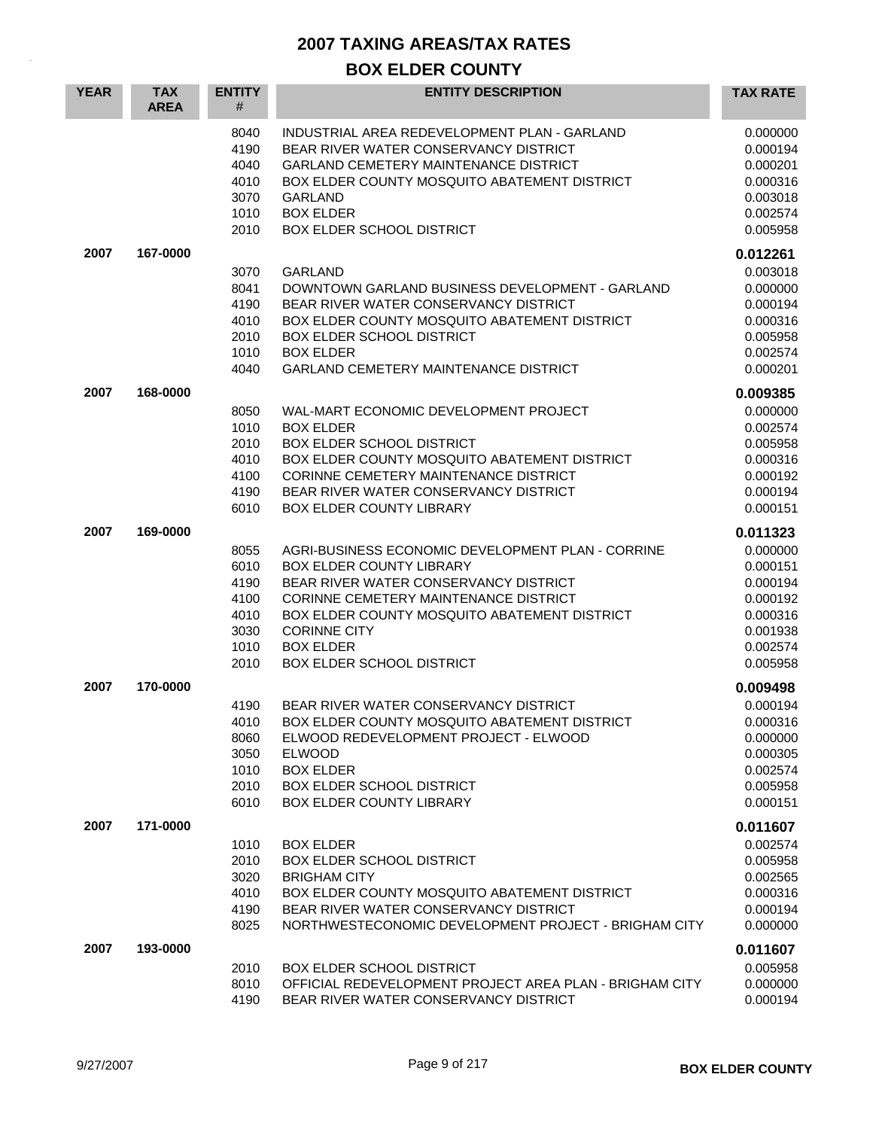| <b>YEAR</b> | <b>TAX</b><br><b>AREA</b> | <b>ENTITY</b><br>#                                           | <b>ENTITY DESCRIPTION</b>                                                                                                                                                                                                                                                                             | <b>TAX RATE</b>                                                                              |
|-------------|---------------------------|--------------------------------------------------------------|-------------------------------------------------------------------------------------------------------------------------------------------------------------------------------------------------------------------------------------------------------------------------------------------------------|----------------------------------------------------------------------------------------------|
|             |                           | 8040<br>4190<br>4040<br>4010<br>3070<br>1010<br>2010         | INDUSTRIAL AREA REDEVELOPMENT PLAN - GARLAND<br>BEAR RIVER WATER CONSERVANCY DISTRICT<br><b>GARLAND CEMETERY MAINTENANCE DISTRICT</b><br>BOX ELDER COUNTY MOSQUITO ABATEMENT DISTRICT<br><b>GARLAND</b><br><b>BOX ELDER</b><br><b>BOX ELDER SCHOOL DISTRICT</b>                                       | 0.000000<br>0.000194<br>0.000201<br>0.000316<br>0.003018<br>0.002574<br>0.005958             |
| 2007        | 167-0000                  |                                                              |                                                                                                                                                                                                                                                                                                       | 0.012261                                                                                     |
|             |                           | 3070<br>8041<br>4190<br>4010<br>2010<br>1010<br>4040         | <b>GARLAND</b><br>DOWNTOWN GARLAND BUSINESS DEVELOPMENT - GARLAND<br>BEAR RIVER WATER CONSERVANCY DISTRICT<br>BOX ELDER COUNTY MOSQUITO ABATEMENT DISTRICT<br><b>BOX ELDER SCHOOL DISTRICT</b><br><b>BOX ELDER</b><br><b>GARLAND CEMETERY MAINTENANCE DISTRICT</b>                                    | 0.003018<br>0.000000<br>0.000194<br>0.000316<br>0.005958<br>0.002574<br>0.000201             |
| 2007        | 168-0000                  |                                                              |                                                                                                                                                                                                                                                                                                       | 0.009385                                                                                     |
|             |                           | 8050<br>1010<br>2010<br>4010<br>4100<br>4190<br>6010         | WAL-MART ECONOMIC DEVELOPMENT PROJECT<br><b>BOX ELDER</b><br><b>BOX ELDER SCHOOL DISTRICT</b><br>BOX ELDER COUNTY MOSQUITO ABATEMENT DISTRICT<br>CORINNE CEMETERY MAINTENANCE DISTRICT<br>BEAR RIVER WATER CONSERVANCY DISTRICT<br>BOX ELDER COUNTY LIBRARY                                           | 0.000000<br>0.002574<br>0.005958<br>0.000316<br>0.000192<br>0.000194<br>0.000151             |
| 2007        | 169-0000                  |                                                              |                                                                                                                                                                                                                                                                                                       | 0.011323                                                                                     |
|             |                           | 8055<br>6010<br>4190<br>4100<br>4010<br>3030<br>1010<br>2010 | AGRI-BUSINESS ECONOMIC DEVELOPMENT PLAN - CORRINE<br><b>BOX ELDER COUNTY LIBRARY</b><br>BEAR RIVER WATER CONSERVANCY DISTRICT<br>CORINNE CEMETERY MAINTENANCE DISTRICT<br>BOX ELDER COUNTY MOSQUITO ABATEMENT DISTRICT<br><b>CORINNE CITY</b><br><b>BOX ELDER</b><br><b>BOX ELDER SCHOOL DISTRICT</b> | 0.000000<br>0.000151<br>0.000194<br>0.000192<br>0.000316<br>0.001938<br>0.002574<br>0.005958 |
| 2007        | 170-0000                  |                                                              |                                                                                                                                                                                                                                                                                                       | 0.009498                                                                                     |
|             |                           | 4190<br>4010<br>8060<br>3050<br>1010<br>2010<br>6010         | BEAR RIVER WATER CONSERVANCY DISTRICT<br>BOX ELDER COUNTY MOSQUITO ABATEMENT DISTRICT<br>ELWOOD REDEVELOPMENT PROJECT - ELWOOD<br><b>ELWOOD</b><br><b>BOX ELDER</b><br>BOX ELDER SCHOOL DISTRICT<br>BOX ELDER COUNTY LIBRARY                                                                          | 0.000194<br>0.000316<br>0.000000<br>0.000305<br>0.002574<br>0.005958<br>0.000151             |
| 2007        | 171-0000                  |                                                              |                                                                                                                                                                                                                                                                                                       | 0.011607                                                                                     |
|             |                           | 1010<br>2010<br>3020<br>4010<br>4190<br>8025                 | <b>BOX ELDER</b><br><b>BOX ELDER SCHOOL DISTRICT</b><br><b>BRIGHAM CITY</b><br>BOX ELDER COUNTY MOSQUITO ABATEMENT DISTRICT<br>BEAR RIVER WATER CONSERVANCY DISTRICT<br>NORTHWESTECONOMIC DEVELOPMENT PROJECT - BRIGHAM CITY                                                                          | 0.002574<br>0.005958<br>0.002565<br>0.000316<br>0.000194<br>0.000000                         |
| 2007        | 193-0000                  |                                                              |                                                                                                                                                                                                                                                                                                       | 0.011607                                                                                     |
|             |                           | 2010<br>8010<br>4190                                         | <b>BOX ELDER SCHOOL DISTRICT</b><br>OFFICIAL REDEVELOPMENT PROJECT AREA PLAN - BRIGHAM CITY<br>BEAR RIVER WATER CONSERVANCY DISTRICT                                                                                                                                                                  | 0.005958<br>0.000000<br>0.000194                                                             |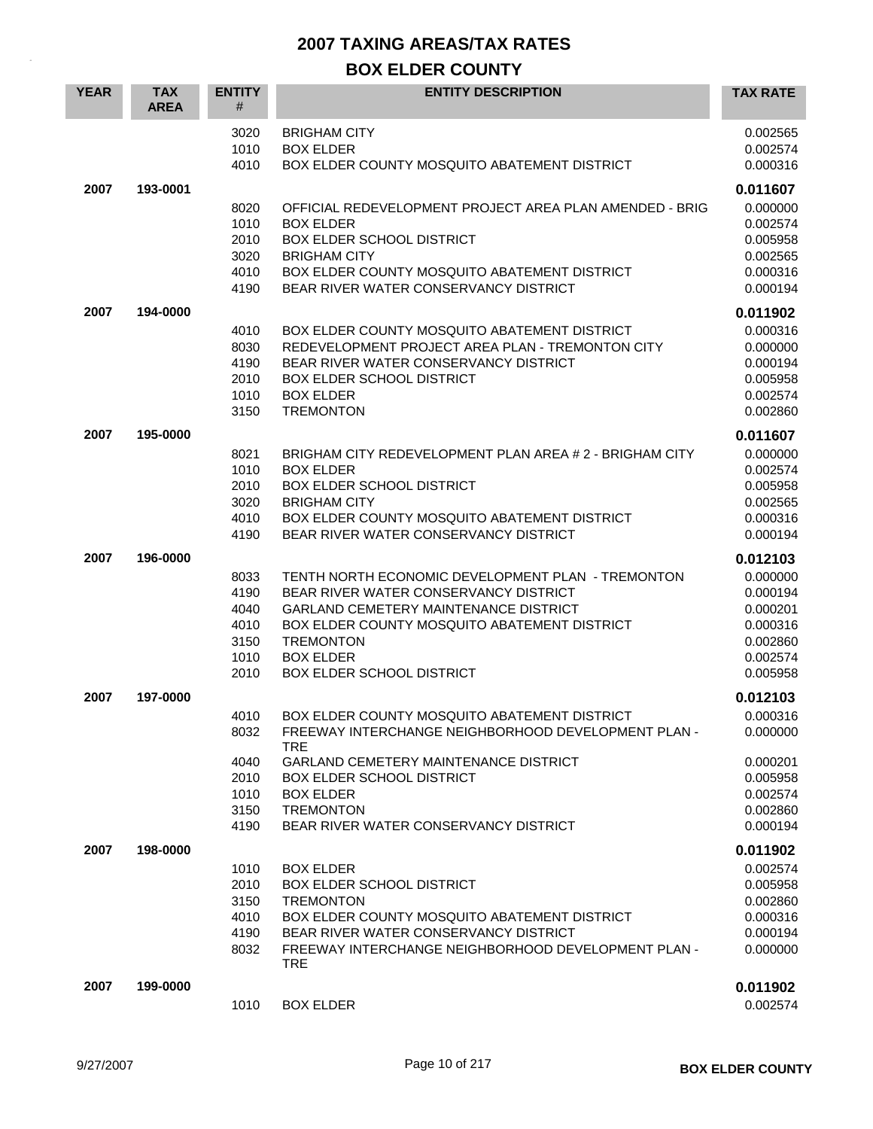| <b>YEAR</b> | <b>TAX</b><br><b>AREA</b> | <b>ENTITY</b><br>#                                   | <b>ENTITY DESCRIPTION</b>                                                                                                                                                                                                                                                              | <b>TAX RATE</b>                                                                              |
|-------------|---------------------------|------------------------------------------------------|----------------------------------------------------------------------------------------------------------------------------------------------------------------------------------------------------------------------------------------------------------------------------------------|----------------------------------------------------------------------------------------------|
|             |                           | 3020<br>1010<br>4010                                 | <b>BRIGHAM CITY</b><br><b>BOX ELDER</b><br>BOX ELDER COUNTY MOSQUITO ABATEMENT DISTRICT                                                                                                                                                                                                | 0.002565<br>0.002574<br>0.000316                                                             |
| 2007        | 193-0001                  | 8020<br>1010<br>2010<br>3020<br>4010<br>4190         | OFFICIAL REDEVELOPMENT PROJECT AREA PLAN AMENDED - BRIG<br><b>BOX ELDER</b><br><b>BOX ELDER SCHOOL DISTRICT</b><br><b>BRIGHAM CITY</b><br>BOX ELDER COUNTY MOSQUITO ABATEMENT DISTRICT<br>BEAR RIVER WATER CONSERVANCY DISTRICT                                                        | 0.011607<br>0.000000<br>0.002574<br>0.005958<br>0.002565<br>0.000316<br>0.000194             |
| 2007        | 194-0000                  | 4010<br>8030<br>4190<br>2010<br>1010<br>3150         | BOX ELDER COUNTY MOSQUITO ABATEMENT DISTRICT<br>REDEVELOPMENT PROJECT AREA PLAN - TREMONTON CITY<br>BEAR RIVER WATER CONSERVANCY DISTRICT<br><b>BOX ELDER SCHOOL DISTRICT</b><br><b>BOX ELDER</b><br><b>TREMONTON</b>                                                                  | 0.011902<br>0.000316<br>0.000000<br>0.000194<br>0.005958<br>0.002574<br>0.002860             |
| 2007        | 195-0000                  | 8021<br>1010<br>2010<br>3020<br>4010<br>4190         | BRIGHAM CITY REDEVELOPMENT PLAN AREA # 2 - BRIGHAM CITY<br><b>BOX ELDER</b><br><b>BOX ELDER SCHOOL DISTRICT</b><br><b>BRIGHAM CITY</b><br>BOX ELDER COUNTY MOSQUITO ABATEMENT DISTRICT<br>BEAR RIVER WATER CONSERVANCY DISTRICT                                                        | 0.011607<br>0.000000<br>0.002574<br>0.005958<br>0.002565<br>0.000316<br>0.000194             |
| 2007        | 196-0000                  | 8033<br>4190<br>4040<br>4010<br>3150<br>1010<br>2010 | TENTH NORTH ECONOMIC DEVELOPMENT PLAN - TREMONTON<br>BEAR RIVER WATER CONSERVANCY DISTRICT<br><b>GARLAND CEMETERY MAINTENANCE DISTRICT</b><br>BOX ELDER COUNTY MOSQUITO ABATEMENT DISTRICT<br><b>TREMONTON</b><br><b>BOX ELDER</b><br><b>BOX ELDER SCHOOL DISTRICT</b>                 | 0.012103<br>0.000000<br>0.000194<br>0.000201<br>0.000316<br>0.002860<br>0.002574<br>0.005958 |
| 2007        | 197-0000                  | 4010<br>8032<br>4040<br>2010<br>1010<br>3150<br>4190 | BOX ELDER COUNTY MOSQUITO ABATEMENT DISTRICT<br>FREEWAY INTERCHANGE NEIGHBORHOOD DEVELOPMENT PLAN -<br><b>TRE</b><br><b>GARLAND CEMETERY MAINTENANCE DISTRICT</b><br><b>BOX ELDER SCHOOL DISTRICT</b><br><b>BOX ELDER</b><br><b>TREMONTON</b><br>BEAR RIVER WATER CONSERVANCY DISTRICT | 0.012103<br>0.000316<br>0.000000<br>0.000201<br>0.005958<br>0.002574<br>0.002860<br>0.000194 |
| 2007        | 198-0000                  | 1010<br>2010<br>3150<br>4010<br>4190<br>8032         | <b>BOX ELDER</b><br><b>BOX ELDER SCHOOL DISTRICT</b><br><b>TREMONTON</b><br>BOX ELDER COUNTY MOSQUITO ABATEMENT DISTRICT<br>BEAR RIVER WATER CONSERVANCY DISTRICT<br>FREEWAY INTERCHANGE NEIGHBORHOOD DEVELOPMENT PLAN -<br><b>TRE</b>                                                 | 0.011902<br>0.002574<br>0.005958<br>0.002860<br>0.000316<br>0.000194<br>0.000000             |
| 2007        | 199-0000                  | 1010                                                 | <b>BOX ELDER</b>                                                                                                                                                                                                                                                                       | 0.011902<br>0.002574                                                                         |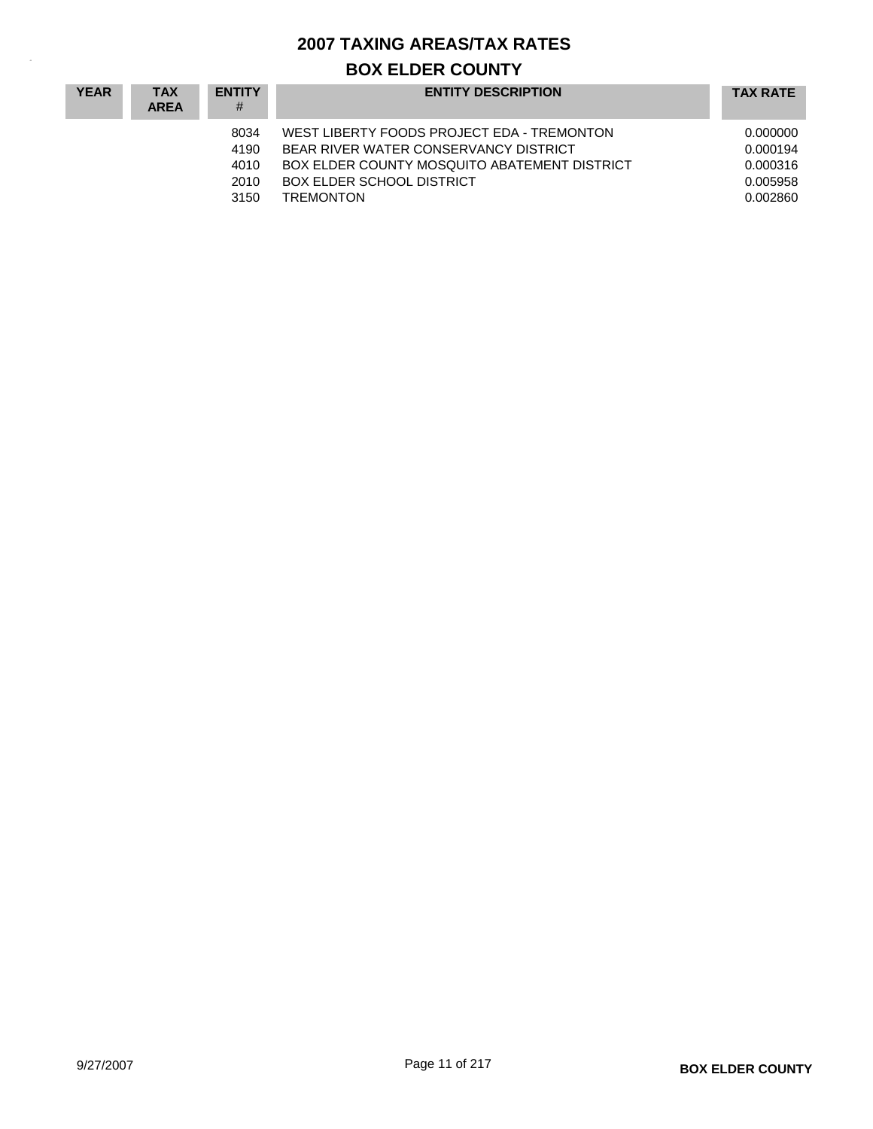| <b>YEAR</b> | <b>TAX</b><br><b>AREA</b> | <b>ENTITY</b><br>#                   | <b>ENTITY DESCRIPTION</b>                                                                                                                                                                   | <b>TAX RATE</b>                                          |
|-------------|---------------------------|--------------------------------------|---------------------------------------------------------------------------------------------------------------------------------------------------------------------------------------------|----------------------------------------------------------|
|             |                           | 8034<br>4190<br>4010<br>2010<br>3150 | WEST LIBERTY FOODS PROJECT EDA - TREMONTON<br>BEAR RIVER WATER CONSERVANCY DISTRICT<br>BOX ELDER COUNTY MOSQUITO ABATEMENT DISTRICT<br><b>BOX ELDER SCHOOL DISTRICT</b><br><b>TREMONTON</b> | 0.000000<br>0.000194<br>0.000316<br>0.005958<br>0.002860 |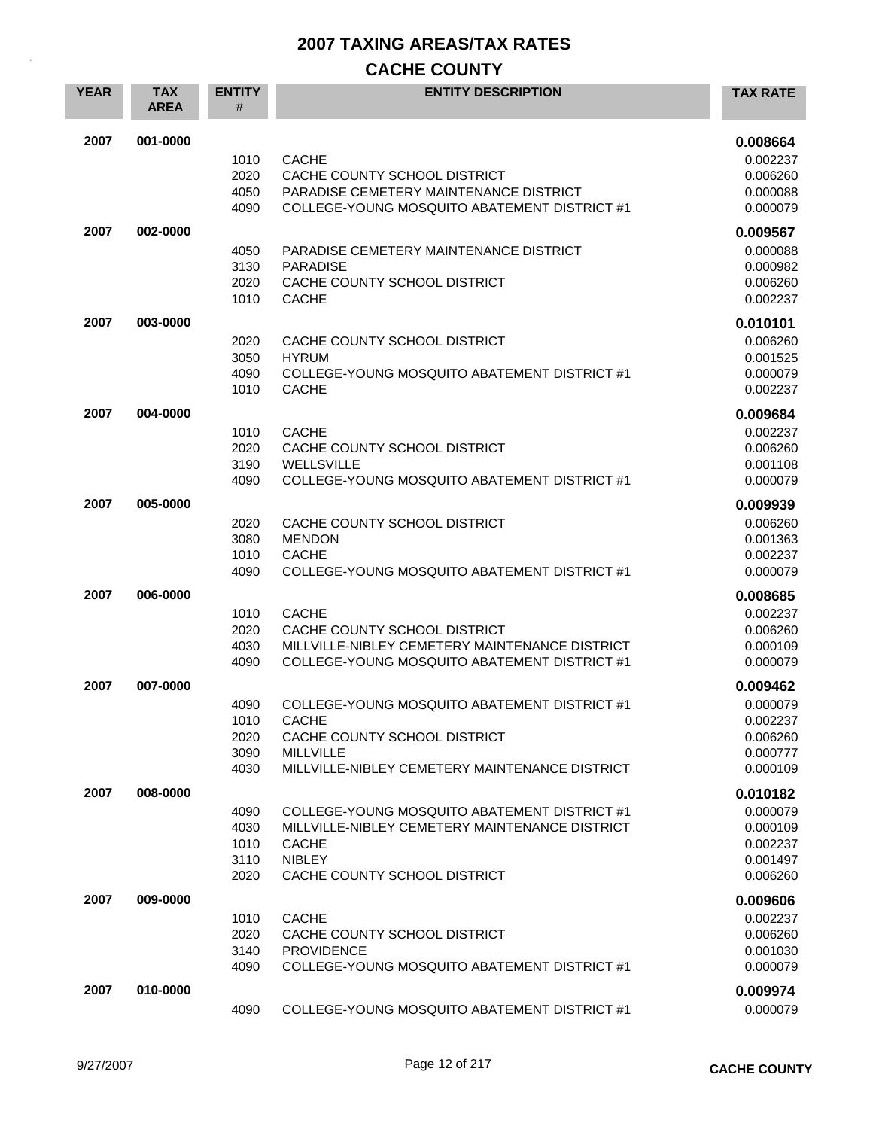| <b>YEAR</b> | <b>TAX</b><br><b>AREA</b> | <b>ENTITY</b><br># | <b>ENTITY DESCRIPTION</b>                      | <b>TAX RATE</b> |
|-------------|---------------------------|--------------------|------------------------------------------------|-----------------|
| 2007        | 001-0000                  |                    |                                                | 0.008664        |
|             |                           | 1010               | <b>CACHE</b>                                   | 0.002237        |
|             |                           | 2020               | CACHE COUNTY SCHOOL DISTRICT                   | 0.006260        |
|             |                           | 4050               | PARADISE CEMETERY MAINTENANCE DISTRICT         | 0.000088        |
|             |                           | 4090               | COLLEGE-YOUNG MOSQUITO ABATEMENT DISTRICT #1   | 0.000079        |
| 2007        | 002-0000                  |                    |                                                | 0.009567        |
|             |                           | 4050               | PARADISE CEMETERY MAINTENANCE DISTRICT         | 0.000088        |
|             |                           | 3130               | <b>PARADISE</b>                                | 0.000982        |
|             |                           | 2020               | CACHE COUNTY SCHOOL DISTRICT                   | 0.006260        |
|             |                           | 1010               | <b>CACHE</b>                                   | 0.002237        |
| 2007        | 003-0000                  |                    |                                                | 0.010101        |
|             |                           | 2020               | CACHE COUNTY SCHOOL DISTRICT                   | 0.006260        |
|             |                           | 3050               | <b>HYRUM</b>                                   | 0.001525        |
|             |                           | 4090               | COLLEGE-YOUNG MOSQUITO ABATEMENT DISTRICT #1   | 0.000079        |
|             |                           | 1010               | <b>CACHE</b>                                   | 0.002237        |
| 2007        | 004-0000                  |                    |                                                | 0.009684        |
|             |                           | 1010               | <b>CACHE</b>                                   | 0.002237        |
|             |                           | 2020               | CACHE COUNTY SCHOOL DISTRICT                   | 0.006260        |
|             |                           | 3190               | <b>WELLSVILLE</b>                              | 0.001108        |
|             |                           | 4090               | COLLEGE-YOUNG MOSQUITO ABATEMENT DISTRICT #1   | 0.000079        |
| 2007        | 005-0000                  |                    |                                                | 0.009939        |
|             |                           | 2020               | CACHE COUNTY SCHOOL DISTRICT                   | 0.006260        |
|             |                           | 3080               | <b>MENDON</b>                                  | 0.001363        |
|             |                           | 1010               | <b>CACHE</b>                                   | 0.002237        |
|             |                           | 4090               | COLLEGE-YOUNG MOSQUITO ABATEMENT DISTRICT #1   | 0.000079        |
| 2007        | 006-0000                  |                    |                                                | 0.008685        |
|             |                           | 1010               | <b>CACHE</b>                                   | 0.002237        |
|             |                           | 2020               | CACHE COUNTY SCHOOL DISTRICT                   | 0.006260        |
|             |                           | 4030               | MILLVILLE-NIBLEY CEMETERY MAINTENANCE DISTRICT | 0.000109        |
|             |                           | 4090               | COLLEGE-YOUNG MOSQUITO ABATEMENT DISTRICT #1   | 0.000079        |
| 2007        | 007-0000                  |                    |                                                | 0.009462        |
|             |                           | 4090               | COLLEGE-YOUNG MOSQUITO ABATEMENT DISTRICT #1   | 0.000079        |
|             |                           | 1010               | <b>CACHE</b>                                   | 0.002237        |
|             |                           | 2020               | CACHE COUNTY SCHOOL DISTRICT                   | 0.006260        |
|             |                           | 3090               | <b>MILLVILLE</b>                               | 0.000777        |
|             |                           | 4030               | MILLVILLE-NIBLEY CEMETERY MAINTENANCE DISTRICT | 0.000109        |
| 2007        | 008-0000                  |                    |                                                | 0.010182        |
|             |                           | 4090               | COLLEGE-YOUNG MOSQUITO ABATEMENT DISTRICT #1   | 0.000079        |
|             |                           | 4030               | MILLVILLE-NIBLEY CEMETERY MAINTENANCE DISTRICT | 0.000109        |
|             |                           | 1010               | <b>CACHE</b>                                   | 0.002237        |
|             |                           | 3110               | <b>NIBLEY</b>                                  | 0.001497        |
|             |                           | 2020               | CACHE COUNTY SCHOOL DISTRICT                   | 0.006260        |
| 2007        | 009-0000                  |                    |                                                | 0.009606        |
|             |                           | 1010               | <b>CACHE</b>                                   | 0.002237        |
|             |                           | 2020               | CACHE COUNTY SCHOOL DISTRICT                   | 0.006260        |
|             |                           | 3140               | <b>PROVIDENCE</b>                              | 0.001030        |
|             |                           | 4090               | COLLEGE-YOUNG MOSQUITO ABATEMENT DISTRICT #1   | 0.000079        |
| 2007        | 010-0000                  |                    |                                                | 0.009974        |
|             |                           | 4090               | COLLEGE-YOUNG MOSQUITO ABATEMENT DISTRICT #1   | 0.000079        |
|             |                           |                    |                                                |                 |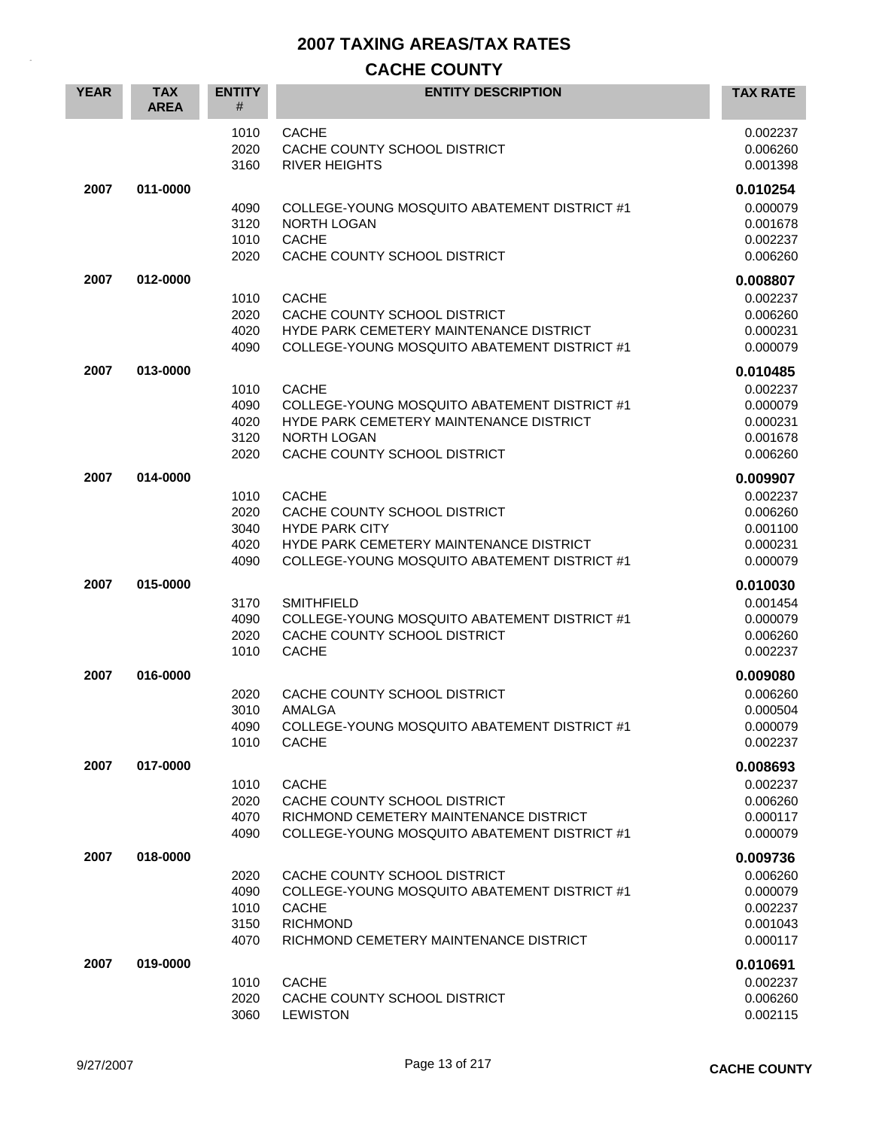| <b>YEAR</b> | <b>TAX</b><br><b>AREA</b> | <b>ENTITY</b><br>#                   | <b>ENTITY DESCRIPTION</b>                                                                                                                                        | <b>TAX RATE</b>                                                      |
|-------------|---------------------------|--------------------------------------|------------------------------------------------------------------------------------------------------------------------------------------------------------------|----------------------------------------------------------------------|
|             |                           | 1010<br>2020<br>3160                 | <b>CACHE</b><br>CACHE COUNTY SCHOOL DISTRICT<br><b>RIVER HEIGHTS</b>                                                                                             | 0.002237<br>0.006260<br>0.001398                                     |
| 2007        | 011-0000                  | 4090<br>3120<br>1010<br>2020         | COLLEGE-YOUNG MOSQUITO ABATEMENT DISTRICT #1<br><b>NORTH LOGAN</b><br><b>CACHE</b><br>CACHE COUNTY SCHOOL DISTRICT                                               | 0.010254<br>0.000079<br>0.001678<br>0.002237<br>0.006260             |
| 2007        | 012-0000                  | 1010<br>2020<br>4020<br>4090         | <b>CACHE</b><br>CACHE COUNTY SCHOOL DISTRICT<br>HYDE PARK CEMETERY MAINTENANCE DISTRICT<br>COLLEGE-YOUNG MOSQUITO ABATEMENT DISTRICT #1                          | 0.008807<br>0.002237<br>0.006260<br>0.000231<br>0.000079             |
| 2007        | 013-0000                  | 1010<br>4090<br>4020<br>3120<br>2020 | <b>CACHE</b><br>COLLEGE-YOUNG MOSQUITO ABATEMENT DISTRICT #1<br>HYDE PARK CEMETERY MAINTENANCE DISTRICT<br>NORTH LOGAN<br>CACHE COUNTY SCHOOL DISTRICT           | 0.010485<br>0.002237<br>0.000079<br>0.000231<br>0.001678<br>0.006260 |
| 2007        | 014-0000                  | 1010<br>2020<br>3040<br>4020<br>4090 | <b>CACHE</b><br>CACHE COUNTY SCHOOL DISTRICT<br><b>HYDE PARK CITY</b><br>HYDE PARK CEMETERY MAINTENANCE DISTRICT<br>COLLEGE-YOUNG MOSQUITO ABATEMENT DISTRICT #1 | 0.009907<br>0.002237<br>0.006260<br>0.001100<br>0.000231<br>0.000079 |
| 2007        | 015-0000                  | 3170<br>4090<br>2020<br>1010         | <b>SMITHFIELD</b><br>COLLEGE-YOUNG MOSQUITO ABATEMENT DISTRICT #1<br>CACHE COUNTY SCHOOL DISTRICT<br><b>CACHE</b>                                                | 0.010030<br>0.001454<br>0.000079<br>0.006260<br>0.002237             |
| 2007        | 016-0000                  | 2020<br>3010<br>4090<br>1010         | CACHE COUNTY SCHOOL DISTRICT<br><b>AMALGA</b><br>COLLEGE-YOUNG MOSQUITO ABATEMENT DISTRICT #1<br><b>CACHE</b>                                                    | 0.009080<br>0.006260<br>0.000504<br>0.000079<br>0.002237             |
| 2007        | 017-0000                  | 1010<br>2020<br>4070<br>4090         | <b>CACHE</b><br>CACHE COUNTY SCHOOL DISTRICT<br>RICHMOND CEMETERY MAINTENANCE DISTRICT<br>COLLEGE-YOUNG MOSQUITO ABATEMENT DISTRICT #1                           | 0.008693<br>0.002237<br>0.006260<br>0.000117<br>0.000079             |
| 2007        | 018-0000                  | 2020<br>4090<br>1010<br>3150<br>4070 | CACHE COUNTY SCHOOL DISTRICT<br>COLLEGE-YOUNG MOSQUITO ABATEMENT DISTRICT #1<br><b>CACHE</b><br><b>RICHMOND</b><br>RICHMOND CEMETERY MAINTENANCE DISTRICT        | 0.009736<br>0.006260<br>0.000079<br>0.002237<br>0.001043<br>0.000117 |
| 2007        | 019-0000                  | 1010<br>2020<br>3060                 | <b>CACHE</b><br>CACHE COUNTY SCHOOL DISTRICT<br><b>LEWISTON</b>                                                                                                  | 0.010691<br>0.002237<br>0.006260<br>0.002115                         |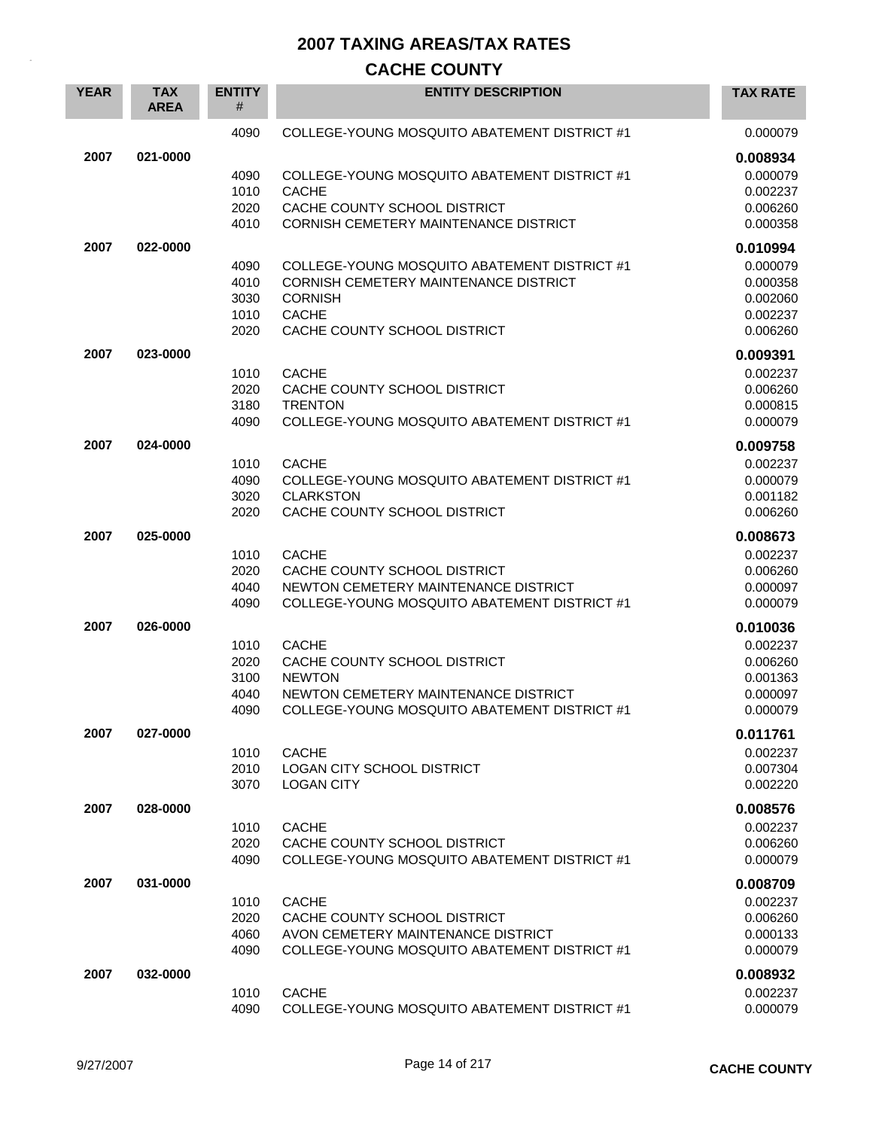| <b>YEAR</b> | <b>TAX</b><br><b>AREA</b> | <b>ENTITY</b><br># | <b>ENTITY DESCRIPTION</b>                                                    | <b>TAX RATE</b>      |
|-------------|---------------------------|--------------------|------------------------------------------------------------------------------|----------------------|
|             |                           | 4090               | COLLEGE-YOUNG MOSQUITO ABATEMENT DISTRICT #1                                 | 0.000079             |
| 2007        | 021-0000                  |                    |                                                                              | 0.008934             |
|             |                           | 4090               | COLLEGE-YOUNG MOSQUITO ABATEMENT DISTRICT #1                                 | 0.000079             |
|             |                           | 1010               | <b>CACHE</b>                                                                 | 0.002237             |
|             |                           | 2020               | CACHE COUNTY SCHOOL DISTRICT                                                 | 0.006260             |
|             |                           | 4010               | <b>CORNISH CEMETERY MAINTENANCE DISTRICT</b>                                 | 0.000358             |
| 2007        | 022-0000                  |                    |                                                                              | 0.010994             |
|             |                           | 4090               | COLLEGE-YOUNG MOSQUITO ABATEMENT DISTRICT #1                                 | 0.000079             |
|             |                           | 4010<br>3030       | <b>CORNISH CEMETERY MAINTENANCE DISTRICT</b><br><b>CORNISH</b>               | 0.000358<br>0.002060 |
|             |                           | 1010               | <b>CACHE</b>                                                                 | 0.002237             |
|             |                           | 2020               | CACHE COUNTY SCHOOL DISTRICT                                                 | 0.006260             |
| 2007        | 023-0000                  |                    |                                                                              | 0.009391             |
|             |                           | 1010               | <b>CACHE</b>                                                                 | 0.002237             |
|             |                           | 2020               | CACHE COUNTY SCHOOL DISTRICT                                                 | 0.006260             |
|             |                           | 3180               | <b>TRENTON</b>                                                               | 0.000815             |
|             |                           | 4090               | COLLEGE-YOUNG MOSQUITO ABATEMENT DISTRICT #1                                 | 0.000079             |
| 2007        | 024-0000                  |                    |                                                                              | 0.009758             |
|             |                           | 1010               | <b>CACHE</b>                                                                 | 0.002237             |
|             |                           | 4090               | COLLEGE-YOUNG MOSQUITO ABATEMENT DISTRICT #1                                 | 0.000079             |
|             |                           | 3020               | <b>CLARKSTON</b>                                                             | 0.001182             |
|             |                           | 2020               | CACHE COUNTY SCHOOL DISTRICT                                                 | 0.006260             |
| 2007        | 025-0000                  |                    |                                                                              | 0.008673             |
|             |                           | 1010<br>2020       | <b>CACHE</b><br>CACHE COUNTY SCHOOL DISTRICT                                 | 0.002237             |
|             |                           | 4040               | NEWTON CEMETERY MAINTENANCE DISTRICT                                         | 0.006260<br>0.000097 |
|             |                           | 4090               | COLLEGE-YOUNG MOSQUITO ABATEMENT DISTRICT #1                                 | 0.000079             |
| 2007        | 026-0000                  |                    |                                                                              | 0.010036             |
|             |                           | 1010               | <b>CACHE</b>                                                                 | 0.002237             |
|             |                           | 2020               | CACHE COUNTY SCHOOL DISTRICT                                                 | 0.006260             |
|             |                           | 3100               | <b>NEWTON</b>                                                                | 0.001363             |
|             |                           | 4040               | NEWTON CEMETERY MAINTENANCE DISTRICT                                         | 0.000097             |
|             |                           | 4090               | COLLEGE-YOUNG MOSQUITO ABATEMENT DISTRICT #1                                 | 0.000079             |
| 2007        | 027-0000                  |                    |                                                                              | 0.011761             |
|             |                           | 1010               | <b>CACHE</b>                                                                 | 0.002237             |
|             |                           | 2010<br>3070       | LOGAN CITY SCHOOL DISTRICT<br><b>LOGAN CITY</b>                              | 0.007304<br>0.002220 |
|             |                           |                    |                                                                              |                      |
| 2007        | 028-0000                  |                    |                                                                              | 0.008576             |
|             |                           | 1010               | <b>CACHE</b>                                                                 | 0.002237             |
|             |                           | 2020<br>4090       | CACHE COUNTY SCHOOL DISTRICT<br>COLLEGE-YOUNG MOSQUITO ABATEMENT DISTRICT #1 | 0.006260<br>0.000079 |
|             |                           |                    |                                                                              |                      |
| 2007        | 031-0000                  |                    | <b>CACHE</b>                                                                 | 0.008709             |
|             |                           | 1010<br>2020       | CACHE COUNTY SCHOOL DISTRICT                                                 | 0.002237<br>0.006260 |
|             |                           | 4060               | AVON CEMETERY MAINTENANCE DISTRICT                                           | 0.000133             |
|             |                           | 4090               | COLLEGE-YOUNG MOSQUITO ABATEMENT DISTRICT #1                                 | 0.000079             |
| 2007        | 032-0000                  |                    |                                                                              | 0.008932             |
|             |                           | 1010               | <b>CACHE</b>                                                                 | 0.002237             |
|             |                           | 4090               | COLLEGE-YOUNG MOSQUITO ABATEMENT DISTRICT #1                                 | 0.000079             |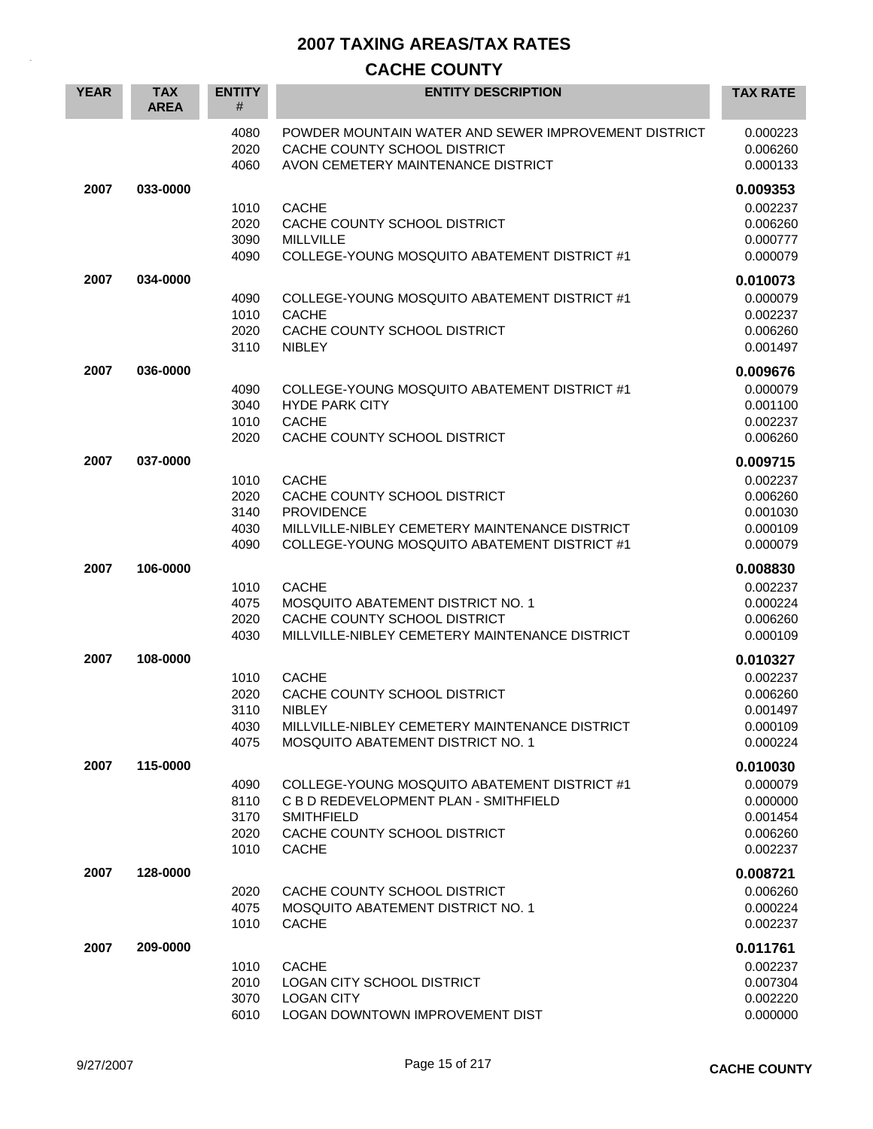| <b>YEAR</b> | <b>TAX</b><br><b>AREA</b> | <b>ENTITY</b><br>#   | <b>ENTITY DESCRIPTION</b>                                                                                                  | <b>TAX RATE</b>                  |
|-------------|---------------------------|----------------------|----------------------------------------------------------------------------------------------------------------------------|----------------------------------|
|             |                           | 4080<br>2020<br>4060 | POWDER MOUNTAIN WATER AND SEWER IMPROVEMENT DISTRICT<br>CACHE COUNTY SCHOOL DISTRICT<br>AVON CEMETERY MAINTENANCE DISTRICT | 0.000223<br>0.006260<br>0.000133 |
| 2007        | 033-0000                  |                      |                                                                                                                            | 0.009353                         |
|             |                           | 1010                 | <b>CACHE</b>                                                                                                               | 0.002237                         |
|             |                           | 2020                 | CACHE COUNTY SCHOOL DISTRICT                                                                                               | 0.006260                         |
|             |                           | 3090                 | <b>MILLVILLE</b>                                                                                                           | 0.000777                         |
|             |                           | 4090                 | COLLEGE-YOUNG MOSQUITO ABATEMENT DISTRICT #1                                                                               | 0.000079                         |
| 2007        | 034-0000                  |                      |                                                                                                                            | 0.010073                         |
|             |                           | 4090                 | COLLEGE-YOUNG MOSQUITO ABATEMENT DISTRICT #1                                                                               | 0.000079                         |
|             |                           | 1010                 | <b>CACHE</b>                                                                                                               | 0.002237                         |
|             |                           | 2020                 | CACHE COUNTY SCHOOL DISTRICT<br><b>NIBLEY</b>                                                                              | 0.006260                         |
|             |                           | 3110                 |                                                                                                                            | 0.001497                         |
| 2007        | 036-0000                  |                      |                                                                                                                            | 0.009676                         |
|             |                           | 4090                 | COLLEGE-YOUNG MOSQUITO ABATEMENT DISTRICT #1                                                                               | 0.000079                         |
|             |                           | 3040<br>1010         | <b>HYDE PARK CITY</b><br><b>CACHE</b>                                                                                      | 0.001100<br>0.002237             |
|             |                           | 2020                 | CACHE COUNTY SCHOOL DISTRICT                                                                                               | 0.006260                         |
|             |                           |                      |                                                                                                                            |                                  |
| 2007        | 037-0000                  |                      |                                                                                                                            | 0.009715                         |
|             |                           | 1010                 | <b>CACHE</b><br>CACHE COUNTY SCHOOL DISTRICT                                                                               | 0.002237                         |
|             |                           | 2020<br>3140         | <b>PROVIDENCE</b>                                                                                                          | 0.006260<br>0.001030             |
|             |                           | 4030                 | MILLVILLE-NIBLEY CEMETERY MAINTENANCE DISTRICT                                                                             | 0.000109                         |
|             |                           | 4090                 | COLLEGE-YOUNG MOSQUITO ABATEMENT DISTRICT #1                                                                               | 0.000079                         |
| 2007        | 106-0000                  |                      |                                                                                                                            | 0.008830                         |
|             |                           | 1010                 | <b>CACHE</b>                                                                                                               | 0.002237                         |
|             |                           | 4075                 | MOSQUITO ABATEMENT DISTRICT NO. 1                                                                                          | 0.000224                         |
|             |                           | 2020                 | CACHE COUNTY SCHOOL DISTRICT                                                                                               | 0.006260                         |
|             |                           | 4030                 | MILLVILLE-NIBLEY CEMETERY MAINTENANCE DISTRICT                                                                             | 0.000109                         |
| 2007        | 108-0000                  |                      |                                                                                                                            | 0.010327                         |
|             |                           | 1010                 | <b>CACHE</b>                                                                                                               | 0.002237                         |
|             |                           | 2020                 | CACHE COUNTY SCHOOL DISTRICT                                                                                               | 0.006260                         |
|             |                           | 3110                 | <b>NIBLEY</b>                                                                                                              | 0.001497                         |
|             |                           | 4030                 | MILLVILLE-NIBLEY CEMETERY MAINTENANCE DISTRICT                                                                             | 0.000109                         |
|             |                           | 4075                 | <b>MOSQUITO ABATEMENT DISTRICT NO. 1</b>                                                                                   | 0.000224                         |
| 2007        | 115-0000                  |                      |                                                                                                                            | 0.010030                         |
|             |                           | 4090                 | COLLEGE-YOUNG MOSQUITO ABATEMENT DISTRICT #1                                                                               | 0.000079                         |
|             |                           | 8110                 | C B D REDEVELOPMENT PLAN - SMITHFIELD                                                                                      | 0.000000                         |
|             |                           | 3170                 | <b>SMITHFIELD</b>                                                                                                          | 0.001454                         |
|             |                           | 2020<br>1010         | CACHE COUNTY SCHOOL DISTRICT<br><b>CACHE</b>                                                                               | 0.006260<br>0.002237             |
|             |                           |                      |                                                                                                                            |                                  |
| 2007        | 128-0000                  |                      |                                                                                                                            | 0.008721                         |
|             |                           | 2020                 | CACHE COUNTY SCHOOL DISTRICT                                                                                               | 0.006260                         |
|             |                           | 4075                 | <b>MOSQUITO ABATEMENT DISTRICT NO. 1</b>                                                                                   | 0.000224                         |
|             |                           | 1010                 | <b>CACHE</b>                                                                                                               | 0.002237                         |
| 2007        | 209-0000                  |                      |                                                                                                                            | 0.011761                         |
|             |                           | 1010                 | <b>CACHE</b>                                                                                                               | 0.002237                         |
|             |                           | 2010<br>3070         | LOGAN CITY SCHOOL DISTRICT<br><b>LOGAN CITY</b>                                                                            | 0.007304<br>0.002220             |
|             |                           | 6010                 | LOGAN DOWNTOWN IMPROVEMENT DIST                                                                                            | 0.000000                         |
|             |                           |                      |                                                                                                                            |                                  |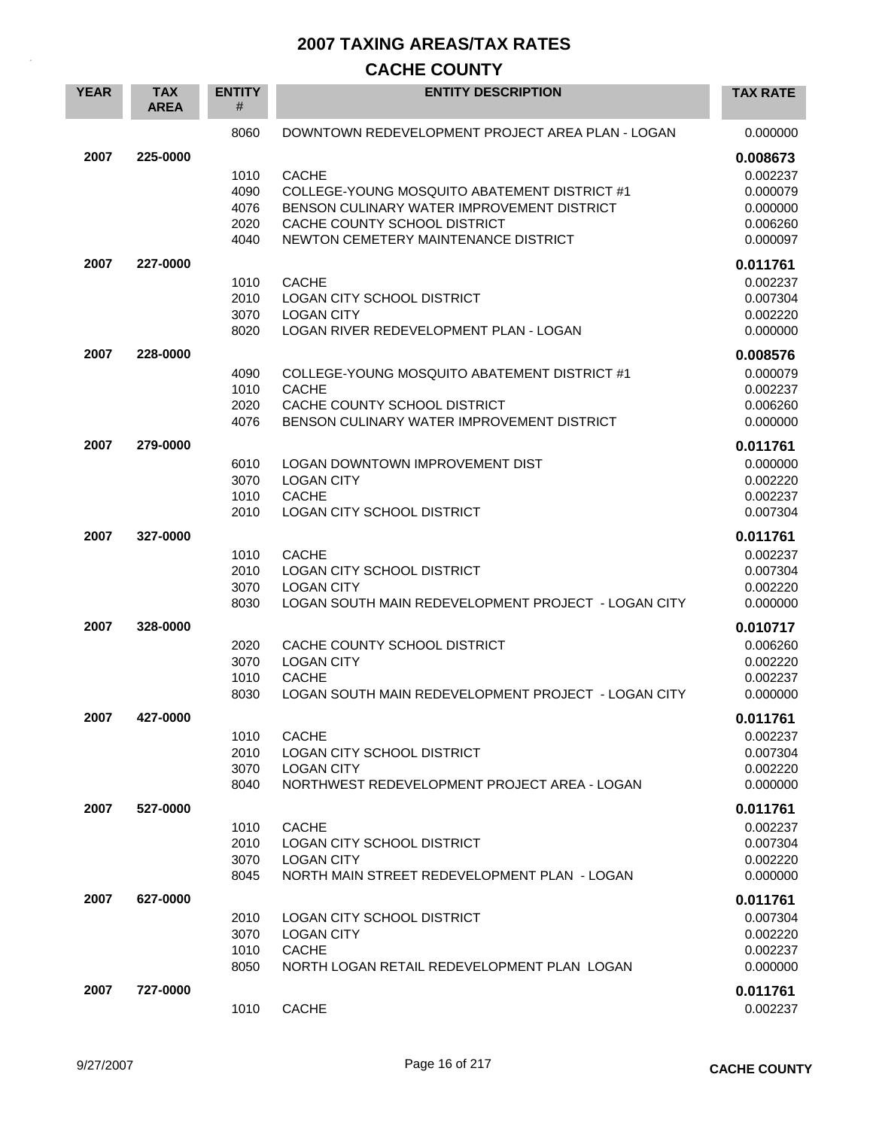| <b>YEAR</b> | <b>TAX</b><br><b>AREA</b> | <b>ENTITY</b><br># | <b>ENTITY DESCRIPTION</b>                                                  | <b>TAX RATE</b>      |
|-------------|---------------------------|--------------------|----------------------------------------------------------------------------|----------------------|
|             |                           | 8060               | DOWNTOWN REDEVELOPMENT PROJECT AREA PLAN - LOGAN                           | 0.000000             |
| 2007        | 225-0000                  |                    |                                                                            | 0.008673             |
|             |                           | 1010               | <b>CACHE</b>                                                               | 0.002237             |
|             |                           | 4090               | COLLEGE-YOUNG MOSQUITO ABATEMENT DISTRICT #1                               | 0.000079             |
|             |                           | 4076<br>2020       | BENSON CULINARY WATER IMPROVEMENT DISTRICT<br>CACHE COUNTY SCHOOL DISTRICT | 0.000000<br>0.006260 |
|             |                           | 4040               | NEWTON CEMETERY MAINTENANCE DISTRICT                                       | 0.000097             |
| 2007        | 227-0000                  |                    |                                                                            | 0.011761             |
|             |                           | 1010               | <b>CACHE</b>                                                               | 0.002237             |
|             |                           | 2010               | LOGAN CITY SCHOOL DISTRICT                                                 | 0.007304             |
|             |                           | 3070               | <b>LOGAN CITY</b>                                                          | 0.002220             |
|             |                           | 8020               | LOGAN RIVER REDEVELOPMENT PLAN - LOGAN                                     | 0.000000             |
| 2007        | 228-0000                  |                    |                                                                            | 0.008576             |
|             |                           | 4090               | COLLEGE-YOUNG MOSQUITO ABATEMENT DISTRICT #1<br><b>CACHE</b>               | 0.000079             |
|             |                           | 1010<br>2020       | CACHE COUNTY SCHOOL DISTRICT                                               | 0.002237<br>0.006260 |
|             |                           | 4076               | BENSON CULINARY WATER IMPROVEMENT DISTRICT                                 | 0.000000             |
| 2007        | 279-0000                  |                    |                                                                            | 0.011761             |
|             |                           | 6010               | <b>LOGAN DOWNTOWN IMPROVEMENT DIST</b>                                     | 0.000000             |
|             |                           | 3070               | <b>LOGAN CITY</b>                                                          | 0.002220             |
|             |                           | 1010<br>2010       | <b>CACHE</b><br><b>LOGAN CITY SCHOOL DISTRICT</b>                          | 0.002237<br>0.007304 |
|             |                           |                    |                                                                            |                      |
| 2007        | 327-0000                  |                    |                                                                            | 0.011761             |
|             |                           | 1010<br>2010       | <b>CACHE</b><br>LOGAN CITY SCHOOL DISTRICT                                 | 0.002237<br>0.007304 |
|             |                           | 3070               | <b>LOGAN CITY</b>                                                          | 0.002220             |
|             |                           | 8030               | LOGAN SOUTH MAIN REDEVELOPMENT PROJECT - LOGAN CITY                        | 0.000000             |
| 2007        | 328-0000                  |                    |                                                                            | 0.010717             |
|             |                           | 2020               | CACHE COUNTY SCHOOL DISTRICT                                               | 0.006260             |
|             |                           | 3070               | <b>LOGAN CITY</b>                                                          | 0.002220             |
|             |                           | 1010               | <b>CACHE</b>                                                               | 0.002237             |
|             |                           | 8030               | LOGAN SOUTH MAIN REDEVELOPMENT PROJECT - LOGAN CITY                        | 0.000000             |
| 2007        | 427-0000                  |                    |                                                                            | 0.011761             |
|             |                           | 1010               | <b>CACHE</b><br><b>LOGAN CITY SCHOOL DISTRICT</b>                          | 0.002237             |
|             |                           | 2010<br>3070       | <b>LOGAN CITY</b>                                                          | 0.007304<br>0.002220 |
|             |                           | 8040               | NORTHWEST REDEVELOPMENT PROJECT AREA - LOGAN                               | 0.000000             |
| 2007        | 527-0000                  |                    |                                                                            | 0.011761             |
|             |                           | 1010               | <b>CACHE</b>                                                               | 0.002237             |
|             |                           | 2010               | LOGAN CITY SCHOOL DISTRICT                                                 | 0.007304             |
|             |                           | 3070               | <b>LOGAN CITY</b>                                                          | 0.002220             |
|             |                           | 8045               | NORTH MAIN STREET REDEVELOPMENT PLAN - LOGAN                               | 0.000000             |
| 2007        | 627-0000                  |                    |                                                                            | 0.011761             |
|             |                           | 2010<br>3070       | LOGAN CITY SCHOOL DISTRICT                                                 | 0.007304             |
|             |                           | 1010               | <b>LOGAN CITY</b><br><b>CACHE</b>                                          | 0.002220<br>0.002237 |
|             |                           | 8050               | NORTH LOGAN RETAIL REDEVELOPMENT PLAN LOGAN                                | 0.000000             |
| 2007        | 727-0000                  |                    |                                                                            | 0.011761             |
|             |                           | 1010               | <b>CACHE</b>                                                               | 0.002237             |
|             |                           |                    |                                                                            |                      |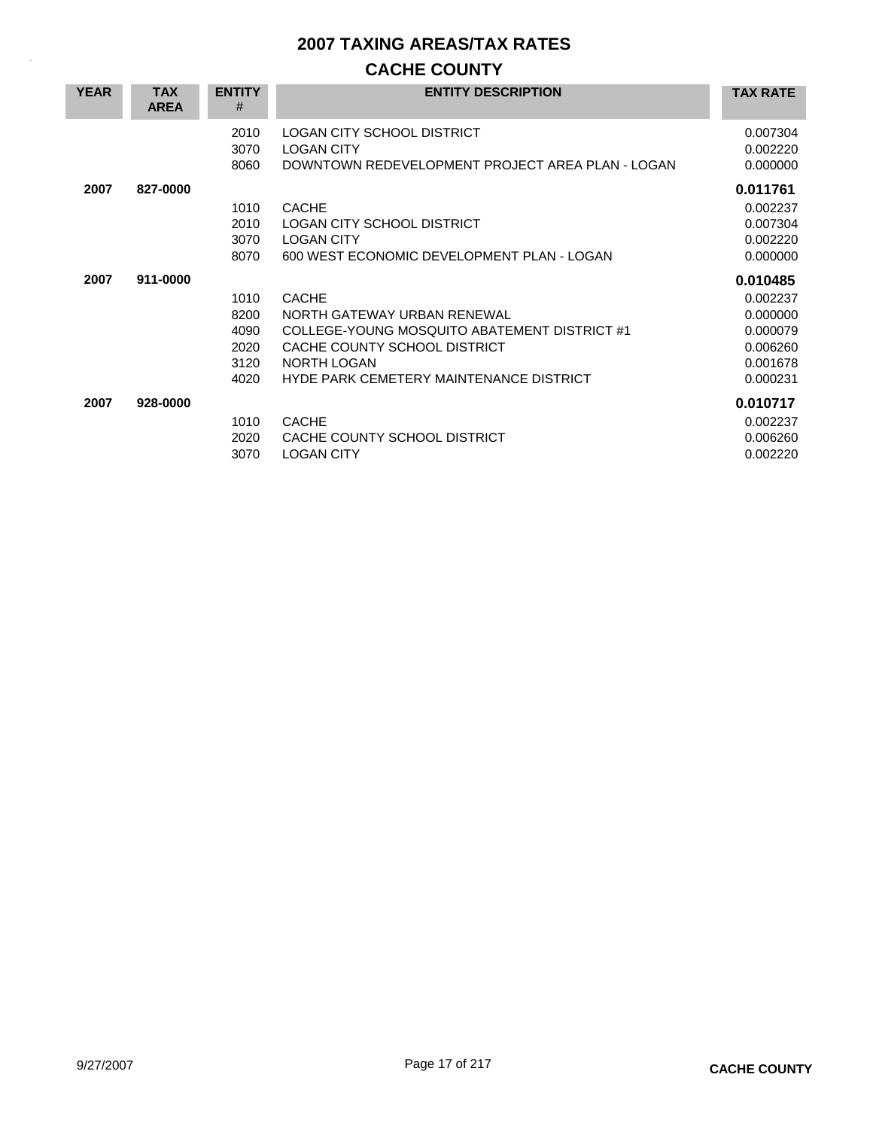| <b>YEAR</b> | <b>TAX</b><br><b>AREA</b> | <b>ENTITY</b><br>#                           | <b>ENTITY DESCRIPTION</b>                                                                                                                                                             | <b>TAX RATE</b>                                                                  |
|-------------|---------------------------|----------------------------------------------|---------------------------------------------------------------------------------------------------------------------------------------------------------------------------------------|----------------------------------------------------------------------------------|
|             |                           | 2010<br>3070<br>8060                         | <b>LOGAN CITY SCHOOL DISTRICT</b><br><b>LOGAN CITY</b><br>DOWNTOWN REDEVELOPMENT PROJECT AREA PLAN - LOGAN                                                                            | 0.007304<br>0.002220<br>0.000000                                                 |
| 2007        | 827-0000                  | 1010<br>2010<br>3070<br>8070                 | <b>CACHE</b><br><b>LOGAN CITY SCHOOL DISTRICT</b><br><b>LOGAN CITY</b><br>600 WEST ECONOMIC DEVELOPMENT PLAN - LOGAN                                                                  | 0.011761<br>0.002237<br>0.007304<br>0.002220<br>0.000000                         |
| 2007        | 911-0000                  | 1010<br>8200<br>4090<br>2020<br>3120<br>4020 | <b>CACHE</b><br>NORTH GATEWAY URBAN RENEWAL<br>COLLEGE-YOUNG MOSQUITO ABATEMENT DISTRICT #1<br>CACHE COUNTY SCHOOL DISTRICT<br>NORTH LOGAN<br>HYDE PARK CEMETERY MAINTENANCE DISTRICT | 0.010485<br>0.002237<br>0.000000<br>0.000079<br>0.006260<br>0.001678<br>0.000231 |
| 2007        | 928-0000                  | 1010<br>2020<br>3070                         | <b>CACHE</b><br>CACHE COUNTY SCHOOL DISTRICT<br><b>LOGAN CITY</b>                                                                                                                     | 0.010717<br>0.002237<br>0.006260<br>0.002220                                     |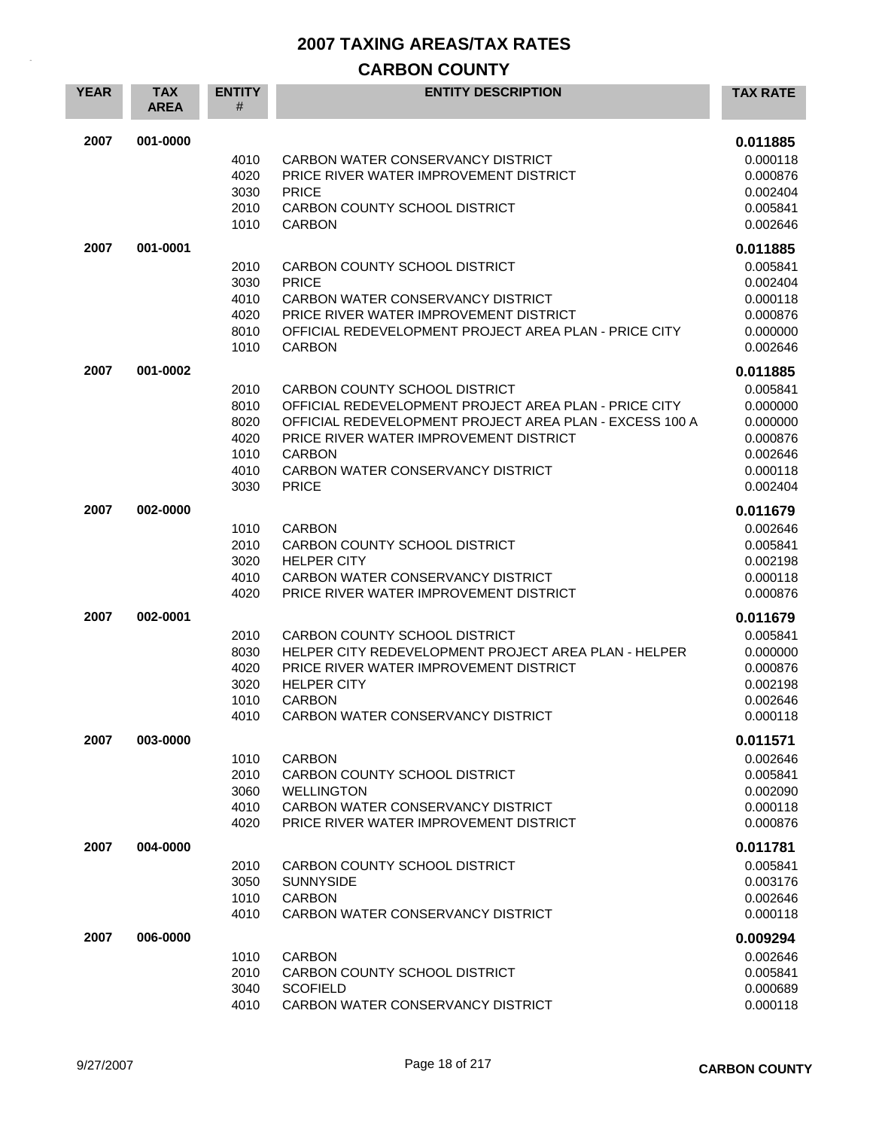## **CARBON COUNTY**

| <b>YEAR</b> | <b>TAX</b><br><b>AREA</b> | <b>ENTITY</b><br># | <b>ENTITY DESCRIPTION</b>                                    | <b>TAX RATE</b>      |
|-------------|---------------------------|--------------------|--------------------------------------------------------------|----------------------|
| 2007        | 001-0000                  |                    |                                                              | 0.011885             |
|             |                           | 4010               | CARBON WATER CONSERVANCY DISTRICT                            | 0.000118             |
|             |                           | 4020               | PRICE RIVER WATER IMPROVEMENT DISTRICT                       | 0.000876             |
|             |                           | 3030               | <b>PRICE</b>                                                 | 0.002404             |
|             |                           | 2010<br>1010       | CARBON COUNTY SCHOOL DISTRICT<br><b>CARBON</b>               | 0.005841<br>0.002646 |
|             |                           |                    |                                                              |                      |
| 2007        | 001-0001                  |                    |                                                              | 0.011885             |
|             |                           | 2010<br>3030       | CARBON COUNTY SCHOOL DISTRICT<br><b>PRICE</b>                | 0.005841<br>0.002404 |
|             |                           | 4010               | CARBON WATER CONSERVANCY DISTRICT                            | 0.000118             |
|             |                           | 4020               | PRICE RIVER WATER IMPROVEMENT DISTRICT                       | 0.000876             |
|             |                           | 8010               | OFFICIAL REDEVELOPMENT PROJECT AREA PLAN - PRICE CITY        | 0.000000             |
|             |                           | 1010               | <b>CARBON</b>                                                | 0.002646             |
| 2007        | 001-0002                  |                    |                                                              | 0.011885             |
|             |                           | 2010               | CARBON COUNTY SCHOOL DISTRICT                                | 0.005841             |
|             |                           | 8010               | OFFICIAL REDEVELOPMENT PROJECT AREA PLAN - PRICE CITY        | 0.000000             |
|             |                           | 8020               | OFFICIAL REDEVELOPMENT PROJECT AREA PLAN - EXCESS 100 A      | 0.000000             |
|             |                           | 4020<br>1010       | PRICE RIVER WATER IMPROVEMENT DISTRICT<br><b>CARBON</b>      | 0.000876<br>0.002646 |
|             |                           | 4010               | CARBON WATER CONSERVANCY DISTRICT                            | 0.000118             |
|             |                           | 3030               | <b>PRICE</b>                                                 | 0.002404             |
| 2007        | 002-0000                  |                    |                                                              | 0.011679             |
|             |                           | 1010               | <b>CARBON</b>                                                | 0.002646             |
|             |                           | 2010               | CARBON COUNTY SCHOOL DISTRICT                                | 0.005841             |
|             |                           | 3020               | <b>HELPER CITY</b>                                           | 0.002198             |
|             |                           | 4010               | CARBON WATER CONSERVANCY DISTRICT                            | 0.000118             |
|             |                           | 4020               | PRICE RIVER WATER IMPROVEMENT DISTRICT                       | 0.000876             |
| 2007        | 002-0001                  |                    |                                                              | 0.011679             |
|             |                           | 2010               | CARBON COUNTY SCHOOL DISTRICT                                | 0.005841             |
|             |                           | 8030               | HELPER CITY REDEVELOPMENT PROJECT AREA PLAN - HELPER         | 0.000000             |
|             |                           | 4020<br>3020       | PRICE RIVER WATER IMPROVEMENT DISTRICT<br><b>HELPER CITY</b> | 0.000876<br>0.002198 |
|             |                           | 1010               | <b>CARBON</b>                                                | 0.002646             |
|             |                           | 4010               | CARBON WATER CONSERVANCY DISTRICT                            | 0.000118             |
| 2007        | 003-0000                  |                    |                                                              | 0.011571             |
|             |                           | 1010               | <b>CARBON</b>                                                | 0.002646             |
|             |                           | 2010               | CARBON COUNTY SCHOOL DISTRICT                                | 0.005841             |
|             |                           | 3060               | <b>WELLINGTON</b>                                            | 0.002090             |
|             |                           | 4010               | CARBON WATER CONSERVANCY DISTRICT                            | 0.000118             |
|             |                           | 4020               | PRICE RIVER WATER IMPROVEMENT DISTRICT                       | 0.000876             |
| 2007        | 004-0000                  |                    |                                                              | 0.011781             |
|             |                           | 2010               | CARBON COUNTY SCHOOL DISTRICT                                | 0.005841             |
|             |                           | 3050               | <b>SUNNYSIDE</b>                                             | 0.003176             |
|             |                           | 1010               | <b>CARBON</b>                                                | 0.002646             |
|             |                           | 4010               | CARBON WATER CONSERVANCY DISTRICT                            | 0.000118             |
| 2007        | 006-0000                  |                    |                                                              | 0.009294             |
|             |                           | 1010<br>2010       | <b>CARBON</b><br>CARBON COUNTY SCHOOL DISTRICT               | 0.002646<br>0.005841 |
|             |                           | 3040               | <b>SCOFIELD</b>                                              | 0.000689             |
|             |                           | 4010               | CARBON WATER CONSERVANCY DISTRICT                            | 0.000118             |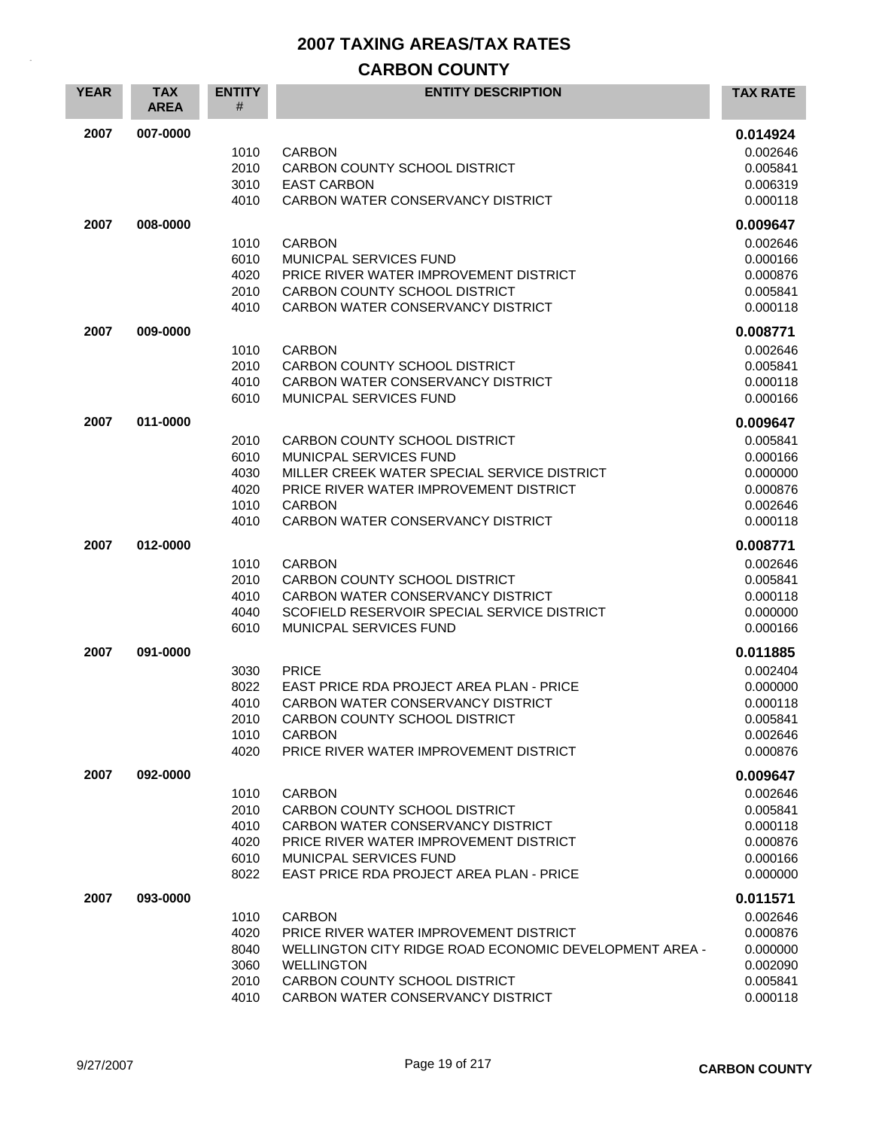## **CARBON COUNTY**

| <b>YEAR</b> | <b>TAX</b><br><b>AREA</b> | <b>ENTITY</b><br># | <b>ENTITY DESCRIPTION</b>                                                             | <b>TAX RATE</b>      |
|-------------|---------------------------|--------------------|---------------------------------------------------------------------------------------|----------------------|
| 2007        | 007-0000                  |                    |                                                                                       | 0.014924             |
|             |                           | 1010               | <b>CARBON</b>                                                                         | 0.002646             |
|             |                           | 2010               | CARBON COUNTY SCHOOL DISTRICT                                                         | 0.005841             |
|             |                           | 3010               | <b>EAST CARBON</b>                                                                    | 0.006319             |
|             |                           | 4010               | CARBON WATER CONSERVANCY DISTRICT                                                     | 0.000118             |
| 2007        | 008-0000                  |                    |                                                                                       | 0.009647             |
|             |                           | 1010               | <b>CARBON</b>                                                                         | 0.002646             |
|             |                           | 6010<br>4020       | MUNICPAL SERVICES FUND<br>PRICE RIVER WATER IMPROVEMENT DISTRICT                      | 0.000166<br>0.000876 |
|             |                           | 2010               | CARBON COUNTY SCHOOL DISTRICT                                                         | 0.005841             |
|             |                           | 4010               | CARBON WATER CONSERVANCY DISTRICT                                                     | 0.000118             |
| 2007        | 009-0000                  |                    |                                                                                       | 0.008771             |
|             |                           | 1010               | <b>CARBON</b>                                                                         | 0.002646             |
|             |                           | 2010               | CARBON COUNTY SCHOOL DISTRICT                                                         | 0.005841             |
|             |                           | 4010               | CARBON WATER CONSERVANCY DISTRICT                                                     | 0.000118             |
|             |                           | 6010               | MUNICPAL SERVICES FUND                                                                | 0.000166             |
| 2007        | 011-0000                  |                    |                                                                                       | 0.009647             |
|             |                           | 2010               | CARBON COUNTY SCHOOL DISTRICT                                                         | 0.005841             |
|             |                           | 6010               | MUNICPAL SERVICES FUND                                                                | 0.000166             |
|             |                           | 4030               | MILLER CREEK WATER SPECIAL SERVICE DISTRICT<br>PRICE RIVER WATER IMPROVEMENT DISTRICT | 0.000000             |
|             |                           | 4020<br>1010       | <b>CARBON</b>                                                                         | 0.000876<br>0.002646 |
|             |                           | 4010               | CARBON WATER CONSERVANCY DISTRICT                                                     | 0.000118             |
| 2007        | 012-0000                  |                    |                                                                                       | 0.008771             |
|             |                           | 1010               | <b>CARBON</b>                                                                         | 0.002646             |
|             |                           | 2010               | CARBON COUNTY SCHOOL DISTRICT                                                         | 0.005841             |
|             |                           | 4010               | CARBON WATER CONSERVANCY DISTRICT                                                     | 0.000118             |
|             |                           | 4040               | SCOFIELD RESERVOIR SPECIAL SERVICE DISTRICT                                           | 0.000000             |
|             |                           | 6010               | MUNICPAL SERVICES FUND                                                                | 0.000166             |
| 2007        | 091-0000                  |                    |                                                                                       | 0.011885             |
|             |                           | 3030               | <b>PRICE</b>                                                                          | 0.002404             |
|             |                           | 8022               | <b>EAST PRICE RDA PROJECT AREA PLAN - PRICE</b>                                       | 0.000000             |
|             |                           | 4010<br>2010       | CARBON WATER CONSERVANCY DISTRICT<br>CARBON COUNTY SCHOOL DISTRICT                    | 0.000118<br>0.005841 |
|             |                           | 1010               | <b>CARBON</b>                                                                         | 0.002646             |
|             |                           | 4020               | PRICE RIVER WATER IMPROVEMENT DISTRICT                                                | 0.000876             |
| 2007        | 092-0000                  |                    |                                                                                       | 0.009647             |
|             |                           | 1010               | <b>CARBON</b>                                                                         | 0.002646             |
|             |                           | 2010               | CARBON COUNTY SCHOOL DISTRICT                                                         | 0.005841             |
|             |                           | 4010               | CARBON WATER CONSERVANCY DISTRICT                                                     | 0.000118             |
|             |                           | 4020               | PRICE RIVER WATER IMPROVEMENT DISTRICT                                                | 0.000876             |
|             |                           | 6010               | MUNICPAL SERVICES FUND                                                                | 0.000166             |
|             |                           | 8022               | EAST PRICE RDA PROJECT AREA PLAN - PRICE                                              | 0.000000             |
| 2007        | 093-0000                  |                    |                                                                                       | 0.011571             |
|             |                           | 1010               | <b>CARBON</b><br>PRICE RIVER WATER IMPROVEMENT DISTRICT                               | 0.002646             |
|             |                           | 4020<br>8040       | WELLINGTON CITY RIDGE ROAD ECONOMIC DEVELOPMENT AREA -                                | 0.000876<br>0.000000 |
|             |                           | 3060               | <b>WELLINGTON</b>                                                                     | 0.002090             |
|             |                           | 2010               | CARBON COUNTY SCHOOL DISTRICT                                                         | 0.005841             |
|             |                           | 4010               | CARBON WATER CONSERVANCY DISTRICT                                                     | 0.000118             |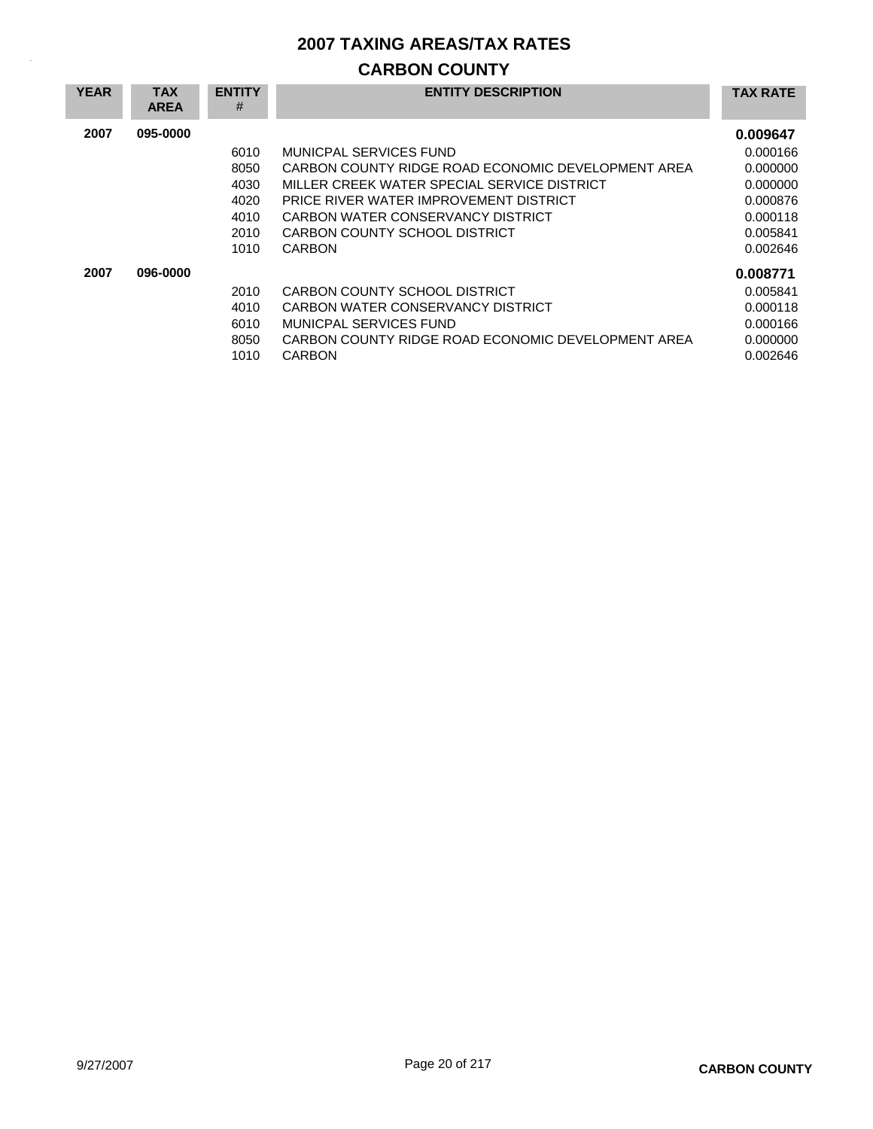## **CARBON COUNTY**

| <b>YEAR</b> | <b>TAX</b><br><b>AREA</b> | <b>ENTITY</b><br># | <b>ENTITY DESCRIPTION</b>                          | <b>TAX RATE</b> |
|-------------|---------------------------|--------------------|----------------------------------------------------|-----------------|
| 2007        | 095-0000                  |                    |                                                    | 0.009647        |
|             |                           | 6010               | MUNICPAL SERVICES FUND                             | 0.000166        |
|             |                           | 8050               | CARBON COUNTY RIDGE ROAD ECONOMIC DEVELOPMENT AREA | 0.000000        |
|             |                           | 4030               | MILLER CREEK WATER SPECIAL SERVICE DISTRICT        | 0.000000        |
|             |                           | 4020               | PRICE RIVER WATER IMPROVEMENT DISTRICT             | 0.000876        |
|             |                           | 4010               | CARBON WATER CONSERVANCY DISTRICT                  | 0.000118        |
|             |                           | 2010               | CARBON COUNTY SCHOOL DISTRICT                      | 0.005841        |
|             |                           | 1010               | <b>CARBON</b>                                      | 0.002646        |
| 2007        | 096-0000                  |                    |                                                    | 0.008771        |
|             |                           | 2010               | CARBON COUNTY SCHOOL DISTRICT                      | 0.005841        |
|             |                           | 4010               | CARBON WATER CONSERVANCY DISTRICT                  | 0.000118        |
|             |                           | 6010               | MUNICPAL SERVICES FUND                             | 0.000166        |
|             |                           | 8050               | CARBON COUNTY RIDGE ROAD ECONOMIC DEVELOPMENT AREA | 0.000000        |
|             |                           | 1010               | <b>CARBON</b>                                      | 0.002646        |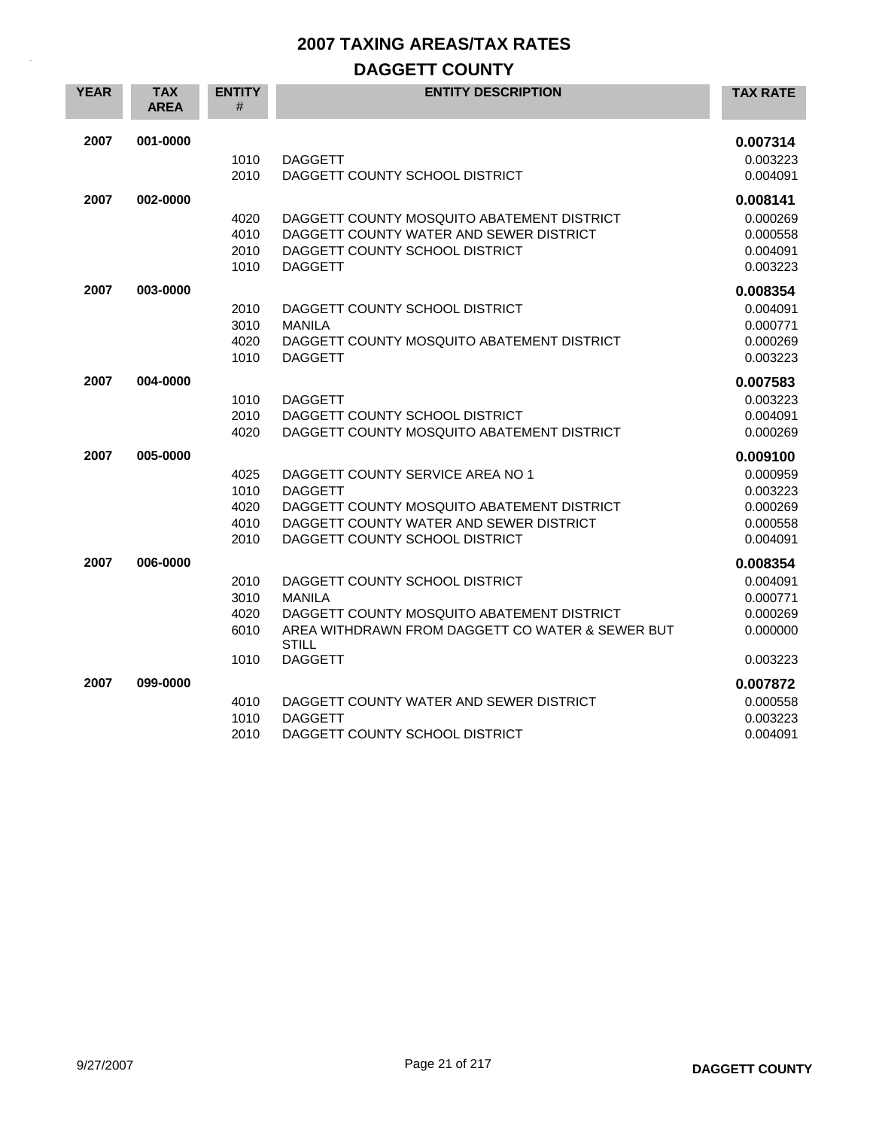## **DAGGETT COUNTY**

| <b>YEAR</b> | <b>TAX</b><br><b>AREA</b> | <b>ENTITY</b><br>#                   | <b>ENTITY DESCRIPTION</b>                                                                                                                                                           | <b>TAX RATE</b>                                                      |
|-------------|---------------------------|--------------------------------------|-------------------------------------------------------------------------------------------------------------------------------------------------------------------------------------|----------------------------------------------------------------------|
| 2007        | 001-0000                  | 1010<br>2010                         | <b>DAGGETT</b><br>DAGGETT COUNTY SCHOOL DISTRICT                                                                                                                                    | 0.007314<br>0.003223<br>0.004091                                     |
| 2007        | 002-0000                  | 4020<br>4010<br>2010<br>1010         | DAGGETT COUNTY MOSQUITO ABATEMENT DISTRICT<br>DAGGETT COUNTY WATER AND SEWER DISTRICT<br>DAGGETT COUNTY SCHOOL DISTRICT<br><b>DAGGETT</b>                                           | 0.008141<br>0.000269<br>0.000558<br>0.004091<br>0.003223             |
| 2007        | 003-0000                  | 2010<br>3010<br>4020<br>1010         | DAGGETT COUNTY SCHOOL DISTRICT<br><b>MANILA</b><br>DAGGETT COUNTY MOSQUITO ABATEMENT DISTRICT<br><b>DAGGETT</b>                                                                     | 0.008354<br>0.004091<br>0.000771<br>0.000269<br>0.003223             |
| 2007        | 004-0000                  | 1010<br>2010<br>4020                 | <b>DAGGETT</b><br>DAGGETT COUNTY SCHOOL DISTRICT<br>DAGGETT COUNTY MOSQUITO ABATEMENT DISTRICT                                                                                      | 0.007583<br>0.003223<br>0.004091<br>0.000269                         |
| 2007        | 005-0000                  | 4025<br>1010<br>4020<br>4010<br>2010 | DAGGETT COUNTY SERVICE AREA NO 1<br><b>DAGGETT</b><br>DAGGETT COUNTY MOSQUITO ABATEMENT DISTRICT<br>DAGGETT COUNTY WATER AND SEWER DISTRICT<br>DAGGETT COUNTY SCHOOL DISTRICT       | 0.009100<br>0.000959<br>0.003223<br>0.000269<br>0.000558<br>0.004091 |
| 2007        | 006-0000                  | 2010<br>3010<br>4020<br>6010<br>1010 | DAGGETT COUNTY SCHOOL DISTRICT<br><b>MANILA</b><br>DAGGETT COUNTY MOSQUITO ABATEMENT DISTRICT<br>AREA WITHDRAWN FROM DAGGETT CO WATER & SEWER BUT<br><b>STILL</b><br><b>DAGGETT</b> | 0.008354<br>0.004091<br>0.000771<br>0.000269<br>0.000000<br>0.003223 |
| 2007        | 099-0000                  | 4010<br>1010<br>2010                 | DAGGETT COUNTY WATER AND SEWER DISTRICT<br><b>DAGGETT</b><br>DAGGETT COUNTY SCHOOL DISTRICT                                                                                         | 0.007872<br>0.000558<br>0.003223<br>0.004091                         |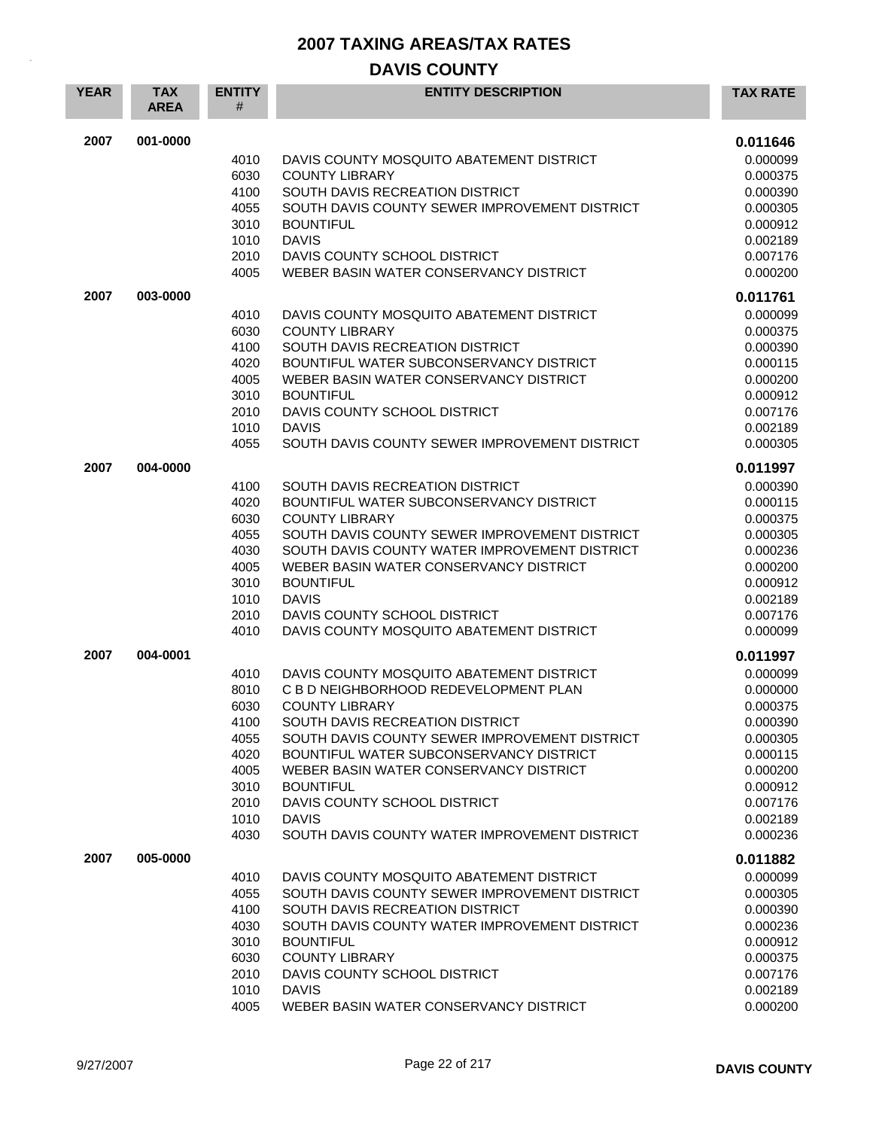| 2007<br>001-0000<br>0.011646<br>0.000099<br>4010<br>DAVIS COUNTY MOSQUITO ABATEMENT DISTRICT<br>6030<br><b>COUNTY LIBRARY</b><br>0.000375<br>4100<br>SOUTH DAVIS RECREATION DISTRICT<br>0.000390<br>4055<br>SOUTH DAVIS COUNTY SEWER IMPROVEMENT DISTRICT<br>0.000305<br>0.000912<br>3010<br><b>BOUNTIFUL</b><br><b>DAVIS</b><br>1010<br>0.002189<br>2010<br>DAVIS COUNTY SCHOOL DISTRICT<br>0.007176<br>4005<br>WEBER BASIN WATER CONSERVANCY DISTRICT<br>0.000200<br>2007<br>003-0000<br>0.011761<br>0.000099<br>4010<br>DAVIS COUNTY MOSQUITO ABATEMENT DISTRICT<br>6030<br><b>COUNTY LIBRARY</b><br>0.000375<br>4100<br>SOUTH DAVIS RECREATION DISTRICT<br>0.000390<br>4020<br>BOUNTIFUL WATER SUBCONSERVANCY DISTRICT<br>0.000115<br>4005<br>WEBER BASIN WATER CONSERVANCY DISTRICT<br>0.000200<br><b>BOUNTIFUL</b><br>0.000912<br>3010<br>2010<br>DAVIS COUNTY SCHOOL DISTRICT<br>0.007176<br><b>DAVIS</b><br>1010<br>0.002189<br>4055<br>SOUTH DAVIS COUNTY SEWER IMPROVEMENT DISTRICT<br>0.000305<br>2007<br>004-0000<br>0.011997<br>SOUTH DAVIS RECREATION DISTRICT<br>0.000390<br>4100<br>4020<br>BOUNTIFUL WATER SUBCONSERVANCY DISTRICT<br>0.000115<br>6030<br><b>COUNTY LIBRARY</b><br>0.000375<br>4055<br>SOUTH DAVIS COUNTY SEWER IMPROVEMENT DISTRICT<br>0.000305<br>4030<br>SOUTH DAVIS COUNTY WATER IMPROVEMENT DISTRICT<br>0.000236<br>4005<br>WEBER BASIN WATER CONSERVANCY DISTRICT<br>0.000200<br>0.000912<br>3010<br><b>BOUNTIFUL</b><br><b>DAVIS</b><br>1010<br>0.002189<br>0.007176<br>2010<br>DAVIS COUNTY SCHOOL DISTRICT<br>4010<br>DAVIS COUNTY MOSQUITO ABATEMENT DISTRICT<br>0.000099<br>0.011997<br>2007<br>004-0001<br>0.000099<br>4010<br>DAVIS COUNTY MOSQUITO ABATEMENT DISTRICT<br>8010<br>C B D NEIGHBORHOOD REDEVELOPMENT PLAN<br>0.000000<br>6030<br><b>COUNTY LIBRARY</b><br>0.000375<br>4100<br>SOUTH DAVIS RECREATION DISTRICT<br>0.000390<br>SOUTH DAVIS COUNTY SEWER IMPROVEMENT DISTRICT<br>4055<br>0.000305<br>4020<br>BOUNTIFUL WATER SUBCONSERVANCY DISTRICT<br>0.000115<br>4005<br>WEBER BASIN WATER CONSERVANCY DISTRICT<br>0.000200<br>3010<br><b>BOUNTIFUL</b><br>0.000912<br>DAVIS COUNTY SCHOOL DISTRICT<br>0.007176<br>2010<br>1010<br><b>DAVIS</b><br>0.002189<br>4030<br>SOUTH DAVIS COUNTY WATER IMPROVEMENT DISTRICT<br>0.000236<br>2007<br>005-0000<br>0.011882<br>4010<br>DAVIS COUNTY MOSQUITO ABATEMENT DISTRICT<br>0.000099<br>SOUTH DAVIS COUNTY SEWER IMPROVEMENT DISTRICT<br>0.000305<br>4055<br>4100<br>SOUTH DAVIS RECREATION DISTRICT<br>0.000390<br>SOUTH DAVIS COUNTY WATER IMPROVEMENT DISTRICT<br>0.000236<br>4030<br>3010<br><b>BOUNTIFUL</b><br>0.000912<br>6030<br><b>COUNTY LIBRARY</b><br>0.000375<br>2010<br>DAVIS COUNTY SCHOOL DISTRICT<br>0.007176 | <b>YEAR</b> | <b>TAX</b><br><b>AREA</b> | <b>ENTITY</b><br># | <b>ENTITY DESCRIPTION</b> | <b>TAX RATE</b> |
|----------------------------------------------------------------------------------------------------------------------------------------------------------------------------------------------------------------------------------------------------------------------------------------------------------------------------------------------------------------------------------------------------------------------------------------------------------------------------------------------------------------------------------------------------------------------------------------------------------------------------------------------------------------------------------------------------------------------------------------------------------------------------------------------------------------------------------------------------------------------------------------------------------------------------------------------------------------------------------------------------------------------------------------------------------------------------------------------------------------------------------------------------------------------------------------------------------------------------------------------------------------------------------------------------------------------------------------------------------------------------------------------------------------------------------------------------------------------------------------------------------------------------------------------------------------------------------------------------------------------------------------------------------------------------------------------------------------------------------------------------------------------------------------------------------------------------------------------------------------------------------------------------------------------------------------------------------------------------------------------------------------------------------------------------------------------------------------------------------------------------------------------------------------------------------------------------------------------------------------------------------------------------------------------------------------------------------------------------------------------------------------------------------------------------------------------------------------------------------------------------------------------------------------------------------------------------------------------------------------------------------------------------------------------------------------------------------------------------------------|-------------|---------------------------|--------------------|---------------------------|-----------------|
|                                                                                                                                                                                                                                                                                                                                                                                                                                                                                                                                                                                                                                                                                                                                                                                                                                                                                                                                                                                                                                                                                                                                                                                                                                                                                                                                                                                                                                                                                                                                                                                                                                                                                                                                                                                                                                                                                                                                                                                                                                                                                                                                                                                                                                                                                                                                                                                                                                                                                                                                                                                                                                                                                                                                        |             |                           |                    |                           |                 |
|                                                                                                                                                                                                                                                                                                                                                                                                                                                                                                                                                                                                                                                                                                                                                                                                                                                                                                                                                                                                                                                                                                                                                                                                                                                                                                                                                                                                                                                                                                                                                                                                                                                                                                                                                                                                                                                                                                                                                                                                                                                                                                                                                                                                                                                                                                                                                                                                                                                                                                                                                                                                                                                                                                                                        |             |                           |                    |                           |                 |
|                                                                                                                                                                                                                                                                                                                                                                                                                                                                                                                                                                                                                                                                                                                                                                                                                                                                                                                                                                                                                                                                                                                                                                                                                                                                                                                                                                                                                                                                                                                                                                                                                                                                                                                                                                                                                                                                                                                                                                                                                                                                                                                                                                                                                                                                                                                                                                                                                                                                                                                                                                                                                                                                                                                                        |             |                           |                    |                           |                 |
|                                                                                                                                                                                                                                                                                                                                                                                                                                                                                                                                                                                                                                                                                                                                                                                                                                                                                                                                                                                                                                                                                                                                                                                                                                                                                                                                                                                                                                                                                                                                                                                                                                                                                                                                                                                                                                                                                                                                                                                                                                                                                                                                                                                                                                                                                                                                                                                                                                                                                                                                                                                                                                                                                                                                        |             |                           |                    |                           |                 |
|                                                                                                                                                                                                                                                                                                                                                                                                                                                                                                                                                                                                                                                                                                                                                                                                                                                                                                                                                                                                                                                                                                                                                                                                                                                                                                                                                                                                                                                                                                                                                                                                                                                                                                                                                                                                                                                                                                                                                                                                                                                                                                                                                                                                                                                                                                                                                                                                                                                                                                                                                                                                                                                                                                                                        |             |                           |                    |                           |                 |
|                                                                                                                                                                                                                                                                                                                                                                                                                                                                                                                                                                                                                                                                                                                                                                                                                                                                                                                                                                                                                                                                                                                                                                                                                                                                                                                                                                                                                                                                                                                                                                                                                                                                                                                                                                                                                                                                                                                                                                                                                                                                                                                                                                                                                                                                                                                                                                                                                                                                                                                                                                                                                                                                                                                                        |             |                           |                    |                           |                 |
|                                                                                                                                                                                                                                                                                                                                                                                                                                                                                                                                                                                                                                                                                                                                                                                                                                                                                                                                                                                                                                                                                                                                                                                                                                                                                                                                                                                                                                                                                                                                                                                                                                                                                                                                                                                                                                                                                                                                                                                                                                                                                                                                                                                                                                                                                                                                                                                                                                                                                                                                                                                                                                                                                                                                        |             |                           |                    |                           |                 |
|                                                                                                                                                                                                                                                                                                                                                                                                                                                                                                                                                                                                                                                                                                                                                                                                                                                                                                                                                                                                                                                                                                                                                                                                                                                                                                                                                                                                                                                                                                                                                                                                                                                                                                                                                                                                                                                                                                                                                                                                                                                                                                                                                                                                                                                                                                                                                                                                                                                                                                                                                                                                                                                                                                                                        |             |                           |                    |                           |                 |
|                                                                                                                                                                                                                                                                                                                                                                                                                                                                                                                                                                                                                                                                                                                                                                                                                                                                                                                                                                                                                                                                                                                                                                                                                                                                                                                                                                                                                                                                                                                                                                                                                                                                                                                                                                                                                                                                                                                                                                                                                                                                                                                                                                                                                                                                                                                                                                                                                                                                                                                                                                                                                                                                                                                                        |             |                           |                    |                           |                 |
|                                                                                                                                                                                                                                                                                                                                                                                                                                                                                                                                                                                                                                                                                                                                                                                                                                                                                                                                                                                                                                                                                                                                                                                                                                                                                                                                                                                                                                                                                                                                                                                                                                                                                                                                                                                                                                                                                                                                                                                                                                                                                                                                                                                                                                                                                                                                                                                                                                                                                                                                                                                                                                                                                                                                        |             |                           |                    |                           |                 |
|                                                                                                                                                                                                                                                                                                                                                                                                                                                                                                                                                                                                                                                                                                                                                                                                                                                                                                                                                                                                                                                                                                                                                                                                                                                                                                                                                                                                                                                                                                                                                                                                                                                                                                                                                                                                                                                                                                                                                                                                                                                                                                                                                                                                                                                                                                                                                                                                                                                                                                                                                                                                                                                                                                                                        |             |                           |                    |                           |                 |
|                                                                                                                                                                                                                                                                                                                                                                                                                                                                                                                                                                                                                                                                                                                                                                                                                                                                                                                                                                                                                                                                                                                                                                                                                                                                                                                                                                                                                                                                                                                                                                                                                                                                                                                                                                                                                                                                                                                                                                                                                                                                                                                                                                                                                                                                                                                                                                                                                                                                                                                                                                                                                                                                                                                                        |             |                           |                    |                           |                 |
|                                                                                                                                                                                                                                                                                                                                                                                                                                                                                                                                                                                                                                                                                                                                                                                                                                                                                                                                                                                                                                                                                                                                                                                                                                                                                                                                                                                                                                                                                                                                                                                                                                                                                                                                                                                                                                                                                                                                                                                                                                                                                                                                                                                                                                                                                                                                                                                                                                                                                                                                                                                                                                                                                                                                        |             |                           |                    |                           |                 |
|                                                                                                                                                                                                                                                                                                                                                                                                                                                                                                                                                                                                                                                                                                                                                                                                                                                                                                                                                                                                                                                                                                                                                                                                                                                                                                                                                                                                                                                                                                                                                                                                                                                                                                                                                                                                                                                                                                                                                                                                                                                                                                                                                                                                                                                                                                                                                                                                                                                                                                                                                                                                                                                                                                                                        |             |                           |                    |                           |                 |
|                                                                                                                                                                                                                                                                                                                                                                                                                                                                                                                                                                                                                                                                                                                                                                                                                                                                                                                                                                                                                                                                                                                                                                                                                                                                                                                                                                                                                                                                                                                                                                                                                                                                                                                                                                                                                                                                                                                                                                                                                                                                                                                                                                                                                                                                                                                                                                                                                                                                                                                                                                                                                                                                                                                                        |             |                           |                    |                           |                 |
|                                                                                                                                                                                                                                                                                                                                                                                                                                                                                                                                                                                                                                                                                                                                                                                                                                                                                                                                                                                                                                                                                                                                                                                                                                                                                                                                                                                                                                                                                                                                                                                                                                                                                                                                                                                                                                                                                                                                                                                                                                                                                                                                                                                                                                                                                                                                                                                                                                                                                                                                                                                                                                                                                                                                        |             |                           |                    |                           |                 |
|                                                                                                                                                                                                                                                                                                                                                                                                                                                                                                                                                                                                                                                                                                                                                                                                                                                                                                                                                                                                                                                                                                                                                                                                                                                                                                                                                                                                                                                                                                                                                                                                                                                                                                                                                                                                                                                                                                                                                                                                                                                                                                                                                                                                                                                                                                                                                                                                                                                                                                                                                                                                                                                                                                                                        |             |                           |                    |                           |                 |
|                                                                                                                                                                                                                                                                                                                                                                                                                                                                                                                                                                                                                                                                                                                                                                                                                                                                                                                                                                                                                                                                                                                                                                                                                                                                                                                                                                                                                                                                                                                                                                                                                                                                                                                                                                                                                                                                                                                                                                                                                                                                                                                                                                                                                                                                                                                                                                                                                                                                                                                                                                                                                                                                                                                                        |             |                           |                    |                           |                 |
|                                                                                                                                                                                                                                                                                                                                                                                                                                                                                                                                                                                                                                                                                                                                                                                                                                                                                                                                                                                                                                                                                                                                                                                                                                                                                                                                                                                                                                                                                                                                                                                                                                                                                                                                                                                                                                                                                                                                                                                                                                                                                                                                                                                                                                                                                                                                                                                                                                                                                                                                                                                                                                                                                                                                        |             |                           |                    |                           |                 |
|                                                                                                                                                                                                                                                                                                                                                                                                                                                                                                                                                                                                                                                                                                                                                                                                                                                                                                                                                                                                                                                                                                                                                                                                                                                                                                                                                                                                                                                                                                                                                                                                                                                                                                                                                                                                                                                                                                                                                                                                                                                                                                                                                                                                                                                                                                                                                                                                                                                                                                                                                                                                                                                                                                                                        |             |                           |                    |                           |                 |
|                                                                                                                                                                                                                                                                                                                                                                                                                                                                                                                                                                                                                                                                                                                                                                                                                                                                                                                                                                                                                                                                                                                                                                                                                                                                                                                                                                                                                                                                                                                                                                                                                                                                                                                                                                                                                                                                                                                                                                                                                                                                                                                                                                                                                                                                                                                                                                                                                                                                                                                                                                                                                                                                                                                                        |             |                           |                    |                           |                 |
|                                                                                                                                                                                                                                                                                                                                                                                                                                                                                                                                                                                                                                                                                                                                                                                                                                                                                                                                                                                                                                                                                                                                                                                                                                                                                                                                                                                                                                                                                                                                                                                                                                                                                                                                                                                                                                                                                                                                                                                                                                                                                                                                                                                                                                                                                                                                                                                                                                                                                                                                                                                                                                                                                                                                        |             |                           |                    |                           |                 |
|                                                                                                                                                                                                                                                                                                                                                                                                                                                                                                                                                                                                                                                                                                                                                                                                                                                                                                                                                                                                                                                                                                                                                                                                                                                                                                                                                                                                                                                                                                                                                                                                                                                                                                                                                                                                                                                                                                                                                                                                                                                                                                                                                                                                                                                                                                                                                                                                                                                                                                                                                                                                                                                                                                                                        |             |                           |                    |                           |                 |
|                                                                                                                                                                                                                                                                                                                                                                                                                                                                                                                                                                                                                                                                                                                                                                                                                                                                                                                                                                                                                                                                                                                                                                                                                                                                                                                                                                                                                                                                                                                                                                                                                                                                                                                                                                                                                                                                                                                                                                                                                                                                                                                                                                                                                                                                                                                                                                                                                                                                                                                                                                                                                                                                                                                                        |             |                           |                    |                           |                 |
|                                                                                                                                                                                                                                                                                                                                                                                                                                                                                                                                                                                                                                                                                                                                                                                                                                                                                                                                                                                                                                                                                                                                                                                                                                                                                                                                                                                                                                                                                                                                                                                                                                                                                                                                                                                                                                                                                                                                                                                                                                                                                                                                                                                                                                                                                                                                                                                                                                                                                                                                                                                                                                                                                                                                        |             |                           |                    |                           |                 |
|                                                                                                                                                                                                                                                                                                                                                                                                                                                                                                                                                                                                                                                                                                                                                                                                                                                                                                                                                                                                                                                                                                                                                                                                                                                                                                                                                                                                                                                                                                                                                                                                                                                                                                                                                                                                                                                                                                                                                                                                                                                                                                                                                                                                                                                                                                                                                                                                                                                                                                                                                                                                                                                                                                                                        |             |                           |                    |                           |                 |
|                                                                                                                                                                                                                                                                                                                                                                                                                                                                                                                                                                                                                                                                                                                                                                                                                                                                                                                                                                                                                                                                                                                                                                                                                                                                                                                                                                                                                                                                                                                                                                                                                                                                                                                                                                                                                                                                                                                                                                                                                                                                                                                                                                                                                                                                                                                                                                                                                                                                                                                                                                                                                                                                                                                                        |             |                           |                    |                           |                 |
|                                                                                                                                                                                                                                                                                                                                                                                                                                                                                                                                                                                                                                                                                                                                                                                                                                                                                                                                                                                                                                                                                                                                                                                                                                                                                                                                                                                                                                                                                                                                                                                                                                                                                                                                                                                                                                                                                                                                                                                                                                                                                                                                                                                                                                                                                                                                                                                                                                                                                                                                                                                                                                                                                                                                        |             |                           |                    |                           |                 |
|                                                                                                                                                                                                                                                                                                                                                                                                                                                                                                                                                                                                                                                                                                                                                                                                                                                                                                                                                                                                                                                                                                                                                                                                                                                                                                                                                                                                                                                                                                                                                                                                                                                                                                                                                                                                                                                                                                                                                                                                                                                                                                                                                                                                                                                                                                                                                                                                                                                                                                                                                                                                                                                                                                                                        |             |                           |                    |                           |                 |
|                                                                                                                                                                                                                                                                                                                                                                                                                                                                                                                                                                                                                                                                                                                                                                                                                                                                                                                                                                                                                                                                                                                                                                                                                                                                                                                                                                                                                                                                                                                                                                                                                                                                                                                                                                                                                                                                                                                                                                                                                                                                                                                                                                                                                                                                                                                                                                                                                                                                                                                                                                                                                                                                                                                                        |             |                           |                    |                           |                 |
|                                                                                                                                                                                                                                                                                                                                                                                                                                                                                                                                                                                                                                                                                                                                                                                                                                                                                                                                                                                                                                                                                                                                                                                                                                                                                                                                                                                                                                                                                                                                                                                                                                                                                                                                                                                                                                                                                                                                                                                                                                                                                                                                                                                                                                                                                                                                                                                                                                                                                                                                                                                                                                                                                                                                        |             |                           |                    |                           |                 |
|                                                                                                                                                                                                                                                                                                                                                                                                                                                                                                                                                                                                                                                                                                                                                                                                                                                                                                                                                                                                                                                                                                                                                                                                                                                                                                                                                                                                                                                                                                                                                                                                                                                                                                                                                                                                                                                                                                                                                                                                                                                                                                                                                                                                                                                                                                                                                                                                                                                                                                                                                                                                                                                                                                                                        |             |                           |                    |                           |                 |
|                                                                                                                                                                                                                                                                                                                                                                                                                                                                                                                                                                                                                                                                                                                                                                                                                                                                                                                                                                                                                                                                                                                                                                                                                                                                                                                                                                                                                                                                                                                                                                                                                                                                                                                                                                                                                                                                                                                                                                                                                                                                                                                                                                                                                                                                                                                                                                                                                                                                                                                                                                                                                                                                                                                                        |             |                           |                    |                           |                 |
|                                                                                                                                                                                                                                                                                                                                                                                                                                                                                                                                                                                                                                                                                                                                                                                                                                                                                                                                                                                                                                                                                                                                                                                                                                                                                                                                                                                                                                                                                                                                                                                                                                                                                                                                                                                                                                                                                                                                                                                                                                                                                                                                                                                                                                                                                                                                                                                                                                                                                                                                                                                                                                                                                                                                        |             |                           |                    |                           |                 |
|                                                                                                                                                                                                                                                                                                                                                                                                                                                                                                                                                                                                                                                                                                                                                                                                                                                                                                                                                                                                                                                                                                                                                                                                                                                                                                                                                                                                                                                                                                                                                                                                                                                                                                                                                                                                                                                                                                                                                                                                                                                                                                                                                                                                                                                                                                                                                                                                                                                                                                                                                                                                                                                                                                                                        |             |                           |                    |                           |                 |
|                                                                                                                                                                                                                                                                                                                                                                                                                                                                                                                                                                                                                                                                                                                                                                                                                                                                                                                                                                                                                                                                                                                                                                                                                                                                                                                                                                                                                                                                                                                                                                                                                                                                                                                                                                                                                                                                                                                                                                                                                                                                                                                                                                                                                                                                                                                                                                                                                                                                                                                                                                                                                                                                                                                                        |             |                           |                    |                           |                 |
|                                                                                                                                                                                                                                                                                                                                                                                                                                                                                                                                                                                                                                                                                                                                                                                                                                                                                                                                                                                                                                                                                                                                                                                                                                                                                                                                                                                                                                                                                                                                                                                                                                                                                                                                                                                                                                                                                                                                                                                                                                                                                                                                                                                                                                                                                                                                                                                                                                                                                                                                                                                                                                                                                                                                        |             |                           |                    |                           |                 |
|                                                                                                                                                                                                                                                                                                                                                                                                                                                                                                                                                                                                                                                                                                                                                                                                                                                                                                                                                                                                                                                                                                                                                                                                                                                                                                                                                                                                                                                                                                                                                                                                                                                                                                                                                                                                                                                                                                                                                                                                                                                                                                                                                                                                                                                                                                                                                                                                                                                                                                                                                                                                                                                                                                                                        |             |                           |                    |                           |                 |
|                                                                                                                                                                                                                                                                                                                                                                                                                                                                                                                                                                                                                                                                                                                                                                                                                                                                                                                                                                                                                                                                                                                                                                                                                                                                                                                                                                                                                                                                                                                                                                                                                                                                                                                                                                                                                                                                                                                                                                                                                                                                                                                                                                                                                                                                                                                                                                                                                                                                                                                                                                                                                                                                                                                                        |             |                           |                    |                           |                 |
|                                                                                                                                                                                                                                                                                                                                                                                                                                                                                                                                                                                                                                                                                                                                                                                                                                                                                                                                                                                                                                                                                                                                                                                                                                                                                                                                                                                                                                                                                                                                                                                                                                                                                                                                                                                                                                                                                                                                                                                                                                                                                                                                                                                                                                                                                                                                                                                                                                                                                                                                                                                                                                                                                                                                        |             |                           |                    |                           |                 |
|                                                                                                                                                                                                                                                                                                                                                                                                                                                                                                                                                                                                                                                                                                                                                                                                                                                                                                                                                                                                                                                                                                                                                                                                                                                                                                                                                                                                                                                                                                                                                                                                                                                                                                                                                                                                                                                                                                                                                                                                                                                                                                                                                                                                                                                                                                                                                                                                                                                                                                                                                                                                                                                                                                                                        |             |                           |                    |                           |                 |
|                                                                                                                                                                                                                                                                                                                                                                                                                                                                                                                                                                                                                                                                                                                                                                                                                                                                                                                                                                                                                                                                                                                                                                                                                                                                                                                                                                                                                                                                                                                                                                                                                                                                                                                                                                                                                                                                                                                                                                                                                                                                                                                                                                                                                                                                                                                                                                                                                                                                                                                                                                                                                                                                                                                                        |             |                           |                    |                           |                 |
|                                                                                                                                                                                                                                                                                                                                                                                                                                                                                                                                                                                                                                                                                                                                                                                                                                                                                                                                                                                                                                                                                                                                                                                                                                                                                                                                                                                                                                                                                                                                                                                                                                                                                                                                                                                                                                                                                                                                                                                                                                                                                                                                                                                                                                                                                                                                                                                                                                                                                                                                                                                                                                                                                                                                        |             |                           |                    |                           |                 |
|                                                                                                                                                                                                                                                                                                                                                                                                                                                                                                                                                                                                                                                                                                                                                                                                                                                                                                                                                                                                                                                                                                                                                                                                                                                                                                                                                                                                                                                                                                                                                                                                                                                                                                                                                                                                                                                                                                                                                                                                                                                                                                                                                                                                                                                                                                                                                                                                                                                                                                                                                                                                                                                                                                                                        |             |                           |                    |                           |                 |
|                                                                                                                                                                                                                                                                                                                                                                                                                                                                                                                                                                                                                                                                                                                                                                                                                                                                                                                                                                                                                                                                                                                                                                                                                                                                                                                                                                                                                                                                                                                                                                                                                                                                                                                                                                                                                                                                                                                                                                                                                                                                                                                                                                                                                                                                                                                                                                                                                                                                                                                                                                                                                                                                                                                                        |             |                           |                    |                           |                 |
|                                                                                                                                                                                                                                                                                                                                                                                                                                                                                                                                                                                                                                                                                                                                                                                                                                                                                                                                                                                                                                                                                                                                                                                                                                                                                                                                                                                                                                                                                                                                                                                                                                                                                                                                                                                                                                                                                                                                                                                                                                                                                                                                                                                                                                                                                                                                                                                                                                                                                                                                                                                                                                                                                                                                        |             |                           |                    |                           |                 |
|                                                                                                                                                                                                                                                                                                                                                                                                                                                                                                                                                                                                                                                                                                                                                                                                                                                                                                                                                                                                                                                                                                                                                                                                                                                                                                                                                                                                                                                                                                                                                                                                                                                                                                                                                                                                                                                                                                                                                                                                                                                                                                                                                                                                                                                                                                                                                                                                                                                                                                                                                                                                                                                                                                                                        |             |                           |                    |                           |                 |
| 1010<br><b>DAVIS</b><br>0.002189                                                                                                                                                                                                                                                                                                                                                                                                                                                                                                                                                                                                                                                                                                                                                                                                                                                                                                                                                                                                                                                                                                                                                                                                                                                                                                                                                                                                                                                                                                                                                                                                                                                                                                                                                                                                                                                                                                                                                                                                                                                                                                                                                                                                                                                                                                                                                                                                                                                                                                                                                                                                                                                                                                       |             |                           |                    |                           |                 |
| 4005<br>0.000200<br>WEBER BASIN WATER CONSERVANCY DISTRICT                                                                                                                                                                                                                                                                                                                                                                                                                                                                                                                                                                                                                                                                                                                                                                                                                                                                                                                                                                                                                                                                                                                                                                                                                                                                                                                                                                                                                                                                                                                                                                                                                                                                                                                                                                                                                                                                                                                                                                                                                                                                                                                                                                                                                                                                                                                                                                                                                                                                                                                                                                                                                                                                             |             |                           |                    |                           |                 |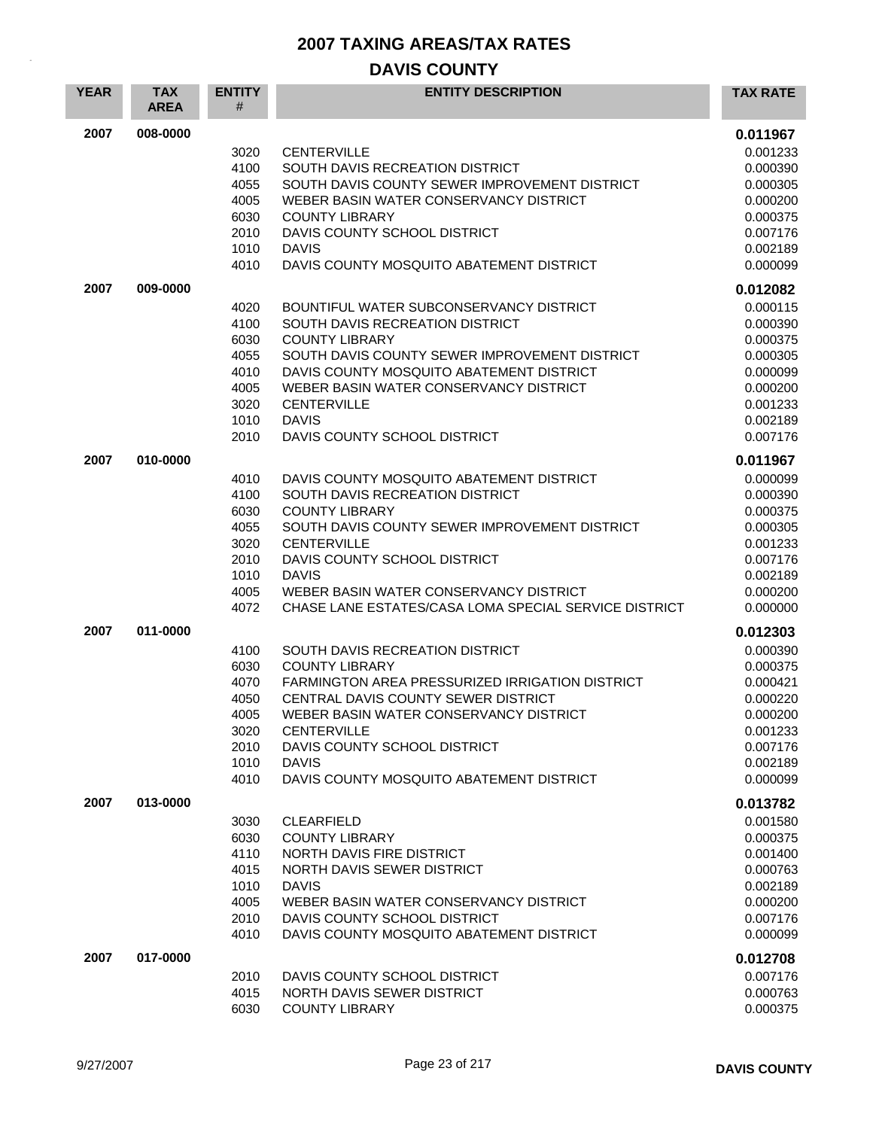| <b>YEAR</b> | <b>TAX</b><br><b>AREA</b> | <b>ENTITY</b><br>#                                                   | <b>ENTITY DESCRIPTION</b>                                                                                                                                                                                                                                                                                                      | <b>TAX RATE</b>                                                                                                      |
|-------------|---------------------------|----------------------------------------------------------------------|--------------------------------------------------------------------------------------------------------------------------------------------------------------------------------------------------------------------------------------------------------------------------------------------------------------------------------|----------------------------------------------------------------------------------------------------------------------|
| 2007        | 008-0000                  | 3020<br>4100<br>4055<br>4005<br>6030<br>2010<br>1010<br>4010         | <b>CENTERVILLE</b><br>SOUTH DAVIS RECREATION DISTRICT<br>SOUTH DAVIS COUNTY SEWER IMPROVEMENT DISTRICT<br>WEBER BASIN WATER CONSERVANCY DISTRICT<br><b>COUNTY LIBRARY</b><br>DAVIS COUNTY SCHOOL DISTRICT<br><b>DAVIS</b><br>DAVIS COUNTY MOSQUITO ABATEMENT DISTRICT                                                          | 0.011967<br>0.001233<br>0.000390<br>0.000305<br>0.000200<br>0.000375<br>0.007176<br>0.002189<br>0.000099             |
| 2007        | 009-0000                  | 4020<br>4100<br>6030<br>4055<br>4010<br>4005<br>3020<br>1010<br>2010 | BOUNTIFUL WATER SUBCONSERVANCY DISTRICT<br>SOUTH DAVIS RECREATION DISTRICT<br><b>COUNTY LIBRARY</b><br>SOUTH DAVIS COUNTY SEWER IMPROVEMENT DISTRICT<br>DAVIS COUNTY MOSQUITO ABATEMENT DISTRICT<br>WEBER BASIN WATER CONSERVANCY DISTRICT<br><b>CENTERVILLE</b><br><b>DAVIS</b><br>DAVIS COUNTY SCHOOL DISTRICT               | 0.012082<br>0.000115<br>0.000390<br>0.000375<br>0.000305<br>0.000099<br>0.000200<br>0.001233<br>0.002189<br>0.007176 |
| 2007        | 010-0000                  | 4010<br>4100<br>6030<br>4055<br>3020<br>2010<br>1010<br>4005<br>4072 | DAVIS COUNTY MOSQUITO ABATEMENT DISTRICT<br>SOUTH DAVIS RECREATION DISTRICT<br><b>COUNTY LIBRARY</b><br>SOUTH DAVIS COUNTY SEWER IMPROVEMENT DISTRICT<br><b>CENTERVILLE</b><br>DAVIS COUNTY SCHOOL DISTRICT<br><b>DAVIS</b><br>WEBER BASIN WATER CONSERVANCY DISTRICT<br>CHASE LANE ESTATES/CASA LOMA SPECIAL SERVICE DISTRICT | 0.011967<br>0.000099<br>0.000390<br>0.000375<br>0.000305<br>0.001233<br>0.007176<br>0.002189<br>0.000200<br>0.000000 |
| 2007        | 011-0000                  | 4100<br>6030<br>4070<br>4050<br>4005<br>3020<br>2010<br>1010<br>4010 | SOUTH DAVIS RECREATION DISTRICT<br><b>COUNTY LIBRARY</b><br>FARMINGTON AREA PRESSURIZED IRRIGATION DISTRICT<br>CENTRAL DAVIS COUNTY SEWER DISTRICT<br>WEBER BASIN WATER CONSERVANCY DISTRICT<br><b>CENTERVILLE</b><br>DAVIS COUNTY SCHOOL DISTRICT<br><b>DAVIS</b><br>DAVIS COUNTY MOSQUITO ABATEMENT DISTRICT                 | 0.012303<br>0.000390<br>0.000375<br>0.000421<br>0.000220<br>0.000200<br>0.001233<br>0.007176<br>0.002189<br>0.000099 |
| 2007        | 013-0000                  | 3030<br>6030<br>4110<br>4015<br>1010<br>4005<br>2010<br>4010         | <b>CLEARFIELD</b><br><b>COUNTY LIBRARY</b><br>NORTH DAVIS FIRE DISTRICT<br>NORTH DAVIS SEWER DISTRICT<br><b>DAVIS</b><br>WEBER BASIN WATER CONSERVANCY DISTRICT<br>DAVIS COUNTY SCHOOL DISTRICT<br>DAVIS COUNTY MOSQUITO ABATEMENT DISTRICT                                                                                    | 0.013782<br>0.001580<br>0.000375<br>0.001400<br>0.000763<br>0.002189<br>0.000200<br>0.007176<br>0.000099             |
| 2007        | 017-0000                  | 2010<br>4015<br>6030                                                 | DAVIS COUNTY SCHOOL DISTRICT<br>NORTH DAVIS SEWER DISTRICT<br><b>COUNTY LIBRARY</b>                                                                                                                                                                                                                                            | 0.012708<br>0.007176<br>0.000763<br>0.000375                                                                         |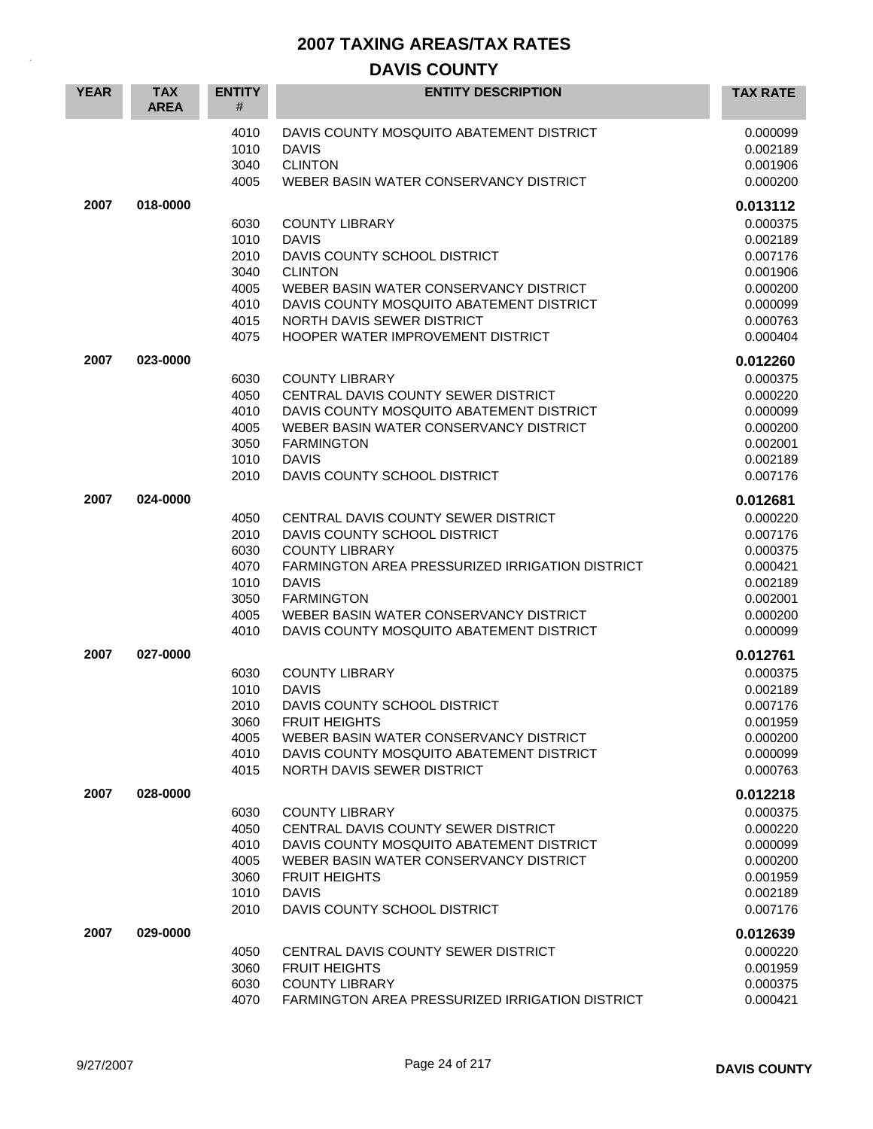| <b>YEAR</b> | <b>TAX</b><br><b>AREA</b> | <b>ENTITY</b><br>#                                           | <b>ENTITY DESCRIPTION</b>                                                                                                                                                                                                                                                         | <b>TAX RATE</b>                                                                                          |
|-------------|---------------------------|--------------------------------------------------------------|-----------------------------------------------------------------------------------------------------------------------------------------------------------------------------------------------------------------------------------------------------------------------------------|----------------------------------------------------------------------------------------------------------|
|             |                           | 4010<br>1010<br>3040<br>4005                                 | DAVIS COUNTY MOSQUITO ABATEMENT DISTRICT<br><b>DAVIS</b><br><b>CLINTON</b><br>WEBER BASIN WATER CONSERVANCY DISTRICT                                                                                                                                                              | 0.000099<br>0.002189<br>0.001906<br>0.000200                                                             |
| 2007        | 018-0000                  | 6030<br>1010<br>2010<br>3040<br>4005<br>4010<br>4015<br>4075 | <b>COUNTY LIBRARY</b><br><b>DAVIS</b><br>DAVIS COUNTY SCHOOL DISTRICT<br><b>CLINTON</b><br>WEBER BASIN WATER CONSERVANCY DISTRICT<br>DAVIS COUNTY MOSQUITO ABATEMENT DISTRICT<br>NORTH DAVIS SEWER DISTRICT<br>HOOPER WATER IMPROVEMENT DISTRICT                                  | 0.013112<br>0.000375<br>0.002189<br>0.007176<br>0.001906<br>0.000200<br>0.000099<br>0.000763<br>0.000404 |
| 2007        | 023-0000                  | 6030<br>4050<br>4010<br>4005<br>3050<br>1010<br>2010         | <b>COUNTY LIBRARY</b><br>CENTRAL DAVIS COUNTY SEWER DISTRICT<br>DAVIS COUNTY MOSQUITO ABATEMENT DISTRICT<br>WEBER BASIN WATER CONSERVANCY DISTRICT<br><b>FARMINGTON</b><br><b>DAVIS</b><br>DAVIS COUNTY SCHOOL DISTRICT                                                           | 0.012260<br>0.000375<br>0.000220<br>0.000099<br>0.000200<br>0.002001<br>0.002189<br>0.007176             |
| 2007        | 024-0000                  | 4050<br>2010<br>6030<br>4070<br>1010<br>3050<br>4005<br>4010 | CENTRAL DAVIS COUNTY SEWER DISTRICT<br>DAVIS COUNTY SCHOOL DISTRICT<br><b>COUNTY LIBRARY</b><br><b>FARMINGTON AREA PRESSURIZED IRRIGATION DISTRICT</b><br><b>DAVIS</b><br><b>FARMINGTON</b><br>WEBER BASIN WATER CONSERVANCY DISTRICT<br>DAVIS COUNTY MOSQUITO ABATEMENT DISTRICT | 0.012681<br>0.000220<br>0.007176<br>0.000375<br>0.000421<br>0.002189<br>0.002001<br>0.000200<br>0.000099 |
| 2007        | 027-0000                  | 6030<br>1010<br>2010<br>3060<br>4005<br>4010<br>4015         | <b>COUNTY LIBRARY</b><br><b>DAVIS</b><br>DAVIS COUNTY SCHOOL DISTRICT<br><b>FRUIT HEIGHTS</b><br>WEBER BASIN WATER CONSERVANCY DISTRICT<br>DAVIS COUNTY MOSQUITO ABATEMENT DISTRICT<br>NORTH DAVIS SEWER DISTRICT                                                                 | 0.012761<br>0.000375<br>0.002189<br>0.007176<br>0.001959<br>0.000200<br>0.000099<br>0.000763             |
| 2007        | 028-0000                  | 6030<br>4050<br>4010<br>4005<br>3060<br>1010<br>2010         | <b>COUNTY LIBRARY</b><br>CENTRAL DAVIS COUNTY SEWER DISTRICT<br>DAVIS COUNTY MOSQUITO ABATEMENT DISTRICT<br>WEBER BASIN WATER CONSERVANCY DISTRICT<br><b>FRUIT HEIGHTS</b><br><b>DAVIS</b><br>DAVIS COUNTY SCHOOL DISTRICT                                                        | 0.012218<br>0.000375<br>0.000220<br>0.000099<br>0.000200<br>0.001959<br>0.002189<br>0.007176             |
| 2007        | 029-0000                  | 4050<br>3060<br>6030<br>4070                                 | CENTRAL DAVIS COUNTY SEWER DISTRICT<br><b>FRUIT HEIGHTS</b><br><b>COUNTY LIBRARY</b><br><b>FARMINGTON AREA PRESSURIZED IRRIGATION DISTRICT</b>                                                                                                                                    | 0.012639<br>0.000220<br>0.001959<br>0.000375<br>0.000421                                                 |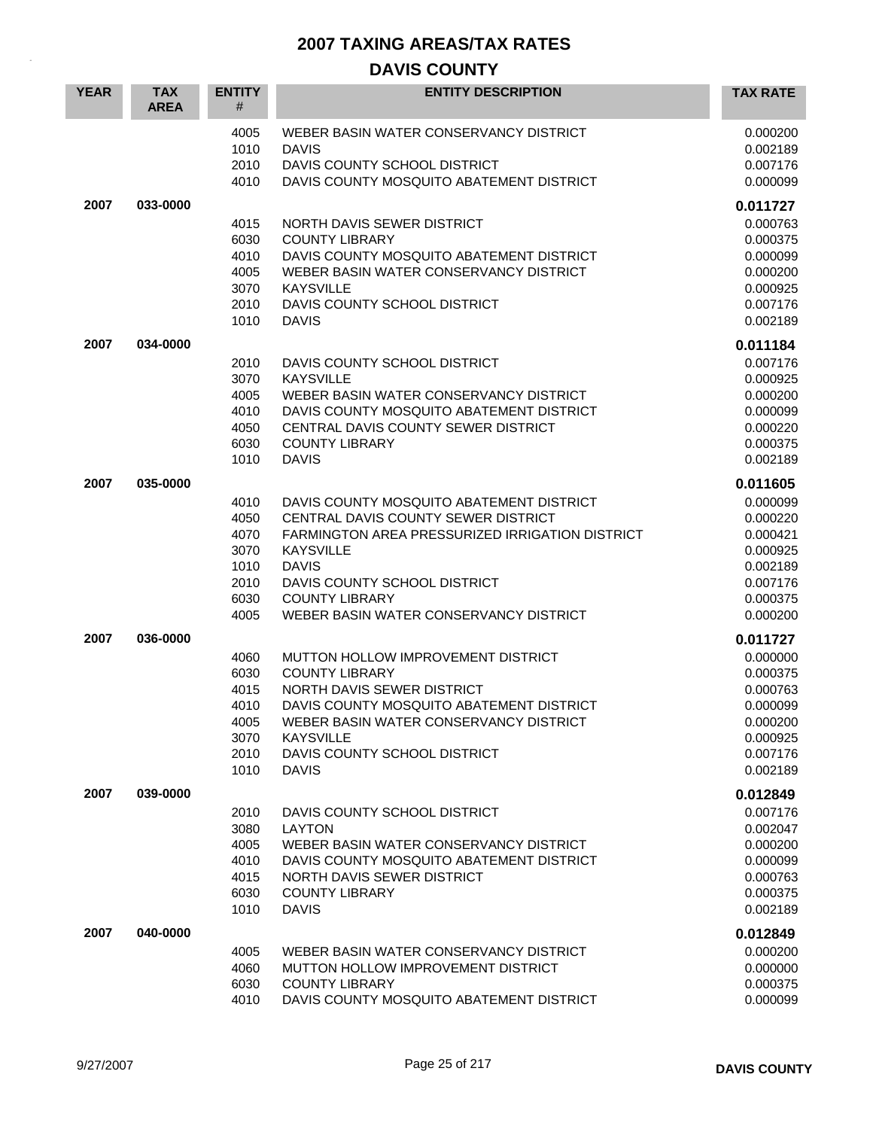| <b>YEAR</b> | <b>TAX</b><br><b>AREA</b> | <b>ENTITY</b><br>#                                           | <b>ENTITY DESCRIPTION</b>                                                                                                                                                                                                                                                 | <b>TAX RATE</b>                                                                                          |
|-------------|---------------------------|--------------------------------------------------------------|---------------------------------------------------------------------------------------------------------------------------------------------------------------------------------------------------------------------------------------------------------------------------|----------------------------------------------------------------------------------------------------------|
|             |                           | 4005<br>1010<br>2010<br>4010                                 | WEBER BASIN WATER CONSERVANCY DISTRICT<br><b>DAVIS</b><br>DAVIS COUNTY SCHOOL DISTRICT<br>DAVIS COUNTY MOSQUITO ABATEMENT DISTRICT                                                                                                                                        | 0.000200<br>0.002189<br>0.007176<br>0.000099                                                             |
| 2007        | 033-0000                  | 4015<br>6030<br>4010<br>4005<br>3070<br>2010<br>1010         | NORTH DAVIS SEWER DISTRICT<br><b>COUNTY LIBRARY</b><br>DAVIS COUNTY MOSQUITO ABATEMENT DISTRICT<br>WEBER BASIN WATER CONSERVANCY DISTRICT<br><b>KAYSVILLE</b><br>DAVIS COUNTY SCHOOL DISTRICT<br><b>DAVIS</b>                                                             | 0.011727<br>0.000763<br>0.000375<br>0.000099<br>0.000200<br>0.000925<br>0.007176<br>0.002189             |
| 2007        | 034-0000                  | 2010<br>3070<br>4005<br>4010<br>4050<br>6030<br>1010         | DAVIS COUNTY SCHOOL DISTRICT<br><b>KAYSVILLE</b><br>WEBER BASIN WATER CONSERVANCY DISTRICT<br>DAVIS COUNTY MOSQUITO ABATEMENT DISTRICT<br>CENTRAL DAVIS COUNTY SEWER DISTRICT<br><b>COUNTY LIBRARY</b><br><b>DAVIS</b>                                                    | 0.011184<br>0.007176<br>0.000925<br>0.000200<br>0.000099<br>0.000220<br>0.000375<br>0.002189             |
| 2007        | 035-0000                  | 4010<br>4050<br>4070<br>3070<br>1010<br>2010<br>6030<br>4005 | DAVIS COUNTY MOSQUITO ABATEMENT DISTRICT<br>CENTRAL DAVIS COUNTY SEWER DISTRICT<br>FARMINGTON AREA PRESSURIZED IRRIGATION DISTRICT<br><b>KAYSVILLE</b><br><b>DAVIS</b><br>DAVIS COUNTY SCHOOL DISTRICT<br><b>COUNTY LIBRARY</b><br>WEBER BASIN WATER CONSERVANCY DISTRICT | 0.011605<br>0.000099<br>0.000220<br>0.000421<br>0.000925<br>0.002189<br>0.007176<br>0.000375<br>0.000200 |
| 2007        | 036-0000                  | 4060<br>6030<br>4015<br>4010<br>4005<br>3070<br>2010<br>1010 | MUTTON HOLLOW IMPROVEMENT DISTRICT<br><b>COUNTY LIBRARY</b><br>NORTH DAVIS SEWER DISTRICT<br>DAVIS COUNTY MOSQUITO ABATEMENT DISTRICT<br>WEBER BASIN WATER CONSERVANCY DISTRICT<br><b>KAYSVILLE</b><br>DAVIS COUNTY SCHOOL DISTRICT<br><b>DAVIS</b>                       | 0.011727<br>0.000000<br>0.000375<br>0.000763<br>0.000099<br>0.000200<br>0.000925<br>0.007176<br>0.002189 |
| 2007        | 039-0000                  | 2010<br>3080<br>4005<br>4010<br>4015<br>6030<br>1010         | DAVIS COUNTY SCHOOL DISTRICT<br><b>LAYTON</b><br>WEBER BASIN WATER CONSERVANCY DISTRICT<br>DAVIS COUNTY MOSQUITO ABATEMENT DISTRICT<br>NORTH DAVIS SEWER DISTRICT<br><b>COUNTY LIBRARY</b><br><b>DAVIS</b>                                                                | 0.012849<br>0.007176<br>0.002047<br>0.000200<br>0.000099<br>0.000763<br>0.000375<br>0.002189             |
| 2007        | 040-0000                  | 4005<br>4060<br>6030<br>4010                                 | WEBER BASIN WATER CONSERVANCY DISTRICT<br>MUTTON HOLLOW IMPROVEMENT DISTRICT<br><b>COUNTY LIBRARY</b><br>DAVIS COUNTY MOSQUITO ABATEMENT DISTRICT                                                                                                                         | 0.012849<br>0.000200<br>0.000000<br>0.000375<br>0.000099                                                 |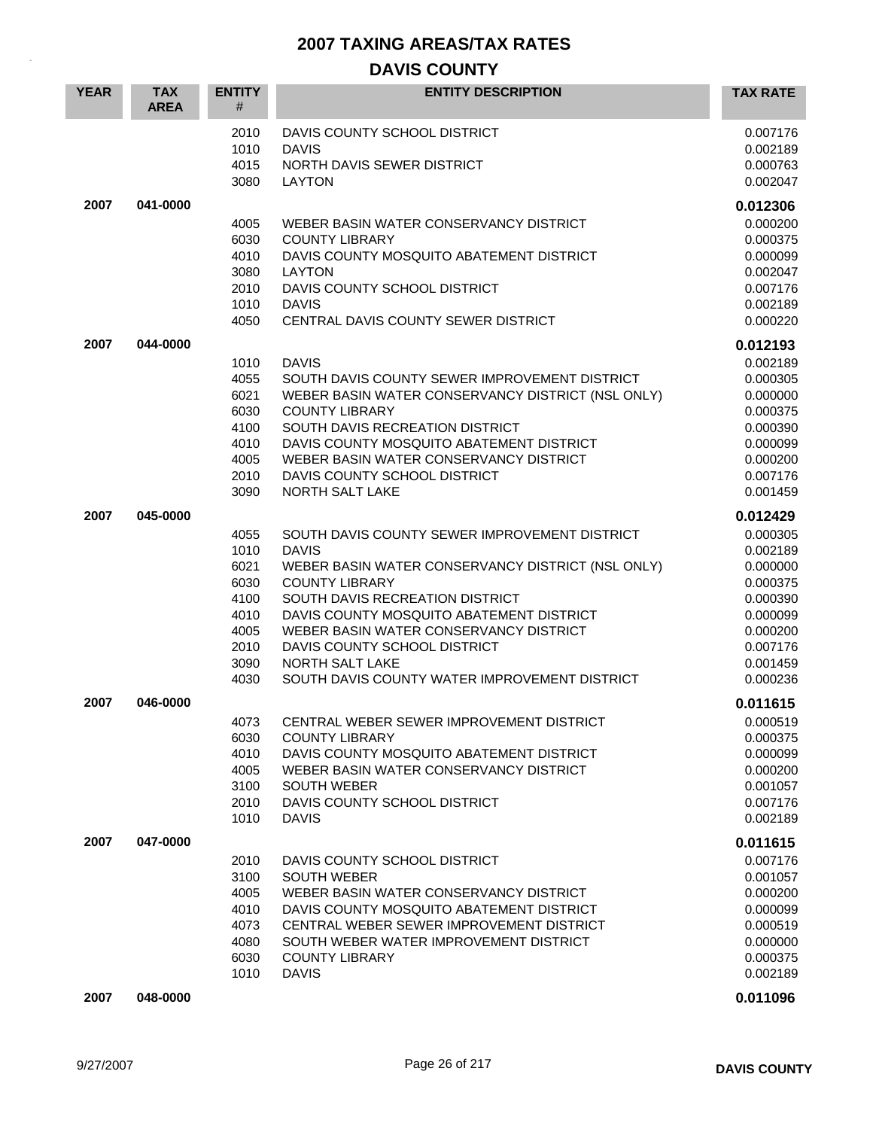| <b>YEAR</b> | <b>TAX</b><br><b>AREA</b> | <b>ENTITY</b><br>#                                                           | <b>ENTITY DESCRIPTION</b>                                                                                                                                                                                                                                                                                                                                                       | <b>TAX RATE</b>                                                                                                                  |
|-------------|---------------------------|------------------------------------------------------------------------------|---------------------------------------------------------------------------------------------------------------------------------------------------------------------------------------------------------------------------------------------------------------------------------------------------------------------------------------------------------------------------------|----------------------------------------------------------------------------------------------------------------------------------|
|             |                           | 2010<br>1010<br>4015<br>3080                                                 | DAVIS COUNTY SCHOOL DISTRICT<br><b>DAVIS</b><br>NORTH DAVIS SEWER DISTRICT<br><b>LAYTON</b>                                                                                                                                                                                                                                                                                     | 0.007176<br>0.002189<br>0.000763<br>0.002047                                                                                     |
| 2007        | 041-0000                  | 4005<br>6030<br>4010<br>3080<br>2010<br>1010<br>4050                         | WEBER BASIN WATER CONSERVANCY DISTRICT<br><b>COUNTY LIBRARY</b><br>DAVIS COUNTY MOSQUITO ABATEMENT DISTRICT<br><b>LAYTON</b><br>DAVIS COUNTY SCHOOL DISTRICT<br><b>DAVIS</b><br>CENTRAL DAVIS COUNTY SEWER DISTRICT                                                                                                                                                             | 0.012306<br>0.000200<br>0.000375<br>0.000099<br>0.002047<br>0.007176<br>0.002189<br>0.000220                                     |
| 2007        | 044-0000                  | 1010<br>4055<br>6021<br>6030<br>4100<br>4010<br>4005<br>2010<br>3090         | <b>DAVIS</b><br>SOUTH DAVIS COUNTY SEWER IMPROVEMENT DISTRICT<br>WEBER BASIN WATER CONSERVANCY DISTRICT (NSL ONLY)<br><b>COUNTY LIBRARY</b><br>SOUTH DAVIS RECREATION DISTRICT<br>DAVIS COUNTY MOSQUITO ABATEMENT DISTRICT<br>WEBER BASIN WATER CONSERVANCY DISTRICT<br>DAVIS COUNTY SCHOOL DISTRICT<br>NORTH SALT LAKE                                                         | 0.012193<br>0.002189<br>0.000305<br>0.000000<br>0.000375<br>0.000390<br>0.000099<br>0.000200<br>0.007176<br>0.001459             |
| 2007        | 045-0000                  | 4055<br>1010<br>6021<br>6030<br>4100<br>4010<br>4005<br>2010<br>3090<br>4030 | SOUTH DAVIS COUNTY SEWER IMPROVEMENT DISTRICT<br><b>DAVIS</b><br>WEBER BASIN WATER CONSERVANCY DISTRICT (NSL ONLY)<br><b>COUNTY LIBRARY</b><br>SOUTH DAVIS RECREATION DISTRICT<br>DAVIS COUNTY MOSQUITO ABATEMENT DISTRICT<br>WEBER BASIN WATER CONSERVANCY DISTRICT<br>DAVIS COUNTY SCHOOL DISTRICT<br><b>NORTH SALT LAKE</b><br>SOUTH DAVIS COUNTY WATER IMPROVEMENT DISTRICT | 0.012429<br>0.000305<br>0.002189<br>0.000000<br>0.000375<br>0.000390<br>0.000099<br>0.000200<br>0.007176<br>0.001459<br>0.000236 |
| 2007        | 046-0000                  | 4073<br>6030<br>4010<br>4005<br>3100<br>2010<br>1010                         | CENTRAL WEBER SEWER IMPROVEMENT DISTRICT<br><b>COUNTY LIBRARY</b><br>DAVIS COUNTY MOSQUITO ABATEMENT DISTRICT<br>WEBER BASIN WATER CONSERVANCY DISTRICT<br><b>SOUTH WEBER</b><br>DAVIS COUNTY SCHOOL DISTRICT<br><b>DAVIS</b>                                                                                                                                                   | 0.011615<br>0.000519<br>0.000375<br>0.000099<br>0.000200<br>0.001057<br>0.007176<br>0.002189                                     |
| 2007        | 047-0000                  | 2010<br>3100<br>4005<br>4010<br>4073<br>4080<br>6030<br>1010                 | DAVIS COUNTY SCHOOL DISTRICT<br><b>SOUTH WEBER</b><br>WEBER BASIN WATER CONSERVANCY DISTRICT<br>DAVIS COUNTY MOSQUITO ABATEMENT DISTRICT<br>CENTRAL WEBER SEWER IMPROVEMENT DISTRICT<br>SOUTH WEBER WATER IMPROVEMENT DISTRICT<br><b>COUNTY LIBRARY</b><br><b>DAVIS</b>                                                                                                         | 0.011615<br>0.007176<br>0.001057<br>0.000200<br>0.000099<br>0.000519<br>0.000000<br>0.000375<br>0.002189                         |
| 2007        | 048-0000                  |                                                                              |                                                                                                                                                                                                                                                                                                                                                                                 | 0.011096                                                                                                                         |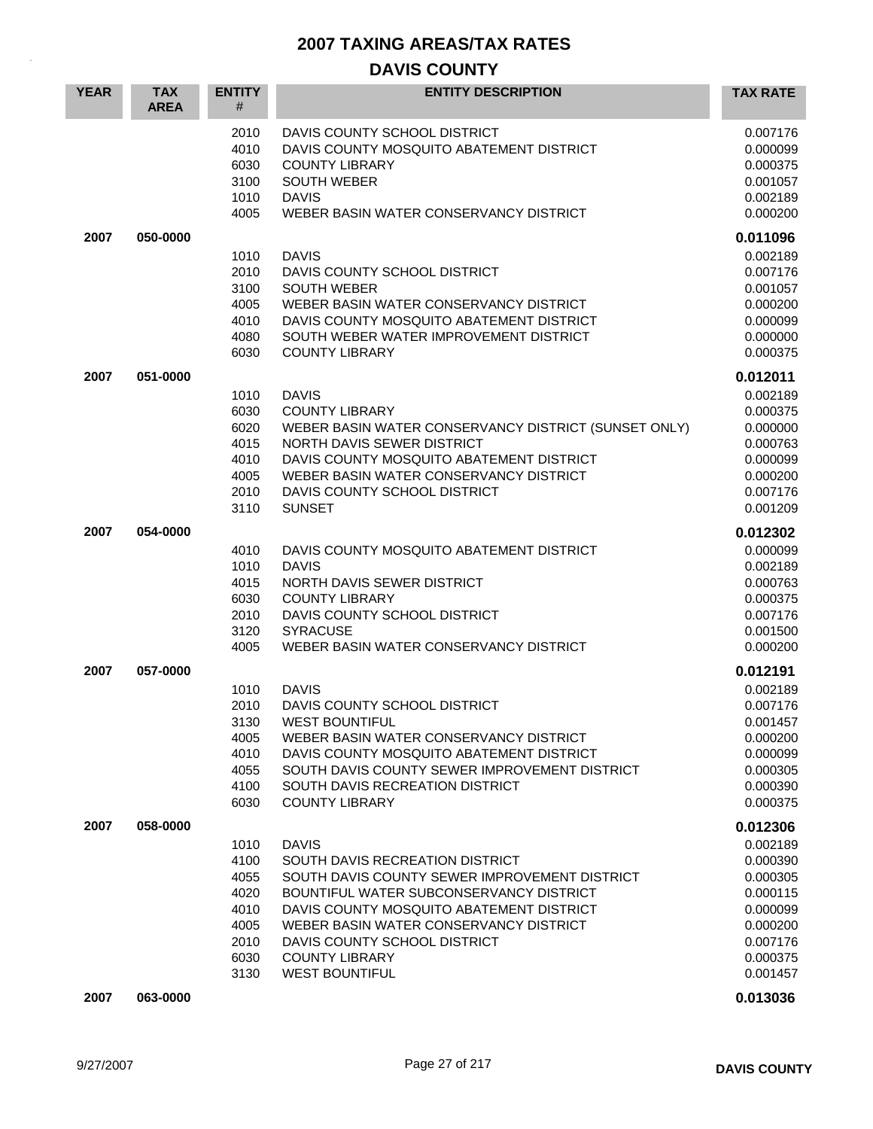| <b>YEAR</b> | <b>TAX</b><br><b>AREA</b> | <b>ENTITY</b><br>#                                                   | <b>ENTITY DESCRIPTION</b>                                                                                                                                                                                                                                                                                           | <b>TAX RATE</b>                                                                                                      |
|-------------|---------------------------|----------------------------------------------------------------------|---------------------------------------------------------------------------------------------------------------------------------------------------------------------------------------------------------------------------------------------------------------------------------------------------------------------|----------------------------------------------------------------------------------------------------------------------|
|             |                           | 2010<br>4010<br>6030<br>3100<br>1010<br>4005                         | DAVIS COUNTY SCHOOL DISTRICT<br>DAVIS COUNTY MOSQUITO ABATEMENT DISTRICT<br><b>COUNTY LIBRARY</b><br><b>SOUTH WEBER</b><br><b>DAVIS</b><br>WEBER BASIN WATER CONSERVANCY DISTRICT                                                                                                                                   | 0.007176<br>0.000099<br>0.000375<br>0.001057<br>0.002189<br>0.000200                                                 |
| 2007        | 050-0000                  | 1010<br>2010<br>3100                                                 | <b>DAVIS</b><br>DAVIS COUNTY SCHOOL DISTRICT<br><b>SOUTH WEBER</b>                                                                                                                                                                                                                                                  | 0.011096<br>0.002189<br>0.007176<br>0.001057                                                                         |
|             |                           | 4005<br>4010<br>4080<br>6030                                         | WEBER BASIN WATER CONSERVANCY DISTRICT<br>DAVIS COUNTY MOSQUITO ABATEMENT DISTRICT<br>SOUTH WEBER WATER IMPROVEMENT DISTRICT<br><b>COUNTY LIBRARY</b>                                                                                                                                                               | 0.000200<br>0.000099<br>0.000000<br>0.000375                                                                         |
| 2007        | 051-0000                  | 1010<br>6030<br>6020<br>4015<br>4010<br>4005<br>2010<br>3110         | <b>DAVIS</b><br><b>COUNTY LIBRARY</b><br>WEBER BASIN WATER CONSERVANCY DISTRICT (SUNSET ONLY)<br>NORTH DAVIS SEWER DISTRICT<br>DAVIS COUNTY MOSQUITO ABATEMENT DISTRICT<br>WEBER BASIN WATER CONSERVANCY DISTRICT<br>DAVIS COUNTY SCHOOL DISTRICT<br><b>SUNSET</b>                                                  | 0.012011<br>0.002189<br>0.000375<br>0.000000<br>0.000763<br>0.000099<br>0.000200<br>0.007176<br>0.001209             |
| 2007        | 054-0000                  | 4010<br>1010<br>4015<br>6030<br>2010<br>3120<br>4005                 | DAVIS COUNTY MOSQUITO ABATEMENT DISTRICT<br><b>DAVIS</b><br>NORTH DAVIS SEWER DISTRICT<br><b>COUNTY LIBRARY</b><br>DAVIS COUNTY SCHOOL DISTRICT<br><b>SYRACUSE</b><br>WEBER BASIN WATER CONSERVANCY DISTRICT                                                                                                        | 0.012302<br>0.000099<br>0.002189<br>0.000763<br>0.000375<br>0.007176<br>0.001500<br>0.000200                         |
| 2007        | 057-0000                  | 1010<br>2010<br>3130<br>4005<br>4010<br>4055<br>4100<br>6030         | <b>DAVIS</b><br>DAVIS COUNTY SCHOOL DISTRICT<br><b>WEST BOUNTIFUL</b><br>WEBER BASIN WATER CONSERVANCY DISTRICT<br>DAVIS COUNTY MOSQUITO ABATEMENT DISTRICT<br>SOUTH DAVIS COUNTY SEWER IMPROVEMENT DISTRICT<br>SOUTH DAVIS RECREATION DISTRICT<br><b>COUNTY LIBRARY</b>                                            | 0.012191<br>0.002189<br>0.007176<br>0.001457<br>0.000200<br>0.000099<br>0.000305<br>0.000390<br>0.000375             |
| 2007        | 058-0000                  | 1010<br>4100<br>4055<br>4020<br>4010<br>4005<br>2010<br>6030<br>3130 | <b>DAVIS</b><br>SOUTH DAVIS RECREATION DISTRICT<br>SOUTH DAVIS COUNTY SEWER IMPROVEMENT DISTRICT<br>BOUNTIFUL WATER SUBCONSERVANCY DISTRICT<br>DAVIS COUNTY MOSQUITO ABATEMENT DISTRICT<br>WEBER BASIN WATER CONSERVANCY DISTRICT<br>DAVIS COUNTY SCHOOL DISTRICT<br><b>COUNTY LIBRARY</b><br><b>WEST BOUNTIFUL</b> | 0.012306<br>0.002189<br>0.000390<br>0.000305<br>0.000115<br>0.000099<br>0.000200<br>0.007176<br>0.000375<br>0.001457 |
| 2007        | 063-0000                  |                                                                      |                                                                                                                                                                                                                                                                                                                     | 0.013036                                                                                                             |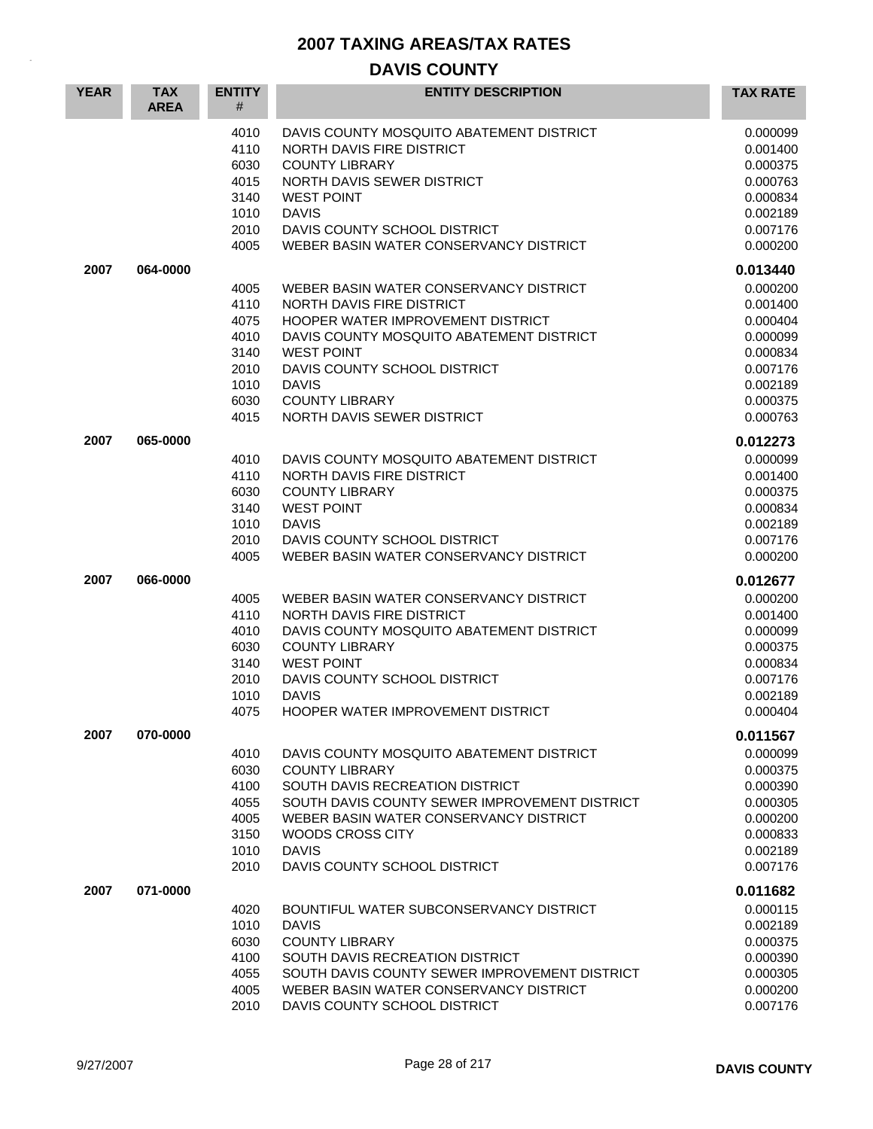| <b>YEAR</b> | <b>TAX</b><br><b>AREA</b> | <b>ENTITY</b><br>#                                                   | <b>ENTITY DESCRIPTION</b>                                                                                                                                                                                                                                                        | <b>TAX RATE</b>                                                                                          |
|-------------|---------------------------|----------------------------------------------------------------------|----------------------------------------------------------------------------------------------------------------------------------------------------------------------------------------------------------------------------------------------------------------------------------|----------------------------------------------------------------------------------------------------------|
|             |                           | 4010<br>4110<br>6030<br>4015<br>3140<br>1010                         | DAVIS COUNTY MOSQUITO ABATEMENT DISTRICT<br>NORTH DAVIS FIRE DISTRICT<br><b>COUNTY LIBRARY</b><br>NORTH DAVIS SEWER DISTRICT<br><b>WEST POINT</b><br><b>DAVIS</b><br>DAVIS COUNTY SCHOOL DISTRICT                                                                                | 0.000099<br>0.001400<br>0.000375<br>0.000763<br>0.000834<br>0.002189                                     |
|             |                           | 2010<br>4005                                                         | WEBER BASIN WATER CONSERVANCY DISTRICT                                                                                                                                                                                                                                           | 0.007176<br>0.000200                                                                                     |
| 2007        | 064-0000                  |                                                                      |                                                                                                                                                                                                                                                                                  | 0.013440                                                                                                 |
|             |                           | 4005<br>4110<br>4075<br>4010<br>3140<br>2010<br>1010<br>6030<br>4015 | WEBER BASIN WATER CONSERVANCY DISTRICT<br>NORTH DAVIS FIRE DISTRICT<br>HOOPER WATER IMPROVEMENT DISTRICT<br>DAVIS COUNTY MOSQUITO ABATEMENT DISTRICT<br><b>WEST POINT</b><br>DAVIS COUNTY SCHOOL DISTRICT<br><b>DAVIS</b><br><b>COUNTY LIBRARY</b><br>NORTH DAVIS SEWER DISTRICT | 0.000200<br>0.001400<br>0.000404<br>0.000099<br>0.000834<br>0.007176<br>0.002189<br>0.000375<br>0.000763 |
| 2007        | 065-0000                  |                                                                      |                                                                                                                                                                                                                                                                                  | 0.012273                                                                                                 |
|             |                           | 4010<br>4110<br>6030<br>3140<br>1010<br>2010<br>4005                 | DAVIS COUNTY MOSQUITO ABATEMENT DISTRICT<br>NORTH DAVIS FIRE DISTRICT<br><b>COUNTY LIBRARY</b><br><b>WEST POINT</b><br><b>DAVIS</b><br>DAVIS COUNTY SCHOOL DISTRICT<br>WEBER BASIN WATER CONSERVANCY DISTRICT                                                                    | 0.000099<br>0.001400<br>0.000375<br>0.000834<br>0.002189<br>0.007176<br>0.000200                         |
| 2007        | 066-0000                  |                                                                      |                                                                                                                                                                                                                                                                                  | 0.012677                                                                                                 |
|             |                           | 4005<br>4110<br>4010<br>6030<br>3140<br>2010<br>1010<br>4075         | WEBER BASIN WATER CONSERVANCY DISTRICT<br>NORTH DAVIS FIRE DISTRICT<br>DAVIS COUNTY MOSQUITO ABATEMENT DISTRICT<br><b>COUNTY LIBRARY</b><br><b>WEST POINT</b><br>DAVIS COUNTY SCHOOL DISTRICT<br><b>DAVIS</b><br>HOOPER WATER IMPROVEMENT DISTRICT                               | 0.000200<br>0.001400<br>0.000099<br>0.000375<br>0.000834<br>0.007176<br>0.002189<br>0.000404             |
| 2007        | 070-0000                  |                                                                      |                                                                                                                                                                                                                                                                                  | 0.011567                                                                                                 |
|             |                           | 4010<br>6030<br>4100<br>4055<br>4005<br>3150<br>1010<br>2010         | DAVIS COUNTY MOSQUITO ABATEMENT DISTRICT<br><b>COUNTY LIBRARY</b><br>SOUTH DAVIS RECREATION DISTRICT<br>SOUTH DAVIS COUNTY SEWER IMPROVEMENT DISTRICT<br>WEBER BASIN WATER CONSERVANCY DISTRICT<br>WOODS CROSS CITY<br><b>DAVIS</b><br>DAVIS COUNTY SCHOOL DISTRICT              | 0.000099<br>0.000375<br>0.000390<br>0.000305<br>0.000200<br>0.000833<br>0.002189<br>0.007176             |
| 2007        | 071-0000                  |                                                                      |                                                                                                                                                                                                                                                                                  | 0.011682                                                                                                 |
|             |                           | 4020<br>1010<br>6030<br>4100<br>4055<br>4005<br>2010                 | BOUNTIFUL WATER SUBCONSERVANCY DISTRICT<br><b>DAVIS</b><br><b>COUNTY LIBRARY</b><br>SOUTH DAVIS RECREATION DISTRICT<br>SOUTH DAVIS COUNTY SEWER IMPROVEMENT DISTRICT<br>WEBER BASIN WATER CONSERVANCY DISTRICT<br>DAVIS COUNTY SCHOOL DISTRICT                                   | 0.000115<br>0.002189<br>0.000375<br>0.000390<br>0.000305<br>0.000200<br>0.007176                         |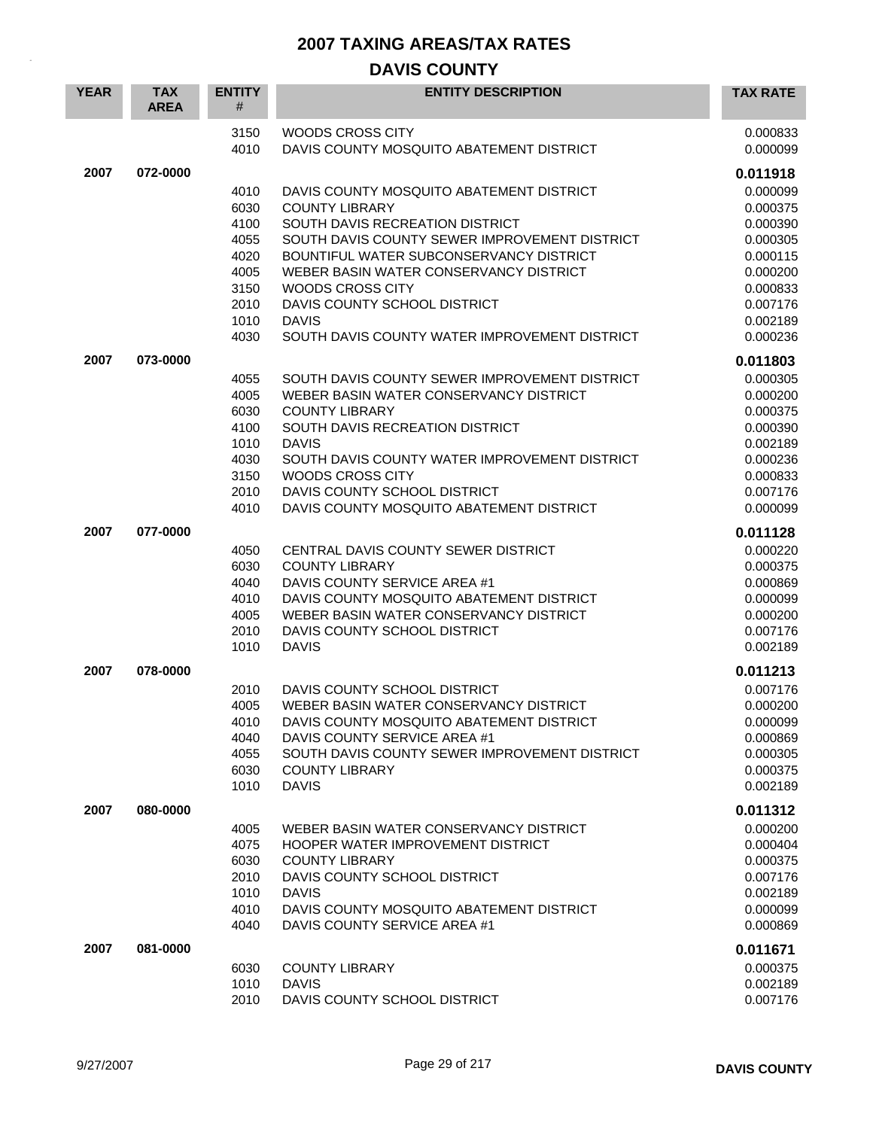| <b>YEAR</b> | <b>TAX</b><br><b>AREA</b> | <b>ENTITY</b><br># | <b>ENTITY DESCRIPTION</b>                                                          | <b>TAX RATE</b>      |
|-------------|---------------------------|--------------------|------------------------------------------------------------------------------------|----------------------|
|             |                           | 3150<br>4010       | WOODS CROSS CITY<br>DAVIS COUNTY MOSQUITO ABATEMENT DISTRICT                       | 0.000833<br>0.000099 |
| 2007        | 072-0000                  |                    |                                                                                    | 0.011918             |
|             |                           | 4010               | DAVIS COUNTY MOSQUITO ABATEMENT DISTRICT                                           | 0.000099             |
|             |                           | 6030               | <b>COUNTY LIBRARY</b>                                                              | 0.000375             |
|             |                           | 4100               | SOUTH DAVIS RECREATION DISTRICT                                                    | 0.000390             |
|             |                           | 4055               | SOUTH DAVIS COUNTY SEWER IMPROVEMENT DISTRICT                                      | 0.000305             |
|             |                           | 4020               | BOUNTIFUL WATER SUBCONSERVANCY DISTRICT                                            | 0.000115             |
|             |                           | 4005               | WEBER BASIN WATER CONSERVANCY DISTRICT<br><b>WOODS CROSS CITY</b>                  | 0.000200             |
|             |                           | 3150<br>2010       | DAVIS COUNTY SCHOOL DISTRICT                                                       | 0.000833<br>0.007176 |
|             |                           | 1010               | <b>DAVIS</b>                                                                       | 0.002189             |
|             |                           | 4030               | SOUTH DAVIS COUNTY WATER IMPROVEMENT DISTRICT                                      | 0.000236             |
| 2007        | 073-0000                  |                    |                                                                                    | 0.011803             |
|             |                           | 4055               | SOUTH DAVIS COUNTY SEWER IMPROVEMENT DISTRICT                                      | 0.000305             |
|             |                           | 4005               | WEBER BASIN WATER CONSERVANCY DISTRICT                                             | 0.000200             |
|             |                           | 6030               | <b>COUNTY LIBRARY</b>                                                              | 0.000375             |
|             |                           | 4100               | SOUTH DAVIS RECREATION DISTRICT                                                    | 0.000390             |
|             |                           | 1010<br>4030       | <b>DAVIS</b><br>SOUTH DAVIS COUNTY WATER IMPROVEMENT DISTRICT                      | 0.002189             |
|             |                           | 3150               | <b>WOODS CROSS CITY</b>                                                            | 0.000236<br>0.000833 |
|             |                           | 2010               | DAVIS COUNTY SCHOOL DISTRICT                                                       | 0.007176             |
|             |                           | 4010               | DAVIS COUNTY MOSQUITO ABATEMENT DISTRICT                                           | 0.000099             |
| 2007        | 077-0000                  |                    |                                                                                    | 0.011128             |
|             |                           | 4050               | CENTRAL DAVIS COUNTY SEWER DISTRICT                                                | 0.000220             |
|             |                           | 6030               | <b>COUNTY LIBRARY</b>                                                              | 0.000375             |
|             |                           | 4040               | DAVIS COUNTY SERVICE AREA #1                                                       | 0.000869             |
|             |                           | 4010               | DAVIS COUNTY MOSQUITO ABATEMENT DISTRICT                                           | 0.000099             |
|             |                           | 4005               | WEBER BASIN WATER CONSERVANCY DISTRICT                                             | 0.000200             |
|             |                           | 2010               | DAVIS COUNTY SCHOOL DISTRICT<br><b>DAVIS</b>                                       | 0.007176             |
|             |                           | 1010               |                                                                                    | 0.002189             |
| 2007        | 078-0000                  |                    |                                                                                    | 0.011213             |
|             |                           | 2010               | DAVIS COUNTY SCHOOL DISTRICT                                                       | 0.007176             |
|             |                           | 4005<br>4010       | WEBER BASIN WATER CONSERVANCY DISTRICT<br>DAVIS COUNTY MOSQUITO ABATEMENT DISTRICT | 0.000200<br>0.000099 |
|             |                           | 4040               | DAVIS COUNTY SERVICE AREA #1                                                       | 0.000869             |
|             |                           | 4055               | SOUTH DAVIS COUNTY SEWER IMPROVEMENT DISTRICT                                      | 0.000305             |
|             |                           | 6030               | <b>COUNTY LIBRARY</b>                                                              | 0.000375             |
|             |                           | 1010               | <b>DAVIS</b>                                                                       | 0.002189             |
| 2007        | 080-0000                  |                    |                                                                                    | 0.011312             |
|             |                           | 4005               | WEBER BASIN WATER CONSERVANCY DISTRICT                                             | 0.000200             |
|             |                           | 4075               | HOOPER WATER IMPROVEMENT DISTRICT                                                  | 0.000404             |
|             |                           | 6030               | <b>COUNTY LIBRARY</b>                                                              | 0.000375             |
|             |                           | 2010               | DAVIS COUNTY SCHOOL DISTRICT                                                       | 0.007176             |
|             |                           | 1010<br>4010       | <b>DAVIS</b><br>DAVIS COUNTY MOSQUITO ABATEMENT DISTRICT                           | 0.002189<br>0.000099 |
|             |                           | 4040               | DAVIS COUNTY SERVICE AREA #1                                                       | 0.000869             |
| 2007        | 081-0000                  |                    |                                                                                    | 0.011671             |
|             |                           | 6030               | <b>COUNTY LIBRARY</b>                                                              | 0.000375             |
|             |                           | 1010               | <b>DAVIS</b>                                                                       | 0.002189             |
|             |                           | 2010               | DAVIS COUNTY SCHOOL DISTRICT                                                       | 0.007176             |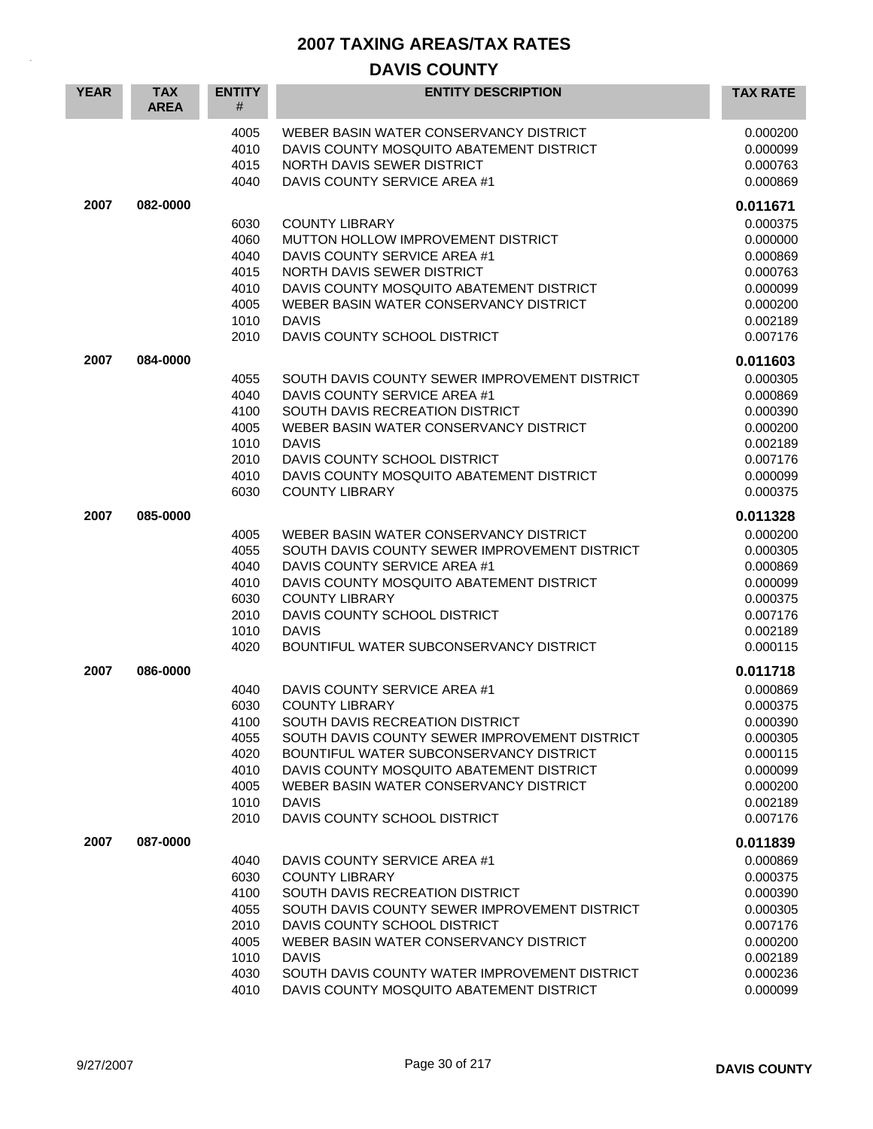| <b>YEAR</b> | <b>TAX</b><br><b>AREA</b> | <b>ENTITY</b><br>#                                                   | <b>ENTITY DESCRIPTION</b>                                                                                                                                                                                                                                                                                                        | <b>TAX RATE</b>                                                                                          |
|-------------|---------------------------|----------------------------------------------------------------------|----------------------------------------------------------------------------------------------------------------------------------------------------------------------------------------------------------------------------------------------------------------------------------------------------------------------------------|----------------------------------------------------------------------------------------------------------|
|             |                           | 4005<br>4010<br>4015<br>4040                                         | WEBER BASIN WATER CONSERVANCY DISTRICT<br>DAVIS COUNTY MOSQUITO ABATEMENT DISTRICT<br>NORTH DAVIS SEWER DISTRICT<br>DAVIS COUNTY SERVICE AREA #1                                                                                                                                                                                 | 0.000200<br>0.000099<br>0.000763<br>0.000869                                                             |
| 2007        | 082-0000                  |                                                                      |                                                                                                                                                                                                                                                                                                                                  | 0.011671                                                                                                 |
|             |                           | 6030<br>4060<br>4040<br>4015<br>4010<br>4005<br>1010<br>2010         | <b>COUNTY LIBRARY</b><br>MUTTON HOLLOW IMPROVEMENT DISTRICT<br>DAVIS COUNTY SERVICE AREA #1<br>NORTH DAVIS SEWER DISTRICT<br>DAVIS COUNTY MOSQUITO ABATEMENT DISTRICT<br>WEBER BASIN WATER CONSERVANCY DISTRICT<br><b>DAVIS</b><br>DAVIS COUNTY SCHOOL DISTRICT                                                                  | 0.000375<br>0.000000<br>0.000869<br>0.000763<br>0.000099<br>0.000200<br>0.002189<br>0.007176             |
| 2007        | 084-0000                  |                                                                      |                                                                                                                                                                                                                                                                                                                                  | 0.011603                                                                                                 |
|             |                           | 4055<br>4040<br>4100<br>4005<br>1010<br>2010<br>4010<br>6030         | SOUTH DAVIS COUNTY SEWER IMPROVEMENT DISTRICT<br>DAVIS COUNTY SERVICE AREA #1<br>SOUTH DAVIS RECREATION DISTRICT<br>WEBER BASIN WATER CONSERVANCY DISTRICT<br><b>DAVIS</b><br>DAVIS COUNTY SCHOOL DISTRICT<br>DAVIS COUNTY MOSQUITO ABATEMENT DISTRICT<br><b>COUNTY LIBRARY</b>                                                  | 0.000305<br>0.000869<br>0.000390<br>0.000200<br>0.002189<br>0.007176<br>0.000099<br>0.000375             |
| 2007        | 085-0000                  |                                                                      |                                                                                                                                                                                                                                                                                                                                  | 0.011328                                                                                                 |
|             |                           | 4005<br>4055<br>4040<br>4010<br>6030<br>2010<br>1010<br>4020         | WEBER BASIN WATER CONSERVANCY DISTRICT<br>SOUTH DAVIS COUNTY SEWER IMPROVEMENT DISTRICT<br>DAVIS COUNTY SERVICE AREA #1<br>DAVIS COUNTY MOSQUITO ABATEMENT DISTRICT<br><b>COUNTY LIBRARY</b><br>DAVIS COUNTY SCHOOL DISTRICT<br><b>DAVIS</b><br>BOUNTIFUL WATER SUBCONSERVANCY DISTRICT                                          | 0.000200<br>0.000305<br>0.000869<br>0.000099<br>0.000375<br>0.007176<br>0.002189<br>0.000115             |
| 2007        | 086-0000                  |                                                                      |                                                                                                                                                                                                                                                                                                                                  | 0.011718                                                                                                 |
|             |                           | 4040<br>6030<br>4100<br>4055<br>4020<br>4010<br>4005<br>1010<br>2010 | DAVIS COUNTY SERVICE AREA #1<br><b>COUNTY LIBRARY</b><br>SOUTH DAVIS RECREATION DISTRICT<br>SOUTH DAVIS COUNTY SEWER IMPROVEMENT DISTRICT<br>BOUNTIFUL WATER SUBCONSERVANCY DISTRICT<br>DAVIS COUNTY MOSQUITO ABATEMENT DISTRICT<br>WEBER BASIN WATER CONSERVANCY DISTRICT<br><b>DAVIS</b><br>DAVIS COUNTY SCHOOL DISTRICT       | 0.000869<br>0.000375<br>0.000390<br>0.000305<br>0.000115<br>0.000099<br>0.000200<br>0.002189<br>0.007176 |
| 2007        | 087-0000                  |                                                                      |                                                                                                                                                                                                                                                                                                                                  | 0.011839                                                                                                 |
|             |                           | 4040<br>6030<br>4100<br>4055<br>2010<br>4005<br>1010<br>4030<br>4010 | DAVIS COUNTY SERVICE AREA #1<br><b>COUNTY LIBRARY</b><br>SOUTH DAVIS RECREATION DISTRICT<br>SOUTH DAVIS COUNTY SEWER IMPROVEMENT DISTRICT<br>DAVIS COUNTY SCHOOL DISTRICT<br>WEBER BASIN WATER CONSERVANCY DISTRICT<br><b>DAVIS</b><br>SOUTH DAVIS COUNTY WATER IMPROVEMENT DISTRICT<br>DAVIS COUNTY MOSQUITO ABATEMENT DISTRICT | 0.000869<br>0.000375<br>0.000390<br>0.000305<br>0.007176<br>0.000200<br>0.002189<br>0.000236<br>0.000099 |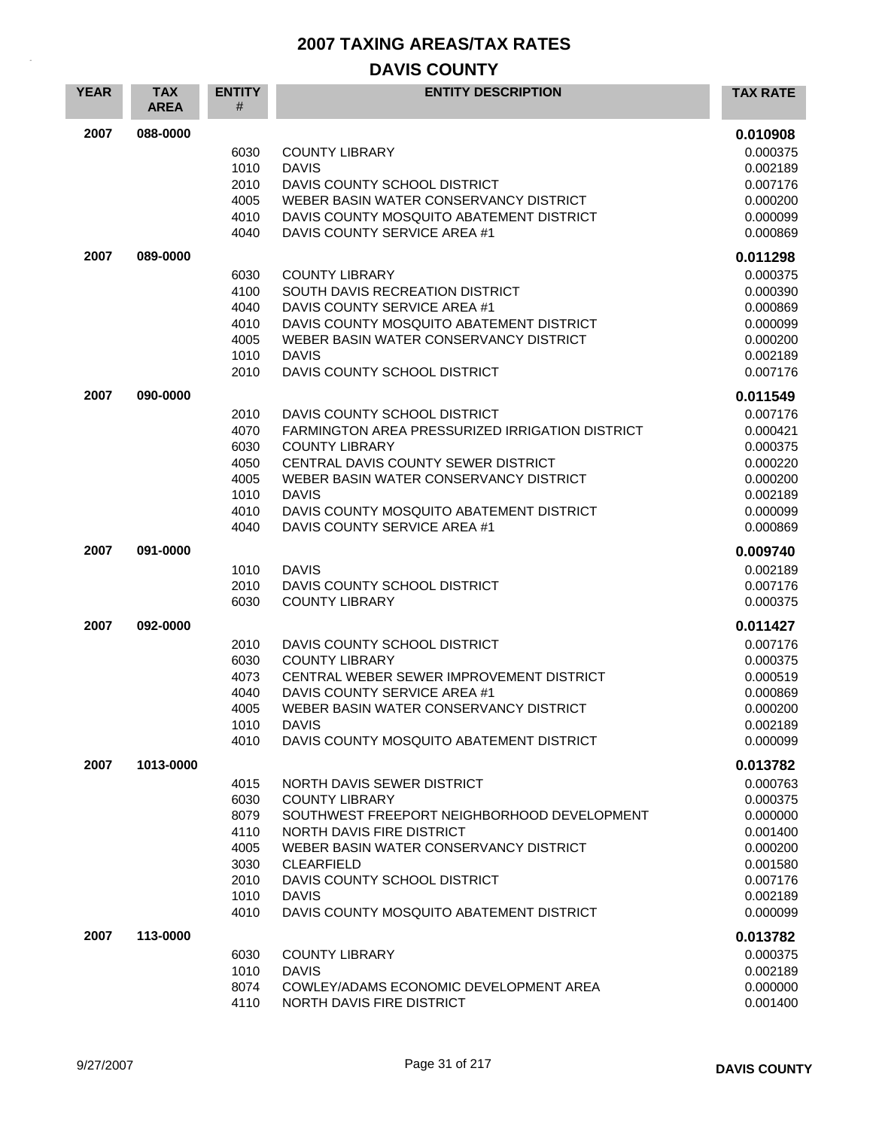| <b>YEAR</b> | <b>TAX</b><br><b>AREA</b> | <b>ENTITY</b><br>#                                                   | <b>ENTITY DESCRIPTION</b>                                                                                                                                                                                                                                                                  | <b>TAX RATE</b>                                                                                                      |
|-------------|---------------------------|----------------------------------------------------------------------|--------------------------------------------------------------------------------------------------------------------------------------------------------------------------------------------------------------------------------------------------------------------------------------------|----------------------------------------------------------------------------------------------------------------------|
| 2007        | 088-0000                  | 6030<br>1010<br>2010<br>4005<br>4010<br>4040                         | <b>COUNTY LIBRARY</b><br><b>DAVIS</b><br>DAVIS COUNTY SCHOOL DISTRICT<br>WEBER BASIN WATER CONSERVANCY DISTRICT<br>DAVIS COUNTY MOSQUITO ABATEMENT DISTRICT<br>DAVIS COUNTY SERVICE AREA #1                                                                                                | 0.010908<br>0.000375<br>0.002189<br>0.007176<br>0.000200<br>0.000099<br>0.000869                                     |
| 2007        | 089-0000                  | 6030<br>4100<br>4040<br>4010<br>4005<br>1010<br>2010                 | <b>COUNTY LIBRARY</b><br>SOUTH DAVIS RECREATION DISTRICT<br>DAVIS COUNTY SERVICE AREA #1<br>DAVIS COUNTY MOSQUITO ABATEMENT DISTRICT<br>WEBER BASIN WATER CONSERVANCY DISTRICT<br><b>DAVIS</b><br>DAVIS COUNTY SCHOOL DISTRICT                                                             | 0.011298<br>0.000375<br>0.000390<br>0.000869<br>0.000099<br>0.000200<br>0.002189<br>0.007176                         |
| 2007        | 090-0000                  | 2010<br>4070<br>6030<br>4050<br>4005<br>1010<br>4010<br>4040         | DAVIS COUNTY SCHOOL DISTRICT<br>FARMINGTON AREA PRESSURIZED IRRIGATION DISTRICT<br><b>COUNTY LIBRARY</b><br>CENTRAL DAVIS COUNTY SEWER DISTRICT<br>WEBER BASIN WATER CONSERVANCY DISTRICT<br><b>DAVIS</b><br>DAVIS COUNTY MOSQUITO ABATEMENT DISTRICT<br>DAVIS COUNTY SERVICE AREA #1      | 0.011549<br>0.007176<br>0.000421<br>0.000375<br>0.000220<br>0.000200<br>0.002189<br>0.000099<br>0.000869             |
| 2007        | 091-0000                  | 1010<br>2010<br>6030                                                 | <b>DAVIS</b><br>DAVIS COUNTY SCHOOL DISTRICT<br><b>COUNTY LIBRARY</b>                                                                                                                                                                                                                      | 0.009740<br>0.002189<br>0.007176<br>0.000375                                                                         |
| 2007        | 092-0000                  | 2010<br>6030<br>4073<br>4040<br>4005<br>1010<br>4010                 | DAVIS COUNTY SCHOOL DISTRICT<br><b>COUNTY LIBRARY</b><br>CENTRAL WEBER SEWER IMPROVEMENT DISTRICT<br>DAVIS COUNTY SERVICE AREA #1<br>WEBER BASIN WATER CONSERVANCY DISTRICT<br><b>DAVIS</b><br>DAVIS COUNTY MOSQUITO ABATEMENT DISTRICT                                                    | 0.011427<br>0.007176<br>0.000375<br>0.000519<br>0.000869<br>0.000200<br>0.002189<br>0.000099                         |
| 2007        | 1013-0000                 | 4015<br>6030<br>8079<br>4110<br>4005<br>3030<br>2010<br>1010<br>4010 | NORTH DAVIS SEWER DISTRICT<br><b>COUNTY LIBRARY</b><br>SOUTHWEST FREEPORT NEIGHBORHOOD DEVELOPMENT<br>NORTH DAVIS FIRE DISTRICT<br>WEBER BASIN WATER CONSERVANCY DISTRICT<br><b>CLEARFIELD</b><br>DAVIS COUNTY SCHOOL DISTRICT<br><b>DAVIS</b><br>DAVIS COUNTY MOSQUITO ABATEMENT DISTRICT | 0.013782<br>0.000763<br>0.000375<br>0.000000<br>0.001400<br>0.000200<br>0.001580<br>0.007176<br>0.002189<br>0.000099 |
| 2007        | 113-0000                  | 6030<br>1010<br>8074<br>4110                                         | <b>COUNTY LIBRARY</b><br><b>DAVIS</b><br>COWLEY/ADAMS ECONOMIC DEVELOPMENT AREA<br>NORTH DAVIS FIRE DISTRICT                                                                                                                                                                               | 0.013782<br>0.000375<br>0.002189<br>0.000000<br>0.001400                                                             |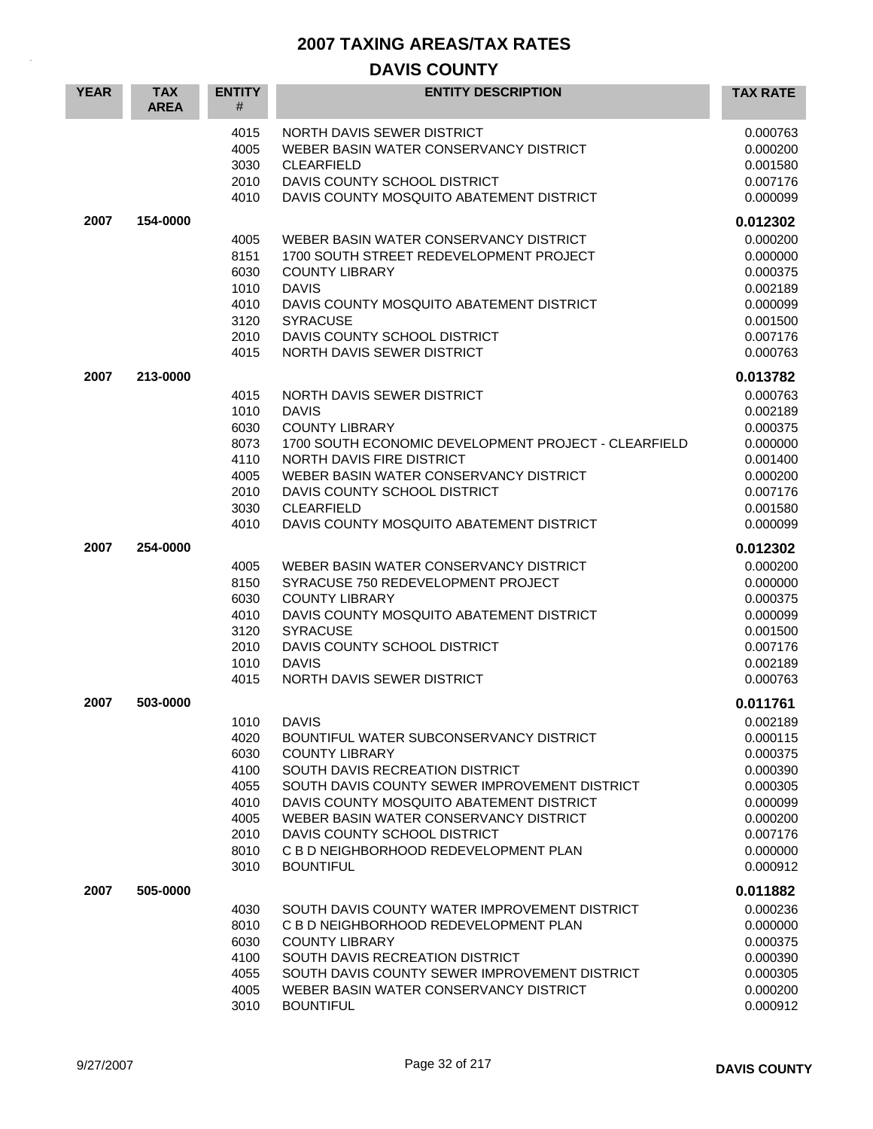| <b>YEAR</b> | <b>TAX</b><br><b>AREA</b> | <b>ENTITY</b><br>#                                                           | <b>ENTITY DESCRIPTION</b>                                                                                                                                                                                                                                                                                                                               | <b>TAX RATE</b>                                                                                                                  |
|-------------|---------------------------|------------------------------------------------------------------------------|---------------------------------------------------------------------------------------------------------------------------------------------------------------------------------------------------------------------------------------------------------------------------------------------------------------------------------------------------------|----------------------------------------------------------------------------------------------------------------------------------|
|             |                           | 4015<br>4005<br>3030<br>2010<br>4010                                         | NORTH DAVIS SEWER DISTRICT<br>WEBER BASIN WATER CONSERVANCY DISTRICT<br><b>CLEARFIELD</b><br>DAVIS COUNTY SCHOOL DISTRICT<br>DAVIS COUNTY MOSQUITO ABATEMENT DISTRICT                                                                                                                                                                                   | 0.000763<br>0.000200<br>0.001580<br>0.007176<br>0.000099                                                                         |
| 2007        | 154-0000                  | 4005<br>8151<br>6030<br>1010<br>4010<br>3120<br>2010<br>4015                 | WEBER BASIN WATER CONSERVANCY DISTRICT<br>1700 SOUTH STREET REDEVELOPMENT PROJECT<br><b>COUNTY LIBRARY</b><br><b>DAVIS</b><br>DAVIS COUNTY MOSQUITO ABATEMENT DISTRICT<br><b>SYRACUSE</b><br>DAVIS COUNTY SCHOOL DISTRICT<br>NORTH DAVIS SEWER DISTRICT                                                                                                 | 0.012302<br>0.000200<br>0.000000<br>0.000375<br>0.002189<br>0.000099<br>0.001500<br>0.007176<br>0.000763                         |
| 2007        | 213-0000                  | 4015<br>1010<br>6030<br>8073<br>4110<br>4005<br>2010<br>3030<br>4010         | NORTH DAVIS SEWER DISTRICT<br><b>DAVIS</b><br><b>COUNTY LIBRARY</b><br>1700 SOUTH ECONOMIC DEVELOPMENT PROJECT - CLEARFIELD<br>NORTH DAVIS FIRE DISTRICT<br>WEBER BASIN WATER CONSERVANCY DISTRICT<br>DAVIS COUNTY SCHOOL DISTRICT<br><b>CLEARFIELD</b><br>DAVIS COUNTY MOSQUITO ABATEMENT DISTRICT                                                     | 0.013782<br>0.000763<br>0.002189<br>0.000375<br>0.000000<br>0.001400<br>0.000200<br>0.007176<br>0.001580<br>0.000099             |
| 2007        | 254-0000                  | 4005<br>8150<br>6030<br>4010<br>3120<br>2010<br>1010<br>4015                 | WEBER BASIN WATER CONSERVANCY DISTRICT<br>SYRACUSE 750 REDEVELOPMENT PROJECT<br><b>COUNTY LIBRARY</b><br>DAVIS COUNTY MOSQUITO ABATEMENT DISTRICT<br><b>SYRACUSE</b><br>DAVIS COUNTY SCHOOL DISTRICT<br><b>DAVIS</b><br>NORTH DAVIS SEWER DISTRICT                                                                                                      | 0.012302<br>0.000200<br>0.000000<br>0.000375<br>0.000099<br>0.001500<br>0.007176<br>0.002189<br>0.000763                         |
| 2007        | 503-0000                  | 1010<br>4020<br>6030<br>4100<br>4055<br>4010<br>4005<br>2010<br>8010<br>3010 | <b>DAVIS</b><br>BOUNTIFUL WATER SUBCONSERVANCY DISTRICT<br><b>COUNTY LIBRARY</b><br>SOUTH DAVIS RECREATION DISTRICT<br>SOUTH DAVIS COUNTY SEWER IMPROVEMENT DISTRICT<br>DAVIS COUNTY MOSQUITO ABATEMENT DISTRICT<br>WEBER BASIN WATER CONSERVANCY DISTRICT<br>DAVIS COUNTY SCHOOL DISTRICT<br>C B D NEIGHBORHOOD REDEVELOPMENT PLAN<br><b>BOUNTIFUL</b> | 0.011761<br>0.002189<br>0.000115<br>0.000375<br>0.000390<br>0.000305<br>0.000099<br>0.000200<br>0.007176<br>0.000000<br>0.000912 |
| 2007        | 505-0000                  | 4030<br>8010<br>6030<br>4100<br>4055<br>4005<br>3010                         | SOUTH DAVIS COUNTY WATER IMPROVEMENT DISTRICT<br>C B D NEIGHBORHOOD REDEVELOPMENT PLAN<br><b>COUNTY LIBRARY</b><br>SOUTH DAVIS RECREATION DISTRICT<br>SOUTH DAVIS COUNTY SEWER IMPROVEMENT DISTRICT<br>WEBER BASIN WATER CONSERVANCY DISTRICT<br><b>BOUNTIFUL</b>                                                                                       | 0.011882<br>0.000236<br>0.000000<br>0.000375<br>0.000390<br>0.000305<br>0.000200<br>0.000912                                     |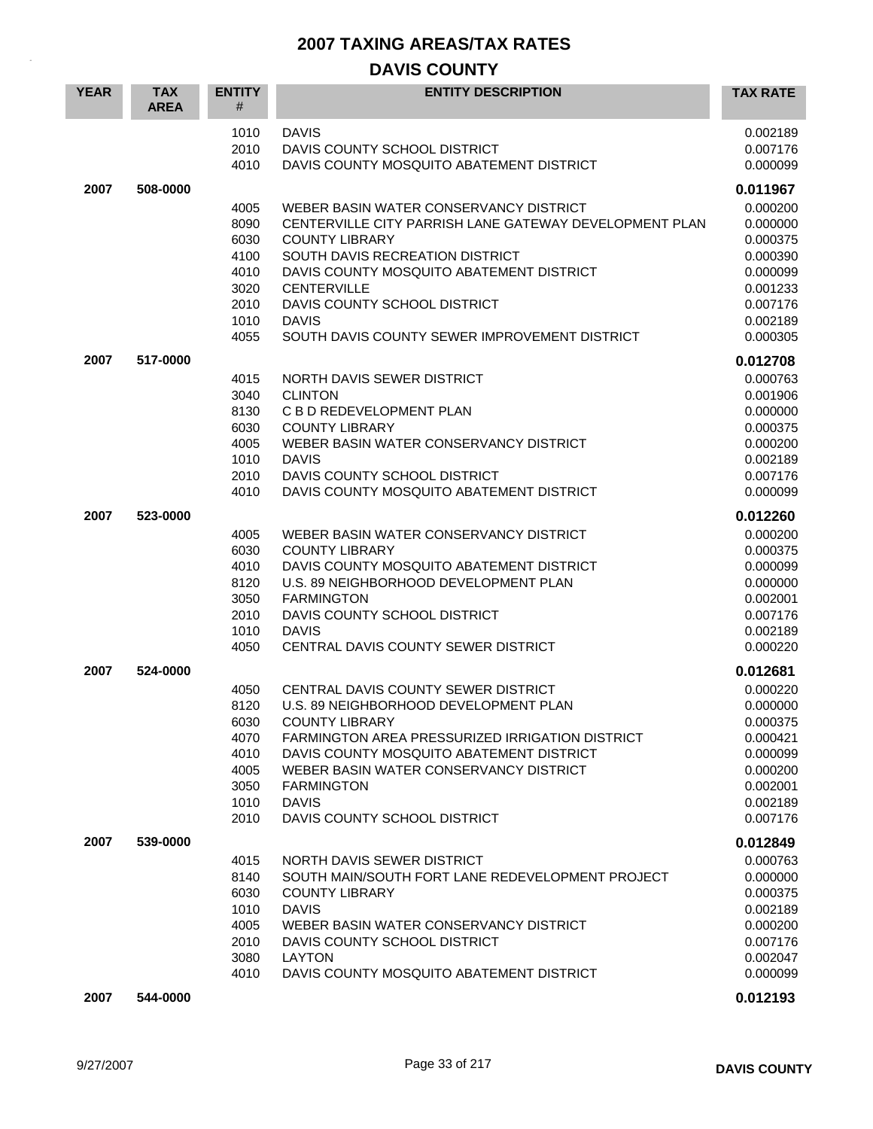| <b>YEAR</b> | <b>TAX</b><br><b>AREA</b> | <b>ENTITY</b><br>#                                                   | <b>ENTITY DESCRIPTION</b>                                                                                                                                                                                                                                                                                           | <b>TAX RATE</b>                                                                                                      |
|-------------|---------------------------|----------------------------------------------------------------------|---------------------------------------------------------------------------------------------------------------------------------------------------------------------------------------------------------------------------------------------------------------------------------------------------------------------|----------------------------------------------------------------------------------------------------------------------|
|             |                           | 1010<br>2010<br>4010                                                 | <b>DAVIS</b><br>DAVIS COUNTY SCHOOL DISTRICT<br>DAVIS COUNTY MOSQUITO ABATEMENT DISTRICT                                                                                                                                                                                                                            | 0.002189<br>0.007176<br>0.000099                                                                                     |
| 2007        | 508-0000                  | 4005<br>8090<br>6030<br>4100<br>4010<br>3020<br>2010<br>1010         | WEBER BASIN WATER CONSERVANCY DISTRICT<br>CENTERVILLE CITY PARRISH LANE GATEWAY DEVELOPMENT PLAN<br><b>COUNTY LIBRARY</b><br>SOUTH DAVIS RECREATION DISTRICT<br>DAVIS COUNTY MOSQUITO ABATEMENT DISTRICT<br><b>CENTERVILLE</b><br>DAVIS COUNTY SCHOOL DISTRICT<br><b>DAVIS</b>                                      | 0.011967<br>0.000200<br>0.000000<br>0.000375<br>0.000390<br>0.000099<br>0.001233<br>0.007176<br>0.002189             |
|             |                           | 4055                                                                 | SOUTH DAVIS COUNTY SEWER IMPROVEMENT DISTRICT                                                                                                                                                                                                                                                                       | 0.000305                                                                                                             |
| 2007        | 517-0000                  | 4015<br>3040<br>8130<br>6030<br>4005<br>1010<br>2010<br>4010         | NORTH DAVIS SEWER DISTRICT<br><b>CLINTON</b><br>C B D REDEVELOPMENT PLAN<br><b>COUNTY LIBRARY</b><br>WEBER BASIN WATER CONSERVANCY DISTRICT<br><b>DAVIS</b><br>DAVIS COUNTY SCHOOL DISTRICT<br>DAVIS COUNTY MOSQUITO ABATEMENT DISTRICT                                                                             | 0.012708<br>0.000763<br>0.001906<br>0.000000<br>0.000375<br>0.000200<br>0.002189<br>0.007176<br>0.000099             |
| 2007        | 523-0000                  | 4005<br>6030<br>4010<br>8120<br>3050<br>2010<br>1010<br>4050         | WEBER BASIN WATER CONSERVANCY DISTRICT<br><b>COUNTY LIBRARY</b><br>DAVIS COUNTY MOSQUITO ABATEMENT DISTRICT<br>U.S. 89 NEIGHBORHOOD DEVELOPMENT PLAN<br><b>FARMINGTON</b><br>DAVIS COUNTY SCHOOL DISTRICT<br><b>DAVIS</b><br>CENTRAL DAVIS COUNTY SEWER DISTRICT                                                    | 0.012260<br>0.000200<br>0.000375<br>0.000099<br>0.000000<br>0.002001<br>0.007176<br>0.002189<br>0.000220             |
| 2007        | 524-0000                  | 4050<br>8120<br>6030<br>4070<br>4010<br>4005<br>3050<br>1010<br>2010 | CENTRAL DAVIS COUNTY SEWER DISTRICT<br>U.S. 89 NEIGHBORHOOD DEVELOPMENT PLAN<br><b>COUNTY LIBRARY</b><br>FARMINGTON AREA PRESSURIZED IRRIGATION DISTRICT<br>DAVIS COUNTY MOSQUITO ABATEMENT DISTRICT<br>WEBER BASIN WATER CONSERVANCY DISTRICT<br><b>FARMINGTON</b><br><b>DAVIS</b><br>DAVIS COUNTY SCHOOL DISTRICT | 0.012681<br>0.000220<br>0.000000<br>0.000375<br>0.000421<br>0.000099<br>0.000200<br>0.002001<br>0.002189<br>0.007176 |
| 2007        | 539-0000                  | 4015<br>8140<br>6030<br>1010<br>4005<br>2010<br>3080<br>4010         | NORTH DAVIS SEWER DISTRICT<br>SOUTH MAIN/SOUTH FORT LANE REDEVELOPMENT PROJECT<br><b>COUNTY LIBRARY</b><br><b>DAVIS</b><br>WEBER BASIN WATER CONSERVANCY DISTRICT<br>DAVIS COUNTY SCHOOL DISTRICT<br><b>LAYTON</b><br>DAVIS COUNTY MOSQUITO ABATEMENT DISTRICT                                                      | 0.012849<br>0.000763<br>0.000000<br>0.000375<br>0.002189<br>0.000200<br>0.007176<br>0.002047<br>0.000099             |
| 2007        | 544-0000                  |                                                                      |                                                                                                                                                                                                                                                                                                                     | 0.012193                                                                                                             |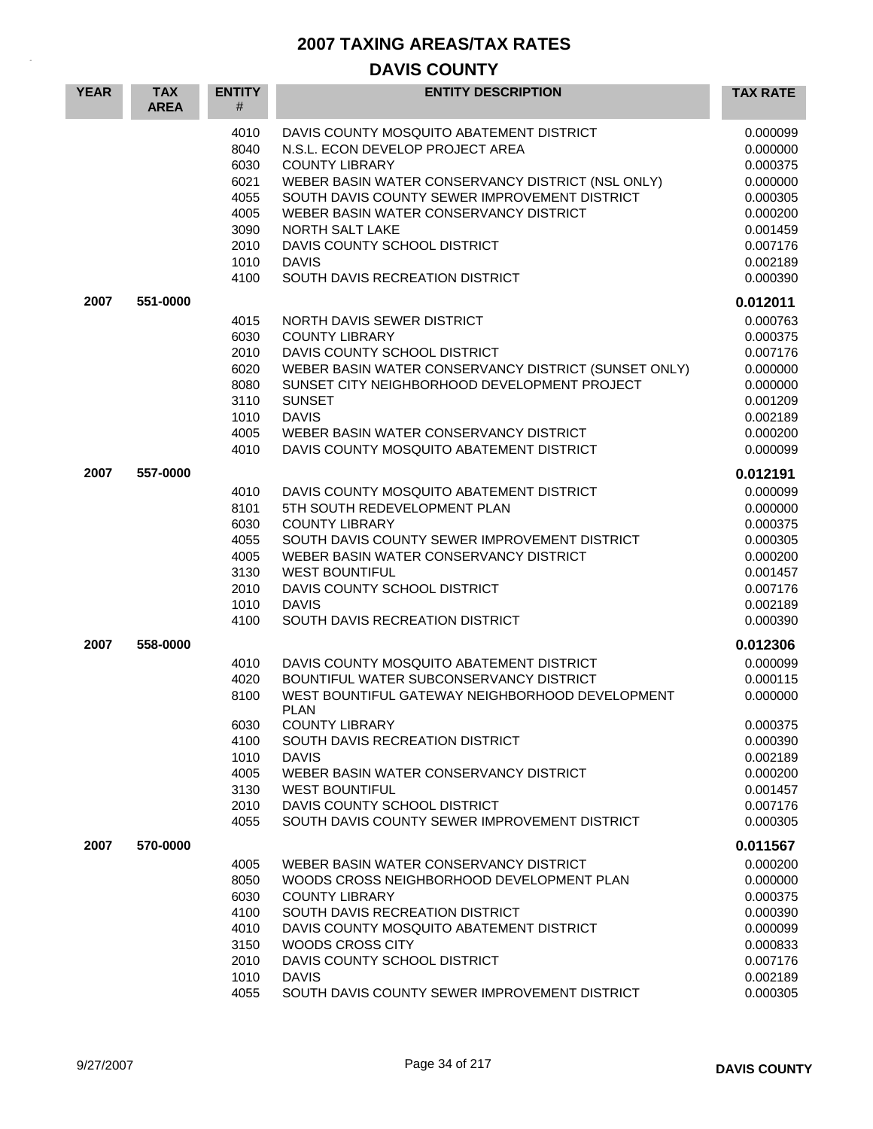| <b>YEAR</b> | <b>TAX</b><br><b>AREA</b> | <b>ENTITY</b><br>#                                                           | <b>ENTITY DESCRIPTION</b>                                                                                                                                                                                                                                                                                                                                                             | <b>TAX RATE</b>                                                                                                                  |
|-------------|---------------------------|------------------------------------------------------------------------------|---------------------------------------------------------------------------------------------------------------------------------------------------------------------------------------------------------------------------------------------------------------------------------------------------------------------------------------------------------------------------------------|----------------------------------------------------------------------------------------------------------------------------------|
|             |                           | 4010<br>8040<br>6030<br>6021<br>4055<br>4005<br>3090<br>2010<br>1010<br>4100 | DAVIS COUNTY MOSQUITO ABATEMENT DISTRICT<br>N.S.L. ECON DEVELOP PROJECT AREA<br><b>COUNTY LIBRARY</b><br>WEBER BASIN WATER CONSERVANCY DISTRICT (NSL ONLY)<br>SOUTH DAVIS COUNTY SEWER IMPROVEMENT DISTRICT<br>WEBER BASIN WATER CONSERVANCY DISTRICT<br>NORTH SALT LAKE<br>DAVIS COUNTY SCHOOL DISTRICT<br><b>DAVIS</b><br>SOUTH DAVIS RECREATION DISTRICT                           | 0.000099<br>0.000000<br>0.000375<br>0.000000<br>0.000305<br>0.000200<br>0.001459<br>0.007176<br>0.002189<br>0.000390             |
| 2007        | 551-0000                  | 4015<br>6030<br>2010<br>6020<br>8080<br>3110<br>1010<br>4005<br>4010         | NORTH DAVIS SEWER DISTRICT<br><b>COUNTY LIBRARY</b><br>DAVIS COUNTY SCHOOL DISTRICT<br>WEBER BASIN WATER CONSERVANCY DISTRICT (SUNSET ONLY)<br>SUNSET CITY NEIGHBORHOOD DEVELOPMENT PROJECT<br><b>SUNSET</b><br><b>DAVIS</b><br>WEBER BASIN WATER CONSERVANCY DISTRICT<br>DAVIS COUNTY MOSQUITO ABATEMENT DISTRICT                                                                    | 0.012011<br>0.000763<br>0.000375<br>0.007176<br>0.000000<br>0.000000<br>0.001209<br>0.002189<br>0.000200<br>0.000099             |
| 2007        | 557-0000                  | 4010<br>8101<br>6030<br>4055<br>4005<br>3130<br>2010<br>1010<br>4100         | DAVIS COUNTY MOSQUITO ABATEMENT DISTRICT<br>5TH SOUTH REDEVELOPMENT PLAN<br><b>COUNTY LIBRARY</b><br>SOUTH DAVIS COUNTY SEWER IMPROVEMENT DISTRICT<br>WEBER BASIN WATER CONSERVANCY DISTRICT<br><b>WEST BOUNTIFUL</b><br>DAVIS COUNTY SCHOOL DISTRICT<br><b>DAVIS</b><br>SOUTH DAVIS RECREATION DISTRICT                                                                              | 0.012191<br>0.000099<br>0.000000<br>0.000375<br>0.000305<br>0.000200<br>0.001457<br>0.007176<br>0.002189<br>0.000390             |
| 2007        | 558-0000                  | 4010<br>4020<br>8100<br>6030<br>4100<br>1010<br>4005<br>3130<br>2010<br>4055 | DAVIS COUNTY MOSQUITO ABATEMENT DISTRICT<br>BOUNTIFUL WATER SUBCONSERVANCY DISTRICT<br>WEST BOUNTIFUL GATEWAY NEIGHBORHOOD DEVELOPMENT<br><b>PLAN</b><br><b>COUNTY LIBRARY</b><br>SOUTH DAVIS RECREATION DISTRICT<br><b>DAVIS</b><br>WEBER BASIN WATER CONSERVANCY DISTRICT<br><b>WEST BOUNTIFUL</b><br>DAVIS COUNTY SCHOOL DISTRICT<br>SOUTH DAVIS COUNTY SEWER IMPROVEMENT DISTRICT | 0.012306<br>0.000099<br>0.000115<br>0.000000<br>0.000375<br>0.000390<br>0.002189<br>0.000200<br>0.001457<br>0.007176<br>0.000305 |
| 2007        | 570-0000                  | 4005<br>8050<br>6030<br>4100<br>4010<br>3150<br>2010<br>1010<br>4055         | WEBER BASIN WATER CONSERVANCY DISTRICT<br>WOODS CROSS NEIGHBORHOOD DEVELOPMENT PLAN<br><b>COUNTY LIBRARY</b><br>SOUTH DAVIS RECREATION DISTRICT<br>DAVIS COUNTY MOSQUITO ABATEMENT DISTRICT<br>WOODS CROSS CITY<br>DAVIS COUNTY SCHOOL DISTRICT<br><b>DAVIS</b><br>SOUTH DAVIS COUNTY SEWER IMPROVEMENT DISTRICT                                                                      | 0.011567<br>0.000200<br>0.000000<br>0.000375<br>0.000390<br>0.000099<br>0.000833<br>0.007176<br>0.002189<br>0.000305             |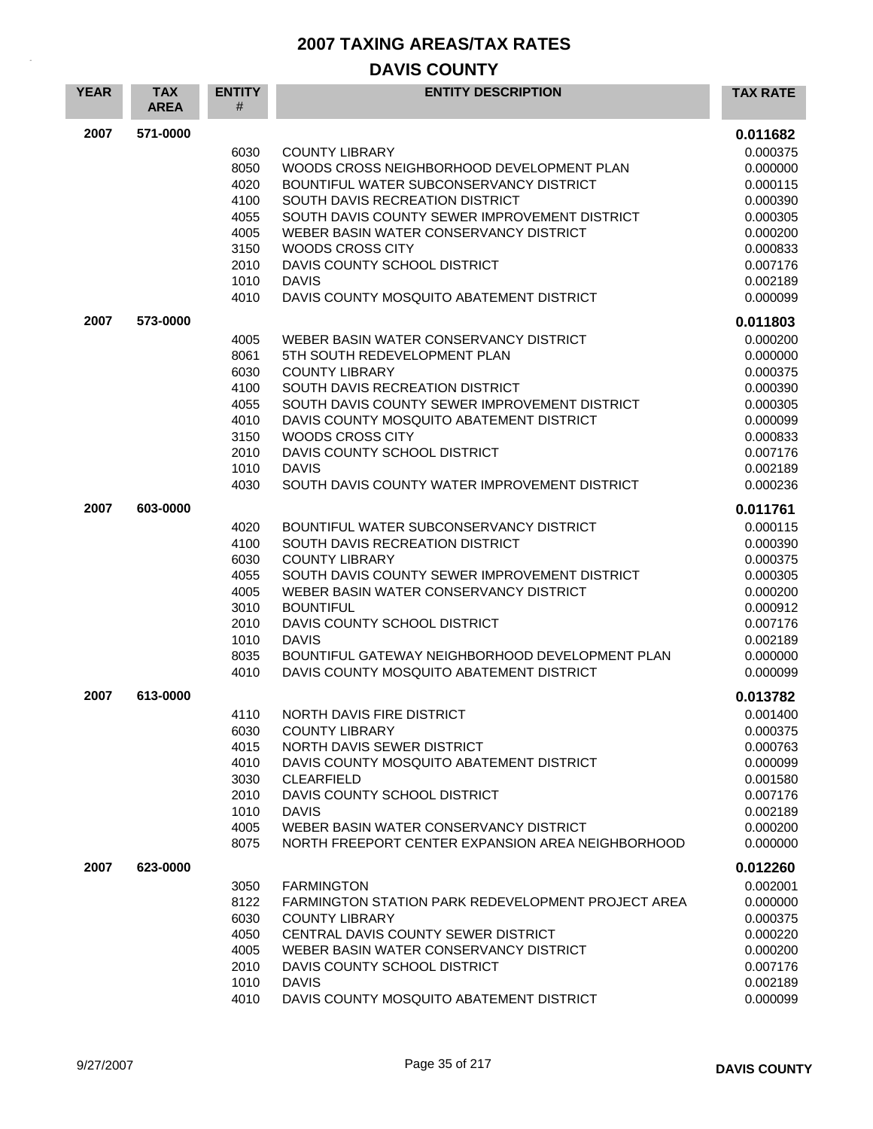| <b>YEAR</b> | <b>TAX</b><br><b>AREA</b> | <b>ENTITY</b><br># | <b>ENTITY DESCRIPTION</b>                                                               | <b>TAX RATE</b>      |
|-------------|---------------------------|--------------------|-----------------------------------------------------------------------------------------|----------------------|
| 2007        | 571-0000                  |                    |                                                                                         | 0.011682             |
|             |                           | 6030<br>8050       | <b>COUNTY LIBRARY</b><br>WOODS CROSS NEIGHBORHOOD DEVELOPMENT PLAN                      | 0.000375<br>0.000000 |
|             |                           | 4020               | BOUNTIFUL WATER SUBCONSERVANCY DISTRICT                                                 | 0.000115             |
|             |                           | 4100               | SOUTH DAVIS RECREATION DISTRICT                                                         | 0.000390             |
|             |                           | 4055<br>4005       | SOUTH DAVIS COUNTY SEWER IMPROVEMENT DISTRICT<br>WEBER BASIN WATER CONSERVANCY DISTRICT | 0.000305<br>0.000200 |
|             |                           | 3150               | WOODS CROSS CITY                                                                        | 0.000833             |
|             |                           | 2010               | DAVIS COUNTY SCHOOL DISTRICT                                                            | 0.007176             |
|             |                           | 1010               | <b>DAVIS</b>                                                                            | 0.002189             |
|             |                           | 4010               | DAVIS COUNTY MOSQUITO ABATEMENT DISTRICT                                                | 0.000099             |
| 2007        | 573-0000                  |                    |                                                                                         | 0.011803             |
|             |                           | 4005               | WEBER BASIN WATER CONSERVANCY DISTRICT                                                  | 0.000200             |
|             |                           | 8061<br>6030       | 5TH SOUTH REDEVELOPMENT PLAN<br><b>COUNTY LIBRARY</b>                                   | 0.000000<br>0.000375 |
|             |                           | 4100               | SOUTH DAVIS RECREATION DISTRICT                                                         | 0.000390             |
|             |                           | 4055               | SOUTH DAVIS COUNTY SEWER IMPROVEMENT DISTRICT                                           | 0.000305             |
|             |                           | 4010               | DAVIS COUNTY MOSQUITO ABATEMENT DISTRICT                                                | 0.000099             |
|             |                           | 3150               | WOODS CROSS CITY                                                                        | 0.000833             |
|             |                           | 2010<br>1010       | DAVIS COUNTY SCHOOL DISTRICT<br><b>DAVIS</b>                                            | 0.007176<br>0.002189 |
|             |                           | 4030               | SOUTH DAVIS COUNTY WATER IMPROVEMENT DISTRICT                                           | 0.000236             |
| 2007        | 603-0000                  |                    |                                                                                         | 0.011761             |
|             |                           | 4020               | BOUNTIFUL WATER SUBCONSERVANCY DISTRICT                                                 | 0.000115             |
|             |                           | 4100               | SOUTH DAVIS RECREATION DISTRICT                                                         | 0.000390             |
|             |                           | 6030               | <b>COUNTY LIBRARY</b>                                                                   | 0.000375             |
|             |                           | 4055               | SOUTH DAVIS COUNTY SEWER IMPROVEMENT DISTRICT                                           | 0.000305             |
|             |                           | 4005<br>3010       | WEBER BASIN WATER CONSERVANCY DISTRICT<br><b>BOUNTIFUL</b>                              | 0.000200<br>0.000912 |
|             |                           | 2010               | DAVIS COUNTY SCHOOL DISTRICT                                                            | 0.007176             |
|             |                           | 1010               | <b>DAVIS</b>                                                                            | 0.002189             |
|             |                           | 8035               | BOUNTIFUL GATEWAY NEIGHBORHOOD DEVELOPMENT PLAN                                         | 0.000000             |
|             |                           | 4010               | DAVIS COUNTY MOSQUITO ABATEMENT DISTRICT                                                | 0.000099             |
| 2007        | 613-0000                  |                    |                                                                                         | 0.013782             |
|             |                           | 4110               | NORTH DAVIS FIRE DISTRICT                                                               | 0.001400             |
|             |                           | 6030<br>4015       | <b>COUNTY LIBRARY</b><br>NORTH DAVIS SEWER DISTRICT                                     | 0.000375<br>0.000763 |
|             |                           | 4010               | DAVIS COUNTY MOSQUITO ABATEMENT DISTRICT                                                | 0.000099             |
|             |                           | 3030               | <b>CLEARFIELD</b>                                                                       | 0.001580             |
|             |                           | 2010               | DAVIS COUNTY SCHOOL DISTRICT                                                            | 0.007176             |
|             |                           | 1010<br>4005       | <b>DAVIS</b><br>WEBER BASIN WATER CONSERVANCY DISTRICT                                  | 0.002189<br>0.000200 |
|             |                           | 8075               | NORTH FREEPORT CENTER EXPANSION AREA NEIGHBORHOOD                                       | 0.000000             |
| 2007        | 623-0000                  |                    |                                                                                         | 0.012260             |
|             |                           | 3050               | <b>FARMINGTON</b>                                                                       | 0.002001             |
|             |                           | 8122               | <b>FARMINGTON STATION PARK REDEVELOPMENT PROJECT AREA</b>                               | 0.000000             |
|             |                           | 6030               | <b>COUNTY LIBRARY</b>                                                                   | 0.000375             |
|             |                           | 4050               | CENTRAL DAVIS COUNTY SEWER DISTRICT                                                     | 0.000220             |
|             |                           | 4005<br>2010       | WEBER BASIN WATER CONSERVANCY DISTRICT<br>DAVIS COUNTY SCHOOL DISTRICT                  | 0.000200<br>0.007176 |
|             |                           | 1010               | <b>DAVIS</b>                                                                            | 0.002189             |
|             |                           | 4010               | DAVIS COUNTY MOSQUITO ABATEMENT DISTRICT                                                | 0.000099             |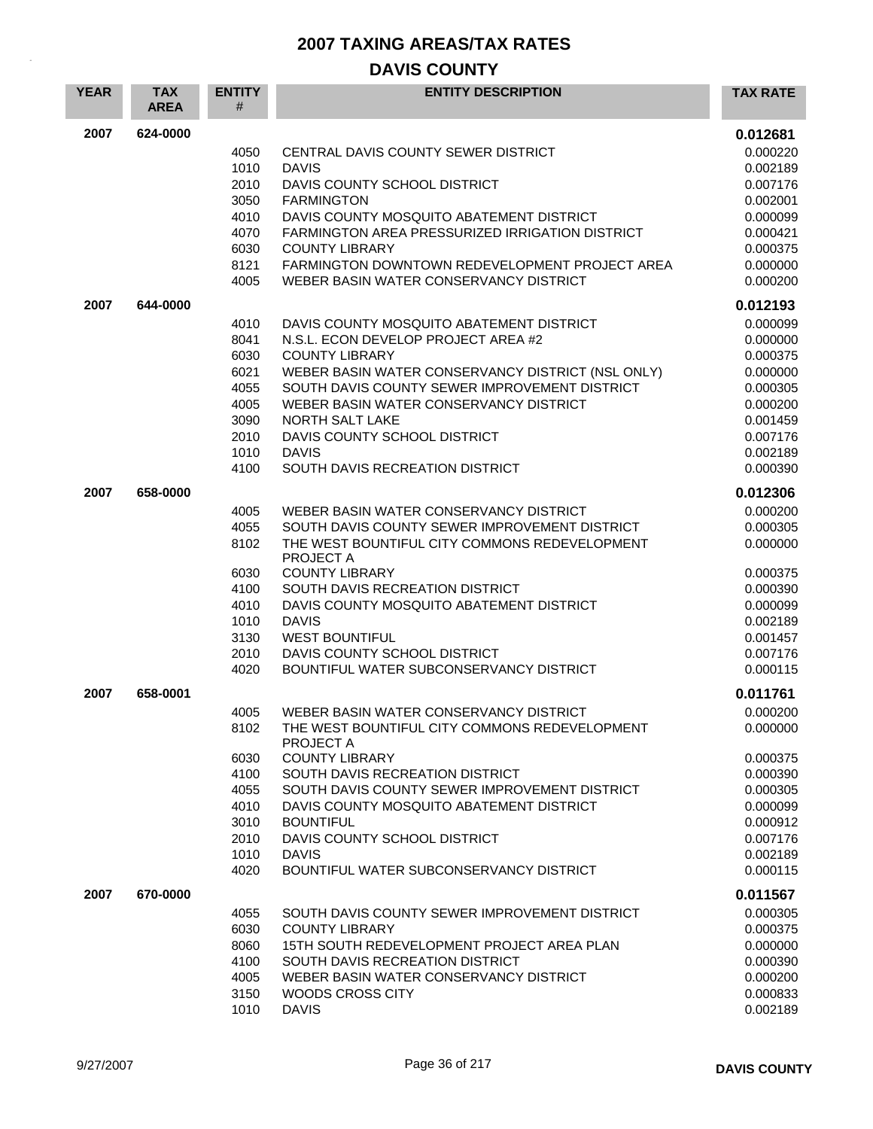| <b>YEAR</b> | <b>TAX</b><br><b>AREA</b> | <b>ENTITY</b><br># | <b>ENTITY DESCRIPTION</b>                                                                   | <b>TAX RATE</b>      |
|-------------|---------------------------|--------------------|---------------------------------------------------------------------------------------------|----------------------|
| 2007        | 624-0000                  |                    |                                                                                             | 0.012681             |
|             |                           | 4050               | CENTRAL DAVIS COUNTY SEWER DISTRICT                                                         | 0.000220             |
|             |                           | 1010               | <b>DAVIS</b>                                                                                | 0.002189             |
|             |                           | 2010               | DAVIS COUNTY SCHOOL DISTRICT                                                                | 0.007176             |
|             |                           | 3050               | <b>FARMINGTON</b>                                                                           | 0.002001             |
|             |                           | 4010<br>4070       | DAVIS COUNTY MOSQUITO ABATEMENT DISTRICT<br>FARMINGTON AREA PRESSURIZED IRRIGATION DISTRICT | 0.000099<br>0.000421 |
|             |                           | 6030               | <b>COUNTY LIBRARY</b>                                                                       | 0.000375             |
|             |                           | 8121               | <b>FARMINGTON DOWNTOWN REDEVELOPMENT PROJECT AREA</b>                                       | 0.000000             |
|             |                           | 4005               | WEBER BASIN WATER CONSERVANCY DISTRICT                                                      | 0.000200             |
| 2007        | 644-0000                  |                    |                                                                                             | 0.012193             |
|             |                           | 4010               | DAVIS COUNTY MOSQUITO ABATEMENT DISTRICT                                                    | 0.000099             |
|             |                           | 8041               | N.S.L. ECON DEVELOP PROJECT AREA #2                                                         | 0.000000             |
|             |                           | 6030               | <b>COUNTY LIBRARY</b>                                                                       | 0.000375             |
|             |                           | 6021               | WEBER BASIN WATER CONSERVANCY DISTRICT (NSL ONLY)                                           | 0.000000             |
|             |                           | 4055               | SOUTH DAVIS COUNTY SEWER IMPROVEMENT DISTRICT<br>WEBER BASIN WATER CONSERVANCY DISTRICT     | 0.000305<br>0.000200 |
|             |                           | 4005<br>3090       | NORTH SALT LAKE                                                                             | 0.001459             |
|             |                           | 2010               | DAVIS COUNTY SCHOOL DISTRICT                                                                | 0.007176             |
|             |                           | 1010               | <b>DAVIS</b>                                                                                | 0.002189             |
|             |                           | 4100               | SOUTH DAVIS RECREATION DISTRICT                                                             | 0.000390             |
| 2007        | 658-0000                  |                    |                                                                                             | 0.012306             |
|             |                           | 4005               | WEBER BASIN WATER CONSERVANCY DISTRICT                                                      | 0.000200             |
|             |                           | 4055               | SOUTH DAVIS COUNTY SEWER IMPROVEMENT DISTRICT                                               | 0.000305             |
|             |                           | 8102               | THE WEST BOUNTIFUL CITY COMMONS REDEVELOPMENT<br><b>PROJECT A</b>                           | 0.000000             |
|             |                           | 6030               | <b>COUNTY LIBRARY</b>                                                                       | 0.000375             |
|             |                           | 4100               | SOUTH DAVIS RECREATION DISTRICT                                                             | 0.000390             |
|             |                           | 4010<br>1010       | DAVIS COUNTY MOSQUITO ABATEMENT DISTRICT<br><b>DAVIS</b>                                    | 0.000099             |
|             |                           | 3130               | <b>WEST BOUNTIFUL</b>                                                                       | 0.002189<br>0.001457 |
|             |                           | 2010               | DAVIS COUNTY SCHOOL DISTRICT                                                                | 0.007176             |
|             |                           | 4020               | BOUNTIFUL WATER SUBCONSERVANCY DISTRICT                                                     | 0.000115             |
| 2007        | 658-0001                  |                    |                                                                                             | 0.011761             |
|             |                           | 4005               | WEBER BASIN WATER CONSERVANCY DISTRICT                                                      | 0.000200             |
|             |                           | 8102               | THE WEST BOUNTIFUL CITY COMMONS REDEVELOPMENT<br>PROJECT A                                  | 0.000000             |
|             |                           | 6030               | <b>COUNTY LIBRARY</b>                                                                       | 0.000375             |
|             |                           | 4100               | SOUTH DAVIS RECREATION DISTRICT                                                             | 0.000390             |
|             |                           | 4055               | SOUTH DAVIS COUNTY SEWER IMPROVEMENT DISTRICT                                               | 0.000305             |
|             |                           | 4010<br>3010       | DAVIS COUNTY MOSQUITO ABATEMENT DISTRICT<br><b>BOUNTIFUL</b>                                | 0.000099<br>0.000912 |
|             |                           | 2010               | DAVIS COUNTY SCHOOL DISTRICT                                                                | 0.007176             |
|             |                           | 1010               | <b>DAVIS</b>                                                                                | 0.002189             |
|             |                           | 4020               | BOUNTIFUL WATER SUBCONSERVANCY DISTRICT                                                     | 0.000115             |
| 2007        | 670-0000                  |                    |                                                                                             | 0.011567             |
|             |                           | 4055               | SOUTH DAVIS COUNTY SEWER IMPROVEMENT DISTRICT                                               | 0.000305             |
|             |                           | 6030               | <b>COUNTY LIBRARY</b>                                                                       | 0.000375             |
|             |                           | 8060               | 15TH SOUTH REDEVELOPMENT PROJECT AREA PLAN                                                  | 0.000000             |
|             |                           | 4100               | SOUTH DAVIS RECREATION DISTRICT                                                             | 0.000390             |
|             |                           | 4005<br>3150       | WEBER BASIN WATER CONSERVANCY DISTRICT<br>WOODS CROSS CITY                                  | 0.000200<br>0.000833 |
|             |                           | 1010               | <b>DAVIS</b>                                                                                | 0.002189             |
|             |                           |                    |                                                                                             |                      |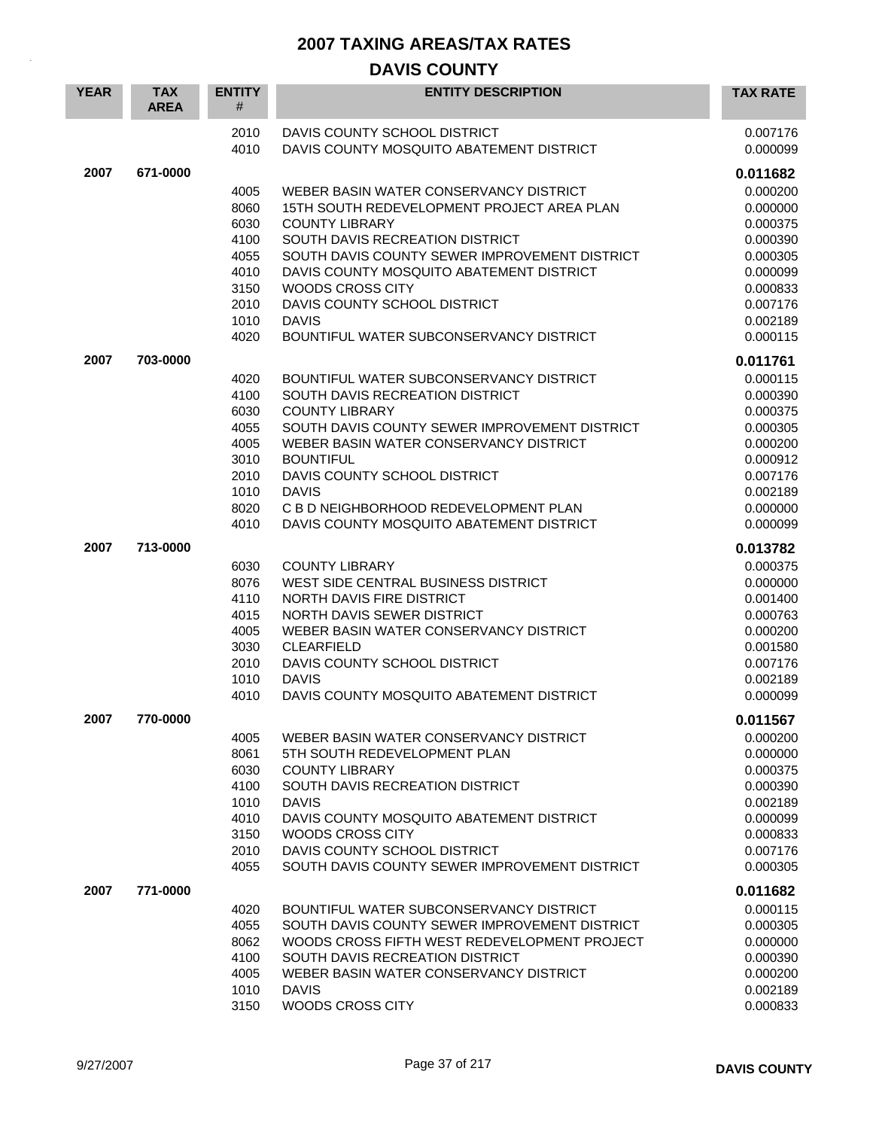## **DAVIS COUNTY**

| <b>YEAR</b> | <b>TAX</b><br><b>AREA</b> | <b>ENTITY</b><br># | <b>ENTITY DESCRIPTION</b>                                                | <b>TAX RATE</b>      |
|-------------|---------------------------|--------------------|--------------------------------------------------------------------------|----------------------|
|             |                           | 2010<br>4010       | DAVIS COUNTY SCHOOL DISTRICT<br>DAVIS COUNTY MOSQUITO ABATEMENT DISTRICT | 0.007176<br>0.000099 |
| 2007        | 671-0000                  |                    |                                                                          | 0.011682             |
|             |                           | 4005               | WEBER BASIN WATER CONSERVANCY DISTRICT                                   | 0.000200             |
|             |                           | 8060               | 15TH SOUTH REDEVELOPMENT PROJECT AREA PLAN                               | 0.000000             |
|             |                           | 6030               | <b>COUNTY LIBRARY</b>                                                    | 0.000375             |
|             |                           | 4100               | SOUTH DAVIS RECREATION DISTRICT                                          | 0.000390             |
|             |                           | 4055               | SOUTH DAVIS COUNTY SEWER IMPROVEMENT DISTRICT                            | 0.000305             |
|             |                           | 4010               | DAVIS COUNTY MOSQUITO ABATEMENT DISTRICT                                 | 0.000099             |
|             |                           | 3150               | WOODS CROSS CITY                                                         | 0.000833             |
|             |                           | 2010               | DAVIS COUNTY SCHOOL DISTRICT                                             | 0.007176             |
|             |                           | 1010               | <b>DAVIS</b>                                                             | 0.002189             |
|             |                           | 4020               | BOUNTIFUL WATER SUBCONSERVANCY DISTRICT                                  | 0.000115             |
| 2007        | 703-0000                  |                    |                                                                          | 0.011761             |
|             |                           | 4020               | BOUNTIFUL WATER SUBCONSERVANCY DISTRICT                                  | 0.000115             |
|             |                           | 4100               | SOUTH DAVIS RECREATION DISTRICT                                          | 0.000390             |
|             |                           | 6030               | <b>COUNTY LIBRARY</b>                                                    | 0.000375             |
|             |                           | 4055               | SOUTH DAVIS COUNTY SEWER IMPROVEMENT DISTRICT                            | 0.000305             |
|             |                           | 4005               | WEBER BASIN WATER CONSERVANCY DISTRICT                                   | 0.000200             |
|             |                           | 3010               | <b>BOUNTIFUL</b>                                                         | 0.000912             |
|             |                           | 2010<br>1010       | DAVIS COUNTY SCHOOL DISTRICT<br><b>DAVIS</b>                             | 0.007176<br>0.002189 |
|             |                           | 8020               | C B D NEIGHBORHOOD REDEVELOPMENT PLAN                                    | 0.000000             |
|             |                           | 4010               | DAVIS COUNTY MOSQUITO ABATEMENT DISTRICT                                 | 0.000099             |
|             |                           |                    |                                                                          |                      |
| 2007        | 713-0000                  |                    |                                                                          | 0.013782             |
|             |                           | 6030               | <b>COUNTY LIBRARY</b>                                                    | 0.000375             |
|             |                           | 8076<br>4110       | WEST SIDE CENTRAL BUSINESS DISTRICT<br>NORTH DAVIS FIRE DISTRICT         | 0.000000<br>0.001400 |
|             |                           | 4015               | NORTH DAVIS SEWER DISTRICT                                               | 0.000763             |
|             |                           | 4005               | WEBER BASIN WATER CONSERVANCY DISTRICT                                   | 0.000200             |
|             |                           | 3030               | CLEARFIELD                                                               | 0.001580             |
|             |                           | 2010               | DAVIS COUNTY SCHOOL DISTRICT                                             | 0.007176             |
|             |                           | 1010               | <b>DAVIS</b>                                                             | 0.002189             |
|             |                           | 4010               | DAVIS COUNTY MOSQUITO ABATEMENT DISTRICT                                 | 0.000099             |
| 2007        | 770-0000                  |                    |                                                                          | 0.011567             |
|             |                           | 4005               | WEBER BASIN WATER CONSERVANCY DISTRICT                                   | 0.000200             |
|             |                           | 8061               | 5TH SOUTH REDEVELOPMENT PLAN                                             | 0.000000             |
|             |                           | 6030               | <b>COUNTY LIBRARY</b>                                                    | 0.000375             |
|             |                           | 4100               | SOUTH DAVIS RECREATION DISTRICT                                          | 0.000390             |
|             |                           | 1010               | <b>DAVIS</b>                                                             | 0.002189             |
|             |                           | 4010               | DAVIS COUNTY MOSQUITO ABATEMENT DISTRICT                                 | 0.000099             |
|             |                           | 3150               | WOODS CROSS CITY                                                         | 0.000833             |
|             |                           | 2010               | DAVIS COUNTY SCHOOL DISTRICT                                             | 0.007176             |
|             |                           | 4055               | SOUTH DAVIS COUNTY SEWER IMPROVEMENT DISTRICT                            | 0.000305             |
| 2007        | 771-0000                  |                    |                                                                          | 0.011682             |
|             |                           | 4020               | BOUNTIFUL WATER SUBCONSERVANCY DISTRICT                                  | 0.000115             |
|             |                           | 4055               | SOUTH DAVIS COUNTY SEWER IMPROVEMENT DISTRICT                            | 0.000305             |
|             |                           | 8062               | WOODS CROSS FIFTH WEST REDEVELOPMENT PROJECT                             | 0.000000             |
|             |                           | 4100               | SOUTH DAVIS RECREATION DISTRICT                                          | 0.000390             |
|             |                           | 4005<br>1010       | WEBER BASIN WATER CONSERVANCY DISTRICT<br><b>DAVIS</b>                   | 0.000200<br>0.002189 |
|             |                           | 3150               | WOODS CROSS CITY                                                         | 0.000833             |
|             |                           |                    |                                                                          |                      |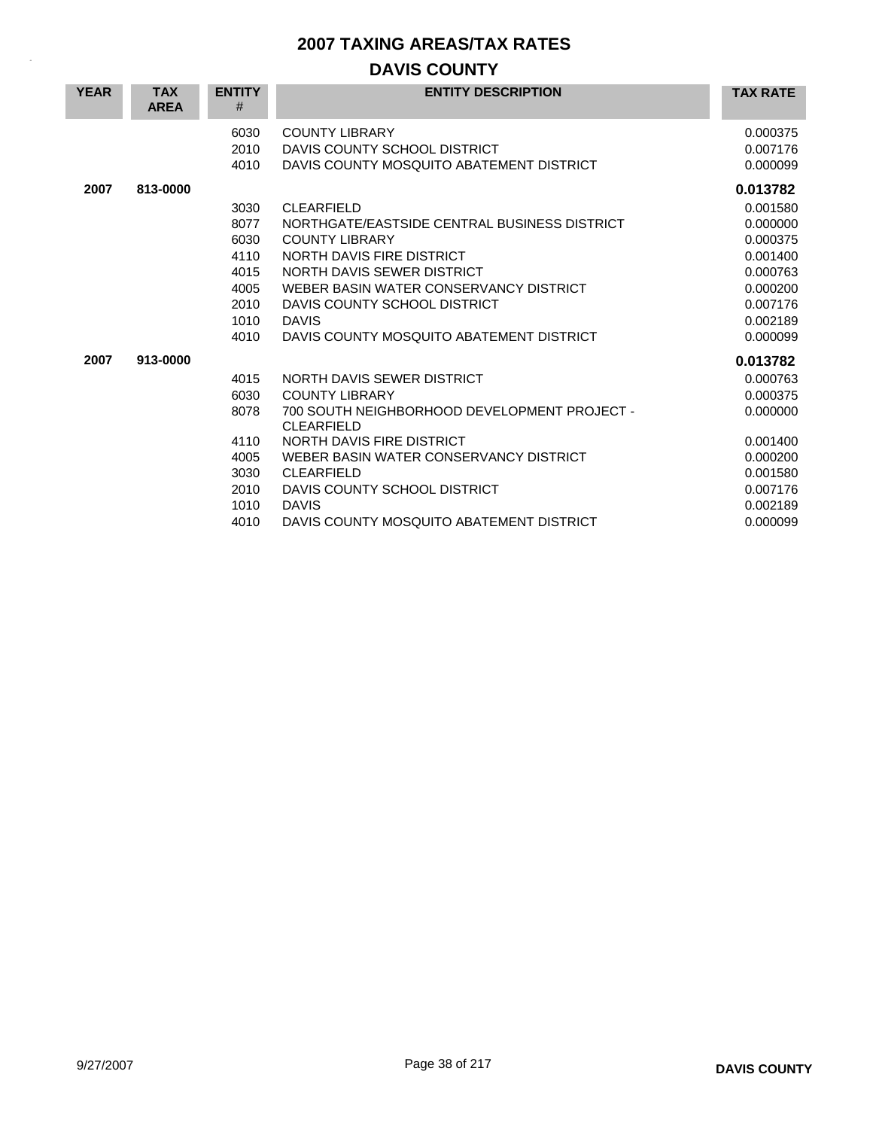# **DAVIS COUNTY**

| <b>YEAR</b> | <b>TAX</b><br><b>AREA</b> | <b>ENTITY</b><br># | <b>ENTITY DESCRIPTION</b>                                         | <b>TAX RATE</b> |
|-------------|---------------------------|--------------------|-------------------------------------------------------------------|-----------------|
|             |                           | 6030               | <b>COUNTY LIBRARY</b>                                             | 0.000375        |
|             |                           | 2010               | DAVIS COUNTY SCHOOL DISTRICT                                      | 0.007176        |
|             |                           | 4010               | DAVIS COUNTY MOSQUITO ABATEMENT DISTRICT                          | 0.000099        |
| 2007        | 813-0000                  |                    |                                                                   | 0.013782        |
|             |                           | 3030               | <b>CLEARFIELD</b>                                                 | 0.001580        |
|             |                           | 8077               | NORTHGATE/EASTSIDE CENTRAL BUSINESS DISTRICT                      | 0.000000        |
|             |                           | 6030               | <b>COUNTY LIBRARY</b>                                             | 0.000375        |
|             |                           | 4110               | NORTH DAVIS FIRE DISTRICT                                         | 0.001400        |
|             |                           | 4015               | NORTH DAVIS SEWER DISTRICT                                        | 0.000763        |
|             |                           | 4005               | WEBER BASIN WATER CONSERVANCY DISTRICT                            | 0.000200        |
|             |                           | 2010               | DAVIS COUNTY SCHOOL DISTRICT                                      | 0.007176        |
|             |                           | 1010               | <b>DAVIS</b>                                                      | 0.002189        |
|             |                           | 4010               | DAVIS COUNTY MOSQUITO ABATEMENT DISTRICT                          | 0.000099        |
| 2007        | 913-0000                  |                    |                                                                   | 0.013782        |
|             |                           | 4015               | NORTH DAVIS SEWER DISTRICT                                        | 0.000763        |
|             |                           | 6030               | <b>COUNTY LIBRARY</b>                                             | 0.000375        |
|             |                           | 8078               | 700 SOUTH NEIGHBORHOOD DEVELOPMENT PROJECT -<br><b>CLEARFIELD</b> | 0.000000        |
|             |                           | 4110               | NORTH DAVIS FIRE DISTRICT                                         | 0.001400        |
|             |                           | 4005               | WEBER BASIN WATER CONSERVANCY DISTRICT                            | 0.000200        |
|             |                           | 3030               | <b>CLEARFIELD</b>                                                 | 0.001580        |
|             |                           | 2010               | DAVIS COUNTY SCHOOL DISTRICT                                      | 0.007176        |
|             |                           | 1010               | <b>DAVIS</b>                                                      | 0.002189        |
|             |                           | 4010               | DAVIS COUNTY MOSQUITO ABATEMENT DISTRICT                          | 0.000099        |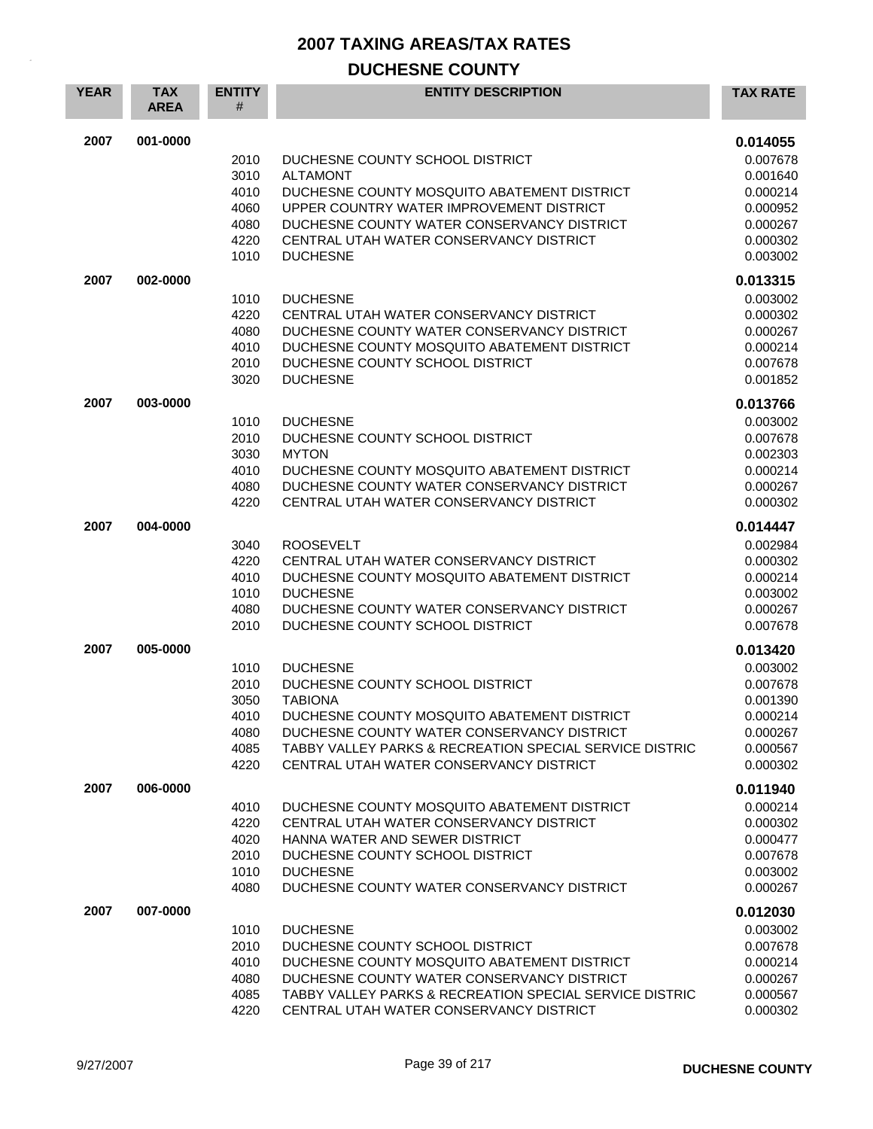| <b>YEAR</b> | <b>TAX</b><br><b>AREA</b> | <b>ENTITY</b><br>#                                   | <b>ENTITY DESCRIPTION</b>                                                                                                                                                                                                                                                          | <b>TAX RATE</b>                                                                              |
|-------------|---------------------------|------------------------------------------------------|------------------------------------------------------------------------------------------------------------------------------------------------------------------------------------------------------------------------------------------------------------------------------------|----------------------------------------------------------------------------------------------|
| 2007        | 001-0000                  | 2010<br>3010<br>4010<br>4060<br>4080<br>4220<br>1010 | DUCHESNE COUNTY SCHOOL DISTRICT<br><b>ALTAMONT</b><br>DUCHESNE COUNTY MOSQUITO ABATEMENT DISTRICT<br>UPPER COUNTRY WATER IMPROVEMENT DISTRICT<br>DUCHESNE COUNTY WATER CONSERVANCY DISTRICT<br>CENTRAL UTAH WATER CONSERVANCY DISTRICT<br><b>DUCHESNE</b>                          | 0.014055<br>0.007678<br>0.001640<br>0.000214<br>0.000952<br>0.000267<br>0.000302<br>0.003002 |
| 2007        | 002-0000                  | 1010<br>4220<br>4080<br>4010<br>2010<br>3020         | <b>DUCHESNE</b><br>CENTRAL UTAH WATER CONSERVANCY DISTRICT<br>DUCHESNE COUNTY WATER CONSERVANCY DISTRICT<br>DUCHESNE COUNTY MOSQUITO ABATEMENT DISTRICT<br>DUCHESNE COUNTY SCHOOL DISTRICT<br><b>DUCHESNE</b>                                                                      | 0.013315<br>0.003002<br>0.000302<br>0.000267<br>0.000214<br>0.007678<br>0.001852             |
| 2007        | 003-0000                  | 1010<br>2010<br>3030<br>4010<br>4080<br>4220         | <b>DUCHESNE</b><br>DUCHESNE COUNTY SCHOOL DISTRICT<br><b>MYTON</b><br>DUCHESNE COUNTY MOSQUITO ABATEMENT DISTRICT<br>DUCHESNE COUNTY WATER CONSERVANCY DISTRICT<br>CENTRAL UTAH WATER CONSERVANCY DISTRICT                                                                         | 0.013766<br>0.003002<br>0.007678<br>0.002303<br>0.000214<br>0.000267<br>0.000302             |
| 2007        | 004-0000                  | 3040<br>4220<br>4010<br>1010<br>4080<br>2010         | <b>ROOSEVELT</b><br>CENTRAL UTAH WATER CONSERVANCY DISTRICT<br>DUCHESNE COUNTY MOSQUITO ABATEMENT DISTRICT<br><b>DUCHESNE</b><br>DUCHESNE COUNTY WATER CONSERVANCY DISTRICT<br>DUCHESNE COUNTY SCHOOL DISTRICT                                                                     | 0.014447<br>0.002984<br>0.000302<br>0.000214<br>0.003002<br>0.000267<br>0.007678             |
| 2007        | 005-0000                  | 1010<br>2010<br>3050<br>4010<br>4080<br>4085<br>4220 | <b>DUCHESNE</b><br>DUCHESNE COUNTY SCHOOL DISTRICT<br><b>TABIONA</b><br>DUCHESNE COUNTY MOSQUITO ABATEMENT DISTRICT<br>DUCHESNE COUNTY WATER CONSERVANCY DISTRICT<br><b>TABBY VALLEY PARKS &amp; RECREATION SPECIAL SERVICE DISTRIC</b><br>CENTRAL UTAH WATER CONSERVANCY DISTRICT | 0.013420<br>0.003002<br>0.007678<br>0.001390<br>0.000214<br>0.000267<br>0.000567<br>0.000302 |
| 2007        | 006-0000                  | 4010<br>4220<br>4020<br>2010<br>1010<br>4080         | DUCHESNE COUNTY MOSQUITO ABATEMENT DISTRICT<br>CENTRAL UTAH WATER CONSERVANCY DISTRICT<br>HANNA WATER AND SEWER DISTRICT<br>DUCHESNE COUNTY SCHOOL DISTRICT<br><b>DUCHESNE</b><br>DUCHESNE COUNTY WATER CONSERVANCY DISTRICT                                                       | 0.011940<br>0.000214<br>0.000302<br>0.000477<br>0.007678<br>0.003002<br>0.000267             |
| 2007        | 007-0000                  | 1010<br>2010<br>4010<br>4080<br>4085<br>4220         | <b>DUCHESNE</b><br>DUCHESNE COUNTY SCHOOL DISTRICT<br>DUCHESNE COUNTY MOSQUITO ABATEMENT DISTRICT<br>DUCHESNE COUNTY WATER CONSERVANCY DISTRICT<br>TABBY VALLEY PARKS & RECREATION SPECIAL SERVICE DISTRIC<br>CENTRAL UTAH WATER CONSERVANCY DISTRICT                              | 0.012030<br>0.003002<br>0.007678<br>0.000214<br>0.000267<br>0.000567<br>0.000302             |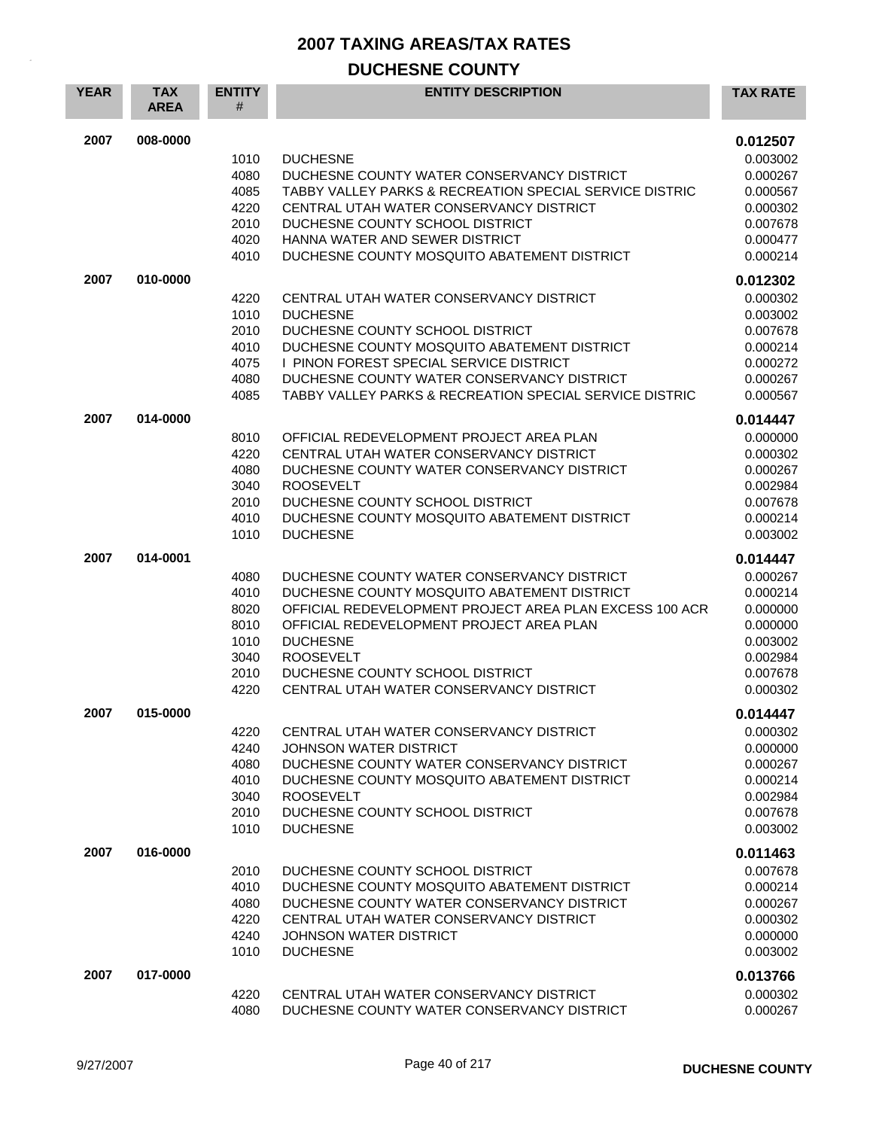| <b>YEAR</b> | <b>TAX</b><br><b>AREA</b> | <b>ENTITY</b><br># | <b>ENTITY DESCRIPTION</b>                               | <b>TAX RATE</b> |
|-------------|---------------------------|--------------------|---------------------------------------------------------|-----------------|
| 2007        | 008-0000                  |                    |                                                         | 0.012507        |
|             |                           | 1010               | <b>DUCHESNE</b>                                         | 0.003002        |
|             |                           | 4080               | DUCHESNE COUNTY WATER CONSERVANCY DISTRICT              | 0.000267        |
|             |                           | 4085               | TABBY VALLEY PARKS & RECREATION SPECIAL SERVICE DISTRIC | 0.000567        |
|             |                           | 4220               | CENTRAL UTAH WATER CONSERVANCY DISTRICT                 | 0.000302        |
|             |                           | 2010               | DUCHESNE COUNTY SCHOOL DISTRICT                         | 0.007678        |
|             |                           | 4020               | HANNA WATER AND SEWER DISTRICT                          | 0.000477        |
|             |                           | 4010               | DUCHESNE COUNTY MOSQUITO ABATEMENT DISTRICT             | 0.000214        |
| 2007        | 010-0000                  |                    |                                                         | 0.012302        |
|             |                           | 4220               | CENTRAL UTAH WATER CONSERVANCY DISTRICT                 | 0.000302        |
|             |                           | 1010               | <b>DUCHESNE</b>                                         | 0.003002        |
|             |                           | 2010               | DUCHESNE COUNTY SCHOOL DISTRICT                         | 0.007678        |
|             |                           | 4010               | DUCHESNE COUNTY MOSQUITO ABATEMENT DISTRICT             | 0.000214        |
|             |                           | 4075               | I PINON FOREST SPECIAL SERVICE DISTRICT                 | 0.000272        |
|             |                           | 4080               | DUCHESNE COUNTY WATER CONSERVANCY DISTRICT              | 0.000267        |
|             |                           | 4085               | TABBY VALLEY PARKS & RECREATION SPECIAL SERVICE DISTRIC | 0.000567        |
| 2007        | 014-0000                  |                    |                                                         | 0.014447        |
|             |                           | 8010               | OFFICIAL REDEVELOPMENT PROJECT AREA PLAN                | 0.000000        |
|             |                           | 4220               | CENTRAL UTAH WATER CONSERVANCY DISTRICT                 | 0.000302        |
|             |                           | 4080               | DUCHESNE COUNTY WATER CONSERVANCY DISTRICT              | 0.000267        |
|             |                           | 3040               | <b>ROOSEVELT</b>                                        | 0.002984        |
|             |                           | 2010               | DUCHESNE COUNTY SCHOOL DISTRICT                         | 0.007678        |
|             |                           | 4010               | DUCHESNE COUNTY MOSQUITO ABATEMENT DISTRICT             | 0.000214        |
|             |                           | 1010               | <b>DUCHESNE</b>                                         | 0.003002        |
| 2007        | 014-0001                  |                    |                                                         | 0.014447        |
|             |                           | 4080               | DUCHESNE COUNTY WATER CONSERVANCY DISTRICT              | 0.000267        |
|             |                           | 4010               | DUCHESNE COUNTY MOSQUITO ABATEMENT DISTRICT             | 0.000214        |
|             |                           | 8020               | OFFICIAL REDEVELOPMENT PROJECT AREA PLAN EXCESS 100 ACR | 0.000000        |
|             |                           | 8010               | OFFICIAL REDEVELOPMENT PROJECT AREA PLAN                | 0.000000        |
|             |                           | 1010               | <b>DUCHESNE</b>                                         | 0.003002        |
|             |                           | 3040               | <b>ROOSEVELT</b>                                        | 0.002984        |
|             |                           | 2010               | DUCHESNE COUNTY SCHOOL DISTRICT                         | 0.007678        |
|             |                           | 4220               | CENTRAL UTAH WATER CONSERVANCY DISTRICT                 | 0.000302        |
| 2007        | 015-0000                  |                    |                                                         | 0.014447        |
|             |                           | 4220               | CENTRAL UTAH WATER CONSERVANCY DISTRICT                 | 0.000302        |
|             |                           | 4240               | <b>JOHNSON WATER DISTRICT</b>                           | 0.000000        |
|             |                           | 4080               | DUCHESNE COUNTY WATER CONSERVANCY DISTRICT              | 0.000267        |
|             |                           | 4010               | DUCHESNE COUNTY MOSQUITO ABATEMENT DISTRICT             | 0.000214        |
|             |                           | 3040               | <b>ROOSEVELT</b>                                        | 0.002984        |
|             |                           | 2010               | DUCHESNE COUNTY SCHOOL DISTRICT                         | 0.007678        |
|             |                           | 1010               | <b>DUCHESNE</b>                                         | 0.003002        |
| 2007        | 016-0000                  |                    |                                                         | 0.011463        |
|             |                           | 2010               | DUCHESNE COUNTY SCHOOL DISTRICT                         | 0.007678        |
|             |                           | 4010               | DUCHESNE COUNTY MOSQUITO ABATEMENT DISTRICT             | 0.000214        |
|             |                           | 4080               | DUCHESNE COUNTY WATER CONSERVANCY DISTRICT              | 0.000267        |
|             |                           | 4220               | CENTRAL UTAH WATER CONSERVANCY DISTRICT                 | 0.000302        |
|             |                           | 4240               | <b>JOHNSON WATER DISTRICT</b>                           | 0.000000        |
|             |                           | 1010               | <b>DUCHESNE</b>                                         | 0.003002        |
| 2007        | 017-0000                  |                    |                                                         | 0.013766        |
|             |                           | 4220               | CENTRAL UTAH WATER CONSERVANCY DISTRICT                 | 0.000302        |
|             |                           | 4080               | DUCHESNE COUNTY WATER CONSERVANCY DISTRICT              | 0.000267        |
|             |                           |                    |                                                         |                 |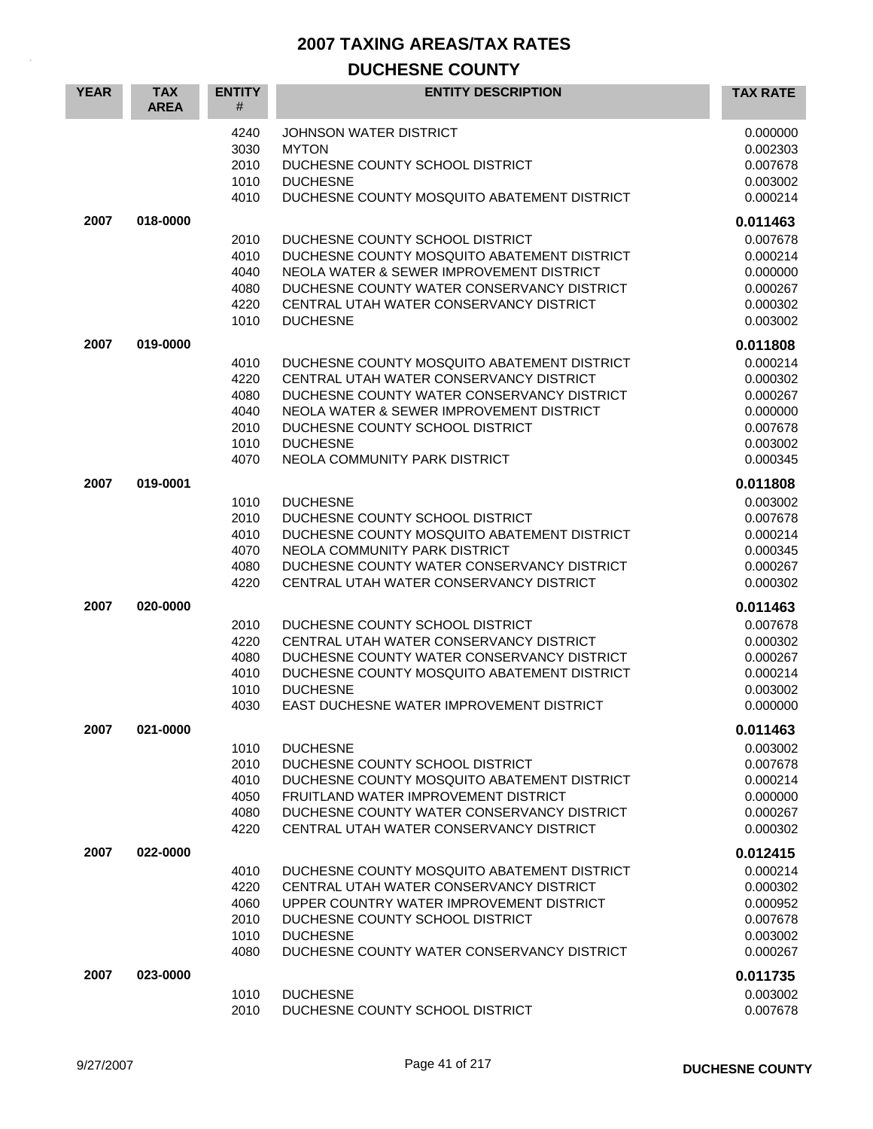| <b>YEAR</b> | <b>TAX</b><br><b>AREA</b> | <b>ENTITY</b><br>#                                   | <b>ENTITY DESCRIPTION</b>                                                                                                                                                                                                                                               | <b>TAX RATE</b>                                                                              |
|-------------|---------------------------|------------------------------------------------------|-------------------------------------------------------------------------------------------------------------------------------------------------------------------------------------------------------------------------------------------------------------------------|----------------------------------------------------------------------------------------------|
|             |                           | 4240<br>3030<br>2010<br>1010<br>4010                 | JOHNSON WATER DISTRICT<br><b>MYTON</b><br>DUCHESNE COUNTY SCHOOL DISTRICT<br><b>DUCHESNE</b><br>DUCHESNE COUNTY MOSQUITO ABATEMENT DISTRICT                                                                                                                             | 0.000000<br>0.002303<br>0.007678<br>0.003002<br>0.000214                                     |
| 2007        | 018-0000                  | 2010<br>4010<br>4040<br>4080<br>4220<br>1010         | DUCHESNE COUNTY SCHOOL DISTRICT<br>DUCHESNE COUNTY MOSQUITO ABATEMENT DISTRICT<br>NEOLA WATER & SEWER IMPROVEMENT DISTRICT<br>DUCHESNE COUNTY WATER CONSERVANCY DISTRICT<br>CENTRAL UTAH WATER CONSERVANCY DISTRICT<br><b>DUCHESNE</b>                                  | 0.011463<br>0.007678<br>0.000214<br>0.000000<br>0.000267<br>0.000302<br>0.003002             |
| 2007        | 019-0000                  | 4010<br>4220<br>4080<br>4040<br>2010<br>1010<br>4070 | DUCHESNE COUNTY MOSQUITO ABATEMENT DISTRICT<br>CENTRAL UTAH WATER CONSERVANCY DISTRICT<br>DUCHESNE COUNTY WATER CONSERVANCY DISTRICT<br>NEOLA WATER & SEWER IMPROVEMENT DISTRICT<br>DUCHESNE COUNTY SCHOOL DISTRICT<br><b>DUCHESNE</b><br>NEOLA COMMUNITY PARK DISTRICT | 0.011808<br>0.000214<br>0.000302<br>0.000267<br>0.000000<br>0.007678<br>0.003002<br>0.000345 |
| 2007        | 019-0001                  | 1010<br>2010<br>4010<br>4070<br>4080<br>4220         | <b>DUCHESNE</b><br>DUCHESNE COUNTY SCHOOL DISTRICT<br>DUCHESNE COUNTY MOSQUITO ABATEMENT DISTRICT<br>NEOLA COMMUNITY PARK DISTRICT<br>DUCHESNE COUNTY WATER CONSERVANCY DISTRICT<br>CENTRAL UTAH WATER CONSERVANCY DISTRICT                                             | 0.011808<br>0.003002<br>0.007678<br>0.000214<br>0.000345<br>0.000267<br>0.000302             |
| 2007        | 020-0000                  | 2010<br>4220<br>4080<br>4010<br>1010<br>4030         | DUCHESNE COUNTY SCHOOL DISTRICT<br>CENTRAL UTAH WATER CONSERVANCY DISTRICT<br>DUCHESNE COUNTY WATER CONSERVANCY DISTRICT<br>DUCHESNE COUNTY MOSQUITO ABATEMENT DISTRICT<br><b>DUCHESNE</b><br>EAST DUCHESNE WATER IMPROVEMENT DISTRICT                                  | 0.011463<br>0.007678<br>0.000302<br>0.000267<br>0.000214<br>0.003002<br>0.000000             |
| 2007        | 021-0000                  | 1010<br>2010<br>4010<br>4050<br>4080<br>4220         | <b>DUCHESNE</b><br>DUCHESNE COUNTY SCHOOL DISTRICT<br>DUCHESNE COUNTY MOSQUITO ABATEMENT DISTRICT<br>FRUITLAND WATER IMPROVEMENT DISTRICT<br>DUCHESNE COUNTY WATER CONSERVANCY DISTRICT<br>CENTRAL UTAH WATER CONSERVANCY DISTRICT                                      | 0.011463<br>0.003002<br>0.007678<br>0.000214<br>0.000000<br>0.000267<br>0.000302             |
| 2007        | 022-0000                  | 4010<br>4220<br>4060<br>2010<br>1010<br>4080         | DUCHESNE COUNTY MOSQUITO ABATEMENT DISTRICT<br>CENTRAL UTAH WATER CONSERVANCY DISTRICT<br>UPPER COUNTRY WATER IMPROVEMENT DISTRICT<br>DUCHESNE COUNTY SCHOOL DISTRICT<br><b>DUCHESNE</b><br>DUCHESNE COUNTY WATER CONSERVANCY DISTRICT                                  | 0.012415<br>0.000214<br>0.000302<br>0.000952<br>0.007678<br>0.003002<br>0.000267             |
| 2007        | 023-0000                  | 1010<br>2010                                         | <b>DUCHESNE</b><br>DUCHESNE COUNTY SCHOOL DISTRICT                                                                                                                                                                                                                      | 0.011735<br>0.003002<br>0.007678                                                             |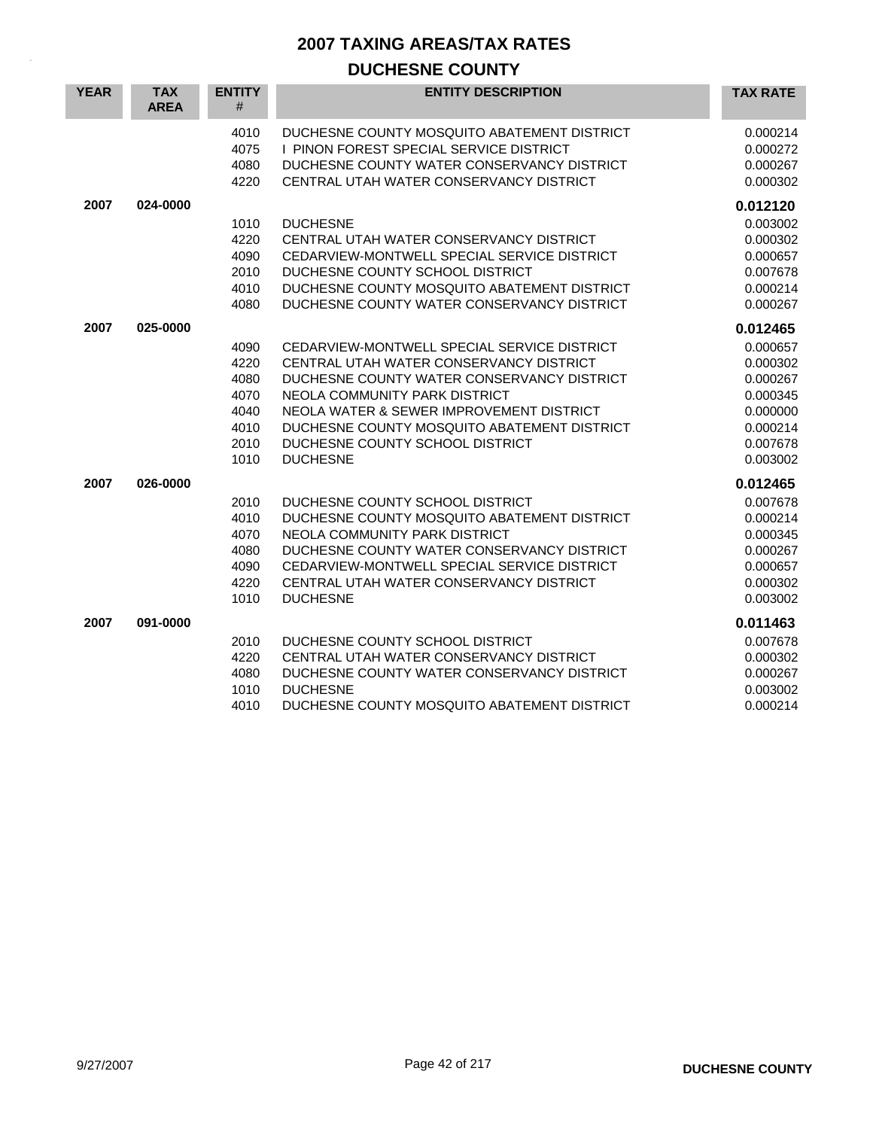| <b>YEAR</b> | <b>TAX</b><br><b>AREA</b> | <b>ENTITY</b><br>$\#$                                        | <b>ENTITY DESCRIPTION</b>                                                                                                                                                                                                                                                                                              | <b>TAX RATE</b>                                                                                          |
|-------------|---------------------------|--------------------------------------------------------------|------------------------------------------------------------------------------------------------------------------------------------------------------------------------------------------------------------------------------------------------------------------------------------------------------------------------|----------------------------------------------------------------------------------------------------------|
|             |                           | 4010<br>4075<br>4080<br>4220                                 | DUCHESNE COUNTY MOSQUITO ABATEMENT DISTRICT<br>I PINON FOREST SPECIAL SERVICE DISTRICT<br>DUCHESNE COUNTY WATER CONSERVANCY DISTRICT<br>CENTRAL UTAH WATER CONSERVANCY DISTRICT                                                                                                                                        | 0.000214<br>0.000272<br>0.000267<br>0.000302                                                             |
| 2007        | 024-0000                  | 1010<br>4220<br>4090<br>2010<br>4010<br>4080                 | <b>DUCHESNE</b><br>CENTRAL UTAH WATER CONSERVANCY DISTRICT<br>CEDARVIEW-MONTWELL SPECIAL SERVICE DISTRICT<br>DUCHESNE COUNTY SCHOOL DISTRICT<br>DUCHESNE COUNTY MOSQUITO ABATEMENT DISTRICT<br>DUCHESNE COUNTY WATER CONSERVANCY DISTRICT                                                                              | 0.012120<br>0.003002<br>0.000302<br>0.000657<br>0.007678<br>0.000214<br>0.000267                         |
| 2007        | 025-0000                  | 4090<br>4220<br>4080<br>4070<br>4040<br>4010<br>2010<br>1010 | CEDARVIEW-MONTWELL SPECIAL SERVICE DISTRICT<br>CENTRAL UTAH WATER CONSERVANCY DISTRICT<br>DUCHESNE COUNTY WATER CONSERVANCY DISTRICT<br>NEOLA COMMUNITY PARK DISTRICT<br>NEOLA WATER & SEWER IMPROVEMENT DISTRICT<br>DUCHESNE COUNTY MOSQUITO ABATEMENT DISTRICT<br>DUCHESNE COUNTY SCHOOL DISTRICT<br><b>DUCHESNE</b> | 0.012465<br>0.000657<br>0.000302<br>0.000267<br>0.000345<br>0.000000<br>0.000214<br>0.007678<br>0.003002 |
| 2007        | 026-0000                  | 2010<br>4010<br>4070<br>4080<br>4090<br>4220<br>1010         | DUCHESNE COUNTY SCHOOL DISTRICT<br>DUCHESNE COUNTY MOSQUITO ABATEMENT DISTRICT<br>NEOLA COMMUNITY PARK DISTRICT<br>DUCHESNE COUNTY WATER CONSERVANCY DISTRICT<br>CEDARVIEW-MONTWELL SPECIAL SERVICE DISTRICT<br>CENTRAL UTAH WATER CONSERVANCY DISTRICT<br><b>DUCHESNE</b>                                             | 0.012465<br>0.007678<br>0.000214<br>0.000345<br>0.000267<br>0.000657<br>0.000302<br>0.003002             |
| 2007        | 091-0000                  | 2010<br>4220<br>4080<br>1010<br>4010                         | DUCHESNE COUNTY SCHOOL DISTRICT<br>CENTRAL UTAH WATER CONSERVANCY DISTRICT<br>DUCHESNE COUNTY WATER CONSERVANCY DISTRICT<br><b>DUCHESNE</b><br>DUCHESNE COUNTY MOSQUITO ABATEMENT DISTRICT                                                                                                                             | 0.011463<br>0.007678<br>0.000302<br>0.000267<br>0.003002<br>0.000214                                     |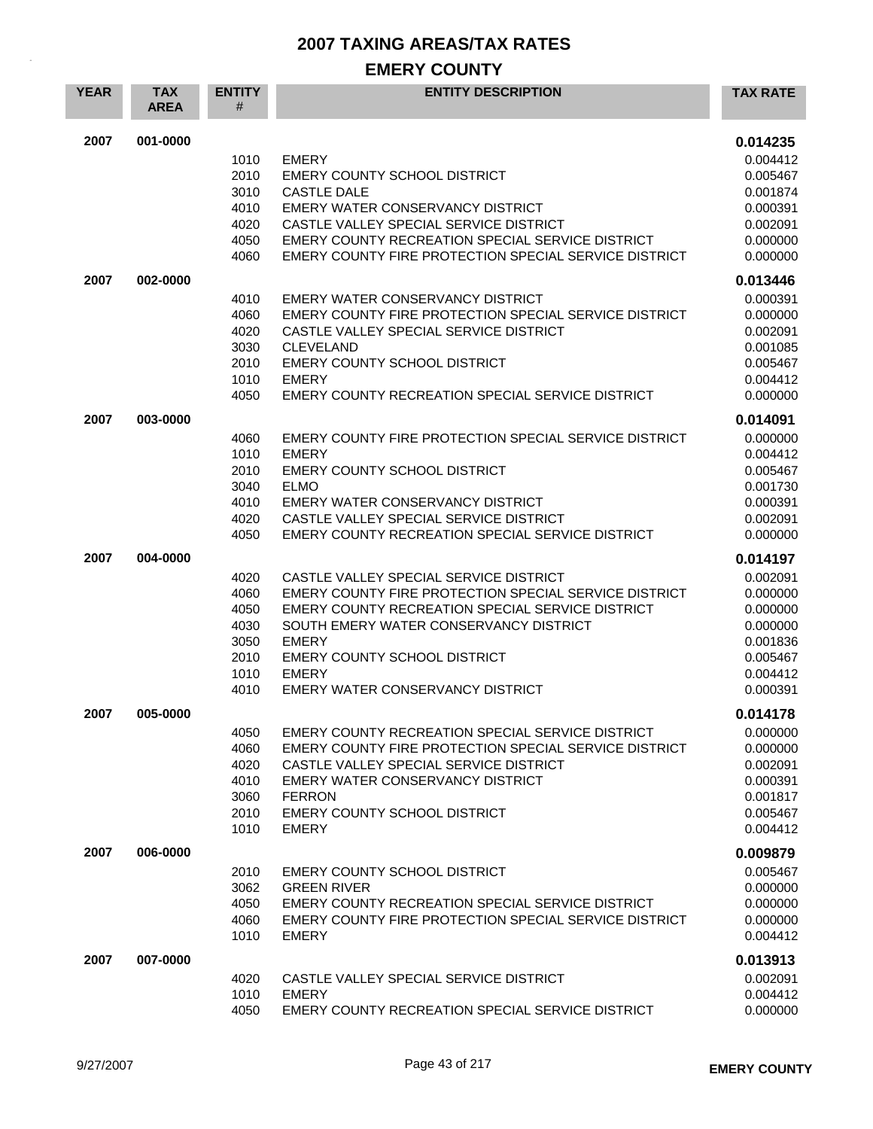## **EMERY COUNTY**

| <b>YEAR</b> | <b>TAX</b><br><b>AREA</b> | <b>ENTITY</b><br># | <b>ENTITY DESCRIPTION</b>                              | <b>TAX RATE</b>      |
|-------------|---------------------------|--------------------|--------------------------------------------------------|----------------------|
| 2007        | 001-0000                  |                    |                                                        | 0.014235             |
|             |                           | 1010               | <b>EMERY</b>                                           | 0.004412             |
|             |                           | 2010               | EMERY COUNTY SCHOOL DISTRICT                           | 0.005467             |
|             |                           | 3010               | <b>CASTLE DALE</b>                                     | 0.001874             |
|             |                           | 4010               | EMERY WATER CONSERVANCY DISTRICT                       | 0.000391             |
|             |                           | 4020               | CASTLE VALLEY SPECIAL SERVICE DISTRICT                 | 0.002091             |
|             |                           | 4050               | EMERY COUNTY RECREATION SPECIAL SERVICE DISTRICT       | 0.000000             |
|             |                           | 4060               | EMERY COUNTY FIRE PROTECTION SPECIAL SERVICE DISTRICT  | 0.000000             |
| 2007        | 002-0000                  |                    |                                                        | 0.013446             |
|             |                           | 4010               | EMERY WATER CONSERVANCY DISTRICT                       | 0.000391             |
|             |                           | 4060               | EMERY COUNTY FIRE PROTECTION SPECIAL SERVICE DISTRICT  | 0.000000             |
|             |                           | 4020               | CASTLE VALLEY SPECIAL SERVICE DISTRICT                 | 0.002091             |
|             |                           | 3030               | <b>CLEVELAND</b>                                       | 0.001085             |
|             |                           | 2010               | <b>EMERY COUNTY SCHOOL DISTRICT</b>                    | 0.005467             |
|             |                           | 1010               | <b>EMERY</b>                                           | 0.004412             |
|             |                           | 4050               | EMERY COUNTY RECREATION SPECIAL SERVICE DISTRICT       | 0.000000             |
| 2007        | 003-0000                  |                    |                                                        | 0.014091             |
|             |                           | 4060               | EMERY COUNTY FIRE PROTECTION SPECIAL SERVICE DISTRICT  | 0.000000             |
|             |                           | 1010               | <b>EMERY</b>                                           | 0.004412             |
|             |                           | 2010               | EMERY COUNTY SCHOOL DISTRICT                           | 0.005467             |
|             |                           | 3040               | <b>ELMO</b>                                            | 0.001730             |
|             |                           | 4010               | EMERY WATER CONSERVANCY DISTRICT                       | 0.000391             |
|             |                           | 4020               | CASTLE VALLEY SPECIAL SERVICE DISTRICT                 | 0.002091             |
|             |                           | 4050               | EMERY COUNTY RECREATION SPECIAL SERVICE DISTRICT       | 0.000000             |
|             |                           |                    |                                                        |                      |
| 2007        | 004-0000                  |                    |                                                        | 0.014197             |
|             |                           | 4020               | CASTLE VALLEY SPECIAL SERVICE DISTRICT                 | 0.002091             |
|             |                           | 4060               | EMERY COUNTY FIRE PROTECTION SPECIAL SERVICE DISTRICT  | 0.000000             |
|             |                           | 4050               | EMERY COUNTY RECREATION SPECIAL SERVICE DISTRICT       | 0.000000             |
|             |                           | 4030<br>3050       | SOUTH EMERY WATER CONSERVANCY DISTRICT<br><b>EMERY</b> | 0.000000             |
|             |                           | 2010               | EMERY COUNTY SCHOOL DISTRICT                           | 0.001836<br>0.005467 |
|             |                           | 1010               | <b>EMERY</b>                                           | 0.004412             |
|             |                           | 4010               | EMERY WATER CONSERVANCY DISTRICT                       | 0.000391             |
|             |                           |                    |                                                        |                      |
| 2007        | 005-0000                  |                    |                                                        | 0.014178             |
|             |                           | 4050               | EMERY COUNTY RECREATION SPECIAL SERVICE DISTRICT       | 0.000000             |
|             |                           | 4060               | EMERY COUNTY FIRE PROTECTION SPECIAL SERVICE DISTRICT  | 0.000000             |
|             |                           | 4020               | CASTLE VALLEY SPECIAL SERVICE DISTRICT                 | 0.002091             |
|             |                           | 4010               | EMERY WATER CONSERVANCY DISTRICT                       | 0.000391             |
|             |                           | 3060               | <b>FERRON</b>                                          | 0.001817             |
|             |                           | 2010               | <b>EMERY COUNTY SCHOOL DISTRICT</b>                    | 0.005467             |
|             |                           | 1010               | <b>EMERY</b>                                           | 0.004412             |
| 2007        | 006-0000                  |                    |                                                        | 0.009879             |
|             |                           | 2010               | EMERY COUNTY SCHOOL DISTRICT                           | 0.005467             |
|             |                           | 3062               | <b>GREEN RIVER</b>                                     | 0.000000             |
|             |                           | 4050               | EMERY COUNTY RECREATION SPECIAL SERVICE DISTRICT       | 0.000000             |
|             |                           | 4060               | EMERY COUNTY FIRE PROTECTION SPECIAL SERVICE DISTRICT  | 0.000000             |
|             |                           | 1010               | <b>EMERY</b>                                           | 0.004412             |
| 2007        | 007-0000                  |                    |                                                        | 0.013913             |
|             |                           | 4020               | CASTLE VALLEY SPECIAL SERVICE DISTRICT                 | 0.002091             |
|             |                           | 1010               | <b>EMERY</b>                                           | 0.004412             |
|             |                           | 4050               | EMERY COUNTY RECREATION SPECIAL SERVICE DISTRICT       | 0.000000             |
|             |                           |                    |                                                        |                      |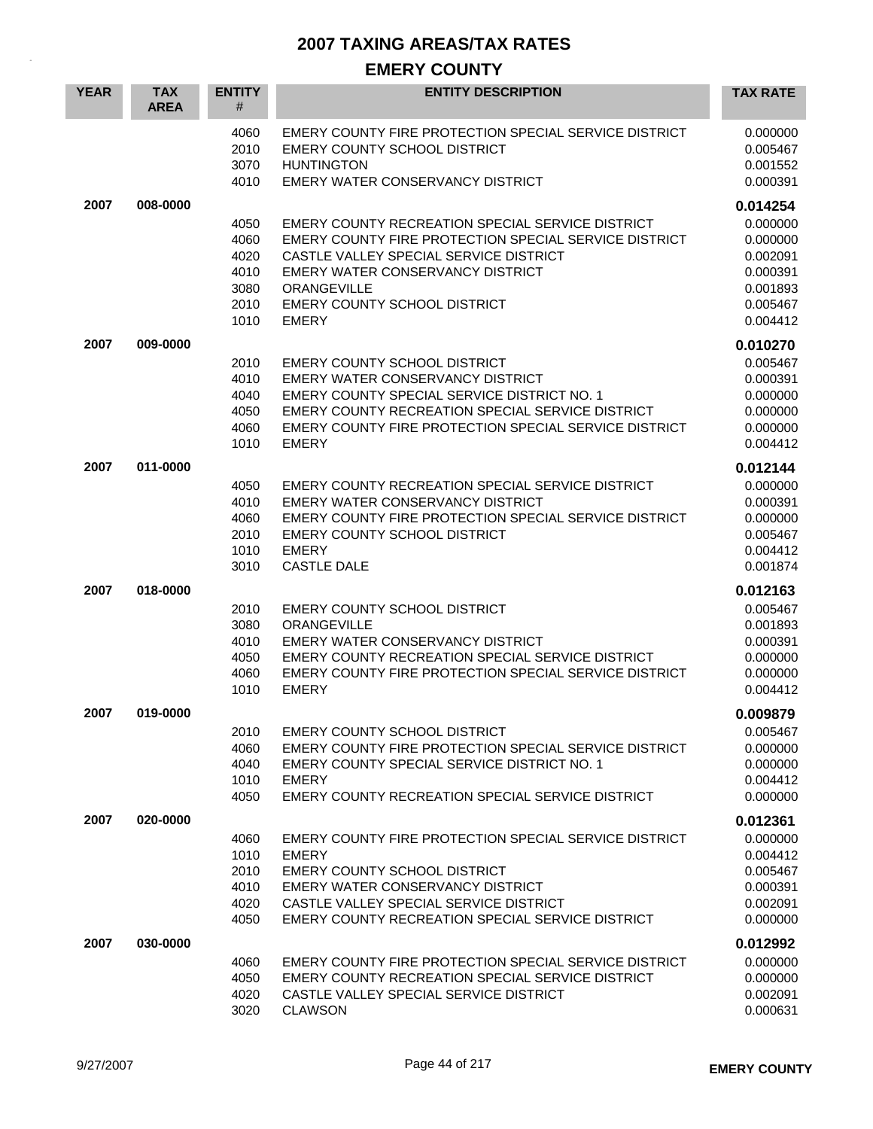## **EMERY COUNTY**

| <b>YEAR</b> | <b>TAX</b><br><b>AREA</b> | <b>ENTITY</b><br>#                                   | <b>ENTITY DESCRIPTION</b>                                                                                                                                                                                                                                                   | <b>TAX RATE</b>                                                                  |
|-------------|---------------------------|------------------------------------------------------|-----------------------------------------------------------------------------------------------------------------------------------------------------------------------------------------------------------------------------------------------------------------------------|----------------------------------------------------------------------------------|
|             |                           | 4060<br>2010<br>3070<br>4010                         | EMERY COUNTY FIRE PROTECTION SPECIAL SERVICE DISTRICT<br>EMERY COUNTY SCHOOL DISTRICT<br><b>HUNTINGTON</b><br>EMERY WATER CONSERVANCY DISTRICT                                                                                                                              | 0.000000<br>0.005467<br>0.001552<br>0.000391                                     |
| 2007        | 008-0000                  |                                                      |                                                                                                                                                                                                                                                                             | 0.014254                                                                         |
|             |                           | 4050<br>4060<br>4020<br>4010<br>3080<br>2010<br>1010 | EMERY COUNTY RECREATION SPECIAL SERVICE DISTRICT<br>EMERY COUNTY FIRE PROTECTION SPECIAL SERVICE DISTRICT<br>CASTLE VALLEY SPECIAL SERVICE DISTRICT<br><b>EMERY WATER CONSERVANCY DISTRICT</b><br><b>ORANGEVILLE</b><br><b>EMERY COUNTY SCHOOL DISTRICT</b><br><b>EMERY</b> | 0.000000<br>0.000000<br>0.002091<br>0.000391<br>0.001893<br>0.005467<br>0.004412 |
| 2007        | 009-0000                  |                                                      |                                                                                                                                                                                                                                                                             | 0.010270                                                                         |
|             |                           | 2010<br>4010<br>4040<br>4050<br>4060<br>1010         | <b>EMERY COUNTY SCHOOL DISTRICT</b><br>EMERY WATER CONSERVANCY DISTRICT<br>EMERY COUNTY SPECIAL SERVICE DISTRICT NO. 1<br>EMERY COUNTY RECREATION SPECIAL SERVICE DISTRICT<br>EMERY COUNTY FIRE PROTECTION SPECIAL SERVICE DISTRICT<br><b>EMERY</b>                         | 0.005467<br>0.000391<br>0.000000<br>0.000000<br>0.000000<br>0.004412             |
| 2007        | 011-0000                  |                                                      |                                                                                                                                                                                                                                                                             | 0.012144                                                                         |
|             |                           | 4050<br>4010<br>4060<br>2010<br>1010<br>3010         | EMERY COUNTY RECREATION SPECIAL SERVICE DISTRICT<br>EMERY WATER CONSERVANCY DISTRICT<br>EMERY COUNTY FIRE PROTECTION SPECIAL SERVICE DISTRICT<br>EMERY COUNTY SCHOOL DISTRICT<br><b>EMERY</b><br><b>CASTLE DALE</b>                                                         | 0.000000<br>0.000391<br>0.000000<br>0.005467<br>0.004412<br>0.001874             |
| 2007        | 018-0000                  |                                                      |                                                                                                                                                                                                                                                                             | 0.012163                                                                         |
|             |                           | 2010<br>3080<br>4010<br>4050<br>4060<br>1010         | EMERY COUNTY SCHOOL DISTRICT<br>ORANGEVILLE<br>EMERY WATER CONSERVANCY DISTRICT<br>EMERY COUNTY RECREATION SPECIAL SERVICE DISTRICT<br>EMERY COUNTY FIRE PROTECTION SPECIAL SERVICE DISTRICT<br><b>EMERY</b>                                                                | 0.005467<br>0.001893<br>0.000391<br>0.000000<br>0.000000<br>0.004412             |
| 2007        | 019-0000                  |                                                      |                                                                                                                                                                                                                                                                             | 0.009879                                                                         |
|             |                           | 2010<br>4060<br>4040<br>1010<br>4050                 | EMERY COUNTY SCHOOL DISTRICT<br>EMERY COUNTY FIRE PROTECTION SPECIAL SERVICE DISTRICT<br>EMERY COUNTY SPECIAL SERVICE DISTRICT NO. 1<br><b>EMERY</b><br>EMERY COUNTY RECREATION SPECIAL SERVICE DISTRICT                                                                    | 0.005467<br>0.000000<br>0.000000<br>0.004412<br>0.000000                         |
| 2007        | 020-0000                  |                                                      |                                                                                                                                                                                                                                                                             | 0.012361                                                                         |
|             |                           | 4060<br>1010<br>2010<br>4010<br>4020<br>4050         | EMERY COUNTY FIRE PROTECTION SPECIAL SERVICE DISTRICT<br><b>EMERY</b><br>EMERY COUNTY SCHOOL DISTRICT<br>EMERY WATER CONSERVANCY DISTRICT<br>CASTLE VALLEY SPECIAL SERVICE DISTRICT<br>EMERY COUNTY RECREATION SPECIAL SERVICE DISTRICT                                     | 0.000000<br>0.004412<br>0.005467<br>0.000391<br>0.002091<br>0.000000             |
| 2007        | 030-0000                  |                                                      |                                                                                                                                                                                                                                                                             | 0.012992                                                                         |
|             |                           | 4060<br>4050<br>4020<br>3020                         | EMERY COUNTY FIRE PROTECTION SPECIAL SERVICE DISTRICT<br>EMERY COUNTY RECREATION SPECIAL SERVICE DISTRICT<br>CASTLE VALLEY SPECIAL SERVICE DISTRICT<br><b>CLAWSON</b>                                                                                                       | 0.000000<br>0.000000<br>0.002091<br>0.000631                                     |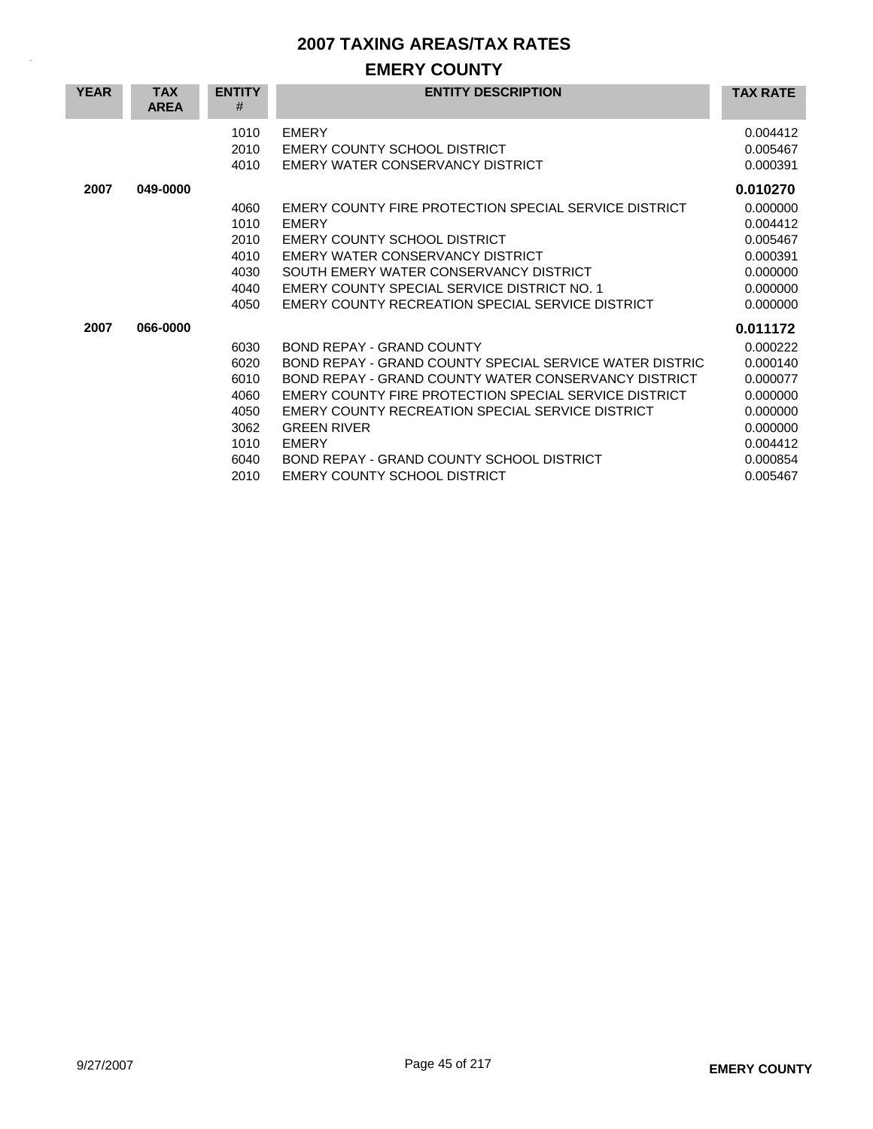## **EMERY COUNTY**

| <b>YEAR</b> | <b>TAX</b><br><b>AREA</b> | <b>ENTITY</b><br># | <b>ENTITY DESCRIPTION</b>                               | <b>TAX RATE</b> |
|-------------|---------------------------|--------------------|---------------------------------------------------------|-----------------|
|             |                           | 1010               | <b>EMERY</b>                                            | 0.004412        |
|             |                           | 2010               | EMERY COUNTY SCHOOL DISTRICT                            | 0.005467        |
|             |                           | 4010               | EMERY WATER CONSERVANCY DISTRICT                        | 0.000391        |
| 2007        | 049-0000                  |                    |                                                         | 0.010270        |
|             |                           | 4060               | EMERY COUNTY FIRE PROTECTION SPECIAL SERVICE DISTRICT   | 0.000000        |
|             |                           | 1010               | <b>EMERY</b>                                            | 0.004412        |
|             |                           | 2010               | EMERY COUNTY SCHOOL DISTRICT                            | 0.005467        |
|             |                           | 4010               | EMERY WATER CONSERVANCY DISTRICT                        | 0.000391        |
|             |                           | 4030               | SOUTH EMERY WATER CONSERVANCY DISTRICT                  | 0.000000        |
|             |                           | 4040               | EMERY COUNTY SPECIAL SERVICE DISTRICT NO. 1             | 0.000000        |
|             |                           | 4050               | EMERY COUNTY RECREATION SPECIAL SERVICE DISTRICT        | 0.000000        |
| 2007        | 066-0000                  |                    |                                                         | 0.011172        |
|             |                           | 6030               | <b>BOND REPAY - GRAND COUNTY</b>                        | 0.000222        |
|             |                           | 6020               | BOND REPAY - GRAND COUNTY SPECIAL SERVICE WATER DISTRIC | 0.000140        |
|             |                           | 6010               | BOND REPAY - GRAND COUNTY WATER CONSERVANCY DISTRICT    | 0.000077        |
|             |                           | 4060               | EMERY COUNTY FIRE PROTECTION SPECIAL SERVICE DISTRICT   | 0.000000        |
|             |                           | 4050               | EMERY COUNTY RECREATION SPECIAL SERVICE DISTRICT        | 0.000000        |
|             |                           | 3062               | <b>GREEN RIVER</b>                                      | 0.000000        |
|             |                           | 1010               | <b>EMERY</b>                                            | 0.004412        |
|             |                           | 6040               | BOND REPAY - GRAND COUNTY SCHOOL DISTRICT               | 0.000854        |
|             |                           | 2010               | EMERY COUNTY SCHOOL DISTRICT                            | 0.005467        |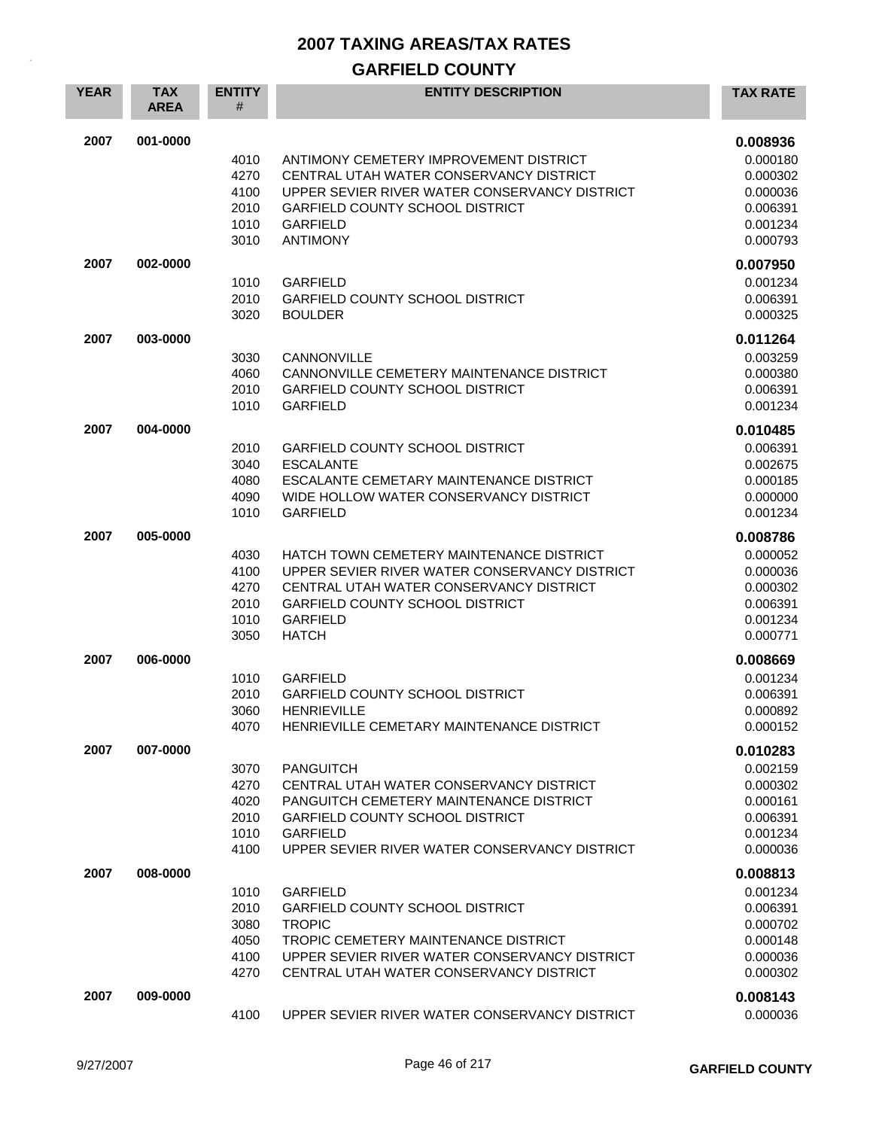## **GARFIELD COUNTY**

| <b>YEAR</b> | <b>TAX</b><br><b>AREA</b> | <b>ENTITY</b><br>#                           | <b>ENTITY DESCRIPTION</b>                                                                                                                                                                                            | <b>TAX RATE</b>                                                                  |
|-------------|---------------------------|----------------------------------------------|----------------------------------------------------------------------------------------------------------------------------------------------------------------------------------------------------------------------|----------------------------------------------------------------------------------|
| 2007        | 001-0000                  | 4010<br>4270<br>4100<br>2010<br>1010<br>3010 | ANTIMONY CEMETERY IMPROVEMENT DISTRICT<br>CENTRAL UTAH WATER CONSERVANCY DISTRICT<br>UPPER SEVIER RIVER WATER CONSERVANCY DISTRICT<br><b>GARFIELD COUNTY SCHOOL DISTRICT</b><br><b>GARFIELD</b><br><b>ANTIMONY</b>   | 0.008936<br>0.000180<br>0.000302<br>0.000036<br>0.006391<br>0.001234<br>0.000793 |
| 2007        | 002-0000                  | 1010<br>2010<br>3020                         | <b>GARFIELD</b><br><b>GARFIELD COUNTY SCHOOL DISTRICT</b><br><b>BOULDER</b>                                                                                                                                          | 0.007950<br>0.001234<br>0.006391<br>0.000325                                     |
| 2007        | 003-0000                  | 3030<br>4060<br>2010<br>1010                 | CANNONVILLE<br>CANNONVILLE CEMETERY MAINTENANCE DISTRICT<br><b>GARFIELD COUNTY SCHOOL DISTRICT</b><br><b>GARFIELD</b>                                                                                                | 0.011264<br>0.003259<br>0.000380<br>0.006391<br>0.001234                         |
| 2007        | 004-0000                  | 2010<br>3040<br>4080<br>4090<br>1010         | <b>GARFIELD COUNTY SCHOOL DISTRICT</b><br><b>ESCALANTE</b><br>ESCALANTE CEMETARY MAINTENANCE DISTRICT<br>WIDE HOLLOW WATER CONSERVANCY DISTRICT<br><b>GARFIELD</b>                                                   | 0.010485<br>0.006391<br>0.002675<br>0.000185<br>0.000000<br>0.001234             |
| 2007        | 005-0000                  | 4030<br>4100<br>4270<br>2010<br>1010<br>3050 | HATCH TOWN CEMETERY MAINTENANCE DISTRICT<br>UPPER SEVIER RIVER WATER CONSERVANCY DISTRICT<br>CENTRAL UTAH WATER CONSERVANCY DISTRICT<br><b>GARFIELD COUNTY SCHOOL DISTRICT</b><br><b>GARFIELD</b><br><b>HATCH</b>    | 0.008786<br>0.000052<br>0.000036<br>0.000302<br>0.006391<br>0.001234<br>0.000771 |
| 2007        | 006-0000                  | 1010<br>2010<br>3060<br>4070                 | <b>GARFIELD</b><br><b>GARFIELD COUNTY SCHOOL DISTRICT</b><br><b>HENRIEVILLE</b><br>HENRIEVILLE CEMETARY MAINTENANCE DISTRICT                                                                                         | 0.008669<br>0.001234<br>0.006391<br>0.000892<br>0.000152                         |
| 2007        | 007-0000                  | 3070<br>4270<br>4020<br>2010<br>1010<br>4100 | <b>PANGUITCH</b><br>CENTRAL UTAH WATER CONSERVANCY DISTRICT<br>PANGUITCH CEMETERY MAINTENANCE DISTRICT<br><b>GARFIELD COUNTY SCHOOL DISTRICT</b><br><b>GARFIELD</b><br>UPPER SEVIER RIVER WATER CONSERVANCY DISTRICT | 0.010283<br>0.002159<br>0.000302<br>0.000161<br>0.006391<br>0.001234<br>0.000036 |
| 2007        | 008-0000                  | 1010<br>2010<br>3080<br>4050<br>4100<br>4270 | <b>GARFIELD</b><br>GARFIELD COUNTY SCHOOL DISTRICT<br><b>TROPIC</b><br>TROPIC CEMETERY MAINTENANCE DISTRICT<br>UPPER SEVIER RIVER WATER CONSERVANCY DISTRICT<br>CENTRAL UTAH WATER CONSERVANCY DISTRICT              | 0.008813<br>0.001234<br>0.006391<br>0.000702<br>0.000148<br>0.000036<br>0.000302 |
| 2007        | 009-0000                  | 4100                                         | UPPER SEVIER RIVER WATER CONSERVANCY DISTRICT                                                                                                                                                                        | 0.008143<br>0.000036                                                             |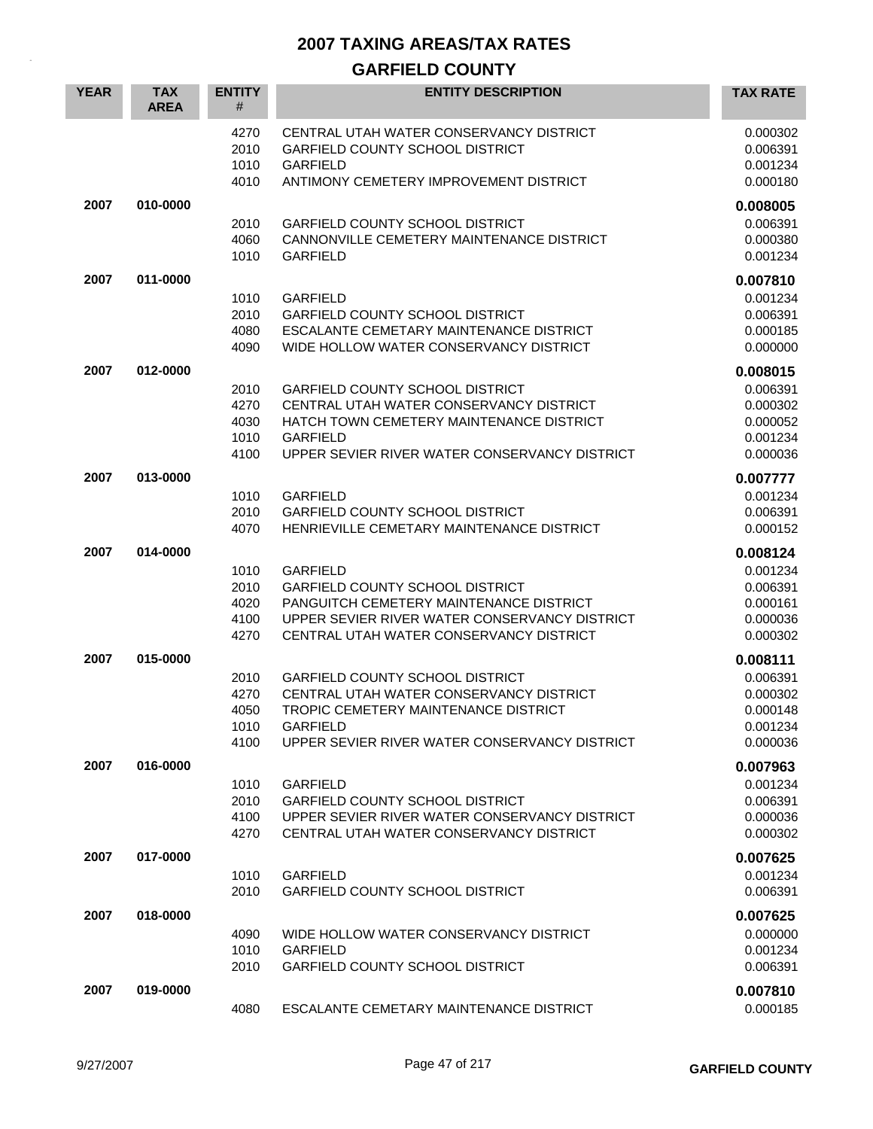## **GARFIELD COUNTY**

| <b>YEAR</b> | <b>TAX</b><br><b>AREA</b> | <b>ENTITY</b><br>#                   | <b>ENTITY DESCRIPTION</b>                                                                                                                                                                            | <b>TAX RATE</b>                                                      |
|-------------|---------------------------|--------------------------------------|------------------------------------------------------------------------------------------------------------------------------------------------------------------------------------------------------|----------------------------------------------------------------------|
|             |                           | 4270<br>2010<br>1010<br>4010         | CENTRAL UTAH WATER CONSERVANCY DISTRICT<br><b>GARFIELD COUNTY SCHOOL DISTRICT</b><br><b>GARFIELD</b><br>ANTIMONY CEMETERY IMPROVEMENT DISTRICT                                                       | 0.000302<br>0.006391<br>0.001234<br>0.000180                         |
| 2007        | 010-0000                  | 2010<br>4060<br>1010                 | <b>GARFIELD COUNTY SCHOOL DISTRICT</b><br>CANNONVILLE CEMETERY MAINTENANCE DISTRICT<br><b>GARFIELD</b>                                                                                               | 0.008005<br>0.006391<br>0.000380<br>0.001234                         |
| 2007        | 011-0000                  | 1010<br>2010<br>4080<br>4090         | <b>GARFIELD</b><br><b>GARFIELD COUNTY SCHOOL DISTRICT</b><br>ESCALANTE CEMETARY MAINTENANCE DISTRICT<br>WIDE HOLLOW WATER CONSERVANCY DISTRICT                                                       | 0.007810<br>0.001234<br>0.006391<br>0.000185<br>0.000000             |
| 2007        | 012-0000                  | 2010<br>4270<br>4030<br>1010<br>4100 | <b>GARFIELD COUNTY SCHOOL DISTRICT</b><br>CENTRAL UTAH WATER CONSERVANCY DISTRICT<br>HATCH TOWN CEMETERY MAINTENANCE DISTRICT<br><b>GARFIELD</b><br>UPPER SEVIER RIVER WATER CONSERVANCY DISTRICT    | 0.008015<br>0.006391<br>0.000302<br>0.000052<br>0.001234<br>0.000036 |
| 2007        | 013-0000                  | 1010<br>2010<br>4070                 | <b>GARFIELD</b><br><b>GARFIELD COUNTY SCHOOL DISTRICT</b><br>HENRIEVILLE CEMETARY MAINTENANCE DISTRICT                                                                                               | 0.007777<br>0.001234<br>0.006391<br>0.000152                         |
| 2007        | 014-0000                  | 1010<br>2010<br>4020<br>4100<br>4270 | <b>GARFIELD</b><br><b>GARFIELD COUNTY SCHOOL DISTRICT</b><br>PANGUITCH CEMETERY MAINTENANCE DISTRICT<br>UPPER SEVIER RIVER WATER CONSERVANCY DISTRICT<br>CENTRAL UTAH WATER CONSERVANCY DISTRICT     | 0.008124<br>0.001234<br>0.006391<br>0.000161<br>0.000036<br>0.000302 |
| 2007        | 015-0000                  | 2010<br>4270<br>4050<br>1010<br>4100 | <b>GARFIELD COUNTY SCHOOL DISTRICT</b><br>CENTRAL UTAH WATER CONSERVANCY DISTRICT<br><b>TROPIC CEMETERY MAINTENANCE DISTRICT</b><br><b>GARFIELD</b><br>UPPER SEVIER RIVER WATER CONSERVANCY DISTRICT | 0.008111<br>0.006391<br>0.000302<br>0.000148<br>0.001234<br>0.000036 |
| 2007        | 016-0000                  | 1010<br>2010<br>4100<br>4270         | <b>GARFIELD</b><br><b>GARFIELD COUNTY SCHOOL DISTRICT</b><br>UPPER SEVIER RIVER WATER CONSERVANCY DISTRICT<br>CENTRAL UTAH WATER CONSERVANCY DISTRICT                                                | 0.007963<br>0.001234<br>0.006391<br>0.000036<br>0.000302             |
| 2007        | 017-0000                  | 1010<br>2010                         | <b>GARFIELD</b><br><b>GARFIELD COUNTY SCHOOL DISTRICT</b>                                                                                                                                            | 0.007625<br>0.001234<br>0.006391                                     |
| 2007        | 018-0000                  | 4090<br>1010<br>2010                 | WIDE HOLLOW WATER CONSERVANCY DISTRICT<br><b>GARFIELD</b><br>GARFIELD COUNTY SCHOOL DISTRICT                                                                                                         | 0.007625<br>0.000000<br>0.001234<br>0.006391                         |
| 2007        | 019-0000                  | 4080                                 | ESCALANTE CEMETARY MAINTENANCE DISTRICT                                                                                                                                                              | 0.007810<br>0.000185                                                 |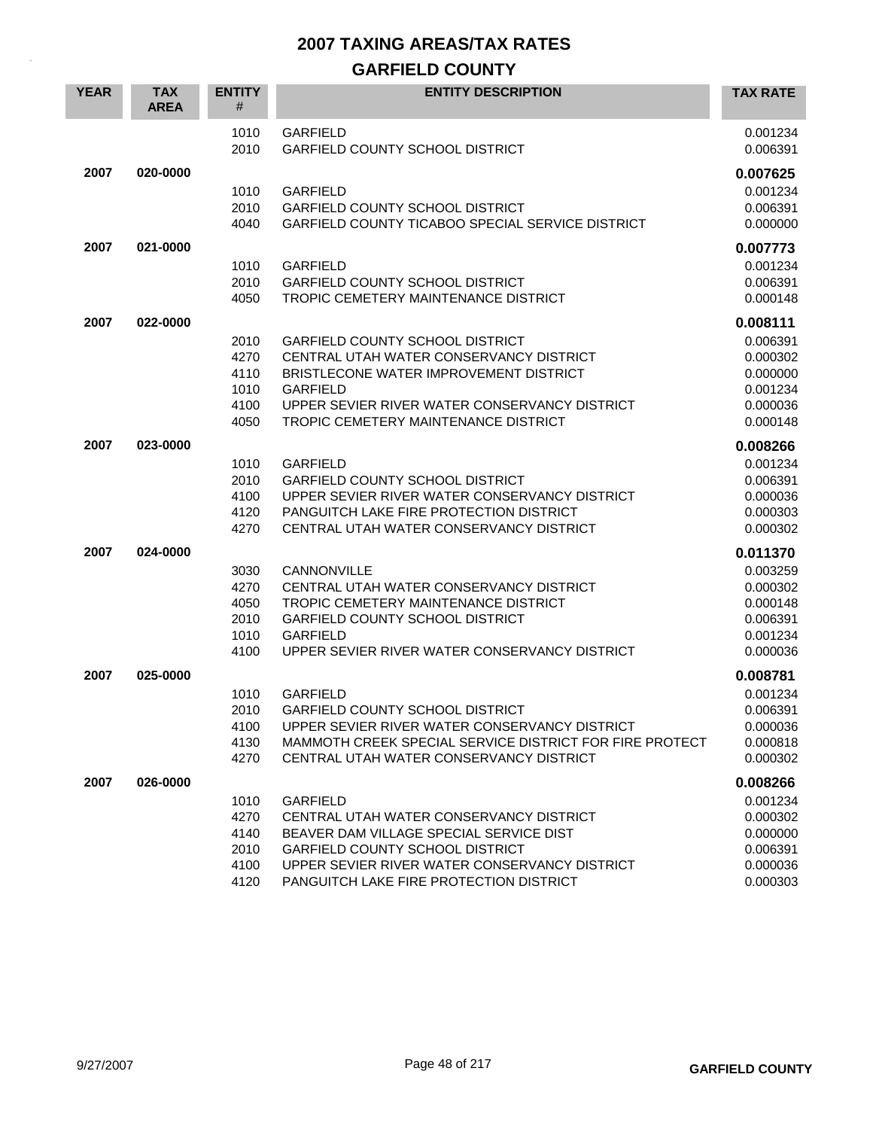### **GARFIELD COUNTY**

| <b>YEAR</b> | <b>TAX</b><br><b>AREA</b> | <b>ENTITY</b><br># | <b>ENTITY DESCRIPTION</b>                                                                          | <b>TAX RATE</b>      |
|-------------|---------------------------|--------------------|----------------------------------------------------------------------------------------------------|----------------------|
|             |                           | 1010<br>2010       | <b>GARFIELD</b><br><b>GARFIELD COUNTY SCHOOL DISTRICT</b>                                          | 0.001234<br>0.006391 |
| 2007        | 020-0000                  |                    |                                                                                                    | 0.007625             |
|             |                           | 1010               | <b>GARFIELD</b>                                                                                    | 0.001234             |
|             |                           | 2010               | <b>GARFIELD COUNTY SCHOOL DISTRICT</b>                                                             | 0.006391             |
|             |                           | 4040               | GARFIELD COUNTY TICABOO SPECIAL SERVICE DISTRICT                                                   | 0.000000             |
| 2007        | 021-0000                  |                    |                                                                                                    | 0.007773             |
|             |                           | 1010               | <b>GARFIELD</b>                                                                                    | 0.001234             |
|             |                           | 2010               | <b>GARFIELD COUNTY SCHOOL DISTRICT</b>                                                             | 0.006391             |
|             |                           | 4050               | TROPIC CEMETERY MAINTENANCE DISTRICT                                                               | 0.000148             |
| 2007        | 022-0000                  |                    |                                                                                                    | 0.008111             |
|             |                           | 2010               | <b>GARFIELD COUNTY SCHOOL DISTRICT</b>                                                             | 0.006391             |
|             |                           | 4270               | CENTRAL UTAH WATER CONSERVANCY DISTRICT                                                            | 0.000302             |
|             |                           | 4110<br>1010       | BRISTLECONE WATER IMPROVEMENT DISTRICT<br><b>GARFIELD</b>                                          | 0.000000             |
|             |                           | 4100               | UPPER SEVIER RIVER WATER CONSERVANCY DISTRICT                                                      | 0.001234<br>0.000036 |
|             |                           | 4050               | TROPIC CEMETERY MAINTENANCE DISTRICT                                                               | 0.000148             |
| 2007        | 023-0000                  |                    |                                                                                                    | 0.008266             |
|             |                           | 1010               | <b>GARFIELD</b>                                                                                    | 0.001234             |
|             |                           | 2010               | <b>GARFIELD COUNTY SCHOOL DISTRICT</b>                                                             | 0.006391             |
|             |                           | 4100               | UPPER SEVIER RIVER WATER CONSERVANCY DISTRICT                                                      | 0.000036             |
|             |                           | 4120               | PANGUITCH LAKE FIRE PROTECTION DISTRICT                                                            | 0.000303             |
|             |                           | 4270               | CENTRAL UTAH WATER CONSERVANCY DISTRICT                                                            | 0.000302             |
| 2007        | 024-0000                  |                    |                                                                                                    | 0.011370             |
|             |                           | 3030               | CANNONVILLE                                                                                        | 0.003259             |
|             |                           | 4270               | CENTRAL UTAH WATER CONSERVANCY DISTRICT                                                            | 0.000302             |
|             |                           | 4050               | TROPIC CEMETERY MAINTENANCE DISTRICT                                                               | 0.000148             |
|             |                           | 2010               | <b>GARFIELD COUNTY SCHOOL DISTRICT</b>                                                             | 0.006391             |
|             |                           | 1010               | <b>GARFIELD</b>                                                                                    | 0.001234             |
|             |                           | 4100               | UPPER SEVIER RIVER WATER CONSERVANCY DISTRICT                                                      | 0.000036             |
| 2007        | 025-0000                  |                    |                                                                                                    | 0.008781             |
|             |                           | 1010               | <b>GARFIELD</b>                                                                                    | 0.001234             |
|             |                           | 2010               | <b>GARFIELD COUNTY SCHOOL DISTRICT</b>                                                             | 0.006391             |
|             |                           | 4100               | UPPER SEVIER RIVER WATER CONSERVANCY DISTRICT                                                      | 0.000036             |
|             |                           | 4130<br>4270       | MAMMOTH CREEK SPECIAL SERVICE DISTRICT FOR FIRE PROTECT<br>CENTRAL UTAH WATER CONSERVANCY DISTRICT | 0.000818<br>0.000302 |
|             |                           |                    |                                                                                                    |                      |
| 2007        | 026-0000                  |                    |                                                                                                    | 0.008266             |
|             |                           | 1010               | <b>GARFIELD</b>                                                                                    | 0.001234             |
|             |                           | 4270<br>4140       | CENTRAL UTAH WATER CONSERVANCY DISTRICT<br>BEAVER DAM VILLAGE SPECIAL SERVICE DIST                 | 0.000302<br>0.000000 |
|             |                           | 2010               | <b>GARFIELD COUNTY SCHOOL DISTRICT</b>                                                             | 0.006391             |
|             |                           | 4100               | UPPER SEVIER RIVER WATER CONSERVANCY DISTRICT                                                      | 0.000036             |
|             |                           | 4120               | PANGUITCH LAKE FIRE PROTECTION DISTRICT                                                            | 0.000303             |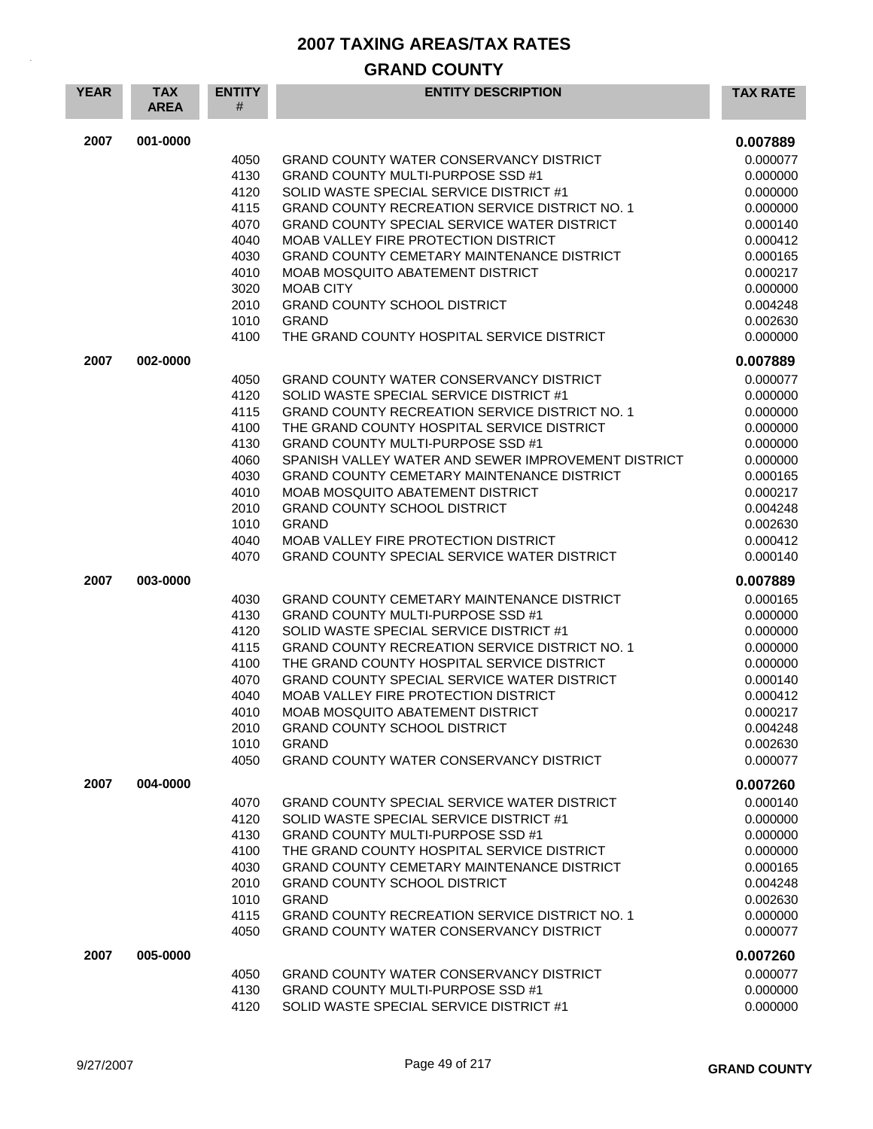#### **GRAND COUNTY**

| <b>YEAR</b> | <b>TAX</b><br><b>AREA</b> | <b>ENTITY</b><br># | <b>ENTITY DESCRIPTION</b>                                                                | <b>TAX RATE</b>      |
|-------------|---------------------------|--------------------|------------------------------------------------------------------------------------------|----------------------|
| 2007        | 001-0000                  |                    |                                                                                          | 0.007889             |
|             |                           | 4050               | GRAND COUNTY WATER CONSERVANCY DISTRICT                                                  | 0.000077             |
|             |                           | 4130               | GRAND COUNTY MULTI-PURPOSE SSD #1                                                        | 0.000000             |
|             |                           | 4120               | SOLID WASTE SPECIAL SERVICE DISTRICT #1                                                  | 0.000000             |
|             |                           | 4115               | <b>GRAND COUNTY RECREATION SERVICE DISTRICT NO. 1</b>                                    | 0.000000             |
|             |                           | 4070               | GRAND COUNTY SPECIAL SERVICE WATER DISTRICT                                              | 0.000140             |
|             |                           | 4040               | MOAB VALLEY FIRE PROTECTION DISTRICT                                                     | 0.000412             |
|             |                           | 4030               | GRAND COUNTY CEMETARY MAINTENANCE DISTRICT                                               | 0.000165             |
|             |                           | 4010               | MOAB MOSQUITO ABATEMENT DISTRICT                                                         | 0.000217             |
|             |                           | 3020               | <b>MOAB CITY</b>                                                                         | 0.000000             |
|             |                           | 2010               | <b>GRAND COUNTY SCHOOL DISTRICT</b>                                                      | 0.004248             |
|             |                           | 1010               | <b>GRAND</b>                                                                             | 0.002630             |
|             |                           | 4100               | THE GRAND COUNTY HOSPITAL SERVICE DISTRICT                                               | 0.000000             |
| 2007        | 002-0000                  |                    |                                                                                          | 0.007889             |
|             |                           | 4050               | <b>GRAND COUNTY WATER CONSERVANCY DISTRICT</b>                                           | 0.000077             |
|             |                           | 4120               | SOLID WASTE SPECIAL SERVICE DISTRICT #1                                                  | 0.000000             |
|             |                           | 4115               | <b>GRAND COUNTY RECREATION SERVICE DISTRICT NO. 1</b>                                    | 0.000000             |
|             |                           | 4100               | THE GRAND COUNTY HOSPITAL SERVICE DISTRICT                                               | 0.000000             |
|             |                           | 4130<br>4060       | GRAND COUNTY MULTI-PURPOSE SSD #1<br>SPANISH VALLEY WATER AND SEWER IMPROVEMENT DISTRICT | 0.000000<br>0.000000 |
|             |                           | 4030               | GRAND COUNTY CEMETARY MAINTENANCE DISTRICT                                               | 0.000165             |
|             |                           | 4010               | MOAB MOSQUITO ABATEMENT DISTRICT                                                         | 0.000217             |
|             |                           | 2010               | <b>GRAND COUNTY SCHOOL DISTRICT</b>                                                      | 0.004248             |
|             |                           | 1010               | <b>GRAND</b>                                                                             | 0.002630             |
|             |                           | 4040               | MOAB VALLEY FIRE PROTECTION DISTRICT                                                     | 0.000412             |
|             |                           | 4070               | <b>GRAND COUNTY SPECIAL SERVICE WATER DISTRICT</b>                                       | 0.000140             |
| 2007        | 003-0000                  |                    |                                                                                          | 0.007889             |
|             |                           | 4030               | GRAND COUNTY CEMETARY MAINTENANCE DISTRICT                                               | 0.000165             |
|             |                           | 4130               | <b>GRAND COUNTY MULTI-PURPOSE SSD #1</b>                                                 | 0.000000             |
|             |                           | 4120               | SOLID WASTE SPECIAL SERVICE DISTRICT #1                                                  | 0.000000             |
|             |                           | 4115               | <b>GRAND COUNTY RECREATION SERVICE DISTRICT NO. 1</b>                                    | 0.000000             |
|             |                           | 4100               | THE GRAND COUNTY HOSPITAL SERVICE DISTRICT                                               | 0.000000             |
|             |                           | 4070               | GRAND COUNTY SPECIAL SERVICE WATER DISTRICT                                              | 0.000140             |
|             |                           | 4040               | MOAB VALLEY FIRE PROTECTION DISTRICT                                                     | 0.000412             |
|             |                           | 4010               | MOAB MOSQUITO ABATEMENT DISTRICT                                                         | 0.000217             |
|             |                           | 2010               | GRAND COUNTY SCHOOL DISTRICT                                                             | 0.004248             |
|             |                           | 1010               | <b>GRAND</b>                                                                             | 0.002630             |
|             |                           | 4050               | <b>GRAND COUNTY WATER CONSERVANCY DISTRICT</b>                                           | 0.000077             |
| 2007        | 004-0000                  |                    |                                                                                          | 0.007260             |
|             |                           | 4070               | <b>GRAND COUNTY SPECIAL SERVICE WATER DISTRICT</b>                                       | 0.000140             |
|             |                           | 4120               | SOLID WASTE SPECIAL SERVICE DISTRICT #1                                                  | 0.000000             |
|             |                           | 4130               | <b>GRAND COUNTY MULTI-PURPOSE SSD #1</b>                                                 | 0.000000             |
|             |                           | 4100               | THE GRAND COUNTY HOSPITAL SERVICE DISTRICT                                               | 0.000000             |
|             |                           | 4030               | <b>GRAND COUNTY CEMETARY MAINTENANCE DISTRICT</b>                                        | 0.000165             |
|             |                           | 2010<br>1010       | <b>GRAND COUNTY SCHOOL DISTRICT</b><br><b>GRAND</b>                                      | 0.004248<br>0.002630 |
|             |                           | 4115               | GRAND COUNTY RECREATION SERVICE DISTRICT NO. 1                                           | 0.000000             |
|             |                           | 4050               | <b>GRAND COUNTY WATER CONSERVANCY DISTRICT</b>                                           | 0.000077             |
|             |                           |                    |                                                                                          |                      |
| 2007        | 005-0000                  | 4050               | GRAND COUNTY WATER CONSERVANCY DISTRICT                                                  | 0.007260<br>0.000077 |
|             |                           | 4130               | <b>GRAND COUNTY MULTI-PURPOSE SSD #1</b>                                                 | 0.000000             |
|             |                           | 4120               | SOLID WASTE SPECIAL SERVICE DISTRICT #1                                                  | 0.000000             |
|             |                           |                    |                                                                                          |                      |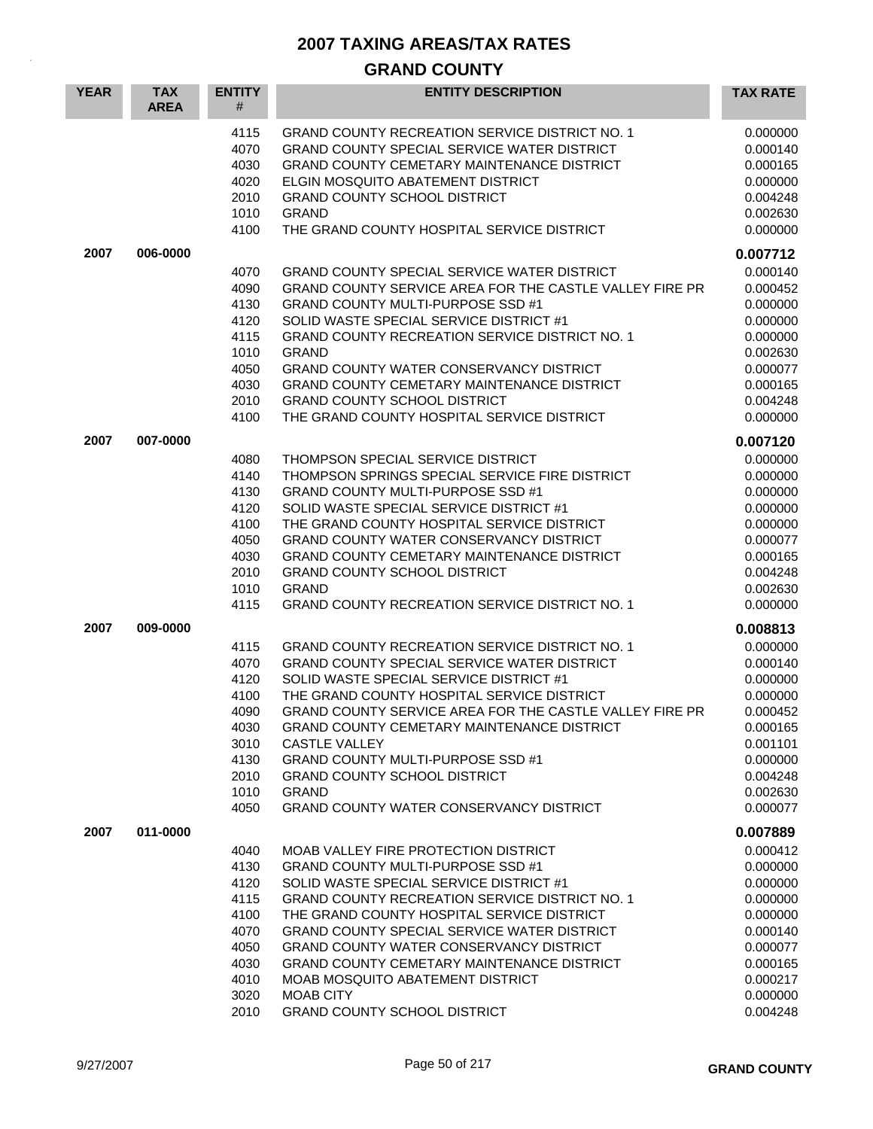## **GRAND COUNTY**

| <b>YEAR</b> | <b>TAX</b><br><b>AREA</b> | <b>ENTITY</b><br>$\#$                                                                | <b>ENTITY DESCRIPTION</b>                                                                                                                                                                                                                                                                                                                                                                                                                                                           | <b>TAX RATE</b>                                                                                                                  |
|-------------|---------------------------|--------------------------------------------------------------------------------------|-------------------------------------------------------------------------------------------------------------------------------------------------------------------------------------------------------------------------------------------------------------------------------------------------------------------------------------------------------------------------------------------------------------------------------------------------------------------------------------|----------------------------------------------------------------------------------------------------------------------------------|
|             |                           | 4115<br>4070<br>4030<br>4020<br>2010<br>1010<br>4100                                 | <b>GRAND COUNTY RECREATION SERVICE DISTRICT NO. 1</b><br>GRAND COUNTY SPECIAL SERVICE WATER DISTRICT<br>GRAND COUNTY CEMETARY MAINTENANCE DISTRICT<br>ELGIN MOSQUITO ABATEMENT DISTRICT<br><b>GRAND COUNTY SCHOOL DISTRICT</b><br><b>GRAND</b><br>THE GRAND COUNTY HOSPITAL SERVICE DISTRICT                                                                                                                                                                                        | 0.000000<br>0.000140<br>0.000165<br>0.000000<br>0.004248<br>0.002630<br>0.000000                                                 |
| 2007        | 006-0000                  |                                                                                      |                                                                                                                                                                                                                                                                                                                                                                                                                                                                                     | 0.007712                                                                                                                         |
|             |                           | 4070<br>4090<br>4130<br>4120<br>4115<br>1010<br>4050<br>4030<br>2010<br>4100         | GRAND COUNTY SPECIAL SERVICE WATER DISTRICT<br>GRAND COUNTY SERVICE AREA FOR THE CASTLE VALLEY FIRE PR<br><b>GRAND COUNTY MULTI-PURPOSE SSD #1</b><br>SOLID WASTE SPECIAL SERVICE DISTRICT #1<br><b>GRAND COUNTY RECREATION SERVICE DISTRICT NO. 1</b><br><b>GRAND</b><br>GRAND COUNTY WATER CONSERVANCY DISTRICT<br>GRAND COUNTY CEMETARY MAINTENANCE DISTRICT<br><b>GRAND COUNTY SCHOOL DISTRICT</b><br>THE GRAND COUNTY HOSPITAL SERVICE DISTRICT                                | 0.000140<br>0.000452<br>0.000000<br>0.000000<br>0.000000<br>0.002630<br>0.000077<br>0.000165<br>0.004248<br>0.000000             |
| 2007        | 007-0000                  |                                                                                      |                                                                                                                                                                                                                                                                                                                                                                                                                                                                                     | 0.007120                                                                                                                         |
|             |                           | 4080<br>4140<br>4130<br>4120<br>4100<br>4050<br>4030<br>2010<br>1010<br>4115         | THOMPSON SPECIAL SERVICE DISTRICT<br>THOMPSON SPRINGS SPECIAL SERVICE FIRE DISTRICT<br><b>GRAND COUNTY MULTI-PURPOSE SSD #1</b><br>SOLID WASTE SPECIAL SERVICE DISTRICT #1<br>THE GRAND COUNTY HOSPITAL SERVICE DISTRICT<br>GRAND COUNTY WATER CONSERVANCY DISTRICT<br>GRAND COUNTY CEMETARY MAINTENANCE DISTRICT<br><b>GRAND COUNTY SCHOOL DISTRICT</b><br><b>GRAND</b><br><b>GRAND COUNTY RECREATION SERVICE DISTRICT NO. 1</b>                                                   | 0.000000<br>0.000000<br>0.000000<br>0.000000<br>0.000000<br>0.000077<br>0.000165<br>0.004248<br>0.002630<br>0.000000             |
| 2007        | 009-0000                  |                                                                                      |                                                                                                                                                                                                                                                                                                                                                                                                                                                                                     | 0.008813                                                                                                                         |
|             |                           | 4115<br>4070<br>4120<br>4100<br>4090<br>4030<br>3010<br>4130<br>2010<br>1010<br>4050 | <b>GRAND COUNTY RECREATION SERVICE DISTRICT NO. 1</b><br>GRAND COUNTY SPECIAL SERVICE WATER DISTRICT<br>SOLID WASTE SPECIAL SERVICE DISTRICT #1<br>THE GRAND COUNTY HOSPITAL SERVICE DISTRICT<br>GRAND COUNTY SERVICE AREA FOR THE CASTLE VALLEY FIRE PR<br>GRAND COUNTY CEMETARY MAINTENANCE DISTRICT<br><b>CASTLE VALLEY</b><br><b>GRAND COUNTY MULTI-PURPOSE SSD #1</b><br><b>GRAND COUNTY SCHOOL DISTRICT</b><br><b>GRAND</b><br><b>GRAND COUNTY WATER CONSERVANCY DISTRICT</b> | 0.000000<br>0.000140<br>0.000000<br>0.000000<br>0.000452<br>0.000165<br>0.001101<br>0.000000<br>0.004248<br>0.002630<br>0.000077 |
| 2007        | 011-0000                  |                                                                                      |                                                                                                                                                                                                                                                                                                                                                                                                                                                                                     | 0.007889                                                                                                                         |
|             |                           | 4040<br>4130<br>4120<br>4115<br>4100<br>4070<br>4050<br>4030<br>4010<br>3020<br>2010 | MOAB VALLEY FIRE PROTECTION DISTRICT<br><b>GRAND COUNTY MULTI-PURPOSE SSD #1</b><br>SOLID WASTE SPECIAL SERVICE DISTRICT #1<br><b>GRAND COUNTY RECREATION SERVICE DISTRICT NO. 1</b><br>THE GRAND COUNTY HOSPITAL SERVICE DISTRICT<br>GRAND COUNTY SPECIAL SERVICE WATER DISTRICT<br><b>GRAND COUNTY WATER CONSERVANCY DISTRICT</b><br>GRAND COUNTY CEMETARY MAINTENANCE DISTRICT<br>MOAB MOSQUITO ABATEMENT DISTRICT<br><b>MOAB CITY</b><br><b>GRAND COUNTY SCHOOL DISTRICT</b>    | 0.000412<br>0.000000<br>0.000000<br>0.000000<br>0.000000<br>0.000140<br>0.000077<br>0.000165<br>0.000217<br>0.000000<br>0.004248 |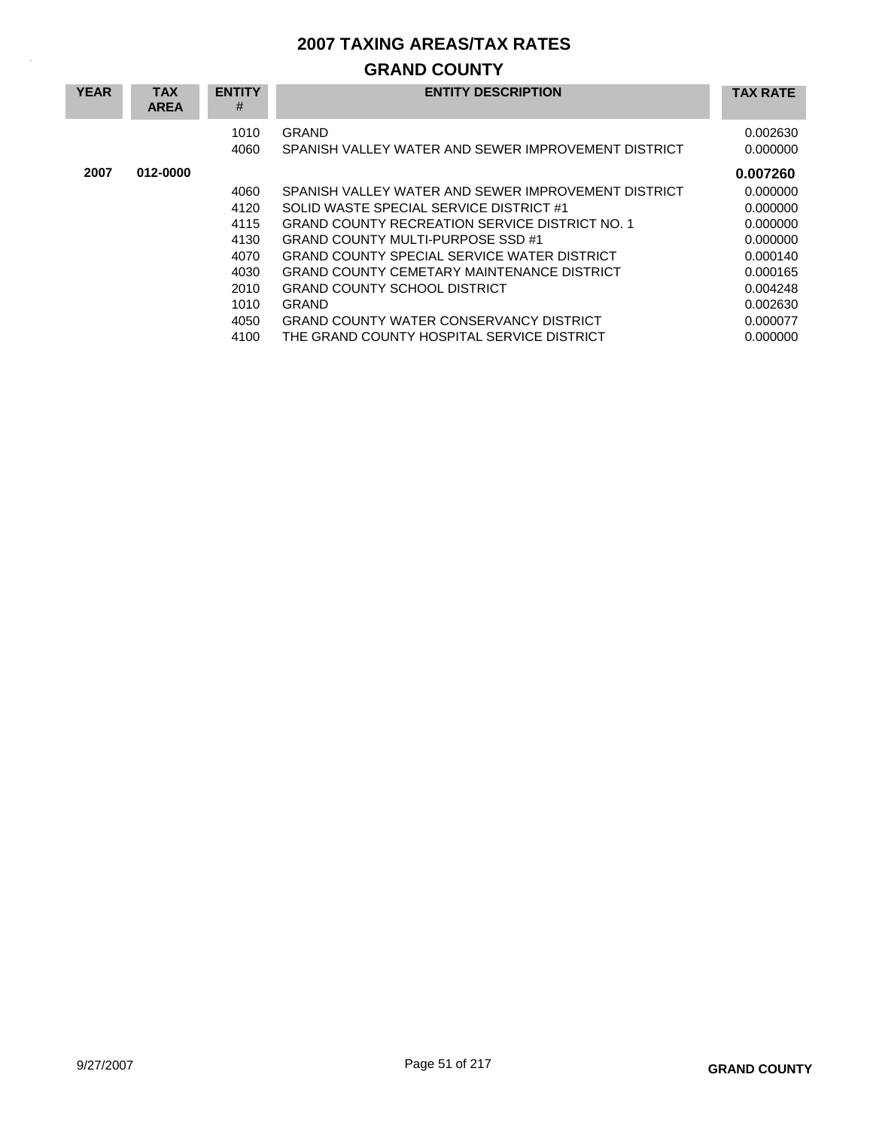## **GRAND COUNTY**

| <b>YEAR</b> | <b>TAX</b><br><b>AREA</b> | <b>ENTITY</b><br># | <b>ENTITY DESCRIPTION</b>                                    | <b>TAX RATE</b>      |
|-------------|---------------------------|--------------------|--------------------------------------------------------------|----------------------|
|             |                           | 1010<br>4060       | GRAND<br>SPANISH VALLEY WATER AND SEWER IMPROVEMENT DISTRICT | 0.002630<br>0.000000 |
| 2007        | 012-0000                  |                    |                                                              | 0.007260             |
|             |                           | 4060               | SPANISH VALLEY WATER AND SEWER IMPROVEMENT DISTRICT          | 0.000000             |
|             |                           | 4120               | SOLID WASTE SPECIAL SERVICE DISTRICT #1                      | 0.000000             |
|             |                           | 4115               | <b>GRAND COUNTY RECREATION SERVICE DISTRICT NO. 1</b>        | 0.000000             |
|             |                           | 4130               | GRAND COUNTY MULTI-PURPOSE SSD #1                            | 0.000000             |
|             |                           | 4070               | <b>GRAND COUNTY SPECIAL SERVICE WATER DISTRICT</b>           | 0.000140             |
|             |                           | 4030               | <b>GRAND COUNTY CEMETARY MAINTENANCE DISTRICT</b>            | 0.000165             |
|             |                           | 2010               | <b>GRAND COUNTY SCHOOL DISTRICT</b>                          | 0.004248             |
|             |                           | 1010               | GRAND                                                        | 0.002630             |
|             |                           | 4050               | <b>GRAND COUNTY WATER CONSERVANCY DISTRICT</b>               | 0.000077             |
|             |                           | 4100               | THE GRAND COUNTY HOSPITAL SERVICE DISTRICT                   | 0.000000             |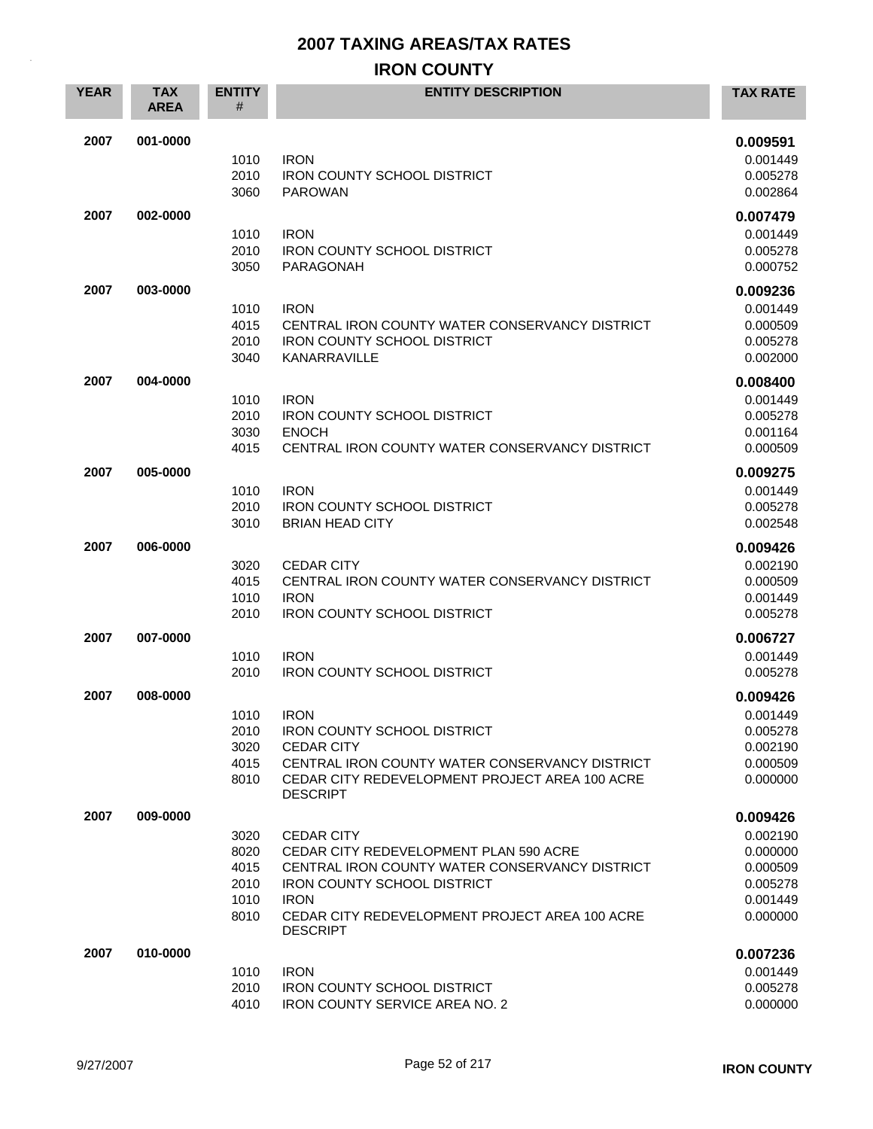## **IRON COUNTY**

| <b>YEAR</b> | <b>TAX</b><br><b>AREA</b> | <b>ENTITY</b><br># | <b>ENTITY DESCRIPTION</b>                                         | <b>TAX RATE</b>      |
|-------------|---------------------------|--------------------|-------------------------------------------------------------------|----------------------|
| 2007        | 001-0000                  |                    |                                                                   | 0.009591             |
|             |                           | 1010               | <b>IRON</b>                                                       | 0.001449             |
|             |                           | 2010               | <b>IRON COUNTY SCHOOL DISTRICT</b>                                | 0.005278             |
|             |                           | 3060               | <b>PAROWAN</b>                                                    | 0.002864             |
| 2007        | 002-0000                  |                    |                                                                   | 0.007479             |
|             |                           | 1010               | <b>IRON</b>                                                       | 0.001449             |
|             |                           | 2010<br>3050       | <b>IRON COUNTY SCHOOL DISTRICT</b><br>PARAGONAH                   | 0.005278<br>0.000752 |
|             |                           |                    |                                                                   |                      |
| 2007        | 003-0000                  |                    |                                                                   | 0.009236             |
|             |                           | 1010<br>4015       | <b>IRON</b><br>CENTRAL IRON COUNTY WATER CONSERVANCY DISTRICT     | 0.001449<br>0.000509 |
|             |                           | 2010               | <b>IRON COUNTY SCHOOL DISTRICT</b>                                | 0.005278             |
|             |                           | 3040               | KANARRAVILLE                                                      | 0.002000             |
| 2007        | 004-0000                  |                    |                                                                   | 0.008400             |
|             |                           | 1010               | <b>IRON</b>                                                       | 0.001449             |
|             |                           | 2010               | <b>IRON COUNTY SCHOOL DISTRICT</b>                                | 0.005278             |
|             |                           | 3030               | <b>ENOCH</b><br>CENTRAL IRON COUNTY WATER CONSERVANCY DISTRICT    | 0.001164             |
|             |                           | 4015               |                                                                   | 0.000509             |
| 2007        | 005-0000                  |                    |                                                                   | 0.009275             |
|             |                           | 1010<br>2010       | <b>IRON</b><br>IRON COUNTY SCHOOL DISTRICT                        | 0.001449<br>0.005278 |
|             |                           | 3010               | <b>BRIAN HEAD CITY</b>                                            | 0.002548             |
| 2007        | 006-0000                  |                    |                                                                   | 0.009426             |
|             |                           | 3020               | <b>CEDAR CITY</b>                                                 | 0.002190             |
|             |                           | 4015               | CENTRAL IRON COUNTY WATER CONSERVANCY DISTRICT                    | 0.000509             |
|             |                           | 1010               | <b>IRON</b>                                                       | 0.001449             |
|             |                           | 2010               | <b>IRON COUNTY SCHOOL DISTRICT</b>                                | 0.005278             |
| 2007        | 007-0000                  |                    |                                                                   | 0.006727             |
|             |                           | 1010               | <b>IRON</b>                                                       | 0.001449             |
|             |                           | 2010               | <b>IRON COUNTY SCHOOL DISTRICT</b>                                | 0.005278             |
| 2007        | 008-0000                  |                    |                                                                   | 0.009426             |
|             |                           | 1010               | <b>IRON</b>                                                       | 0.001449             |
|             |                           | 2010<br>3020       | <b>IRON COUNTY SCHOOL DISTRICT</b><br><b>CEDAR CITY</b>           | 0.005278<br>0.002190 |
|             |                           | 4015               | CENTRAL IRON COUNTY WATER CONSERVANCY DISTRICT                    | 0.000509             |
|             |                           | 8010               | CEDAR CITY REDEVELOPMENT PROJECT AREA 100 ACRE<br><b>DESCRIPT</b> | 0.000000             |
| 2007        | 009-0000                  |                    |                                                                   | 0.009426             |
|             |                           | 3020               | <b>CEDAR CITY</b>                                                 | 0.002190             |
|             |                           | 8020               | CEDAR CITY REDEVELOPMENT PLAN 590 ACRE                            | 0.000000             |
|             |                           | 4015               | CENTRAL IRON COUNTY WATER CONSERVANCY DISTRICT                    | 0.000509             |
|             |                           | 2010<br>1010       | <b>IRON COUNTY SCHOOL DISTRICT</b><br><b>IRON</b>                 | 0.005278<br>0.001449 |
|             |                           | 8010               | CEDAR CITY REDEVELOPMENT PROJECT AREA 100 ACRE                    | 0.000000             |
|             |                           |                    | <b>DESCRIPT</b>                                                   |                      |
| 2007        | 010-0000                  |                    |                                                                   | 0.007236             |
|             |                           | 1010               | <b>IRON</b>                                                       | 0.001449             |
|             |                           | 2010               | <b>IRON COUNTY SCHOOL DISTRICT</b>                                | 0.005278             |
|             |                           | 4010               | <b>IRON COUNTY SERVICE AREA NO. 2</b>                             | 0.000000             |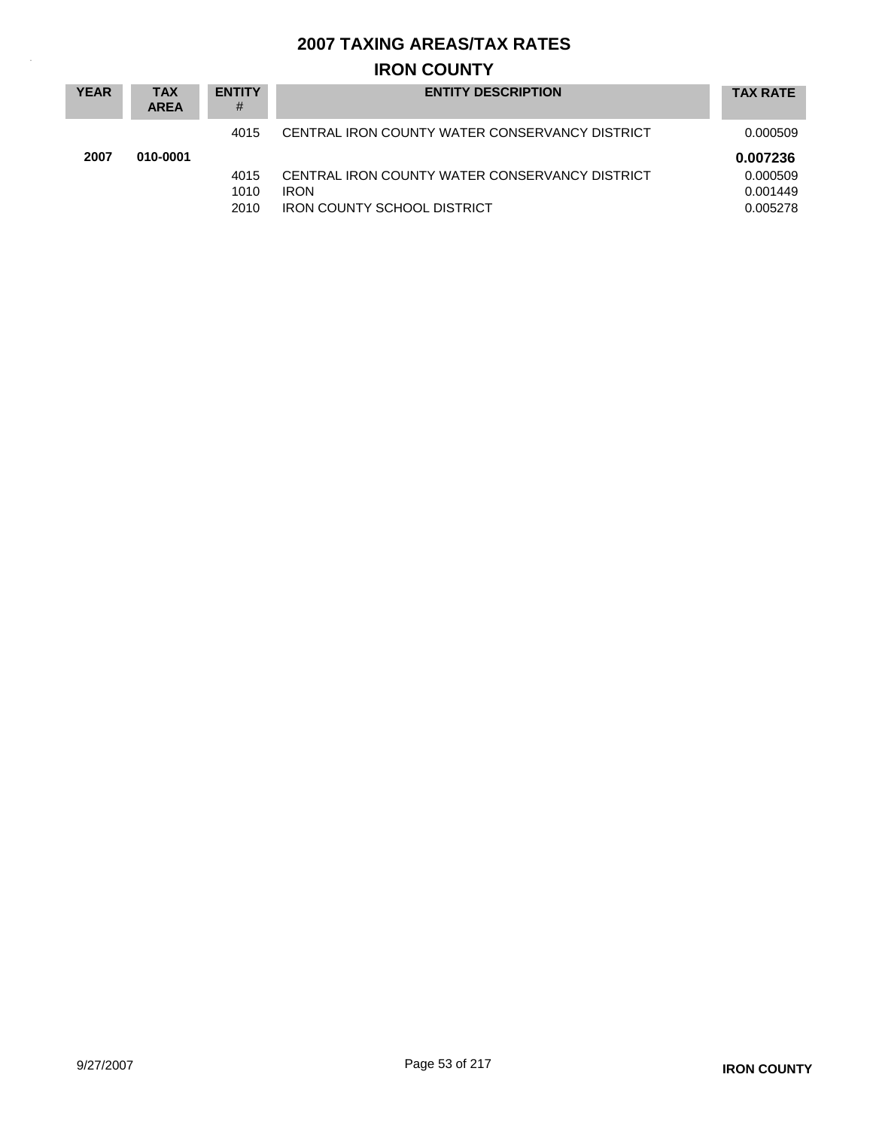## **IRON COUNTY**

| <b>YEAR</b> | TAX<br><b>AREA</b> | <b>ENTITY</b><br># | <b>ENTITY DESCRIPTION</b>                      | <b>TAX RATE</b> |
|-------------|--------------------|--------------------|------------------------------------------------|-----------------|
|             |                    | 4015               | CENTRAL IRON COUNTY WATER CONSERVANCY DISTRICT | 0.000509        |
| 2007        | 010-0001           |                    |                                                | 0.007236        |
|             |                    | 4015               | CENTRAL IRON COUNTY WATER CONSERVANCY DISTRICT | 0.000509        |
|             |                    | 1010               | <b>IRON</b>                                    | 0.001449        |
|             |                    | 2010               | <b>IRON COUNTY SCHOOL DISTRICT</b>             | 0.005278        |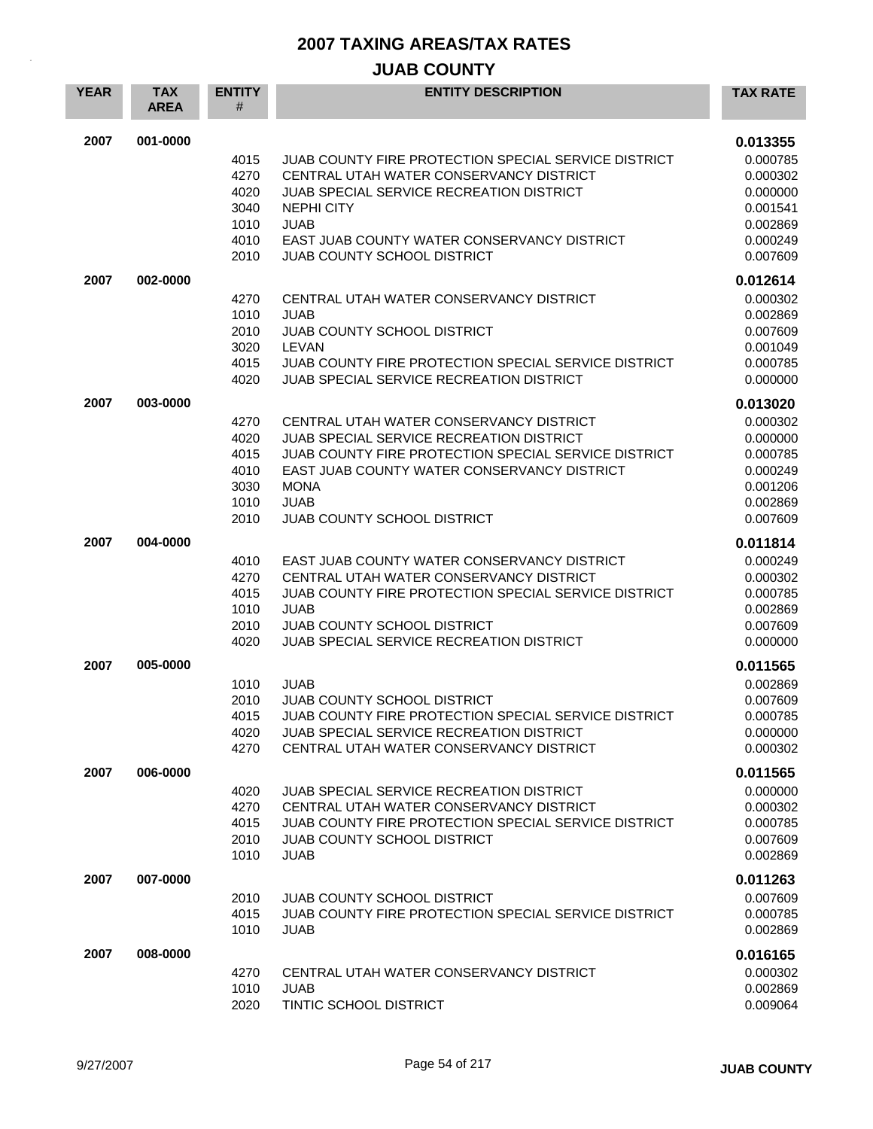## **JUAB COUNTY**

| <b>YEAR</b> | <b>TAX</b><br><b>AREA</b> | <b>ENTITY</b><br>#                                   | <b>ENTITY DESCRIPTION</b>                                                                                                                                                                                                                                            | <b>TAX RATE</b>                                                                              |
|-------------|---------------------------|------------------------------------------------------|----------------------------------------------------------------------------------------------------------------------------------------------------------------------------------------------------------------------------------------------------------------------|----------------------------------------------------------------------------------------------|
| 2007        | 001-0000                  | 4015<br>4270<br>4020<br>3040<br>1010<br>4010<br>2010 | JUAB COUNTY FIRE PROTECTION SPECIAL SERVICE DISTRICT<br>CENTRAL UTAH WATER CONSERVANCY DISTRICT<br>JUAB SPECIAL SERVICE RECREATION DISTRICT<br><b>NEPHI CITY</b><br><b>JUAB</b><br>EAST JUAB COUNTY WATER CONSERVANCY DISTRICT<br><b>JUAB COUNTY SCHOOL DISTRICT</b> | 0.013355<br>0.000785<br>0.000302<br>0.000000<br>0.001541<br>0.002869<br>0.000249<br>0.007609 |
| 2007        | 002-0000                  | 4270<br>1010<br>2010<br>3020<br>4015<br>4020         | CENTRAL UTAH WATER CONSERVANCY DISTRICT<br><b>JUAB</b><br>JUAB COUNTY SCHOOL DISTRICT<br>LEVAN<br>JUAB COUNTY FIRE PROTECTION SPECIAL SERVICE DISTRICT<br><b>JUAB SPECIAL SERVICE RECREATION DISTRICT</b>                                                            | 0.012614<br>0.000302<br>0.002869<br>0.007609<br>0.001049<br>0.000785<br>0.000000             |
| 2007        | 003-0000                  | 4270<br>4020<br>4015<br>4010<br>3030<br>1010<br>2010 | CENTRAL UTAH WATER CONSERVANCY DISTRICT<br>JUAB SPECIAL SERVICE RECREATION DISTRICT<br>JUAB COUNTY FIRE PROTECTION SPECIAL SERVICE DISTRICT<br>EAST JUAB COUNTY WATER CONSERVANCY DISTRICT<br><b>MONA</b><br><b>JUAB</b><br>JUAB COUNTY SCHOOL DISTRICT              | 0.013020<br>0.000302<br>0.000000<br>0.000785<br>0.000249<br>0.001206<br>0.002869<br>0.007609 |
| 2007        | 004-0000                  | 4010<br>4270<br>4015<br>1010<br>2010<br>4020         | EAST JUAB COUNTY WATER CONSERVANCY DISTRICT<br>CENTRAL UTAH WATER CONSERVANCY DISTRICT<br>JUAB COUNTY FIRE PROTECTION SPECIAL SERVICE DISTRICT<br><b>JUAB</b><br>JUAB COUNTY SCHOOL DISTRICT<br><b>JUAB SPECIAL SERVICE RECREATION DISTRICT</b>                      | 0.011814<br>0.000249<br>0.000302<br>0.000785<br>0.002869<br>0.007609<br>0.000000             |
| 2007        | 005-0000                  | 1010<br>2010<br>4015<br>4020<br>4270                 | <b>JUAB</b><br>JUAB COUNTY SCHOOL DISTRICT<br>JUAB COUNTY FIRE PROTECTION SPECIAL SERVICE DISTRICT<br>JUAB SPECIAL SERVICE RECREATION DISTRICT<br>CENTRAL UTAH WATER CONSERVANCY DISTRICT                                                                            | 0.011565<br>0.002869<br>0.007609<br>0.000785<br>0.000000<br>0.000302                         |
| 2007        | 006-0000                  | 4020<br>4270<br>4015<br>2010<br>1010                 | JUAB SPECIAL SERVICE RECREATION DISTRICT<br>CENTRAL UTAH WATER CONSERVANCY DISTRICT<br>JUAB COUNTY FIRE PROTECTION SPECIAL SERVICE DISTRICT<br>JUAB COUNTY SCHOOL DISTRICT<br><b>JUAB</b>                                                                            | 0.011565<br>0.000000<br>0.000302<br>0.000785<br>0.007609<br>0.002869                         |
| 2007        | 007-0000                  | 2010<br>4015<br>1010                                 | <b>JUAB COUNTY SCHOOL DISTRICT</b><br>JUAB COUNTY FIRE PROTECTION SPECIAL SERVICE DISTRICT<br><b>JUAB</b>                                                                                                                                                            | 0.011263<br>0.007609<br>0.000785<br>0.002869                                                 |
| 2007        | 008-0000                  | 4270<br>1010<br>2020                                 | CENTRAL UTAH WATER CONSERVANCY DISTRICT<br><b>JUAB</b><br>TINTIC SCHOOL DISTRICT                                                                                                                                                                                     | 0.016165<br>0.000302<br>0.002869<br>0.009064                                                 |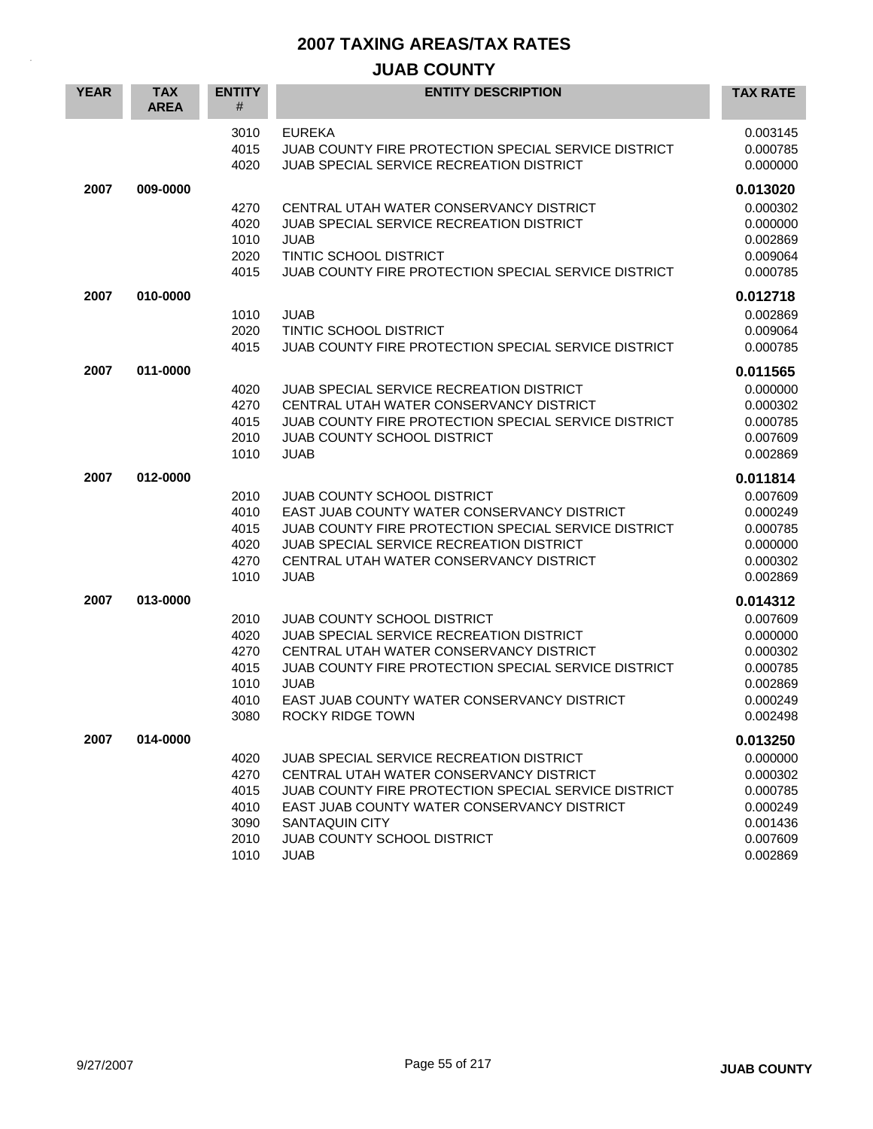## **JUAB COUNTY**

| <b>YEAR</b> | <b>TAX</b><br><b>AREA</b> | <b>ENTITY</b><br>#                                   | <b>ENTITY DESCRIPTION</b>                                                                                                                                                                                                                                                | <b>TAX RATE</b>                                                                              |
|-------------|---------------------------|------------------------------------------------------|--------------------------------------------------------------------------------------------------------------------------------------------------------------------------------------------------------------------------------------------------------------------------|----------------------------------------------------------------------------------------------|
|             |                           | 3010<br>4015<br>4020                                 | <b>EUREKA</b><br>JUAB COUNTY FIRE PROTECTION SPECIAL SERVICE DISTRICT<br><b>JUAB SPECIAL SERVICE RECREATION DISTRICT</b>                                                                                                                                                 | 0.003145<br>0.000785<br>0.000000                                                             |
| 2007        | 009-0000                  | 4270<br>4020<br>1010<br>2020<br>4015                 | CENTRAL UTAH WATER CONSERVANCY DISTRICT<br><b>JUAB SPECIAL SERVICE RECREATION DISTRICT</b><br><b>JUAB</b><br>TINTIC SCHOOL DISTRICT<br>JUAB COUNTY FIRE PROTECTION SPECIAL SERVICE DISTRICT                                                                              | 0.013020<br>0.000302<br>0.000000<br>0.002869<br>0.009064<br>0.000785                         |
| 2007        | 010-0000                  | 1010<br>2020<br>4015                                 | <b>JUAB</b><br>TINTIC SCHOOL DISTRICT<br>JUAB COUNTY FIRE PROTECTION SPECIAL SERVICE DISTRICT                                                                                                                                                                            | 0.012718<br>0.002869<br>0.009064<br>0.000785                                                 |
| 2007        | 011-0000                  | 4020<br>4270<br>4015<br>2010<br>1010                 | <b>JUAB SPECIAL SERVICE RECREATION DISTRICT</b><br>CENTRAL UTAH WATER CONSERVANCY DISTRICT<br>JUAB COUNTY FIRE PROTECTION SPECIAL SERVICE DISTRICT<br><b>JUAB COUNTY SCHOOL DISTRICT</b><br><b>JUAB</b>                                                                  | 0.011565<br>0.000000<br>0.000302<br>0.000785<br>0.007609<br>0.002869                         |
| 2007        | 012-0000                  | 2010<br>4010<br>4015<br>4020<br>4270<br>1010         | JUAB COUNTY SCHOOL DISTRICT<br>EAST JUAB COUNTY WATER CONSERVANCY DISTRICT<br>JUAB COUNTY FIRE PROTECTION SPECIAL SERVICE DISTRICT<br>JUAB SPECIAL SERVICE RECREATION DISTRICT<br>CENTRAL UTAH WATER CONSERVANCY DISTRICT<br><b>JUAB</b>                                 | 0.011814<br>0.007609<br>0.000249<br>0.000785<br>0.000000<br>0.000302<br>0.002869             |
| 2007        | 013-0000                  | 2010<br>4020<br>4270<br>4015<br>1010<br>4010<br>3080 | <b>JUAB COUNTY SCHOOL DISTRICT</b><br>JUAB SPECIAL SERVICE RECREATION DISTRICT<br>CENTRAL UTAH WATER CONSERVANCY DISTRICT<br>JUAB COUNTY FIRE PROTECTION SPECIAL SERVICE DISTRICT<br><b>JUAB</b><br>EAST JUAB COUNTY WATER CONSERVANCY DISTRICT<br>ROCKY RIDGE TOWN      | 0.014312<br>0.007609<br>0.000000<br>0.000302<br>0.000785<br>0.002869<br>0.000249<br>0.002498 |
| 2007        | 014-0000                  | 4020<br>4270<br>4015<br>4010<br>3090<br>2010<br>1010 | JUAB SPECIAL SERVICE RECREATION DISTRICT<br>CENTRAL UTAH WATER CONSERVANCY DISTRICT<br>JUAB COUNTY FIRE PROTECTION SPECIAL SERVICE DISTRICT<br>EAST JUAB COUNTY WATER CONSERVANCY DISTRICT<br><b>SANTAQUIN CITY</b><br><b>JUAB COUNTY SCHOOL DISTRICT</b><br><b>JUAB</b> | 0.013250<br>0.000000<br>0.000302<br>0.000785<br>0.000249<br>0.001436<br>0.007609<br>0.002869 |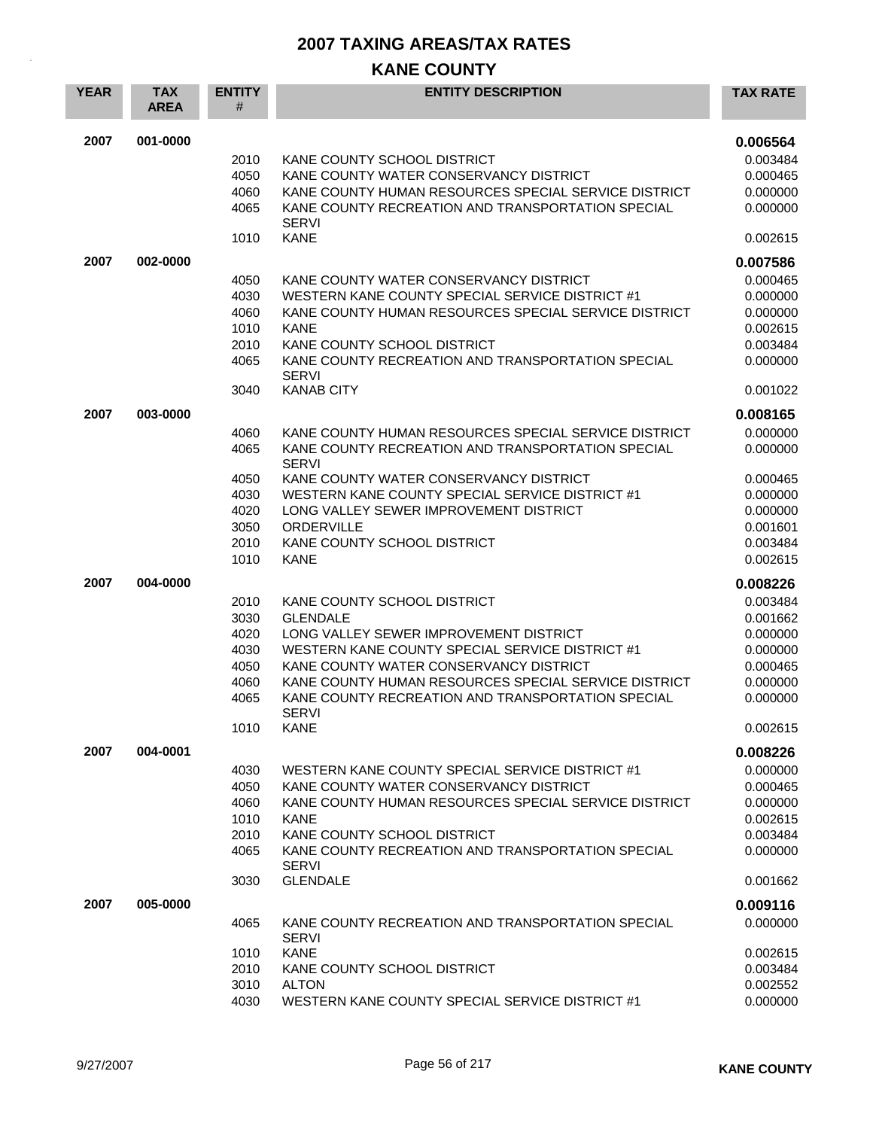## **KANE COUNTY**

| <b>YEAR</b> | <b>TAX</b><br><b>AREA</b> | <b>ENTITY</b><br># | <b>ENTITY DESCRIPTION</b>                                         | <b>TAX RATE</b> |
|-------------|---------------------------|--------------------|-------------------------------------------------------------------|-----------------|
| 2007        | 001-0000                  |                    |                                                                   | 0.006564        |
|             |                           | 2010               | KANE COUNTY SCHOOL DISTRICT                                       | 0.003484        |
|             |                           | 4050               | KANE COUNTY WATER CONSERVANCY DISTRICT                            | 0.000465        |
|             |                           | 4060               | KANE COUNTY HUMAN RESOURCES SPECIAL SERVICE DISTRICT              | 0.000000        |
|             |                           | 4065               | KANE COUNTY RECREATION AND TRANSPORTATION SPECIAL<br><b>SERVI</b> | 0.000000        |
|             |                           | 1010               | <b>KANE</b>                                                       | 0.002615        |
| 2007        | 002-0000                  |                    |                                                                   | 0.007586        |
|             |                           | 4050               | KANE COUNTY WATER CONSERVANCY DISTRICT                            | 0.000465        |
|             |                           | 4030               | WESTERN KANE COUNTY SPECIAL SERVICE DISTRICT #1                   | 0.000000        |
|             |                           | 4060               | KANE COUNTY HUMAN RESOURCES SPECIAL SERVICE DISTRICT              | 0.000000        |
|             |                           | 1010               | <b>KANE</b>                                                       | 0.002615        |
|             |                           | 2010               | KANE COUNTY SCHOOL DISTRICT                                       | 0.003484        |
|             |                           | 4065               | KANE COUNTY RECREATION AND TRANSPORTATION SPECIAL<br><b>SERVI</b> | 0.000000        |
|             |                           | 3040               | <b>KANAB CITY</b>                                                 | 0.001022        |
| 2007        | 003-0000                  |                    |                                                                   | 0.008165        |
|             |                           | 4060               | KANE COUNTY HUMAN RESOURCES SPECIAL SERVICE DISTRICT              | 0.000000        |
|             |                           | 4065               | KANE COUNTY RECREATION AND TRANSPORTATION SPECIAL<br><b>SERVI</b> | 0.000000        |
|             |                           | 4050               | KANE COUNTY WATER CONSERVANCY DISTRICT                            | 0.000465        |
|             |                           | 4030               | WESTERN KANE COUNTY SPECIAL SERVICE DISTRICT #1                   | 0.000000        |
|             |                           | 4020               | LONG VALLEY SEWER IMPROVEMENT DISTRICT                            | 0.000000        |
|             |                           | 3050               | ORDERVILLE                                                        | 0.001601        |
|             |                           | 2010               | KANE COUNTY SCHOOL DISTRICT                                       | 0.003484        |
|             |                           | 1010               | <b>KANE</b>                                                       | 0.002615        |
| 2007        | 004-0000                  |                    |                                                                   | 0.008226        |
|             |                           | 2010               | KANE COUNTY SCHOOL DISTRICT                                       | 0.003484        |
|             |                           | 3030               | <b>GLENDALE</b>                                                   | 0.001662        |
|             |                           | 4020               | LONG VALLEY SEWER IMPROVEMENT DISTRICT                            | 0.000000        |
|             |                           | 4030               | WESTERN KANE COUNTY SPECIAL SERVICE DISTRICT #1                   | 0.000000        |
|             |                           | 4050               | KANE COUNTY WATER CONSERVANCY DISTRICT                            | 0.000465        |
|             |                           | 4060               | KANE COUNTY HUMAN RESOURCES SPECIAL SERVICE DISTRICT              | 0.000000        |
|             |                           | 4065               | KANE COUNTY RECREATION AND TRANSPORTATION SPECIAL<br><b>SERVI</b> | 0.000000        |
|             |                           | 1010               | <b>KANE</b>                                                       | 0.002615        |
| 2007        | 004-0001                  |                    |                                                                   | 0.008226        |
|             |                           | 4030               | WESTERN KANE COUNTY SPECIAL SERVICE DISTRICT #1                   | 0.000000        |
|             |                           | 4050               | KANE COUNTY WATER CONSERVANCY DISTRICT                            | 0.000465        |
|             |                           | 4060               | KANE COUNTY HUMAN RESOURCES SPECIAL SERVICE DISTRICT              | 0.000000        |
|             |                           | 1010               | <b>KANE</b>                                                       | 0.002615        |
|             |                           | 2010               | KANE COUNTY SCHOOL DISTRICT                                       | 0.003484        |
|             |                           | 4065               | KANE COUNTY RECREATION AND TRANSPORTATION SPECIAL<br><b>SERVI</b> | 0.000000        |
|             |                           | 3030               | <b>GLENDALE</b>                                                   | 0.001662        |
| 2007        | 005-0000                  |                    |                                                                   | 0.009116        |
|             |                           | 4065               | KANE COUNTY RECREATION AND TRANSPORTATION SPECIAL<br><b>SERVI</b> | 0.000000        |
|             |                           | 1010               | <b>KANE</b>                                                       | 0.002615        |
|             |                           | 2010               | KANE COUNTY SCHOOL DISTRICT                                       | 0.003484        |
|             |                           | 3010               | <b>ALTON</b>                                                      | 0.002552        |
|             |                           | 4030               | WESTERN KANE COUNTY SPECIAL SERVICE DISTRICT #1                   | 0.000000        |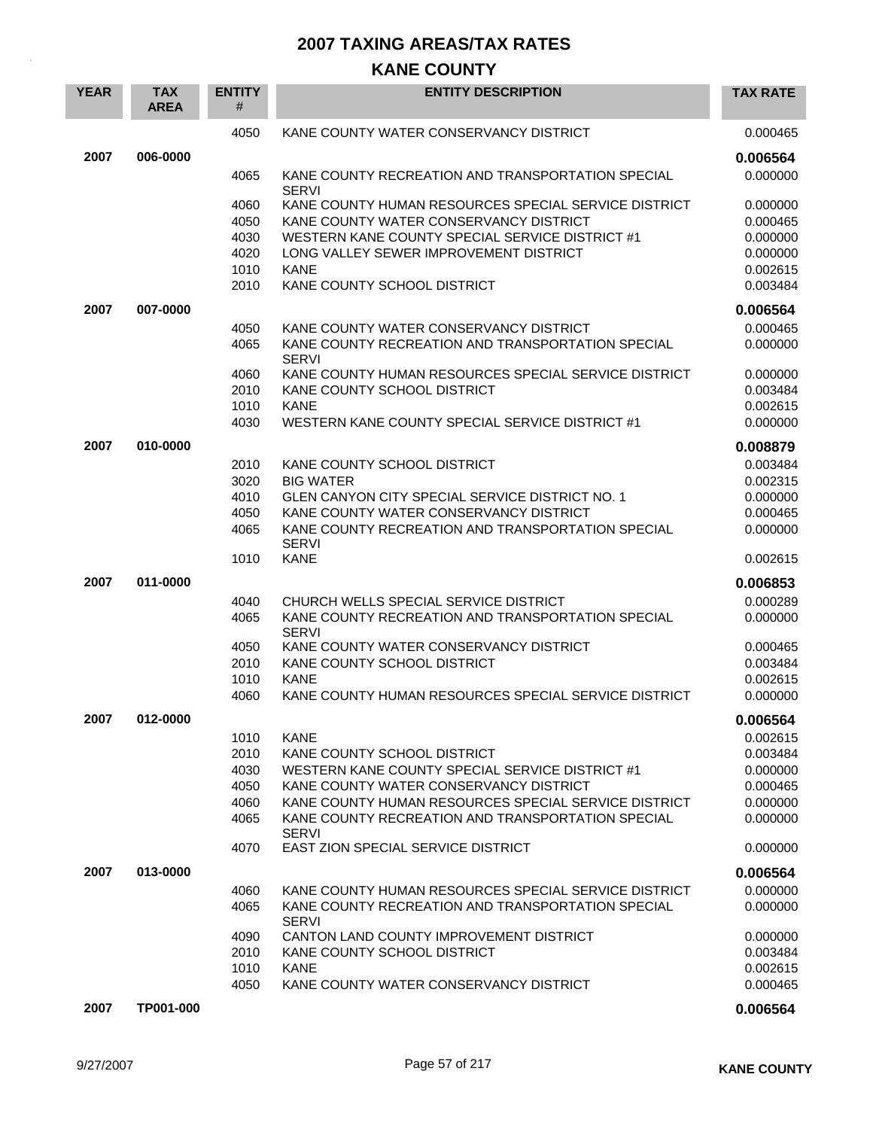## **KANE COUNTY**

| <b>YEAR</b> | <b>TAX</b><br><b>AREA</b> | <b>ENTITY</b><br># | <b>ENTITY DESCRIPTION</b>                                         | <b>TAX RATE</b> |
|-------------|---------------------------|--------------------|-------------------------------------------------------------------|-----------------|
|             |                           | 4050               | KANE COUNTY WATER CONSERVANCY DISTRICT                            | 0.000465        |
| 2007        | 006-0000                  |                    |                                                                   | 0.006564        |
|             |                           | 4065               | KANE COUNTY RECREATION AND TRANSPORTATION SPECIAL<br><b>SERVI</b> | 0.000000        |
|             |                           | 4060               | KANE COUNTY HUMAN RESOURCES SPECIAL SERVICE DISTRICT              | 0.000000        |
|             |                           | 4050               | KANE COUNTY WATER CONSERVANCY DISTRICT                            | 0.000465        |
|             |                           | 4030               | WESTERN KANE COUNTY SPECIAL SERVICE DISTRICT #1                   | 0.000000        |
|             |                           | 4020               | LONG VALLEY SEWER IMPROVEMENT DISTRICT                            | 0.000000        |
|             |                           | 1010               | <b>KANE</b>                                                       | 0.002615        |
|             |                           | 2010               | KANE COUNTY SCHOOL DISTRICT                                       | 0.003484        |
| 2007        | 007-0000                  |                    |                                                                   | 0.006564        |
|             |                           | 4050               | KANE COUNTY WATER CONSERVANCY DISTRICT                            | 0.000465        |
|             |                           | 4065               | KANE COUNTY RECREATION AND TRANSPORTATION SPECIAL<br><b>SERVI</b> | 0.000000        |
|             |                           | 4060               | KANE COUNTY HUMAN RESOURCES SPECIAL SERVICE DISTRICT              | 0.000000        |
|             |                           | 2010               | KANE COUNTY SCHOOL DISTRICT                                       | 0.003484        |
|             |                           | 1010               | <b>KANE</b>                                                       | 0.002615        |
|             |                           | 4030               | WESTERN KANE COUNTY SPECIAL SERVICE DISTRICT #1                   | 0.000000        |
| 2007        | 010-0000                  |                    |                                                                   | 0.008879        |
|             |                           | 2010               | KANE COUNTY SCHOOL DISTRICT                                       | 0.003484        |
|             |                           | 3020               | <b>BIG WATER</b>                                                  | 0.002315        |
|             |                           | 4010               | <b>GLEN CANYON CITY SPECIAL SERVICE DISTRICT NO. 1</b>            | 0.000000        |
|             |                           | 4050               | KANE COUNTY WATER CONSERVANCY DISTRICT                            | 0.000465        |
|             |                           | 4065               | KANE COUNTY RECREATION AND TRANSPORTATION SPECIAL<br><b>SERVI</b> | 0.000000        |
|             |                           | 1010               | <b>KANE</b>                                                       | 0.002615        |
| 2007        | 011-0000                  |                    |                                                                   | 0.006853        |
|             |                           | 4040               | CHURCH WELLS SPECIAL SERVICE DISTRICT                             | 0.000289        |
|             |                           | 4065               | KANE COUNTY RECREATION AND TRANSPORTATION SPECIAL<br><b>SERVI</b> | 0.000000        |
|             |                           | 4050               | KANE COUNTY WATER CONSERVANCY DISTRICT                            | 0.000465        |
|             |                           | 2010               | KANE COUNTY SCHOOL DISTRICT                                       | 0.003484        |
|             |                           | 1010               | <b>KANE</b>                                                       | 0.002615        |
|             |                           | 4060               | KANE COUNTY HUMAN RESOURCES SPECIAL SERVICE DISTRICT              | 0.000000        |
| 2007        | 012-0000                  |                    |                                                                   | 0.006564        |
|             |                           | 1010               | <b>KANE</b>                                                       | 0.002615        |
|             |                           | 2010               | KANE COUNTY SCHOOL DISTRICT                                       | 0.003484        |
|             |                           | 4030               | WESTERN KANE COUNTY SPECIAL SERVICE DISTRICT #1                   | 0.000000        |
|             |                           | 4050               | KANE COUNTY WATER CONSERVANCY DISTRICT                            | 0.000465        |
|             |                           | 4060               | KANE COUNTY HUMAN RESOURCES SPECIAL SERVICE DISTRICT              | 0.000000        |
|             |                           | 4065               | KANE COUNTY RECREATION AND TRANSPORTATION SPECIAL<br><b>SERVI</b> | 0.000000        |
|             |                           | 4070               | EAST ZION SPECIAL SERVICE DISTRICT                                | 0.000000        |
| 2007        | 013-0000                  |                    |                                                                   | 0.006564        |
|             |                           | 4060               | KANE COUNTY HUMAN RESOURCES SPECIAL SERVICE DISTRICT              | 0.000000        |
|             |                           | 4065               | KANE COUNTY RECREATION AND TRANSPORTATION SPECIAL<br><b>SERVI</b> | 0.000000        |
|             |                           | 4090               | CANTON LAND COUNTY IMPROVEMENT DISTRICT                           | 0.000000        |
|             |                           | 2010               | KANE COUNTY SCHOOL DISTRICT                                       | 0.003484        |
|             |                           | 1010               | <b>KANE</b>                                                       | 0.002615        |
|             |                           | 4050               | KANE COUNTY WATER CONSERVANCY DISTRICT                            | 0.000465        |
| 2007        | TP001-000                 |                    |                                                                   | 0.006564        |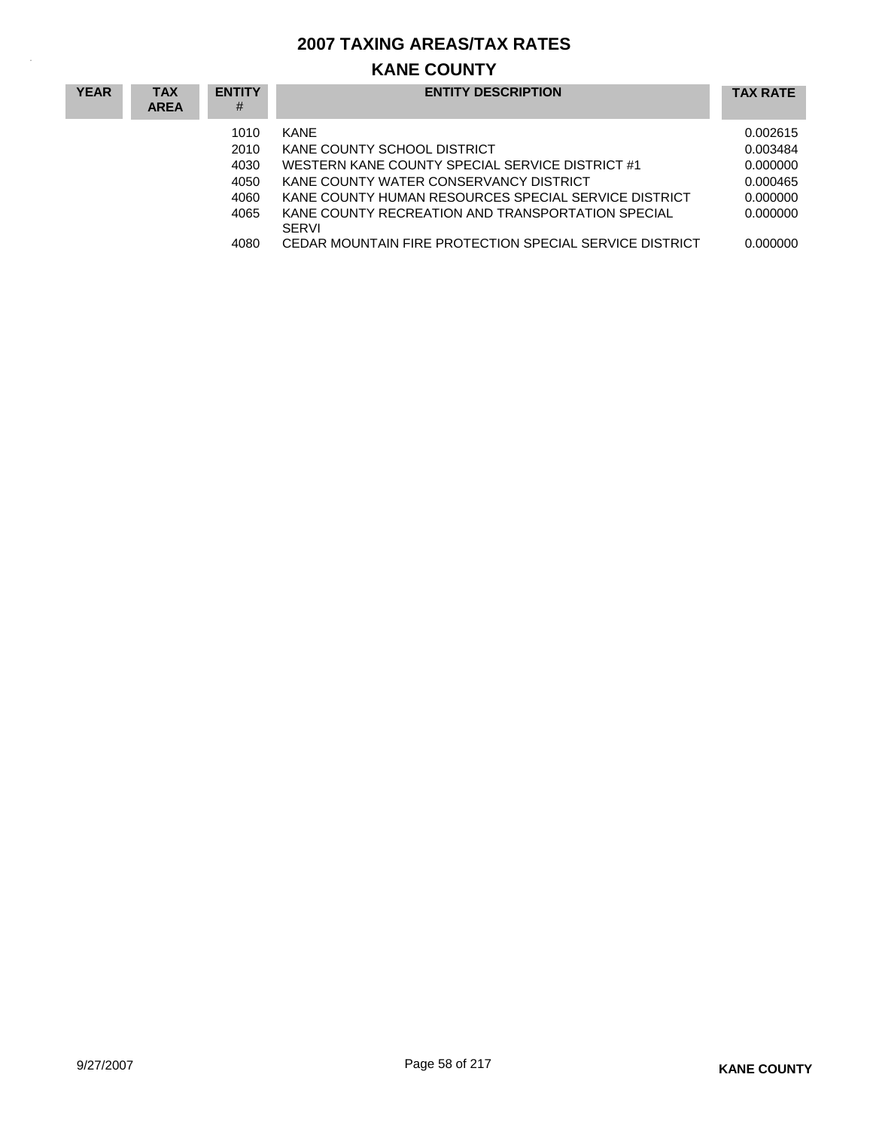# **KANE COUNTY**

| <b>YEAR</b> | <b>TAX</b><br><b>AREA</b> | <b>ENTITY</b><br># | <b>ENTITY DESCRIPTION</b>                                         | <b>TAX RATE</b> |
|-------------|---------------------------|--------------------|-------------------------------------------------------------------|-----------------|
|             |                           | 1010               | KANF                                                              | 0.002615        |
|             |                           | 2010               | KANE COUNTY SCHOOL DISTRICT                                       | 0.003484        |
|             |                           | 4030               | WESTERN KANE COUNTY SPECIAL SERVICE DISTRICT #1                   | 0.000000        |
|             |                           | 4050               | KANE COUNTY WATER CONSERVANCY DISTRICT                            | 0.000465        |
|             |                           | 4060               | KANE COUNTY HUMAN RESOURCES SPECIAL SERVICE DISTRICT              | 0.000000        |
|             |                           | 4065               | KANE COUNTY RECREATION AND TRANSPORTATION SPECIAL<br><b>SERVI</b> | 0.000000        |
|             |                           | 4080               | CEDAR MOUNTAIN FIRE PROTECTION SPECIAL SERVICE DISTRICT           | 0.000000        |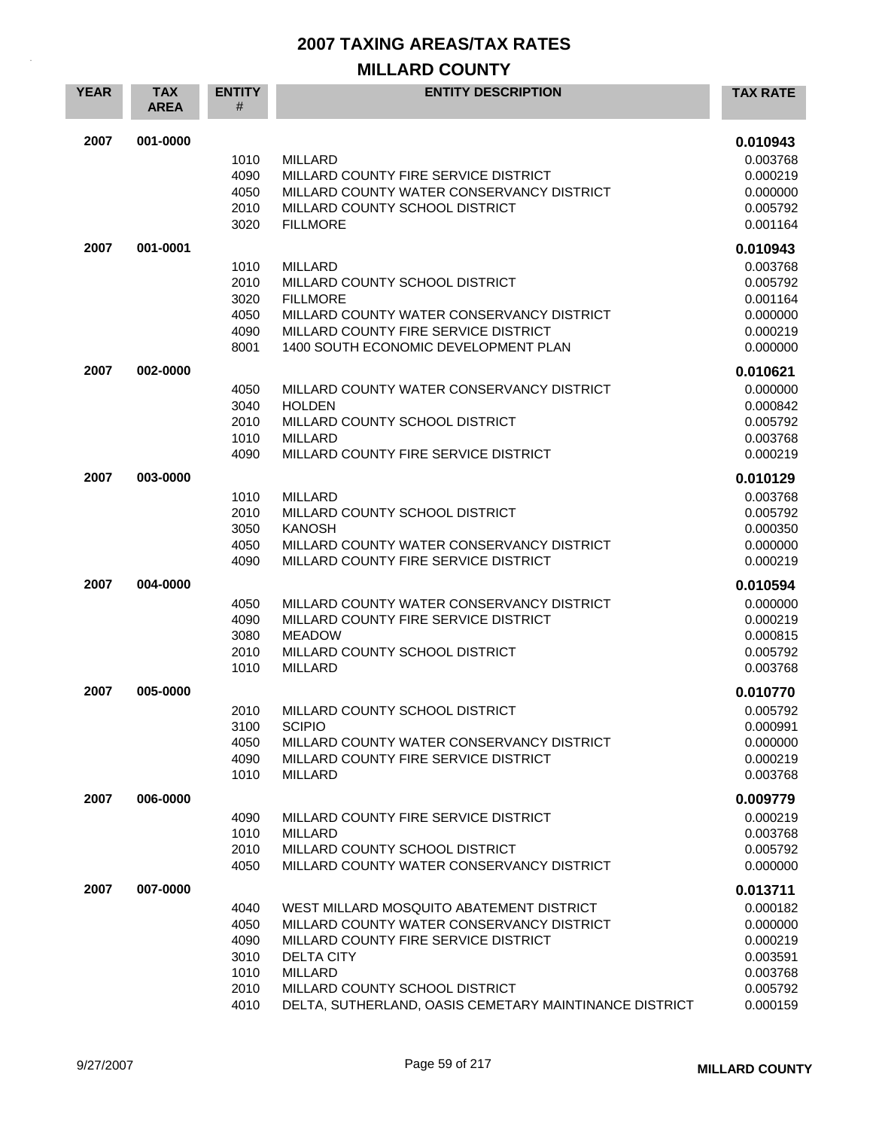## **MILLARD COUNTY**

| <b>YEAR</b> | <b>TAX</b><br><b>AREA</b> | <b>ENTITY</b><br>#                                   | <b>ENTITY DESCRIPTION</b>                                                                                                                                                                                                                                        | <b>TAX RATE</b>                                                                              |
|-------------|---------------------------|------------------------------------------------------|------------------------------------------------------------------------------------------------------------------------------------------------------------------------------------------------------------------------------------------------------------------|----------------------------------------------------------------------------------------------|
| 2007        | 001-0000                  | 1010<br>4090<br>4050<br>2010<br>3020                 | <b>MILLARD</b><br>MILLARD COUNTY FIRE SERVICE DISTRICT<br>MILLARD COUNTY WATER CONSERVANCY DISTRICT<br>MILLARD COUNTY SCHOOL DISTRICT<br><b>FILLMORE</b>                                                                                                         | 0.010943<br>0.003768<br>0.000219<br>0.000000<br>0.005792<br>0.001164                         |
| 2007        | 001-0001                  | 1010<br>2010<br>3020<br>4050<br>4090<br>8001         | MILLARD<br>MILLARD COUNTY SCHOOL DISTRICT<br><b>FILLMORE</b><br>MILLARD COUNTY WATER CONSERVANCY DISTRICT<br>MILLARD COUNTY FIRE SERVICE DISTRICT<br>1400 SOUTH ECONOMIC DEVELOPMENT PLAN                                                                        | 0.010943<br>0.003768<br>0.005792<br>0.001164<br>0.000000<br>0.000219<br>0.000000             |
| 2007        | 002-0000                  | 4050<br>3040<br>2010<br>1010<br>4090                 | MILLARD COUNTY WATER CONSERVANCY DISTRICT<br><b>HOLDEN</b><br>MILLARD COUNTY SCHOOL DISTRICT<br><b>MILLARD</b><br>MILLARD COUNTY FIRE SERVICE DISTRICT                                                                                                           | 0.010621<br>0.000000<br>0.000842<br>0.005792<br>0.003768<br>0.000219                         |
| 2007        | 003-0000                  | 1010<br>2010<br>3050<br>4050<br>4090                 | <b>MILLARD</b><br>MILLARD COUNTY SCHOOL DISTRICT<br><b>KANOSH</b><br>MILLARD COUNTY WATER CONSERVANCY DISTRICT<br>MILLARD COUNTY FIRE SERVICE DISTRICT                                                                                                           | 0.010129<br>0.003768<br>0.005792<br>0.000350<br>0.000000<br>0.000219                         |
| 2007        | 004-0000                  | 4050<br>4090<br>3080<br>2010<br>1010                 | MILLARD COUNTY WATER CONSERVANCY DISTRICT<br>MILLARD COUNTY FIRE SERVICE DISTRICT<br><b>MEADOW</b><br>MILLARD COUNTY SCHOOL DISTRICT<br><b>MILLARD</b>                                                                                                           | 0.010594<br>0.000000<br>0.000219<br>0.000815<br>0.005792<br>0.003768                         |
| 2007        | 005-0000                  | 2010<br>3100<br>4050<br>4090<br>1010                 | MILLARD COUNTY SCHOOL DISTRICT<br><b>SCIPIO</b><br>MILLARD COUNTY WATER CONSERVANCY DISTRICT<br>MILLARD COUNTY FIRE SERVICE DISTRICT<br>MILLARD                                                                                                                  | 0.010770<br>0.005792<br>0.000991<br>0.000000<br>0.000219<br>0.003768                         |
| 2007        | 006-0000                  | 4090<br>1010<br>2010<br>4050                         | MILLARD COUNTY FIRE SERVICE DISTRICT<br><b>MILLARD</b><br>MILLARD COUNTY SCHOOL DISTRICT<br>MILLARD COUNTY WATER CONSERVANCY DISTRICT                                                                                                                            | 0.009779<br>0.000219<br>0.003768<br>0.005792<br>0.000000                                     |
| 2007        | 007-0000                  | 4040<br>4050<br>4090<br>3010<br>1010<br>2010<br>4010 | WEST MILLARD MOSQUITO ABATEMENT DISTRICT<br>MILLARD COUNTY WATER CONSERVANCY DISTRICT<br>MILLARD COUNTY FIRE SERVICE DISTRICT<br><b>DELTA CITY</b><br><b>MILLARD</b><br>MILLARD COUNTY SCHOOL DISTRICT<br>DELTA, SUTHERLAND, OASIS CEMETARY MAINTINANCE DISTRICT | 0.013711<br>0.000182<br>0.000000<br>0.000219<br>0.003591<br>0.003768<br>0.005792<br>0.000159 |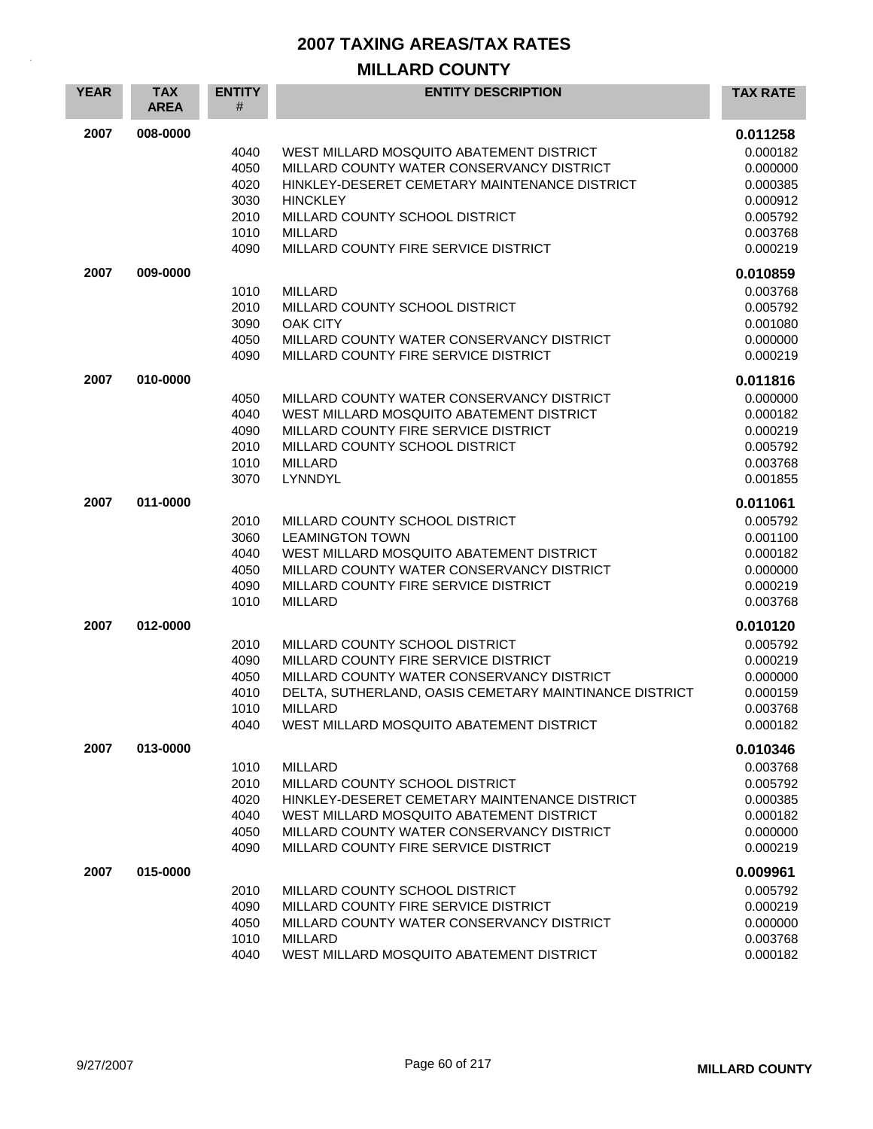## **MILLARD COUNTY**

| <b>YEAR</b> | <b>TAX</b><br><b>AREA</b> | <b>ENTITY</b><br># | <b>ENTITY DESCRIPTION</b>                                                         | <b>TAX RATE</b>      |
|-------------|---------------------------|--------------------|-----------------------------------------------------------------------------------|----------------------|
| 2007        | 008-0000                  |                    |                                                                                   | 0.011258             |
|             |                           | 4040               | WEST MILLARD MOSQUITO ABATEMENT DISTRICT                                          | 0.000182             |
|             |                           | 4050               | MILLARD COUNTY WATER CONSERVANCY DISTRICT                                         | 0.000000             |
|             |                           | 4020               | HINKLEY-DESERET CEMETARY MAINTENANCE DISTRICT                                     | 0.000385             |
|             |                           | 3030               | <b>HINCKLEY</b>                                                                   | 0.000912             |
|             |                           | 2010               | MILLARD COUNTY SCHOOL DISTRICT                                                    | 0.005792             |
|             |                           | 1010               | <b>MILLARD</b>                                                                    | 0.003768             |
|             |                           | 4090               | MILLARD COUNTY FIRE SERVICE DISTRICT                                              | 0.000219             |
| 2007        | 009-0000                  |                    |                                                                                   | 0.010859             |
|             |                           | 1010               | <b>MILLARD</b>                                                                    | 0.003768             |
|             |                           | 2010               | MILLARD COUNTY SCHOOL DISTRICT                                                    | 0.005792             |
|             |                           | 3090               | <b>OAK CITY</b>                                                                   | 0.001080             |
|             |                           | 4050               | MILLARD COUNTY WATER CONSERVANCY DISTRICT                                         | 0.000000             |
|             |                           | 4090               | MILLARD COUNTY FIRE SERVICE DISTRICT                                              | 0.000219             |
| 2007        | 010-0000                  |                    |                                                                                   | 0.011816             |
|             |                           | 4050               | MILLARD COUNTY WATER CONSERVANCY DISTRICT                                         | 0.000000             |
|             |                           | 4040               | WEST MILLARD MOSQUITO ABATEMENT DISTRICT                                          | 0.000182             |
|             |                           | 4090               | MILLARD COUNTY FIRE SERVICE DISTRICT                                              | 0.000219             |
|             |                           | 2010               | MILLARD COUNTY SCHOOL DISTRICT                                                    | 0.005792             |
|             |                           | 1010<br>3070       | <b>MILLARD</b><br>LYNNDYL                                                         | 0.003768             |
|             |                           |                    |                                                                                   | 0.001855             |
| 2007        | 011-0000                  |                    |                                                                                   | 0.011061             |
|             |                           | 2010               | MILLARD COUNTY SCHOOL DISTRICT                                                    | 0.005792             |
|             |                           | 3060               | <b>LEAMINGTON TOWN</b>                                                            | 0.001100             |
|             |                           | 4040               | WEST MILLARD MOSQUITO ABATEMENT DISTRICT                                          | 0.000182             |
|             |                           | 4050<br>4090       | MILLARD COUNTY WATER CONSERVANCY DISTRICT<br>MILLARD COUNTY FIRE SERVICE DISTRICT | 0.000000             |
|             |                           | 1010               | <b>MILLARD</b>                                                                    | 0.000219<br>0.003768 |
|             |                           |                    |                                                                                   |                      |
| 2007        | 012-0000                  |                    |                                                                                   | 0.010120             |
|             |                           | 2010               | MILLARD COUNTY SCHOOL DISTRICT                                                    | 0.005792             |
|             |                           | 4090<br>4050       | MILLARD COUNTY FIRE SERVICE DISTRICT<br>MILLARD COUNTY WATER CONSERVANCY DISTRICT | 0.000219<br>0.000000 |
|             |                           | 4010               | DELTA, SUTHERLAND, OASIS CEMETARY MAINTINANCE DISTRICT                            | 0.000159             |
|             |                           | 1010               | <b>MILLARD</b>                                                                    | 0.003768             |
|             |                           | 4040               | WEST MILLARD MOSQUITO ABATEMENT DISTRICT                                          | 0.000182             |
| 2007        | 013-0000                  |                    |                                                                                   | 0.010346             |
|             |                           | 1010               | <b>MILLARD</b>                                                                    | 0.003768             |
|             |                           | 2010               | MILLARD COUNTY SCHOOL DISTRICT                                                    | 0.005792             |
|             |                           | 4020               | HINKLEY-DESERET CEMETARY MAINTENANCE DISTRICT                                     | 0.000385             |
|             |                           | 4040               | WEST MILLARD MOSQUITO ABATEMENT DISTRICT                                          | 0.000182             |
|             |                           | 4050               | MILLARD COUNTY WATER CONSERVANCY DISTRICT                                         | 0.000000             |
|             |                           | 4090               | MILLARD COUNTY FIRE SERVICE DISTRICT                                              | 0.000219             |
| 2007        | 015-0000                  |                    |                                                                                   | 0.009961             |
|             |                           | 2010               | MILLARD COUNTY SCHOOL DISTRICT                                                    | 0.005792             |
|             |                           | 4090               | MILLARD COUNTY FIRE SERVICE DISTRICT                                              | 0.000219             |
|             |                           | 4050               | MILLARD COUNTY WATER CONSERVANCY DISTRICT                                         | 0.000000             |
|             |                           | 1010               | <b>MILLARD</b>                                                                    | 0.003768             |
|             |                           | 4040               | WEST MILLARD MOSQUITO ABATEMENT DISTRICT                                          | 0.000182             |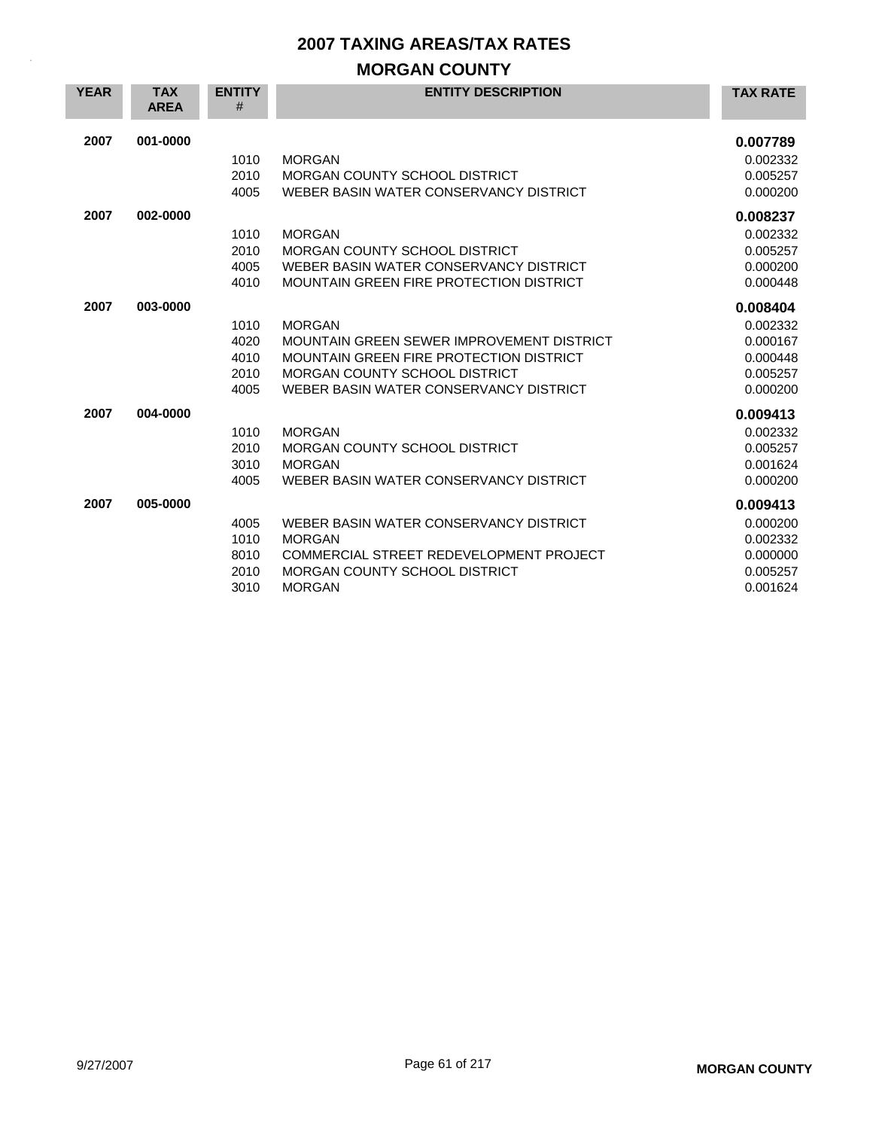## **MORGAN COUNTY**

| <b>YEAR</b> | <b>TAX</b><br><b>AREA</b> | <b>ENTITY</b><br># | <b>ENTITY DESCRIPTION</b>                 | <b>TAX RATE</b> |
|-------------|---------------------------|--------------------|-------------------------------------------|-----------------|
| 2007        | 001-0000                  |                    |                                           | 0.007789        |
|             |                           | 1010               | <b>MORGAN</b>                             | 0.002332        |
|             |                           | 2010               | MORGAN COUNTY SCHOOL DISTRICT             | 0.005257        |
|             |                           | 4005               | WEBER BASIN WATER CONSERVANCY DISTRICT    | 0.000200        |
| 2007        | 002-0000                  |                    |                                           | 0.008237        |
|             |                           | 1010               | <b>MORGAN</b>                             | 0.002332        |
|             |                           | 2010               | MORGAN COUNTY SCHOOL DISTRICT             | 0.005257        |
|             |                           | 4005               | WEBER BASIN WATER CONSERVANCY DISTRICT    | 0.000200        |
|             |                           | 4010               | MOUNTAIN GREEN FIRE PROTECTION DISTRICT   | 0.000448        |
| 2007        | 003-0000                  |                    |                                           | 0.008404        |
|             |                           |                    |                                           |                 |
|             |                           | 1010               | <b>MORGAN</b>                             | 0.002332        |
|             |                           | 4020               | MOUNTAIN GREEN SEWER IMPROVEMENT DISTRICT | 0.000167        |
|             |                           | 4010               | MOUNTAIN GREEN FIRE PROTECTION DISTRICT   | 0.000448        |
|             |                           | 2010               | MORGAN COUNTY SCHOOL DISTRICT             | 0.005257        |
|             |                           | 4005               | WEBER BASIN WATER CONSERVANCY DISTRICT    | 0.000200        |
| 2007        | 004-0000                  |                    |                                           | 0.009413        |
|             |                           | 1010               | <b>MORGAN</b>                             | 0.002332        |
|             |                           | 2010               | MORGAN COUNTY SCHOOL DISTRICT             | 0.005257        |
|             |                           | 3010               | <b>MORGAN</b>                             | 0.001624        |
|             |                           | 4005               | WEBER BASIN WATER CONSERVANCY DISTRICT    | 0.000200        |
| 2007        | 005-0000                  |                    |                                           | 0.009413        |
|             |                           | 4005               | WEBER BASIN WATER CONSERVANCY DISTRICT    | 0.000200        |
|             |                           | 1010               | <b>MORGAN</b>                             | 0.002332        |
|             |                           | 8010               | COMMERCIAL STREET REDEVELOPMENT PROJECT   | 0.000000        |
|             |                           | 2010               | <b>MORGAN COUNTY SCHOOL DISTRICT</b>      | 0.005257        |
|             |                           | 3010               | <b>MORGAN</b>                             | 0.001624        |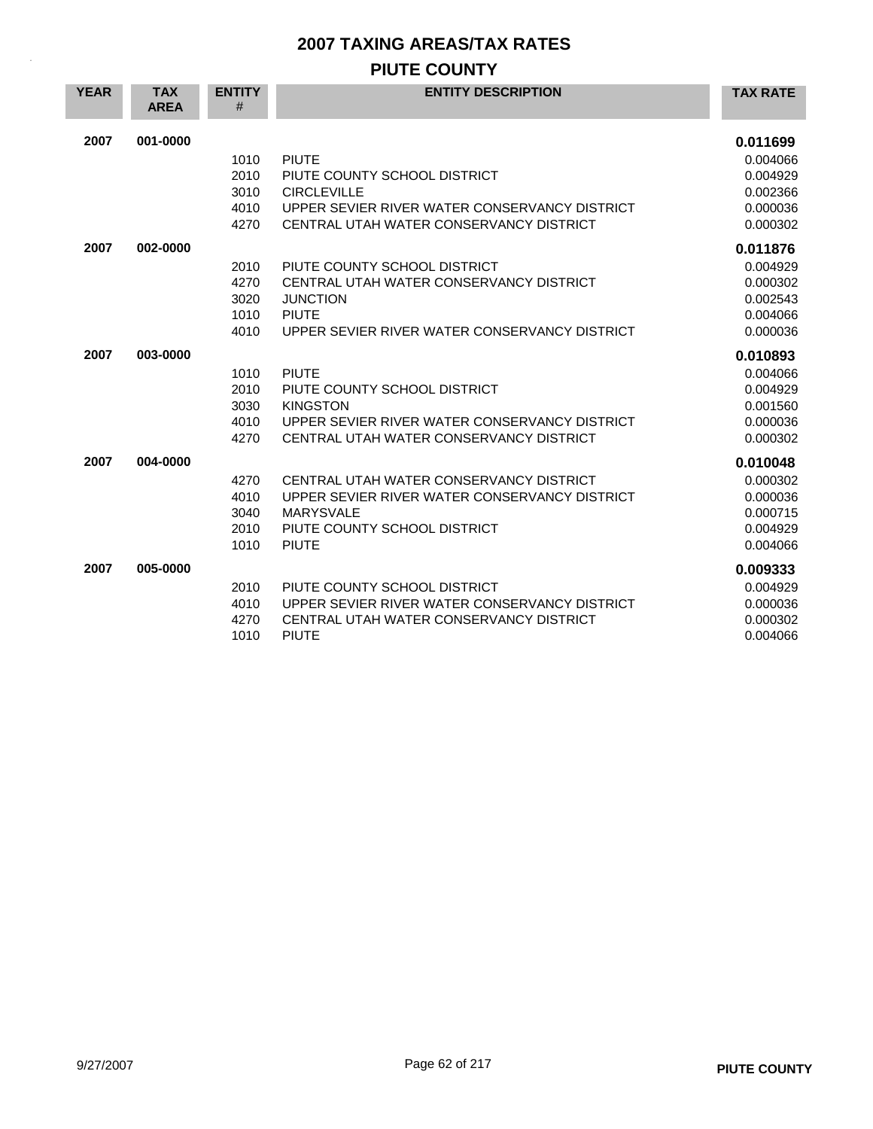## **PIUTE COUNTY**

| <b>YEAR</b> | <b>TAX</b><br><b>AREA</b> | <b>ENTITY</b><br>#                   | <b>ENTITY DESCRIPTION</b>                                                                                                                                      | <b>TAX RATE</b>                                                      |
|-------------|---------------------------|--------------------------------------|----------------------------------------------------------------------------------------------------------------------------------------------------------------|----------------------------------------------------------------------|
| 2007        | 001-0000                  | 1010<br>2010<br>3010<br>4010<br>4270 | <b>PIUTE</b><br>PIUTE COUNTY SCHOOL DISTRICT<br><b>CIRCLEVILLE</b><br>UPPER SEVIER RIVER WATER CONSERVANCY DISTRICT<br>CENTRAL UTAH WATER CONSERVANCY DISTRICT | 0.011699<br>0.004066<br>0.004929<br>0.002366<br>0.000036<br>0.000302 |
| 2007        | 002-0000                  | 2010<br>4270<br>3020<br>1010<br>4010 | PIUTE COUNTY SCHOOL DISTRICT<br>CENTRAL UTAH WATER CONSERVANCY DISTRICT<br><b>JUNCTION</b><br><b>PIUTE</b><br>UPPER SEVIER RIVER WATER CONSERVANCY DISTRICT    | 0.011876<br>0.004929<br>0.000302<br>0.002543<br>0.004066<br>0.000036 |
| 2007        | 003-0000                  | 1010<br>2010<br>3030<br>4010<br>4270 | <b>PIUTE</b><br>PIUTE COUNTY SCHOOL DISTRICT<br><b>KINGSTON</b><br>UPPER SEVIER RIVER WATER CONSERVANCY DISTRICT<br>CENTRAL UTAH WATER CONSERVANCY DISTRICT    | 0.010893<br>0.004066<br>0.004929<br>0.001560<br>0.000036<br>0.000302 |
| 2007        | 004-0000                  | 4270<br>4010<br>3040<br>2010<br>1010 | CENTRAL UTAH WATER CONSERVANCY DISTRICT<br>UPPER SEVIER RIVER WATER CONSERVANCY DISTRICT<br><b>MARYSVALE</b><br>PIUTE COUNTY SCHOOL DISTRICT<br><b>PIUTE</b>   | 0.010048<br>0.000302<br>0.000036<br>0.000715<br>0.004929<br>0.004066 |
| 2007        | 005-0000                  | 2010<br>4010<br>4270<br>1010         | PIUTE COUNTY SCHOOL DISTRICT<br>UPPER SEVIER RIVER WATER CONSERVANCY DISTRICT<br>CENTRAL UTAH WATER CONSERVANCY DISTRICT<br><b>PIUTE</b>                       | 0.009333<br>0.004929<br>0.000036<br>0.000302<br>0.004066             |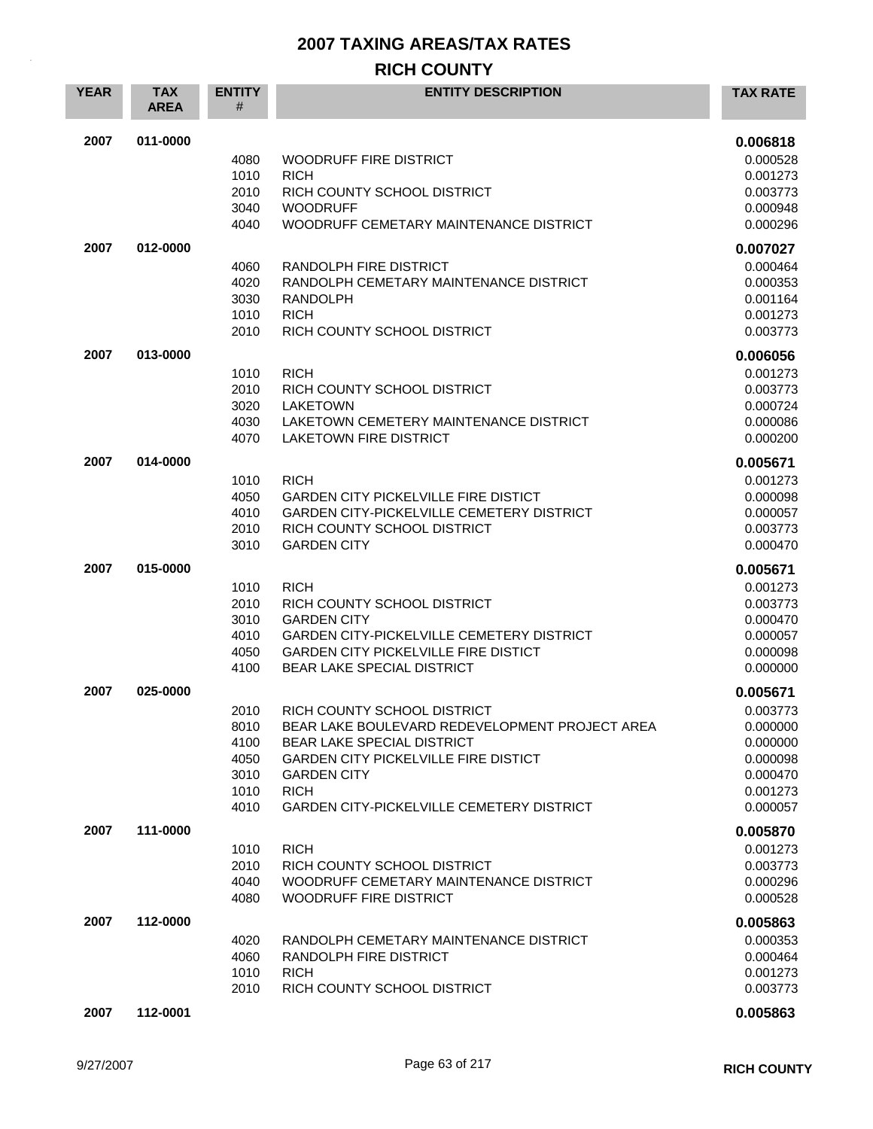#### **RICH COUNTY**

| <b>YEAR</b> | <b>TAX</b><br><b>AREA</b> | <b>ENTITY</b><br># | <b>ENTITY DESCRIPTION</b>                        | <b>TAX RATE</b> |
|-------------|---------------------------|--------------------|--------------------------------------------------|-----------------|
| 2007        | 011-0000                  |                    |                                                  | 0.006818        |
|             |                           | 4080               | <b>WOODRUFF FIRE DISTRICT</b>                    | 0.000528        |
|             |                           | 1010               | <b>RICH</b>                                      | 0.001273        |
|             |                           | 2010               | RICH COUNTY SCHOOL DISTRICT                      | 0.003773        |
|             |                           | 3040               | <b>WOODRUFF</b>                                  | 0.000948        |
|             |                           | 4040               | WOODRUFF CEMETARY MAINTENANCE DISTRICT           | 0.000296        |
| 2007        | 012-0000                  |                    |                                                  | 0.007027        |
|             |                           | 4060               | RANDOLPH FIRE DISTRICT                           | 0.000464        |
|             |                           | 4020               | RANDOLPH CEMETARY MAINTENANCE DISTRICT           | 0.000353        |
|             |                           | 3030               | <b>RANDOLPH</b>                                  | 0.001164        |
|             |                           | 1010               | <b>RICH</b>                                      | 0.001273        |
|             |                           | 2010               | RICH COUNTY SCHOOL DISTRICT                      | 0.003773        |
| 2007        | 013-0000                  |                    |                                                  | 0.006056        |
|             |                           | 1010               | <b>RICH</b>                                      | 0.001273        |
|             |                           | 2010               | RICH COUNTY SCHOOL DISTRICT                      | 0.003773        |
|             |                           | 3020               | <b>LAKETOWN</b>                                  | 0.000724        |
|             |                           | 4030               | LAKETOWN CEMETERY MAINTENANCE DISTRICT           | 0.000086        |
|             |                           | 4070               | <b>LAKETOWN FIRE DISTRICT</b>                    | 0.000200        |
| 2007        | 014-0000                  |                    |                                                  | 0.005671        |
|             |                           | 1010               | <b>RICH</b>                                      | 0.001273        |
|             |                           | 4050               | <b>GARDEN CITY PICKELVILLE FIRE DISTICT</b>      | 0.000098        |
|             |                           | 4010               | <b>GARDEN CITY-PICKELVILLE CEMETERY DISTRICT</b> | 0.000057        |
|             |                           | 2010               | RICH COUNTY SCHOOL DISTRICT                      | 0.003773        |
|             |                           | 3010               | <b>GARDEN CITY</b>                               | 0.000470        |
| 2007        | 015-0000                  |                    |                                                  | 0.005671        |
|             |                           | 1010               | <b>RICH</b>                                      | 0.001273        |
|             |                           | 2010               | RICH COUNTY SCHOOL DISTRICT                      | 0.003773        |
|             |                           | 3010               | <b>GARDEN CITY</b>                               | 0.000470        |
|             |                           | 4010               | <b>GARDEN CITY-PICKELVILLE CEMETERY DISTRICT</b> | 0.000057        |
|             |                           | 4050               | <b>GARDEN CITY PICKELVILLE FIRE DISTICT</b>      | 0.000098        |
|             |                           | 4100               | BEAR LAKE SPECIAL DISTRICT                       | 0.000000        |
| 2007        | 025-0000                  |                    |                                                  | 0.005671        |
|             |                           | 2010               | RICH COUNTY SCHOOL DISTRICT                      | 0.003773        |
|             |                           | 8010               | BEAR LAKE BOULEVARD REDEVELOPMENT PROJECT AREA   | 0.000000        |
|             |                           | 4100               | <b>BEAR LAKE SPECIAL DISTRICT</b>                | 0.000000        |
|             |                           | 4050               | <b>GARDEN CITY PICKELVILLE FIRE DISTICT</b>      | 0.000098        |
|             |                           | 3010               | <b>GARDEN CITY</b>                               | 0.000470        |
|             |                           | 1010               | <b>RICH</b>                                      | 0.001273        |
|             |                           | 4010               | <b>GARDEN CITY-PICKELVILLE CEMETERY DISTRICT</b> | 0.000057        |
| 2007        | 111-0000                  |                    |                                                  | 0.005870        |
|             |                           | 1010               | <b>RICH</b>                                      | 0.001273        |
|             |                           | 2010               | RICH COUNTY SCHOOL DISTRICT                      | 0.003773        |
|             |                           | 4040               | WOODRUFF CEMETARY MAINTENANCE DISTRICT           | 0.000296        |
|             |                           | 4080               | WOODRUFF FIRE DISTRICT                           | 0.000528        |
| 2007        | 112-0000                  |                    |                                                  | 0.005863        |
|             |                           | 4020               | RANDOLPH CEMETARY MAINTENANCE DISTRICT           | 0.000353        |
|             |                           | 4060               | RANDOLPH FIRE DISTRICT                           | 0.000464        |
|             |                           | 1010               | <b>RICH</b>                                      | 0.001273        |
|             |                           | 2010               | RICH COUNTY SCHOOL DISTRICT                      | 0.003773        |
| 2007        | 112-0001                  |                    |                                                  | 0.005863        |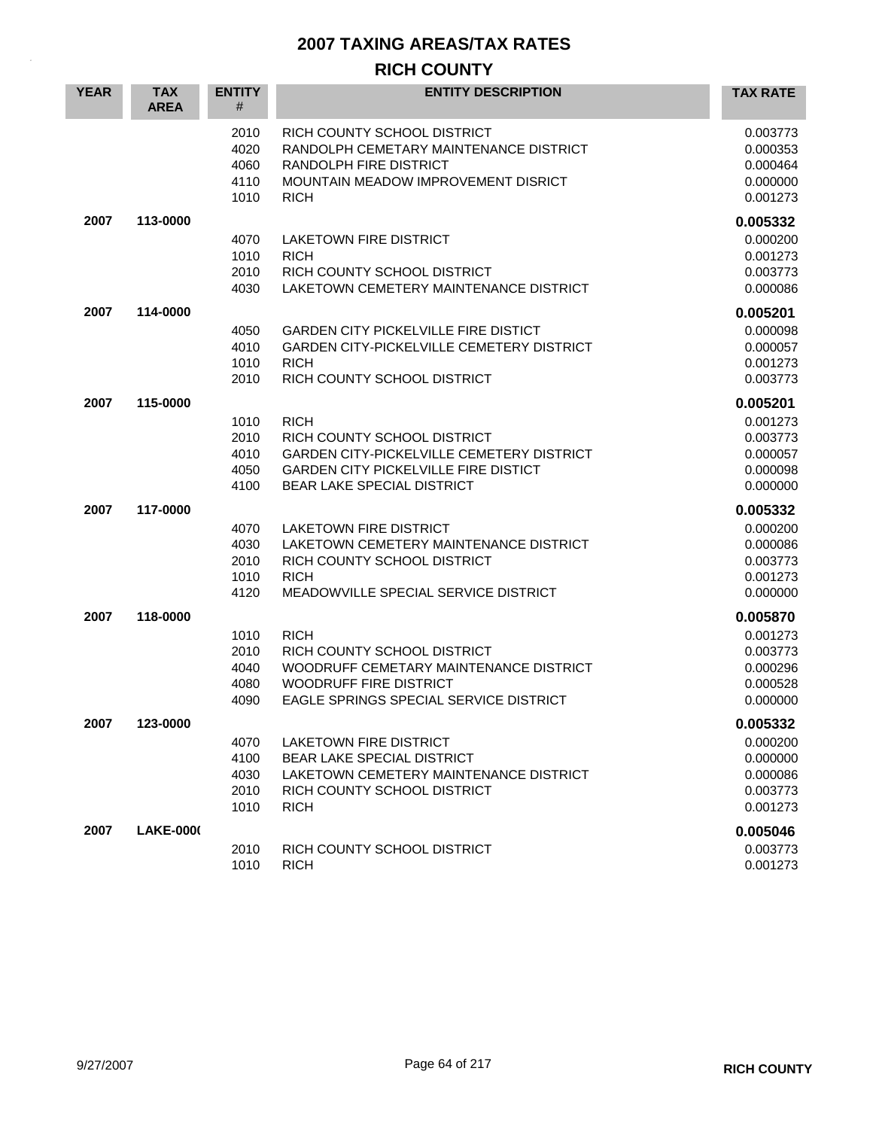## **RICH COUNTY**

| <b>YEAR</b> | <b>TAX</b><br><b>AREA</b> | <b>ENTITY</b><br>#                   | <b>ENTITY DESCRIPTION</b>                                                                                                                                                   | <b>TAX RATE</b>                                                      |
|-------------|---------------------------|--------------------------------------|-----------------------------------------------------------------------------------------------------------------------------------------------------------------------------|----------------------------------------------------------------------|
|             |                           | 2010<br>4020<br>4060<br>4110<br>1010 | RICH COUNTY SCHOOL DISTRICT<br>RANDOLPH CEMETARY MAINTENANCE DISTRICT<br>RANDOLPH FIRE DISTRICT<br>MOUNTAIN MEADOW IMPROVEMENT DISRICT<br><b>RICH</b>                       | 0.003773<br>0.000353<br>0.000464<br>0.000000<br>0.001273             |
| 2007        | 113-0000                  | 4070<br>1010<br>2010<br>4030         | <b>LAKETOWN FIRE DISTRICT</b><br><b>RICH</b><br>RICH COUNTY SCHOOL DISTRICT<br>LAKETOWN CEMETERY MAINTENANCE DISTRICT                                                       | 0.005332<br>0.000200<br>0.001273<br>0.003773<br>0.000086             |
| 2007        | 114-0000                  | 4050<br>4010<br>1010<br>2010         | <b>GARDEN CITY PICKELVILLE FIRE DISTICT</b><br><b>GARDEN CITY-PICKELVILLE CEMETERY DISTRICT</b><br><b>RICH</b><br>RICH COUNTY SCHOOL DISTRICT                               | 0.005201<br>0.000098<br>0.000057<br>0.001273<br>0.003773             |
| 2007        | 115-0000                  | 1010<br>2010<br>4010<br>4050<br>4100 | <b>RICH</b><br>RICH COUNTY SCHOOL DISTRICT<br><b>GARDEN CITY-PICKELVILLE CEMETERY DISTRICT</b><br><b>GARDEN CITY PICKELVILLE FIRE DISTICT</b><br>BEAR LAKE SPECIAL DISTRICT | 0.005201<br>0.001273<br>0.003773<br>0.000057<br>0.000098<br>0.000000 |
| 2007        | 117-0000                  | 4070<br>4030<br>2010<br>1010<br>4120 | <b>LAKETOWN FIRE DISTRICT</b><br>LAKETOWN CEMETERY MAINTENANCE DISTRICT<br>RICH COUNTY SCHOOL DISTRICT<br><b>RICH</b><br>MEADOWVILLE SPECIAL SERVICE DISTRICT               | 0.005332<br>0.000200<br>0.000086<br>0.003773<br>0.001273<br>0.000000 |
| 2007        | 118-0000                  | 1010<br>2010<br>4040<br>4080<br>4090 | <b>RICH</b><br>RICH COUNTY SCHOOL DISTRICT<br>WOODRUFF CEMETARY MAINTENANCE DISTRICT<br><b>WOODRUFF FIRE DISTRICT</b><br>EAGLE SPRINGS SPECIAL SERVICE DISTRICT             | 0.005870<br>0.001273<br>0.003773<br>0.000296<br>0.000528<br>0.000000 |
| 2007        | 123-0000                  | 4070<br>4100<br>4030<br>2010<br>1010 | LAKETOWN FIRE DISTRICT<br><b>BEAR LAKE SPECIAL DISTRICT</b><br>LAKETOWN CEMETERY MAINTENANCE DISTRICT<br>RICH COUNTY SCHOOL DISTRICT<br><b>RICH</b>                         | 0.005332<br>0.000200<br>0.000000<br>0.000086<br>0.003773<br>0.001273 |
| 2007        | <b>LAKE-0000</b>          | 2010<br>1010                         | RICH COUNTY SCHOOL DISTRICT<br><b>RICH</b>                                                                                                                                  | 0.005046<br>0.003773<br>0.001273                                     |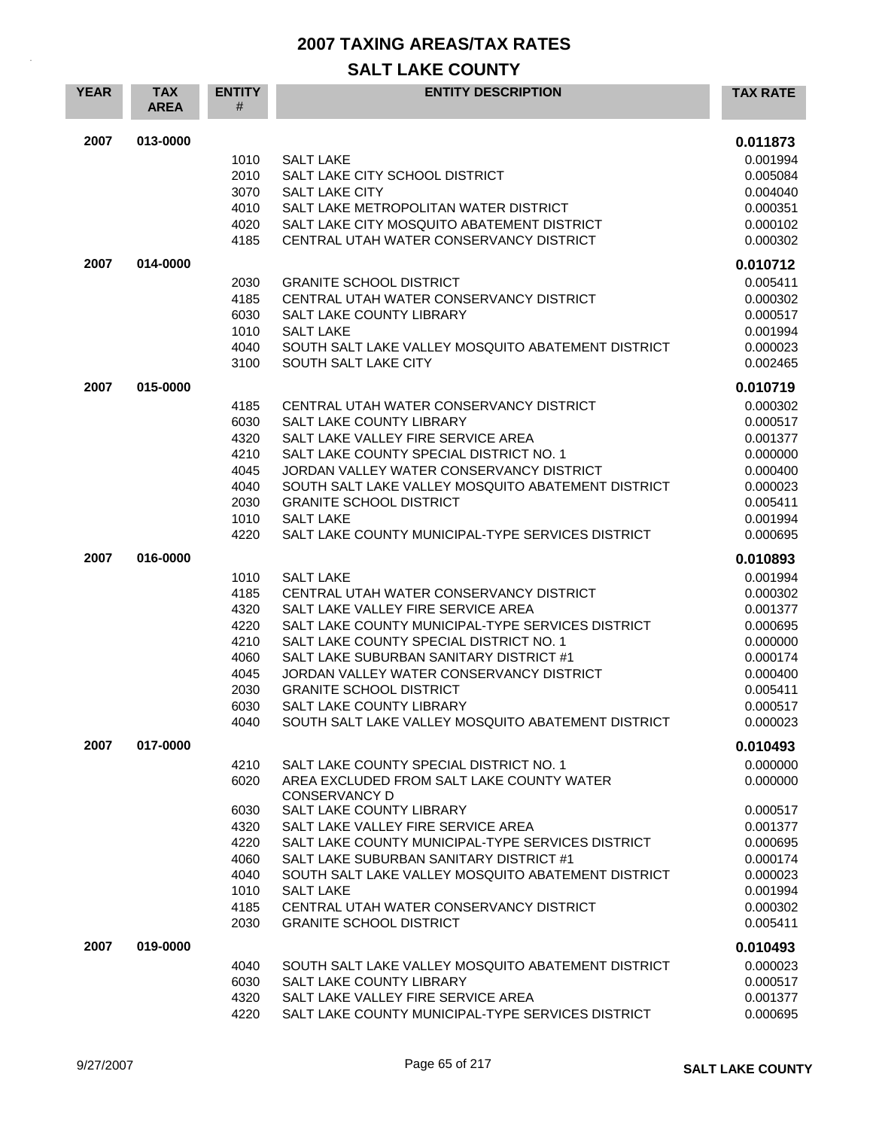| <b>YEAR</b> | <b>TAX</b><br><b>AREA</b> | <b>ENTITY</b><br># | <b>ENTITY DESCRIPTION</b>                                                      | <b>TAX RATE</b>      |
|-------------|---------------------------|--------------------|--------------------------------------------------------------------------------|----------------------|
| 2007        | 013-0000                  |                    |                                                                                | 0.011873             |
|             |                           | 1010               | <b>SALT LAKE</b>                                                               | 0.001994             |
|             |                           | 2010               | SALT LAKE CITY SCHOOL DISTRICT                                                 | 0.005084             |
|             |                           | 3070               | <b>SALT LAKE CITY</b>                                                          | 0.004040             |
|             |                           | 4010               | SALT LAKE METROPOLITAN WATER DISTRICT                                          | 0.000351             |
|             |                           | 4020               | SALT LAKE CITY MOSQUITO ABATEMENT DISTRICT                                     | 0.000102             |
|             |                           | 4185               | CENTRAL UTAH WATER CONSERVANCY DISTRICT                                        | 0.000302             |
| 2007        | 014-0000                  |                    |                                                                                | 0.010712             |
|             |                           | 2030               | <b>GRANITE SCHOOL DISTRICT</b>                                                 | 0.005411             |
|             |                           | 4185               | CENTRAL UTAH WATER CONSERVANCY DISTRICT                                        | 0.000302             |
|             |                           | 6030               | SALT LAKE COUNTY LIBRARY                                                       | 0.000517             |
|             |                           | 1010               | <b>SALT LAKE</b>                                                               | 0.001994             |
|             |                           | 4040<br>3100       | SOUTH SALT LAKE VALLEY MOSQUITO ABATEMENT DISTRICT<br>SOUTH SALT LAKE CITY     | 0.000023<br>0.002465 |
| 2007        | 015-0000                  |                    |                                                                                | 0.010719             |
|             |                           | 4185               | CENTRAL UTAH WATER CONSERVANCY DISTRICT                                        | 0.000302             |
|             |                           | 6030               | SALT LAKE COUNTY LIBRARY                                                       | 0.000517             |
|             |                           | 4320               | SALT LAKE VALLEY FIRE SERVICE AREA                                             | 0.001377             |
|             |                           | 4210               | SALT LAKE COUNTY SPECIAL DISTRICT NO. 1                                        | 0.000000             |
|             |                           | 4045               | JORDAN VALLEY WATER CONSERVANCY DISTRICT                                       | 0.000400             |
|             |                           | 4040               | SOUTH SALT LAKE VALLEY MOSQUITO ABATEMENT DISTRICT                             | 0.000023             |
|             |                           | 2030               | <b>GRANITE SCHOOL DISTRICT</b>                                                 | 0.005411             |
|             |                           | 1010               | <b>SALT LAKE</b>                                                               | 0.001994             |
|             |                           | 4220               | SALT LAKE COUNTY MUNICIPAL-TYPE SERVICES DISTRICT                              | 0.000695             |
| 2007        | 016-0000                  |                    |                                                                                | 0.010893             |
|             |                           | 1010               | <b>SALT LAKE</b>                                                               | 0.001994             |
|             |                           | 4185               | CENTRAL UTAH WATER CONSERVANCY DISTRICT                                        | 0.000302             |
|             |                           | 4320               | SALT LAKE VALLEY FIRE SERVICE AREA                                             | 0.001377             |
|             |                           | 4220               | SALT LAKE COUNTY MUNICIPAL-TYPE SERVICES DISTRICT                              | 0.000695             |
|             |                           | 4210               | SALT LAKE COUNTY SPECIAL DISTRICT NO. 1                                        | 0.000000             |
|             |                           | 4060               | SALT LAKE SUBURBAN SANITARY DISTRICT #1                                        | 0.000174             |
|             |                           | 4045               | JORDAN VALLEY WATER CONSERVANCY DISTRICT                                       | 0.000400             |
|             |                           | 2030               | <b>GRANITE SCHOOL DISTRICT</b>                                                 | 0.005411             |
|             |                           | 6030<br>4040       | SALT LAKE COUNTY LIBRARY<br>SOUTH SALT LAKE VALLEY MOSQUITO ABATEMENT DISTRICT | 0.000517<br>0.000023 |
| 2007        | 017-0000                  |                    |                                                                                | 0.010493             |
|             |                           | 4210               | SALT LAKE COUNTY SPECIAL DISTRICT NO. 1                                        | 0.000000             |
|             |                           | 6020               | AREA EXCLUDED FROM SALT LAKE COUNTY WATER<br><b>CONSERVANCY D</b>              | 0.000000             |
|             |                           | 6030               | SALT LAKE COUNTY LIBRARY                                                       | 0.000517             |
|             |                           | 4320               | SALT LAKE VALLEY FIRE SERVICE AREA                                             | 0.001377             |
|             |                           | 4220               | SALT LAKE COUNTY MUNICIPAL-TYPE SERVICES DISTRICT                              | 0.000695             |
|             |                           | 4060               | SALT LAKE SUBURBAN SANITARY DISTRICT #1                                        | 0.000174             |
|             |                           | 4040               | SOUTH SALT LAKE VALLEY MOSQUITO ABATEMENT DISTRICT                             | 0.000023             |
|             |                           | 1010               | <b>SALT LAKE</b>                                                               | 0.001994             |
|             |                           | 4185               | CENTRAL UTAH WATER CONSERVANCY DISTRICT                                        | 0.000302             |
|             |                           | 2030               | <b>GRANITE SCHOOL DISTRICT</b>                                                 | 0.005411             |
| 2007        | 019-0000                  |                    |                                                                                | 0.010493             |
|             |                           | 4040               | SOUTH SALT LAKE VALLEY MOSQUITO ABATEMENT DISTRICT                             | 0.000023             |
|             |                           | 6030               | SALT LAKE COUNTY LIBRARY                                                       | 0.000517             |
|             |                           | 4320               | SALT LAKE VALLEY FIRE SERVICE AREA                                             | 0.001377             |
|             |                           | 4220               | SALT LAKE COUNTY MUNICIPAL-TYPE SERVICES DISTRICT                              | 0.000695             |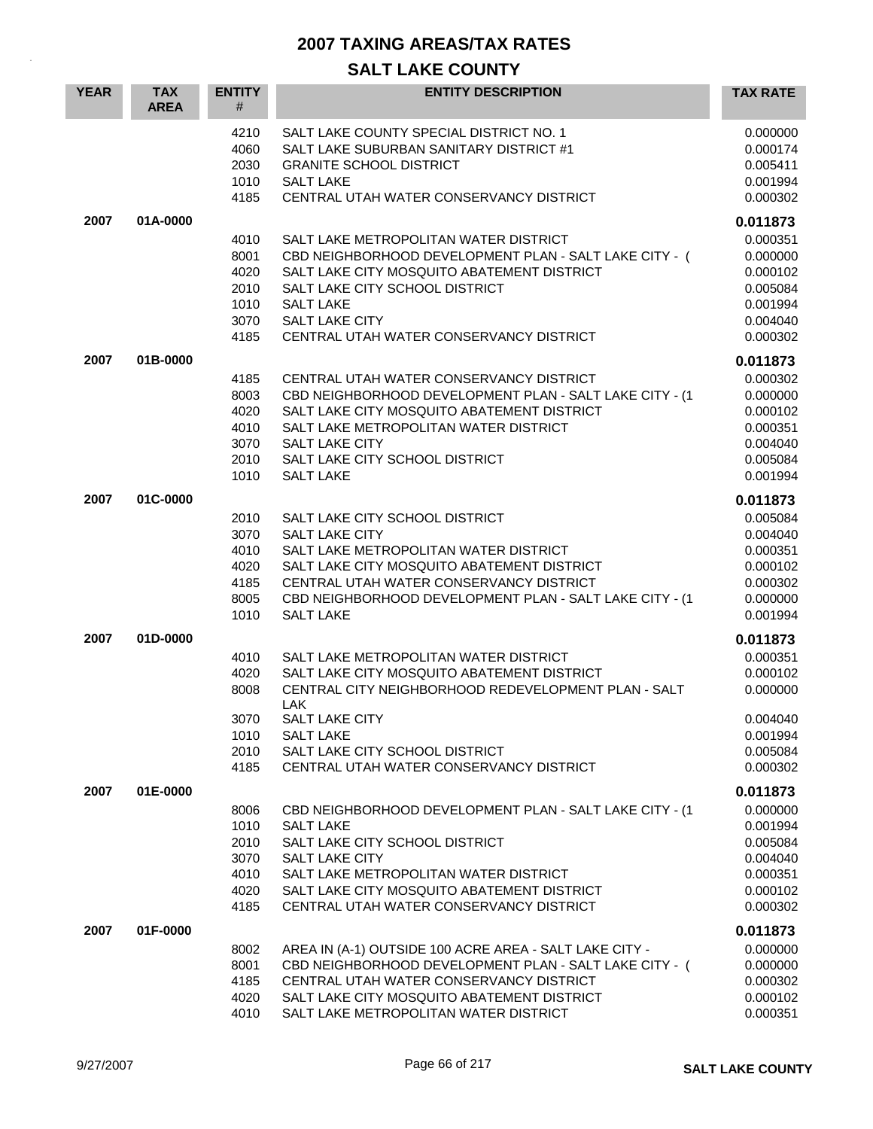| <b>YEAR</b> | <b>TAX</b><br><b>AREA</b> | <b>ENTITY</b><br>#                                   | <b>ENTITY DESCRIPTION</b>                                                                                                                                                                                                                                                | <b>TAX RATE</b>                                                                              |
|-------------|---------------------------|------------------------------------------------------|--------------------------------------------------------------------------------------------------------------------------------------------------------------------------------------------------------------------------------------------------------------------------|----------------------------------------------------------------------------------------------|
|             |                           | 4210<br>4060<br>2030<br>1010<br>4185                 | SALT LAKE COUNTY SPECIAL DISTRICT NO. 1<br>SALT LAKE SUBURBAN SANITARY DISTRICT #1<br><b>GRANITE SCHOOL DISTRICT</b><br><b>SALT LAKE</b><br>CENTRAL UTAH WATER CONSERVANCY DISTRICT                                                                                      | 0.000000<br>0.000174<br>0.005411<br>0.001994<br>0.000302                                     |
| 2007        | 01A-0000                  | 4010<br>8001<br>4020<br>2010<br>1010<br>3070<br>4185 | SALT LAKE METROPOLITAN WATER DISTRICT<br>CBD NEIGHBORHOOD DEVELOPMENT PLAN - SALT LAKE CITY - (<br>SALT LAKE CITY MOSQUITO ABATEMENT DISTRICT<br>SALT LAKE CITY SCHOOL DISTRICT<br><b>SALT LAKE</b><br><b>SALT LAKE CITY</b><br>CENTRAL UTAH WATER CONSERVANCY DISTRICT  | 0.011873<br>0.000351<br>0.000000<br>0.000102<br>0.005084<br>0.001994<br>0.004040<br>0.000302 |
| 2007        | 01B-0000                  | 4185<br>8003<br>4020<br>4010<br>3070<br>2010<br>1010 | CENTRAL UTAH WATER CONSERVANCY DISTRICT<br>CBD NEIGHBORHOOD DEVELOPMENT PLAN - SALT LAKE CITY - (1<br>SALT LAKE CITY MOSQUITO ABATEMENT DISTRICT<br>SALT LAKE METROPOLITAN WATER DISTRICT<br><b>SALT LAKE CITY</b><br>SALT LAKE CITY SCHOOL DISTRICT<br><b>SALT LAKE</b> | 0.011873<br>0.000302<br>0.000000<br>0.000102<br>0.000351<br>0.004040<br>0.005084<br>0.001994 |
| 2007        | 01C-0000                  | 2010<br>3070<br>4010<br>4020<br>4185<br>8005<br>1010 | SALT LAKE CITY SCHOOL DISTRICT<br><b>SALT LAKE CITY</b><br>SALT LAKE METROPOLITAN WATER DISTRICT<br>SALT LAKE CITY MOSQUITO ABATEMENT DISTRICT<br>CENTRAL UTAH WATER CONSERVANCY DISTRICT<br>CBD NEIGHBORHOOD DEVELOPMENT PLAN - SALT LAKE CITY - (1<br><b>SALT LAKE</b> | 0.011873<br>0.005084<br>0.004040<br>0.000351<br>0.000102<br>0.000302<br>0.000000<br>0.001994 |
| 2007        | 01D-0000                  | 4010<br>4020<br>8008<br>3070<br>1010<br>2010<br>4185 | SALT LAKE METROPOLITAN WATER DISTRICT<br>SALT LAKE CITY MOSQUITO ABATEMENT DISTRICT<br>CENTRAL CITY NEIGHBORHOOD REDEVELOPMENT PLAN - SALT<br>LAK.<br>SALT LAKE CITY<br><b>SALT LAKE</b><br>SALT LAKE CITY SCHOOL DISTRICT<br>CENTRAL UTAH WATER CONSERVANCY DISTRICT    | 0.011873<br>0.000351<br>0.000102<br>0.000000<br>0.004040<br>0.001994<br>0.005084<br>0.000302 |
| 2007        | 01E-0000                  | 8006<br>1010<br>2010<br>3070<br>4010<br>4020<br>4185 | CBD NEIGHBORHOOD DEVELOPMENT PLAN - SALT LAKE CITY - (1<br><b>SALT LAKE</b><br>SALT LAKE CITY SCHOOL DISTRICT<br><b>SALT LAKE CITY</b><br>SALT LAKE METROPOLITAN WATER DISTRICT<br>SALT LAKE CITY MOSQUITO ABATEMENT DISTRICT<br>CENTRAL UTAH WATER CONSERVANCY DISTRICT | 0.011873<br>0.000000<br>0.001994<br>0.005084<br>0.004040<br>0.000351<br>0.000102<br>0.000302 |
| 2007        | 01F-0000                  | 8002<br>8001<br>4185<br>4020<br>4010                 | AREA IN (A-1) OUTSIDE 100 ACRE AREA - SALT LAKE CITY -<br>CBD NEIGHBORHOOD DEVELOPMENT PLAN - SALT LAKE CITY - (<br>CENTRAL UTAH WATER CONSERVANCY DISTRICT<br>SALT LAKE CITY MOSQUITO ABATEMENT DISTRICT<br>SALT LAKE METROPOLITAN WATER DISTRICT                       | 0.011873<br>0.000000<br>0.000000<br>0.000302<br>0.000102<br>0.000351                         |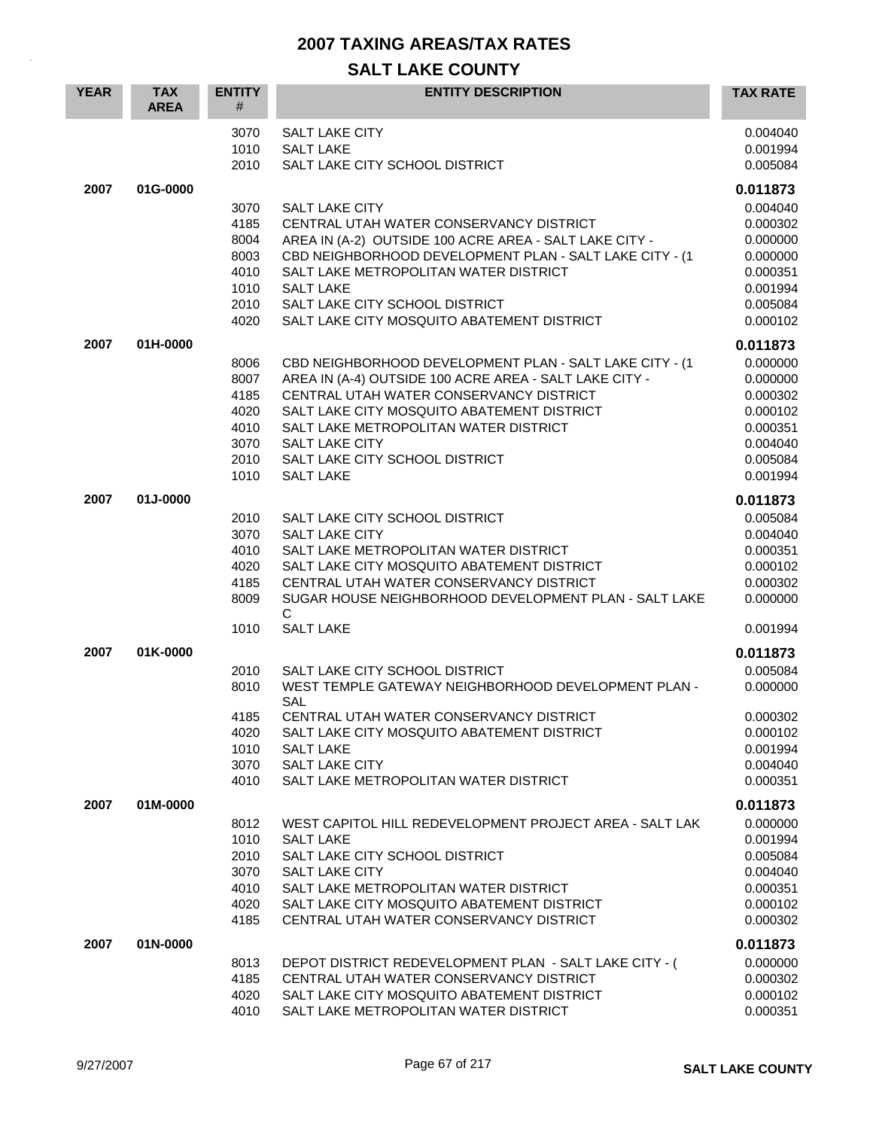| <b>YEAR</b> | <b>TAX</b><br><b>AREA</b> | <b>ENTITY</b><br>#                                           | <b>ENTITY DESCRIPTION</b>                                                                                                                                                                                                                                                                                                          | <b>TAX RATE</b>                                                                                          |
|-------------|---------------------------|--------------------------------------------------------------|------------------------------------------------------------------------------------------------------------------------------------------------------------------------------------------------------------------------------------------------------------------------------------------------------------------------------------|----------------------------------------------------------------------------------------------------------|
|             |                           | 3070<br>1010<br>2010                                         | <b>SALT LAKE CITY</b><br><b>SALT LAKE</b><br>SALT LAKE CITY SCHOOL DISTRICT                                                                                                                                                                                                                                                        | 0.004040<br>0.001994<br>0.005084                                                                         |
| 2007        | 01G-0000                  |                                                              |                                                                                                                                                                                                                                                                                                                                    | 0.011873                                                                                                 |
|             |                           | 3070<br>4185<br>8004<br>8003<br>4010<br>1010                 | <b>SALT LAKE CITY</b><br>CENTRAL UTAH WATER CONSERVANCY DISTRICT<br>AREA IN (A-2) OUTSIDE 100 ACRE AREA - SALT LAKE CITY -<br>CBD NEIGHBORHOOD DEVELOPMENT PLAN - SALT LAKE CITY - (1<br>SALT LAKE METROPOLITAN WATER DISTRICT<br><b>SALT LAKE</b>                                                                                 | 0.004040<br>0.000302<br>0.000000<br>0.000000<br>0.000351<br>0.001994                                     |
|             |                           | 2010<br>4020                                                 | SALT LAKE CITY SCHOOL DISTRICT<br>SALT LAKE CITY MOSQUITO ABATEMENT DISTRICT                                                                                                                                                                                                                                                       | 0.005084<br>0.000102                                                                                     |
|             |                           |                                                              |                                                                                                                                                                                                                                                                                                                                    |                                                                                                          |
| 2007        | 01H-0000                  | 8006<br>8007<br>4185<br>4020<br>4010<br>3070<br>2010<br>1010 | CBD NEIGHBORHOOD DEVELOPMENT PLAN - SALT LAKE CITY - (1<br>AREA IN (A-4) OUTSIDE 100 ACRE AREA - SALT LAKE CITY -<br>CENTRAL UTAH WATER CONSERVANCY DISTRICT<br>SALT LAKE CITY MOSQUITO ABATEMENT DISTRICT<br>SALT LAKE METROPOLITAN WATER DISTRICT<br><b>SALT LAKE CITY</b><br>SALT LAKE CITY SCHOOL DISTRICT<br><b>SALT LAKE</b> | 0.011873<br>0.000000<br>0.000000<br>0.000302<br>0.000102<br>0.000351<br>0.004040<br>0.005084<br>0.001994 |
| 2007        | 01J-0000                  | 2010<br>3070<br>4010<br>4020<br>4185<br>8009<br>1010         | SALT LAKE CITY SCHOOL DISTRICT<br><b>SALT LAKE CITY</b><br>SALT LAKE METROPOLITAN WATER DISTRICT<br>SALT LAKE CITY MOSQUITO ABATEMENT DISTRICT<br>CENTRAL UTAH WATER CONSERVANCY DISTRICT<br>SUGAR HOUSE NEIGHBORHOOD DEVELOPMENT PLAN - SALT LAKE<br>C<br><b>SALT LAKE</b>                                                        | 0.011873<br>0.005084<br>0.004040<br>0.000351<br>0.000102<br>0.000302<br>0.000000<br>0.001994             |
| 2007        | 01K-0000                  |                                                              |                                                                                                                                                                                                                                                                                                                                    | 0.011873                                                                                                 |
|             |                           | 2010<br>8010<br>4185<br>4020<br>1010<br>3070<br>4010         | SALT LAKE CITY SCHOOL DISTRICT<br>WEST TEMPLE GATEWAY NEIGHBORHOOD DEVELOPMENT PLAN -<br>SAL<br>CENTRAL UTAH WATER CONSERVANCY DISTRICT<br>SALT LAKE CITY MOSQUITO ABATEMENT DISTRICT<br><b>SALT LAKE</b><br>SALT LAKE CITY<br>SALT LAKE METROPOLITAN WATER DISTRICT                                                               | 0.005084<br>0.000000<br>0.000302<br>0.000102<br>0.001994<br>0.004040<br>0.000351                         |
| 2007        | 01M-0000                  |                                                              |                                                                                                                                                                                                                                                                                                                                    | 0.011873                                                                                                 |
|             |                           | 8012<br>1010<br>2010<br>3070<br>4010<br>4020<br>4185         | WEST CAPITOL HILL REDEVELOPMENT PROJECT AREA - SALT LAK<br><b>SALT LAKE</b><br>SALT LAKE CITY SCHOOL DISTRICT<br><b>SALT LAKE CITY</b><br>SALT LAKE METROPOLITAN WATER DISTRICT<br>SALT LAKE CITY MOSQUITO ABATEMENT DISTRICT<br>CENTRAL UTAH WATER CONSERVANCY DISTRICT                                                           | 0.000000<br>0.001994<br>0.005084<br>0.004040<br>0.000351<br>0.000102<br>0.000302                         |
| 2007        | 01N-0000                  |                                                              |                                                                                                                                                                                                                                                                                                                                    | 0.011873                                                                                                 |
|             |                           | 8013<br>4185<br>4020<br>4010                                 | DEPOT DISTRICT REDEVELOPMENT PLAN - SALT LAKE CITY - (<br>CENTRAL UTAH WATER CONSERVANCY DISTRICT<br>SALT LAKE CITY MOSQUITO ABATEMENT DISTRICT<br>SALT LAKE METROPOLITAN WATER DISTRICT                                                                                                                                           | 0.000000<br>0.000302<br>0.000102<br>0.000351                                                             |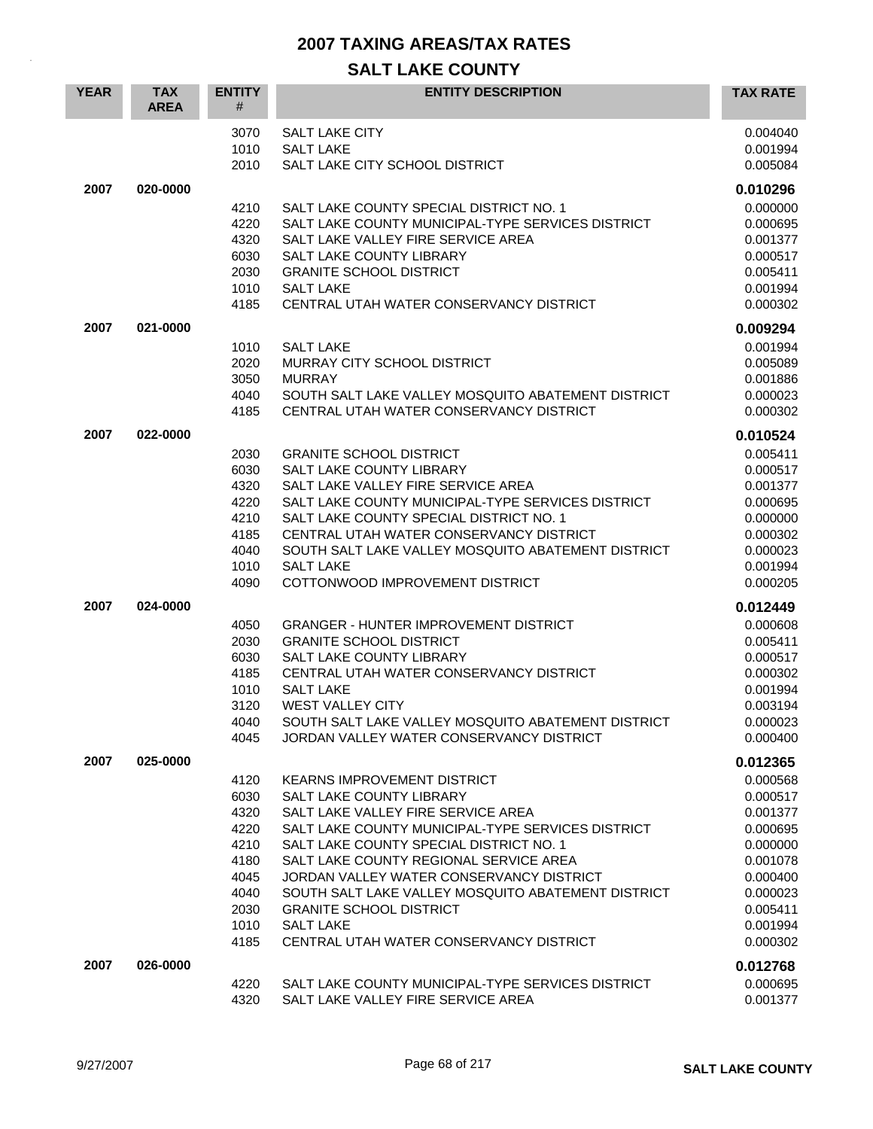| <b>SALT LAKE CITY</b><br>0.004040<br>3070<br>1010<br><b>SALT LAKE</b><br>0.001994<br>2010<br>SALT LAKE CITY SCHOOL DISTRICT<br>0.005084<br>2007<br>020-0000<br>0.010296<br>SALT LAKE COUNTY SPECIAL DISTRICT NO. 1<br>0.000000<br>4210<br>4220<br>SALT LAKE COUNTY MUNICIPAL-TYPE SERVICES DISTRICT<br>0.000695<br>4320<br>SALT LAKE VALLEY FIRE SERVICE AREA<br>0.001377<br>6030<br>SALT LAKE COUNTY LIBRARY<br>0.000517<br>2030<br><b>GRANITE SCHOOL DISTRICT</b><br>0.005411<br>1010<br><b>SALT LAKE</b><br>0.001994<br>4185<br>CENTRAL UTAH WATER CONSERVANCY DISTRICT<br>0.000302<br>2007<br>021-0000<br>0.009294<br>0.001994<br>1010<br><b>SALT LAKE</b><br>2020<br>MURRAY CITY SCHOOL DISTRICT<br>0.005089<br>3050<br><b>MURRAY</b><br>0.001886<br>4040<br>SOUTH SALT LAKE VALLEY MOSQUITO ABATEMENT DISTRICT<br>0.000023<br>4185<br>CENTRAL UTAH WATER CONSERVANCY DISTRICT<br>0.000302<br>2007<br>022-0000<br>0.010524<br>2030<br><b>GRANITE SCHOOL DISTRICT</b><br>0.005411<br>6030<br>SALT LAKE COUNTY LIBRARY<br>0.000517<br>4320<br>SALT LAKE VALLEY FIRE SERVICE AREA<br>0.001377<br>4220<br>SALT LAKE COUNTY MUNICIPAL-TYPE SERVICES DISTRICT<br>0.000695<br>4210<br>SALT LAKE COUNTY SPECIAL DISTRICT NO. 1<br>0.000000<br>4185<br>CENTRAL UTAH WATER CONSERVANCY DISTRICT<br>0.000302<br>4040<br>SOUTH SALT LAKE VALLEY MOSQUITO ABATEMENT DISTRICT<br>0.000023<br><b>SALT LAKE</b><br>1010<br>0.001994<br>4090<br>COTTONWOOD IMPROVEMENT DISTRICT<br>0.000205<br>2007<br>024-0000<br>0.012449<br><b>GRANGER - HUNTER IMPROVEMENT DISTRICT</b><br>0.000608<br>4050<br>2030<br><b>GRANITE SCHOOL DISTRICT</b><br>0.005411<br>6030<br>SALT LAKE COUNTY LIBRARY<br>0.000517<br>4185<br>CENTRAL UTAH WATER CONSERVANCY DISTRICT<br>0.000302<br>1010<br><b>SALT LAKE</b><br>0.001994<br>3120<br><b>WEST VALLEY CITY</b><br>0.003194<br>4040<br>SOUTH SALT LAKE VALLEY MOSQUITO ABATEMENT DISTRICT<br>0.000023<br>JORDAN VALLEY WATER CONSERVANCY DISTRICT<br>4045<br>0.000400<br>2007<br>025-0000<br>0.012365<br>4120<br>KEARNS IMPROVEMENT DISTRICT<br>0.000568<br>6030<br>SALT LAKE COUNTY LIBRARY<br>0.000517<br>4320<br>SALT LAKE VALLEY FIRE SERVICE AREA<br>0.001377<br>4220<br>SALT LAKE COUNTY MUNICIPAL-TYPE SERVICES DISTRICT<br>0.000695<br>SALT LAKE COUNTY SPECIAL DISTRICT NO. 1<br>4210<br>0.000000<br>4180<br>SALT LAKE COUNTY REGIONAL SERVICE AREA<br>0.001078<br>4045<br>JORDAN VALLEY WATER CONSERVANCY DISTRICT<br>0.000400<br>4040<br>SOUTH SALT LAKE VALLEY MOSQUITO ABATEMENT DISTRICT<br>0.000023<br>2030<br><b>GRANITE SCHOOL DISTRICT</b><br>0.005411<br><b>SALT LAKE</b><br>1010<br>0.001994<br>0.000302<br>4185<br>CENTRAL UTAH WATER CONSERVANCY DISTRICT<br>026-0000<br>2007<br>0.012768<br>SALT LAKE COUNTY MUNICIPAL-TYPE SERVICES DISTRICT<br>0.000695<br>4220<br>4320<br>SALT LAKE VALLEY FIRE SERVICE AREA | <b>YEAR</b> | <b>TAX</b><br><b>AREA</b> | <b>ENTITY</b><br># | <b>ENTITY DESCRIPTION</b> | <b>TAX RATE</b> |
|------------------------------------------------------------------------------------------------------------------------------------------------------------------------------------------------------------------------------------------------------------------------------------------------------------------------------------------------------------------------------------------------------------------------------------------------------------------------------------------------------------------------------------------------------------------------------------------------------------------------------------------------------------------------------------------------------------------------------------------------------------------------------------------------------------------------------------------------------------------------------------------------------------------------------------------------------------------------------------------------------------------------------------------------------------------------------------------------------------------------------------------------------------------------------------------------------------------------------------------------------------------------------------------------------------------------------------------------------------------------------------------------------------------------------------------------------------------------------------------------------------------------------------------------------------------------------------------------------------------------------------------------------------------------------------------------------------------------------------------------------------------------------------------------------------------------------------------------------------------------------------------------------------------------------------------------------------------------------------------------------------------------------------------------------------------------------------------------------------------------------------------------------------------------------------------------------------------------------------------------------------------------------------------------------------------------------------------------------------------------------------------------------------------------------------------------------------------------------------------------------------------------------------------------------------------------------------------------------------------------------------------------------------------------------------------------------------------------------------------------------------------------------------------------------------------------------------------------------------|-------------|---------------------------|--------------------|---------------------------|-----------------|
|                                                                                                                                                                                                                                                                                                                                                                                                                                                                                                                                                                                                                                                                                                                                                                                                                                                                                                                                                                                                                                                                                                                                                                                                                                                                                                                                                                                                                                                                                                                                                                                                                                                                                                                                                                                                                                                                                                                                                                                                                                                                                                                                                                                                                                                                                                                                                                                                                                                                                                                                                                                                                                                                                                                                                                                                                                                            |             |                           |                    |                           |                 |
|                                                                                                                                                                                                                                                                                                                                                                                                                                                                                                                                                                                                                                                                                                                                                                                                                                                                                                                                                                                                                                                                                                                                                                                                                                                                                                                                                                                                                                                                                                                                                                                                                                                                                                                                                                                                                                                                                                                                                                                                                                                                                                                                                                                                                                                                                                                                                                                                                                                                                                                                                                                                                                                                                                                                                                                                                                                            |             |                           |                    |                           |                 |
|                                                                                                                                                                                                                                                                                                                                                                                                                                                                                                                                                                                                                                                                                                                                                                                                                                                                                                                                                                                                                                                                                                                                                                                                                                                                                                                                                                                                                                                                                                                                                                                                                                                                                                                                                                                                                                                                                                                                                                                                                                                                                                                                                                                                                                                                                                                                                                                                                                                                                                                                                                                                                                                                                                                                                                                                                                                            |             |                           |                    |                           |                 |
|                                                                                                                                                                                                                                                                                                                                                                                                                                                                                                                                                                                                                                                                                                                                                                                                                                                                                                                                                                                                                                                                                                                                                                                                                                                                                                                                                                                                                                                                                                                                                                                                                                                                                                                                                                                                                                                                                                                                                                                                                                                                                                                                                                                                                                                                                                                                                                                                                                                                                                                                                                                                                                                                                                                                                                                                                                                            |             |                           |                    |                           |                 |
|                                                                                                                                                                                                                                                                                                                                                                                                                                                                                                                                                                                                                                                                                                                                                                                                                                                                                                                                                                                                                                                                                                                                                                                                                                                                                                                                                                                                                                                                                                                                                                                                                                                                                                                                                                                                                                                                                                                                                                                                                                                                                                                                                                                                                                                                                                                                                                                                                                                                                                                                                                                                                                                                                                                                                                                                                                                            |             |                           |                    |                           |                 |
|                                                                                                                                                                                                                                                                                                                                                                                                                                                                                                                                                                                                                                                                                                                                                                                                                                                                                                                                                                                                                                                                                                                                                                                                                                                                                                                                                                                                                                                                                                                                                                                                                                                                                                                                                                                                                                                                                                                                                                                                                                                                                                                                                                                                                                                                                                                                                                                                                                                                                                                                                                                                                                                                                                                                                                                                                                                            |             |                           |                    |                           |                 |
|                                                                                                                                                                                                                                                                                                                                                                                                                                                                                                                                                                                                                                                                                                                                                                                                                                                                                                                                                                                                                                                                                                                                                                                                                                                                                                                                                                                                                                                                                                                                                                                                                                                                                                                                                                                                                                                                                                                                                                                                                                                                                                                                                                                                                                                                                                                                                                                                                                                                                                                                                                                                                                                                                                                                                                                                                                                            |             |                           |                    |                           |                 |
|                                                                                                                                                                                                                                                                                                                                                                                                                                                                                                                                                                                                                                                                                                                                                                                                                                                                                                                                                                                                                                                                                                                                                                                                                                                                                                                                                                                                                                                                                                                                                                                                                                                                                                                                                                                                                                                                                                                                                                                                                                                                                                                                                                                                                                                                                                                                                                                                                                                                                                                                                                                                                                                                                                                                                                                                                                                            |             |                           |                    |                           |                 |
|                                                                                                                                                                                                                                                                                                                                                                                                                                                                                                                                                                                                                                                                                                                                                                                                                                                                                                                                                                                                                                                                                                                                                                                                                                                                                                                                                                                                                                                                                                                                                                                                                                                                                                                                                                                                                                                                                                                                                                                                                                                                                                                                                                                                                                                                                                                                                                                                                                                                                                                                                                                                                                                                                                                                                                                                                                                            |             |                           |                    |                           |                 |
|                                                                                                                                                                                                                                                                                                                                                                                                                                                                                                                                                                                                                                                                                                                                                                                                                                                                                                                                                                                                                                                                                                                                                                                                                                                                                                                                                                                                                                                                                                                                                                                                                                                                                                                                                                                                                                                                                                                                                                                                                                                                                                                                                                                                                                                                                                                                                                                                                                                                                                                                                                                                                                                                                                                                                                                                                                                            |             |                           |                    |                           |                 |
|                                                                                                                                                                                                                                                                                                                                                                                                                                                                                                                                                                                                                                                                                                                                                                                                                                                                                                                                                                                                                                                                                                                                                                                                                                                                                                                                                                                                                                                                                                                                                                                                                                                                                                                                                                                                                                                                                                                                                                                                                                                                                                                                                                                                                                                                                                                                                                                                                                                                                                                                                                                                                                                                                                                                                                                                                                                            |             |                           |                    |                           |                 |
|                                                                                                                                                                                                                                                                                                                                                                                                                                                                                                                                                                                                                                                                                                                                                                                                                                                                                                                                                                                                                                                                                                                                                                                                                                                                                                                                                                                                                                                                                                                                                                                                                                                                                                                                                                                                                                                                                                                                                                                                                                                                                                                                                                                                                                                                                                                                                                                                                                                                                                                                                                                                                                                                                                                                                                                                                                                            |             |                           |                    |                           |                 |
|                                                                                                                                                                                                                                                                                                                                                                                                                                                                                                                                                                                                                                                                                                                                                                                                                                                                                                                                                                                                                                                                                                                                                                                                                                                                                                                                                                                                                                                                                                                                                                                                                                                                                                                                                                                                                                                                                                                                                                                                                                                                                                                                                                                                                                                                                                                                                                                                                                                                                                                                                                                                                                                                                                                                                                                                                                                            |             |                           |                    |                           |                 |
|                                                                                                                                                                                                                                                                                                                                                                                                                                                                                                                                                                                                                                                                                                                                                                                                                                                                                                                                                                                                                                                                                                                                                                                                                                                                                                                                                                                                                                                                                                                                                                                                                                                                                                                                                                                                                                                                                                                                                                                                                                                                                                                                                                                                                                                                                                                                                                                                                                                                                                                                                                                                                                                                                                                                                                                                                                                            |             |                           |                    |                           |                 |
|                                                                                                                                                                                                                                                                                                                                                                                                                                                                                                                                                                                                                                                                                                                                                                                                                                                                                                                                                                                                                                                                                                                                                                                                                                                                                                                                                                                                                                                                                                                                                                                                                                                                                                                                                                                                                                                                                                                                                                                                                                                                                                                                                                                                                                                                                                                                                                                                                                                                                                                                                                                                                                                                                                                                                                                                                                                            |             |                           |                    |                           |                 |
|                                                                                                                                                                                                                                                                                                                                                                                                                                                                                                                                                                                                                                                                                                                                                                                                                                                                                                                                                                                                                                                                                                                                                                                                                                                                                                                                                                                                                                                                                                                                                                                                                                                                                                                                                                                                                                                                                                                                                                                                                                                                                                                                                                                                                                                                                                                                                                                                                                                                                                                                                                                                                                                                                                                                                                                                                                                            |             |                           |                    |                           |                 |
|                                                                                                                                                                                                                                                                                                                                                                                                                                                                                                                                                                                                                                                                                                                                                                                                                                                                                                                                                                                                                                                                                                                                                                                                                                                                                                                                                                                                                                                                                                                                                                                                                                                                                                                                                                                                                                                                                                                                                                                                                                                                                                                                                                                                                                                                                                                                                                                                                                                                                                                                                                                                                                                                                                                                                                                                                                                            |             |                           |                    |                           |                 |
|                                                                                                                                                                                                                                                                                                                                                                                                                                                                                                                                                                                                                                                                                                                                                                                                                                                                                                                                                                                                                                                                                                                                                                                                                                                                                                                                                                                                                                                                                                                                                                                                                                                                                                                                                                                                                                                                                                                                                                                                                                                                                                                                                                                                                                                                                                                                                                                                                                                                                                                                                                                                                                                                                                                                                                                                                                                            |             |                           |                    |                           |                 |
|                                                                                                                                                                                                                                                                                                                                                                                                                                                                                                                                                                                                                                                                                                                                                                                                                                                                                                                                                                                                                                                                                                                                                                                                                                                                                                                                                                                                                                                                                                                                                                                                                                                                                                                                                                                                                                                                                                                                                                                                                                                                                                                                                                                                                                                                                                                                                                                                                                                                                                                                                                                                                                                                                                                                                                                                                                                            |             |                           |                    |                           |                 |
|                                                                                                                                                                                                                                                                                                                                                                                                                                                                                                                                                                                                                                                                                                                                                                                                                                                                                                                                                                                                                                                                                                                                                                                                                                                                                                                                                                                                                                                                                                                                                                                                                                                                                                                                                                                                                                                                                                                                                                                                                                                                                                                                                                                                                                                                                                                                                                                                                                                                                                                                                                                                                                                                                                                                                                                                                                                            |             |                           |                    |                           |                 |
|                                                                                                                                                                                                                                                                                                                                                                                                                                                                                                                                                                                                                                                                                                                                                                                                                                                                                                                                                                                                                                                                                                                                                                                                                                                                                                                                                                                                                                                                                                                                                                                                                                                                                                                                                                                                                                                                                                                                                                                                                                                                                                                                                                                                                                                                                                                                                                                                                                                                                                                                                                                                                                                                                                                                                                                                                                                            |             |                           |                    |                           |                 |
|                                                                                                                                                                                                                                                                                                                                                                                                                                                                                                                                                                                                                                                                                                                                                                                                                                                                                                                                                                                                                                                                                                                                                                                                                                                                                                                                                                                                                                                                                                                                                                                                                                                                                                                                                                                                                                                                                                                                                                                                                                                                                                                                                                                                                                                                                                                                                                                                                                                                                                                                                                                                                                                                                                                                                                                                                                                            |             |                           |                    |                           |                 |
|                                                                                                                                                                                                                                                                                                                                                                                                                                                                                                                                                                                                                                                                                                                                                                                                                                                                                                                                                                                                                                                                                                                                                                                                                                                                                                                                                                                                                                                                                                                                                                                                                                                                                                                                                                                                                                                                                                                                                                                                                                                                                                                                                                                                                                                                                                                                                                                                                                                                                                                                                                                                                                                                                                                                                                                                                                                            |             |                           |                    |                           |                 |
|                                                                                                                                                                                                                                                                                                                                                                                                                                                                                                                                                                                                                                                                                                                                                                                                                                                                                                                                                                                                                                                                                                                                                                                                                                                                                                                                                                                                                                                                                                                                                                                                                                                                                                                                                                                                                                                                                                                                                                                                                                                                                                                                                                                                                                                                                                                                                                                                                                                                                                                                                                                                                                                                                                                                                                                                                                                            |             |                           |                    |                           |                 |
|                                                                                                                                                                                                                                                                                                                                                                                                                                                                                                                                                                                                                                                                                                                                                                                                                                                                                                                                                                                                                                                                                                                                                                                                                                                                                                                                                                                                                                                                                                                                                                                                                                                                                                                                                                                                                                                                                                                                                                                                                                                                                                                                                                                                                                                                                                                                                                                                                                                                                                                                                                                                                                                                                                                                                                                                                                                            |             |                           |                    |                           |                 |
|                                                                                                                                                                                                                                                                                                                                                                                                                                                                                                                                                                                                                                                                                                                                                                                                                                                                                                                                                                                                                                                                                                                                                                                                                                                                                                                                                                                                                                                                                                                                                                                                                                                                                                                                                                                                                                                                                                                                                                                                                                                                                                                                                                                                                                                                                                                                                                                                                                                                                                                                                                                                                                                                                                                                                                                                                                                            |             |                           |                    |                           |                 |
|                                                                                                                                                                                                                                                                                                                                                                                                                                                                                                                                                                                                                                                                                                                                                                                                                                                                                                                                                                                                                                                                                                                                                                                                                                                                                                                                                                                                                                                                                                                                                                                                                                                                                                                                                                                                                                                                                                                                                                                                                                                                                                                                                                                                                                                                                                                                                                                                                                                                                                                                                                                                                                                                                                                                                                                                                                                            |             |                           |                    |                           |                 |
|                                                                                                                                                                                                                                                                                                                                                                                                                                                                                                                                                                                                                                                                                                                                                                                                                                                                                                                                                                                                                                                                                                                                                                                                                                                                                                                                                                                                                                                                                                                                                                                                                                                                                                                                                                                                                                                                                                                                                                                                                                                                                                                                                                                                                                                                                                                                                                                                                                                                                                                                                                                                                                                                                                                                                                                                                                                            |             |                           |                    |                           |                 |
|                                                                                                                                                                                                                                                                                                                                                                                                                                                                                                                                                                                                                                                                                                                                                                                                                                                                                                                                                                                                                                                                                                                                                                                                                                                                                                                                                                                                                                                                                                                                                                                                                                                                                                                                                                                                                                                                                                                                                                                                                                                                                                                                                                                                                                                                                                                                                                                                                                                                                                                                                                                                                                                                                                                                                                                                                                                            |             |                           |                    |                           |                 |
|                                                                                                                                                                                                                                                                                                                                                                                                                                                                                                                                                                                                                                                                                                                                                                                                                                                                                                                                                                                                                                                                                                                                                                                                                                                                                                                                                                                                                                                                                                                                                                                                                                                                                                                                                                                                                                                                                                                                                                                                                                                                                                                                                                                                                                                                                                                                                                                                                                                                                                                                                                                                                                                                                                                                                                                                                                                            |             |                           |                    |                           |                 |
|                                                                                                                                                                                                                                                                                                                                                                                                                                                                                                                                                                                                                                                                                                                                                                                                                                                                                                                                                                                                                                                                                                                                                                                                                                                                                                                                                                                                                                                                                                                                                                                                                                                                                                                                                                                                                                                                                                                                                                                                                                                                                                                                                                                                                                                                                                                                                                                                                                                                                                                                                                                                                                                                                                                                                                                                                                                            |             |                           |                    |                           |                 |
|                                                                                                                                                                                                                                                                                                                                                                                                                                                                                                                                                                                                                                                                                                                                                                                                                                                                                                                                                                                                                                                                                                                                                                                                                                                                                                                                                                                                                                                                                                                                                                                                                                                                                                                                                                                                                                                                                                                                                                                                                                                                                                                                                                                                                                                                                                                                                                                                                                                                                                                                                                                                                                                                                                                                                                                                                                                            |             |                           |                    |                           |                 |
|                                                                                                                                                                                                                                                                                                                                                                                                                                                                                                                                                                                                                                                                                                                                                                                                                                                                                                                                                                                                                                                                                                                                                                                                                                                                                                                                                                                                                                                                                                                                                                                                                                                                                                                                                                                                                                                                                                                                                                                                                                                                                                                                                                                                                                                                                                                                                                                                                                                                                                                                                                                                                                                                                                                                                                                                                                                            |             |                           |                    |                           |                 |
|                                                                                                                                                                                                                                                                                                                                                                                                                                                                                                                                                                                                                                                                                                                                                                                                                                                                                                                                                                                                                                                                                                                                                                                                                                                                                                                                                                                                                                                                                                                                                                                                                                                                                                                                                                                                                                                                                                                                                                                                                                                                                                                                                                                                                                                                                                                                                                                                                                                                                                                                                                                                                                                                                                                                                                                                                                                            |             |                           |                    |                           |                 |
|                                                                                                                                                                                                                                                                                                                                                                                                                                                                                                                                                                                                                                                                                                                                                                                                                                                                                                                                                                                                                                                                                                                                                                                                                                                                                                                                                                                                                                                                                                                                                                                                                                                                                                                                                                                                                                                                                                                                                                                                                                                                                                                                                                                                                                                                                                                                                                                                                                                                                                                                                                                                                                                                                                                                                                                                                                                            |             |                           |                    |                           |                 |
|                                                                                                                                                                                                                                                                                                                                                                                                                                                                                                                                                                                                                                                                                                                                                                                                                                                                                                                                                                                                                                                                                                                                                                                                                                                                                                                                                                                                                                                                                                                                                                                                                                                                                                                                                                                                                                                                                                                                                                                                                                                                                                                                                                                                                                                                                                                                                                                                                                                                                                                                                                                                                                                                                                                                                                                                                                                            |             |                           |                    |                           |                 |
|                                                                                                                                                                                                                                                                                                                                                                                                                                                                                                                                                                                                                                                                                                                                                                                                                                                                                                                                                                                                                                                                                                                                                                                                                                                                                                                                                                                                                                                                                                                                                                                                                                                                                                                                                                                                                                                                                                                                                                                                                                                                                                                                                                                                                                                                                                                                                                                                                                                                                                                                                                                                                                                                                                                                                                                                                                                            |             |                           |                    |                           |                 |
|                                                                                                                                                                                                                                                                                                                                                                                                                                                                                                                                                                                                                                                                                                                                                                                                                                                                                                                                                                                                                                                                                                                                                                                                                                                                                                                                                                                                                                                                                                                                                                                                                                                                                                                                                                                                                                                                                                                                                                                                                                                                                                                                                                                                                                                                                                                                                                                                                                                                                                                                                                                                                                                                                                                                                                                                                                                            |             |                           |                    |                           |                 |
|                                                                                                                                                                                                                                                                                                                                                                                                                                                                                                                                                                                                                                                                                                                                                                                                                                                                                                                                                                                                                                                                                                                                                                                                                                                                                                                                                                                                                                                                                                                                                                                                                                                                                                                                                                                                                                                                                                                                                                                                                                                                                                                                                                                                                                                                                                                                                                                                                                                                                                                                                                                                                                                                                                                                                                                                                                                            |             |                           |                    |                           |                 |
|                                                                                                                                                                                                                                                                                                                                                                                                                                                                                                                                                                                                                                                                                                                                                                                                                                                                                                                                                                                                                                                                                                                                                                                                                                                                                                                                                                                                                                                                                                                                                                                                                                                                                                                                                                                                                                                                                                                                                                                                                                                                                                                                                                                                                                                                                                                                                                                                                                                                                                                                                                                                                                                                                                                                                                                                                                                            |             |                           |                    |                           |                 |
|                                                                                                                                                                                                                                                                                                                                                                                                                                                                                                                                                                                                                                                                                                                                                                                                                                                                                                                                                                                                                                                                                                                                                                                                                                                                                                                                                                                                                                                                                                                                                                                                                                                                                                                                                                                                                                                                                                                                                                                                                                                                                                                                                                                                                                                                                                                                                                                                                                                                                                                                                                                                                                                                                                                                                                                                                                                            |             |                           |                    |                           |                 |
|                                                                                                                                                                                                                                                                                                                                                                                                                                                                                                                                                                                                                                                                                                                                                                                                                                                                                                                                                                                                                                                                                                                                                                                                                                                                                                                                                                                                                                                                                                                                                                                                                                                                                                                                                                                                                                                                                                                                                                                                                                                                                                                                                                                                                                                                                                                                                                                                                                                                                                                                                                                                                                                                                                                                                                                                                                                            |             |                           |                    |                           |                 |
|                                                                                                                                                                                                                                                                                                                                                                                                                                                                                                                                                                                                                                                                                                                                                                                                                                                                                                                                                                                                                                                                                                                                                                                                                                                                                                                                                                                                                                                                                                                                                                                                                                                                                                                                                                                                                                                                                                                                                                                                                                                                                                                                                                                                                                                                                                                                                                                                                                                                                                                                                                                                                                                                                                                                                                                                                                                            |             |                           |                    |                           |                 |
|                                                                                                                                                                                                                                                                                                                                                                                                                                                                                                                                                                                                                                                                                                                                                                                                                                                                                                                                                                                                                                                                                                                                                                                                                                                                                                                                                                                                                                                                                                                                                                                                                                                                                                                                                                                                                                                                                                                                                                                                                                                                                                                                                                                                                                                                                                                                                                                                                                                                                                                                                                                                                                                                                                                                                                                                                                                            |             |                           |                    |                           |                 |
|                                                                                                                                                                                                                                                                                                                                                                                                                                                                                                                                                                                                                                                                                                                                                                                                                                                                                                                                                                                                                                                                                                                                                                                                                                                                                                                                                                                                                                                                                                                                                                                                                                                                                                                                                                                                                                                                                                                                                                                                                                                                                                                                                                                                                                                                                                                                                                                                                                                                                                                                                                                                                                                                                                                                                                                                                                                            |             |                           |                    |                           |                 |
|                                                                                                                                                                                                                                                                                                                                                                                                                                                                                                                                                                                                                                                                                                                                                                                                                                                                                                                                                                                                                                                                                                                                                                                                                                                                                                                                                                                                                                                                                                                                                                                                                                                                                                                                                                                                                                                                                                                                                                                                                                                                                                                                                                                                                                                                                                                                                                                                                                                                                                                                                                                                                                                                                                                                                                                                                                                            |             |                           |                    |                           | 0.001377        |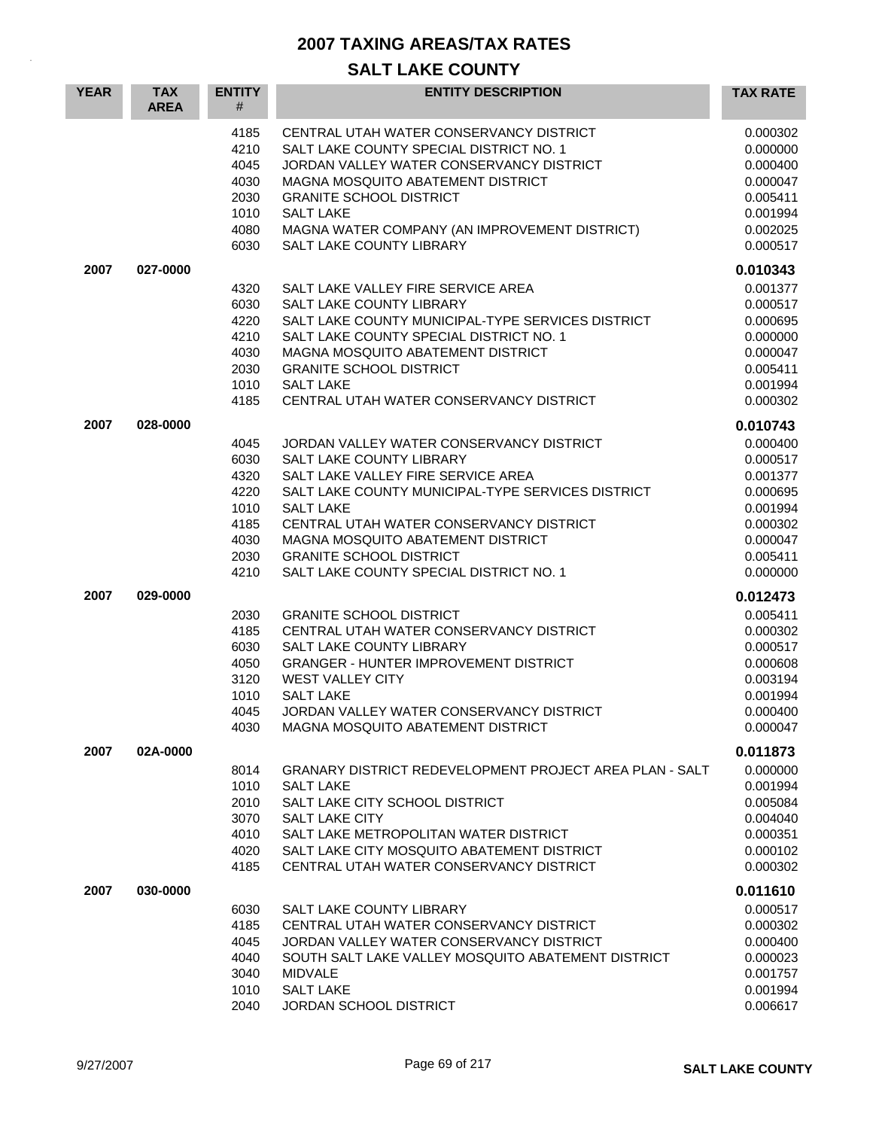| <b>YEAR</b> | <b>TAX</b><br><b>AREA</b> | <b>ENTITY</b><br>#                                                   | <b>ENTITY DESCRIPTION</b>                                                                                                                                                                                                                                                                                                                        | <b>TAX RATE</b>                                                                                          |
|-------------|---------------------------|----------------------------------------------------------------------|--------------------------------------------------------------------------------------------------------------------------------------------------------------------------------------------------------------------------------------------------------------------------------------------------------------------------------------------------|----------------------------------------------------------------------------------------------------------|
|             |                           | 4185<br>4210<br>4045<br>4030<br>2030<br>1010<br>4080<br>6030         | CENTRAL UTAH WATER CONSERVANCY DISTRICT<br>SALT LAKE COUNTY SPECIAL DISTRICT NO. 1<br>JORDAN VALLEY WATER CONSERVANCY DISTRICT<br>MAGNA MOSQUITO ABATEMENT DISTRICT<br><b>GRANITE SCHOOL DISTRICT</b><br><b>SALT LAKE</b><br>MAGNA WATER COMPANY (AN IMPROVEMENT DISTRICT)<br>SALT LAKE COUNTY LIBRARY                                           | 0.000302<br>0.000000<br>0.000400<br>0.000047<br>0.005411<br>0.001994<br>0.002025<br>0.000517             |
| 2007        | 027-0000                  |                                                                      |                                                                                                                                                                                                                                                                                                                                                  | 0.010343                                                                                                 |
|             |                           | 4320<br>6030<br>4220<br>4210<br>4030<br>2030<br>1010<br>4185         | SALT LAKE VALLEY FIRE SERVICE AREA<br>SALT LAKE COUNTY LIBRARY<br>SALT LAKE COUNTY MUNICIPAL-TYPE SERVICES DISTRICT<br>SALT LAKE COUNTY SPECIAL DISTRICT NO. 1<br>MAGNA MOSQUITO ABATEMENT DISTRICT<br><b>GRANITE SCHOOL DISTRICT</b><br><b>SALT LAKE</b><br>CENTRAL UTAH WATER CONSERVANCY DISTRICT                                             | 0.001377<br>0.000517<br>0.000695<br>0.000000<br>0.000047<br>0.005411<br>0.001994<br>0.000302             |
| 2007        | 028-0000                  |                                                                      |                                                                                                                                                                                                                                                                                                                                                  | 0.010743                                                                                                 |
|             |                           | 4045<br>6030<br>4320<br>4220<br>1010<br>4185<br>4030<br>2030<br>4210 | JORDAN VALLEY WATER CONSERVANCY DISTRICT<br>SALT LAKE COUNTY LIBRARY<br>SALT LAKE VALLEY FIRE SERVICE AREA<br>SALT LAKE COUNTY MUNICIPAL-TYPE SERVICES DISTRICT<br><b>SALT LAKE</b><br>CENTRAL UTAH WATER CONSERVANCY DISTRICT<br>MAGNA MOSQUITO ABATEMENT DISTRICT<br><b>GRANITE SCHOOL DISTRICT</b><br>SALT LAKE COUNTY SPECIAL DISTRICT NO. 1 | 0.000400<br>0.000517<br>0.001377<br>0.000695<br>0.001994<br>0.000302<br>0.000047<br>0.005411<br>0.000000 |
| 2007        | 029-0000                  |                                                                      |                                                                                                                                                                                                                                                                                                                                                  | 0.012473                                                                                                 |
|             |                           | 2030<br>4185<br>6030<br>4050<br>3120<br>1010<br>4045<br>4030         | <b>GRANITE SCHOOL DISTRICT</b><br>CENTRAL UTAH WATER CONSERVANCY DISTRICT<br>SALT LAKE COUNTY LIBRARY<br><b>GRANGER - HUNTER IMPROVEMENT DISTRICT</b><br>WEST VALLEY CITY<br><b>SALT LAKE</b><br>JORDAN VALLEY WATER CONSERVANCY DISTRICT<br>MAGNA MOSQUITO ABATEMENT DISTRICT                                                                   | 0.005411<br>0.000302<br>0.000517<br>0.000608<br>0.003194<br>0.001994<br>0.000400<br>0.000047             |
| 2007        | 02A-0000                  |                                                                      |                                                                                                                                                                                                                                                                                                                                                  | 0.011873                                                                                                 |
|             |                           | 8014<br>1010<br>2010<br>3070<br>4010<br>4020<br>4185                 | GRANARY DISTRICT REDEVELOPMENT PROJECT AREA PLAN - SALT<br><b>SALT LAKE</b><br>SALT LAKE CITY SCHOOL DISTRICT<br><b>SALT LAKE CITY</b><br>SALT LAKE METROPOLITAN WATER DISTRICT<br>SALT LAKE CITY MOSQUITO ABATEMENT DISTRICT<br>CENTRAL UTAH WATER CONSERVANCY DISTRICT                                                                         | 0.000000<br>0.001994<br>0.005084<br>0.004040<br>0.000351<br>0.000102<br>0.000302                         |
| 2007        | 030-0000                  |                                                                      |                                                                                                                                                                                                                                                                                                                                                  | 0.011610                                                                                                 |
|             |                           | 6030<br>4185<br>4045<br>4040<br>3040<br>1010<br>2040                 | SALT LAKE COUNTY LIBRARY<br>CENTRAL UTAH WATER CONSERVANCY DISTRICT<br>JORDAN VALLEY WATER CONSERVANCY DISTRICT<br>SOUTH SALT LAKE VALLEY MOSQUITO ABATEMENT DISTRICT<br><b>MIDVALE</b><br><b>SALT LAKE</b><br><b>JORDAN SCHOOL DISTRICT</b>                                                                                                     | 0.000517<br>0.000302<br>0.000400<br>0.000023<br>0.001757<br>0.001994<br>0.006617                         |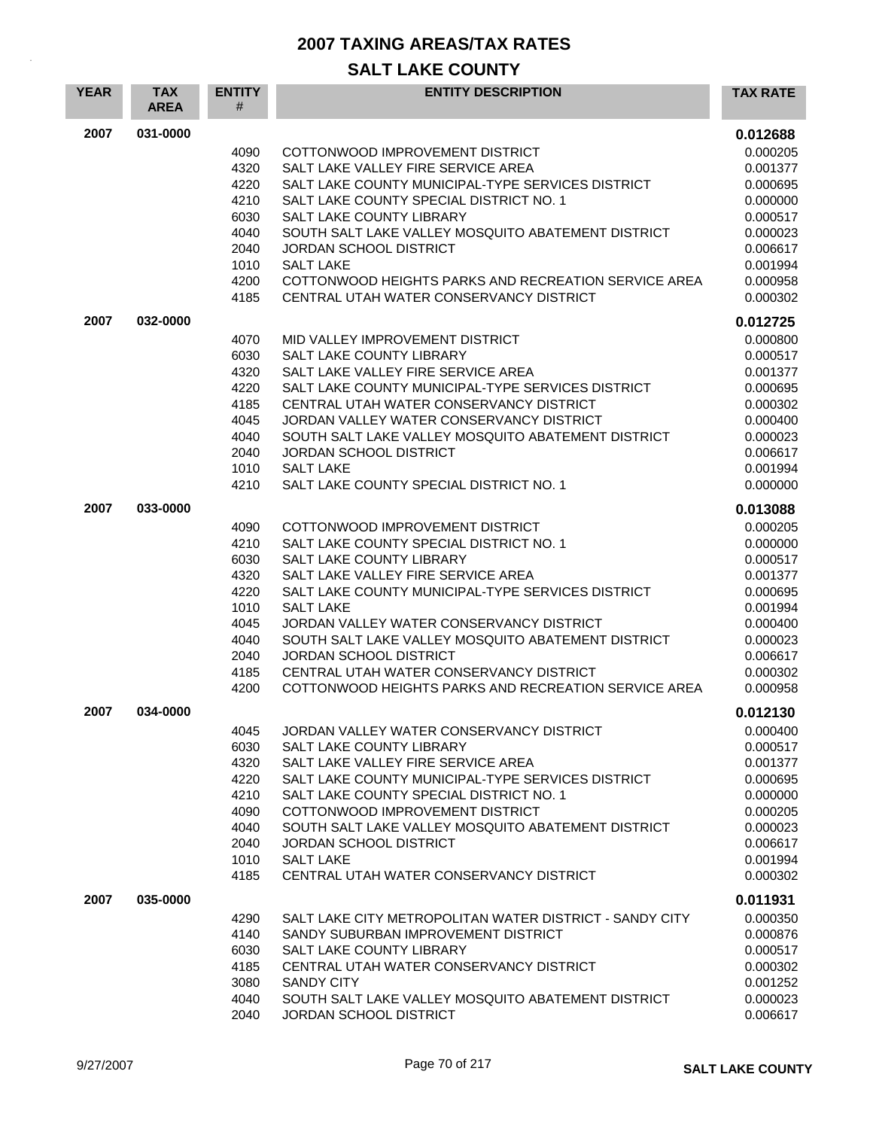| <b>YEAR</b> | <b>TAX</b><br><b>AREA</b> | <b>ENTITY</b><br># | <b>ENTITY DESCRIPTION</b>                                             | <b>TAX RATE</b>      |
|-------------|---------------------------|--------------------|-----------------------------------------------------------------------|----------------------|
| 2007        | 031-0000                  |                    |                                                                       | 0.012688             |
|             |                           | 4090               | COTTONWOOD IMPROVEMENT DISTRICT                                       | 0.000205             |
|             |                           | 4320               | SALT LAKE VALLEY FIRE SERVICE AREA                                    | 0.001377             |
|             |                           | 4220               | SALT LAKE COUNTY MUNICIPAL-TYPE SERVICES DISTRICT                     | 0.000695             |
|             |                           | 4210               | SALT LAKE COUNTY SPECIAL DISTRICT NO. 1                               | 0.000000             |
|             |                           | 6030               | SALT LAKE COUNTY LIBRARY                                              | 0.000517             |
|             |                           | 4040               | SOUTH SALT LAKE VALLEY MOSQUITO ABATEMENT DISTRICT                    | 0.000023             |
|             |                           | 2040<br>1010       | JORDAN SCHOOL DISTRICT<br><b>SALT LAKE</b>                            | 0.006617<br>0.001994 |
|             |                           | 4200               | COTTONWOOD HEIGHTS PARKS AND RECREATION SERVICE AREA                  | 0.000958             |
|             |                           | 4185               | CENTRAL UTAH WATER CONSERVANCY DISTRICT                               | 0.000302             |
| 2007        | 032-0000                  |                    |                                                                       | 0.012725             |
|             |                           | 4070               | MID VALLEY IMPROVEMENT DISTRICT                                       | 0.000800             |
|             |                           | 6030               | <b>SALT LAKE COUNTY LIBRARY</b>                                       | 0.000517             |
|             |                           | 4320               | SALT LAKE VALLEY FIRE SERVICE AREA                                    | 0.001377             |
|             |                           | 4220               | SALT LAKE COUNTY MUNICIPAL-TYPE SERVICES DISTRICT                     | 0.000695             |
|             |                           | 4185               | CENTRAL UTAH WATER CONSERVANCY DISTRICT                               | 0.000302             |
|             |                           | 4045               | JORDAN VALLEY WATER CONSERVANCY DISTRICT                              | 0.000400             |
|             |                           | 4040               | SOUTH SALT LAKE VALLEY MOSQUITO ABATEMENT DISTRICT                    | 0.000023             |
|             |                           | 2040               | JORDAN SCHOOL DISTRICT                                                | 0.006617             |
|             |                           | 1010               | <b>SALT LAKE</b>                                                      | 0.001994             |
|             |                           | 4210               | SALT LAKE COUNTY SPECIAL DISTRICT NO. 1                               | 0.000000             |
| 2007        | 033-0000                  |                    |                                                                       | 0.013088             |
|             |                           | 4090               | COTTONWOOD IMPROVEMENT DISTRICT                                       | 0.000205             |
|             |                           | 4210               | SALT LAKE COUNTY SPECIAL DISTRICT NO. 1                               | 0.000000             |
|             |                           | 6030               | SALT LAKE COUNTY LIBRARY                                              | 0.000517             |
|             |                           | 4320               | SALT LAKE VALLEY FIRE SERVICE AREA                                    | 0.001377             |
|             |                           | 4220               | SALT LAKE COUNTY MUNICIPAL-TYPE SERVICES DISTRICT<br><b>SALT LAKE</b> | 0.000695             |
|             |                           | 1010<br>4045       | JORDAN VALLEY WATER CONSERVANCY DISTRICT                              | 0.001994<br>0.000400 |
|             |                           | 4040               | SOUTH SALT LAKE VALLEY MOSQUITO ABATEMENT DISTRICT                    | 0.000023             |
|             |                           | 2040               | <b>JORDAN SCHOOL DISTRICT</b>                                         | 0.006617             |
|             |                           | 4185               | CENTRAL UTAH WATER CONSERVANCY DISTRICT                               | 0.000302             |
|             |                           | 4200               | COTTONWOOD HEIGHTS PARKS AND RECREATION SERVICE AREA                  | 0.000958             |
| 2007        | 034-0000                  |                    |                                                                       | 0.012130             |
|             |                           | 4045               | JORDAN VALLEY WATER CONSERVANCY DISTRICT                              | 0.000400             |
|             |                           | 6030               | SALT LAKE COUNTY LIBRARY                                              | 0.000517             |
|             |                           | 4320               | SALT LAKE VALLEY FIRE SERVICE AREA                                    | 0.001377             |
|             |                           | 4220               | SALT LAKE COUNTY MUNICIPAL-TYPE SERVICES DISTRICT                     | 0.000695             |
|             |                           | 4210               | SALT LAKE COUNTY SPECIAL DISTRICT NO. 1                               | 0.000000             |
|             |                           | 4090               | COTTONWOOD IMPROVEMENT DISTRICT                                       | 0.000205             |
|             |                           | 4040               | SOUTH SALT LAKE VALLEY MOSQUITO ABATEMENT DISTRICT                    | 0.000023             |
|             |                           | 2040<br>1010       | <b>JORDAN SCHOOL DISTRICT</b><br><b>SALT LAKE</b>                     | 0.006617<br>0.001994 |
|             |                           | 4185               | CENTRAL UTAH WATER CONSERVANCY DISTRICT                               | 0.000302             |
| 2007        | 035-0000                  |                    |                                                                       | 0.011931             |
|             |                           | 4290               | SALT LAKE CITY METROPOLITAN WATER DISTRICT - SANDY CITY               | 0.000350             |
|             |                           | 4140               | SANDY SUBURBAN IMPROVEMENT DISTRICT                                   | 0.000876             |
|             |                           | 6030               | SALT LAKE COUNTY LIBRARY                                              | 0.000517             |
|             |                           | 4185               | CENTRAL UTAH WATER CONSERVANCY DISTRICT                               | 0.000302             |
|             |                           | 3080               | <b>SANDY CITY</b>                                                     | 0.001252             |
|             |                           | 4040               | SOUTH SALT LAKE VALLEY MOSQUITO ABATEMENT DISTRICT                    | 0.000023             |
|             |                           | 2040               | JORDAN SCHOOL DISTRICT                                                | 0.006617             |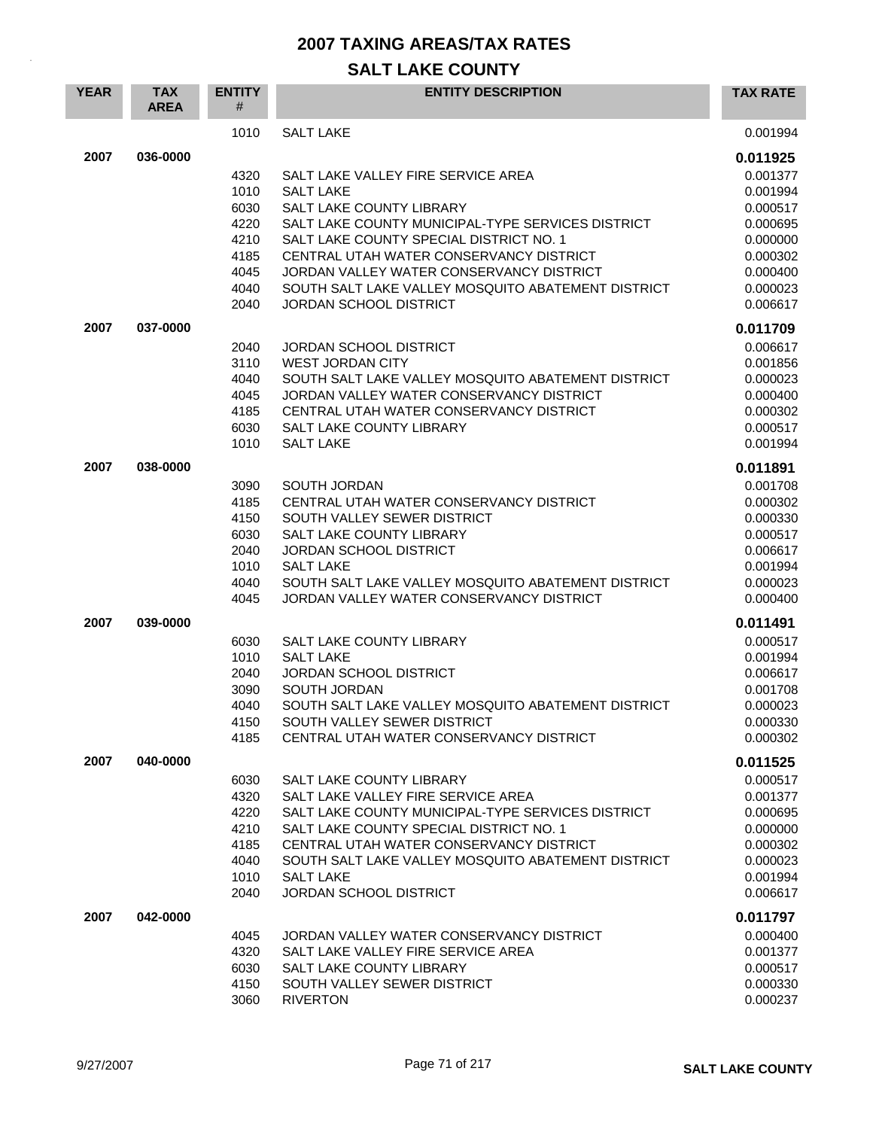| <b>YEAR</b> | <b>TAX</b><br><b>AREA</b> | <b>ENTITY</b><br># | <b>ENTITY DESCRIPTION</b>                                              | <b>TAX RATE</b>      |
|-------------|---------------------------|--------------------|------------------------------------------------------------------------|----------------------|
|             |                           | 1010               | <b>SALT LAKE</b>                                                       | 0.001994             |
| 2007        | 036-0000                  |                    |                                                                        | 0.011925             |
|             |                           | 4320               | SALT LAKE VALLEY FIRE SERVICE AREA                                     | 0.001377             |
|             |                           | 1010               | <b>SALT LAKE</b>                                                       | 0.001994             |
|             |                           | 6030               | SALT LAKE COUNTY LIBRARY                                               | 0.000517             |
|             |                           | 4220               | SALT LAKE COUNTY MUNICIPAL-TYPE SERVICES DISTRICT                      | 0.000695             |
|             |                           | 4210               | SALT LAKE COUNTY SPECIAL DISTRICT NO. 1                                | 0.000000             |
|             |                           | 4185               | CENTRAL UTAH WATER CONSERVANCY DISTRICT                                | 0.000302             |
|             |                           | 4045               | JORDAN VALLEY WATER CONSERVANCY DISTRICT                               | 0.000400             |
|             |                           | 4040               | SOUTH SALT LAKE VALLEY MOSQUITO ABATEMENT DISTRICT                     | 0.000023             |
|             |                           | 2040               | <b>JORDAN SCHOOL DISTRICT</b>                                          | 0.006617             |
| 2007        | 037-0000                  |                    |                                                                        | 0.011709             |
|             |                           | 2040               | <b>JORDAN SCHOOL DISTRICT</b>                                          | 0.006617             |
|             |                           | 3110               | <b>WEST JORDAN CITY</b>                                                | 0.001856             |
|             |                           | 4040               | SOUTH SALT LAKE VALLEY MOSQUITO ABATEMENT DISTRICT                     | 0.000023             |
|             |                           | 4045               | JORDAN VALLEY WATER CONSERVANCY DISTRICT                               | 0.000400             |
|             |                           | 4185               | CENTRAL UTAH WATER CONSERVANCY DISTRICT                                | 0.000302             |
|             |                           | 6030               | <b>SALT LAKE COUNTY LIBRARY</b>                                        | 0.000517             |
|             |                           | 1010               | <b>SALT LAKE</b>                                                       | 0.001994             |
| 2007        | 038-0000                  |                    |                                                                        | 0.011891             |
|             |                           | 3090               | SOUTH JORDAN                                                           | 0.001708             |
|             |                           | 4185               | CENTRAL UTAH WATER CONSERVANCY DISTRICT                                | 0.000302             |
|             |                           | 4150               | SOUTH VALLEY SEWER DISTRICT                                            | 0.000330             |
|             |                           | 6030               | SALT LAKE COUNTY LIBRARY                                               | 0.000517             |
|             |                           | 2040               | <b>JORDAN SCHOOL DISTRICT</b>                                          | 0.006617             |
|             |                           | 1010               | <b>SALT LAKE</b>                                                       | 0.001994             |
|             |                           | 4040               | SOUTH SALT LAKE VALLEY MOSQUITO ABATEMENT DISTRICT                     | 0.000023             |
|             |                           | 4045               | JORDAN VALLEY WATER CONSERVANCY DISTRICT                               | 0.000400             |
| 2007        | 039-0000                  |                    |                                                                        | 0.011491             |
|             |                           | 6030               | <b>SALT LAKE COUNTY LIBRARY</b>                                        | 0.000517             |
|             |                           | 1010               | <b>SALT LAKE</b>                                                       | 0.001994             |
|             |                           | 2040               | <b>JORDAN SCHOOL DISTRICT</b>                                          | 0.006617             |
|             |                           | 3090               | SOUTH JORDAN                                                           | 0.001708             |
|             |                           | 4040               | SOUTH SALT LAKE VALLEY MOSQUITO ABATEMENT DISTRICT                     | 0.000023             |
|             |                           | 4150               | SOUTH VALLEY SEWER DISTRICT                                            | 0.000330             |
|             |                           | 4185               | CENTRAL UTAH WATER CONSERVANCY DISTRICT                                | 0.000302             |
| 2007        | 040-0000                  |                    |                                                                        | 0.011525             |
|             |                           | 6030               | SALT LAKE COUNTY LIBRARY                                               | 0.000517             |
|             |                           | 4320               | SALT LAKE VALLEY FIRE SERVICE AREA                                     | 0.001377             |
|             |                           | 4220               | SALT LAKE COUNTY MUNICIPAL-TYPE SERVICES DISTRICT                      | 0.000695             |
|             |                           | 4210               | SALT LAKE COUNTY SPECIAL DISTRICT NO. 1                                | 0.000000             |
|             |                           | 4185               | CENTRAL UTAH WATER CONSERVANCY DISTRICT                                | 0.000302             |
|             |                           | 4040<br>1010       | SOUTH SALT LAKE VALLEY MOSQUITO ABATEMENT DISTRICT<br><b>SALT LAKE</b> | 0.000023<br>0.001994 |
|             |                           | 2040               | <b>JORDAN SCHOOL DISTRICT</b>                                          | 0.006617             |
| 2007        | 042-0000                  |                    |                                                                        | 0.011797             |
|             |                           | 4045               | JORDAN VALLEY WATER CONSERVANCY DISTRICT                               | 0.000400             |
|             |                           | 4320               | SALT LAKE VALLEY FIRE SERVICE AREA                                     | 0.001377             |
|             |                           | 6030               | SALT LAKE COUNTY LIBRARY                                               | 0.000517             |
|             |                           | 4150               | SOUTH VALLEY SEWER DISTRICT                                            | 0.000330             |
|             |                           | 3060               | <b>RIVERTON</b>                                                        | 0.000237             |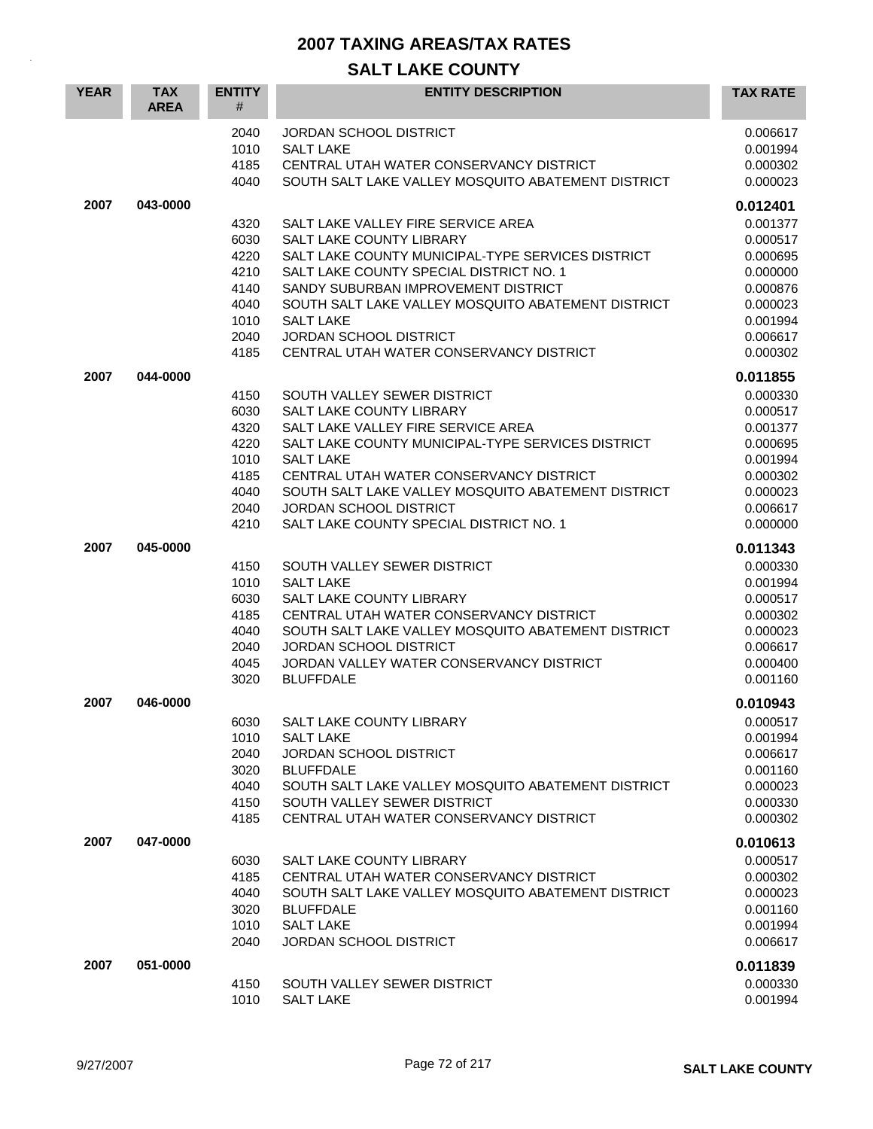| <b>YEAR</b> | <b>TAX</b><br><b>AREA</b> | <b>ENTITY</b><br>#                                                           | <b>ENTITY DESCRIPTION</b>                                                                                                                                                                                                                                                                                                                                                                      | <b>TAX RATE</b>                                                                                                                  |
|-------------|---------------------------|------------------------------------------------------------------------------|------------------------------------------------------------------------------------------------------------------------------------------------------------------------------------------------------------------------------------------------------------------------------------------------------------------------------------------------------------------------------------------------|----------------------------------------------------------------------------------------------------------------------------------|
|             |                           | 2040<br>1010<br>4185<br>4040                                                 | <b>JORDAN SCHOOL DISTRICT</b><br><b>SALT LAKE</b><br>CENTRAL UTAH WATER CONSERVANCY DISTRICT<br>SOUTH SALT LAKE VALLEY MOSQUITO ABATEMENT DISTRICT                                                                                                                                                                                                                                             | 0.006617<br>0.001994<br>0.000302<br>0.000023                                                                                     |
| 2007        | 043-0000                  | 4320<br>6030<br>4220<br>4210<br>4140<br>4040<br>1010<br>2040                 | SALT LAKE VALLEY FIRE SERVICE AREA<br>SALT LAKE COUNTY LIBRARY<br>SALT LAKE COUNTY MUNICIPAL-TYPE SERVICES DISTRICT<br>SALT LAKE COUNTY SPECIAL DISTRICT NO. 1<br>SANDY SUBURBAN IMPROVEMENT DISTRICT<br>SOUTH SALT LAKE VALLEY MOSQUITO ABATEMENT DISTRICT<br><b>SALT LAKE</b><br><b>JORDAN SCHOOL DISTRICT</b>                                                                               | 0.012401<br>0.001377<br>0.000517<br>0.000695<br>0.000000<br>0.000876<br>0.000023<br>0.001994<br>0.006617                         |
| 2007        | 044-0000                  | 4185<br>4150<br>6030<br>4320<br>4220<br>1010<br>4185<br>4040<br>2040<br>4210 | CENTRAL UTAH WATER CONSERVANCY DISTRICT<br>SOUTH VALLEY SEWER DISTRICT<br>SALT LAKE COUNTY LIBRARY<br>SALT LAKE VALLEY FIRE SERVICE AREA<br>SALT LAKE COUNTY MUNICIPAL-TYPE SERVICES DISTRICT<br><b>SALT LAKE</b><br>CENTRAL UTAH WATER CONSERVANCY DISTRICT<br>SOUTH SALT LAKE VALLEY MOSQUITO ABATEMENT DISTRICT<br><b>JORDAN SCHOOL DISTRICT</b><br>SALT LAKE COUNTY SPECIAL DISTRICT NO. 1 | 0.000302<br>0.011855<br>0.000330<br>0.000517<br>0.001377<br>0.000695<br>0.001994<br>0.000302<br>0.000023<br>0.006617<br>0.000000 |
| 2007        | 045-0000                  | 4150<br>1010<br>6030<br>4185<br>4040<br>2040<br>4045<br>3020                 | SOUTH VALLEY SEWER DISTRICT<br><b>SALT LAKE</b><br>SALT LAKE COUNTY LIBRARY<br>CENTRAL UTAH WATER CONSERVANCY DISTRICT<br>SOUTH SALT LAKE VALLEY MOSQUITO ABATEMENT DISTRICT<br><b>JORDAN SCHOOL DISTRICT</b><br>JORDAN VALLEY WATER CONSERVANCY DISTRICT<br><b>BLUFFDALE</b>                                                                                                                  | 0.011343<br>0.000330<br>0.001994<br>0.000517<br>0.000302<br>0.000023<br>0.006617<br>0.000400<br>0.001160                         |
| 2007        | 046-0000                  | 6030<br>1010<br>2040<br>3020<br>4040<br>4150<br>4185                         | SALT LAKE COUNTY LIBRARY<br><b>SALT LAKE</b><br><b>JORDAN SCHOOL DISTRICT</b><br><b>BLUFFDALE</b><br>SOUTH SALT LAKE VALLEY MOSQUITO ABATEMENT DISTRICT<br>SOUTH VALLEY SEWER DISTRICT<br>CENTRAL UTAH WATER CONSERVANCY DISTRICT                                                                                                                                                              | 0.010943<br>0.000517<br>0.001994<br>0.006617<br>0.001160<br>0.000023<br>0.000330<br>0.000302                                     |
| 2007        | 047-0000                  | 6030<br>4185<br>4040<br>3020<br>1010<br>2040                                 | SALT LAKE COUNTY LIBRARY<br>CENTRAL UTAH WATER CONSERVANCY DISTRICT<br>SOUTH SALT LAKE VALLEY MOSQUITO ABATEMENT DISTRICT<br><b>BLUFFDALE</b><br><b>SALT LAKE</b><br><b>JORDAN SCHOOL DISTRICT</b>                                                                                                                                                                                             | 0.010613<br>0.000517<br>0.000302<br>0.000023<br>0.001160<br>0.001994<br>0.006617                                                 |
| 2007        | 051-0000                  | 4150<br>1010                                                                 | SOUTH VALLEY SEWER DISTRICT<br><b>SALT LAKE</b>                                                                                                                                                                                                                                                                                                                                                | 0.011839<br>0.000330<br>0.001994                                                                                                 |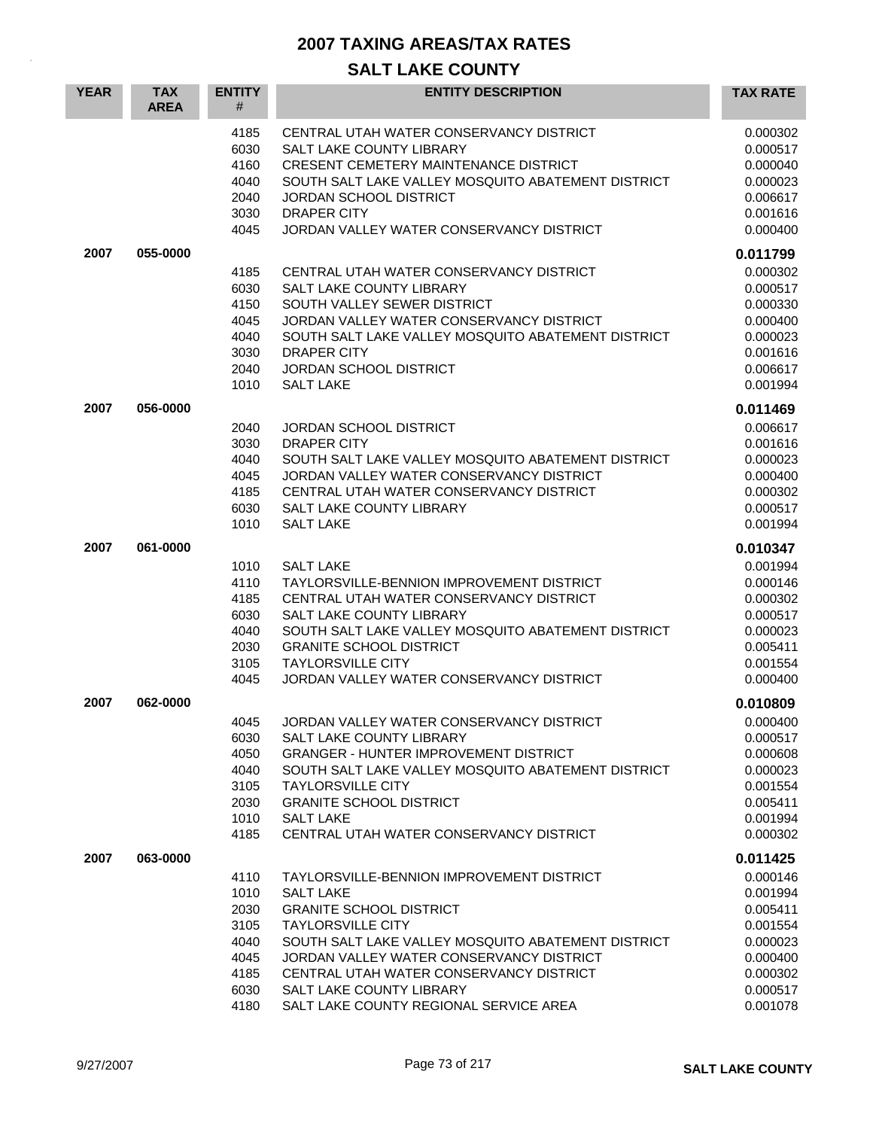| <b>YEAR</b> | <b>TAX</b><br><b>AREA</b> | <b>ENTITY</b><br>#                                                   | <b>ENTITY DESCRIPTION</b>                                                                                                                                                                                                                                                                                                                      | <b>TAX RATE</b>                                                                                                      |
|-------------|---------------------------|----------------------------------------------------------------------|------------------------------------------------------------------------------------------------------------------------------------------------------------------------------------------------------------------------------------------------------------------------------------------------------------------------------------------------|----------------------------------------------------------------------------------------------------------------------|
|             |                           | 4185<br>6030<br>4160<br>4040<br>2040<br>3030<br>4045                 | CENTRAL UTAH WATER CONSERVANCY DISTRICT<br>SALT LAKE COUNTY LIBRARY<br>CRESENT CEMETERY MAINTENANCE DISTRICT<br>SOUTH SALT LAKE VALLEY MOSQUITO ABATEMENT DISTRICT<br>JORDAN SCHOOL DISTRICT<br><b>DRAPER CITY</b><br>JORDAN VALLEY WATER CONSERVANCY DISTRICT                                                                                 | 0.000302<br>0.000517<br>0.000040<br>0.000023<br>0.006617<br>0.001616<br>0.000400                                     |
| 2007        | 055-0000                  | 4185<br>6030<br>4150<br>4045<br>4040<br>3030<br>2040<br>1010         | CENTRAL UTAH WATER CONSERVANCY DISTRICT<br><b>SALT LAKE COUNTY LIBRARY</b><br>SOUTH VALLEY SEWER DISTRICT<br>JORDAN VALLEY WATER CONSERVANCY DISTRICT<br>SOUTH SALT LAKE VALLEY MOSQUITO ABATEMENT DISTRICT<br><b>DRAPER CITY</b><br>JORDAN SCHOOL DISTRICT<br><b>SALT LAKE</b>                                                                | 0.011799<br>0.000302<br>0.000517<br>0.000330<br>0.000400<br>0.000023<br>0.001616<br>0.006617<br>0.001994             |
| 2007        | 056-0000                  | 2040<br>3030<br>4040<br>4045<br>4185<br>6030<br>1010                 | <b>JORDAN SCHOOL DISTRICT</b><br><b>DRAPER CITY</b><br>SOUTH SALT LAKE VALLEY MOSQUITO ABATEMENT DISTRICT<br>JORDAN VALLEY WATER CONSERVANCY DISTRICT<br>CENTRAL UTAH WATER CONSERVANCY DISTRICT<br>SALT LAKE COUNTY LIBRARY<br><b>SALT LAKE</b>                                                                                               | 0.011469<br>0.006617<br>0.001616<br>0.000023<br>0.000400<br>0.000302<br>0.000517<br>0.001994                         |
| 2007        | 061-0000                  | 1010<br>4110<br>4185<br>6030<br>4040<br>2030<br>3105<br>4045         | <b>SALT LAKE</b><br>TAYLORSVILLE-BENNION IMPROVEMENT DISTRICT<br>CENTRAL UTAH WATER CONSERVANCY DISTRICT<br>SALT LAKE COUNTY LIBRARY<br>SOUTH SALT LAKE VALLEY MOSQUITO ABATEMENT DISTRICT<br><b>GRANITE SCHOOL DISTRICT</b><br><b>TAYLORSVILLE CITY</b><br>JORDAN VALLEY WATER CONSERVANCY DISTRICT                                           | 0.010347<br>0.001994<br>0.000146<br>0.000302<br>0.000517<br>0.000023<br>0.005411<br>0.001554<br>0.000400             |
| 2007        | 062-0000                  | 4045<br>6030<br>4050<br>4040<br>3105<br>2030<br>1010<br>4185         | JORDAN VALLEY WATER CONSERVANCY DISTRICT<br>SALT LAKE COUNTY LIBRARY<br><b>GRANGER - HUNTER IMPROVEMENT DISTRICT</b><br>SOUTH SALT LAKE VALLEY MOSQUITO ABATEMENT DISTRICT<br><b>TAYLORSVILLE CITY</b><br><b>GRANITE SCHOOL DISTRICT</b><br><b>SALT LAKE</b><br>CENTRAL UTAH WATER CONSERVANCY DISTRICT                                        | 0.010809<br>0.000400<br>0.000517<br>0.000608<br>0.000023<br>0.001554<br>0.005411<br>0.001994<br>0.000302             |
| 2007        | 063-0000                  | 4110<br>1010<br>2030<br>3105<br>4040<br>4045<br>4185<br>6030<br>4180 | TAYLORSVILLE-BENNION IMPROVEMENT DISTRICT<br><b>SALT LAKE</b><br><b>GRANITE SCHOOL DISTRICT</b><br><b>TAYLORSVILLE CITY</b><br>SOUTH SALT LAKE VALLEY MOSQUITO ABATEMENT DISTRICT<br>JORDAN VALLEY WATER CONSERVANCY DISTRICT<br>CENTRAL UTAH WATER CONSERVANCY DISTRICT<br>SALT LAKE COUNTY LIBRARY<br>SALT LAKE COUNTY REGIONAL SERVICE AREA | 0.011425<br>0.000146<br>0.001994<br>0.005411<br>0.001554<br>0.000023<br>0.000400<br>0.000302<br>0.000517<br>0.001078 |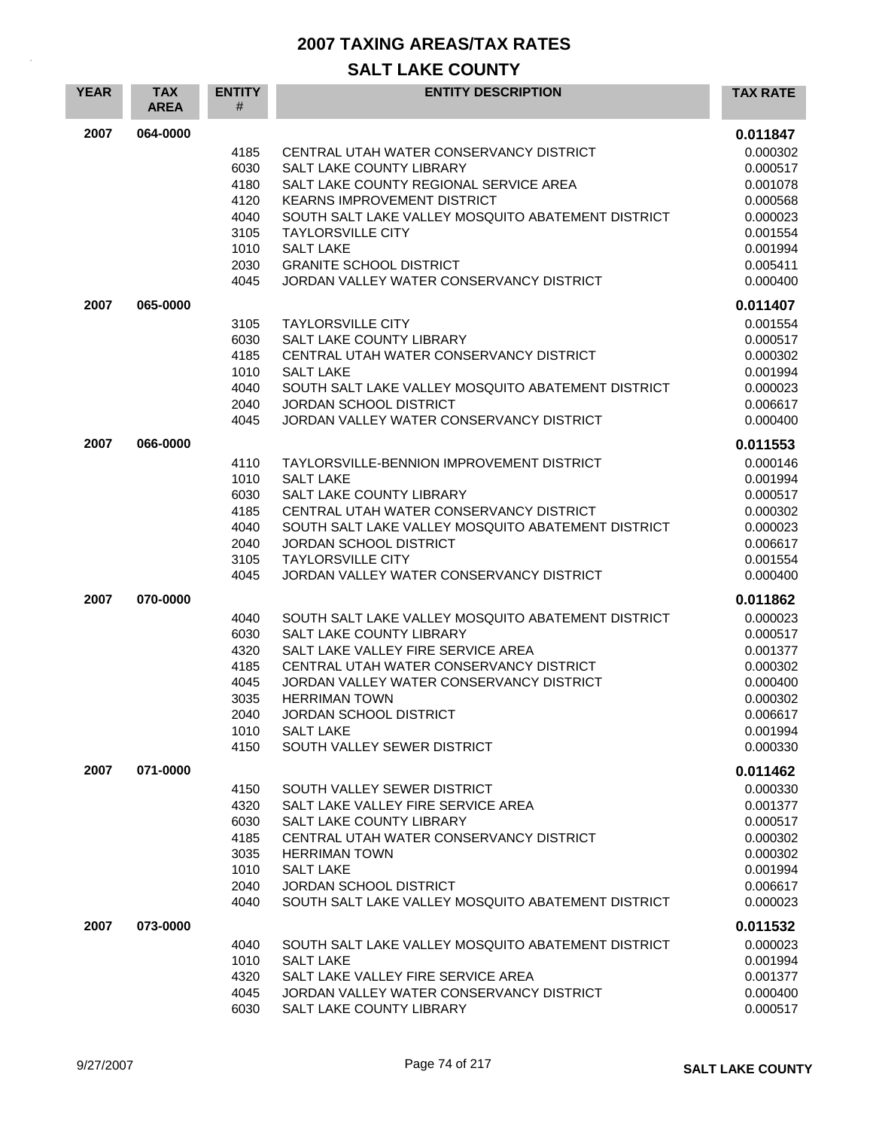| <b>YEAR</b> | <b>TAX</b><br><b>AREA</b> | <b>ENTITY</b><br># | <b>ENTITY DESCRIPTION</b>                                                  | <b>TAX RATE</b>      |
|-------------|---------------------------|--------------------|----------------------------------------------------------------------------|----------------------|
| 2007        | 064-0000                  |                    |                                                                            | 0.011847             |
|             |                           | 4185               | CENTRAL UTAH WATER CONSERVANCY DISTRICT                                    | 0.000302             |
|             |                           | 6030               | SALT LAKE COUNTY LIBRARY                                                   | 0.000517             |
|             |                           | 4180               | SALT LAKE COUNTY REGIONAL SERVICE AREA                                     | 0.001078             |
|             |                           | 4120               | <b>KEARNS IMPROVEMENT DISTRICT</b>                                         | 0.000568             |
|             |                           | 4040               | SOUTH SALT LAKE VALLEY MOSQUITO ABATEMENT DISTRICT                         | 0.000023             |
|             |                           | 3105               | <b>TAYLORSVILLE CITY</b>                                                   | 0.001554             |
|             |                           | 1010               | <b>SALT LAKE</b>                                                           | 0.001994             |
|             |                           | 2030<br>4045       | <b>GRANITE SCHOOL DISTRICT</b><br>JORDAN VALLEY WATER CONSERVANCY DISTRICT | 0.005411<br>0.000400 |
|             |                           |                    |                                                                            |                      |
| 2007        | 065-0000                  |                    |                                                                            | 0.011407             |
|             |                           | 3105<br>6030       | <b>TAYLORSVILLE CITY</b><br>SALT LAKE COUNTY LIBRARY                       | 0.001554<br>0.000517 |
|             |                           | 4185               | CENTRAL UTAH WATER CONSERVANCY DISTRICT                                    | 0.000302             |
|             |                           | 1010               | <b>SALT LAKE</b>                                                           | 0.001994             |
|             |                           | 4040               | SOUTH SALT LAKE VALLEY MOSQUITO ABATEMENT DISTRICT                         | 0.000023             |
|             |                           | 2040               | JORDAN SCHOOL DISTRICT                                                     | 0.006617             |
|             |                           | 4045               | JORDAN VALLEY WATER CONSERVANCY DISTRICT                                   | 0.000400             |
| 2007        | 066-0000                  |                    |                                                                            | 0.011553             |
|             |                           | 4110               | TAYLORSVILLE-BENNION IMPROVEMENT DISTRICT                                  | 0.000146             |
|             |                           | 1010               | <b>SALT LAKE</b>                                                           | 0.001994             |
|             |                           | 6030               | SALT LAKE COUNTY LIBRARY                                                   | 0.000517             |
|             |                           | 4185               | CENTRAL UTAH WATER CONSERVANCY DISTRICT                                    | 0.000302             |
|             |                           | 4040               | SOUTH SALT LAKE VALLEY MOSQUITO ABATEMENT DISTRICT                         | 0.000023             |
|             |                           | 2040               | <b>JORDAN SCHOOL DISTRICT</b>                                              | 0.006617             |
|             |                           | 3105<br>4045       | <b>TAYLORSVILLE CITY</b><br>JORDAN VALLEY WATER CONSERVANCY DISTRICT       | 0.001554<br>0.000400 |
| 2007        | 070-0000                  |                    |                                                                            | 0.011862             |
|             |                           | 4040               | SOUTH SALT LAKE VALLEY MOSQUITO ABATEMENT DISTRICT                         | 0.000023             |
|             |                           | 6030               | SALT LAKE COUNTY LIBRARY                                                   | 0.000517             |
|             |                           | 4320               | SALT LAKE VALLEY FIRE SERVICE AREA                                         | 0.001377             |
|             |                           | 4185               | CENTRAL UTAH WATER CONSERVANCY DISTRICT                                    | 0.000302             |
|             |                           | 4045               | JORDAN VALLEY WATER CONSERVANCY DISTRICT                                   | 0.000400             |
|             |                           | 3035               | <b>HERRIMAN TOWN</b>                                                       | 0.000302             |
|             |                           | 2040               | JORDAN SCHOOL DISTRICT                                                     | 0.006617             |
|             |                           | 1010               | <b>SALT LAKE</b>                                                           | 0.001994             |
|             |                           | 4150               | SOUTH VALLEY SEWER DISTRICT                                                | 0.000330             |
| 2007        | 071-0000                  |                    |                                                                            | 0.011462             |
|             |                           | 4150               | SOUTH VALLEY SEWER DISTRICT                                                | 0.000330             |
|             |                           | 4320               | SALT LAKE VALLEY FIRE SERVICE AREA                                         | 0.001377             |
|             |                           | 6030               | <b>SALT LAKE COUNTY LIBRARY</b>                                            | 0.000517             |
|             |                           | 4185               | CENTRAL UTAH WATER CONSERVANCY DISTRICT                                    | 0.000302             |
|             |                           | 3035<br>1010       | <b>HERRIMAN TOWN</b><br><b>SALT LAKE</b>                                   | 0.000302<br>0.001994 |
|             |                           | 2040               | <b>JORDAN SCHOOL DISTRICT</b>                                              | 0.006617             |
|             |                           | 4040               | SOUTH SALT LAKE VALLEY MOSQUITO ABATEMENT DISTRICT                         | 0.000023             |
| 2007        | 073-0000                  |                    |                                                                            | 0.011532             |
|             |                           | 4040               | SOUTH SALT LAKE VALLEY MOSQUITO ABATEMENT DISTRICT                         | 0.000023             |
|             |                           | 1010               | <b>SALT LAKE</b>                                                           | 0.001994             |
|             |                           | 4320               | SALT LAKE VALLEY FIRE SERVICE AREA                                         | 0.001377             |
|             |                           | 4045               | JORDAN VALLEY WATER CONSERVANCY DISTRICT                                   | 0.000400             |
|             |                           | 6030               | SALT LAKE COUNTY LIBRARY                                                   | 0.000517             |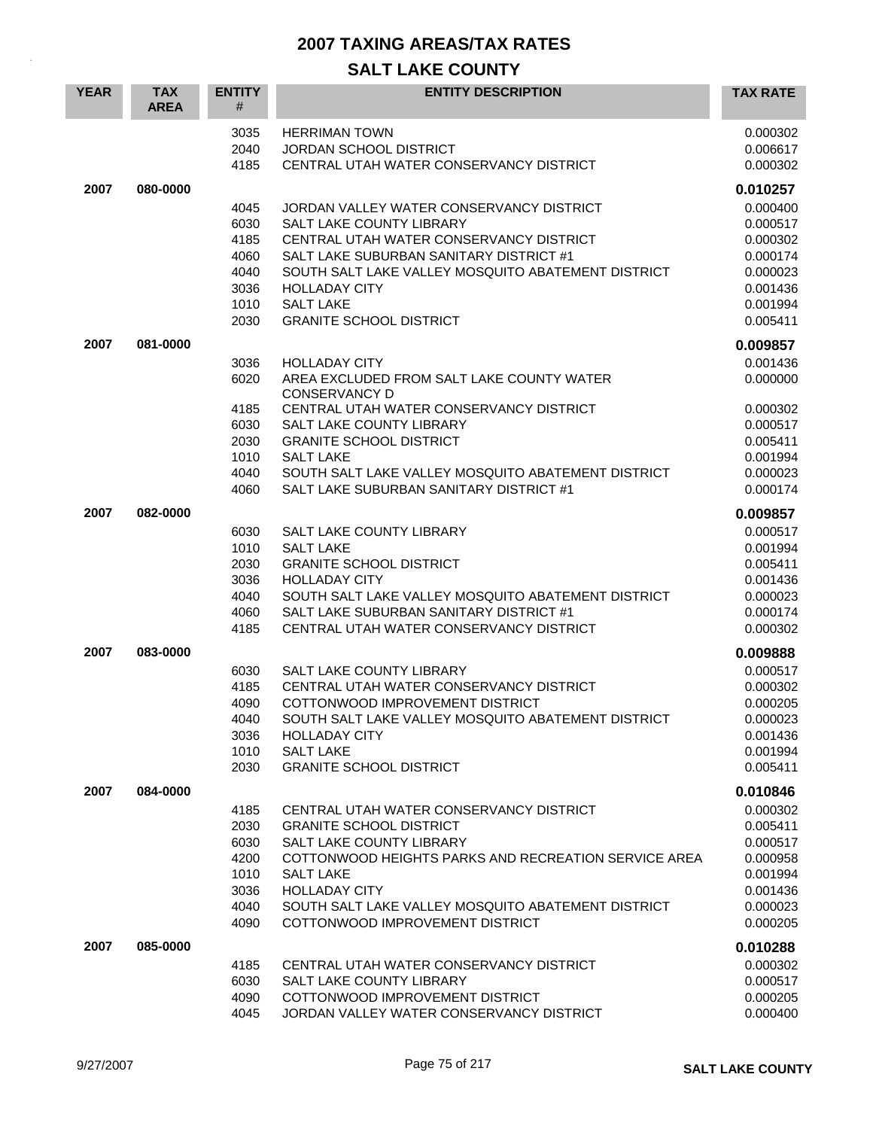| <b>YEAR</b> | <b>TAX</b><br><b>AREA</b> | <b>ENTITY</b><br>#                           | <b>ENTITY DESCRIPTION</b>                                                                                                                                                                                                                       | <b>TAX RATE</b>                                                      |
|-------------|---------------------------|----------------------------------------------|-------------------------------------------------------------------------------------------------------------------------------------------------------------------------------------------------------------------------------------------------|----------------------------------------------------------------------|
|             |                           | 3035<br>2040<br>4185                         | <b>HERRIMAN TOWN</b><br>JORDAN SCHOOL DISTRICT<br>CENTRAL UTAH WATER CONSERVANCY DISTRICT                                                                                                                                                       | 0.000302<br>0.006617<br>0.000302                                     |
| 2007        | 080-0000                  |                                              |                                                                                                                                                                                                                                                 | 0.010257                                                             |
|             |                           | 4045<br>6030<br>4185<br>4060<br>4040<br>3036 | JORDAN VALLEY WATER CONSERVANCY DISTRICT<br><b>SALT LAKE COUNTY LIBRARY</b><br>CENTRAL UTAH WATER CONSERVANCY DISTRICT<br>SALT LAKE SUBURBAN SANITARY DISTRICT #1<br>SOUTH SALT LAKE VALLEY MOSOUITO ABATEMENT DISTRICT<br><b>HOLLADAY CITY</b> | 0.000400<br>0.000517<br>0.000302<br>0.000174<br>0.000023<br>0.001436 |
|             |                           | 1010                                         | <b>SALT LAKE</b>                                                                                                                                                                                                                                | 0.001994                                                             |
|             |                           | 2030                                         | <b>GRANITE SCHOOL DISTRICT</b>                                                                                                                                                                                                                  | 0.005411                                                             |
|             |                           |                                              |                                                                                                                                                                                                                                                 |                                                                      |
| 2007        | 081-0000                  |                                              |                                                                                                                                                                                                                                                 | 0.009857                                                             |
|             |                           | 3036<br>6020                                 | <b>HOLLADAY CITY</b><br>AREA EXCLUDED FROM SALT LAKE COUNTY WATER<br><b>CONSERVANCY D</b>                                                                                                                                                       | 0.001436<br>0.000000                                                 |
|             |                           | 4185                                         | CENTRAL UTAH WATER CONSERVANCY DISTRICT                                                                                                                                                                                                         | 0.000302                                                             |
|             |                           | 6030                                         | SALT LAKE COUNTY LIBRARY                                                                                                                                                                                                                        | 0.000517                                                             |
|             |                           | 2030                                         | <b>GRANITE SCHOOL DISTRICT</b>                                                                                                                                                                                                                  | 0.005411                                                             |
|             |                           | 1010                                         | <b>SALT LAKE</b>                                                                                                                                                                                                                                | 0.001994                                                             |
|             |                           | 4040                                         | SOUTH SALT LAKE VALLEY MOSQUITO ABATEMENT DISTRICT                                                                                                                                                                                              | 0.000023                                                             |
|             |                           | 4060                                         | SALT LAKE SUBURBAN SANITARY DISTRICT #1                                                                                                                                                                                                         | 0.000174                                                             |
| 2007        | 082-0000                  |                                              |                                                                                                                                                                                                                                                 | 0.009857                                                             |
|             |                           | 6030                                         | SALT LAKE COUNTY LIBRARY                                                                                                                                                                                                                        | 0.000517                                                             |
|             |                           | 1010                                         | <b>SALT LAKE</b>                                                                                                                                                                                                                                | 0.001994                                                             |
|             |                           | 2030                                         | <b>GRANITE SCHOOL DISTRICT</b>                                                                                                                                                                                                                  | 0.005411                                                             |
|             |                           | 3036                                         | <b>HOLLADAY CITY</b>                                                                                                                                                                                                                            | 0.001436                                                             |
|             |                           | 4040                                         | SOUTH SALT LAKE VALLEY MOSQUITO ABATEMENT DISTRICT                                                                                                                                                                                              | 0.000023                                                             |
|             |                           | 4060                                         | SALT LAKE SUBURBAN SANITARY DISTRICT #1                                                                                                                                                                                                         | 0.000174                                                             |
|             |                           | 4185                                         | CENTRAL UTAH WATER CONSERVANCY DISTRICT                                                                                                                                                                                                         | 0.000302                                                             |
| 2007        | 083-0000                  |                                              |                                                                                                                                                                                                                                                 | 0.009888                                                             |
|             |                           |                                              |                                                                                                                                                                                                                                                 |                                                                      |
|             |                           | 6030<br>4185                                 | SALT LAKE COUNTY LIBRARY<br>CENTRAL UTAH WATER CONSERVANCY DISTRICT                                                                                                                                                                             | 0.000517                                                             |
|             |                           | 4090                                         | COTTONWOOD IMPROVEMENT DISTRICT                                                                                                                                                                                                                 | 0.000302<br>0.000205                                                 |
|             |                           | 4040                                         | SOUTH SALT LAKE VALLEY MOSQUITO ABATEMENT DISTRICT                                                                                                                                                                                              | 0.000023                                                             |
|             |                           | 3036                                         | <b>HOLLADAY CITY</b>                                                                                                                                                                                                                            | 0.001436                                                             |
|             |                           | 1010                                         | <b>SALT LAKE</b>                                                                                                                                                                                                                                | 0.001994                                                             |
|             |                           | 2030                                         | <b>GRANITE SCHOOL DISTRICT</b>                                                                                                                                                                                                                  | 0.005411                                                             |
|             |                           |                                              |                                                                                                                                                                                                                                                 |                                                                      |
| 2007        | 084-0000                  |                                              |                                                                                                                                                                                                                                                 | 0.010846                                                             |
|             |                           | 4185                                         | CENTRAL UTAH WATER CONSERVANCY DISTRICT                                                                                                                                                                                                         | 0.000302                                                             |
|             |                           | 2030                                         | <b>GRANITE SCHOOL DISTRICT</b>                                                                                                                                                                                                                  | 0.005411                                                             |
|             |                           | 6030                                         | SALT LAKE COUNTY LIBRARY                                                                                                                                                                                                                        | 0.000517                                                             |
|             |                           | 4200                                         | COTTONWOOD HEIGHTS PARKS AND RECREATION SERVICE AREA                                                                                                                                                                                            | 0.000958                                                             |
|             |                           | 1010                                         | <b>SALT LAKE</b>                                                                                                                                                                                                                                | 0.001994                                                             |
|             |                           | 3036                                         | <b>HOLLADAY CITY</b>                                                                                                                                                                                                                            | 0.001436                                                             |
|             |                           | 4040<br>4090                                 | SOUTH SALT LAKE VALLEY MOSQUITO ABATEMENT DISTRICT<br>COTTONWOOD IMPROVEMENT DISTRICT                                                                                                                                                           | 0.000023<br>0.000205                                                 |
|             |                           |                                              |                                                                                                                                                                                                                                                 |                                                                      |
| 2007        | 085-0000                  |                                              |                                                                                                                                                                                                                                                 | 0.010288                                                             |
|             |                           | 4185                                         | CENTRAL UTAH WATER CONSERVANCY DISTRICT                                                                                                                                                                                                         | 0.000302                                                             |
|             |                           | 6030                                         | SALT LAKE COUNTY LIBRARY                                                                                                                                                                                                                        | 0.000517                                                             |
|             |                           | 4090                                         | COTTONWOOD IMPROVEMENT DISTRICT                                                                                                                                                                                                                 | 0.000205                                                             |
|             |                           | 4045                                         | JORDAN VALLEY WATER CONSERVANCY DISTRICT                                                                                                                                                                                                        | 0.000400                                                             |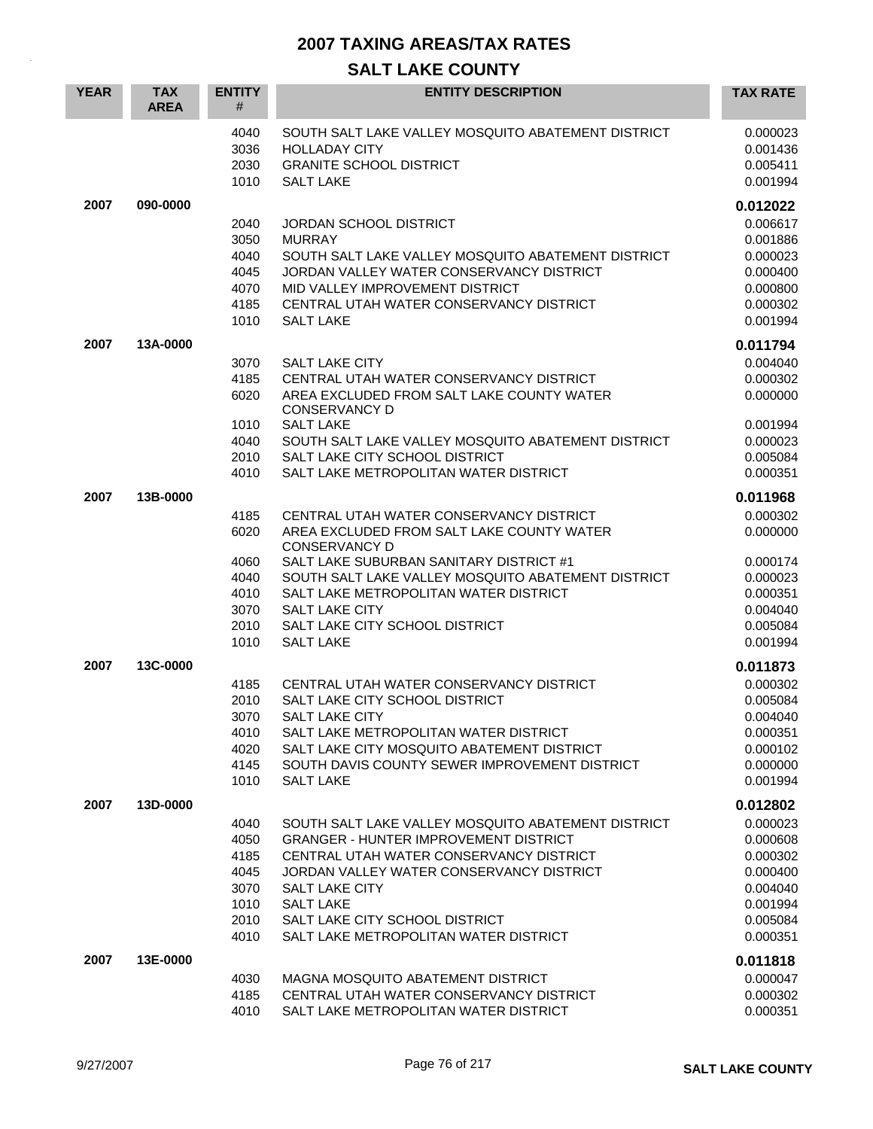| <b>YEAR</b> | <b>TAX</b><br><b>AREA</b> | <b>ENTITY</b><br>#                                           | <b>ENTITY DESCRIPTION</b>                                                                                                                                                                                                                                                                                                             | <b>TAX RATE</b>                                                                                          |
|-------------|---------------------------|--------------------------------------------------------------|---------------------------------------------------------------------------------------------------------------------------------------------------------------------------------------------------------------------------------------------------------------------------------------------------------------------------------------|----------------------------------------------------------------------------------------------------------|
|             |                           | 4040<br>3036<br>2030<br>1010                                 | SOUTH SALT LAKE VALLEY MOSQUITO ABATEMENT DISTRICT<br><b>HOLLADAY CITY</b><br><b>GRANITE SCHOOL DISTRICT</b><br><b>SALT LAKE</b>                                                                                                                                                                                                      | 0.000023<br>0.001436<br>0.005411<br>0.001994                                                             |
| 2007        | 090-0000                  | 2040<br>3050<br>4040<br>4045<br>4070<br>4185<br>1010         | JORDAN SCHOOL DISTRICT<br><b>MURRAY</b><br>SOUTH SALT LAKE VALLEY MOSQUITO ABATEMENT DISTRICT<br>JORDAN VALLEY WATER CONSERVANCY DISTRICT<br>MID VALLEY IMPROVEMENT DISTRICT<br>CENTRAL UTAH WATER CONSERVANCY DISTRICT<br><b>SALT LAKE</b>                                                                                           | 0.012022<br>0.006617<br>0.001886<br>0.000023<br>0.000400<br>0.000800<br>0.000302<br>0.001994             |
| 2007        | 13A-0000                  | 3070<br>4185<br>6020<br>1010<br>4040<br>2010<br>4010         | SALT LAKE CITY<br>CENTRAL UTAH WATER CONSERVANCY DISTRICT<br>AREA EXCLUDED FROM SALT LAKE COUNTY WATER<br><b>CONSERVANCY D</b><br><b>SALT LAKE</b><br>SOUTH SALT LAKE VALLEY MOSQUITO ABATEMENT DISTRICT<br>SALT LAKE CITY SCHOOL DISTRICT<br>SALT LAKE METROPOLITAN WATER DISTRICT                                                   | 0.011794<br>0.004040<br>0.000302<br>0.000000<br>0.001994<br>0.000023<br>0.005084<br>0.000351             |
| 2007        | 13B-0000                  | 4185<br>6020<br>4060<br>4040<br>4010<br>3070<br>2010<br>1010 | CENTRAL UTAH WATER CONSERVANCY DISTRICT<br>AREA EXCLUDED FROM SALT LAKE COUNTY WATER<br><b>CONSERVANCY D</b><br>SALT LAKE SUBURBAN SANITARY DISTRICT #1<br>SOUTH SALT LAKE VALLEY MOSQUITO ABATEMENT DISTRICT<br>SALT LAKE METROPOLITAN WATER DISTRICT<br><b>SALT LAKE CITY</b><br>SALT LAKE CITY SCHOOL DISTRICT<br><b>SALT LAKE</b> | 0.011968<br>0.000302<br>0.000000<br>0.000174<br>0.000023<br>0.000351<br>0.004040<br>0.005084<br>0.001994 |
| 2007        | 13C-0000                  | 4185<br>2010<br>3070<br>4010<br>4020<br>4145<br>1010         | CENTRAL UTAH WATER CONSERVANCY DISTRICT<br>SALT LAKE CITY SCHOOL DISTRICT<br>SALT LAKE CITY<br>SALT LAKE METROPOLITAN WATER DISTRICT<br>SALT LAKE CITY MOSQUITO ABATEMENT DISTRICT<br>SOUTH DAVIS COUNTY SEWER IMPROVEMENT DISTRICT<br><b>SALT LAKE</b>                                                                               | 0.011873<br>0.000302<br>0.005084<br>0.004040<br>0.000351<br>0.000102<br>0.000000<br>0.001994             |
| 2007        | 13D-0000                  | 4040<br>4050<br>4185<br>4045<br>3070<br>1010<br>2010<br>4010 | SOUTH SALT LAKE VALLEY MOSQUITO ABATEMENT DISTRICT<br><b>GRANGER - HUNTER IMPROVEMENT DISTRICT</b><br>CENTRAL UTAH WATER CONSERVANCY DISTRICT<br>JORDAN VALLEY WATER CONSERVANCY DISTRICT<br>SALT LAKE CITY<br><b>SALT LAKE</b><br>SALT LAKE CITY SCHOOL DISTRICT<br>SALT LAKE METROPOLITAN WATER DISTRICT                            | 0.012802<br>0.000023<br>0.000608<br>0.000302<br>0.000400<br>0.004040<br>0.001994<br>0.005084<br>0.000351 |
| 2007        | 13E-0000                  | 4030<br>4185<br>4010                                         | MAGNA MOSQUITO ABATEMENT DISTRICT<br>CENTRAL UTAH WATER CONSERVANCY DISTRICT<br>SALT LAKE METROPOLITAN WATER DISTRICT                                                                                                                                                                                                                 | 0.011818<br>0.000047<br>0.000302<br>0.000351                                                             |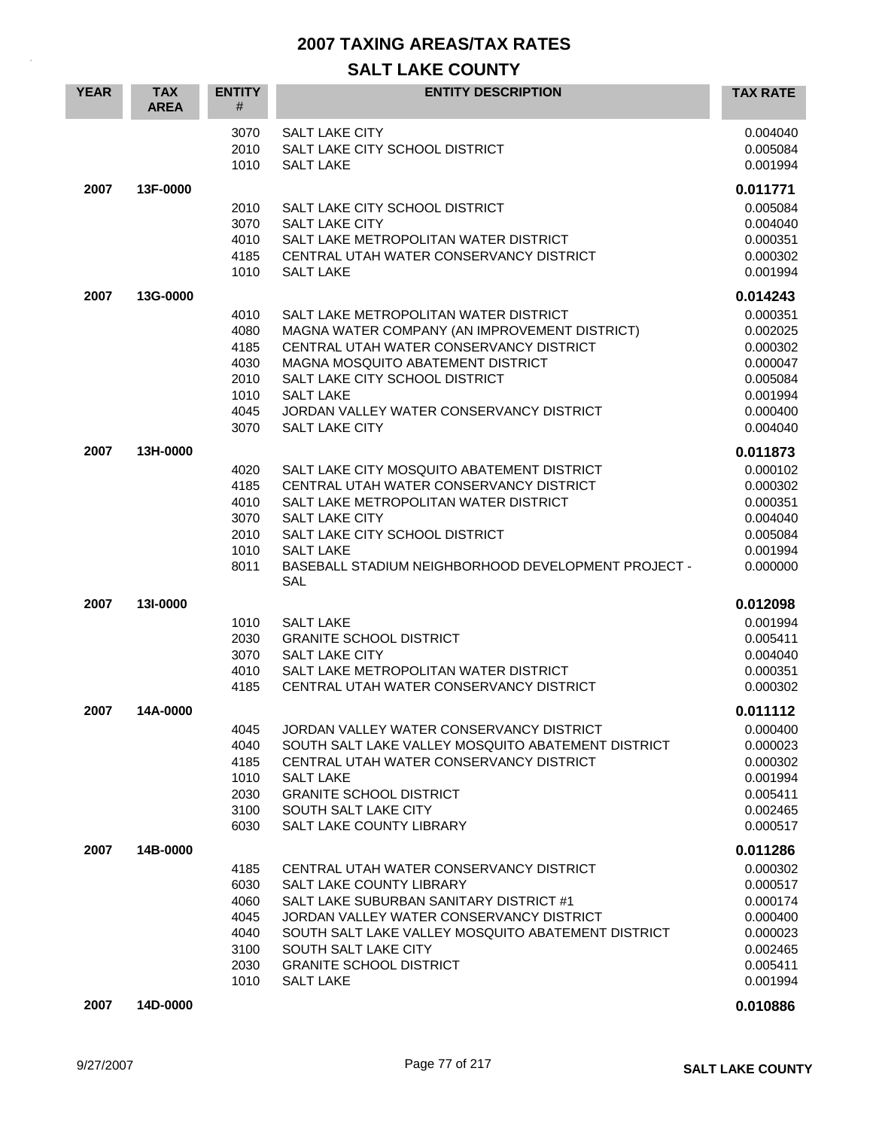| <b>YEAR</b> | <b>TAX</b><br><b>AREA</b> | <b>ENTITY</b><br>#                                           | <b>ENTITY DESCRIPTION</b>                                                                                                                                                                                                                                                                                | <b>TAX RATE</b>                                                                                          |
|-------------|---------------------------|--------------------------------------------------------------|----------------------------------------------------------------------------------------------------------------------------------------------------------------------------------------------------------------------------------------------------------------------------------------------------------|----------------------------------------------------------------------------------------------------------|
|             |                           | 3070<br>2010<br>1010                                         | <b>SALT LAKE CITY</b><br>SALT LAKE CITY SCHOOL DISTRICT<br><b>SALT LAKE</b>                                                                                                                                                                                                                              | 0.004040<br>0.005084<br>0.001994                                                                         |
| 2007        | 13F-0000                  | 2010<br>3070<br>4010<br>4185<br>1010                         | SALT LAKE CITY SCHOOL DISTRICT<br><b>SALT LAKE CITY</b><br>SALT LAKE METROPOLITAN WATER DISTRICT<br>CENTRAL UTAH WATER CONSERVANCY DISTRICT<br><b>SALT LAKE</b>                                                                                                                                          | 0.011771<br>0.005084<br>0.004040<br>0.000351<br>0.000302<br>0.001994                                     |
| 2007        | 13G-0000                  | 4010<br>4080<br>4185<br>4030<br>2010<br>1010<br>4045<br>3070 | SALT LAKE METROPOLITAN WATER DISTRICT<br>MAGNA WATER COMPANY (AN IMPROVEMENT DISTRICT)<br>CENTRAL UTAH WATER CONSERVANCY DISTRICT<br><b>MAGNA MOSQUITO ABATEMENT DISTRICT</b><br>SALT LAKE CITY SCHOOL DISTRICT<br><b>SALT LAKE</b><br>JORDAN VALLEY WATER CONSERVANCY DISTRICT<br><b>SALT LAKE CITY</b> | 0.014243<br>0.000351<br>0.002025<br>0.000302<br>0.000047<br>0.005084<br>0.001994<br>0.000400<br>0.004040 |
| 2007        | 13H-0000                  | 4020<br>4185<br>4010<br>3070<br>2010<br>1010<br>8011         | SALT LAKE CITY MOSQUITO ABATEMENT DISTRICT<br>CENTRAL UTAH WATER CONSERVANCY DISTRICT<br>SALT LAKE METROPOLITAN WATER DISTRICT<br><b>SALT LAKE CITY</b><br>SALT LAKE CITY SCHOOL DISTRICT<br><b>SALT LAKE</b><br>BASEBALL STADIUM NEIGHBORHOOD DEVELOPMENT PROJECT -<br>SAL                              | 0.011873<br>0.000102<br>0.000302<br>0.000351<br>0.004040<br>0.005084<br>0.001994<br>0.000000             |
| 2007        | 131-0000                  | 1010<br>2030<br>3070<br>4010<br>4185                         | <b>SALT LAKE</b><br><b>GRANITE SCHOOL DISTRICT</b><br><b>SALT LAKE CITY</b><br>SALT LAKE METROPOLITAN WATER DISTRICT<br>CENTRAL UTAH WATER CONSERVANCY DISTRICT                                                                                                                                          | 0.012098<br>0.001994<br>0.005411<br>0.004040<br>0.000351<br>0.000302                                     |
| 2007        | 14A-0000                  | 4045<br>4040<br>4185<br>1010<br>2030<br>3100<br>6030         | JORDAN VALLEY WATER CONSERVANCY DISTRICT<br>SOUTH SALT LAKE VALLEY MOSQUITO ABATEMENT DISTRICT<br>CENTRAL UTAH WATER CONSERVANCY DISTRICT<br><b>SALT LAKE</b><br><b>GRANITE SCHOOL DISTRICT</b><br>SOUTH SALT LAKE CITY<br>SALT LAKE COUNTY LIBRARY                                                      | 0.011112<br>0.000400<br>0.000023<br>0.000302<br>0.001994<br>0.005411<br>0.002465<br>0.000517             |
| 2007        | 14B-0000                  | 4185<br>6030<br>4060<br>4045<br>4040<br>3100<br>2030<br>1010 | CENTRAL UTAH WATER CONSERVANCY DISTRICT<br>SALT LAKE COUNTY LIBRARY<br>SALT LAKE SUBURBAN SANITARY DISTRICT #1<br>JORDAN VALLEY WATER CONSERVANCY DISTRICT<br>SOUTH SALT LAKE VALLEY MOSQUITO ABATEMENT DISTRICT<br>SOUTH SALT LAKE CITY<br><b>GRANITE SCHOOL DISTRICT</b><br><b>SALT LAKE</b>           | 0.011286<br>0.000302<br>0.000517<br>0.000174<br>0.000400<br>0.000023<br>0.002465<br>0.005411<br>0.001994 |
| 2007        | 14D-0000                  |                                                              |                                                                                                                                                                                                                                                                                                          | 0.010886                                                                                                 |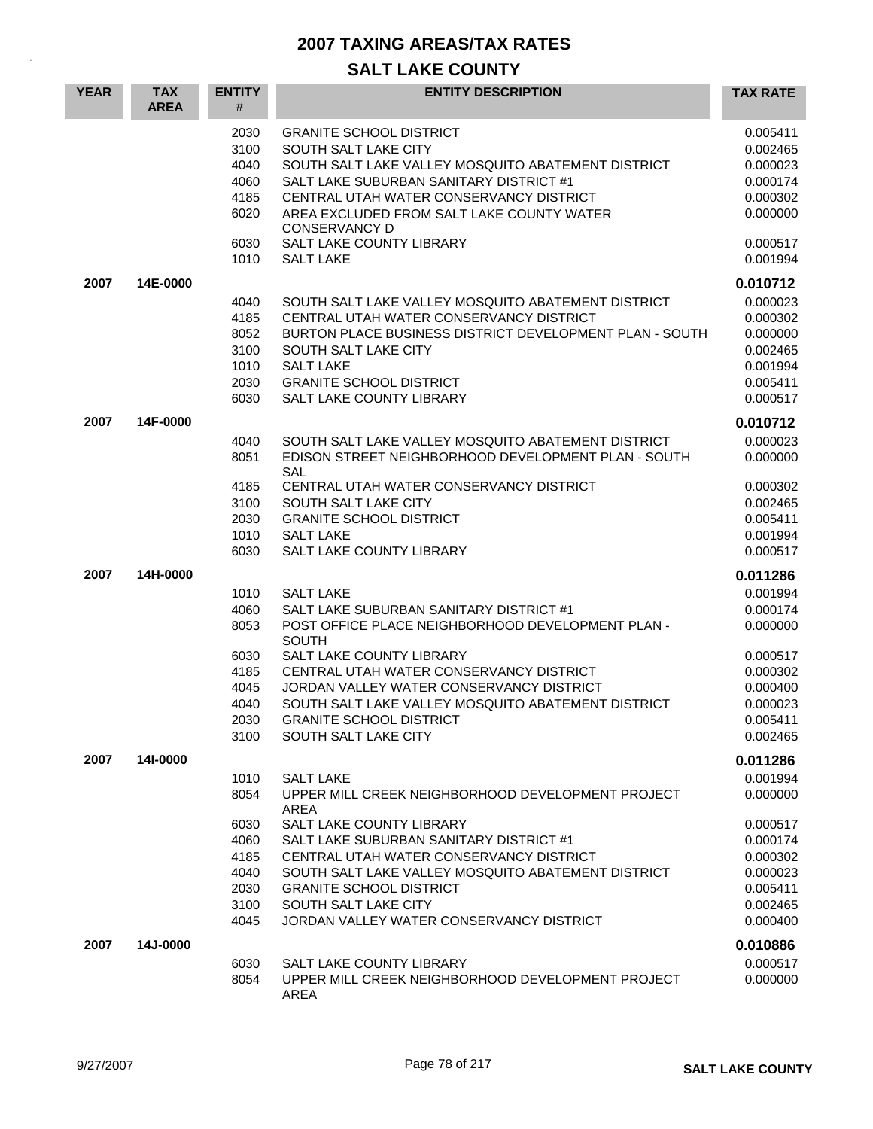| <b>YEAR</b> | <b>TAX</b><br><b>AREA</b> | <b>ENTITY</b><br>#                                                   | <b>ENTITY DESCRIPTION</b>                                                                                                                                                                                                                                                                                                                                           | <b>TAX RATE</b>                                                                                                      |
|-------------|---------------------------|----------------------------------------------------------------------|---------------------------------------------------------------------------------------------------------------------------------------------------------------------------------------------------------------------------------------------------------------------------------------------------------------------------------------------------------------------|----------------------------------------------------------------------------------------------------------------------|
|             |                           | 2030<br>3100<br>4040<br>4060<br>4185<br>6020                         | <b>GRANITE SCHOOL DISTRICT</b><br>SOUTH SALT LAKE CITY<br>SOUTH SALT LAKE VALLEY MOSQUITO ABATEMENT DISTRICT<br>SALT LAKE SUBURBAN SANITARY DISTRICT #1<br>CENTRAL UTAH WATER CONSERVANCY DISTRICT<br>AREA EXCLUDED FROM SALT LAKE COUNTY WATER<br><b>CONSERVANCY D</b>                                                                                             | 0.005411<br>0.002465<br>0.000023<br>0.000174<br>0.000302<br>0.000000                                                 |
|             |                           | 6030<br>1010                                                         | SALT LAKE COUNTY LIBRARY<br><b>SALT LAKE</b>                                                                                                                                                                                                                                                                                                                        | 0.000517<br>0.001994                                                                                                 |
| 2007        | 14E-0000                  | 4040<br>4185<br>8052<br>3100<br>1010<br>2030<br>6030                 | SOUTH SALT LAKE VALLEY MOSQUITO ABATEMENT DISTRICT<br>CENTRAL UTAH WATER CONSERVANCY DISTRICT<br>BURTON PLACE BUSINESS DISTRICT DEVELOPMENT PLAN - SOUTH<br>SOUTH SALT LAKE CITY<br><b>SALT LAKE</b><br><b>GRANITE SCHOOL DISTRICT</b><br>SALT LAKE COUNTY LIBRARY                                                                                                  | 0.010712<br>0.000023<br>0.000302<br>0.000000<br>0.002465<br>0.001994<br>0.005411<br>0.000517                         |
| 2007        | 14F-0000                  | 4040<br>8051<br>4185<br>3100<br>2030<br>1010<br>6030                 | SOUTH SALT LAKE VALLEY MOSQUITO ABATEMENT DISTRICT<br>EDISON STREET NEIGHBORHOOD DEVELOPMENT PLAN - SOUTH<br><b>SAL</b><br>CENTRAL UTAH WATER CONSERVANCY DISTRICT<br>SOUTH SALT LAKE CITY<br><b>GRANITE SCHOOL DISTRICT</b><br><b>SALT LAKE</b><br><b>SALT LAKE COUNTY LIBRARY</b>                                                                                 | 0.010712<br>0.000023<br>0.000000<br>0.000302<br>0.002465<br>0.005411<br>0.001994<br>0.000517                         |
| 2007        | 14H-0000                  | 1010<br>4060<br>8053<br>6030<br>4185<br>4045<br>4040<br>2030<br>3100 | <b>SALT LAKE</b><br>SALT LAKE SUBURBAN SANITARY DISTRICT #1<br>POST OFFICE PLACE NEIGHBORHOOD DEVELOPMENT PLAN -<br><b>SOUTH</b><br>SALT LAKE COUNTY LIBRARY<br>CENTRAL UTAH WATER CONSERVANCY DISTRICT<br>JORDAN VALLEY WATER CONSERVANCY DISTRICT<br>SOUTH SALT LAKE VALLEY MOSQUITO ABATEMENT DISTRICT<br><b>GRANITE SCHOOL DISTRICT</b><br>SOUTH SALT LAKE CITY | 0.011286<br>0.001994<br>0.000174<br>0.000000<br>0.000517<br>0.000302<br>0.000400<br>0.000023<br>0.005411<br>0.002465 |
| 2007        | 141-0000                  | 1010<br>8054<br>6030<br>4060<br>4185<br>4040<br>2030<br>3100<br>4045 | <b>SALT LAKE</b><br>UPPER MILL CREEK NEIGHBORHOOD DEVELOPMENT PROJECT<br><b>AREA</b><br>SALT LAKE COUNTY LIBRARY<br>SALT LAKE SUBURBAN SANITARY DISTRICT #1<br>CENTRAL UTAH WATER CONSERVANCY DISTRICT<br>SOUTH SALT LAKE VALLEY MOSQUITO ABATEMENT DISTRICT<br><b>GRANITE SCHOOL DISTRICT</b><br>SOUTH SALT LAKE CITY<br>JORDAN VALLEY WATER CONSERVANCY DISTRICT  | 0.011286<br>0.001994<br>0.000000<br>0.000517<br>0.000174<br>0.000302<br>0.000023<br>0.005411<br>0.002465<br>0.000400 |
| 2007        | 14J-0000                  | 6030<br>8054                                                         | SALT LAKE COUNTY LIBRARY<br>UPPER MILL CREEK NEIGHBORHOOD DEVELOPMENT PROJECT<br>AREA                                                                                                                                                                                                                                                                               | 0.010886<br>0.000517<br>0.000000                                                                                     |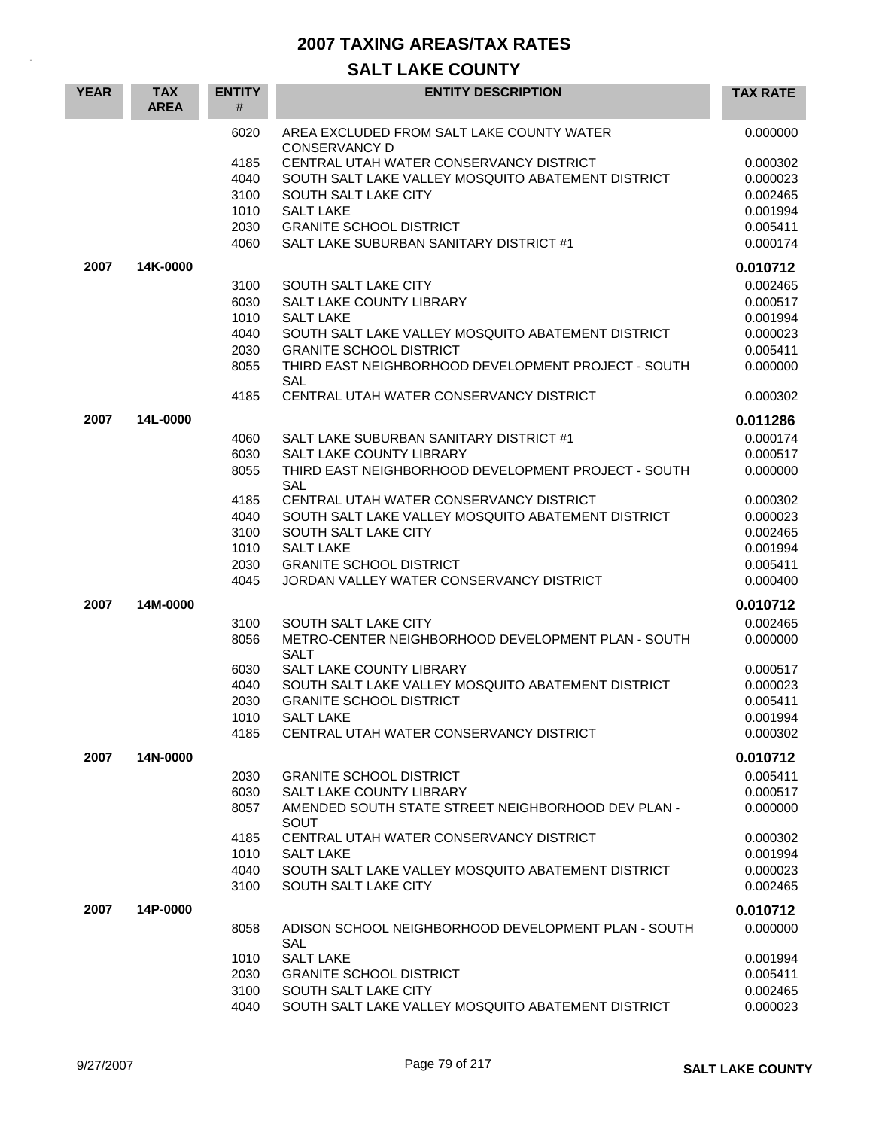| <b>YEAR</b> | <b>TAX</b><br><b>AREA</b> | <b>ENTITY</b><br># | <b>ENTITY DESCRIPTION</b>                                         | <b>TAX RATE</b> |
|-------------|---------------------------|--------------------|-------------------------------------------------------------------|-----------------|
|             |                           | 6020               | AREA EXCLUDED FROM SALT LAKE COUNTY WATER                         | 0.000000        |
|             |                           | 4185               | <b>CONSERVANCY D</b><br>CENTRAL UTAH WATER CONSERVANCY DISTRICT   | 0.000302        |
|             |                           | 4040               | SOUTH SALT LAKE VALLEY MOSQUITO ABATEMENT DISTRICT                | 0.000023        |
|             |                           | 3100               | SOUTH SALT LAKE CITY                                              | 0.002465        |
|             |                           | 1010               | <b>SALT LAKE</b>                                                  | 0.001994        |
|             |                           | 2030               | <b>GRANITE SCHOOL DISTRICT</b>                                    | 0.005411        |
|             |                           | 4060               | SALT LAKE SUBURBAN SANITARY DISTRICT #1                           | 0.000174        |
| 2007        | 14K-0000                  |                    |                                                                   | 0.010712        |
|             |                           | 3100               | SOUTH SALT LAKE CITY                                              | 0.002465        |
|             |                           | 6030               | SALT LAKE COUNTY LIBRARY                                          | 0.000517        |
|             |                           | 1010               | <b>SALT LAKE</b>                                                  | 0.001994        |
|             |                           | 4040               | SOUTH SALT LAKE VALLEY MOSQUITO ABATEMENT DISTRICT                | 0.000023        |
|             |                           | 2030               | <b>GRANITE SCHOOL DISTRICT</b>                                    | 0.005411        |
|             |                           | 8055               | THIRD EAST NEIGHBORHOOD DEVELOPMENT PROJECT - SOUTH<br>SAL        | 0.000000        |
|             |                           | 4185               | CENTRAL UTAH WATER CONSERVANCY DISTRICT                           | 0.000302        |
| 2007        | 14L-0000                  |                    |                                                                   | 0.011286        |
|             |                           | 4060               | SALT LAKE SUBURBAN SANITARY DISTRICT #1                           | 0.000174        |
|             |                           | 6030               | SALT LAKE COUNTY LIBRARY                                          | 0.000517        |
|             |                           | 8055               | THIRD EAST NEIGHBORHOOD DEVELOPMENT PROJECT - SOUTH<br><b>SAL</b> | 0.000000        |
|             |                           | 4185               | CENTRAL UTAH WATER CONSERVANCY DISTRICT                           | 0.000302        |
|             |                           | 4040               | SOUTH SALT LAKE VALLEY MOSQUITO ABATEMENT DISTRICT                | 0.000023        |
|             |                           | 3100               | SOUTH SALT LAKE CITY                                              | 0.002465        |
|             |                           | 1010               | <b>SALT LAKE</b>                                                  | 0.001994        |
|             |                           | 2030               | <b>GRANITE SCHOOL DISTRICT</b>                                    | 0.005411        |
|             |                           | 4045               | JORDAN VALLEY WATER CONSERVANCY DISTRICT                          | 0.000400        |
| 2007        | 14M-0000                  |                    |                                                                   | 0.010712        |
|             |                           | 3100               | SOUTH SALT LAKE CITY                                              | 0.002465        |
|             |                           | 8056               | METRO-CENTER NEIGHBORHOOD DEVELOPMENT PLAN - SOUTH<br><b>SALT</b> | 0.000000        |
|             |                           | 6030               | SALT LAKE COUNTY LIBRARY                                          | 0.000517        |
|             |                           | 4040               | SOUTH SALT LAKE VALLEY MOSQUITO ABATEMENT DISTRICT                | 0.000023        |
|             |                           | 2030               | <b>GRANITE SCHOOL DISTRICT</b>                                    | 0.005411        |
|             |                           | 1010               | <b>SALT LAKE</b>                                                  | 0.001994        |
|             |                           | 4185               | CENTRAL UTAH WATER CONSERVANCY DISTRICT                           | 0.000302        |
| 2007        | 14N-0000                  |                    |                                                                   | 0.010712        |
|             |                           | 2030               | <b>GRANITE SCHOOL DISTRICT</b>                                    | 0.005411        |
|             |                           | 6030               | SALT LAKE COUNTY LIBRARY                                          | 0.000517        |
|             |                           | 8057               | AMENDED SOUTH STATE STREET NEIGHBORHOOD DEV PLAN -<br>SOUT        | 0.000000        |
|             |                           | 4185               | CENTRAL UTAH WATER CONSERVANCY DISTRICT                           | 0.000302        |
|             |                           | 1010               | <b>SALT LAKE</b>                                                  | 0.001994        |
|             |                           | 4040               | SOUTH SALT LAKE VALLEY MOSQUITO ABATEMENT DISTRICT                | 0.000023        |
|             |                           | 3100               | SOUTH SALT LAKE CITY                                              | 0.002465        |
| 2007        | 14P-0000                  |                    |                                                                   | 0.010712        |
|             |                           | 8058               | ADISON SCHOOL NEIGHBORHOOD DEVELOPMENT PLAN - SOUTH<br><b>SAL</b> | 0.000000        |
|             |                           | 1010               | <b>SALT LAKE</b>                                                  | 0.001994        |
|             |                           | 2030               | <b>GRANITE SCHOOL DISTRICT</b>                                    | 0.005411        |
|             |                           | 3100               | SOUTH SALT LAKE CITY                                              | 0.002465        |
|             |                           | 4040               | SOUTH SALT LAKE VALLEY MOSQUITO ABATEMENT DISTRICT                | 0.000023        |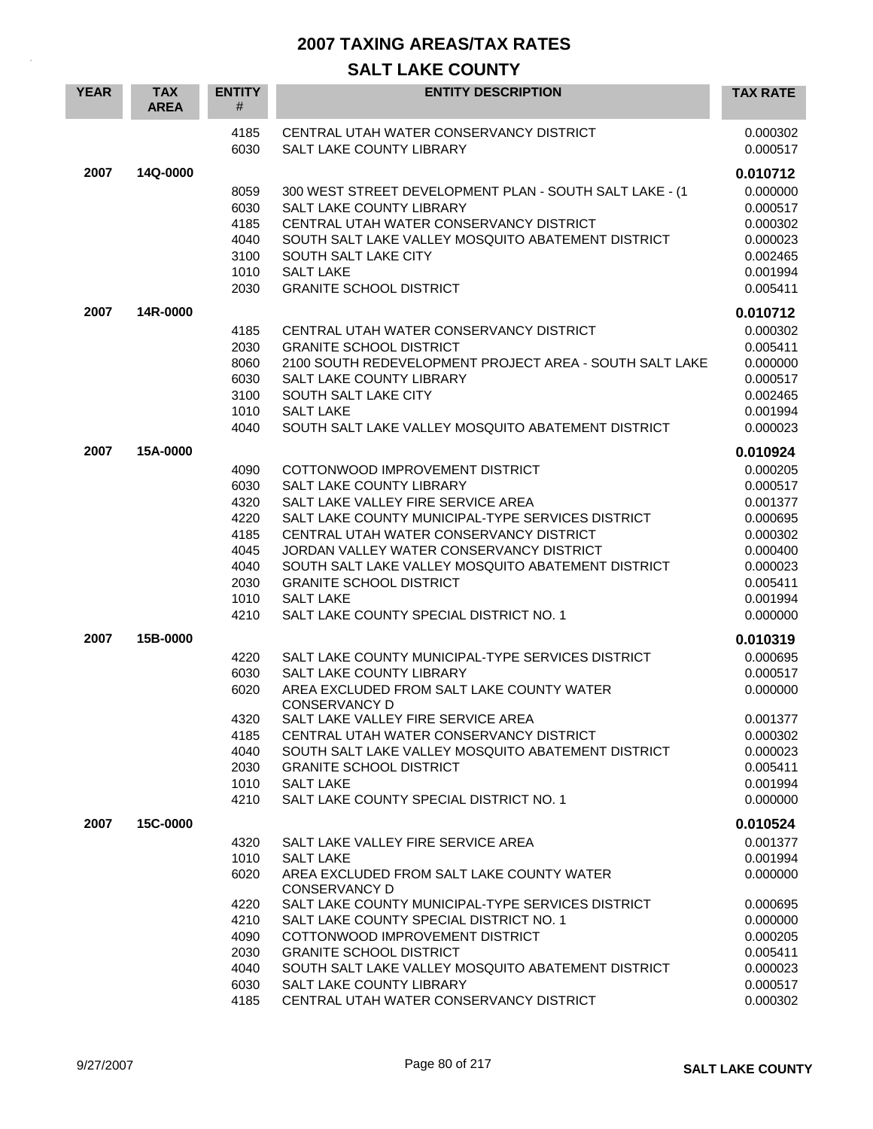| <b>YEAR</b> | <b>TAX</b><br><b>AREA</b> | <b>ENTITY</b><br>#                                                           | <b>ENTITY DESCRIPTION</b>                                                                                                                                                                                                                                                                                                                                                                                              | <b>TAX RATE</b>                                                                                                      |
|-------------|---------------------------|------------------------------------------------------------------------------|------------------------------------------------------------------------------------------------------------------------------------------------------------------------------------------------------------------------------------------------------------------------------------------------------------------------------------------------------------------------------------------------------------------------|----------------------------------------------------------------------------------------------------------------------|
|             |                           | 4185<br>6030                                                                 | CENTRAL UTAH WATER CONSERVANCY DISTRICT<br>SALT LAKE COUNTY LIBRARY                                                                                                                                                                                                                                                                                                                                                    | 0.000302<br>0.000517                                                                                                 |
| 2007        | 14Q-0000                  |                                                                              |                                                                                                                                                                                                                                                                                                                                                                                                                        | 0.010712                                                                                                             |
|             |                           | 8059<br>6030<br>4185<br>4040<br>3100<br>1010<br>2030                         | 300 WEST STREET DEVELOPMENT PLAN - SOUTH SALT LAKE - (1<br>SALT LAKE COUNTY LIBRARY<br>CENTRAL UTAH WATER CONSERVANCY DISTRICT<br>SOUTH SALT LAKE VALLEY MOSQUITO ABATEMENT DISTRICT<br>SOUTH SALT LAKE CITY<br><b>SALT LAKE</b><br><b>GRANITE SCHOOL DISTRICT</b>                                                                                                                                                     | 0.000000<br>0.000517<br>0.000302<br>0.000023<br>0.002465<br>0.001994<br>0.005411                                     |
| 2007        | 14R-0000                  |                                                                              |                                                                                                                                                                                                                                                                                                                                                                                                                        | 0.010712                                                                                                             |
|             |                           | 4185<br>2030<br>8060<br>6030<br>3100<br>1010<br>4040                         | CENTRAL UTAH WATER CONSERVANCY DISTRICT<br><b>GRANITE SCHOOL DISTRICT</b><br>2100 SOUTH REDEVELOPMENT PROJECT AREA - SOUTH SALT LAKE<br>SALT LAKE COUNTY LIBRARY<br>SOUTH SALT LAKE CITY<br><b>SALT LAKE</b><br>SOUTH SALT LAKE VALLEY MOSQUITO ABATEMENT DISTRICT                                                                                                                                                     | 0.000302<br>0.005411<br>0.000000<br>0.000517<br>0.002465<br>0.001994<br>0.000023                                     |
| 2007        | 15A-0000                  |                                                                              |                                                                                                                                                                                                                                                                                                                                                                                                                        | 0.010924                                                                                                             |
|             |                           | 4090<br>6030<br>4320<br>4220<br>4185<br>4045<br>4040<br>2030<br>1010<br>4210 | COTTONWOOD IMPROVEMENT DISTRICT<br><b>SALT LAKE COUNTY LIBRARY</b><br>SALT LAKE VALLEY FIRE SERVICE AREA<br>SALT LAKE COUNTY MUNICIPAL-TYPE SERVICES DISTRICT<br>CENTRAL UTAH WATER CONSERVANCY DISTRICT<br>JORDAN VALLEY WATER CONSERVANCY DISTRICT<br>SOUTH SALT LAKE VALLEY MOSQUITO ABATEMENT DISTRICT<br><b>GRANITE SCHOOL DISTRICT</b><br><b>SALT LAKE</b><br>SALT LAKE COUNTY SPECIAL DISTRICT NO. 1            | 0.000205<br>0.000517<br>0.001377<br>0.000695<br>0.000302<br>0.000400<br>0.000023<br>0.005411<br>0.001994<br>0.000000 |
| 2007        | 15B-0000                  |                                                                              |                                                                                                                                                                                                                                                                                                                                                                                                                        | 0.010319                                                                                                             |
|             |                           | 4220<br>6030<br>6020<br>4320<br>4185<br>4040<br>2030<br>1010<br>4210         | SALT LAKE COUNTY MUNICIPAL-TYPE SERVICES DISTRICT<br><b>SALT LAKE COUNTY LIBRARY</b><br>AREA EXCLUDED FROM SALT LAKE COUNTY WATER<br><b>CONSERVANCY D</b><br>SALT LAKE VALLEY FIRE SERVICE AREA<br>CENTRAL UTAH WATER CONSERVANCY DISTRICT<br>SOUTH SALT LAKE VALLEY MOSQUITO ABATEMENT DISTRICT<br><b>GRANITE SCHOOL DISTRICT</b><br><b>SALT LAKE</b><br>SALT LAKE COUNTY SPECIAL DISTRICT NO. 1                      | 0.000695<br>0.000517<br>0.000000<br>0.001377<br>0.000302<br>0.000023<br>0.005411<br>0.001994<br>0.000000             |
| 2007        | 15C-0000                  |                                                                              |                                                                                                                                                                                                                                                                                                                                                                                                                        | 0.010524                                                                                                             |
|             |                           | 4320<br>1010<br>6020<br>4220<br>4210<br>4090<br>2030<br>4040<br>6030<br>4185 | SALT LAKE VALLEY FIRE SERVICE AREA<br><b>SALT LAKE</b><br>AREA EXCLUDED FROM SALT LAKE COUNTY WATER<br>CONSERVANCY D<br>SALT LAKE COUNTY MUNICIPAL-TYPE SERVICES DISTRICT<br>SALT LAKE COUNTY SPECIAL DISTRICT NO. 1<br>COTTONWOOD IMPROVEMENT DISTRICT<br><b>GRANITE SCHOOL DISTRICT</b><br>SOUTH SALT LAKE VALLEY MOSQUITO ABATEMENT DISTRICT<br>SALT LAKE COUNTY LIBRARY<br>CENTRAL UTAH WATER CONSERVANCY DISTRICT | 0.001377<br>0.001994<br>0.000000<br>0.000695<br>0.000000<br>0.000205<br>0.005411<br>0.000023<br>0.000517<br>0.000302 |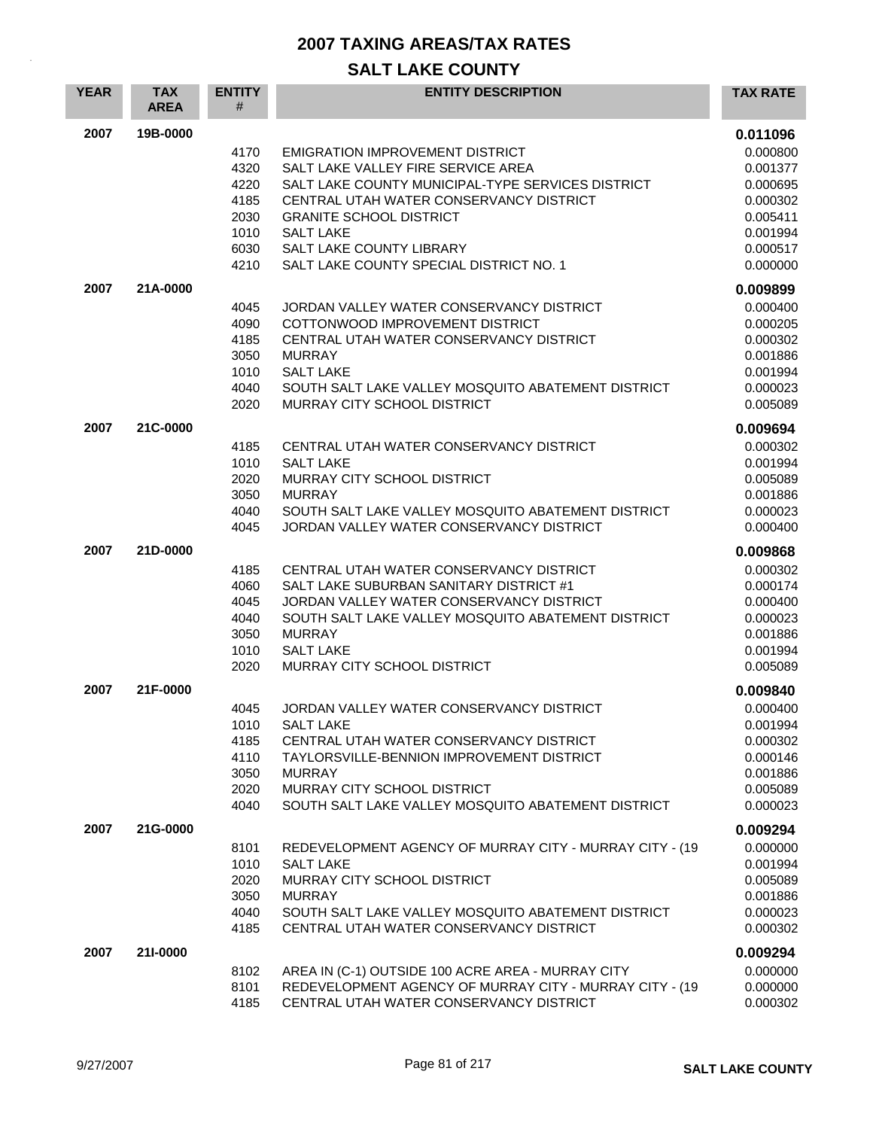| <b>YEAR</b> | <b>TAX</b><br><b>AREA</b> | <b>ENTITY</b><br># | <b>ENTITY DESCRIPTION</b>                                                                     | <b>TAX RATE</b>      |
|-------------|---------------------------|--------------------|-----------------------------------------------------------------------------------------------|----------------------|
| 2007        | 19B-0000                  |                    |                                                                                               | 0.011096             |
|             |                           | 4170               | <b>EMIGRATION IMPROVEMENT DISTRICT</b>                                                        | 0.000800             |
|             |                           | 4320               | SALT LAKE VALLEY FIRE SERVICE AREA                                                            | 0.001377             |
|             |                           | 4220               | SALT LAKE COUNTY MUNICIPAL-TYPE SERVICES DISTRICT                                             | 0.000695             |
|             |                           | 4185               | CENTRAL UTAH WATER CONSERVANCY DISTRICT                                                       | 0.000302             |
|             |                           | 2030               | <b>GRANITE SCHOOL DISTRICT</b>                                                                | 0.005411             |
|             |                           | 1010<br>6030       | <b>SALT LAKE</b><br><b>SALT LAKE COUNTY LIBRARY</b>                                           | 0.001994<br>0.000517 |
|             |                           | 4210               | SALT LAKE COUNTY SPECIAL DISTRICT NO. 1                                                       | 0.000000             |
| 2007        | 21A-0000                  |                    |                                                                                               | 0.009899             |
|             |                           | 4045               | JORDAN VALLEY WATER CONSERVANCY DISTRICT                                                      | 0.000400             |
|             |                           | 4090               | COTTONWOOD IMPROVEMENT DISTRICT                                                               | 0.000205             |
|             |                           | 4185               | CENTRAL UTAH WATER CONSERVANCY DISTRICT                                                       | 0.000302             |
|             |                           | 3050               | <b>MURRAY</b>                                                                                 | 0.001886             |
|             |                           | 1010               | <b>SALT LAKE</b>                                                                              | 0.001994             |
|             |                           | 4040<br>2020       | SOUTH SALT LAKE VALLEY MOSQUITO ABATEMENT DISTRICT<br>MURRAY CITY SCHOOL DISTRICT             | 0.000023<br>0.005089 |
| 2007        | 21C-0000                  |                    |                                                                                               | 0.009694             |
|             |                           | 4185               | CENTRAL UTAH WATER CONSERVANCY DISTRICT                                                       | 0.000302             |
|             |                           | 1010               | <b>SALT LAKE</b>                                                                              | 0.001994             |
|             |                           | 2020               | MURRAY CITY SCHOOL DISTRICT                                                                   | 0.005089             |
|             |                           | 3050               | <b>MURRAY</b>                                                                                 | 0.001886             |
|             |                           | 4040               | SOUTH SALT LAKE VALLEY MOSQUITO ABATEMENT DISTRICT                                            | 0.000023             |
|             |                           | 4045               | JORDAN VALLEY WATER CONSERVANCY DISTRICT                                                      | 0.000400             |
| 2007        | 21D-0000                  |                    |                                                                                               | 0.009868             |
|             |                           | 4185               | CENTRAL UTAH WATER CONSERVANCY DISTRICT                                                       | 0.000302             |
|             |                           | 4060               | SALT LAKE SUBURBAN SANITARY DISTRICT #1                                                       | 0.000174             |
|             |                           | 4045               | JORDAN VALLEY WATER CONSERVANCY DISTRICT                                                      | 0.000400             |
|             |                           | 4040               | SOUTH SALT LAKE VALLEY MOSQUITO ABATEMENT DISTRICT<br><b>MURRAY</b>                           | 0.000023             |
|             |                           | 3050<br>1010       | <b>SALT LAKE</b>                                                                              | 0.001886<br>0.001994 |
|             |                           | 2020               | MURRAY CITY SCHOOL DISTRICT                                                                   | 0.005089             |
| 2007        | 21F-0000                  |                    |                                                                                               | 0.009840             |
|             |                           | 4045               | JORDAN VALLEY WATER CONSERVANCY DISTRICT                                                      | 0.000400             |
|             |                           | 1010               | <b>SALT LAKE</b>                                                                              | 0.001994             |
|             |                           | 4185               | CENTRAL UTAH WATER CONSERVANCY DISTRICT                                                       | 0.000302             |
|             |                           | 4110               | TAYLORSVILLE-BENNION IMPROVEMENT DISTRICT                                                     | 0.000146             |
|             |                           | 3050               | <b>MURRAY</b>                                                                                 | 0.001886             |
|             |                           | 2020               | MURRAY CITY SCHOOL DISTRICT                                                                   | 0.005089             |
|             |                           | 4040               | SOUTH SALT LAKE VALLEY MOSQUITO ABATEMENT DISTRICT                                            | 0.000023             |
| 2007        | 21G-0000                  |                    |                                                                                               | 0.009294             |
|             |                           | 8101               | REDEVELOPMENT AGENCY OF MURRAY CITY - MURRAY CITY - (19                                       | 0.000000             |
|             |                           | 1010               | <b>SALT LAKE</b>                                                                              | 0.001994             |
|             |                           | 2020               | MURRAY CITY SCHOOL DISTRICT                                                                   | 0.005089             |
|             |                           | 3050               | <b>MURRAY</b>                                                                                 | 0.001886             |
|             |                           | 4040<br>4185       | SOUTH SALT LAKE VALLEY MOSQUITO ABATEMENT DISTRICT<br>CENTRAL UTAH WATER CONSERVANCY DISTRICT | 0.000023<br>0.000302 |
| 2007        | 21I-0000                  |                    |                                                                                               | 0.009294             |
|             |                           | 8102               | AREA IN (C-1) OUTSIDE 100 ACRE AREA - MURRAY CITY                                             | 0.000000             |
|             |                           | 8101               | REDEVELOPMENT AGENCY OF MURRAY CITY - MURRAY CITY - (19                                       | 0.000000             |
|             |                           | 4185               | CENTRAL UTAH WATER CONSERVANCY DISTRICT                                                       | 0.000302             |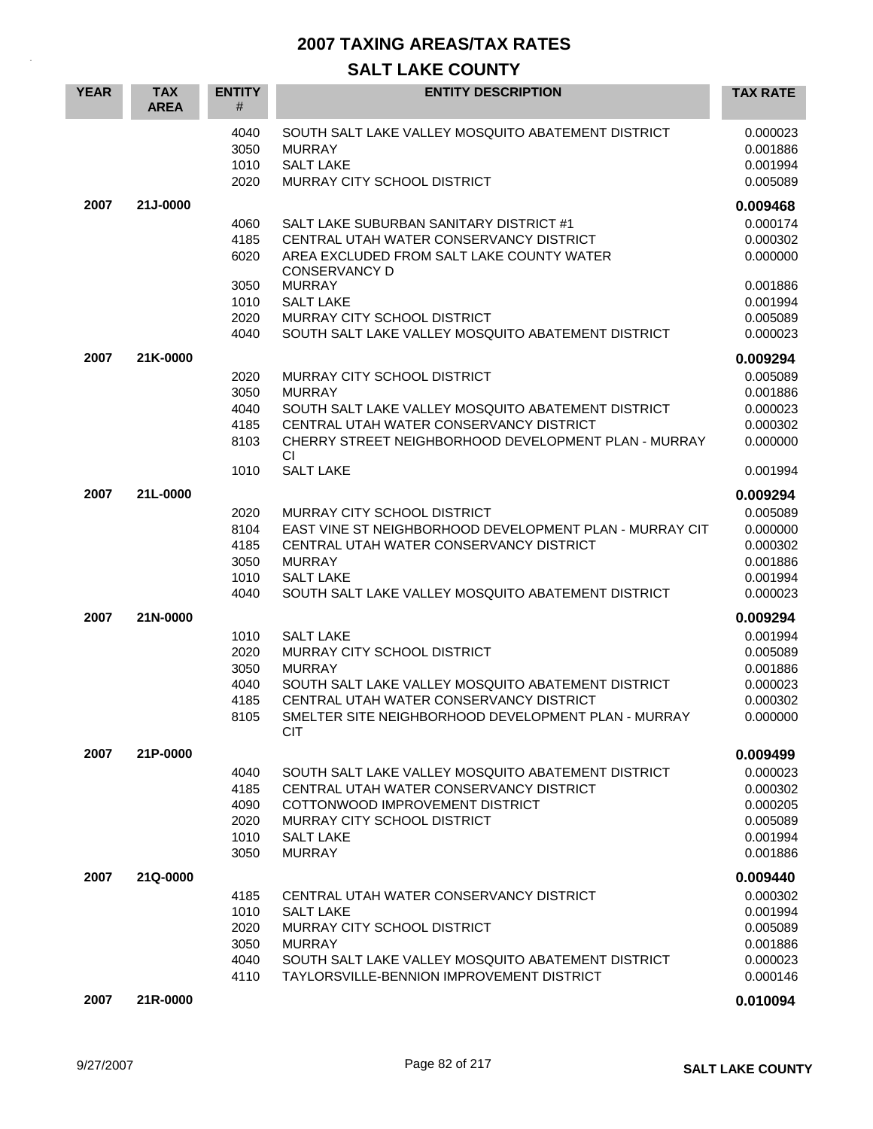| <b>YEAR</b> | <b>TAX</b><br><b>AREA</b> | <b>ENTITY</b><br>#           | <b>ENTITY DESCRIPTION</b>                                                                                                     | <b>TAX RATE</b>                              |
|-------------|---------------------------|------------------------------|-------------------------------------------------------------------------------------------------------------------------------|----------------------------------------------|
|             |                           | 4040<br>3050<br>1010<br>2020 | SOUTH SALT LAKE VALLEY MOSQUITO ABATEMENT DISTRICT<br><b>MURRAY</b><br><b>SALT LAKE</b><br><b>MURRAY CITY SCHOOL DISTRICT</b> | 0.000023<br>0.001886<br>0.001994<br>0.005089 |
| 2007        | 21J-0000                  |                              |                                                                                                                               | 0.009468                                     |
|             |                           | 4060                         | SALT LAKE SUBURBAN SANITARY DISTRICT #1                                                                                       | 0.000174                                     |
|             |                           | 4185<br>6020                 | CENTRAL UTAH WATER CONSERVANCY DISTRICT<br>AREA EXCLUDED FROM SALT LAKE COUNTY WATER<br><b>CONSERVANCY D</b>                  | 0.000302<br>0.000000                         |
|             |                           | 3050                         | <b>MURRAY</b>                                                                                                                 | 0.001886                                     |
|             |                           | 1010                         | <b>SALT LAKE</b>                                                                                                              | 0.001994                                     |
|             |                           | 2020                         | MURRAY CITY SCHOOL DISTRICT                                                                                                   | 0.005089                                     |
|             |                           | 4040                         | SOUTH SALT LAKE VALLEY MOSQUITO ABATEMENT DISTRICT                                                                            | 0.000023                                     |
| 2007        | 21K-0000                  |                              |                                                                                                                               | 0.009294                                     |
|             |                           | 2020                         | MURRAY CITY SCHOOL DISTRICT                                                                                                   | 0.005089                                     |
|             |                           | 3050                         | <b>MURRAY</b>                                                                                                                 | 0.001886                                     |
|             |                           | 4040                         | SOUTH SALT LAKE VALLEY MOSQUITO ABATEMENT DISTRICT                                                                            | 0.000023                                     |
|             |                           | 4185<br>8103                 | CENTRAL UTAH WATER CONSERVANCY DISTRICT<br>CHERRY STREET NEIGHBORHOOD DEVELOPMENT PLAN - MURRAY<br>СI                         | 0.000302<br>0.000000                         |
|             |                           | 1010                         | <b>SALT LAKE</b>                                                                                                              | 0.001994                                     |
| 2007        | 21L-0000                  |                              |                                                                                                                               | 0.009294                                     |
|             |                           | 2020                         | <b>MURRAY CITY SCHOOL DISTRICT</b>                                                                                            | 0.005089                                     |
|             |                           | 8104                         | EAST VINE ST NEIGHBORHOOD DEVELOPMENT PLAN - MURRAY CIT                                                                       | 0.000000                                     |
|             |                           | 4185                         | CENTRAL UTAH WATER CONSERVANCY DISTRICT                                                                                       | 0.000302                                     |
|             |                           | 3050                         | <b>MURRAY</b>                                                                                                                 | 0.001886                                     |
|             |                           | 1010<br>4040                 | <b>SALT LAKE</b><br>SOUTH SALT LAKE VALLEY MOSQUITO ABATEMENT DISTRICT                                                        | 0.001994<br>0.000023                         |
|             |                           |                              |                                                                                                                               |                                              |
| 2007        | 21N-0000                  |                              |                                                                                                                               | 0.009294                                     |
|             |                           | 1010                         | <b>SALT LAKE</b>                                                                                                              | 0.001994                                     |
|             |                           | 2020<br>3050                 | MURRAY CITY SCHOOL DISTRICT<br><b>MURRAY</b>                                                                                  | 0.005089<br>0.001886                         |
|             |                           | 4040                         | SOUTH SALT LAKE VALLEY MOSQUITO ABATEMENT DISTRICT                                                                            | 0.000023                                     |
|             |                           | 4185                         | CENTRAL UTAH WATER CONSERVANCY DISTRICT                                                                                       | 0.000302                                     |
|             |                           | 8105                         | SMELTER SITE NEIGHBORHOOD DEVELOPMENT PLAN - MURRAY<br><b>CIT</b>                                                             | 0.000000                                     |
| 2007        | 21P-0000                  |                              |                                                                                                                               | 0.009499                                     |
|             |                           | 4040                         | SOUTH SALT LAKE VALLEY MOSQUITO ABATEMENT DISTRICT                                                                            | 0.000023                                     |
|             |                           | 4185                         | CENTRAL UTAH WATER CONSERVANCY DISTRICT                                                                                       | 0.000302                                     |
|             |                           | 4090                         | COTTONWOOD IMPROVEMENT DISTRICT                                                                                               | 0.000205                                     |
|             |                           | 2020                         | MURRAY CITY SCHOOL DISTRICT<br><b>SALT LAKE</b>                                                                               | 0.005089                                     |
|             |                           | 1010<br>3050                 | <b>MURRAY</b>                                                                                                                 | 0.001994<br>0.001886                         |
|             |                           |                              |                                                                                                                               |                                              |
| 2007        | 21Q-0000                  |                              |                                                                                                                               | 0.009440                                     |
|             |                           | 4185<br>1010                 | CENTRAL UTAH WATER CONSERVANCY DISTRICT<br><b>SALT LAKE</b>                                                                   | 0.000302<br>0.001994                         |
|             |                           | 2020                         | MURRAY CITY SCHOOL DISTRICT                                                                                                   | 0.005089                                     |
|             |                           | 3050                         | <b>MURRAY</b>                                                                                                                 | 0.001886                                     |
|             |                           | 4040                         | SOUTH SALT LAKE VALLEY MOSQUITO ABATEMENT DISTRICT                                                                            | 0.000023                                     |
|             |                           | 4110                         | TAYLORSVILLE-BENNION IMPROVEMENT DISTRICT                                                                                     | 0.000146                                     |
| 2007        | 21R-0000                  |                              |                                                                                                                               | 0.010094                                     |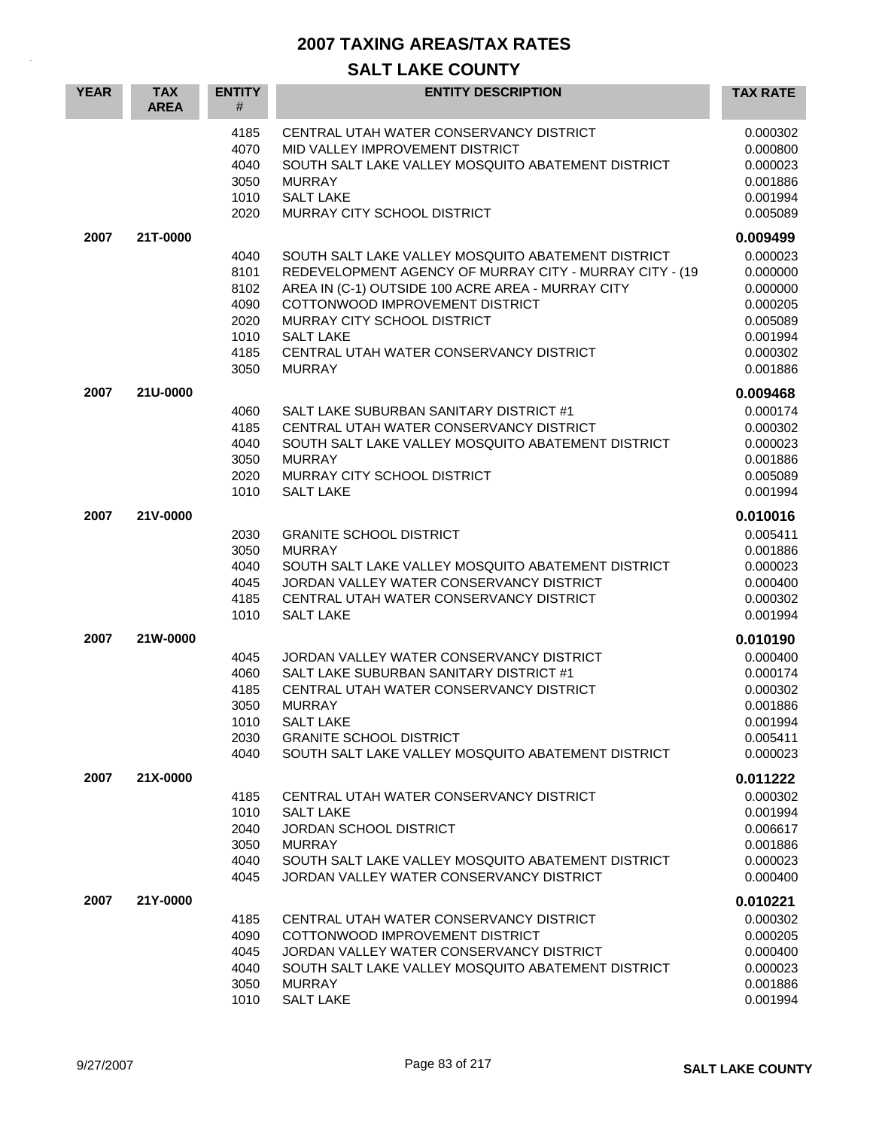| <b>YEAR</b> | <b>TAX</b><br><b>AREA</b> | <b>ENTITY</b><br>#                                           | <b>ENTITY DESCRIPTION</b>                                                                                                                                                                                                                                                                                            | <b>TAX RATE</b>                                                                              |
|-------------|---------------------------|--------------------------------------------------------------|----------------------------------------------------------------------------------------------------------------------------------------------------------------------------------------------------------------------------------------------------------------------------------------------------------------------|----------------------------------------------------------------------------------------------|
|             |                           | 4185<br>4070<br>4040<br>3050<br>1010<br>2020                 | CENTRAL UTAH WATER CONSERVANCY DISTRICT<br>MID VALLEY IMPROVEMENT DISTRICT<br>SOUTH SALT LAKE VALLEY MOSQUITO ABATEMENT DISTRICT<br><b>MURRAY</b><br><b>SALT LAKE</b><br>MURRAY CITY SCHOOL DISTRICT                                                                                                                 | 0.000302<br>0.000800<br>0.000023<br>0.001886<br>0.001994<br>0.005089                         |
| 2007        | 21T-0000                  |                                                              |                                                                                                                                                                                                                                                                                                                      | 0.009499                                                                                     |
|             |                           | 4040<br>8101<br>8102<br>4090<br>2020<br>1010<br>4185<br>3050 | SOUTH SALT LAKE VALLEY MOSQUITO ABATEMENT DISTRICT<br>REDEVELOPMENT AGENCY OF MURRAY CITY - MURRAY CITY - (19<br>AREA IN (C-1) OUTSIDE 100 ACRE AREA - MURRAY CITY<br>COTTONWOOD IMPROVEMENT DISTRICT<br>MURRAY CITY SCHOOL DISTRICT<br><b>SALT LAKE</b><br>CENTRAL UTAH WATER CONSERVANCY DISTRICT<br><b>MURRAY</b> | 0.000023<br>0.000000<br>0.000000<br>0.000205<br>0.005089<br>0.001994<br>0.000302<br>0.001886 |
| 2007        | 21U-0000                  |                                                              |                                                                                                                                                                                                                                                                                                                      | 0.009468                                                                                     |
|             |                           | 4060<br>4185<br>4040<br>3050<br>2020<br>1010                 | SALT LAKE SUBURBAN SANITARY DISTRICT #1<br>CENTRAL UTAH WATER CONSERVANCY DISTRICT<br>SOUTH SALT LAKE VALLEY MOSQUITO ABATEMENT DISTRICT<br><b>MURRAY</b><br>MURRAY CITY SCHOOL DISTRICT<br><b>SALT LAKE</b>                                                                                                         | 0.000174<br>0.000302<br>0.000023<br>0.001886<br>0.005089<br>0.001994                         |
| 2007        | 21V-0000                  |                                                              |                                                                                                                                                                                                                                                                                                                      | 0.010016                                                                                     |
|             |                           | 2030<br>3050<br>4040<br>4045<br>4185<br>1010                 | <b>GRANITE SCHOOL DISTRICT</b><br><b>MURRAY</b><br>SOUTH SALT LAKE VALLEY MOSQUITO ABATEMENT DISTRICT<br>JORDAN VALLEY WATER CONSERVANCY DISTRICT<br>CENTRAL UTAH WATER CONSERVANCY DISTRICT<br><b>SALT LAKE</b>                                                                                                     | 0.005411<br>0.001886<br>0.000023<br>0.000400<br>0.000302<br>0.001994                         |
| 2007        | 21W-0000                  |                                                              |                                                                                                                                                                                                                                                                                                                      | 0.010190                                                                                     |
|             |                           | 4045<br>4060<br>4185<br>3050<br>1010<br>2030<br>4040         | JORDAN VALLEY WATER CONSERVANCY DISTRICT<br>SALT LAKE SUBURBAN SANITARY DISTRICT #1<br>CENTRAL UTAH WATER CONSERVANCY DISTRICT<br><b>MURRAY</b><br><b>SALT LAKE</b><br><b>GRANITE SCHOOL DISTRICT</b><br>SOUTH SALT LAKE VALLEY MOSOUITO ABATEMENT DISTRICT                                                          | 0.000400<br>0.000174<br>0.000302<br>0.001886<br>0.001994<br>0.005411<br>0.000023             |
| 2007        | 21X-0000                  |                                                              |                                                                                                                                                                                                                                                                                                                      | 0.011222                                                                                     |
|             |                           | 4185<br>1010<br>2040<br>3050<br>4040<br>4045                 | CENTRAL UTAH WATER CONSERVANCY DISTRICT<br><b>SALT LAKE</b><br><b>JORDAN SCHOOL DISTRICT</b><br><b>MURRAY</b><br>SOUTH SALT LAKE VALLEY MOSQUITO ABATEMENT DISTRICT<br>JORDAN VALLEY WATER CONSERVANCY DISTRICT                                                                                                      | 0.000302<br>0.001994<br>0.006617<br>0.001886<br>0.000023<br>0.000400                         |
| 2007        | 21Y-0000                  |                                                              |                                                                                                                                                                                                                                                                                                                      | 0.010221                                                                                     |
|             |                           | 4185<br>4090<br>4045<br>4040<br>3050<br>1010                 | CENTRAL UTAH WATER CONSERVANCY DISTRICT<br>COTTONWOOD IMPROVEMENT DISTRICT<br>JORDAN VALLEY WATER CONSERVANCY DISTRICT<br>SOUTH SALT LAKE VALLEY MOSQUITO ABATEMENT DISTRICT<br><b>MURRAY</b><br><b>SALT LAKE</b>                                                                                                    | 0.000302<br>0.000205<br>0.000400<br>0.000023<br>0.001886<br>0.001994                         |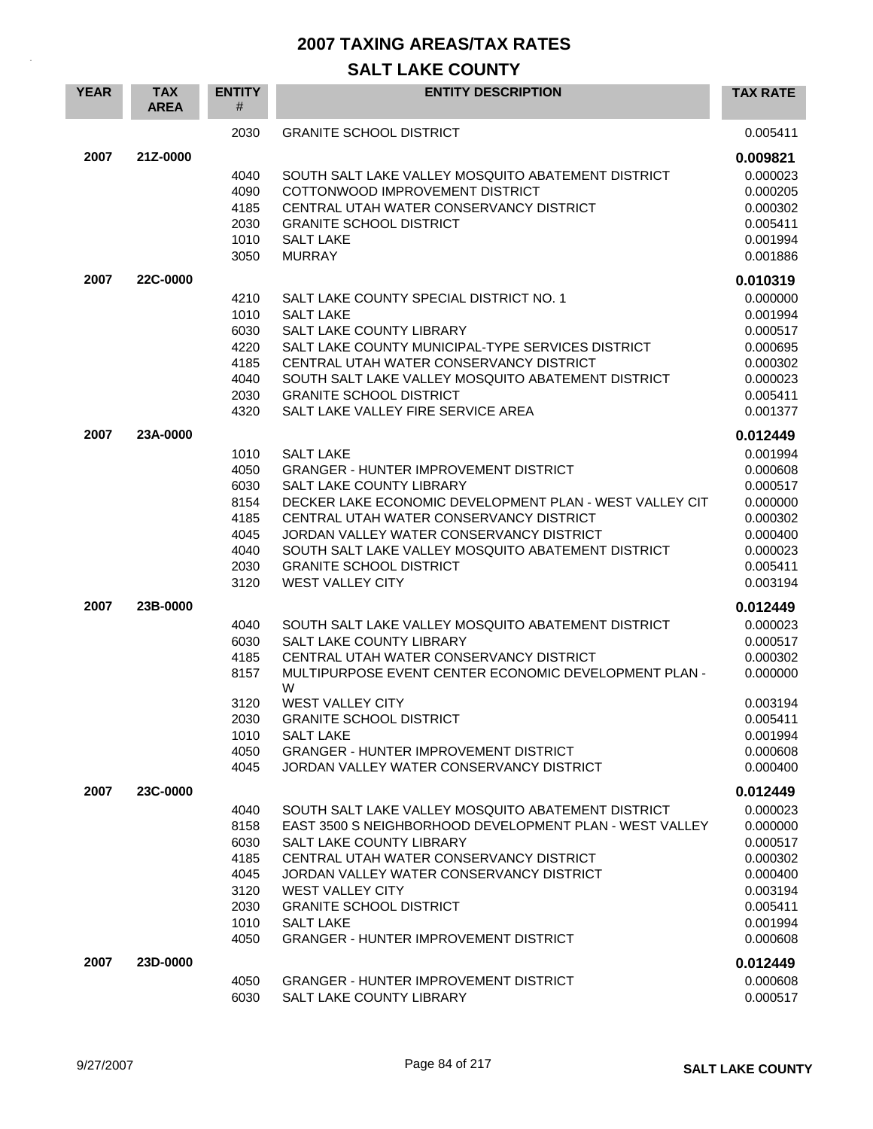| <b>YEAR</b> | <b>TAX</b><br><b>AREA</b> | <b>ENTITY</b><br># | <b>ENTITY DESCRIPTION</b>                                                                | <b>TAX RATE</b>      |
|-------------|---------------------------|--------------------|------------------------------------------------------------------------------------------|----------------------|
|             |                           | 2030               | <b>GRANITE SCHOOL DISTRICT</b>                                                           | 0.005411             |
| 2007        | 21Z-0000                  |                    |                                                                                          | 0.009821             |
|             |                           | 4040               | SOUTH SALT LAKE VALLEY MOSQUITO ABATEMENT DISTRICT                                       | 0.000023             |
|             |                           | 4090               | COTTONWOOD IMPROVEMENT DISTRICT                                                          | 0.000205             |
|             |                           | 4185               | CENTRAL UTAH WATER CONSERVANCY DISTRICT                                                  | 0.000302             |
|             |                           | 2030               | <b>GRANITE SCHOOL DISTRICT</b>                                                           | 0.005411             |
|             |                           | 1010<br>3050       | <b>SALT LAKE</b><br><b>MURRAY</b>                                                        | 0.001994<br>0.001886 |
| 2007        | 22C-0000                  |                    |                                                                                          | 0.010319             |
|             |                           | 4210               | SALT LAKE COUNTY SPECIAL DISTRICT NO. 1                                                  | 0.000000             |
|             |                           | 1010               | <b>SALT LAKE</b>                                                                         | 0.001994             |
|             |                           | 6030               | <b>SALT LAKE COUNTY LIBRARY</b>                                                          | 0.000517             |
|             |                           | 4220               | SALT LAKE COUNTY MUNICIPAL-TYPE SERVICES DISTRICT                                        | 0.000695             |
|             |                           | 4185               | CENTRAL UTAH WATER CONSERVANCY DISTRICT                                                  | 0.000302             |
|             |                           | 4040               | SOUTH SALT LAKE VALLEY MOSQUITO ABATEMENT DISTRICT                                       | 0.000023             |
|             |                           | 2030<br>4320       | <b>GRANITE SCHOOL DISTRICT</b><br>SALT LAKE VALLEY FIRE SERVICE AREA                     | 0.005411<br>0.001377 |
| 2007        | 23A-0000                  |                    |                                                                                          | 0.012449             |
|             |                           | 1010               | <b>SALT LAKE</b>                                                                         | 0.001994             |
|             |                           | 4050               | <b>GRANGER - HUNTER IMPROVEMENT DISTRICT</b>                                             | 0.000608             |
|             |                           | 6030               | <b>SALT LAKE COUNTY LIBRARY</b>                                                          | 0.000517             |
|             |                           | 8154               | DECKER LAKE ECONOMIC DEVELOPMENT PLAN - WEST VALLEY CIT                                  | 0.000000             |
|             |                           | 4185               | CENTRAL UTAH WATER CONSERVANCY DISTRICT                                                  | 0.000302             |
|             |                           | 4045               | JORDAN VALLEY WATER CONSERVANCY DISTRICT                                                 | 0.000400             |
|             |                           | 4040               | SOUTH SALT LAKE VALLEY MOSQUITO ABATEMENT DISTRICT                                       | 0.000023             |
|             |                           | 2030<br>3120       | <b>GRANITE SCHOOL DISTRICT</b><br><b>WEST VALLEY CITY</b>                                | 0.005411<br>0.003194 |
| 2007        | 23B-0000                  |                    |                                                                                          | 0.012449             |
|             |                           | 4040               | SOUTH SALT LAKE VALLEY MOSQUITO ABATEMENT DISTRICT                                       | 0.000023             |
|             |                           | 6030               | <b>SALT LAKE COUNTY LIBRARY</b>                                                          | 0.000517             |
|             |                           | 4185               | CENTRAL UTAH WATER CONSERVANCY DISTRICT                                                  | 0.000302             |
|             |                           | 8157               | MULTIPURPOSE EVENT CENTER ECONOMIC DEVELOPMENT PLAN -<br>W                               | 0.000000             |
|             |                           | 3120               | <b>WEST VALLEY CITY</b>                                                                  | 0.003194             |
|             |                           | 2030               | <b>GRANITE SCHOOL DISTRICT</b>                                                           | 0.005411             |
|             |                           | 1010               | <b>SALT LAKE</b>                                                                         | 0.001994             |
|             |                           | 4050<br>4045       | <b>GRANGER - HUNTER IMPROVEMENT DISTRICT</b><br>JORDAN VALLEY WATER CONSERVANCY DISTRICT | 0.000608<br>0.000400 |
| 2007        | 23C-0000                  |                    |                                                                                          | 0.012449             |
|             |                           | 4040               | SOUTH SALT LAKE VALLEY MOSQUITO ABATEMENT DISTRICT                                       | 0.000023             |
|             |                           | 8158               | EAST 3500 S NEIGHBORHOOD DEVELOPMENT PLAN - WEST VALLEY                                  | 0.000000             |
|             |                           | 6030               | SALT LAKE COUNTY LIBRARY                                                                 | 0.000517             |
|             |                           | 4185               | CENTRAL UTAH WATER CONSERVANCY DISTRICT                                                  | 0.000302             |
|             |                           | 4045               | JORDAN VALLEY WATER CONSERVANCY DISTRICT                                                 | 0.000400             |
|             |                           | 3120               | WEST VALLEY CITY                                                                         | 0.003194             |
|             |                           | 2030               | <b>GRANITE SCHOOL DISTRICT</b>                                                           | 0.005411             |
|             |                           | 1010<br>4050       | SALT LAKE<br><b>GRANGER - HUNTER IMPROVEMENT DISTRICT</b>                                | 0.001994<br>0.000608 |
| 2007        | 23D-0000                  |                    |                                                                                          | 0.012449             |
|             |                           | 4050               | <b>GRANGER - HUNTER IMPROVEMENT DISTRICT</b>                                             | 0.000608             |
|             |                           | 6030               | SALT LAKE COUNTY LIBRARY                                                                 | 0.000517             |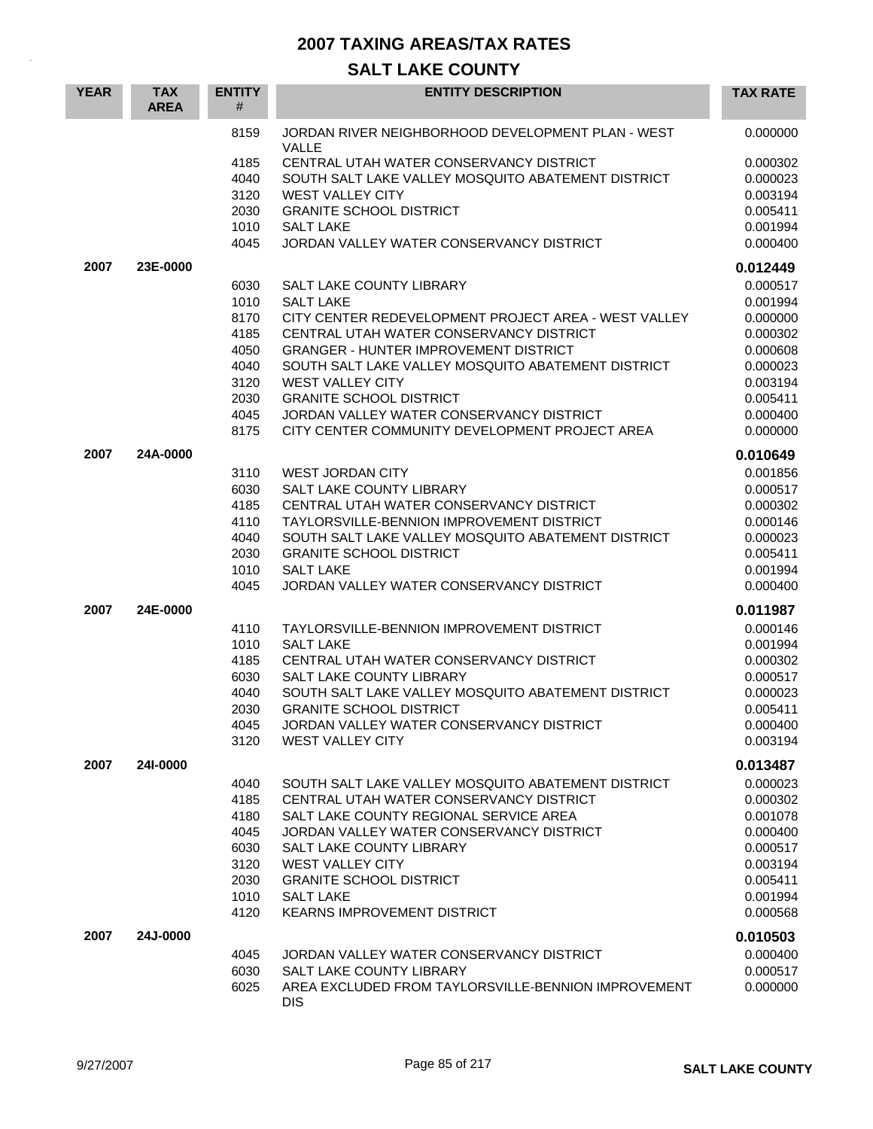| <b>YEAR</b> | <b>TAX</b><br><b>AREA</b> | <b>ENTITY</b><br>$\#$ | <b>ENTITY DESCRIPTION</b>                                                               | <b>TAX RATE</b>      |
|-------------|---------------------------|-----------------------|-----------------------------------------------------------------------------------------|----------------------|
|             |                           | 8159                  | JORDAN RIVER NEIGHBORHOOD DEVELOPMENT PLAN - WEST<br>VALLE                              | 0.000000             |
|             |                           | 4185                  | CENTRAL UTAH WATER CONSERVANCY DISTRICT                                                 | 0.000302             |
|             |                           | 4040                  | SOUTH SALT LAKE VALLEY MOSQUITO ABATEMENT DISTRICT                                      | 0.000023             |
|             |                           | 3120                  | <b>WEST VALLEY CITY</b>                                                                 | 0.003194             |
|             |                           | 2030                  | <b>GRANITE SCHOOL DISTRICT</b>                                                          | 0.005411             |
|             |                           | 1010                  | <b>SALT LAKE</b>                                                                        | 0.001994             |
|             |                           | 4045                  | JORDAN VALLEY WATER CONSERVANCY DISTRICT                                                | 0.000400             |
| 2007        | 23E-0000                  |                       |                                                                                         | 0.012449             |
|             |                           | 6030                  | <b>SALT LAKE COUNTY LIBRARY</b>                                                         | 0.000517             |
|             |                           | 1010                  | <b>SALT LAKE</b>                                                                        | 0.001994             |
|             |                           | 8170                  | CITY CENTER REDEVELOPMENT PROJECT AREA - WEST VALLEY                                    | 0.000000             |
|             |                           | 4185<br>4050          | CENTRAL UTAH WATER CONSERVANCY DISTRICT<br><b>GRANGER - HUNTER IMPROVEMENT DISTRICT</b> | 0.000302<br>0.000608 |
|             |                           | 4040                  | SOUTH SALT LAKE VALLEY MOSQUITO ABATEMENT DISTRICT                                      | 0.000023             |
|             |                           | 3120                  | <b>WEST VALLEY CITY</b>                                                                 | 0.003194             |
|             |                           | 2030                  | <b>GRANITE SCHOOL DISTRICT</b>                                                          | 0.005411             |
|             |                           | 4045                  | JORDAN VALLEY WATER CONSERVANCY DISTRICT                                                | 0.000400             |
|             |                           | 8175                  | CITY CENTER COMMUNITY DEVELOPMENT PROJECT AREA                                          | 0.000000             |
| 2007        | 24A-0000                  |                       |                                                                                         | 0.010649             |
|             |                           | 3110                  | <b>WEST JORDAN CITY</b>                                                                 | 0.001856             |
|             |                           | 6030                  | SALT LAKE COUNTY LIBRARY                                                                | 0.000517             |
|             |                           | 4185                  | CENTRAL UTAH WATER CONSERVANCY DISTRICT                                                 | 0.000302             |
|             |                           | 4110                  | TAYLORSVILLE-BENNION IMPROVEMENT DISTRICT                                               | 0.000146             |
|             |                           | 4040                  | SOUTH SALT LAKE VALLEY MOSQUITO ABATEMENT DISTRICT                                      | 0.000023             |
|             |                           | 2030                  | <b>GRANITE SCHOOL DISTRICT</b>                                                          | 0.005411             |
|             |                           | 1010<br>4045          | <b>SALT LAKE</b><br>JORDAN VALLEY WATER CONSERVANCY DISTRICT                            | 0.001994<br>0.000400 |
|             |                           |                       |                                                                                         |                      |
| 2007        | 24E-0000                  |                       |                                                                                         | 0.011987             |
|             |                           | 4110<br>1010          | TAYLORSVILLE-BENNION IMPROVEMENT DISTRICT<br><b>SALT LAKE</b>                           | 0.000146<br>0.001994 |
|             |                           | 4185                  | CENTRAL UTAH WATER CONSERVANCY DISTRICT                                                 | 0.000302             |
|             |                           | 6030                  | SALT LAKE COUNTY LIBRARY                                                                | 0.000517             |
|             |                           | 4040                  | SOUTH SALT LAKE VALLEY MOSQUITO ABATEMENT DISTRICT                                      | 0.000023             |
|             |                           | 2030                  | <b>GRANITE SCHOOL DISTRICT</b>                                                          | 0.005411             |
|             |                           | 4045                  | JORDAN VALLEY WATER CONSERVANCY DISTRICT                                                | 0.000400             |
|             |                           | 3120                  | <b>WEST VALLEY CITY</b>                                                                 | 0.003194             |
| 2007        | 241-0000                  |                       |                                                                                         | 0.013487             |
|             |                           | 4040                  | SOUTH SALT LAKE VALLEY MOSQUITO ABATEMENT DISTRICT                                      | 0.000023             |
|             |                           | 4185                  | CENTRAL UTAH WATER CONSERVANCY DISTRICT                                                 | 0.000302             |
|             |                           | 4180                  | SALT LAKE COUNTY REGIONAL SERVICE AREA                                                  | 0.001078             |
|             |                           | 4045                  | JORDAN VALLEY WATER CONSERVANCY DISTRICT                                                | 0.000400             |
|             |                           | 6030                  | SALT LAKE COUNTY LIBRARY                                                                | 0.000517             |
|             |                           | 3120                  | WEST VALLEY CITY                                                                        | 0.003194<br>0.005411 |
|             |                           | 2030<br>1010          | <b>GRANITE SCHOOL DISTRICT</b><br><b>SALT LAKE</b>                                      | 0.001994             |
|             |                           | 4120                  | <b>KEARNS IMPROVEMENT DISTRICT</b>                                                      | 0.000568             |
| 2007        | 24J-0000                  |                       |                                                                                         | 0.010503             |
|             |                           | 4045                  | JORDAN VALLEY WATER CONSERVANCY DISTRICT                                                | 0.000400             |
|             |                           | 6030                  | SALT LAKE COUNTY LIBRARY                                                                | 0.000517             |
|             |                           | 6025                  | AREA EXCLUDED FROM TAYLORSVILLE-BENNION IMPROVEMENT                                     | 0.000000             |
|             |                           |                       | <b>DIS</b>                                                                              |                      |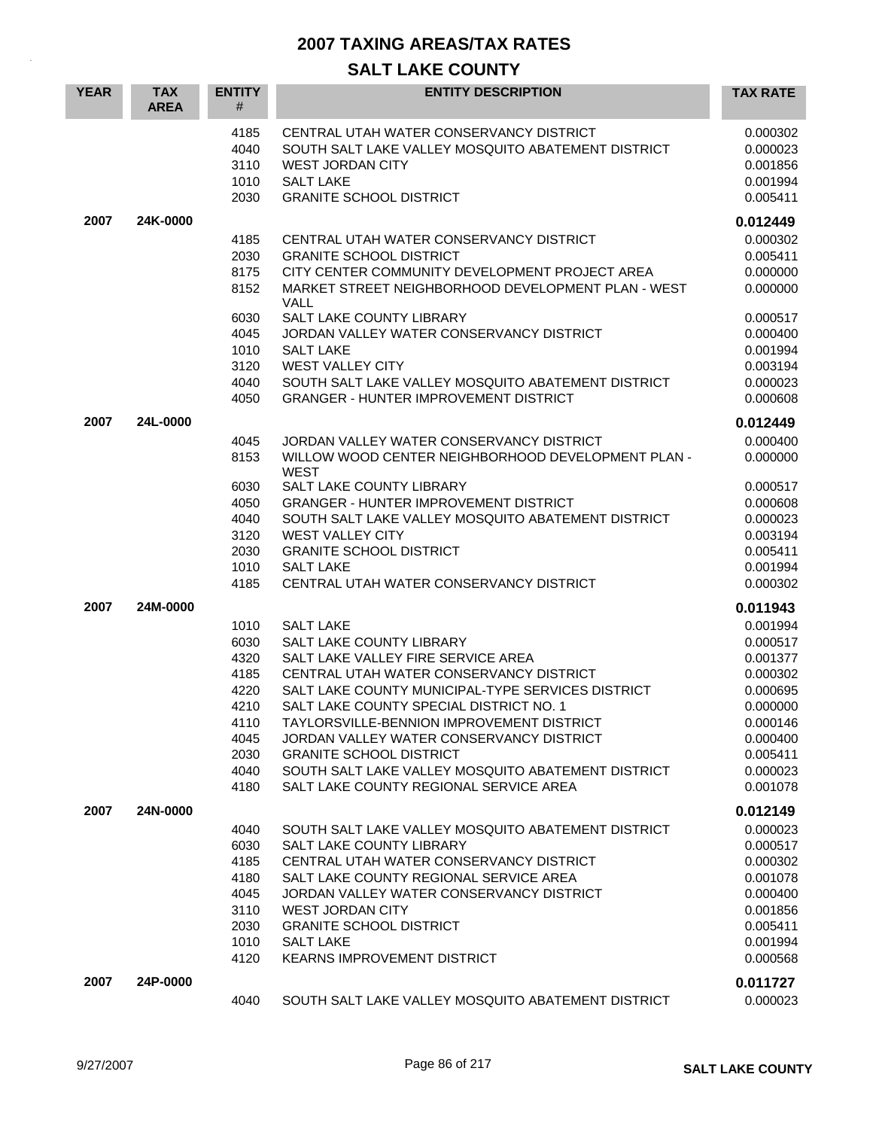| <b>YEAR</b> | <b>TAX</b><br><b>AREA</b> | <b>ENTITY</b><br>#                                                                   | <b>ENTITY DESCRIPTION</b>                                                                                                                                                                                                                                                                                                                                                                                                                                | <b>TAX RATE</b>                                                                                                                              |
|-------------|---------------------------|--------------------------------------------------------------------------------------|----------------------------------------------------------------------------------------------------------------------------------------------------------------------------------------------------------------------------------------------------------------------------------------------------------------------------------------------------------------------------------------------------------------------------------------------------------|----------------------------------------------------------------------------------------------------------------------------------------------|
|             |                           | 4185<br>4040<br>3110<br>1010<br>2030                                                 | CENTRAL UTAH WATER CONSERVANCY DISTRICT<br>SOUTH SALT LAKE VALLEY MOSQUITO ABATEMENT DISTRICT<br><b>WEST JORDAN CITY</b><br><b>SALT LAKE</b><br><b>GRANITE SCHOOL DISTRICT</b>                                                                                                                                                                                                                                                                           | 0.000302<br>0.000023<br>0.001856<br>0.001994<br>0.005411                                                                                     |
| 2007        | 24K-0000                  |                                                                                      |                                                                                                                                                                                                                                                                                                                                                                                                                                                          | 0.012449                                                                                                                                     |
|             |                           | 4185<br>2030<br>8175<br>8152<br>6030                                                 | CENTRAL UTAH WATER CONSERVANCY DISTRICT<br><b>GRANITE SCHOOL DISTRICT</b><br>CITY CENTER COMMUNITY DEVELOPMENT PROJECT AREA<br>MARKET STREET NEIGHBORHOOD DEVELOPMENT PLAN - WEST<br>VALL<br>SALT LAKE COUNTY LIBRARY                                                                                                                                                                                                                                    | 0.000302<br>0.005411<br>0.000000<br>0.000000<br>0.000517                                                                                     |
|             |                           | 4045<br>1010<br>3120<br>4040<br>4050                                                 | JORDAN VALLEY WATER CONSERVANCY DISTRICT<br><b>SALT LAKE</b><br><b>WEST VALLEY CITY</b><br>SOUTH SALT LAKE VALLEY MOSQUITO ABATEMENT DISTRICT<br><b>GRANGER - HUNTER IMPROVEMENT DISTRICT</b>                                                                                                                                                                                                                                                            | 0.000400<br>0.001994<br>0.003194<br>0.000023<br>0.000608                                                                                     |
| 2007        | 24L-0000                  | 4045<br>8153                                                                         | JORDAN VALLEY WATER CONSERVANCY DISTRICT<br>WILLOW WOOD CENTER NEIGHBORHOOD DEVELOPMENT PLAN -                                                                                                                                                                                                                                                                                                                                                           | 0.012449<br>0.000400<br>0.000000                                                                                                             |
|             |                           | 6030<br>4050<br>4040<br>3120<br>2030<br>1010<br>4185                                 | <b>WEST</b><br><b>SALT LAKE COUNTY LIBRARY</b><br><b>GRANGER - HUNTER IMPROVEMENT DISTRICT</b><br>SOUTH SALT LAKE VALLEY MOSQUITO ABATEMENT DISTRICT<br><b>WEST VALLEY CITY</b><br><b>GRANITE SCHOOL DISTRICT</b><br><b>SALT LAKE</b><br>CENTRAL UTAH WATER CONSERVANCY DISTRICT                                                                                                                                                                         | 0.000517<br>0.000608<br>0.000023<br>0.003194<br>0.005411<br>0.001994<br>0.000302                                                             |
| 2007        | 24M-0000                  | 1010<br>6030<br>4320<br>4185<br>4220<br>4210<br>4110<br>4045<br>2030<br>4040<br>4180 | <b>SALT LAKE</b><br>SALT LAKE COUNTY LIBRARY<br>SALT LAKE VALLEY FIRE SERVICE AREA<br>CENTRAL UTAH WATER CONSERVANCY DISTRICT<br>SALT LAKE COUNTY MUNICIPAL-TYPE SERVICES DISTRICT<br>SALT LAKE COUNTY SPECIAL DISTRICT NO. 1<br>TAYLORSVILLE-BENNION IMPROVEMENT DISTRICT<br>JORDAN VALLEY WATER CONSERVANCY DISTRICT<br><b>GRANITE SCHOOL DISTRICT</b><br>SOUTH SALT LAKE VALLEY MOSOUITO ABATEMENT DISTRICT<br>SALT LAKE COUNTY REGIONAL SERVICE AREA | 0.011943<br>0.001994<br>0.000517<br>0.001377<br>0.000302<br>0.000695<br>0.000000<br>0.000146<br>0.000400<br>0.005411<br>0.000023<br>0.001078 |
| 2007        | 24N-0000                  | 4040<br>6030<br>4185<br>4180<br>4045<br>3110<br>2030<br>1010<br>4120                 | SOUTH SALT LAKE VALLEY MOSQUITO ABATEMENT DISTRICT<br>SALT LAKE COUNTY LIBRARY<br>CENTRAL UTAH WATER CONSERVANCY DISTRICT<br>SALT LAKE COUNTY REGIONAL SERVICE AREA<br>JORDAN VALLEY WATER CONSERVANCY DISTRICT<br><b>WEST JORDAN CITY</b><br><b>GRANITE SCHOOL DISTRICT</b><br><b>SALT LAKE</b><br>KEARNS IMPROVEMENT DISTRICT                                                                                                                          | 0.012149<br>0.000023<br>0.000517<br>0.000302<br>0.001078<br>0.000400<br>0.001856<br>0.005411<br>0.001994<br>0.000568                         |
| 2007        | 24P-0000                  | 4040                                                                                 | SOUTH SALT LAKE VALLEY MOSQUITO ABATEMENT DISTRICT                                                                                                                                                                                                                                                                                                                                                                                                       | 0.011727<br>0.000023                                                                                                                         |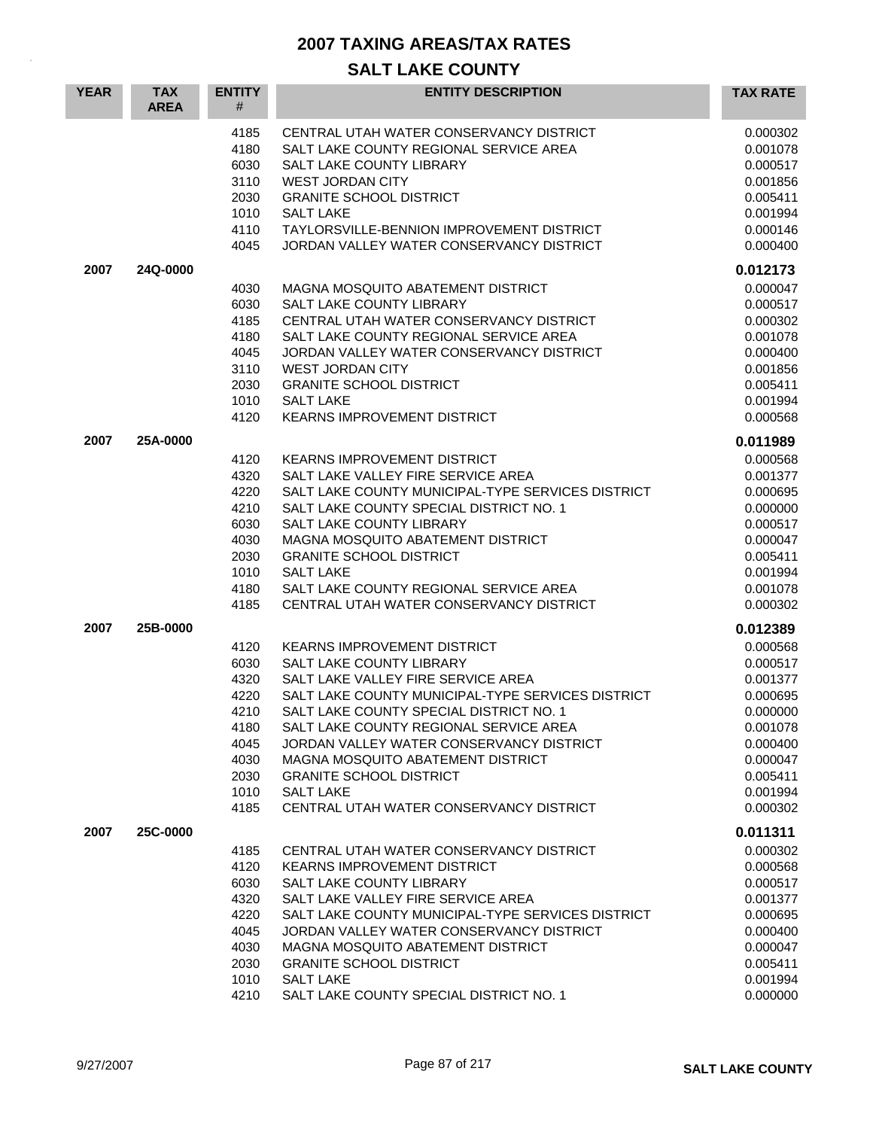| <b>YEAR</b> | <b>TAX</b><br><b>AREA</b> | <b>ENTITY</b><br>#                                                                   | <b>ENTITY DESCRIPTION</b>                                                                                                                                                                                                                                                                                                                                                                                                        | <b>TAX RATE</b>                                                                                                                  |
|-------------|---------------------------|--------------------------------------------------------------------------------------|----------------------------------------------------------------------------------------------------------------------------------------------------------------------------------------------------------------------------------------------------------------------------------------------------------------------------------------------------------------------------------------------------------------------------------|----------------------------------------------------------------------------------------------------------------------------------|
|             |                           | 4185<br>4180<br>6030<br>3110<br>2030<br>1010<br>4110<br>4045                         | CENTRAL UTAH WATER CONSERVANCY DISTRICT<br>SALT LAKE COUNTY REGIONAL SERVICE AREA<br>SALT LAKE COUNTY LIBRARY<br><b>WEST JORDAN CITY</b><br><b>GRANITE SCHOOL DISTRICT</b><br><b>SALT LAKE</b><br>TAYLORSVILLE-BENNION IMPROVEMENT DISTRICT<br>JORDAN VALLEY WATER CONSERVANCY DISTRICT                                                                                                                                          | 0.000302<br>0.001078<br>0.000517<br>0.001856<br>0.005411<br>0.001994<br>0.000146<br>0.000400                                     |
| 2007        | 24Q-0000                  |                                                                                      |                                                                                                                                                                                                                                                                                                                                                                                                                                  | 0.012173                                                                                                                         |
|             |                           | 4030<br>6030<br>4185<br>4180<br>4045<br>3110<br>2030<br>1010<br>4120                 | <b>MAGNA MOSQUITO ABATEMENT DISTRICT</b><br>SALT LAKE COUNTY LIBRARY<br>CENTRAL UTAH WATER CONSERVANCY DISTRICT<br>SALT LAKE COUNTY REGIONAL SERVICE AREA<br>JORDAN VALLEY WATER CONSERVANCY DISTRICT<br><b>WEST JORDAN CITY</b><br><b>GRANITE SCHOOL DISTRICT</b><br><b>SALT LAKE</b><br><b>KEARNS IMPROVEMENT DISTRICT</b>                                                                                                     | 0.000047<br>0.000517<br>0.000302<br>0.001078<br>0.000400<br>0.001856<br>0.005411<br>0.001994<br>0.000568                         |
| 2007        | 25A-0000                  |                                                                                      |                                                                                                                                                                                                                                                                                                                                                                                                                                  | 0.011989                                                                                                                         |
| 2007        | 25B-0000                  | 4120<br>4320<br>4220<br>4210<br>6030<br>4030<br>2030<br>1010<br>4180<br>4185         | <b>KEARNS IMPROVEMENT DISTRICT</b><br>SALT LAKE VALLEY FIRE SERVICE AREA<br>SALT LAKE COUNTY MUNICIPAL-TYPE SERVICES DISTRICT<br>SALT LAKE COUNTY SPECIAL DISTRICT NO. 1<br>SALT LAKE COUNTY LIBRARY<br>MAGNA MOSQUITO ABATEMENT DISTRICT<br><b>GRANITE SCHOOL DISTRICT</b><br><b>SALT LAKE</b><br>SALT LAKE COUNTY REGIONAL SERVICE AREA<br>CENTRAL UTAH WATER CONSERVANCY DISTRICT                                             | 0.000568<br>0.001377<br>0.000695<br>0.000000<br>0.000517<br>0.000047<br>0.005411<br>0.001994<br>0.001078<br>0.000302<br>0.012389 |
|             |                           | 4120<br>6030<br>4320<br>4220<br>4210<br>4180<br>4045<br>4030<br>2030<br>1010<br>4185 | <b>KEARNS IMPROVEMENT DISTRICT</b><br>SALT LAKE COUNTY LIBRARY<br>SALT LAKE VALLEY FIRE SERVICE AREA<br>SALT LAKE COUNTY MUNICIPAL-TYPE SERVICES DISTRICT<br>SALT LAKE COUNTY SPECIAL DISTRICT NO. 1<br>SALT LAKE COUNTY REGIONAL SERVICE AREA<br>JORDAN VALLEY WATER CONSERVANCY DISTRICT<br>MAGNA MOSQUITO ABATEMENT DISTRICT<br><b>GRANITE SCHOOL DISTRICT</b><br><b>SALT LAKE</b><br>CENTRAL UTAH WATER CONSERVANCY DISTRICT | 0.000568<br>0.000517<br>0.001377<br>0.000695<br>0.000000<br>0.001078<br>0.000400<br>0.000047<br>0.005411<br>0.001994<br>0.000302 |
| 2007        | 25C-0000                  | 4185<br>4120<br>6030<br>4320<br>4220<br>4045<br>4030<br>2030<br>1010<br>4210         | CENTRAL UTAH WATER CONSERVANCY DISTRICT<br>KEARNS IMPROVEMENT DISTRICT<br>SALT LAKE COUNTY LIBRARY<br>SALT LAKE VALLEY FIRE SERVICE AREA<br>SALT LAKE COUNTY MUNICIPAL-TYPE SERVICES DISTRICT<br>JORDAN VALLEY WATER CONSERVANCY DISTRICT<br>MAGNA MOSQUITO ABATEMENT DISTRICT<br><b>GRANITE SCHOOL DISTRICT</b><br><b>SALT LAKE</b><br>SALT LAKE COUNTY SPECIAL DISTRICT NO. 1                                                  | 0.011311<br>0.000302<br>0.000568<br>0.000517<br>0.001377<br>0.000695<br>0.000400<br>0.000047<br>0.005411<br>0.001994<br>0.000000 |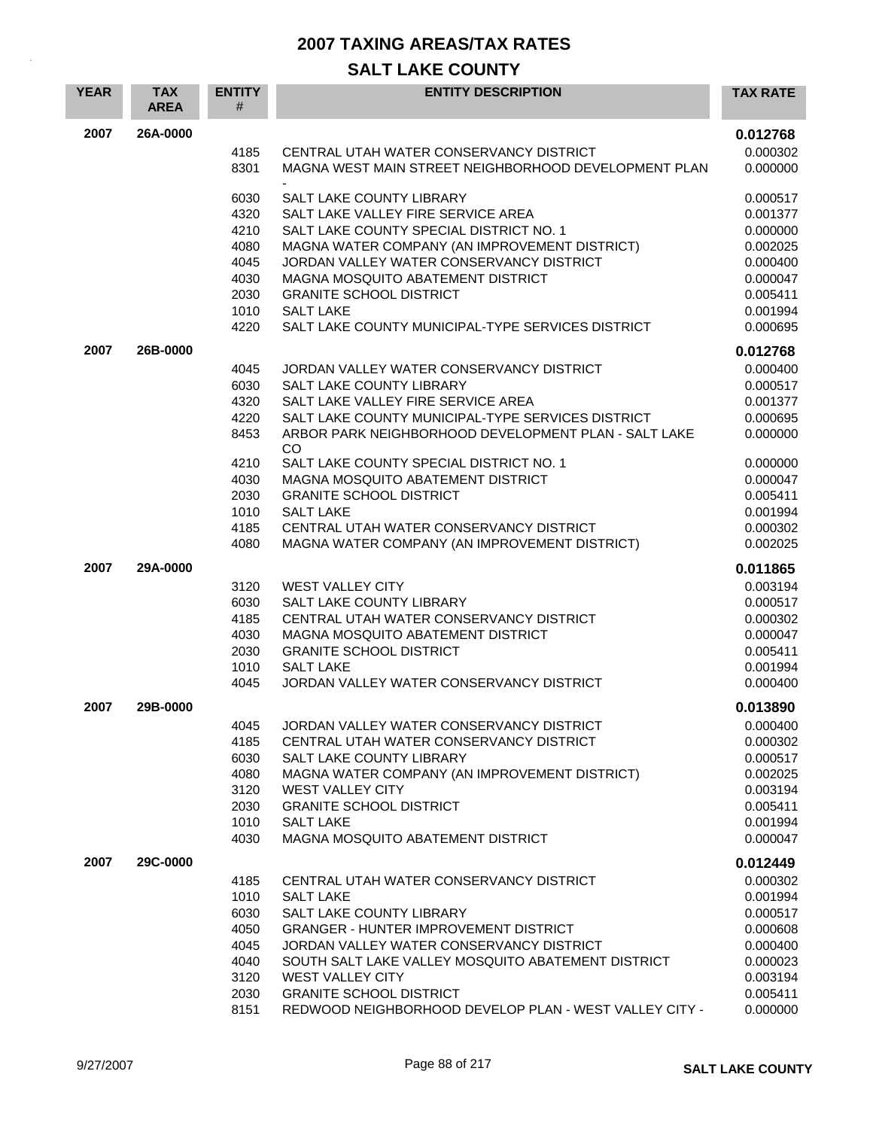| <b>YEAR</b> | <b>TAX</b><br><b>AREA</b> | <b>ENTITY</b><br># | <b>ENTITY DESCRIPTION</b>                                                                 | <b>TAX RATE</b>      |
|-------------|---------------------------|--------------------|-------------------------------------------------------------------------------------------|----------------------|
| 2007        | 26A-0000                  |                    |                                                                                           | 0.012768             |
|             |                           | 4185               | CENTRAL UTAH WATER CONSERVANCY DISTRICT                                                   | 0.000302             |
|             |                           | 8301               | MAGNA WEST MAIN STREET NEIGHBORHOOD DEVELOPMENT PLAN                                      | 0.000000             |
|             |                           | 6030               | SALT LAKE COUNTY LIBRARY                                                                  | 0.000517             |
|             |                           | 4320               | SALT LAKE VALLEY FIRE SERVICE AREA                                                        | 0.001377             |
|             |                           | 4210               | SALT LAKE COUNTY SPECIAL DISTRICT NO. 1                                                   | 0.000000             |
|             |                           | 4080<br>4045       | MAGNA WATER COMPANY (AN IMPROVEMENT DISTRICT)<br>JORDAN VALLEY WATER CONSERVANCY DISTRICT | 0.002025<br>0.000400 |
|             |                           | 4030               | MAGNA MOSQUITO ABATEMENT DISTRICT                                                         | 0.000047             |
|             |                           | 2030               | <b>GRANITE SCHOOL DISTRICT</b>                                                            | 0.005411             |
|             |                           | 1010               | <b>SALT LAKE</b>                                                                          | 0.001994             |
|             |                           | 4220               | SALT LAKE COUNTY MUNICIPAL-TYPE SERVICES DISTRICT                                         | 0.000695             |
| 2007        | 26B-0000                  |                    |                                                                                           | 0.012768             |
|             |                           | 4045               | JORDAN VALLEY WATER CONSERVANCY DISTRICT                                                  | 0.000400             |
|             |                           | 6030               | SALT LAKE COUNTY LIBRARY                                                                  | 0.000517             |
|             |                           | 4320<br>4220       | SALT LAKE VALLEY FIRE SERVICE AREA<br>SALT LAKE COUNTY MUNICIPAL-TYPE SERVICES DISTRICT   | 0.001377<br>0.000695 |
|             |                           | 8453               | ARBOR PARK NEIGHBORHOOD DEVELOPMENT PLAN - SALT LAKE                                      | 0.000000             |
|             |                           |                    | <b>CO</b>                                                                                 |                      |
|             |                           | 4210               | SALT LAKE COUNTY SPECIAL DISTRICT NO. 1                                                   | 0.000000             |
|             |                           | 4030               | MAGNA MOSQUITO ABATEMENT DISTRICT                                                         | 0.000047             |
|             |                           | 2030<br>1010       | <b>GRANITE SCHOOL DISTRICT</b><br><b>SALT LAKE</b>                                        | 0.005411<br>0.001994 |
|             |                           | 4185               | CENTRAL UTAH WATER CONSERVANCY DISTRICT                                                   | 0.000302             |
|             |                           | 4080               | MAGNA WATER COMPANY (AN IMPROVEMENT DISTRICT)                                             | 0.002025             |
| 2007        | 29A-0000                  |                    |                                                                                           | 0.011865             |
|             |                           | 3120               | <b>WEST VALLEY CITY</b>                                                                   | 0.003194             |
|             |                           | 6030               | SALT LAKE COUNTY LIBRARY                                                                  | 0.000517             |
|             |                           | 4185               | CENTRAL UTAH WATER CONSERVANCY DISTRICT                                                   | 0.000302             |
|             |                           | 4030               | MAGNA MOSQUITO ABATEMENT DISTRICT                                                         | 0.000047             |
|             |                           | 2030               | <b>GRANITE SCHOOL DISTRICT</b><br><b>SALT LAKE</b>                                        | 0.005411             |
|             |                           | 1010<br>4045       | JORDAN VALLEY WATER CONSERVANCY DISTRICT                                                  | 0.001994<br>0.000400 |
| 2007        | 29B-0000                  |                    |                                                                                           | 0.013890             |
|             |                           | 4045               | JORDAN VALLEY WATER CONSERVANCY DISTRICT                                                  | 0.000400             |
|             |                           | 4185               | CENTRAL UTAH WATER CONSERVANCY DISTRICT                                                   | 0.000302             |
|             |                           | 6030               | SALT LAKE COUNTY LIBRARY                                                                  | 0.000517             |
|             |                           | 4080               | MAGNA WATER COMPANY (AN IMPROVEMENT DISTRICT)                                             | 0.002025             |
|             |                           | 3120               | <b>WEST VALLEY CITY</b>                                                                   | 0.003194             |
|             |                           | 2030               | <b>GRANITE SCHOOL DISTRICT</b>                                                            | 0.005411             |
|             |                           | 1010               | <b>SALT LAKE</b>                                                                          | 0.001994             |
|             |                           | 4030               | MAGNA MOSQUITO ABATEMENT DISTRICT                                                         | 0.000047             |
| 2007        | 29C-0000                  |                    |                                                                                           | 0.012449             |
|             |                           | 4185               | CENTRAL UTAH WATER CONSERVANCY DISTRICT                                                   | 0.000302             |
|             |                           | 1010<br>6030       | <b>SALT LAKE</b><br>SALT LAKE COUNTY LIBRARY                                              | 0.001994<br>0.000517 |
|             |                           | 4050               | <b>GRANGER - HUNTER IMPROVEMENT DISTRICT</b>                                              | 0.000608             |
|             |                           | 4045               | JORDAN VALLEY WATER CONSERVANCY DISTRICT                                                  | 0.000400             |
|             |                           | 4040               | SOUTH SALT LAKE VALLEY MOSQUITO ABATEMENT DISTRICT                                        | 0.000023             |
|             |                           | 3120               | WEST VALLEY CITY                                                                          | 0.003194             |
|             |                           | 2030               | <b>GRANITE SCHOOL DISTRICT</b>                                                            | 0.005411             |
|             |                           | 8151               | REDWOOD NEIGHBORHOOD DEVELOP PLAN - WEST VALLEY CITY -                                    | 0.000000             |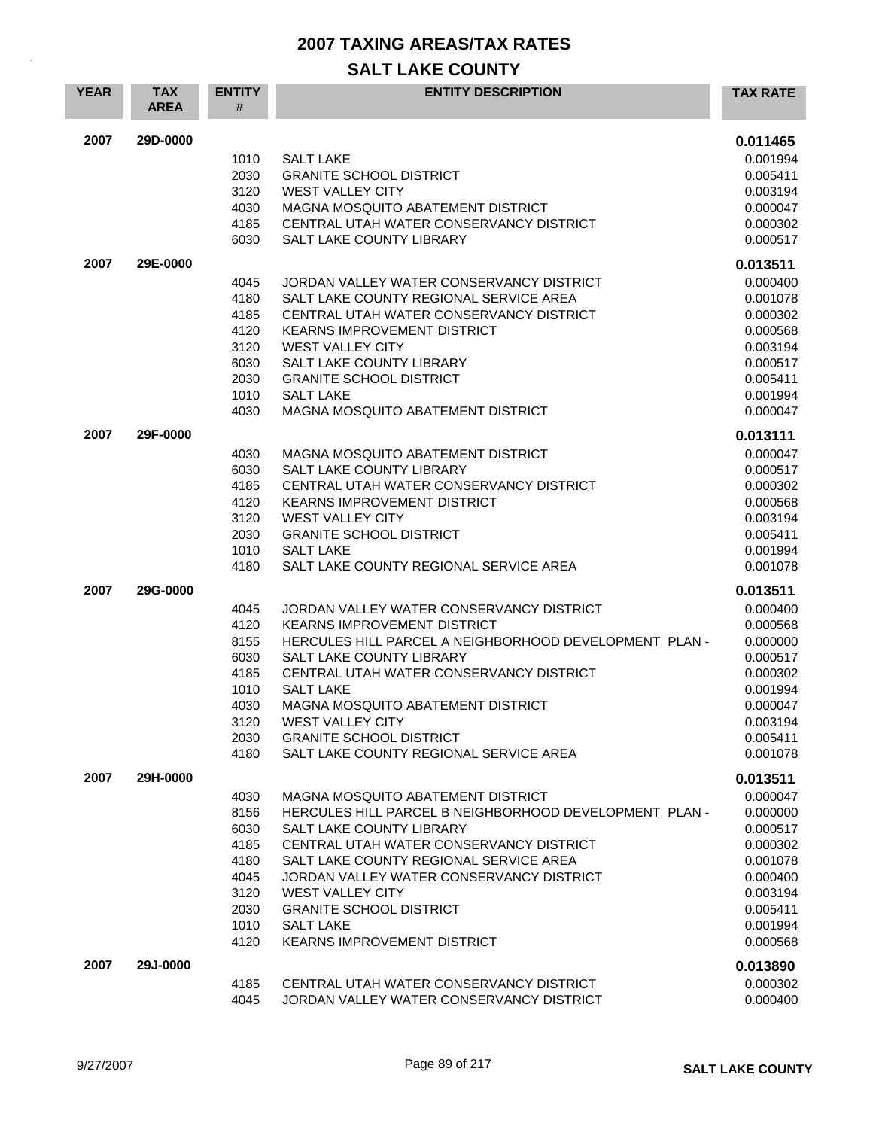| <b>YEAR</b> | <b>TAX</b><br><b>AREA</b> | <b>ENTITY</b><br># | <b>ENTITY DESCRIPTION</b>                              | <b>TAX RATE</b> |
|-------------|---------------------------|--------------------|--------------------------------------------------------|-----------------|
| 2007        | 29D-0000                  |                    |                                                        | 0.011465        |
|             |                           | 1010               | <b>SALT LAKE</b>                                       | 0.001994        |
|             |                           | 2030               | <b>GRANITE SCHOOL DISTRICT</b>                         | 0.005411        |
|             |                           | 3120               | <b>WEST VALLEY CITY</b>                                | 0.003194        |
|             |                           | 4030               | MAGNA MOSQUITO ABATEMENT DISTRICT                      | 0.000047        |
|             |                           | 4185               | CENTRAL UTAH WATER CONSERVANCY DISTRICT                | 0.000302        |
|             |                           | 6030               | SALT LAKE COUNTY LIBRARY                               | 0.000517        |
| 2007        | 29E-0000                  |                    |                                                        | 0.013511        |
|             |                           | 4045               | JORDAN VALLEY WATER CONSERVANCY DISTRICT               | 0.000400        |
|             |                           | 4180               | SALT LAKE COUNTY REGIONAL SERVICE AREA                 | 0.001078        |
|             |                           | 4185               | CENTRAL UTAH WATER CONSERVANCY DISTRICT                | 0.000302        |
|             |                           | 4120               | <b>KEARNS IMPROVEMENT DISTRICT</b>                     | 0.000568        |
|             |                           | 3120               | <b>WEST VALLEY CITY</b>                                | 0.003194        |
|             |                           | 6030               | <b>SALT LAKE COUNTY LIBRARY</b>                        | 0.000517        |
|             |                           | 2030               | <b>GRANITE SCHOOL DISTRICT</b>                         | 0.005411        |
|             |                           | 1010               | <b>SALT LAKE</b>                                       | 0.001994        |
|             |                           | 4030               | MAGNA MOSQUITO ABATEMENT DISTRICT                      | 0.000047        |
| 2007        | 29F-0000                  |                    |                                                        | 0.013111        |
|             |                           | 4030               | <b>MAGNA MOSQUITO ABATEMENT DISTRICT</b>               | 0.000047        |
|             |                           | 6030               | <b>SALT LAKE COUNTY LIBRARY</b>                        | 0.000517        |
|             |                           | 4185               | CENTRAL UTAH WATER CONSERVANCY DISTRICT                | 0.000302        |
|             |                           | 4120               | <b>KEARNS IMPROVEMENT DISTRICT</b>                     | 0.000568        |
|             |                           | 3120               | <b>WEST VALLEY CITY</b>                                | 0.003194        |
|             |                           | 2030               | <b>GRANITE SCHOOL DISTRICT</b>                         | 0.005411        |
|             |                           | 1010               | <b>SALT LAKE</b>                                       | 0.001994        |
|             |                           | 4180               | SALT LAKE COUNTY REGIONAL SERVICE AREA                 | 0.001078        |
| 2007        | 29G-0000                  |                    |                                                        | 0.013511        |
|             |                           | 4045               | JORDAN VALLEY WATER CONSERVANCY DISTRICT               | 0.000400        |
|             |                           | 4120               | <b>KEARNS IMPROVEMENT DISTRICT</b>                     | 0.000568        |
|             |                           | 8155               | HERCULES HILL PARCEL A NEIGHBORHOOD DEVELOPMENT PLAN - | 0.000000        |
|             |                           | 6030               | <b>SALT LAKE COUNTY LIBRARY</b>                        | 0.000517        |
|             |                           | 4185               | CENTRAL UTAH WATER CONSERVANCY DISTRICT                | 0.000302        |
|             |                           | 1010               | <b>SALT LAKE</b>                                       | 0.001994        |
|             |                           | 4030               | MAGNA MOSQUITO ABATEMENT DISTRICT                      | 0.000047        |
|             |                           | 3120               | WEST VALLEY CITY                                       | 0.003194        |
|             |                           | 2030               | <b>GRANITE SCHOOL DISTRICT</b>                         | 0.005411        |
|             |                           | 4180               | SALT LAKE COUNTY REGIONAL SERVICE AREA                 | 0.001078        |
| 2007        | 29H-0000                  |                    |                                                        | 0.013511        |
|             |                           | 4030               | MAGNA MOSQUITO ABATEMENT DISTRICT                      | 0.000047        |
|             |                           | 8156               | HERCULES HILL PARCEL B NEIGHBORHOOD DEVELOPMENT PLAN - | 0.000000        |
|             |                           | 6030               | SALT LAKE COUNTY LIBRARY                               | 0.000517        |
|             |                           | 4185               | CENTRAL UTAH WATER CONSERVANCY DISTRICT                | 0.000302        |
|             |                           | 4180               | SALT LAKE COUNTY REGIONAL SERVICE AREA                 | 0.001078        |
|             |                           | 4045               | JORDAN VALLEY WATER CONSERVANCY DISTRICT               | 0.000400        |
|             |                           | 3120               | <b>WEST VALLEY CITY</b>                                | 0.003194        |
|             |                           | 2030               | <b>GRANITE SCHOOL DISTRICT</b>                         | 0.005411        |
|             |                           | 1010               | <b>SALT LAKE</b>                                       | 0.001994        |
|             |                           | 4120               | KEARNS IMPROVEMENT DISTRICT                            | 0.000568        |
| 2007        | 29J-0000                  |                    |                                                        | 0.013890        |
|             |                           | 4185               | CENTRAL UTAH WATER CONSERVANCY DISTRICT                | 0.000302        |
|             |                           | 4045               | JORDAN VALLEY WATER CONSERVANCY DISTRICT               | 0.000400        |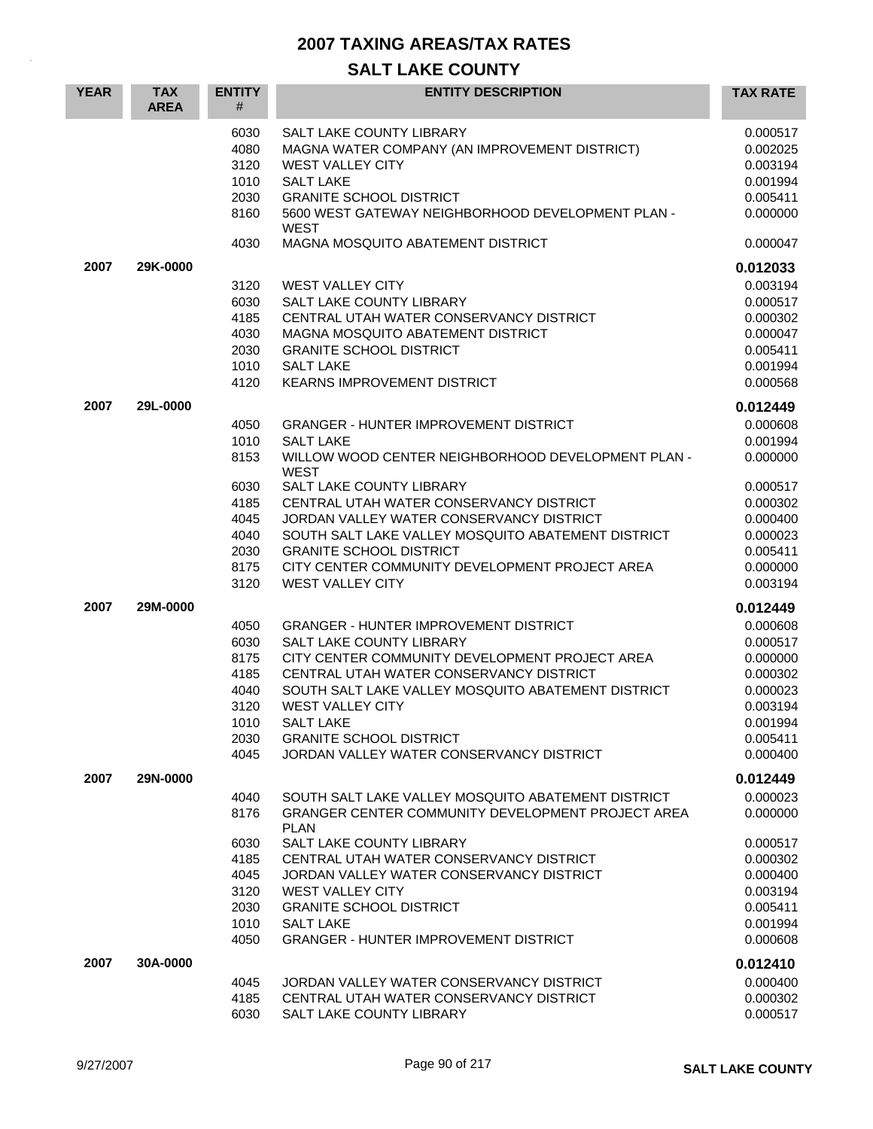| <b>YEAR</b> | <b>TAX</b><br><b>AREA</b> | <b>ENTITY</b><br>#                                                   | <b>ENTITY DESCRIPTION</b>                                                                                                                                                                                                                                                                                                                                                         | <b>TAX RATE</b>                                                                                                      |
|-------------|---------------------------|----------------------------------------------------------------------|-----------------------------------------------------------------------------------------------------------------------------------------------------------------------------------------------------------------------------------------------------------------------------------------------------------------------------------------------------------------------------------|----------------------------------------------------------------------------------------------------------------------|
|             |                           | 6030<br>4080<br>3120<br>1010<br>2030                                 | SALT LAKE COUNTY LIBRARY<br>MAGNA WATER COMPANY (AN IMPROVEMENT DISTRICT)<br><b>WEST VALLEY CITY</b><br><b>SALT LAKE</b><br><b>GRANITE SCHOOL DISTRICT</b>                                                                                                                                                                                                                        | 0.000517<br>0.002025<br>0.003194<br>0.001994<br>0.005411                                                             |
|             |                           | 8160<br>4030                                                         | 5600 WEST GATEWAY NEIGHBORHOOD DEVELOPMENT PLAN -<br><b>WEST</b><br>MAGNA MOSQUITO ABATEMENT DISTRICT                                                                                                                                                                                                                                                                             | 0.000000<br>0.000047                                                                                                 |
| 2007        | 29K-0000                  |                                                                      |                                                                                                                                                                                                                                                                                                                                                                                   | 0.012033                                                                                                             |
|             |                           | 3120<br>6030<br>4185<br>4030<br>2030<br>1010<br>4120                 | <b>WEST VALLEY CITY</b><br>SALT LAKE COUNTY LIBRARY<br>CENTRAL UTAH WATER CONSERVANCY DISTRICT<br>MAGNA MOSQUITO ABATEMENT DISTRICT<br><b>GRANITE SCHOOL DISTRICT</b><br><b>SALT LAKE</b><br>KEARNS IMPROVEMENT DISTRICT                                                                                                                                                          | 0.003194<br>0.000517<br>0.000302<br>0.000047<br>0.005411<br>0.001994<br>0.000568                                     |
| 2007        | 29L-0000                  | 4050<br>1010<br>8153                                                 | <b>GRANGER - HUNTER IMPROVEMENT DISTRICT</b><br><b>SALT LAKE</b><br>WILLOW WOOD CENTER NEIGHBORHOOD DEVELOPMENT PLAN -                                                                                                                                                                                                                                                            | 0.012449<br>0.000608<br>0.001994<br>0.000000                                                                         |
|             |                           | 6030<br>4185<br>4045<br>4040<br>2030<br>8175<br>3120                 | <b>WEST</b><br><b>SALT LAKE COUNTY LIBRARY</b><br>CENTRAL UTAH WATER CONSERVANCY DISTRICT<br>JORDAN VALLEY WATER CONSERVANCY DISTRICT<br>SOUTH SALT LAKE VALLEY MOSQUITO ABATEMENT DISTRICT<br><b>GRANITE SCHOOL DISTRICT</b><br>CITY CENTER COMMUNITY DEVELOPMENT PROJECT AREA<br><b>WEST VALLEY CITY</b>                                                                        | 0.000517<br>0.000302<br>0.000400<br>0.000023<br>0.005411<br>0.000000<br>0.003194                                     |
| 2007        | 29M-0000                  | 4050<br>6030<br>8175<br>4185<br>4040<br>3120<br>1010<br>2030<br>4045 | <b>GRANGER - HUNTER IMPROVEMENT DISTRICT</b><br>SALT LAKE COUNTY LIBRARY<br>CITY CENTER COMMUNITY DEVELOPMENT PROJECT AREA<br>CENTRAL UTAH WATER CONSERVANCY DISTRICT<br>SOUTH SALT LAKE VALLEY MOSQUITO ABATEMENT DISTRICT<br><b>WEST VALLEY CITY</b><br><b>SALT LAKE</b><br><b>GRANITE SCHOOL DISTRICT</b><br>JORDAN VALLEY WATER CONSERVANCY DISTRICT                          | 0.012449<br>0.000608<br>0.000517<br>0.000000<br>0.000302<br>0.000023<br>0.003194<br>0.001994<br>0.005411<br>0.000400 |
| 2007        | 29N-0000                  | 4040<br>8176<br>6030<br>4185<br>4045<br>3120<br>2030<br>1010<br>4050 | SOUTH SALT LAKE VALLEY MOSQUITO ABATEMENT DISTRICT<br><b>GRANGER CENTER COMMUNITY DEVELOPMENT PROJECT AREA</b><br><b>PLAN</b><br>SALT LAKE COUNTY LIBRARY<br>CENTRAL UTAH WATER CONSERVANCY DISTRICT<br>JORDAN VALLEY WATER CONSERVANCY DISTRICT<br><b>WEST VALLEY CITY</b><br><b>GRANITE SCHOOL DISTRICT</b><br><b>SALT LAKE</b><br><b>GRANGER - HUNTER IMPROVEMENT DISTRICT</b> | 0.012449<br>0.000023<br>0.000000<br>0.000517<br>0.000302<br>0.000400<br>0.003194<br>0.005411<br>0.001994<br>0.000608 |
| 2007        | 30A-0000                  |                                                                      |                                                                                                                                                                                                                                                                                                                                                                                   | 0.012410                                                                                                             |
|             |                           | 4045<br>4185<br>6030                                                 | JORDAN VALLEY WATER CONSERVANCY DISTRICT<br>CENTRAL UTAH WATER CONSERVANCY DISTRICT<br>SALT LAKE COUNTY LIBRARY                                                                                                                                                                                                                                                                   | 0.000400<br>0.000302<br>0.000517                                                                                     |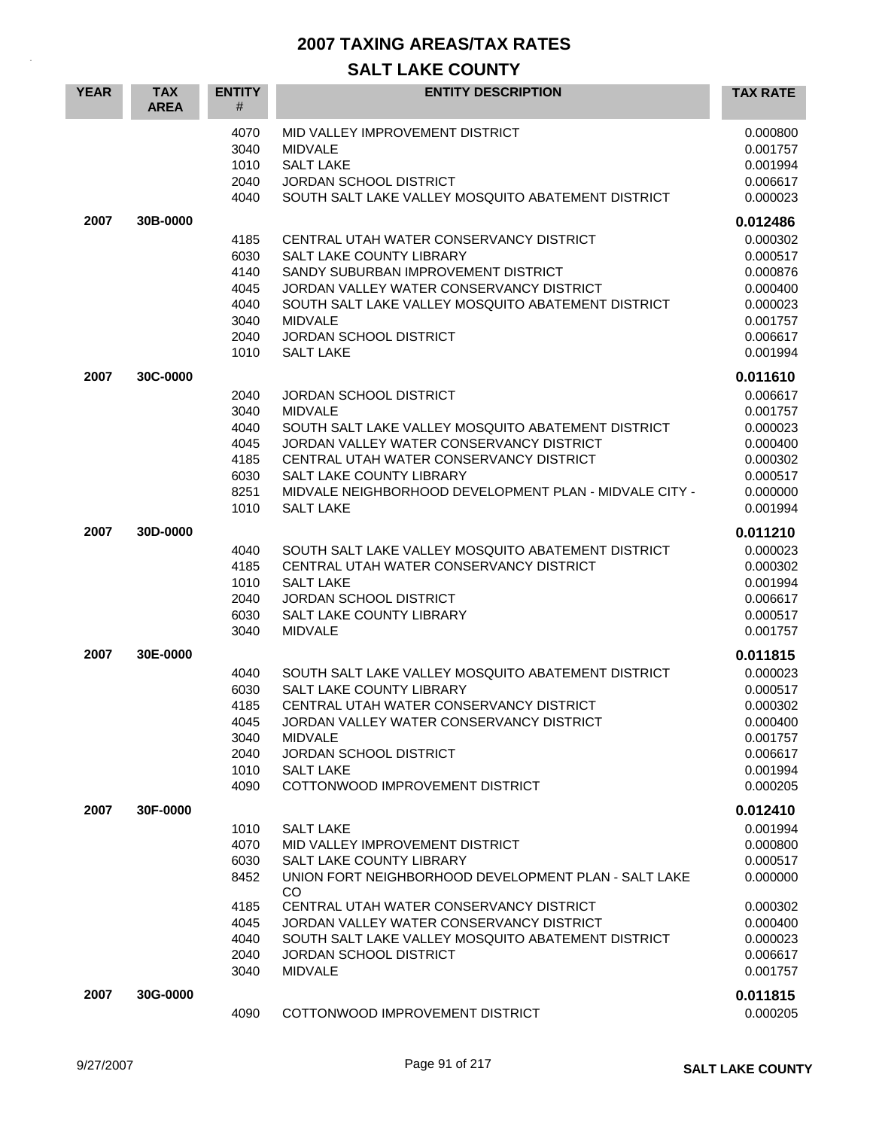| <b>YEAR</b> | <b>TAX</b><br><b>AREA</b> | <b>ENTITY</b><br>#                                                   | <b>ENTITY DESCRIPTION</b>                                                                                                                                                                                                                                                                                                                     | <b>TAX RATE</b>                                                                                                      |
|-------------|---------------------------|----------------------------------------------------------------------|-----------------------------------------------------------------------------------------------------------------------------------------------------------------------------------------------------------------------------------------------------------------------------------------------------------------------------------------------|----------------------------------------------------------------------------------------------------------------------|
|             |                           | 4070<br>3040<br>1010<br>2040<br>4040                                 | MID VALLEY IMPROVEMENT DISTRICT<br><b>MIDVALE</b><br><b>SALT LAKE</b><br>JORDAN SCHOOL DISTRICT<br>SOUTH SALT LAKE VALLEY MOSQUITO ABATEMENT DISTRICT                                                                                                                                                                                         | 0.000800<br>0.001757<br>0.001994<br>0.006617<br>0.000023                                                             |
| 2007        | 30B-0000                  | 4185<br>6030<br>4140<br>4045<br>4040<br>3040<br>2040<br>1010         | CENTRAL UTAH WATER CONSERVANCY DISTRICT<br><b>SALT LAKE COUNTY LIBRARY</b><br>SANDY SUBURBAN IMPROVEMENT DISTRICT<br>JORDAN VALLEY WATER CONSERVANCY DISTRICT<br>SOUTH SALT LAKE VALLEY MOSQUITO ABATEMENT DISTRICT<br><b>MIDVALE</b><br><b>JORDAN SCHOOL DISTRICT</b><br><b>SALT LAKE</b>                                                    | 0.012486<br>0.000302<br>0.000517<br>0.000876<br>0.000400<br>0.000023<br>0.001757<br>0.006617<br>0.001994             |
| 2007        | 30C-0000                  | 2040<br>3040<br>4040<br>4045<br>4185<br>6030<br>8251<br>1010         | JORDAN SCHOOL DISTRICT<br><b>MIDVALE</b><br>SOUTH SALT LAKE VALLEY MOSQUITO ABATEMENT DISTRICT<br>JORDAN VALLEY WATER CONSERVANCY DISTRICT<br>CENTRAL UTAH WATER CONSERVANCY DISTRICT<br>SALT LAKE COUNTY LIBRARY<br>MIDVALE NEIGHBORHOOD DEVELOPMENT PLAN - MIDVALE CITY -<br><b>SALT LAKE</b>                                               | 0.011610<br>0.006617<br>0.001757<br>0.000023<br>0.000400<br>0.000302<br>0.000517<br>0.000000<br>0.001994             |
| 2007        | 30D-0000                  | 4040<br>4185<br>1010<br>2040<br>6030<br>3040                         | SOUTH SALT LAKE VALLEY MOSQUITO ABATEMENT DISTRICT<br>CENTRAL UTAH WATER CONSERVANCY DISTRICT<br><b>SALT LAKE</b><br><b>JORDAN SCHOOL DISTRICT</b><br>SALT LAKE COUNTY LIBRARY<br><b>MIDVALE</b>                                                                                                                                              | 0.011210<br>0.000023<br>0.000302<br>0.001994<br>0.006617<br>0.000517<br>0.001757                                     |
| 2007        | 30E-0000                  | 4040<br>6030<br>4185<br>4045<br>3040<br>2040<br>1010<br>4090         | SOUTH SALT LAKE VALLEY MOSQUITO ABATEMENT DISTRICT<br><b>SALT LAKE COUNTY LIBRARY</b><br>CENTRAL UTAH WATER CONSERVANCY DISTRICT<br>JORDAN VALLEY WATER CONSERVANCY DISTRICT<br><b>MIDVALE</b><br><b>JORDAN SCHOOL DISTRICT</b><br><b>SALT LAKE</b><br>COTTONWOOD IMPROVEMENT DISTRICT                                                        | 0.011815<br>0.000023<br>0.000517<br>0.000302<br>0.000400<br>0.001757<br>0.006617<br>0.001994<br>0.000205             |
| 2007        | 30F-0000                  | 1010<br>4070<br>6030<br>8452<br>4185<br>4045<br>4040<br>2040<br>3040 | <b>SALT LAKE</b><br>MID VALLEY IMPROVEMENT DISTRICT<br><b>SALT LAKE COUNTY LIBRARY</b><br>UNION FORT NEIGHBORHOOD DEVELOPMENT PLAN - SALT LAKE<br>CO<br>CENTRAL UTAH WATER CONSERVANCY DISTRICT<br>JORDAN VALLEY WATER CONSERVANCY DISTRICT<br>SOUTH SALT LAKE VALLEY MOSQUITO ABATEMENT DISTRICT<br>JORDAN SCHOOL DISTRICT<br><b>MIDVALE</b> | 0.012410<br>0.001994<br>0.000800<br>0.000517<br>0.000000<br>0.000302<br>0.000400<br>0.000023<br>0.006617<br>0.001757 |
| 2007        | 30G-0000                  | 4090                                                                 | COTTONWOOD IMPROVEMENT DISTRICT                                                                                                                                                                                                                                                                                                               | 0.011815<br>0.000205                                                                                                 |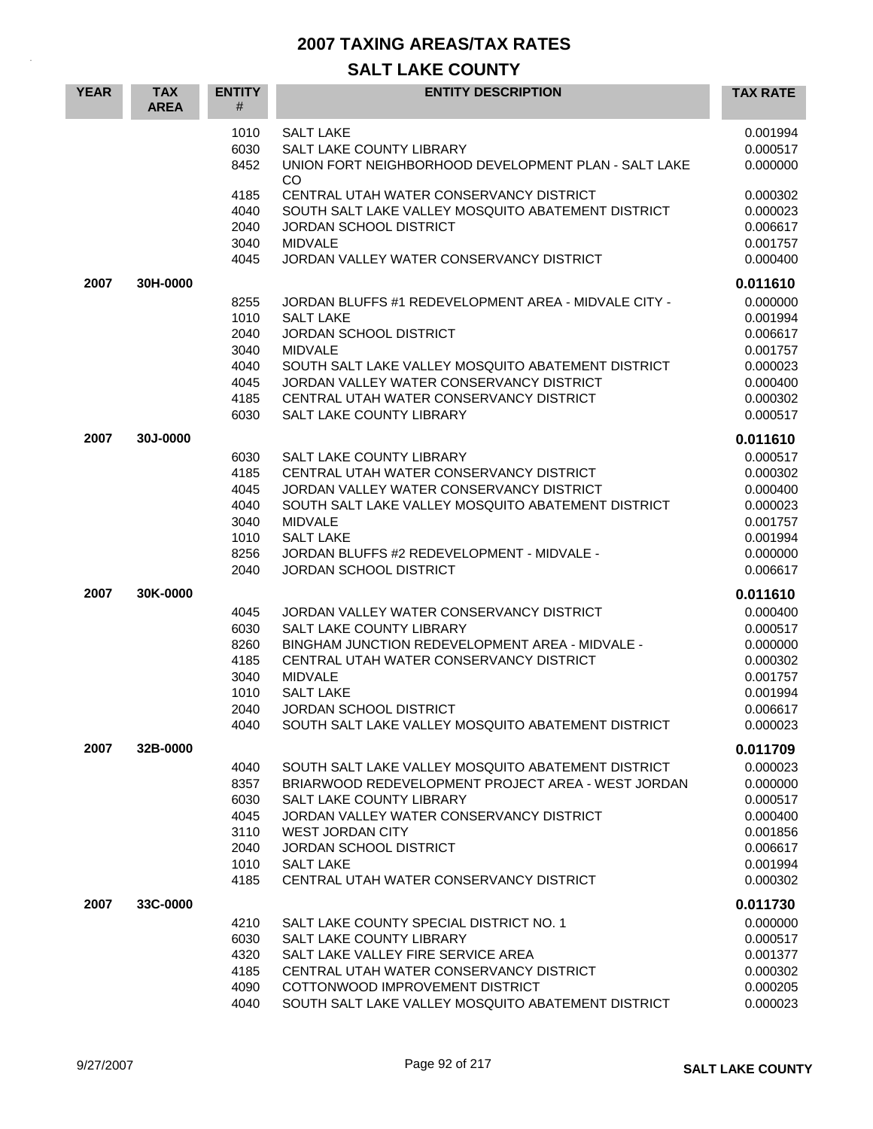| <b>YEAR</b> | <b>TAX</b><br><b>AREA</b> | <b>ENTITY</b><br>#                                           | <b>ENTITY DESCRIPTION</b>                                                                                                                                                                                                                                                                                   | <b>TAX RATE</b>                                                                                          |
|-------------|---------------------------|--------------------------------------------------------------|-------------------------------------------------------------------------------------------------------------------------------------------------------------------------------------------------------------------------------------------------------------------------------------------------------------|----------------------------------------------------------------------------------------------------------|
|             |                           | 1010<br>6030<br>8452                                         | <b>SALT LAKE</b><br>SALT LAKE COUNTY LIBRARY<br>UNION FORT NEIGHBORHOOD DEVELOPMENT PLAN - SALT LAKE<br><b>CO</b>                                                                                                                                                                                           | 0.001994<br>0.000517<br>0.000000                                                                         |
|             |                           | 4185<br>4040<br>2040<br>3040<br>4045                         | CENTRAL UTAH WATER CONSERVANCY DISTRICT<br>SOUTH SALT LAKE VALLEY MOSQUITO ABATEMENT DISTRICT<br><b>JORDAN SCHOOL DISTRICT</b><br><b>MIDVALE</b><br>JORDAN VALLEY WATER CONSERVANCY DISTRICT                                                                                                                | 0.000302<br>0.000023<br>0.006617<br>0.001757<br>0.000400                                                 |
| 2007        | 30H-0000                  | 8255<br>1010<br>2040<br>3040<br>4040<br>4045<br>4185<br>6030 | JORDAN BLUFFS #1 REDEVELOPMENT AREA - MIDVALE CITY -<br><b>SALT LAKE</b><br><b>JORDAN SCHOOL DISTRICT</b><br><b>MIDVALE</b><br>SOUTH SALT LAKE VALLEY MOSQUITO ABATEMENT DISTRICT<br>JORDAN VALLEY WATER CONSERVANCY DISTRICT<br>CENTRAL UTAH WATER CONSERVANCY DISTRICT<br>SALT LAKE COUNTY LIBRARY        | 0.011610<br>0.000000<br>0.001994<br>0.006617<br>0.001757<br>0.000023<br>0.000400<br>0.000302<br>0.000517 |
| 2007        | 30J-0000                  | 6030<br>4185<br>4045<br>4040<br>3040<br>1010<br>8256<br>2040 | SALT LAKE COUNTY LIBRARY<br>CENTRAL UTAH WATER CONSERVANCY DISTRICT<br>JORDAN VALLEY WATER CONSERVANCY DISTRICT<br>SOUTH SALT LAKE VALLEY MOSQUITO ABATEMENT DISTRICT<br><b>MIDVALE</b><br><b>SALT LAKE</b><br>JORDAN BLUFFS #2 REDEVELOPMENT - MIDVALE -<br><b>JORDAN SCHOOL DISTRICT</b>                  | 0.011610<br>0.000517<br>0.000302<br>0.000400<br>0.000023<br>0.001757<br>0.001994<br>0.000000<br>0.006617 |
| 2007        | 30K-0000                  | 4045<br>6030<br>8260<br>4185<br>3040<br>1010<br>2040<br>4040 | JORDAN VALLEY WATER CONSERVANCY DISTRICT<br><b>SALT LAKE COUNTY LIBRARY</b><br>BINGHAM JUNCTION REDEVELOPMENT AREA - MIDVALE -<br>CENTRAL UTAH WATER CONSERVANCY DISTRICT<br><b>MIDVALE</b><br><b>SALT LAKE</b><br><b>JORDAN SCHOOL DISTRICT</b><br>SOUTH SALT LAKE VALLEY MOSQUITO ABATEMENT DISTRICT      | 0.011610<br>0.000400<br>0.000517<br>0.000000<br>0.000302<br>0.001757<br>0.001994<br>0.006617<br>0.000023 |
| 2007        | 32B-0000                  | 4040<br>8357<br>6030<br>4045<br>3110<br>2040<br>1010<br>4185 | SOUTH SALT LAKE VALLEY MOSQUITO ABATEMENT DISTRICT<br>BRIARWOOD REDEVELOPMENT PROJECT AREA - WEST JORDAN<br>SALT LAKE COUNTY LIBRARY<br>JORDAN VALLEY WATER CONSERVANCY DISTRICT<br><b>WEST JORDAN CITY</b><br><b>JORDAN SCHOOL DISTRICT</b><br><b>SALT LAKE</b><br>CENTRAL UTAH WATER CONSERVANCY DISTRICT | 0.011709<br>0.000023<br>0.000000<br>0.000517<br>0.000400<br>0.001856<br>0.006617<br>0.001994<br>0.000302 |
| 2007        | 33C-0000                  | 4210<br>6030<br>4320<br>4185<br>4090<br>4040                 | SALT LAKE COUNTY SPECIAL DISTRICT NO. 1<br><b>SALT LAKE COUNTY LIBRARY</b><br>SALT LAKE VALLEY FIRE SERVICE AREA<br>CENTRAL UTAH WATER CONSERVANCY DISTRICT<br>COTTONWOOD IMPROVEMENT DISTRICT<br>SOUTH SALT LAKE VALLEY MOSQUITO ABATEMENT DISTRICT                                                        | 0.011730<br>0.000000<br>0.000517<br>0.001377<br>0.000302<br>0.000205<br>0.000023                         |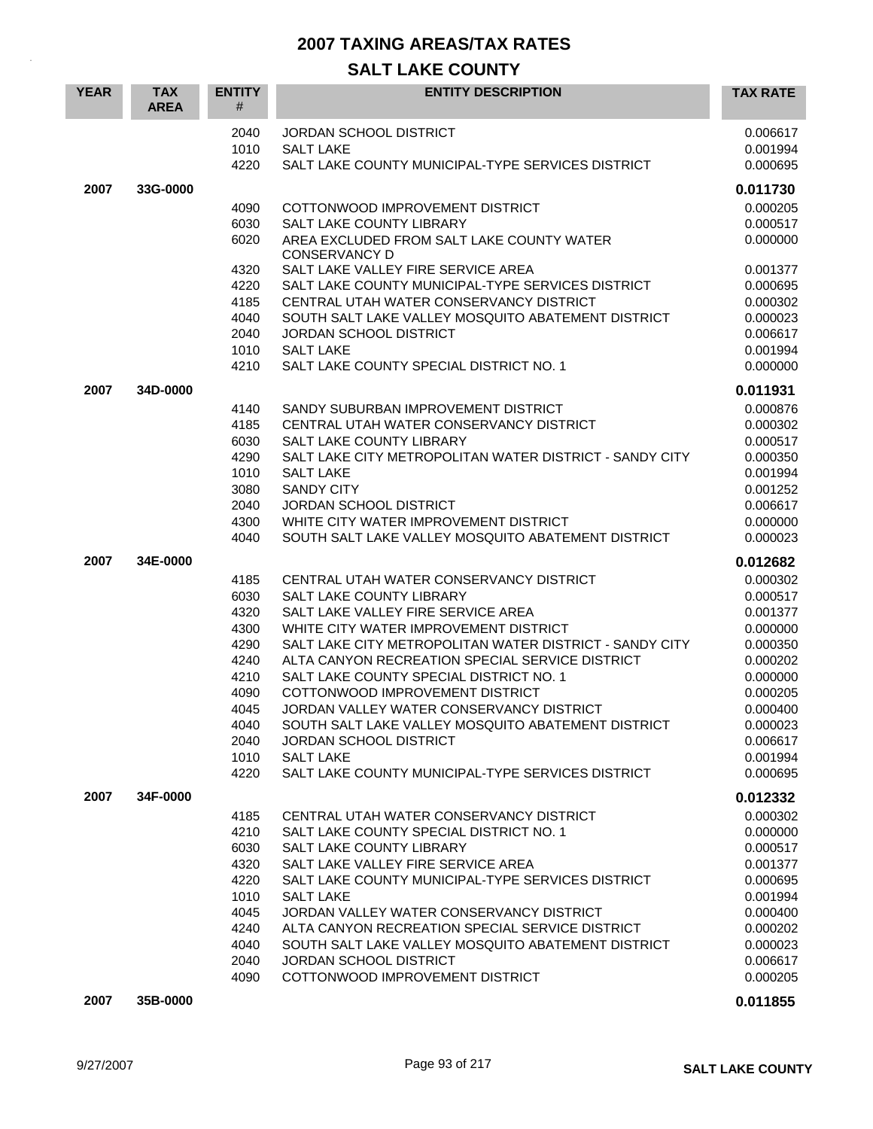| <b>YEAR</b> | <b>TAX</b><br><b>AREA</b> | <b>ENTITY</b><br>#   | <b>ENTITY DESCRIPTION</b>                                                                       | <b>TAX RATE</b>                  |
|-------------|---------------------------|----------------------|-------------------------------------------------------------------------------------------------|----------------------------------|
|             |                           | 2040<br>1010<br>4220 | JORDAN SCHOOL DISTRICT<br><b>SALT LAKE</b><br>SALT LAKE COUNTY MUNICIPAL-TYPE SERVICES DISTRICT | 0.006617<br>0.001994<br>0.000695 |
| 2007        | 33G-0000                  |                      |                                                                                                 | 0.011730                         |
|             |                           | 4090                 | COTTONWOOD IMPROVEMENT DISTRICT                                                                 | 0.000205                         |
|             |                           | 6030                 | <b>SALT LAKE COUNTY LIBRARY</b>                                                                 | 0.000517                         |
|             |                           | 6020                 | AREA EXCLUDED FROM SALT LAKE COUNTY WATER                                                       | 0.000000                         |
|             |                           |                      | <b>CONSERVANCY D</b>                                                                            |                                  |
|             |                           | 4320                 | SALT LAKE VALLEY FIRE SERVICE AREA                                                              | 0.001377                         |
|             |                           | 4220                 | SALT LAKE COUNTY MUNICIPAL-TYPE SERVICES DISTRICT                                               | 0.000695                         |
|             |                           | 4185                 | CENTRAL UTAH WATER CONSERVANCY DISTRICT                                                         | 0.000302                         |
|             |                           | 4040                 | SOUTH SALT LAKE VALLEY MOSQUITO ABATEMENT DISTRICT                                              | 0.000023                         |
|             |                           | 2040                 | <b>JORDAN SCHOOL DISTRICT</b>                                                                   | 0.006617                         |
|             |                           | 1010<br>4210         | <b>SALT LAKE</b>                                                                                | 0.001994<br>0.000000             |
|             |                           |                      | SALT LAKE COUNTY SPECIAL DISTRICT NO. 1                                                         |                                  |
| 2007        | 34D-0000                  |                      |                                                                                                 | 0.011931                         |
|             |                           | 4140                 | SANDY SUBURBAN IMPROVEMENT DISTRICT                                                             | 0.000876                         |
|             |                           | 4185                 | CENTRAL UTAH WATER CONSERVANCY DISTRICT                                                         | 0.000302                         |
|             |                           | 6030                 | <b>SALT LAKE COUNTY LIBRARY</b>                                                                 | 0.000517                         |
|             |                           | 4290                 | SALT LAKE CITY METROPOLITAN WATER DISTRICT - SANDY CITY                                         | 0.000350                         |
|             |                           | 1010                 | <b>SALT LAKE</b>                                                                                | 0.001994                         |
|             |                           | 3080                 | <b>SANDY CITY</b><br><b>JORDAN SCHOOL DISTRICT</b>                                              | 0.001252                         |
|             |                           | 2040<br>4300         | WHITE CITY WATER IMPROVEMENT DISTRICT                                                           | 0.006617<br>0.000000             |
|             |                           | 4040                 | SOUTH SALT LAKE VALLEY MOSQUITO ABATEMENT DISTRICT                                              | 0.000023                         |
|             |                           |                      |                                                                                                 |                                  |
| 2007        | 34E-0000                  |                      |                                                                                                 | 0.012682                         |
|             |                           | 4185                 | CENTRAL UTAH WATER CONSERVANCY DISTRICT                                                         | 0.000302                         |
|             |                           | 6030                 | <b>SALT LAKE COUNTY LIBRARY</b>                                                                 | 0.000517                         |
|             |                           | 4320                 | SALT LAKE VALLEY FIRE SERVICE AREA<br>WHITE CITY WATER IMPROVEMENT DISTRICT                     | 0.001377                         |
|             |                           | 4300<br>4290         | SALT LAKE CITY METROPOLITAN WATER DISTRICT - SANDY CITY                                         | 0.000000<br>0.000350             |
|             |                           | 4240                 | ALTA CANYON RECREATION SPECIAL SERVICE DISTRICT                                                 | 0.000202                         |
|             |                           | 4210                 | SALT LAKE COUNTY SPECIAL DISTRICT NO. 1                                                         | 0.000000                         |
|             |                           | 4090                 | COTTONWOOD IMPROVEMENT DISTRICT                                                                 | 0.000205                         |
|             |                           | 4045                 | JORDAN VALLEY WATER CONSERVANCY DISTRICT                                                        | 0.000400                         |
|             |                           | 4040                 | SOUTH SALT LAKE VALLEY MOSQUITO ABATEMENT DISTRICT                                              | 0.000023                         |
|             |                           | 2040                 | <b>JORDAN SCHOOL DISTRICT</b>                                                                   | 0.006617                         |
|             |                           | 1010                 | <b>SALT LAKE</b>                                                                                | 0.001994                         |
|             |                           | 4220                 | SALT LAKE COUNTY MUNICIPAL-TYPE SERVICES DISTRICT                                               | 0.000695                         |
| 2007        | 34F-0000                  |                      |                                                                                                 | 0.012332                         |
|             |                           | 4185                 | CENTRAL UTAH WATER CONSERVANCY DISTRICT                                                         | 0.000302                         |
|             |                           | 4210                 | SALT LAKE COUNTY SPECIAL DISTRICT NO. 1                                                         | 0.000000                         |
|             |                           | 6030                 | SALT LAKE COUNTY LIBRARY                                                                        | 0.000517                         |
|             |                           | 4320                 | SALT LAKE VALLEY FIRE SERVICE AREA                                                              | 0.001377                         |
|             |                           | 4220                 | SALT LAKE COUNTY MUNICIPAL-TYPE SERVICES DISTRICT                                               | 0.000695                         |
|             |                           | 1010                 | <b>SALT LAKE</b>                                                                                | 0.001994                         |
|             |                           | 4045                 | JORDAN VALLEY WATER CONSERVANCY DISTRICT                                                        | 0.000400                         |
|             |                           | 4240                 | ALTA CANYON RECREATION SPECIAL SERVICE DISTRICT                                                 | 0.000202                         |
|             |                           | 4040                 | SOUTH SALT LAKE VALLEY MOSQUITO ABATEMENT DISTRICT                                              | 0.000023                         |
|             |                           | 2040<br>4090         | JORDAN SCHOOL DISTRICT<br>COTTONWOOD IMPROVEMENT DISTRICT                                       | 0.006617<br>0.000205             |
|             |                           |                      |                                                                                                 |                                  |
| 2007        | 35B-0000                  |                      |                                                                                                 | 0.011855                         |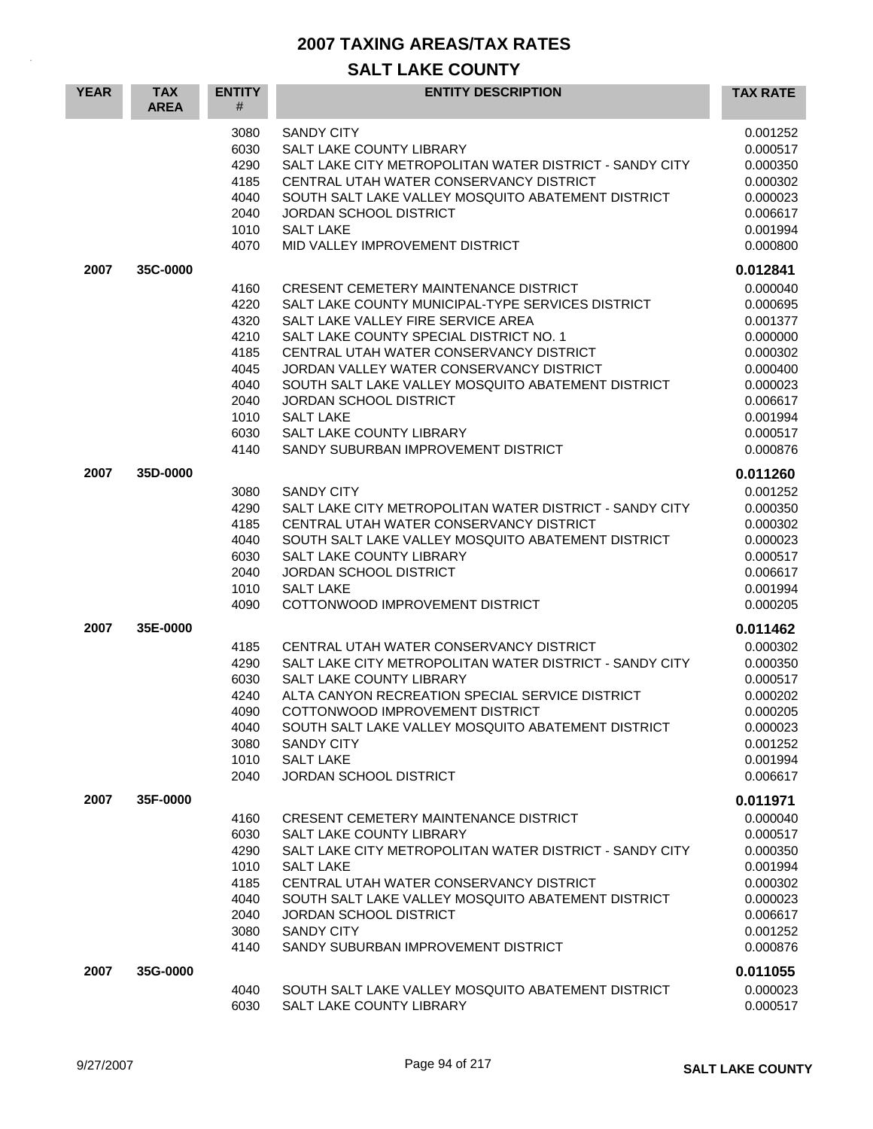| <b>YEAR</b> | <b>TAX</b><br><b>AREA</b> | <b>ENTITY</b><br>#                                                                   | <b>ENTITY DESCRIPTION</b>                                                                                                                                                                                                                                                                                                                                                                                                                               | <b>TAX RATE</b>                                                                                                                  |
|-------------|---------------------------|--------------------------------------------------------------------------------------|---------------------------------------------------------------------------------------------------------------------------------------------------------------------------------------------------------------------------------------------------------------------------------------------------------------------------------------------------------------------------------------------------------------------------------------------------------|----------------------------------------------------------------------------------------------------------------------------------|
|             |                           | 3080<br>6030<br>4290<br>4185<br>4040<br>2040<br>1010<br>4070                         | <b>SANDY CITY</b><br>SALT LAKE COUNTY LIBRARY<br>SALT LAKE CITY METROPOLITAN WATER DISTRICT - SANDY CITY<br>CENTRAL UTAH WATER CONSERVANCY DISTRICT<br>SOUTH SALT LAKE VALLEY MOSQUITO ABATEMENT DISTRICT<br><b>JORDAN SCHOOL DISTRICT</b><br><b>SALT LAKE</b><br>MID VALLEY IMPROVEMENT DISTRICT                                                                                                                                                       | 0.001252<br>0.000517<br>0.000350<br>0.000302<br>0.000023<br>0.006617<br>0.001994<br>0.000800                                     |
| 2007        | 35C-0000                  |                                                                                      |                                                                                                                                                                                                                                                                                                                                                                                                                                                         | 0.012841                                                                                                                         |
|             |                           | 4160<br>4220<br>4320<br>4210<br>4185<br>4045<br>4040<br>2040<br>1010<br>6030<br>4140 | <b>CRESENT CEMETERY MAINTENANCE DISTRICT</b><br>SALT LAKE COUNTY MUNICIPAL-TYPE SERVICES DISTRICT<br>SALT LAKE VALLEY FIRE SERVICE AREA<br>SALT LAKE COUNTY SPECIAL DISTRICT NO. 1<br>CENTRAL UTAH WATER CONSERVANCY DISTRICT<br>JORDAN VALLEY WATER CONSERVANCY DISTRICT<br>SOUTH SALT LAKE VALLEY MOSQUITO ABATEMENT DISTRICT<br>JORDAN SCHOOL DISTRICT<br><b>SALT LAKE</b><br><b>SALT LAKE COUNTY LIBRARY</b><br>SANDY SUBURBAN IMPROVEMENT DISTRICT | 0.000040<br>0.000695<br>0.001377<br>0.000000<br>0.000302<br>0.000400<br>0.000023<br>0.006617<br>0.001994<br>0.000517<br>0.000876 |
| 2007        | 35D-0000                  |                                                                                      |                                                                                                                                                                                                                                                                                                                                                                                                                                                         | 0.011260                                                                                                                         |
|             |                           | 3080<br>4290<br>4185<br>4040<br>6030<br>2040<br>1010<br>4090                         | <b>SANDY CITY</b><br>SALT LAKE CITY METROPOLITAN WATER DISTRICT - SANDY CITY<br>CENTRAL UTAH WATER CONSERVANCY DISTRICT<br>SOUTH SALT LAKE VALLEY MOSQUITO ABATEMENT DISTRICT<br>SALT LAKE COUNTY LIBRARY<br>JORDAN SCHOOL DISTRICT<br><b>SALT LAKE</b><br>COTTONWOOD IMPROVEMENT DISTRICT                                                                                                                                                              | 0.001252<br>0.000350<br>0.000302<br>0.000023<br>0.000517<br>0.006617<br>0.001994<br>0.000205                                     |
| 2007        | 35E-0000                  |                                                                                      |                                                                                                                                                                                                                                                                                                                                                                                                                                                         | 0.011462                                                                                                                         |
|             |                           | 4185<br>4290<br>6030<br>4240<br>4090<br>4040<br>3080<br>1010<br>2040                 | CENTRAL UTAH WATER CONSERVANCY DISTRICT<br>SALT LAKE CITY METROPOLITAN WATER DISTRICT - SANDY CITY<br>SALT LAKE COUNTY LIBRARY<br>ALTA CANYON RECREATION SPECIAL SERVICE DISTRICT<br>COTTONWOOD IMPROVEMENT DISTRICT<br>SOUTH SALT LAKE VALLEY MOSQUITO ABATEMENT DISTRICT<br><b>SANDY CITY</b><br><b>SALT LAKE</b><br>JORDAN SCHOOL DISTRICT                                                                                                           | 0.000302<br>0.000350<br>0.000517<br>0.000202<br>0.000205<br>0.000023<br>0.001252<br>0.001994<br>0.006617                         |
| 2007        | 35F-0000                  |                                                                                      |                                                                                                                                                                                                                                                                                                                                                                                                                                                         | 0.011971                                                                                                                         |
|             |                           | 4160<br>6030<br>4290<br>1010<br>4185<br>4040<br>2040<br>3080<br>4140                 | <b>CRESENT CEMETERY MAINTENANCE DISTRICT</b><br>SALT LAKE COUNTY LIBRARY<br>SALT LAKE CITY METROPOLITAN WATER DISTRICT - SANDY CITY<br><b>SALT LAKE</b><br>CENTRAL UTAH WATER CONSERVANCY DISTRICT<br>SOUTH SALT LAKE VALLEY MOSQUITO ABATEMENT DISTRICT<br><b>JORDAN SCHOOL DISTRICT</b><br><b>SANDY CITY</b><br>SANDY SUBURBAN IMPROVEMENT DISTRICT                                                                                                   | 0.000040<br>0.000517<br>0.000350<br>0.001994<br>0.000302<br>0.000023<br>0.006617<br>0.001252<br>0.000876                         |
| 2007        | 35G-0000                  | 4040<br>6030                                                                         | SOUTH SALT LAKE VALLEY MOSQUITO ABATEMENT DISTRICT<br>SALT LAKE COUNTY LIBRARY                                                                                                                                                                                                                                                                                                                                                                          | 0.011055<br>0.000023<br>0.000517                                                                                                 |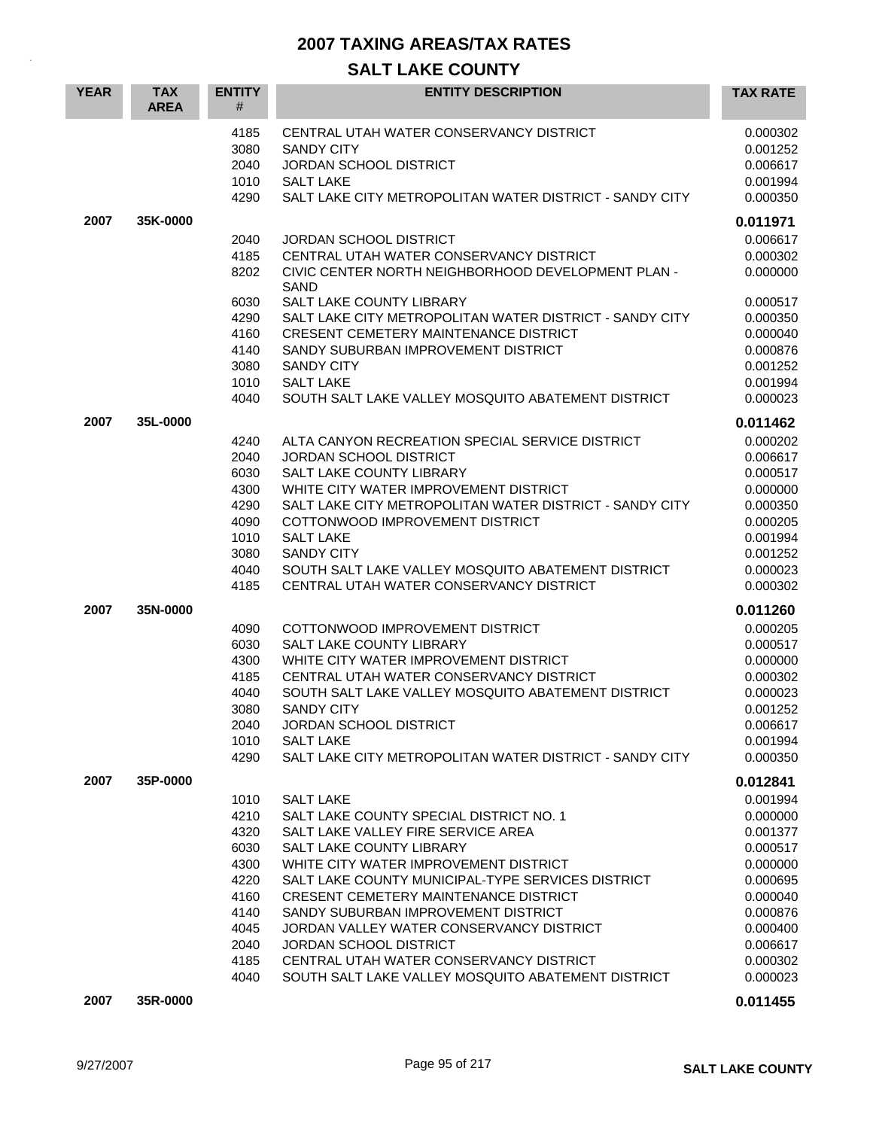| <b>YEAR</b> | <b>TAX</b><br><b>AREA</b> | <b>ENTITY</b><br>#                                                                           | <b>ENTITY DESCRIPTION</b>                                                                                                                                                                                                                                                                                                                                                                                                                                                                 | <b>TAX RATE</b>                                                                                                                                          |
|-------------|---------------------------|----------------------------------------------------------------------------------------------|-------------------------------------------------------------------------------------------------------------------------------------------------------------------------------------------------------------------------------------------------------------------------------------------------------------------------------------------------------------------------------------------------------------------------------------------------------------------------------------------|----------------------------------------------------------------------------------------------------------------------------------------------------------|
|             |                           | 4185<br>3080<br>2040<br>1010<br>4290                                                         | CENTRAL UTAH WATER CONSERVANCY DISTRICT<br><b>SANDY CITY</b><br><b>JORDAN SCHOOL DISTRICT</b><br><b>SALT LAKE</b><br>SALT LAKE CITY METROPOLITAN WATER DISTRICT - SANDY CITY                                                                                                                                                                                                                                                                                                              | 0.000302<br>0.001252<br>0.006617<br>0.001994<br>0.000350                                                                                                 |
| 2007        | 35K-0000                  |                                                                                              |                                                                                                                                                                                                                                                                                                                                                                                                                                                                                           | 0.011971                                                                                                                                                 |
|             |                           | 2040<br>4185<br>8202<br>6030<br>4290<br>4160<br>4140<br>3080                                 | <b>JORDAN SCHOOL DISTRICT</b><br>CENTRAL UTAH WATER CONSERVANCY DISTRICT<br>CIVIC CENTER NORTH NEIGHBORHOOD DEVELOPMENT PLAN -<br><b>SAND</b><br>SALT LAKE COUNTY LIBRARY<br>SALT LAKE CITY METROPOLITAN WATER DISTRICT - SANDY CITY<br><b>CRESENT CEMETERY MAINTENANCE DISTRICT</b><br>SANDY SUBURBAN IMPROVEMENT DISTRICT<br><b>SANDY CITY</b>                                                                                                                                          | 0.006617<br>0.000302<br>0.000000<br>0.000517<br>0.000350<br>0.000040<br>0.000876<br>0.001252                                                             |
|             |                           | 1010<br>4040                                                                                 | <b>SALT LAKE</b><br>SOUTH SALT LAKE VALLEY MOSQUITO ABATEMENT DISTRICT                                                                                                                                                                                                                                                                                                                                                                                                                    | 0.001994<br>0.000023                                                                                                                                     |
| 2007        | 35L-0000                  | 4240<br>2040<br>6030<br>4300<br>4290<br>4090<br>1010<br>3080                                 | ALTA CANYON RECREATION SPECIAL SERVICE DISTRICT<br><b>JORDAN SCHOOL DISTRICT</b><br>SALT LAKE COUNTY LIBRARY<br>WHITE CITY WATER IMPROVEMENT DISTRICT<br>SALT LAKE CITY METROPOLITAN WATER DISTRICT - SANDY CITY<br>COTTONWOOD IMPROVEMENT DISTRICT<br><b>SALT LAKE</b><br><b>SANDY CITY</b>                                                                                                                                                                                              | 0.011462<br>0.000202<br>0.006617<br>0.000517<br>0.000000<br>0.000350<br>0.000205<br>0.001994<br>0.001252                                                 |
|             |                           | 4040<br>4185                                                                                 | SOUTH SALT LAKE VALLEY MOSQUITO ABATEMENT DISTRICT<br>CENTRAL UTAH WATER CONSERVANCY DISTRICT                                                                                                                                                                                                                                                                                                                                                                                             | 0.000023<br>0.000302                                                                                                                                     |
| 2007        | 35N-0000                  | 4090<br>6030<br>4300<br>4185<br>4040<br>3080<br>2040<br>1010<br>4290                         | COTTONWOOD IMPROVEMENT DISTRICT<br>SALT LAKE COUNTY LIBRARY<br>WHITE CITY WATER IMPROVEMENT DISTRICT<br>CENTRAL UTAH WATER CONSERVANCY DISTRICT<br>SOUTH SALT LAKE VALLEY MOSQUITO ABATEMENT DISTRICT<br><b>SANDY CITY</b><br>JORDAN SCHOOL DISTRICT<br><b>SALT LAKE</b><br>SALT LAKE CITY METROPOLITAN WATER DISTRICT - SANDY CITY                                                                                                                                                       | 0.011260<br>0.000205<br>0.000517<br>0.000000<br>0.000302<br>0.000023<br>0.001252<br>0.006617<br>0.001994<br>0.000350                                     |
| 2007        | 35P-0000                  | 1010<br>4210<br>4320<br>6030<br>4300<br>4220<br>4160<br>4140<br>4045<br>2040<br>4185<br>4040 | <b>SALT LAKE</b><br>SALT LAKE COUNTY SPECIAL DISTRICT NO. 1<br>SALT LAKE VALLEY FIRE SERVICE AREA<br>SALT LAKE COUNTY LIBRARY<br>WHITE CITY WATER IMPROVEMENT DISTRICT<br>SALT LAKE COUNTY MUNICIPAL-TYPE SERVICES DISTRICT<br><b>CRESENT CEMETERY MAINTENANCE DISTRICT</b><br>SANDY SUBURBAN IMPROVEMENT DISTRICT<br>JORDAN VALLEY WATER CONSERVANCY DISTRICT<br>JORDAN SCHOOL DISTRICT<br>CENTRAL UTAH WATER CONSERVANCY DISTRICT<br>SOUTH SALT LAKE VALLEY MOSQUITO ABATEMENT DISTRICT | 0.012841<br>0.001994<br>0.000000<br>0.001377<br>0.000517<br>0.000000<br>0.000695<br>0.000040<br>0.000876<br>0.000400<br>0.006617<br>0.000302<br>0.000023 |
| 2007        | 35R-0000                  |                                                                                              |                                                                                                                                                                                                                                                                                                                                                                                                                                                                                           | 0.011455                                                                                                                                                 |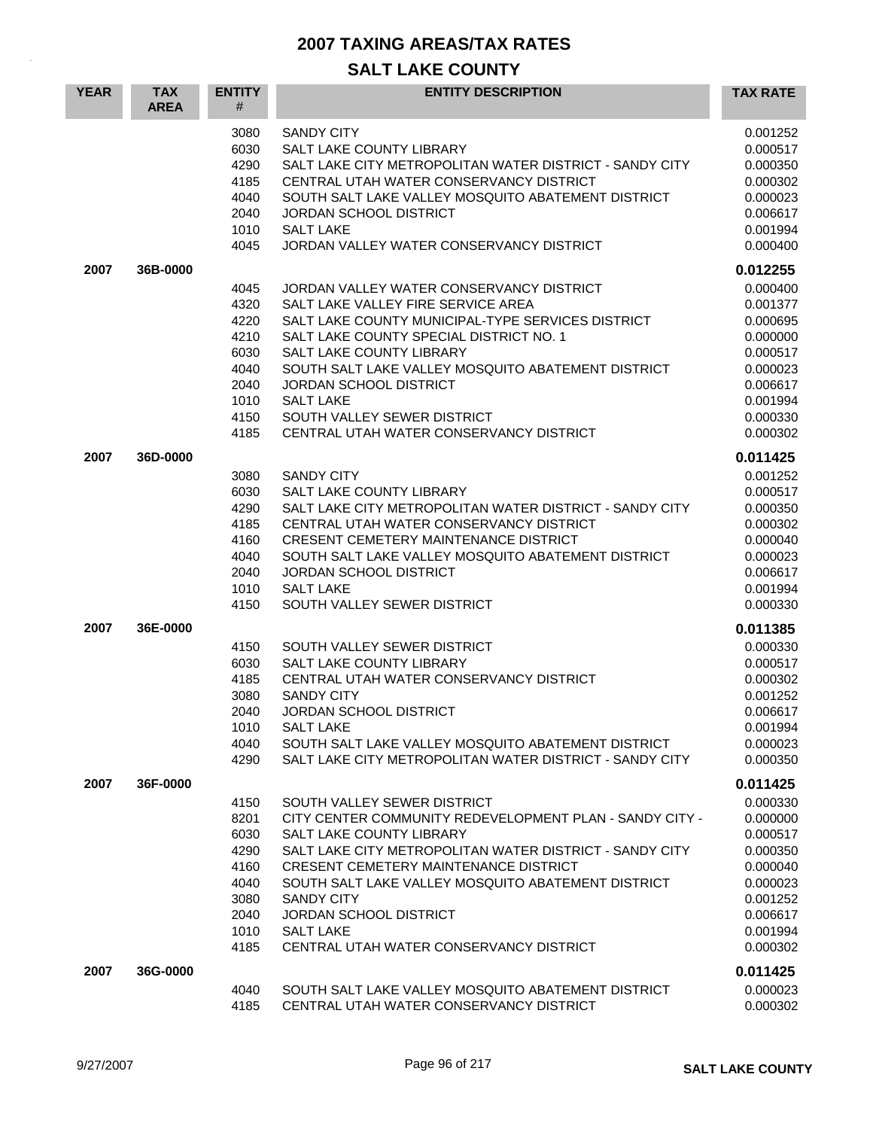| <b>YEAR</b> | <b>TAX</b><br><b>AREA</b> | <b>ENTITY</b><br>#                                                           | <b>ENTITY DESCRIPTION</b>                                                                                                                                                                                                                                                                                                                                                                                | <b>TAX RATE</b>                                                                                                      |
|-------------|---------------------------|------------------------------------------------------------------------------|----------------------------------------------------------------------------------------------------------------------------------------------------------------------------------------------------------------------------------------------------------------------------------------------------------------------------------------------------------------------------------------------------------|----------------------------------------------------------------------------------------------------------------------|
|             |                           | 3080<br>6030<br>4290<br>4185<br>4040<br>2040<br>1010<br>4045                 | <b>SANDY CITY</b><br>SALT LAKE COUNTY LIBRARY<br>SALT LAKE CITY METROPOLITAN WATER DISTRICT - SANDY CITY<br>CENTRAL UTAH WATER CONSERVANCY DISTRICT<br>SOUTH SALT LAKE VALLEY MOSQUITO ABATEMENT DISTRICT<br><b>JORDAN SCHOOL DISTRICT</b><br><b>SALT LAKE</b><br>JORDAN VALLEY WATER CONSERVANCY DISTRICT                                                                                               | 0.001252<br>0.000517<br>0.000350<br>0.000302<br>0.000023<br>0.006617<br>0.001994<br>0.000400                         |
| 2007        | 36B-0000                  |                                                                              |                                                                                                                                                                                                                                                                                                                                                                                                          | 0.012255                                                                                                             |
|             |                           | 4045<br>4320<br>4220<br>4210<br>6030<br>4040<br>2040<br>1010<br>4150<br>4185 | JORDAN VALLEY WATER CONSERVANCY DISTRICT<br>SALT LAKE VALLEY FIRE SERVICE AREA<br>SALT LAKE COUNTY MUNICIPAL-TYPE SERVICES DISTRICT<br>SALT LAKE COUNTY SPECIAL DISTRICT NO. 1<br>SALT LAKE COUNTY LIBRARY<br>SOUTH SALT LAKE VALLEY MOSQUITO ABATEMENT DISTRICT<br>JORDAN SCHOOL DISTRICT<br><b>SALT LAKE</b><br>SOUTH VALLEY SEWER DISTRICT<br>CENTRAL UTAH WATER CONSERVANCY DISTRICT                 | 0.000400<br>0.001377<br>0.000695<br>0.000000<br>0.000517<br>0.000023<br>0.006617<br>0.001994<br>0.000330<br>0.000302 |
| 2007        | 36D-0000                  |                                                                              |                                                                                                                                                                                                                                                                                                                                                                                                          | 0.011425                                                                                                             |
|             |                           | 3080<br>6030<br>4290<br>4185<br>4160<br>4040<br>2040<br>1010<br>4150         | <b>SANDY CITY</b><br>SALT LAKE COUNTY LIBRARY<br>SALT LAKE CITY METROPOLITAN WATER DISTRICT - SANDY CITY<br>CENTRAL UTAH WATER CONSERVANCY DISTRICT<br><b>CRESENT CEMETERY MAINTENANCE DISTRICT</b><br>SOUTH SALT LAKE VALLEY MOSQUITO ABATEMENT DISTRICT<br><b>JORDAN SCHOOL DISTRICT</b><br><b>SALT LAKE</b><br>SOUTH VALLEY SEWER DISTRICT                                                            | 0.001252<br>0.000517<br>0.000350<br>0.000302<br>0.000040<br>0.000023<br>0.006617<br>0.001994<br>0.000330             |
| 2007        | 36E-0000                  |                                                                              |                                                                                                                                                                                                                                                                                                                                                                                                          | 0.011385                                                                                                             |
|             |                           | 4150<br>6030<br>4185<br>3080<br>2040<br>1010<br>4040<br>4290                 | SOUTH VALLEY SEWER DISTRICT<br>SALT LAKE COUNTY LIBRARY<br>CENTRAL UTAH WATER CONSERVANCY DISTRICT<br><b>SANDY CITY</b><br><b>JORDAN SCHOOL DISTRICT</b><br><b>SALT LAKE</b><br>SOUTH SALT LAKE VALLEY MOSQUITO ABATEMENT DISTRICT<br>SALT LAKE CITY METROPOLITAN WATER DISTRICT - SANDY CITY                                                                                                            | 0.000330<br>0.000517<br>0.000302<br>0.001252<br>0.006617<br>0.001994<br>0.000023<br>0.000350                         |
| 2007        | 36F-0000                  |                                                                              |                                                                                                                                                                                                                                                                                                                                                                                                          | 0.011425                                                                                                             |
|             |                           | 4150<br>8201<br>6030<br>4290<br>4160<br>4040<br>3080<br>2040<br>1010<br>4185 | SOUTH VALLEY SEWER DISTRICT<br>CITY CENTER COMMUNITY REDEVELOPMENT PLAN - SANDY CITY -<br>SALT LAKE COUNTY LIBRARY<br>SALT LAKE CITY METROPOLITAN WATER DISTRICT - SANDY CITY<br><b>CRESENT CEMETERY MAINTENANCE DISTRICT</b><br>SOUTH SALT LAKE VALLEY MOSOUITO ABATEMENT DISTRICT<br><b>SANDY CITY</b><br><b>JORDAN SCHOOL DISTRICT</b><br><b>SALT LAKE</b><br>CENTRAL UTAH WATER CONSERVANCY DISTRICT | 0.000330<br>0.000000<br>0.000517<br>0.000350<br>0.000040<br>0.000023<br>0.001252<br>0.006617<br>0.001994<br>0.000302 |
| 2007        | 36G-0000                  |                                                                              |                                                                                                                                                                                                                                                                                                                                                                                                          | 0.011425                                                                                                             |
|             |                           | 4040<br>4185                                                                 | SOUTH SALT LAKE VALLEY MOSQUITO ABATEMENT DISTRICT<br>CENTRAL UTAH WATER CONSERVANCY DISTRICT                                                                                                                                                                                                                                                                                                            | 0.000023<br>0.000302                                                                                                 |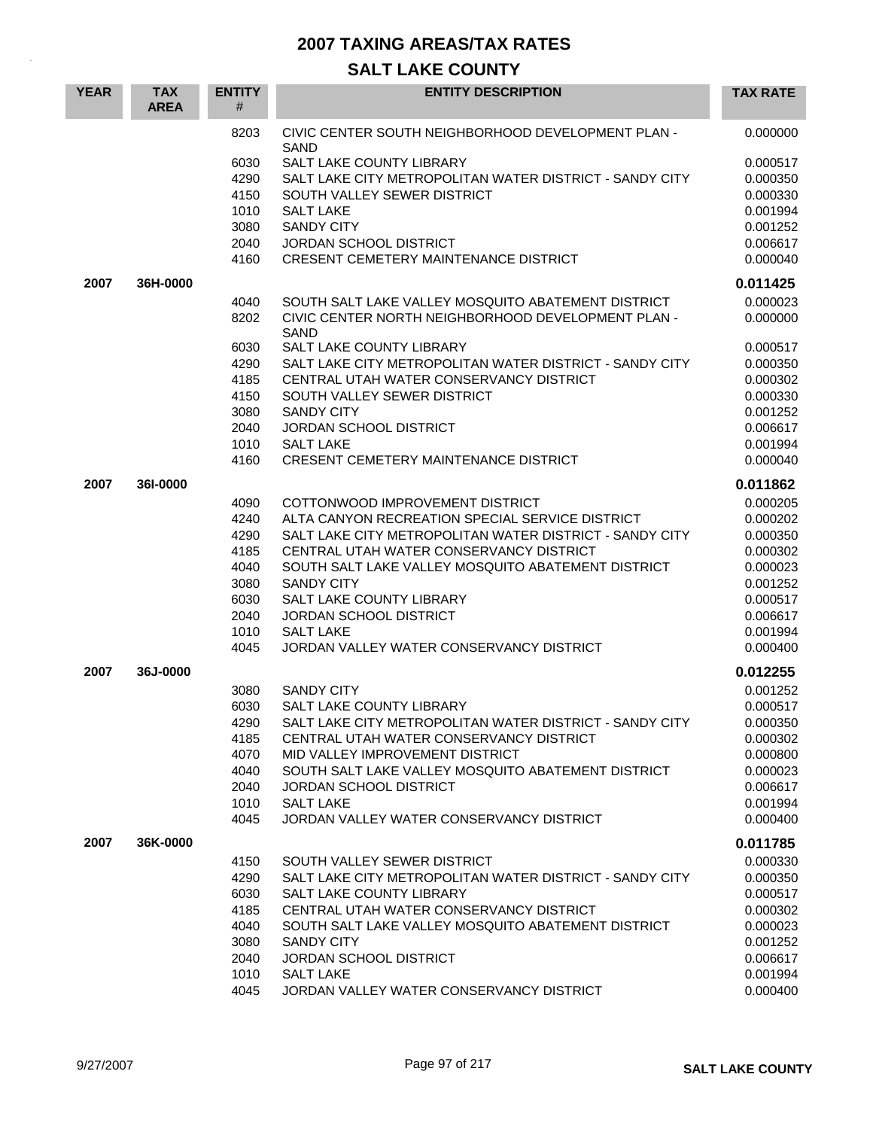| <b>YEAR</b> | <b>TAX</b><br><b>AREA</b> | <b>ENTITY</b><br># | <b>ENTITY DESCRIPTION</b>                                    | <b>TAX RATE</b> |
|-------------|---------------------------|--------------------|--------------------------------------------------------------|-----------------|
|             |                           | 8203               | CIVIC CENTER SOUTH NEIGHBORHOOD DEVELOPMENT PLAN -<br>SAND   | 0.000000        |
|             |                           | 6030               | SALT LAKE COUNTY LIBRARY                                     | 0.000517        |
|             |                           | 4290               | SALT LAKE CITY METROPOLITAN WATER DISTRICT - SANDY CITY      | 0.000350        |
|             |                           | 4150               | SOUTH VALLEY SEWER DISTRICT                                  | 0.000330        |
|             |                           | 1010               | <b>SALT LAKE</b>                                             | 0.001994        |
|             |                           | 3080               | <b>SANDY CITY</b>                                            | 0.001252        |
|             |                           | 2040               | JORDAN SCHOOL DISTRICT                                       | 0.006617        |
|             |                           | 4160               | <b>CRESENT CEMETERY MAINTENANCE DISTRICT</b>                 | 0.000040        |
| 2007        | 36H-0000                  |                    |                                                              | 0.011425        |
|             |                           | 4040               | SOUTH SALT LAKE VALLEY MOSQUITO ABATEMENT DISTRICT           | 0.000023        |
|             |                           | 8202               | CIVIC CENTER NORTH NEIGHBORHOOD DEVELOPMENT PLAN -<br>SAND   | 0.000000        |
|             |                           | 6030               | SALT LAKE COUNTY LIBRARY                                     | 0.000517        |
|             |                           | 4290               | SALT LAKE CITY METROPOLITAN WATER DISTRICT - SANDY CITY      | 0.000350        |
|             |                           | 4185               | CENTRAL UTAH WATER CONSERVANCY DISTRICT                      | 0.000302        |
|             |                           | 4150               | SOUTH VALLEY SEWER DISTRICT                                  | 0.000330        |
|             |                           | 3080               | <b>SANDY CITY</b>                                            | 0.001252        |
|             |                           | 2040               | JORDAN SCHOOL DISTRICT                                       | 0.006617        |
|             |                           | 1010               | <b>SALT LAKE</b>                                             | 0.001994        |
|             |                           | 4160               | <b>CRESENT CEMETERY MAINTENANCE DISTRICT</b>                 | 0.000040        |
| 2007        | 361-0000                  |                    |                                                              | 0.011862        |
|             |                           | 4090               | COTTONWOOD IMPROVEMENT DISTRICT                              | 0.000205        |
|             |                           | 4240               | ALTA CANYON RECREATION SPECIAL SERVICE DISTRICT              | 0.000202        |
|             |                           | 4290               | SALT LAKE CITY METROPOLITAN WATER DISTRICT - SANDY CITY      | 0.000350        |
|             |                           | 4185               | CENTRAL UTAH WATER CONSERVANCY DISTRICT                      | 0.000302        |
|             |                           | 4040               | SOUTH SALT LAKE VALLEY MOSQUITO ABATEMENT DISTRICT           | 0.000023        |
|             |                           | 3080               | <b>SANDY CITY</b>                                            | 0.001252        |
|             |                           | 6030               | SALT LAKE COUNTY LIBRARY                                     | 0.000517        |
|             |                           | 2040               | <b>JORDAN SCHOOL DISTRICT</b>                                | 0.006617        |
|             |                           | 1010               | <b>SALT LAKE</b>                                             | 0.001994        |
|             |                           | 4045               | JORDAN VALLEY WATER CONSERVANCY DISTRICT                     | 0.000400        |
| 2007        | 36J-0000                  |                    |                                                              | 0.012255        |
|             |                           | 3080               | <b>SANDY CITY</b>                                            | 0.001252        |
|             |                           | 6030               | SALT LAKE COUNTY LIBRARY                                     | 0.000517        |
|             |                           | 4290               | SALT LAKE CITY METROPOLITAN WATER DISTRICT - SANDY CITY      | 0.000350        |
|             |                           | 4185               | CENTRAL UTAH WATER CONSERVANCY DISTRICT                      | 0.000302        |
|             |                           | 4070               | MID VALLEY IMPROVEMENT DISTRICT                              | 0.000800        |
|             |                           | 4040               | SOUTH SALT LAKE VALLEY MOSQUITO ABATEMENT DISTRICT           | 0.000023        |
|             |                           | 2040               | <b>JORDAN SCHOOL DISTRICT</b>                                | 0.006617        |
|             |                           | 1010               | <b>SALT LAKE</b>                                             | 0.001994        |
|             |                           | 4045               | JORDAN VALLEY WATER CONSERVANCY DISTRICT                     | 0.000400        |
| 2007        | 36K-0000                  |                    |                                                              | 0.011785        |
|             |                           | 4150               | SOUTH VALLEY SEWER DISTRICT                                  | 0.000330        |
|             |                           | 4290               | SALT LAKE CITY METROPOLITAN WATER DISTRICT - SANDY CITY      | 0.000350        |
|             |                           | 6030               | SALT LAKE COUNTY LIBRARY                                     | 0.000517        |
|             |                           | 4185               | CENTRAL UTAH WATER CONSERVANCY DISTRICT                      | 0.000302        |
|             |                           | 4040               | SOUTH SALT LAKE VALLEY MOSQUITO ABATEMENT DISTRICT           | 0.000023        |
|             |                           | 3080               | <b>SANDY CITY</b>                                            | 0.001252        |
|             |                           | 2040               | JORDAN SCHOOL DISTRICT                                       | 0.006617        |
|             |                           | 1010               | <b>SALT LAKE</b><br>JORDAN VALLEY WATER CONSERVANCY DISTRICT | 0.001994        |
|             |                           | 4045               |                                                              | 0.000400        |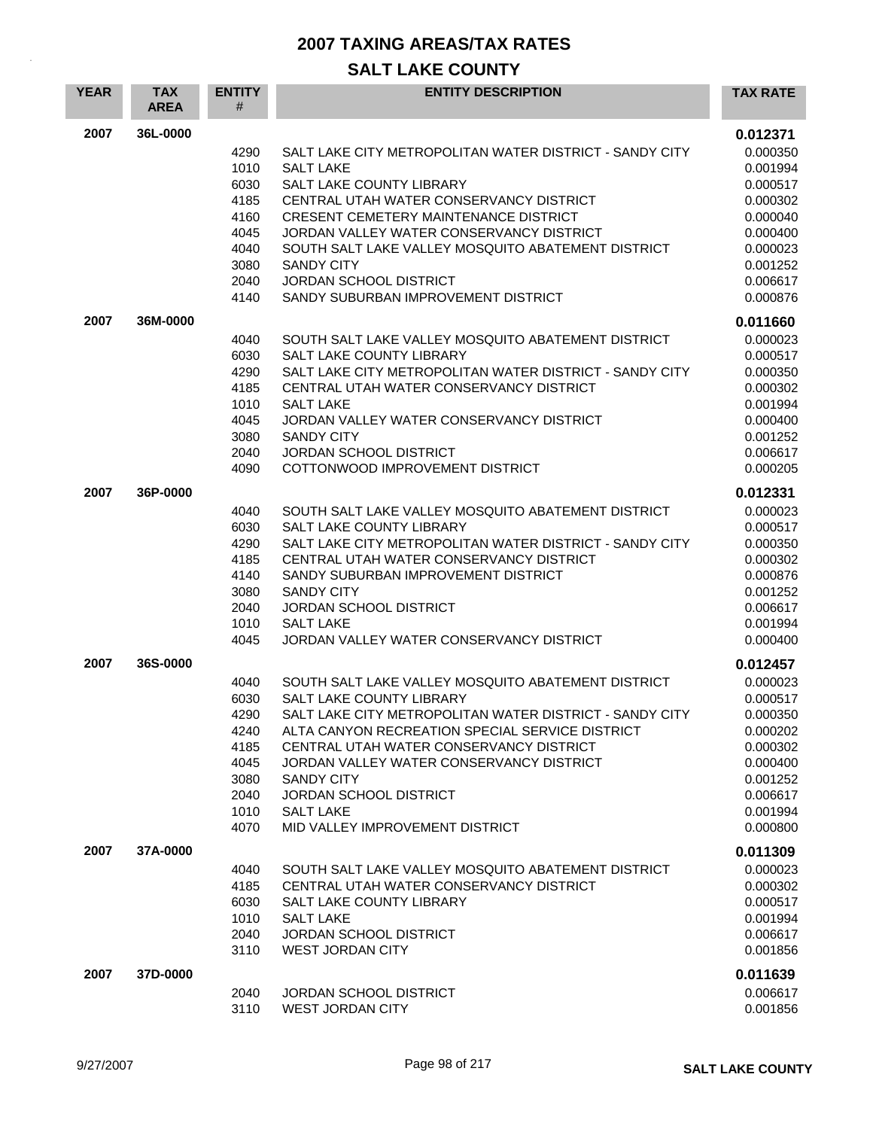| <b>YEAR</b> | <b>TAX</b><br><b>AREA</b> | <b>ENTITY</b><br>#                                                           | <b>ENTITY DESCRIPTION</b>                                                                                                                                                                                                                                                                                                                                                                  | <b>TAX RATE</b>                                                                                                                  |
|-------------|---------------------------|------------------------------------------------------------------------------|--------------------------------------------------------------------------------------------------------------------------------------------------------------------------------------------------------------------------------------------------------------------------------------------------------------------------------------------------------------------------------------------|----------------------------------------------------------------------------------------------------------------------------------|
| 2007        | 36L-0000                  | 4290<br>1010<br>6030<br>4185<br>4160<br>4045<br>4040<br>3080<br>2040<br>4140 | SALT LAKE CITY METROPOLITAN WATER DISTRICT - SANDY CITY<br><b>SALT LAKE</b><br>SALT LAKE COUNTY LIBRARY<br>CENTRAL UTAH WATER CONSERVANCY DISTRICT<br>CRESENT CEMETERY MAINTENANCE DISTRICT<br>JORDAN VALLEY WATER CONSERVANCY DISTRICT<br>SOUTH SALT LAKE VALLEY MOSQUITO ABATEMENT DISTRICT<br><b>SANDY CITY</b><br><b>JORDAN SCHOOL DISTRICT</b><br>SANDY SUBURBAN IMPROVEMENT DISTRICT | 0.012371<br>0.000350<br>0.001994<br>0.000517<br>0.000302<br>0.000040<br>0.000400<br>0.000023<br>0.001252<br>0.006617<br>0.000876 |
| 2007        | 36M-0000                  | 4040<br>6030<br>4290<br>4185<br>1010<br>4045<br>3080<br>2040<br>4090         | SOUTH SALT LAKE VALLEY MOSQUITO ABATEMENT DISTRICT<br><b>SALT LAKE COUNTY LIBRARY</b><br>SALT LAKE CITY METROPOLITAN WATER DISTRICT - SANDY CITY<br>CENTRAL UTAH WATER CONSERVANCY DISTRICT<br><b>SALT LAKE</b><br>JORDAN VALLEY WATER CONSERVANCY DISTRICT<br><b>SANDY CITY</b><br><b>JORDAN SCHOOL DISTRICT</b><br>COTTONWOOD IMPROVEMENT DISTRICT                                       | 0.011660<br>0.000023<br>0.000517<br>0.000350<br>0.000302<br>0.001994<br>0.000400<br>0.001252<br>0.006617<br>0.000205             |
| 2007        | 36P-0000                  | 4040<br>6030<br>4290<br>4185<br>4140<br>3080<br>2040<br>1010<br>4045         | SOUTH SALT LAKE VALLEY MOSQUITO ABATEMENT DISTRICT<br>SALT LAKE COUNTY LIBRARY<br>SALT LAKE CITY METROPOLITAN WATER DISTRICT - SANDY CITY<br>CENTRAL UTAH WATER CONSERVANCY DISTRICT<br>SANDY SUBURBAN IMPROVEMENT DISTRICT<br><b>SANDY CITY</b><br><b>JORDAN SCHOOL DISTRICT</b><br><b>SALT LAKE</b><br>JORDAN VALLEY WATER CONSERVANCY DISTRICT                                          | 0.012331<br>0.000023<br>0.000517<br>0.000350<br>0.000302<br>0.000876<br>0.001252<br>0.006617<br>0.001994<br>0.000400             |
| 2007        | 36S-0000                  | 4040<br>6030<br>4290<br>4240<br>4185<br>4045<br>3080<br>2040<br>1010<br>4070 | SOUTH SALT LAKE VALLEY MOSQUITO ABATEMENT DISTRICT<br>SALT LAKE COUNTY LIBRARY<br>SALT LAKE CITY METROPOLITAN WATER DISTRICT - SANDY CITY<br>ALTA CANYON RECREATION SPECIAL SERVICE DISTRICT<br>CENTRAL UTAH WATER CONSERVANCY DISTRICT<br>JORDAN VALLEY WATER CONSERVANCY DISTRICT<br><b>SANDY CITY</b><br>JORDAN SCHOOL DISTRICT<br><b>SALT LAKE</b><br>MID VALLEY IMPROVEMENT DISTRICT  | 0.012457<br>0.000023<br>0.000517<br>0.000350<br>0.000202<br>0.000302<br>0.000400<br>0.001252<br>0.006617<br>0.001994<br>0.000800 |
| 2007        | 37A-0000                  | 4040<br>4185<br>6030<br>1010<br>2040<br>3110                                 | SOUTH SALT LAKE VALLEY MOSQUITO ABATEMENT DISTRICT<br>CENTRAL UTAH WATER CONSERVANCY DISTRICT<br>SALT LAKE COUNTY LIBRARY<br><b>SALT LAKE</b><br>JORDAN SCHOOL DISTRICT<br><b>WEST JORDAN CITY</b>                                                                                                                                                                                         | 0.011309<br>0.000023<br>0.000302<br>0.000517<br>0.001994<br>0.006617<br>0.001856                                                 |
| 2007        | 37D-0000                  | 2040<br>3110                                                                 | <b>JORDAN SCHOOL DISTRICT</b><br><b>WEST JORDAN CITY</b>                                                                                                                                                                                                                                                                                                                                   | 0.011639<br>0.006617<br>0.001856                                                                                                 |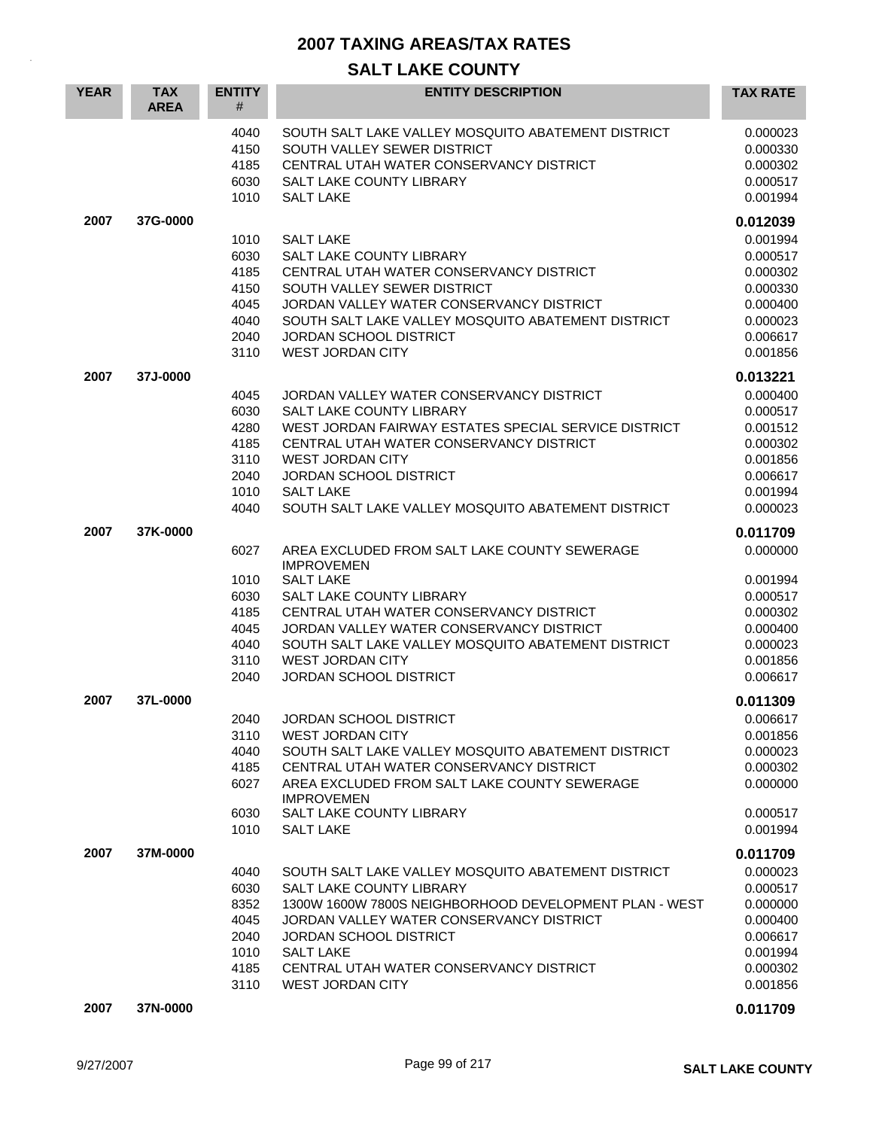| <b>YEAR</b> | <b>TAX</b><br><b>AREA</b> | <b>ENTITY</b><br>#                                           | <b>ENTITY DESCRIPTION</b>                                                                                                                                                                                                                                                                                                         | <b>TAX RATE</b>                                                                                          |
|-------------|---------------------------|--------------------------------------------------------------|-----------------------------------------------------------------------------------------------------------------------------------------------------------------------------------------------------------------------------------------------------------------------------------------------------------------------------------|----------------------------------------------------------------------------------------------------------|
|             |                           | 4040<br>4150<br>4185<br>6030<br>1010                         | SOUTH SALT LAKE VALLEY MOSQUITO ABATEMENT DISTRICT<br>SOUTH VALLEY SEWER DISTRICT<br>CENTRAL UTAH WATER CONSERVANCY DISTRICT<br><b>SALT LAKE COUNTY LIBRARY</b><br><b>SALT LAKE</b>                                                                                                                                               | 0.000023<br>0.000330<br>0.000302<br>0.000517<br>0.001994                                                 |
| 2007        | 37G-0000                  | 1010<br>6030<br>4185<br>4150<br>4045<br>4040<br>2040<br>3110 | <b>SALT LAKE</b><br>SALT LAKE COUNTY LIBRARY<br>CENTRAL UTAH WATER CONSERVANCY DISTRICT<br>SOUTH VALLEY SEWER DISTRICT<br>JORDAN VALLEY WATER CONSERVANCY DISTRICT<br>SOUTH SALT LAKE VALLEY MOSQUITO ABATEMENT DISTRICT<br><b>JORDAN SCHOOL DISTRICT</b><br><b>WEST JORDAN CITY</b>                                              | 0.012039<br>0.001994<br>0.000517<br>0.000302<br>0.000330<br>0.000400<br>0.000023<br>0.006617<br>0.001856 |
| 2007        | 37J-0000                  | 4045<br>6030<br>4280<br>4185<br>3110<br>2040<br>1010<br>4040 | JORDAN VALLEY WATER CONSERVANCY DISTRICT<br>SALT LAKE COUNTY LIBRARY<br>WEST JORDAN FAIRWAY ESTATES SPECIAL SERVICE DISTRICT<br>CENTRAL UTAH WATER CONSERVANCY DISTRICT<br><b>WEST JORDAN CITY</b><br><b>JORDAN SCHOOL DISTRICT</b><br><b>SALT LAKE</b><br>SOUTH SALT LAKE VALLEY MOSQUITO ABATEMENT DISTRICT                     | 0.013221<br>0.000400<br>0.000517<br>0.001512<br>0.000302<br>0.001856<br>0.006617<br>0.001994<br>0.000023 |
| 2007        | 37K-0000                  | 6027<br>1010<br>6030<br>4185<br>4045<br>4040<br>3110<br>2040 | AREA EXCLUDED FROM SALT LAKE COUNTY SEWERAGE<br><b>IMPROVEMEN</b><br><b>SALT LAKE</b><br><b>SALT LAKE COUNTY LIBRARY</b><br>CENTRAL UTAH WATER CONSERVANCY DISTRICT<br>JORDAN VALLEY WATER CONSERVANCY DISTRICT<br>SOUTH SALT LAKE VALLEY MOSQUITO ABATEMENT DISTRICT<br><b>WEST JORDAN CITY</b><br><b>JORDAN SCHOOL DISTRICT</b> | 0.011709<br>0.000000<br>0.001994<br>0.000517<br>0.000302<br>0.000400<br>0.000023<br>0.001856<br>0.006617 |
| 2007        | 37L-0000                  | 2040<br>3110<br>4040<br>4185<br>6027<br>6030<br>1010         | JORDAN SCHOOL DISTRICT<br><b>WEST JORDAN CITY</b><br>SOUTH SALT LAKE VALLEY MOSQUITO ABATEMENT DISTRICT<br>CENTRAL UTAH WATER CONSERVANCY DISTRICT<br>AREA EXCLUDED FROM SALT LAKE COUNTY SEWERAGE<br><b>IMPROVEMEN</b><br>SALT LAKE COUNTY LIBRARY<br><b>SALT LAKE</b>                                                           | 0.011309<br>0.006617<br>0.001856<br>0.000023<br>0.000302<br>0.000000<br>0.000517<br>0.001994             |
| 2007        | 37M-0000                  | 4040<br>6030<br>8352<br>4045<br>2040<br>1010<br>4185<br>3110 | SOUTH SALT LAKE VALLEY MOSQUITO ABATEMENT DISTRICT<br>SALT LAKE COUNTY LIBRARY<br>1300W 1600W 7800S NEIGHBORHOOD DEVELOPMENT PLAN - WEST<br>JORDAN VALLEY WATER CONSERVANCY DISTRICT<br>JORDAN SCHOOL DISTRICT<br><b>SALT LAKE</b><br>CENTRAL UTAH WATER CONSERVANCY DISTRICT<br>WEST JORDAN CITY                                 | 0.011709<br>0.000023<br>0.000517<br>0.000000<br>0.000400<br>0.006617<br>0.001994<br>0.000302<br>0.001856 |
| 2007        | 37N-0000                  |                                                              |                                                                                                                                                                                                                                                                                                                                   | 0.011709                                                                                                 |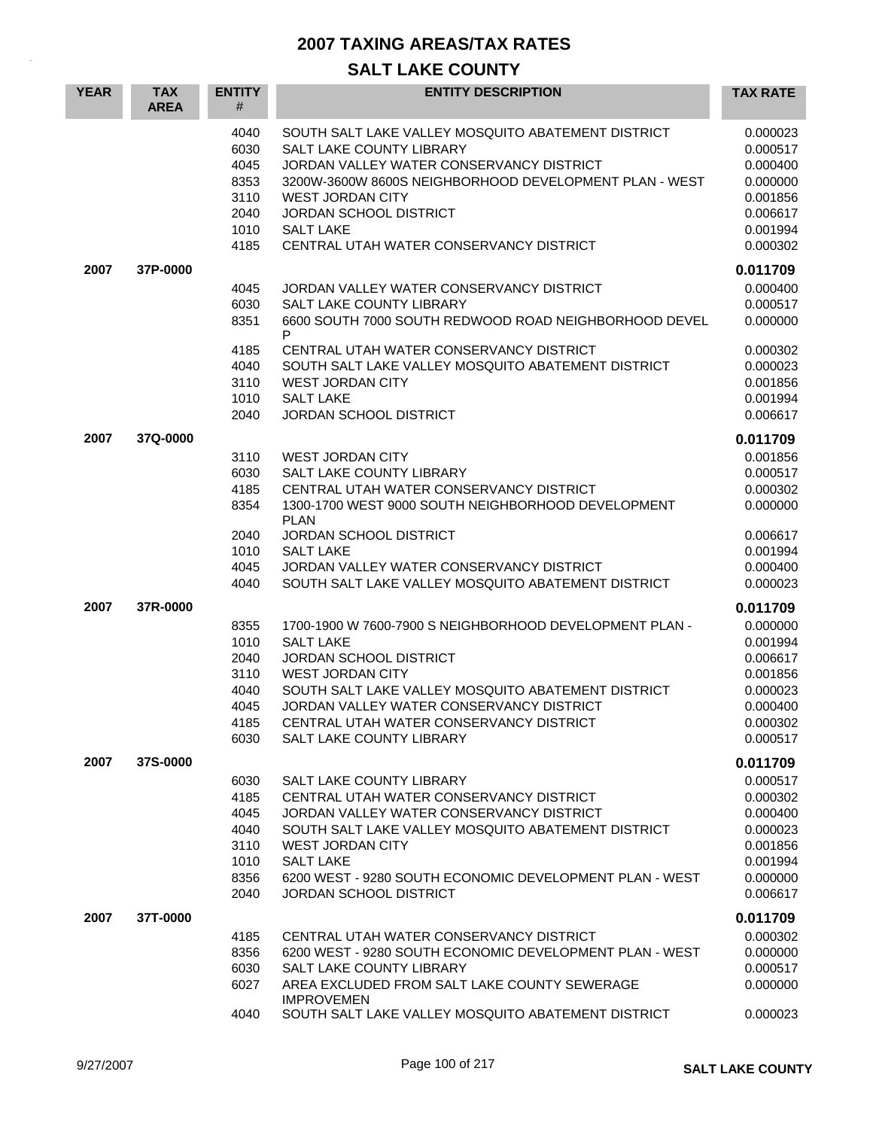| <b>YEAR</b> | <b>TAX</b><br><b>AREA</b> | <b>ENTITY</b><br>#                                           | <b>ENTITY DESCRIPTION</b>                                                                                                                                                                                                                                                                                        | <b>TAX RATE</b>                                                                                          |
|-------------|---------------------------|--------------------------------------------------------------|------------------------------------------------------------------------------------------------------------------------------------------------------------------------------------------------------------------------------------------------------------------------------------------------------------------|----------------------------------------------------------------------------------------------------------|
|             |                           | 4040<br>6030<br>4045<br>8353<br>3110<br>2040<br>1010<br>4185 | SOUTH SALT LAKE VALLEY MOSQUITO ABATEMENT DISTRICT<br>SALT LAKE COUNTY LIBRARY<br>JORDAN VALLEY WATER CONSERVANCY DISTRICT<br>3200W-3600W 8600S NEIGHBORHOOD DEVELOPMENT PLAN - WEST<br><b>WEST JORDAN CITY</b><br>JORDAN SCHOOL DISTRICT<br><b>SALT LAKE</b><br>CENTRAL UTAH WATER CONSERVANCY DISTRICT         | 0.000023<br>0.000517<br>0.000400<br>0.000000<br>0.001856<br>0.006617<br>0.001994<br>0.000302             |
| 2007        | 37P-0000                  |                                                              |                                                                                                                                                                                                                                                                                                                  | 0.011709                                                                                                 |
|             |                           | 4045<br>6030<br>8351                                         | JORDAN VALLEY WATER CONSERVANCY DISTRICT<br>SALT LAKE COUNTY LIBRARY<br>6600 SOUTH 7000 SOUTH REDWOOD ROAD NEIGHBORHOOD DEVEL<br>P                                                                                                                                                                               | 0.000400<br>0.000517<br>0.000000                                                                         |
|             |                           | 4185<br>4040<br>3110<br>1010<br>2040                         | CENTRAL UTAH WATER CONSERVANCY DISTRICT<br>SOUTH SALT LAKE VALLEY MOSQUITO ABATEMENT DISTRICT<br><b>WEST JORDAN CITY</b><br><b>SALT LAKE</b><br><b>JORDAN SCHOOL DISTRICT</b>                                                                                                                                    | 0.000302<br>0.000023<br>0.001856<br>0.001994<br>0.006617                                                 |
| 2007        | 37Q-0000                  |                                                              |                                                                                                                                                                                                                                                                                                                  | 0.011709                                                                                                 |
|             |                           | 3110<br>6030<br>4185<br>8354                                 | <b>WEST JORDAN CITY</b><br>SALT LAKE COUNTY LIBRARY<br>CENTRAL UTAH WATER CONSERVANCY DISTRICT<br>1300-1700 WEST 9000 SOUTH NEIGHBORHOOD DEVELOPMENT<br><b>PLAN</b>                                                                                                                                              | 0.001856<br>0.000517<br>0.000302<br>0.000000                                                             |
|             |                           | 2040<br>1010<br>4045<br>4040                                 | <b>JORDAN SCHOOL DISTRICT</b><br><b>SALT LAKE</b><br>JORDAN VALLEY WATER CONSERVANCY DISTRICT<br>SOUTH SALT LAKE VALLEY MOSQUITO ABATEMENT DISTRICT                                                                                                                                                              | 0.006617<br>0.001994<br>0.000400<br>0.000023                                                             |
| 2007        | 37R-0000                  | 8355<br>1010<br>2040<br>3110<br>4040<br>4045<br>4185<br>6030 | 1700-1900 W 7600-7900 S NEIGHBORHOOD DEVELOPMENT PLAN -<br><b>SALT LAKE</b><br><b>JORDAN SCHOOL DISTRICT</b><br><b>WEST JORDAN CITY</b><br>SOUTH SALT LAKE VALLEY MOSQUITO ABATEMENT DISTRICT<br>JORDAN VALLEY WATER CONSERVANCY DISTRICT<br>CENTRAL UTAH WATER CONSERVANCY DISTRICT<br>SALT LAKE COUNTY LIBRARY | 0.011709<br>0.000000<br>0.001994<br>0.006617<br>0.001856<br>0.000023<br>0.000400<br>0.000302<br>0.000517 |
| 2007        | 37S-0000                  | 6030<br>4185<br>4045<br>4040<br>3110<br>1010<br>8356<br>2040 | SALT LAKE COUNTY LIBRARY<br>CENTRAL UTAH WATER CONSERVANCY DISTRICT<br>JORDAN VALLEY WATER CONSERVANCY DISTRICT<br>SOUTH SALT LAKE VALLEY MOSQUITO ABATEMENT DISTRICT<br><b>WEST JORDAN CITY</b><br><b>SALT LAKE</b><br>6200 WEST - 9280 SOUTH ECONOMIC DEVELOPMENT PLAN - WEST<br>JORDAN SCHOOL DISTRICT        | 0.011709<br>0.000517<br>0.000302<br>0.000400<br>0.000023<br>0.001856<br>0.001994<br>0.000000<br>0.006617 |
| 2007        | 37T-0000                  |                                                              |                                                                                                                                                                                                                                                                                                                  | 0.011709                                                                                                 |
|             |                           | 4185<br>8356<br>6030<br>6027                                 | CENTRAL UTAH WATER CONSERVANCY DISTRICT<br>6200 WEST - 9280 SOUTH ECONOMIC DEVELOPMENT PLAN - WEST<br>SALT LAKE COUNTY LIBRARY<br>AREA EXCLUDED FROM SALT LAKE COUNTY SEWERAGE<br><b>IMPROVEMEN</b>                                                                                                              | 0.000302<br>0.000000<br>0.000517<br>0.000000                                                             |
|             |                           | 4040                                                         | SOUTH SALT LAKE VALLEY MOSQUITO ABATEMENT DISTRICT                                                                                                                                                                                                                                                               | 0.000023                                                                                                 |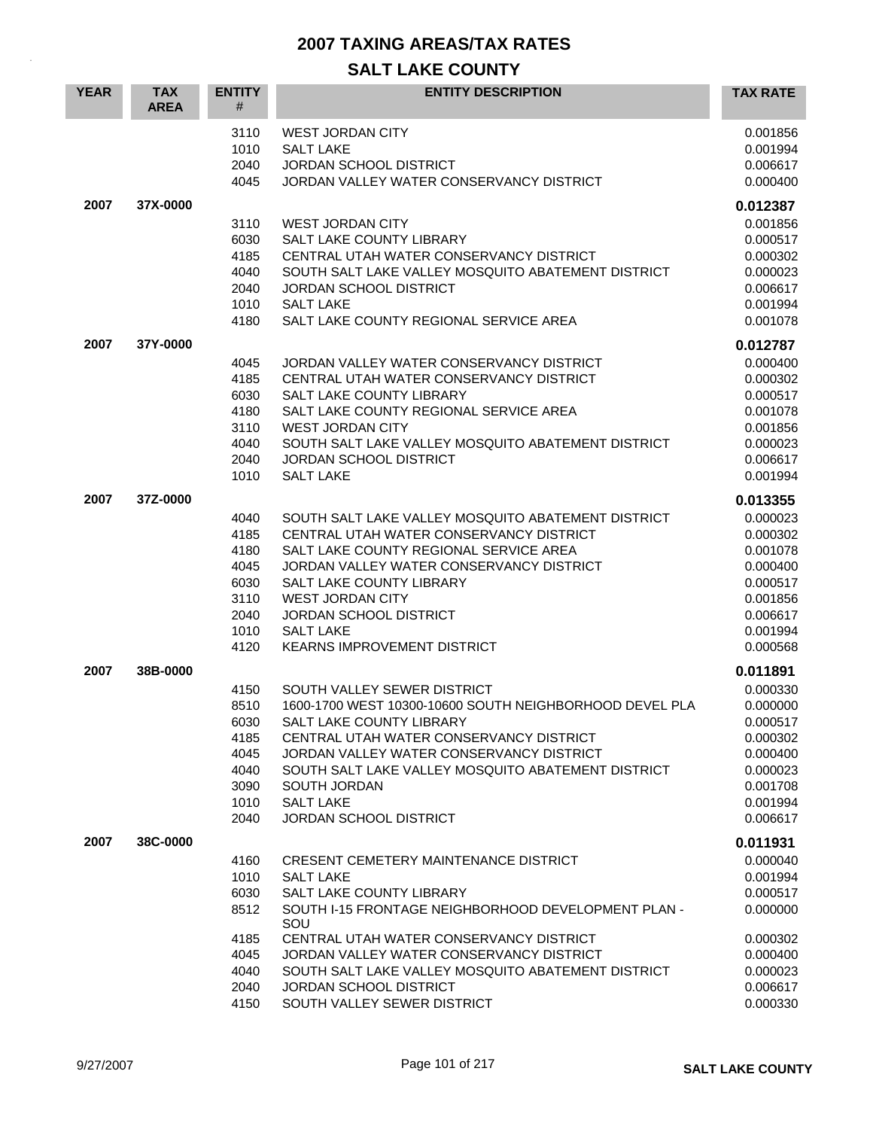| <b>YEAR</b> | <b>TAX</b><br><b>AREA</b> | <b>ENTITY</b><br>#                                                   | <b>ENTITY DESCRIPTION</b>                                                                                                                                                                                                                                                                                                                                               | <b>TAX RATE</b>                                                                                                      |
|-------------|---------------------------|----------------------------------------------------------------------|-------------------------------------------------------------------------------------------------------------------------------------------------------------------------------------------------------------------------------------------------------------------------------------------------------------------------------------------------------------------------|----------------------------------------------------------------------------------------------------------------------|
|             |                           | 3110<br>1010<br>2040<br>4045                                         | <b>WEST JORDAN CITY</b><br><b>SALT LAKE</b><br>JORDAN SCHOOL DISTRICT<br>JORDAN VALLEY WATER CONSERVANCY DISTRICT                                                                                                                                                                                                                                                       | 0.001856<br>0.001994<br>0.006617<br>0.000400                                                                         |
| 2007        | 37X-0000                  | 3110<br>6030<br>4185<br>4040<br>2040<br>1010<br>4180                 | <b>WEST JORDAN CITY</b><br>SALT LAKE COUNTY LIBRARY<br>CENTRAL UTAH WATER CONSERVANCY DISTRICT<br>SOUTH SALT LAKE VALLEY MOSQUITO ABATEMENT DISTRICT<br><b>JORDAN SCHOOL DISTRICT</b><br><b>SALT LAKE</b><br>SALT LAKE COUNTY REGIONAL SERVICE AREA                                                                                                                     | 0.012387<br>0.001856<br>0.000517<br>0.000302<br>0.000023<br>0.006617<br>0.001994<br>0.001078                         |
| 2007        | 37Y-0000                  | 4045<br>4185<br>6030<br>4180<br>3110<br>4040<br>2040<br>1010         | JORDAN VALLEY WATER CONSERVANCY DISTRICT<br>CENTRAL UTAH WATER CONSERVANCY DISTRICT<br>SALT LAKE COUNTY LIBRARY<br>SALT LAKE COUNTY REGIONAL SERVICE AREA<br><b>WEST JORDAN CITY</b><br>SOUTH SALT LAKE VALLEY MOSQUITO ABATEMENT DISTRICT<br><b>JORDAN SCHOOL DISTRICT</b><br><b>SALT LAKE</b>                                                                         | 0.012787<br>0.000400<br>0.000302<br>0.000517<br>0.001078<br>0.001856<br>0.000023<br>0.006617<br>0.001994             |
| 2007        | 37Z-0000                  | 4040<br>4185<br>4180<br>4045<br>6030<br>3110<br>2040<br>1010<br>4120 | SOUTH SALT LAKE VALLEY MOSQUITO ABATEMENT DISTRICT<br>CENTRAL UTAH WATER CONSERVANCY DISTRICT<br>SALT LAKE COUNTY REGIONAL SERVICE AREA<br>JORDAN VALLEY WATER CONSERVANCY DISTRICT<br>SALT LAKE COUNTY LIBRARY<br><b>WEST JORDAN CITY</b><br><b>JORDAN SCHOOL DISTRICT</b><br><b>SALT LAKE</b><br><b>KEARNS IMPROVEMENT DISTRICT</b>                                   | 0.013355<br>0.000023<br>0.000302<br>0.001078<br>0.000400<br>0.000517<br>0.001856<br>0.006617<br>0.001994<br>0.000568 |
| 2007        | 38B-0000                  | 4150<br>8510<br>6030<br>4185<br>4045<br>4040<br>3090<br>1010<br>2040 | SOUTH VALLEY SEWER DISTRICT<br>1600-1700 WEST 10300-10600 SOUTH NEIGHBORHOOD DEVEL PLA<br>SALT LAKE COUNTY LIBRARY<br>CENTRAL UTAH WATER CONSERVANCY DISTRICT<br>JORDAN VALLEY WATER CONSERVANCY DISTRICT<br>SOUTH SALT LAKE VALLEY MOSQUITO ABATEMENT DISTRICT<br>SOUTH JORDAN<br><b>SALT LAKE</b><br><b>JORDAN SCHOOL DISTRICT</b>                                    | 0.011891<br>0.000330<br>0.000000<br>0.000517<br>0.000302<br>0.000400<br>0.000023<br>0.001708<br>0.001994<br>0.006617 |
| 2007        | 38C-0000                  | 4160<br>1010<br>6030<br>8512<br>4185<br>4045<br>4040<br>2040<br>4150 | <b>CRESENT CEMETERY MAINTENANCE DISTRICT</b><br><b>SALT LAKE</b><br>SALT LAKE COUNTY LIBRARY<br>SOUTH I-15 FRONTAGE NEIGHBORHOOD DEVELOPMENT PLAN -<br>SOU<br>CENTRAL UTAH WATER CONSERVANCY DISTRICT<br>JORDAN VALLEY WATER CONSERVANCY DISTRICT<br>SOUTH SALT LAKE VALLEY MOSQUITO ABATEMENT DISTRICT<br><b>JORDAN SCHOOL DISTRICT</b><br>SOUTH VALLEY SEWER DISTRICT | 0.011931<br>0.000040<br>0.001994<br>0.000517<br>0.000000<br>0.000302<br>0.000400<br>0.000023<br>0.006617<br>0.000330 |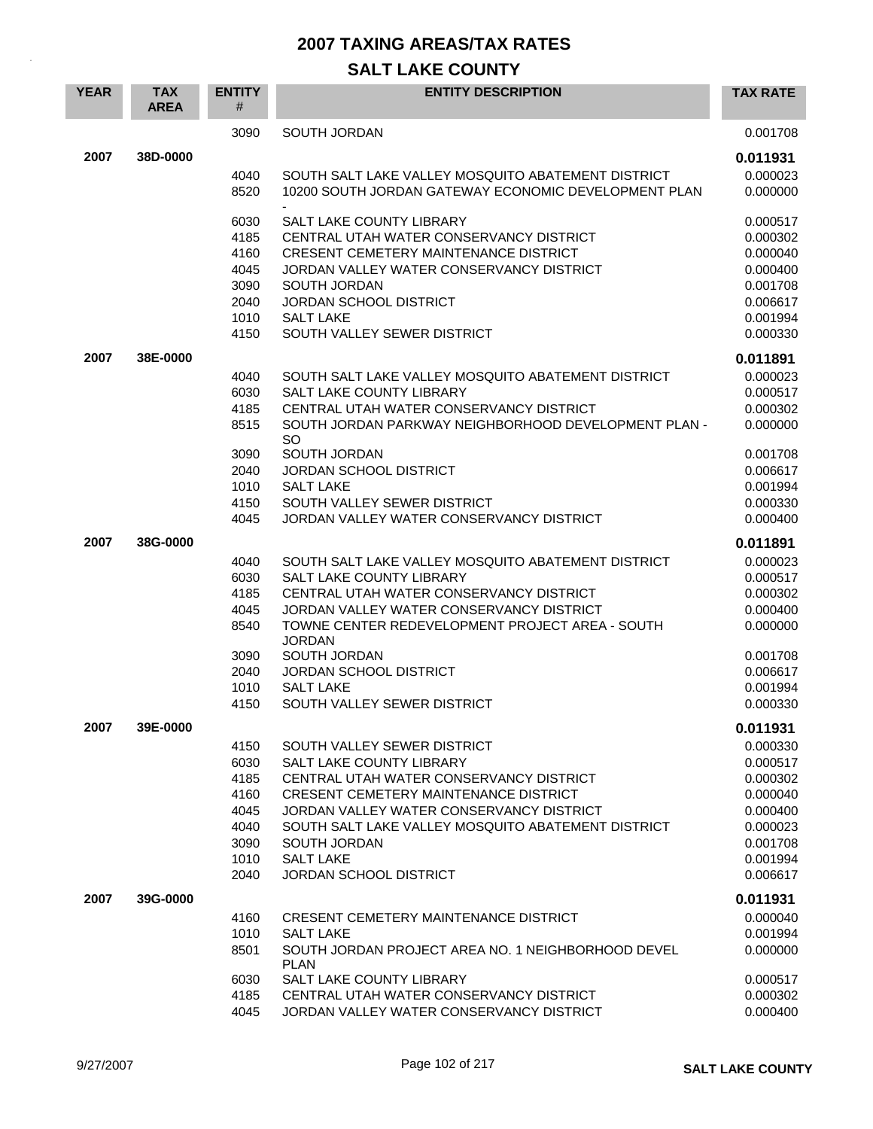| 3090<br><b>SOUTH JORDAN</b><br>0.001708<br>2007<br>38D-0000<br>0.011931<br>SOUTH SALT LAKE VALLEY MOSOUITO ABATEMENT DISTRICT<br>0.000023<br>4040<br>8520<br>10200 SOUTH JORDAN GATEWAY ECONOMIC DEVELOPMENT PLAN<br>0.000000<br><b>SALT LAKE COUNTY LIBRARY</b><br>6030<br>0.000517<br>4185<br>CENTRAL UTAH WATER CONSERVANCY DISTRICT<br>0.000302<br>4160<br><b>CRESENT CEMETERY MAINTENANCE DISTRICT</b><br>0.000040<br>4045<br>JORDAN VALLEY WATER CONSERVANCY DISTRICT<br>0.000400<br>3090<br>SOUTH JORDAN<br>0.001708<br>2040<br><b>JORDAN SCHOOL DISTRICT</b><br>0.006617<br>1010<br><b>SALT LAKE</b><br>0.001994<br>4150<br>SOUTH VALLEY SEWER DISTRICT<br>0.000330<br>2007<br>38E-0000<br>0.011891<br>SOUTH SALT LAKE VALLEY MOSQUITO ABATEMENT DISTRICT<br>0.000023<br>4040<br>6030<br><b>SALT LAKE COUNTY LIBRARY</b><br>0.000517<br>CENTRAL UTAH WATER CONSERVANCY DISTRICT<br>4185<br>0.000302<br>8515<br>SOUTH JORDAN PARKWAY NEIGHBORHOOD DEVELOPMENT PLAN -<br>0.000000<br><b>SO</b><br>3090<br>SOUTH JORDAN<br>0.001708<br>2040<br><b>JORDAN SCHOOL DISTRICT</b><br>0.006617<br>1010<br><b>SALT LAKE</b><br>0.001994<br>4150<br>SOUTH VALLEY SEWER DISTRICT<br>0.000330<br>4045<br>JORDAN VALLEY WATER CONSERVANCY DISTRICT<br>0.000400<br>2007<br>38G-0000<br>0.011891<br>SOUTH SALT LAKE VALLEY MOSQUITO ABATEMENT DISTRICT<br>0.000023<br>4040<br>6030<br><b>SALT LAKE COUNTY LIBRARY</b><br>0.000517<br>4185<br>CENTRAL UTAH WATER CONSERVANCY DISTRICT<br>0.000302<br>4045<br>JORDAN VALLEY WATER CONSERVANCY DISTRICT<br>0.000400<br>8540<br>TOWNE CENTER REDEVELOPMENT PROJECT AREA - SOUTH<br>0.000000<br><b>JORDAN</b><br>SOUTH JORDAN<br>3090<br>0.001708<br>2040<br><b>JORDAN SCHOOL DISTRICT</b><br>0.006617<br>1010<br><b>SALT LAKE</b><br>0.001994<br>4150<br>SOUTH VALLEY SEWER DISTRICT<br>0.000330<br>2007<br>39E-0000<br>0.011931<br>0.000330<br>4150<br>SOUTH VALLEY SEWER DISTRICT<br>6030<br>SALT LAKE COUNTY LIBRARY<br>0.000517<br>4185<br>CENTRAL UTAH WATER CONSERVANCY DISTRICT<br>0.000302<br>4160<br><b>CRESENT CEMETERY MAINTENANCE DISTRICT</b><br>0.000040<br>4045<br>JORDAN VALLEY WATER CONSERVANCY DISTRICT<br>0.000400<br>4040<br>SOUTH SALT LAKE VALLEY MOSQUITO ABATEMENT DISTRICT<br>0.000023<br>3090<br>SOUTH JORDAN<br>0.001708<br>1010<br><b>SALT LAKE</b><br>0.001994<br>0.006617<br>2040<br>JORDAN SCHOOL DISTRICT<br>2007<br>39G-0000<br>0.011931<br>0.000040<br>4160<br><b>CRESENT CEMETERY MAINTENANCE DISTRICT</b><br>1010<br><b>SALT LAKE</b><br>0.001994<br>8501<br>SOUTH JORDAN PROJECT AREA NO. 1 NEIGHBORHOOD DEVEL<br>0.000000<br><b>PLAN</b><br>SALT LAKE COUNTY LIBRARY<br>6030<br>0.000517<br>0.000302<br>4185<br>CENTRAL UTAH WATER CONSERVANCY DISTRICT | <b>YEAR</b> | <b>TAX</b><br><b>AREA</b> | <b>ENTITY</b><br># | <b>ENTITY DESCRIPTION</b>                | <b>TAX RATE</b> |
|------------------------------------------------------------------------------------------------------------------------------------------------------------------------------------------------------------------------------------------------------------------------------------------------------------------------------------------------------------------------------------------------------------------------------------------------------------------------------------------------------------------------------------------------------------------------------------------------------------------------------------------------------------------------------------------------------------------------------------------------------------------------------------------------------------------------------------------------------------------------------------------------------------------------------------------------------------------------------------------------------------------------------------------------------------------------------------------------------------------------------------------------------------------------------------------------------------------------------------------------------------------------------------------------------------------------------------------------------------------------------------------------------------------------------------------------------------------------------------------------------------------------------------------------------------------------------------------------------------------------------------------------------------------------------------------------------------------------------------------------------------------------------------------------------------------------------------------------------------------------------------------------------------------------------------------------------------------------------------------------------------------------------------------------------------------------------------------------------------------------------------------------------------------------------------------------------------------------------------------------------------------------------------------------------------------------------------------------------------------------------------------------------------------------------------------------------------------------------------------------------------------------------------------------------------------------------------------------------------------------------------------------------------------------------------------------------------------------------------|-------------|---------------------------|--------------------|------------------------------------------|-----------------|
|                                                                                                                                                                                                                                                                                                                                                                                                                                                                                                                                                                                                                                                                                                                                                                                                                                                                                                                                                                                                                                                                                                                                                                                                                                                                                                                                                                                                                                                                                                                                                                                                                                                                                                                                                                                                                                                                                                                                                                                                                                                                                                                                                                                                                                                                                                                                                                                                                                                                                                                                                                                                                                                                                                                                    |             |                           |                    |                                          |                 |
|                                                                                                                                                                                                                                                                                                                                                                                                                                                                                                                                                                                                                                                                                                                                                                                                                                                                                                                                                                                                                                                                                                                                                                                                                                                                                                                                                                                                                                                                                                                                                                                                                                                                                                                                                                                                                                                                                                                                                                                                                                                                                                                                                                                                                                                                                                                                                                                                                                                                                                                                                                                                                                                                                                                                    |             |                           |                    |                                          |                 |
|                                                                                                                                                                                                                                                                                                                                                                                                                                                                                                                                                                                                                                                                                                                                                                                                                                                                                                                                                                                                                                                                                                                                                                                                                                                                                                                                                                                                                                                                                                                                                                                                                                                                                                                                                                                                                                                                                                                                                                                                                                                                                                                                                                                                                                                                                                                                                                                                                                                                                                                                                                                                                                                                                                                                    |             |                           |                    |                                          |                 |
|                                                                                                                                                                                                                                                                                                                                                                                                                                                                                                                                                                                                                                                                                                                                                                                                                                                                                                                                                                                                                                                                                                                                                                                                                                                                                                                                                                                                                                                                                                                                                                                                                                                                                                                                                                                                                                                                                                                                                                                                                                                                                                                                                                                                                                                                                                                                                                                                                                                                                                                                                                                                                                                                                                                                    |             |                           |                    |                                          |                 |
|                                                                                                                                                                                                                                                                                                                                                                                                                                                                                                                                                                                                                                                                                                                                                                                                                                                                                                                                                                                                                                                                                                                                                                                                                                                                                                                                                                                                                                                                                                                                                                                                                                                                                                                                                                                                                                                                                                                                                                                                                                                                                                                                                                                                                                                                                                                                                                                                                                                                                                                                                                                                                                                                                                                                    |             |                           |                    |                                          |                 |
|                                                                                                                                                                                                                                                                                                                                                                                                                                                                                                                                                                                                                                                                                                                                                                                                                                                                                                                                                                                                                                                                                                                                                                                                                                                                                                                                                                                                                                                                                                                                                                                                                                                                                                                                                                                                                                                                                                                                                                                                                                                                                                                                                                                                                                                                                                                                                                                                                                                                                                                                                                                                                                                                                                                                    |             |                           |                    |                                          |                 |
|                                                                                                                                                                                                                                                                                                                                                                                                                                                                                                                                                                                                                                                                                                                                                                                                                                                                                                                                                                                                                                                                                                                                                                                                                                                                                                                                                                                                                                                                                                                                                                                                                                                                                                                                                                                                                                                                                                                                                                                                                                                                                                                                                                                                                                                                                                                                                                                                                                                                                                                                                                                                                                                                                                                                    |             |                           |                    |                                          |                 |
|                                                                                                                                                                                                                                                                                                                                                                                                                                                                                                                                                                                                                                                                                                                                                                                                                                                                                                                                                                                                                                                                                                                                                                                                                                                                                                                                                                                                                                                                                                                                                                                                                                                                                                                                                                                                                                                                                                                                                                                                                                                                                                                                                                                                                                                                                                                                                                                                                                                                                                                                                                                                                                                                                                                                    |             |                           |                    |                                          |                 |
|                                                                                                                                                                                                                                                                                                                                                                                                                                                                                                                                                                                                                                                                                                                                                                                                                                                                                                                                                                                                                                                                                                                                                                                                                                                                                                                                                                                                                                                                                                                                                                                                                                                                                                                                                                                                                                                                                                                                                                                                                                                                                                                                                                                                                                                                                                                                                                                                                                                                                                                                                                                                                                                                                                                                    |             |                           |                    |                                          |                 |
|                                                                                                                                                                                                                                                                                                                                                                                                                                                                                                                                                                                                                                                                                                                                                                                                                                                                                                                                                                                                                                                                                                                                                                                                                                                                                                                                                                                                                                                                                                                                                                                                                                                                                                                                                                                                                                                                                                                                                                                                                                                                                                                                                                                                                                                                                                                                                                                                                                                                                                                                                                                                                                                                                                                                    |             |                           |                    |                                          |                 |
|                                                                                                                                                                                                                                                                                                                                                                                                                                                                                                                                                                                                                                                                                                                                                                                                                                                                                                                                                                                                                                                                                                                                                                                                                                                                                                                                                                                                                                                                                                                                                                                                                                                                                                                                                                                                                                                                                                                                                                                                                                                                                                                                                                                                                                                                                                                                                                                                                                                                                                                                                                                                                                                                                                                                    |             |                           |                    |                                          |                 |
|                                                                                                                                                                                                                                                                                                                                                                                                                                                                                                                                                                                                                                                                                                                                                                                                                                                                                                                                                                                                                                                                                                                                                                                                                                                                                                                                                                                                                                                                                                                                                                                                                                                                                                                                                                                                                                                                                                                                                                                                                                                                                                                                                                                                                                                                                                                                                                                                                                                                                                                                                                                                                                                                                                                                    |             |                           |                    |                                          |                 |
|                                                                                                                                                                                                                                                                                                                                                                                                                                                                                                                                                                                                                                                                                                                                                                                                                                                                                                                                                                                                                                                                                                                                                                                                                                                                                                                                                                                                                                                                                                                                                                                                                                                                                                                                                                                                                                                                                                                                                                                                                                                                                                                                                                                                                                                                                                                                                                                                                                                                                                                                                                                                                                                                                                                                    |             |                           |                    |                                          |                 |
|                                                                                                                                                                                                                                                                                                                                                                                                                                                                                                                                                                                                                                                                                                                                                                                                                                                                                                                                                                                                                                                                                                                                                                                                                                                                                                                                                                                                                                                                                                                                                                                                                                                                                                                                                                                                                                                                                                                                                                                                                                                                                                                                                                                                                                                                                                                                                                                                                                                                                                                                                                                                                                                                                                                                    |             |                           |                    |                                          |                 |
|                                                                                                                                                                                                                                                                                                                                                                                                                                                                                                                                                                                                                                                                                                                                                                                                                                                                                                                                                                                                                                                                                                                                                                                                                                                                                                                                                                                                                                                                                                                                                                                                                                                                                                                                                                                                                                                                                                                                                                                                                                                                                                                                                                                                                                                                                                                                                                                                                                                                                                                                                                                                                                                                                                                                    |             |                           |                    |                                          |                 |
|                                                                                                                                                                                                                                                                                                                                                                                                                                                                                                                                                                                                                                                                                                                                                                                                                                                                                                                                                                                                                                                                                                                                                                                                                                                                                                                                                                                                                                                                                                                                                                                                                                                                                                                                                                                                                                                                                                                                                                                                                                                                                                                                                                                                                                                                                                                                                                                                                                                                                                                                                                                                                                                                                                                                    |             |                           |                    |                                          |                 |
|                                                                                                                                                                                                                                                                                                                                                                                                                                                                                                                                                                                                                                                                                                                                                                                                                                                                                                                                                                                                                                                                                                                                                                                                                                                                                                                                                                                                                                                                                                                                                                                                                                                                                                                                                                                                                                                                                                                                                                                                                                                                                                                                                                                                                                                                                                                                                                                                                                                                                                                                                                                                                                                                                                                                    |             |                           |                    |                                          |                 |
|                                                                                                                                                                                                                                                                                                                                                                                                                                                                                                                                                                                                                                                                                                                                                                                                                                                                                                                                                                                                                                                                                                                                                                                                                                                                                                                                                                                                                                                                                                                                                                                                                                                                                                                                                                                                                                                                                                                                                                                                                                                                                                                                                                                                                                                                                                                                                                                                                                                                                                                                                                                                                                                                                                                                    |             |                           |                    |                                          |                 |
|                                                                                                                                                                                                                                                                                                                                                                                                                                                                                                                                                                                                                                                                                                                                                                                                                                                                                                                                                                                                                                                                                                                                                                                                                                                                                                                                                                                                                                                                                                                                                                                                                                                                                                                                                                                                                                                                                                                                                                                                                                                                                                                                                                                                                                                                                                                                                                                                                                                                                                                                                                                                                                                                                                                                    |             |                           |                    |                                          |                 |
|                                                                                                                                                                                                                                                                                                                                                                                                                                                                                                                                                                                                                                                                                                                                                                                                                                                                                                                                                                                                                                                                                                                                                                                                                                                                                                                                                                                                                                                                                                                                                                                                                                                                                                                                                                                                                                                                                                                                                                                                                                                                                                                                                                                                                                                                                                                                                                                                                                                                                                                                                                                                                                                                                                                                    |             |                           |                    |                                          |                 |
|                                                                                                                                                                                                                                                                                                                                                                                                                                                                                                                                                                                                                                                                                                                                                                                                                                                                                                                                                                                                                                                                                                                                                                                                                                                                                                                                                                                                                                                                                                                                                                                                                                                                                                                                                                                                                                                                                                                                                                                                                                                                                                                                                                                                                                                                                                                                                                                                                                                                                                                                                                                                                                                                                                                                    |             |                           |                    |                                          |                 |
|                                                                                                                                                                                                                                                                                                                                                                                                                                                                                                                                                                                                                                                                                                                                                                                                                                                                                                                                                                                                                                                                                                                                                                                                                                                                                                                                                                                                                                                                                                                                                                                                                                                                                                                                                                                                                                                                                                                                                                                                                                                                                                                                                                                                                                                                                                                                                                                                                                                                                                                                                                                                                                                                                                                                    |             |                           |                    |                                          |                 |
|                                                                                                                                                                                                                                                                                                                                                                                                                                                                                                                                                                                                                                                                                                                                                                                                                                                                                                                                                                                                                                                                                                                                                                                                                                                                                                                                                                                                                                                                                                                                                                                                                                                                                                                                                                                                                                                                                                                                                                                                                                                                                                                                                                                                                                                                                                                                                                                                                                                                                                                                                                                                                                                                                                                                    |             |                           |                    |                                          |                 |
|                                                                                                                                                                                                                                                                                                                                                                                                                                                                                                                                                                                                                                                                                                                                                                                                                                                                                                                                                                                                                                                                                                                                                                                                                                                                                                                                                                                                                                                                                                                                                                                                                                                                                                                                                                                                                                                                                                                                                                                                                                                                                                                                                                                                                                                                                                                                                                                                                                                                                                                                                                                                                                                                                                                                    |             |                           |                    |                                          |                 |
|                                                                                                                                                                                                                                                                                                                                                                                                                                                                                                                                                                                                                                                                                                                                                                                                                                                                                                                                                                                                                                                                                                                                                                                                                                                                                                                                                                                                                                                                                                                                                                                                                                                                                                                                                                                                                                                                                                                                                                                                                                                                                                                                                                                                                                                                                                                                                                                                                                                                                                                                                                                                                                                                                                                                    |             |                           |                    |                                          |                 |
|                                                                                                                                                                                                                                                                                                                                                                                                                                                                                                                                                                                                                                                                                                                                                                                                                                                                                                                                                                                                                                                                                                                                                                                                                                                                                                                                                                                                                                                                                                                                                                                                                                                                                                                                                                                                                                                                                                                                                                                                                                                                                                                                                                                                                                                                                                                                                                                                                                                                                                                                                                                                                                                                                                                                    |             |                           |                    |                                          |                 |
|                                                                                                                                                                                                                                                                                                                                                                                                                                                                                                                                                                                                                                                                                                                                                                                                                                                                                                                                                                                                                                                                                                                                                                                                                                                                                                                                                                                                                                                                                                                                                                                                                                                                                                                                                                                                                                                                                                                                                                                                                                                                                                                                                                                                                                                                                                                                                                                                                                                                                                                                                                                                                                                                                                                                    |             |                           |                    |                                          |                 |
|                                                                                                                                                                                                                                                                                                                                                                                                                                                                                                                                                                                                                                                                                                                                                                                                                                                                                                                                                                                                                                                                                                                                                                                                                                                                                                                                                                                                                                                                                                                                                                                                                                                                                                                                                                                                                                                                                                                                                                                                                                                                                                                                                                                                                                                                                                                                                                                                                                                                                                                                                                                                                                                                                                                                    |             |                           |                    |                                          |                 |
|                                                                                                                                                                                                                                                                                                                                                                                                                                                                                                                                                                                                                                                                                                                                                                                                                                                                                                                                                                                                                                                                                                                                                                                                                                                                                                                                                                                                                                                                                                                                                                                                                                                                                                                                                                                                                                                                                                                                                                                                                                                                                                                                                                                                                                                                                                                                                                                                                                                                                                                                                                                                                                                                                                                                    |             |                           |                    |                                          |                 |
|                                                                                                                                                                                                                                                                                                                                                                                                                                                                                                                                                                                                                                                                                                                                                                                                                                                                                                                                                                                                                                                                                                                                                                                                                                                                                                                                                                                                                                                                                                                                                                                                                                                                                                                                                                                                                                                                                                                                                                                                                                                                                                                                                                                                                                                                                                                                                                                                                                                                                                                                                                                                                                                                                                                                    |             |                           |                    |                                          |                 |
|                                                                                                                                                                                                                                                                                                                                                                                                                                                                                                                                                                                                                                                                                                                                                                                                                                                                                                                                                                                                                                                                                                                                                                                                                                                                                                                                                                                                                                                                                                                                                                                                                                                                                                                                                                                                                                                                                                                                                                                                                                                                                                                                                                                                                                                                                                                                                                                                                                                                                                                                                                                                                                                                                                                                    |             |                           |                    |                                          |                 |
|                                                                                                                                                                                                                                                                                                                                                                                                                                                                                                                                                                                                                                                                                                                                                                                                                                                                                                                                                                                                                                                                                                                                                                                                                                                                                                                                                                                                                                                                                                                                                                                                                                                                                                                                                                                                                                                                                                                                                                                                                                                                                                                                                                                                                                                                                                                                                                                                                                                                                                                                                                                                                                                                                                                                    |             |                           |                    |                                          |                 |
|                                                                                                                                                                                                                                                                                                                                                                                                                                                                                                                                                                                                                                                                                                                                                                                                                                                                                                                                                                                                                                                                                                                                                                                                                                                                                                                                                                                                                                                                                                                                                                                                                                                                                                                                                                                                                                                                                                                                                                                                                                                                                                                                                                                                                                                                                                                                                                                                                                                                                                                                                                                                                                                                                                                                    |             |                           |                    |                                          |                 |
|                                                                                                                                                                                                                                                                                                                                                                                                                                                                                                                                                                                                                                                                                                                                                                                                                                                                                                                                                                                                                                                                                                                                                                                                                                                                                                                                                                                                                                                                                                                                                                                                                                                                                                                                                                                                                                                                                                                                                                                                                                                                                                                                                                                                                                                                                                                                                                                                                                                                                                                                                                                                                                                                                                                                    |             |                           |                    |                                          |                 |
|                                                                                                                                                                                                                                                                                                                                                                                                                                                                                                                                                                                                                                                                                                                                                                                                                                                                                                                                                                                                                                                                                                                                                                                                                                                                                                                                                                                                                                                                                                                                                                                                                                                                                                                                                                                                                                                                                                                                                                                                                                                                                                                                                                                                                                                                                                                                                                                                                                                                                                                                                                                                                                                                                                                                    |             |                           |                    |                                          |                 |
|                                                                                                                                                                                                                                                                                                                                                                                                                                                                                                                                                                                                                                                                                                                                                                                                                                                                                                                                                                                                                                                                                                                                                                                                                                                                                                                                                                                                                                                                                                                                                                                                                                                                                                                                                                                                                                                                                                                                                                                                                                                                                                                                                                                                                                                                                                                                                                                                                                                                                                                                                                                                                                                                                                                                    |             |                           |                    |                                          |                 |
|                                                                                                                                                                                                                                                                                                                                                                                                                                                                                                                                                                                                                                                                                                                                                                                                                                                                                                                                                                                                                                                                                                                                                                                                                                                                                                                                                                                                                                                                                                                                                                                                                                                                                                                                                                                                                                                                                                                                                                                                                                                                                                                                                                                                                                                                                                                                                                                                                                                                                                                                                                                                                                                                                                                                    |             |                           |                    |                                          |                 |
|                                                                                                                                                                                                                                                                                                                                                                                                                                                                                                                                                                                                                                                                                                                                                                                                                                                                                                                                                                                                                                                                                                                                                                                                                                                                                                                                                                                                                                                                                                                                                                                                                                                                                                                                                                                                                                                                                                                                                                                                                                                                                                                                                                                                                                                                                                                                                                                                                                                                                                                                                                                                                                                                                                                                    |             |                           |                    |                                          |                 |
|                                                                                                                                                                                                                                                                                                                                                                                                                                                                                                                                                                                                                                                                                                                                                                                                                                                                                                                                                                                                                                                                                                                                                                                                                                                                                                                                                                                                                                                                                                                                                                                                                                                                                                                                                                                                                                                                                                                                                                                                                                                                                                                                                                                                                                                                                                                                                                                                                                                                                                                                                                                                                                                                                                                                    |             |                           |                    |                                          |                 |
|                                                                                                                                                                                                                                                                                                                                                                                                                                                                                                                                                                                                                                                                                                                                                                                                                                                                                                                                                                                                                                                                                                                                                                                                                                                                                                                                                                                                                                                                                                                                                                                                                                                                                                                                                                                                                                                                                                                                                                                                                                                                                                                                                                                                                                                                                                                                                                                                                                                                                                                                                                                                                                                                                                                                    |             |                           |                    |                                          |                 |
|                                                                                                                                                                                                                                                                                                                                                                                                                                                                                                                                                                                                                                                                                                                                                                                                                                                                                                                                                                                                                                                                                                                                                                                                                                                                                                                                                                                                                                                                                                                                                                                                                                                                                                                                                                                                                                                                                                                                                                                                                                                                                                                                                                                                                                                                                                                                                                                                                                                                                                                                                                                                                                                                                                                                    |             |                           |                    |                                          |                 |
|                                                                                                                                                                                                                                                                                                                                                                                                                                                                                                                                                                                                                                                                                                                                                                                                                                                                                                                                                                                                                                                                                                                                                                                                                                                                                                                                                                                                                                                                                                                                                                                                                                                                                                                                                                                                                                                                                                                                                                                                                                                                                                                                                                                                                                                                                                                                                                                                                                                                                                                                                                                                                                                                                                                                    |             |                           |                    |                                          |                 |
|                                                                                                                                                                                                                                                                                                                                                                                                                                                                                                                                                                                                                                                                                                                                                                                                                                                                                                                                                                                                                                                                                                                                                                                                                                                                                                                                                                                                                                                                                                                                                                                                                                                                                                                                                                                                                                                                                                                                                                                                                                                                                                                                                                                                                                                                                                                                                                                                                                                                                                                                                                                                                                                                                                                                    |             |                           |                    |                                          |                 |
|                                                                                                                                                                                                                                                                                                                                                                                                                                                                                                                                                                                                                                                                                                                                                                                                                                                                                                                                                                                                                                                                                                                                                                                                                                                                                                                                                                                                                                                                                                                                                                                                                                                                                                                                                                                                                                                                                                                                                                                                                                                                                                                                                                                                                                                                                                                                                                                                                                                                                                                                                                                                                                                                                                                                    |             |                           |                    |                                          |                 |
| 4045                                                                                                                                                                                                                                                                                                                                                                                                                                                                                                                                                                                                                                                                                                                                                                                                                                                                                                                                                                                                                                                                                                                                                                                                                                                                                                                                                                                                                                                                                                                                                                                                                                                                                                                                                                                                                                                                                                                                                                                                                                                                                                                                                                                                                                                                                                                                                                                                                                                                                                                                                                                                                                                                                                                               |             |                           |                    | JORDAN VALLEY WATER CONSERVANCY DISTRICT | 0.000400        |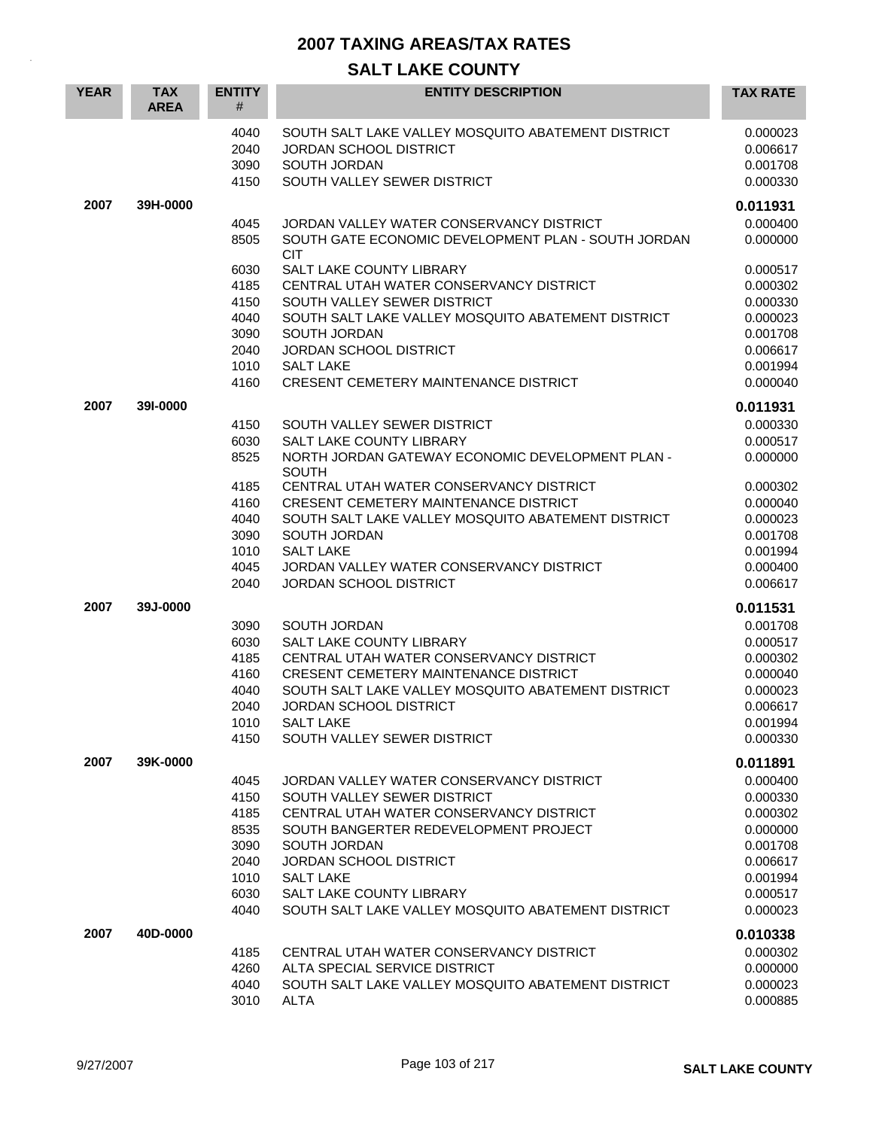| <b>YEAR</b> | <b>TAX</b><br><b>AREA</b> | <b>ENTITY</b><br>#           | <b>ENTITY DESCRIPTION</b>                                                                                                          | <b>TAX RATE</b>                              |
|-------------|---------------------------|------------------------------|------------------------------------------------------------------------------------------------------------------------------------|----------------------------------------------|
|             |                           | 4040<br>2040<br>3090<br>4150 | SOUTH SALT LAKE VALLEY MOSQUITO ABATEMENT DISTRICT<br><b>JORDAN SCHOOL DISTRICT</b><br>SOUTH JORDAN<br>SOUTH VALLEY SEWER DISTRICT | 0.000023<br>0.006617<br>0.001708<br>0.000330 |
| 2007        | 39H-0000                  |                              |                                                                                                                                    | 0.011931                                     |
|             |                           | 4045<br>8505                 | JORDAN VALLEY WATER CONSERVANCY DISTRICT<br>SOUTH GATE ECONOMIC DEVELOPMENT PLAN - SOUTH JORDAN<br><b>CIT</b>                      | 0.000400<br>0.000000                         |
|             |                           | 6030                         | SALT LAKE COUNTY LIBRARY                                                                                                           | 0.000517                                     |
|             |                           | 4185                         | CENTRAL UTAH WATER CONSERVANCY DISTRICT                                                                                            | 0.000302                                     |
|             |                           | 4150                         | SOUTH VALLEY SEWER DISTRICT                                                                                                        | 0.000330                                     |
|             |                           | 4040                         | SOUTH SALT LAKE VALLEY MOSQUITO ABATEMENT DISTRICT                                                                                 | 0.000023                                     |
|             |                           | 3090                         | SOUTH JORDAN                                                                                                                       | 0.001708                                     |
|             |                           | 2040                         | JORDAN SCHOOL DISTRICT<br><b>SALT LAKE</b>                                                                                         | 0.006617                                     |
|             |                           | 1010<br>4160                 | <b>CRESENT CEMETERY MAINTENANCE DISTRICT</b>                                                                                       | 0.001994<br>0.000040                         |
|             |                           |                              |                                                                                                                                    |                                              |
| 2007        | 391-0000                  |                              |                                                                                                                                    | 0.011931                                     |
|             |                           | 4150                         | SOUTH VALLEY SEWER DISTRICT                                                                                                        | 0.000330                                     |
|             |                           | 6030                         | SALT LAKE COUNTY LIBRARY                                                                                                           | 0.000517                                     |
|             |                           | 8525                         | NORTH JORDAN GATEWAY ECONOMIC DEVELOPMENT PLAN -<br><b>SOUTH</b>                                                                   | 0.000000                                     |
|             |                           | 4185                         | CENTRAL UTAH WATER CONSERVANCY DISTRICT                                                                                            | 0.000302                                     |
|             |                           | 4160                         | <b>CRESENT CEMETERY MAINTENANCE DISTRICT</b>                                                                                       | 0.000040                                     |
|             |                           | 4040                         | SOUTH SALT LAKE VALLEY MOSQUITO ABATEMENT DISTRICT                                                                                 | 0.000023                                     |
|             |                           | 3090                         | <b>SOUTH JORDAN</b>                                                                                                                | 0.001708                                     |
|             |                           | 1010                         | <b>SALT LAKE</b>                                                                                                                   | 0.001994                                     |
|             |                           | 4045                         | JORDAN VALLEY WATER CONSERVANCY DISTRICT                                                                                           | 0.000400                                     |
|             |                           | 2040                         | <b>JORDAN SCHOOL DISTRICT</b>                                                                                                      | 0.006617                                     |
| 2007        | 39J-0000                  |                              |                                                                                                                                    | 0.011531                                     |
|             |                           | 3090                         | SOUTH JORDAN                                                                                                                       | 0.001708                                     |
|             |                           | 6030                         | <b>SALT LAKE COUNTY LIBRARY</b>                                                                                                    | 0.000517                                     |
|             |                           | 4185                         | CENTRAL UTAH WATER CONSERVANCY DISTRICT                                                                                            | 0.000302                                     |
|             |                           | 4160                         | <b>CRESENT CEMETERY MAINTENANCE DISTRICT</b>                                                                                       | 0.000040                                     |
|             |                           | 4040                         | SOUTH SALT LAKE VALLEY MOSQUITO ABATEMENT DISTRICT                                                                                 | 0.000023                                     |
|             |                           | 2040<br>1010                 | <b>JORDAN SCHOOL DISTRICT</b><br>SALT LAKE                                                                                         | 0.006617<br>0.001994                         |
|             |                           | 4150                         | SOUTH VALLEY SEWER DISTRICT                                                                                                        | 0.000330                                     |
|             |                           |                              |                                                                                                                                    |                                              |
| 2007        | 39K-0000                  |                              |                                                                                                                                    | 0.011891                                     |
|             |                           | 4045                         | JORDAN VALLEY WATER CONSERVANCY DISTRICT                                                                                           | 0.000400                                     |
|             |                           | 4150<br>4185                 | SOUTH VALLEY SEWER DISTRICT<br>CENTRAL UTAH WATER CONSERVANCY DISTRICT                                                             | 0.000330<br>0.000302                         |
|             |                           | 8535                         | SOUTH BANGERTER REDEVELOPMENT PROJECT                                                                                              | 0.000000                                     |
|             |                           | 3090                         | SOUTH JORDAN                                                                                                                       | 0.001708                                     |
|             |                           | 2040                         | <b>JORDAN SCHOOL DISTRICT</b>                                                                                                      | 0.006617                                     |
|             |                           | 1010                         | <b>SALT LAKE</b>                                                                                                                   | 0.001994                                     |
|             |                           | 6030                         | SALT LAKE COUNTY LIBRARY                                                                                                           | 0.000517                                     |
|             |                           | 4040                         | SOUTH SALT LAKE VALLEY MOSQUITO ABATEMENT DISTRICT                                                                                 | 0.000023                                     |
| 2007        | 40D-0000                  |                              |                                                                                                                                    | 0.010338                                     |
|             |                           | 4185                         | CENTRAL UTAH WATER CONSERVANCY DISTRICT                                                                                            | 0.000302                                     |
|             |                           | 4260                         | ALTA SPECIAL SERVICE DISTRICT                                                                                                      | 0.000000                                     |
|             |                           | 4040                         | SOUTH SALT LAKE VALLEY MOSQUITO ABATEMENT DISTRICT                                                                                 | 0.000023                                     |
|             |                           | 3010                         | <b>ALTA</b>                                                                                                                        | 0.000885                                     |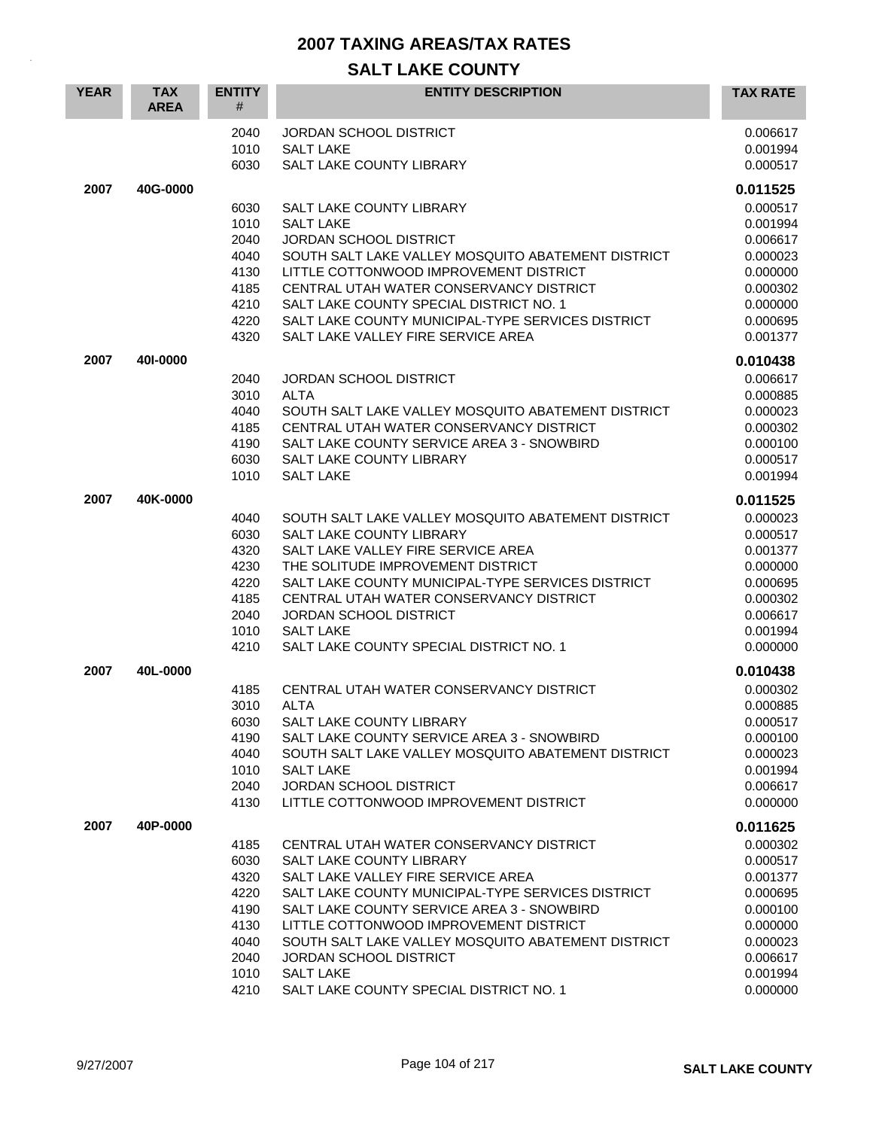| <b>YEAR</b> | <b>TAX</b><br><b>AREA</b> | <b>ENTITY</b><br>#   | <b>ENTITY DESCRIPTION</b>                                                                       | <b>TAX RATE</b>                  |
|-------------|---------------------------|----------------------|-------------------------------------------------------------------------------------------------|----------------------------------|
|             |                           | 2040<br>1010<br>6030 | <b>JORDAN SCHOOL DISTRICT</b><br><b>SALT LAKE</b><br><b>SALT LAKE COUNTY LIBRARY</b>            | 0.006617<br>0.001994<br>0.000517 |
| 2007        | 40G-0000                  |                      |                                                                                                 | 0.011525                         |
|             |                           | 6030                 | SALT LAKE COUNTY LIBRARY                                                                        | 0.000517                         |
|             |                           | 1010                 | <b>SALT LAKE</b>                                                                                | 0.001994                         |
|             |                           | 2040                 | <b>JORDAN SCHOOL DISTRICT</b>                                                                   | 0.006617                         |
|             |                           | 4040                 | SOUTH SALT LAKE VALLEY MOSQUITO ABATEMENT DISTRICT                                              | 0.000023                         |
|             |                           | 4130                 | LITTLE COTTONWOOD IMPROVEMENT DISTRICT                                                          | 0.000000                         |
|             |                           | 4185<br>4210         | CENTRAL UTAH WATER CONSERVANCY DISTRICT<br>SALT LAKE COUNTY SPECIAL DISTRICT NO. 1              | 0.000302<br>0.000000             |
|             |                           | 4220                 | SALT LAKE COUNTY MUNICIPAL-TYPE SERVICES DISTRICT                                               | 0.000695                         |
|             |                           | 4320                 | SALT LAKE VALLEY FIRE SERVICE AREA                                                              | 0.001377                         |
| 2007        | 401-0000                  |                      |                                                                                                 | 0.010438                         |
|             |                           | 2040                 | <b>JORDAN SCHOOL DISTRICT</b>                                                                   | 0.006617                         |
|             |                           | 3010                 | <b>ALTA</b>                                                                                     | 0.000885                         |
|             |                           | 4040                 | SOUTH SALT LAKE VALLEY MOSQUITO ABATEMENT DISTRICT                                              | 0.000023                         |
|             |                           | 4185                 | CENTRAL UTAH WATER CONSERVANCY DISTRICT                                                         | 0.000302                         |
|             |                           | 4190                 | SALT LAKE COUNTY SERVICE AREA 3 - SNOWBIRD                                                      | 0.000100                         |
|             |                           | 6030<br>1010         | SALT LAKE COUNTY LIBRARY<br><b>SALT LAKE</b>                                                    | 0.000517                         |
|             |                           |                      |                                                                                                 | 0.001994                         |
| 2007        | 40K-0000                  |                      |                                                                                                 | 0.011525                         |
|             |                           | 4040                 | SOUTH SALT LAKE VALLEY MOSQUITO ABATEMENT DISTRICT                                              | 0.000023                         |
|             |                           | 6030                 | <b>SALT LAKE COUNTY LIBRARY</b>                                                                 | 0.000517                         |
|             |                           | 4320                 | SALT LAKE VALLEY FIRE SERVICE AREA                                                              | 0.001377                         |
|             |                           | 4230                 | THE SOLITUDE IMPROVEMENT DISTRICT                                                               | 0.000000                         |
|             |                           | 4220<br>4185         | SALT LAKE COUNTY MUNICIPAL-TYPE SERVICES DISTRICT<br>CENTRAL UTAH WATER CONSERVANCY DISTRICT    | 0.000695<br>0.000302             |
|             |                           | 2040                 | <b>JORDAN SCHOOL DISTRICT</b>                                                                   | 0.006617                         |
|             |                           | 1010                 | <b>SALT LAKE</b>                                                                                | 0.001994                         |
|             |                           | 4210                 | SALT LAKE COUNTY SPECIAL DISTRICT NO. 1                                                         | 0.000000                         |
| 2007        | 40L-0000                  |                      |                                                                                                 | 0.010438                         |
|             |                           | 4185                 | CENTRAL UTAH WATER CONSERVANCY DISTRICT                                                         | 0.000302                         |
|             |                           | 3010                 | ALTA                                                                                            | 0.000885                         |
|             |                           | 6030                 | SALT LAKE COUNTY LIBRARY                                                                        | 0.000517                         |
|             |                           | 4190                 | SALT LAKE COUNTY SERVICE AREA 3 - SNOWBIRD                                                      | 0.000100                         |
|             |                           | 4040                 | SOUTH SALT LAKE VALLEY MOSQUITO ABATEMENT DISTRICT                                              | 0.000023                         |
|             |                           | 1010                 | <b>SALT LAKE</b>                                                                                | 0.001994                         |
|             |                           | 2040                 | <b>JORDAN SCHOOL DISTRICT</b>                                                                   | 0.006617                         |
|             |                           | 4130                 | LITTLE COTTONWOOD IMPROVEMENT DISTRICT                                                          | 0.000000                         |
| 2007        | 40P-0000                  |                      |                                                                                                 | 0.011625                         |
|             |                           | 4185                 | CENTRAL UTAH WATER CONSERVANCY DISTRICT                                                         | 0.000302                         |
|             |                           | 6030                 | <b>SALT LAKE COUNTY LIBRARY</b>                                                                 | 0.000517                         |
|             |                           | 4320                 | SALT LAKE VALLEY FIRE SERVICE AREA                                                              | 0.001377                         |
|             |                           | 4220<br>4190         | SALT LAKE COUNTY MUNICIPAL-TYPE SERVICES DISTRICT<br>SALT LAKE COUNTY SERVICE AREA 3 - SNOWBIRD | 0.000695<br>0.000100             |
|             |                           | 4130                 | LITTLE COTTONWOOD IMPROVEMENT DISTRICT                                                          | 0.000000                         |
|             |                           | 4040                 | SOUTH SALT LAKE VALLEY MOSQUITO ABATEMENT DISTRICT                                              | 0.000023                         |
|             |                           | 2040                 | <b>JORDAN SCHOOL DISTRICT</b>                                                                   | 0.006617                         |
|             |                           | 1010                 | <b>SALT LAKE</b>                                                                                | 0.001994                         |
|             |                           | 4210                 | SALT LAKE COUNTY SPECIAL DISTRICT NO. 1                                                         | 0.000000                         |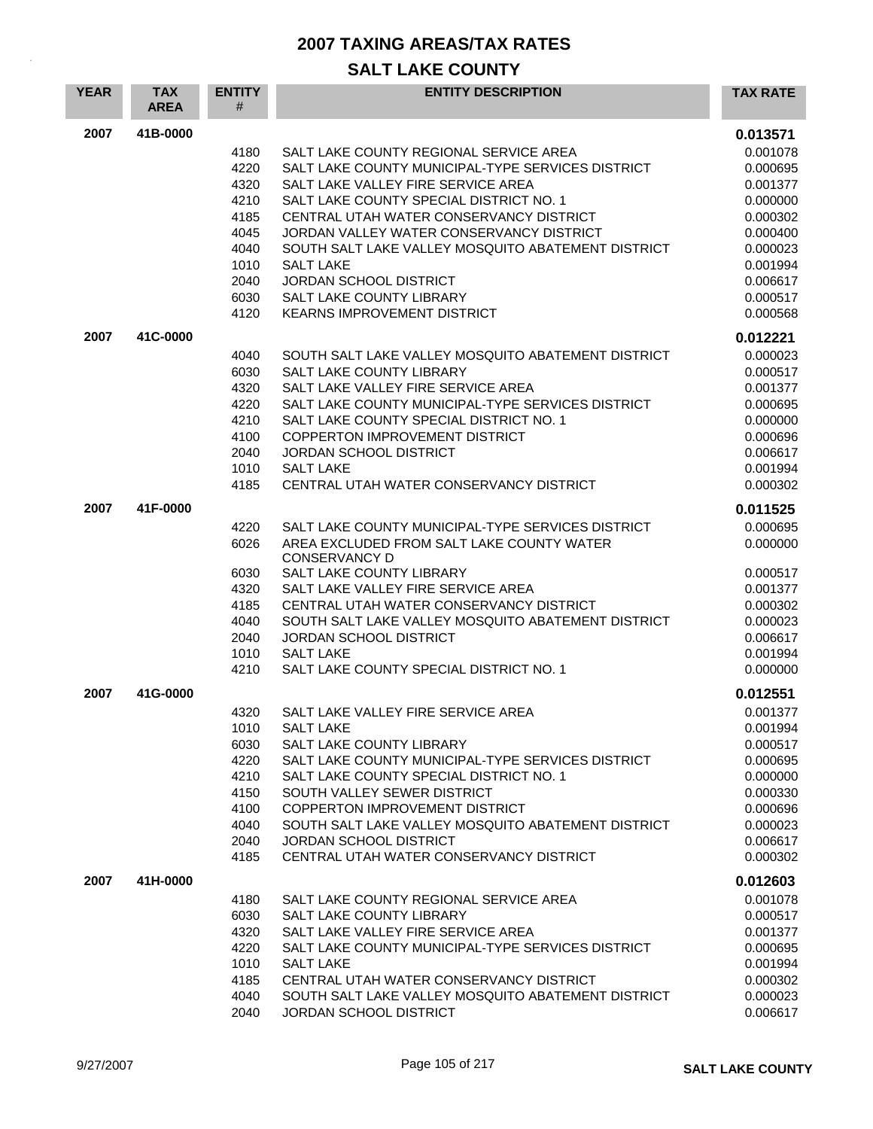| <b>YEAR</b> | <b>TAX</b><br><b>AREA</b> | <b>ENTITY</b><br># | <b>ENTITY DESCRIPTION</b>                                                           | <b>TAX RATE</b>      |
|-------------|---------------------------|--------------------|-------------------------------------------------------------------------------------|----------------------|
| 2007        | 41B-0000                  |                    |                                                                                     | 0.013571             |
|             |                           | 4180               | SALT LAKE COUNTY REGIONAL SERVICE AREA                                              | 0.001078             |
|             |                           | 4220               | SALT LAKE COUNTY MUNICIPAL-TYPE SERVICES DISTRICT                                   | 0.000695             |
|             |                           | 4320               | SALT LAKE VALLEY FIRE SERVICE AREA                                                  | 0.001377             |
|             |                           | 4210               | SALT LAKE COUNTY SPECIAL DISTRICT NO. 1                                             | 0.000000             |
|             |                           | 4185<br>4045       | CENTRAL UTAH WATER CONSERVANCY DISTRICT<br>JORDAN VALLEY WATER CONSERVANCY DISTRICT | 0.000302<br>0.000400 |
|             |                           | 4040               | SOUTH SALT LAKE VALLEY MOSQUITO ABATEMENT DISTRICT                                  | 0.000023             |
|             |                           | 1010               | <b>SALT LAKE</b>                                                                    | 0.001994             |
|             |                           | 2040               | <b>JORDAN SCHOOL DISTRICT</b>                                                       | 0.006617             |
|             |                           | 6030               | SALT LAKE COUNTY LIBRARY                                                            | 0.000517             |
|             |                           | 4120               | <b>KEARNS IMPROVEMENT DISTRICT</b>                                                  | 0.000568             |
| 2007        | 41C-0000                  |                    |                                                                                     | 0.012221             |
|             |                           | 4040               | SOUTH SALT LAKE VALLEY MOSQUITO ABATEMENT DISTRICT                                  | 0.000023             |
|             |                           | 6030               | SALT LAKE COUNTY LIBRARY                                                            | 0.000517             |
|             |                           | 4320               | SALT LAKE VALLEY FIRE SERVICE AREA                                                  | 0.001377             |
|             |                           | 4220               | SALT LAKE COUNTY MUNICIPAL-TYPE SERVICES DISTRICT                                   | 0.000695             |
|             |                           | 4210               | SALT LAKE COUNTY SPECIAL DISTRICT NO. 1                                             | 0.000000             |
|             |                           | 4100<br>2040       | <b>COPPERTON IMPROVEMENT DISTRICT</b><br><b>JORDAN SCHOOL DISTRICT</b>              | 0.000696<br>0.006617 |
|             |                           | 1010               | <b>SALT LAKE</b>                                                                    | 0.001994             |
|             |                           | 4185               | CENTRAL UTAH WATER CONSERVANCY DISTRICT                                             | 0.000302             |
| 2007        | 41F-0000                  |                    |                                                                                     | 0.011525             |
|             |                           | 4220               | SALT LAKE COUNTY MUNICIPAL-TYPE SERVICES DISTRICT                                   | 0.000695             |
|             |                           | 6026               | AREA EXCLUDED FROM SALT LAKE COUNTY WATER<br><b>CONSERVANCY D</b>                   | 0.000000             |
|             |                           | 6030               | SALT LAKE COUNTY LIBRARY                                                            | 0.000517             |
|             |                           | 4320               | SALT LAKE VALLEY FIRE SERVICE AREA                                                  | 0.001377             |
|             |                           | 4185               | CENTRAL UTAH WATER CONSERVANCY DISTRICT                                             | 0.000302             |
|             |                           | 4040               | SOUTH SALT LAKE VALLEY MOSQUITO ABATEMENT DISTRICT                                  | 0.000023             |
|             |                           | 2040<br>1010       | <b>JORDAN SCHOOL DISTRICT</b><br><b>SALT LAKE</b>                                   | 0.006617<br>0.001994 |
|             |                           | 4210               | SALT LAKE COUNTY SPECIAL DISTRICT NO. 1                                             | 0.000000             |
| 2007        | 41G-0000                  |                    |                                                                                     |                      |
|             |                           | 4320               | SALT LAKE VALLEY FIRE SERVICE AREA                                                  | 0.012551<br>0.001377 |
|             |                           | 1010               | <b>SALT LAKE</b>                                                                    | 0.001994             |
|             |                           | 6030               | SALT LAKE COUNTY LIBRARY                                                            | 0.000517             |
|             |                           | 4220               | SALT LAKE COUNTY MUNICIPAL-TYPE SERVICES DISTRICT                                   | 0.000695             |
|             |                           | 4210               | SALT LAKE COUNTY SPECIAL DISTRICT NO. 1                                             | 0.000000             |
|             |                           | 4150               | SOUTH VALLEY SEWER DISTRICT                                                         | 0.000330             |
|             |                           | 4100               | COPPERTON IMPROVEMENT DISTRICT                                                      | 0.000696             |
|             |                           | 4040               | SOUTH SALT LAKE VALLEY MOSQUITO ABATEMENT DISTRICT                                  | 0.000023             |
|             |                           | 2040               | JORDAN SCHOOL DISTRICT<br>CENTRAL UTAH WATER CONSERVANCY DISTRICT                   | 0.006617             |
|             |                           | 4185               |                                                                                     | 0.000302             |
| 2007        | 41H-0000                  |                    |                                                                                     | 0.012603             |
|             |                           | 4180               | SALT LAKE COUNTY REGIONAL SERVICE AREA                                              | 0.001078             |
|             |                           | 6030<br>4320       | SALT LAKE COUNTY LIBRARY<br>SALT LAKE VALLEY FIRE SERVICE AREA                      | 0.000517<br>0.001377 |
|             |                           | 4220               | SALT LAKE COUNTY MUNICIPAL-TYPE SERVICES DISTRICT                                   | 0.000695             |
|             |                           | 1010               | <b>SALT LAKE</b>                                                                    | 0.001994             |
|             |                           | 4185               | CENTRAL UTAH WATER CONSERVANCY DISTRICT                                             | 0.000302             |
|             |                           | 4040               | SOUTH SALT LAKE VALLEY MOSQUITO ABATEMENT DISTRICT                                  | 0.000023             |
|             |                           | 2040               | JORDAN SCHOOL DISTRICT                                                              | 0.006617             |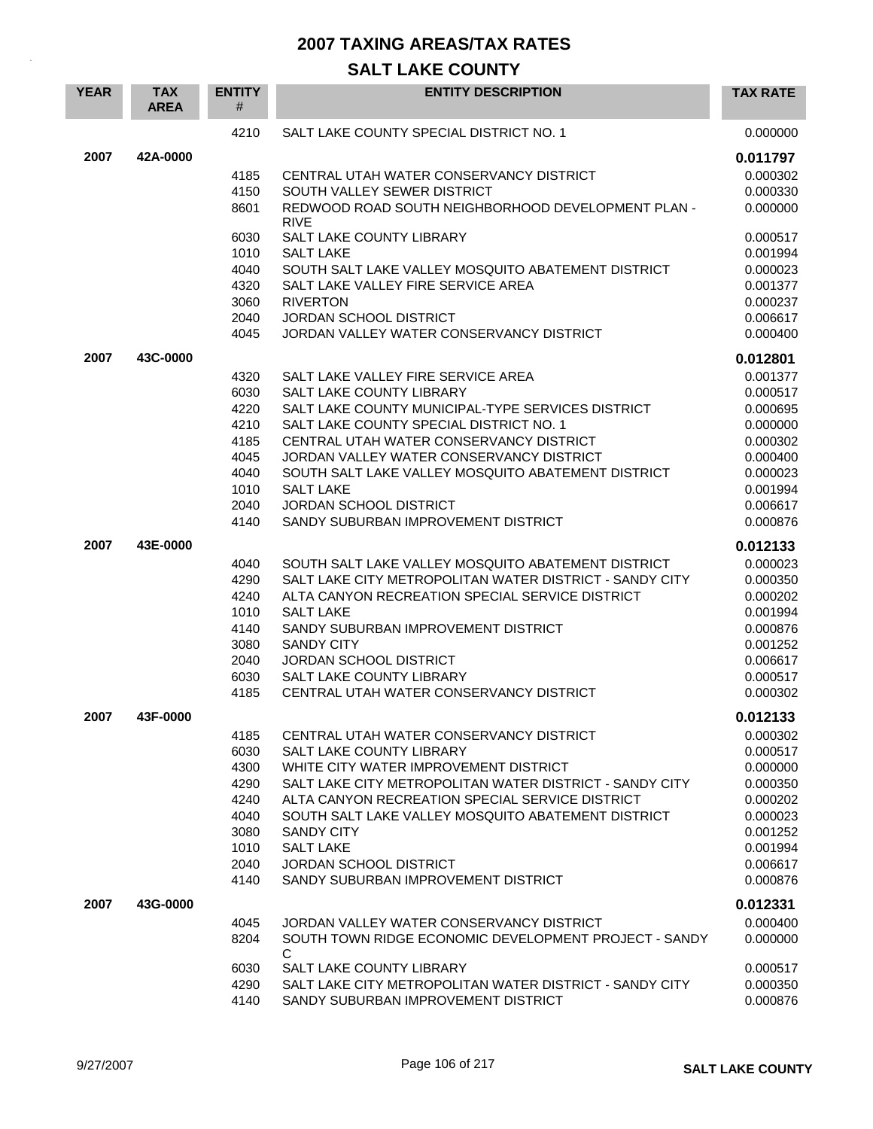| <b>YEAR</b> | <b>TAX</b><br><b>AREA</b> | <b>ENTITY</b><br># | <b>ENTITY DESCRIPTION</b>                                  | <b>TAX RATE</b> |
|-------------|---------------------------|--------------------|------------------------------------------------------------|-----------------|
|             |                           | 4210               | SALT LAKE COUNTY SPECIAL DISTRICT NO. 1                    | 0.000000        |
| 2007        | 42A-0000                  |                    |                                                            | 0.011797        |
|             |                           | 4185               | CENTRAL UTAH WATER CONSERVANCY DISTRICT                    | 0.000302        |
|             |                           | 4150               | SOUTH VALLEY SEWER DISTRICT                                | 0.000330        |
|             |                           | 8601               | REDWOOD ROAD SOUTH NEIGHBORHOOD DEVELOPMENT PLAN -         | 0.000000        |
|             |                           | 6030               | <b>RIVE</b><br>SALT LAKE COUNTY LIBRARY                    | 0.000517        |
|             |                           | 1010               | <b>SALT LAKE</b>                                           | 0.001994        |
|             |                           | 4040               | SOUTH SALT LAKE VALLEY MOSQUITO ABATEMENT DISTRICT         | 0.000023        |
|             |                           | 4320               | SALT LAKE VALLEY FIRE SERVICE AREA                         | 0.001377        |
|             |                           | 3060               | <b>RIVERTON</b>                                            | 0.000237        |
|             |                           | 2040               | <b>JORDAN SCHOOL DISTRICT</b>                              | 0.006617        |
|             |                           | 4045               | JORDAN VALLEY WATER CONSERVANCY DISTRICT                   | 0.000400        |
| 2007        | 43C-0000                  |                    |                                                            | 0.012801        |
|             |                           | 4320               | SALT LAKE VALLEY FIRE SERVICE AREA                         | 0.001377        |
|             |                           | 6030               | <b>SALT LAKE COUNTY LIBRARY</b>                            | 0.000517        |
|             |                           | 4220               | SALT LAKE COUNTY MUNICIPAL-TYPE SERVICES DISTRICT          | 0.000695        |
|             |                           | 4210               | SALT LAKE COUNTY SPECIAL DISTRICT NO. 1                    | 0.000000        |
|             |                           | 4185               | CENTRAL UTAH WATER CONSERVANCY DISTRICT                    | 0.000302        |
|             |                           | 4045               | JORDAN VALLEY WATER CONSERVANCY DISTRICT                   | 0.000400        |
|             |                           | 4040               | SOUTH SALT LAKE VALLEY MOSQUITO ABATEMENT DISTRICT         | 0.000023        |
|             |                           | 1010               | <b>SALT LAKE</b>                                           | 0.001994        |
|             |                           | 2040               | <b>JORDAN SCHOOL DISTRICT</b>                              | 0.006617        |
|             |                           | 4140               | SANDY SUBURBAN IMPROVEMENT DISTRICT                        | 0.000876        |
| 2007        | 43E-0000                  |                    |                                                            | 0.012133        |
|             |                           | 4040               | SOUTH SALT LAKE VALLEY MOSQUITO ABATEMENT DISTRICT         | 0.000023        |
|             |                           | 4290               | SALT LAKE CITY METROPOLITAN WATER DISTRICT - SANDY CITY    | 0.000350        |
|             |                           | 4240               | ALTA CANYON RECREATION SPECIAL SERVICE DISTRICT            | 0.000202        |
|             |                           | 1010               | <b>SALT LAKE</b>                                           | 0.001994        |
|             |                           | 4140               | SANDY SUBURBAN IMPROVEMENT DISTRICT                        | 0.000876        |
|             |                           | 3080               | <b>SANDY CITY</b>                                          | 0.001252        |
|             |                           | 2040               | <b>JORDAN SCHOOL DISTRICT</b>                              | 0.006617        |
|             |                           | 6030               | SALT LAKE COUNTY LIBRARY                                   | 0.000517        |
|             |                           | 4185               | CENTRAL UTAH WATER CONSERVANCY DISTRICT                    | 0.000302        |
| 2007        | 43F-0000                  |                    |                                                            | 0.012133        |
|             |                           |                    |                                                            |                 |
|             |                           | 4185               | CENTRAL UTAH WATER CONSERVANCY DISTRICT                    | 0.000302        |
|             |                           | 6030               | SALT LAKE COUNTY LIBRARY                                   | 0.000517        |
|             |                           | 4300               | WHITE CITY WATER IMPROVEMENT DISTRICT                      | 0.000000        |
|             |                           | 4290               | SALT LAKE CITY METROPOLITAN WATER DISTRICT - SANDY CITY    | 0.000350        |
|             |                           | 4240               | ALTA CANYON RECREATION SPECIAL SERVICE DISTRICT            | 0.000202        |
|             |                           | 4040               | SOUTH SALT LAKE VALLEY MOSQUITO ABATEMENT DISTRICT         | 0.000023        |
|             |                           | 3080               | <b>SANDY CITY</b>                                          | 0.001252        |
|             |                           | 1010               | <b>SALT LAKE</b>                                           | 0.001994        |
|             |                           | 2040               | <b>JORDAN SCHOOL DISTRICT</b>                              | 0.006617        |
|             |                           | 4140               | SANDY SUBURBAN IMPROVEMENT DISTRICT                        | 0.000876        |
| 2007        | 43G-0000                  |                    |                                                            | 0.012331        |
|             |                           | 4045               | JORDAN VALLEY WATER CONSERVANCY DISTRICT                   | 0.000400        |
|             |                           | 8204               | SOUTH TOWN RIDGE ECONOMIC DEVELOPMENT PROJECT - SANDY<br>C | 0.000000        |
|             |                           | 6030               | SALT LAKE COUNTY LIBRARY                                   | 0.000517        |
|             |                           | 4290               | SALT LAKE CITY METROPOLITAN WATER DISTRICT - SANDY CITY    | 0.000350        |
|             |                           | 4140               | SANDY SUBURBAN IMPROVEMENT DISTRICT                        | 0.000876        |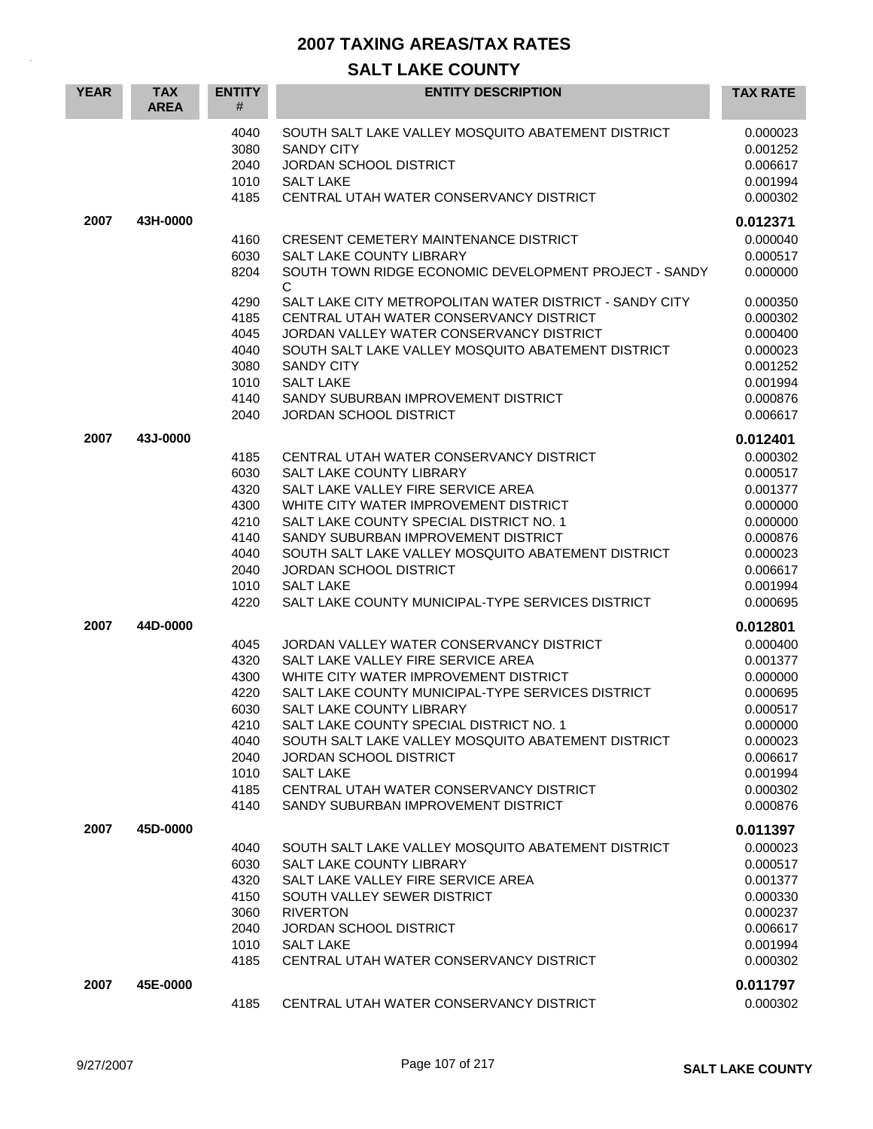| <b>YEAR</b> | <b>TAX</b><br><b>AREA</b> | <b>ENTITY</b><br>#                                                   | <b>ENTITY DESCRIPTION</b>                                                                                                                                                                                                                                                                                                                               | <b>TAX RATE</b>                                                                                          |
|-------------|---------------------------|----------------------------------------------------------------------|---------------------------------------------------------------------------------------------------------------------------------------------------------------------------------------------------------------------------------------------------------------------------------------------------------------------------------------------------------|----------------------------------------------------------------------------------------------------------|
|             |                           | 4040<br>3080<br>2040<br>1010<br>4185                                 | SOUTH SALT LAKE VALLEY MOSQUITO ABATEMENT DISTRICT<br><b>SANDY CITY</b><br><b>JORDAN SCHOOL DISTRICT</b><br><b>SALT LAKE</b><br>CENTRAL UTAH WATER CONSERVANCY DISTRICT                                                                                                                                                                                 | 0.000023<br>0.001252<br>0.006617<br>0.001994<br>0.000302                                                 |
| 2007        | 43H-0000                  |                                                                      |                                                                                                                                                                                                                                                                                                                                                         | 0.012371                                                                                                 |
|             |                           | 4160<br>6030<br>8204                                                 | <b>CRESENT CEMETERY MAINTENANCE DISTRICT</b><br>SALT LAKE COUNTY LIBRARY<br>SOUTH TOWN RIDGE ECONOMIC DEVELOPMENT PROJECT - SANDY<br>С                                                                                                                                                                                                                  | 0.000040<br>0.000517<br>0.000000                                                                         |
|             |                           | 4290<br>4185<br>4045<br>4040<br>3080<br>1010<br>4140                 | SALT LAKE CITY METROPOLITAN WATER DISTRICT - SANDY CITY<br>CENTRAL UTAH WATER CONSERVANCY DISTRICT<br>JORDAN VALLEY WATER CONSERVANCY DISTRICT<br>SOUTH SALT LAKE VALLEY MOSQUITO ABATEMENT DISTRICT<br><b>SANDY CITY</b><br><b>SALT LAKE</b><br>SANDY SUBURBAN IMPROVEMENT DISTRICT                                                                    | 0.000350<br>0.000302<br>0.000400<br>0.000023<br>0.001252<br>0.001994<br>0.000876                         |
|             |                           | 2040                                                                 | <b>JORDAN SCHOOL DISTRICT</b>                                                                                                                                                                                                                                                                                                                           | 0.006617                                                                                                 |
| 2007        | 43J-0000                  | 4185<br>6030                                                         | CENTRAL UTAH WATER CONSERVANCY DISTRICT<br><b>SALT LAKE COUNTY LIBRARY</b>                                                                                                                                                                                                                                                                              | 0.012401<br>0.000302<br>0.000517                                                                         |
|             |                           | 4320<br>4300<br>4210<br>4140<br>4040<br>2040                         | SALT LAKE VALLEY FIRE SERVICE AREA<br>WHITE CITY WATER IMPROVEMENT DISTRICT<br>SALT LAKE COUNTY SPECIAL DISTRICT NO. 1<br>SANDY SUBURBAN IMPROVEMENT DISTRICT<br>SOUTH SALT LAKE VALLEY MOSQUITO ABATEMENT DISTRICT<br><b>JORDAN SCHOOL DISTRICT</b>                                                                                                    | 0.001377<br>0.000000<br>0.000000<br>0.000876<br>0.000023<br>0.006617                                     |
|             |                           | 1010<br>4220                                                         | <b>SALT LAKE</b><br>SALT LAKE COUNTY MUNICIPAL-TYPE SERVICES DISTRICT                                                                                                                                                                                                                                                                                   | 0.001994<br>0.000695                                                                                     |
| 2007        | 44D-0000                  | 4045<br>4320                                                         | JORDAN VALLEY WATER CONSERVANCY DISTRICT<br>SALT LAKE VALLEY FIRE SERVICE AREA                                                                                                                                                                                                                                                                          | 0.012801<br>0.000400<br>0.001377                                                                         |
|             |                           | 4300<br>4220<br>6030<br>4210<br>4040<br>2040<br>1010<br>4185<br>4140 | WHITE CITY WATER IMPROVEMENT DISTRICT<br>SALT LAKE COUNTY MUNICIPAL-TYPE SERVICES DISTRICT<br>SALT LAKE COUNTY LIBRARY<br>SALT LAKE COUNTY SPECIAL DISTRICT NO. 1<br>SOUTH SALT LAKE VALLEY MOSQUITO ABATEMENT DISTRICT<br>JORDAN SCHOOL DISTRICT<br><b>SALT LAKE</b><br>CENTRAL UTAH WATER CONSERVANCY DISTRICT<br>SANDY SUBURBAN IMPROVEMENT DISTRICT | 0.000000<br>0.000695<br>0.000517<br>0.000000<br>0.000023<br>0.006617<br>0.001994<br>0.000302<br>0.000876 |
| 2007        | 45D-0000                  |                                                                      |                                                                                                                                                                                                                                                                                                                                                         | 0.011397                                                                                                 |
|             |                           | 4040<br>6030<br>4320<br>4150<br>3060<br>2040<br>1010<br>4185         | SOUTH SALT LAKE VALLEY MOSQUITO ABATEMENT DISTRICT<br>SALT LAKE COUNTY LIBRARY<br>SALT LAKE VALLEY FIRE SERVICE AREA<br>SOUTH VALLEY SEWER DISTRICT<br><b>RIVERTON</b><br><b>JORDAN SCHOOL DISTRICT</b><br><b>SALT LAKE</b><br>CENTRAL UTAH WATER CONSERVANCY DISTRICT                                                                                  | 0.000023<br>0.000517<br>0.001377<br>0.000330<br>0.000237<br>0.006617<br>0.001994<br>0.000302             |
| 2007        | 45E-0000                  | 4185                                                                 | CENTRAL UTAH WATER CONSERVANCY DISTRICT                                                                                                                                                                                                                                                                                                                 | 0.011797<br>0.000302                                                                                     |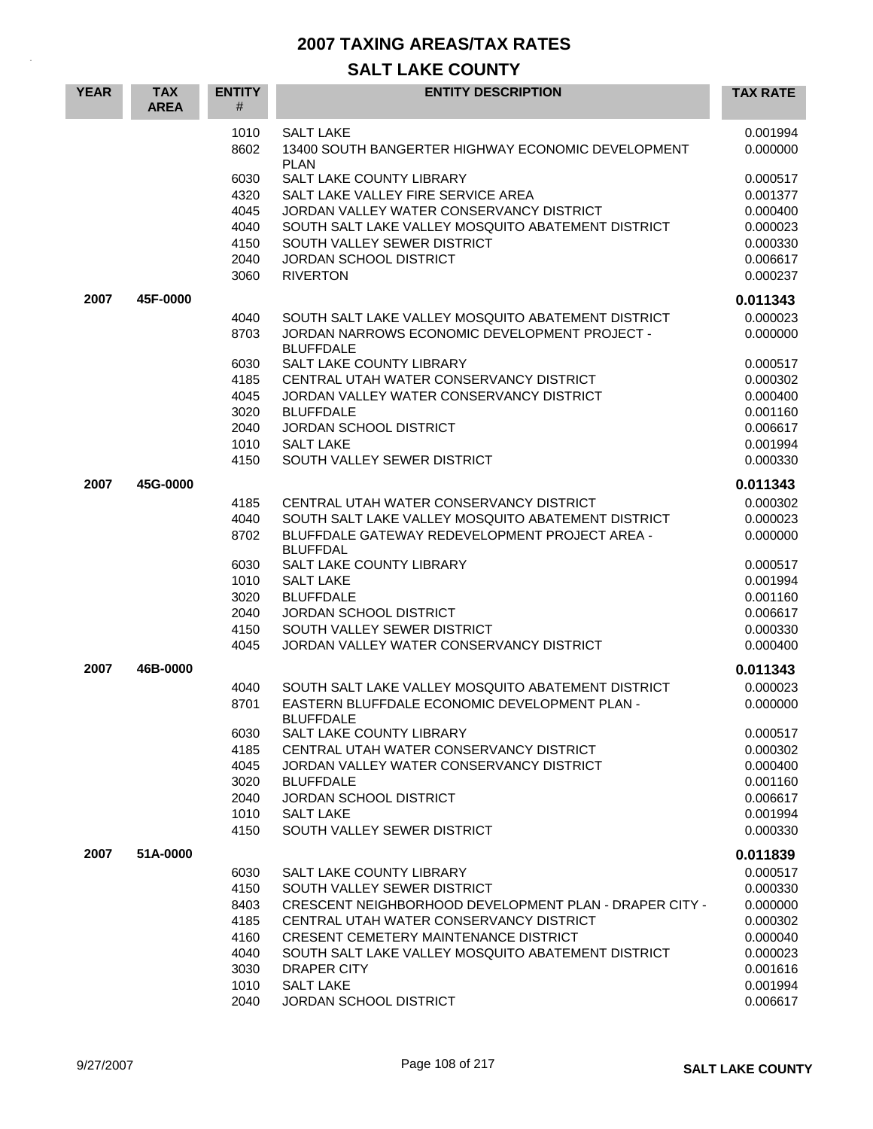| <b>YEAR</b> | <b>TAX</b><br><b>AREA</b> | <b>ENTITY</b><br># | <b>ENTITY DESCRIPTION</b>                                                                           | <b>TAX RATE</b>      |
|-------------|---------------------------|--------------------|-----------------------------------------------------------------------------------------------------|----------------------|
|             |                           | 1010<br>8602       | <b>SALT LAKE</b><br>13400 SOUTH BANGERTER HIGHWAY ECONOMIC DEVELOPMENT                              | 0.001994<br>0.000000 |
|             |                           |                    | PI AN                                                                                               |                      |
|             |                           | 6030               | <b>SALT LAKE COUNTY LIBRARY</b>                                                                     | 0.000517             |
|             |                           | 4320               | SALT LAKE VALLEY FIRE SERVICE AREA                                                                  | 0.001377             |
|             |                           | 4045               | JORDAN VALLEY WATER CONSERVANCY DISTRICT                                                            | 0.000400             |
|             |                           | 4040<br>4150       | SOUTH SALT LAKE VALLEY MOSQUITO ABATEMENT DISTRICT<br>SOUTH VALLEY SEWER DISTRICT                   | 0.000023<br>0.000330 |
|             |                           | 2040               | <b>JORDAN SCHOOL DISTRICT</b>                                                                       | 0.006617             |
|             |                           | 3060               | <b>RIVERTON</b>                                                                                     | 0.000237             |
| 2007        | 45F-0000                  |                    |                                                                                                     | 0.011343             |
|             |                           | 4040               | SOUTH SALT LAKE VALLEY MOSQUITO ABATEMENT DISTRICT                                                  | 0.000023             |
|             |                           | 8703               | JORDAN NARROWS ECONOMIC DEVELOPMENT PROJECT -<br><b>BLUFFDALE</b>                                   | 0.000000             |
|             |                           | 6030               | <b>SALT LAKE COUNTY LIBRARY</b>                                                                     | 0.000517             |
|             |                           | 4185               | CENTRAL UTAH WATER CONSERVANCY DISTRICT                                                             | 0.000302             |
|             |                           | 4045               | JORDAN VALLEY WATER CONSERVANCY DISTRICT                                                            | 0.000400             |
|             |                           | 3020               | <b>BLUFFDALE</b>                                                                                    | 0.001160             |
|             |                           | 2040               | <b>JORDAN SCHOOL DISTRICT</b>                                                                       | 0.006617             |
|             |                           | 1010               | <b>SALT LAKE</b>                                                                                    | 0.001994             |
|             |                           | 4150               | SOUTH VALLEY SEWER DISTRICT                                                                         | 0.000330             |
| 2007        | 45G-0000                  |                    |                                                                                                     | 0.011343             |
|             |                           | 4185               | CENTRAL UTAH WATER CONSERVANCY DISTRICT                                                             | 0.000302             |
|             |                           | 4040               | SOUTH SALT LAKE VALLEY MOSQUITO ABATEMENT DISTRICT                                                  | 0.000023             |
|             |                           | 8702               | BLUFFDALE GATEWAY REDEVELOPMENT PROJECT AREA -<br><b>BLUFFDAL</b>                                   | 0.000000             |
|             |                           | 6030               | <b>SALT LAKE COUNTY LIBRARY</b>                                                                     | 0.000517             |
|             |                           | 1010               | <b>SALT LAKE</b>                                                                                    | 0.001994             |
|             |                           | 3020<br>2040       | <b>BLUFFDALE</b>                                                                                    | 0.001160<br>0.006617 |
|             |                           | 4150               | <b>JORDAN SCHOOL DISTRICT</b><br>SOUTH VALLEY SEWER DISTRICT                                        | 0.000330             |
|             |                           | 4045               | JORDAN VALLEY WATER CONSERVANCY DISTRICT                                                            | 0.000400             |
|             |                           |                    |                                                                                                     |                      |
| 2007        | 46B-0000                  |                    |                                                                                                     | 0.011343             |
|             |                           | 4040<br>8701       | SOUTH SALT LAKE VALLEY MOSQUITO ABATEMENT DISTRICT<br>EASTERN BLUFFDALE ECONOMIC DEVELOPMENT PLAN - | 0.000023<br>0.000000 |
|             |                           |                    | <b>BLUFFDALE</b>                                                                                    |                      |
|             |                           | 6030<br>4185       | SALT LAKE COUNTY LIBRARY<br>CENTRAL UTAH WATER CONSERVANCY DISTRICT                                 | 0.000517<br>0.000302 |
|             |                           | 4045               | JORDAN VALLEY WATER CONSERVANCY DISTRICT                                                            | 0.000400             |
|             |                           | 3020               | <b>BLUFFDALE</b>                                                                                    | 0.001160             |
|             |                           | 2040               | JORDAN SCHOOL DISTRICT                                                                              | 0.006617             |
|             |                           | 1010               | <b>SALT LAKE</b>                                                                                    | 0.001994             |
|             |                           | 4150               | SOUTH VALLEY SEWER DISTRICT                                                                         | 0.000330             |
| 2007        | 51A-0000                  |                    |                                                                                                     | 0.011839             |
|             |                           | 6030               | SALT LAKE COUNTY LIBRARY                                                                            | 0.000517             |
|             |                           | 4150               | SOUTH VALLEY SEWER DISTRICT                                                                         | 0.000330             |
|             |                           | 8403               | CRESCENT NEIGHBORHOOD DEVELOPMENT PLAN - DRAPER CITY -                                              | 0.000000             |
|             |                           | 4185               | CENTRAL UTAH WATER CONSERVANCY DISTRICT                                                             | 0.000302             |
|             |                           | 4160               | CRESENT CEMETERY MAINTENANCE DISTRICT                                                               | 0.000040             |
|             |                           | 4040               | SOUTH SALT LAKE VALLEY MOSQUITO ABATEMENT DISTRICT                                                  | 0.000023             |
|             |                           | 3030<br>1010       | DRAPER CITY<br><b>SALT LAKE</b>                                                                     | 0.001616<br>0.001994 |
|             |                           | 2040               | <b>JORDAN SCHOOL DISTRICT</b>                                                                       | 0.006617             |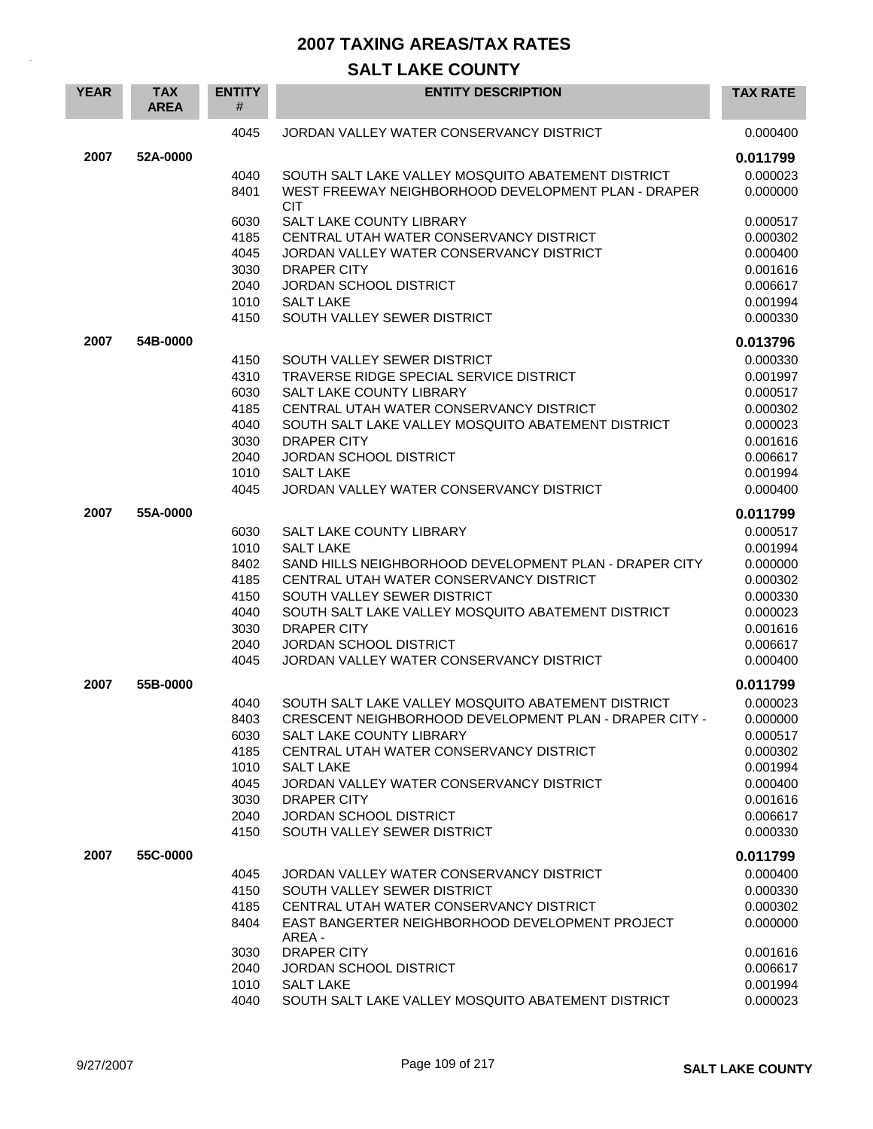| <b>YEAR</b> | <b>TAX</b><br><b>AREA</b> | <b>ENTITY</b><br># | <b>ENTITY DESCRIPTION</b>                                                                  | <b>TAX RATE</b>      |
|-------------|---------------------------|--------------------|--------------------------------------------------------------------------------------------|----------------------|
|             |                           | 4045               | JORDAN VALLEY WATER CONSERVANCY DISTRICT                                                   | 0.000400             |
| 2007        | 52A-0000                  |                    |                                                                                            | 0.011799             |
|             |                           | 4040               | SOUTH SALT LAKE VALLEY MOSQUITO ABATEMENT DISTRICT                                         | 0.000023             |
|             |                           | 8401               | WEST FREEWAY NEIGHBORHOOD DEVELOPMENT PLAN - DRAPER<br><b>CIT</b>                          | 0.000000             |
|             |                           | 6030               | <b>SALT LAKE COUNTY LIBRARY</b>                                                            | 0.000517             |
|             |                           | 4185               | CENTRAL UTAH WATER CONSERVANCY DISTRICT                                                    | 0.000302             |
|             |                           | 4045               | JORDAN VALLEY WATER CONSERVANCY DISTRICT                                                   | 0.000400             |
|             |                           | 3030<br>2040       | <b>DRAPER CITY</b><br><b>JORDAN SCHOOL DISTRICT</b>                                        | 0.001616<br>0.006617 |
|             |                           | 1010               | <b>SALT LAKE</b>                                                                           | 0.001994             |
|             |                           | 4150               | SOUTH VALLEY SEWER DISTRICT                                                                | 0.000330             |
| 2007        | 54B-0000                  |                    |                                                                                            | 0.013796             |
|             |                           | 4150               | SOUTH VALLEY SEWER DISTRICT                                                                | 0.000330             |
|             |                           | 4310               | TRAVERSE RIDGE SPECIAL SERVICE DISTRICT                                                    | 0.001997             |
|             |                           | 6030               | <b>SALT LAKE COUNTY LIBRARY</b>                                                            | 0.000517             |
|             |                           | 4185               | CENTRAL UTAH WATER CONSERVANCY DISTRICT                                                    | 0.000302             |
|             |                           | 4040               | SOUTH SALT LAKE VALLEY MOSQUITO ABATEMENT DISTRICT                                         | 0.000023             |
|             |                           | 3030               | <b>DRAPER CITY</b><br><b>JORDAN SCHOOL DISTRICT</b>                                        | 0.001616             |
|             |                           | 2040<br>1010       | <b>SALT LAKE</b>                                                                           | 0.006617<br>0.001994 |
|             |                           | 4045               | JORDAN VALLEY WATER CONSERVANCY DISTRICT                                                   | 0.000400             |
| 2007        | 55A-0000                  |                    |                                                                                            | 0.011799             |
|             |                           | 6030               | SALT LAKE COUNTY LIBRARY                                                                   | 0.000517             |
|             |                           | 1010               | <b>SALT LAKE</b>                                                                           | 0.001994             |
|             |                           | 8402               | SAND HILLS NEIGHBORHOOD DEVELOPMENT PLAN - DRAPER CITY                                     | 0.000000             |
|             |                           | 4185               | CENTRAL UTAH WATER CONSERVANCY DISTRICT                                                    | 0.000302             |
|             |                           | 4150               | SOUTH VALLEY SEWER DISTRICT                                                                | 0.000330             |
|             |                           | 4040               | SOUTH SALT LAKE VALLEY MOSQUITO ABATEMENT DISTRICT                                         | 0.000023             |
|             |                           | 3030<br>2040       | <b>DRAPER CITY</b><br><b>JORDAN SCHOOL DISTRICT</b>                                        | 0.001616<br>0.006617 |
|             |                           | 4045               | JORDAN VALLEY WATER CONSERVANCY DISTRICT                                                   | 0.000400             |
| 2007        | 55B-0000                  |                    |                                                                                            | 0.011799             |
|             |                           | 4040               | SOUTH SALT LAKE VALLEY MOSQUITO ABATEMENT DISTRICT                                         | 0.000023             |
|             |                           | 8403               | CRESCENT NEIGHBORHOOD DEVELOPMENT PLAN - DRAPER CITY -                                     | 0.000000             |
|             |                           | 6030               | SALT LAKE COUNTY LIBRARY                                                                   | 0.000517             |
|             |                           | 4185               | CENTRAL UTAH WATER CONSERVANCY DISTRICT                                                    | 0.000302             |
|             |                           | 1010               | <b>SALT LAKE</b>                                                                           | 0.001994             |
|             |                           | 4045               | JORDAN VALLEY WATER CONSERVANCY DISTRICT                                                   | 0.000400             |
|             |                           | 3030               | <b>DRAPER CITY</b>                                                                         | 0.001616             |
|             |                           | 2040               | JORDAN SCHOOL DISTRICT                                                                     | 0.006617             |
|             |                           | 4150               | SOUTH VALLEY SEWER DISTRICT                                                                | 0.000330             |
| 2007        | 55C-0000                  |                    |                                                                                            | 0.011799             |
|             |                           | 4045               | JORDAN VALLEY WATER CONSERVANCY DISTRICT                                                   | 0.000400             |
|             |                           | 4150               | SOUTH VALLEY SEWER DISTRICT                                                                | 0.000330             |
|             |                           | 4185<br>8404       | CENTRAL UTAH WATER CONSERVANCY DISTRICT<br>EAST BANGERTER NEIGHBORHOOD DEVELOPMENT PROJECT | 0.000302<br>0.000000 |
|             |                           |                    | AREA -                                                                                     |                      |
|             |                           | 3030               | DRAPER CITY                                                                                | 0.001616             |
|             |                           | 2040               | <b>JORDAN SCHOOL DISTRICT</b>                                                              | 0.006617             |
|             |                           | 1010               | <b>SALT LAKE</b>                                                                           | 0.001994             |
|             |                           | 4040               | SOUTH SALT LAKE VALLEY MOSQUITO ABATEMENT DISTRICT                                         | 0.000023             |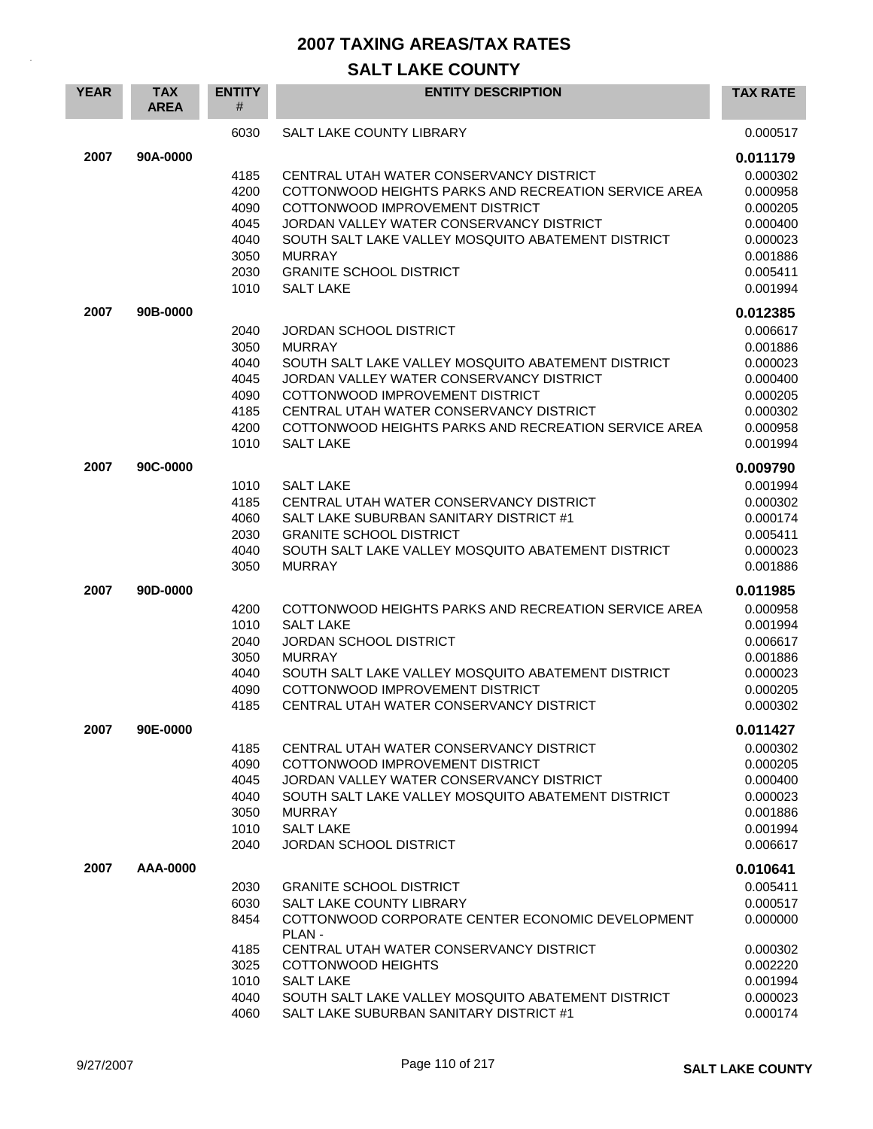| <b>YEAR</b> | <b>TAX</b><br><b>AREA</b> | <b>ENTITY</b><br>#                                           | <b>ENTITY DESCRIPTION</b>                                                                                                                                                                                                                                                                                                   | <b>TAX RATE</b>                                                                                          |
|-------------|---------------------------|--------------------------------------------------------------|-----------------------------------------------------------------------------------------------------------------------------------------------------------------------------------------------------------------------------------------------------------------------------------------------------------------------------|----------------------------------------------------------------------------------------------------------|
|             |                           | 6030                                                         | <b>SALT LAKE COUNTY LIBRARY</b>                                                                                                                                                                                                                                                                                             | 0.000517                                                                                                 |
| 2007        | 90A-0000                  | 4185<br>4200<br>4090<br>4045<br>4040<br>3050<br>2030<br>1010 | CENTRAL UTAH WATER CONSERVANCY DISTRICT<br>COTTONWOOD HEIGHTS PARKS AND RECREATION SERVICE AREA<br>COTTONWOOD IMPROVEMENT DISTRICT<br>JORDAN VALLEY WATER CONSERVANCY DISTRICT<br>SOUTH SALT LAKE VALLEY MOSQUITO ABATEMENT DISTRICT<br><b>MURRAY</b><br><b>GRANITE SCHOOL DISTRICT</b><br><b>SALT LAKE</b>                 | 0.011179<br>0.000302<br>0.000958<br>0.000205<br>0.000400<br>0.000023<br>0.001886<br>0.005411<br>0.001994 |
| 2007        | 90B-0000                  | 2040<br>3050<br>4040<br>4045<br>4090<br>4185<br>4200<br>1010 | <b>JORDAN SCHOOL DISTRICT</b><br><b>MURRAY</b><br>SOUTH SALT LAKE VALLEY MOSQUITO ABATEMENT DISTRICT<br>JORDAN VALLEY WATER CONSERVANCY DISTRICT<br>COTTONWOOD IMPROVEMENT DISTRICT<br>CENTRAL UTAH WATER CONSERVANCY DISTRICT<br>COTTONWOOD HEIGHTS PARKS AND RECREATION SERVICE AREA<br><b>SALT LAKE</b>                  | 0.012385<br>0.006617<br>0.001886<br>0.000023<br>0.000400<br>0.000205<br>0.000302<br>0.000958<br>0.001994 |
| 2007        | 90C-0000                  | 1010<br>4185<br>4060<br>2030<br>4040<br>3050                 | <b>SALT LAKE</b><br>CENTRAL UTAH WATER CONSERVANCY DISTRICT<br>SALT LAKE SUBURBAN SANITARY DISTRICT #1<br><b>GRANITE SCHOOL DISTRICT</b><br>SOUTH SALT LAKE VALLEY MOSQUITO ABATEMENT DISTRICT<br><b>MURRAY</b>                                                                                                             | 0.009790<br>0.001994<br>0.000302<br>0.000174<br>0.005411<br>0.000023<br>0.001886                         |
| 2007        | 90D-0000                  | 4200<br>1010<br>2040<br>3050<br>4040<br>4090<br>4185         | COTTONWOOD HEIGHTS PARKS AND RECREATION SERVICE AREA<br><b>SALT LAKE</b><br><b>JORDAN SCHOOL DISTRICT</b><br><b>MURRAY</b><br>SOUTH SALT LAKE VALLEY MOSQUITO ABATEMENT DISTRICT<br>COTTONWOOD IMPROVEMENT DISTRICT<br>CENTRAL UTAH WATER CONSERVANCY DISTRICT                                                              | 0.011985<br>0.000958<br>0.001994<br>0.006617<br>0.001886<br>0.000023<br>0.000205<br>0.000302             |
| 2007        | 90E-0000                  | 4185<br>4090<br>4045<br>4040<br>3050<br>1010<br>2040         | CENTRAL UTAH WATER CONSERVANCY DISTRICT<br>COTTONWOOD IMPROVEMENT DISTRICT<br>JORDAN VALLEY WATER CONSERVANCY DISTRICT<br>SOUTH SALT LAKE VALLEY MOSQUITO ABATEMENT DISTRICT<br><b>MURRAY</b><br><b>SALT LAKE</b><br>JORDAN SCHOOL DISTRICT                                                                                 | 0.011427<br>0.000302<br>0.000205<br>0.000400<br>0.000023<br>0.001886<br>0.001994<br>0.006617             |
| 2007        | AAA-0000                  | 2030<br>6030<br>8454<br>4185<br>3025<br>1010<br>4040<br>4060 | <b>GRANITE SCHOOL DISTRICT</b><br><b>SALT LAKE COUNTY LIBRARY</b><br>COTTONWOOD CORPORATE CENTER ECONOMIC DEVELOPMENT<br>PLAN-<br>CENTRAL UTAH WATER CONSERVANCY DISTRICT<br><b>COTTONWOOD HEIGHTS</b><br><b>SALT LAKE</b><br>SOUTH SALT LAKE VALLEY MOSQUITO ABATEMENT DISTRICT<br>SALT LAKE SUBURBAN SANITARY DISTRICT #1 | 0.010641<br>0.005411<br>0.000517<br>0.000000<br>0.000302<br>0.002220<br>0.001994<br>0.000023<br>0.000174 |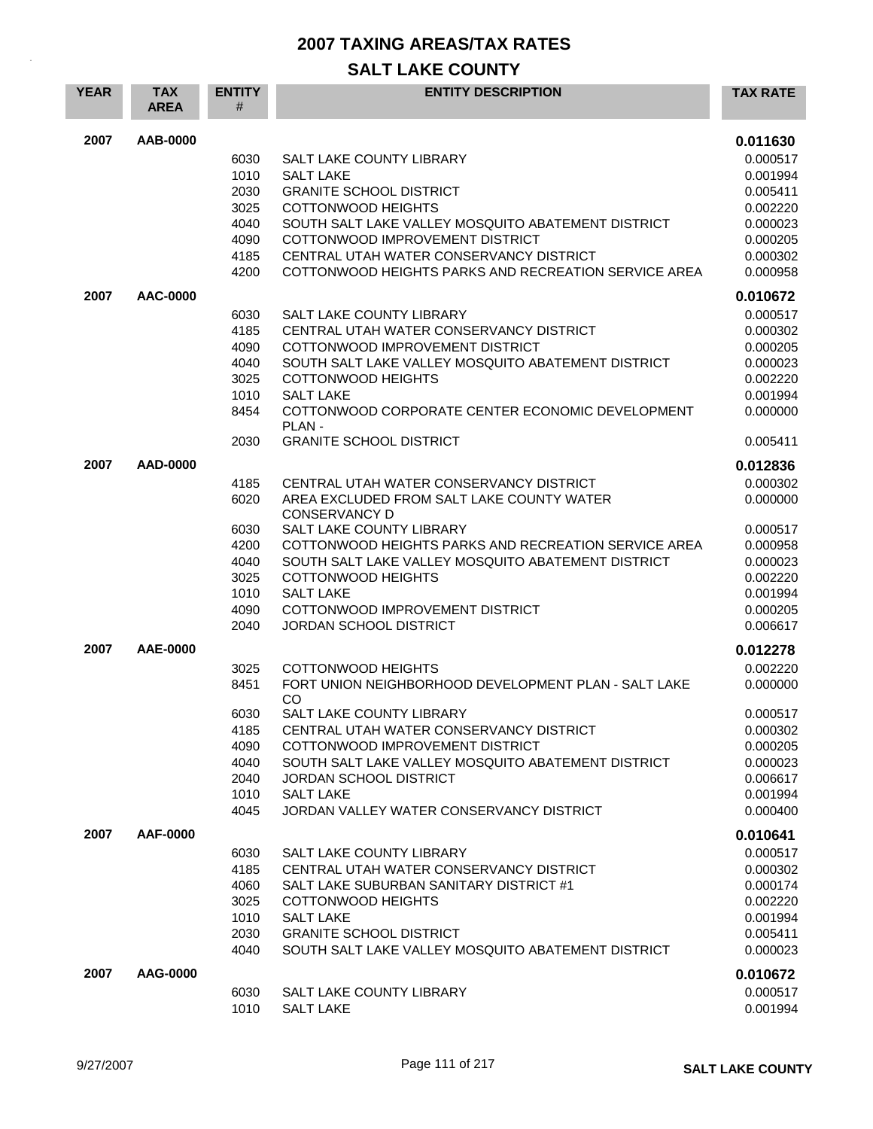| <b>YEAR</b> | <b>TAX</b><br><b>AREA</b> | <b>ENTITY</b><br># | <b>ENTITY DESCRIPTION</b>                                                          | <b>TAX RATE</b>      |
|-------------|---------------------------|--------------------|------------------------------------------------------------------------------------|----------------------|
| 2007        | AAB-0000                  |                    |                                                                                    | 0.011630             |
|             |                           | 6030               | SALT LAKE COUNTY LIBRARY                                                           | 0.000517             |
|             |                           | 1010               | <b>SALT LAKE</b>                                                                   | 0.001994             |
|             |                           | 2030               | <b>GRANITE SCHOOL DISTRICT</b>                                                     | 0.005411             |
|             |                           | 3025               | <b>COTTONWOOD HEIGHTS</b>                                                          | 0.002220             |
|             |                           | 4040               | SOUTH SALT LAKE VALLEY MOSQUITO ABATEMENT DISTRICT                                 | 0.000023             |
|             |                           | 4090               | COTTONWOOD IMPROVEMENT DISTRICT                                                    | 0.000205             |
|             |                           | 4185               | CENTRAL UTAH WATER CONSERVANCY DISTRICT                                            | 0.000302             |
|             |                           | 4200               | COTTONWOOD HEIGHTS PARKS AND RECREATION SERVICE AREA                               | 0.000958             |
| 2007        | AAC-0000                  |                    |                                                                                    | 0.010672             |
|             |                           | 6030               | SALT LAKE COUNTY LIBRARY                                                           | 0.000517             |
|             |                           | 4185               | CENTRAL UTAH WATER CONSERVANCY DISTRICT                                            | 0.000302             |
|             |                           | 4090               | COTTONWOOD IMPROVEMENT DISTRICT                                                    | 0.000205             |
|             |                           | 4040<br>3025       | SOUTH SALT LAKE VALLEY MOSQUITO ABATEMENT DISTRICT<br><b>COTTONWOOD HEIGHTS</b>    | 0.000023<br>0.002220 |
|             |                           | 1010               | <b>SALT LAKE</b>                                                                   | 0.001994             |
|             |                           | 8454               | COTTONWOOD CORPORATE CENTER ECONOMIC DEVELOPMENT                                   | 0.000000             |
|             |                           | 2030               | PLAN-<br><b>GRANITE SCHOOL DISTRICT</b>                                            | 0.005411             |
| 2007        | AAD-0000                  |                    |                                                                                    | 0.012836             |
|             |                           | 4185               | CENTRAL UTAH WATER CONSERVANCY DISTRICT                                            | 0.000302             |
|             |                           | 6020               | AREA EXCLUDED FROM SALT LAKE COUNTY WATER                                          | 0.000000             |
|             |                           |                    | <b>CONSERVANCY D</b>                                                               |                      |
|             |                           | 6030               | <b>SALT LAKE COUNTY LIBRARY</b>                                                    | 0.000517             |
|             |                           | 4200               | COTTONWOOD HEIGHTS PARKS AND RECREATION SERVICE AREA                               | 0.000958             |
|             |                           | 4040               | SOUTH SALT LAKE VALLEY MOSQUITO ABATEMENT DISTRICT                                 | 0.000023             |
|             |                           | 3025               | <b>COTTONWOOD HEIGHTS</b>                                                          | 0.002220             |
|             |                           | 1010               | <b>SALT LAKE</b>                                                                   | 0.001994             |
|             |                           | 4090               | COTTONWOOD IMPROVEMENT DISTRICT                                                    | 0.000205             |
|             |                           | 2040               | <b>JORDAN SCHOOL DISTRICT</b>                                                      | 0.006617             |
| 2007        | AAE-0000                  |                    |                                                                                    | 0.012278             |
|             |                           | 3025               | <b>COTTONWOOD HEIGHTS</b>                                                          | 0.002220             |
|             |                           | 8451               | FORT UNION NEIGHBORHOOD DEVELOPMENT PLAN - SALT LAKE<br>CO                         | 0.000000             |
|             |                           | 6030               | SALT LAKE COUNTY LIBRARY                                                           | 0.000517             |
|             |                           | 4185               | CENTRAL UTAH WATER CONSERVANCY DISTRICT                                            | 0.000302             |
|             |                           | 4090               | COTTONWOOD IMPROVEMENT DISTRICT                                                    | 0.000205             |
|             |                           | 4040               | SOUTH SALT LAKE VALLEY MOSOUITO ABATEMENT DISTRICT                                 | 0.000023             |
|             |                           | 2040               | JORDAN SCHOOL DISTRICT                                                             | 0.006617             |
|             |                           | 1010<br>4045       | <b>SALT LAKE</b><br>JORDAN VALLEY WATER CONSERVANCY DISTRICT                       | 0.001994<br>0.000400 |
|             |                           |                    |                                                                                    |                      |
| 2007        | AAF-0000                  |                    |                                                                                    | 0.010641             |
|             |                           | 6030               | SALT LAKE COUNTY LIBRARY                                                           | 0.000517             |
|             |                           | 4185<br>4060       | CENTRAL UTAH WATER CONSERVANCY DISTRICT<br>SALT LAKE SUBURBAN SANITARY DISTRICT #1 | 0.000302<br>0.000174 |
|             |                           | 3025               | <b>COTTONWOOD HEIGHTS</b>                                                          | 0.002220             |
|             |                           | 1010               | <b>SALT LAKE</b>                                                                   | 0.001994             |
|             |                           | 2030               | <b>GRANITE SCHOOL DISTRICT</b>                                                     | 0.005411             |
|             |                           | 4040               | SOUTH SALT LAKE VALLEY MOSQUITO ABATEMENT DISTRICT                                 | 0.000023             |
| 2007        | AAG-0000                  |                    |                                                                                    | 0.010672             |
|             |                           | 6030               | SALT LAKE COUNTY LIBRARY                                                           | 0.000517             |
|             |                           | 1010               | <b>SALT LAKE</b>                                                                   | 0.001994             |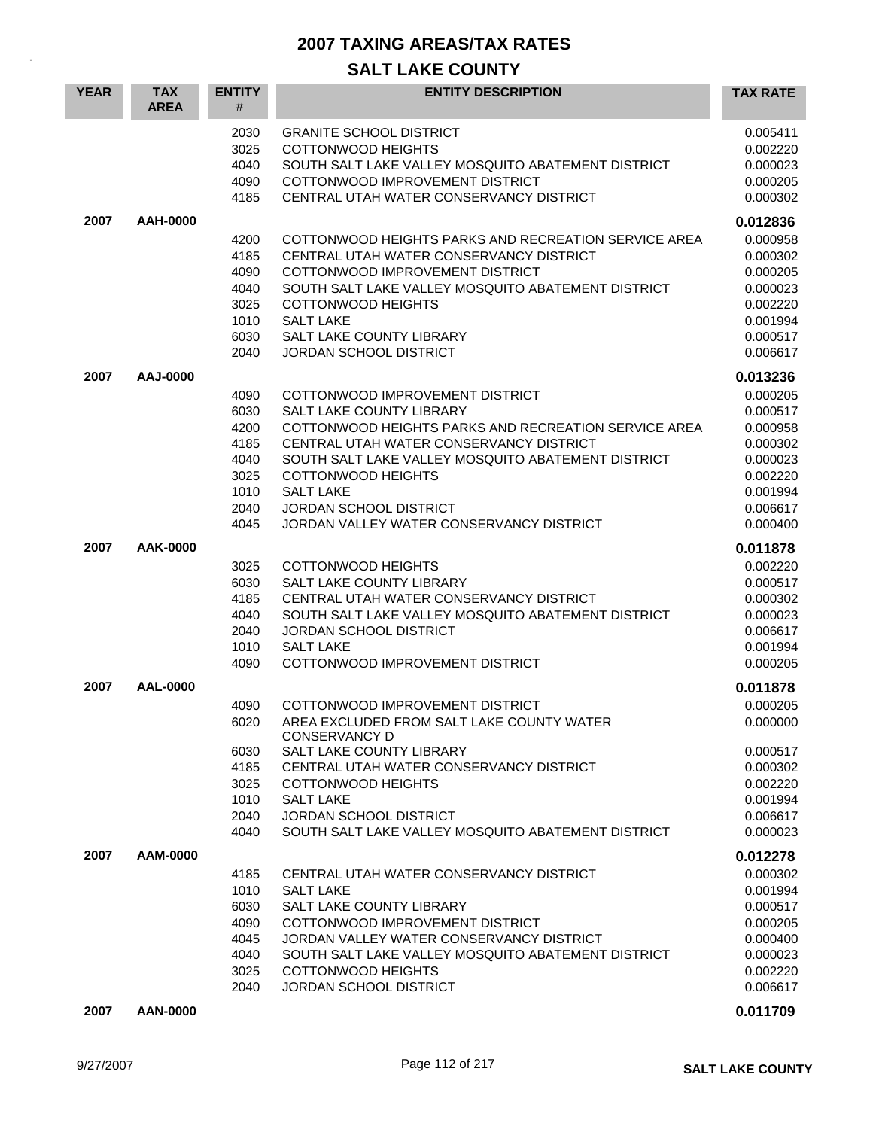| <b>YEAR</b> | <b>TAX</b><br><b>AREA</b> | <b>ENTITY</b><br>#                                                   | <b>ENTITY DESCRIPTION</b>                                                                                                                                                                                                                                                                                                                                 | <b>TAX RATE</b>                                                                                                      |
|-------------|---------------------------|----------------------------------------------------------------------|-----------------------------------------------------------------------------------------------------------------------------------------------------------------------------------------------------------------------------------------------------------------------------------------------------------------------------------------------------------|----------------------------------------------------------------------------------------------------------------------|
|             |                           | 2030<br>3025<br>4040<br>4090<br>4185                                 | <b>GRANITE SCHOOL DISTRICT</b><br><b>COTTONWOOD HEIGHTS</b><br>SOUTH SALT LAKE VALLEY MOSQUITO ABATEMENT DISTRICT<br>COTTONWOOD IMPROVEMENT DISTRICT<br>CENTRAL UTAH WATER CONSERVANCY DISTRICT                                                                                                                                                           | 0.005411<br>0.002220<br>0.000023<br>0.000205<br>0.000302                                                             |
| 2007        | AAH-0000                  | 4200<br>4185<br>4090<br>4040<br>3025<br>1010<br>6030<br>2040         | COTTONWOOD HEIGHTS PARKS AND RECREATION SERVICE AREA<br>CENTRAL UTAH WATER CONSERVANCY DISTRICT<br>COTTONWOOD IMPROVEMENT DISTRICT<br>SOUTH SALT LAKE VALLEY MOSQUITO ABATEMENT DISTRICT<br><b>COTTONWOOD HEIGHTS</b><br><b>SALT LAKE</b><br>SALT LAKE COUNTY LIBRARY<br>JORDAN SCHOOL DISTRICT                                                           | 0.012836<br>0.000958<br>0.000302<br>0.000205<br>0.000023<br>0.002220<br>0.001994<br>0.000517<br>0.006617             |
| 2007        | AAJ-0000                  | 4090<br>6030<br>4200<br>4185<br>4040<br>3025<br>1010<br>2040<br>4045 | COTTONWOOD IMPROVEMENT DISTRICT<br><b>SALT LAKE COUNTY LIBRARY</b><br>COTTONWOOD HEIGHTS PARKS AND RECREATION SERVICE AREA<br>CENTRAL UTAH WATER CONSERVANCY DISTRICT<br>SOUTH SALT LAKE VALLEY MOSQUITO ABATEMENT DISTRICT<br><b>COTTONWOOD HEIGHTS</b><br><b>SALT LAKE</b><br><b>JORDAN SCHOOL DISTRICT</b><br>JORDAN VALLEY WATER CONSERVANCY DISTRICT | 0.013236<br>0.000205<br>0.000517<br>0.000958<br>0.000302<br>0.000023<br>0.002220<br>0.001994<br>0.006617<br>0.000400 |
| 2007        | AAK-0000                  | 3025<br>6030<br>4185<br>4040<br>2040<br>1010<br>4090                 | COTTONWOOD HEIGHTS<br><b>SALT LAKE COUNTY LIBRARY</b><br>CENTRAL UTAH WATER CONSERVANCY DISTRICT<br>SOUTH SALT LAKE VALLEY MOSQUITO ABATEMENT DISTRICT<br><b>JORDAN SCHOOL DISTRICT</b><br><b>SALT LAKE</b><br>COTTONWOOD IMPROVEMENT DISTRICT                                                                                                            | 0.011878<br>0.002220<br>0.000517<br>0.000302<br>0.000023<br>0.006617<br>0.001994<br>0.000205                         |
| 2007        | AAL-0000                  | 4090<br>6020<br>6030<br>4185<br>3025<br>1010<br>2040<br>4040         | COTTONWOOD IMPROVEMENT DISTRICT<br>AREA EXCLUDED FROM SALT LAKE COUNTY WATER<br><b>CONSERVANCY D</b><br>SALT LAKE COUNTY LIBRARY<br>CENTRAL UTAH WATER CONSERVANCY DISTRICT<br>COTTONWOOD HEIGHTS<br><b>SALT LAKE</b><br>JORDAN SCHOOL DISTRICT<br>SOUTH SALT LAKE VALLEY MOSQUITO ABATEMENT DISTRICT                                                     | 0.011878<br>0.000205<br>0.000000<br>0.000517<br>0.000302<br>0.002220<br>0.001994<br>0.006617<br>0.000023             |
| 2007        | AAM-0000                  | 4185<br>1010<br>6030<br>4090<br>4045<br>4040<br>3025<br>2040         | CENTRAL UTAH WATER CONSERVANCY DISTRICT<br><b>SALT LAKE</b><br>SALT LAKE COUNTY LIBRARY<br>COTTONWOOD IMPROVEMENT DISTRICT<br>JORDAN VALLEY WATER CONSERVANCY DISTRICT<br>SOUTH SALT LAKE VALLEY MOSQUITO ABATEMENT DISTRICT<br>COTTONWOOD HEIGHTS<br><b>JORDAN SCHOOL DISTRICT</b>                                                                       | 0.012278<br>0.000302<br>0.001994<br>0.000517<br>0.000205<br>0.000400<br>0.000023<br>0.002220<br>0.006617             |
| 2007        | AAN-0000                  |                                                                      |                                                                                                                                                                                                                                                                                                                                                           | 0.011709                                                                                                             |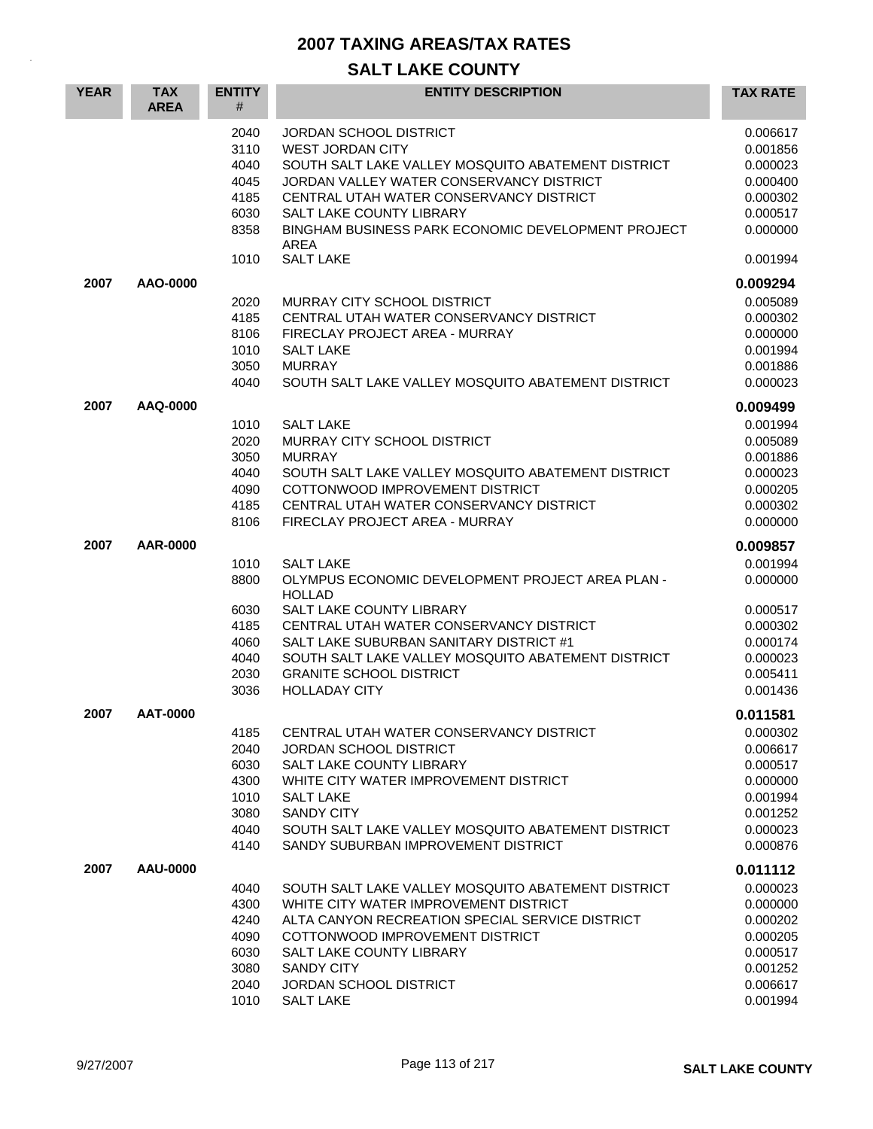| <b>YEAR</b> | <b>TAX</b><br><b>AREA</b> | <b>ENTITY</b><br>#                                           | <b>ENTITY DESCRIPTION</b>                                                                                                                                                                                                                                                                                               | <b>TAX RATE</b>                                                                                          |
|-------------|---------------------------|--------------------------------------------------------------|-------------------------------------------------------------------------------------------------------------------------------------------------------------------------------------------------------------------------------------------------------------------------------------------------------------------------|----------------------------------------------------------------------------------------------------------|
|             |                           | 2040<br>3110<br>4040<br>4045<br>4185<br>6030<br>8358         | <b>JORDAN SCHOOL DISTRICT</b><br><b>WEST JORDAN CITY</b><br>SOUTH SALT LAKE VALLEY MOSOUITO ABATEMENT DISTRICT<br>JORDAN VALLEY WATER CONSERVANCY DISTRICT<br>CENTRAL UTAH WATER CONSERVANCY DISTRICT<br>SALT LAKE COUNTY LIBRARY<br>BINGHAM BUSINESS PARK ECONOMIC DEVELOPMENT PROJECT<br><b>AREA</b>                  | 0.006617<br>0.001856<br>0.000023<br>0.000400<br>0.000302<br>0.000517<br>0.000000<br>0.001994             |
|             |                           | 1010                                                         | <b>SALT LAKE</b>                                                                                                                                                                                                                                                                                                        |                                                                                                          |
| 2007        | AAO-0000                  | 2020<br>4185<br>8106<br>1010<br>3050<br>4040                 | MURRAY CITY SCHOOL DISTRICT<br>CENTRAL UTAH WATER CONSERVANCY DISTRICT<br>FIRECLAY PROJECT AREA - MURRAY<br><b>SALT LAKE</b><br><b>MURRAY</b><br>SOUTH SALT LAKE VALLEY MOSQUITO ABATEMENT DISTRICT                                                                                                                     | 0.009294<br>0.005089<br>0.000302<br>0.000000<br>0.001994<br>0.001886<br>0.000023                         |
| 2007        | AAQ-0000                  | 1010<br>2020<br>3050<br>4040<br>4090<br>4185<br>8106         | <b>SALT LAKE</b><br>MURRAY CITY SCHOOL DISTRICT<br><b>MURRAY</b><br>SOUTH SALT LAKE VALLEY MOSQUITO ABATEMENT DISTRICT<br>COTTONWOOD IMPROVEMENT DISTRICT<br>CENTRAL UTAH WATER CONSERVANCY DISTRICT<br>FIRECLAY PROJECT AREA - MURRAY                                                                                  | 0.009499<br>0.001994<br>0.005089<br>0.001886<br>0.000023<br>0.000205<br>0.000302<br>0.000000             |
| 2007        | AAR-0000                  | 1010<br>8800<br>6030<br>4185<br>4060<br>4040<br>2030<br>3036 | <b>SALT LAKE</b><br>OLYMPUS ECONOMIC DEVELOPMENT PROJECT AREA PLAN -<br><b>HOLLAD</b><br>SALT LAKE COUNTY LIBRARY<br>CENTRAL UTAH WATER CONSERVANCY DISTRICT<br>SALT LAKE SUBURBAN SANITARY DISTRICT #1<br>SOUTH SALT LAKE VALLEY MOSQUITO ABATEMENT DISTRICT<br><b>GRANITE SCHOOL DISTRICT</b><br><b>HOLLADAY CITY</b> | 0.009857<br>0.001994<br>0.000000<br>0.000517<br>0.000302<br>0.000174<br>0.000023<br>0.005411<br>0.001436 |
| 2007        | AAT-0000                  | 4185<br>2040<br>6030<br>4300<br>1010<br>3080<br>4040<br>4140 | CENTRAL UTAH WATER CONSERVANCY DISTRICT<br><b>JORDAN SCHOOL DISTRICT</b><br>SALT LAKE COUNTY LIBRARY<br>WHITE CITY WATER IMPROVEMENT DISTRICT<br><b>SALT LAKE</b><br><b>SANDY CITY</b><br>SOUTH SALT LAKE VALLEY MOSQUITO ABATEMENT DISTRICT<br>SANDY SUBURBAN IMPROVEMENT DISTRICT                                     | 0.011581<br>0.000302<br>0.006617<br>0.000517<br>0.000000<br>0.001994<br>0.001252<br>0.000023<br>0.000876 |
| 2007        | AAU-0000                  | 4040<br>4300<br>4240<br>4090<br>6030<br>3080<br>2040<br>1010 | SOUTH SALT LAKE VALLEY MOSQUITO ABATEMENT DISTRICT<br>WHITE CITY WATER IMPROVEMENT DISTRICT<br>ALTA CANYON RECREATION SPECIAL SERVICE DISTRICT<br>COTTONWOOD IMPROVEMENT DISTRICT<br>SALT LAKE COUNTY LIBRARY<br><b>SANDY CITY</b><br><b>JORDAN SCHOOL DISTRICT</b><br><b>SALT LAKE</b>                                 | 0.011112<br>0.000023<br>0.000000<br>0.000202<br>0.000205<br>0.000517<br>0.001252<br>0.006617<br>0.001994 |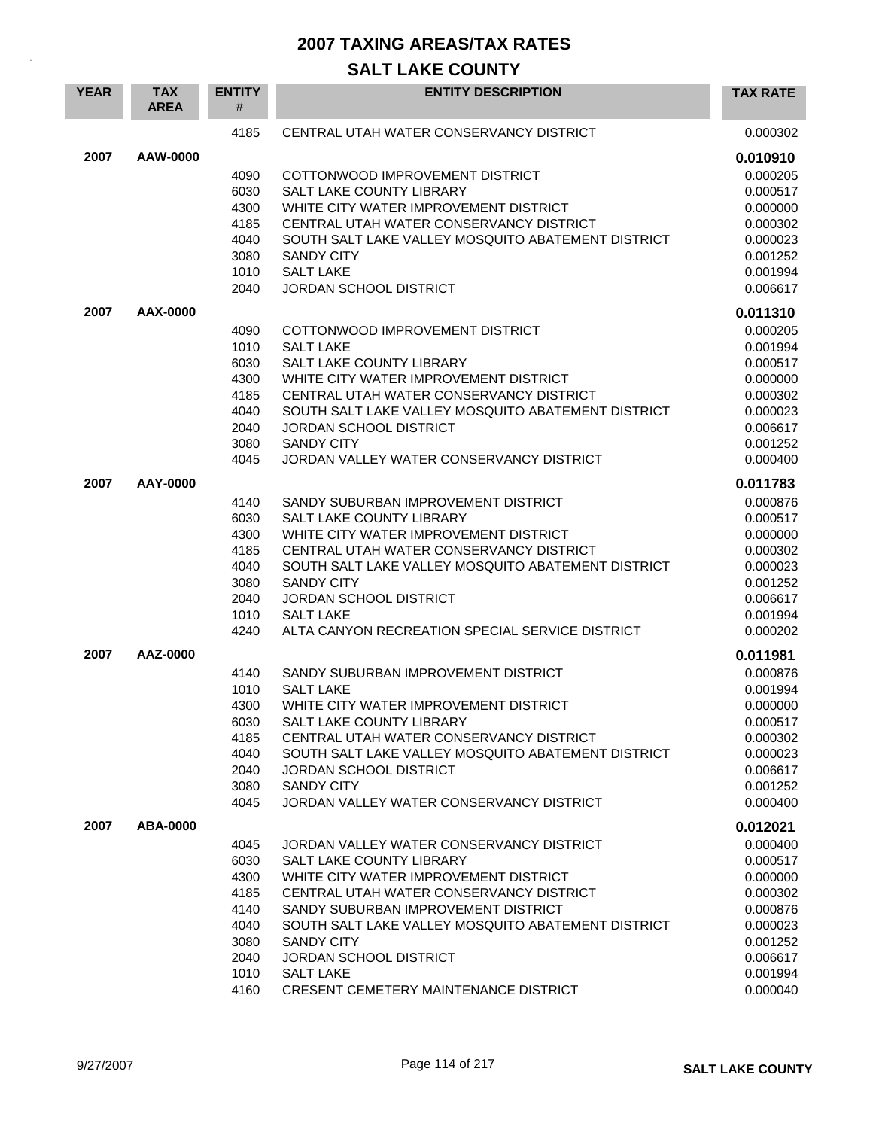| <b>YEAR</b> | <b>TAX</b><br><b>AREA</b> | <b>ENTITY</b><br># | <b>ENTITY DESCRIPTION</b>                                                                     | <b>TAX RATE</b>      |
|-------------|---------------------------|--------------------|-----------------------------------------------------------------------------------------------|----------------------|
|             |                           | 4185               | CENTRAL UTAH WATER CONSERVANCY DISTRICT                                                       | 0.000302             |
| 2007        | AAW-0000                  |                    |                                                                                               | 0.010910             |
|             |                           | 4090               | COTTONWOOD IMPROVEMENT DISTRICT                                                               | 0.000205             |
|             |                           | 6030               | <b>SALT LAKE COUNTY LIBRARY</b>                                                               | 0.000517             |
|             |                           | 4300               | WHITE CITY WATER IMPROVEMENT DISTRICT                                                         | 0.000000             |
|             |                           | 4185               | CENTRAL UTAH WATER CONSERVANCY DISTRICT                                                       | 0.000302             |
|             |                           | 4040               | SOUTH SALT LAKE VALLEY MOSQUITO ABATEMENT DISTRICT                                            | 0.000023             |
|             |                           | 3080               | <b>SANDY CITY</b>                                                                             | 0.001252             |
|             |                           | 1010               | <b>SALT LAKE</b><br><b>JORDAN SCHOOL DISTRICT</b>                                             | 0.001994             |
|             |                           | 2040               |                                                                                               | 0.006617             |
| 2007        | AAX-0000                  |                    |                                                                                               | 0.011310             |
|             |                           | 4090               | COTTONWOOD IMPROVEMENT DISTRICT                                                               | 0.000205             |
|             |                           | 1010               | <b>SALT LAKE</b>                                                                              | 0.001994             |
|             |                           | 6030               | SALT LAKE COUNTY LIBRARY                                                                      | 0.000517             |
|             |                           | 4300               | WHITE CITY WATER IMPROVEMENT DISTRICT                                                         | 0.000000             |
|             |                           | 4185<br>4040       | CENTRAL UTAH WATER CONSERVANCY DISTRICT<br>SOUTH SALT LAKE VALLEY MOSQUITO ABATEMENT DISTRICT | 0.000302<br>0.000023 |
|             |                           | 2040               | <b>JORDAN SCHOOL DISTRICT</b>                                                                 | 0.006617             |
|             |                           | 3080               | <b>SANDY CITY</b>                                                                             | 0.001252             |
|             |                           | 4045               | JORDAN VALLEY WATER CONSERVANCY DISTRICT                                                      | 0.000400             |
| 2007        | AAY-0000                  |                    |                                                                                               |                      |
|             |                           |                    |                                                                                               | 0.011783             |
|             |                           | 4140<br>6030       | SANDY SUBURBAN IMPROVEMENT DISTRICT<br>SALT LAKE COUNTY LIBRARY                               | 0.000876<br>0.000517 |
|             |                           | 4300               | WHITE CITY WATER IMPROVEMENT DISTRICT                                                         | 0.000000             |
|             |                           | 4185               | CENTRAL UTAH WATER CONSERVANCY DISTRICT                                                       | 0.000302             |
|             |                           | 4040               | SOUTH SALT LAKE VALLEY MOSQUITO ABATEMENT DISTRICT                                            | 0.000023             |
|             |                           | 3080               | <b>SANDY CITY</b>                                                                             | 0.001252             |
|             |                           | 2040               | <b>JORDAN SCHOOL DISTRICT</b>                                                                 | 0.006617             |
|             |                           | 1010               | <b>SALT LAKE</b>                                                                              | 0.001994             |
|             |                           | 4240               | ALTA CANYON RECREATION SPECIAL SERVICE DISTRICT                                               | 0.000202             |
| 2007        | AAZ-0000                  |                    |                                                                                               | 0.011981             |
|             |                           | 4140               | SANDY SUBURBAN IMPROVEMENT DISTRICT                                                           | 0.000876             |
|             |                           | 1010               | <b>SALT LAKE</b>                                                                              | 0.001994             |
|             |                           | 4300               | WHITE CITY WATER IMPROVEMENT DISTRICT                                                         | 0.000000             |
|             |                           | 6030               | SALT LAKE COUNTY LIBRARY                                                                      | 0.000517             |
|             |                           | 4185               | CENTRAL UTAH WATER CONSERVANCY DISTRICT                                                       | 0.000302             |
|             |                           | 4040<br>2040       | SOUTH SALT LAKE VALLEY MOSQUITO ABATEMENT DISTRICT<br><b>JORDAN SCHOOL DISTRICT</b>           | 0.000023<br>0.006617 |
|             |                           | 3080               | <b>SANDY CITY</b>                                                                             | 0.001252             |
|             |                           | 4045               | JORDAN VALLEY WATER CONSERVANCY DISTRICT                                                      | 0.000400             |
|             |                           |                    |                                                                                               |                      |
| 2007        | ABA-0000                  |                    |                                                                                               | 0.012021             |
|             |                           | 4045<br>6030       | JORDAN VALLEY WATER CONSERVANCY DISTRICT<br><b>SALT LAKE COUNTY LIBRARY</b>                   | 0.000400<br>0.000517 |
|             |                           | 4300               | WHITE CITY WATER IMPROVEMENT DISTRICT                                                         | 0.000000             |
|             |                           | 4185               | CENTRAL UTAH WATER CONSERVANCY DISTRICT                                                       | 0.000302             |
|             |                           | 4140               | SANDY SUBURBAN IMPROVEMENT DISTRICT                                                           | 0.000876             |
|             |                           | 4040               | SOUTH SALT LAKE VALLEY MOSQUITO ABATEMENT DISTRICT                                            | 0.000023             |
|             |                           | 3080               | <b>SANDY CITY</b>                                                                             | 0.001252             |
|             |                           | 2040               | <b>JORDAN SCHOOL DISTRICT</b>                                                                 | 0.006617             |
|             |                           | 1010               | <b>SALT LAKE</b>                                                                              | 0.001994             |
|             |                           | 4160               | CRESENT CEMETERY MAINTENANCE DISTRICT                                                         | 0.000040             |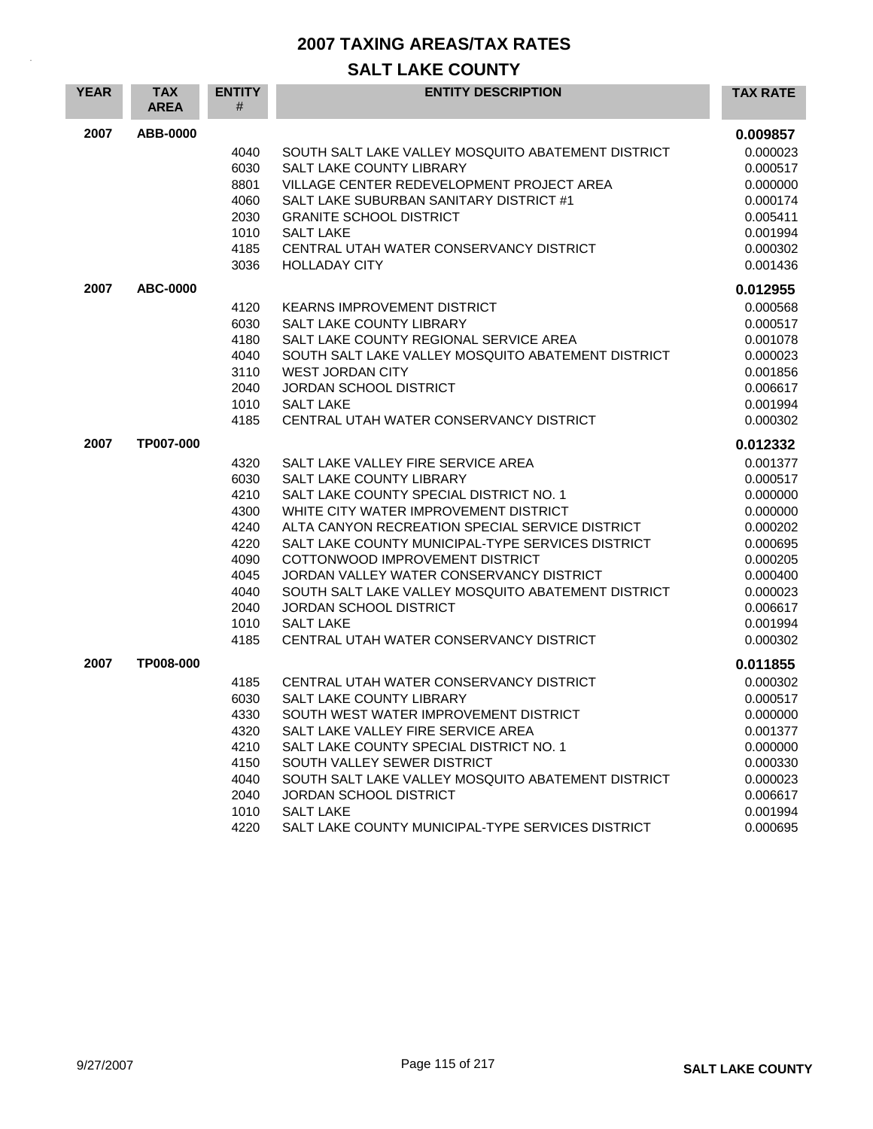| <b>YEAR</b> | <b>TAX</b><br><b>AREA</b> | <b>ENTITY</b><br># | <b>ENTITY DESCRIPTION</b>                          | <b>TAX RATE</b> |
|-------------|---------------------------|--------------------|----------------------------------------------------|-----------------|
| 2007        | ABB-0000                  |                    |                                                    | 0.009857        |
|             |                           | 4040               | SOUTH SALT LAKE VALLEY MOSQUITO ABATEMENT DISTRICT | 0.000023        |
|             |                           | 6030               | <b>SALT LAKE COUNTY LIBRARY</b>                    | 0.000517        |
|             |                           | 8801               | VILLAGE CENTER REDEVELOPMENT PROJECT AREA          | 0.000000        |
|             |                           | 4060               | SALT LAKE SUBURBAN SANITARY DISTRICT #1            | 0.000174        |
|             |                           | 2030               | <b>GRANITE SCHOOL DISTRICT</b>                     | 0.005411        |
|             |                           | 1010               | <b>SALT LAKE</b>                                   | 0.001994        |
|             |                           | 4185               | CENTRAL UTAH WATER CONSERVANCY DISTRICT            | 0.000302        |
|             |                           | 3036               | <b>HOLLADAY CITY</b>                               | 0.001436        |
| 2007        | <b>ABC-0000</b>           |                    |                                                    | 0.012955        |
|             |                           | 4120               | <b>KEARNS IMPROVEMENT DISTRICT</b>                 | 0.000568        |
|             |                           | 6030               | SALT LAKE COUNTY LIBRARY                           | 0.000517        |
|             |                           | 4180               | SALT LAKE COUNTY REGIONAL SERVICE AREA             | 0.001078        |
|             |                           | 4040               | SOUTH SALT LAKE VALLEY MOSQUITO ABATEMENT DISTRICT | 0.000023        |
|             |                           | 3110               | <b>WEST JORDAN CITY</b>                            | 0.001856        |
|             |                           | 2040               | JORDAN SCHOOL DISTRICT                             | 0.006617        |
|             |                           | 1010               | <b>SALT LAKE</b>                                   | 0.001994        |
|             |                           | 4185               | CENTRAL UTAH WATER CONSERVANCY DISTRICT            | 0.000302        |
| 2007        | TP007-000                 |                    |                                                    | 0.012332        |
|             |                           | 4320               | SALT LAKE VALLEY FIRE SERVICE AREA                 | 0.001377        |
|             |                           | 6030               | SALT LAKE COUNTY LIBRARY                           | 0.000517        |
|             |                           | 4210               | SALT LAKE COUNTY SPECIAL DISTRICT NO. 1            | 0.000000        |
|             |                           | 4300               | WHITE CITY WATER IMPROVEMENT DISTRICT              | 0.000000        |
|             |                           | 4240               | ALTA CANYON RECREATION SPECIAL SERVICE DISTRICT    | 0.000202        |
|             |                           | 4220               | SALT LAKE COUNTY MUNICIPAL-TYPE SERVICES DISTRICT  | 0.000695        |
|             |                           | 4090               | COTTONWOOD IMPROVEMENT DISTRICT                    | 0.000205        |
|             |                           | 4045               | JORDAN VALLEY WATER CONSERVANCY DISTRICT           | 0.000400        |
|             |                           | 4040               | SOUTH SALT LAKE VALLEY MOSQUITO ABATEMENT DISTRICT | 0.000023        |
|             |                           | 2040               | <b>JORDAN SCHOOL DISTRICT</b>                      | 0.006617        |
|             |                           | 1010               | <b>SALT LAKE</b>                                   | 0.001994        |
|             |                           | 4185               | CENTRAL UTAH WATER CONSERVANCY DISTRICT            | 0.000302        |
| 2007        | TP008-000                 |                    |                                                    | 0.011855        |
|             |                           | 4185               | CENTRAL UTAH WATER CONSERVANCY DISTRICT            | 0.000302        |
|             |                           | 6030               | <b>SALT LAKE COUNTY LIBRARY</b>                    | 0.000517        |
|             |                           | 4330               | SOUTH WEST WATER IMPROVEMENT DISTRICT              | 0.000000        |
|             |                           | 4320               | SALT LAKE VALLEY FIRE SERVICE AREA                 | 0.001377        |
|             |                           | 4210               | SALT LAKE COUNTY SPECIAL DISTRICT NO. 1            | 0.000000        |
|             |                           | 4150               | SOUTH VALLEY SEWER DISTRICT                        | 0.000330        |
|             |                           | 4040               | SOUTH SALT LAKE VALLEY MOSQUITO ABATEMENT DISTRICT | 0.000023        |
|             |                           | 2040               | JORDAN SCHOOL DISTRICT                             | 0.006617        |
|             |                           | 1010               | <b>SALT LAKE</b>                                   | 0.001994        |
|             |                           | 4220               | SALT LAKE COUNTY MUNICIPAL-TYPE SERVICES DISTRICT  | 0.000695        |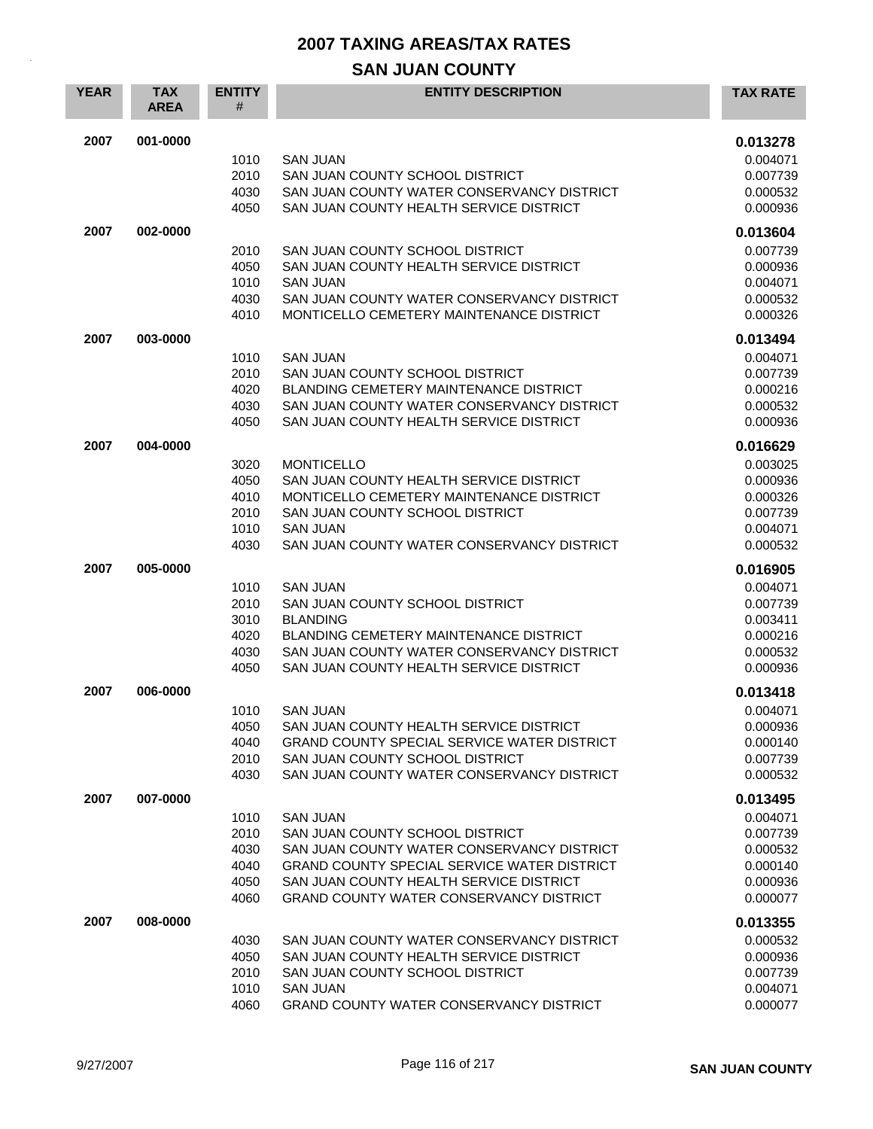# **SAN JUAN COUNTY**

| <b>YEAR</b> | <b>TAX</b><br><b>AREA</b> | <b>ENTITY</b><br># | <b>ENTITY DESCRIPTION</b>                                                              | <b>TAX RATE</b>      |
|-------------|---------------------------|--------------------|----------------------------------------------------------------------------------------|----------------------|
| 2007        | 001-0000                  |                    |                                                                                        | 0.013278             |
|             |                           | 1010               | <b>SAN JUAN</b>                                                                        | 0.004071             |
|             |                           | 2010               | SAN JUAN COUNTY SCHOOL DISTRICT                                                        | 0.007739             |
|             |                           | 4030               | SAN JUAN COUNTY WATER CONSERVANCY DISTRICT                                             | 0.000532             |
|             |                           | 4050               | SAN JUAN COUNTY HEALTH SERVICE DISTRICT                                                | 0.000936             |
| 2007        | 002-0000                  |                    |                                                                                        | 0.013604             |
|             |                           | 2010               | SAN JUAN COUNTY SCHOOL DISTRICT                                                        | 0.007739             |
|             |                           | 4050               | SAN JUAN COUNTY HEALTH SERVICE DISTRICT                                                | 0.000936             |
|             |                           | 1010               | <b>SAN JUAN</b>                                                                        | 0.004071             |
|             |                           | 4030<br>4010       | SAN JUAN COUNTY WATER CONSERVANCY DISTRICT<br>MONTICELLO CEMETERY MAINTENANCE DISTRICT | 0.000532<br>0.000326 |
|             |                           |                    |                                                                                        |                      |
| 2007        | 003-0000                  |                    |                                                                                        | 0.013494             |
|             |                           | 1010               | <b>SAN JUAN</b>                                                                        | 0.004071             |
|             |                           | 2010<br>4020       | SAN JUAN COUNTY SCHOOL DISTRICT<br><b>BLANDING CEMETERY MAINTENANCE DISTRICT</b>       | 0.007739<br>0.000216 |
|             |                           | 4030               | SAN JUAN COUNTY WATER CONSERVANCY DISTRICT                                             | 0.000532             |
|             |                           | 4050               | SAN JUAN COUNTY HEALTH SERVICE DISTRICT                                                | 0.000936             |
| 2007        | 004-0000                  |                    |                                                                                        | 0.016629             |
|             |                           | 3020               | <b>MONTICELLO</b>                                                                      | 0.003025             |
|             |                           | 4050               | SAN JUAN COUNTY HEALTH SERVICE DISTRICT                                                | 0.000936             |
|             |                           | 4010               | MONTICELLO CEMETERY MAINTENANCE DISTRICT                                               | 0.000326             |
|             |                           | 2010               | SAN JUAN COUNTY SCHOOL DISTRICT                                                        | 0.007739             |
|             |                           | 1010               | <b>SAN JUAN</b>                                                                        | 0.004071             |
|             |                           | 4030               | SAN JUAN COUNTY WATER CONSERVANCY DISTRICT                                             | 0.000532             |
| 2007        | 005-0000                  |                    |                                                                                        | 0.016905             |
|             |                           | 1010               | <b>SAN JUAN</b>                                                                        | 0.004071             |
|             |                           | 2010               | SAN JUAN COUNTY SCHOOL DISTRICT                                                        | 0.007739             |
|             |                           | 3010<br>4020       | <b>BLANDING</b><br><b>BLANDING CEMETERY MAINTENANCE DISTRICT</b>                       | 0.003411             |
|             |                           | 4030               | SAN JUAN COUNTY WATER CONSERVANCY DISTRICT                                             | 0.000216<br>0.000532 |
|             |                           | 4050               | SAN JUAN COUNTY HEALTH SERVICE DISTRICT                                                | 0.000936             |
| 2007        | 006-0000                  |                    |                                                                                        | 0.013418             |
|             |                           | 1010               | SAN JUAN                                                                               | 0.004071             |
|             |                           | 4050               | SAN JUAN COUNTY HEALTH SERVICE DISTRICT                                                | 0.000936             |
|             |                           | 4040               | <b>GRAND COUNTY SPECIAL SERVICE WATER DISTRICT</b>                                     | 0.000140             |
|             |                           | 2010               | SAN JUAN COUNTY SCHOOL DISTRICT                                                        | 0.007739             |
|             |                           | 4030               | SAN JUAN COUNTY WATER CONSERVANCY DISTRICT                                             | 0.000532             |
| 2007        | 007-0000                  |                    |                                                                                        | 0.013495             |
|             |                           | 1010               | <b>SAN JUAN</b>                                                                        | 0.004071             |
|             |                           | 2010               | SAN JUAN COUNTY SCHOOL DISTRICT                                                        | 0.007739             |
|             |                           | 4030               | SAN JUAN COUNTY WATER CONSERVANCY DISTRICT                                             | 0.000532             |
|             |                           | 4040               | GRAND COUNTY SPECIAL SERVICE WATER DISTRICT<br>SAN JUAN COUNTY HEALTH SERVICE DISTRICT | 0.000140             |
|             |                           | 4050<br>4060       | GRAND COUNTY WATER CONSERVANCY DISTRICT                                                | 0.000936<br>0.000077 |
| 2007        | 008-0000                  |                    |                                                                                        | 0.013355             |
|             |                           | 4030               | SAN JUAN COUNTY WATER CONSERVANCY DISTRICT                                             | 0.000532             |
|             |                           | 4050               | SAN JUAN COUNTY HEALTH SERVICE DISTRICT                                                | 0.000936             |
|             |                           | 2010               | SAN JUAN COUNTY SCHOOL DISTRICT                                                        | 0.007739             |
|             |                           | 1010               | <b>SAN JUAN</b>                                                                        | 0.004071             |
|             |                           | 4060               | GRAND COUNTY WATER CONSERVANCY DISTRICT                                                | 0.000077             |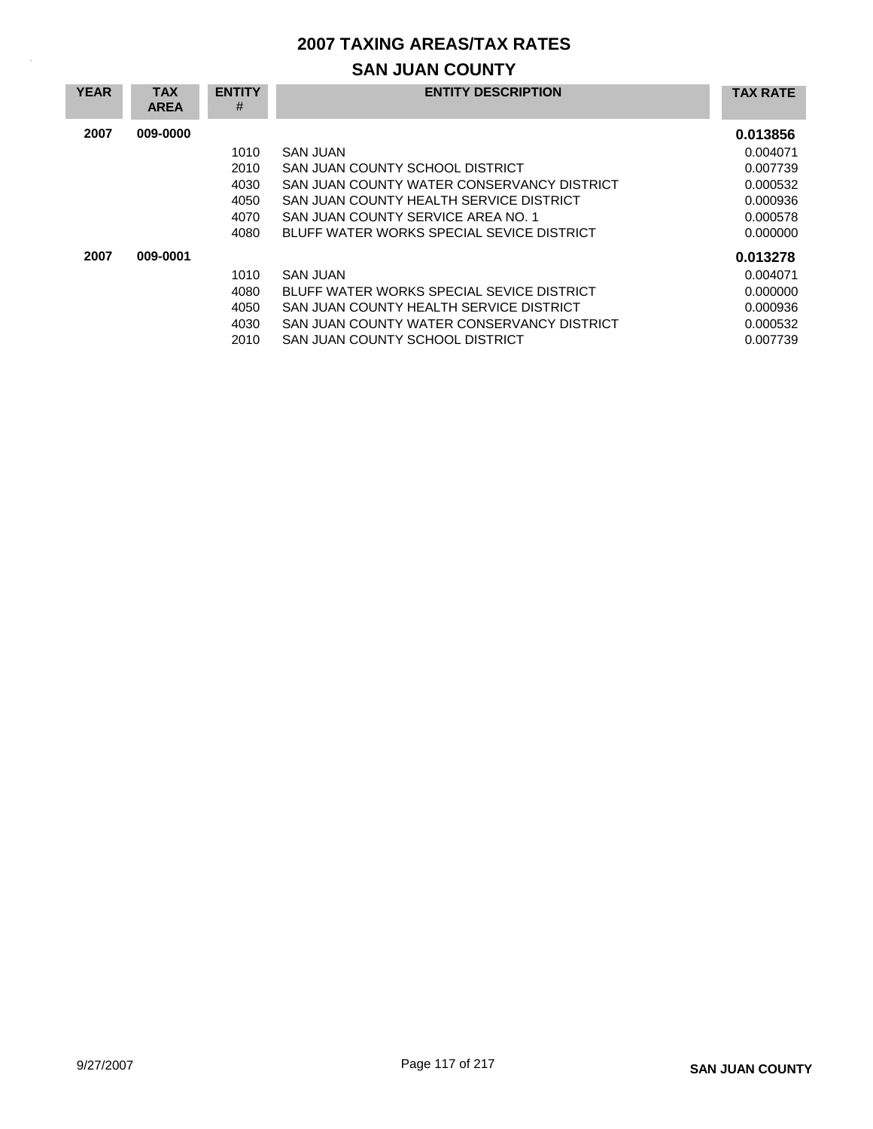# **SAN JUAN COUNTY**

| <b>YEAR</b> | <b>TAX</b><br><b>AREA</b> | <b>ENTITY</b><br># | <b>ENTITY DESCRIPTION</b>                  | <b>TAX RATE</b> |
|-------------|---------------------------|--------------------|--------------------------------------------|-----------------|
| 2007        | 009-0000                  |                    |                                            | 0.013856        |
|             |                           | 1010               | SAN JUAN                                   | 0.004071        |
|             |                           | 2010               | SAN JUAN COUNTY SCHOOL DISTRICT            | 0.007739        |
|             |                           | 4030               | SAN JUAN COUNTY WATER CONSERVANCY DISTRICT | 0.000532        |
|             |                           | 4050               | SAN JUAN COUNTY HEALTH SERVICE DISTRICT    | 0.000936        |
|             |                           | 4070               | SAN JUAN COUNTY SERVICE AREA NO. 1         | 0.000578        |
|             |                           | 4080               | BLUFF WATER WORKS SPECIAL SEVICE DISTRICT  | 0.000000        |
| 2007        | 009-0001                  |                    |                                            | 0.013278        |
|             |                           | 1010               | SAN JUAN                                   | 0.004071        |
|             |                           | 4080               | BLUFF WATER WORKS SPECIAL SEVICE DISTRICT  | 0.000000        |
|             |                           | 4050               | SAN JUAN COUNTY HEALTH SERVICE DISTRICT    | 0.000936        |
|             |                           | 4030               | SAN JUAN COUNTY WATER CONSERVANCY DISTRICT | 0.000532        |
|             |                           | 2010               | SAN JUAN COUNTY SCHOOL DISTRICT            | 0.007739        |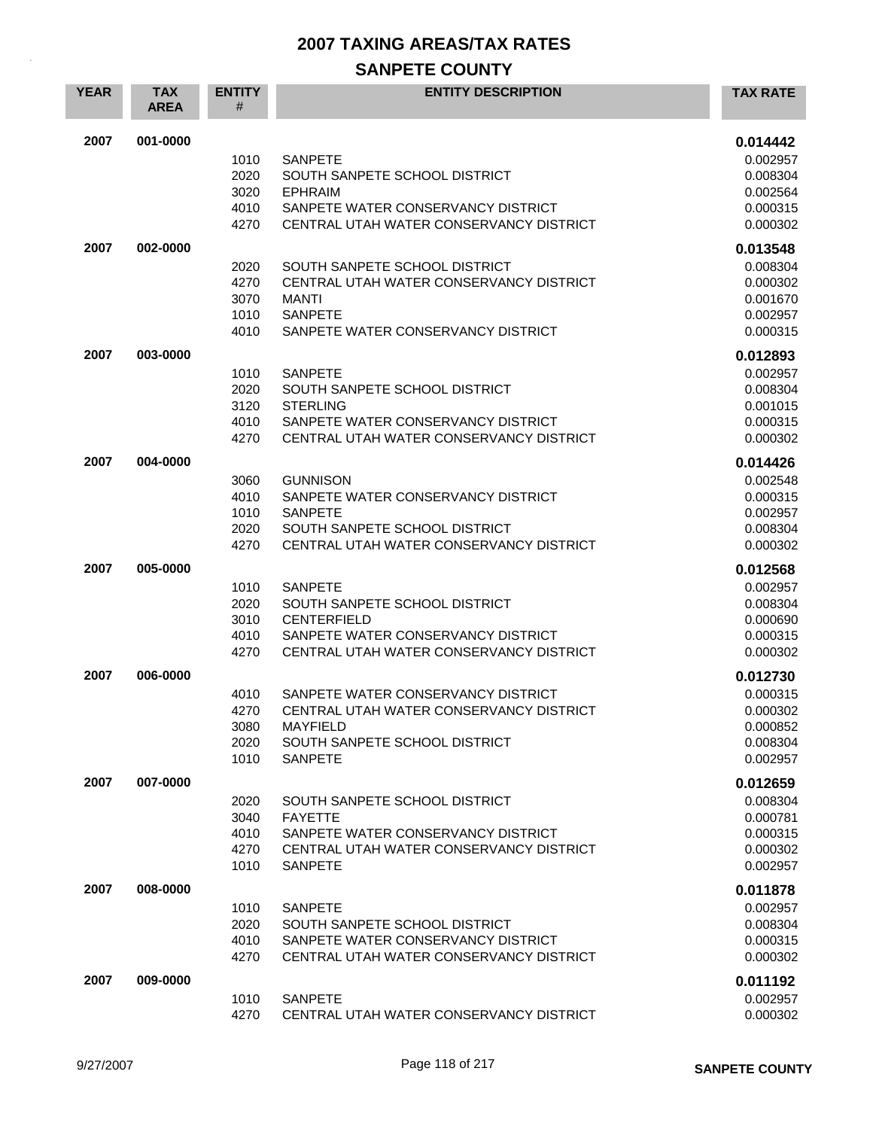# **SANPETE COUNTY**

| <b>YEAR</b> | <b>TAX</b><br><b>AREA</b> | <b>ENTITY</b><br>#                   | <b>ENTITY DESCRIPTION</b>                                                                                                                              | <b>TAX RATE</b>                                                      |
|-------------|---------------------------|--------------------------------------|--------------------------------------------------------------------------------------------------------------------------------------------------------|----------------------------------------------------------------------|
| 2007        | 001-0000                  | 1010<br>2020<br>3020<br>4010<br>4270 | <b>SANPETE</b><br>SOUTH SANPETE SCHOOL DISTRICT<br><b>EPHRAIM</b><br>SANPETE WATER CONSERVANCY DISTRICT<br>CENTRAL UTAH WATER CONSERVANCY DISTRICT     | 0.014442<br>0.002957<br>0.008304<br>0.002564<br>0.000315<br>0.000302 |
| 2007        | 002-0000                  | 2020<br>4270<br>3070<br>1010<br>4010 | SOUTH SANPETE SCHOOL DISTRICT<br>CENTRAL UTAH WATER CONSERVANCY DISTRICT<br><b>MANTI</b><br><b>SANPETE</b><br>SANPETE WATER CONSERVANCY DISTRICT       | 0.013548<br>0.008304<br>0.000302<br>0.001670<br>0.002957<br>0.000315 |
| 2007        | 003-0000                  | 1010<br>2020<br>3120<br>4010<br>4270 | <b>SANPETE</b><br>SOUTH SANPETE SCHOOL DISTRICT<br><b>STERLING</b><br>SANPETE WATER CONSERVANCY DISTRICT<br>CENTRAL UTAH WATER CONSERVANCY DISTRICT    | 0.012893<br>0.002957<br>0.008304<br>0.001015<br>0.000315<br>0.000302 |
| 2007        | 004-0000                  | 3060<br>4010<br>1010<br>2020<br>4270 | <b>GUNNISON</b><br>SANPETE WATER CONSERVANCY DISTRICT<br><b>SANPETE</b><br>SOUTH SANPETE SCHOOL DISTRICT<br>CENTRAL UTAH WATER CONSERVANCY DISTRICT    | 0.014426<br>0.002548<br>0.000315<br>0.002957<br>0.008304<br>0.000302 |
| 2007        | 005-0000                  | 1010<br>2020<br>3010<br>4010<br>4270 | <b>SANPETE</b><br>SOUTH SANPETE SCHOOL DISTRICT<br><b>CENTERFIELD</b><br>SANPETE WATER CONSERVANCY DISTRICT<br>CENTRAL UTAH WATER CONSERVANCY DISTRICT | 0.012568<br>0.002957<br>0.008304<br>0.000690<br>0.000315<br>0.000302 |
| 2007        | 006-0000                  | 4010<br>4270<br>3080<br>2020<br>1010 | SANPETE WATER CONSERVANCY DISTRICT<br>CENTRAL UTAH WATER CONSERVANCY DISTRICT<br><b>MAYFIELD</b><br>SOUTH SANPETE SCHOOL DISTRICT<br><b>SANPETE</b>    | 0.012730<br>0.000315<br>0.000302<br>0.000852<br>0.008304<br>0.002957 |
| 2007        | 007-0000                  | 2020<br>3040<br>4010<br>4270<br>1010 | SOUTH SANPETE SCHOOL DISTRICT<br><b>FAYETTE</b><br>SANPETE WATER CONSERVANCY DISTRICT<br>CENTRAL UTAH WATER CONSERVANCY DISTRICT<br><b>SANPETE</b>     | 0.012659<br>0.008304<br>0.000781<br>0.000315<br>0.000302<br>0.002957 |
| 2007        | 008-0000                  | 1010<br>2020<br>4010<br>4270         | <b>SANPETE</b><br>SOUTH SANPETE SCHOOL DISTRICT<br>SANPETE WATER CONSERVANCY DISTRICT<br>CENTRAL UTAH WATER CONSERVANCY DISTRICT                       | 0.011878<br>0.002957<br>0.008304<br>0.000315<br>0.000302             |
| 2007        | 009-0000                  | 1010<br>4270                         | <b>SANPETE</b><br>CENTRAL UTAH WATER CONSERVANCY DISTRICT                                                                                              | 0.011192<br>0.002957<br>0.000302                                     |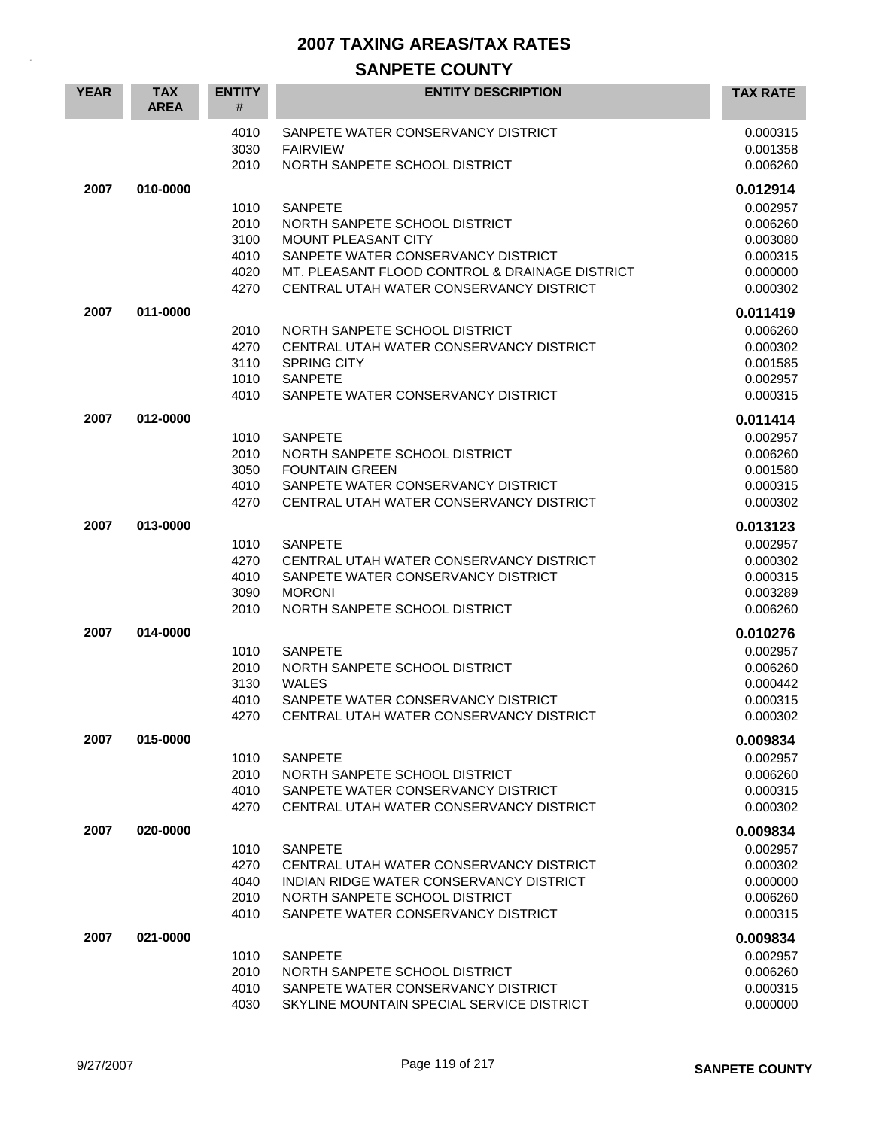# **SANPETE COUNTY**

| <b>YEAR</b> | <b>TAX</b><br><b>AREA</b> | <b>ENTITY</b><br>#                           | <b>ENTITY DESCRIPTION</b>                                                                                                                                                                                 | <b>TAX RATE</b>                                                                  |
|-------------|---------------------------|----------------------------------------------|-----------------------------------------------------------------------------------------------------------------------------------------------------------------------------------------------------------|----------------------------------------------------------------------------------|
|             |                           | 4010<br>3030<br>2010                         | SANPETE WATER CONSERVANCY DISTRICT<br><b>FAIRVIEW</b><br>NORTH SANPETE SCHOOL DISTRICT                                                                                                                    | 0.000315<br>0.001358<br>0.006260                                                 |
| 2007        | 010-0000                  | 1010<br>2010<br>3100<br>4010<br>4020<br>4270 | <b>SANPETE</b><br>NORTH SANPETE SCHOOL DISTRICT<br>MOUNT PLEASANT CITY<br>SANPETE WATER CONSERVANCY DISTRICT<br>MT. PLEASANT FLOOD CONTROL & DRAINAGE DISTRICT<br>CENTRAL UTAH WATER CONSERVANCY DISTRICT | 0.012914<br>0.002957<br>0.006260<br>0.003080<br>0.000315<br>0.000000<br>0.000302 |
| 2007        | 011-0000                  | 2010<br>4270<br>3110<br>1010<br>4010         | NORTH SANPETE SCHOOL DISTRICT<br>CENTRAL UTAH WATER CONSERVANCY DISTRICT<br><b>SPRING CITY</b><br><b>SANPETE</b><br>SANPETE WATER CONSERVANCY DISTRICT                                                    | 0.011419<br>0.006260<br>0.000302<br>0.001585<br>0.002957<br>0.000315             |
| 2007        | 012-0000                  | 1010<br>2010<br>3050<br>4010<br>4270         | <b>SANPETE</b><br>NORTH SANPETE SCHOOL DISTRICT<br><b>FOUNTAIN GREEN</b><br>SANPETE WATER CONSERVANCY DISTRICT<br>CENTRAL UTAH WATER CONSERVANCY DISTRICT                                                 | 0.011414<br>0.002957<br>0.006260<br>0.001580<br>0.000315<br>0.000302             |
| 2007        | 013-0000                  | 1010<br>4270<br>4010<br>3090<br>2010         | <b>SANPETE</b><br>CENTRAL UTAH WATER CONSERVANCY DISTRICT<br>SANPETE WATER CONSERVANCY DISTRICT<br><b>MORONI</b><br>NORTH SANPETE SCHOOL DISTRICT                                                         | 0.013123<br>0.002957<br>0.000302<br>0.000315<br>0.003289<br>0.006260             |
| 2007        | 014-0000                  | 1010<br>2010<br>3130<br>4010<br>4270         | <b>SANPETE</b><br>NORTH SANPETE SCHOOL DISTRICT<br><b>WALES</b><br>SANPETE WATER CONSERVANCY DISTRICT<br>CENTRAL UTAH WATER CONSERVANCY DISTRICT                                                          | 0.010276<br>0.002957<br>0.006260<br>0.000442<br>0.000315<br>0.000302             |
| 2007        | 015-0000                  | 1010<br>2010<br>4010<br>4270                 | <b>SANPETE</b><br>NORTH SANPETE SCHOOL DISTRICT<br>SANPETE WATER CONSERVANCY DISTRICT<br>CENTRAL UTAH WATER CONSERVANCY DISTRICT                                                                          | 0.009834<br>0.002957<br>0.006260<br>0.000315<br>0.000302                         |
| 2007        | 020-0000                  | 1010<br>4270<br>4040<br>2010<br>4010         | <b>SANPETE</b><br>CENTRAL UTAH WATER CONSERVANCY DISTRICT<br>INDIAN RIDGE WATER CONSERVANCY DISTRICT<br>NORTH SANPETE SCHOOL DISTRICT<br>SANPETE WATER CONSERVANCY DISTRICT                               | 0.009834<br>0.002957<br>0.000302<br>0.000000<br>0.006260<br>0.000315             |
| 2007        | 021-0000                  | 1010<br>2010<br>4010<br>4030                 | <b>SANPETE</b><br>NORTH SANPETE SCHOOL DISTRICT<br>SANPETE WATER CONSERVANCY DISTRICT<br>SKYLINE MOUNTAIN SPECIAL SERVICE DISTRICT                                                                        | 0.009834<br>0.002957<br>0.006260<br>0.000315<br>0.000000                         |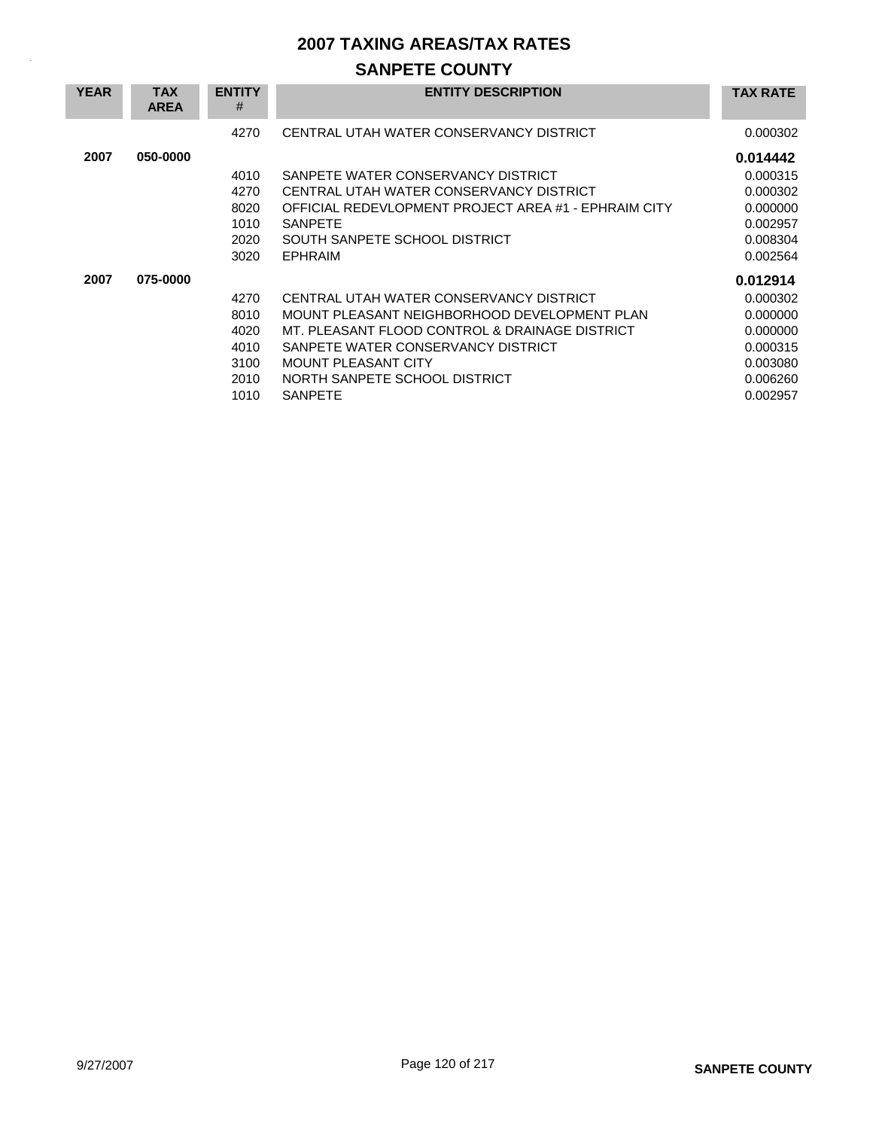# **SANPETE COUNTY**

| <b>YEAR</b> | <b>TAX</b><br><b>AREA</b> | <b>ENTITY</b><br># | <b>ENTITY DESCRIPTION</b>                            | <b>TAX RATE</b> |
|-------------|---------------------------|--------------------|------------------------------------------------------|-----------------|
|             |                           | 4270               | CENTRAL UTAH WATER CONSERVANCY DISTRICT              | 0.000302        |
| 2007        | 050-0000                  |                    |                                                      | 0.014442        |
|             |                           | 4010               | SANPETE WATER CONSERVANCY DISTRICT                   | 0.000315        |
|             |                           | 4270               | CENTRAL UTAH WATER CONSERVANCY DISTRICT              | 0.000302        |
|             |                           | 8020               | OFFICIAL REDEVLOPMENT PROJECT AREA #1 - EPHRAIM CITY | 0.000000        |
|             |                           | 1010               | <b>SANPETE</b>                                       | 0.002957        |
|             |                           | 2020               | SOUTH SANPETE SCHOOL DISTRICT                        | 0.008304        |
|             |                           | 3020               | <b>EPHRAIM</b>                                       | 0.002564        |
| 2007        | 075-0000                  |                    |                                                      | 0.012914        |
|             |                           | 4270               | CENTRAL UTAH WATER CONSERVANCY DISTRICT              | 0.000302        |
|             |                           | 8010               | MOUNT PLEASANT NEIGHBORHOOD DEVELOPMENT PLAN         | 0.000000        |
|             |                           | 4020               | MT. PLEASANT FLOOD CONTROL & DRAINAGE DISTRICT       | 0.000000        |
|             |                           | 4010               | SANPETE WATER CONSERVANCY DISTRICT                   | 0.000315        |
|             |                           | 3100               | <b>MOUNT PLEASANT CITY</b>                           | 0.003080        |
|             |                           | 2010               | NORTH SANPETE SCHOOL DISTRICT                        | 0.006260        |
|             |                           | 1010               | <b>SANPETE</b>                                       | 0.002957        |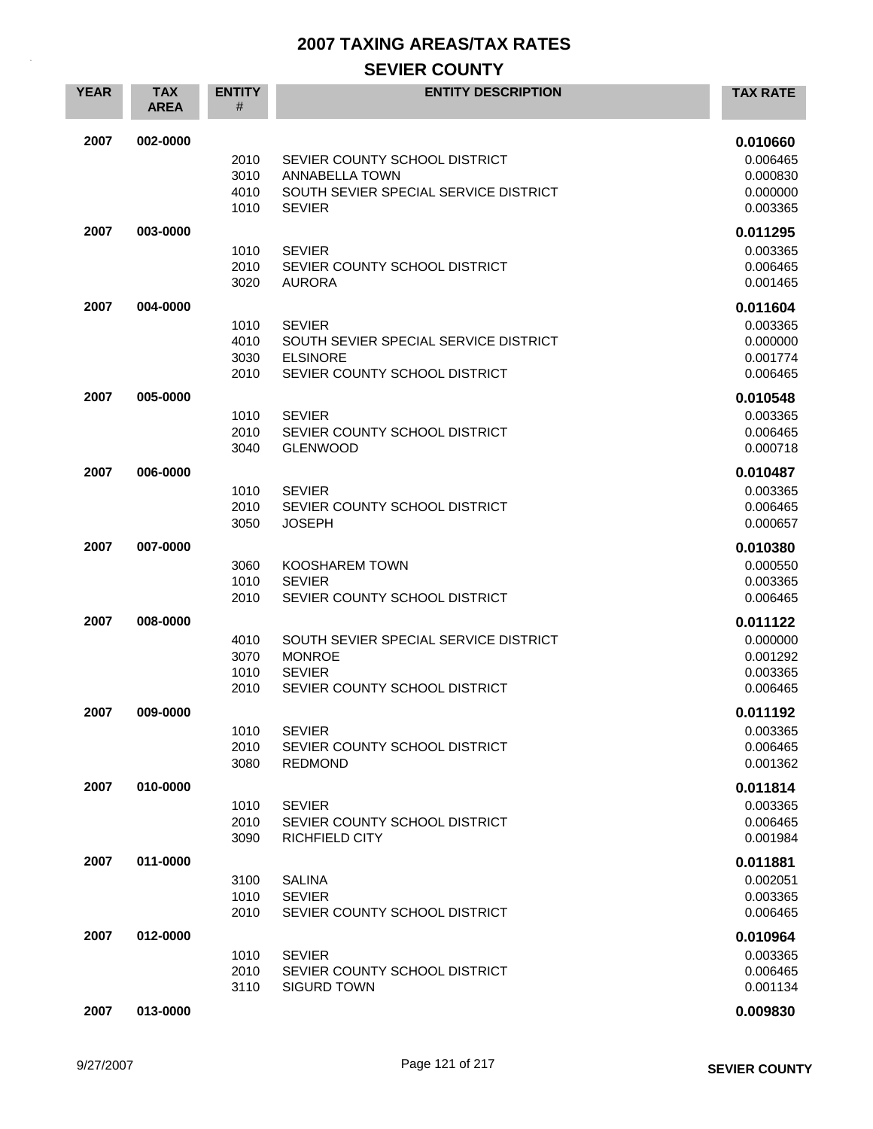## **SEVIER COUNTY**

| <b>YEAR</b> | <b>TAX</b><br><b>AREA</b> | <b>ENTITY</b><br># | <b>ENTITY DESCRIPTION</b>                              | <b>TAX RATE</b>      |
|-------------|---------------------------|--------------------|--------------------------------------------------------|----------------------|
| 2007        | 002-0000                  |                    |                                                        | 0.010660             |
|             |                           | 2010               | SEVIER COUNTY SCHOOL DISTRICT                          | 0.006465             |
|             |                           | 3010               | <b>ANNABELLA TOWN</b>                                  | 0.000830             |
|             |                           | 4010               | SOUTH SEVIER SPECIAL SERVICE DISTRICT                  | 0.000000             |
|             |                           | 1010               | <b>SEVIER</b>                                          | 0.003365             |
| 2007        | 003-0000                  |                    |                                                        | 0.011295             |
|             |                           | 1010               | <b>SEVIER</b>                                          | 0.003365             |
|             |                           | 2010               | SEVIER COUNTY SCHOOL DISTRICT                          | 0.006465             |
|             |                           | 3020               | <b>AURORA</b>                                          | 0.001465             |
| 2007        | 004-0000                  |                    |                                                        | 0.011604             |
|             |                           | 1010               | <b>SEVIER</b><br>SOUTH SEVIER SPECIAL SERVICE DISTRICT | 0.003365<br>0.000000 |
|             |                           | 4010<br>3030       | <b>ELSINORE</b>                                        | 0.001774             |
|             |                           | 2010               | SEVIER COUNTY SCHOOL DISTRICT                          | 0.006465             |
| 2007        | 005-0000                  |                    |                                                        | 0.010548             |
|             |                           | 1010               | <b>SEVIER</b>                                          | 0.003365             |
|             |                           | 2010               | SEVIER COUNTY SCHOOL DISTRICT                          | 0.006465             |
|             |                           | 3040               | <b>GLENWOOD</b>                                        | 0.000718             |
| 2007        | 006-0000                  |                    |                                                        | 0.010487             |
|             |                           | 1010               | <b>SEVIER</b>                                          | 0.003365             |
|             |                           | 2010               | SEVIER COUNTY SCHOOL DISTRICT                          | 0.006465             |
|             |                           | 3050               | <b>JOSEPH</b>                                          | 0.000657             |
| 2007        | 007-0000                  |                    |                                                        | 0.010380             |
|             |                           | 3060               | KOOSHAREM TOWN                                         | 0.000550             |
|             |                           | 1010               | <b>SEVIER</b>                                          | 0.003365             |
|             |                           | 2010               | SEVIER COUNTY SCHOOL DISTRICT                          | 0.006465             |
| 2007        | 008-0000                  |                    |                                                        | 0.011122             |
|             |                           | 4010               | SOUTH SEVIER SPECIAL SERVICE DISTRICT                  | 0.000000             |
|             |                           | 3070               | <b>MONROE</b>                                          | 0.001292             |
|             |                           | 1010               | <b>SEVIER</b>                                          | 0.003365             |
|             |                           | 2010               | SEVIER COUNTY SCHOOL DISTRICT                          | 0.006465             |
| 2007        | 009-0000                  |                    |                                                        | 0.011192             |
|             |                           | 1010               | <b>SEVIER</b>                                          | 0.003365             |
|             |                           | 2010<br>3080       | SEVIER COUNTY SCHOOL DISTRICT<br><b>REDMOND</b>        | 0.006465<br>0.001362 |
|             |                           |                    |                                                        |                      |
| 2007        | 010-0000                  |                    |                                                        | 0.011814             |
|             |                           | 1010               | <b>SEVIER</b>                                          | 0.003365             |
|             |                           | 2010<br>3090       | SEVIER COUNTY SCHOOL DISTRICT<br><b>RICHFIELD CITY</b> | 0.006465<br>0.001984 |
|             | 011-0000                  |                    |                                                        |                      |
| 2007        |                           |                    |                                                        | 0.011881             |
|             |                           | 3100<br>1010       | <b>SALINA</b><br><b>SEVIER</b>                         | 0.002051<br>0.003365 |
|             |                           | 2010               | SEVIER COUNTY SCHOOL DISTRICT                          | 0.006465             |
| 2007        | 012-0000                  |                    |                                                        | 0.010964             |
|             |                           | 1010               | <b>SEVIER</b>                                          | 0.003365             |
|             |                           | 2010               | SEVIER COUNTY SCHOOL DISTRICT                          | 0.006465             |
|             |                           | 3110               | <b>SIGURD TOWN</b>                                     | 0.001134             |
| 2007        | 013-0000                  |                    |                                                        | 0.009830             |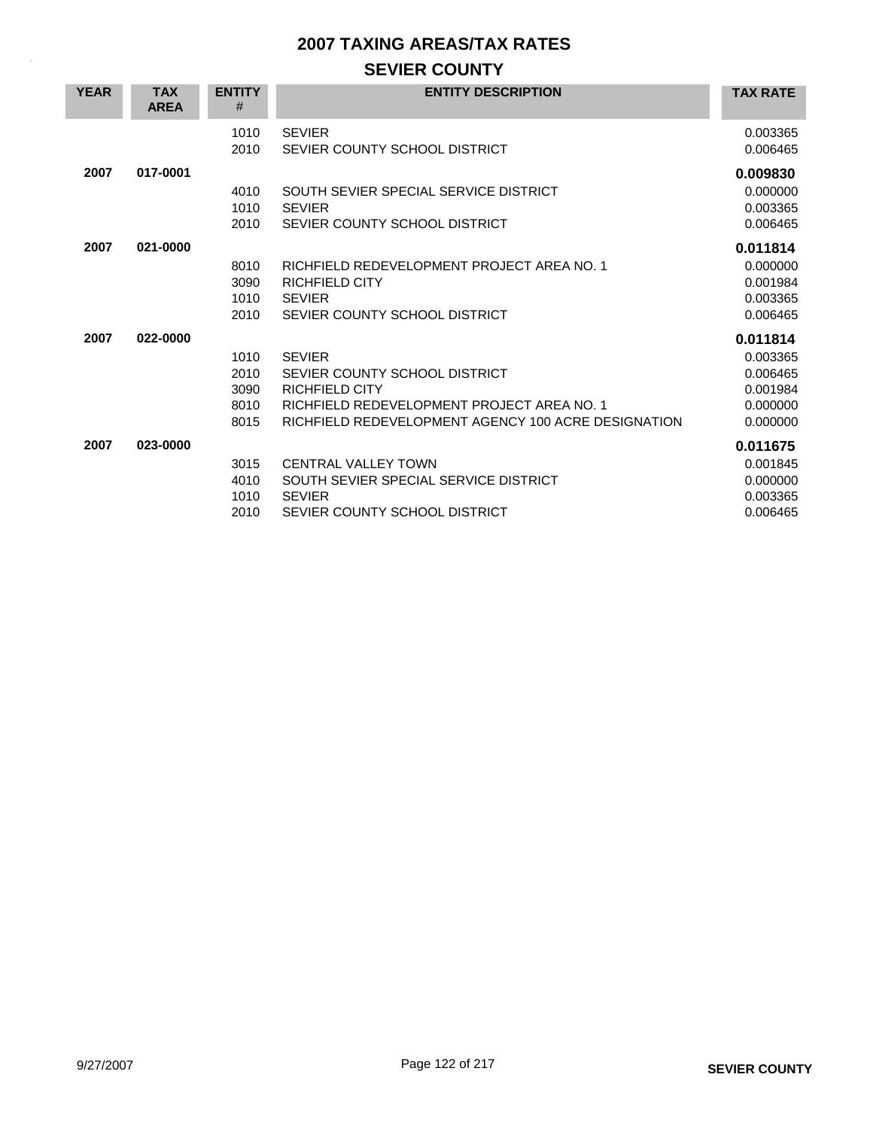### **SEVIER COUNTY**

| <b>YEAR</b> | <b>TAX</b><br><b>AREA</b> | <b>ENTITY</b><br>#                   | <b>ENTITY DESCRIPTION</b>                                                                                                                                                    | <b>TAX RATE</b>                                                      |
|-------------|---------------------------|--------------------------------------|------------------------------------------------------------------------------------------------------------------------------------------------------------------------------|----------------------------------------------------------------------|
|             |                           | 1010<br>2010                         | <b>SEVIER</b><br>SEVIER COUNTY SCHOOL DISTRICT                                                                                                                               | 0.003365<br>0.006465                                                 |
| 2007        | 017-0001                  | 4010<br>1010<br>2010                 | SOUTH SEVIER SPECIAL SERVICE DISTRICT<br><b>SEVIER</b><br>SEVIER COUNTY SCHOOL DISTRICT                                                                                      | 0.009830<br>0.000000<br>0.003365<br>0.006465                         |
| 2007        | 021-0000                  | 8010<br>3090<br>1010<br>2010         | RICHFIELD REDEVELOPMENT PROJECT AREA NO. 1<br><b>RICHFIELD CITY</b><br><b>SEVIER</b><br>SEVIER COUNTY SCHOOL DISTRICT                                                        | 0.011814<br>0.000000<br>0.001984<br>0.003365<br>0.006465             |
| 2007        | 022-0000                  | 1010<br>2010<br>3090<br>8010<br>8015 | <b>SEVIER</b><br>SEVIER COUNTY SCHOOL DISTRICT<br><b>RICHFIELD CITY</b><br>RICHFIELD REDEVELOPMENT PROJECT AREA NO. 1<br>RICHFIELD REDEVELOPMENT AGENCY 100 ACRE DESIGNATION | 0.011814<br>0.003365<br>0.006465<br>0.001984<br>0.000000<br>0.000000 |
| 2007        | 023-0000                  | 3015<br>4010<br>1010<br>2010         | <b>CENTRAL VALLEY TOWN</b><br>SOUTH SEVIER SPECIAL SERVICE DISTRICT<br><b>SEVIER</b><br>SEVIER COUNTY SCHOOL DISTRICT                                                        | 0.011675<br>0.001845<br>0.000000<br>0.003365<br>0.006465             |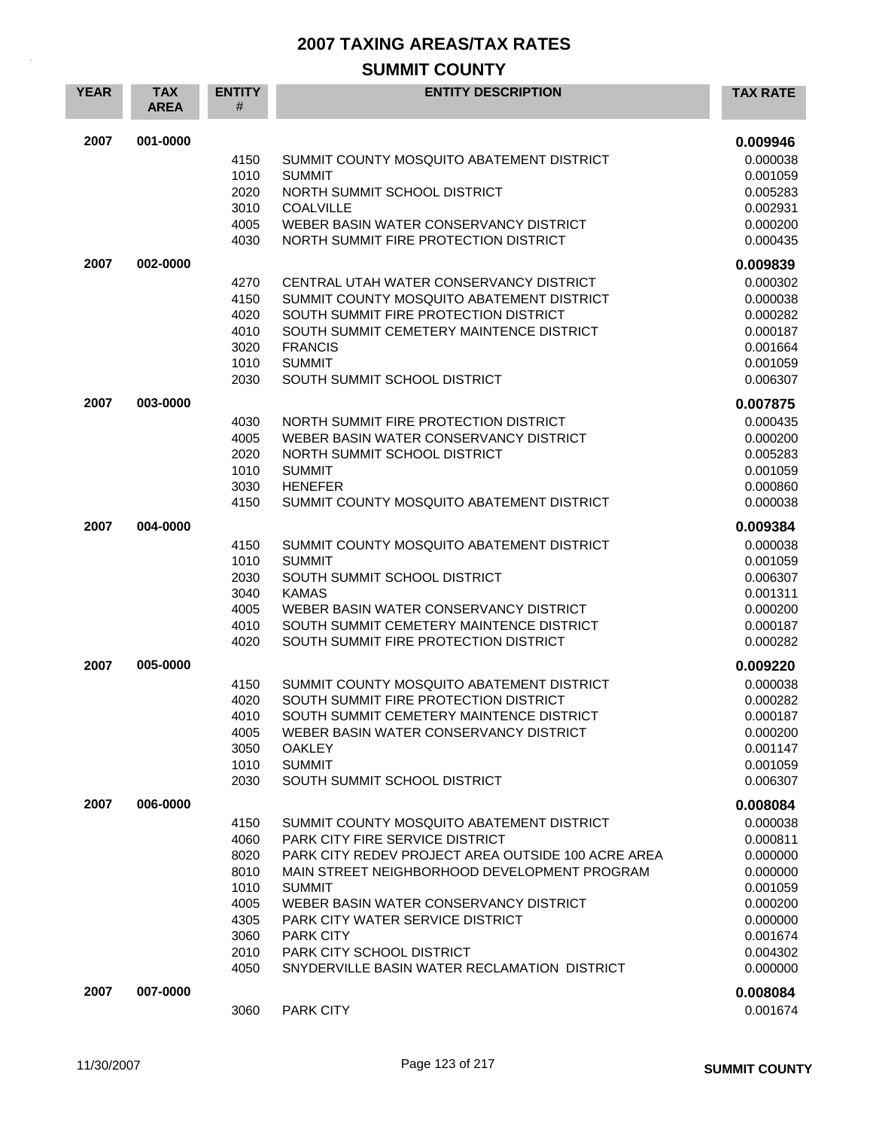| <b>YEAR</b> | <b>TAX</b><br><b>AREA</b> | <b>ENTITY</b><br># | <b>ENTITY DESCRIPTION</b>                          | <b>TAX RATE</b>      |
|-------------|---------------------------|--------------------|----------------------------------------------------|----------------------|
| 2007        | 001-0000                  |                    |                                                    | 0.009946             |
|             |                           | 4150               | SUMMIT COUNTY MOSQUITO ABATEMENT DISTRICT          | 0.000038             |
|             |                           | 1010               | <b>SUMMIT</b>                                      | 0.001059             |
|             |                           | 2020<br>3010       | NORTH SUMMIT SCHOOL DISTRICT<br><b>COALVILLE</b>   | 0.005283<br>0.002931 |
|             |                           | 4005               | WEBER BASIN WATER CONSERVANCY DISTRICT             | 0.000200             |
|             |                           | 4030               | NORTH SUMMIT FIRE PROTECTION DISTRICT              | 0.000435             |
| 2007        | 002-0000                  |                    |                                                    | 0.009839             |
|             |                           | 4270               | CENTRAL UTAH WATER CONSERVANCY DISTRICT            | 0.000302             |
|             |                           | 4150               | SUMMIT COUNTY MOSQUITO ABATEMENT DISTRICT          | 0.000038             |
|             |                           | 4020               | SOUTH SUMMIT FIRE PROTECTION DISTRICT              | 0.000282             |
|             |                           | 4010               | SOUTH SUMMIT CEMETERY MAINTENCE DISTRICT           | 0.000187             |
|             |                           | 3020<br>1010       | <b>FRANCIS</b><br><b>SUMMIT</b>                    | 0.001664<br>0.001059 |
|             |                           | 2030               | SOUTH SUMMIT SCHOOL DISTRICT                       | 0.006307             |
| 2007        | 003-0000                  |                    |                                                    | 0.007875             |
|             |                           | 4030               | NORTH SUMMIT FIRE PROTECTION DISTRICT              | 0.000435             |
|             |                           | 4005               | WEBER BASIN WATER CONSERVANCY DISTRICT             | 0.000200             |
|             |                           | 2020               | NORTH SUMMIT SCHOOL DISTRICT                       | 0.005283             |
|             |                           | 1010               | <b>SUMMIT</b>                                      | 0.001059             |
|             |                           | 3030               | <b>HENEFER</b>                                     | 0.000860             |
|             |                           | 4150               | SUMMIT COUNTY MOSQUITO ABATEMENT DISTRICT          | 0.000038             |
| 2007        | 004-0000                  |                    |                                                    | 0.009384             |
|             |                           | 4150               | SUMMIT COUNTY MOSQUITO ABATEMENT DISTRICT          | 0.000038             |
|             |                           | 1010               | <b>SUMMIT</b>                                      | 0.001059             |
|             |                           | 2030               | SOUTH SUMMIT SCHOOL DISTRICT<br><b>KAMAS</b>       | 0.006307             |
|             |                           | 3040<br>4005       | WEBER BASIN WATER CONSERVANCY DISTRICT             | 0.001311<br>0.000200 |
|             |                           | 4010               | SOUTH SUMMIT CEMETERY MAINTENCE DISTRICT           | 0.000187             |
|             |                           | 4020               | SOUTH SUMMIT FIRE PROTECTION DISTRICT              | 0.000282             |
| 2007        | 005-0000                  |                    |                                                    | 0.009220             |
|             |                           | 4150               | SUMMIT COUNTY MOSQUITO ABATEMENT DISTRICT          | 0.000038             |
|             |                           | 4020               | SOUTH SUMMIT FIRE PROTECTION DISTRICT              | 0.000282             |
|             |                           | 4010               | SOUTH SUMMIT CEMETERY MAINTENCE DISTRICT           | 0.000187             |
|             |                           | 4005               | WEBER BASIN WATER CONSERVANCY DISTRICT             | 0.000200             |
|             |                           | 3050               | <b>OAKLEY</b>                                      | 0.001147             |
|             |                           | 1010<br>2030       | <b>SUMMIT</b><br>SOUTH SUMMIT SCHOOL DISTRICT      | 0.001059<br>0.006307 |
| 2007        | 006-0000                  |                    |                                                    | 0.008084             |
|             |                           | 4150               | SUMMIT COUNTY MOSQUITO ABATEMENT DISTRICT          | 0.000038             |
|             |                           | 4060               | PARK CITY FIRE SERVICE DISTRICT                    | 0.000811             |
|             |                           | 8020               | PARK CITY REDEV PROJECT AREA OUTSIDE 100 ACRE AREA | 0.000000             |
|             |                           | 8010               | MAIN STREET NEIGHBORHOOD DEVELOPMENT PROGRAM       | 0.000000             |
|             |                           | 1010               | <b>SUMMIT</b>                                      | 0.001059             |
|             |                           | 4005               | WEBER BASIN WATER CONSERVANCY DISTRICT             | 0.000200             |
|             |                           | 4305               | PARK CITY WATER SERVICE DISTRICT                   | 0.000000             |
|             |                           | 3060<br>2010       | <b>PARK CITY</b><br>PARK CITY SCHOOL DISTRICT      | 0.001674<br>0.004302 |
|             |                           | 4050               | SNYDERVILLE BASIN WATER RECLAMATION DISTRICT       | 0.000000             |
| 2007        | 007-0000                  |                    |                                                    | 0.008084             |
|             |                           | 3060               | <b>PARK CITY</b>                                   | 0.001674             |
|             |                           |                    |                                                    |                      |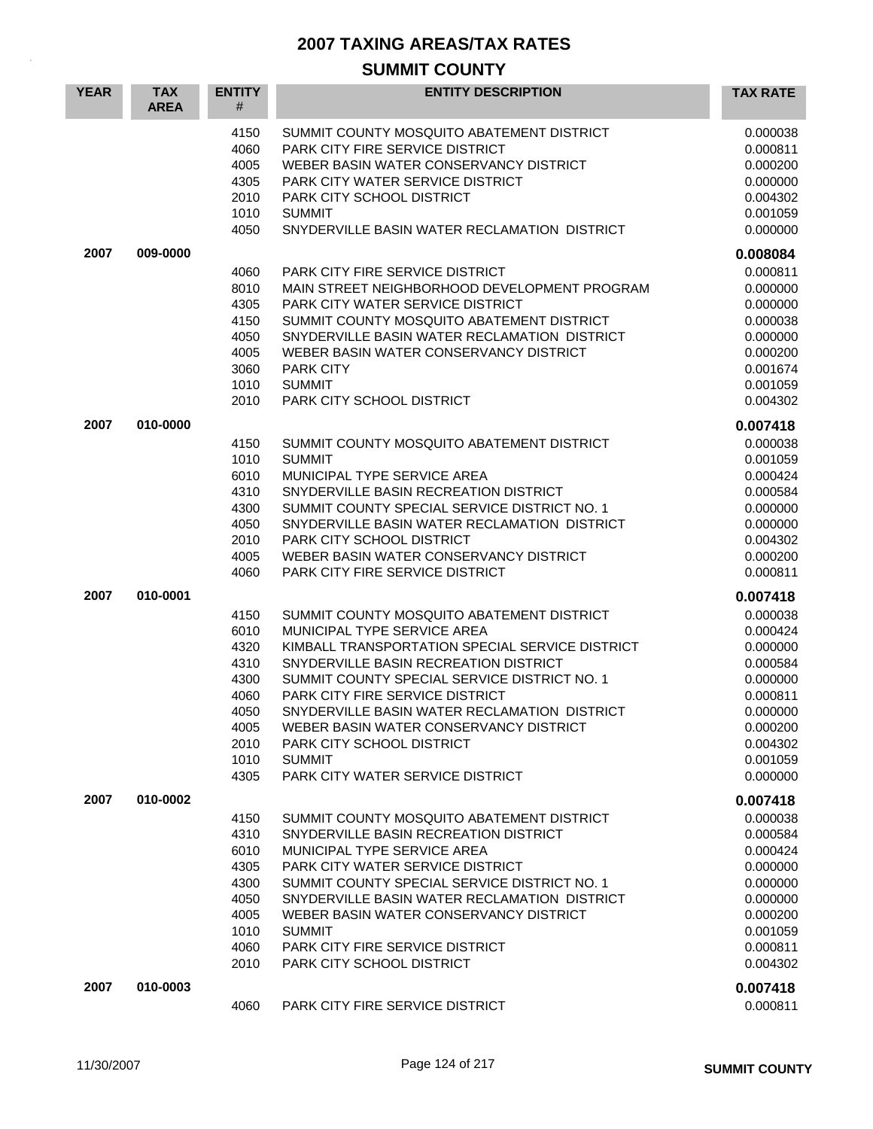| <b>YEAR</b> | <b>TAX</b><br><b>AREA</b> | <b>ENTITY</b><br>#                                                                   | <b>ENTITY DESCRIPTION</b>                                                                                                                                                                                                                                                                                                                                                                                                           | <b>TAX RATE</b>                                                                                                                  |
|-------------|---------------------------|--------------------------------------------------------------------------------------|-------------------------------------------------------------------------------------------------------------------------------------------------------------------------------------------------------------------------------------------------------------------------------------------------------------------------------------------------------------------------------------------------------------------------------------|----------------------------------------------------------------------------------------------------------------------------------|
|             |                           | 4150<br>4060<br>4005<br>4305<br>2010<br>1010<br>4050                                 | SUMMIT COUNTY MOSQUITO ABATEMENT DISTRICT<br><b>PARK CITY FIRE SERVICE DISTRICT</b><br>WEBER BASIN WATER CONSERVANCY DISTRICT<br>PARK CITY WATER SERVICE DISTRICT<br>PARK CITY SCHOOL DISTRICT<br><b>SUMMIT</b><br>SNYDERVILLE BASIN WATER RECLAMATION DISTRICT                                                                                                                                                                     | 0.000038<br>0.000811<br>0.000200<br>0.000000<br>0.004302<br>0.001059<br>0.000000                                                 |
| 2007        | 009-0000                  |                                                                                      |                                                                                                                                                                                                                                                                                                                                                                                                                                     | 0.008084                                                                                                                         |
|             |                           | 4060<br>8010<br>4305<br>4150<br>4050<br>4005<br>3060<br>1010<br>2010                 | <b>PARK CITY FIRE SERVICE DISTRICT</b><br>MAIN STREET NEIGHBORHOOD DEVELOPMENT PROGRAM<br>PARK CITY WATER SERVICE DISTRICT<br>SUMMIT COUNTY MOSQUITO ABATEMENT DISTRICT<br>SNYDERVILLE BASIN WATER RECLAMATION DISTRICT<br>WEBER BASIN WATER CONSERVANCY DISTRICT<br><b>PARK CITY</b><br><b>SUMMIT</b><br>PARK CITY SCHOOL DISTRICT                                                                                                 | 0.000811<br>0.000000<br>0.000000<br>0.000038<br>0.000000<br>0.000200<br>0.001674<br>0.001059<br>0.004302                         |
| 2007        | 010-0000                  |                                                                                      |                                                                                                                                                                                                                                                                                                                                                                                                                                     | 0.007418                                                                                                                         |
|             |                           | 4150<br>1010<br>6010<br>4310<br>4300<br>4050<br>2010<br>4005<br>4060                 | SUMMIT COUNTY MOSQUITO ABATEMENT DISTRICT<br><b>SUMMIT</b><br>MUNICIPAL TYPE SERVICE AREA<br>SNYDERVILLE BASIN RECREATION DISTRICT<br>SUMMIT COUNTY SPECIAL SERVICE DISTRICT NO. 1<br>SNYDERVILLE BASIN WATER RECLAMATION DISTRICT<br>PARK CITY SCHOOL DISTRICT<br>WEBER BASIN WATER CONSERVANCY DISTRICT<br><b>PARK CITY FIRE SERVICE DISTRICT</b>                                                                                 | 0.000038<br>0.001059<br>0.000424<br>0.000584<br>0.000000<br>0.000000<br>0.004302<br>0.000200<br>0.000811                         |
| 2007        | 010-0001                  |                                                                                      |                                                                                                                                                                                                                                                                                                                                                                                                                                     | 0.007418                                                                                                                         |
|             |                           | 4150<br>6010<br>4320<br>4310<br>4300<br>4060<br>4050<br>4005<br>2010<br>1010<br>4305 | SUMMIT COUNTY MOSQUITO ABATEMENT DISTRICT<br>MUNICIPAL TYPE SERVICE AREA<br>KIMBALL TRANSPORTATION SPECIAL SERVICE DISTRICT<br>SNYDERVILLE BASIN RECREATION DISTRICT<br>SUMMIT COUNTY SPECIAL SERVICE DISTRICT NO. 1<br>PARK CITY FIRE SERVICE DISTRICT<br>SNYDERVILLE BASIN WATER RECLAMATION DISTRICT<br>WEBER BASIN WATER CONSERVANCY DISTRICT<br>PARK CITY SCHOOL DISTRICT<br><b>SUMMIT</b><br>PARK CITY WATER SERVICE DISTRICT | 0.000038<br>0.000424<br>0.000000<br>0.000584<br>0.000000<br>0.000811<br>0.000000<br>0.000200<br>0.004302<br>0.001059<br>0.000000 |
| 2007        | 010-0002                  |                                                                                      |                                                                                                                                                                                                                                                                                                                                                                                                                                     | 0.007418                                                                                                                         |
|             |                           | 4150<br>4310<br>6010<br>4305<br>4300<br>4050<br>4005<br>1010<br>4060<br>2010         | SUMMIT COUNTY MOSQUITO ABATEMENT DISTRICT<br>SNYDERVILLE BASIN RECREATION DISTRICT<br>MUNICIPAL TYPE SERVICE AREA<br>PARK CITY WATER SERVICE DISTRICT<br>SUMMIT COUNTY SPECIAL SERVICE DISTRICT NO. 1<br>SNYDERVILLE BASIN WATER RECLAMATION DISTRICT<br>WEBER BASIN WATER CONSERVANCY DISTRICT<br><b>SUMMIT</b><br><b>PARK CITY FIRE SERVICE DISTRICT</b><br>PARK CITY SCHOOL DISTRICT                                             | 0.000038<br>0.000584<br>0.000424<br>0.000000<br>0.000000<br>0.000000<br>0.000200<br>0.001059<br>0.000811<br>0.004302             |
| 2007        | 010-0003                  | 4060                                                                                 | <b>PARK CITY FIRE SERVICE DISTRICT</b>                                                                                                                                                                                                                                                                                                                                                                                              | 0.007418<br>0.000811                                                                                                             |
|             |                           |                                                                                      |                                                                                                                                                                                                                                                                                                                                                                                                                                     |                                                                                                                                  |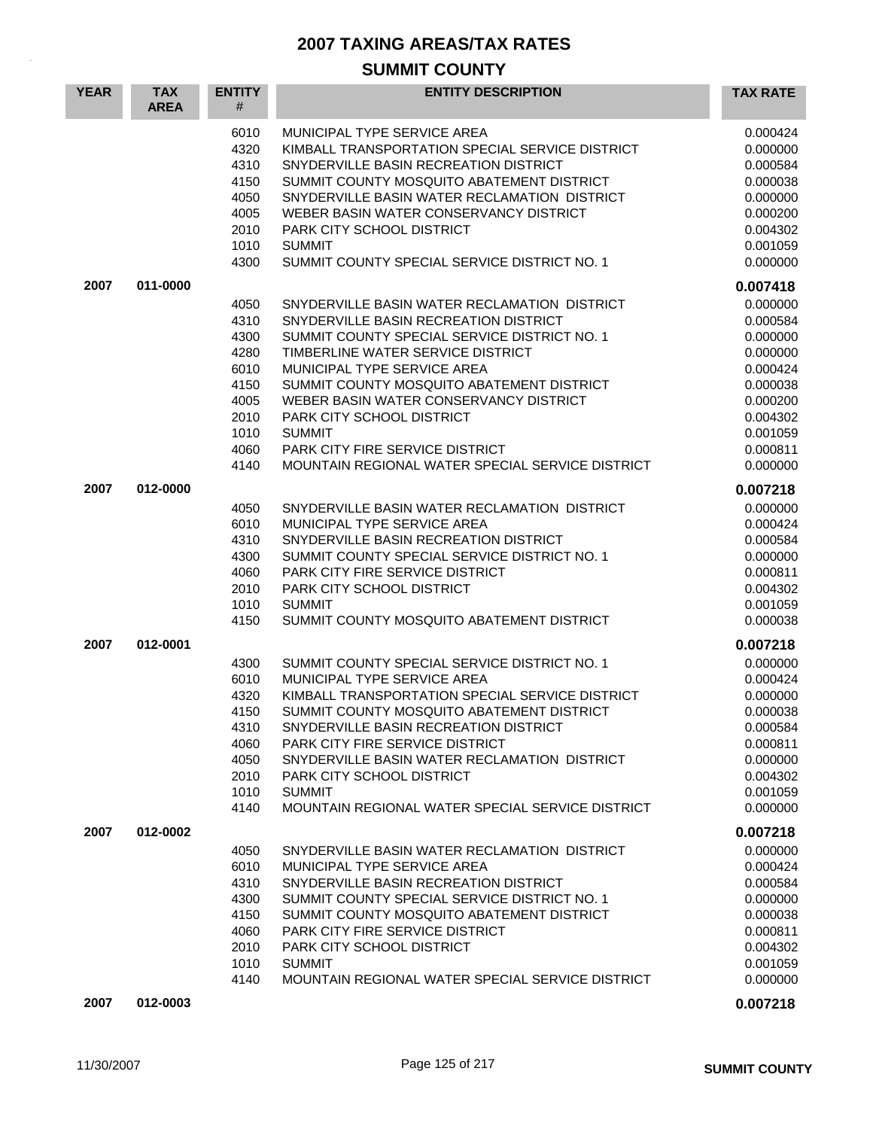| <b>YEAR</b> | <b>TAX</b><br><b>AREA</b> | <b>ENTITY</b><br>#                                                                   | <b>ENTITY DESCRIPTION</b>                                                                                                                                                                                                                                                                                                                                                                                                                           | <b>TAX RATE</b>                                                                                                                  |
|-------------|---------------------------|--------------------------------------------------------------------------------------|-----------------------------------------------------------------------------------------------------------------------------------------------------------------------------------------------------------------------------------------------------------------------------------------------------------------------------------------------------------------------------------------------------------------------------------------------------|----------------------------------------------------------------------------------------------------------------------------------|
|             |                           | 6010<br>4320<br>4310<br>4150<br>4050<br>4005<br>2010<br>1010<br>4300                 | MUNICIPAL TYPE SERVICE AREA<br>KIMBALL TRANSPORTATION SPECIAL SERVICE DISTRICT<br>SNYDERVILLE BASIN RECREATION DISTRICT<br>SUMMIT COUNTY MOSQUITO ABATEMENT DISTRICT<br>SNYDERVILLE BASIN WATER RECLAMATION DISTRICT<br>WEBER BASIN WATER CONSERVANCY DISTRICT<br>PARK CITY SCHOOL DISTRICT<br><b>SUMMIT</b><br>SUMMIT COUNTY SPECIAL SERVICE DISTRICT NO. 1                                                                                        | 0.000424<br>0.000000<br>0.000584<br>0.000038<br>0.000000<br>0.000200<br>0.004302<br>0.001059<br>0.000000                         |
| 2007        | 011-0000                  |                                                                                      |                                                                                                                                                                                                                                                                                                                                                                                                                                                     | 0.007418                                                                                                                         |
|             |                           | 4050<br>4310<br>4300<br>4280<br>6010<br>4150<br>4005<br>2010<br>1010<br>4060<br>4140 | SNYDERVILLE BASIN WATER RECLAMATION DISTRICT<br>SNYDERVILLE BASIN RECREATION DISTRICT<br>SUMMIT COUNTY SPECIAL SERVICE DISTRICT NO. 1<br>TIMBERLINE WATER SERVICE DISTRICT<br>MUNICIPAL TYPE SERVICE AREA<br>SUMMIT COUNTY MOSQUITO ABATEMENT DISTRICT<br>WEBER BASIN WATER CONSERVANCY DISTRICT<br><b>PARK CITY SCHOOL DISTRICT</b><br><b>SUMMIT</b><br><b>PARK CITY FIRE SERVICE DISTRICT</b><br>MOUNTAIN REGIONAL WATER SPECIAL SERVICE DISTRICT | 0.000000<br>0.000584<br>0.000000<br>0.000000<br>0.000424<br>0.000038<br>0.000200<br>0.004302<br>0.001059<br>0.000811<br>0.000000 |
| 2007        | 012-0000                  |                                                                                      |                                                                                                                                                                                                                                                                                                                                                                                                                                                     | 0.007218                                                                                                                         |
|             |                           | 4050<br>6010<br>4310<br>4300<br>4060<br>2010<br>1010<br>4150                         | SNYDERVILLE BASIN WATER RECLAMATION DISTRICT<br>MUNICIPAL TYPE SERVICE AREA<br>SNYDERVILLE BASIN RECREATION DISTRICT<br>SUMMIT COUNTY SPECIAL SERVICE DISTRICT NO. 1<br>PARK CITY FIRE SERVICE DISTRICT<br>PARK CITY SCHOOL DISTRICT<br><b>SUMMIT</b><br>SUMMIT COUNTY MOSQUITO ABATEMENT DISTRICT                                                                                                                                                  | 0.000000<br>0.000424<br>0.000584<br>0.000000<br>0.000811<br>0.004302<br>0.001059<br>0.000038                                     |
| 2007        | 012-0001                  |                                                                                      |                                                                                                                                                                                                                                                                                                                                                                                                                                                     | 0.007218                                                                                                                         |
|             |                           | 4300<br>6010<br>4320<br>4150<br>4310<br>4060<br>4050<br>2010<br>1010<br>4140         | SUMMIT COUNTY SPECIAL SERVICE DISTRICT NO. 1<br>MUNICIPAL TYPE SERVICE AREA<br>KIMBALL TRANSPORTATION SPECIAL SERVICE DISTRICT<br>SUMMIT COUNTY MOSQUITO ABATEMENT DISTRICT<br>SNYDERVILLE BASIN RECREATION DISTRICT<br><b>PARK CITY FIRE SERVICE DISTRICT</b><br>SNYDERVILLE BASIN WATER RECLAMATION DISTRICT<br>PARK CITY SCHOOL DISTRICT<br><b>SUMMIT</b><br>MOUNTAIN REGIONAL WATER SPECIAL SERVICE DISTRICT                                    | 0.000000<br>0.000424<br>0.000000<br>0.000038<br>0.000584<br>0.000811<br>0.000000<br>0.004302<br>0.001059<br>0.000000             |
| 2007        | 012-0002                  | 4050<br>6010<br>4310<br>4300<br>4150<br>4060<br>2010<br>1010                         | SNYDERVILLE BASIN WATER RECLAMATION DISTRICT<br>MUNICIPAL TYPE SERVICE AREA<br>SNYDERVILLE BASIN RECREATION DISTRICT<br>SUMMIT COUNTY SPECIAL SERVICE DISTRICT NO. 1<br>SUMMIT COUNTY MOSQUITO ABATEMENT DISTRICT<br><b>PARK CITY FIRE SERVICE DISTRICT</b><br><b>PARK CITY SCHOOL DISTRICT</b><br><b>SUMMIT</b>                                                                                                                                    | 0.007218<br>0.000000<br>0.000424<br>0.000584<br>0.000000<br>0.000038<br>0.000811<br>0.004302<br>0.001059                         |
| 2007        | 012-0003                  | 4140                                                                                 | MOUNTAIN REGIONAL WATER SPECIAL SERVICE DISTRICT                                                                                                                                                                                                                                                                                                                                                                                                    | 0.000000<br>0.007218                                                                                                             |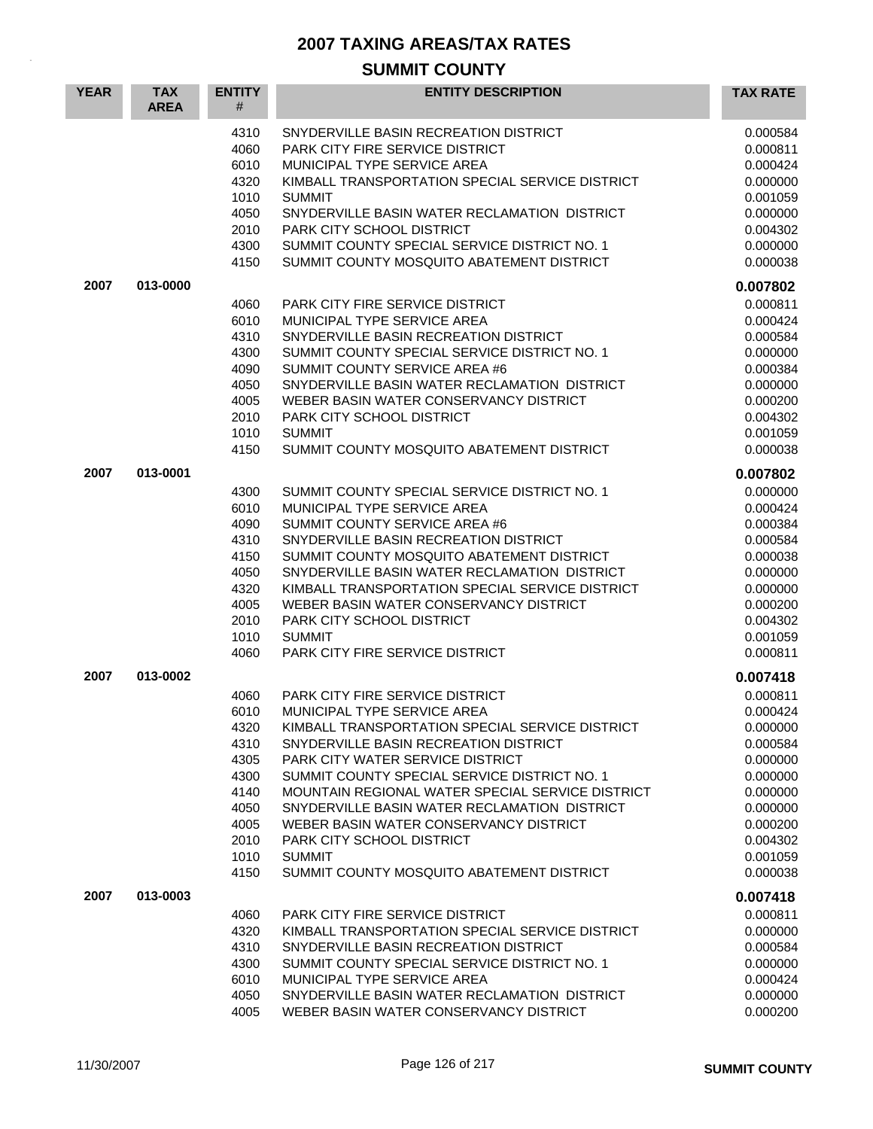| <b>YEAR</b> | <b>TAX</b><br><b>AREA</b> | <b>ENTITY</b><br>#   | <b>ENTITY DESCRIPTION</b>                                                                               | <b>TAX RATE</b>                  |
|-------------|---------------------------|----------------------|---------------------------------------------------------------------------------------------------------|----------------------------------|
|             |                           | 4310<br>4060<br>6010 | SNYDERVILLE BASIN RECREATION DISTRICT<br>PARK CITY FIRE SERVICE DISTRICT<br>MUNICIPAL TYPE SERVICE AREA | 0.000584<br>0.000811<br>0.000424 |
|             |                           | 4320<br>1010         | KIMBALL TRANSPORTATION SPECIAL SERVICE DISTRICT<br><b>SUMMIT</b>                                        | 0.000000<br>0.001059             |
|             |                           | 4050                 | SNYDERVILLE BASIN WATER RECLAMATION DISTRICT                                                            | 0.000000                         |
|             |                           | 2010<br>4300         | PARK CITY SCHOOL DISTRICT<br>SUMMIT COUNTY SPECIAL SERVICE DISTRICT NO. 1                               | 0.004302<br>0.000000             |
|             |                           | 4150                 | SUMMIT COUNTY MOSQUITO ABATEMENT DISTRICT                                                               | 0.000038                         |
| 2007        | 013-0000                  |                      |                                                                                                         | 0.007802                         |
|             |                           | 4060<br>6010         | <b>PARK CITY FIRE SERVICE DISTRICT</b>                                                                  | 0.000811                         |
|             |                           | 4310                 | MUNICIPAL TYPE SERVICE AREA<br>SNYDERVILLE BASIN RECREATION DISTRICT                                    | 0.000424<br>0.000584             |
|             |                           | 4300                 | SUMMIT COUNTY SPECIAL SERVICE DISTRICT NO. 1                                                            | 0.000000                         |
|             |                           | 4090                 | SUMMIT COUNTY SERVICE AREA #6                                                                           | 0.000384                         |
|             |                           | 4050                 | SNYDERVILLE BASIN WATER RECLAMATION DISTRICT                                                            | 0.000000                         |
|             |                           | 4005                 | WEBER BASIN WATER CONSERVANCY DISTRICT                                                                  | 0.000200                         |
|             |                           | 2010                 | PARK CITY SCHOOL DISTRICT                                                                               | 0.004302                         |
|             |                           | 1010<br>4150         | <b>SUMMIT</b><br>SUMMIT COUNTY MOSQUITO ABATEMENT DISTRICT                                              | 0.001059<br>0.000038             |
| 2007        | 013-0001                  |                      |                                                                                                         | 0.007802                         |
|             |                           | 4300                 | SUMMIT COUNTY SPECIAL SERVICE DISTRICT NO. 1                                                            | 0.000000                         |
|             |                           | 6010                 | MUNICIPAL TYPE SERVICE AREA                                                                             | 0.000424                         |
|             |                           | 4090                 | SUMMIT COUNTY SERVICE AREA #6                                                                           | 0.000384                         |
|             |                           | 4310                 | SNYDERVILLE BASIN RECREATION DISTRICT                                                                   | 0.000584                         |
|             |                           | 4150                 | SUMMIT COUNTY MOSQUITO ABATEMENT DISTRICT                                                               | 0.000038                         |
|             |                           | 4050<br>4320         | SNYDERVILLE BASIN WATER RECLAMATION DISTRICT<br>KIMBALL TRANSPORTATION SPECIAL SERVICE DISTRICT         | 0.000000                         |
|             |                           | 4005                 | WEBER BASIN WATER CONSERVANCY DISTRICT                                                                  | 0.000000<br>0.000200             |
|             |                           | 2010                 | PARK CITY SCHOOL DISTRICT                                                                               | 0.004302                         |
|             |                           | 1010                 | <b>SUMMIT</b>                                                                                           | 0.001059                         |
|             |                           | 4060                 | PARK CITY FIRE SERVICE DISTRICT                                                                         | 0.000811                         |
| 2007        | 013-0002                  |                      |                                                                                                         | 0.007418                         |
|             |                           | 4060<br>6010         | <b>PARK CITY FIRE SERVICE DISTRICT</b><br>MUNICIPAL TYPE SERVICE AREA                                   | 0.000811<br>0.000424             |
|             |                           | 4320                 | KIMBALL TRANSPORTATION SPECIAL SERVICE DISTRICT                                                         | 0.000000                         |
|             |                           | 4310                 | SNYDERVILLE BASIN RECREATION DISTRICT                                                                   | 0.000584                         |
|             |                           | 4305                 | PARK CITY WATER SERVICE DISTRICT                                                                        | 0.000000                         |
|             |                           | 4300                 | SUMMIT COUNTY SPECIAL SERVICE DISTRICT NO. 1                                                            | 0.000000                         |
|             |                           | 4140                 | MOUNTAIN REGIONAL WATER SPECIAL SERVICE DISTRICT                                                        | 0.000000                         |
|             |                           | 4050                 | SNYDERVILLE BASIN WATER RECLAMATION DISTRICT                                                            | 0.000000                         |
|             |                           | 4005                 | WEBER BASIN WATER CONSERVANCY DISTRICT                                                                  | 0.000200                         |
|             |                           | 2010<br>1010         | PARK CITY SCHOOL DISTRICT<br><b>SUMMIT</b>                                                              | 0.004302<br>0.001059             |
|             |                           | 4150                 | SUMMIT COUNTY MOSQUITO ABATEMENT DISTRICT                                                               | 0.000038                         |
| 2007        | 013-0003                  |                      |                                                                                                         | 0.007418                         |
|             |                           | 4060                 | PARK CITY FIRE SERVICE DISTRICT                                                                         | 0.000811                         |
|             |                           | 4320                 | KIMBALL TRANSPORTATION SPECIAL SERVICE DISTRICT                                                         | 0.000000                         |
|             |                           | 4310                 | SNYDERVILLE BASIN RECREATION DISTRICT                                                                   | 0.000584                         |
|             |                           | 4300<br>6010         | SUMMIT COUNTY SPECIAL SERVICE DISTRICT NO. 1<br>MUNICIPAL TYPE SERVICE AREA                             | 0.000000<br>0.000424             |
|             |                           | 4050                 | SNYDERVILLE BASIN WATER RECLAMATION DISTRICT                                                            | 0.000000                         |
|             |                           | 4005                 | WEBER BASIN WATER CONSERVANCY DISTRICT                                                                  | 0.000200                         |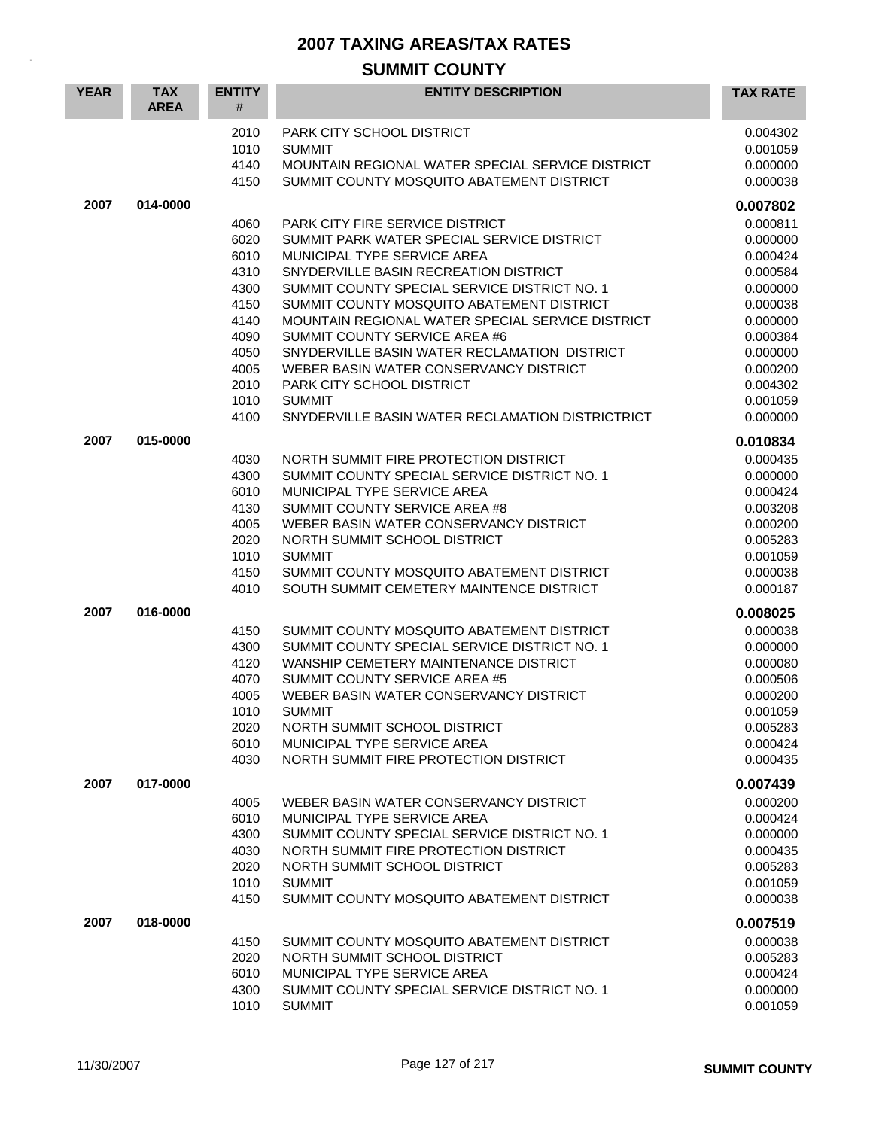| <b>YEAR</b> | <b>TAX</b><br><b>AREA</b> | <b>ENTITY</b><br># | <b>ENTITY DESCRIPTION</b>                                                             | <b>TAX RATE</b>      |
|-------------|---------------------------|--------------------|---------------------------------------------------------------------------------------|----------------------|
|             |                           | 2010               | PARK CITY SCHOOL DISTRICT                                                             | 0.004302             |
|             |                           | 1010<br>4140       | <b>SUMMIT</b><br>MOUNTAIN REGIONAL WATER SPECIAL SERVICE DISTRICT                     | 0.001059             |
|             |                           | 4150               | SUMMIT COUNTY MOSQUITO ABATEMENT DISTRICT                                             | 0.000000<br>0.000038 |
| 2007        | 014-0000                  |                    |                                                                                       | 0.007802             |
|             |                           | 4060               | PARK CITY FIRE SERVICE DISTRICT                                                       | 0.000811             |
|             |                           | 6020               | SUMMIT PARK WATER SPECIAL SERVICE DISTRICT                                            | 0.000000             |
|             |                           | 6010               | MUNICIPAL TYPE SERVICE AREA                                                           | 0.000424             |
|             |                           | 4310<br>4300       | SNYDERVILLE BASIN RECREATION DISTRICT<br>SUMMIT COUNTY SPECIAL SERVICE DISTRICT NO. 1 | 0.000584<br>0.000000 |
|             |                           | 4150               | SUMMIT COUNTY MOSQUITO ABATEMENT DISTRICT                                             | 0.000038             |
|             |                           | 4140               | MOUNTAIN REGIONAL WATER SPECIAL SERVICE DISTRICT                                      | 0.000000             |
|             |                           | 4090               | SUMMIT COUNTY SERVICE AREA #6                                                         | 0.000384             |
|             |                           | 4050               | SNYDERVILLE BASIN WATER RECLAMATION DISTRICT                                          | 0.000000             |
|             |                           | 4005               | WEBER BASIN WATER CONSERVANCY DISTRICT                                                | 0.000200             |
|             |                           | 2010               | PARK CITY SCHOOL DISTRICT                                                             | 0.004302             |
|             |                           | 1010               | <b>SUMMIT</b>                                                                         | 0.001059             |
|             |                           | 4100               | SNYDERVILLE BASIN WATER RECLAMATION DISTRICTRICT                                      | 0.000000             |
| 2007        | 015-0000                  |                    |                                                                                       | 0.010834             |
|             |                           | 4030               | NORTH SUMMIT FIRE PROTECTION DISTRICT                                                 | 0.000435             |
|             |                           | 4300               | SUMMIT COUNTY SPECIAL SERVICE DISTRICT NO. 1<br>MUNICIPAL TYPE SERVICE AREA           | 0.000000             |
|             |                           | 6010<br>4130       | SUMMIT COUNTY SERVICE AREA #8                                                         | 0.000424<br>0.003208 |
|             |                           | 4005               | WEBER BASIN WATER CONSERVANCY DISTRICT                                                | 0.000200             |
|             |                           | 2020               | NORTH SUMMIT SCHOOL DISTRICT                                                          | 0.005283             |
|             |                           | 1010               | <b>SUMMIT</b>                                                                         | 0.001059             |
|             |                           | 4150               | SUMMIT COUNTY MOSQUITO ABATEMENT DISTRICT                                             | 0.000038             |
|             |                           | 4010               | SOUTH SUMMIT CEMETERY MAINTENCE DISTRICT                                              | 0.000187             |
| 2007        | 016-0000                  |                    |                                                                                       | 0.008025             |
|             |                           | 4150               | SUMMIT COUNTY MOSQUITO ABATEMENT DISTRICT                                             | 0.000038             |
|             |                           | 4300               | SUMMIT COUNTY SPECIAL SERVICE DISTRICT NO. 1                                          | 0.000000             |
|             |                           | 4120               | WANSHIP CEMETERY MAINTENANCE DISTRICT                                                 | 0.000080             |
|             |                           | 4070<br>4005       | SUMMIT COUNTY SERVICE AREA #5<br>WEBER BASIN WATER CONSERVANCY DISTRICT               | 0.000506             |
|             |                           | 1010               | <b>SUMMIT</b>                                                                         | 0.000200<br>0.001059 |
|             |                           | 2020               | NORTH SUMMIT SCHOOL DISTRICT                                                          | 0.005283             |
|             |                           | 6010               | MUNICIPAL TYPE SERVICE AREA                                                           | 0.000424             |
|             |                           | 4030               | NORTH SUMMIT FIRE PROTECTION DISTRICT                                                 | 0.000435             |
| 2007        | 017-0000                  |                    |                                                                                       | 0.007439             |
|             |                           | 4005               | WEBER BASIN WATER CONSERVANCY DISTRICT                                                | 0.000200             |
|             |                           | 6010               | MUNICIPAL TYPE SERVICE AREA                                                           | 0.000424             |
|             |                           | 4300               | SUMMIT COUNTY SPECIAL SERVICE DISTRICT NO. 1                                          | 0.000000             |
|             |                           | 4030<br>2020       | NORTH SUMMIT FIRE PROTECTION DISTRICT<br>NORTH SUMMIT SCHOOL DISTRICT                 | 0.000435<br>0.005283 |
|             |                           | 1010               | <b>SUMMIT</b>                                                                         | 0.001059             |
|             |                           | 4150               | SUMMIT COUNTY MOSQUITO ABATEMENT DISTRICT                                             | 0.000038             |
| 2007        | 018-0000                  |                    |                                                                                       | 0.007519             |
|             |                           | 4150               | SUMMIT COUNTY MOSQUITO ABATEMENT DISTRICT                                             | 0.000038             |
|             |                           | 2020               | NORTH SUMMIT SCHOOL DISTRICT                                                          | 0.005283             |
|             |                           | 6010               | MUNICIPAL TYPE SERVICE AREA                                                           | 0.000424             |
|             |                           | 4300<br>1010       | SUMMIT COUNTY SPECIAL SERVICE DISTRICT NO. 1<br><b>SUMMIT</b>                         | 0.000000<br>0.001059 |
|             |                           |                    |                                                                                       |                      |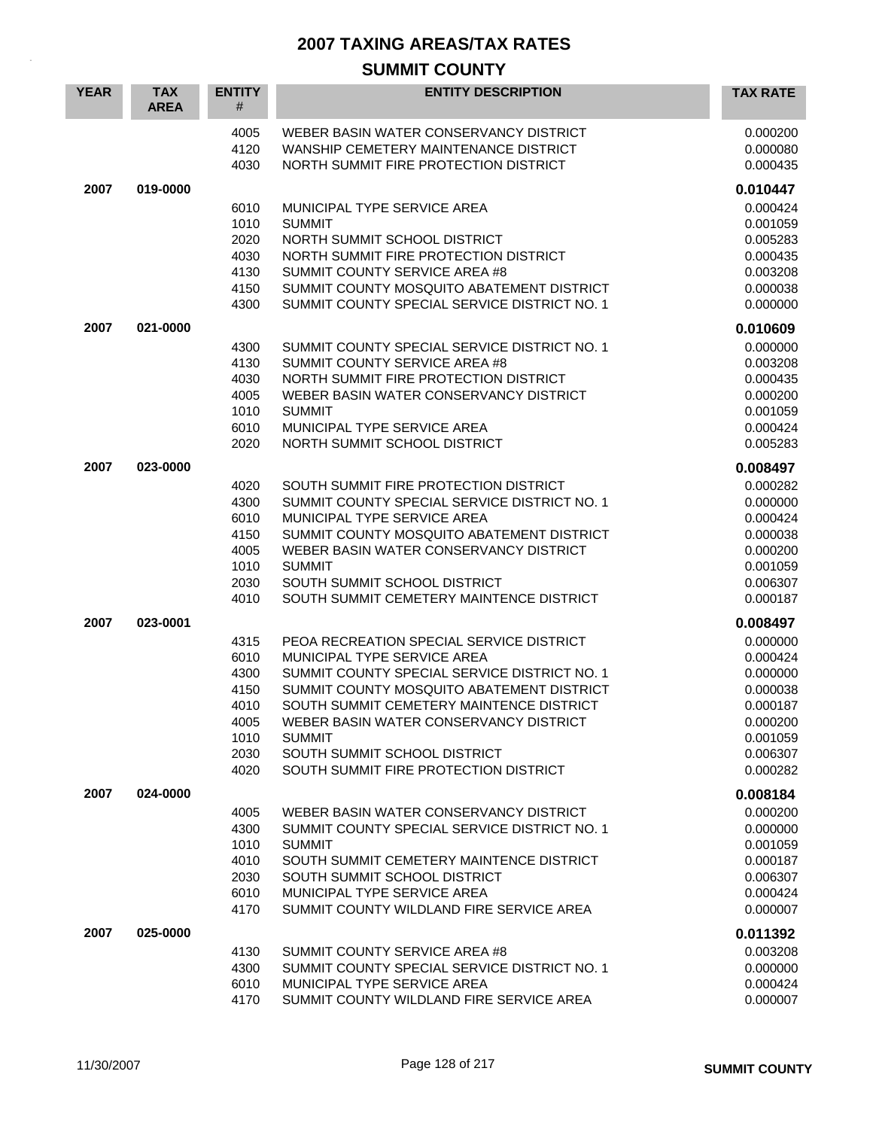#### **SUMMIT COUNTY YEAR TAX AREA ENTITY** # **ENTITY DESCRIPTION TAX RATE** 4005 WEBER BASIN WATER CONSERVANCY DISTRICT 0.000200 4120 WANSHIP CEMETERY MAINTENANCE DISTRICT 0.000080 4030 NORTH SUMMIT FIRE PROTECTION DISTRICT **1.1 COMMUNITY 10000435 2007 019-0000 0.010447** 6010 MUNICIPAL TYPE SERVICE AREA **1999 124 MUNICIPAL TYPE SERVICE** AREA 1010 SUMMIT 0.001059 2020 NORTH SUMMIT SCHOOL DISTRICT AND CONSEXED AND RESEARCH THE RESEARCH ORDER ON DISC AND A DISC ON DISC AND 4030 NORTH SUMMIT FIRE PROTECTION DISTRICT CONSUMING 10.000435 4130 SUMMIT COUNTY SERVICE AREA #8 0.003208 0.003208 4150 SUMMIT COUNTY MOSQUITO ABATEMENT DISTRICT 0.000038 4300 SUMMIT COUNTY SPECIAL SERVICE DISTRICT NO. 1 0.000000 **2007 021-0000 0.010609** 4300 SUMMIT COUNTY SPECIAL SERVICE DISTRICT NO. 1 0.000000 0000000 4130 SUMMIT COUNTY SERVICE AREA #8 0.003208 0.003208 4030 NORTH SUMMIT FIRE PROTECTION DISTRICT  $0.000435$ 4005 WEBER BASIN WATER CONSERVANCY DISTRICT CONSERVANCE COO 200 1010 SUMMIT 0.001059 6010 MUNICIPAL TYPE SERVICE AREA 0.000424 2020 NORTH SUMMIT SCHOOL DISTRICT AND CONSEXED AND RESEARCH THE RESEARCH ORDER ON DISC AND A DISC ON DISC AND **2007 023-0000 0.008497** 4020 SOUTH SUMMIT FIRE PROTECTION DISTRICT CONSUMING A REVOLUTION OR ANY 4300 SUMMIT COUNTY SPECIAL SERVICE DISTRICT NO. 1 0.000000 0000000 6010 MUNICIPAL TYPE SERVICE AREA 0.000424 4150 SUMMIT COUNTY MOSQUITO ABATEMENT DISTRICT **10000038** 0.000038 4005 WEBER BASIN WATER CONSERVANCY DISTRICT CONSERVANCE CONSERVERSE ORDER AND DELAY ASSESSMENT ORDER 1010 SUMMIT 0.001059 2030 SOUTH SUMMIT SCHOOL DISTRICT 0.006307 4010 SOUTH SUMMIT CEMETERY MAINTENCE DISTRICT COMPOUNDED AND 0.000187 **2007 023-0001 0.008497** 4315 PEOA RECREATION SPECIAL SERVICE DISTRICT 0.000000 6010 MUNICIPAL TYPE SERVICE AREA 0.000424 4300 SUMMIT COUNTY SPECIAL SERVICE DISTRICT NO. 1 0.000000 0.000000 4150 SUMMIT COUNTY MOSQUITO ABATEMENT DISTRICT 0.000038 4010 SOUTH SUMMIT CEMETERY MAINTENCE DISTRICT 0.000187 4005 WEBER BASIN WATER CONSERVANCY DISTRICT 0.000200 1010 SUMMIT 0.001059 2030 SOUTH SUMMIT SCHOOL DISTRICT 0.006307 4020 SOUTH SUMMIT FIRE PROTECTION DISTRICT 0.000282 **2007 024-0000 0.008184** 4005 WEBER BASIN WATER CONSERVANCY DISTRICT  $0.000200$ 4300 SUMMIT COUNTY SPECIAL SERVICE DISTRICT NO. 1 0.000000 0.000000 1010 SUMMIT 0.001059 4010 SOUTH SUMMIT CEMETERY MAINTENCE DISTRICT **1.1 Apr 10.000187** 2030 SOUTH SUMMIT SCHOOL DISTRICT And the control of the control of the control of the control of the control of the control of the control of the control of the control of the control of the control of the control of the 6010 MUNICIPAL TYPE SERVICE AREA 0.000424 4170 SUMMIT COUNTY WILDLAND FIRE SERVICE AREA 0.000007 **2007 025-0000 0.011392** 4130 SUMMIT COUNTY SERVICE AREA #8 0.003208 4300 SUMMIT COUNTY SPECIAL SERVICE DISTRICT NO. 1 0.000000 6010 MUNICIPAL TYPE SERVICE AREA **1990 124 MUNICIPAL TYPE** SERVICE AREA 4170 SUMMIT COUNTY WILDLAND FIRE SERVICE AREA 0.000007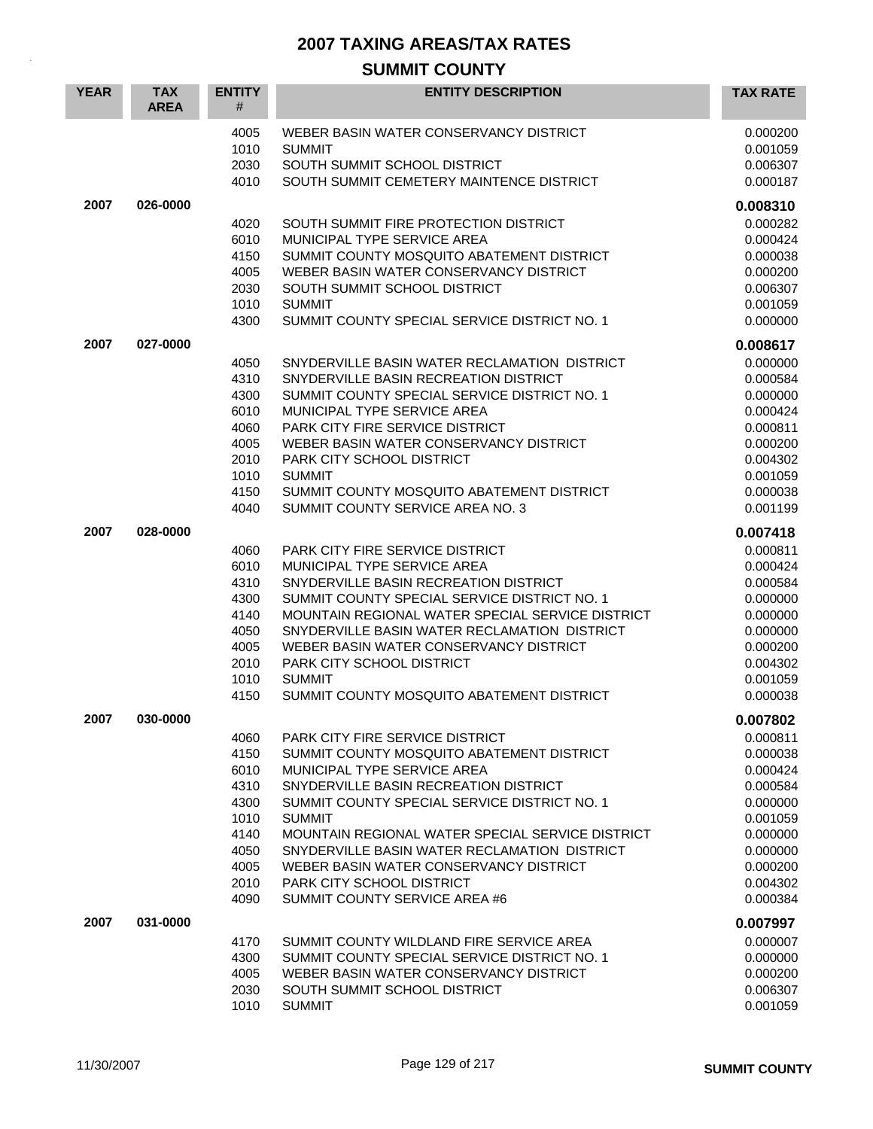| <b>YEAR</b> | <b>TAX</b><br><b>AREA</b> | <b>ENTITY</b><br>#   | <b>ENTITY DESCRIPTION</b>                                                               | <b>TAX RATE</b>                  |
|-------------|---------------------------|----------------------|-----------------------------------------------------------------------------------------|----------------------------------|
|             |                           | 4005<br>1010<br>2030 | WEBER BASIN WATER CONSERVANCY DISTRICT<br><b>SUMMIT</b><br>SOUTH SUMMIT SCHOOL DISTRICT | 0.000200<br>0.001059<br>0.006307 |
|             |                           | 4010                 | SOUTH SUMMIT CEMETERY MAINTENCE DISTRICT                                                | 0.000187                         |
| 2007        | 026-0000                  |                      |                                                                                         | 0.008310                         |
|             |                           | 4020<br>6010         | SOUTH SUMMIT FIRE PROTECTION DISTRICT<br>MUNICIPAL TYPE SERVICE AREA                    | 0.000282<br>0.000424             |
|             |                           | 4150<br>4005         | SUMMIT COUNTY MOSQUITO ABATEMENT DISTRICT<br>WEBER BASIN WATER CONSERVANCY DISTRICT     | 0.000038<br>0.000200             |
|             |                           | 2030                 | SOUTH SUMMIT SCHOOL DISTRICT                                                            | 0.006307                         |
|             |                           | 1010<br>4300         | <b>SUMMIT</b><br>SUMMIT COUNTY SPECIAL SERVICE DISTRICT NO. 1                           | 0.001059<br>0.000000             |
| 2007        | 027-0000                  |                      |                                                                                         | 0.008617                         |
|             |                           | 4050                 | SNYDERVILLE BASIN WATER RECLAMATION DISTRICT                                            | 0.000000                         |
|             |                           | 4310<br>4300         | SNYDERVILLE BASIN RECREATION DISTRICT<br>SUMMIT COUNTY SPECIAL SERVICE DISTRICT NO. 1   | 0.000584<br>0.000000             |
|             |                           | 6010                 | MUNICIPAL TYPE SERVICE AREA                                                             | 0.000424                         |
|             |                           | 4060                 | PARK CITY FIRE SERVICE DISTRICT                                                         | 0.000811                         |
|             |                           | 4005                 | WEBER BASIN WATER CONSERVANCY DISTRICT                                                  | 0.000200                         |
|             |                           | 2010                 | PARK CITY SCHOOL DISTRICT                                                               | 0.004302                         |
|             |                           | 1010<br>4150         | <b>SUMMIT</b><br>SUMMIT COUNTY MOSQUITO ABATEMENT DISTRICT                              | 0.001059<br>0.000038             |
|             |                           | 4040                 | SUMMIT COUNTY SERVICE AREA NO. 3                                                        | 0.001199                         |
| 2007        | 028-0000                  |                      |                                                                                         | 0.007418                         |
|             |                           | 4060                 | <b>PARK CITY FIRE SERVICE DISTRICT</b>                                                  | 0.000811                         |
|             |                           | 6010                 | MUNICIPAL TYPE SERVICE AREA                                                             | 0.000424                         |
|             |                           | 4310<br>4300         | SNYDERVILLE BASIN RECREATION DISTRICT<br>SUMMIT COUNTY SPECIAL SERVICE DISTRICT NO. 1   | 0.000584<br>0.000000             |
|             |                           | 4140                 | MOUNTAIN REGIONAL WATER SPECIAL SERVICE DISTRICT                                        | 0.000000                         |
|             |                           | 4050                 | SNYDERVILLE BASIN WATER RECLAMATION DISTRICT                                            | 0.000000                         |
|             |                           | 4005                 | WEBER BASIN WATER CONSERVANCY DISTRICT                                                  | 0.000200                         |
|             |                           | 2010                 | PARK CITY SCHOOL DISTRICT                                                               | 0.004302                         |
|             |                           | 1010                 | <b>SUMMIT</b>                                                                           | 0.001059                         |
|             |                           | 4150                 | SUMMIT COUNTY MOSQUITO ABATEMENT DISTRICT                                               | 0.000038                         |
| 2007        | 030-0000                  | 4060                 | PARK CITY FIRE SERVICE DISTRICT                                                         | 0.007802<br>0.000811             |
|             |                           | 4150                 | SUMMIT COUNTY MOSQUITO ABATEMENT DISTRICT                                               | 0.000038                         |
|             |                           | 6010                 | MUNICIPAL TYPE SERVICE AREA                                                             | 0.000424                         |
|             |                           | 4310                 | SNYDERVILLE BASIN RECREATION DISTRICT                                                   | 0.000584                         |
|             |                           | 4300                 | SUMMIT COUNTY SPECIAL SERVICE DISTRICT NO. 1                                            | 0.000000                         |
|             |                           | 1010                 | <b>SUMMIT</b><br>MOUNTAIN REGIONAL WATER SPECIAL SERVICE DISTRICT                       | 0.001059<br>0.000000             |
|             |                           | 4140<br>4050         | SNYDERVILLE BASIN WATER RECLAMATION DISTRICT                                            | 0.000000                         |
|             |                           | 4005                 | WEBER BASIN WATER CONSERVANCY DISTRICT                                                  | 0.000200                         |
|             |                           | 2010                 | PARK CITY SCHOOL DISTRICT                                                               | 0.004302                         |
|             |                           | 4090                 | SUMMIT COUNTY SERVICE AREA #6                                                           | 0.000384                         |
| 2007        | 031-0000                  |                      |                                                                                         | 0.007997                         |
|             |                           | 4170                 | SUMMIT COUNTY WILDLAND FIRE SERVICE AREA                                                | 0.000007                         |
|             |                           | 4300<br>4005         | SUMMIT COUNTY SPECIAL SERVICE DISTRICT NO. 1<br>WEBER BASIN WATER CONSERVANCY DISTRICT  | 0.000000<br>0.000200             |
|             |                           | 2030                 | SOUTH SUMMIT SCHOOL DISTRICT                                                            | 0.006307                         |
|             |                           | 1010                 | <b>SUMMIT</b>                                                                           | 0.001059                         |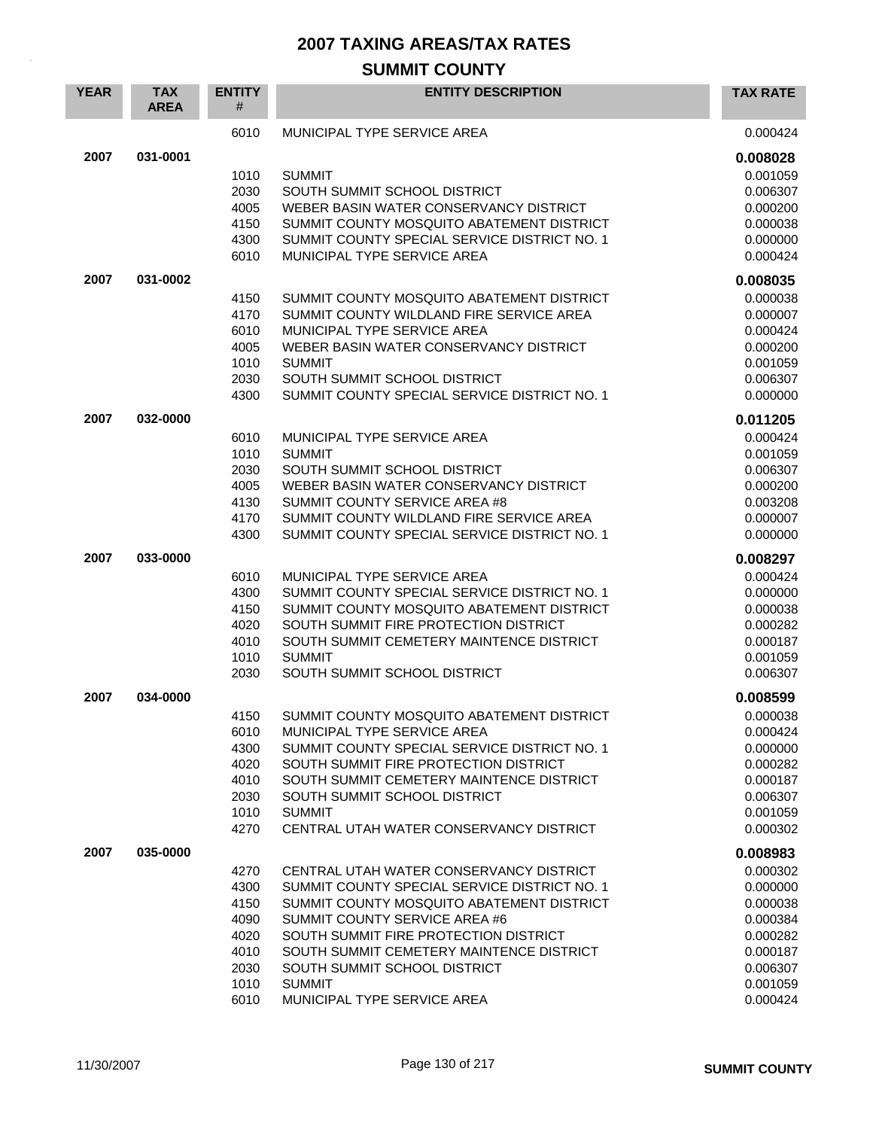| <b>YEAR</b> | <b>TAX</b><br><b>AREA</b> | <b>ENTITY</b><br># | <b>ENTITY DESCRIPTION</b>                                                                 | <b>TAX RATE</b>      |
|-------------|---------------------------|--------------------|-------------------------------------------------------------------------------------------|----------------------|
|             |                           | 6010               | MUNICIPAL TYPE SERVICE AREA                                                               | 0.000424             |
| 2007        | 031-0001                  |                    |                                                                                           | 0.008028             |
|             |                           | 1010               | <b>SUMMIT</b>                                                                             | 0.001059             |
|             |                           | 2030               | SOUTH SUMMIT SCHOOL DISTRICT                                                              | 0.006307             |
|             |                           | 4005               | WEBER BASIN WATER CONSERVANCY DISTRICT                                                    | 0.000200             |
|             |                           | 4150               | SUMMIT COUNTY MOSQUITO ABATEMENT DISTRICT                                                 | 0.000038             |
|             |                           | 4300               | SUMMIT COUNTY SPECIAL SERVICE DISTRICT NO. 1                                              | 0.000000             |
|             |                           | 6010               | MUNICIPAL TYPE SERVICE AREA                                                               | 0.000424             |
| 2007        | 031-0002                  |                    |                                                                                           | 0.008035             |
|             |                           | 4150               | SUMMIT COUNTY MOSQUITO ABATEMENT DISTRICT                                                 | 0.000038             |
|             |                           | 4170               | SUMMIT COUNTY WILDLAND FIRE SERVICE AREA                                                  | 0.000007             |
|             |                           | 6010               | MUNICIPAL TYPE SERVICE AREA                                                               | 0.000424             |
|             |                           | 4005               | WEBER BASIN WATER CONSERVANCY DISTRICT                                                    | 0.000200             |
|             |                           | 1010<br>2030       | <b>SUMMIT</b><br>SOUTH SUMMIT SCHOOL DISTRICT                                             | 0.001059<br>0.006307 |
|             |                           | 4300               | SUMMIT COUNTY SPECIAL SERVICE DISTRICT NO. 1                                              | 0.000000             |
|             |                           |                    |                                                                                           |                      |
| 2007        | 032-0000                  |                    |                                                                                           | 0.011205             |
|             |                           | 6010               | MUNICIPAL TYPE SERVICE AREA                                                               | 0.000424             |
|             |                           | 1010               | <b>SUMMIT</b>                                                                             | 0.001059             |
|             |                           | 2030<br>4005       | SOUTH SUMMIT SCHOOL DISTRICT<br>WEBER BASIN WATER CONSERVANCY DISTRICT                    | 0.006307<br>0.000200 |
|             |                           | 4130               | SUMMIT COUNTY SERVICE AREA #8                                                             | 0.003208             |
|             |                           | 4170               | SUMMIT COUNTY WILDLAND FIRE SERVICE AREA                                                  | 0.000007             |
|             |                           | 4300               | SUMMIT COUNTY SPECIAL SERVICE DISTRICT NO. 1                                              | 0.000000             |
| 2007        | 033-0000                  |                    |                                                                                           | 0.008297             |
|             |                           | 6010               | MUNICIPAL TYPE SERVICE AREA                                                               | 0.000424             |
|             |                           | 4300               | SUMMIT COUNTY SPECIAL SERVICE DISTRICT NO. 1                                              | 0.000000             |
|             |                           | 4150               | SUMMIT COUNTY MOSQUITO ABATEMENT DISTRICT                                                 | 0.000038             |
|             |                           | 4020               | SOUTH SUMMIT FIRE PROTECTION DISTRICT                                                     | 0.000282             |
|             |                           | 4010               | SOUTH SUMMIT CEMETERY MAINTENCE DISTRICT                                                  | 0.000187             |
|             |                           | 1010               | <b>SUMMIT</b>                                                                             | 0.001059             |
|             |                           | 2030               | SOUTH SUMMIT SCHOOL DISTRICT                                                              | 0.006307             |
| 2007        | 034-0000                  |                    |                                                                                           | 0.008599             |
|             |                           | 4150               | SUMMIT COUNTY MOSQUITO ABATEMENT DISTRICT                                                 | 0.000038             |
|             |                           | 6010               | MUNICIPAL TYPE SERVICE AREA                                                               | 0.000424             |
|             |                           | 4300               | SUMMIT COUNTY SPECIAL SERVICE DISTRICT NO. 1                                              | 0.000000             |
|             |                           | 4020               | SOUTH SUMMIT FIRE PROTECTION DISTRICT                                                     | 0.000282             |
|             |                           | 4010               | SOUTH SUMMIT CEMETERY MAINTENCE DISTRICT                                                  | 0.000187             |
|             |                           | 2030               | SOUTH SUMMIT SCHOOL DISTRICT<br><b>SUMMIT</b>                                             | 0.006307<br>0.001059 |
|             |                           | 1010<br>4270       | CENTRAL UTAH WATER CONSERVANCY DISTRICT                                                   | 0.000302             |
|             |                           |                    |                                                                                           |                      |
| 2007        | 035-0000                  |                    |                                                                                           | 0.008983             |
|             |                           | 4270               | CENTRAL UTAH WATER CONSERVANCY DISTRICT                                                   | 0.000302             |
|             |                           | 4300<br>4150       | SUMMIT COUNTY SPECIAL SERVICE DISTRICT NO. 1<br>SUMMIT COUNTY MOSQUITO ABATEMENT DISTRICT | 0.000000             |
|             |                           | 4090               | SUMMIT COUNTY SERVICE AREA #6                                                             | 0.000038<br>0.000384 |
|             |                           | 4020               | SOUTH SUMMIT FIRE PROTECTION DISTRICT                                                     | 0.000282             |
|             |                           | 4010               | SOUTH SUMMIT CEMETERY MAINTENCE DISTRICT                                                  | 0.000187             |
|             |                           | 2030               | SOUTH SUMMIT SCHOOL DISTRICT                                                              | 0.006307             |
|             |                           | 1010               | <b>SUMMIT</b>                                                                             | 0.001059             |
|             |                           | 6010               | MUNICIPAL TYPE SERVICE AREA                                                               | 0.000424             |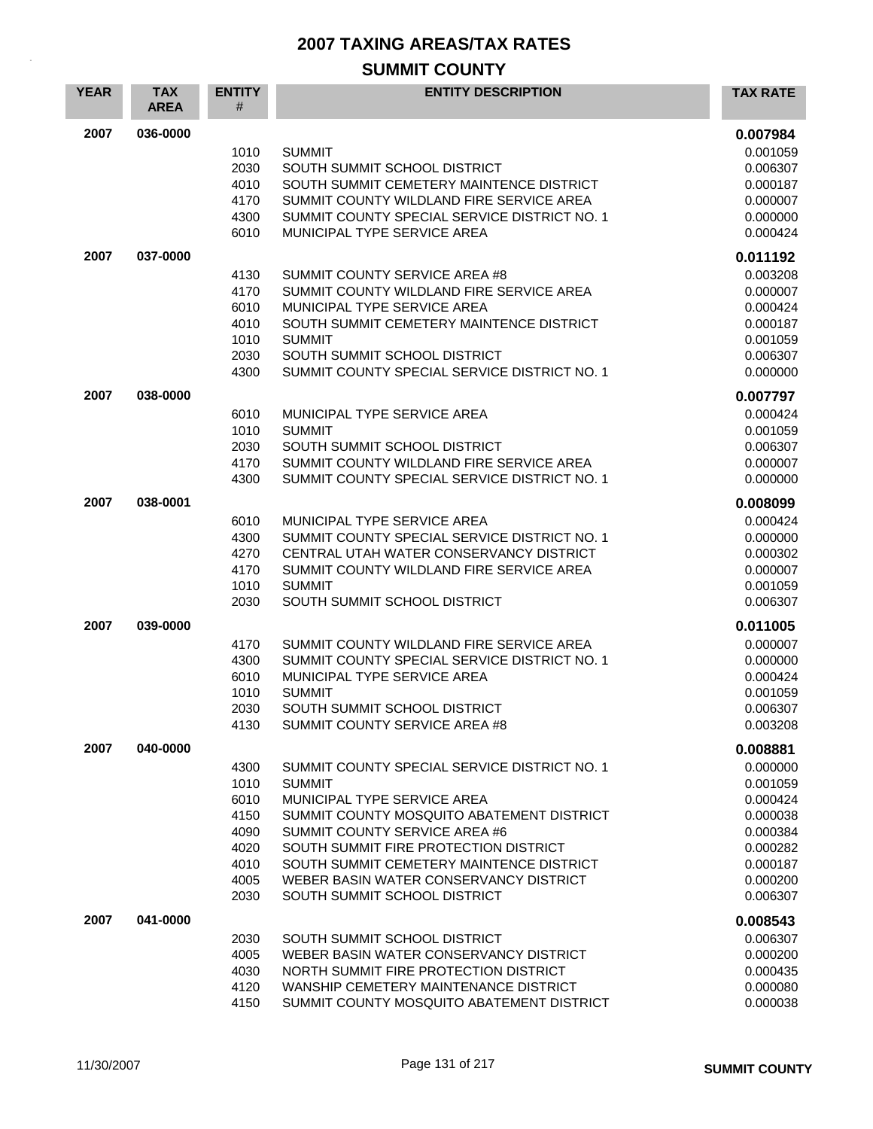| <b>YEAR</b> | <b>TAX</b><br><b>AREA</b> | <b>ENTITY</b><br># | <b>ENTITY DESCRIPTION</b>                                                                | <b>TAX RATE</b>      |
|-------------|---------------------------|--------------------|------------------------------------------------------------------------------------------|----------------------|
| 2007        | 036-0000                  |                    |                                                                                          | 0.007984             |
|             |                           | 1010               | <b>SUMMIT</b>                                                                            | 0.001059             |
|             |                           | 2030<br>4010       | SOUTH SUMMIT SCHOOL DISTRICT<br>SOUTH SUMMIT CEMETERY MAINTENCE DISTRICT                 | 0.006307<br>0.000187 |
|             |                           | 4170               | SUMMIT COUNTY WILDLAND FIRE SERVICE AREA                                                 | 0.000007             |
|             |                           | 4300               | SUMMIT COUNTY SPECIAL SERVICE DISTRICT NO. 1                                             | 0.000000             |
|             |                           | 6010               | MUNICIPAL TYPE SERVICE AREA                                                              | 0.000424             |
| 2007        | 037-0000                  |                    |                                                                                          | 0.011192             |
|             |                           | 4130               | SUMMIT COUNTY SERVICE AREA #8                                                            | 0.003208             |
|             |                           | 4170               | SUMMIT COUNTY WILDLAND FIRE SERVICE AREA                                                 | 0.000007             |
|             |                           | 6010<br>4010       | MUNICIPAL TYPE SERVICE AREA<br>SOUTH SUMMIT CEMETERY MAINTENCE DISTRICT                  | 0.000424             |
|             |                           | 1010               | <b>SUMMIT</b>                                                                            | 0.000187<br>0.001059 |
|             |                           | 2030               | SOUTH SUMMIT SCHOOL DISTRICT                                                             | 0.006307             |
|             |                           | 4300               | SUMMIT COUNTY SPECIAL SERVICE DISTRICT NO. 1                                             | 0.000000             |
| 2007        | 038-0000                  |                    |                                                                                          | 0.007797             |
|             |                           | 6010               | MUNICIPAL TYPE SERVICE AREA                                                              | 0.000424             |
|             |                           | 1010               | <b>SUMMIT</b>                                                                            | 0.001059             |
|             |                           | 2030               | SOUTH SUMMIT SCHOOL DISTRICT                                                             | 0.006307             |
|             |                           | 4170<br>4300       | SUMMIT COUNTY WILDLAND FIRE SERVICE AREA<br>SUMMIT COUNTY SPECIAL SERVICE DISTRICT NO. 1 | 0.000007<br>0.000000 |
|             |                           |                    |                                                                                          |                      |
| 2007        | 038-0001                  |                    |                                                                                          | 0.008099             |
|             |                           | 6010<br>4300       | MUNICIPAL TYPE SERVICE AREA<br>SUMMIT COUNTY SPECIAL SERVICE DISTRICT NO. 1              | 0.000424<br>0.000000 |
|             |                           | 4270               | CENTRAL UTAH WATER CONSERVANCY DISTRICT                                                  | 0.000302             |
|             |                           | 4170               | SUMMIT COUNTY WILDLAND FIRE SERVICE AREA                                                 | 0.000007             |
|             |                           | 1010               | <b>SUMMIT</b>                                                                            | 0.001059             |
|             |                           | 2030               | SOUTH SUMMIT SCHOOL DISTRICT                                                             | 0.006307             |
| 2007        | 039-0000                  |                    |                                                                                          | 0.011005             |
|             |                           | 4170               | SUMMIT COUNTY WILDLAND FIRE SERVICE AREA                                                 | 0.000007             |
|             |                           | 4300               | SUMMIT COUNTY SPECIAL SERVICE DISTRICT NO. 1                                             | 0.000000             |
|             |                           | 6010<br>1010       | MUNICIPAL TYPE SERVICE AREA<br><b>SUMMIT</b>                                             | 0.000424<br>0.001059 |
|             |                           | 2030               | SOUTH SUMMIT SCHOOL DISTRICT                                                             | 0.006307             |
|             |                           | 4130               | SUMMIT COUNTY SERVICE AREA #8                                                            | 0.003208             |
| 2007        | 040-0000                  |                    |                                                                                          | 0.008881             |
|             |                           | 4300               | SUMMIT COUNTY SPECIAL SERVICE DISTRICT NO. 1                                             | 0.000000             |
|             |                           | 1010               | <b>SUMMIT</b>                                                                            | 0.001059             |
|             |                           | 6010               | MUNICIPAL TYPE SERVICE AREA                                                              | 0.000424             |
|             |                           | 4150               | SUMMIT COUNTY MOSQUITO ABATEMENT DISTRICT                                                | 0.000038             |
|             |                           | 4090<br>4020       | SUMMIT COUNTY SERVICE AREA #6<br>SOUTH SUMMIT FIRE PROTECTION DISTRICT                   | 0.000384<br>0.000282 |
|             |                           | 4010               | SOUTH SUMMIT CEMETERY MAINTENCE DISTRICT                                                 | 0.000187             |
|             |                           | 4005               | WEBER BASIN WATER CONSERVANCY DISTRICT                                                   | 0.000200             |
|             |                           | 2030               | SOUTH SUMMIT SCHOOL DISTRICT                                                             | 0.006307             |
| 2007        | 041-0000                  |                    |                                                                                          | 0.008543             |
|             |                           | 2030               | SOUTH SUMMIT SCHOOL DISTRICT                                                             | 0.006307             |
|             |                           | 4005               | WEBER BASIN WATER CONSERVANCY DISTRICT                                                   | 0.000200             |
|             |                           | 4030               | NORTH SUMMIT FIRE PROTECTION DISTRICT                                                    | 0.000435             |
|             |                           | 4120<br>4150       | WANSHIP CEMETERY MAINTENANCE DISTRICT<br>SUMMIT COUNTY MOSQUITO ABATEMENT DISTRICT       | 0.000080<br>0.000038 |
|             |                           |                    |                                                                                          |                      |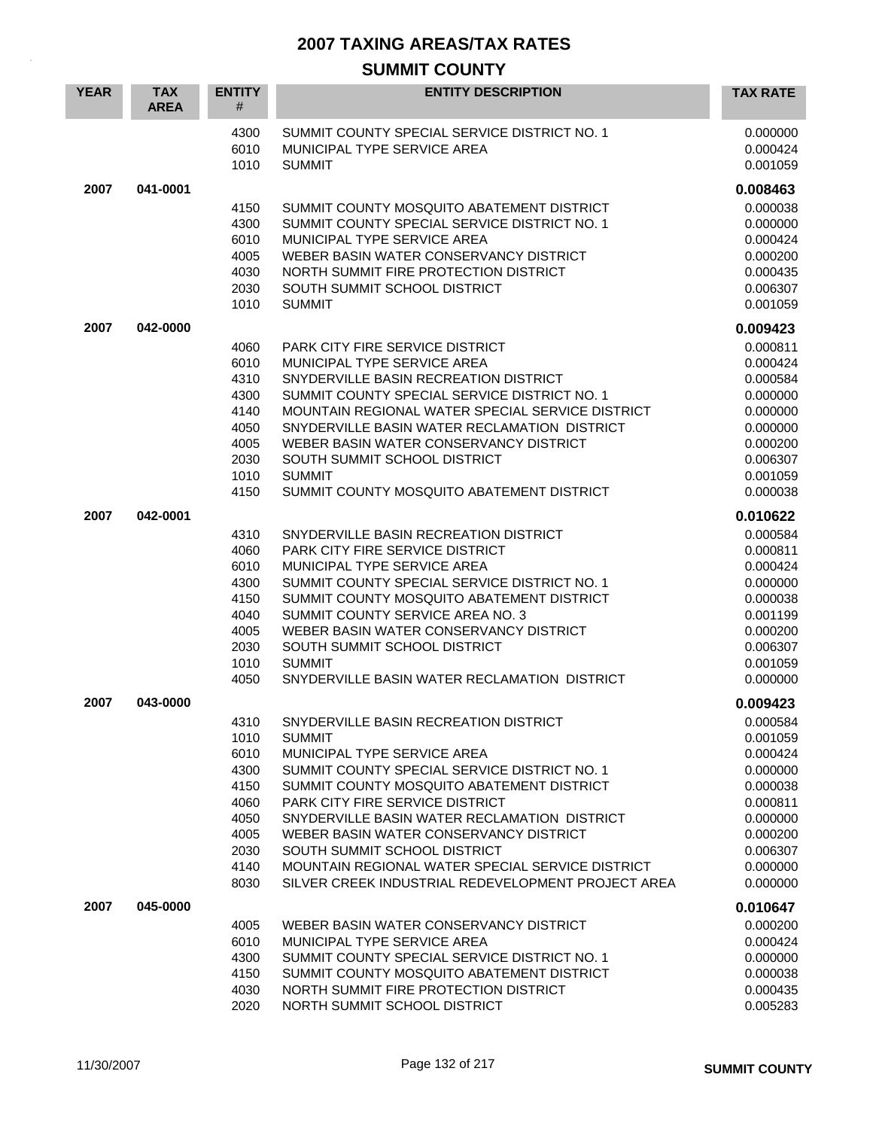#### **SUMMIT COUNTY YEAR TAX AREA ENTITY** # **ENTITY DESCRIPTION TAX RATE** 4300 SUMMIT COUNTY SPECIAL SERVICE DISTRICT NO. 1 0.000000 000000 6010 MUNICIPAL TYPE SERVICE AREA 0.000424 1010 SUMMIT 0.001059 **2007 041-0001 0.008463** 4150 SUMMIT COUNTY MOSQUITO ABATEMENT DISTRICT 0.000038 4300 SUMMIT COUNTY SPECIAL SERVICE DISTRICT NO. 1 0.000000 0.000000 6010 MUNICIPAL TYPE SERVICE AREA **1990 124 MUNICIPAL TYPE SERVICE** AREA 4005 WEBER BASIN WATER CONSERVANCY DISTRICT CONSERVANCE CONSERVERSE ORDER AND DELIVER ON A 2000200 4030 NORTH SUMMIT FIRE PROTECTION DISTRICT CONSUMING 10.000435 2030 SOUTH SUMMIT SCHOOL DISTRICT 0.006307 1010 SUMMIT 0.001059 **2007 042-0000 0.009423** 4060 PARK CITY FIRE SERVICE DISTRICT And the contract of the contract of the contract of the contract of the contract of the contract of the contract of the contract of the contract of the contract of the contract of the c 6010 MUNICIPAL TYPE SERVICE AREA 0.000424 4310 SNYDERVILLE BASIN RECREATION DISTRICT And the state of the state of the state of the state of the state o 4300 SUMMIT COUNTY SPECIAL SERVICE DISTRICT NO. 1 0.000000 0.000000 4140 MOUNTAIN REGIONAL WATER SPECIAL SERVICE DISTRICT 0.000000 4050 SNYDERVILLE BASIN WATER RECLAMATION DISTRICT 0.000000 4005 WEBER BASIN WATER CONSERVANCY DISTRICT CONSERVANCE 20.000200 2030 SOUTH SUMMIT SCHOOL DISTRICT And the control of the control of the control of the control of the control or the control of the control of the control of the control of the control of the control of the control of the 1010 SUMMIT 0.001059 4150 SUMMIT COUNTY MOSQUITO ABATEMENT DISTRICT 0.000038 **2007 042-0001 0.010622** 4310 SNYDERVILLE BASIN RECREATION DISTRICT 6.000584 4060 PARK CITY FIRE SERVICE DISTRICT And the contract of the contract of the contract of the contract of the contract of the contract of the contract of the contract of the contract of the contract of the contract of the c 6010 MUNICIPAL TYPE SERVICE AREA 0.000424 4300 SUMMIT COUNTY SPECIAL SERVICE DISTRICT NO. 1 0.000000 0.000000 4150 SUMMIT COUNTY MOSQUITO ABATEMENT DISTRICT 0.000038 4040 SUMMIT COUNTY SERVICE AREA NO. 3 0.001199 4005 WEBER BASIN WATER CONSERVANCY DISTRICT **1.1 CONSERVANCY DISTRICT** 0.000200 2030 SOUTH SUMMIT SCHOOL DISTRICT And the control of the control of the control of the control of the control of the control of the control of the control of the control of the control of the control of the control of the 1010 SUMMIT 0.001059 4050 SNYDERVILLE BASIN WATER RECLAMATION DISTRICT 0.000000 **2007 043-0000 0.009423** 4310 SNYDERVILLE BASIN RECREATION DISTRICT 0.000584 1010 SUMMIT 0.001059 6010 MUNICIPAL TYPE SERVICE AREA 0.000424 4300 SUMMIT COUNTY SPECIAL SERVICE DISTRICT NO. 1 0.0000000 4150 SUMMIT COUNTY MOSQUITO ABATEMENT DISTRICT 0.000038 4060 PARK CITY FIRE SERVICE DISTRICT And the contract of the contract of the contract of the contract of the contract of the contract of the contract of the contract of the contract of the contract of the contract of the c 4050 SNYDERVILLE BASIN WATER RECLAMATION DISTRICT 0.000000 4005 WEBER BASIN WATER CONSERVANCY DISTRICT CONSERVANCE 20.000200 2030 SOUTH SUMMIT SCHOOL DISTRICT 0.006307 4140 MOUNTAIN REGIONAL WATER SPECIAL SERVICE DISTRICT 0.000000 8030 SILVER CREEK INDUSTRIAL REDEVELOPMENT PROJECT AREA 0.000000 **2007 045-0000 0.010647** 4005 WEBER BASIN WATER CONSERVANCY DISTRICT CONSERVANCY OUTSIDE AND DUGLARY ORDER ON DETAIL AND DUGLARY ON DU 6010 MUNICIPAL TYPE SERVICE AREA 0.000424 4300 SUMMIT COUNTY SPECIAL SERVICE DISTRICT NO. 1 0.000000 4150 SUMMIT COUNTY MOSQUITO ABATEMENT DISTRICT 0.000038 4030 NORTH SUMMIT FIRE PROTECTION DISTRICT 0.000435 2020 NORTH SUMMIT SCHOOL DISTRICT AND CONSESSED AND RESEARCH THE RESEARCH ON DESCRIPTION ON A DISCOVER ON DESCRIPTION ON A DISCOVER ON A DISCOVER ON DESCRIPTION ON A DISCOVER ON A DISCOVER ON A DISCOVER ON A DISCOVER ON A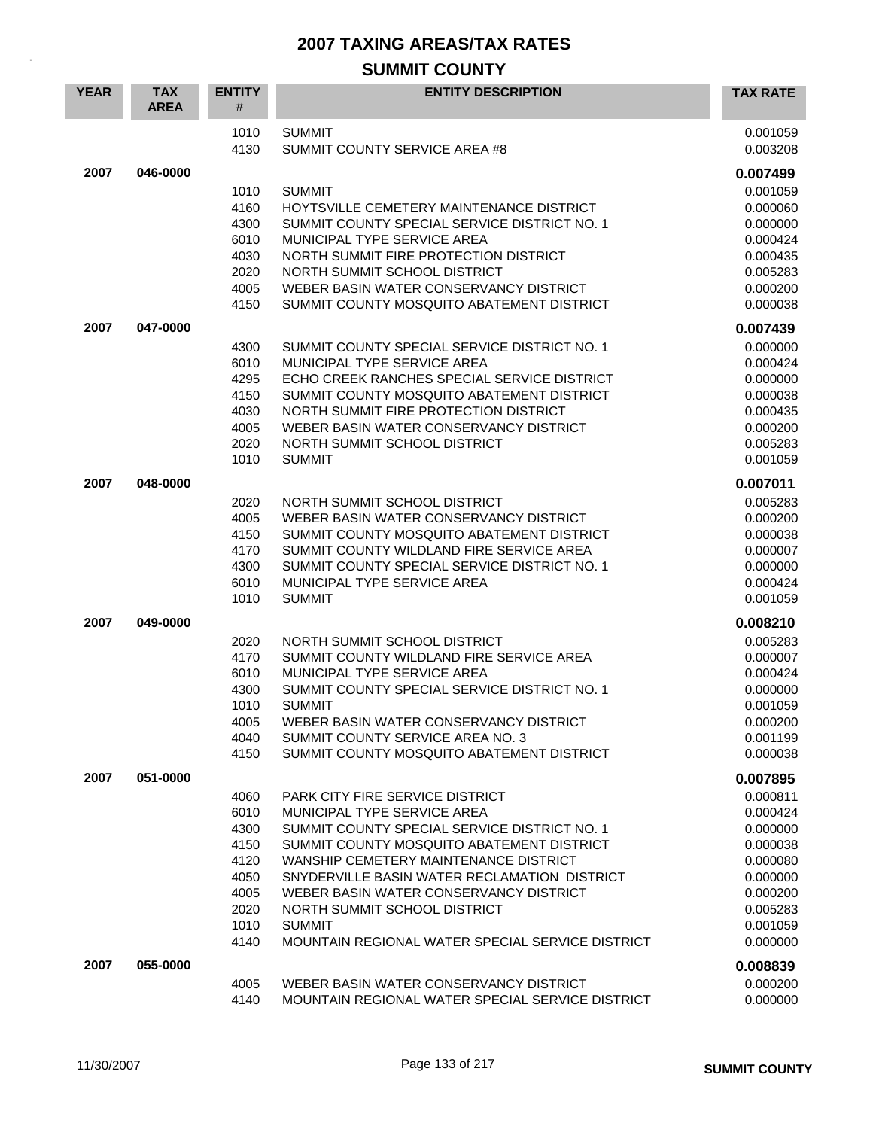| <b>YEAR</b> | <b>TAX</b><br><b>AREA</b> | <b>ENTITY</b><br># | <b>ENTITY DESCRIPTION</b>                                                              | <b>TAX RATE</b>      |
|-------------|---------------------------|--------------------|----------------------------------------------------------------------------------------|----------------------|
|             |                           | 1010<br>4130       | <b>SUMMIT</b><br>SUMMIT COUNTY SERVICE AREA #8                                         | 0.001059<br>0.003208 |
| 2007        | 046-0000                  |                    |                                                                                        | 0.007499             |
|             |                           | 1010               | <b>SUMMIT</b>                                                                          | 0.001059             |
|             |                           | 4160               | HOYTSVILLE CEMETERY MAINTENANCE DISTRICT                                               | 0.000060             |
|             |                           | 4300               | SUMMIT COUNTY SPECIAL SERVICE DISTRICT NO. 1                                           | 0.000000             |
|             |                           | 6010               | MUNICIPAL TYPE SERVICE AREA                                                            | 0.000424             |
|             |                           | 4030               | NORTH SUMMIT FIRE PROTECTION DISTRICT                                                  | 0.000435             |
|             |                           | 2020<br>4005       | NORTH SUMMIT SCHOOL DISTRICT<br>WEBER BASIN WATER CONSERVANCY DISTRICT                 | 0.005283             |
|             |                           | 4150               | SUMMIT COUNTY MOSQUITO ABATEMENT DISTRICT                                              | 0.000200<br>0.000038 |
|             |                           |                    |                                                                                        |                      |
| 2007        | 047-0000                  |                    |                                                                                        | 0.007439             |
|             |                           | 4300<br>6010       | SUMMIT COUNTY SPECIAL SERVICE DISTRICT NO. 1<br>MUNICIPAL TYPE SERVICE AREA            | 0.000000<br>0.000424 |
|             |                           | 4295               | ECHO CREEK RANCHES SPECIAL SERVICE DISTRICT                                            | 0.000000             |
|             |                           | 4150               | SUMMIT COUNTY MOSQUITO ABATEMENT DISTRICT                                              | 0.000038             |
|             |                           | 4030               | NORTH SUMMIT FIRE PROTECTION DISTRICT                                                  | 0.000435             |
|             |                           | 4005               | WEBER BASIN WATER CONSERVANCY DISTRICT                                                 | 0.000200             |
|             |                           | 2020               | NORTH SUMMIT SCHOOL DISTRICT                                                           | 0.005283             |
|             |                           | 1010               | <b>SUMMIT</b>                                                                          | 0.001059             |
| 2007        | 048-0000                  |                    |                                                                                        | 0.007011             |
|             |                           | 2020               | NORTH SUMMIT SCHOOL DISTRICT                                                           | 0.005283             |
|             |                           | 4005               | WEBER BASIN WATER CONSERVANCY DISTRICT                                                 | 0.000200             |
|             |                           | 4150               | SUMMIT COUNTY MOSQUITO ABATEMENT DISTRICT                                              | 0.000038             |
|             |                           | 4170               | SUMMIT COUNTY WILDLAND FIRE SERVICE AREA                                               | 0.000007             |
|             |                           | 4300<br>6010       | SUMMIT COUNTY SPECIAL SERVICE DISTRICT NO. 1<br>MUNICIPAL TYPE SERVICE AREA            | 0.000000             |
|             |                           | 1010               | <b>SUMMIT</b>                                                                          | 0.000424<br>0.001059 |
|             |                           |                    |                                                                                        |                      |
| 2007        | 049-0000                  |                    |                                                                                        | 0.008210             |
|             |                           | 2020<br>4170       | NORTH SUMMIT SCHOOL DISTRICT<br>SUMMIT COUNTY WILDLAND FIRE SERVICE AREA               | 0.005283<br>0.000007 |
|             |                           | 6010               | MUNICIPAL TYPE SERVICE AREA                                                            | 0.000424             |
|             |                           | 4300               | SUMMIT COUNTY SPECIAL SERVICE DISTRICT NO. 1                                           | 0.000000             |
|             |                           | 1010               | <b>SUMMIT</b>                                                                          | 0.001059             |
|             |                           | 4005               | WEBER BASIN WATER CONSERVANCY DISTRICT                                                 | 0.000200             |
|             |                           | 4040               | SUMMIT COUNTY SERVICE AREA NO. 3                                                       | 0.001199             |
|             |                           | 4150               | SUMMIT COUNTY MOSQUITO ABATEMENT DISTRICT                                              | 0.000038             |
| 2007        | 051-0000                  |                    |                                                                                        | 0.007895             |
|             |                           | 4060               | <b>PARK CITY FIRE SERVICE DISTRICT</b>                                                 | 0.000811             |
|             |                           | 6010               | MUNICIPAL TYPE SERVICE AREA                                                            | 0.000424             |
|             |                           | 4300               | SUMMIT COUNTY SPECIAL SERVICE DISTRICT NO. 1                                           | 0.000000             |
|             |                           | 4150               | SUMMIT COUNTY MOSQUITO ABATEMENT DISTRICT                                              | 0.000038             |
|             |                           | 4120               | WANSHIP CEMETERY MAINTENANCE DISTRICT                                                  | 0.000080             |
|             |                           | 4050<br>4005       | SNYDERVILLE BASIN WATER RECLAMATION DISTRICT<br>WEBER BASIN WATER CONSERVANCY DISTRICT | 0.000000<br>0.000200 |
|             |                           | 2020               | NORTH SUMMIT SCHOOL DISTRICT                                                           | 0.005283             |
|             |                           | 1010               | <b>SUMMIT</b>                                                                          | 0.001059             |
|             |                           | 4140               | MOUNTAIN REGIONAL WATER SPECIAL SERVICE DISTRICT                                       | 0.000000             |
| 2007        | 055-0000                  |                    |                                                                                        | 0.008839             |
|             |                           | 4005               | WEBER BASIN WATER CONSERVANCY DISTRICT                                                 | 0.000200             |
|             |                           | 4140               | MOUNTAIN REGIONAL WATER SPECIAL SERVICE DISTRICT                                       | 0.000000             |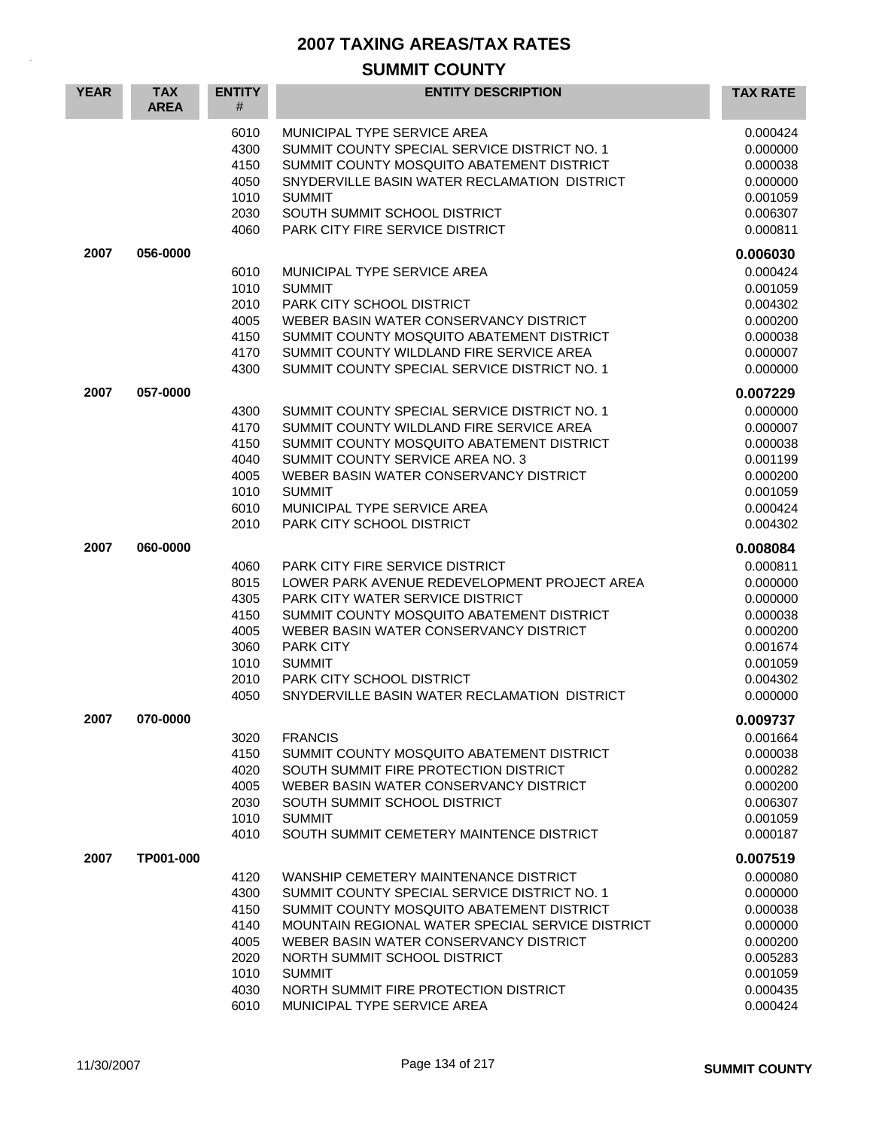| <b>YEAR</b> | <b>TAX</b><br><b>AREA</b> | <b>ENTITY</b><br>#                                                   | <b>ENTITY DESCRIPTION</b>                                                                                                                                                                                                                                                                                                                                 | <b>TAX RATE</b>                                                                                          |
|-------------|---------------------------|----------------------------------------------------------------------|-----------------------------------------------------------------------------------------------------------------------------------------------------------------------------------------------------------------------------------------------------------------------------------------------------------------------------------------------------------|----------------------------------------------------------------------------------------------------------|
|             |                           | 6010<br>4300<br>4150<br>4050<br>1010<br>2030<br>4060                 | MUNICIPAL TYPE SERVICE AREA<br>SUMMIT COUNTY SPECIAL SERVICE DISTRICT NO. 1<br>SUMMIT COUNTY MOSQUITO ABATEMENT DISTRICT<br>SNYDERVILLE BASIN WATER RECLAMATION DISTRICT<br><b>SUMMIT</b><br>SOUTH SUMMIT SCHOOL DISTRICT<br>PARK CITY FIRE SERVICE DISTRICT                                                                                              | 0.000424<br>0.000000<br>0.000038<br>0.000000<br>0.001059<br>0.006307<br>0.000811                         |
| 2007        | 056-0000                  |                                                                      |                                                                                                                                                                                                                                                                                                                                                           | 0.006030                                                                                                 |
|             |                           | 6010<br>1010<br>2010<br>4005<br>4150<br>4170<br>4300                 | MUNICIPAL TYPE SERVICE AREA<br><b>SUMMIT</b><br><b>PARK CITY SCHOOL DISTRICT</b><br>WEBER BASIN WATER CONSERVANCY DISTRICT<br>SUMMIT COUNTY MOSQUITO ABATEMENT DISTRICT<br>SUMMIT COUNTY WILDLAND FIRE SERVICE AREA<br>SUMMIT COUNTY SPECIAL SERVICE DISTRICT NO. 1                                                                                       | 0.000424<br>0.001059<br>0.004302<br>0.000200<br>0.000038<br>0.000007<br>0.000000                         |
| 2007        | 057-0000                  |                                                                      |                                                                                                                                                                                                                                                                                                                                                           | 0.007229                                                                                                 |
|             |                           | 4300<br>4170<br>4150<br>4040<br>4005<br>1010<br>6010<br>2010         | SUMMIT COUNTY SPECIAL SERVICE DISTRICT NO. 1<br>SUMMIT COUNTY WILDLAND FIRE SERVICE AREA<br>SUMMIT COUNTY MOSQUITO ABATEMENT DISTRICT<br>SUMMIT COUNTY SERVICE AREA NO. 3<br>WEBER BASIN WATER CONSERVANCY DISTRICT<br><b>SUMMIT</b><br>MUNICIPAL TYPE SERVICE AREA<br>PARK CITY SCHOOL DISTRICT                                                          | 0.000000<br>0.000007<br>0.000038<br>0.001199<br>0.000200<br>0.001059<br>0.000424<br>0.004302             |
| 2007        | 060-0000                  |                                                                      |                                                                                                                                                                                                                                                                                                                                                           | 0.008084                                                                                                 |
|             |                           | 4060<br>8015<br>4305<br>4150<br>4005<br>3060<br>1010<br>2010<br>4050 | <b>PARK CITY FIRE SERVICE DISTRICT</b><br>LOWER PARK AVENUE REDEVELOPMENT PROJECT AREA<br>PARK CITY WATER SERVICE DISTRICT<br>SUMMIT COUNTY MOSQUITO ABATEMENT DISTRICT<br>WEBER BASIN WATER CONSERVANCY DISTRICT<br><b>PARK CITY</b><br><b>SUMMIT</b><br>PARK CITY SCHOOL DISTRICT<br>SNYDERVILLE BASIN WATER RECLAMATION DISTRICT                       | 0.000811<br>0.000000<br>0.000000<br>0.000038<br>0.000200<br>0.001674<br>0.001059<br>0.004302<br>0.000000 |
| 2007        | 070-0000                  |                                                                      |                                                                                                                                                                                                                                                                                                                                                           | 0.009737                                                                                                 |
|             |                           | 3020<br>4150<br>4020<br>4005<br>2030<br>1010<br>4010                 | <b>FRANCIS</b><br>SUMMIT COUNTY MOSQUITO ABATEMENT DISTRICT<br>SOUTH SUMMIT FIRE PROTECTION DISTRICT<br>WEBER BASIN WATER CONSERVANCY DISTRICT<br>SOUTH SUMMIT SCHOOL DISTRICT<br><b>SUMMIT</b><br>SOUTH SUMMIT CEMETERY MAINTENCE DISTRICT                                                                                                               | 0.001664<br>0.000038<br>0.000282<br>0.000200<br>0.006307<br>0.001059<br>0.000187                         |
| 2007        | TP001-000                 |                                                                      |                                                                                                                                                                                                                                                                                                                                                           | 0.007519                                                                                                 |
|             |                           | 4120<br>4300<br>4150<br>4140<br>4005<br>2020<br>1010<br>4030<br>6010 | WANSHIP CEMETERY MAINTENANCE DISTRICT<br>SUMMIT COUNTY SPECIAL SERVICE DISTRICT NO. 1<br>SUMMIT COUNTY MOSQUITO ABATEMENT DISTRICT<br>MOUNTAIN REGIONAL WATER SPECIAL SERVICE DISTRICT<br>WEBER BASIN WATER CONSERVANCY DISTRICT<br>NORTH SUMMIT SCHOOL DISTRICT<br><b>SUMMIT</b><br>NORTH SUMMIT FIRE PROTECTION DISTRICT<br>MUNICIPAL TYPE SERVICE AREA | 0.000080<br>0.000000<br>0.000038<br>0.000000<br>0.000200<br>0.005283<br>0.001059<br>0.000435<br>0.000424 |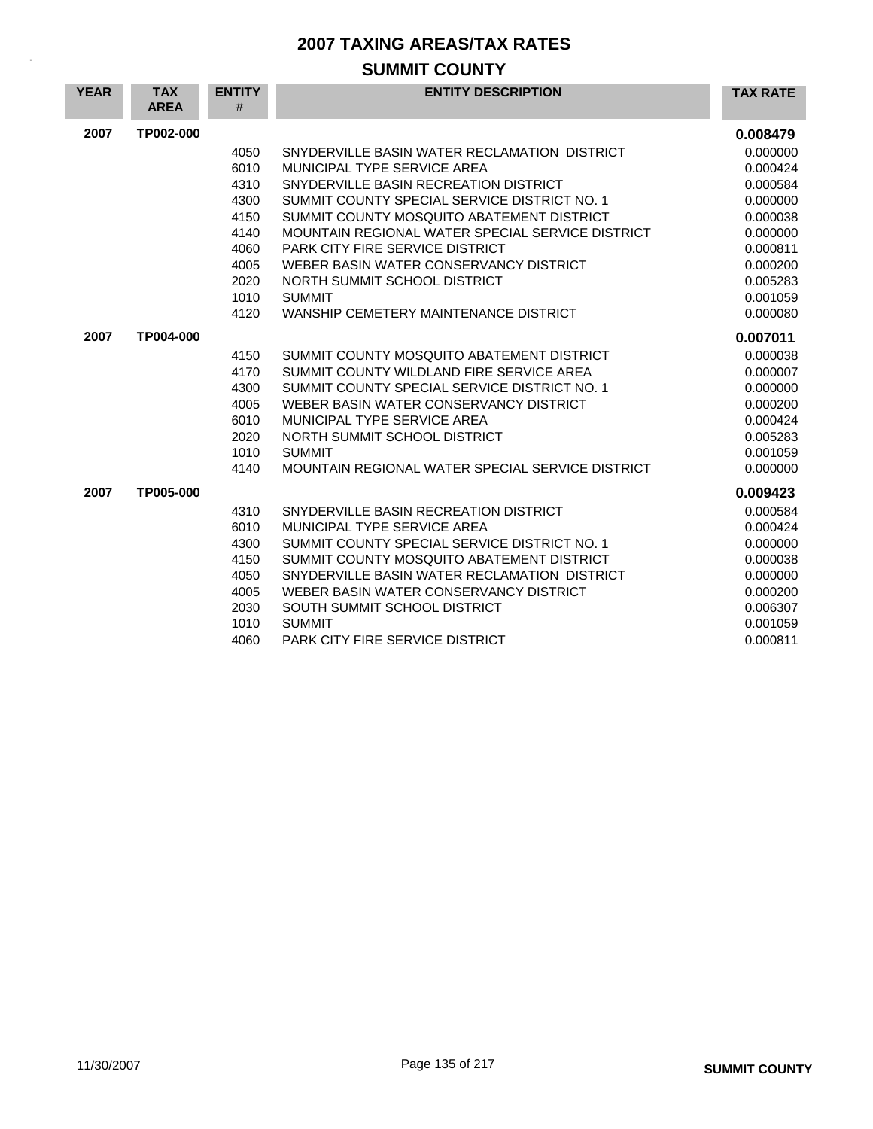| <b>YEAR</b> | <b>TAX</b><br><b>AREA</b> | <b>ENTITY</b><br># | <b>ENTITY DESCRIPTION</b>                        | <b>TAX RATE</b> |
|-------------|---------------------------|--------------------|--------------------------------------------------|-----------------|
| 2007        | TP002-000                 |                    |                                                  | 0.008479        |
|             |                           | 4050               | SNYDERVILLE BASIN WATER RECLAMATION DISTRICT     | 0.000000        |
|             |                           | 6010               | MUNICIPAL TYPE SERVICE AREA                      | 0.000424        |
|             |                           | 4310               | SNYDERVILLE BASIN RECREATION DISTRICT            | 0.000584        |
|             |                           | 4300               | SUMMIT COUNTY SPECIAL SERVICE DISTRICT NO. 1     | 0.000000        |
|             |                           | 4150               | SUMMIT COUNTY MOSQUITO ABATEMENT DISTRICT        | 0.000038        |
|             |                           | 4140               | MOUNTAIN REGIONAL WATER SPECIAL SERVICE DISTRICT | 0.000000        |
|             |                           | 4060               | PARK CITY FIRE SERVICE DISTRICT                  | 0.000811        |
|             |                           | 4005               | WEBER BASIN WATER CONSERVANCY DISTRICT           | 0.000200        |
|             |                           | 2020               | NORTH SUMMIT SCHOOL DISTRICT                     | 0.005283        |
|             |                           | 1010               | <b>SUMMIT</b>                                    | 0.001059        |
|             |                           | 4120               | WANSHIP CEMETERY MAINTENANCE DISTRICT            | 0.000080        |
| 2007        | TP004-000                 |                    |                                                  | 0.007011        |
|             |                           | 4150               | SUMMIT COUNTY MOSQUITO ABATEMENT DISTRICT        | 0.000038        |
|             |                           | 4170               | SUMMIT COUNTY WILDLAND FIRE SERVICE AREA         | 0.000007        |
|             |                           | 4300               | SUMMIT COUNTY SPECIAL SERVICE DISTRICT NO. 1     | 0.000000        |
|             |                           | 4005               | WEBER BASIN WATER CONSERVANCY DISTRICT           | 0.000200        |
|             |                           | 6010               | MUNICIPAL TYPE SERVICE AREA                      | 0.000424        |
|             |                           | 2020               | NORTH SUMMIT SCHOOL DISTRICT                     | 0.005283        |
|             |                           | 1010               | <b>SUMMIT</b>                                    | 0.001059        |
|             |                           | 4140               | MOUNTAIN REGIONAL WATER SPECIAL SERVICE DISTRICT | 0.000000        |
| 2007        | TP005-000                 |                    |                                                  | 0.009423        |
|             |                           | 4310               | SNYDERVILLE BASIN RECREATION DISTRICT            | 0.000584        |
|             |                           | 6010               | MUNICIPAL TYPE SERVICE AREA                      | 0.000424        |
|             |                           | 4300               | SUMMIT COUNTY SPECIAL SERVICE DISTRICT NO. 1     | 0.000000        |
|             |                           | 4150               | SUMMIT COUNTY MOSQUITO ABATEMENT DISTRICT        | 0.000038        |
|             |                           | 4050               | SNYDERVILLE BASIN WATER RECLAMATION DISTRICT     | 0.000000        |
|             |                           | 4005               | WEBER BASIN WATER CONSERVANCY DISTRICT           | 0.000200        |
|             |                           | 2030               | SOUTH SUMMIT SCHOOL DISTRICT                     | 0.006307        |
|             |                           | 1010               | <b>SUMMIT</b>                                    | 0.001059        |
|             |                           | 4060               | <b>PARK CITY FIRE SERVICE DISTRICT</b>           | 0.000811        |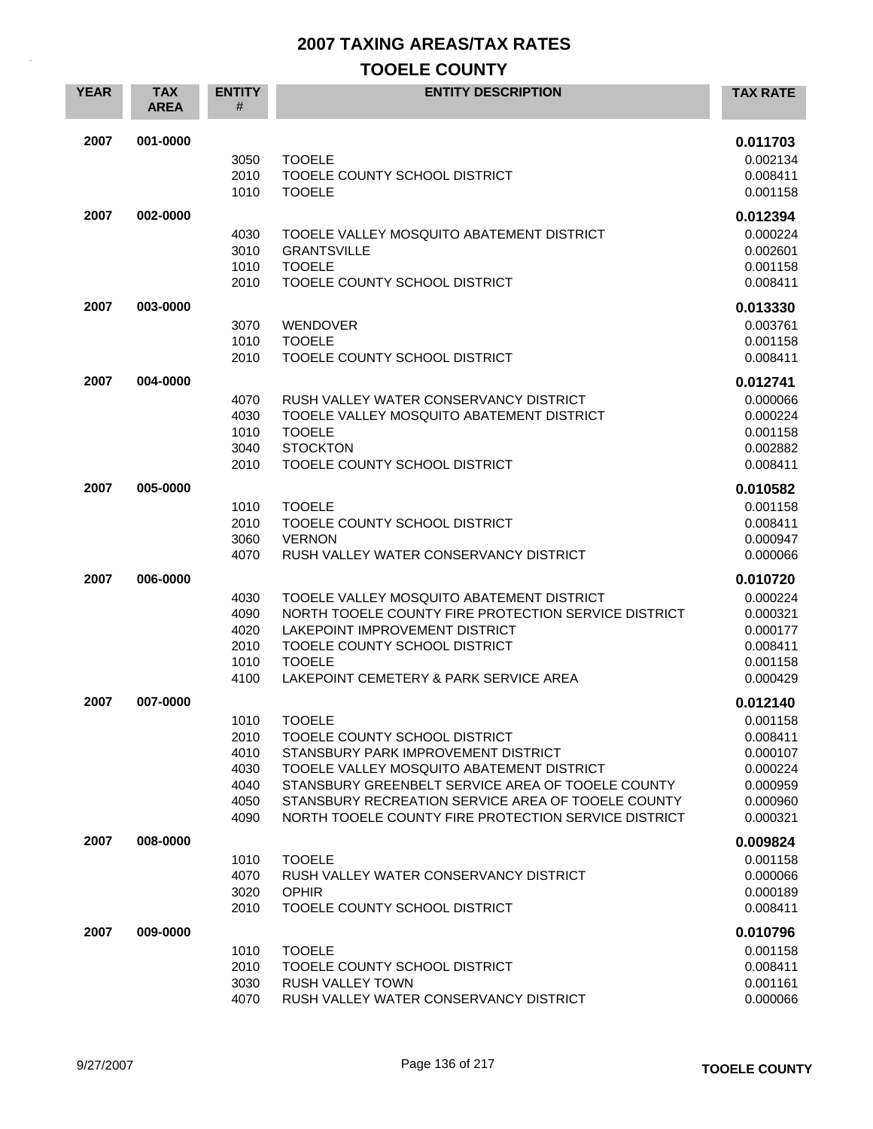| <b>YEAR</b> | <b>TAX</b><br><b>AREA</b> | <b>ENTITY</b><br>#                                   | <b>ENTITY DESCRIPTION</b>                                                                                                                                                                                                                                                                             | <b>TAX RATE</b>                                                                              |
|-------------|---------------------------|------------------------------------------------------|-------------------------------------------------------------------------------------------------------------------------------------------------------------------------------------------------------------------------------------------------------------------------------------------------------|----------------------------------------------------------------------------------------------|
| 2007        | 001-0000                  | 3050<br>2010<br>1010                                 | <b>TOOELE</b><br>TOOELE COUNTY SCHOOL DISTRICT<br><b>TOOELE</b>                                                                                                                                                                                                                                       | 0.011703<br>0.002134<br>0.008411<br>0.001158                                                 |
| 2007        | 002-0000                  | 4030<br>3010<br>1010<br>2010                         | TOOELE VALLEY MOSQUITO ABATEMENT DISTRICT<br><b>GRANTSVILLE</b><br><b>TOOELE</b><br>TOOELE COUNTY SCHOOL DISTRICT                                                                                                                                                                                     | 0.012394<br>0.000224<br>0.002601<br>0.001158<br>0.008411                                     |
| 2007        | 003-0000                  | 3070<br>1010<br>2010                                 | <b>WENDOVER</b><br><b>TOOELE</b><br>TOOELE COUNTY SCHOOL DISTRICT                                                                                                                                                                                                                                     | 0.013330<br>0.003761<br>0.001158<br>0.008411                                                 |
| 2007        | 004-0000                  | 4070<br>4030<br>1010<br>3040<br>2010                 | RUSH VALLEY WATER CONSERVANCY DISTRICT<br>TOOELE VALLEY MOSQUITO ABATEMENT DISTRICT<br><b>TOOELE</b><br><b>STOCKTON</b><br>TOOELE COUNTY SCHOOL DISTRICT                                                                                                                                              | 0.012741<br>0.000066<br>0.000224<br>0.001158<br>0.002882<br>0.008411                         |
| 2007        | 005-0000                  | 1010<br>2010<br>3060<br>4070                         | <b>TOOELE</b><br>TOOELE COUNTY SCHOOL DISTRICT<br><b>VERNON</b><br>RUSH VALLEY WATER CONSERVANCY DISTRICT                                                                                                                                                                                             | 0.010582<br>0.001158<br>0.008411<br>0.000947<br>0.000066                                     |
| 2007        | 006-0000                  | 4030<br>4090<br>4020<br>2010<br>1010<br>4100         | TOOELE VALLEY MOSQUITO ABATEMENT DISTRICT<br>NORTH TOOELE COUNTY FIRE PROTECTION SERVICE DISTRICT<br>LAKEPOINT IMPROVEMENT DISTRICT<br>TOOELE COUNTY SCHOOL DISTRICT<br><b>TOOELE</b><br>LAKEPOINT CEMETERY & PARK SERVICE AREA                                                                       | 0.010720<br>0.000224<br>0.000321<br>0.000177<br>0.008411<br>0.001158<br>0.000429             |
| 2007        | 007-0000                  | 1010<br>2010<br>4010<br>4030<br>4040<br>4050<br>4090 | <b>TOOELE</b><br>TOOELE COUNTY SCHOOL DISTRICT<br>STANSBURY PARK IMPROVEMENT DISTRICT<br>TOOELE VALLEY MOSQUITO ABATEMENT DISTRICT<br>STANSBURY GREENBELT SERVICE AREA OF TOOELE COUNTY<br>STANSBURY RECREATION SERVICE AREA OF TOOELE COUNTY<br>NORTH TOOELE COUNTY FIRE PROTECTION SERVICE DISTRICT | 0.012140<br>0.001158<br>0.008411<br>0.000107<br>0.000224<br>0.000959<br>0.000960<br>0.000321 |
| 2007        | 008-0000                  | 1010<br>4070<br>3020<br>2010                         | <b>TOOELE</b><br>RUSH VALLEY WATER CONSERVANCY DISTRICT<br><b>OPHIR</b><br>TOOELE COUNTY SCHOOL DISTRICT                                                                                                                                                                                              | 0.009824<br>0.001158<br>0.000066<br>0.000189<br>0.008411                                     |
| 2007        | 009-0000                  | 1010<br>2010<br>3030<br>4070                         | <b>TOOELE</b><br>TOOELE COUNTY SCHOOL DISTRICT<br>RUSH VALLEY TOWN<br>RUSH VALLEY WATER CONSERVANCY DISTRICT                                                                                                                                                                                          | 0.010796<br>0.001158<br>0.008411<br>0.001161<br>0.000066                                     |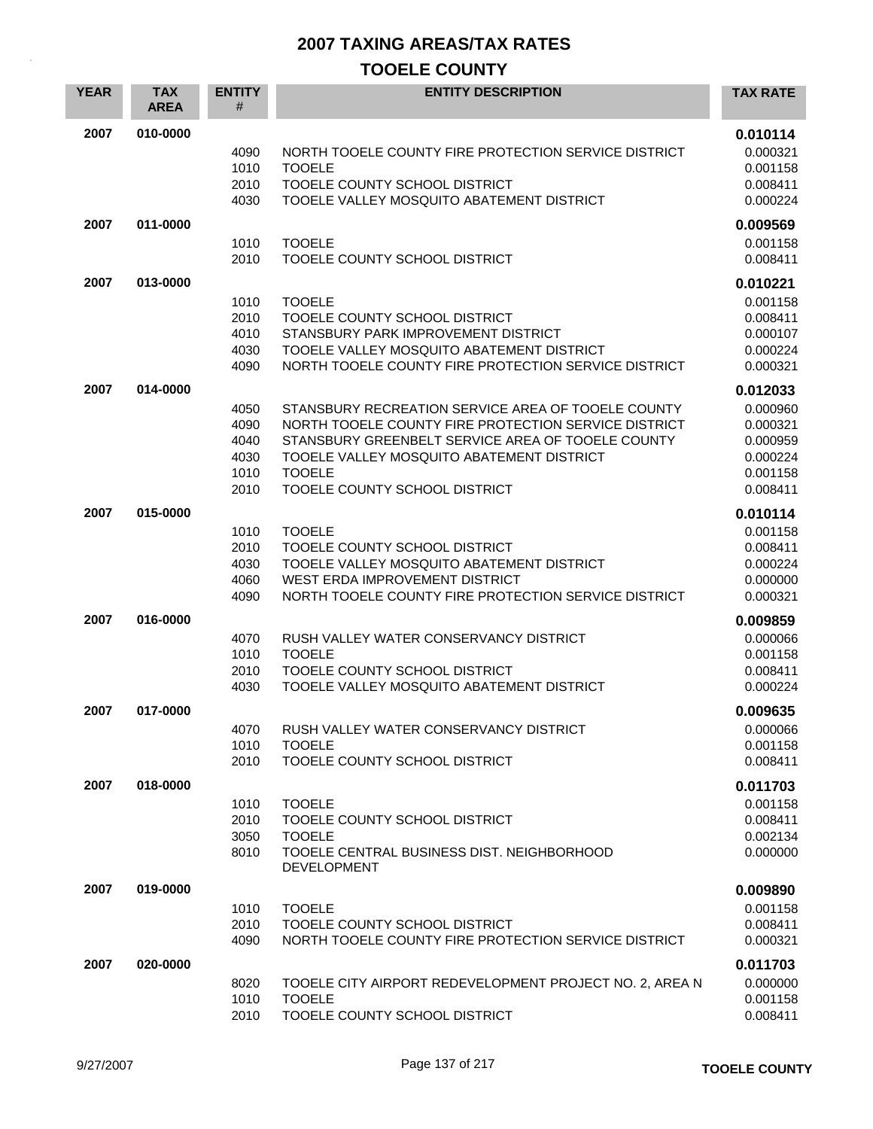| <b>YEAR</b> | <b>TAX</b><br><b>AREA</b> | <b>ENTITY</b><br># | <b>ENTITY DESCRIPTION</b>                                                                      | <b>TAX RATE</b>      |
|-------------|---------------------------|--------------------|------------------------------------------------------------------------------------------------|----------------------|
| 2007        | 010-0000                  |                    |                                                                                                | 0.010114             |
|             |                           | 4090<br>1010       | NORTH TOOELE COUNTY FIRE PROTECTION SERVICE DISTRICT<br><b>TOOELE</b>                          | 0.000321<br>0.001158 |
|             |                           | 2010               | TOOELE COUNTY SCHOOL DISTRICT                                                                  | 0.008411             |
|             |                           | 4030               | TOOELE VALLEY MOSQUITO ABATEMENT DISTRICT                                                      | 0.000224             |
| 2007        | 011-0000                  |                    |                                                                                                | 0.009569             |
|             |                           | 1010               | <b>TOOELE</b>                                                                                  | 0.001158             |
|             |                           | 2010               | TOOELE COUNTY SCHOOL DISTRICT                                                                  | 0.008411             |
| 2007        | 013-0000                  |                    |                                                                                                | 0.010221             |
|             |                           | 1010               | <b>TOOELE</b>                                                                                  | 0.001158             |
|             |                           | 2010               | TOOELE COUNTY SCHOOL DISTRICT                                                                  | 0.008411             |
|             |                           | 4010               | STANSBURY PARK IMPROVEMENT DISTRICT                                                            | 0.000107             |
|             |                           | 4030               | TOOELE VALLEY MOSQUITO ABATEMENT DISTRICT                                                      | 0.000224             |
|             |                           | 4090               | NORTH TOOELE COUNTY FIRE PROTECTION SERVICE DISTRICT                                           | 0.000321             |
| 2007        | 014-0000                  |                    |                                                                                                | 0.012033             |
|             |                           | 4050               | STANSBURY RECREATION SERVICE AREA OF TOOELE COUNTY                                             | 0.000960             |
|             |                           | 4090               | NORTH TOOELE COUNTY FIRE PROTECTION SERVICE DISTRICT                                           | 0.000321             |
|             |                           | 4040<br>4030       | STANSBURY GREENBELT SERVICE AREA OF TOOELE COUNTY<br>TOOELE VALLEY MOSQUITO ABATEMENT DISTRICT | 0.000959<br>0.000224 |
|             |                           | 1010               | <b>TOOELE</b>                                                                                  | 0.001158             |
|             |                           | 2010               | TOOELE COUNTY SCHOOL DISTRICT                                                                  | 0.008411             |
| 2007        | 015-0000                  |                    |                                                                                                | 0.010114             |
|             |                           | 1010               | <b>TOOELE</b>                                                                                  | 0.001158             |
|             |                           | 2010               | TOOELE COUNTY SCHOOL DISTRICT                                                                  | 0.008411             |
|             |                           | 4030               | TOOELE VALLEY MOSQUITO ABATEMENT DISTRICT                                                      | 0.000224             |
|             |                           | 4060               | WEST ERDA IMPROVEMENT DISTRICT                                                                 | 0.000000             |
|             |                           | 4090               | NORTH TOOELE COUNTY FIRE PROTECTION SERVICE DISTRICT                                           | 0.000321             |
| 2007        | 016-0000                  |                    |                                                                                                | 0.009859             |
|             |                           | 4070               | RUSH VALLEY WATER CONSERVANCY DISTRICT                                                         | 0.000066             |
|             |                           | 1010               | <b>TOOELE</b>                                                                                  | 0.001158             |
|             |                           | 2010               | TOOELE COUNTY SCHOOL DISTRICT                                                                  | 0.008411             |
|             |                           | 4030               | TOOELE VALLEY MOSQUITO ABATEMENT DISTRICT                                                      | 0.000224             |
| 2007        | 017-0000                  |                    |                                                                                                | 0.009635             |
|             |                           | 4070               | RUSH VALLEY WATER CONSERVANCY DISTRICT                                                         | 0.000066             |
|             |                           | 1010               | <b>TOOELE</b>                                                                                  | 0.001158             |
|             |                           | 2010               | TOOELE COUNTY SCHOOL DISTRICT                                                                  | 0.008411             |
| 2007        | 018-0000                  |                    |                                                                                                | 0.011703             |
|             |                           | 1010               | <b>TOOELE</b>                                                                                  | 0.001158             |
|             |                           | 2010               | TOOELE COUNTY SCHOOL DISTRICT                                                                  | 0.008411             |
|             |                           | 3050               | <b>TOOELE</b>                                                                                  | 0.002134             |
|             |                           | 8010               | TOOELE CENTRAL BUSINESS DIST. NEIGHBORHOOD<br><b>DEVELOPMENT</b>                               | 0.000000             |
| 2007        | 019-0000                  |                    |                                                                                                | 0.009890             |
|             |                           | 1010               | <b>TOOELE</b>                                                                                  | 0.001158             |
|             |                           | 2010               | TOOELE COUNTY SCHOOL DISTRICT                                                                  | 0.008411             |
|             |                           | 4090               | NORTH TOOELE COUNTY FIRE PROTECTION SERVICE DISTRICT                                           | 0.000321             |
| 2007        | 020-0000                  |                    |                                                                                                | 0.011703             |
|             |                           | 8020               | TOOELE CITY AIRPORT REDEVELOPMENT PROJECT NO. 2, AREA N                                        | 0.000000             |
|             |                           | 1010               | <b>TOOELE</b>                                                                                  | 0.001158             |
|             |                           | 2010               | TOOELE COUNTY SCHOOL DISTRICT                                                                  | 0.008411             |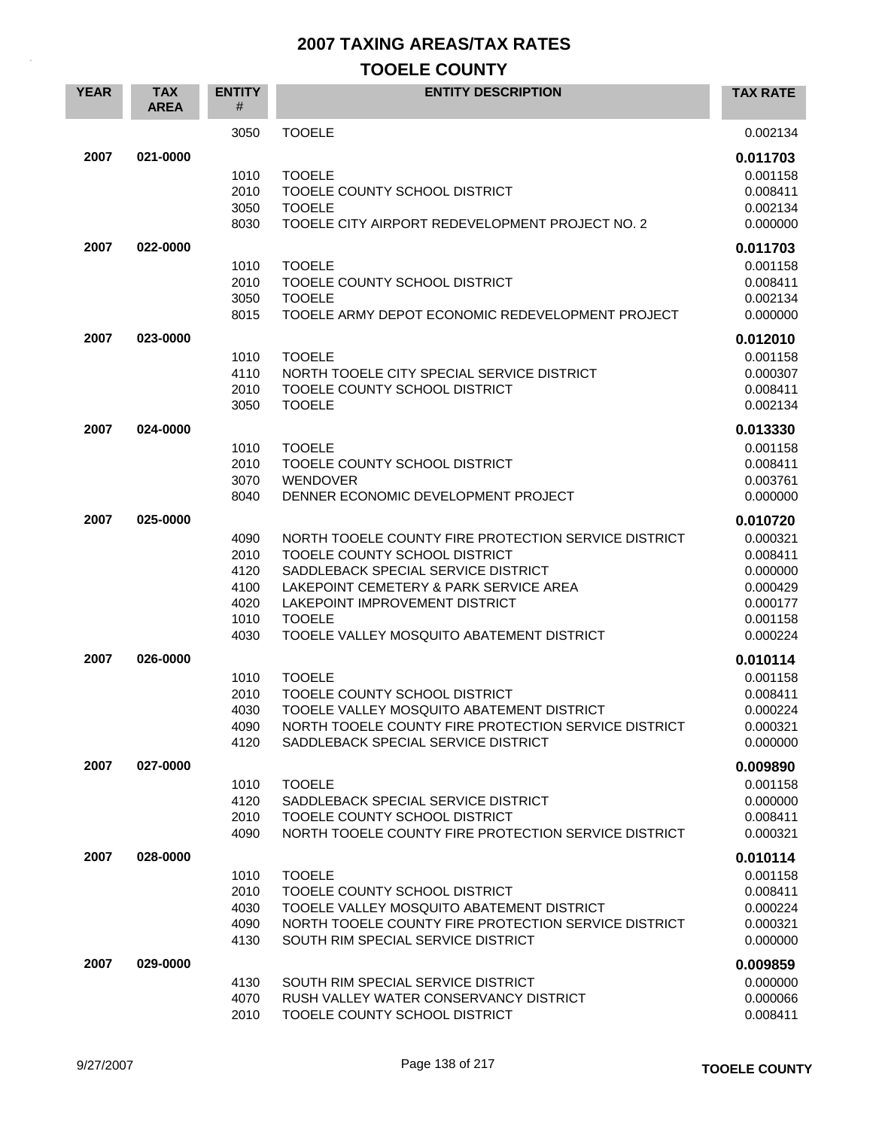| <b>YEAR</b> | <b>TAX</b><br><b>AREA</b> | <b>ENTITY</b><br>#                                   | <b>ENTITY DESCRIPTION</b>                                                                                                                                                                                                                                              | <b>TAX RATE</b>                                                                              |
|-------------|---------------------------|------------------------------------------------------|------------------------------------------------------------------------------------------------------------------------------------------------------------------------------------------------------------------------------------------------------------------------|----------------------------------------------------------------------------------------------|
|             |                           | 3050                                                 | <b>TOOELE</b>                                                                                                                                                                                                                                                          | 0.002134                                                                                     |
| 2007        | 021-0000                  | 1010<br>2010<br>3050<br>8030                         | <b>TOOELE</b><br>TOOELE COUNTY SCHOOL DISTRICT<br><b>TOOELE</b><br>TOOELE CITY AIRPORT REDEVELOPMENT PROJECT NO. 2                                                                                                                                                     | 0.011703<br>0.001158<br>0.008411<br>0.002134<br>0.000000                                     |
| 2007        | 022-0000                  | 1010<br>2010<br>3050<br>8015                         | <b>TOOELE</b><br>TOOELE COUNTY SCHOOL DISTRICT<br><b>TOOELE</b><br>TOOELE ARMY DEPOT ECONOMIC REDEVELOPMENT PROJECT                                                                                                                                                    | 0.011703<br>0.001158<br>0.008411<br>0.002134<br>0.000000                                     |
| 2007        | 023-0000                  | 1010<br>4110<br>2010<br>3050                         | <b>TOOELE</b><br>NORTH TOOELE CITY SPECIAL SERVICE DISTRICT<br>TOOELE COUNTY SCHOOL DISTRICT<br><b>TOOELE</b>                                                                                                                                                          | 0.012010<br>0.001158<br>0.000307<br>0.008411<br>0.002134                                     |
| 2007        | 024-0000                  | 1010<br>2010<br>3070<br>8040                         | <b>TOOELE</b><br>TOOELE COUNTY SCHOOL DISTRICT<br><b>WENDOVER</b><br>DENNER ECONOMIC DEVELOPMENT PROJECT                                                                                                                                                               | 0.013330<br>0.001158<br>0.008411<br>0.003761<br>0.000000                                     |
| 2007        | 025-0000                  | 4090<br>2010<br>4120<br>4100<br>4020<br>1010<br>4030 | NORTH TOOELE COUNTY FIRE PROTECTION SERVICE DISTRICT<br>TOOELE COUNTY SCHOOL DISTRICT<br>SADDLEBACK SPECIAL SERVICE DISTRICT<br>LAKEPOINT CEMETERY & PARK SERVICE AREA<br>LAKEPOINT IMPROVEMENT DISTRICT<br><b>TOOELE</b><br>TOOELE VALLEY MOSQUITO ABATEMENT DISTRICT | 0.010720<br>0.000321<br>0.008411<br>0.000000<br>0.000429<br>0.000177<br>0.001158<br>0.000224 |
| 2007        | 026-0000                  | 1010<br>2010<br>4030<br>4090<br>4120                 | <b>TOOELE</b><br>TOOELE COUNTY SCHOOL DISTRICT<br>TOOELE VALLEY MOSQUITO ABATEMENT DISTRICT<br>NORTH TOOELE COUNTY FIRE PROTECTION SERVICE DISTRICT<br>SADDLEBACK SPECIAL SERVICE DISTRICT                                                                             | 0.010114<br>0.001158<br>0.008411<br>0.000224<br>0.000321<br>0.000000                         |
| 2007        | 027-0000                  | 1010<br>4120<br>2010<br>4090                         | <b>TOOELE</b><br>SADDLEBACK SPECIAL SERVICE DISTRICT<br>TOOELE COUNTY SCHOOL DISTRICT<br>NORTH TOOELE COUNTY FIRE PROTECTION SERVICE DISTRICT                                                                                                                          | 0.009890<br>0.001158<br>0.000000<br>0.008411<br>0.000321                                     |
| 2007        | 028-0000                  | 1010<br>2010<br>4030<br>4090<br>4130                 | <b>TOOELE</b><br>TOOELE COUNTY SCHOOL DISTRICT<br>TOOELE VALLEY MOSQUITO ABATEMENT DISTRICT<br>NORTH TOOELE COUNTY FIRE PROTECTION SERVICE DISTRICT<br>SOUTH RIM SPECIAL SERVICE DISTRICT                                                                              | 0.010114<br>0.001158<br>0.008411<br>0.000224<br>0.000321<br>0.000000                         |
| 2007        | 029-0000                  | 4130<br>4070<br>2010                                 | SOUTH RIM SPECIAL SERVICE DISTRICT<br>RUSH VALLEY WATER CONSERVANCY DISTRICT<br>TOOELE COUNTY SCHOOL DISTRICT                                                                                                                                                          | 0.009859<br>0.000000<br>0.000066<br>0.008411                                                 |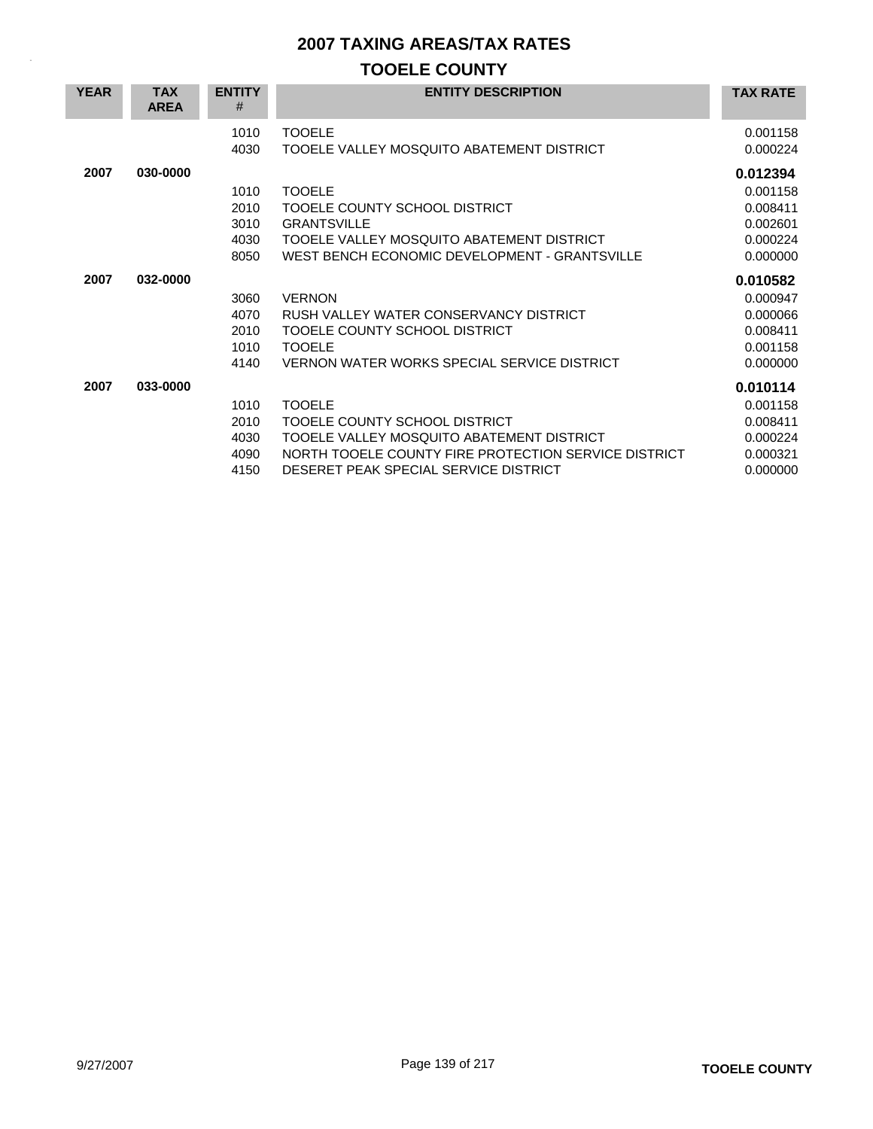| <b>YEAR</b> | <b>TAX</b><br><b>AREA</b> | <b>ENTITY</b><br>#                   | <b>ENTITY DESCRIPTION</b>                                                                                                                                                                    | <b>TAX RATE</b>                                                      |
|-------------|---------------------------|--------------------------------------|----------------------------------------------------------------------------------------------------------------------------------------------------------------------------------------------|----------------------------------------------------------------------|
|             |                           | 1010<br>4030                         | <b>TOOELE</b><br>TOOELE VALLEY MOSQUITO ABATEMENT DISTRICT                                                                                                                                   | 0.001158<br>0.000224                                                 |
| 2007        | 030-0000                  | 1010<br>2010<br>3010<br>4030<br>8050 | <b>TOOELE</b><br>TOOELE COUNTY SCHOOL DISTRICT<br><b>GRANTSVILLE</b><br>TOOELE VALLEY MOSQUITO ABATEMENT DISTRICT<br>WEST BENCH ECONOMIC DEVELOPMENT - GRANTSVILLE                           | 0.012394<br>0.001158<br>0.008411<br>0.002601<br>0.000224<br>0.000000 |
| 2007        | 032-0000                  | 3060<br>4070<br>2010<br>1010<br>4140 | <b>VERNON</b><br>RUSH VALLEY WATER CONSERVANCY DISTRICT<br>TOOELE COUNTY SCHOOL DISTRICT<br><b>TOOELE</b><br>VERNON WATER WORKS SPECIAL SERVICE DISTRICT                                     | 0.010582<br>0.000947<br>0.000066<br>0.008411<br>0.001158<br>0.000000 |
| 2007        | 033-0000                  | 1010<br>2010<br>4030<br>4090<br>4150 | <b>TOOFLE</b><br>TOOELE COUNTY SCHOOL DISTRICT<br>TOOELE VALLEY MOSQUITO ABATEMENT DISTRICT<br>NORTH TOOELE COUNTY FIRE PROTECTION SERVICE DISTRICT<br>DESERET PEAK SPECIAL SERVICE DISTRICT | 0.010114<br>0.001158<br>0.008411<br>0.000224<br>0.000321<br>0.000000 |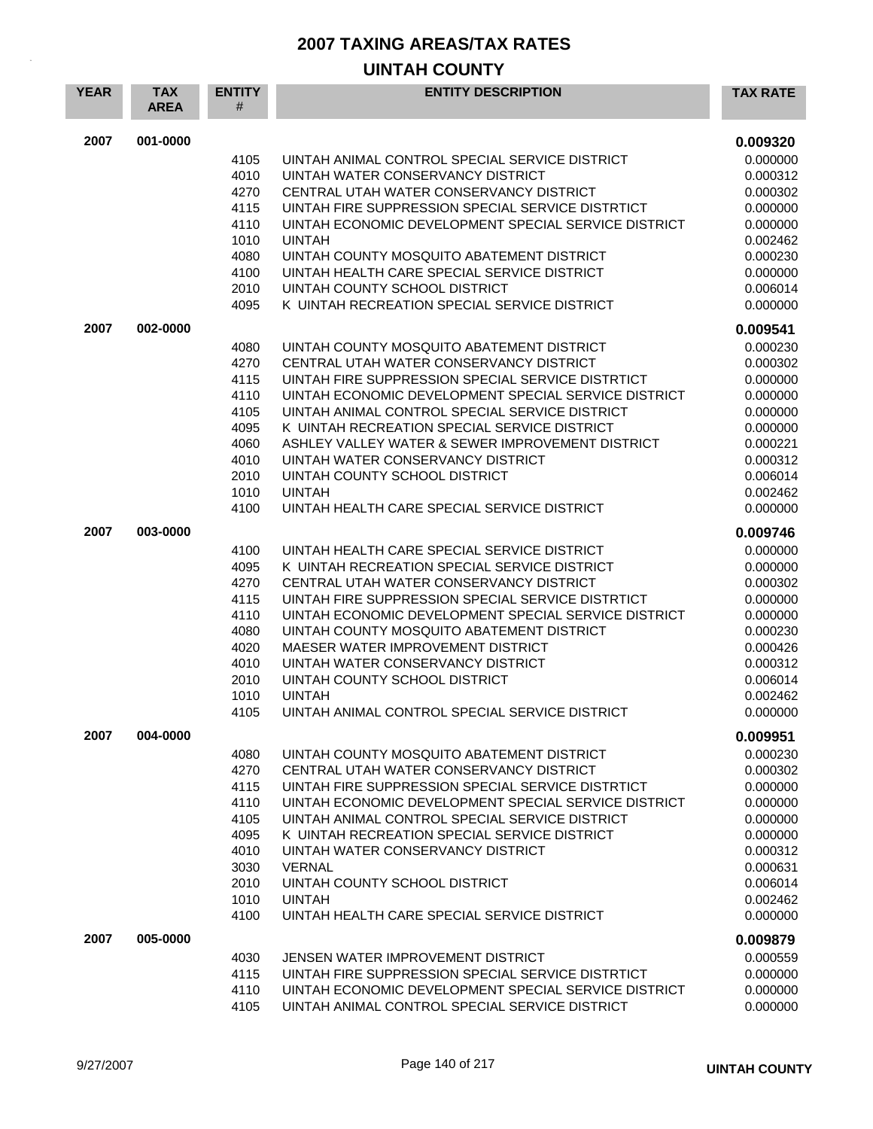| <b>YEAR</b> | <b>TAX</b><br><b>AREA</b> | <b>ENTITY</b><br># | <b>ENTITY DESCRIPTION</b>                                                      | <b>TAX RATE</b>      |
|-------------|---------------------------|--------------------|--------------------------------------------------------------------------------|----------------------|
| 2007        | 001-0000                  |                    |                                                                                | 0.009320             |
|             |                           | 4105               | UINTAH ANIMAL CONTROL SPECIAL SERVICE DISTRICT                                 | 0.000000             |
|             |                           | 4010               | UINTAH WATER CONSERVANCY DISTRICT                                              | 0.000312             |
|             |                           | 4270               | CENTRAL UTAH WATER CONSERVANCY DISTRICT                                        | 0.000302             |
|             |                           | 4115               | UINTAH FIRE SUPPRESSION SPECIAL SERVICE DISTRTICT                              | 0.000000             |
|             |                           | 4110               | UINTAH ECONOMIC DEVELOPMENT SPECIAL SERVICE DISTRICT                           | 0.000000             |
|             |                           | 1010               | <b>UINTAH</b>                                                                  | 0.002462             |
|             |                           | 4080               | UINTAH COUNTY MOSQUITO ABATEMENT DISTRICT                                      | 0.000230             |
|             |                           | 4100               | UINTAH HEALTH CARE SPECIAL SERVICE DISTRICT                                    | 0.000000             |
|             |                           | 2010               | UINTAH COUNTY SCHOOL DISTRICT                                                  | 0.006014             |
|             |                           | 4095               | K UINTAH RECREATION SPECIAL SERVICE DISTRICT                                   | 0.000000             |
| 2007        | 002-0000                  | 4080               | UINTAH COUNTY MOSQUITO ABATEMENT DISTRICT                                      | 0.009541<br>0.000230 |
|             |                           | 4270               | CENTRAL UTAH WATER CONSERVANCY DISTRICT                                        | 0.000302             |
|             |                           | 4115               | UINTAH FIRE SUPPRESSION SPECIAL SERVICE DISTRTICT                              | 0.000000             |
|             |                           | 4110               | UINTAH ECONOMIC DEVELOPMENT SPECIAL SERVICE DISTRICT                           | 0.000000             |
|             |                           | 4105               | UINTAH ANIMAL CONTROL SPECIAL SERVICE DISTRICT                                 | 0.000000             |
|             |                           | 4095               | K UINTAH RECREATION SPECIAL SERVICE DISTRICT                                   | 0.000000             |
|             |                           | 4060               | ASHLEY VALLEY WATER & SEWER IMPROVEMENT DISTRICT                               | 0.000221             |
|             |                           | 4010               | UINTAH WATER CONSERVANCY DISTRICT                                              | 0.000312             |
|             |                           | 2010               | UINTAH COUNTY SCHOOL DISTRICT                                                  | 0.006014             |
|             |                           | 1010               | <b>UINTAH</b>                                                                  | 0.002462             |
|             |                           | 4100               | UINTAH HEALTH CARE SPECIAL SERVICE DISTRICT                                    | 0.000000             |
| 2007        | 003-0000                  |                    |                                                                                | 0.009746             |
|             |                           | 4100               | UINTAH HEALTH CARE SPECIAL SERVICE DISTRICT                                    | 0.000000             |
|             |                           | 4095               | K UINTAH RECREATION SPECIAL SERVICE DISTRICT                                   | 0.000000             |
|             |                           | 4270               | CENTRAL UTAH WATER CONSERVANCY DISTRICT                                        | 0.000302             |
|             |                           | 4115               | UINTAH FIRE SUPPRESSION SPECIAL SERVICE DISTRTICT                              | 0.000000             |
|             |                           | 4110               | UINTAH ECONOMIC DEVELOPMENT SPECIAL SERVICE DISTRICT                           | 0.000000             |
|             |                           | 4080<br>4020       | UINTAH COUNTY MOSQUITO ABATEMENT DISTRICT<br>MAESER WATER IMPROVEMENT DISTRICT | 0.000230<br>0.000426 |
|             |                           | 4010               | UINTAH WATER CONSERVANCY DISTRICT                                              | 0.000312             |
|             |                           | 2010               | UINTAH COUNTY SCHOOL DISTRICT                                                  | 0.006014             |
|             |                           | 1010               | <b>UINTAH</b>                                                                  | 0.002462             |
|             |                           | 4105               | UINTAH ANIMAL CONTROL SPECIAL SERVICE DISTRICT                                 | 0.000000             |
| 2007        | 004-0000                  |                    |                                                                                | 0.009951             |
|             |                           | 4080               | UINTAH COUNTY MOSQUITO ABATEMENT DISTRICT                                      | 0.000230             |
|             |                           | 4270               | CENTRAL UTAH WATER CONSERVANCY DISTRICT                                        | 0.000302             |
|             |                           | 4115               | UINTAH FIRE SUPPRESSION SPECIAL SERVICE DISTRTICT                              | 0.000000             |
|             |                           | 4110               | UINTAH ECONOMIC DEVELOPMENT SPECIAL SERVICE DISTRICT                           | 0.000000             |
|             |                           | 4105               | UINTAH ANIMAL CONTROL SPECIAL SERVICE DISTRICT                                 | 0.000000             |
|             |                           | 4095               | K UINTAH RECREATION SPECIAL SERVICE DISTRICT                                   | 0.000000             |
|             |                           | 4010               | UINTAH WATER CONSERVANCY DISTRICT                                              | 0.000312             |
|             |                           | 3030               | <b>VERNAL</b>                                                                  | 0.000631             |
|             |                           | 2010               | UINTAH COUNTY SCHOOL DISTRICT                                                  | 0.006014             |
|             |                           | 1010<br>4100       | <b>UINTAH</b><br>UINTAH HEALTH CARE SPECIAL SERVICE DISTRICT                   | 0.002462<br>0.000000 |
| 2007        | 005-0000                  |                    |                                                                                | 0.009879             |
|             |                           | 4030               | JENSEN WATER IMPROVEMENT DISTRICT                                              | 0.000559             |
|             |                           | 4115               | UINTAH FIRE SUPPRESSION SPECIAL SERVICE DISTRTICT                              | 0.000000             |
|             |                           | 4110               | UINTAH ECONOMIC DEVELOPMENT SPECIAL SERVICE DISTRICT                           | 0.000000             |
|             |                           | 4105               | UINTAH ANIMAL CONTROL SPECIAL SERVICE DISTRICT                                 | 0.000000             |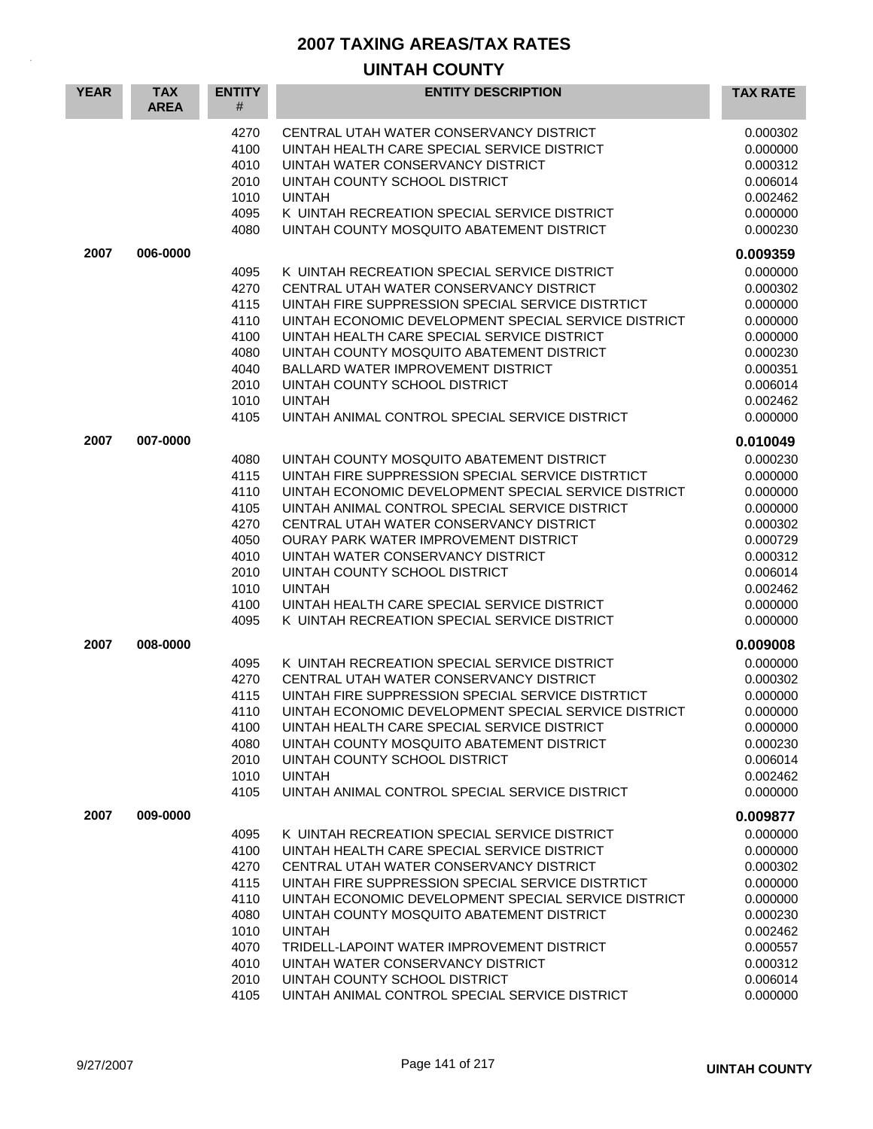| <b>YEAR</b> | <b>TAX</b><br><b>AREA</b> | <b>ENTITY</b><br>#                                                                   | <b>ENTITY DESCRIPTION</b>                                                                                                                                                                                                                                                                                                                                                                                                                                                                 | <b>TAX RATE</b>                                                                                                                  |
|-------------|---------------------------|--------------------------------------------------------------------------------------|-------------------------------------------------------------------------------------------------------------------------------------------------------------------------------------------------------------------------------------------------------------------------------------------------------------------------------------------------------------------------------------------------------------------------------------------------------------------------------------------|----------------------------------------------------------------------------------------------------------------------------------|
|             |                           | 4270<br>4100<br>4010<br>2010<br>1010<br>4095<br>4080                                 | CENTRAL UTAH WATER CONSERVANCY DISTRICT<br>UINTAH HEALTH CARE SPECIAL SERVICE DISTRICT<br>UINTAH WATER CONSERVANCY DISTRICT<br>UINTAH COUNTY SCHOOL DISTRICT<br><b>UINTAH</b><br>K UINTAH RECREATION SPECIAL SERVICE DISTRICT<br>UINTAH COUNTY MOSQUITO ABATEMENT DISTRICT                                                                                                                                                                                                                | 0.000302<br>0.000000<br>0.000312<br>0.006014<br>0.002462<br>0.000000<br>0.000230                                                 |
| 2007        | 006-0000                  |                                                                                      |                                                                                                                                                                                                                                                                                                                                                                                                                                                                                           | 0.009359                                                                                                                         |
|             |                           | 4095<br>4270<br>4115<br>4110<br>4100<br>4080<br>4040<br>2010<br>1010<br>4105         | K UINTAH RECREATION SPECIAL SERVICE DISTRICT<br>CENTRAL UTAH WATER CONSERVANCY DISTRICT<br>UINTAH FIRE SUPPRESSION SPECIAL SERVICE DISTRTICT<br>UINTAH ECONOMIC DEVELOPMENT SPECIAL SERVICE DISTRICT<br>UINTAH HEALTH CARE SPECIAL SERVICE DISTRICT<br>UINTAH COUNTY MOSQUITO ABATEMENT DISTRICT<br><b>BALLARD WATER IMPROVEMENT DISTRICT</b><br>UINTAH COUNTY SCHOOL DISTRICT<br><b>UINTAH</b><br>UINTAH ANIMAL CONTROL SPECIAL SERVICE DISTRICT                                         | 0.000000<br>0.000302<br>0.000000<br>0.000000<br>0.000000<br>0.000230<br>0.000351<br>0.006014<br>0.002462<br>0.000000             |
| 2007        | 007-0000                  |                                                                                      |                                                                                                                                                                                                                                                                                                                                                                                                                                                                                           | 0.010049                                                                                                                         |
|             |                           | 4080<br>4115<br>4110<br>4105<br>4270<br>4050<br>4010<br>2010<br>1010<br>4100<br>4095 | UINTAH COUNTY MOSQUITO ABATEMENT DISTRICT<br>UINTAH FIRE SUPPRESSION SPECIAL SERVICE DISTRTICT<br>UINTAH ECONOMIC DEVELOPMENT SPECIAL SERVICE DISTRICT<br>UINTAH ANIMAL CONTROL SPECIAL SERVICE DISTRICT<br>CENTRAL UTAH WATER CONSERVANCY DISTRICT<br><b>OURAY PARK WATER IMPROVEMENT DISTRICT</b><br>UINTAH WATER CONSERVANCY DISTRICT<br>UINTAH COUNTY SCHOOL DISTRICT<br><b>UINTAH</b><br>UINTAH HEALTH CARE SPECIAL SERVICE DISTRICT<br>K UINTAH RECREATION SPECIAL SERVICE DISTRICT | 0.000230<br>0.000000<br>0.000000<br>0.000000<br>0.000302<br>0.000729<br>0.000312<br>0.006014<br>0.002462<br>0.000000<br>0.000000 |
| 2007        | 008-0000                  |                                                                                      |                                                                                                                                                                                                                                                                                                                                                                                                                                                                                           | 0.009008                                                                                                                         |
|             |                           | 4095<br>4270<br>4115<br>4110<br>4100<br>4080<br>2010<br>1010<br>4105                 | K UINTAH RECREATION SPECIAL SERVICE DISTRICT<br>CENTRAL UTAH WATER CONSERVANCY DISTRICT<br>UINTAH FIRE SUPPRESSION SPECIAL SERVICE DISTRTICT<br>UINTAH ECONOMIC DEVELOPMENT SPECIAL SERVICE DISTRICT<br>UINTAH HEALTH CARE SPECIAL SERVICE DISTRICT<br>UINTAH COUNTY MOSQUITO ABATEMENT DISTRICT<br>UINTAH COUNTY SCHOOL DISTRICT<br><b>UINTAH</b><br>UINTAH ANIMAL CONTROL SPECIAL SERVICE DISTRICT                                                                                      | 0.000000<br>0.000302<br>0.000000<br>0.000000<br>0.000000<br>0.000230<br>0.006014<br>0.002462<br>0.000000                         |
| 2007        | 009-0000                  |                                                                                      |                                                                                                                                                                                                                                                                                                                                                                                                                                                                                           | 0.009877                                                                                                                         |
|             |                           | 4095<br>4100<br>4270<br>4115<br>4110<br>4080<br>1010<br>4070<br>4010<br>2010<br>4105 | K UINTAH RECREATION SPECIAL SERVICE DISTRICT<br>UINTAH HEALTH CARE SPECIAL SERVICE DISTRICT<br>CENTRAL UTAH WATER CONSERVANCY DISTRICT<br>UINTAH FIRE SUPPRESSION SPECIAL SERVICE DISTRTICT<br>UINTAH ECONOMIC DEVELOPMENT SPECIAL SERVICE DISTRICT<br>UINTAH COUNTY MOSQUITO ABATEMENT DISTRICT<br><b>UINTAH</b><br>TRIDELL-LAPOINT WATER IMPROVEMENT DISTRICT<br>UINTAH WATER CONSERVANCY DISTRICT<br>UINTAH COUNTY SCHOOL DISTRICT<br>UINTAH ANIMAL CONTROL SPECIAL SERVICE DISTRICT   | 0.000000<br>0.000000<br>0.000302<br>0.000000<br>0.000000<br>0.000230<br>0.002462<br>0.000557<br>0.000312<br>0.006014<br>0.000000 |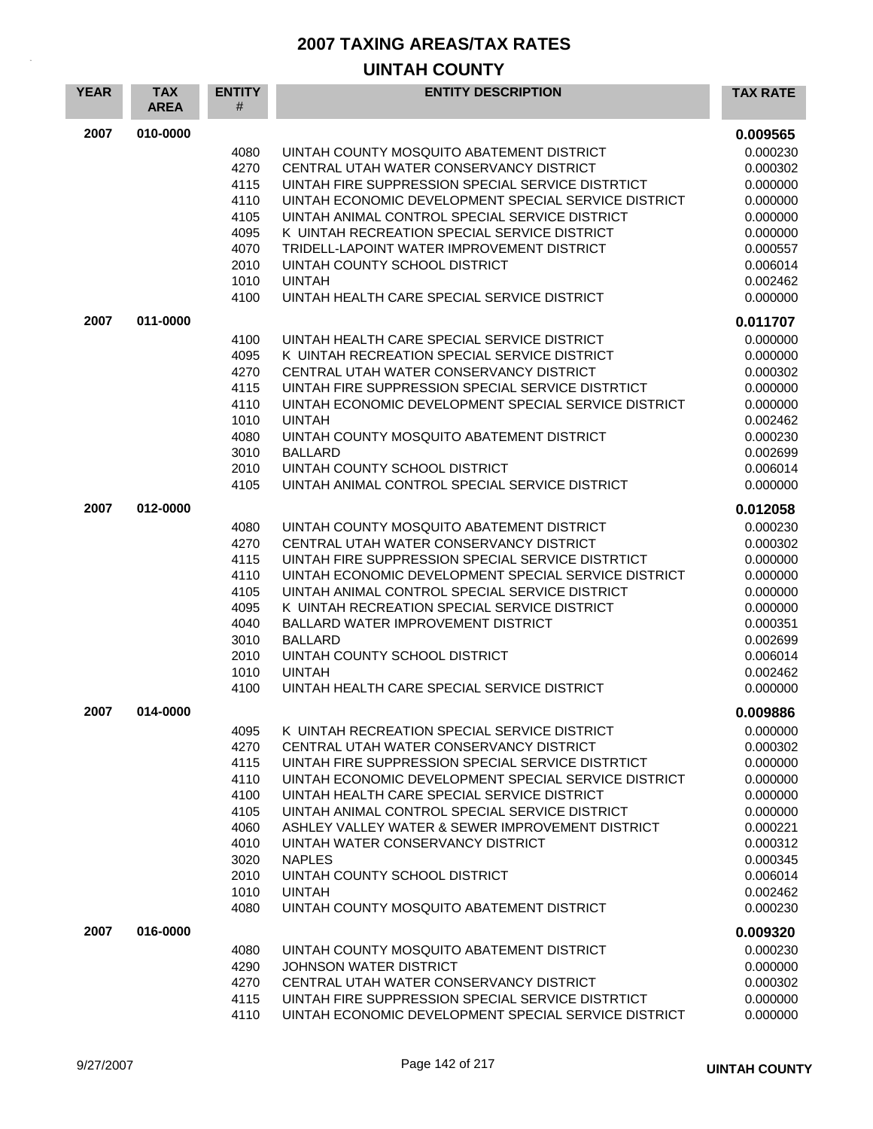| <b>YEAR</b> | <b>TAX</b><br><b>AREA</b> | <b>ENTITY</b><br># | <b>ENTITY DESCRIPTION</b>                                                   | <b>TAX RATE</b>      |
|-------------|---------------------------|--------------------|-----------------------------------------------------------------------------|----------------------|
| 2007        | 010-0000                  |                    |                                                                             | 0.009565             |
|             |                           | 4080               | UINTAH COUNTY MOSQUITO ABATEMENT DISTRICT                                   | 0.000230             |
|             |                           | 4270               | CENTRAL UTAH WATER CONSERVANCY DISTRICT                                     | 0.000302             |
|             |                           | 4115               | UINTAH FIRE SUPPRESSION SPECIAL SERVICE DISTRTICT                           | 0.000000             |
|             |                           | 4110               | UINTAH ECONOMIC DEVELOPMENT SPECIAL SERVICE DISTRICT                        | 0.000000             |
|             |                           | 4105               | UINTAH ANIMAL CONTROL SPECIAL SERVICE DISTRICT                              | 0.000000             |
|             |                           | 4095               | K UINTAH RECREATION SPECIAL SERVICE DISTRICT                                | 0.000000             |
|             |                           | 4070<br>2010       | TRIDELL-LAPOINT WATER IMPROVEMENT DISTRICT<br>UINTAH COUNTY SCHOOL DISTRICT | 0.000557<br>0.006014 |
|             |                           | 1010               | <b>UINTAH</b>                                                               | 0.002462             |
|             |                           | 4100               | UINTAH HEALTH CARE SPECIAL SERVICE DISTRICT                                 | 0.000000             |
| 2007        |                           |                    |                                                                             |                      |
|             | 011-0000                  |                    | UINTAH HEALTH CARE SPECIAL SERVICE DISTRICT                                 | 0.011707             |
|             |                           | 4100<br>4095       | K UINTAH RECREATION SPECIAL SERVICE DISTRICT                                | 0.000000<br>0.000000 |
|             |                           | 4270               | CENTRAL UTAH WATER CONSERVANCY DISTRICT                                     | 0.000302             |
|             |                           | 4115               | UINTAH FIRE SUPPRESSION SPECIAL SERVICE DISTRTICT                           | 0.000000             |
|             |                           | 4110               | UINTAH ECONOMIC DEVELOPMENT SPECIAL SERVICE DISTRICT                        | 0.000000             |
|             |                           | 1010               | <b>UINTAH</b>                                                               | 0.002462             |
|             |                           | 4080               | UINTAH COUNTY MOSQUITO ABATEMENT DISTRICT                                   | 0.000230             |
|             |                           | 3010               | <b>BALLARD</b>                                                              | 0.002699             |
|             |                           | 2010               | UINTAH COUNTY SCHOOL DISTRICT                                               | 0.006014             |
|             |                           | 4105               | UINTAH ANIMAL CONTROL SPECIAL SERVICE DISTRICT                              | 0.000000             |
| 2007        | 012-0000                  |                    |                                                                             | 0.012058             |
|             |                           | 4080               | UINTAH COUNTY MOSQUITO ABATEMENT DISTRICT                                   | 0.000230             |
|             |                           | 4270               | CENTRAL UTAH WATER CONSERVANCY DISTRICT                                     | 0.000302             |
|             |                           | 4115               | UINTAH FIRE SUPPRESSION SPECIAL SERVICE DISTRTICT                           | 0.000000             |
|             |                           | 4110               | UINTAH ECONOMIC DEVELOPMENT SPECIAL SERVICE DISTRICT                        | 0.000000             |
|             |                           | 4105               | UINTAH ANIMAL CONTROL SPECIAL SERVICE DISTRICT                              | 0.000000             |
|             |                           | 4095               | K UINTAH RECREATION SPECIAL SERVICE DISTRICT                                | 0.000000             |
|             |                           | 4040<br>3010       | BALLARD WATER IMPROVEMENT DISTRICT<br><b>BALLARD</b>                        | 0.000351<br>0.002699 |
|             |                           | 2010               | UINTAH COUNTY SCHOOL DISTRICT                                               | 0.006014             |
|             |                           | 1010               | <b>UINTAH</b>                                                               | 0.002462             |
|             |                           | 4100               | UINTAH HEALTH CARE SPECIAL SERVICE DISTRICT                                 | 0.000000             |
| 2007        | 014-0000                  |                    |                                                                             | 0.009886             |
|             |                           | 4095               | K UINTAH RECREATION SPECIAL SERVICE DISTRICT                                | 0.000000             |
|             |                           | 4270               | CENTRAL UTAH WATER CONSERVANCY DISTRICT                                     | 0.000302             |
|             |                           | 4115               | UINTAH FIRE SUPPRESSION SPECIAL SERVICE DISTRTICT                           | 0.000000             |
|             |                           | 4110               | UINTAH ECONOMIC DEVELOPMENT SPECIAL SERVICE DISTRICT                        | 0.000000             |
|             |                           | 4100               | UINTAH HEALTH CARE SPECIAL SERVICE DISTRICT                                 | 0.000000             |
|             |                           | 4105               | UINTAH ANIMAL CONTROL SPECIAL SERVICE DISTRICT                              | 0.000000             |
|             |                           | 4060               | ASHLEY VALLEY WATER & SEWER IMPROVEMENT DISTRICT                            | 0.000221             |
|             |                           | 4010               | UINTAH WATER CONSERVANCY DISTRICT                                           | 0.000312             |
|             |                           | 3020               | <b>NAPLES</b>                                                               | 0.000345             |
|             |                           | 2010               | UINTAH COUNTY SCHOOL DISTRICT                                               | 0.006014<br>0.002462 |
|             |                           | 1010<br>4080       | <b>UINTAH</b><br>UINTAH COUNTY MOSQUITO ABATEMENT DISTRICT                  | 0.000230             |
|             |                           |                    |                                                                             |                      |
| 2007        | 016-0000                  |                    |                                                                             | 0.009320             |
|             |                           | 4080<br>4290       | UINTAH COUNTY MOSQUITO ABATEMENT DISTRICT<br><b>JOHNSON WATER DISTRICT</b>  | 0.000230<br>0.000000 |
|             |                           | 4270               | CENTRAL UTAH WATER CONSERVANCY DISTRICT                                     | 0.000302             |
|             |                           | 4115               | UINTAH FIRE SUPPRESSION SPECIAL SERVICE DISTRTICT                           | 0.000000             |
|             |                           | 4110               | UINTAH ECONOMIC DEVELOPMENT SPECIAL SERVICE DISTRICT                        | 0.000000             |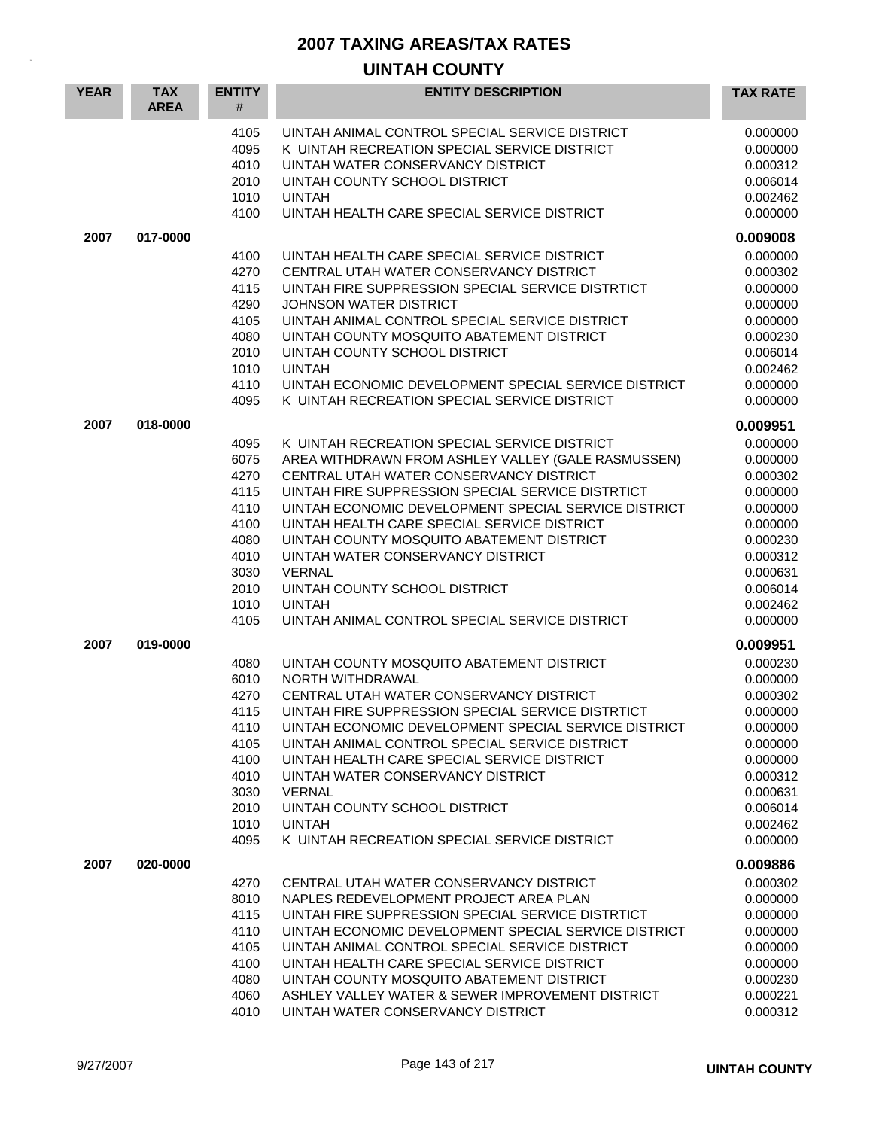| <b>YEAR</b> | <b>TAX</b><br><b>AREA</b> | <b>ENTITY</b><br>#           | <b>ENTITY DESCRIPTION</b>                                                                                                                                            | <b>TAX RATE</b>                              |
|-------------|---------------------------|------------------------------|----------------------------------------------------------------------------------------------------------------------------------------------------------------------|----------------------------------------------|
|             |                           | 4105<br>4095<br>4010<br>2010 | UINTAH ANIMAL CONTROL SPECIAL SERVICE DISTRICT<br>K UINTAH RECREATION SPECIAL SERVICE DISTRICT<br>UINTAH WATER CONSERVANCY DISTRICT<br>UINTAH COUNTY SCHOOL DISTRICT | 0.000000<br>0.000000<br>0.000312<br>0.006014 |
|             |                           | 1010<br>4100                 | <b>UINTAH</b><br>UINTAH HEALTH CARE SPECIAL SERVICE DISTRICT                                                                                                         | 0.002462<br>0.000000                         |
| 2007        | 017-0000                  |                              |                                                                                                                                                                      | 0.009008                                     |
|             |                           | 4100                         | UINTAH HEALTH CARE SPECIAL SERVICE DISTRICT                                                                                                                          | 0.000000                                     |
|             |                           | 4270                         | CENTRAL UTAH WATER CONSERVANCY DISTRICT                                                                                                                              | 0.000302                                     |
|             |                           | 4115<br>4290                 | UINTAH FIRE SUPPRESSION SPECIAL SERVICE DISTRTICT<br><b>JOHNSON WATER DISTRICT</b>                                                                                   | 0.000000                                     |
|             |                           | 4105                         | UINTAH ANIMAL CONTROL SPECIAL SERVICE DISTRICT                                                                                                                       | 0.000000<br>0.000000                         |
|             |                           | 4080                         | UINTAH COUNTY MOSQUITO ABATEMENT DISTRICT                                                                                                                            | 0.000230                                     |
|             |                           | 2010                         | UINTAH COUNTY SCHOOL DISTRICT                                                                                                                                        | 0.006014                                     |
|             |                           | 1010                         | <b>UINTAH</b>                                                                                                                                                        | 0.002462                                     |
|             |                           | 4110<br>4095                 | UINTAH ECONOMIC DEVELOPMENT SPECIAL SERVICE DISTRICT<br>K UINTAH RECREATION SPECIAL SERVICE DISTRICT                                                                 | 0.000000<br>0.000000                         |
| 2007        | 018-0000                  |                              |                                                                                                                                                                      | 0.009951                                     |
|             |                           | 4095                         | K UINTAH RECREATION SPECIAL SERVICE DISTRICT                                                                                                                         | 0.000000                                     |
|             |                           | 6075<br>4270                 | AREA WITHDRAWN FROM ASHLEY VALLEY (GALE RASMUSSEN)<br>CENTRAL UTAH WATER CONSERVANCY DISTRICT                                                                        | 0.000000<br>0.000302                         |
|             |                           | 4115                         | UINTAH FIRE SUPPRESSION SPECIAL SERVICE DISTRTICT                                                                                                                    | 0.000000                                     |
|             |                           | 4110                         | UINTAH ECONOMIC DEVELOPMENT SPECIAL SERVICE DISTRICT                                                                                                                 | 0.000000                                     |
|             |                           | 4100                         | UINTAH HEALTH CARE SPECIAL SERVICE DISTRICT                                                                                                                          | 0.000000                                     |
|             |                           | 4080                         | UINTAH COUNTY MOSQUITO ABATEMENT DISTRICT                                                                                                                            | 0.000230                                     |
|             |                           | 4010<br>3030                 | UINTAH WATER CONSERVANCY DISTRICT<br><b>VERNAL</b>                                                                                                                   | 0.000312<br>0.000631                         |
|             |                           | 2010                         | UINTAH COUNTY SCHOOL DISTRICT                                                                                                                                        | 0.006014                                     |
|             |                           | 1010                         | <b>UINTAH</b>                                                                                                                                                        | 0.002462                                     |
|             |                           | 4105                         | UINTAH ANIMAL CONTROL SPECIAL SERVICE DISTRICT                                                                                                                       | 0.000000                                     |
| 2007        | 019-0000                  |                              |                                                                                                                                                                      | 0.009951                                     |
|             |                           | 4080                         | UINTAH COUNTY MOSQUITO ABATEMENT DISTRICT                                                                                                                            | 0.000230                                     |
|             |                           | 6010<br>4270                 | NORTH WITHDRAWAL<br>CENTRAL UTAH WATER CONSERVANCY DISTRICT                                                                                                          | 0.000000<br>0.000302                         |
|             |                           | 4115                         | UINTAH FIRE SUPPRESSION SPECIAL SERVICE DISTRTICT                                                                                                                    | 0.000000                                     |
|             |                           | 4110                         | UINTAH ECONOMIC DEVELOPMENT SPECIAL SERVICE DISTRICT                                                                                                                 | 0.000000                                     |
|             |                           | 4105                         | UINTAH ANIMAL CONTROL SPECIAL SERVICE DISTRICT                                                                                                                       | 0.000000                                     |
|             |                           | 4100                         | UINTAH HEALTH CARE SPECIAL SERVICE DISTRICT                                                                                                                          | 0.000000                                     |
|             |                           | 4010                         | UINTAH WATER CONSERVANCY DISTRICT<br><b>VERNAL</b>                                                                                                                   | 0.000312                                     |
|             |                           | 3030<br>2010                 | UINTAH COUNTY SCHOOL DISTRICT                                                                                                                                        | 0.000631<br>0.006014                         |
|             |                           | 1010                         | <b>UINTAH</b>                                                                                                                                                        | 0.002462                                     |
|             |                           | 4095                         | K UINTAH RECREATION SPECIAL SERVICE DISTRICT                                                                                                                         | 0.000000                                     |
| 2007        | 020-0000                  |                              |                                                                                                                                                                      | 0.009886                                     |
|             |                           | 4270                         | CENTRAL UTAH WATER CONSERVANCY DISTRICT                                                                                                                              | 0.000302                                     |
|             |                           | 8010                         | NAPLES REDEVELOPMENT PROJECT AREA PLAN                                                                                                                               | 0.000000                                     |
|             |                           | 4115<br>4110                 | UINTAH FIRE SUPPRESSION SPECIAL SERVICE DISTRTICT<br>UINTAH ECONOMIC DEVELOPMENT SPECIAL SERVICE DISTRICT                                                            | 0.000000<br>0.000000                         |
|             |                           | 4105                         | UINTAH ANIMAL CONTROL SPECIAL SERVICE DISTRICT                                                                                                                       | 0.000000                                     |
|             |                           | 4100                         | UINTAH HEALTH CARE SPECIAL SERVICE DISTRICT                                                                                                                          | 0.000000                                     |
|             |                           | 4080                         | UINTAH COUNTY MOSQUITO ABATEMENT DISTRICT                                                                                                                            | 0.000230                                     |
|             |                           | 4060                         | ASHLEY VALLEY WATER & SEWER IMPROVEMENT DISTRICT                                                                                                                     | 0.000221                                     |
|             |                           | 4010                         | UINTAH WATER CONSERVANCY DISTRICT                                                                                                                                    | 0.000312                                     |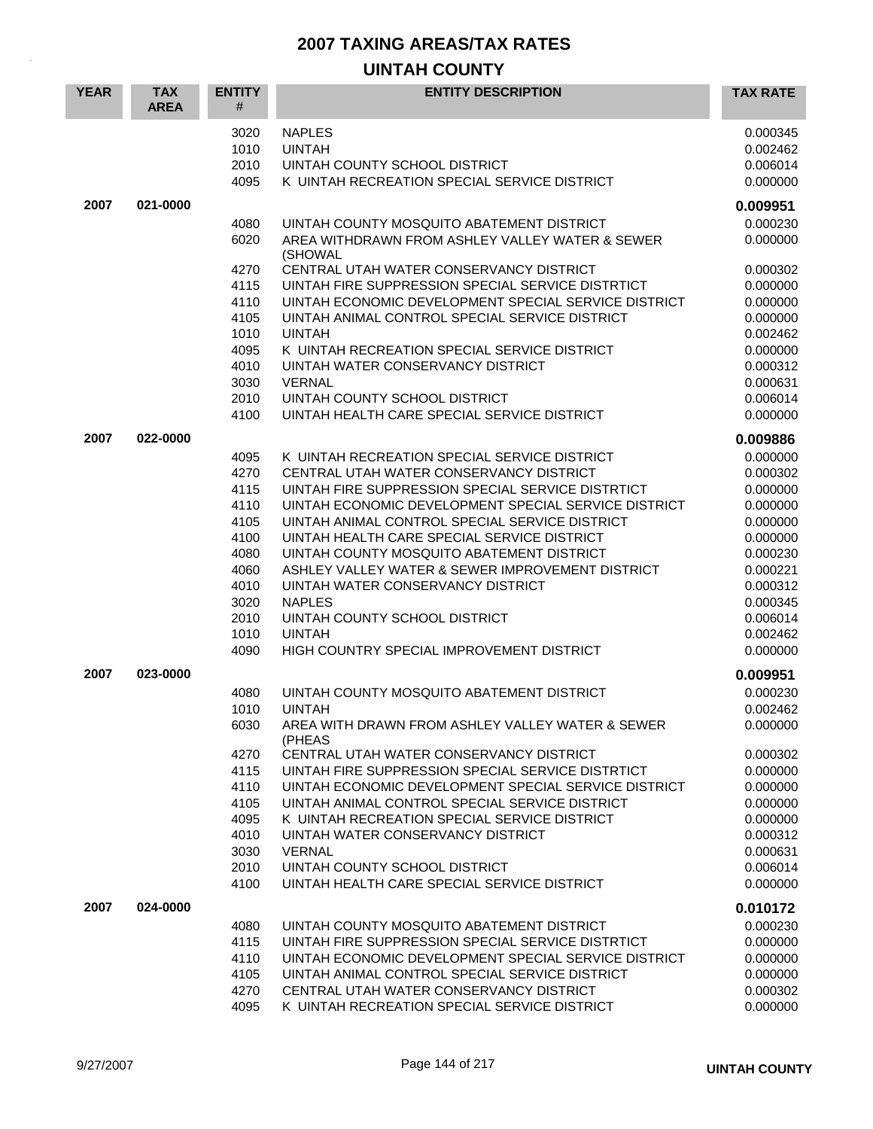| <b>YEAR</b> | <b>TAX</b><br><b>AREA</b> | <b>ENTITY</b><br># | <b>ENTITY DESCRIPTION</b>                                                                                 | <b>TAX RATE</b>      |
|-------------|---------------------------|--------------------|-----------------------------------------------------------------------------------------------------------|----------------------|
|             |                           | 3020               | <b>NAPLES</b>                                                                                             | 0.000345             |
|             |                           | 1010<br>2010       | <b>UINTAH</b><br>UINTAH COUNTY SCHOOL DISTRICT                                                            | 0.002462<br>0.006014 |
|             |                           | 4095               | K UINTAH RECREATION SPECIAL SERVICE DISTRICT                                                              | 0.000000             |
| 2007        | 021-0000                  |                    |                                                                                                           | 0.009951             |
|             |                           | 4080               | UINTAH COUNTY MOSQUITO ABATEMENT DISTRICT                                                                 | 0.000230             |
|             |                           | 6020               | AREA WITHDRAWN FROM ASHLEY VALLEY WATER & SEWER<br>(SHOWAL                                                | 0.000000             |
|             |                           | 4270               | CENTRAL UTAH WATER CONSERVANCY DISTRICT                                                                   | 0.000302             |
|             |                           | 4115               | UINTAH FIRE SUPPRESSION SPECIAL SERVICE DISTRTICT                                                         | 0.000000             |
|             |                           | 4110               | UINTAH ECONOMIC DEVELOPMENT SPECIAL SERVICE DISTRICT                                                      | 0.000000             |
|             |                           | 4105<br>1010       | UINTAH ANIMAL CONTROL SPECIAL SERVICE DISTRICT<br><b>UINTAH</b>                                           | 0.000000<br>0.002462 |
|             |                           | 4095               | K UINTAH RECREATION SPECIAL SERVICE DISTRICT                                                              | 0.000000             |
|             |                           | 4010               | UINTAH WATER CONSERVANCY DISTRICT                                                                         | 0.000312             |
|             |                           | 3030               | <b>VERNAL</b>                                                                                             | 0.000631             |
|             |                           | 2010               | UINTAH COUNTY SCHOOL DISTRICT                                                                             | 0.006014             |
|             |                           | 4100               | UINTAH HEALTH CARE SPECIAL SERVICE DISTRICT                                                               | 0.000000             |
| 2007        | 022-0000                  |                    |                                                                                                           | 0.009886             |
|             |                           | 4095               | K UINTAH RECREATION SPECIAL SERVICE DISTRICT                                                              | 0.000000             |
|             |                           | 4270               | CENTRAL UTAH WATER CONSERVANCY DISTRICT                                                                   | 0.000302             |
|             |                           | 4115<br>4110       | UINTAH FIRE SUPPRESSION SPECIAL SERVICE DISTRTICT<br>UINTAH ECONOMIC DEVELOPMENT SPECIAL SERVICE DISTRICT | 0.000000<br>0.000000 |
|             |                           | 4105               | UINTAH ANIMAL CONTROL SPECIAL SERVICE DISTRICT                                                            | 0.000000             |
|             |                           | 4100               | UINTAH HEALTH CARE SPECIAL SERVICE DISTRICT                                                               | 0.000000             |
|             |                           | 4080               | UINTAH COUNTY MOSQUITO ABATEMENT DISTRICT                                                                 | 0.000230             |
|             |                           | 4060               | ASHLEY VALLEY WATER & SEWER IMPROVEMENT DISTRICT                                                          | 0.000221             |
|             |                           | 4010               | UINTAH WATER CONSERVANCY DISTRICT                                                                         | 0.000312             |
|             |                           | 3020               | <b>NAPLES</b>                                                                                             | 0.000345             |
|             |                           | 2010               | UINTAH COUNTY SCHOOL DISTRICT                                                                             | 0.006014             |
|             |                           | 1010               | <b>UINTAH</b>                                                                                             | 0.002462             |
|             |                           | 4090               | HIGH COUNTRY SPECIAL IMPROVEMENT DISTRICT                                                                 | 0.000000             |
| 2007        | 023-0000                  |                    |                                                                                                           | 0.009951             |
|             |                           | 4080<br>1010       | UINTAH COUNTY MOSQUITO ABATEMENT DISTRICT<br><b>UINTAH</b>                                                | 0.000230<br>0.002462 |
|             |                           | 6030               | AREA WITH DRAWN FROM ASHLEY VALLEY WATER & SEWER                                                          | 0.000000             |
|             |                           |                    | (PHEAS                                                                                                    |                      |
|             |                           | 4270               | CENTRAL UTAH WATER CONSERVANCY DISTRICT                                                                   | 0.000302             |
|             |                           | 4115               | UINTAH FIRE SUPPRESSION SPECIAL SERVICE DISTRTICT                                                         | 0.000000             |
|             |                           | 4110               | UINTAH ECONOMIC DEVELOPMENT SPECIAL SERVICE DISTRICT                                                      | 0.000000             |
|             |                           | 4105<br>4095       | UINTAH ANIMAL CONTROL SPECIAL SERVICE DISTRICT<br>K UINTAH RECREATION SPECIAL SERVICE DISTRICT            | 0.000000<br>0.000000 |
|             |                           | 4010               | UINTAH WATER CONSERVANCY DISTRICT                                                                         | 0.000312             |
|             |                           | 3030               | <b>VERNAL</b>                                                                                             | 0.000631             |
|             |                           | 2010               | UINTAH COUNTY SCHOOL DISTRICT                                                                             | 0.006014             |
|             |                           | 4100               | UINTAH HEALTH CARE SPECIAL SERVICE DISTRICT                                                               | 0.000000             |
| 2007        | 024-0000                  |                    |                                                                                                           | 0.010172             |
|             |                           | 4080               | UINTAH COUNTY MOSQUITO ABATEMENT DISTRICT                                                                 | 0.000230             |
|             |                           | 4115               | UINTAH FIRE SUPPRESSION SPECIAL SERVICE DISTRTICT                                                         | 0.000000             |
|             |                           | 4110               | UINTAH ECONOMIC DEVELOPMENT SPECIAL SERVICE DISTRICT                                                      | 0.000000             |
|             |                           | 4105<br>4270       | UINTAH ANIMAL CONTROL SPECIAL SERVICE DISTRICT<br>CENTRAL UTAH WATER CONSERVANCY DISTRICT                 | 0.000000<br>0.000302 |
|             |                           | 4095               | K UINTAH RECREATION SPECIAL SERVICE DISTRICT                                                              | 0.000000             |
|             |                           |                    |                                                                                                           |                      |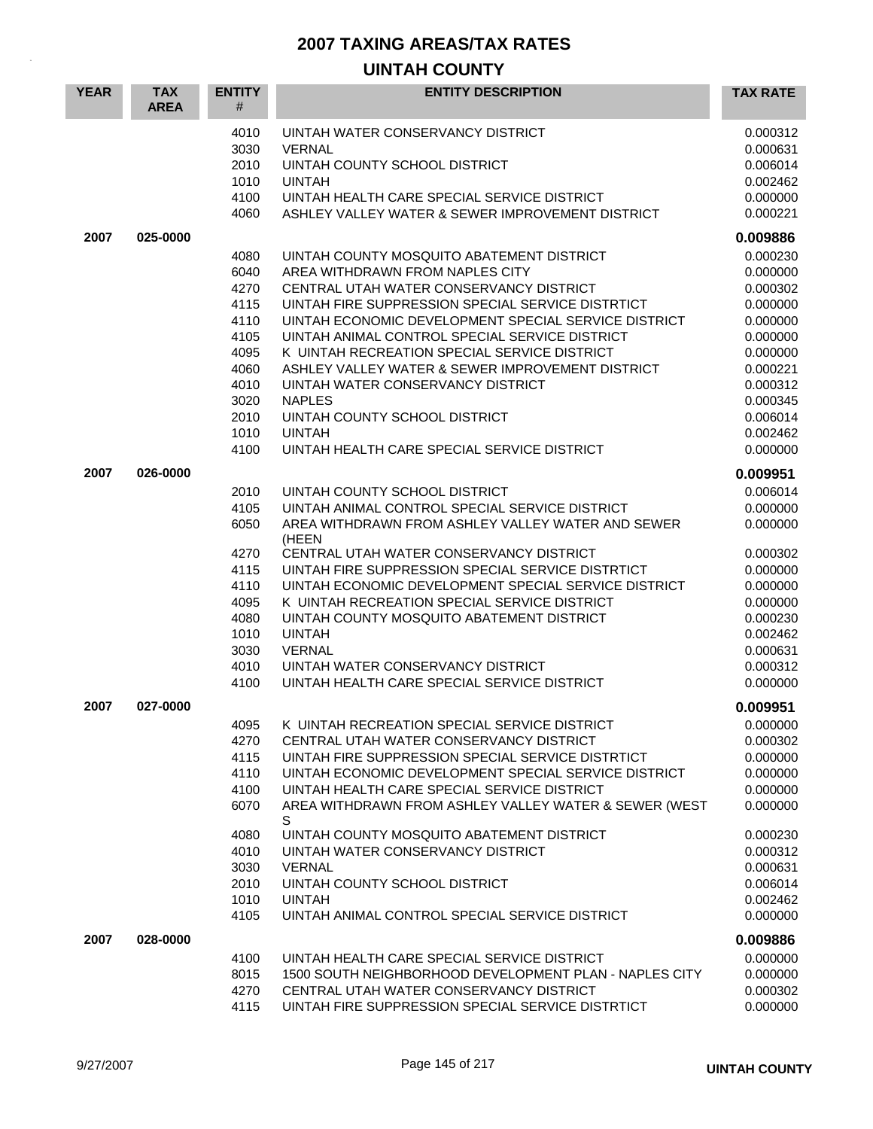| <b>YEAR</b> | <b>TAX</b><br><b>AREA</b> | <b>ENTITY</b><br>#                                                                                   | <b>ENTITY DESCRIPTION</b>                                                                                                                                                                                                                                                                                                                                                                                                                                                                                                                         | <b>TAX RATE</b>                                                                                                                                          |
|-------------|---------------------------|------------------------------------------------------------------------------------------------------|---------------------------------------------------------------------------------------------------------------------------------------------------------------------------------------------------------------------------------------------------------------------------------------------------------------------------------------------------------------------------------------------------------------------------------------------------------------------------------------------------------------------------------------------------|----------------------------------------------------------------------------------------------------------------------------------------------------------|
|             |                           | 4010<br>3030<br>2010<br>1010<br>4100<br>4060                                                         | UINTAH WATER CONSERVANCY DISTRICT<br><b>VERNAL</b><br>UINTAH COUNTY SCHOOL DISTRICT<br><b>UINTAH</b><br>UINTAH HEALTH CARE SPECIAL SERVICE DISTRICT<br>ASHLEY VALLEY WATER & SEWER IMPROVEMENT DISTRICT                                                                                                                                                                                                                                                                                                                                           | 0.000312<br>0.000631<br>0.006014<br>0.002462<br>0.000000<br>0.000221                                                                                     |
| 2007        | 025-0000                  |                                                                                                      |                                                                                                                                                                                                                                                                                                                                                                                                                                                                                                                                                   | 0.009886                                                                                                                                                 |
|             |                           | 4080<br>6040<br>4270<br>4115<br>4110<br>4105<br>4095<br>4060<br>4010<br>3020<br>2010<br>1010<br>4100 | UINTAH COUNTY MOSQUITO ABATEMENT DISTRICT<br>AREA WITHDRAWN FROM NAPLES CITY<br>CENTRAL UTAH WATER CONSERVANCY DISTRICT<br>UINTAH FIRE SUPPRESSION SPECIAL SERVICE DISTRTICT<br>UINTAH ECONOMIC DEVELOPMENT SPECIAL SERVICE DISTRICT<br>UINTAH ANIMAL CONTROL SPECIAL SERVICE DISTRICT<br>K UINTAH RECREATION SPECIAL SERVICE DISTRICT<br>ASHLEY VALLEY WATER & SEWER IMPROVEMENT DISTRICT<br>UINTAH WATER CONSERVANCY DISTRICT<br><b>NAPLES</b><br>UINTAH COUNTY SCHOOL DISTRICT<br><b>UINTAH</b><br>UINTAH HEALTH CARE SPECIAL SERVICE DISTRICT | 0.000230<br>0.000000<br>0.000302<br>0.000000<br>0.000000<br>0.000000<br>0.000000<br>0.000221<br>0.000312<br>0.000345<br>0.006014<br>0.002462<br>0.000000 |
| 2007        | 026-0000                  |                                                                                                      |                                                                                                                                                                                                                                                                                                                                                                                                                                                                                                                                                   | 0.009951                                                                                                                                                 |
|             |                           | 2010<br>4105<br>6050<br>4270<br>4115<br>4110<br>4095<br>4080<br>1010<br>3030<br>4010<br>4100         | UINTAH COUNTY SCHOOL DISTRICT<br>UINTAH ANIMAL CONTROL SPECIAL SERVICE DISTRICT<br>AREA WITHDRAWN FROM ASHLEY VALLEY WATER AND SEWER<br>(HEEN<br>CENTRAL UTAH WATER CONSERVANCY DISTRICT<br>UINTAH FIRE SUPPRESSION SPECIAL SERVICE DISTRTICT<br>UINTAH ECONOMIC DEVELOPMENT SPECIAL SERVICE DISTRICT<br>K UINTAH RECREATION SPECIAL SERVICE DISTRICT<br>UINTAH COUNTY MOSQUITO ABATEMENT DISTRICT<br><b>UINTAH</b><br><b>VERNAL</b><br>UINTAH WATER CONSERVANCY DISTRICT<br>UINTAH HEALTH CARE SPECIAL SERVICE DISTRICT                          | 0.006014<br>0.000000<br>0.000000<br>0.000302<br>0.000000<br>0.000000<br>0.000000<br>0.000230<br>0.002462<br>0.000631<br>0.000312<br>0.000000             |
| 2007        | 027-0000                  | 4095<br>4270<br>4115<br>4110<br>4100<br>6070<br>4080<br>4010<br>3030<br>2010<br>1010<br>4105         | K UINTAH RECREATION SPECIAL SERVICE DISTRICT<br>CENTRAL UTAH WATER CONSERVANCY DISTRICT<br>UINTAH FIRE SUPPRESSION SPECIAL SERVICE DISTRTICT<br>UINTAH ECONOMIC DEVELOPMENT SPECIAL SERVICE DISTRICT<br>UINTAH HEALTH CARE SPECIAL SERVICE DISTRICT<br>AREA WITHDRAWN FROM ASHLEY VALLEY WATER & SEWER (WEST<br>S<br>UINTAH COUNTY MOSQUITO ABATEMENT DISTRICT<br>UINTAH WATER CONSERVANCY DISTRICT<br><b>VERNAL</b><br>UINTAH COUNTY SCHOOL DISTRICT<br><b>UINTAH</b><br>UINTAH ANIMAL CONTROL SPECIAL SERVICE DISTRICT                          | 0.009951<br>0.000000<br>0.000302<br>0.000000<br>0.000000<br>0.000000<br>0.000000<br>0.000230<br>0.000312<br>0.000631<br>0.006014<br>0.002462<br>0.000000 |
| 2007        | 028-0000                  |                                                                                                      |                                                                                                                                                                                                                                                                                                                                                                                                                                                                                                                                                   | 0.009886                                                                                                                                                 |
|             |                           | 4100<br>8015<br>4270<br>4115                                                                         | UINTAH HEALTH CARE SPECIAL SERVICE DISTRICT<br>1500 SOUTH NEIGHBORHOOD DEVELOPMENT PLAN - NAPLES CITY<br>CENTRAL UTAH WATER CONSERVANCY DISTRICT<br>UINTAH FIRE SUPPRESSION SPECIAL SERVICE DISTRTICT                                                                                                                                                                                                                                                                                                                                             | 0.000000<br>0.000000<br>0.000302<br>0.000000                                                                                                             |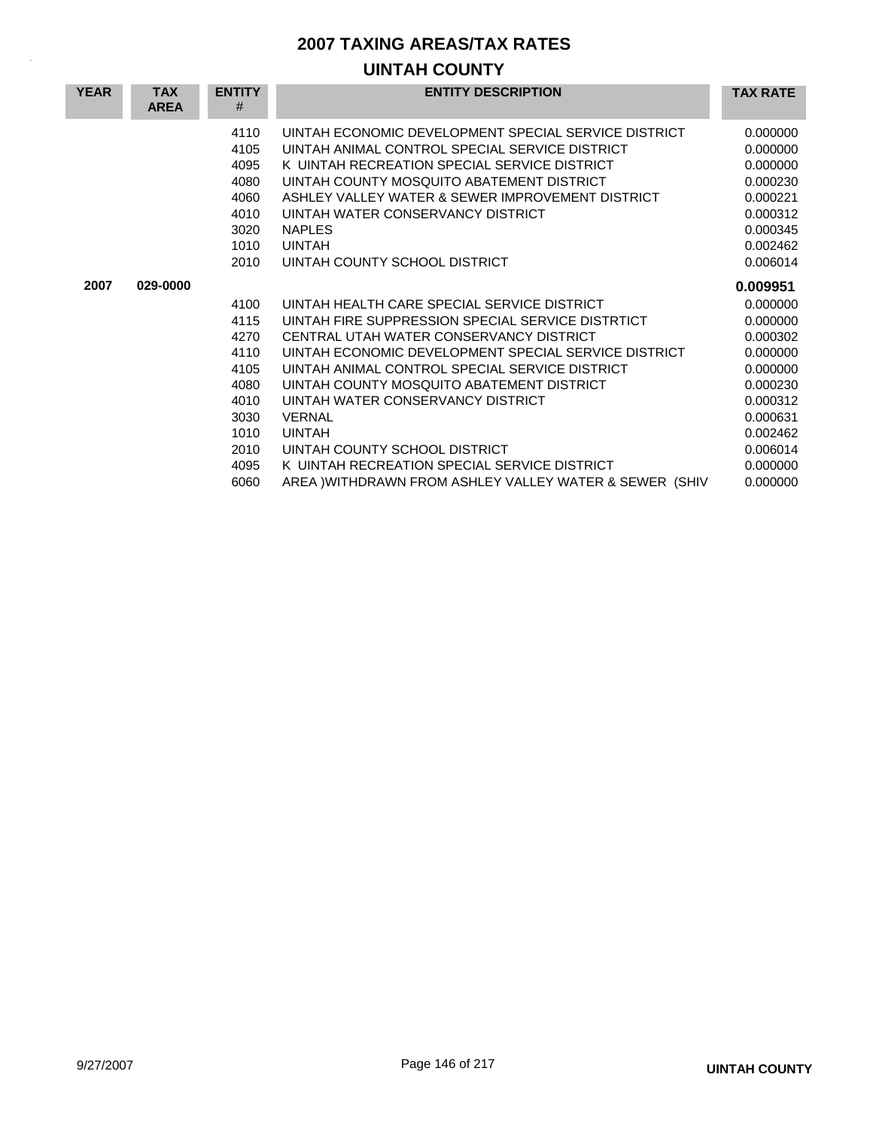| <b>YEAR</b> | <b>TAX</b><br><b>AREA</b> | <b>ENTITY</b><br># | <b>ENTITY DESCRIPTION</b>                              | <b>TAX RATE</b> |
|-------------|---------------------------|--------------------|--------------------------------------------------------|-----------------|
|             |                           | 4110               | UINTAH ECONOMIC DEVELOPMENT SPECIAL SERVICE DISTRICT   | 0.000000        |
|             |                           | 4105               | UINTAH ANIMAL CONTROL SPECIAL SERVICE DISTRICT         | 0.000000        |
|             |                           | 4095               | K UINTAH RECREATION SPECIAL SERVICE DISTRICT           | 0.000000        |
|             |                           | 4080               | UINTAH COUNTY MOSQUITO ABATEMENT DISTRICT              | 0.000230        |
|             |                           | 4060               | ASHLEY VALLEY WATER & SEWER IMPROVEMENT DISTRICT       | 0.000221        |
|             |                           | 4010               | UINTAH WATER CONSERVANCY DISTRICT                      | 0.000312        |
|             |                           | 3020               | <b>NAPLES</b>                                          | 0.000345        |
|             |                           | 1010               | <b>UINTAH</b>                                          | 0.002462        |
|             |                           | 2010               | UINTAH COUNTY SCHOOL DISTRICT                          | 0.006014        |
| 2007        | 029-0000                  |                    |                                                        | 0.009951        |
|             |                           | 4100               | UINTAH HEALTH CARE SPECIAL SERVICE DISTRICT            | 0.000000        |
|             |                           | 4115               | UINTAH FIRE SUPPRESSION SPECIAL SERVICE DISTRTICT      | 0.000000        |
|             |                           | 4270               | CENTRAL UTAH WATER CONSERVANCY DISTRICT                | 0.000302        |
|             |                           | 4110               | UINTAH ECONOMIC DEVELOPMENT SPECIAL SERVICE DISTRICT   | 0.000000        |
|             |                           | 4105               | UINTAH ANIMAL CONTROL SPECIAL SERVICE DISTRICT         | 0.000000        |
|             |                           | 4080               | UINTAH COUNTY MOSQUITO ABATEMENT DISTRICT              | 0.000230        |
|             |                           | 4010               | UINTAH WATER CONSERVANCY DISTRICT                      | 0.000312        |
|             |                           | 3030               | <b>VERNAL</b>                                          | 0.000631        |
|             |                           | 1010               | <b>UINTAH</b>                                          | 0.002462        |
|             |                           | 2010               | UINTAH COUNTY SCHOOL DISTRICT                          | 0.006014        |
|             |                           | 4095               | K UINTAH RECREATION SPECIAL SERVICE DISTRICT           | 0.000000        |
|             |                           | 6060               | AREA )WITHDRAWN FROM ASHLEY VALLEY WATER & SEWER (SHIV | 0.000000        |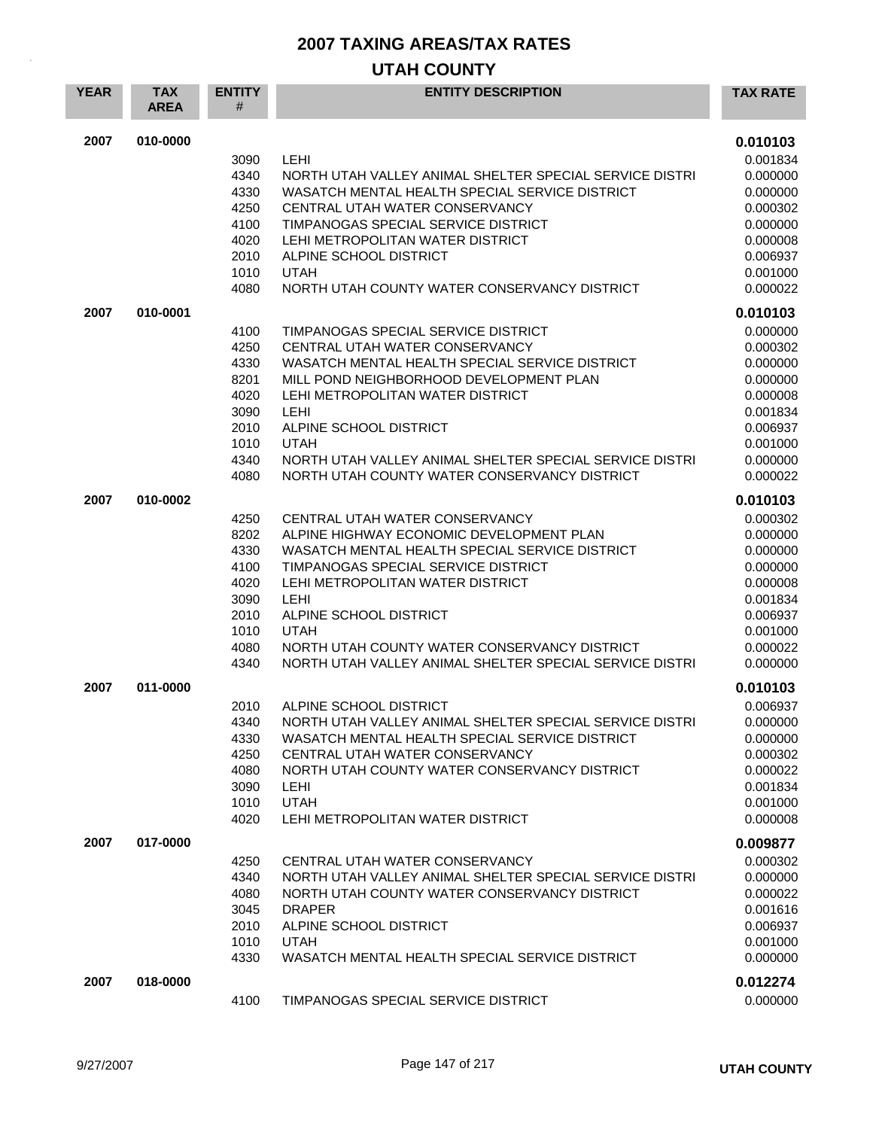| <b>YEAR</b> | <b>TAX</b><br><b>AREA</b> | <b>ENTITY</b><br># | <b>ENTITY DESCRIPTION</b>                                                                                 | <b>TAX RATE</b>      |
|-------------|---------------------------|--------------------|-----------------------------------------------------------------------------------------------------------|----------------------|
| 2007        | 010-0000                  | 3090               | LEHI                                                                                                      | 0.010103<br>0.001834 |
|             |                           | 4340<br>4330       | NORTH UTAH VALLEY ANIMAL SHELTER SPECIAL SERVICE DISTRI<br>WASATCH MENTAL HEALTH SPECIAL SERVICE DISTRICT | 0.000000<br>0.000000 |
|             |                           | 4250               | CENTRAL UTAH WATER CONSERVANCY                                                                            | 0.000302             |
|             |                           | 4100               | TIMPANOGAS SPECIAL SERVICE DISTRICT                                                                       | 0.000000             |
|             |                           | 4020               | LEHI METROPOLITAN WATER DISTRICT                                                                          | 0.000008             |
|             |                           | 2010               | ALPINE SCHOOL DISTRICT                                                                                    | 0.006937             |
|             |                           | 1010               | <b>UTAH</b>                                                                                               | 0.001000             |
|             |                           | 4080               | NORTH UTAH COUNTY WATER CONSERVANCY DISTRICT                                                              | 0.000022             |
| 2007        | 010-0001                  |                    |                                                                                                           | 0.010103             |
|             |                           | 4100               | TIMPANOGAS SPECIAL SERVICE DISTRICT                                                                       | 0.000000             |
|             |                           | 4250<br>4330       | CENTRAL UTAH WATER CONSERVANCY<br>WASATCH MENTAL HEALTH SPECIAL SERVICE DISTRICT                          | 0.000302<br>0.000000 |
|             |                           | 8201               | MILL POND NEIGHBORHOOD DEVELOPMENT PLAN                                                                   | 0.000000             |
|             |                           | 4020               | LEHI METROPOLITAN WATER DISTRICT                                                                          | 0.000008             |
|             |                           | 3090               | <b>LEHI</b>                                                                                               | 0.001834             |
|             |                           | 2010               | ALPINE SCHOOL DISTRICT                                                                                    | 0.006937             |
|             |                           | 1010               | <b>UTAH</b>                                                                                               | 0.001000             |
|             |                           | 4340<br>4080       | NORTH UTAH VALLEY ANIMAL SHELTER SPECIAL SERVICE DISTRI<br>NORTH UTAH COUNTY WATER CONSERVANCY DISTRICT   | 0.000000<br>0.000022 |
| 2007        | 010-0002                  |                    |                                                                                                           | 0.010103             |
|             |                           | 4250               | CENTRAL UTAH WATER CONSERVANCY                                                                            | 0.000302             |
|             |                           | 8202               | ALPINE HIGHWAY ECONOMIC DEVELOPMENT PLAN                                                                  | 0.000000             |
|             |                           | 4330               | WASATCH MENTAL HEALTH SPECIAL SERVICE DISTRICT                                                            | 0.000000             |
|             |                           | 4100<br>4020       | TIMPANOGAS SPECIAL SERVICE DISTRICT<br>LEHI METROPOLITAN WATER DISTRICT                                   | 0.000000<br>0.000008 |
|             |                           | 3090               | LEHI                                                                                                      | 0.001834             |
|             |                           | 2010               | ALPINE SCHOOL DISTRICT                                                                                    | 0.006937             |
|             |                           | 1010               | <b>UTAH</b>                                                                                               | 0.001000             |
|             |                           | 4080               | NORTH UTAH COUNTY WATER CONSERVANCY DISTRICT                                                              | 0.000022             |
|             |                           | 4340               | NORTH UTAH VALLEY ANIMAL SHELTER SPECIAL SERVICE DISTRI                                                   | 0.000000             |
| 2007        | 011-0000                  |                    |                                                                                                           | 0.010103             |
|             |                           | 2010               | ALPINE SCHOOL DISTRICT                                                                                    | 0.006937             |
|             |                           | 4340               | NORTH UTAH VALLEY ANIMAL SHELTER SPECIAL SERVICE DISTRI                                                   | 0.000000             |
|             |                           | 4330               | WASATCH MENTAL HEALTH SPECIAL SERVICE DISTRICT                                                            | 0.000000             |
|             |                           | 4250<br>4080       | CENTRAL UTAH WATER CONSERVANCY<br>NORTH UTAH COUNTY WATER CONSERVANCY DISTRICT                            | 0.000302<br>0.000022 |
|             |                           | 3090               | LEHI                                                                                                      | 0.001834             |
|             |                           | 1010               | <b>UTAH</b>                                                                                               | 0.001000             |
|             |                           | 4020               | LEHI METROPOLITAN WATER DISTRICT                                                                          | 0.000008             |
| 2007        | 017-0000                  |                    |                                                                                                           | 0.009877             |
|             |                           | 4250               | CENTRAL UTAH WATER CONSERVANCY                                                                            | 0.000302             |
|             |                           | 4340               | NORTH UTAH VALLEY ANIMAL SHELTER SPECIAL SERVICE DISTRI                                                   | 0.000000             |
|             |                           | 4080               | NORTH UTAH COUNTY WATER CONSERVANCY DISTRICT                                                              | 0.000022             |
|             |                           | 3045               | <b>DRAPER</b>                                                                                             | 0.001616             |
|             |                           | 2010               | ALPINE SCHOOL DISTRICT                                                                                    | 0.006937             |
|             |                           | 1010<br>4330       | <b>UTAH</b><br>WASATCH MENTAL HEALTH SPECIAL SERVICE DISTRICT                                             | 0.001000<br>0.000000 |
|             |                           |                    |                                                                                                           |                      |
| 2007        | 018-0000                  |                    |                                                                                                           | 0.012274             |
|             |                           | 4100               | TIMPANOGAS SPECIAL SERVICE DISTRICT                                                                       | 0.000000             |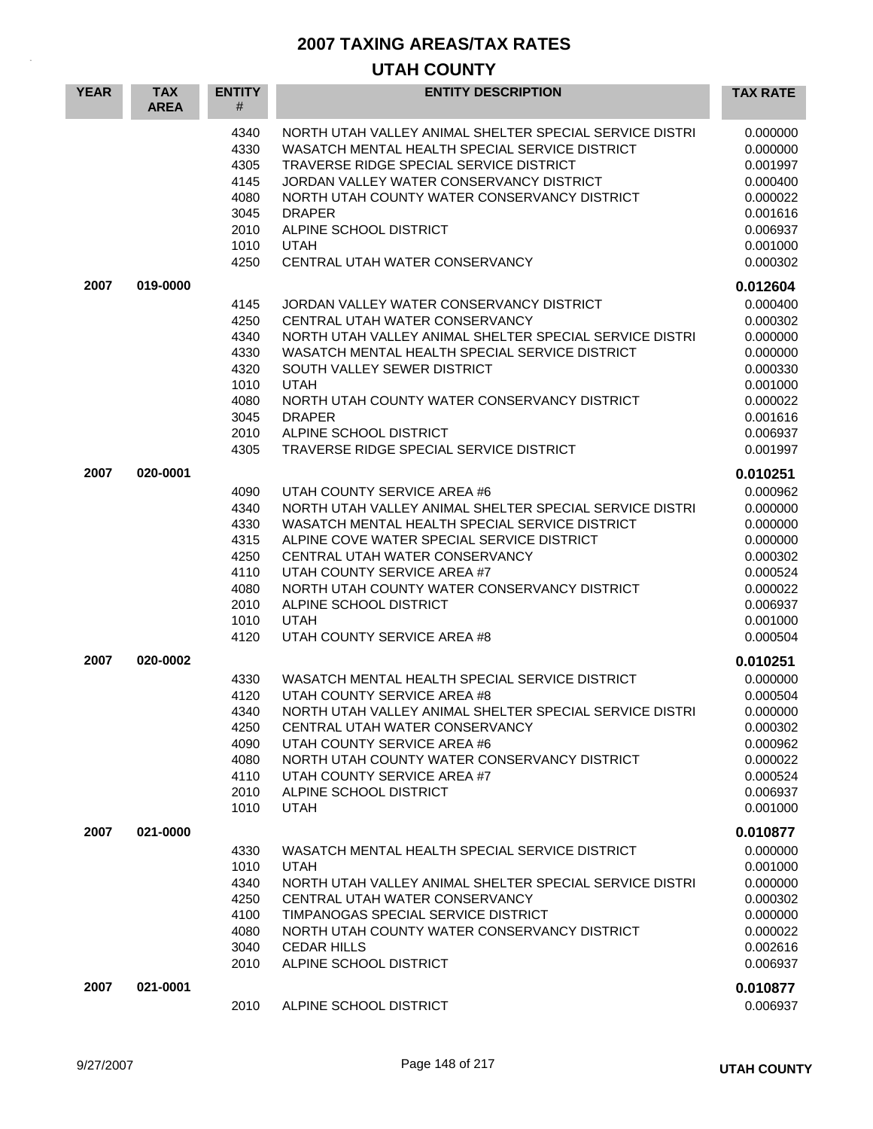| <b>YEAR</b> | <b>TAX</b><br><b>AREA</b> | <b>ENTITY</b><br>#                                                           | <b>ENTITY DESCRIPTION</b>                                                                                                                                                                                                                                                                                                                                                       | <b>TAX RATE</b>                                                                                                      |
|-------------|---------------------------|------------------------------------------------------------------------------|---------------------------------------------------------------------------------------------------------------------------------------------------------------------------------------------------------------------------------------------------------------------------------------------------------------------------------------------------------------------------------|----------------------------------------------------------------------------------------------------------------------|
|             |                           | 4340<br>4330<br>4305<br>4145<br>4080<br>3045<br>2010<br>1010<br>4250         | NORTH UTAH VALLEY ANIMAL SHELTER SPECIAL SERVICE DISTRI<br>WASATCH MENTAL HEALTH SPECIAL SERVICE DISTRICT<br>TRAVERSE RIDGE SPECIAL SERVICE DISTRICT<br>JORDAN VALLEY WATER CONSERVANCY DISTRICT<br>NORTH UTAH COUNTY WATER CONSERVANCY DISTRICT<br><b>DRAPER</b><br>ALPINE SCHOOL DISTRICT<br><b>UTAH</b><br>CENTRAL UTAH WATER CONSERVANCY                                    | 0.000000<br>0.000000<br>0.001997<br>0.000400<br>0.000022<br>0.001616<br>0.006937<br>0.001000<br>0.000302             |
| 2007        | 019-0000                  |                                                                              |                                                                                                                                                                                                                                                                                                                                                                                 | 0.012604                                                                                                             |
|             |                           | 4145<br>4250<br>4340<br>4330<br>4320<br>1010<br>4080<br>3045<br>2010<br>4305 | JORDAN VALLEY WATER CONSERVANCY DISTRICT<br>CENTRAL UTAH WATER CONSERVANCY<br>NORTH UTAH VALLEY ANIMAL SHELTER SPECIAL SERVICE DISTRI<br>WASATCH MENTAL HEALTH SPECIAL SERVICE DISTRICT<br>SOUTH VALLEY SEWER DISTRICT<br><b>UTAH</b><br>NORTH UTAH COUNTY WATER CONSERVANCY DISTRICT<br><b>DRAPER</b><br>ALPINE SCHOOL DISTRICT<br>TRAVERSE RIDGE SPECIAL SERVICE DISTRICT     | 0.000400<br>0.000302<br>0.000000<br>0.000000<br>0.000330<br>0.001000<br>0.000022<br>0.001616<br>0.006937<br>0.001997 |
| 2007        | 020-0001                  |                                                                              |                                                                                                                                                                                                                                                                                                                                                                                 | 0.010251                                                                                                             |
|             |                           | 4090<br>4340<br>4330<br>4315<br>4250<br>4110<br>4080<br>2010<br>1010<br>4120 | UTAH COUNTY SERVICE AREA #6<br>NORTH UTAH VALLEY ANIMAL SHELTER SPECIAL SERVICE DISTRI<br>WASATCH MENTAL HEALTH SPECIAL SERVICE DISTRICT<br>ALPINE COVE WATER SPECIAL SERVICE DISTRICT<br>CENTRAL UTAH WATER CONSERVANCY<br>UTAH COUNTY SERVICE AREA #7<br>NORTH UTAH COUNTY WATER CONSERVANCY DISTRICT<br>ALPINE SCHOOL DISTRICT<br><b>UTAH</b><br>UTAH COUNTY SERVICE AREA #8 | 0.000962<br>0.000000<br>0.000000<br>0.000000<br>0.000302<br>0.000524<br>0.000022<br>0.006937<br>0.001000<br>0.000504 |
| 2007        | 020-0002                  | 4330<br>4120<br>4340<br>4250<br>4090<br>4080<br>4110<br>2010<br>1010         | WASATCH MENTAL HEALTH SPECIAL SERVICE DISTRICT<br>UTAH COUNTY SERVICE AREA #8<br>NORTH UTAH VALLEY ANIMAL SHELTER SPECIAL SERVICE DISTRI<br>CENTRAL UTAH WATER CONSERVANCY<br>UTAH COUNTY SERVICE AREA #6<br>NORTH UTAH COUNTY WATER CONSERVANCY DISTRICT<br>UTAH COUNTY SERVICE AREA #7<br>ALPINE SCHOOL DISTRICT<br><b>UTAH</b>                                               | 0.010251<br>0.000000<br>0.000504<br>0.000000<br>0.000302<br>0.000962<br>0.000022<br>0.000524<br>0.006937<br>0.001000 |
| 2007        | 021-0000                  | 4330<br>1010<br>4340<br>4250<br>4100<br>4080<br>3040<br>2010                 | WASATCH MENTAL HEALTH SPECIAL SERVICE DISTRICT<br><b>UTAH</b><br>NORTH UTAH VALLEY ANIMAL SHELTER SPECIAL SERVICE DISTRI<br>CENTRAL UTAH WATER CONSERVANCY<br>TIMPANOGAS SPECIAL SERVICE DISTRICT<br>NORTH UTAH COUNTY WATER CONSERVANCY DISTRICT<br><b>CEDAR HILLS</b><br>ALPINE SCHOOL DISTRICT                                                                               | 0.010877<br>0.000000<br>0.001000<br>0.000000<br>0.000302<br>0.000000<br>0.000022<br>0.002616<br>0.006937             |
| 2007        | 021-0001                  | 2010                                                                         | ALPINE SCHOOL DISTRICT                                                                                                                                                                                                                                                                                                                                                          | 0.010877<br>0.006937                                                                                                 |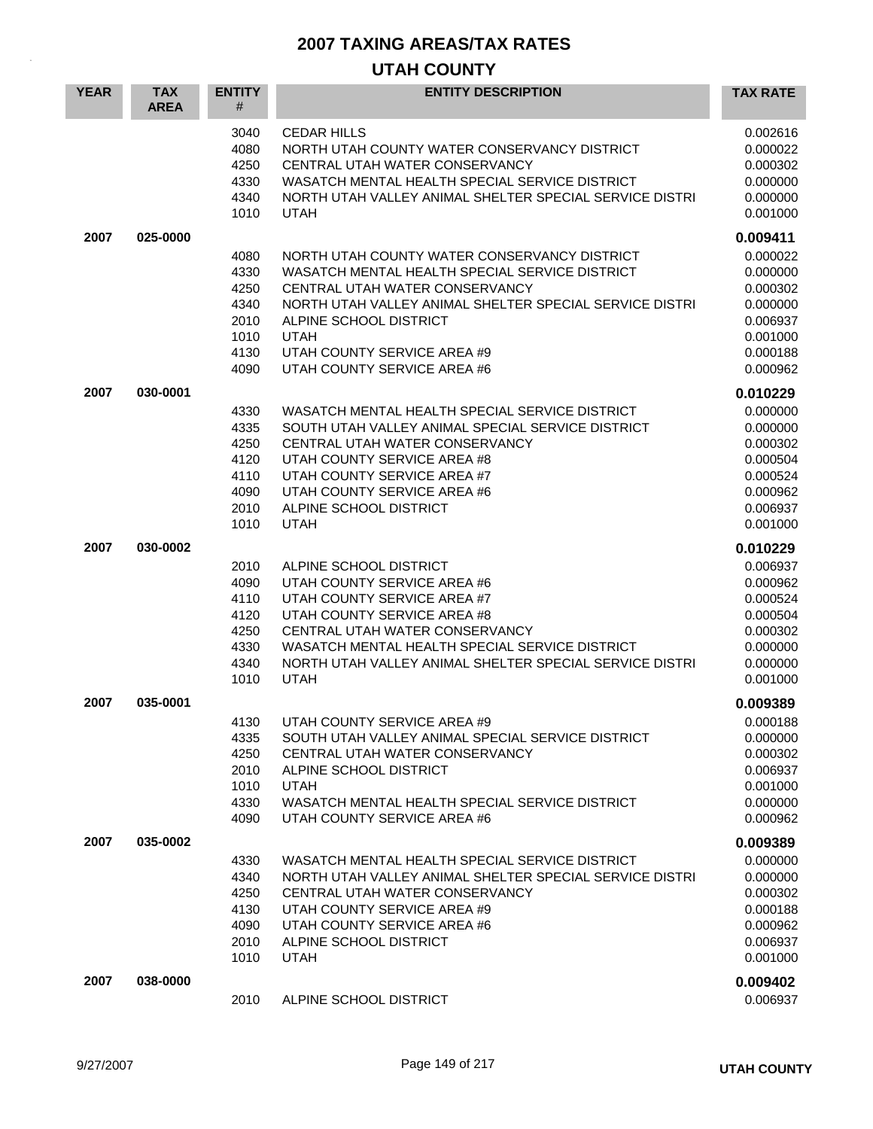| <b>YEAR</b> | <b>TAX</b><br><b>AREA</b> | <b>ENTITY</b><br>#                                           | <b>ENTITY DESCRIPTION</b>                                                                                                                                                                                                                                                                          | <b>TAX RATE</b>                                                                              |
|-------------|---------------------------|--------------------------------------------------------------|----------------------------------------------------------------------------------------------------------------------------------------------------------------------------------------------------------------------------------------------------------------------------------------------------|----------------------------------------------------------------------------------------------|
|             |                           | 3040<br>4080<br>4250<br>4330<br>4340<br>1010                 | <b>CEDAR HILLS</b><br>NORTH UTAH COUNTY WATER CONSERVANCY DISTRICT<br>CENTRAL UTAH WATER CONSERVANCY<br>WASATCH MENTAL HEALTH SPECIAL SERVICE DISTRICT<br>NORTH UTAH VALLEY ANIMAL SHELTER SPECIAL SERVICE DISTRI<br><b>UTAH</b>                                                                   | 0.002616<br>0.000022<br>0.000302<br>0.000000<br>0.000000<br>0.001000                         |
| 2007        | 025-0000                  |                                                              |                                                                                                                                                                                                                                                                                                    | 0.009411                                                                                     |
|             |                           | 4080<br>4330<br>4250<br>4340<br>2010<br>1010<br>4130<br>4090 | NORTH UTAH COUNTY WATER CONSERVANCY DISTRICT<br>WASATCH MENTAL HEALTH SPECIAL SERVICE DISTRICT<br>CENTRAL UTAH WATER CONSERVANCY<br>NORTH UTAH VALLEY ANIMAL SHELTER SPECIAL SERVICE DISTRI<br>ALPINE SCHOOL DISTRICT<br><b>UTAH</b><br>UTAH COUNTY SERVICE AREA #9<br>UTAH COUNTY SERVICE AREA #6 | 0.000022<br>0.000000<br>0.000302<br>0.000000<br>0.006937<br>0.001000<br>0.000188<br>0.000962 |
| 2007        | 030-0001                  |                                                              |                                                                                                                                                                                                                                                                                                    | 0.010229                                                                                     |
|             |                           | 4330<br>4335<br>4250<br>4120<br>4110<br>4090<br>2010<br>1010 | WASATCH MENTAL HEALTH SPECIAL SERVICE DISTRICT<br>SOUTH UTAH VALLEY ANIMAL SPECIAL SERVICE DISTRICT<br>CENTRAL UTAH WATER CONSERVANCY<br>UTAH COUNTY SERVICE AREA #8<br>UTAH COUNTY SERVICE AREA #7<br>UTAH COUNTY SERVICE AREA #6<br>ALPINE SCHOOL DISTRICT<br><b>UTAH</b>                        | 0.000000<br>0.000000<br>0.000302<br>0.000504<br>0.000524<br>0.000962<br>0.006937<br>0.001000 |
| 2007        | 030-0002                  |                                                              |                                                                                                                                                                                                                                                                                                    | 0.010229                                                                                     |
|             |                           | 2010<br>4090<br>4110<br>4120<br>4250<br>4330<br>4340<br>1010 | ALPINE SCHOOL DISTRICT<br>UTAH COUNTY SERVICE AREA #6<br>UTAH COUNTY SERVICE AREA #7<br>UTAH COUNTY SERVICE AREA #8<br>CENTRAL UTAH WATER CONSERVANCY<br>WASATCH MENTAL HEALTH SPECIAL SERVICE DISTRICT<br>NORTH UTAH VALLEY ANIMAL SHELTER SPECIAL SERVICE DISTRI<br><b>UTAH</b>                  | 0.006937<br>0.000962<br>0.000524<br>0.000504<br>0.000302<br>0.000000<br>0.000000<br>0.001000 |
| 2007        | 035-0001                  |                                                              |                                                                                                                                                                                                                                                                                                    | 0.009389                                                                                     |
|             |                           | 4130<br>4335<br>4250<br>2010<br>1010<br>4330<br>4090         | UTAH COUNTY SERVICE AREA #9<br>SOUTH UTAH VALLEY ANIMAL SPECIAL SERVICE DISTRICT<br>CENTRAL UTAH WATER CONSERVANCY<br>ALPINE SCHOOL DISTRICT<br><b>UTAH</b><br>WASATCH MENTAL HEALTH SPECIAL SERVICE DISTRICT<br>UTAH COUNTY SERVICE AREA #6                                                       | 0.000188<br>0.000000<br>0.000302<br>0.006937<br>0.001000<br>0.000000<br>0.000962             |
| 2007        | 035-0002                  |                                                              |                                                                                                                                                                                                                                                                                                    | 0.009389                                                                                     |
|             |                           | 4330<br>4340<br>4250<br>4130<br>4090<br>2010<br>1010         | WASATCH MENTAL HEALTH SPECIAL SERVICE DISTRICT<br>NORTH UTAH VALLEY ANIMAL SHELTER SPECIAL SERVICE DISTRI<br>CENTRAL UTAH WATER CONSERVANCY<br>UTAH COUNTY SERVICE AREA #9<br>UTAH COUNTY SERVICE AREA #6<br>ALPINE SCHOOL DISTRICT<br><b>UTAH</b>                                                 | 0.000000<br>0.000000<br>0.000302<br>0.000188<br>0.000962<br>0.006937<br>0.001000             |
| 2007        | 038-0000                  | 2010                                                         | ALPINE SCHOOL DISTRICT                                                                                                                                                                                                                                                                             | 0.009402<br>0.006937                                                                         |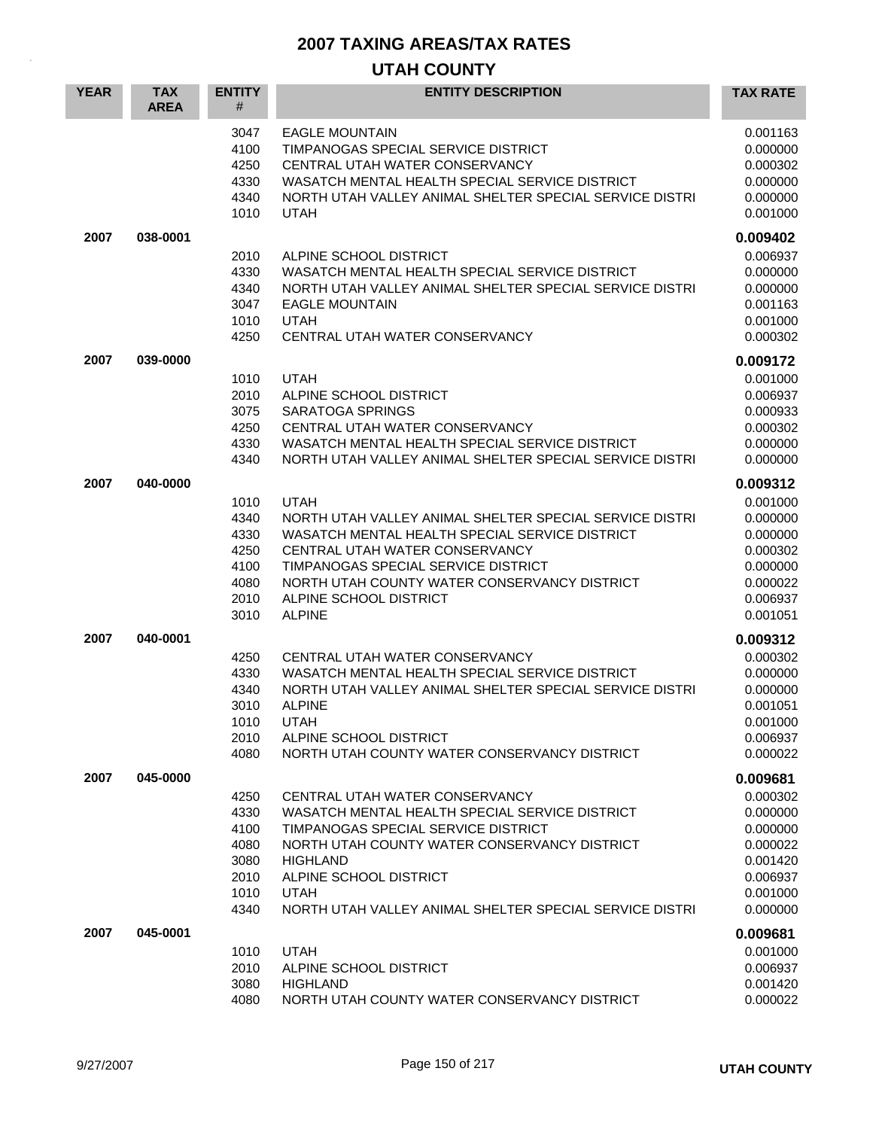| <b>YEAR</b> | <b>TAX</b><br><b>AREA</b> | <b>ENTITY</b><br>#                                           | <b>ENTITY DESCRIPTION</b>                                                                                                                                                                                                                                                                      | <b>TAX RATE</b>                                                                              |
|-------------|---------------------------|--------------------------------------------------------------|------------------------------------------------------------------------------------------------------------------------------------------------------------------------------------------------------------------------------------------------------------------------------------------------|----------------------------------------------------------------------------------------------|
|             |                           | 3047<br>4100<br>4250<br>4330<br>4340<br>1010                 | <b>EAGLE MOUNTAIN</b><br>TIMPANOGAS SPECIAL SERVICE DISTRICT<br>CENTRAL UTAH WATER CONSERVANCY<br>WASATCH MENTAL HEALTH SPECIAL SERVICE DISTRICT<br>NORTH UTAH VALLEY ANIMAL SHELTER SPECIAL SERVICE DISTRI<br><b>UTAH</b>                                                                     | 0.001163<br>0.000000<br>0.000302<br>0.000000<br>0.000000<br>0.001000                         |
| 2007        | 038-0001                  |                                                              |                                                                                                                                                                                                                                                                                                | 0.009402                                                                                     |
|             |                           | 2010<br>4330<br>4340<br>3047<br>1010<br>4250                 | ALPINE SCHOOL DISTRICT<br>WASATCH MENTAL HEALTH SPECIAL SERVICE DISTRICT<br>NORTH UTAH VALLEY ANIMAL SHELTER SPECIAL SERVICE DISTRI<br><b>EAGLE MOUNTAIN</b><br><b>UTAH</b><br>CENTRAL UTAH WATER CONSERVANCY                                                                                  | 0.006937<br>0.000000<br>0.000000<br>0.001163<br>0.001000<br>0.000302                         |
| 2007        | 039-0000                  |                                                              |                                                                                                                                                                                                                                                                                                | 0.009172                                                                                     |
|             |                           | 1010<br>2010<br>3075<br>4250<br>4330<br>4340                 | <b>UTAH</b><br>ALPINE SCHOOL DISTRICT<br><b>SARATOGA SPRINGS</b><br>CENTRAL UTAH WATER CONSERVANCY<br>WASATCH MENTAL HEALTH SPECIAL SERVICE DISTRICT<br>NORTH UTAH VALLEY ANIMAL SHELTER SPECIAL SERVICE DISTRI                                                                                | 0.001000<br>0.006937<br>0.000933<br>0.000302<br>0.000000<br>0.000000                         |
| 2007        | 040-0000                  |                                                              |                                                                                                                                                                                                                                                                                                | 0.009312                                                                                     |
|             |                           | 1010<br>4340<br>4330<br>4250<br>4100<br>4080<br>2010<br>3010 | UTAH<br>NORTH UTAH VALLEY ANIMAL SHELTER SPECIAL SERVICE DISTRI<br>WASATCH MENTAL HEALTH SPECIAL SERVICE DISTRICT<br>CENTRAL UTAH WATER CONSERVANCY<br>TIMPANOGAS SPECIAL SERVICE DISTRICT<br>NORTH UTAH COUNTY WATER CONSERVANCY DISTRICT<br>ALPINE SCHOOL DISTRICT<br><b>ALPINE</b>          | 0.001000<br>0.000000<br>0.000000<br>0.000302<br>0.000000<br>0.000022<br>0.006937<br>0.001051 |
| 2007        | 040-0001                  |                                                              |                                                                                                                                                                                                                                                                                                | 0.009312                                                                                     |
|             |                           | 4250<br>4330<br>4340<br>3010<br>1010<br>2010<br>4080         | CENTRAL UTAH WATER CONSERVANCY<br>WASATCH MENTAL HEALTH SPECIAL SERVICE DISTRICT<br>NORTH UTAH VALLEY ANIMAL SHELTER SPECIAL SERVICE DISTRI<br><b>ALPINE</b><br><b>UTAH</b><br>ALPINE SCHOOL DISTRICT<br>NORTH UTAH COUNTY WATER CONSERVANCY DISTRICT                                          | 0.000302<br>0.000000<br>0.000000<br>0.001051<br>0.001000<br>0.006937<br>0.000022             |
| 2007        | 045-0000                  |                                                              |                                                                                                                                                                                                                                                                                                | 0.009681                                                                                     |
|             |                           | 4250<br>4330<br>4100<br>4080<br>3080<br>2010<br>1010<br>4340 | CENTRAL UTAH WATER CONSERVANCY<br>WASATCH MENTAL HEALTH SPECIAL SERVICE DISTRICT<br>TIMPANOGAS SPECIAL SERVICE DISTRICT<br>NORTH UTAH COUNTY WATER CONSERVANCY DISTRICT<br><b>HIGHLAND</b><br>ALPINE SCHOOL DISTRICT<br><b>UTAH</b><br>NORTH UTAH VALLEY ANIMAL SHELTER SPECIAL SERVICE DISTRI | 0.000302<br>0.000000<br>0.000000<br>0.000022<br>0.001420<br>0.006937<br>0.001000<br>0.000000 |
| 2007        | 045-0001                  |                                                              |                                                                                                                                                                                                                                                                                                | 0.009681                                                                                     |
|             |                           | 1010<br>2010<br>3080<br>4080                                 | <b>UTAH</b><br>ALPINE SCHOOL DISTRICT<br><b>HIGHLAND</b><br>NORTH UTAH COUNTY WATER CONSERVANCY DISTRICT                                                                                                                                                                                       | 0.001000<br>0.006937<br>0.001420<br>0.000022                                                 |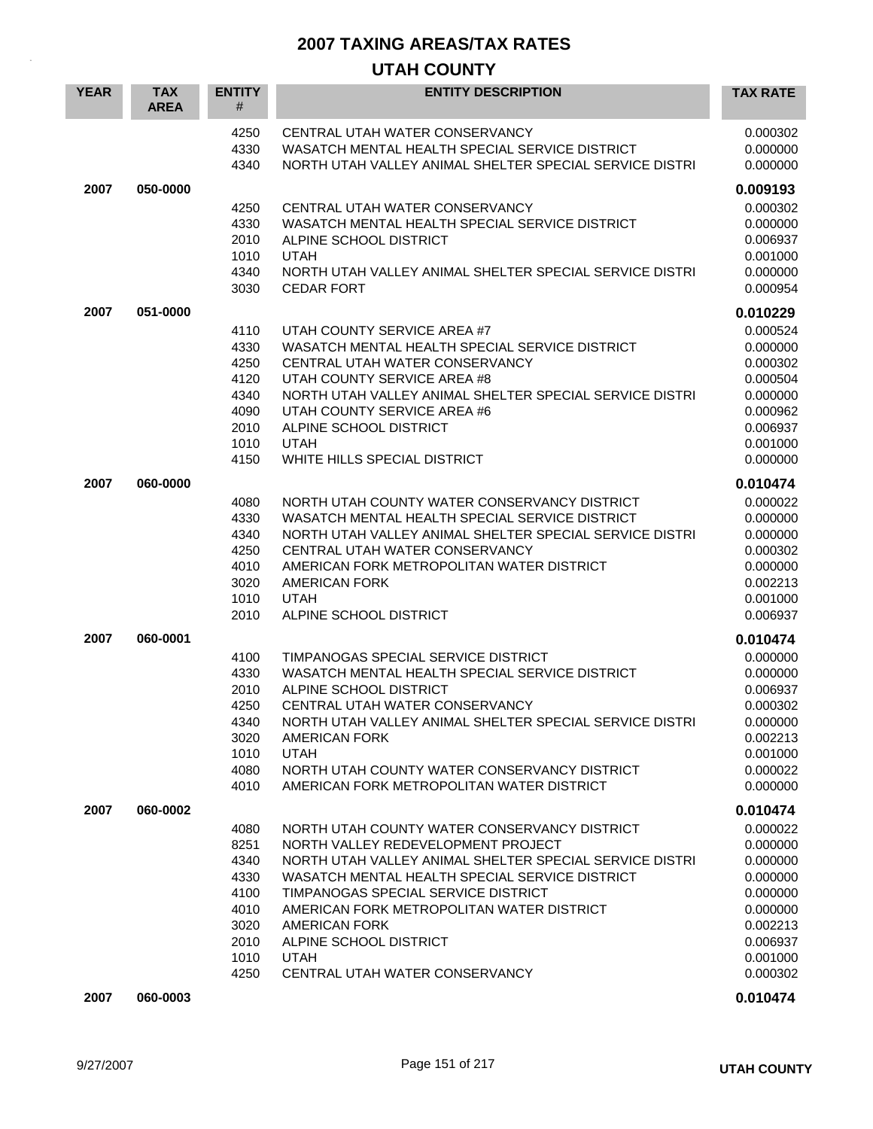| <b>YEAR</b> | <b>TAX</b><br><b>AREA</b> | <b>ENTITY</b><br>#                                                           | <b>ENTITY DESCRIPTION</b>                                                                                                                                                                                                                                                                                                                                                              | <b>TAX RATE</b>                                                                                                      |
|-------------|---------------------------|------------------------------------------------------------------------------|----------------------------------------------------------------------------------------------------------------------------------------------------------------------------------------------------------------------------------------------------------------------------------------------------------------------------------------------------------------------------------------|----------------------------------------------------------------------------------------------------------------------|
|             |                           | 4250<br>4330<br>4340                                                         | CENTRAL UTAH WATER CONSERVANCY<br>WASATCH MENTAL HEALTH SPECIAL SERVICE DISTRICT<br>NORTH UTAH VALLEY ANIMAL SHELTER SPECIAL SERVICE DISTRI                                                                                                                                                                                                                                            | 0.000302<br>0.000000<br>0.000000                                                                                     |
| 2007        | 050-0000                  |                                                                              |                                                                                                                                                                                                                                                                                                                                                                                        | 0.009193                                                                                                             |
|             |                           | 4250<br>4330<br>2010<br>1010<br>4340<br>3030                                 | CENTRAL UTAH WATER CONSERVANCY<br>WASATCH MENTAL HEALTH SPECIAL SERVICE DISTRICT<br>ALPINE SCHOOL DISTRICT<br><b>UTAH</b><br>NORTH UTAH VALLEY ANIMAL SHELTER SPECIAL SERVICE DISTRI<br><b>CEDAR FORT</b>                                                                                                                                                                              | 0.000302<br>0.000000<br>0.006937<br>0.001000<br>0.000000<br>0.000954                                                 |
| 2007        | 051-0000                  |                                                                              |                                                                                                                                                                                                                                                                                                                                                                                        | 0.010229                                                                                                             |
|             |                           | 4110<br>4330<br>4250<br>4120<br>4340<br>4090<br>2010<br>1010<br>4150         | UTAH COUNTY SERVICE AREA #7<br>WASATCH MENTAL HEALTH SPECIAL SERVICE DISTRICT<br>CENTRAL UTAH WATER CONSERVANCY<br>UTAH COUNTY SERVICE AREA #8<br>NORTH UTAH VALLEY ANIMAL SHELTER SPECIAL SERVICE DISTRI<br>UTAH COUNTY SERVICE AREA #6<br>ALPINE SCHOOL DISTRICT<br><b>UTAH</b><br>WHITE HILLS SPECIAL DISTRICT                                                                      | 0.000524<br>0.000000<br>0.000302<br>0.000504<br>0.000000<br>0.000962<br>0.006937<br>0.001000<br>0.000000             |
| 2007        | 060-0000                  |                                                                              |                                                                                                                                                                                                                                                                                                                                                                                        | 0.010474                                                                                                             |
|             |                           | 4080<br>4330<br>4340<br>4250<br>4010<br>3020<br>1010<br>2010                 | NORTH UTAH COUNTY WATER CONSERVANCY DISTRICT<br>WASATCH MENTAL HEALTH SPECIAL SERVICE DISTRICT<br>NORTH UTAH VALLEY ANIMAL SHELTER SPECIAL SERVICE DISTRI<br>CENTRAL UTAH WATER CONSERVANCY<br>AMERICAN FORK METROPOLITAN WATER DISTRICT<br><b>AMERICAN FORK</b><br><b>UTAH</b><br>ALPINE SCHOOL DISTRICT                                                                              | 0.000022<br>0.000000<br>0.000000<br>0.000302<br>0.000000<br>0.002213<br>0.001000<br>0.006937                         |
| 2007        | 060-0001                  |                                                                              |                                                                                                                                                                                                                                                                                                                                                                                        | 0.010474                                                                                                             |
|             |                           | 4100<br>4330<br>2010<br>4250<br>4340<br>3020<br>1010<br>4080<br>4010         | TIMPANOGAS SPECIAL SERVICE DISTRICT<br>WASATCH MENTAL HEALTH SPECIAL SERVICE DISTRICT<br>ALPINE SCHOOL DISTRICT<br>CENTRAL UTAH WATER CONSERVANCY<br>NORTH UTAH VALLEY ANIMAL SHELTER SPECIAL SERVICE DISTRI<br><b>AMERICAN FORK</b><br><b>UTAH</b><br>NORTH UTAH COUNTY WATER CONSERVANCY DISTRICT<br>AMERICAN FORK METROPOLITAN WATER DISTRICT                                       | 0.000000<br>0.000000<br>0.006937<br>0.000302<br>0.000000<br>0.002213<br>0.001000<br>0.000022<br>0.000000             |
| 2007        | 060-0002                  |                                                                              |                                                                                                                                                                                                                                                                                                                                                                                        | 0.010474                                                                                                             |
|             |                           | 4080<br>8251<br>4340<br>4330<br>4100<br>4010<br>3020<br>2010<br>1010<br>4250 | NORTH UTAH COUNTY WATER CONSERVANCY DISTRICT<br>NORTH VALLEY REDEVELOPMENT PROJECT<br>NORTH UTAH VALLEY ANIMAL SHELTER SPECIAL SERVICE DISTRI<br>WASATCH MENTAL HEALTH SPECIAL SERVICE DISTRICT<br>TIMPANOGAS SPECIAL SERVICE DISTRICT<br>AMERICAN FORK METROPOLITAN WATER DISTRICT<br><b>AMERICAN FORK</b><br>ALPINE SCHOOL DISTRICT<br><b>UTAH</b><br>CENTRAL UTAH WATER CONSERVANCY | 0.000022<br>0.000000<br>0.000000<br>0.000000<br>0.000000<br>0.000000<br>0.002213<br>0.006937<br>0.001000<br>0.000302 |
| 2007        | 060-0003                  |                                                                              |                                                                                                                                                                                                                                                                                                                                                                                        | 0.010474                                                                                                             |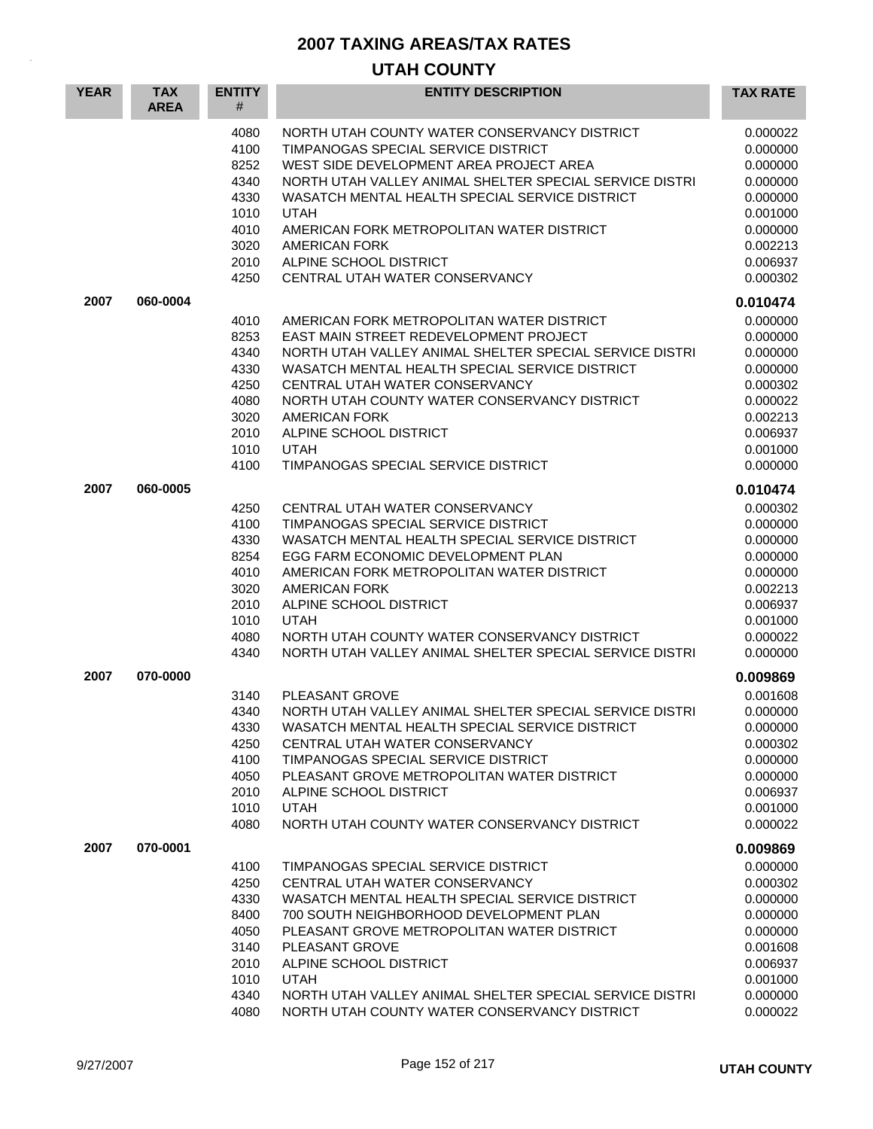| <b>YEAR</b> | <b>TAX</b><br><b>AREA</b> | <b>ENTITY</b><br>#                                                           | <b>ENTITY DESCRIPTION</b>                                                                                                                                                                                                                                                                                                                                                                   | <b>TAX RATE</b>                                                                                                                  |
|-------------|---------------------------|------------------------------------------------------------------------------|---------------------------------------------------------------------------------------------------------------------------------------------------------------------------------------------------------------------------------------------------------------------------------------------------------------------------------------------------------------------------------------------|----------------------------------------------------------------------------------------------------------------------------------|
|             |                           | 4080<br>4100<br>8252<br>4340<br>4330<br>1010<br>4010<br>3020<br>2010<br>4250 | NORTH UTAH COUNTY WATER CONSERVANCY DISTRICT<br>TIMPANOGAS SPECIAL SERVICE DISTRICT<br>WEST SIDE DEVELOPMENT AREA PROJECT AREA<br>NORTH UTAH VALLEY ANIMAL SHELTER SPECIAL SERVICE DISTRI<br>WASATCH MENTAL HEALTH SPECIAL SERVICE DISTRICT<br><b>UTAH</b><br>AMERICAN FORK METROPOLITAN WATER DISTRICT<br><b>AMERICAN FORK</b><br>ALPINE SCHOOL DISTRICT<br>CENTRAL UTAH WATER CONSERVANCY | 0.000022<br>0.000000<br>0.000000<br>0.000000<br>0.000000<br>0.001000<br>0.000000<br>0.002213<br>0.006937<br>0.000302             |
| 2007        | 060-0004                  |                                                                              |                                                                                                                                                                                                                                                                                                                                                                                             | 0.010474                                                                                                                         |
|             |                           | 4010<br>8253<br>4340<br>4330<br>4250<br>4080<br>3020<br>2010<br>1010<br>4100 | AMERICAN FORK METROPOLITAN WATER DISTRICT<br>EAST MAIN STREET REDEVELOPMENT PROJECT<br>NORTH UTAH VALLEY ANIMAL SHELTER SPECIAL SERVICE DISTRI<br>WASATCH MENTAL HEALTH SPECIAL SERVICE DISTRICT<br>CENTRAL UTAH WATER CONSERVANCY<br>NORTH UTAH COUNTY WATER CONSERVANCY DISTRICT<br><b>AMERICAN FORK</b><br>ALPINE SCHOOL DISTRICT<br><b>UTAH</b><br>TIMPANOGAS SPECIAL SERVICE DISTRICT  | 0.000000<br>0.000000<br>0.000000<br>0.000000<br>0.000302<br>0.000022<br>0.002213<br>0.006937<br>0.001000<br>0.000000             |
| 2007        | 060-0005                  |                                                                              |                                                                                                                                                                                                                                                                                                                                                                                             | 0.010474                                                                                                                         |
|             |                           | 4250<br>4100<br>4330<br>8254<br>4010<br>3020<br>2010<br>1010<br>4080<br>4340 | CENTRAL UTAH WATER CONSERVANCY<br>TIMPANOGAS SPECIAL SERVICE DISTRICT<br>WASATCH MENTAL HEALTH SPECIAL SERVICE DISTRICT<br>EGG FARM ECONOMIC DEVELOPMENT PLAN<br>AMERICAN FORK METROPOLITAN WATER DISTRICT<br><b>AMERICAN FORK</b><br>ALPINE SCHOOL DISTRICT<br><b>UTAH</b><br>NORTH UTAH COUNTY WATER CONSERVANCY DISTRICT<br>NORTH UTAH VALLEY ANIMAL SHELTER SPECIAL SERVICE DISTRI      | 0.000302<br>0.000000<br>0.000000<br>0.000000<br>0.000000<br>0.002213<br>0.006937<br>0.001000<br>0.000022<br>0.000000             |
| 2007        | 070-0000                  | 3140<br>4340<br>4330<br>4250<br>4100<br>4050<br>2010<br>1010<br>4080         | PLEASANT GROVE<br>NORTH UTAH VALLEY ANIMAL SHELTER SPECIAL SERVICE DISTRI<br>WASATCH MENTAL HEALTH SPECIAL SERVICE DISTRICT<br>CENTRAL UTAH WATER CONSERVANCY<br>TIMPANOGAS SPECIAL SERVICE DISTRICT<br>PLEASANT GROVE METROPOLITAN WATER DISTRICT<br>ALPINE SCHOOL DISTRICT<br><b>UTAH</b><br>NORTH UTAH COUNTY WATER CONSERVANCY DISTRICT                                                 | 0.009869<br>0.001608<br>0.000000<br>0.000000<br>0.000302<br>0.000000<br>0.000000<br>0.006937<br>0.001000<br>0.000022             |
| 2007        | 070-0001                  | 4100<br>4250<br>4330<br>8400<br>4050<br>3140<br>2010<br>1010<br>4340<br>4080 | TIMPANOGAS SPECIAL SERVICE DISTRICT<br>CENTRAL UTAH WATER CONSERVANCY<br>WASATCH MENTAL HEALTH SPECIAL SERVICE DISTRICT<br>700 SOUTH NEIGHBORHOOD DEVELOPMENT PLAN<br>PLEASANT GROVE METROPOLITAN WATER DISTRICT<br>PLEASANT GROVE<br>ALPINE SCHOOL DISTRICT<br><b>UTAH</b><br>NORTH UTAH VALLEY ANIMAL SHELTER SPECIAL SERVICE DISTRI<br>NORTH UTAH COUNTY WATER CONSERVANCY DISTRICT      | 0.009869<br>0.000000<br>0.000302<br>0.000000<br>0.000000<br>0.000000<br>0.001608<br>0.006937<br>0.001000<br>0.000000<br>0.000022 |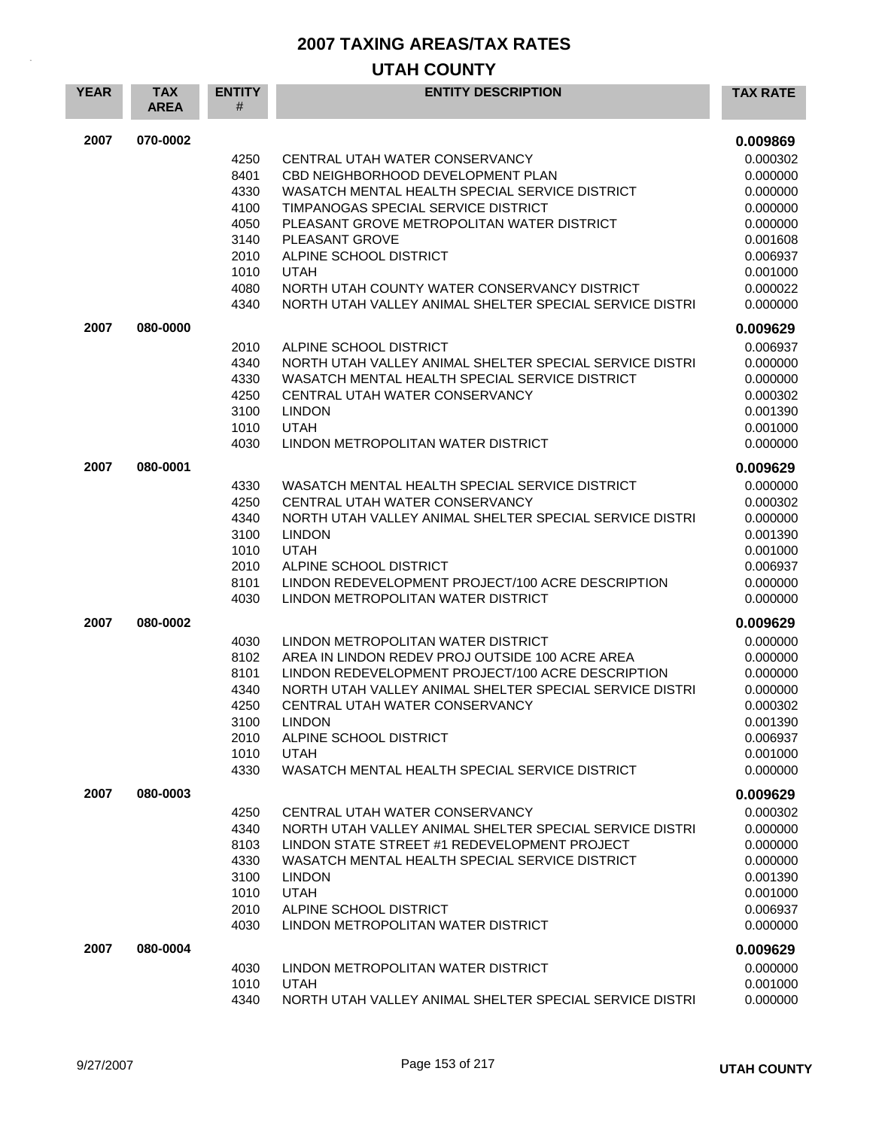| <b>YEAR</b> | <b>TAX</b><br><b>AREA</b> | <b>ENTITY</b><br># | <b>ENTITY DESCRIPTION</b>                                                         | <b>TAX RATE</b>      |
|-------------|---------------------------|--------------------|-----------------------------------------------------------------------------------|----------------------|
| 2007        | 070-0002                  |                    |                                                                                   | 0.009869             |
|             |                           | 4250               | CENTRAL UTAH WATER CONSERVANCY                                                    | 0.000302             |
|             |                           | 8401               | CBD NEIGHBORHOOD DEVELOPMENT PLAN                                                 | 0.000000             |
|             |                           | 4330               | WASATCH MENTAL HEALTH SPECIAL SERVICE DISTRICT                                    | 0.000000             |
|             |                           | 4100               | TIMPANOGAS SPECIAL SERVICE DISTRICT                                               | 0.000000             |
|             |                           | 4050               | PLEASANT GROVE METROPOLITAN WATER DISTRICT                                        | 0.000000             |
|             |                           | 3140               | PLEASANT GROVE                                                                    | 0.001608             |
|             |                           | 2010               | ALPINE SCHOOL DISTRICT                                                            | 0.006937             |
|             |                           | 1010<br>4080       | <b>UTAH</b><br>NORTH UTAH COUNTY WATER CONSERVANCY DISTRICT                       | 0.001000<br>0.000022 |
|             |                           | 4340               | NORTH UTAH VALLEY ANIMAL SHELTER SPECIAL SERVICE DISTRI                           | 0.000000             |
|             |                           |                    |                                                                                   |                      |
| 2007        | 080-0000                  |                    |                                                                                   | 0.009629             |
|             |                           | 2010<br>4340       | ALPINE SCHOOL DISTRICT<br>NORTH UTAH VALLEY ANIMAL SHELTER SPECIAL SERVICE DISTRI | 0.006937<br>0.000000 |
|             |                           | 4330               | WASATCH MENTAL HEALTH SPECIAL SERVICE DISTRICT                                    | 0.000000             |
|             |                           | 4250               | CENTRAL UTAH WATER CONSERVANCY                                                    | 0.000302             |
|             |                           | 3100               | <b>LINDON</b>                                                                     | 0.001390             |
|             |                           | 1010               | <b>UTAH</b>                                                                       | 0.001000             |
|             |                           | 4030               | LINDON METROPOLITAN WATER DISTRICT                                                | 0.000000             |
| 2007        | 080-0001                  |                    |                                                                                   | 0.009629             |
|             |                           | 4330               | WASATCH MENTAL HEALTH SPECIAL SERVICE DISTRICT                                    | 0.000000             |
|             |                           | 4250               | CENTRAL UTAH WATER CONSERVANCY                                                    | 0.000302             |
|             |                           | 4340               | NORTH UTAH VALLEY ANIMAL SHELTER SPECIAL SERVICE DISTRI                           | 0.000000             |
|             |                           | 3100               | <b>LINDON</b>                                                                     | 0.001390             |
|             |                           | 1010               | <b>UTAH</b>                                                                       | 0.001000             |
|             |                           | 2010               | ALPINE SCHOOL DISTRICT                                                            | 0.006937             |
|             |                           | 8101               | LINDON REDEVELOPMENT PROJECT/100 ACRE DESCRIPTION                                 | 0.000000             |
|             |                           | 4030               | LINDON METROPOLITAN WATER DISTRICT                                                | 0.000000             |
| 2007        | 080-0002                  |                    |                                                                                   | 0.009629             |
|             |                           | 4030               | LINDON METROPOLITAN WATER DISTRICT                                                | 0.000000             |
|             |                           | 8102               | AREA IN LINDON REDEV PROJ OUTSIDE 100 ACRE AREA                                   | 0.000000             |
|             |                           | 8101               | LINDON REDEVELOPMENT PROJECT/100 ACRE DESCRIPTION                                 | 0.000000             |
|             |                           | 4340               | NORTH UTAH VALLEY ANIMAL SHELTER SPECIAL SERVICE DISTRI                           | 0.000000             |
|             |                           | 4250               | CENTRAL UTAH WATER CONSERVANCY                                                    | 0.000302             |
|             |                           | 3100               | LINDON                                                                            | 0.001390             |
|             |                           | 2010<br>1010       | ALPINE SCHOOL DISTRICT<br><b>UTAH</b>                                             | 0.006937<br>0.001000 |
|             |                           | 4330               | WASATCH MENTAL HEALTH SPECIAL SERVICE DISTRICT                                    | 0.000000             |
|             | 080-0003                  |                    |                                                                                   |                      |
| 2007        |                           |                    | CENTRAL UTAH WATER CONSERVANCY                                                    | 0.009629             |
|             |                           | 4250<br>4340       | NORTH UTAH VALLEY ANIMAL SHELTER SPECIAL SERVICE DISTRI                           | 0.000302<br>0.000000 |
|             |                           | 8103               | LINDON STATE STREET #1 REDEVELOPMENT PROJECT                                      | 0.000000             |
|             |                           | 4330               | WASATCH MENTAL HEALTH SPECIAL SERVICE DISTRICT                                    | 0.000000             |
|             |                           | 3100               | <b>LINDON</b>                                                                     | 0.001390             |
|             |                           | 1010               | <b>UTAH</b>                                                                       | 0.001000             |
|             |                           | 2010               | ALPINE SCHOOL DISTRICT                                                            | 0.006937             |
|             |                           | 4030               | LINDON METROPOLITAN WATER DISTRICT                                                | 0.000000             |
| 2007        | 080-0004                  |                    |                                                                                   | 0.009629             |
|             |                           | 4030               | LINDON METROPOLITAN WATER DISTRICT                                                | 0.000000             |
|             |                           | 1010               | <b>UTAH</b>                                                                       | 0.001000             |
|             |                           | 4340               | NORTH UTAH VALLEY ANIMAL SHELTER SPECIAL SERVICE DISTRI                           | 0.000000             |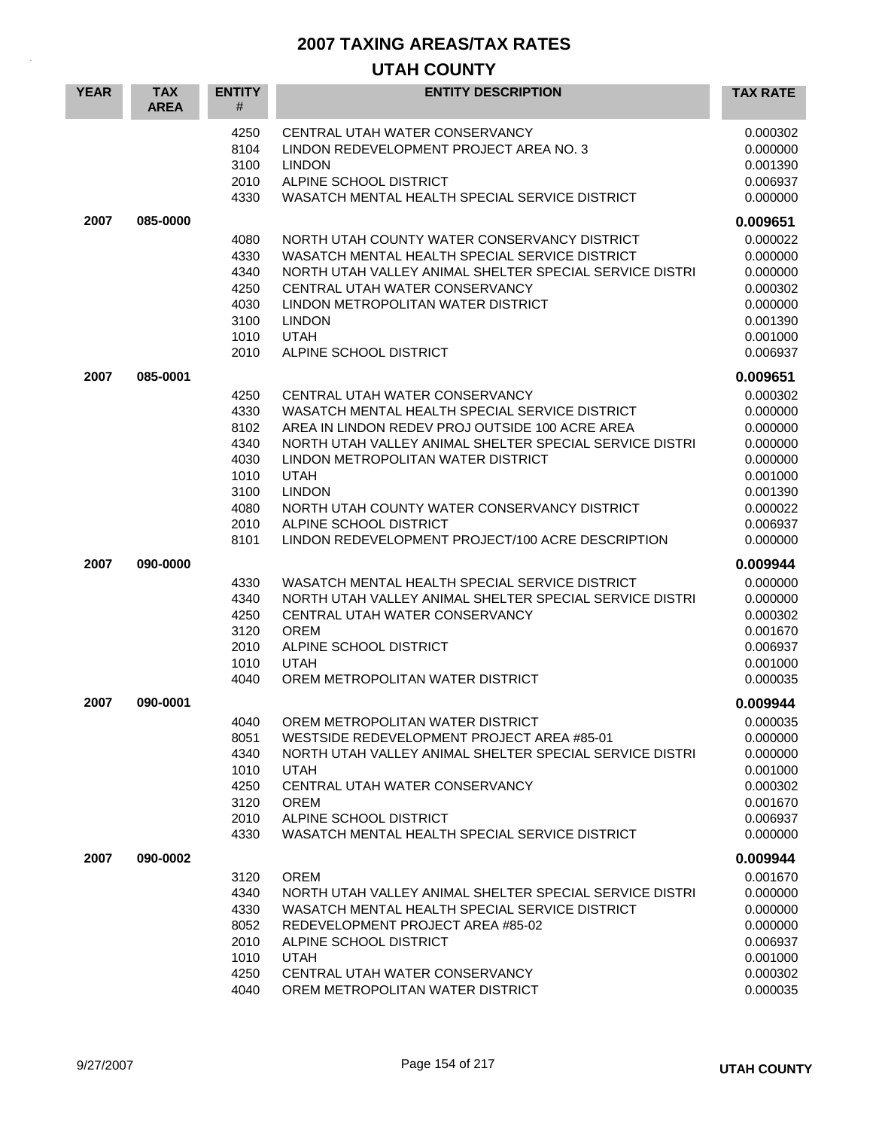| <b>YEAR</b> | <b>TAX</b><br><b>AREA</b> | <b>ENTITY</b><br>#                                                           | <b>ENTITY DESCRIPTION</b>                                                                                                                                                                                                                                                                                                                                                                           | <b>TAX RATE</b>                                                                                                      |
|-------------|---------------------------|------------------------------------------------------------------------------|-----------------------------------------------------------------------------------------------------------------------------------------------------------------------------------------------------------------------------------------------------------------------------------------------------------------------------------------------------------------------------------------------------|----------------------------------------------------------------------------------------------------------------------|
|             |                           | 4250<br>8104<br>3100<br>2010<br>4330                                         | CENTRAL UTAH WATER CONSERVANCY<br>LINDON REDEVELOPMENT PROJECT AREA NO. 3<br><b>LINDON</b><br>ALPINE SCHOOL DISTRICT<br>WASATCH MENTAL HEALTH SPECIAL SERVICE DISTRICT                                                                                                                                                                                                                              | 0.000302<br>0.000000<br>0.001390<br>0.006937<br>0.000000                                                             |
| 2007        | 085-0000                  |                                                                              |                                                                                                                                                                                                                                                                                                                                                                                                     | 0.009651                                                                                                             |
|             |                           | 4080<br>4330<br>4340<br>4250<br>4030<br>3100<br>1010<br>2010                 | NORTH UTAH COUNTY WATER CONSERVANCY DISTRICT<br>WASATCH MENTAL HEALTH SPECIAL SERVICE DISTRICT<br>NORTH UTAH VALLEY ANIMAL SHELTER SPECIAL SERVICE DISTRI<br>CENTRAL UTAH WATER CONSERVANCY<br>LINDON METROPOLITAN WATER DISTRICT<br><b>LINDON</b><br><b>UTAH</b><br>ALPINE SCHOOL DISTRICT                                                                                                         | 0.000022<br>0.000000<br>0.000000<br>0.000302<br>0.000000<br>0.001390<br>0.001000<br>0.006937                         |
| 2007        | 085-0001                  |                                                                              |                                                                                                                                                                                                                                                                                                                                                                                                     | 0.009651                                                                                                             |
|             |                           | 4250<br>4330<br>8102<br>4340<br>4030<br>1010<br>3100<br>4080<br>2010<br>8101 | CENTRAL UTAH WATER CONSERVANCY<br>WASATCH MENTAL HEALTH SPECIAL SERVICE DISTRICT<br>AREA IN LINDON REDEV PROJ OUTSIDE 100 ACRE AREA<br>NORTH UTAH VALLEY ANIMAL SHELTER SPECIAL SERVICE DISTRI<br>LINDON METROPOLITAN WATER DISTRICT<br><b>UTAH</b><br><b>LINDON</b><br>NORTH UTAH COUNTY WATER CONSERVANCY DISTRICT<br>ALPINE SCHOOL DISTRICT<br>LINDON REDEVELOPMENT PROJECT/100 ACRE DESCRIPTION | 0.000302<br>0.000000<br>0.000000<br>0.000000<br>0.000000<br>0.001000<br>0.001390<br>0.000022<br>0.006937<br>0.000000 |
| 2007        | 090-0000                  |                                                                              |                                                                                                                                                                                                                                                                                                                                                                                                     | 0.009944                                                                                                             |
|             |                           | 4330<br>4340<br>4250<br>3120<br>2010<br>1010<br>4040                         | WASATCH MENTAL HEALTH SPECIAL SERVICE DISTRICT<br>NORTH UTAH VALLEY ANIMAL SHELTER SPECIAL SERVICE DISTRI<br>CENTRAL UTAH WATER CONSERVANCY<br><b>OREM</b><br>ALPINE SCHOOL DISTRICT<br><b>UTAH</b><br>OREM METROPOLITAN WATER DISTRICT                                                                                                                                                             | 0.000000<br>0.000000<br>0.000302<br>0.001670<br>0.006937<br>0.001000<br>0.000035                                     |
| 2007        | 090-0001                  |                                                                              |                                                                                                                                                                                                                                                                                                                                                                                                     | 0.009944                                                                                                             |
|             |                           | 4040<br>8051<br>4340<br>1010<br>4250<br>3120<br>2010<br>4330                 | OREM METROPOLITAN WATER DISTRICT<br>WESTSIDE REDEVELOPMENT PROJECT AREA #85-01<br>NORTH UTAH VALLEY ANIMAL SHELTER SPECIAL SERVICE DISTRI<br><b>UTAH</b><br>CENTRAL UTAH WATER CONSERVANCY<br><b>OREM</b><br>ALPINE SCHOOL DISTRICT<br>WASATCH MENTAL HEALTH SPECIAL SERVICE DISTRICT                                                                                                               | 0.000035<br>0.000000<br>0.000000<br>0.001000<br>0.000302<br>0.001670<br>0.006937<br>0.000000                         |
| 2007        | 090-0002                  |                                                                              |                                                                                                                                                                                                                                                                                                                                                                                                     | 0.009944                                                                                                             |
|             |                           | 3120<br>4340<br>4330<br>8052<br>2010<br>1010<br>4250<br>4040                 | <b>OREM</b><br>NORTH UTAH VALLEY ANIMAL SHELTER SPECIAL SERVICE DISTRI<br>WASATCH MENTAL HEALTH SPECIAL SERVICE DISTRICT<br>REDEVELOPMENT PROJECT AREA #85-02<br>ALPINE SCHOOL DISTRICT<br><b>UTAH</b><br>CENTRAL UTAH WATER CONSERVANCY<br>OREM METROPOLITAN WATER DISTRICT                                                                                                                        | 0.001670<br>0.000000<br>0.000000<br>0.000000<br>0.006937<br>0.001000<br>0.000302<br>0.000035                         |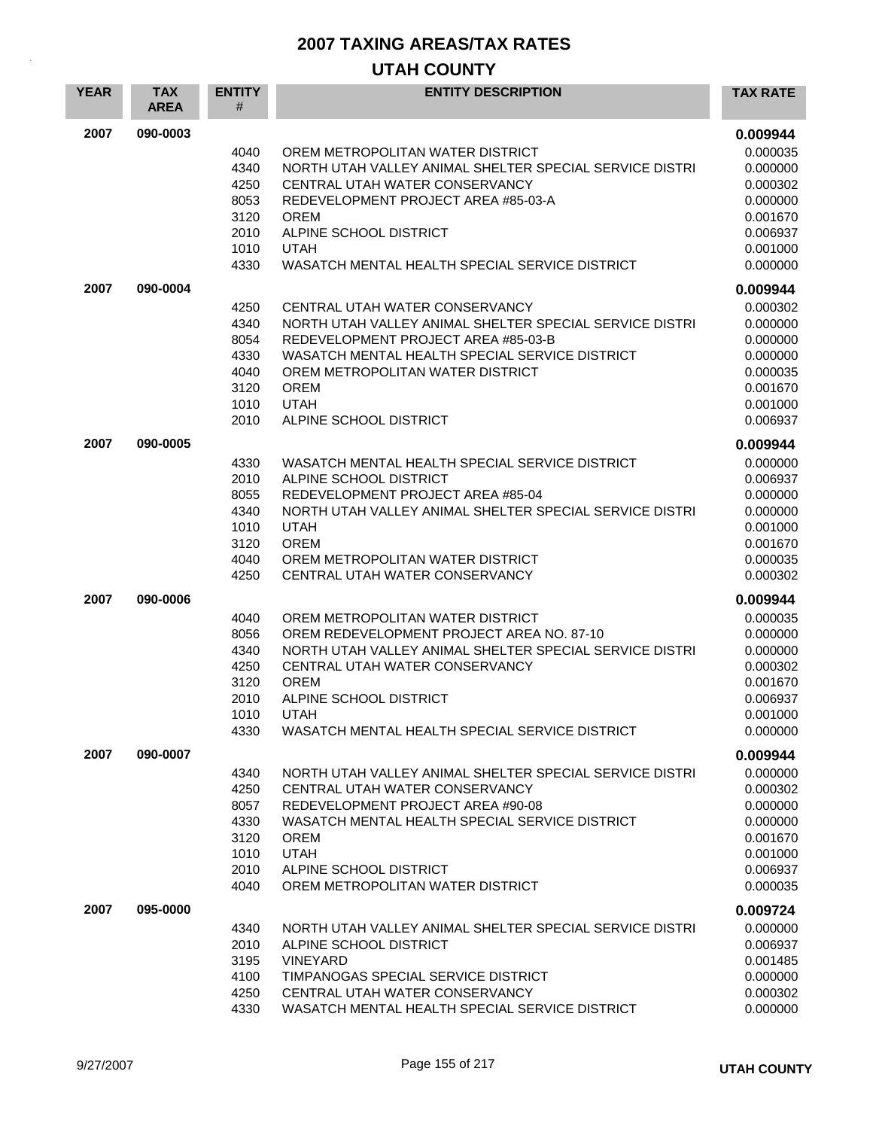| 2007<br>090-0003<br>0.009944<br>0.000035<br>4040<br>OREM METROPOLITAN WATER DISTRICT<br>4340<br>NORTH UTAH VALLEY ANIMAL SHELTER SPECIAL SERVICE DISTRI<br>0.000000<br>4250<br>CENTRAL UTAH WATER CONSERVANCY<br>0.000302<br>8053<br>REDEVELOPMENT PROJECT AREA #85-03-A<br>0.000000<br>3120<br><b>OREM</b><br>0.001670<br>2010<br>ALPINE SCHOOL DISTRICT<br>0.006937<br>1010<br><b>UTAH</b><br>0.001000<br>4330<br>WASATCH MENTAL HEALTH SPECIAL SERVICE DISTRICT<br>0.000000<br>2007<br>090-0004<br>0.009944<br>4250<br>CENTRAL UTAH WATER CONSERVANCY<br>0.000302<br>4340<br>NORTH UTAH VALLEY ANIMAL SHELTER SPECIAL SERVICE DISTRI<br>0.000000<br>8054<br>REDEVELOPMENT PROJECT AREA #85-03-B<br>0.000000<br>4330<br>WASATCH MENTAL HEALTH SPECIAL SERVICE DISTRICT<br>0.000000<br>4040<br>OREM METROPOLITAN WATER DISTRICT<br>0.000035<br>3120<br><b>OREM</b><br>0.001670<br>1010<br><b>UTAH</b><br>0.001000<br>2010<br>ALPINE SCHOOL DISTRICT<br>0.006937<br>2007<br>090-0005<br>0.009944<br>4330<br>WASATCH MENTAL HEALTH SPECIAL SERVICE DISTRICT<br>0.000000<br>2010<br>ALPINE SCHOOL DISTRICT<br>0.006937<br>8055<br>REDEVELOPMENT PROJECT AREA #85-04<br>0.000000<br>4340<br>NORTH UTAH VALLEY ANIMAL SHELTER SPECIAL SERVICE DISTRI<br>0.000000<br>1010<br><b>UTAH</b><br>0.001000<br>3120<br><b>OREM</b><br>0.001670<br>4040<br>OREM METROPOLITAN WATER DISTRICT<br>0.000035<br>4250<br>CENTRAL UTAH WATER CONSERVANCY<br>0.000302<br>2007<br>090-0006<br>0.009944<br>4040<br>OREM METROPOLITAN WATER DISTRICT<br>0.000035<br>8056<br>OREM REDEVELOPMENT PROJECT AREA NO. 87-10<br>0.000000<br>4340<br>NORTH UTAH VALLEY ANIMAL SHELTER SPECIAL SERVICE DISTRI<br>0.000000 |
|------------------------------------------------------------------------------------------------------------------------------------------------------------------------------------------------------------------------------------------------------------------------------------------------------------------------------------------------------------------------------------------------------------------------------------------------------------------------------------------------------------------------------------------------------------------------------------------------------------------------------------------------------------------------------------------------------------------------------------------------------------------------------------------------------------------------------------------------------------------------------------------------------------------------------------------------------------------------------------------------------------------------------------------------------------------------------------------------------------------------------------------------------------------------------------------------------------------------------------------------------------------------------------------------------------------------------------------------------------------------------------------------------------------------------------------------------------------------------------------------------------------------------------------------------------------------------------------------------------------------------------------------------------------------------------------|
|                                                                                                                                                                                                                                                                                                                                                                                                                                                                                                                                                                                                                                                                                                                                                                                                                                                                                                                                                                                                                                                                                                                                                                                                                                                                                                                                                                                                                                                                                                                                                                                                                                                                                          |
|                                                                                                                                                                                                                                                                                                                                                                                                                                                                                                                                                                                                                                                                                                                                                                                                                                                                                                                                                                                                                                                                                                                                                                                                                                                                                                                                                                                                                                                                                                                                                                                                                                                                                          |
|                                                                                                                                                                                                                                                                                                                                                                                                                                                                                                                                                                                                                                                                                                                                                                                                                                                                                                                                                                                                                                                                                                                                                                                                                                                                                                                                                                                                                                                                                                                                                                                                                                                                                          |
|                                                                                                                                                                                                                                                                                                                                                                                                                                                                                                                                                                                                                                                                                                                                                                                                                                                                                                                                                                                                                                                                                                                                                                                                                                                                                                                                                                                                                                                                                                                                                                                                                                                                                          |
|                                                                                                                                                                                                                                                                                                                                                                                                                                                                                                                                                                                                                                                                                                                                                                                                                                                                                                                                                                                                                                                                                                                                                                                                                                                                                                                                                                                                                                                                                                                                                                                                                                                                                          |
|                                                                                                                                                                                                                                                                                                                                                                                                                                                                                                                                                                                                                                                                                                                                                                                                                                                                                                                                                                                                                                                                                                                                                                                                                                                                                                                                                                                                                                                                                                                                                                                                                                                                                          |
|                                                                                                                                                                                                                                                                                                                                                                                                                                                                                                                                                                                                                                                                                                                                                                                                                                                                                                                                                                                                                                                                                                                                                                                                                                                                                                                                                                                                                                                                                                                                                                                                                                                                                          |
|                                                                                                                                                                                                                                                                                                                                                                                                                                                                                                                                                                                                                                                                                                                                                                                                                                                                                                                                                                                                                                                                                                                                                                                                                                                                                                                                                                                                                                                                                                                                                                                                                                                                                          |
|                                                                                                                                                                                                                                                                                                                                                                                                                                                                                                                                                                                                                                                                                                                                                                                                                                                                                                                                                                                                                                                                                                                                                                                                                                                                                                                                                                                                                                                                                                                                                                                                                                                                                          |
|                                                                                                                                                                                                                                                                                                                                                                                                                                                                                                                                                                                                                                                                                                                                                                                                                                                                                                                                                                                                                                                                                                                                                                                                                                                                                                                                                                                                                                                                                                                                                                                                                                                                                          |
|                                                                                                                                                                                                                                                                                                                                                                                                                                                                                                                                                                                                                                                                                                                                                                                                                                                                                                                                                                                                                                                                                                                                                                                                                                                                                                                                                                                                                                                                                                                                                                                                                                                                                          |
|                                                                                                                                                                                                                                                                                                                                                                                                                                                                                                                                                                                                                                                                                                                                                                                                                                                                                                                                                                                                                                                                                                                                                                                                                                                                                                                                                                                                                                                                                                                                                                                                                                                                                          |
|                                                                                                                                                                                                                                                                                                                                                                                                                                                                                                                                                                                                                                                                                                                                                                                                                                                                                                                                                                                                                                                                                                                                                                                                                                                                                                                                                                                                                                                                                                                                                                                                                                                                                          |
|                                                                                                                                                                                                                                                                                                                                                                                                                                                                                                                                                                                                                                                                                                                                                                                                                                                                                                                                                                                                                                                                                                                                                                                                                                                                                                                                                                                                                                                                                                                                                                                                                                                                                          |
|                                                                                                                                                                                                                                                                                                                                                                                                                                                                                                                                                                                                                                                                                                                                                                                                                                                                                                                                                                                                                                                                                                                                                                                                                                                                                                                                                                                                                                                                                                                                                                                                                                                                                          |
|                                                                                                                                                                                                                                                                                                                                                                                                                                                                                                                                                                                                                                                                                                                                                                                                                                                                                                                                                                                                                                                                                                                                                                                                                                                                                                                                                                                                                                                                                                                                                                                                                                                                                          |
|                                                                                                                                                                                                                                                                                                                                                                                                                                                                                                                                                                                                                                                                                                                                                                                                                                                                                                                                                                                                                                                                                                                                                                                                                                                                                                                                                                                                                                                                                                                                                                                                                                                                                          |
|                                                                                                                                                                                                                                                                                                                                                                                                                                                                                                                                                                                                                                                                                                                                                                                                                                                                                                                                                                                                                                                                                                                                                                                                                                                                                                                                                                                                                                                                                                                                                                                                                                                                                          |
|                                                                                                                                                                                                                                                                                                                                                                                                                                                                                                                                                                                                                                                                                                                                                                                                                                                                                                                                                                                                                                                                                                                                                                                                                                                                                                                                                                                                                                                                                                                                                                                                                                                                                          |
|                                                                                                                                                                                                                                                                                                                                                                                                                                                                                                                                                                                                                                                                                                                                                                                                                                                                                                                                                                                                                                                                                                                                                                                                                                                                                                                                                                                                                                                                                                                                                                                                                                                                                          |
|                                                                                                                                                                                                                                                                                                                                                                                                                                                                                                                                                                                                                                                                                                                                                                                                                                                                                                                                                                                                                                                                                                                                                                                                                                                                                                                                                                                                                                                                                                                                                                                                                                                                                          |
|                                                                                                                                                                                                                                                                                                                                                                                                                                                                                                                                                                                                                                                                                                                                                                                                                                                                                                                                                                                                                                                                                                                                                                                                                                                                                                                                                                                                                                                                                                                                                                                                                                                                                          |
|                                                                                                                                                                                                                                                                                                                                                                                                                                                                                                                                                                                                                                                                                                                                                                                                                                                                                                                                                                                                                                                                                                                                                                                                                                                                                                                                                                                                                                                                                                                                                                                                                                                                                          |
|                                                                                                                                                                                                                                                                                                                                                                                                                                                                                                                                                                                                                                                                                                                                                                                                                                                                                                                                                                                                                                                                                                                                                                                                                                                                                                                                                                                                                                                                                                                                                                                                                                                                                          |
|                                                                                                                                                                                                                                                                                                                                                                                                                                                                                                                                                                                                                                                                                                                                                                                                                                                                                                                                                                                                                                                                                                                                                                                                                                                                                                                                                                                                                                                                                                                                                                                                                                                                                          |
|                                                                                                                                                                                                                                                                                                                                                                                                                                                                                                                                                                                                                                                                                                                                                                                                                                                                                                                                                                                                                                                                                                                                                                                                                                                                                                                                                                                                                                                                                                                                                                                                                                                                                          |
|                                                                                                                                                                                                                                                                                                                                                                                                                                                                                                                                                                                                                                                                                                                                                                                                                                                                                                                                                                                                                                                                                                                                                                                                                                                                                                                                                                                                                                                                                                                                                                                                                                                                                          |
|                                                                                                                                                                                                                                                                                                                                                                                                                                                                                                                                                                                                                                                                                                                                                                                                                                                                                                                                                                                                                                                                                                                                                                                                                                                                                                                                                                                                                                                                                                                                                                                                                                                                                          |
| 4250<br>CENTRAL UTAH WATER CONSERVANCY<br>0.000302<br>3120<br><b>OREM</b><br>0.001670                                                                                                                                                                                                                                                                                                                                                                                                                                                                                                                                                                                                                                                                                                                                                                                                                                                                                                                                                                                                                                                                                                                                                                                                                                                                                                                                                                                                                                                                                                                                                                                                    |
| 2010<br>ALPINE SCHOOL DISTRICT<br>0.006937                                                                                                                                                                                                                                                                                                                                                                                                                                                                                                                                                                                                                                                                                                                                                                                                                                                                                                                                                                                                                                                                                                                                                                                                                                                                                                                                                                                                                                                                                                                                                                                                                                               |
| 1010<br><b>UTAH</b><br>0.001000                                                                                                                                                                                                                                                                                                                                                                                                                                                                                                                                                                                                                                                                                                                                                                                                                                                                                                                                                                                                                                                                                                                                                                                                                                                                                                                                                                                                                                                                                                                                                                                                                                                          |
| 4330<br>WASATCH MENTAL HEALTH SPECIAL SERVICE DISTRICT<br>0.000000                                                                                                                                                                                                                                                                                                                                                                                                                                                                                                                                                                                                                                                                                                                                                                                                                                                                                                                                                                                                                                                                                                                                                                                                                                                                                                                                                                                                                                                                                                                                                                                                                       |
| 2007<br>090-0007<br>0.009944                                                                                                                                                                                                                                                                                                                                                                                                                                                                                                                                                                                                                                                                                                                                                                                                                                                                                                                                                                                                                                                                                                                                                                                                                                                                                                                                                                                                                                                                                                                                                                                                                                                             |
| NORTH UTAH VALLEY ANIMAL SHELTER SPECIAL SERVICE DISTRI<br>0.000000<br>4340                                                                                                                                                                                                                                                                                                                                                                                                                                                                                                                                                                                                                                                                                                                                                                                                                                                                                                                                                                                                                                                                                                                                                                                                                                                                                                                                                                                                                                                                                                                                                                                                              |
| 4250<br>CENTRAL UTAH WATER CONSERVANCY<br>0.000302                                                                                                                                                                                                                                                                                                                                                                                                                                                                                                                                                                                                                                                                                                                                                                                                                                                                                                                                                                                                                                                                                                                                                                                                                                                                                                                                                                                                                                                                                                                                                                                                                                       |
| REDEVELOPMENT PROJECT AREA #90-08<br>0.000000<br>8057                                                                                                                                                                                                                                                                                                                                                                                                                                                                                                                                                                                                                                                                                                                                                                                                                                                                                                                                                                                                                                                                                                                                                                                                                                                                                                                                                                                                                                                                                                                                                                                                                                    |
| 4330<br>WASATCH MENTAL HEALTH SPECIAL SERVICE DISTRICT<br>0.000000<br>3120<br><b>OREM</b><br>0.001670                                                                                                                                                                                                                                                                                                                                                                                                                                                                                                                                                                                                                                                                                                                                                                                                                                                                                                                                                                                                                                                                                                                                                                                                                                                                                                                                                                                                                                                                                                                                                                                    |
| 1010<br><b>UTAH</b><br>0.001000                                                                                                                                                                                                                                                                                                                                                                                                                                                                                                                                                                                                                                                                                                                                                                                                                                                                                                                                                                                                                                                                                                                                                                                                                                                                                                                                                                                                                                                                                                                                                                                                                                                          |
| 2010<br>0.006937<br>ALPINE SCHOOL DISTRICT                                                                                                                                                                                                                                                                                                                                                                                                                                                                                                                                                                                                                                                                                                                                                                                                                                                                                                                                                                                                                                                                                                                                                                                                                                                                                                                                                                                                                                                                                                                                                                                                                                               |
| 4040<br>OREM METROPOLITAN WATER DISTRICT<br>0.000035                                                                                                                                                                                                                                                                                                                                                                                                                                                                                                                                                                                                                                                                                                                                                                                                                                                                                                                                                                                                                                                                                                                                                                                                                                                                                                                                                                                                                                                                                                                                                                                                                                     |
| 2007<br>095-0000<br>0.009724                                                                                                                                                                                                                                                                                                                                                                                                                                                                                                                                                                                                                                                                                                                                                                                                                                                                                                                                                                                                                                                                                                                                                                                                                                                                                                                                                                                                                                                                                                                                                                                                                                                             |
| 4340<br>NORTH UTAH VALLEY ANIMAL SHELTER SPECIAL SERVICE DISTRI<br>0.000000                                                                                                                                                                                                                                                                                                                                                                                                                                                                                                                                                                                                                                                                                                                                                                                                                                                                                                                                                                                                                                                                                                                                                                                                                                                                                                                                                                                                                                                                                                                                                                                                              |
| 2010<br>ALPINE SCHOOL DISTRICT<br>0.006937                                                                                                                                                                                                                                                                                                                                                                                                                                                                                                                                                                                                                                                                                                                                                                                                                                                                                                                                                                                                                                                                                                                                                                                                                                                                                                                                                                                                                                                                                                                                                                                                                                               |
| 3195<br><b>VINEYARD</b><br>0.001485                                                                                                                                                                                                                                                                                                                                                                                                                                                                                                                                                                                                                                                                                                                                                                                                                                                                                                                                                                                                                                                                                                                                                                                                                                                                                                                                                                                                                                                                                                                                                                                                                                                      |
| 4100<br>TIMPANOGAS SPECIAL SERVICE DISTRICT<br>0.000000<br>4250<br>CENTRAL UTAH WATER CONSERVANCY<br>0.000302                                                                                                                                                                                                                                                                                                                                                                                                                                                                                                                                                                                                                                                                                                                                                                                                                                                                                                                                                                                                                                                                                                                                                                                                                                                                                                                                                                                                                                                                                                                                                                            |
| 4330<br>WASATCH MENTAL HEALTH SPECIAL SERVICE DISTRICT<br>0.000000                                                                                                                                                                                                                                                                                                                                                                                                                                                                                                                                                                                                                                                                                                                                                                                                                                                                                                                                                                                                                                                                                                                                                                                                                                                                                                                                                                                                                                                                                                                                                                                                                       |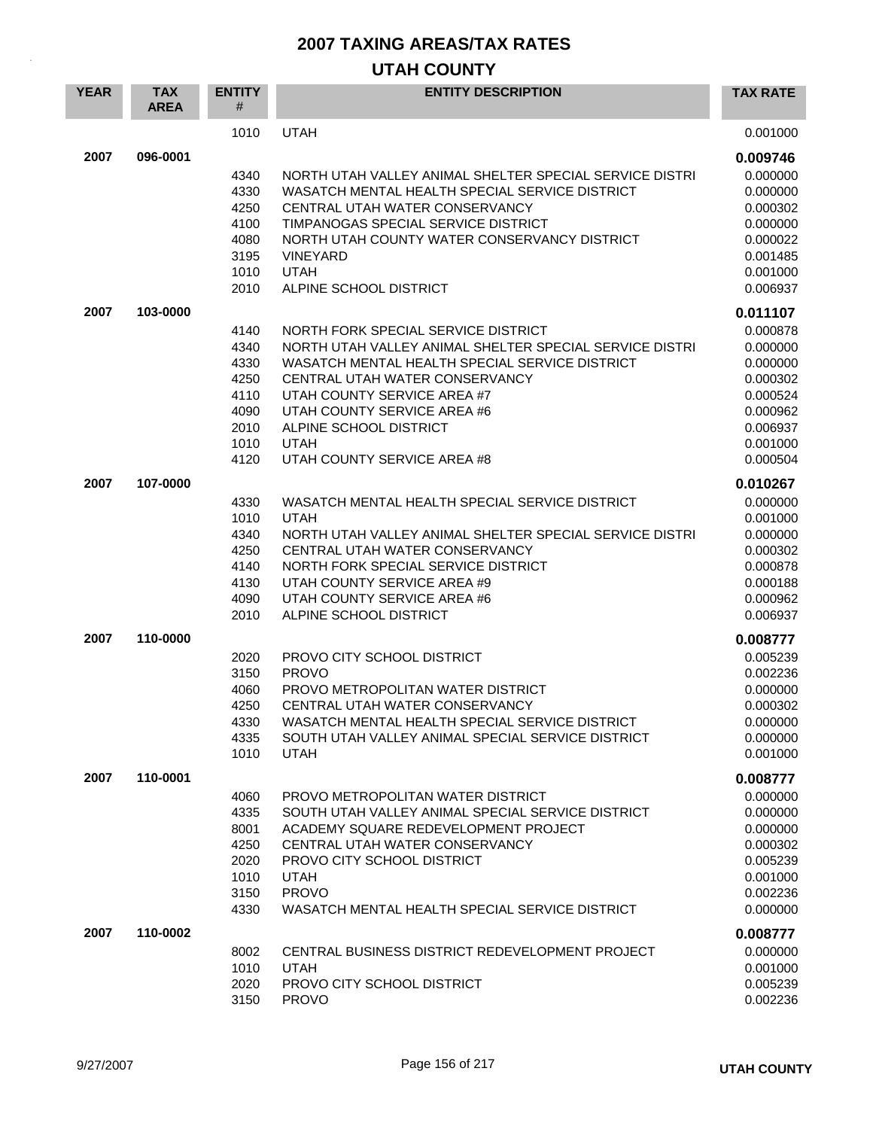| <b>YEAR</b> | <b>TAX</b><br><b>AREA</b> | <b>ENTITY</b><br>#                                                   | <b>ENTITY DESCRIPTION</b>                                                                                                                                                                                                                                                                                                | <b>TAX RATE</b>                                                                                          |
|-------------|---------------------------|----------------------------------------------------------------------|--------------------------------------------------------------------------------------------------------------------------------------------------------------------------------------------------------------------------------------------------------------------------------------------------------------------------|----------------------------------------------------------------------------------------------------------|
|             |                           | 1010                                                                 | <b>UTAH</b>                                                                                                                                                                                                                                                                                                              | 0.001000                                                                                                 |
| 2007        | 096-0001                  |                                                                      |                                                                                                                                                                                                                                                                                                                          | 0.009746                                                                                                 |
|             |                           | 4340<br>4330<br>4250<br>4100<br>4080<br>3195<br>1010<br>2010         | NORTH UTAH VALLEY ANIMAL SHELTER SPECIAL SERVICE DISTRI<br>WASATCH MENTAL HEALTH SPECIAL SERVICE DISTRICT<br>CENTRAL UTAH WATER CONSERVANCY<br>TIMPANOGAS SPECIAL SERVICE DISTRICT<br>NORTH UTAH COUNTY WATER CONSERVANCY DISTRICT<br><b>VINEYARD</b><br><b>UTAH</b><br>ALPINE SCHOOL DISTRICT                           | 0.000000<br>0.000000<br>0.000302<br>0.000000<br>0.000022<br>0.001485<br>0.001000<br>0.006937             |
| 2007        | 103-0000                  |                                                                      |                                                                                                                                                                                                                                                                                                                          | 0.011107                                                                                                 |
|             |                           | 4140<br>4340<br>4330<br>4250<br>4110<br>4090<br>2010<br>1010<br>4120 | NORTH FORK SPECIAL SERVICE DISTRICT<br>NORTH UTAH VALLEY ANIMAL SHELTER SPECIAL SERVICE DISTRI<br>WASATCH MENTAL HEALTH SPECIAL SERVICE DISTRICT<br>CENTRAL UTAH WATER CONSERVANCY<br>UTAH COUNTY SERVICE AREA #7<br>UTAH COUNTY SERVICE AREA #6<br>ALPINE SCHOOL DISTRICT<br><b>UTAH</b><br>UTAH COUNTY SERVICE AREA #8 | 0.000878<br>0.000000<br>0.000000<br>0.000302<br>0.000524<br>0.000962<br>0.006937<br>0.001000<br>0.000504 |
| 2007        | 107-0000                  |                                                                      |                                                                                                                                                                                                                                                                                                                          | 0.010267                                                                                                 |
|             |                           | 4330<br>1010<br>4340<br>4250<br>4140<br>4130<br>4090<br>2010         | WASATCH MENTAL HEALTH SPECIAL SERVICE DISTRICT<br><b>UTAH</b><br>NORTH UTAH VALLEY ANIMAL SHELTER SPECIAL SERVICE DISTRI<br>CENTRAL UTAH WATER CONSERVANCY<br>NORTH FORK SPECIAL SERVICE DISTRICT<br>UTAH COUNTY SERVICE AREA #9<br>UTAH COUNTY SERVICE AREA #6<br>ALPINE SCHOOL DISTRICT                                | 0.000000<br>0.001000<br>0.000000<br>0.000302<br>0.000878<br>0.000188<br>0.000962<br>0.006937             |
| 2007        | 110-0000                  |                                                                      |                                                                                                                                                                                                                                                                                                                          | 0.008777                                                                                                 |
|             |                           | 2020<br>3150<br>4060<br>4250<br>4330<br>4335<br>1010                 | PROVO CITY SCHOOL DISTRICT<br><b>PROVO</b><br>PROVO METROPOLITAN WATER DISTRICT<br>CENTRAL UTAH WATER CONSERVANCY<br>WASATCH MENTAL HEALTH SPECIAL SERVICE DISTRICT<br>SOUTH UTAH VALLEY ANIMAL SPECIAL SERVICE DISTRICT<br><b>UTAH</b>                                                                                  | 0.005239<br>0.002236<br>0.000000<br>0.000302<br>0.000000<br>0.000000<br>0.001000                         |
| 2007        | 110-0001                  |                                                                      |                                                                                                                                                                                                                                                                                                                          | 0.008777                                                                                                 |
|             |                           | 4060<br>4335<br>8001<br>4250<br>2020<br>1010<br>3150<br>4330         | PROVO METROPOLITAN WATER DISTRICT<br>SOUTH UTAH VALLEY ANIMAL SPECIAL SERVICE DISTRICT<br>ACADEMY SQUARE REDEVELOPMENT PROJECT<br>CENTRAL UTAH WATER CONSERVANCY<br>PROVO CITY SCHOOL DISTRICT<br><b>UTAH</b><br><b>PROVO</b><br>WASATCH MENTAL HEALTH SPECIAL SERVICE DISTRICT                                          | 0.000000<br>0.000000<br>0.000000<br>0.000302<br>0.005239<br>0.001000<br>0.002236<br>0.000000             |
| 2007        | 110-0002                  |                                                                      |                                                                                                                                                                                                                                                                                                                          | 0.008777                                                                                                 |
|             |                           | 8002<br>1010<br>2020<br>3150                                         | CENTRAL BUSINESS DISTRICT REDEVELOPMENT PROJECT<br><b>UTAH</b><br>PROVO CITY SCHOOL DISTRICT<br><b>PROVO</b>                                                                                                                                                                                                             | 0.000000<br>0.001000<br>0.005239<br>0.002236                                                             |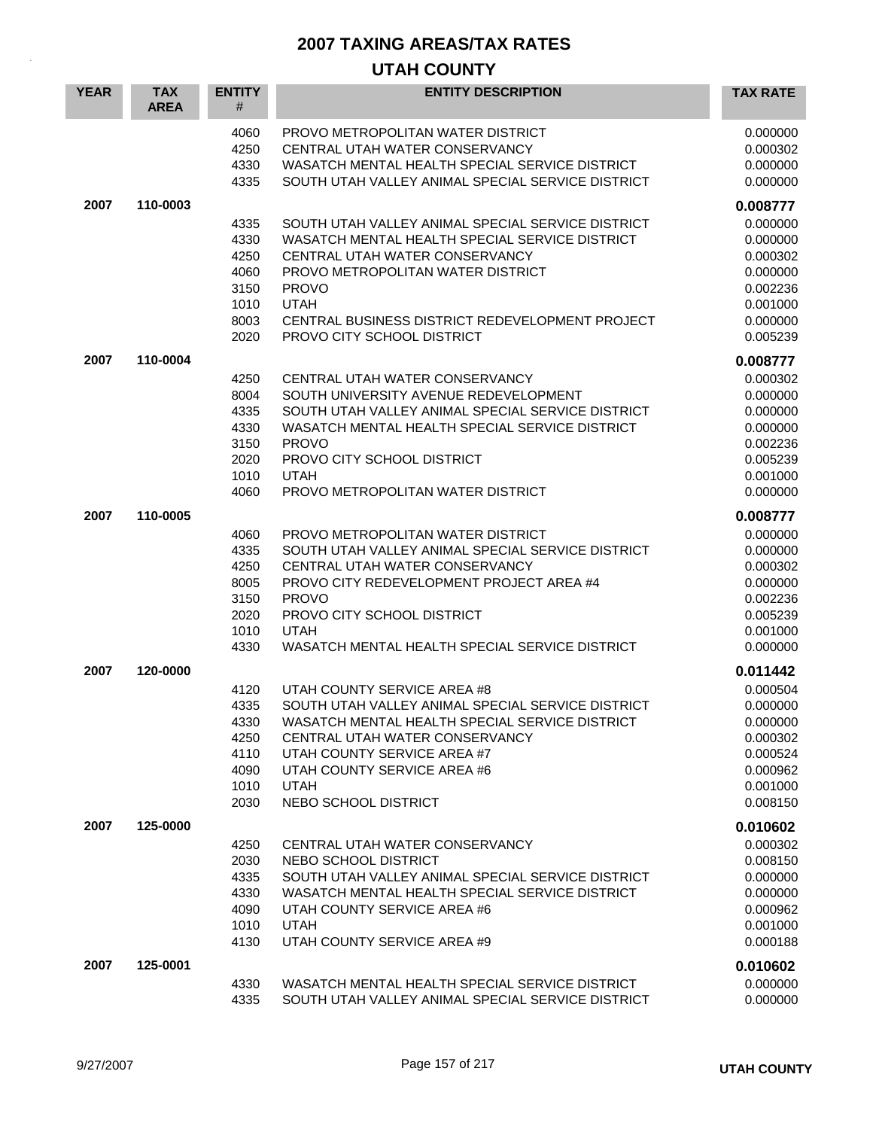| <b>YEAR</b> | <b>TAX</b><br><b>AREA</b> | <b>ENTITY</b><br>#                                           | <b>ENTITY DESCRIPTION</b>                                                                                                                                                                                                                                                                  | <b>TAX RATE</b>                                                                              |
|-------------|---------------------------|--------------------------------------------------------------|--------------------------------------------------------------------------------------------------------------------------------------------------------------------------------------------------------------------------------------------------------------------------------------------|----------------------------------------------------------------------------------------------|
|             |                           | 4060<br>4250<br>4330<br>4335                                 | PROVO METROPOLITAN WATER DISTRICT<br>CENTRAL UTAH WATER CONSERVANCY<br>WASATCH MENTAL HEALTH SPECIAL SERVICE DISTRICT<br>SOUTH UTAH VALLEY ANIMAL SPECIAL SERVICE DISTRICT                                                                                                                 | 0.000000<br>0.000302<br>0.000000<br>0.000000                                                 |
| 2007        | 110-0003                  |                                                              |                                                                                                                                                                                                                                                                                            | 0.008777                                                                                     |
|             |                           | 4335<br>4330<br>4250<br>4060<br>3150<br>1010<br>8003<br>2020 | SOUTH UTAH VALLEY ANIMAL SPECIAL SERVICE DISTRICT<br>WASATCH MENTAL HEALTH SPECIAL SERVICE DISTRICT<br>CENTRAL UTAH WATER CONSERVANCY<br>PROVO METROPOLITAN WATER DISTRICT<br><b>PROVO</b><br><b>UTAH</b><br>CENTRAL BUSINESS DISTRICT REDEVELOPMENT PROJECT<br>PROVO CITY SCHOOL DISTRICT | 0.000000<br>0.000000<br>0.000302<br>0.000000<br>0.002236<br>0.001000<br>0.000000<br>0.005239 |
| 2007        | 110-0004                  |                                                              |                                                                                                                                                                                                                                                                                            | 0.008777                                                                                     |
|             |                           | 4250<br>8004<br>4335<br>4330<br>3150<br>2020<br>1010<br>4060 | CENTRAL UTAH WATER CONSERVANCY<br>SOUTH UNIVERSITY AVENUE REDEVELOPMENT<br>SOUTH UTAH VALLEY ANIMAL SPECIAL SERVICE DISTRICT<br>WASATCH MENTAL HEALTH SPECIAL SERVICE DISTRICT<br><b>PROVO</b><br>PROVO CITY SCHOOL DISTRICT<br><b>UTAH</b><br>PROVO METROPOLITAN WATER DISTRICT           | 0.000302<br>0.000000<br>0.000000<br>0.000000<br>0.002236<br>0.005239<br>0.001000<br>0.000000 |
| 2007        | 110-0005                  |                                                              |                                                                                                                                                                                                                                                                                            | 0.008777                                                                                     |
|             |                           | 4060<br>4335<br>4250<br>8005<br>3150<br>2020<br>1010<br>4330 | PROVO METROPOLITAN WATER DISTRICT<br>SOUTH UTAH VALLEY ANIMAL SPECIAL SERVICE DISTRICT<br>CENTRAL UTAH WATER CONSERVANCY<br>PROVO CITY REDEVELOPMENT PROJECT AREA #4<br><b>PROVO</b><br>PROVO CITY SCHOOL DISTRICT<br><b>UTAH</b><br>WASATCH MENTAL HEALTH SPECIAL SERVICE DISTRICT        | 0.000000<br>0.000000<br>0.000302<br>0.000000<br>0.002236<br>0.005239<br>0.001000<br>0.000000 |
| 2007        | 120-0000                  |                                                              |                                                                                                                                                                                                                                                                                            | 0.011442                                                                                     |
|             |                           | 4120<br>4335<br>4330<br>4250<br>4110<br>4090<br>1010<br>2030 | UTAH COUNTY SERVICE AREA #8<br>SOUTH UTAH VALLEY ANIMAL SPECIAL SERVICE DISTRICT<br>WASATCH MENTAL HEALTH SPECIAL SERVICE DISTRICT<br>CENTRAL UTAH WATER CONSERVANCY<br>UTAH COUNTY SERVICE AREA #7<br>UTAH COUNTY SERVICE AREA #6<br><b>UTAH</b><br>NEBO SCHOOL DISTRICT                  | 0.000504<br>0.000000<br>0.000000<br>0.000302<br>0.000524<br>0.000962<br>0.001000<br>0.008150 |
| 2007        | 125-0000                  |                                                              |                                                                                                                                                                                                                                                                                            | 0.010602                                                                                     |
|             |                           | 4250<br>2030<br>4335<br>4330<br>4090<br>1010<br>4130         | CENTRAL UTAH WATER CONSERVANCY<br>NEBO SCHOOL DISTRICT<br>SOUTH UTAH VALLEY ANIMAL SPECIAL SERVICE DISTRICT<br>WASATCH MENTAL HEALTH SPECIAL SERVICE DISTRICT<br>UTAH COUNTY SERVICE AREA #6<br><b>UTAH</b><br>UTAH COUNTY SERVICE AREA #9                                                 | 0.000302<br>0.008150<br>0.000000<br>0.000000<br>0.000962<br>0.001000<br>0.000188             |
| 2007        | 125-0001                  |                                                              |                                                                                                                                                                                                                                                                                            | 0.010602                                                                                     |
|             |                           | 4330<br>4335                                                 | WASATCH MENTAL HEALTH SPECIAL SERVICE DISTRICT<br>SOUTH UTAH VALLEY ANIMAL SPECIAL SERVICE DISTRICT                                                                                                                                                                                        | 0.000000<br>0.000000                                                                         |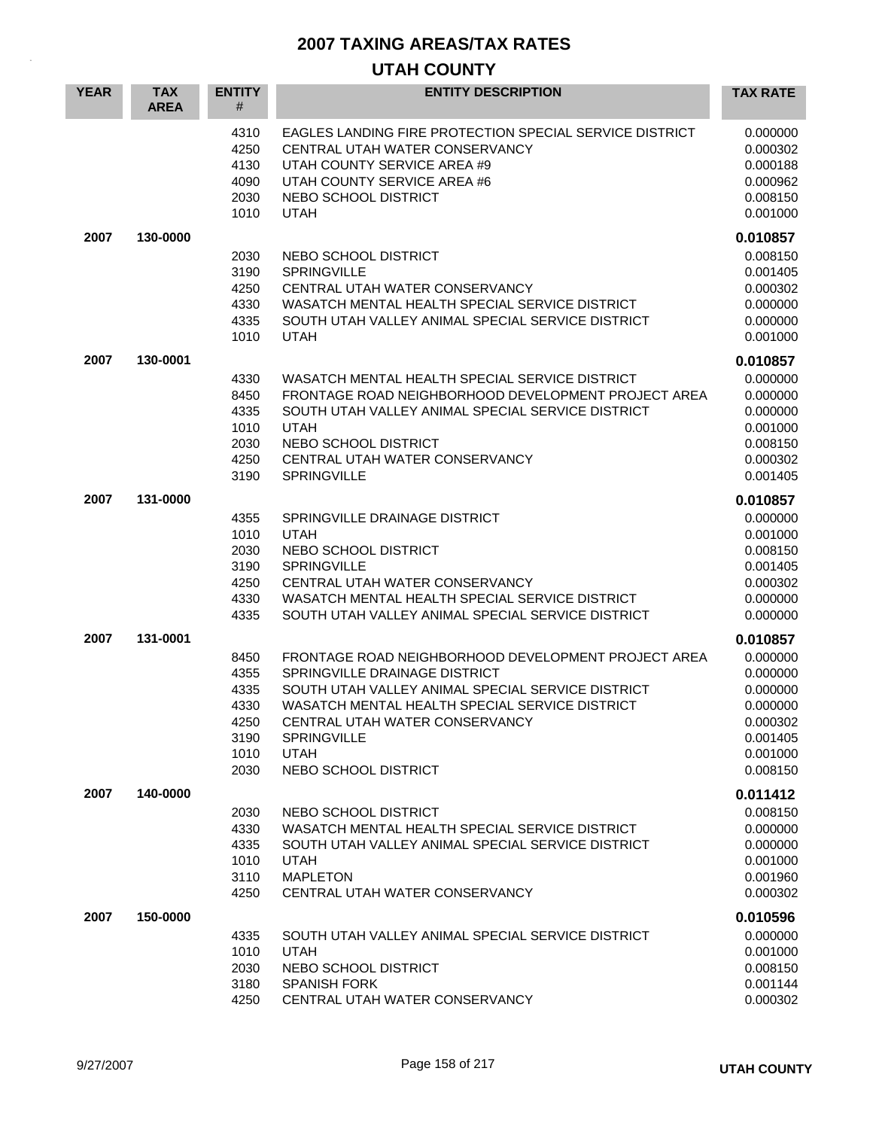| <b>YEAR</b> | <b>TAX</b><br><b>AREA</b> | <b>ENTITY</b><br>#                                           | <b>ENTITY DESCRIPTION</b>                                                                                                                                                                                                                                                                  | <b>TAX RATE</b>                                                                              |
|-------------|---------------------------|--------------------------------------------------------------|--------------------------------------------------------------------------------------------------------------------------------------------------------------------------------------------------------------------------------------------------------------------------------------------|----------------------------------------------------------------------------------------------|
|             |                           | 4310<br>4250<br>4130<br>4090<br>2030<br>1010                 | <b>EAGLES LANDING FIRE PROTECTION SPECIAL SERVICE DISTRICT</b><br>CENTRAL UTAH WATER CONSERVANCY<br>UTAH COUNTY SERVICE AREA #9<br>UTAH COUNTY SERVICE AREA #6<br>NEBO SCHOOL DISTRICT<br><b>UTAH</b>                                                                                      | 0.000000<br>0.000302<br>0.000188<br>0.000962<br>0.008150<br>0.001000                         |
| 2007        | 130-0000                  |                                                              |                                                                                                                                                                                                                                                                                            | 0.010857                                                                                     |
|             |                           | 2030<br>3190<br>4250<br>4330<br>4335<br>1010                 | NEBO SCHOOL DISTRICT<br><b>SPRINGVILLE</b><br>CENTRAL UTAH WATER CONSERVANCY<br>WASATCH MENTAL HEALTH SPECIAL SERVICE DISTRICT<br>SOUTH UTAH VALLEY ANIMAL SPECIAL SERVICE DISTRICT<br><b>UTAH</b>                                                                                         | 0.008150<br>0.001405<br>0.000302<br>0.000000<br>0.000000<br>0.001000                         |
| 2007        | 130-0001                  |                                                              |                                                                                                                                                                                                                                                                                            | 0.010857                                                                                     |
|             |                           | 4330<br>8450<br>4335<br>1010<br>2030<br>4250<br>3190         | WASATCH MENTAL HEALTH SPECIAL SERVICE DISTRICT<br>FRONTAGE ROAD NEIGHBORHOOD DEVELOPMENT PROJECT AREA<br>SOUTH UTAH VALLEY ANIMAL SPECIAL SERVICE DISTRICT<br><b>UTAH</b><br>NEBO SCHOOL DISTRICT<br>CENTRAL UTAH WATER CONSERVANCY<br><b>SPRINGVILLE</b>                                  | 0.000000<br>0.000000<br>0.000000<br>0.001000<br>0.008150<br>0.000302<br>0.001405             |
| 2007        | 131-0000                  |                                                              |                                                                                                                                                                                                                                                                                            | 0.010857                                                                                     |
|             |                           | 4355<br>1010<br>2030<br>3190<br>4250<br>4330<br>4335         | SPRINGVILLE DRAINAGE DISTRICT<br><b>UTAH</b><br>NEBO SCHOOL DISTRICT<br><b>SPRINGVILLE</b><br>CENTRAL UTAH WATER CONSERVANCY<br>WASATCH MENTAL HEALTH SPECIAL SERVICE DISTRICT<br>SOUTH UTAH VALLEY ANIMAL SPECIAL SERVICE DISTRICT                                                        | 0.000000<br>0.001000<br>0.008150<br>0.001405<br>0.000302<br>0.000000<br>0.000000             |
| 2007        | 131-0001                  |                                                              |                                                                                                                                                                                                                                                                                            | 0.010857                                                                                     |
|             |                           | 8450<br>4355<br>4335<br>4330<br>4250<br>3190<br>1010<br>2030 | FRONTAGE ROAD NEIGHBORHOOD DEVELOPMENT PROJECT AREA<br>SPRINGVILLE DRAINAGE DISTRICT<br>SOUTH UTAH VALLEY ANIMAL SPECIAL SERVICE DISTRICT<br>WASATCH MENTAL HEALTH SPECIAL SERVICE DISTRICT<br>CENTRAL UTAH WATER CONSERVANCY<br><b>SPRINGVILLE</b><br><b>UTAH</b><br>NEBO SCHOOL DISTRICT | 0.000000<br>0.000000<br>0.000000<br>0.000000<br>0.000302<br>0.001405<br>0.001000<br>0.008150 |
| 2007        | 140-0000                  |                                                              |                                                                                                                                                                                                                                                                                            | 0.011412                                                                                     |
|             |                           | 2030<br>4330<br>4335<br>1010<br>3110<br>4250                 | NEBO SCHOOL DISTRICT<br>WASATCH MENTAL HEALTH SPECIAL SERVICE DISTRICT<br>SOUTH UTAH VALLEY ANIMAL SPECIAL SERVICE DISTRICT<br><b>UTAH</b><br><b>MAPLETON</b><br>CENTRAL UTAH WATER CONSERVANCY                                                                                            | 0.008150<br>0.000000<br>0.000000<br>0.001000<br>0.001960<br>0.000302                         |
| 2007        | 150-0000                  | 4335<br>1010<br>2030<br>3180<br>4250                         | SOUTH UTAH VALLEY ANIMAL SPECIAL SERVICE DISTRICT<br><b>UTAH</b><br>NEBO SCHOOL DISTRICT<br><b>SPANISH FORK</b><br>CENTRAL UTAH WATER CONSERVANCY                                                                                                                                          | 0.010596<br>0.000000<br>0.001000<br>0.008150<br>0.001144<br>0.000302                         |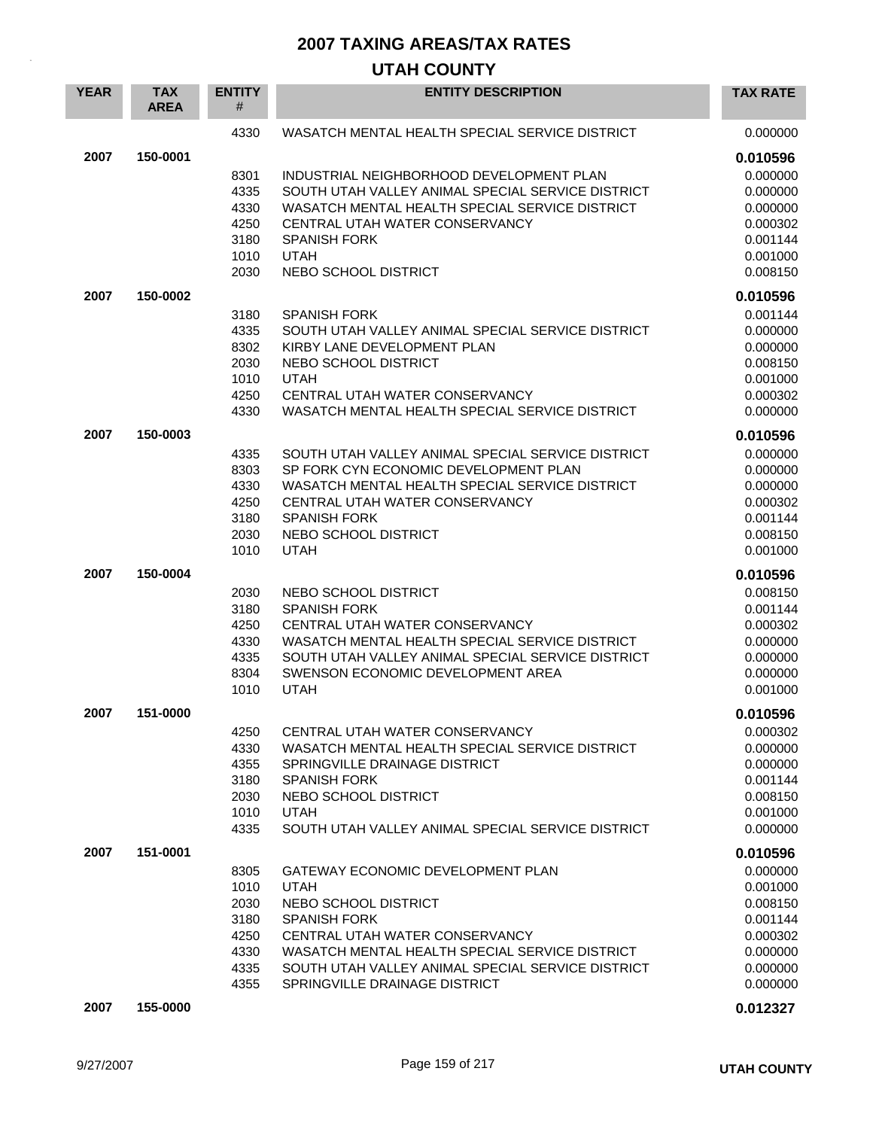| <b>YEAR</b> | <b>TAX</b><br><b>AREA</b> | <b>ENTITY</b><br># | <b>ENTITY DESCRIPTION</b>                         | <b>TAX RATE</b> |
|-------------|---------------------------|--------------------|---------------------------------------------------|-----------------|
|             |                           | 4330               | WASATCH MENTAL HEALTH SPECIAL SERVICE DISTRICT    | 0.000000        |
| 2007        | 150-0001                  |                    |                                                   | 0.010596        |
|             |                           | 8301               | INDUSTRIAL NEIGHBORHOOD DEVELOPMENT PLAN          | 0.000000        |
|             |                           | 4335               | SOUTH UTAH VALLEY ANIMAL SPECIAL SERVICE DISTRICT | 0.000000        |
|             |                           | 4330               | WASATCH MENTAL HEALTH SPECIAL SERVICE DISTRICT    | 0.000000        |
|             |                           | 4250               | CENTRAL UTAH WATER CONSERVANCY                    | 0.000302        |
|             |                           | 3180               | <b>SPANISH FORK</b>                               | 0.001144        |
|             |                           | 1010               | <b>UTAH</b>                                       | 0.001000        |
|             |                           | 2030               | NEBO SCHOOL DISTRICT                              | 0.008150        |
| 2007        | 150-0002                  |                    |                                                   | 0.010596        |
|             |                           | 3180               | <b>SPANISH FORK</b>                               | 0.001144        |
|             |                           | 4335               | SOUTH UTAH VALLEY ANIMAL SPECIAL SERVICE DISTRICT | 0.000000        |
|             |                           | 8302               | KIRBY LANE DEVELOPMENT PLAN                       | 0.000000        |
|             |                           | 2030               | NEBO SCHOOL DISTRICT                              | 0.008150        |
|             |                           | 1010               | <b>UTAH</b>                                       | 0.001000        |
|             |                           | 4250               | CENTRAL UTAH WATER CONSERVANCY                    | 0.000302        |
|             |                           | 4330               | WASATCH MENTAL HEALTH SPECIAL SERVICE DISTRICT    | 0.000000        |
| 2007        | 150-0003                  |                    |                                                   | 0.010596        |
|             |                           | 4335               | SOUTH UTAH VALLEY ANIMAL SPECIAL SERVICE DISTRICT | 0.000000        |
|             |                           | 8303               | SP FORK CYN ECONOMIC DEVELOPMENT PLAN             | 0.000000        |
|             |                           | 4330               | WASATCH MENTAL HEALTH SPECIAL SERVICE DISTRICT    | 0.000000        |
|             |                           | 4250               | CENTRAL UTAH WATER CONSERVANCY                    | 0.000302        |
|             |                           | 3180               | <b>SPANISH FORK</b>                               | 0.001144        |
|             |                           | 2030               | NEBO SCHOOL DISTRICT                              | 0.008150        |
|             |                           | 1010               | <b>UTAH</b>                                       | 0.001000        |
| 2007        | 150-0004                  |                    |                                                   | 0.010596        |
|             |                           | 2030               | NEBO SCHOOL DISTRICT                              | 0.008150        |
|             |                           | 3180               | <b>SPANISH FORK</b>                               | 0.001144        |
|             |                           | 4250               | CENTRAL UTAH WATER CONSERVANCY                    | 0.000302        |
|             |                           | 4330               | WASATCH MENTAL HEALTH SPECIAL SERVICE DISTRICT    | 0.000000        |
|             |                           | 4335               | SOUTH UTAH VALLEY ANIMAL SPECIAL SERVICE DISTRICT | 0.000000        |
|             |                           | 8304               | SWENSON ECONOMIC DEVELOPMENT AREA                 | 0.000000        |
|             |                           | 1010               | <b>UTAH</b>                                       | 0.001000        |
| 2007        | 151-0000                  |                    |                                                   | 0.010596        |
|             |                           | 4250               | CENTRAL UTAH WATER CONSERVANCY                    | 0.000302        |
|             |                           | 4330               | WASATCH MENTAL HEALTH SPECIAL SERVICE DISTRICT    | 0.000000        |
|             |                           | 4355               | SPRINGVILLE DRAINAGE DISTRICT                     | 0.000000        |
|             |                           | 3180               | <b>SPANISH FORK</b>                               | 0.001144        |
|             |                           | 2030               | NEBO SCHOOL DISTRICT                              | 0.008150        |
|             |                           | 1010               | <b>UTAH</b>                                       | 0.001000        |
|             |                           | 4335               | SOUTH UTAH VALLEY ANIMAL SPECIAL SERVICE DISTRICT | 0.000000        |
| 2007        | 151-0001                  |                    |                                                   | 0.010596        |
|             |                           | 8305               | GATEWAY ECONOMIC DEVELOPMENT PLAN                 | 0.000000        |
|             |                           | 1010               | <b>UTAH</b>                                       | 0.001000        |
|             |                           | 2030               | NEBO SCHOOL DISTRICT                              | 0.008150        |
|             |                           | 3180               | <b>SPANISH FORK</b>                               | 0.001144        |
|             |                           | 4250               | CENTRAL UTAH WATER CONSERVANCY                    | 0.000302        |
|             |                           | 4330               | WASATCH MENTAL HEALTH SPECIAL SERVICE DISTRICT    | 0.000000        |
|             |                           | 4335               | SOUTH UTAH VALLEY ANIMAL SPECIAL SERVICE DISTRICT | 0.000000        |
|             |                           | 4355               | SPRINGVILLE DRAINAGE DISTRICT                     | 0.000000        |
| 2007        | 155-0000                  |                    |                                                   | 0.012327        |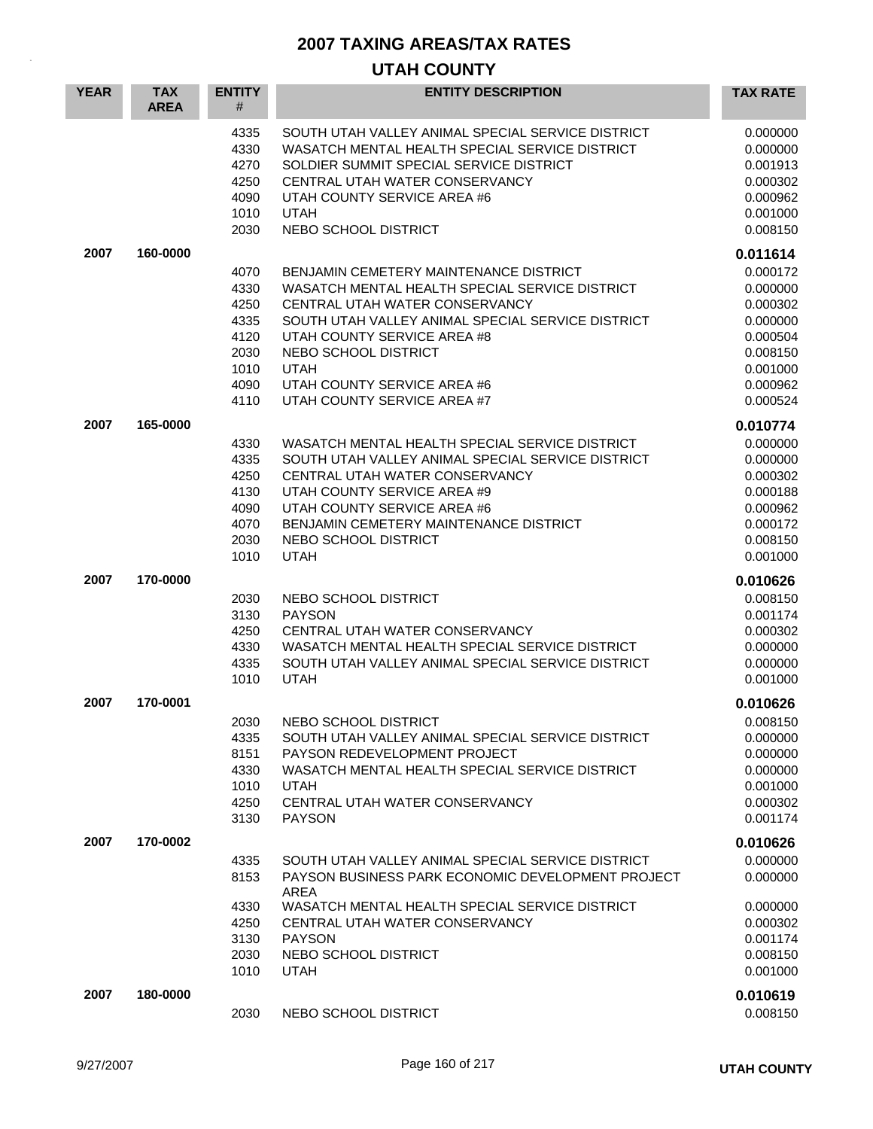| <b>YEAR</b> | <b>TAX</b><br><b>AREA</b> | <b>ENTITY</b><br>#                                                   | <b>ENTITY DESCRIPTION</b>                                                                                                                                                                                                                                                                                           | <b>TAX RATE</b>                                                                                                      |
|-------------|---------------------------|----------------------------------------------------------------------|---------------------------------------------------------------------------------------------------------------------------------------------------------------------------------------------------------------------------------------------------------------------------------------------------------------------|----------------------------------------------------------------------------------------------------------------------|
|             |                           | 4335<br>4330<br>4270<br>4250<br>4090<br>1010<br>2030                 | SOUTH UTAH VALLEY ANIMAL SPECIAL SERVICE DISTRICT<br>WASATCH MENTAL HEALTH SPECIAL SERVICE DISTRICT<br>SOLDIER SUMMIT SPECIAL SERVICE DISTRICT<br>CENTRAL UTAH WATER CONSERVANCY<br>UTAH COUNTY SERVICE AREA #6<br><b>UTAH</b><br>NEBO SCHOOL DISTRICT                                                              | 0.000000<br>0.000000<br>0.001913<br>0.000302<br>0.000962<br>0.001000<br>0.008150                                     |
| 2007        | 160-0000                  | 4070<br>4330<br>4250<br>4335<br>4120<br>2030<br>1010<br>4090<br>4110 | BENJAMIN CEMETERY MAINTENANCE DISTRICT<br>WASATCH MENTAL HEALTH SPECIAL SERVICE DISTRICT<br>CENTRAL UTAH WATER CONSERVANCY<br>SOUTH UTAH VALLEY ANIMAL SPECIAL SERVICE DISTRICT<br>UTAH COUNTY SERVICE AREA #8<br>NEBO SCHOOL DISTRICT<br><b>UTAH</b><br>UTAH COUNTY SERVICE AREA #6<br>UTAH COUNTY SERVICE AREA #7 | 0.011614<br>0.000172<br>0.000000<br>0.000302<br>0.000000<br>0.000504<br>0.008150<br>0.001000<br>0.000962<br>0.000524 |
| 2007        | 165-0000                  | 4330<br>4335<br>4250<br>4130<br>4090<br>4070<br>2030<br>1010         | WASATCH MENTAL HEALTH SPECIAL SERVICE DISTRICT<br>SOUTH UTAH VALLEY ANIMAL SPECIAL SERVICE DISTRICT<br>CENTRAL UTAH WATER CONSERVANCY<br>UTAH COUNTY SERVICE AREA #9<br>UTAH COUNTY SERVICE AREA #6<br>BENJAMIN CEMETERY MAINTENANCE DISTRICT<br>NEBO SCHOOL DISTRICT<br><b>UTAH</b>                                | 0.010774<br>0.000000<br>0.000000<br>0.000302<br>0.000188<br>0.000962<br>0.000172<br>0.008150<br>0.001000             |
| 2007        | 170-0000                  | 2030<br>3130<br>4250<br>4330<br>4335<br>1010                         | NEBO SCHOOL DISTRICT<br><b>PAYSON</b><br>CENTRAL UTAH WATER CONSERVANCY<br>WASATCH MENTAL HEALTH SPECIAL SERVICE DISTRICT<br>SOUTH UTAH VALLEY ANIMAL SPECIAL SERVICE DISTRICT<br><b>UTAH</b>                                                                                                                       | 0.010626<br>0.008150<br>0.001174<br>0.000302<br>0.000000<br>0.000000<br>0.001000                                     |
| 2007        | 170-0001                  | 2030<br>4335<br>8151<br>4330<br>1010<br>4250<br>3130                 | NEBO SCHOOL DISTRICT<br>SOUTH UTAH VALLEY ANIMAL SPECIAL SERVICE DISTRICT<br>PAYSON REDEVELOPMENT PROJECT<br>WASATCH MENTAL HEALTH SPECIAL SERVICE DISTRICT<br><b>UTAH</b><br>CENTRAL UTAH WATER CONSERVANCY<br><b>PAYSON</b>                                                                                       | 0.010626<br>0.008150<br>0.000000<br>0.000000<br>0.000000<br>0.001000<br>0.000302<br>0.001174                         |
| 2007        | 170-0002                  | 4335<br>8153<br>4330<br>4250<br>3130<br>2030<br>1010                 | SOUTH UTAH VALLEY ANIMAL SPECIAL SERVICE DISTRICT<br>PAYSON BUSINESS PARK ECONOMIC DEVELOPMENT PROJECT<br>AREA<br>WASATCH MENTAL HEALTH SPECIAL SERVICE DISTRICT<br>CENTRAL UTAH WATER CONSERVANCY<br><b>PAYSON</b><br>NEBO SCHOOL DISTRICT<br><b>UTAH</b>                                                          | 0.010626<br>0.000000<br>0.000000<br>0.000000<br>0.000302<br>0.001174<br>0.008150<br>0.001000                         |
| 2007        | 180-0000                  | 2030                                                                 | NEBO SCHOOL DISTRICT                                                                                                                                                                                                                                                                                                | 0.010619<br>0.008150                                                                                                 |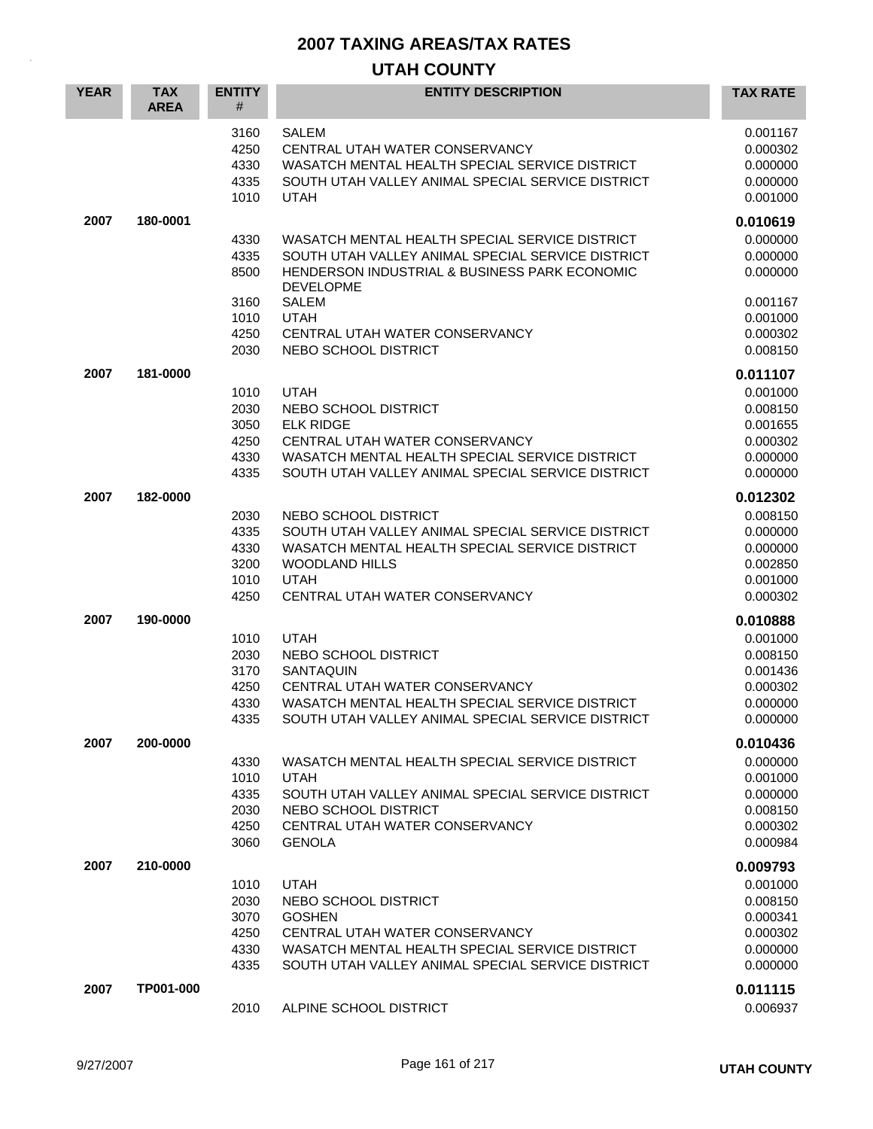| <b>YEAR</b> | <b>TAX</b><br><b>AREA</b> | <b>ENTITY</b><br>#                   | <b>ENTITY DESCRIPTION</b>                                                                                                                                                           | <b>TAX RATE</b>                                          |
|-------------|---------------------------|--------------------------------------|-------------------------------------------------------------------------------------------------------------------------------------------------------------------------------------|----------------------------------------------------------|
|             |                           | 3160<br>4250<br>4330<br>4335<br>1010 | <b>SALEM</b><br>CENTRAL UTAH WATER CONSERVANCY<br>WASATCH MENTAL HEALTH SPECIAL SERVICE DISTRICT<br>SOUTH UTAH VALLEY ANIMAL SPECIAL SERVICE DISTRICT<br><b>UTAH</b>                | 0.001167<br>0.000302<br>0.000000<br>0.000000<br>0.001000 |
| 2007        | 180-0001                  |                                      |                                                                                                                                                                                     | 0.010619                                                 |
|             |                           | 4330<br>4335<br>8500                 | WASATCH MENTAL HEALTH SPECIAL SERVICE DISTRICT<br>SOUTH UTAH VALLEY ANIMAL SPECIAL SERVICE DISTRICT<br><b>HENDERSON INDUSTRIAL &amp; BUSINESS PARK ECONOMIC</b><br><b>DEVELOPME</b> | 0.000000<br>0.000000<br>0.000000                         |
|             |                           | 3160                                 | SALEM                                                                                                                                                                               | 0.001167                                                 |
|             |                           | 1010                                 | <b>UTAH</b>                                                                                                                                                                         | 0.001000                                                 |
|             |                           | 4250<br>2030                         | CENTRAL UTAH WATER CONSERVANCY<br>NEBO SCHOOL DISTRICT                                                                                                                              | 0.000302<br>0.008150                                     |
|             |                           |                                      |                                                                                                                                                                                     |                                                          |
| 2007        | 181-0000                  |                                      |                                                                                                                                                                                     | 0.011107                                                 |
|             |                           | 1010                                 | <b>UTAH</b>                                                                                                                                                                         | 0.001000                                                 |
|             |                           | 2030<br>3050                         | NEBO SCHOOL DISTRICT<br><b>ELK RIDGE</b>                                                                                                                                            | 0.008150<br>0.001655                                     |
|             |                           | 4250                                 | CENTRAL UTAH WATER CONSERVANCY                                                                                                                                                      | 0.000302                                                 |
|             |                           | 4330                                 | WASATCH MENTAL HEALTH SPECIAL SERVICE DISTRICT                                                                                                                                      | 0.000000                                                 |
|             |                           | 4335                                 | SOUTH UTAH VALLEY ANIMAL SPECIAL SERVICE DISTRICT                                                                                                                                   | 0.000000                                                 |
| 2007        | 182-0000                  |                                      |                                                                                                                                                                                     | 0.012302                                                 |
|             |                           | 2030                                 | NEBO SCHOOL DISTRICT                                                                                                                                                                | 0.008150                                                 |
|             |                           | 4335                                 | SOUTH UTAH VALLEY ANIMAL SPECIAL SERVICE DISTRICT                                                                                                                                   | 0.000000                                                 |
|             |                           | 4330                                 | WASATCH MENTAL HEALTH SPECIAL SERVICE DISTRICT                                                                                                                                      | 0.000000                                                 |
|             |                           | 3200                                 | <b>WOODLAND HILLS</b>                                                                                                                                                               | 0.002850                                                 |
|             |                           | 1010                                 | <b>UTAH</b>                                                                                                                                                                         | 0.001000                                                 |
|             |                           | 4250                                 | CENTRAL UTAH WATER CONSERVANCY                                                                                                                                                      | 0.000302                                                 |
| 2007        | 190-0000                  |                                      |                                                                                                                                                                                     | 0.010888                                                 |
|             |                           | 1010                                 | <b>UTAH</b>                                                                                                                                                                         | 0.001000                                                 |
|             |                           | 2030                                 | NEBO SCHOOL DISTRICT                                                                                                                                                                | 0.008150                                                 |
|             |                           | 3170<br>4250                         | <b>SANTAQUIN</b><br>CENTRAL UTAH WATER CONSERVANCY                                                                                                                                  | 0.001436<br>0.000302                                     |
|             |                           | 4330                                 | WASATCH MENTAL HEALTH SPECIAL SERVICE DISTRICT                                                                                                                                      | 0.000000                                                 |
|             |                           | 4335                                 | SOUTH UTAH VALLEY ANIMAL SPECIAL SERVICE DISTRICT                                                                                                                                   | 0.000000                                                 |
| 2007        | 200-0000                  |                                      |                                                                                                                                                                                     | 0.010436                                                 |
|             |                           | 4330                                 | WASATCH MENTAL HEALTH SPECIAL SERVICE DISTRICT                                                                                                                                      | 0.000000                                                 |
|             |                           | 1010                                 | <b>UTAH</b>                                                                                                                                                                         | 0.001000                                                 |
|             |                           | 4335                                 | SOUTH UTAH VALLEY ANIMAL SPECIAL SERVICE DISTRICT                                                                                                                                   | 0.000000                                                 |
|             |                           | 2030                                 | NEBO SCHOOL DISTRICT                                                                                                                                                                | 0.008150                                                 |
|             |                           | 4250                                 | CENTRAL UTAH WATER CONSERVANCY                                                                                                                                                      | 0.000302                                                 |
|             |                           | 3060                                 | <b>GENOLA</b>                                                                                                                                                                       | 0.000984                                                 |
| 2007        | 210-0000                  |                                      |                                                                                                                                                                                     | 0.009793                                                 |
|             |                           | 1010                                 | <b>UTAH</b>                                                                                                                                                                         | 0.001000                                                 |
|             |                           | 2030                                 | NEBO SCHOOL DISTRICT                                                                                                                                                                | 0.008150                                                 |
|             |                           | 3070                                 | <b>GOSHEN</b>                                                                                                                                                                       | 0.000341                                                 |
|             |                           | 4250                                 | CENTRAL UTAH WATER CONSERVANCY<br>WASATCH MENTAL HEALTH SPECIAL SERVICE DISTRICT                                                                                                    | 0.000302                                                 |
|             |                           | 4330<br>4335                         | SOUTH UTAH VALLEY ANIMAL SPECIAL SERVICE DISTRICT                                                                                                                                   | 0.000000<br>0.000000                                     |
|             |                           |                                      |                                                                                                                                                                                     |                                                          |
| 2007        | TP001-000                 |                                      |                                                                                                                                                                                     | 0.011115                                                 |
|             |                           | 2010                                 | ALPINE SCHOOL DISTRICT                                                                                                                                                              | 0.006937                                                 |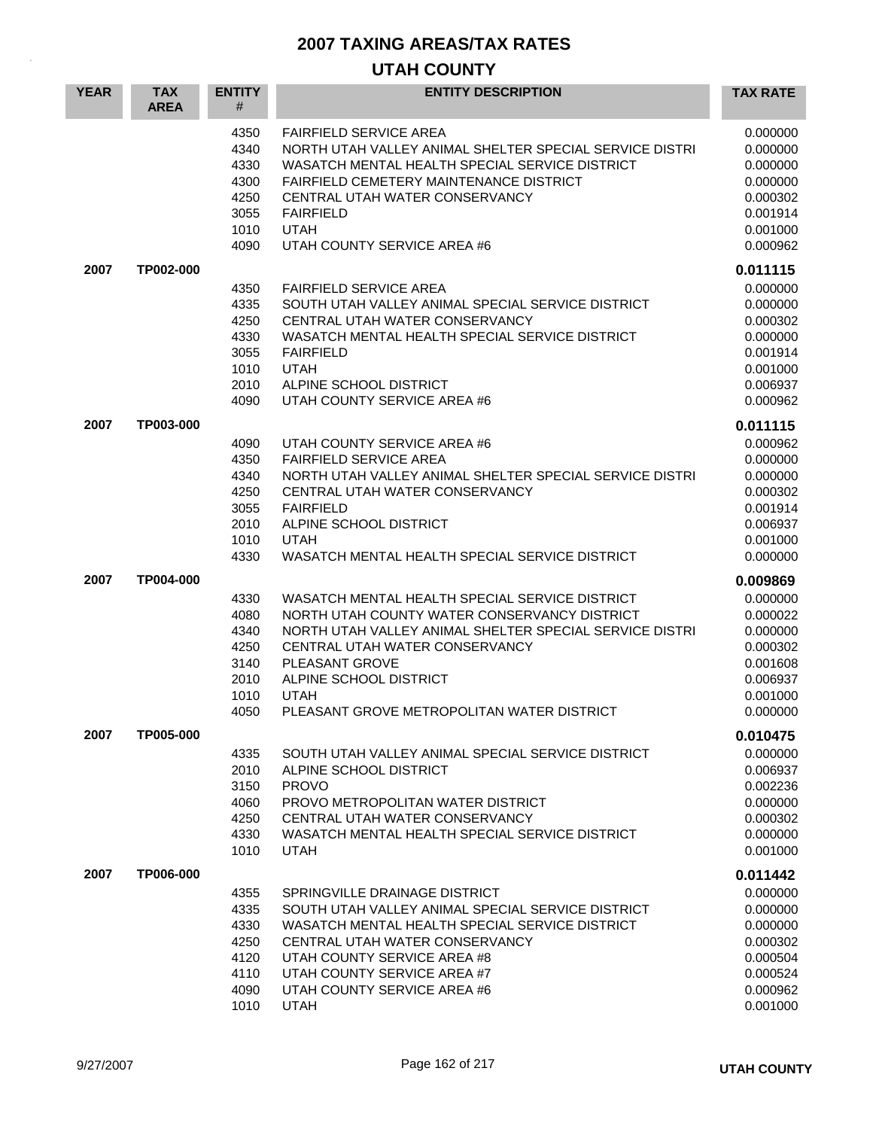| <b>YEAR</b> | <b>TAX</b><br><b>AREA</b> | <b>ENTITY</b><br>#                                           | <b>ENTITY DESCRIPTION</b>                                                                                                                                                                                                                                                                            | <b>TAX RATE</b>                                                                                          |
|-------------|---------------------------|--------------------------------------------------------------|------------------------------------------------------------------------------------------------------------------------------------------------------------------------------------------------------------------------------------------------------------------------------------------------------|----------------------------------------------------------------------------------------------------------|
|             |                           | 4350<br>4340<br>4330<br>4300<br>4250<br>3055<br>1010<br>4090 | <b>FAIRFIELD SERVICE AREA</b><br>NORTH UTAH VALLEY ANIMAL SHELTER SPECIAL SERVICE DISTRI<br>WASATCH MENTAL HEALTH SPECIAL SERVICE DISTRICT<br><b>FAIRFIELD CEMETERY MAINTENANCE DISTRICT</b><br>CENTRAL UTAH WATER CONSERVANCY<br><b>FAIRFIELD</b><br><b>UTAH</b><br>UTAH COUNTY SERVICE AREA #6     | 0.000000<br>0.000000<br>0.000000<br>0.000000<br>0.000302<br>0.001914<br>0.001000<br>0.000962             |
| 2007        | TP002-000                 | 4350<br>4335<br>4250<br>4330<br>3055<br>1010<br>2010<br>4090 | <b>FAIRFIELD SERVICE AREA</b><br>SOUTH UTAH VALLEY ANIMAL SPECIAL SERVICE DISTRICT<br>CENTRAL UTAH WATER CONSERVANCY<br>WASATCH MENTAL HEALTH SPECIAL SERVICE DISTRICT<br><b>FAIRFIELD</b><br><b>UTAH</b><br>ALPINE SCHOOL DISTRICT<br>UTAH COUNTY SERVICE AREA #6                                   | 0.011115<br>0.000000<br>0.000000<br>0.000302<br>0.000000<br>0.001914<br>0.001000<br>0.006937<br>0.000962 |
| 2007        | TP003-000                 | 4090<br>4350<br>4340<br>4250<br>3055<br>2010<br>1010<br>4330 | UTAH COUNTY SERVICE AREA #6<br><b>FAIRFIELD SERVICE AREA</b><br>NORTH UTAH VALLEY ANIMAL SHELTER SPECIAL SERVICE DISTRI<br>CENTRAL UTAH WATER CONSERVANCY<br><b>FAIRFIELD</b><br>ALPINE SCHOOL DISTRICT<br><b>UTAH</b><br>WASATCH MENTAL HEALTH SPECIAL SERVICE DISTRICT                             | 0.011115<br>0.000962<br>0.000000<br>0.000000<br>0.000302<br>0.001914<br>0.006937<br>0.001000<br>0.000000 |
| 2007        | TP004-000                 | 4330<br>4080<br>4340<br>4250<br>3140<br>2010<br>1010<br>4050 | WASATCH MENTAL HEALTH SPECIAL SERVICE DISTRICT<br>NORTH UTAH COUNTY WATER CONSERVANCY DISTRICT<br>NORTH UTAH VALLEY ANIMAL SHELTER SPECIAL SERVICE DISTRI<br>CENTRAL UTAH WATER CONSERVANCY<br>PLEASANT GROVE<br>ALPINE SCHOOL DISTRICT<br><b>UTAH</b><br>PLEASANT GROVE METROPOLITAN WATER DISTRICT | 0.009869<br>0.000000<br>0.000022<br>0.000000<br>0.000302<br>0.001608<br>0.006937<br>0.001000<br>0.000000 |
| 2007        | TP005-000                 | 4335<br>2010<br>3150<br>4060<br>4250<br>4330<br>1010         | SOUTH UTAH VALLEY ANIMAL SPECIAL SERVICE DISTRICT<br>ALPINE SCHOOL DISTRICT<br><b>PROVO</b><br>PROVO METROPOLITAN WATER DISTRICT<br>CENTRAL UTAH WATER CONSERVANCY<br>WASATCH MENTAL HEALTH SPECIAL SERVICE DISTRICT<br><b>UTAH</b>                                                                  | 0.010475<br>0.000000<br>0.006937<br>0.002236<br>0.000000<br>0.000302<br>0.000000<br>0.001000             |
| 2007        | TP006-000                 | 4355<br>4335<br>4330<br>4250<br>4120<br>4110<br>4090<br>1010 | SPRINGVILLE DRAINAGE DISTRICT<br>SOUTH UTAH VALLEY ANIMAL SPECIAL SERVICE DISTRICT<br>WASATCH MENTAL HEALTH SPECIAL SERVICE DISTRICT<br>CENTRAL UTAH WATER CONSERVANCY<br>UTAH COUNTY SERVICE AREA #8<br>UTAH COUNTY SERVICE AREA #7<br>UTAH COUNTY SERVICE AREA #6<br><b>UTAH</b>                   | 0.011442<br>0.000000<br>0.000000<br>0.000000<br>0.000302<br>0.000504<br>0.000524<br>0.000962<br>0.001000 |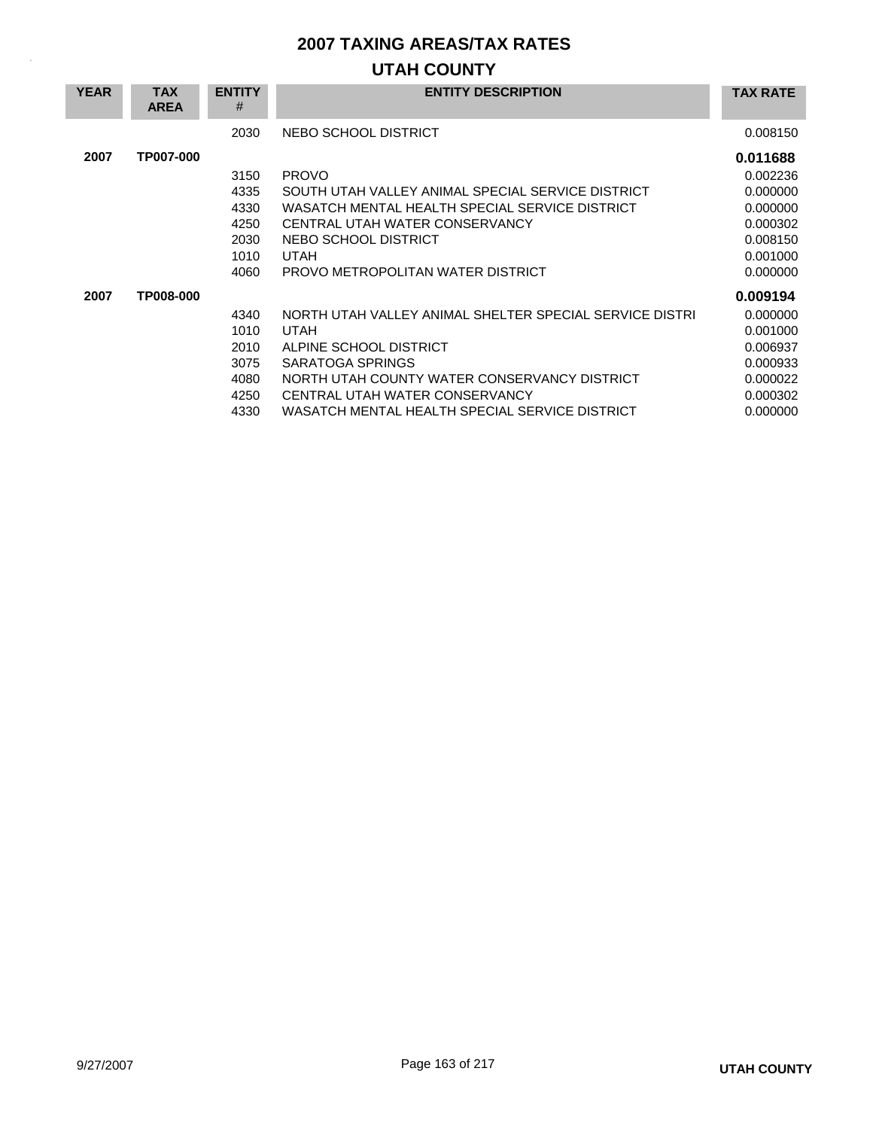| <b>YEAR</b> | <b>TAX</b><br><b>AREA</b> | <b>ENTITY</b><br># | <b>ENTITY DESCRIPTION</b>                               | <b>TAX RATE</b> |
|-------------|---------------------------|--------------------|---------------------------------------------------------|-----------------|
|             |                           | 2030               | NEBO SCHOOL DISTRICT                                    | 0.008150        |
| 2007        | TP007-000                 |                    |                                                         | 0.011688        |
|             |                           | 3150               | <b>PROVO</b>                                            | 0.002236        |
|             |                           | 4335               | SOUTH UTAH VALLEY ANIMAL SPECIAL SERVICE DISTRICT       | 0.000000        |
|             |                           | 4330               | WASATCH MENTAL HEALTH SPECIAL SERVICE DISTRICT          | 0.000000        |
|             |                           | 4250               | CENTRAL UTAH WATER CONSERVANCY                          | 0.000302        |
|             |                           | 2030               | NEBO SCHOOL DISTRICT                                    | 0.008150        |
|             |                           | 1010               | UTAH                                                    | 0.001000        |
|             |                           | 4060               | PROVO METROPOLITAN WATER DISTRICT                       | 0.000000        |
| 2007        | TP008-000                 |                    |                                                         | 0.009194        |
|             |                           | 4340               | NORTH UTAH VALLEY ANIMAL SHELTER SPECIAL SERVICE DISTRI | 0.000000        |
|             |                           | 1010               | <b>UTAH</b>                                             | 0.001000        |
|             |                           | 2010               | ALPINE SCHOOL DISTRICT                                  | 0.006937        |
|             |                           | 3075               | SARATOGA SPRINGS                                        | 0.000933        |
|             |                           | 4080               | NORTH UTAH COUNTY WATER CONSERVANCY DISTRICT            | 0.000022        |
|             |                           | 4250               | CENTRAL UTAH WATER CONSERVANCY                          | 0.000302        |
|             |                           | 4330               | WASATCH MENTAL HEALTH SPECIAL SERVICE DISTRICT          | 0.000000        |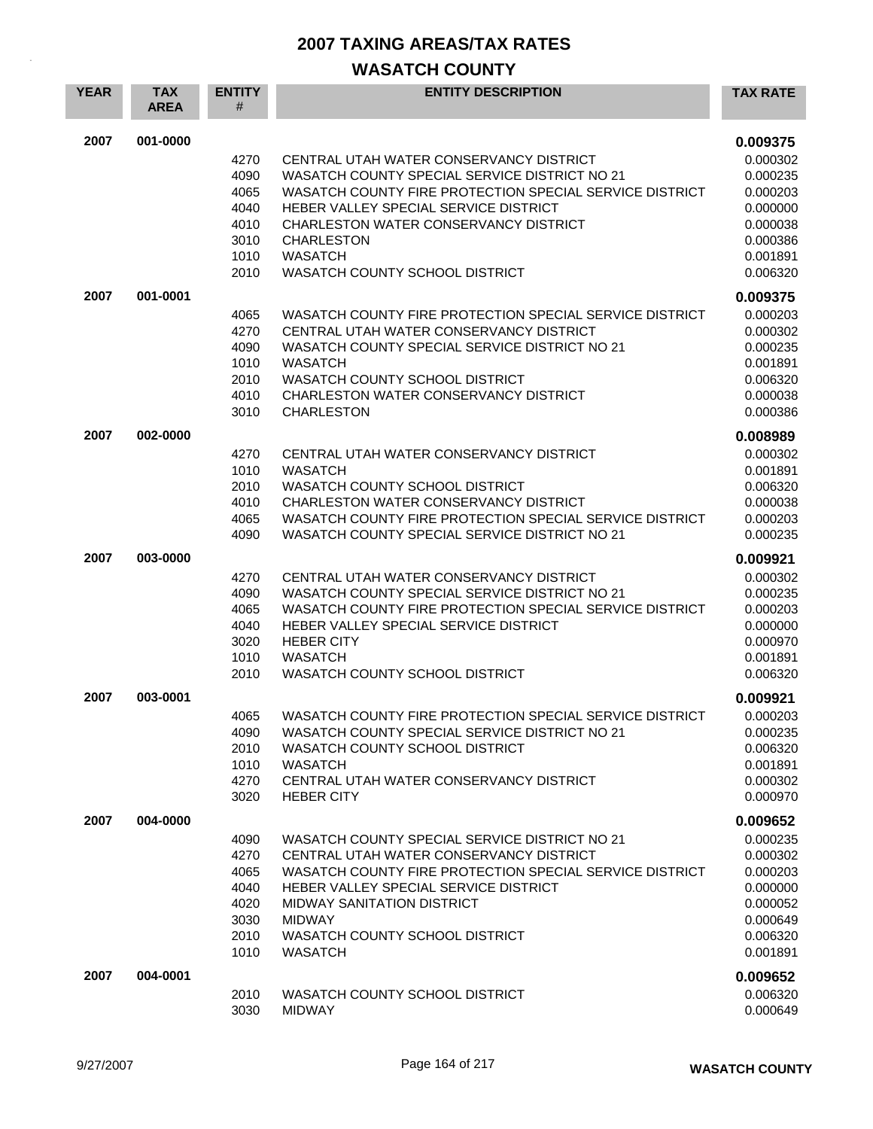| <b>YEAR</b> | <b>TAX</b><br><b>AREA</b> | <b>ENTITY</b><br>#                                           | <b>ENTITY DESCRIPTION</b>                                                                                                                                                                                                                                                                              | <b>TAX RATE</b>                                                                              |
|-------------|---------------------------|--------------------------------------------------------------|--------------------------------------------------------------------------------------------------------------------------------------------------------------------------------------------------------------------------------------------------------------------------------------------------------|----------------------------------------------------------------------------------------------|
| 2007        | 001-0000                  | 4270<br>4090<br>4065                                         | CENTRAL UTAH WATER CONSERVANCY DISTRICT<br>WASATCH COUNTY SPECIAL SERVICE DISTRICT NO 21<br>WASATCH COUNTY FIRE PROTECTION SPECIAL SERVICE DISTRICT                                                                                                                                                    | 0.009375<br>0.000302<br>0.000235<br>0.000203                                                 |
|             |                           | 4040<br>4010<br>3010<br>1010                                 | HEBER VALLEY SPECIAL SERVICE DISTRICT<br>CHARLESTON WATER CONSERVANCY DISTRICT<br><b>CHARLESTON</b><br><b>WASATCH</b>                                                                                                                                                                                  | 0.000000<br>0.000038<br>0.000386<br>0.001891                                                 |
|             |                           | 2010                                                         | WASATCH COUNTY SCHOOL DISTRICT                                                                                                                                                                                                                                                                         | 0.006320                                                                                     |
| 2007        | 001-0001                  |                                                              |                                                                                                                                                                                                                                                                                                        | 0.009375                                                                                     |
|             |                           | 4065<br>4270<br>4090<br>1010<br>2010<br>4010<br>3010         | WASATCH COUNTY FIRE PROTECTION SPECIAL SERVICE DISTRICT<br>CENTRAL UTAH WATER CONSERVANCY DISTRICT<br>WASATCH COUNTY SPECIAL SERVICE DISTRICT NO 21<br><b>WASATCH</b><br>WASATCH COUNTY SCHOOL DISTRICT<br>CHARLESTON WATER CONSERVANCY DISTRICT<br><b>CHARLESTON</b>                                  | 0.000203<br>0.000302<br>0.000235<br>0.001891<br>0.006320<br>0.000038<br>0.000386             |
| 2007        | 002-0000                  |                                                              |                                                                                                                                                                                                                                                                                                        | 0.008989                                                                                     |
|             |                           | 4270<br>1010<br>2010<br>4010<br>4065<br>4090                 | CENTRAL UTAH WATER CONSERVANCY DISTRICT<br><b>WASATCH</b><br>WASATCH COUNTY SCHOOL DISTRICT<br>CHARLESTON WATER CONSERVANCY DISTRICT<br>WASATCH COUNTY FIRE PROTECTION SPECIAL SERVICE DISTRICT<br>WASATCH COUNTY SPECIAL SERVICE DISTRICT NO 21                                                       | 0.000302<br>0.001891<br>0.006320<br>0.000038<br>0.000203<br>0.000235                         |
| 2007        | 003-0000                  |                                                              |                                                                                                                                                                                                                                                                                                        | 0.009921                                                                                     |
|             |                           | 4270<br>4090<br>4065<br>4040<br>3020<br>1010<br>2010         | CENTRAL UTAH WATER CONSERVANCY DISTRICT<br>WASATCH COUNTY SPECIAL SERVICE DISTRICT NO 21<br>WASATCH COUNTY FIRE PROTECTION SPECIAL SERVICE DISTRICT<br>HEBER VALLEY SPECIAL SERVICE DISTRICT<br><b>HEBER CITY</b><br><b>WASATCH</b><br>WASATCH COUNTY SCHOOL DISTRICT                                  | 0.000302<br>0.000235<br>0.000203<br>0.000000<br>0.000970<br>0.001891<br>0.006320             |
| 2007        | 003-0001                  | 4065                                                         | WASATCH COUNTY FIRE PROTECTION SPECIAL SERVICE DISTRICT                                                                                                                                                                                                                                                | 0.009921<br>0.000203                                                                         |
|             |                           | 4090<br>2010<br>1010<br>4270<br>3020                         | WASATCH COUNTY SPECIAL SERVICE DISTRICT NO 21<br>WASATCH COUNTY SCHOOL DISTRICT<br><b>WASATCH</b><br>CENTRAL UTAH WATER CONSERVANCY DISTRICT<br><b>HEBER CITY</b>                                                                                                                                      | 0.000235<br>0.006320<br>0.001891<br>0.000302<br>0.000970                                     |
| 2007        | 004-0000                  |                                                              |                                                                                                                                                                                                                                                                                                        | 0.009652                                                                                     |
|             |                           | 4090<br>4270<br>4065<br>4040<br>4020<br>3030<br>2010<br>1010 | WASATCH COUNTY SPECIAL SERVICE DISTRICT NO 21<br>CENTRAL UTAH WATER CONSERVANCY DISTRICT<br>WASATCH COUNTY FIRE PROTECTION SPECIAL SERVICE DISTRICT<br>HEBER VALLEY SPECIAL SERVICE DISTRICT<br><b>MIDWAY SANITATION DISTRICT</b><br><b>MIDWAY</b><br>WASATCH COUNTY SCHOOL DISTRICT<br><b>WASATCH</b> | 0.000235<br>0.000302<br>0.000203<br>0.000000<br>0.000052<br>0.000649<br>0.006320<br>0.001891 |
| 2007        | 004-0001                  | 2010<br>3030                                                 | WASATCH COUNTY SCHOOL DISTRICT<br><b>MIDWAY</b>                                                                                                                                                                                                                                                        | 0.009652<br>0.006320<br>0.000649                                                             |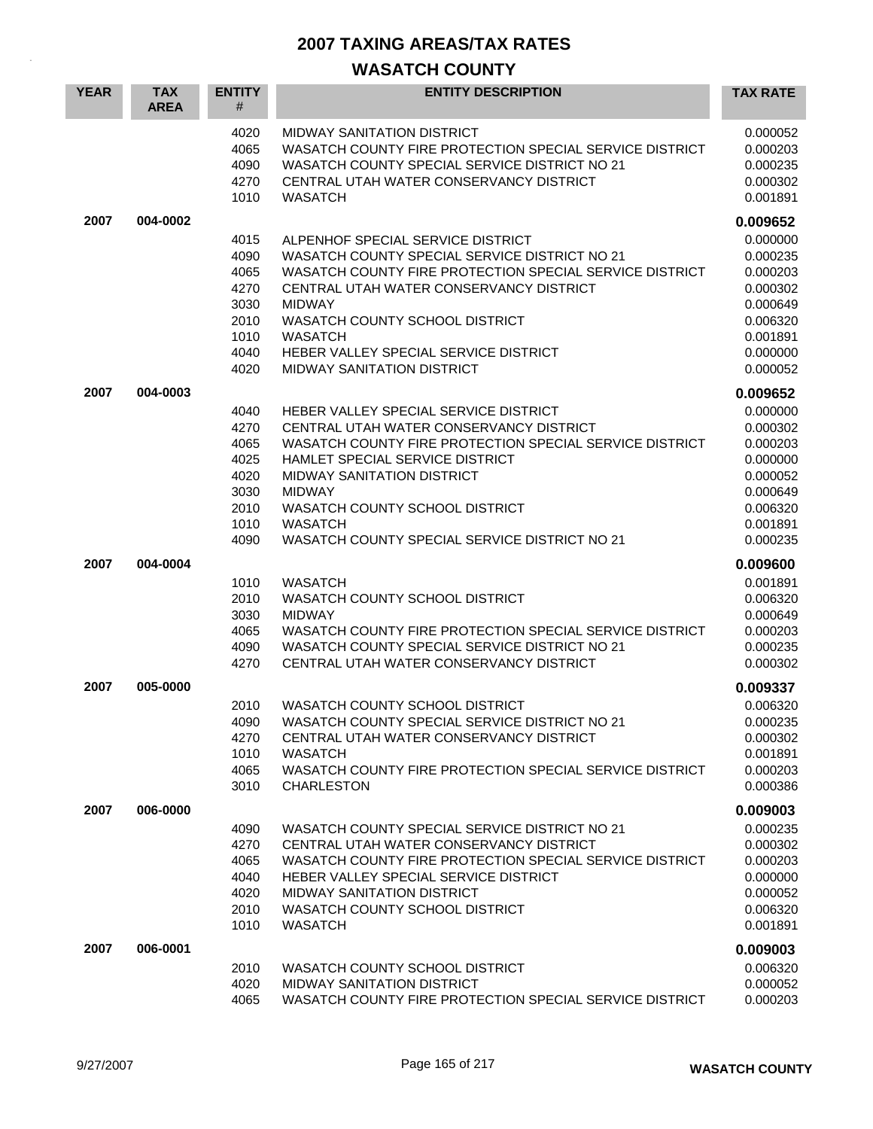| <b>YEAR</b> | <b>TAX</b><br><b>AREA</b> | <b>ENTITY</b><br>#                                                   | <b>ENTITY DESCRIPTION</b>                                                                                                                                                                                                                                                                                                                   | <b>TAX RATE</b>                                                                                          |
|-------------|---------------------------|----------------------------------------------------------------------|---------------------------------------------------------------------------------------------------------------------------------------------------------------------------------------------------------------------------------------------------------------------------------------------------------------------------------------------|----------------------------------------------------------------------------------------------------------|
|             |                           | 4020<br>4065<br>4090<br>4270<br>1010                                 | MIDWAY SANITATION DISTRICT<br>WASATCH COUNTY FIRE PROTECTION SPECIAL SERVICE DISTRICT<br>WASATCH COUNTY SPECIAL SERVICE DISTRICT NO 21<br>CENTRAL UTAH WATER CONSERVANCY DISTRICT<br><b>WASATCH</b>                                                                                                                                         | 0.000052<br>0.000203<br>0.000235<br>0.000302<br>0.001891                                                 |
| 2007        | 004-0002                  |                                                                      |                                                                                                                                                                                                                                                                                                                                             | 0.009652                                                                                                 |
|             |                           | 4015<br>4090<br>4065<br>4270<br>3030<br>2010<br>1010<br>4040<br>4020 | ALPENHOF SPECIAL SERVICE DISTRICT<br>WASATCH COUNTY SPECIAL SERVICE DISTRICT NO 21<br>WASATCH COUNTY FIRE PROTECTION SPECIAL SERVICE DISTRICT<br>CENTRAL UTAH WATER CONSERVANCY DISTRICT<br><b>MIDWAY</b><br>WASATCH COUNTY SCHOOL DISTRICT<br><b>WASATCH</b><br>HEBER VALLEY SPECIAL SERVICE DISTRICT<br><b>MIDWAY SANITATION DISTRICT</b> | 0.000000<br>0.000235<br>0.000203<br>0.000302<br>0.000649<br>0.006320<br>0.001891<br>0.000000<br>0.000052 |
| 2007        | 004-0003                  |                                                                      |                                                                                                                                                                                                                                                                                                                                             | 0.009652                                                                                                 |
|             |                           | 4040<br>4270<br>4065<br>4025<br>4020<br>3030<br>2010<br>1010<br>4090 | HEBER VALLEY SPECIAL SERVICE DISTRICT<br>CENTRAL UTAH WATER CONSERVANCY DISTRICT<br>WASATCH COUNTY FIRE PROTECTION SPECIAL SERVICE DISTRICT<br>HAMLET SPECIAL SERVICE DISTRICT<br><b>MIDWAY SANITATION DISTRICT</b><br><b>MIDWAY</b><br>WASATCH COUNTY SCHOOL DISTRICT<br><b>WASATCH</b><br>WASATCH COUNTY SPECIAL SERVICE DISTRICT NO 21   | 0.000000<br>0.000302<br>0.000203<br>0.000000<br>0.000052<br>0.000649<br>0.006320<br>0.001891<br>0.000235 |
| 2007        | 004-0004                  |                                                                      |                                                                                                                                                                                                                                                                                                                                             | 0.009600                                                                                                 |
|             |                           | 1010<br>2010<br>3030<br>4065<br>4090<br>4270                         | <b>WASATCH</b><br>WASATCH COUNTY SCHOOL DISTRICT<br><b>MIDWAY</b><br>WASATCH COUNTY FIRE PROTECTION SPECIAL SERVICE DISTRICT<br>WASATCH COUNTY SPECIAL SERVICE DISTRICT NO 21<br>CENTRAL UTAH WATER CONSERVANCY DISTRICT                                                                                                                    | 0.001891<br>0.006320<br>0.000649<br>0.000203<br>0.000235<br>0.000302                                     |
| 2007        | 005-0000                  |                                                                      |                                                                                                                                                                                                                                                                                                                                             | 0.009337                                                                                                 |
|             |                           | 2010<br>4090<br>4270<br>1010<br>4065<br>3010                         | WASATCH COUNTY SCHOOL DISTRICT<br>WASATCH COUNTY SPECIAL SERVICE DISTRICT NO 21<br>CENTRAL UTAH WATER CONSERVANCY DISTRICT<br><b>WASATCH</b><br>WASATCH COUNTY FIRE PROTECTION SPECIAL SERVICE DISTRICT<br><b>CHARLESTON</b>                                                                                                                | 0.006320<br>0.000235<br>0.000302<br>0.001891<br>0.000203<br>0.000386                                     |
| 2007        | 006-0000                  |                                                                      |                                                                                                                                                                                                                                                                                                                                             | 0.009003                                                                                                 |
|             |                           | 4090<br>4270<br>4065<br>4040<br>4020<br>2010<br>1010                 | WASATCH COUNTY SPECIAL SERVICE DISTRICT NO 21<br>CENTRAL UTAH WATER CONSERVANCY DISTRICT<br>WASATCH COUNTY FIRE PROTECTION SPECIAL SERVICE DISTRICT<br>HEBER VALLEY SPECIAL SERVICE DISTRICT<br><b>MIDWAY SANITATION DISTRICT</b><br>WASATCH COUNTY SCHOOL DISTRICT<br><b>WASATCH</b>                                                       | 0.000235<br>0.000302<br>0.000203<br>0.000000<br>0.000052<br>0.006320<br>0.001891                         |
| 2007        | 006-0001                  |                                                                      |                                                                                                                                                                                                                                                                                                                                             | 0.009003                                                                                                 |
|             |                           | 2010<br>4020<br>4065                                                 | WASATCH COUNTY SCHOOL DISTRICT<br><b>MIDWAY SANITATION DISTRICT</b><br>WASATCH COUNTY FIRE PROTECTION SPECIAL SERVICE DISTRICT                                                                                                                                                                                                              | 0.006320<br>0.000052<br>0.000203                                                                         |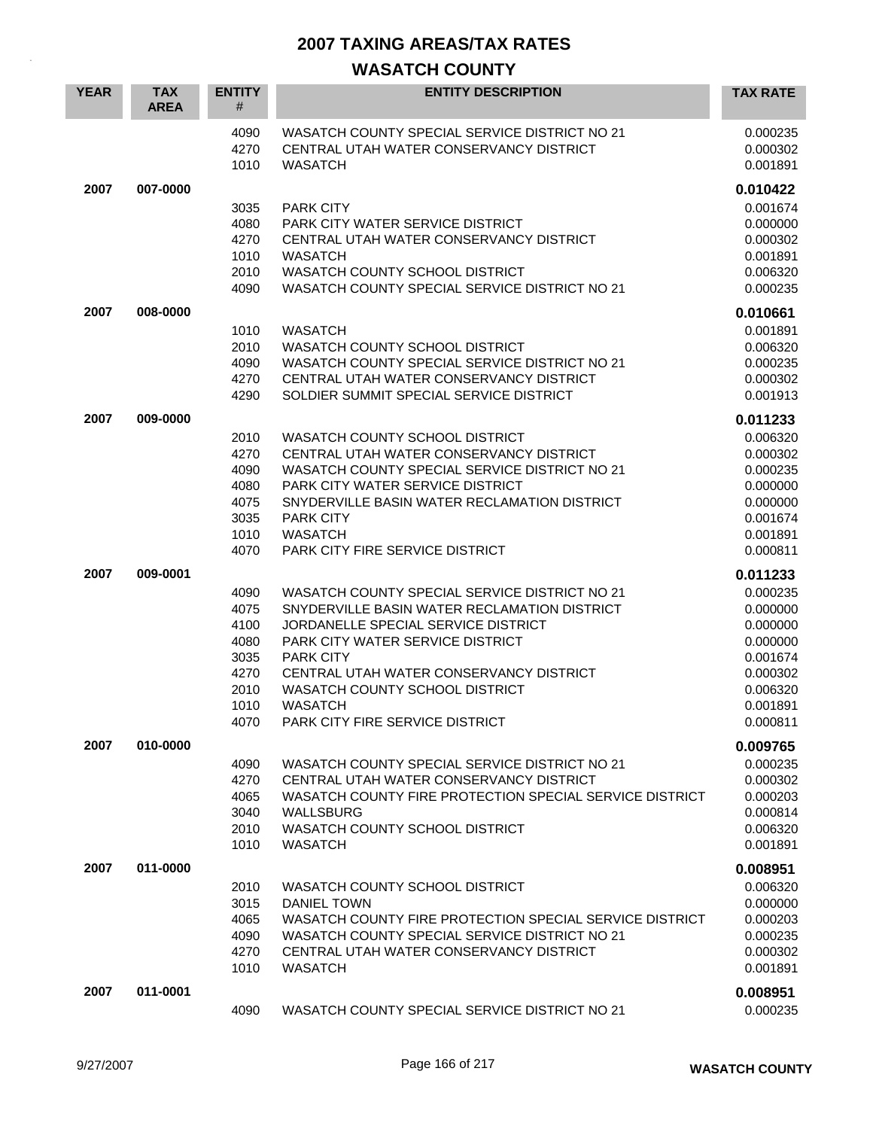| <b>YEAR</b> | <b>TAX</b><br><b>AREA</b> | <b>ENTITY</b><br>#   | <b>ENTITY DESCRIPTION</b>                                                                                  | <b>TAX RATE</b>                  |
|-------------|---------------------------|----------------------|------------------------------------------------------------------------------------------------------------|----------------------------------|
|             |                           | 4090<br>4270<br>1010 | WASATCH COUNTY SPECIAL SERVICE DISTRICT NO 21<br>CENTRAL UTAH WATER CONSERVANCY DISTRICT<br><b>WASATCH</b> | 0.000235<br>0.000302<br>0.001891 |
| 2007        | 007-0000                  |                      |                                                                                                            | 0.010422                         |
|             |                           | 3035                 | PARK CITY                                                                                                  | 0.001674                         |
|             |                           | 4080                 | <b>PARK CITY WATER SERVICE DISTRICT</b>                                                                    | 0.000000                         |
|             |                           | 4270                 | CENTRAL UTAH WATER CONSERVANCY DISTRICT                                                                    | 0.000302                         |
|             |                           | 1010                 | <b>WASATCH</b>                                                                                             | 0.001891                         |
|             |                           | 2010<br>4090         | WASATCH COUNTY SCHOOL DISTRICT<br>WASATCH COUNTY SPECIAL SERVICE DISTRICT NO 21                            | 0.006320                         |
|             |                           |                      |                                                                                                            | 0.000235                         |
| 2007        | 008-0000                  |                      |                                                                                                            | 0.010661                         |
|             |                           | 1010                 | <b>WASATCH</b>                                                                                             | 0.001891                         |
|             |                           | 2010<br>4090         | WASATCH COUNTY SCHOOL DISTRICT<br>WASATCH COUNTY SPECIAL SERVICE DISTRICT NO 21                            | 0.006320                         |
|             |                           | 4270                 | CENTRAL UTAH WATER CONSERVANCY DISTRICT                                                                    | 0.000235<br>0.000302             |
|             |                           | 4290                 | SOLDIER SUMMIT SPECIAL SERVICE DISTRICT                                                                    | 0.001913                         |
| 2007        | 009-0000                  |                      |                                                                                                            |                                  |
|             |                           |                      |                                                                                                            | 0.011233                         |
|             |                           | 2010<br>4270         | WASATCH COUNTY SCHOOL DISTRICT<br>CENTRAL UTAH WATER CONSERVANCY DISTRICT                                  | 0.006320<br>0.000302             |
|             |                           | 4090                 | WASATCH COUNTY SPECIAL SERVICE DISTRICT NO 21                                                              | 0.000235                         |
|             |                           | 4080                 | PARK CITY WATER SERVICE DISTRICT                                                                           | 0.000000                         |
|             |                           | 4075                 | SNYDERVILLE BASIN WATER RECLAMATION DISTRICT                                                               | 0.000000                         |
|             |                           | 3035                 | PARK CITY                                                                                                  | 0.001674                         |
|             |                           | 1010                 | <b>WASATCH</b>                                                                                             | 0.001891                         |
|             |                           | 4070                 | PARK CITY FIRE SERVICE DISTRICT                                                                            | 0.000811                         |
| 2007        | 009-0001                  |                      |                                                                                                            | 0.011233                         |
|             |                           | 4090                 | WASATCH COUNTY SPECIAL SERVICE DISTRICT NO 21                                                              | 0.000235                         |
|             |                           | 4075                 | SNYDERVILLE BASIN WATER RECLAMATION DISTRICT                                                               | 0.000000                         |
|             |                           | 4100<br>4080         | JORDANELLE SPECIAL SERVICE DISTRICT<br>PARK CITY WATER SERVICE DISTRICT                                    | 0.000000<br>0.000000             |
|             |                           | 3035                 | PARK CITY                                                                                                  | 0.001674                         |
|             |                           | 4270                 | CENTRAL UTAH WATER CONSERVANCY DISTRICT                                                                    | 0.000302                         |
|             |                           | 2010                 | WASATCH COUNTY SCHOOL DISTRICT                                                                             | 0.006320                         |
|             |                           | 1010                 | <b>WASATCH</b>                                                                                             | 0.001891                         |
|             |                           | 4070                 | PARK CITY FIRE SERVICE DISTRICT                                                                            | 0.000811                         |
| 2007        | 010-0000                  |                      |                                                                                                            | 0.009765                         |
|             |                           | 4090                 | WASATCH COUNTY SPECIAL SERVICE DISTRICT NO 21                                                              | 0.000235                         |
|             |                           | 4270                 | CENTRAL UTAH WATER CONSERVANCY DISTRICT                                                                    | 0.000302                         |
|             |                           | 4065                 | WASATCH COUNTY FIRE PROTECTION SPECIAL SERVICE DISTRICT                                                    | 0.000203                         |
|             |                           | 3040                 | <b>WALLSBURG</b>                                                                                           | 0.000814                         |
|             |                           | 2010                 | WASATCH COUNTY SCHOOL DISTRICT                                                                             | 0.006320                         |
|             |                           | 1010                 | <b>WASATCH</b>                                                                                             | 0.001891                         |
| 2007        | 011-0000                  |                      |                                                                                                            | 0.008951                         |
|             |                           | 2010                 | WASATCH COUNTY SCHOOL DISTRICT                                                                             | 0.006320                         |
|             |                           | 3015                 | <b>DANIEL TOWN</b>                                                                                         | 0.000000                         |
|             |                           | 4065<br>4090         | WASATCH COUNTY FIRE PROTECTION SPECIAL SERVICE DISTRICT<br>WASATCH COUNTY SPECIAL SERVICE DISTRICT NO 21   | 0.000203<br>0.000235             |
|             |                           | 4270                 | CENTRAL UTAH WATER CONSERVANCY DISTRICT                                                                    | 0.000302                         |
|             |                           | 1010                 | <b>WASATCH</b>                                                                                             | 0.001891                         |
| 2007        | 011-0001                  |                      |                                                                                                            | 0.008951                         |
|             |                           | 4090                 | WASATCH COUNTY SPECIAL SERVICE DISTRICT NO 21                                                              | 0.000235                         |
|             |                           |                      |                                                                                                            |                                  |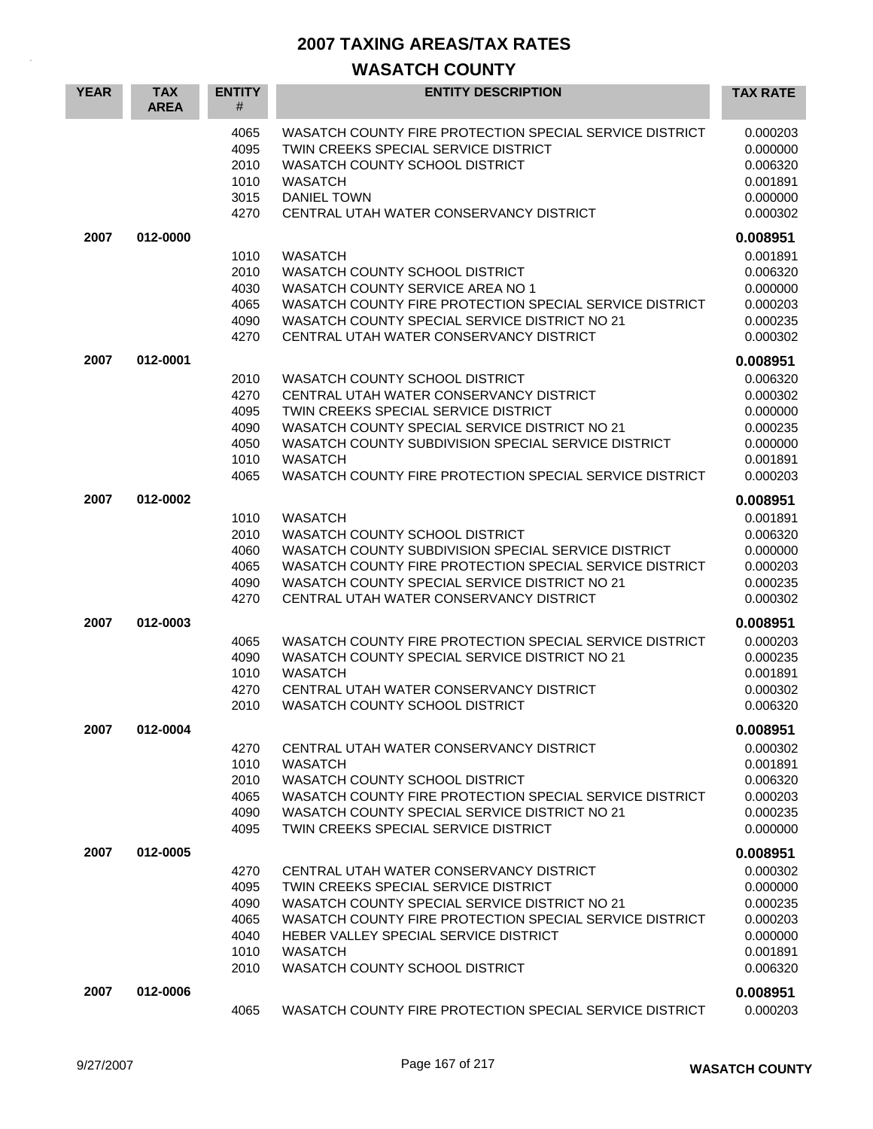| <b>YEAR</b> | <b>TAX</b><br><b>AREA</b> | <b>ENTITY</b><br>#                                   | <b>ENTITY DESCRIPTION</b>                                                                                                                                                                                                                                                                              | <b>TAX RATE</b>                                                                  |
|-------------|---------------------------|------------------------------------------------------|--------------------------------------------------------------------------------------------------------------------------------------------------------------------------------------------------------------------------------------------------------------------------------------------------------|----------------------------------------------------------------------------------|
|             |                           | 4065<br>4095<br>2010<br>1010<br>3015<br>4270         | WASATCH COUNTY FIRE PROTECTION SPECIAL SERVICE DISTRICT<br>TWIN CREEKS SPECIAL SERVICE DISTRICT<br>WASATCH COUNTY SCHOOL DISTRICT<br><b>WASATCH</b><br><b>DANIEL TOWN</b><br>CENTRAL UTAH WATER CONSERVANCY DISTRICT                                                                                   | 0.000203<br>0.000000<br>0.006320<br>0.001891<br>0.000000<br>0.000302             |
| 2007        | 012-0000                  |                                                      |                                                                                                                                                                                                                                                                                                        | 0.008951                                                                         |
|             |                           | 1010<br>2010<br>4030<br>4065<br>4090<br>4270         | <b>WASATCH</b><br>WASATCH COUNTY SCHOOL DISTRICT<br>WASATCH COUNTY SERVICE AREA NO 1<br>WASATCH COUNTY FIRE PROTECTION SPECIAL SERVICE DISTRICT<br>WASATCH COUNTY SPECIAL SERVICE DISTRICT NO 21<br>CENTRAL UTAH WATER CONSERVANCY DISTRICT                                                            | 0.001891<br>0.006320<br>0.000000<br>0.000203<br>0.000235<br>0.000302             |
| 2007        | 012-0001                  |                                                      |                                                                                                                                                                                                                                                                                                        | 0.008951                                                                         |
|             |                           | 2010<br>4270<br>4095<br>4090<br>4050<br>1010<br>4065 | WASATCH COUNTY SCHOOL DISTRICT<br>CENTRAL UTAH WATER CONSERVANCY DISTRICT<br>TWIN CREEKS SPECIAL SERVICE DISTRICT<br>WASATCH COUNTY SPECIAL SERVICE DISTRICT NO 21<br>WASATCH COUNTY SUBDIVISION SPECIAL SERVICE DISTRICT<br><b>WASATCH</b><br>WASATCH COUNTY FIRE PROTECTION SPECIAL SERVICE DISTRICT | 0.006320<br>0.000302<br>0.000000<br>0.000235<br>0.000000<br>0.001891<br>0.000203 |
| 2007        | 012-0002                  |                                                      |                                                                                                                                                                                                                                                                                                        | 0.008951                                                                         |
|             |                           | 1010<br>2010<br>4060<br>4065<br>4090<br>4270         | <b>WASATCH</b><br>WASATCH COUNTY SCHOOL DISTRICT<br>WASATCH COUNTY SUBDIVISION SPECIAL SERVICE DISTRICT<br>WASATCH COUNTY FIRE PROTECTION SPECIAL SERVICE DISTRICT<br>WASATCH COUNTY SPECIAL SERVICE DISTRICT NO 21<br>CENTRAL UTAH WATER CONSERVANCY DISTRICT                                         | 0.001891<br>0.006320<br>0.000000<br>0.000203<br>0.000235<br>0.000302             |
| 2007        | 012-0003                  |                                                      |                                                                                                                                                                                                                                                                                                        | 0.008951                                                                         |
|             |                           | 4065<br>4090<br>1010<br>4270<br>2010                 | WASATCH COUNTY FIRE PROTECTION SPECIAL SERVICE DISTRICT<br>WASATCH COUNTY SPECIAL SERVICE DISTRICT NO 21<br><b>WASATCH</b><br>CENTRAL UTAH WATER CONSERVANCY DISTRICT<br>WASATCH COUNTY SCHOOL DISTRICT                                                                                                | 0.000203<br>0.000235<br>0.001891<br>0.000302<br>0.006320                         |
| 2007        | 012-0004                  |                                                      |                                                                                                                                                                                                                                                                                                        | 0.008951                                                                         |
|             |                           | 4270<br>1010<br>2010<br>4065<br>4090<br>4095         | CENTRAL UTAH WATER CONSERVANCY DISTRICT<br><b>WASATCH</b><br>WASATCH COUNTY SCHOOL DISTRICT<br>WASATCH COUNTY FIRE PROTECTION SPECIAL SERVICE DISTRICT<br>WASATCH COUNTY SPECIAL SERVICE DISTRICT NO 21<br>TWIN CREEKS SPECIAL SERVICE DISTRICT                                                        | 0.000302<br>0.001891<br>0.006320<br>0.000203<br>0.000235<br>0.000000             |
| 2007        | 012-0005                  |                                                      |                                                                                                                                                                                                                                                                                                        | 0.008951                                                                         |
|             |                           | 4270<br>4095<br>4090<br>4065<br>4040<br>1010<br>2010 | CENTRAL UTAH WATER CONSERVANCY DISTRICT<br>TWIN CREEKS SPECIAL SERVICE DISTRICT<br>WASATCH COUNTY SPECIAL SERVICE DISTRICT NO 21<br>WASATCH COUNTY FIRE PROTECTION SPECIAL SERVICE DISTRICT<br>HEBER VALLEY SPECIAL SERVICE DISTRICT<br><b>WASATCH</b><br>WASATCH COUNTY SCHOOL DISTRICT               | 0.000302<br>0.000000<br>0.000235<br>0.000203<br>0.000000<br>0.001891<br>0.006320 |
| 2007        | 012-0006                  | 4065                                                 | WASATCH COUNTY FIRE PROTECTION SPECIAL SERVICE DISTRICT                                                                                                                                                                                                                                                | 0.008951<br>0.000203                                                             |
|             |                           |                                                      |                                                                                                                                                                                                                                                                                                        |                                                                                  |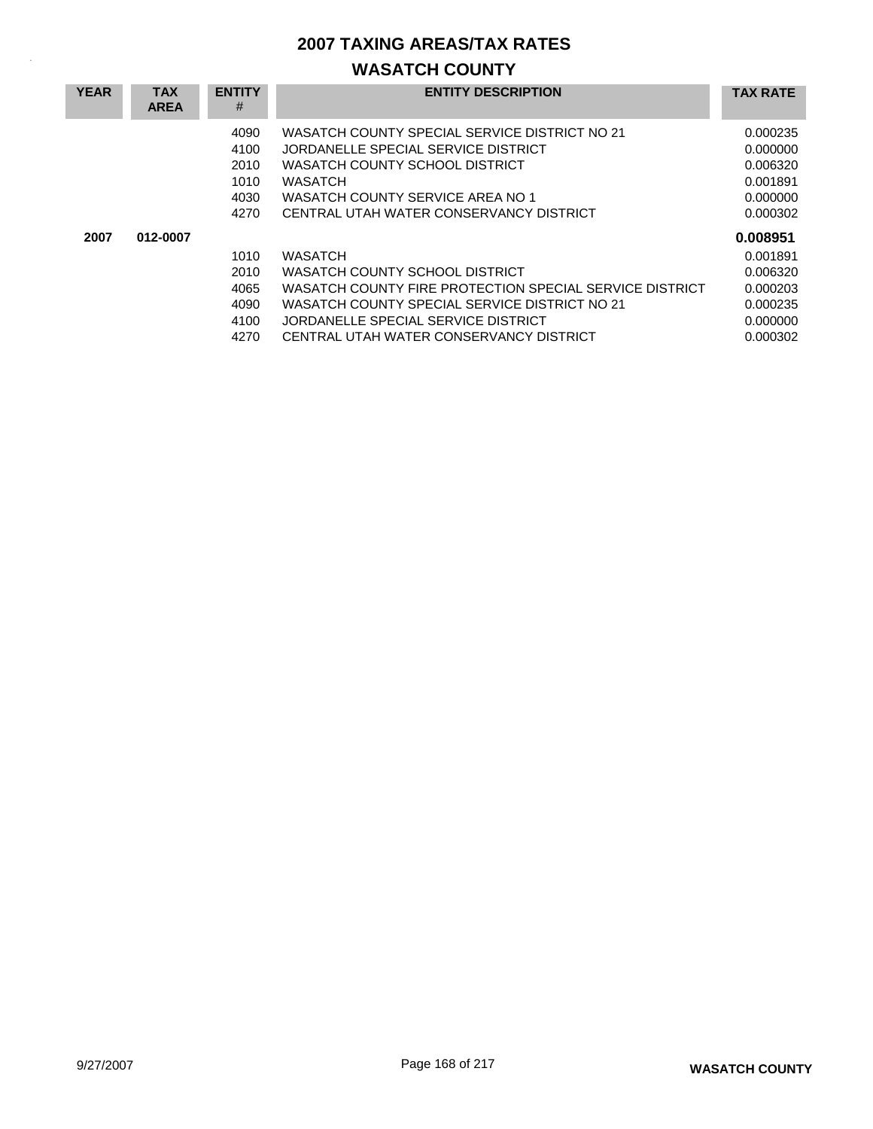| <b>YEAR</b> | <b>TAX</b><br><b>AREA</b> | <b>ENTITY</b><br>#                           | <b>ENTITY DESCRIPTION</b>                                                                                                                                                                                                                      | <b>TAX RATE</b>                                                                  |
|-------------|---------------------------|----------------------------------------------|------------------------------------------------------------------------------------------------------------------------------------------------------------------------------------------------------------------------------------------------|----------------------------------------------------------------------------------|
|             |                           | 4090<br>4100<br>2010<br>1010<br>4030<br>4270 | WASATCH COUNTY SPECIAL SERVICE DISTRICT NO 21<br>JORDANELLE SPECIAL SERVICE DISTRICT<br>WASATCH COUNTY SCHOOL DISTRICT<br>WASATCH<br>WASATCH COUNTY SERVICE AREA NO 1<br>CENTRAL UTAH WATER CONSERVANCY DISTRICT                               | 0.000235<br>0.000000<br>0.006320<br>0.001891<br>0.000000<br>0.000302             |
| 2007        | 012-0007                  | 1010<br>2010<br>4065<br>4090<br>4100<br>4270 | <b>WASATCH</b><br>WASATCH COUNTY SCHOOL DISTRICT<br>WASATCH COUNTY FIRE PROTECTION SPECIAL SERVICE DISTRICT<br>WASATCH COUNTY SPECIAL SERVICE DISTRICT NO 21<br>JORDANELLE SPECIAL SERVICE DISTRICT<br>CENTRAL UTAH WATER CONSERVANCY DISTRICT | 0.008951<br>0.001891<br>0.006320<br>0.000203<br>0.000235<br>0.000000<br>0.000302 |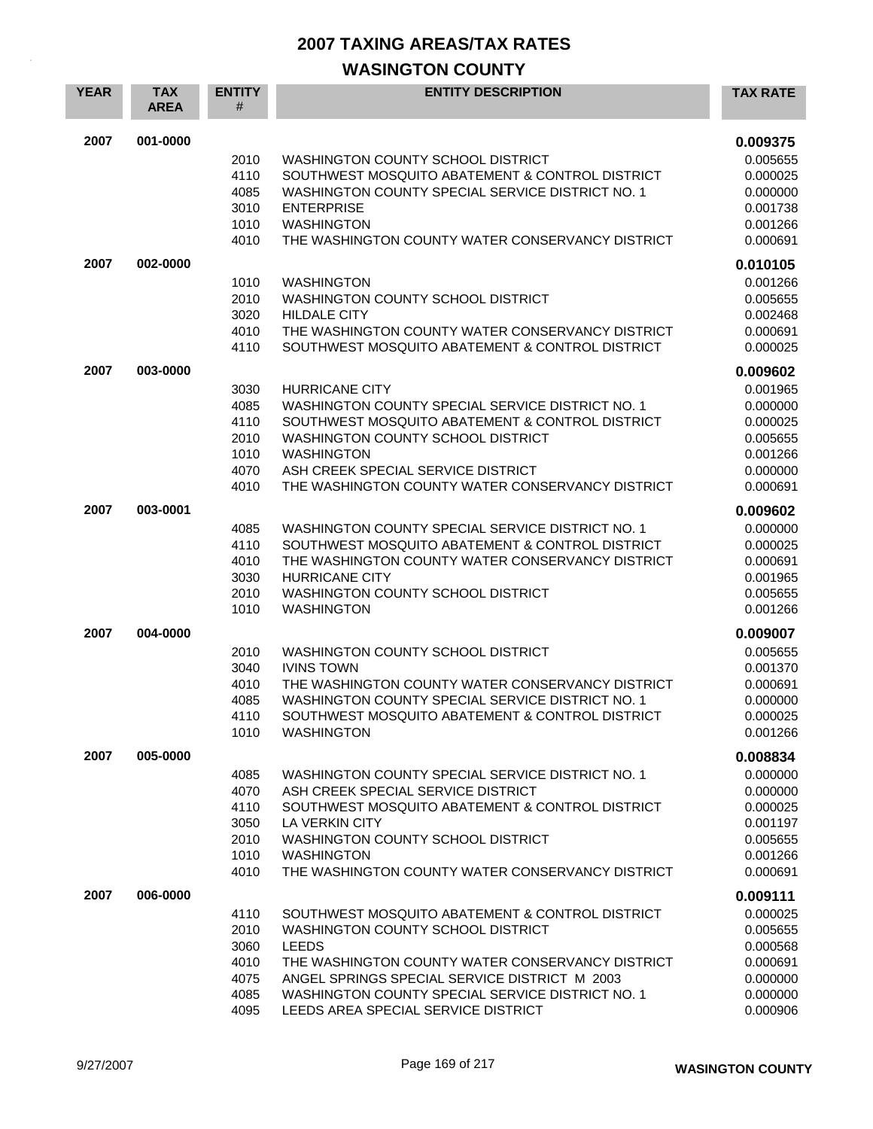| <b>YEAR</b> | <b>TAX</b><br><b>AREA</b> | <b>ENTITY</b><br>#                                   | <b>ENTITY DESCRIPTION</b>                                                                                                                                                                                                                                                                            | <b>TAX RATE</b>                                                                              |
|-------------|---------------------------|------------------------------------------------------|------------------------------------------------------------------------------------------------------------------------------------------------------------------------------------------------------------------------------------------------------------------------------------------------------|----------------------------------------------------------------------------------------------|
| 2007        | 001-0000                  | 2010<br>4110<br>4085<br>3010<br>1010<br>4010         | WASHINGTON COUNTY SCHOOL DISTRICT<br>SOUTHWEST MOSQUITO ABATEMENT & CONTROL DISTRICT<br>WASHINGTON COUNTY SPECIAL SERVICE DISTRICT NO. 1<br><b>ENTERPRISE</b><br><b>WASHINGTON</b><br>THE WASHINGTON COUNTY WATER CONSERVANCY DISTRICT                                                               | 0.009375<br>0.005655<br>0.000025<br>0.000000<br>0.001738<br>0.001266<br>0.000691             |
| 2007        | 002-0000                  | 1010<br>2010<br>3020<br>4010<br>4110                 | <b>WASHINGTON</b><br>WASHINGTON COUNTY SCHOOL DISTRICT<br><b>HILDALE CITY</b><br>THE WASHINGTON COUNTY WATER CONSERVANCY DISTRICT<br>SOUTHWEST MOSQUITO ABATEMENT & CONTROL DISTRICT                                                                                                                 | 0.010105<br>0.001266<br>0.005655<br>0.002468<br>0.000691<br>0.000025                         |
| 2007        | 003-0000                  | 3030<br>4085<br>4110<br>2010<br>1010<br>4070<br>4010 | <b>HURRICANE CITY</b><br>WASHINGTON COUNTY SPECIAL SERVICE DISTRICT NO. 1<br>SOUTHWEST MOSQUITO ABATEMENT & CONTROL DISTRICT<br>WASHINGTON COUNTY SCHOOL DISTRICT<br><b>WASHINGTON</b><br>ASH CREEK SPECIAL SERVICE DISTRICT<br>THE WASHINGTON COUNTY WATER CONSERVANCY DISTRICT                     | 0.009602<br>0.001965<br>0.000000<br>0.000025<br>0.005655<br>0.001266<br>0.000000<br>0.000691 |
| 2007        | 003-0001                  | 4085<br>4110<br>4010<br>3030<br>2010<br>1010         | WASHINGTON COUNTY SPECIAL SERVICE DISTRICT NO. 1<br>SOUTHWEST MOSQUITO ABATEMENT & CONTROL DISTRICT<br>THE WASHINGTON COUNTY WATER CONSERVANCY DISTRICT<br><b>HURRICANE CITY</b><br><b>WASHINGTON COUNTY SCHOOL DISTRICT</b><br><b>WASHINGTON</b>                                                    | 0.009602<br>0.000000<br>0.000025<br>0.000691<br>0.001965<br>0.005655<br>0.001266             |
| 2007        | 004-0000                  | 2010<br>3040<br>4010<br>4085<br>4110<br>1010         | WASHINGTON COUNTY SCHOOL DISTRICT<br><b>IVINS TOWN</b><br>THE WASHINGTON COUNTY WATER CONSERVANCY DISTRICT<br>WASHINGTON COUNTY SPECIAL SERVICE DISTRICT NO. 1<br>SOUTHWEST MOSQUITO ABATEMENT & CONTROL DISTRICT<br><b>WASHINGTON</b>                                                               | 0.009007<br>0.005655<br>0.001370<br>0.000691<br>0.000000<br>0.000025<br>0.001266             |
| 2007        | 005-0000                  | 4085<br>4070<br>4110<br>3050<br>2010<br>1010<br>4010 | WASHINGTON COUNTY SPECIAL SERVICE DISTRICT NO. 1<br>ASH CREEK SPECIAL SERVICE DISTRICT<br>SOUTHWEST MOSQUITO ABATEMENT & CONTROL DISTRICT<br>LA VERKIN CITY<br>WASHINGTON COUNTY SCHOOL DISTRICT<br><b>WASHINGTON</b><br>THE WASHINGTON COUNTY WATER CONSERVANCY DISTRICT                            | 0.008834<br>0.000000<br>0.000000<br>0.000025<br>0.001197<br>0.005655<br>0.001266<br>0.000691 |
| 2007        | 006-0000                  | 4110<br>2010<br>3060<br>4010<br>4075<br>4085<br>4095 | SOUTHWEST MOSQUITO ABATEMENT & CONTROL DISTRICT<br>WASHINGTON COUNTY SCHOOL DISTRICT<br><b>LEEDS</b><br>THE WASHINGTON COUNTY WATER CONSERVANCY DISTRICT<br>ANGEL SPRINGS SPECIAL SERVICE DISTRICT M 2003<br>WASHINGTON COUNTY SPECIAL SERVICE DISTRICT NO. 1<br>LEEDS AREA SPECIAL SERVICE DISTRICT | 0.009111<br>0.000025<br>0.005655<br>0.000568<br>0.000691<br>0.000000<br>0.000000<br>0.000906 |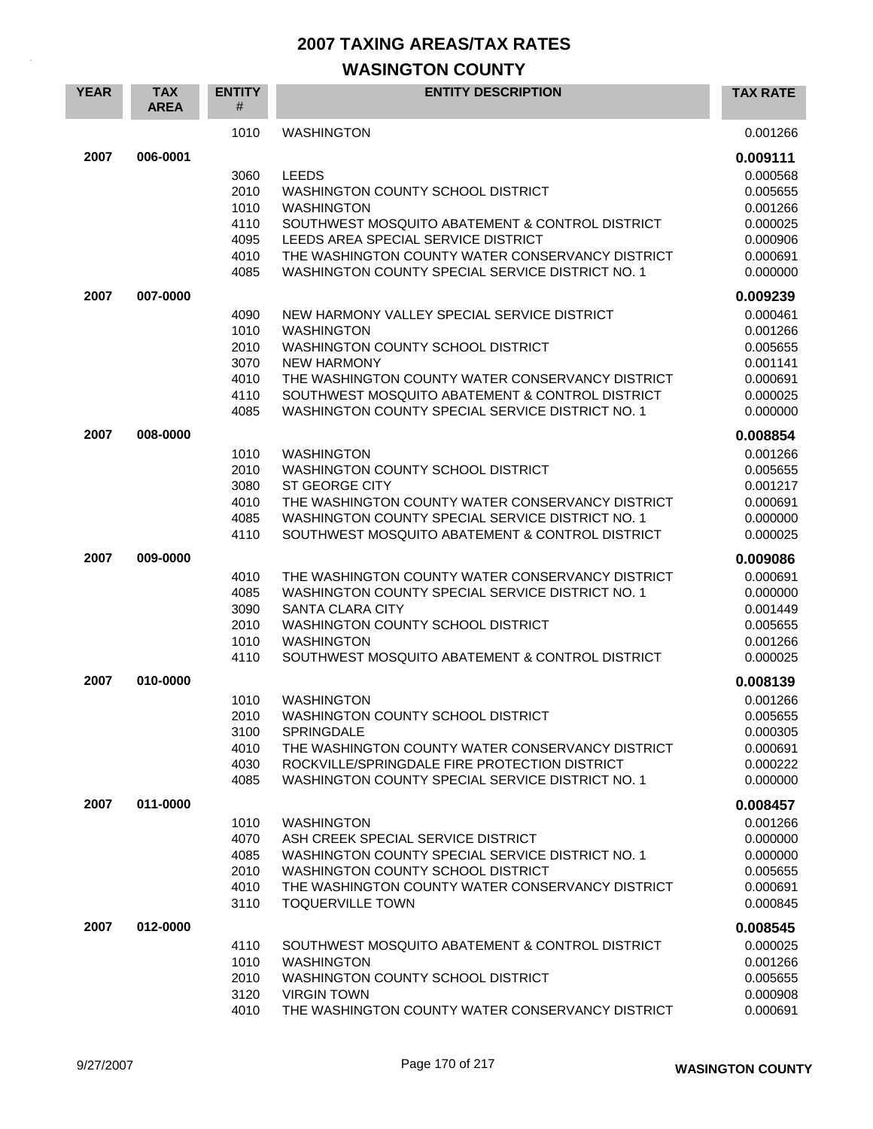| <b>YEAR</b> | <b>TAX</b><br><b>AREA</b> | <b>ENTITY</b><br># | <b>ENTITY DESCRIPTION</b>                                                               | <b>TAX RATE</b>      |
|-------------|---------------------------|--------------------|-----------------------------------------------------------------------------------------|----------------------|
|             |                           | 1010               | <b>WASHINGTON</b>                                                                       | 0.001266             |
| 2007        | 006-0001                  |                    |                                                                                         | 0.009111             |
|             |                           | 3060               | <b>LEEDS</b>                                                                            | 0.000568             |
|             |                           | 2010               | WASHINGTON COUNTY SCHOOL DISTRICT                                                       | 0.005655             |
|             |                           | 1010               | <b>WASHINGTON</b>                                                                       | 0.001266             |
|             |                           | 4110               | SOUTHWEST MOSQUITO ABATEMENT & CONTROL DISTRICT                                         | 0.000025             |
|             |                           | 4095<br>4010       | LEEDS AREA SPECIAL SERVICE DISTRICT<br>THE WASHINGTON COUNTY WATER CONSERVANCY DISTRICT | 0.000906<br>0.000691 |
|             |                           | 4085               | WASHINGTON COUNTY SPECIAL SERVICE DISTRICT NO. 1                                        | 0.000000             |
|             |                           |                    |                                                                                         |                      |
| 2007        | 007-0000                  |                    |                                                                                         | 0.009239             |
|             |                           | 4090               | NEW HARMONY VALLEY SPECIAL SERVICE DISTRICT                                             | 0.000461             |
|             |                           | 1010               | <b>WASHINGTON</b>                                                                       | 0.001266             |
|             |                           | 2010<br>3070       | WASHINGTON COUNTY SCHOOL DISTRICT<br><b>NEW HARMONY</b>                                 | 0.005655<br>0.001141 |
|             |                           | 4010               | THE WASHINGTON COUNTY WATER CONSERVANCY DISTRICT                                        | 0.000691             |
|             |                           | 4110               | SOUTHWEST MOSQUITO ABATEMENT & CONTROL DISTRICT                                         | 0.000025             |
|             |                           | 4085               | WASHINGTON COUNTY SPECIAL SERVICE DISTRICT NO. 1                                        | 0.000000             |
|             |                           |                    |                                                                                         |                      |
| 2007        | 008-0000                  |                    |                                                                                         | 0.008854             |
|             |                           | 1010<br>2010       | <b>WASHINGTON</b><br>WASHINGTON COUNTY SCHOOL DISTRICT                                  | 0.001266<br>0.005655 |
|             |                           | 3080               | <b>ST GEORGE CITY</b>                                                                   | 0.001217             |
|             |                           | 4010               | THE WASHINGTON COUNTY WATER CONSERVANCY DISTRICT                                        | 0.000691             |
|             |                           | 4085               | WASHINGTON COUNTY SPECIAL SERVICE DISTRICT NO. 1                                        | 0.000000             |
|             |                           | 4110               | SOUTHWEST MOSQUITO ABATEMENT & CONTROL DISTRICT                                         | 0.000025             |
| 2007        | 009-0000                  |                    |                                                                                         | 0.009086             |
|             |                           | 4010               | THE WASHINGTON COUNTY WATER CONSERVANCY DISTRICT                                        | 0.000691             |
|             |                           | 4085               | WASHINGTON COUNTY SPECIAL SERVICE DISTRICT NO. 1                                        | 0.000000             |
|             |                           | 3090               | <b>SANTA CLARA CITY</b>                                                                 | 0.001449             |
|             |                           | 2010               | WASHINGTON COUNTY SCHOOL DISTRICT                                                       | 0.005655             |
|             |                           | 1010               | <b>WASHINGTON</b>                                                                       | 0.001266             |
|             |                           | 4110               | SOUTHWEST MOSQUITO ABATEMENT & CONTROL DISTRICT                                         | 0.000025             |
| 2007        | 010-0000                  |                    |                                                                                         | 0.008139             |
|             |                           | 1010               | <b>WASHINGTON</b>                                                                       | 0.001266             |
|             |                           | 2010               | WASHINGTON COUNTY SCHOOL DISTRICT                                                       | 0.005655             |
|             |                           | 3100               | <b>SPRINGDALE</b>                                                                       | 0.000305             |
|             |                           | 4010               | THE WASHINGTON COUNTY WATER CONSERVANCY DISTRICT                                        | 0.000691             |
|             |                           | 4030               | ROCKVILLE/SPRINGDALE FIRE PROTECTION DISTRICT                                           | 0.000222             |
|             |                           | 4085               | WASHINGTON COUNTY SPECIAL SERVICE DISTRICT NO. 1                                        | 0.000000             |
| 2007        | 011-0000                  |                    |                                                                                         | 0.008457             |
|             |                           | 1010               | <b>WASHINGTON</b>                                                                       | 0.001266             |
|             |                           | 4070               | ASH CREEK SPECIAL SERVICE DISTRICT                                                      | 0.000000             |
|             |                           | 4085               | WASHINGTON COUNTY SPECIAL SERVICE DISTRICT NO. 1                                        | 0.000000             |
|             |                           | 2010               | WASHINGTON COUNTY SCHOOL DISTRICT                                                       | 0.005655             |
|             |                           | 4010               | THE WASHINGTON COUNTY WATER CONSERVANCY DISTRICT                                        | 0.000691             |
|             |                           | 3110               | <b>TOQUERVILLE TOWN</b>                                                                 | 0.000845             |
| 2007        | 012-0000                  |                    |                                                                                         | 0.008545             |
|             |                           | 4110               | SOUTHWEST MOSQUITO ABATEMENT & CONTROL DISTRICT                                         | 0.000025             |
|             |                           | 1010               | <b>WASHINGTON</b>                                                                       | 0.001266             |
|             |                           | 2010               | WASHINGTON COUNTY SCHOOL DISTRICT                                                       | 0.005655             |
|             |                           | 3120<br>4010       | <b>VIRGIN TOWN</b><br>THE WASHINGTON COUNTY WATER CONSERVANCY DISTRICT                  | 0.000908<br>0.000691 |
|             |                           |                    |                                                                                         |                      |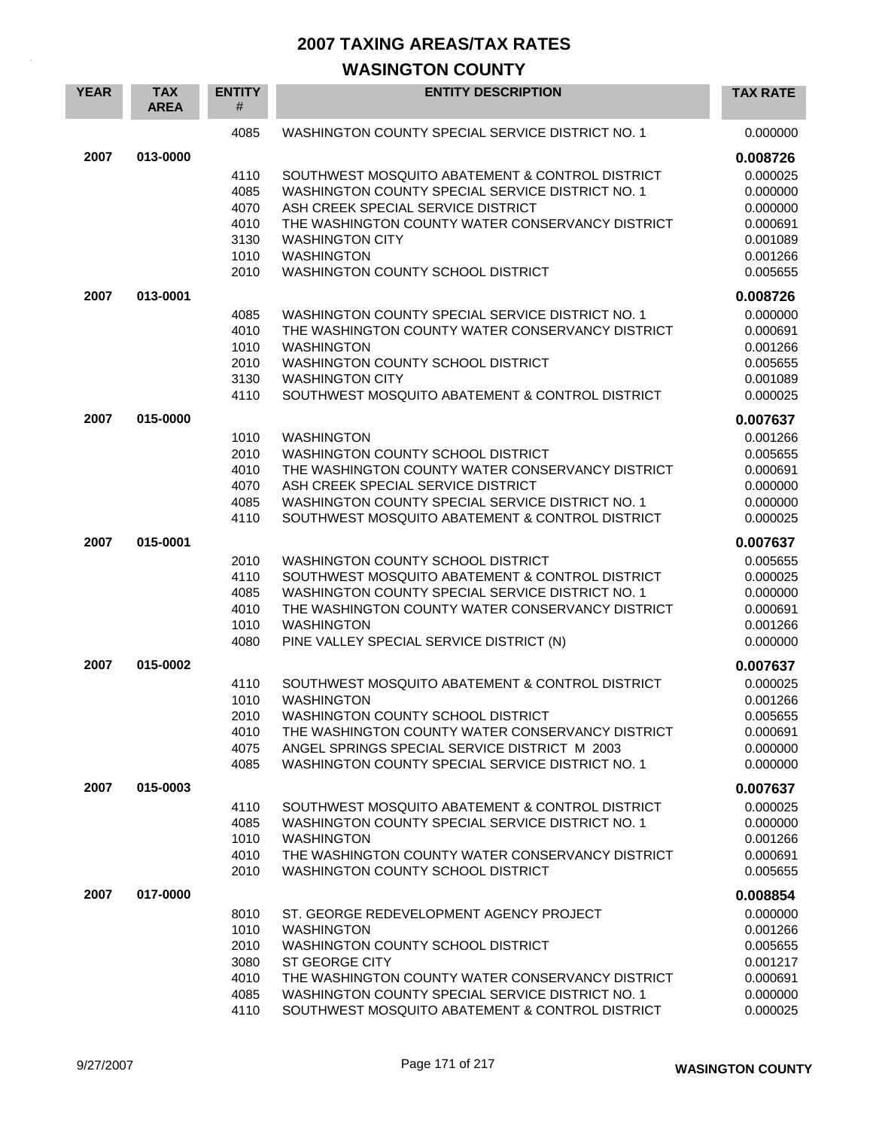| <b>YEAR</b> | <b>TAX</b><br><b>AREA</b> | <b>ENTITY</b><br>#                                   | <b>ENTITY DESCRIPTION</b>                                                                                                                                                                                                                                                             | <b>TAX RATE</b>                                                                              |
|-------------|---------------------------|------------------------------------------------------|---------------------------------------------------------------------------------------------------------------------------------------------------------------------------------------------------------------------------------------------------------------------------------------|----------------------------------------------------------------------------------------------|
|             |                           | 4085                                                 | WASHINGTON COUNTY SPECIAL SERVICE DISTRICT NO. 1                                                                                                                                                                                                                                      | 0.000000                                                                                     |
| 2007        | 013-0000                  | 4110<br>4085<br>4070<br>4010<br>3130<br>1010<br>2010 | SOUTHWEST MOSQUITO ABATEMENT & CONTROL DISTRICT<br>WASHINGTON COUNTY SPECIAL SERVICE DISTRICT NO. 1<br>ASH CREEK SPECIAL SERVICE DISTRICT<br>THE WASHINGTON COUNTY WATER CONSERVANCY DISTRICT<br><b>WASHINGTON CITY</b><br><b>WASHINGTON</b><br>WASHINGTON COUNTY SCHOOL DISTRICT     | 0.008726<br>0.000025<br>0.000000<br>0.000000<br>0.000691<br>0.001089<br>0.001266<br>0.005655 |
| 2007        | 013-0001                  |                                                      |                                                                                                                                                                                                                                                                                       | 0.008726                                                                                     |
|             |                           | 4085<br>4010<br>1010<br>2010<br>3130<br>4110         | WASHINGTON COUNTY SPECIAL SERVICE DISTRICT NO. 1<br>THE WASHINGTON COUNTY WATER CONSERVANCY DISTRICT<br><b>WASHINGTON</b><br>WASHINGTON COUNTY SCHOOL DISTRICT<br><b>WASHINGTON CITY</b><br>SOUTHWEST MOSQUITO ABATEMENT & CONTROL DISTRICT                                           | 0.000000<br>0.000691<br>0.001266<br>0.005655<br>0.001089<br>0.000025                         |
| 2007        | 015-0000                  |                                                      |                                                                                                                                                                                                                                                                                       | 0.007637                                                                                     |
|             |                           | 1010<br>2010<br>4010<br>4070<br>4085<br>4110         | <b>WASHINGTON</b><br>WASHINGTON COUNTY SCHOOL DISTRICT<br>THE WASHINGTON COUNTY WATER CONSERVANCY DISTRICT<br>ASH CREEK SPECIAL SERVICE DISTRICT<br>WASHINGTON COUNTY SPECIAL SERVICE DISTRICT NO. 1<br>SOUTHWEST MOSQUITO ABATEMENT & CONTROL DISTRICT                               | 0.001266<br>0.005655<br>0.000691<br>0.000000<br>0.000000<br>0.000025                         |
| 2007        | 015-0001                  |                                                      |                                                                                                                                                                                                                                                                                       | 0.007637                                                                                     |
|             |                           | 2010<br>4110<br>4085<br>4010<br>1010<br>4080         | WASHINGTON COUNTY SCHOOL DISTRICT<br>SOUTHWEST MOSQUITO ABATEMENT & CONTROL DISTRICT<br>WASHINGTON COUNTY SPECIAL SERVICE DISTRICT NO. 1<br>THE WASHINGTON COUNTY WATER CONSERVANCY DISTRICT<br><b>WASHINGTON</b><br>PINE VALLEY SPECIAL SERVICE DISTRICT (N)                         | 0.005655<br>0.000025<br>0.000000<br>0.000691<br>0.001266<br>0.000000                         |
| 2007        | 015-0002                  |                                                      |                                                                                                                                                                                                                                                                                       | 0.007637                                                                                     |
|             |                           | 4110<br>1010<br>2010<br>4010<br>4075<br>4085         | SOUTHWEST MOSQUITO ABATEMENT & CONTROL DISTRICT<br><b>WASHINGTON</b><br>WASHINGTON COUNTY SCHOOL DISTRICT<br>THE WASHINGTON COUNTY WATER CONSERVANCY DISTRICT<br>ANGEL SPRINGS SPECIAL SERVICE DISTRICT M 2003<br>WASHINGTON COUNTY SPECIAL SERVICE DISTRICT NO. 1                    | 0.000025<br>0.001266<br>0.005655<br>0.000691<br>0.000000<br>0.000000                         |
| 2007        | 015-0003                  |                                                      |                                                                                                                                                                                                                                                                                       | 0.007637                                                                                     |
|             |                           | 4110<br>4085<br>1010<br>4010<br>2010                 | SOUTHWEST MOSQUITO ABATEMENT & CONTROL DISTRICT<br>WASHINGTON COUNTY SPECIAL SERVICE DISTRICT NO. 1<br><b>WASHINGTON</b><br>THE WASHINGTON COUNTY WATER CONSERVANCY DISTRICT<br>WASHINGTON COUNTY SCHOOL DISTRICT                                                                     | 0.000025<br>0.000000<br>0.001266<br>0.000691<br>0.005655                                     |
| 2007        | 017-0000                  |                                                      |                                                                                                                                                                                                                                                                                       | 0.008854                                                                                     |
|             |                           | 8010<br>1010<br>2010<br>3080<br>4010<br>4085<br>4110 | ST. GEORGE REDEVELOPMENT AGENCY PROJECT<br><b>WASHINGTON</b><br>WASHINGTON COUNTY SCHOOL DISTRICT<br><b>ST GEORGE CITY</b><br>THE WASHINGTON COUNTY WATER CONSERVANCY DISTRICT<br>WASHINGTON COUNTY SPECIAL SERVICE DISTRICT NO. 1<br>SOUTHWEST MOSQUITO ABATEMENT & CONTROL DISTRICT | 0.000000<br>0.001266<br>0.005655<br>0.001217<br>0.000691<br>0.000000<br>0.000025             |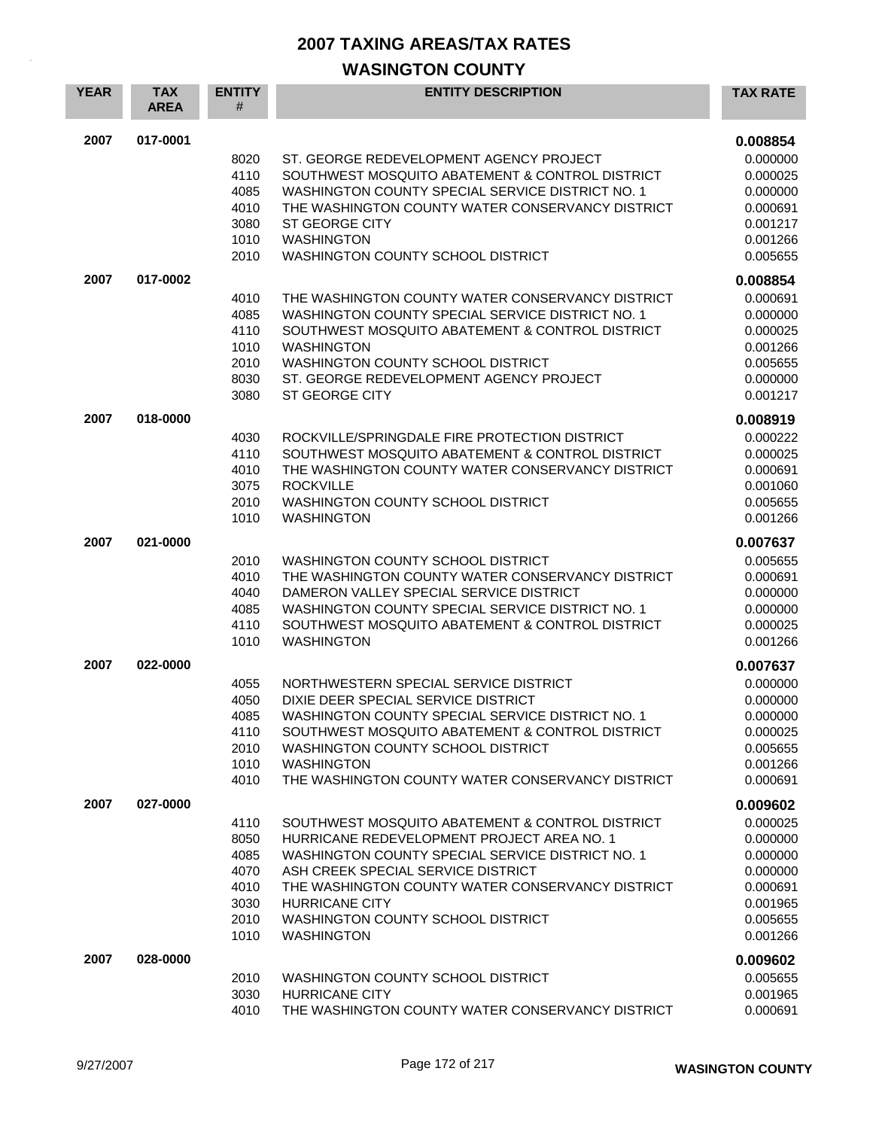| <b>YEAR</b> | <b>TAX</b><br><b>AREA</b> | <b>ENTITY</b><br>#                                           | <b>ENTITY DESCRIPTION</b>                                                                                                                                                                                                                                                                                                      | <b>TAX RATE</b>                                                                                          |
|-------------|---------------------------|--------------------------------------------------------------|--------------------------------------------------------------------------------------------------------------------------------------------------------------------------------------------------------------------------------------------------------------------------------------------------------------------------------|----------------------------------------------------------------------------------------------------------|
| 2007        | 017-0001                  | 8020<br>4110<br>4085<br>4010<br>3080<br>1010<br>2010         | ST. GEORGE REDEVELOPMENT AGENCY PROJECT<br>SOUTHWEST MOSQUITO ABATEMENT & CONTROL DISTRICT<br>WASHINGTON COUNTY SPECIAL SERVICE DISTRICT NO. 1<br>THE WASHINGTON COUNTY WATER CONSERVANCY DISTRICT<br><b>ST GEORGE CITY</b><br><b>WASHINGTON</b><br>WASHINGTON COUNTY SCHOOL DISTRICT                                          | 0.008854<br>0.000000<br>0.000025<br>0.000000<br>0.000691<br>0.001217<br>0.001266<br>0.005655             |
| 2007        | 017-0002                  | 4010<br>4085<br>4110<br>1010<br>2010<br>8030<br>3080         | THE WASHINGTON COUNTY WATER CONSERVANCY DISTRICT<br>WASHINGTON COUNTY SPECIAL SERVICE DISTRICT NO. 1<br>SOUTHWEST MOSQUITO ABATEMENT & CONTROL DISTRICT<br><b>WASHINGTON</b><br>WASHINGTON COUNTY SCHOOL DISTRICT<br>ST. GEORGE REDEVELOPMENT AGENCY PROJECT<br><b>ST GEORGE CITY</b>                                          | 0.008854<br>0.000691<br>0.000000<br>0.000025<br>0.001266<br>0.005655<br>0.000000<br>0.001217             |
| 2007        | 018-0000                  | 4030<br>4110<br>4010<br>3075<br>2010<br>1010                 | ROCKVILLE/SPRINGDALE FIRE PROTECTION DISTRICT<br>SOUTHWEST MOSQUITO ABATEMENT & CONTROL DISTRICT<br>THE WASHINGTON COUNTY WATER CONSERVANCY DISTRICT<br><b>ROCKVILLE</b><br>WASHINGTON COUNTY SCHOOL DISTRICT<br><b>WASHINGTON</b>                                                                                             | 0.008919<br>0.000222<br>0.000025<br>0.000691<br>0.001060<br>0.005655<br>0.001266                         |
| 2007        | 021-0000                  | 2010<br>4010<br>4040<br>4085<br>4110<br>1010                 | WASHINGTON COUNTY SCHOOL DISTRICT<br>THE WASHINGTON COUNTY WATER CONSERVANCY DISTRICT<br>DAMERON VALLEY SPECIAL SERVICE DISTRICT<br>WASHINGTON COUNTY SPECIAL SERVICE DISTRICT NO. 1<br>SOUTHWEST MOSQUITO ABATEMENT & CONTROL DISTRICT<br><b>WASHINGTON</b>                                                                   | 0.007637<br>0.005655<br>0.000691<br>0.000000<br>0.000000<br>0.000025<br>0.001266                         |
| 2007        | 022-0000                  | 4055<br>4050<br>4085<br>4110<br>2010<br>1010<br>4010         | NORTHWESTERN SPECIAL SERVICE DISTRICT<br>DIXIE DEER SPECIAL SERVICE DISTRICT<br>WASHINGTON COUNTY SPECIAL SERVICE DISTRICT NO. 1<br>SOUTHWEST MOSQUITO ABATEMENT & CONTROL DISTRICT<br>WASHINGTON COUNTY SCHOOL DISTRICT<br><b>WASHINGTON</b><br>THE WASHINGTON COUNTY WATER CONSERVANCY DISTRICT                              | 0.007637<br>0.000000<br>0.000000<br>0.000000<br>0.000025<br>0.005655<br>0.001266<br>0.000691             |
| 2007        | 027-0000                  | 4110<br>8050<br>4085<br>4070<br>4010<br>3030<br>2010<br>1010 | SOUTHWEST MOSQUITO ABATEMENT & CONTROL DISTRICT<br>HURRICANE REDEVELOPMENT PROJECT AREA NO. 1<br>WASHINGTON COUNTY SPECIAL SERVICE DISTRICT NO. 1<br>ASH CREEK SPECIAL SERVICE DISTRICT<br>THE WASHINGTON COUNTY WATER CONSERVANCY DISTRICT<br><b>HURRICANE CITY</b><br>WASHINGTON COUNTY SCHOOL DISTRICT<br><b>WASHINGTON</b> | 0.009602<br>0.000025<br>0.000000<br>0.000000<br>0.000000<br>0.000691<br>0.001965<br>0.005655<br>0.001266 |
| 2007        | 028-0000                  | 2010<br>3030<br>4010                                         | WASHINGTON COUNTY SCHOOL DISTRICT<br><b>HURRICANE CITY</b><br>THE WASHINGTON COUNTY WATER CONSERVANCY DISTRICT                                                                                                                                                                                                                 | 0.009602<br>0.005655<br>0.001965<br>0.000691                                                             |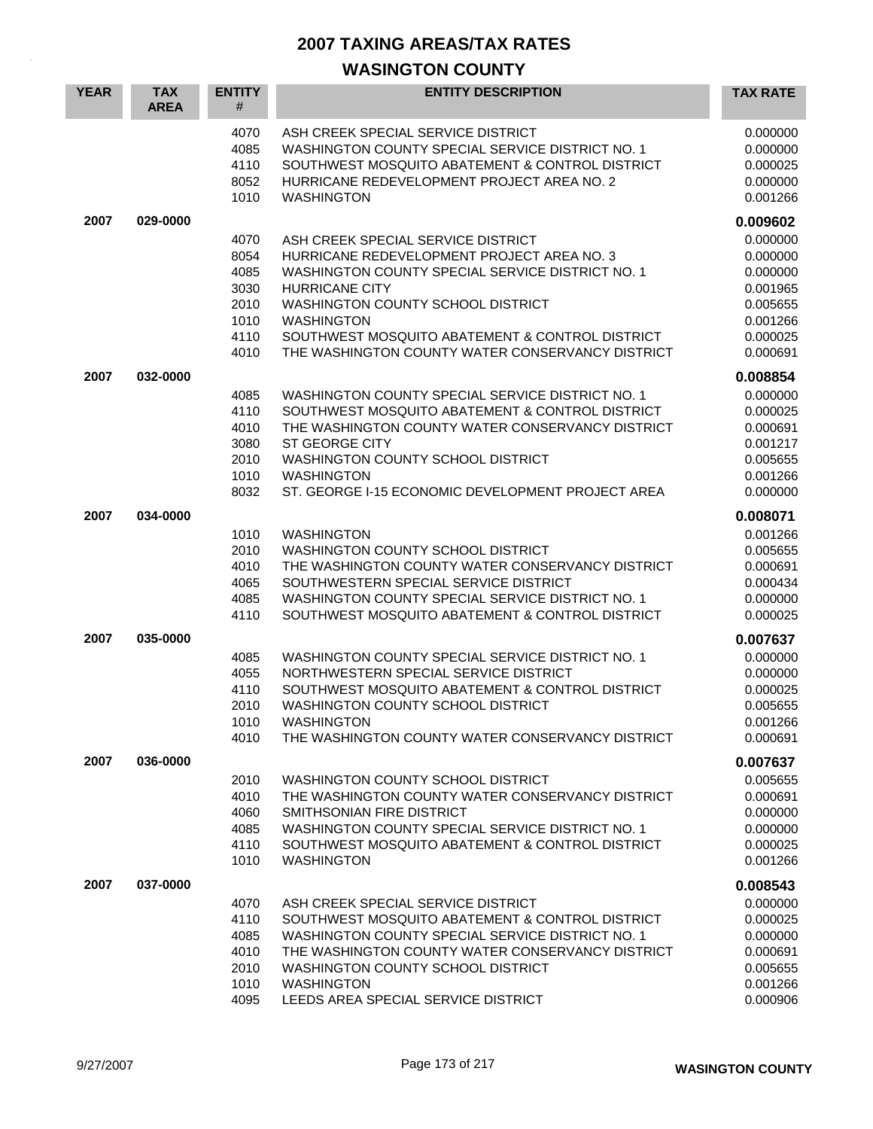| <b>YEAR</b> | <b>TAX</b><br><b>AREA</b> | <b>ENTITY</b><br>#                                           | <b>ENTITY DESCRIPTION</b>                                                                                                                                                                                                                                                                                                      | <b>TAX RATE</b>                                                                              |
|-------------|---------------------------|--------------------------------------------------------------|--------------------------------------------------------------------------------------------------------------------------------------------------------------------------------------------------------------------------------------------------------------------------------------------------------------------------------|----------------------------------------------------------------------------------------------|
|             |                           | 4070<br>4085<br>4110<br>8052<br>1010                         | ASH CREEK SPECIAL SERVICE DISTRICT<br>WASHINGTON COUNTY SPECIAL SERVICE DISTRICT NO. 1<br>SOUTHWEST MOSQUITO ABATEMENT & CONTROL DISTRICT<br>HURRICANE REDEVELOPMENT PROJECT AREA NO. 2<br><b>WASHINGTON</b>                                                                                                                   | 0.000000<br>0.000000<br>0.000025<br>0.000000<br>0.001266                                     |
| 2007        | 029-0000                  |                                                              |                                                                                                                                                                                                                                                                                                                                | 0.009602                                                                                     |
|             |                           | 4070<br>8054<br>4085<br>3030<br>2010<br>1010<br>4110<br>4010 | ASH CREEK SPECIAL SERVICE DISTRICT<br>HURRICANE REDEVELOPMENT PROJECT AREA NO. 3<br>WASHINGTON COUNTY SPECIAL SERVICE DISTRICT NO. 1<br><b>HURRICANE CITY</b><br>WASHINGTON COUNTY SCHOOL DISTRICT<br><b>WASHINGTON</b><br>SOUTHWEST MOSQUITO ABATEMENT & CONTROL DISTRICT<br>THE WASHINGTON COUNTY WATER CONSERVANCY DISTRICT | 0.000000<br>0.000000<br>0.000000<br>0.001965<br>0.005655<br>0.001266<br>0.000025<br>0.000691 |
| 2007        | 032-0000                  |                                                              |                                                                                                                                                                                                                                                                                                                                | 0.008854                                                                                     |
|             |                           | 4085<br>4110<br>4010<br>3080<br>2010<br>1010<br>8032         | WASHINGTON COUNTY SPECIAL SERVICE DISTRICT NO. 1<br>SOUTHWEST MOSQUITO ABATEMENT & CONTROL DISTRICT<br>THE WASHINGTON COUNTY WATER CONSERVANCY DISTRICT<br><b>ST GEORGE CITY</b><br><b>WASHINGTON COUNTY SCHOOL DISTRICT</b><br><b>WASHINGTON</b><br>ST. GEORGE I-15 ECONOMIC DEVELOPMENT PROJECT AREA                         | 0.000000<br>0.000025<br>0.000691<br>0.001217<br>0.005655<br>0.001266<br>0.000000             |
| 2007        | 034-0000                  |                                                              |                                                                                                                                                                                                                                                                                                                                | 0.008071                                                                                     |
|             |                           | 1010<br>2010<br>4010<br>4065<br>4085<br>4110                 | <b>WASHINGTON</b><br>WASHINGTON COUNTY SCHOOL DISTRICT<br>THE WASHINGTON COUNTY WATER CONSERVANCY DISTRICT<br>SOUTHWESTERN SPECIAL SERVICE DISTRICT<br>WASHINGTON COUNTY SPECIAL SERVICE DISTRICT NO. 1<br>SOUTHWEST MOSQUITO ABATEMENT & CONTROL DISTRICT                                                                     | 0.001266<br>0.005655<br>0.000691<br>0.000434<br>0.000000<br>0.000025                         |
| 2007        | 035-0000                  |                                                              |                                                                                                                                                                                                                                                                                                                                | 0.007637                                                                                     |
|             |                           | 4085<br>4055<br>4110<br>2010<br>1010<br>4010                 | WASHINGTON COUNTY SPECIAL SERVICE DISTRICT NO. 1<br>NORTHWESTERN SPECIAL SERVICE DISTRICT<br>SOUTHWEST MOSQUITO ABATEMENT & CONTROL DISTRICT<br>WASHINGTON COUNTY SCHOOL DISTRICT<br>WASHINGTON<br>THE WASHINGTON COUNTY WATER CONSERVANCY DISTRICT                                                                            | 0.000000<br>0.000000<br>0.000025<br>0.005655<br>0.001266<br>0.000691                         |
| 2007        | 036-0000                  | 2010<br>4010<br>4060<br>4085<br>4110<br>1010                 | WASHINGTON COUNTY SCHOOL DISTRICT<br>THE WASHINGTON COUNTY WATER CONSERVANCY DISTRICT<br>SMITHSONIAN FIRE DISTRICT<br>WASHINGTON COUNTY SPECIAL SERVICE DISTRICT NO. 1<br>SOUTHWEST MOSQUITO ABATEMENT & CONTROL DISTRICT<br><b>WASHINGTON</b>                                                                                 | 0.007637<br>0.005655<br>0.000691<br>0.000000<br>0.000000<br>0.000025<br>0.001266             |
| 2007        | 037-0000                  | 4070<br>4110<br>4085<br>4010<br>2010<br>1010<br>4095         | ASH CREEK SPECIAL SERVICE DISTRICT<br>SOUTHWEST MOSQUITO ABATEMENT & CONTROL DISTRICT<br>WASHINGTON COUNTY SPECIAL SERVICE DISTRICT NO. 1<br>THE WASHINGTON COUNTY WATER CONSERVANCY DISTRICT<br>WASHINGTON COUNTY SCHOOL DISTRICT<br><b>WASHINGTON</b><br>LEEDS AREA SPECIAL SERVICE DISTRICT                                 | 0.008543<br>0.000000<br>0.000025<br>0.000000<br>0.000691<br>0.005655<br>0.001266<br>0.000906 |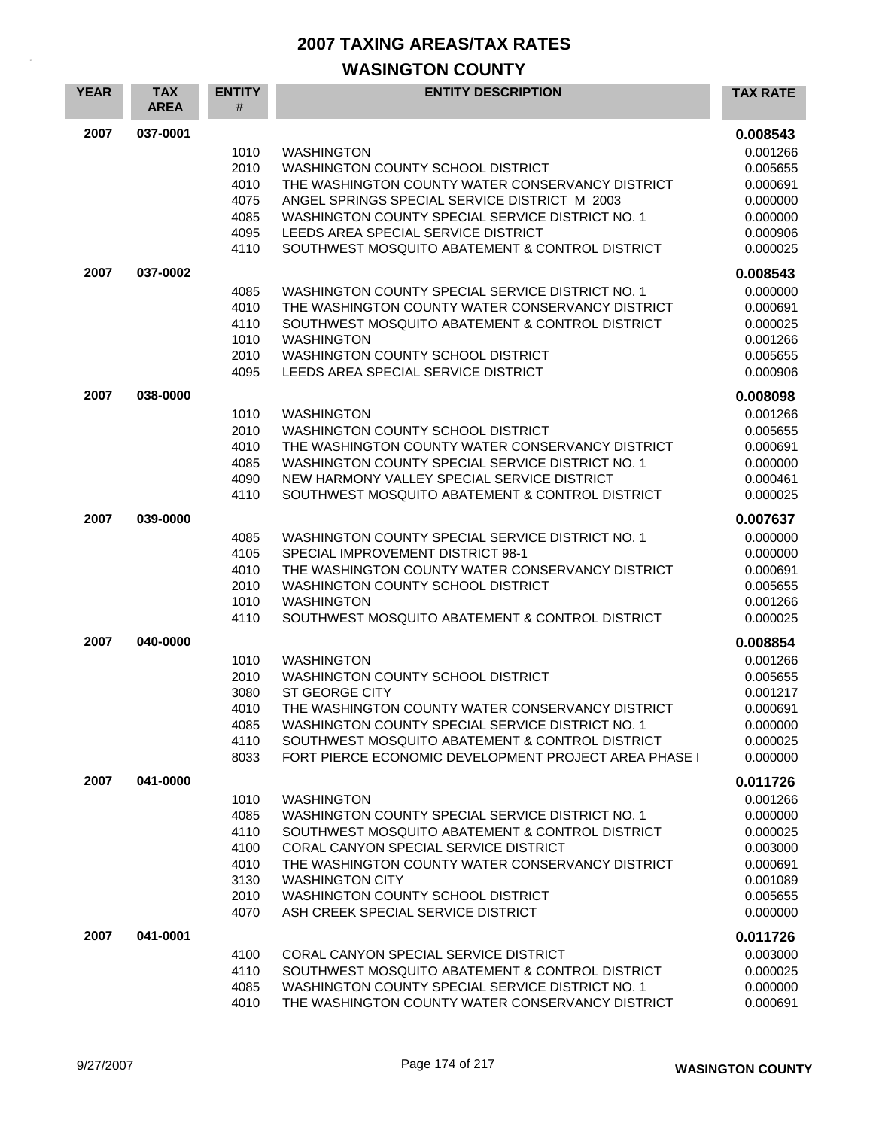| <b>YEAR</b> | <b>TAX</b><br><b>AREA</b> | <b>ENTITY</b><br>#                                           | <b>ENTITY DESCRIPTION</b>                                                                                                                                                                                                                                                                                                  | <b>TAX RATE</b>                                                                                          |
|-------------|---------------------------|--------------------------------------------------------------|----------------------------------------------------------------------------------------------------------------------------------------------------------------------------------------------------------------------------------------------------------------------------------------------------------------------------|----------------------------------------------------------------------------------------------------------|
| 2007        | 037-0001                  | 1010<br>2010<br>4010<br>4075<br>4085<br>4095<br>4110         | <b>WASHINGTON</b><br>WASHINGTON COUNTY SCHOOL DISTRICT<br>THE WASHINGTON COUNTY WATER CONSERVANCY DISTRICT<br>ANGEL SPRINGS SPECIAL SERVICE DISTRICT M 2003<br>WASHINGTON COUNTY SPECIAL SERVICE DISTRICT NO. 1<br>LEEDS AREA SPECIAL SERVICE DISTRICT<br>SOUTHWEST MOSQUITO ABATEMENT & CONTROL DISTRICT                  | 0.008543<br>0.001266<br>0.005655<br>0.000691<br>0.000000<br>0.000000<br>0.000906<br>0.000025             |
| 2007        | 037-0002                  | 4085<br>4010<br>4110<br>1010<br>2010<br>4095                 | WASHINGTON COUNTY SPECIAL SERVICE DISTRICT NO. 1<br>THE WASHINGTON COUNTY WATER CONSERVANCY DISTRICT<br>SOUTHWEST MOSQUITO ABATEMENT & CONTROL DISTRICT<br><b>WASHINGTON</b><br>WASHINGTON COUNTY SCHOOL DISTRICT<br>LEEDS AREA SPECIAL SERVICE DISTRICT                                                                   | 0.008543<br>0.000000<br>0.000691<br>0.000025<br>0.001266<br>0.005655<br>0.000906                         |
| 2007        | 038-0000                  | 1010<br>2010<br>4010<br>4085<br>4090<br>4110                 | <b>WASHINGTON</b><br>WASHINGTON COUNTY SCHOOL DISTRICT<br>THE WASHINGTON COUNTY WATER CONSERVANCY DISTRICT<br>WASHINGTON COUNTY SPECIAL SERVICE DISTRICT NO. 1<br>NEW HARMONY VALLEY SPECIAL SERVICE DISTRICT<br>SOUTHWEST MOSQUITO ABATEMENT & CONTROL DISTRICT                                                           | 0.008098<br>0.001266<br>0.005655<br>0.000691<br>0.000000<br>0.000461<br>0.000025                         |
| 2007        | 039-0000                  | 4085<br>4105<br>4010<br>2010<br>1010<br>4110                 | WASHINGTON COUNTY SPECIAL SERVICE DISTRICT NO. 1<br>SPECIAL IMPROVEMENT DISTRICT 98-1<br>THE WASHINGTON COUNTY WATER CONSERVANCY DISTRICT<br>WASHINGTON COUNTY SCHOOL DISTRICT<br><b>WASHINGTON</b><br>SOUTHWEST MOSQUITO ABATEMENT & CONTROL DISTRICT                                                                     | 0.007637<br>0.000000<br>0.000000<br>0.000691<br>0.005655<br>0.001266<br>0.000025                         |
| 2007        | 040-0000                  | 1010<br>2010<br>3080<br>4010<br>4085<br>4110<br>8033         | <b>WASHINGTON</b><br>WASHINGTON COUNTY SCHOOL DISTRICT<br><b>ST GEORGE CITY</b><br>THE WASHINGTON COUNTY WATER CONSERVANCY DISTRICT<br>WASHINGTON COUNTY SPECIAL SERVICE DISTRICT NO. 1<br>SOUTHWEST MOSQUITO ABATEMENT & CONTROL DISTRICT<br>FORT PIERCE ECONOMIC DEVELOPMENT PROJECT AREA PHASE I                        | 0.008854<br>0.001266<br>0.005655<br>0.001217<br>0.000691<br>0.000000<br>0.000025<br>0.000000             |
| 2007        | 041-0000                  | 1010<br>4085<br>4110<br>4100<br>4010<br>3130<br>2010<br>4070 | <b>WASHINGTON</b><br>WASHINGTON COUNTY SPECIAL SERVICE DISTRICT NO. 1<br>SOUTHWEST MOSQUITO ABATEMENT & CONTROL DISTRICT<br>CORAL CANYON SPECIAL SERVICE DISTRICT<br>THE WASHINGTON COUNTY WATER CONSERVANCY DISTRICT<br><b>WASHINGTON CITY</b><br>WASHINGTON COUNTY SCHOOL DISTRICT<br>ASH CREEK SPECIAL SERVICE DISTRICT | 0.011726<br>0.001266<br>0.000000<br>0.000025<br>0.003000<br>0.000691<br>0.001089<br>0.005655<br>0.000000 |
| 2007        | 041-0001                  | 4100<br>4110<br>4085<br>4010                                 | CORAL CANYON SPECIAL SERVICE DISTRICT<br>SOUTHWEST MOSQUITO ABATEMENT & CONTROL DISTRICT<br>WASHINGTON COUNTY SPECIAL SERVICE DISTRICT NO. 1<br>THE WASHINGTON COUNTY WATER CONSERVANCY DISTRICT                                                                                                                           | 0.011726<br>0.003000<br>0.000025<br>0.000000<br>0.000691                                                 |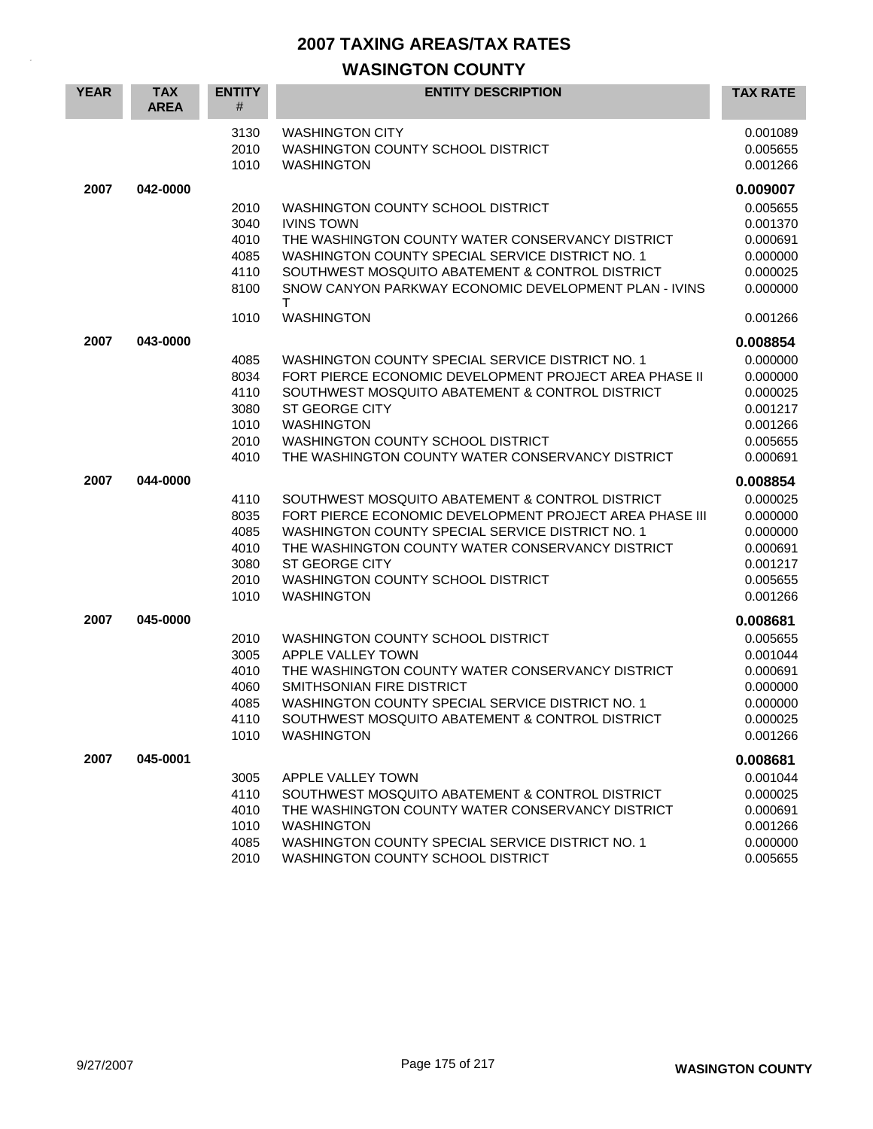| <b>YEAR</b> | <b>TAX</b><br><b>AREA</b> | <b>ENTITY</b><br>#                                   | <b>ENTITY DESCRIPTION</b>                                                                                                                                                                                                                                                                             | <b>TAX RATE</b>                                                                              |
|-------------|---------------------------|------------------------------------------------------|-------------------------------------------------------------------------------------------------------------------------------------------------------------------------------------------------------------------------------------------------------------------------------------------------------|----------------------------------------------------------------------------------------------|
|             |                           | 3130<br>2010<br>1010                                 | <b>WASHINGTON CITY</b><br>WASHINGTON COUNTY SCHOOL DISTRICT<br><b>WASHINGTON</b>                                                                                                                                                                                                                      | 0.001089<br>0.005655<br>0.001266                                                             |
| 2007        | 042-0000                  | 2010<br>3040<br>4010<br>4085<br>4110<br>8100         | WASHINGTON COUNTY SCHOOL DISTRICT<br><b>IVINS TOWN</b><br>THE WASHINGTON COUNTY WATER CONSERVANCY DISTRICT<br>WASHINGTON COUNTY SPECIAL SERVICE DISTRICT NO. 1<br>SOUTHWEST MOSQUITO ABATEMENT & CONTROL DISTRICT<br>SNOW CANYON PARKWAY ECONOMIC DEVELOPMENT PLAN - IVINS<br>т                       | 0.009007<br>0.005655<br>0.001370<br>0.000691<br>0.000000<br>0.000025<br>0.000000             |
|             |                           | 1010                                                 | <b>WASHINGTON</b>                                                                                                                                                                                                                                                                                     | 0.001266                                                                                     |
| 2007        | 043-0000                  | 4085<br>8034<br>4110<br>3080<br>1010<br>2010<br>4010 | WASHINGTON COUNTY SPECIAL SERVICE DISTRICT NO. 1<br>FORT PIERCE ECONOMIC DEVELOPMENT PROJECT AREA PHASE II<br>SOUTHWEST MOSQUITO ABATEMENT & CONTROL DISTRICT<br><b>ST GEORGE CITY</b><br><b>WASHINGTON</b><br>WASHINGTON COUNTY SCHOOL DISTRICT<br>THE WASHINGTON COUNTY WATER CONSERVANCY DISTRICT  | 0.008854<br>0.000000<br>0.000000<br>0.000025<br>0.001217<br>0.001266<br>0.005655<br>0.000691 |
| 2007        | 044-0000                  | 4110<br>8035<br>4085<br>4010<br>3080<br>2010<br>1010 | SOUTHWEST MOSQUITO ABATEMENT & CONTROL DISTRICT<br>FORT PIERCE ECONOMIC DEVELOPMENT PROJECT AREA PHASE III<br>WASHINGTON COUNTY SPECIAL SERVICE DISTRICT NO. 1<br>THE WASHINGTON COUNTY WATER CONSERVANCY DISTRICT<br><b>ST GEORGE CITY</b><br>WASHINGTON COUNTY SCHOOL DISTRICT<br><b>WASHINGTON</b> | 0.008854<br>0.000025<br>0.000000<br>0.000000<br>0.000691<br>0.001217<br>0.005655<br>0.001266 |
| 2007        | 045-0000                  | 2010<br>3005<br>4010<br>4060<br>4085<br>4110<br>1010 | WASHINGTON COUNTY SCHOOL DISTRICT<br>APPLE VALLEY TOWN<br>THE WASHINGTON COUNTY WATER CONSERVANCY DISTRICT<br>SMITHSONIAN FIRE DISTRICT<br>WASHINGTON COUNTY SPECIAL SERVICE DISTRICT NO. 1<br>SOUTHWEST MOSQUITO ABATEMENT & CONTROL DISTRICT<br><b>WASHINGTON</b>                                   | 0.008681<br>0.005655<br>0.001044<br>0.000691<br>0.000000<br>0.000000<br>0.000025<br>0.001266 |
| 2007        | 045-0001                  | 3005<br>4110<br>4010<br>1010<br>4085<br>2010         | APPLE VALLEY TOWN<br>SOUTHWEST MOSQUITO ABATEMENT & CONTROL DISTRICT<br>THE WASHINGTON COUNTY WATER CONSERVANCY DISTRICT<br><b>WASHINGTON</b><br>WASHINGTON COUNTY SPECIAL SERVICE DISTRICT NO. 1<br>WASHINGTON COUNTY SCHOOL DISTRICT                                                                | 0.008681<br>0.001044<br>0.000025<br>0.000691<br>0.001266<br>0.000000<br>0.005655             |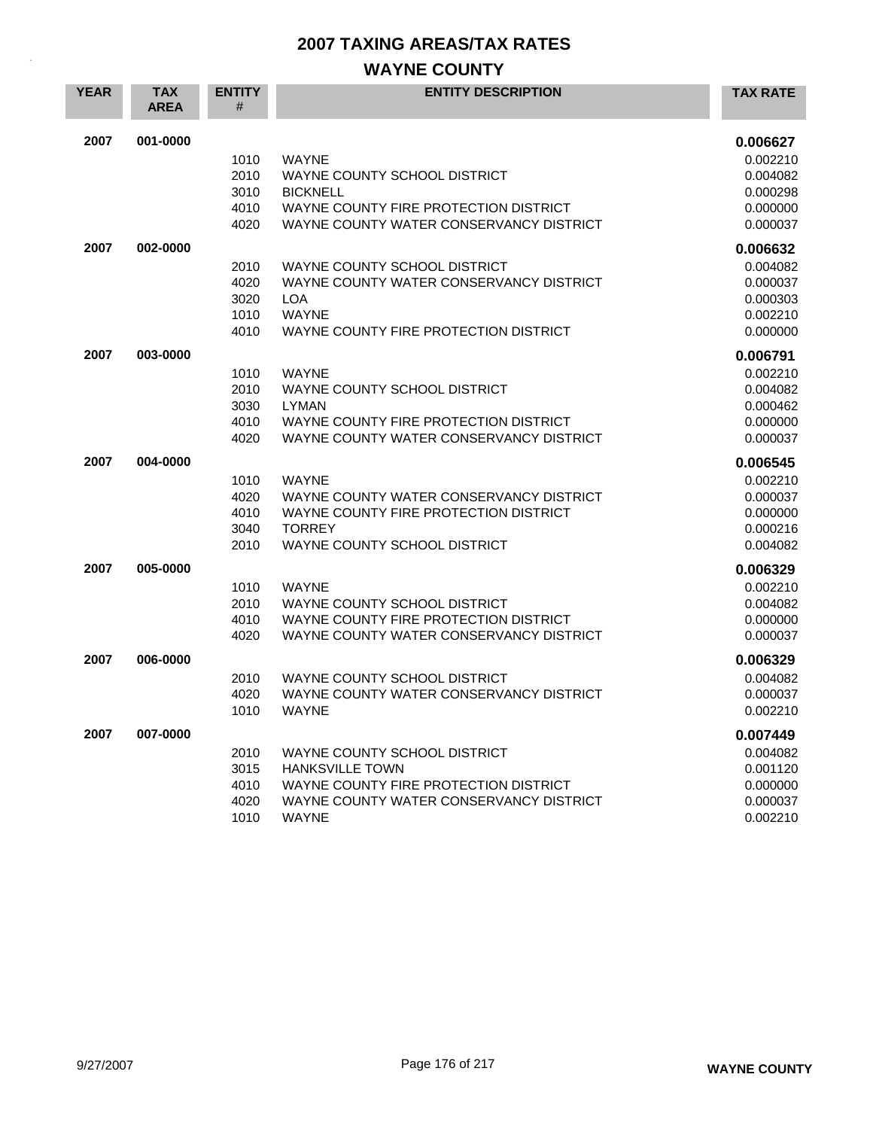## **WAYNE COUNTY**

| <b>YEAR</b> | <b>TAX</b><br><b>AREA</b> | <b>ENTITY</b><br># | <b>ENTITY DESCRIPTION</b>               | <b>TAX RATE</b> |
|-------------|---------------------------|--------------------|-----------------------------------------|-----------------|
| 2007        | 001-0000                  |                    |                                         | 0.006627        |
|             |                           | 1010               | <b>WAYNE</b>                            | 0.002210        |
|             |                           | 2010               | WAYNE COUNTY SCHOOL DISTRICT            | 0.004082        |
|             |                           | 3010               | <b>BICKNELL</b>                         | 0.000298        |
|             |                           | 4010               | WAYNE COUNTY FIRE PROTECTION DISTRICT   | 0.000000        |
|             |                           | 4020               | WAYNE COUNTY WATER CONSERVANCY DISTRICT | 0.000037        |
| 2007        | 002-0000                  |                    |                                         | 0.006632        |
|             |                           | 2010               | WAYNE COUNTY SCHOOL DISTRICT            | 0.004082        |
|             |                           | 4020               | WAYNE COUNTY WATER CONSERVANCY DISTRICT | 0.000037        |
|             |                           | 3020               | <b>LOA</b>                              | 0.000303        |
|             |                           | 1010               | <b>WAYNE</b>                            | 0.002210        |
|             |                           | 4010               | WAYNE COUNTY FIRE PROTECTION DISTRICT   | 0.000000        |
| 2007        | 003-0000                  |                    |                                         | 0.006791        |
|             |                           | 1010               | <b>WAYNE</b>                            | 0.002210        |
|             |                           | 2010               | WAYNE COUNTY SCHOOL DISTRICT            | 0.004082        |
|             |                           | 3030               | <b>LYMAN</b>                            | 0.000462        |
|             |                           | 4010               | WAYNE COUNTY FIRE PROTECTION DISTRICT   | 0.000000        |
|             |                           | 4020               | WAYNE COUNTY WATER CONSERVANCY DISTRICT | 0.000037        |
| 2007        | 004-0000                  |                    |                                         | 0.006545        |
|             |                           | 1010               | <b>WAYNE</b>                            | 0.002210        |
|             |                           | 4020               | WAYNE COUNTY WATER CONSERVANCY DISTRICT | 0.000037        |
|             |                           | 4010               | WAYNE COUNTY FIRE PROTECTION DISTRICT   | 0.000000        |
|             |                           | 3040               | <b>TORREY</b>                           | 0.000216        |
|             |                           | 2010               | WAYNE COUNTY SCHOOL DISTRICT            | 0.004082        |
| 2007        | 005-0000                  |                    |                                         | 0.006329        |
|             |                           | 1010               | <b>WAYNE</b>                            | 0.002210        |
|             |                           | 2010               | WAYNE COUNTY SCHOOL DISTRICT            | 0.004082        |
|             |                           | 4010               | WAYNE COUNTY FIRE PROTECTION DISTRICT   | 0.000000        |
|             |                           | 4020               | WAYNE COUNTY WATER CONSERVANCY DISTRICT | 0.000037        |
| 2007        | 006-0000                  |                    |                                         | 0.006329        |
|             |                           | 2010               | WAYNE COUNTY SCHOOL DISTRICT            | 0.004082        |
|             |                           | 4020               | WAYNE COUNTY WATER CONSERVANCY DISTRICT | 0.000037        |
|             |                           | 1010               | <b>WAYNE</b>                            | 0.002210        |
| 2007        | 007-0000                  |                    |                                         | 0.007449        |
|             |                           | 2010               | WAYNE COUNTY SCHOOL DISTRICT            | 0.004082        |
|             |                           | 3015               | <b>HANKSVILLE TOWN</b>                  | 0.001120        |
|             |                           | 4010               | WAYNE COUNTY FIRE PROTECTION DISTRICT   | 0.000000        |
|             |                           | 4020               | WAYNE COUNTY WATER CONSERVANCY DISTRICT | 0.000037        |
|             |                           | 1010               | <b>WAYNE</b>                            | 0.002210        |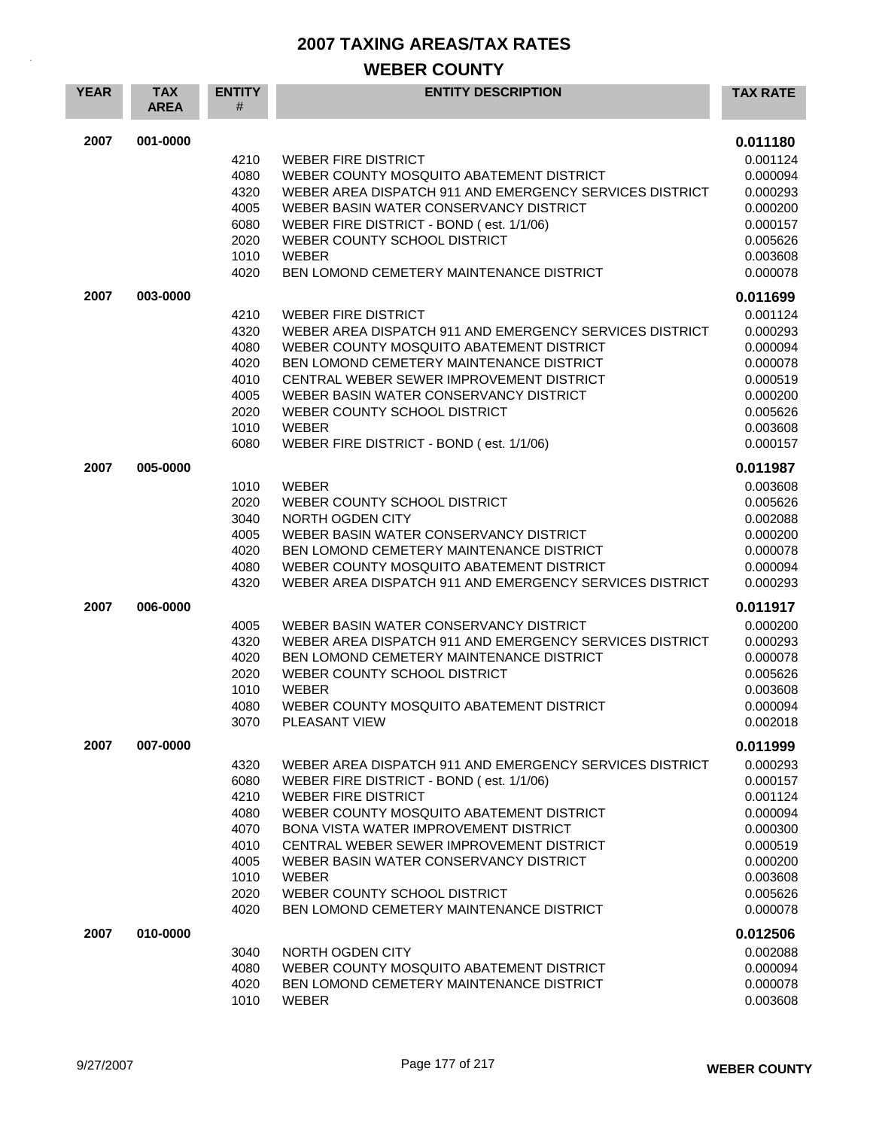| <b>YEAR</b> | <b>TAX</b><br><b>AREA</b> | <b>ENTITY</b><br># | <b>ENTITY DESCRIPTION</b>                                                                         | <b>TAX RATE</b>      |
|-------------|---------------------------|--------------------|---------------------------------------------------------------------------------------------------|----------------------|
| 2007        | 001-0000                  |                    |                                                                                                   | 0.011180             |
|             |                           | 4210               | <b>WEBER FIRE DISTRICT</b>                                                                        | 0.001124             |
|             |                           | 4080               | WEBER COUNTY MOSQUITO ABATEMENT DISTRICT                                                          | 0.000094             |
|             |                           | 4320               | WEBER AREA DISPATCH 911 AND EMERGENCY SERVICES DISTRICT                                           | 0.000293             |
|             |                           | 4005<br>6080       | WEBER BASIN WATER CONSERVANCY DISTRICT<br>WEBER FIRE DISTRICT - BOND (est. 1/1/06)                | 0.000200<br>0.000157 |
|             |                           | 2020               | WEBER COUNTY SCHOOL DISTRICT                                                                      | 0.005626             |
|             |                           | 1010               | <b>WEBER</b>                                                                                      | 0.003608             |
|             |                           | 4020               | BEN LOMOND CEMETERY MAINTENANCE DISTRICT                                                          | 0.000078             |
|             |                           |                    |                                                                                                   |                      |
| 2007        | 003-0000                  |                    |                                                                                                   | 0.011699             |
|             |                           | 4210               | <b>WEBER FIRE DISTRICT</b>                                                                        | 0.001124             |
|             |                           | 4320               | WEBER AREA DISPATCH 911 AND EMERGENCY SERVICES DISTRICT                                           | 0.000293             |
|             |                           | 4080<br>4020       | WEBER COUNTY MOSQUITO ABATEMENT DISTRICT<br>BEN LOMOND CEMETERY MAINTENANCE DISTRICT              | 0.000094<br>0.000078 |
|             |                           | 4010               | CENTRAL WEBER SEWER IMPROVEMENT DISTRICT                                                          | 0.000519             |
|             |                           | 4005               | WEBER BASIN WATER CONSERVANCY DISTRICT                                                            | 0.000200             |
|             |                           | 2020               | WEBER COUNTY SCHOOL DISTRICT                                                                      | 0.005626             |
|             |                           | 1010               | <b>WEBER</b>                                                                                      | 0.003608             |
|             |                           | 6080               | WEBER FIRE DISTRICT - BOND (est. 1/1/06)                                                          | 0.000157             |
| 2007        | 005-0000                  |                    |                                                                                                   |                      |
|             |                           |                    |                                                                                                   | 0.011987             |
|             |                           | 1010<br>2020       | <b>WEBER</b><br>WEBER COUNTY SCHOOL DISTRICT                                                      | 0.003608<br>0.005626 |
|             |                           | 3040               | NORTH OGDEN CITY                                                                                  | 0.002088             |
|             |                           | 4005               | WEBER BASIN WATER CONSERVANCY DISTRICT                                                            | 0.000200             |
|             |                           | 4020               | BEN LOMOND CEMETERY MAINTENANCE DISTRICT                                                          | 0.000078             |
|             |                           | 4080               | WEBER COUNTY MOSQUITO ABATEMENT DISTRICT                                                          | 0.000094             |
|             |                           | 4320               | WEBER AREA DISPATCH 911 AND EMERGENCY SERVICES DISTRICT                                           | 0.000293             |
| 2007        | 006-0000                  |                    |                                                                                                   | 0.011917             |
|             |                           |                    |                                                                                                   |                      |
|             |                           | 4005<br>4320       | WEBER BASIN WATER CONSERVANCY DISTRICT<br>WEBER AREA DISPATCH 911 AND EMERGENCY SERVICES DISTRICT | 0.000200<br>0.000293 |
|             |                           | 4020               | BEN LOMOND CEMETERY MAINTENANCE DISTRICT                                                          | 0.000078             |
|             |                           | 2020               | WEBER COUNTY SCHOOL DISTRICT                                                                      | 0.005626             |
|             |                           | 1010               | <b>WEBER</b>                                                                                      | 0.003608             |
|             |                           | 4080               | WEBER COUNTY MOSQUITO ABATEMENT DISTRICT                                                          | 0.000094             |
|             |                           | 3070               | PLEASANT VIEW                                                                                     | 0.002018             |
| 2007        | 007-0000                  |                    |                                                                                                   | 0.011999             |
|             |                           |                    | WEBER AREA DISPATCH 911 AND EMERGENCY SERVICES DISTRICT                                           |                      |
|             |                           | 4320<br>6080       | WEBER FIRE DISTRICT - BOND (est. 1/1/06)                                                          | 0.000293<br>0.000157 |
|             |                           | 4210               | <b>WEBER FIRE DISTRICT</b>                                                                        | 0.001124             |
|             |                           | 4080               | WEBER COUNTY MOSQUITO ABATEMENT DISTRICT                                                          | 0.000094             |
|             |                           | 4070               | BONA VISTA WATER IMPROVEMENT DISTRICT                                                             | 0.000300             |
|             |                           | 4010               | CENTRAL WEBER SEWER IMPROVEMENT DISTRICT                                                          | 0.000519             |
|             |                           | 4005               | WEBER BASIN WATER CONSERVANCY DISTRICT                                                            | 0.000200             |
|             |                           | 1010               | WEBER                                                                                             | 0.003608             |
|             |                           | 2020               | WEBER COUNTY SCHOOL DISTRICT                                                                      | 0.005626             |
|             |                           | 4020               | BEN LOMOND CEMETERY MAINTENANCE DISTRICT                                                          | 0.000078             |
| 2007        | 010-0000                  |                    |                                                                                                   | 0.012506             |
|             |                           | 3040               | NORTH OGDEN CITY                                                                                  | 0.002088             |
|             |                           | 4080               | WEBER COUNTY MOSQUITO ABATEMENT DISTRICT                                                          | 0.000094             |
|             |                           | 4020               | BEN LOMOND CEMETERY MAINTENANCE DISTRICT                                                          | 0.000078             |
|             |                           | 1010               | WEBER                                                                                             | 0.003608             |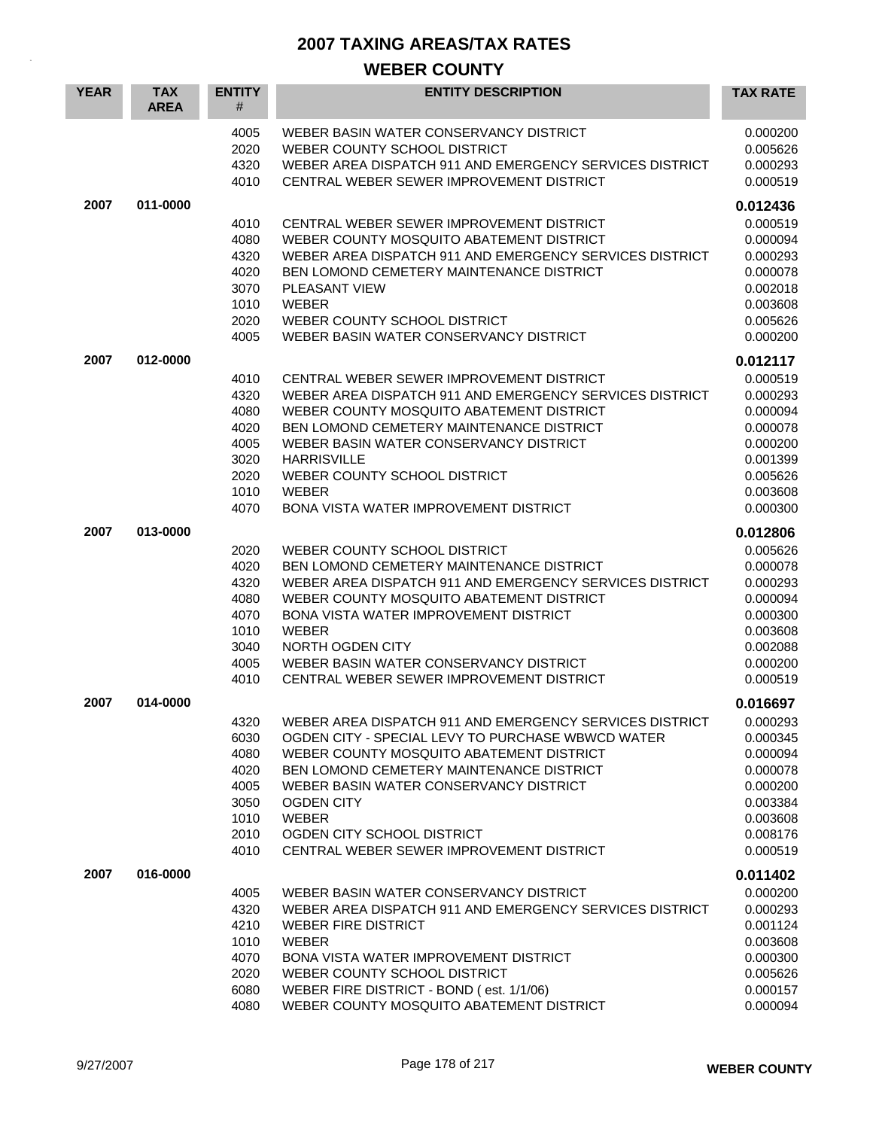| <b>YEAR</b> | <b>TAX</b><br><b>AREA</b> | <b>ENTITY</b><br>#                                                   | <b>ENTITY DESCRIPTION</b>                                                                                                                                                                                                                                                                                                                                     | <b>TAX RATE</b>                                                                                          |
|-------------|---------------------------|----------------------------------------------------------------------|---------------------------------------------------------------------------------------------------------------------------------------------------------------------------------------------------------------------------------------------------------------------------------------------------------------------------------------------------------------|----------------------------------------------------------------------------------------------------------|
|             |                           | 4005<br>2020<br>4320<br>4010                                         | WEBER BASIN WATER CONSERVANCY DISTRICT<br>WEBER COUNTY SCHOOL DISTRICT<br>WEBER AREA DISPATCH 911 AND EMERGENCY SERVICES DISTRICT<br>CENTRAL WEBER SEWER IMPROVEMENT DISTRICT                                                                                                                                                                                 | 0.000200<br>0.005626<br>0.000293<br>0.000519                                                             |
| 2007        | 011-0000                  |                                                                      |                                                                                                                                                                                                                                                                                                                                                               | 0.012436                                                                                                 |
|             |                           | 4010<br>4080<br>4320<br>4020<br>3070<br>1010<br>2020<br>4005         | CENTRAL WEBER SEWER IMPROVEMENT DISTRICT<br>WEBER COUNTY MOSQUITO ABATEMENT DISTRICT<br>WEBER AREA DISPATCH 911 AND EMERGENCY SERVICES DISTRICT<br>BEN LOMOND CEMETERY MAINTENANCE DISTRICT<br><b>PLEASANT VIEW</b><br>WEBER<br>WEBER COUNTY SCHOOL DISTRICT<br>WEBER BASIN WATER CONSERVANCY DISTRICT                                                        | 0.000519<br>0.000094<br>0.000293<br>0.000078<br>0.002018<br>0.003608<br>0.005626<br>0.000200             |
| 2007        | 012-0000                  |                                                                      |                                                                                                                                                                                                                                                                                                                                                               | 0.012117                                                                                                 |
|             |                           | 4010<br>4320<br>4080<br>4020<br>4005<br>3020<br>2020<br>1010<br>4070 | CENTRAL WEBER SEWER IMPROVEMENT DISTRICT<br>WEBER AREA DISPATCH 911 AND EMERGENCY SERVICES DISTRICT<br>WEBER COUNTY MOSQUITO ABATEMENT DISTRICT<br>BEN LOMOND CEMETERY MAINTENANCE DISTRICT<br>WEBER BASIN WATER CONSERVANCY DISTRICT<br><b>HARRISVILLE</b><br>WEBER COUNTY SCHOOL DISTRICT<br><b>WEBER</b><br>BONA VISTA WATER IMPROVEMENT DISTRICT          | 0.000519<br>0.000293<br>0.000094<br>0.000078<br>0.000200<br>0.001399<br>0.005626<br>0.003608<br>0.000300 |
| 2007        | 013-0000                  |                                                                      |                                                                                                                                                                                                                                                                                                                                                               | 0.012806                                                                                                 |
|             |                           | 2020<br>4020<br>4320<br>4080<br>4070<br>1010<br>3040<br>4005<br>4010 | WEBER COUNTY SCHOOL DISTRICT<br>BEN LOMOND CEMETERY MAINTENANCE DISTRICT<br>WEBER AREA DISPATCH 911 AND EMERGENCY SERVICES DISTRICT<br>WEBER COUNTY MOSQUITO ABATEMENT DISTRICT<br><b>BONA VISTA WATER IMPROVEMENT DISTRICT</b><br><b>WEBER</b><br>NORTH OGDEN CITY<br>WEBER BASIN WATER CONSERVANCY DISTRICT<br>CENTRAL WEBER SEWER IMPROVEMENT DISTRICT     | 0.005626<br>0.000078<br>0.000293<br>0.000094<br>0.000300<br>0.003608<br>0.002088<br>0.000200<br>0.000519 |
| 2007        | 014-0000                  |                                                                      |                                                                                                                                                                                                                                                                                                                                                               | 0.016697                                                                                                 |
|             |                           | 4320<br>6030<br>4080<br>4020<br>4005<br>3050<br>1010<br>2010<br>4010 | WEBER AREA DISPATCH 911 AND EMERGENCY SERVICES DISTRICT<br>OGDEN CITY - SPECIAL LEVY TO PURCHASE WBWCD WATER<br>WEBER COUNTY MOSQUITO ABATEMENT DISTRICT<br>BEN LOMOND CEMETERY MAINTENANCE DISTRICT<br>WEBER BASIN WATER CONSERVANCY DISTRICT<br><b>OGDEN CITY</b><br><b>WEBER</b><br>OGDEN CITY SCHOOL DISTRICT<br>CENTRAL WEBER SEWER IMPROVEMENT DISTRICT | 0.000293<br>0.000345<br>0.000094<br>0.000078<br>0.000200<br>0.003384<br>0.003608<br>0.008176<br>0.000519 |
| 2007        | 016-0000                  |                                                                      |                                                                                                                                                                                                                                                                                                                                                               | 0.011402                                                                                                 |
|             |                           | 4005<br>4320<br>4210<br>1010<br>4070<br>2020<br>6080<br>4080         | WEBER BASIN WATER CONSERVANCY DISTRICT<br>WEBER AREA DISPATCH 911 AND EMERGENCY SERVICES DISTRICT<br><b>WEBER FIRE DISTRICT</b><br><b>WEBER</b><br>BONA VISTA WATER IMPROVEMENT DISTRICT<br>WEBER COUNTY SCHOOL DISTRICT<br>WEBER FIRE DISTRICT - BOND (est. 1/1/06)<br>WEBER COUNTY MOSQUITO ABATEMENT DISTRICT                                              | 0.000200<br>0.000293<br>0.001124<br>0.003608<br>0.000300<br>0.005626<br>0.000157<br>0.000094             |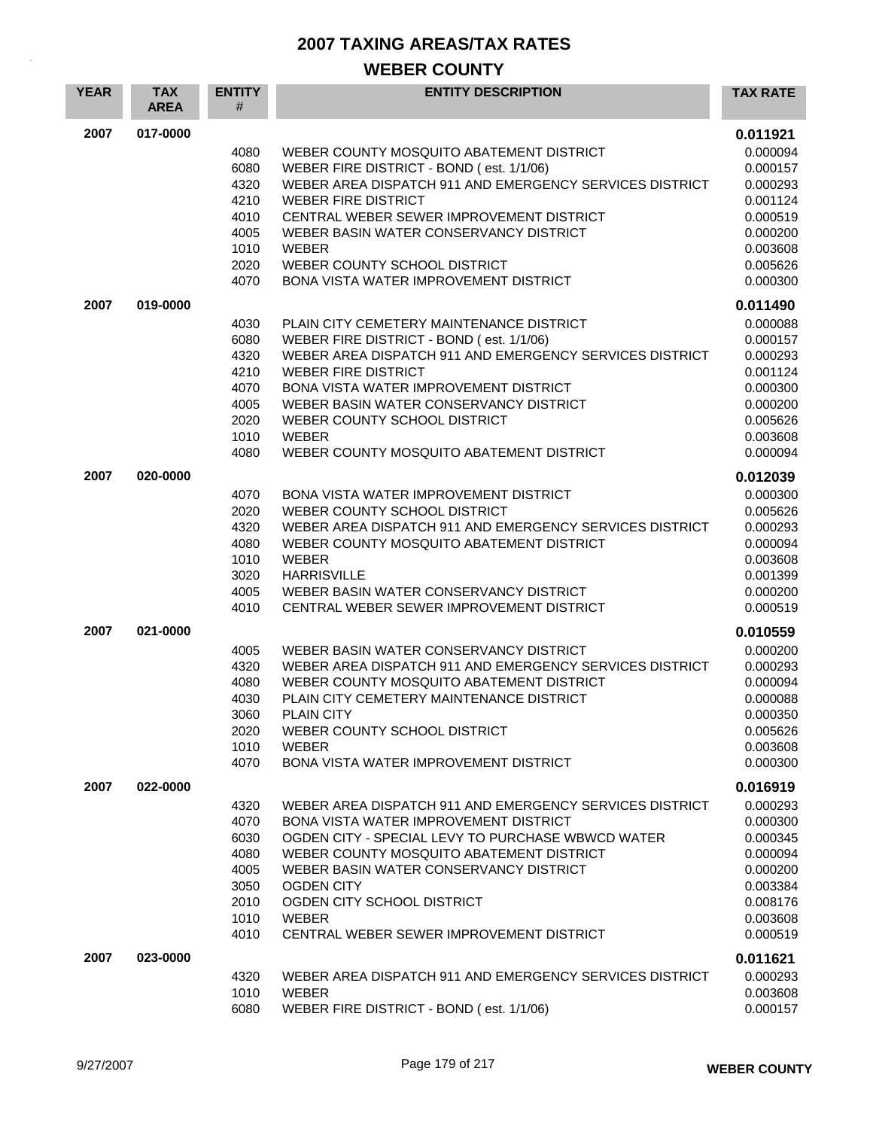| <b>YEAR</b> | <b>TAX</b><br><b>AREA</b> | <b>ENTITY</b><br>#   | <b>ENTITY DESCRIPTION</b>                                                                                                                       | <b>TAX RATE</b>                  |
|-------------|---------------------------|----------------------|-------------------------------------------------------------------------------------------------------------------------------------------------|----------------------------------|
| 2007        | 017-0000                  |                      |                                                                                                                                                 | 0.011921                         |
|             |                           | 4080<br>6080<br>4320 | WEBER COUNTY MOSQUITO ABATEMENT DISTRICT<br>WEBER FIRE DISTRICT - BOND (est. 1/1/06)<br>WEBER AREA DISPATCH 911 AND EMERGENCY SERVICES DISTRICT | 0.000094<br>0.000157<br>0.000293 |
|             |                           | 4210                 | <b>WEBER FIRE DISTRICT</b>                                                                                                                      | 0.001124                         |
|             |                           | 4010                 | CENTRAL WEBER SEWER IMPROVEMENT DISTRICT                                                                                                        | 0.000519                         |
|             |                           | 4005                 | WEBER BASIN WATER CONSERVANCY DISTRICT                                                                                                          | 0.000200                         |
|             |                           | 1010<br>2020         | <b>WEBER</b>                                                                                                                                    | 0.003608                         |
|             |                           | 4070                 | WEBER COUNTY SCHOOL DISTRICT<br><b>BONA VISTA WATER IMPROVEMENT DISTRICT</b>                                                                    | 0.005626<br>0.000300             |
| 2007        | 019-0000                  |                      |                                                                                                                                                 | 0.011490                         |
|             |                           | 4030                 | PLAIN CITY CEMETERY MAINTENANCE DISTRICT                                                                                                        | 0.000088                         |
|             |                           | 6080                 | WEBER FIRE DISTRICT - BOND (est. 1/1/06)                                                                                                        | 0.000157                         |
|             |                           | 4320<br>4210         | WEBER AREA DISPATCH 911 AND EMERGENCY SERVICES DISTRICT<br><b>WEBER FIRE DISTRICT</b>                                                           | 0.000293                         |
|             |                           | 4070                 | <b>BONA VISTA WATER IMPROVEMENT DISTRICT</b>                                                                                                    | 0.001124<br>0.000300             |
|             |                           | 4005                 | WEBER BASIN WATER CONSERVANCY DISTRICT                                                                                                          | 0.000200                         |
|             |                           | 2020                 | WEBER COUNTY SCHOOL DISTRICT                                                                                                                    | 0.005626                         |
|             |                           | 1010                 | <b>WEBER</b>                                                                                                                                    | 0.003608                         |
|             |                           | 4080                 | WEBER COUNTY MOSQUITO ABATEMENT DISTRICT                                                                                                        | 0.000094                         |
| 2007        | 020-0000                  |                      |                                                                                                                                                 | 0.012039                         |
|             |                           | 4070                 | <b>BONA VISTA WATER IMPROVEMENT DISTRICT</b>                                                                                                    | 0.000300                         |
|             |                           | 2020                 | WEBER COUNTY SCHOOL DISTRICT                                                                                                                    | 0.005626                         |
|             |                           | 4320<br>4080         | WEBER AREA DISPATCH 911 AND EMERGENCY SERVICES DISTRICT<br>WEBER COUNTY MOSQUITO ABATEMENT DISTRICT                                             | 0.000293<br>0.000094             |
|             |                           | 1010                 | <b>WEBER</b>                                                                                                                                    | 0.003608                         |
|             |                           | 3020                 | <b>HARRISVILLE</b>                                                                                                                              | 0.001399                         |
|             |                           | 4005                 | WEBER BASIN WATER CONSERVANCY DISTRICT                                                                                                          | 0.000200                         |
|             |                           | 4010                 | CENTRAL WEBER SEWER IMPROVEMENT DISTRICT                                                                                                        | 0.000519                         |
| 2007        | 021-0000                  |                      |                                                                                                                                                 | 0.010559                         |
|             |                           | 4005                 | WEBER BASIN WATER CONSERVANCY DISTRICT                                                                                                          | 0.000200                         |
|             |                           | 4320                 | WEBER AREA DISPATCH 911 AND EMERGENCY SERVICES DISTRICT                                                                                         | 0.000293                         |
|             |                           | 4080                 | WEBER COUNTY MOSQUITO ABATEMENT DISTRICT                                                                                                        | 0.000094                         |
|             |                           | 4030<br>3060         | PLAIN CITY CEMETERY MAINTENANCE DISTRICT<br><b>PLAIN CITY</b>                                                                                   | 0.000088<br>0.000350             |
|             |                           | 2020                 | WEBER COUNTY SCHOOL DISTRICT                                                                                                                    | 0.005626                         |
|             |                           | 1010                 | WEBER                                                                                                                                           | 0.003608                         |
|             |                           | 4070                 | BONA VISTA WATER IMPROVEMENT DISTRICT                                                                                                           | 0.000300                         |
| 2007        | 022-0000                  |                      |                                                                                                                                                 | 0.016919                         |
|             |                           | 4320                 | WEBER AREA DISPATCH 911 AND EMERGENCY SERVICES DISTRICT                                                                                         | 0.000293                         |
|             |                           | 4070                 | <b>BONA VISTA WATER IMPROVEMENT DISTRICT</b>                                                                                                    | 0.000300                         |
|             |                           | 6030                 | OGDEN CITY - SPECIAL LEVY TO PURCHASE WBWCD WATER                                                                                               | 0.000345                         |
|             |                           | 4080<br>4005         | WEBER COUNTY MOSQUITO ABATEMENT DISTRICT<br>WEBER BASIN WATER CONSERVANCY DISTRICT                                                              | 0.000094<br>0.000200             |
|             |                           | 3050                 | <b>OGDEN CITY</b>                                                                                                                               | 0.003384                         |
|             |                           | 2010                 | OGDEN CITY SCHOOL DISTRICT                                                                                                                      | 0.008176                         |
|             |                           | 1010                 | WEBER                                                                                                                                           | 0.003608                         |
|             |                           | 4010                 | CENTRAL WEBER SEWER IMPROVEMENT DISTRICT                                                                                                        | 0.000519                         |
| 2007        | 023-0000                  |                      |                                                                                                                                                 | 0.011621                         |
|             |                           | 4320                 | WEBER AREA DISPATCH 911 AND EMERGENCY SERVICES DISTRICT                                                                                         | 0.000293                         |
|             |                           | 1010                 | <b>WEBER</b>                                                                                                                                    | 0.003608                         |
|             |                           | 6080                 | WEBER FIRE DISTRICT - BOND (est. 1/1/06)                                                                                                        | 0.000157                         |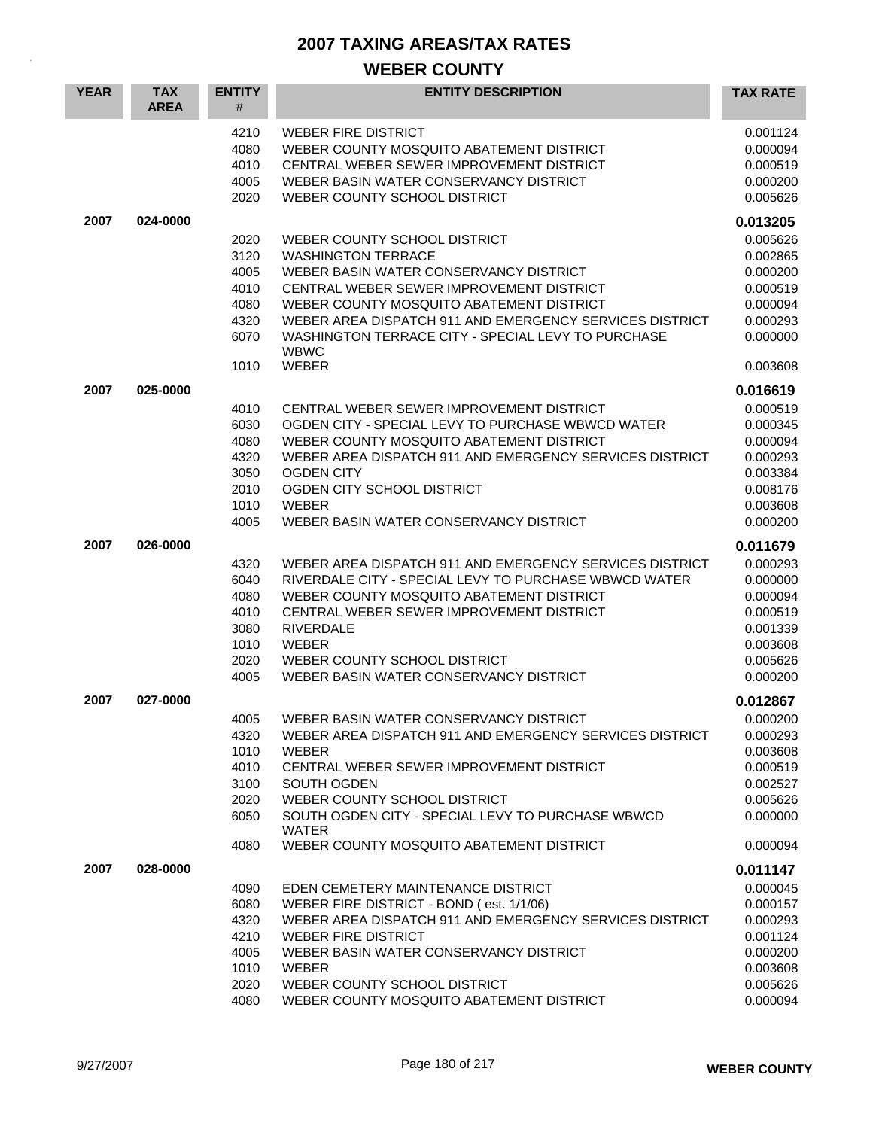| <b>YEAR</b> | <b>TAX</b><br><b>AREA</b> | <b>ENTITY</b><br>#                                           | <b>ENTITY DESCRIPTION</b>                                                                                                                                                                                                                                                                                                   | <b>TAX RATE</b>                                                                                          |
|-------------|---------------------------|--------------------------------------------------------------|-----------------------------------------------------------------------------------------------------------------------------------------------------------------------------------------------------------------------------------------------------------------------------------------------------------------------------|----------------------------------------------------------------------------------------------------------|
|             |                           | 4210<br>4080<br>4010<br>4005<br>2020                         | WEBER FIRE DISTRICT<br>WEBER COUNTY MOSQUITO ABATEMENT DISTRICT<br>CENTRAL WEBER SEWER IMPROVEMENT DISTRICT<br>WEBER BASIN WATER CONSERVANCY DISTRICT<br>WEBER COUNTY SCHOOL DISTRICT                                                                                                                                       | 0.001124<br>0.000094<br>0.000519<br>0.000200<br>0.005626                                                 |
| 2007        | 024-0000                  |                                                              |                                                                                                                                                                                                                                                                                                                             | 0.013205                                                                                                 |
|             |                           | 2020<br>3120<br>4005<br>4010<br>4080<br>4320<br>6070         | WEBER COUNTY SCHOOL DISTRICT<br><b>WASHINGTON TERRACE</b><br>WEBER BASIN WATER CONSERVANCY DISTRICT<br>CENTRAL WEBER SEWER IMPROVEMENT DISTRICT<br>WEBER COUNTY MOSQUITO ABATEMENT DISTRICT<br>WEBER AREA DISPATCH 911 AND EMERGENCY SERVICES DISTRICT<br>WASHINGTON TERRACE CITY - SPECIAL LEVY TO PURCHASE<br><b>WBWC</b> | 0.005626<br>0.002865<br>0.000200<br>0.000519<br>0.000094<br>0.000293<br>0.000000                         |
|             |                           | 1010                                                         | <b>WEBER</b>                                                                                                                                                                                                                                                                                                                | 0.003608                                                                                                 |
| 2007        | 025-0000                  | 4010<br>6030<br>4080<br>4320<br>3050<br>2010<br>1010<br>4005 | CENTRAL WEBER SEWER IMPROVEMENT DISTRICT<br>OGDEN CITY - SPECIAL LEVY TO PURCHASE WBWCD WATER<br>WEBER COUNTY MOSQUITO ABATEMENT DISTRICT<br>WEBER AREA DISPATCH 911 AND EMERGENCY SERVICES DISTRICT<br><b>OGDEN CITY</b><br>OGDEN CITY SCHOOL DISTRICT<br><b>WEBER</b><br>WEBER BASIN WATER CONSERVANCY DISTRICT           | 0.016619<br>0.000519<br>0.000345<br>0.000094<br>0.000293<br>0.003384<br>0.008176<br>0.003608<br>0.000200 |
| 2007        | 026-0000                  |                                                              |                                                                                                                                                                                                                                                                                                                             | 0.011679                                                                                                 |
|             |                           | 4320<br>6040<br>4080<br>4010<br>3080<br>1010<br>2020<br>4005 | WEBER AREA DISPATCH 911 AND EMERGENCY SERVICES DISTRICT<br>RIVERDALE CITY - SPECIAL LEVY TO PURCHASE WBWCD WATER<br>WEBER COUNTY MOSQUITO ABATEMENT DISTRICT<br>CENTRAL WEBER SEWER IMPROVEMENT DISTRICT<br><b>RIVERDALE</b><br><b>WEBER</b><br>WEBER COUNTY SCHOOL DISTRICT<br>WEBER BASIN WATER CONSERVANCY DISTRICT      | 0.000293<br>0.000000<br>0.000094<br>0.000519<br>0.001339<br>0.003608<br>0.005626<br>0.000200             |
| 2007        | 027-0000                  |                                                              |                                                                                                                                                                                                                                                                                                                             | 0.012867                                                                                                 |
|             |                           | 4005<br>4320<br>1010<br>4010<br>3100<br>2020<br>6050         | WEBER BASIN WATER CONSERVANCY DISTRICT<br>WEBER AREA DISPATCH 911 AND EMERGENCY SERVICES DISTRICT<br><b>WEBER</b><br>CENTRAL WEBER SEWER IMPROVEMENT DISTRICT<br>SOUTH OGDEN<br>WEBER COUNTY SCHOOL DISTRICT<br>SOUTH OGDEN CITY - SPECIAL LEVY TO PURCHASE WBWCD<br><b>WATER</b>                                           | 0.000200<br>0.000293<br>0.003608<br>0.000519<br>0.002527<br>0.005626<br>0.000000                         |
|             |                           | 4080                                                         | WEBER COUNTY MOSQUITO ABATEMENT DISTRICT                                                                                                                                                                                                                                                                                    | 0.000094                                                                                                 |
| 2007        | 028-0000                  | 4090<br>6080<br>4320<br>4210<br>4005<br>1010<br>2020<br>4080 | EDEN CEMETERY MAINTENANCE DISTRICT<br>WEBER FIRE DISTRICT - BOND (est. 1/1/06)<br>WEBER AREA DISPATCH 911 AND EMERGENCY SERVICES DISTRICT<br><b>WEBER FIRE DISTRICT</b><br>WEBER BASIN WATER CONSERVANCY DISTRICT<br><b>WEBER</b><br>WEBER COUNTY SCHOOL DISTRICT<br>WEBER COUNTY MOSQUITO ABATEMENT DISTRICT               | 0.011147<br>0.000045<br>0.000157<br>0.000293<br>0.001124<br>0.000200<br>0.003608<br>0.005626<br>0.000094 |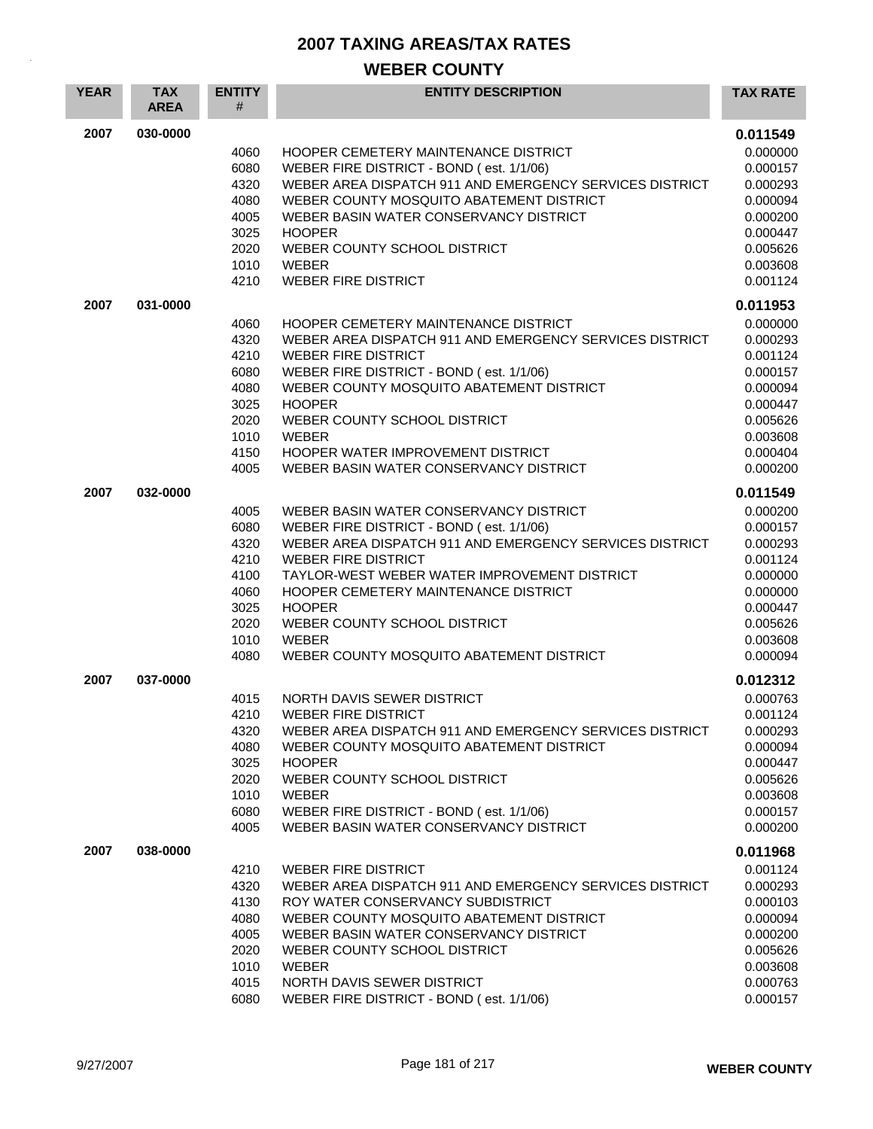| <b>YEAR</b> | <b>TAX</b><br><b>AREA</b> | <b>ENTITY</b><br># | <b>ENTITY DESCRIPTION</b>                                                                           | <b>TAX RATE</b>      |
|-------------|---------------------------|--------------------|-----------------------------------------------------------------------------------------------------|----------------------|
| 2007        | 030-0000                  |                    |                                                                                                     | 0.011549             |
|             |                           | 4060               | HOOPER CEMETERY MAINTENANCE DISTRICT                                                                | 0.000000             |
|             |                           | 6080               | WEBER FIRE DISTRICT - BOND (est. 1/1/06)                                                            | 0.000157             |
|             |                           | 4320               | WEBER AREA DISPATCH 911 AND EMERGENCY SERVICES DISTRICT                                             | 0.000293             |
|             |                           | 4080               | WEBER COUNTY MOSQUITO ABATEMENT DISTRICT                                                            | 0.000094             |
|             |                           | 4005<br>3025       | WEBER BASIN WATER CONSERVANCY DISTRICT<br><b>HOOPER</b>                                             | 0.000200<br>0.000447 |
|             |                           | 2020               | WEBER COUNTY SCHOOL DISTRICT                                                                        | 0.005626             |
|             |                           | 1010               | <b>WEBER</b>                                                                                        | 0.003608             |
|             |                           | 4210               | <b>WEBER FIRE DISTRICT</b>                                                                          | 0.001124             |
| 2007        | 031-0000                  |                    |                                                                                                     | 0.011953             |
|             |                           | 4060               | HOOPER CEMETERY MAINTENANCE DISTRICT                                                                | 0.000000             |
|             |                           | 4320               | WEBER AREA DISPATCH 911 AND EMERGENCY SERVICES DISTRICT                                             | 0.000293             |
|             |                           | 4210               | <b>WEBER FIRE DISTRICT</b>                                                                          | 0.001124             |
|             |                           | 6080               | WEBER FIRE DISTRICT - BOND (est. 1/1/06)                                                            | 0.000157             |
|             |                           | 4080               | WEBER COUNTY MOSQUITO ABATEMENT DISTRICT                                                            | 0.000094             |
|             |                           | 3025               | <b>HOOPER</b>                                                                                       | 0.000447             |
|             |                           | 2020               | WEBER COUNTY SCHOOL DISTRICT                                                                        | 0.005626             |
|             |                           | 1010               | <b>WEBER</b>                                                                                        | 0.003608             |
|             |                           | 4150               | HOOPER WATER IMPROVEMENT DISTRICT                                                                   | 0.000404             |
|             |                           | 4005               | WEBER BASIN WATER CONSERVANCY DISTRICT                                                              | 0.000200             |
| 2007        | 032-0000                  |                    |                                                                                                     | 0.011549             |
|             |                           | 4005<br>6080       | WEBER BASIN WATER CONSERVANCY DISTRICT                                                              | 0.000200             |
|             |                           | 4320               | WEBER FIRE DISTRICT - BOND (est. 1/1/06)<br>WEBER AREA DISPATCH 911 AND EMERGENCY SERVICES DISTRICT | 0.000157<br>0.000293 |
|             |                           | 4210               | <b>WEBER FIRE DISTRICT</b>                                                                          | 0.001124             |
|             |                           | 4100               | TAYLOR-WEST WEBER WATER IMPROVEMENT DISTRICT                                                        | 0.000000             |
|             |                           | 4060               | HOOPER CEMETERY MAINTENANCE DISTRICT                                                                | 0.000000             |
|             |                           | 3025               | <b>HOOPER</b>                                                                                       | 0.000447             |
|             |                           | 2020               | WEBER COUNTY SCHOOL DISTRICT                                                                        | 0.005626             |
|             |                           | 1010               | <b>WEBER</b>                                                                                        | 0.003608             |
|             |                           | 4080               | WEBER COUNTY MOSQUITO ABATEMENT DISTRICT                                                            | 0.000094             |
| 2007        | 037-0000                  |                    |                                                                                                     | 0.012312             |
|             |                           | 4015               | NORTH DAVIS SEWER DISTRICT<br><b>WEBER FIRE DISTRICT</b>                                            | 0.000763<br>0.001124 |
|             |                           | 4210<br>4320       | WEBER AREA DISPATCH 911 AND EMERGENCY SERVICES DISTRICT                                             | 0.000293             |
|             |                           | 4080               | WEBER COUNTY MOSQUITO ABATEMENT DISTRICT                                                            | 0.000094             |
|             |                           | 3025               | <b>HOOPER</b>                                                                                       | 0.000447             |
|             |                           | 2020               | WEBER COUNTY SCHOOL DISTRICT                                                                        | 0.005626             |
|             |                           | 1010               | WEBER                                                                                               | 0.003608             |
|             |                           | 6080               | WEBER FIRE DISTRICT - BOND (est. 1/1/06)                                                            | 0.000157             |
|             |                           | 4005               | WEBER BASIN WATER CONSERVANCY DISTRICT                                                              | 0.000200             |
| 2007        | 038-0000                  |                    |                                                                                                     | 0.011968             |
|             |                           | 4210               | <b>WEBER FIRE DISTRICT</b>                                                                          | 0.001124             |
|             |                           | 4320               | WEBER AREA DISPATCH 911 AND EMERGENCY SERVICES DISTRICT                                             | 0.000293             |
|             |                           | 4130               | ROY WATER CONSERVANCY SUBDISTRICT                                                                   | 0.000103             |
|             |                           | 4080               | WEBER COUNTY MOSQUITO ABATEMENT DISTRICT                                                            | 0.000094             |
|             |                           | 4005               | WEBER BASIN WATER CONSERVANCY DISTRICT                                                              | 0.000200             |
|             |                           | 2020<br>1010       | WEBER COUNTY SCHOOL DISTRICT<br>WEBER                                                               | 0.005626<br>0.003608 |
|             |                           | 4015               | NORTH DAVIS SEWER DISTRICT                                                                          | 0.000763             |
|             |                           | 6080               | WEBER FIRE DISTRICT - BOND (est. 1/1/06)                                                            | 0.000157             |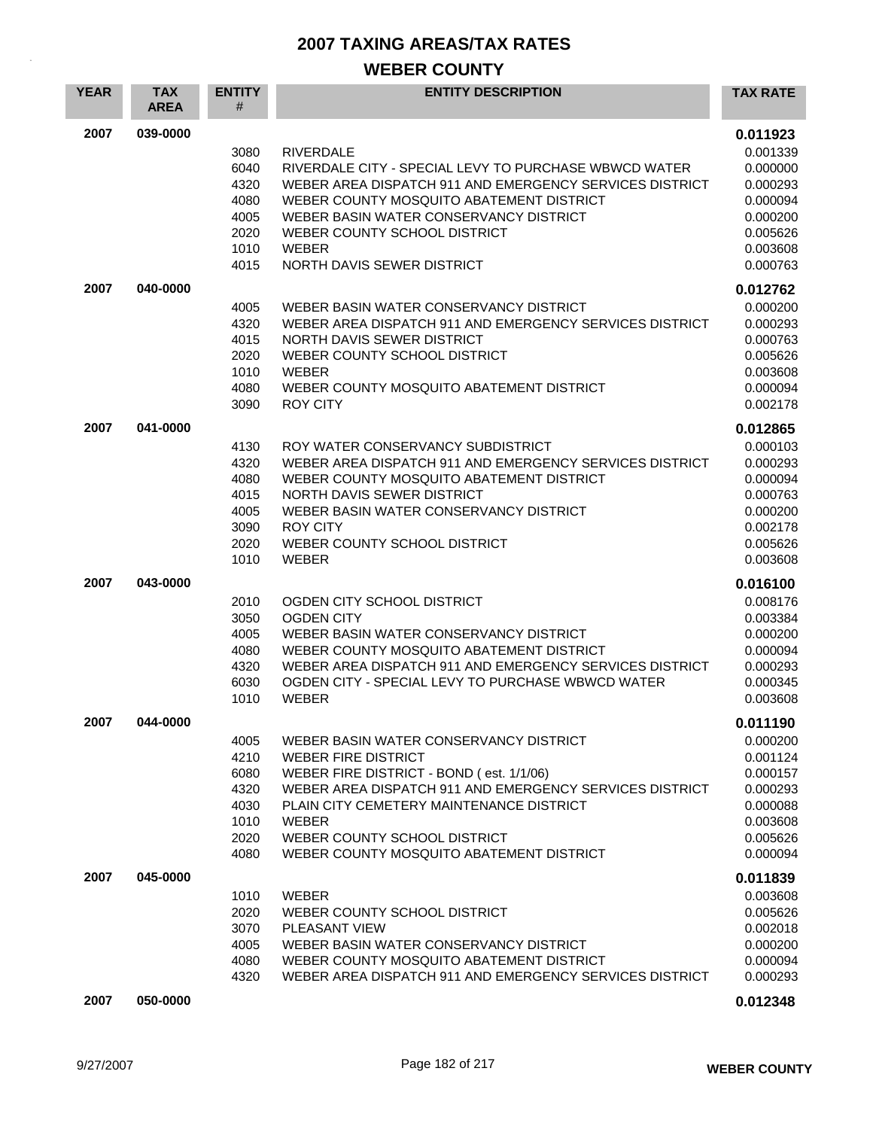| <b>YEAR</b> | <b>TAX</b><br><b>AREA</b> | <b>ENTITY</b><br>#                                           | <b>ENTITY DESCRIPTION</b>                                                                                                                                                                                                                                                                                           | <b>TAX RATE</b>                                                                                          |
|-------------|---------------------------|--------------------------------------------------------------|---------------------------------------------------------------------------------------------------------------------------------------------------------------------------------------------------------------------------------------------------------------------------------------------------------------------|----------------------------------------------------------------------------------------------------------|
| 2007        | 039-0000                  | 3080<br>6040<br>4320<br>4080<br>4005<br>2020<br>1010<br>4015 | <b>RIVERDALE</b><br>RIVERDALE CITY - SPECIAL LEVY TO PURCHASE WBWCD WATER<br>WEBER AREA DISPATCH 911 AND EMERGENCY SERVICES DISTRICT<br>WEBER COUNTY MOSQUITO ABATEMENT DISTRICT<br>WEBER BASIN WATER CONSERVANCY DISTRICT<br>WEBER COUNTY SCHOOL DISTRICT<br><b>WEBER</b><br>NORTH DAVIS SEWER DISTRICT            | 0.011923<br>0.001339<br>0.000000<br>0.000293<br>0.000094<br>0.000200<br>0.005626<br>0.003608<br>0.000763 |
| 2007        | 040-0000                  | 4005<br>4320<br>4015<br>2020<br>1010<br>4080<br>3090         | WEBER BASIN WATER CONSERVANCY DISTRICT<br>WEBER AREA DISPATCH 911 AND EMERGENCY SERVICES DISTRICT<br>NORTH DAVIS SEWER DISTRICT<br>WEBER COUNTY SCHOOL DISTRICT<br><b>WEBER</b><br>WEBER COUNTY MOSQUITO ABATEMENT DISTRICT<br><b>ROY CITY</b>                                                                      | 0.012762<br>0.000200<br>0.000293<br>0.000763<br>0.005626<br>0.003608<br>0.000094<br>0.002178             |
| 2007        | 041-0000                  | 4130<br>4320<br>4080<br>4015<br>4005<br>3090<br>2020<br>1010 | ROY WATER CONSERVANCY SUBDISTRICT<br>WEBER AREA DISPATCH 911 AND EMERGENCY SERVICES DISTRICT<br>WEBER COUNTY MOSQUITO ABATEMENT DISTRICT<br>NORTH DAVIS SEWER DISTRICT<br>WEBER BASIN WATER CONSERVANCY DISTRICT<br><b>ROY CITY</b><br>WEBER COUNTY SCHOOL DISTRICT<br><b>WEBER</b>                                 | 0.012865<br>0.000103<br>0.000293<br>0.000094<br>0.000763<br>0.000200<br>0.002178<br>0.005626<br>0.003608 |
| 2007        | 043-0000                  | 2010<br>3050<br>4005<br>4080<br>4320<br>6030<br>1010         | OGDEN CITY SCHOOL DISTRICT<br><b>OGDEN CITY</b><br>WEBER BASIN WATER CONSERVANCY DISTRICT<br>WEBER COUNTY MOSQUITO ABATEMENT DISTRICT<br>WEBER AREA DISPATCH 911 AND EMERGENCY SERVICES DISTRICT<br>OGDEN CITY - SPECIAL LEVY TO PURCHASE WBWCD WATER<br><b>WEBER</b>                                               | 0.016100<br>0.008176<br>0.003384<br>0.000200<br>0.000094<br>0.000293<br>0.000345<br>0.003608             |
| 2007        | 044-0000                  | 4005<br>4210<br>6080<br>4320<br>4030<br>1010<br>2020<br>4080 | WEBER BASIN WATER CONSERVANCY DISTRICT<br><b>WEBER FIRE DISTRICT</b><br>WEBER FIRE DISTRICT - BOND (est. 1/1/06)<br>WEBER AREA DISPATCH 911 AND EMERGENCY SERVICES DISTRICT<br>PLAIN CITY CEMETERY MAINTENANCE DISTRICT<br><b>WEBER</b><br>WEBER COUNTY SCHOOL DISTRICT<br>WEBER COUNTY MOSQUITO ABATEMENT DISTRICT | 0.011190<br>0.000200<br>0.001124<br>0.000157<br>0.000293<br>0.000088<br>0.003608<br>0.005626<br>0.000094 |
| 2007        | 045-0000                  | 1010<br>2020<br>3070<br>4005<br>4080<br>4320                 | WEBER<br>WEBER COUNTY SCHOOL DISTRICT<br><b>PLEASANT VIEW</b><br>WEBER BASIN WATER CONSERVANCY DISTRICT<br>WEBER COUNTY MOSQUITO ABATEMENT DISTRICT<br>WEBER AREA DISPATCH 911 AND EMERGENCY SERVICES DISTRICT                                                                                                      | 0.011839<br>0.003608<br>0.005626<br>0.002018<br>0.000200<br>0.000094<br>0.000293                         |
| 2007        | 050-0000                  |                                                              |                                                                                                                                                                                                                                                                                                                     | 0.012348                                                                                                 |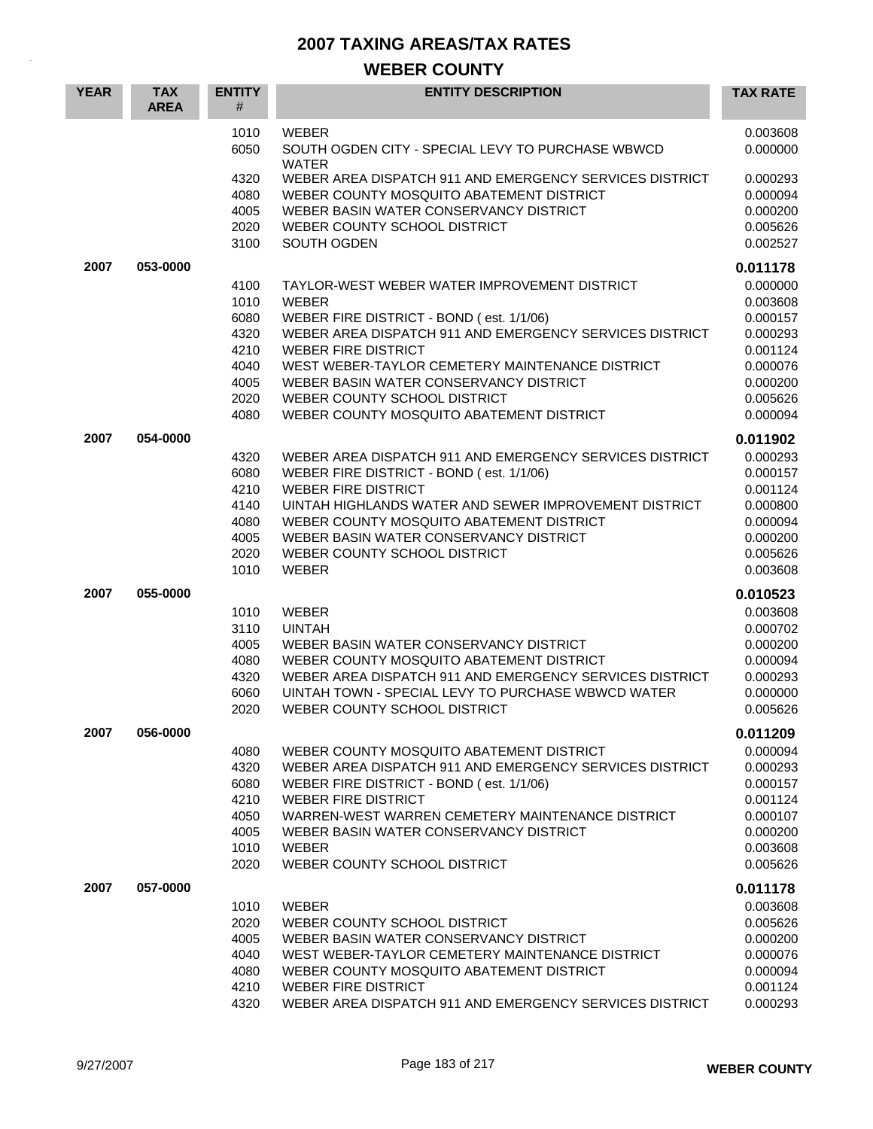| <b>YEAR</b> | <b>TAX</b><br><b>AREA</b> | <b>ENTITY</b><br>#                                           | <b>ENTITY DESCRIPTION</b>                                                                                                                                                                                                                                                                                                        | <b>TAX RATE</b>                                                                                          |
|-------------|---------------------------|--------------------------------------------------------------|----------------------------------------------------------------------------------------------------------------------------------------------------------------------------------------------------------------------------------------------------------------------------------------------------------------------------------|----------------------------------------------------------------------------------------------------------|
|             |                           | 1010<br>6050                                                 | <b>WEBER</b><br>SOUTH OGDEN CITY - SPECIAL LEVY TO PURCHASE WBWCD<br><b>WATER</b>                                                                                                                                                                                                                                                | 0.003608<br>0.000000                                                                                     |
|             |                           | 4320<br>4080<br>4005<br>2020                                 | WEBER AREA DISPATCH 911 AND EMERGENCY SERVICES DISTRICT<br>WEBER COUNTY MOSQUITO ABATEMENT DISTRICT<br>WEBER BASIN WATER CONSERVANCY DISTRICT<br>WEBER COUNTY SCHOOL DISTRICT                                                                                                                                                    | 0.000293<br>0.000094<br>0.000200<br>0.005626                                                             |
|             |                           | 3100                                                         | SOUTH OGDEN                                                                                                                                                                                                                                                                                                                      | 0.002527                                                                                                 |
| 2007        | 053-0000                  | 4100<br>1010<br>6080<br>4320<br>4210<br>4040<br>4005<br>2020 | TAYLOR-WEST WEBER WATER IMPROVEMENT DISTRICT<br><b>WEBER</b><br>WEBER FIRE DISTRICT - BOND (est. 1/1/06)<br>WEBER AREA DISPATCH 911 AND EMERGENCY SERVICES DISTRICT<br><b>WEBER FIRE DISTRICT</b><br>WEST WEBER-TAYLOR CEMETERY MAINTENANCE DISTRICT<br>WEBER BASIN WATER CONSERVANCY DISTRICT<br>WEBER COUNTY SCHOOL DISTRICT   | 0.011178<br>0.000000<br>0.003608<br>0.000157<br>0.000293<br>0.001124<br>0.000076<br>0.000200<br>0.005626 |
|             |                           | 4080                                                         | WEBER COUNTY MOSQUITO ABATEMENT DISTRICT                                                                                                                                                                                                                                                                                         | 0.000094                                                                                                 |
| 2007        | 054-0000                  | 4320<br>6080<br>4210<br>4140<br>4080<br>4005<br>2020<br>1010 | WEBER AREA DISPATCH 911 AND EMERGENCY SERVICES DISTRICT<br>WEBER FIRE DISTRICT - BOND (est. 1/1/06)<br><b>WEBER FIRE DISTRICT</b><br>UINTAH HIGHLANDS WATER AND SEWER IMPROVEMENT DISTRICT<br>WEBER COUNTY MOSQUITO ABATEMENT DISTRICT<br>WEBER BASIN WATER CONSERVANCY DISTRICT<br>WEBER COUNTY SCHOOL DISTRICT<br><b>WEBER</b> | 0.011902<br>0.000293<br>0.000157<br>0.001124<br>0.000800<br>0.000094<br>0.000200<br>0.005626<br>0.003608 |
| 2007        | 055-0000                  | 1010<br>3110<br>4005<br>4080<br>4320<br>6060<br>2020         | WEBER<br><b>UINTAH</b><br>WEBER BASIN WATER CONSERVANCY DISTRICT<br>WEBER COUNTY MOSQUITO ABATEMENT DISTRICT<br>WEBER AREA DISPATCH 911 AND EMERGENCY SERVICES DISTRICT<br>UINTAH TOWN - SPECIAL LEVY TO PURCHASE WBWCD WATER<br>WEBER COUNTY SCHOOL DISTRICT                                                                    | 0.010523<br>0.003608<br>0.000702<br>0.000200<br>0.000094<br>0.000293<br>0.000000<br>0.005626             |
| 2007        | 056-0000                  | 4080<br>4320<br>6080<br>4210<br>4050<br>4005<br>1010<br>2020 | WEBER COUNTY MOSQUITO ABATEMENT DISTRICT<br>WEBER AREA DISPATCH 911 AND EMERGENCY SERVICES DISTRICT<br>WEBER FIRE DISTRICT - BOND (est. 1/1/06)<br><b>WEBER FIRE DISTRICT</b><br>WARREN-WEST WARREN CEMETERY MAINTENANCE DISTRICT<br>WEBER BASIN WATER CONSERVANCY DISTRICT<br><b>WEBER</b><br>WEBER COUNTY SCHOOL DISTRICT      | 0.011209<br>0.000094<br>0.000293<br>0.000157<br>0.001124<br>0.000107<br>0.000200<br>0.003608<br>0.005626 |
| 2007        | 057-0000                  | 1010<br>2020<br>4005<br>4040<br>4080<br>4210<br>4320         | <b>WEBER</b><br>WEBER COUNTY SCHOOL DISTRICT<br>WEBER BASIN WATER CONSERVANCY DISTRICT<br>WEST WEBER-TAYLOR CEMETERY MAINTENANCE DISTRICT<br>WEBER COUNTY MOSQUITO ABATEMENT DISTRICT<br><b>WEBER FIRE DISTRICT</b><br>WEBER AREA DISPATCH 911 AND EMERGENCY SERVICES DISTRICT                                                   | 0.011178<br>0.003608<br>0.005626<br>0.000200<br>0.000076<br>0.000094<br>0.001124<br>0.000293             |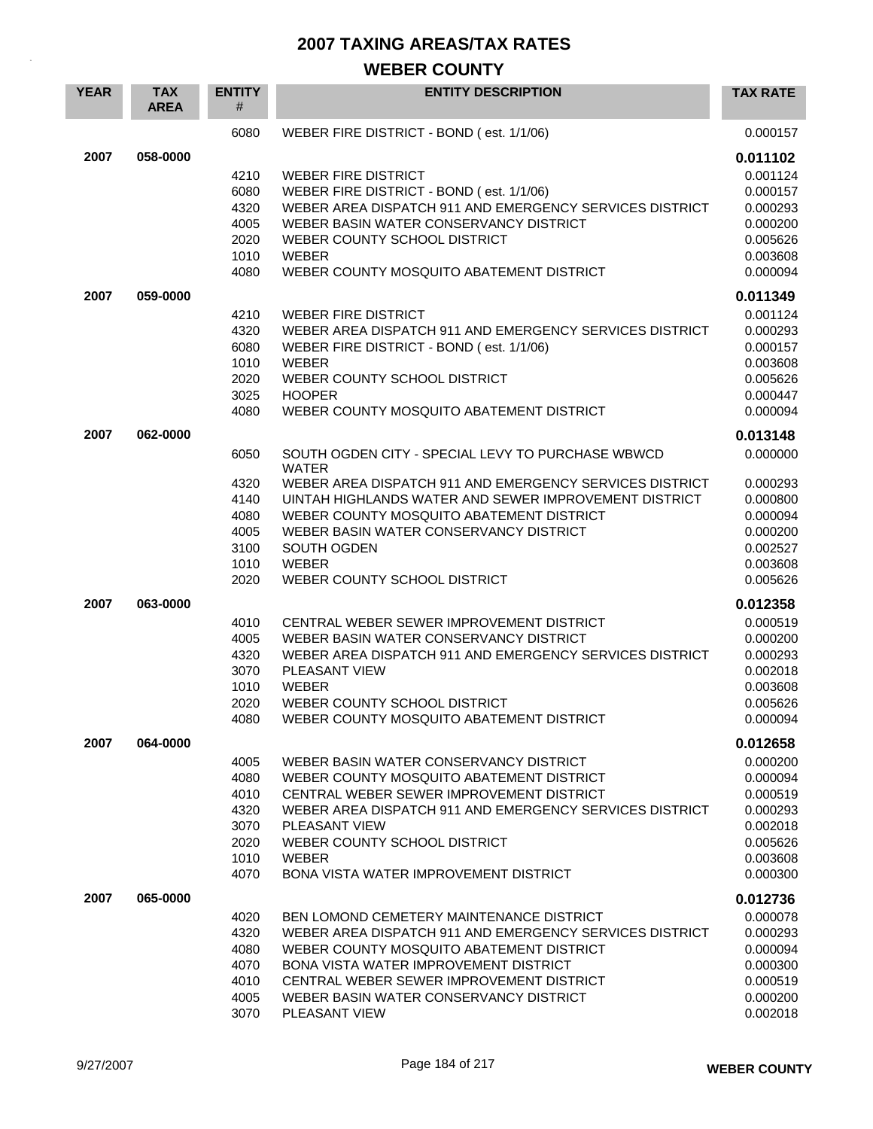| <b>YEAR</b> | <b>TAX</b><br><b>AREA</b> | <b>ENTITY</b><br>#                                           | <b>ENTITY DESCRIPTION</b>                                                                                                                                                                                                                                                                                     | <b>TAX RATE</b>                                                                                          |
|-------------|---------------------------|--------------------------------------------------------------|---------------------------------------------------------------------------------------------------------------------------------------------------------------------------------------------------------------------------------------------------------------------------------------------------------------|----------------------------------------------------------------------------------------------------------|
|             |                           | 6080                                                         | WEBER FIRE DISTRICT - BOND (est. 1/1/06)                                                                                                                                                                                                                                                                      | 0.000157                                                                                                 |
| 2007        | 058-0000                  | 4210<br>6080<br>4320<br>4005                                 | <b>WEBER FIRE DISTRICT</b><br>WEBER FIRE DISTRICT - BOND (est. 1/1/06)<br>WEBER AREA DISPATCH 911 AND EMERGENCY SERVICES DISTRICT<br>WEBER BASIN WATER CONSERVANCY DISTRICT                                                                                                                                   | 0.011102<br>0.001124<br>0.000157<br>0.000293<br>0.000200                                                 |
|             |                           | 2020<br>1010<br>4080                                         | WEBER COUNTY SCHOOL DISTRICT<br>WEBER<br>WEBER COUNTY MOSQUITO ABATEMENT DISTRICT                                                                                                                                                                                                                             | 0.005626<br>0.003608<br>0.000094                                                                         |
| 2007        | 059-0000                  |                                                              |                                                                                                                                                                                                                                                                                                               | 0.011349                                                                                                 |
|             |                           | 4210<br>4320<br>6080<br>1010<br>2020<br>3025<br>4080         | <b>WEBER FIRE DISTRICT</b><br>WEBER AREA DISPATCH 911 AND EMERGENCY SERVICES DISTRICT<br>WEBER FIRE DISTRICT - BOND (est. 1/1/06)<br><b>WEBER</b><br>WEBER COUNTY SCHOOL DISTRICT<br><b>HOOPER</b><br>WEBER COUNTY MOSQUITO ABATEMENT DISTRICT                                                                | 0.001124<br>0.000293<br>0.000157<br>0.003608<br>0.005626<br>0.000447<br>0.000094                         |
| 2007        | 062-0000                  | 6050                                                         | SOUTH OGDEN CITY - SPECIAL LEVY TO PURCHASE WBWCD                                                                                                                                                                                                                                                             | 0.013148<br>0.000000                                                                                     |
|             |                           | 4320<br>4140<br>4080<br>4005<br>3100<br>1010<br>2020         | <b>WATER</b><br>WEBER AREA DISPATCH 911 AND EMERGENCY SERVICES DISTRICT<br>UINTAH HIGHLANDS WATER AND SEWER IMPROVEMENT DISTRICT<br>WEBER COUNTY MOSQUITO ABATEMENT DISTRICT<br>WEBER BASIN WATER CONSERVANCY DISTRICT<br>SOUTH OGDEN<br>WEBER<br>WEBER COUNTY SCHOOL DISTRICT                                | 0.000293<br>0.000800<br>0.000094<br>0.000200<br>0.002527<br>0.003608<br>0.005626                         |
| 2007        | 063-0000                  | 4010<br>4005<br>4320<br>3070<br>1010<br>2020<br>4080         | CENTRAL WEBER SEWER IMPROVEMENT DISTRICT<br>WEBER BASIN WATER CONSERVANCY DISTRICT<br>WEBER AREA DISPATCH 911 AND EMERGENCY SERVICES DISTRICT<br>PLEASANT VIEW<br>WEBER<br>WEBER COUNTY SCHOOL DISTRICT<br>WEBER COUNTY MOSQUITO ABATEMENT DISTRICT                                                           | 0.012358<br>0.000519<br>0.000200<br>0.000293<br>0.002018<br>0.003608<br>0.005626<br>0.000094             |
| 2007        | 064-0000                  | 4005<br>4080<br>4010<br>4320<br>3070<br>2020<br>1010<br>4070 | WEBER BASIN WATER CONSERVANCY DISTRICT<br>WEBER COUNTY MOSQUITO ABATEMENT DISTRICT<br>CENTRAL WEBER SEWER IMPROVEMENT DISTRICT<br>WEBER AREA DISPATCH 911 AND EMERGENCY SERVICES DISTRICT<br><b>PLEASANT VIEW</b><br>WEBER COUNTY SCHOOL DISTRICT<br>WEBER<br><b>BONA VISTA WATER IMPROVEMENT DISTRICT</b>    | 0.012658<br>0.000200<br>0.000094<br>0.000519<br>0.000293<br>0.002018<br>0.005626<br>0.003608<br>0.000300 |
| 2007        | 065-0000                  | 4020<br>4320<br>4080<br>4070<br>4010<br>4005<br>3070         | BEN LOMOND CEMETERY MAINTENANCE DISTRICT<br>WEBER AREA DISPATCH 911 AND EMERGENCY SERVICES DISTRICT<br>WEBER COUNTY MOSQUITO ABATEMENT DISTRICT<br><b>BONA VISTA WATER IMPROVEMENT DISTRICT</b><br>CENTRAL WEBER SEWER IMPROVEMENT DISTRICT<br>WEBER BASIN WATER CONSERVANCY DISTRICT<br><b>PLEASANT VIEW</b> | 0.012736<br>0.000078<br>0.000293<br>0.000094<br>0.000300<br>0.000519<br>0.000200<br>0.002018             |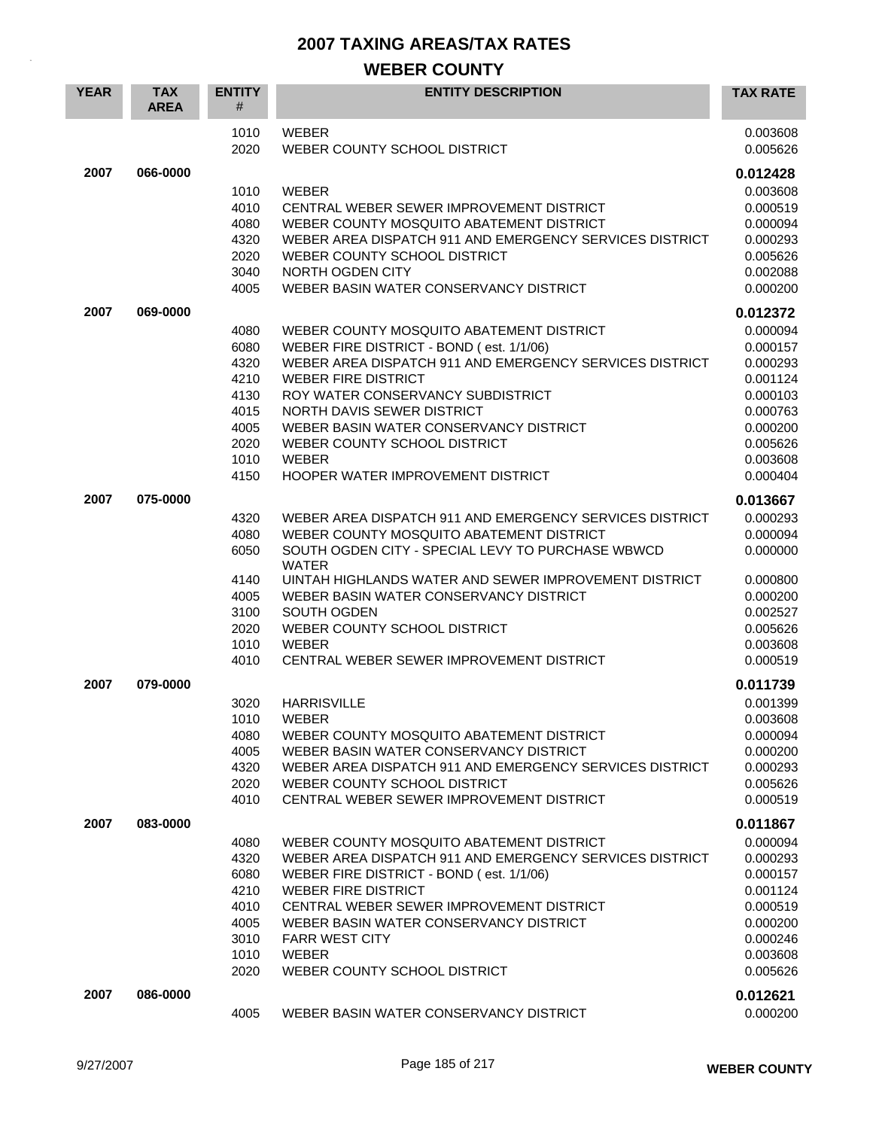| <b>YEAR</b>  | <b>TAX</b><br><b>AREA</b> | <b>ENTITY</b><br>#                                                           | <b>ENTITY DESCRIPTION</b>                                                                                                                                                                                                                                                                                                                                                                                        | <b>TAX RATE</b>                                                                                                                  |
|--------------|---------------------------|------------------------------------------------------------------------------|------------------------------------------------------------------------------------------------------------------------------------------------------------------------------------------------------------------------------------------------------------------------------------------------------------------------------------------------------------------------------------------------------------------|----------------------------------------------------------------------------------------------------------------------------------|
|              |                           | 1010<br>2020                                                                 | <b>WEBER</b><br>WEBER COUNTY SCHOOL DISTRICT                                                                                                                                                                                                                                                                                                                                                                     | 0.003608<br>0.005626                                                                                                             |
| 2007<br>2007 | 066-0000<br>069-0000      | 1010<br>4010<br>4080<br>4320<br>2020<br>3040<br>4005<br>4080<br>6080<br>4320 | <b>WEBER</b><br>CENTRAL WEBER SEWER IMPROVEMENT DISTRICT<br>WEBER COUNTY MOSQUITO ABATEMENT DISTRICT<br>WEBER AREA DISPATCH 911 AND EMERGENCY SERVICES DISTRICT<br>WEBER COUNTY SCHOOL DISTRICT<br>NORTH OGDEN CITY<br>WEBER BASIN WATER CONSERVANCY DISTRICT<br>WEBER COUNTY MOSQUITO ABATEMENT DISTRICT<br>WEBER FIRE DISTRICT - BOND (est. 1/1/06)<br>WEBER AREA DISPATCH 911 AND EMERGENCY SERVICES DISTRICT | 0.012428<br>0.003608<br>0.000519<br>0.000094<br>0.000293<br>0.005626<br>0.002088<br>0.000200<br>0.012372<br>0.000094<br>0.000157 |
|              |                           | 4210<br>4130<br>4015<br>4005<br>2020<br>1010<br>4150                         | <b>WEBER FIRE DISTRICT</b><br>ROY WATER CONSERVANCY SUBDISTRICT<br>NORTH DAVIS SEWER DISTRICT<br>WEBER BASIN WATER CONSERVANCY DISTRICT<br>WEBER COUNTY SCHOOL DISTRICT<br><b>WEBER</b><br><b>HOOPER WATER IMPROVEMENT DISTRICT</b>                                                                                                                                                                              | 0.000293<br>0.001124<br>0.000103<br>0.000763<br>0.000200<br>0.005626<br>0.003608<br>0.000404                                     |
| 2007         | 075-0000                  | 4320<br>4080<br>6050<br>4140<br>4005<br>3100<br>2020<br>1010<br>4010         | WEBER AREA DISPATCH 911 AND EMERGENCY SERVICES DISTRICT<br>WEBER COUNTY MOSQUITO ABATEMENT DISTRICT<br>SOUTH OGDEN CITY - SPECIAL LEVY TO PURCHASE WBWCD<br><b>WATER</b><br>UINTAH HIGHLANDS WATER AND SEWER IMPROVEMENT DISTRICT<br>WEBER BASIN WATER CONSERVANCY DISTRICT<br>SOUTH OGDEN<br>WEBER COUNTY SCHOOL DISTRICT<br><b>WEBER</b><br>CENTRAL WEBER SEWER IMPROVEMENT DISTRICT                           | 0.013667<br>0.000293<br>0.000094<br>0.000000<br>0.000800<br>0.000200<br>0.002527<br>0.005626<br>0.003608<br>0.000519             |
| 2007         | 079-0000                  | 3020<br>4080<br>4005<br>4320<br>2020<br>4010                                 | <b>HARRISVILLE</b><br>1010 WEBER<br>WEBER COUNTY MOSQUITO ABATEMENT DISTRICT<br>WEBER BASIN WATER CONSERVANCY DISTRICT<br>WEBER AREA DISPATCH 911 AND EMERGENCY SERVICES DISTRICT<br>WEBER COUNTY SCHOOL DISTRICT<br>CENTRAL WEBER SEWER IMPROVEMENT DISTRICT                                                                                                                                                    | 0.011739<br>0.001399<br>0.003608<br>0.000094<br>0.000200<br>0.000293<br>0.005626<br>0.000519                                     |
| 2007         | 083-0000                  | 4080<br>4320<br>6080<br>4210<br>4010<br>4005<br>3010<br>1010<br>2020         | WEBER COUNTY MOSQUITO ABATEMENT DISTRICT<br>WEBER AREA DISPATCH 911 AND EMERGENCY SERVICES DISTRICT<br>WEBER FIRE DISTRICT - BOND (est. 1/1/06)<br><b>WEBER FIRE DISTRICT</b><br>CENTRAL WEBER SEWER IMPROVEMENT DISTRICT<br>WEBER BASIN WATER CONSERVANCY DISTRICT<br><b>FARR WEST CITY</b><br><b>WEBER</b><br>WEBER COUNTY SCHOOL DISTRICT                                                                     | 0.011867<br>0.000094<br>0.000293<br>0.000157<br>0.001124<br>0.000519<br>0.000200<br>0.000246<br>0.003608<br>0.005626             |
| 2007         | 086-0000                  | 4005                                                                         | WEBER BASIN WATER CONSERVANCY DISTRICT                                                                                                                                                                                                                                                                                                                                                                           | 0.012621<br>0.000200                                                                                                             |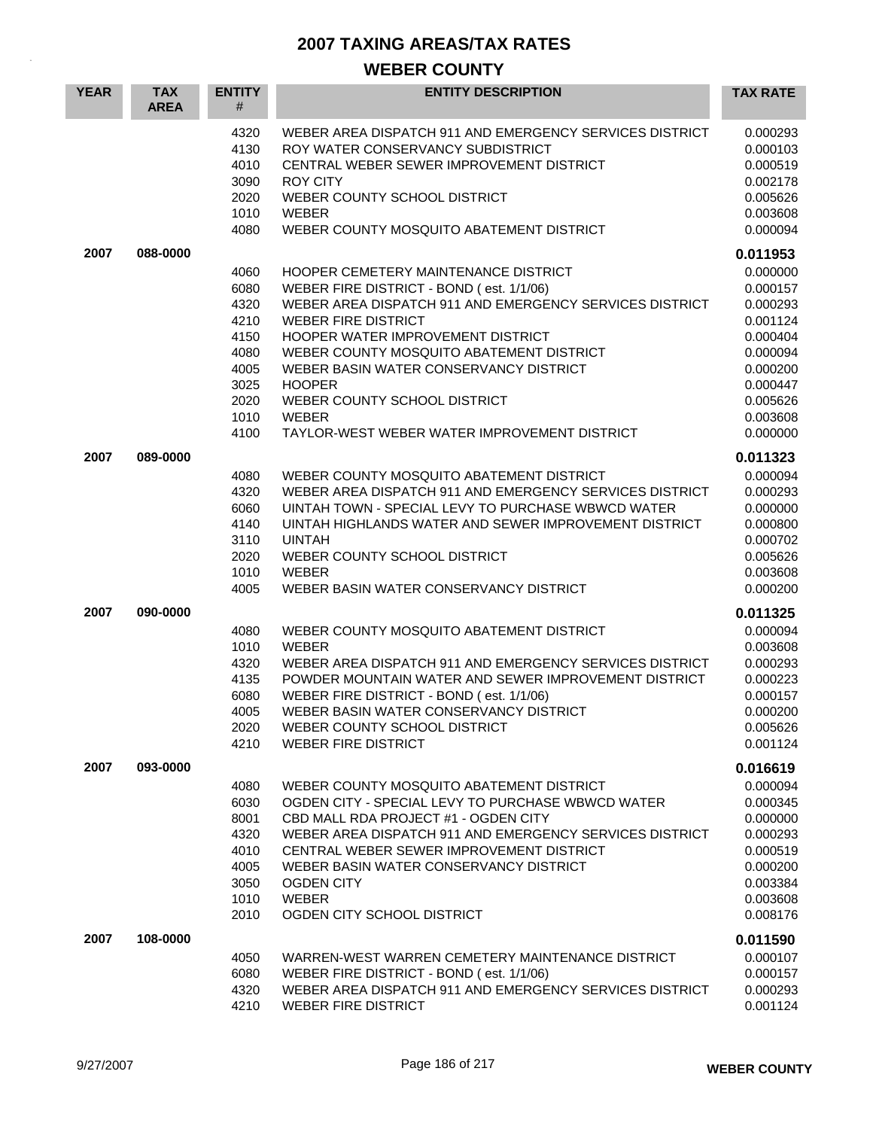| <b>YEAR</b> | <b>TAX</b><br><b>AREA</b> | <b>ENTITY</b><br>#                                                                   | <b>ENTITY DESCRIPTION</b>                                                                                                                                                                                                                                                                                                                                                                                                    | <b>TAX RATE</b>                                                                                                                              |
|-------------|---------------------------|--------------------------------------------------------------------------------------|------------------------------------------------------------------------------------------------------------------------------------------------------------------------------------------------------------------------------------------------------------------------------------------------------------------------------------------------------------------------------------------------------------------------------|----------------------------------------------------------------------------------------------------------------------------------------------|
|             |                           | 4320<br>4130<br>4010<br>3090<br>2020<br>1010<br>4080                                 | WEBER AREA DISPATCH 911 AND EMERGENCY SERVICES DISTRICT<br>ROY WATER CONSERVANCY SUBDISTRICT<br>CENTRAL WEBER SEWER IMPROVEMENT DISTRICT<br><b>ROY CITY</b><br>WEBER COUNTY SCHOOL DISTRICT<br><b>WEBER</b><br>WEBER COUNTY MOSQUITO ABATEMENT DISTRICT                                                                                                                                                                      | 0.000293<br>0.000103<br>0.000519<br>0.002178<br>0.005626<br>0.003608<br>0.000094                                                             |
| 2007        | 088-0000                  | 4060<br>6080<br>4320<br>4210<br>4150<br>4080<br>4005<br>3025<br>2020<br>1010<br>4100 | <b>HOOPER CEMETERY MAINTENANCE DISTRICT</b><br>WEBER FIRE DISTRICT - BOND (est. 1/1/06)<br>WEBER AREA DISPATCH 911 AND EMERGENCY SERVICES DISTRICT<br><b>WEBER FIRE DISTRICT</b><br>HOOPER WATER IMPROVEMENT DISTRICT<br>WEBER COUNTY MOSQUITO ABATEMENT DISTRICT<br>WEBER BASIN WATER CONSERVANCY DISTRICT<br><b>HOOPER</b><br>WEBER COUNTY SCHOOL DISTRICT<br><b>WEBER</b><br>TAYLOR-WEST WEBER WATER IMPROVEMENT DISTRICT | 0.011953<br>0.000000<br>0.000157<br>0.000293<br>0.001124<br>0.000404<br>0.000094<br>0.000200<br>0.000447<br>0.005626<br>0.003608<br>0.000000 |
| 2007        | 089-0000                  | 4080<br>4320<br>6060<br>4140<br>3110<br>2020<br>1010<br>4005                         | WEBER COUNTY MOSQUITO ABATEMENT DISTRICT<br>WEBER AREA DISPATCH 911 AND EMERGENCY SERVICES DISTRICT<br>UINTAH TOWN - SPECIAL LEVY TO PURCHASE WBWCD WATER<br>UINTAH HIGHLANDS WATER AND SEWER IMPROVEMENT DISTRICT<br><b>UINTAH</b><br>WEBER COUNTY SCHOOL DISTRICT<br><b>WEBER</b><br>WEBER BASIN WATER CONSERVANCY DISTRICT                                                                                                | 0.011323<br>0.000094<br>0.000293<br>0.000000<br>0.000800<br>0.000702<br>0.005626<br>0.003608<br>0.000200                                     |
| 2007        | 090-0000                  | 4080<br>1010<br>4320<br>4135<br>6080<br>4005<br>2020<br>4210                         | WEBER COUNTY MOSQUITO ABATEMENT DISTRICT<br><b>WEBER</b><br>WEBER AREA DISPATCH 911 AND EMERGENCY SERVICES DISTRICT<br>POWDER MOUNTAIN WATER AND SEWER IMPROVEMENT DISTRICT<br>WEBER FIRE DISTRICT - BOND (est. 1/1/06)<br>WEBER BASIN WATER CONSERVANCY DISTRICT<br>WEBER COUNTY SCHOOL DISTRICT<br><b>WEBER FIRE DISTRICT</b>                                                                                              | 0.011325<br>0.000094<br>0.003608<br>0.000293<br>0.000223<br>0.000157<br>0.000200<br>0.005626<br>0.001124                                     |
| 2007        | 093-0000                  | 4080<br>6030<br>8001<br>4320<br>4010<br>4005<br>3050<br>1010<br>2010                 | WEBER COUNTY MOSQUITO ABATEMENT DISTRICT<br>OGDEN CITY - SPECIAL LEVY TO PURCHASE WBWCD WATER<br>CBD MALL RDA PROJECT #1 - OGDEN CITY<br>WEBER AREA DISPATCH 911 AND EMERGENCY SERVICES DISTRICT<br>CENTRAL WEBER SEWER IMPROVEMENT DISTRICT<br>WEBER BASIN WATER CONSERVANCY DISTRICT<br><b>OGDEN CITY</b><br><b>WEBER</b><br>OGDEN CITY SCHOOL DISTRICT                                                                    | 0.016619<br>0.000094<br>0.000345<br>0.000000<br>0.000293<br>0.000519<br>0.000200<br>0.003384<br>0.003608<br>0.008176                         |
| 2007        | 108-0000                  | 4050<br>6080<br>4320<br>4210                                                         | WARREN-WEST WARREN CEMETERY MAINTENANCE DISTRICT<br>WEBER FIRE DISTRICT - BOND (est. 1/1/06)<br>WEBER AREA DISPATCH 911 AND EMERGENCY SERVICES DISTRICT<br><b>WEBER FIRE DISTRICT</b>                                                                                                                                                                                                                                        | 0.011590<br>0.000107<br>0.000157<br>0.000293<br>0.001124                                                                                     |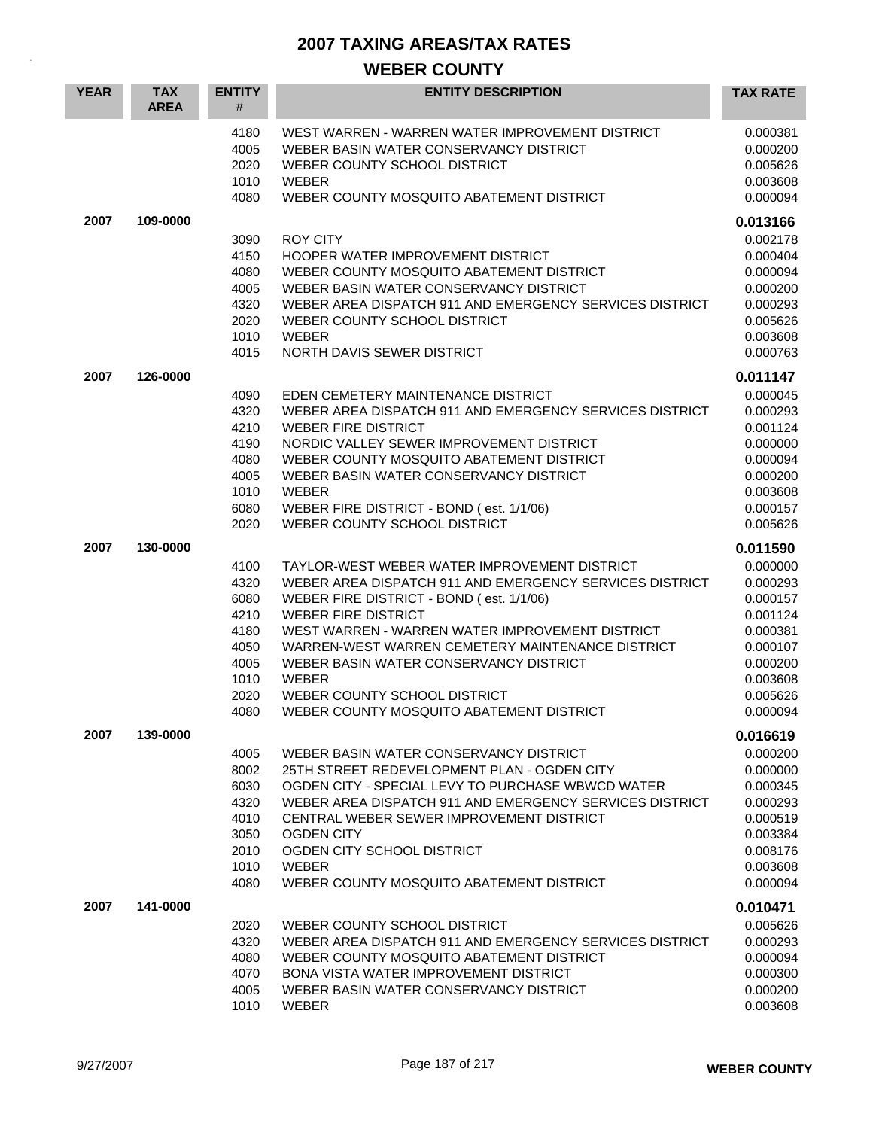| <b>YEAR</b> | <b>TAX</b><br><b>AREA</b> | <b>ENTITY</b><br>#                                                           | <b>ENTITY DESCRIPTION</b>                                                                                                                                                                                                                                                                                                                                                                                                      | <b>TAX RATE</b>                                                                                                      |
|-------------|---------------------------|------------------------------------------------------------------------------|--------------------------------------------------------------------------------------------------------------------------------------------------------------------------------------------------------------------------------------------------------------------------------------------------------------------------------------------------------------------------------------------------------------------------------|----------------------------------------------------------------------------------------------------------------------|
|             |                           | 4180<br>4005<br>2020<br>1010<br>4080                                         | WEST WARREN - WARREN WATER IMPROVEMENT DISTRICT<br>WEBER BASIN WATER CONSERVANCY DISTRICT<br>WEBER COUNTY SCHOOL DISTRICT<br><b>WEBER</b><br>WEBER COUNTY MOSQUITO ABATEMENT DISTRICT                                                                                                                                                                                                                                          | 0.000381<br>0.000200<br>0.005626<br>0.003608<br>0.000094                                                             |
| 2007        | 109-0000                  |                                                                              |                                                                                                                                                                                                                                                                                                                                                                                                                                | 0.013166                                                                                                             |
|             |                           | 3090<br>4150<br>4080<br>4005<br>4320<br>2020<br>1010<br>4015                 | <b>ROY CITY</b><br>HOOPER WATER IMPROVEMENT DISTRICT<br>WEBER COUNTY MOSQUITO ABATEMENT DISTRICT<br>WEBER BASIN WATER CONSERVANCY DISTRICT<br>WEBER AREA DISPATCH 911 AND EMERGENCY SERVICES DISTRICT<br>WEBER COUNTY SCHOOL DISTRICT<br><b>WEBER</b><br>NORTH DAVIS SEWER DISTRICT                                                                                                                                            | 0.002178<br>0.000404<br>0.000094<br>0.000200<br>0.000293<br>0.005626<br>0.003608<br>0.000763                         |
| 2007        | 126-0000                  |                                                                              |                                                                                                                                                                                                                                                                                                                                                                                                                                | 0.011147                                                                                                             |
|             |                           | 4090<br>4320<br>4210<br>4190<br>4080<br>4005<br>1010<br>6080<br>2020         | EDEN CEMETERY MAINTENANCE DISTRICT<br>WEBER AREA DISPATCH 911 AND EMERGENCY SERVICES DISTRICT<br><b>WEBER FIRE DISTRICT</b><br>NORDIC VALLEY SEWER IMPROVEMENT DISTRICT<br>WEBER COUNTY MOSQUITO ABATEMENT DISTRICT<br>WEBER BASIN WATER CONSERVANCY DISTRICT<br>WEBER<br>WEBER FIRE DISTRICT - BOND (est. 1/1/06)<br>WEBER COUNTY SCHOOL DISTRICT                                                                             | 0.000045<br>0.000293<br>0.001124<br>0.000000<br>0.000094<br>0.000200<br>0.003608<br>0.000157<br>0.005626             |
| 2007        | 130-0000                  |                                                                              |                                                                                                                                                                                                                                                                                                                                                                                                                                | 0.011590                                                                                                             |
|             |                           | 4100<br>4320<br>6080<br>4210<br>4180<br>4050<br>4005<br>1010<br>2020<br>4080 | TAYLOR-WEST WEBER WATER IMPROVEMENT DISTRICT<br>WEBER AREA DISPATCH 911 AND EMERGENCY SERVICES DISTRICT<br>WEBER FIRE DISTRICT - BOND (est. 1/1/06)<br><b>WEBER FIRE DISTRICT</b><br>WEST WARREN - WARREN WATER IMPROVEMENT DISTRICT<br>WARREN-WEST WARREN CEMETERY MAINTENANCE DISTRICT<br>WEBER BASIN WATER CONSERVANCY DISTRICT<br><b>WEBER</b><br>WEBER COUNTY SCHOOL DISTRICT<br>WEBER COUNTY MOSQUITO ABATEMENT DISTRICT | 0.000000<br>0.000293<br>0.000157<br>0.001124<br>0.000381<br>0.000107<br>0.000200<br>0.003608<br>0.005626<br>0.000094 |
| 2007        | 139-0000                  |                                                                              |                                                                                                                                                                                                                                                                                                                                                                                                                                | 0.016619                                                                                                             |
|             |                           | 4005<br>8002<br>6030<br>4320<br>4010<br>3050<br>2010<br>1010<br>4080         | WEBER BASIN WATER CONSERVANCY DISTRICT<br>25TH STREET REDEVELOPMENT PLAN - OGDEN CITY<br>OGDEN CITY - SPECIAL LEVY TO PURCHASE WBWCD WATER<br>WEBER AREA DISPATCH 911 AND EMERGENCY SERVICES DISTRICT<br>CENTRAL WEBER SEWER IMPROVEMENT DISTRICT<br><b>OGDEN CITY</b><br>OGDEN CITY SCHOOL DISTRICT<br><b>WEBER</b><br>WEBER COUNTY MOSQUITO ABATEMENT DISTRICT                                                               | 0.000200<br>0.000000<br>0.000345<br>0.000293<br>0.000519<br>0.003384<br>0.008176<br>0.003608<br>0.000094             |
| 2007        | 141-0000                  |                                                                              |                                                                                                                                                                                                                                                                                                                                                                                                                                | 0.010471                                                                                                             |
|             |                           | 2020<br>4320<br>4080<br>4070<br>4005<br>1010                                 | WEBER COUNTY SCHOOL DISTRICT<br>WEBER AREA DISPATCH 911 AND EMERGENCY SERVICES DISTRICT<br>WEBER COUNTY MOSQUITO ABATEMENT DISTRICT<br><b>BONA VISTA WATER IMPROVEMENT DISTRICT</b><br>WEBER BASIN WATER CONSERVANCY DISTRICT<br><b>WEBER</b>                                                                                                                                                                                  | 0.005626<br>0.000293<br>0.000094<br>0.000300<br>0.000200<br>0.003608                                                 |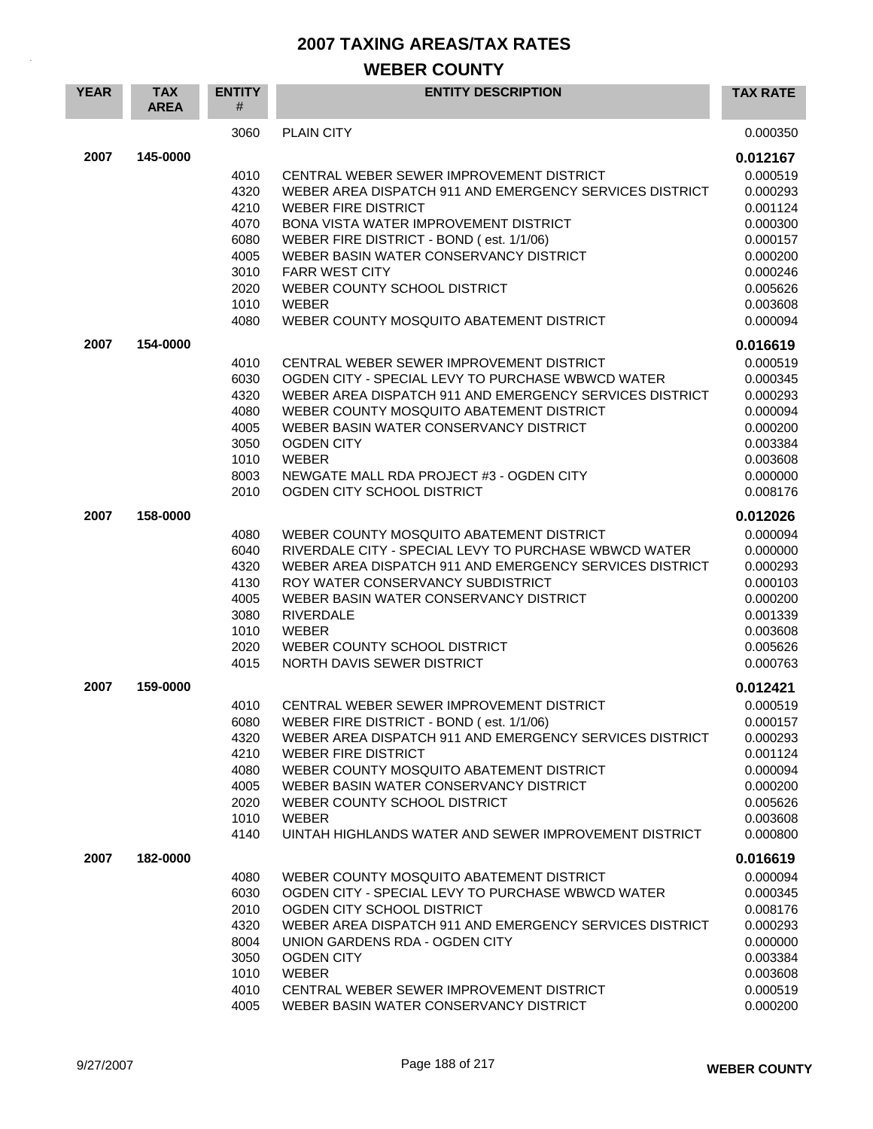| <b>YEAR</b> | <b>TAX</b><br><b>AREA</b> | <b>ENTITY</b><br>#                                                   | <b>ENTITY DESCRIPTION</b>                                                                                                                                                                                                                                                                                                                                                    | <b>TAX RATE</b>                                                                                          |
|-------------|---------------------------|----------------------------------------------------------------------|------------------------------------------------------------------------------------------------------------------------------------------------------------------------------------------------------------------------------------------------------------------------------------------------------------------------------------------------------------------------------|----------------------------------------------------------------------------------------------------------|
|             |                           | 3060                                                                 | <b>PLAIN CITY</b>                                                                                                                                                                                                                                                                                                                                                            | 0.000350                                                                                                 |
| 2007        | 145-0000                  |                                                                      |                                                                                                                                                                                                                                                                                                                                                                              | 0.012167                                                                                                 |
|             |                           | 4010<br>4320<br>4210                                                 | CENTRAL WEBER SEWER IMPROVEMENT DISTRICT<br>WEBER AREA DISPATCH 911 AND EMERGENCY SERVICES DISTRICT<br><b>WEBER FIRE DISTRICT</b>                                                                                                                                                                                                                                            | 0.000519<br>0.000293<br>0.001124                                                                         |
|             |                           | 4070<br>6080<br>4005<br>3010                                         | <b>BONA VISTA WATER IMPROVEMENT DISTRICT</b><br>WEBER FIRE DISTRICT - BOND (est. 1/1/06)<br>WEBER BASIN WATER CONSERVANCY DISTRICT<br><b>FARR WEST CITY</b>                                                                                                                                                                                                                  | 0.000300<br>0.000157<br>0.000200<br>0.000246                                                             |
|             |                           | 2020<br>1010<br>4080                                                 | WEBER COUNTY SCHOOL DISTRICT<br><b>WEBER</b><br>WEBER COUNTY MOSQUITO ABATEMENT DISTRICT                                                                                                                                                                                                                                                                                     | 0.005626<br>0.003608<br>0.000094                                                                         |
| 2007        | 154-0000                  |                                                                      |                                                                                                                                                                                                                                                                                                                                                                              | 0.016619                                                                                                 |
|             |                           | 4010<br>6030<br>4320<br>4080<br>4005<br>3050<br>1010<br>8003<br>2010 | CENTRAL WEBER SEWER IMPROVEMENT DISTRICT<br>OGDEN CITY - SPECIAL LEVY TO PURCHASE WBWCD WATER<br>WEBER AREA DISPATCH 911 AND EMERGENCY SERVICES DISTRICT<br>WEBER COUNTY MOSQUITO ABATEMENT DISTRICT<br>WEBER BASIN WATER CONSERVANCY DISTRICT<br><b>OGDEN CITY</b><br><b>WEBER</b><br>NEWGATE MALL RDA PROJECT #3 - OGDEN CITY<br>OGDEN CITY SCHOOL DISTRICT                | 0.000519<br>0.000345<br>0.000293<br>0.000094<br>0.000200<br>0.003384<br>0.003608<br>0.000000<br>0.008176 |
| 2007        | 158-0000                  |                                                                      |                                                                                                                                                                                                                                                                                                                                                                              | 0.012026                                                                                                 |
|             |                           | 4080<br>6040<br>4320<br>4130<br>4005<br>3080<br>1010<br>2020<br>4015 | WEBER COUNTY MOSQUITO ABATEMENT DISTRICT<br>RIVERDALE CITY - SPECIAL LEVY TO PURCHASE WBWCD WATER<br>WEBER AREA DISPATCH 911 AND EMERGENCY SERVICES DISTRICT<br>ROY WATER CONSERVANCY SUBDISTRICT<br>WEBER BASIN WATER CONSERVANCY DISTRICT<br><b>RIVERDALE</b><br><b>WEBER</b><br>WEBER COUNTY SCHOOL DISTRICT<br>NORTH DAVIS SEWER DISTRICT                                | 0.000094<br>0.000000<br>0.000293<br>0.000103<br>0.000200<br>0.001339<br>0.003608<br>0.005626<br>0.000763 |
| 2007        | 159-0000                  |                                                                      |                                                                                                                                                                                                                                                                                                                                                                              | 0.012421                                                                                                 |
|             |                           | 4010<br>6080<br>4320<br>4210<br>4080<br>4005<br>2020<br>1010<br>4140 | CENTRAL WEBER SEWER IMPROVEMENT DISTRICT<br>WEBER FIRE DISTRICT - BOND (est. 1/1/06)<br>WEBER AREA DISPATCH 911 AND EMERGENCY SERVICES DISTRICT<br><b>WEBER FIRE DISTRICT</b><br>WEBER COUNTY MOSQUITO ABATEMENT DISTRICT<br>WEBER BASIN WATER CONSERVANCY DISTRICT<br>WEBER COUNTY SCHOOL DISTRICT<br><b>WEBER</b><br>UINTAH HIGHLANDS WATER AND SEWER IMPROVEMENT DISTRICT | 0.000519<br>0.000157<br>0.000293<br>0.001124<br>0.000094<br>0.000200<br>0.005626<br>0.003608<br>0.000800 |
| 2007        | 182-0000                  |                                                                      |                                                                                                                                                                                                                                                                                                                                                                              | 0.016619                                                                                                 |
|             |                           | 4080<br>6030<br>2010<br>4320<br>8004<br>3050<br>1010<br>4010<br>4005 | WEBER COUNTY MOSQUITO ABATEMENT DISTRICT<br>OGDEN CITY - SPECIAL LEVY TO PURCHASE WBWCD WATER<br>OGDEN CITY SCHOOL DISTRICT<br>WEBER AREA DISPATCH 911 AND EMERGENCY SERVICES DISTRICT<br>UNION GARDENS RDA - OGDEN CITY<br><b>OGDEN CITY</b><br><b>WEBER</b><br>CENTRAL WEBER SEWER IMPROVEMENT DISTRICT<br>WEBER BASIN WATER CONSERVANCY DISTRICT                          | 0.000094<br>0.000345<br>0.008176<br>0.000293<br>0.000000<br>0.003384<br>0.003608<br>0.000519<br>0.000200 |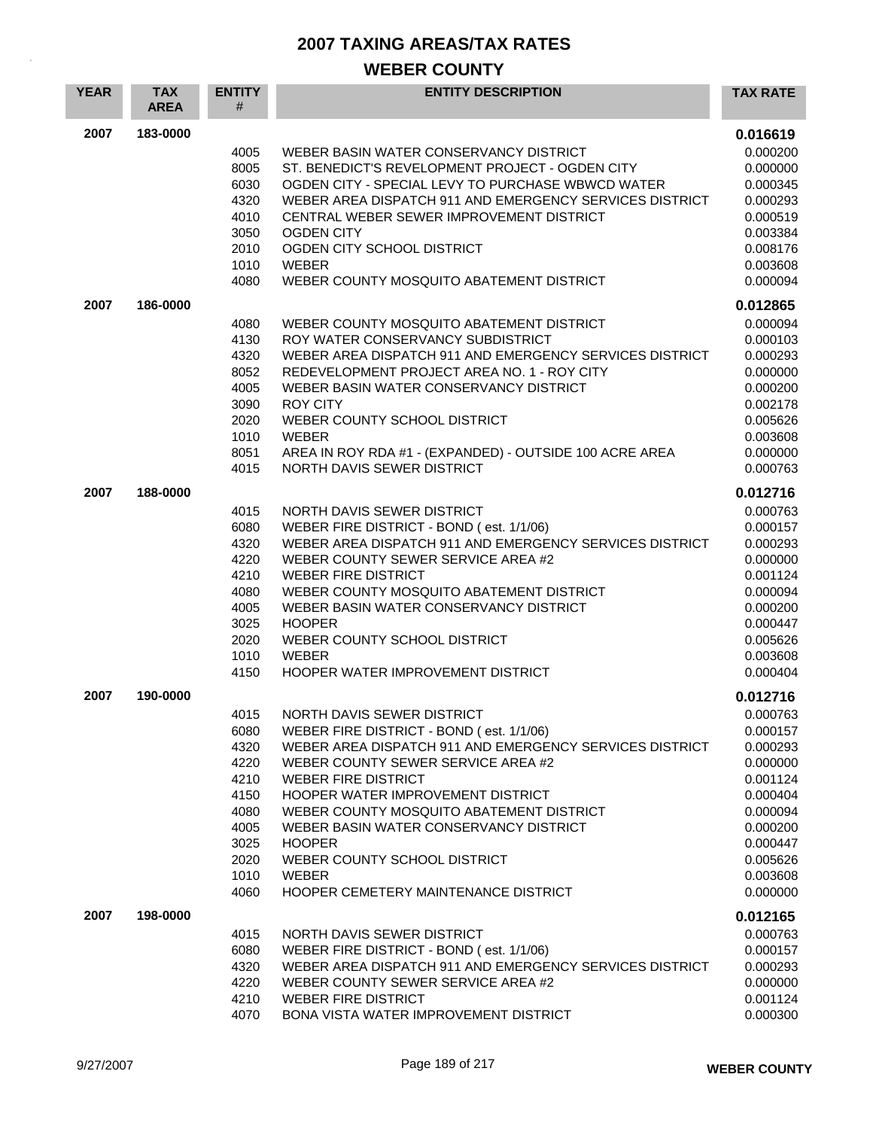| <b>YEAR</b> | <b>TAX</b><br><b>AREA</b> | <b>ENTITY</b><br># | <b>ENTITY DESCRIPTION</b>                                                                     | <b>TAX RATE</b>      |
|-------------|---------------------------|--------------------|-----------------------------------------------------------------------------------------------|----------------------|
| 2007        | 183-0000                  |                    |                                                                                               | 0.016619             |
|             |                           | 4005               | WEBER BASIN WATER CONSERVANCY DISTRICT                                                        | 0.000200             |
|             |                           | 8005               | ST. BENEDICT'S REVELOPMENT PROJECT - OGDEN CITY                                               | 0.000000             |
|             |                           | 6030               | OGDEN CITY - SPECIAL LEVY TO PURCHASE WBWCD WATER                                             | 0.000345             |
|             |                           | 4320               | WEBER AREA DISPATCH 911 AND EMERGENCY SERVICES DISTRICT                                       | 0.000293             |
|             |                           | 4010               | CENTRAL WEBER SEWER IMPROVEMENT DISTRICT<br><b>OGDEN CITY</b>                                 | 0.000519             |
|             |                           | 3050<br>2010       | OGDEN CITY SCHOOL DISTRICT                                                                    | 0.003384<br>0.008176 |
|             |                           | 1010               | <b>WEBER</b>                                                                                  | 0.003608             |
|             |                           | 4080               | WEBER COUNTY MOSQUITO ABATEMENT DISTRICT                                                      | 0.000094             |
| 2007        | 186-0000                  |                    |                                                                                               | 0.012865             |
|             |                           | 4080               | WEBER COUNTY MOSQUITO ABATEMENT DISTRICT                                                      | 0.000094             |
|             |                           | 4130               | ROY WATER CONSERVANCY SUBDISTRICT                                                             | 0.000103             |
|             |                           | 4320               | WEBER AREA DISPATCH 911 AND EMERGENCY SERVICES DISTRICT                                       | 0.000293             |
|             |                           | 8052               | REDEVELOPMENT PROJECT AREA NO. 1 - ROY CITY                                                   | 0.000000             |
|             |                           | 4005               | WEBER BASIN WATER CONSERVANCY DISTRICT                                                        | 0.000200             |
|             |                           | 3090<br>2020       | <b>ROY CITY</b><br>WEBER COUNTY SCHOOL DISTRICT                                               | 0.002178<br>0.005626 |
|             |                           | 1010               | <b>WEBER</b>                                                                                  | 0.003608             |
|             |                           | 8051               | AREA IN ROY RDA #1 - (EXPANDED) - OUTSIDE 100 ACRE AREA                                       | 0.000000             |
|             |                           | 4015               | NORTH DAVIS SEWER DISTRICT                                                                    | 0.000763             |
| 2007        | 188-0000                  |                    |                                                                                               | 0.012716             |
|             |                           | 4015               | NORTH DAVIS SEWER DISTRICT                                                                    | 0.000763             |
|             |                           | 6080               | WEBER FIRE DISTRICT - BOND (est. 1/1/06)                                                      | 0.000157             |
|             |                           | 4320               | WEBER AREA DISPATCH 911 AND EMERGENCY SERVICES DISTRICT                                       | 0.000293             |
|             |                           | 4220               | WEBER COUNTY SEWER SERVICE AREA #2                                                            | 0.000000             |
|             |                           | 4210               | <b>WEBER FIRE DISTRICT</b>                                                                    | 0.001124             |
|             |                           | 4080<br>4005       | WEBER COUNTY MOSQUITO ABATEMENT DISTRICT<br>WEBER BASIN WATER CONSERVANCY DISTRICT            | 0.000094             |
|             |                           | 3025               | <b>HOOPER</b>                                                                                 | 0.000200<br>0.000447 |
|             |                           | 2020               | WEBER COUNTY SCHOOL DISTRICT                                                                  | 0.005626             |
|             |                           | 1010               | <b>WEBER</b>                                                                                  | 0.003608             |
|             |                           | 4150               | HOOPER WATER IMPROVEMENT DISTRICT                                                             | 0.000404             |
| 2007        | 190-0000                  |                    |                                                                                               | 0.012716             |
|             |                           | 4015               | NORTH DAVIS SEWER DISTRICT                                                                    | 0.000763             |
|             |                           | 6080               | WEBER FIRE DISTRICT - BOND (est. 1/1/06)                                                      | 0.000157             |
|             |                           | 4320               | WEBER AREA DISPATCH 911 AND EMERGENCY SERVICES DISTRICT                                       | 0.000293             |
|             |                           | 4220<br>4210       | WEBER COUNTY SEWER SERVICE AREA #2<br><b>WEBER FIRE DISTRICT</b>                              | 0.000000<br>0.001124 |
|             |                           | 4150               | HOOPER WATER IMPROVEMENT DISTRICT                                                             | 0.000404             |
|             |                           | 4080               | WEBER COUNTY MOSQUITO ABATEMENT DISTRICT                                                      | 0.000094             |
|             |                           | 4005               | WEBER BASIN WATER CONSERVANCY DISTRICT                                                        | 0.000200             |
|             |                           | 3025               | <b>HOOPER</b>                                                                                 | 0.000447             |
|             |                           | 2020               | WEBER COUNTY SCHOOL DISTRICT                                                                  | 0.005626             |
|             |                           | 1010               | <b>WEBER</b>                                                                                  | 0.003608             |
|             |                           | 4060               | HOOPER CEMETERY MAINTENANCE DISTRICT                                                          | 0.000000             |
| 2007        | 198-0000                  |                    |                                                                                               | 0.012165             |
|             |                           | 4015               | NORTH DAVIS SEWER DISTRICT                                                                    | 0.000763             |
|             |                           | 6080               | WEBER FIRE DISTRICT - BOND (est. 1/1/06)                                                      | 0.000157             |
|             |                           | 4320<br>4220       | WEBER AREA DISPATCH 911 AND EMERGENCY SERVICES DISTRICT<br>WEBER COUNTY SEWER SERVICE AREA #2 | 0.000293<br>0.000000 |
|             |                           | 4210               | WEBER FIRE DISTRICT                                                                           | 0.001124             |
|             |                           | 4070               | BONA VISTA WATER IMPROVEMENT DISTRICT                                                         | 0.000300             |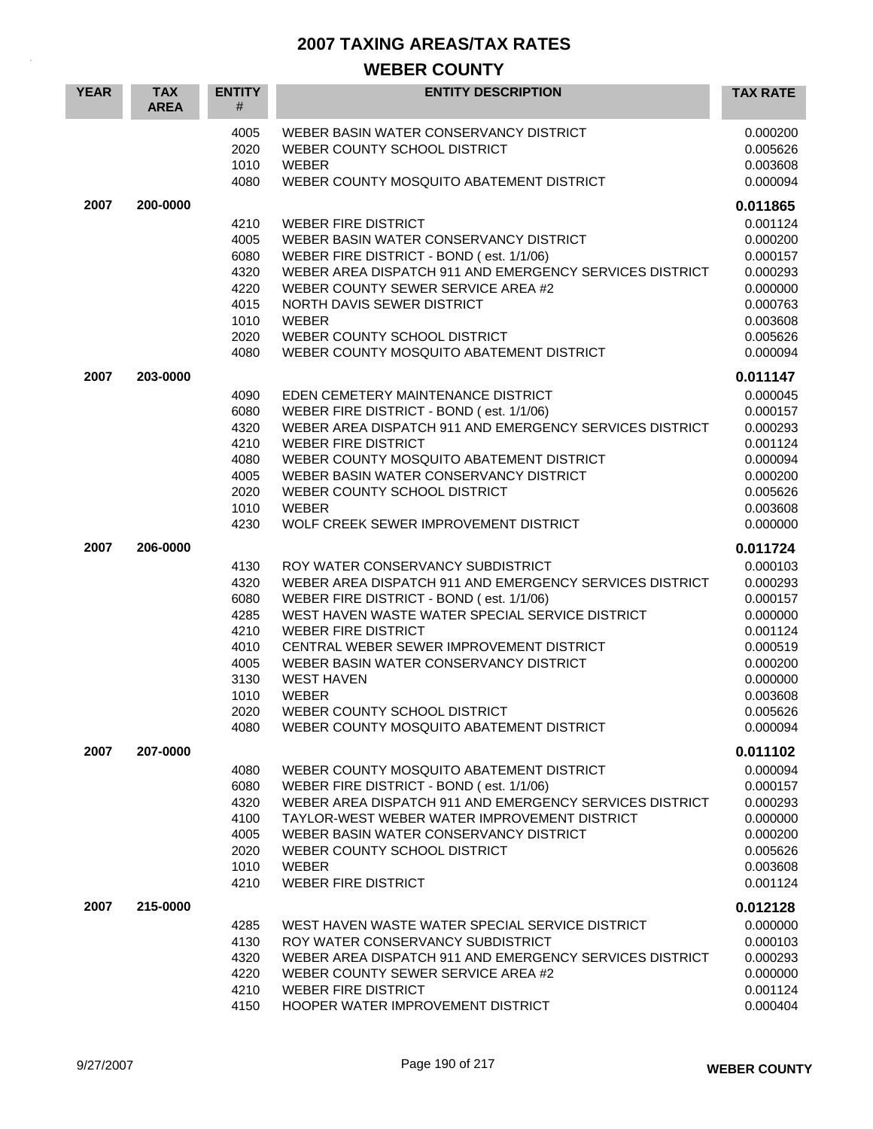| <b>YEAR</b> | <b>TAX</b><br><b>AREA</b> | <b>ENTITY</b><br>#                                                                   | <b>ENTITY DESCRIPTION</b>                                                                                                                                                                                                                                                                                                                                                                                                        | <b>TAX RATE</b>                                                                                                                  |
|-------------|---------------------------|--------------------------------------------------------------------------------------|----------------------------------------------------------------------------------------------------------------------------------------------------------------------------------------------------------------------------------------------------------------------------------------------------------------------------------------------------------------------------------------------------------------------------------|----------------------------------------------------------------------------------------------------------------------------------|
|             |                           | 4005<br>2020<br>1010<br>4080                                                         | WEBER BASIN WATER CONSERVANCY DISTRICT<br>WEBER COUNTY SCHOOL DISTRICT<br><b>WEBER</b><br>WEBER COUNTY MOSQUITO ABATEMENT DISTRICT                                                                                                                                                                                                                                                                                               | 0.000200<br>0.005626<br>0.003608<br>0.000094                                                                                     |
| 2007        | 200-0000                  |                                                                                      |                                                                                                                                                                                                                                                                                                                                                                                                                                  | 0.011865                                                                                                                         |
|             |                           | 4210<br>4005<br>6080<br>4320<br>4220<br>4015<br>1010<br>2020<br>4080                 | <b>WEBER FIRE DISTRICT</b><br>WEBER BASIN WATER CONSERVANCY DISTRICT<br>WEBER FIRE DISTRICT - BOND (est. 1/1/06)<br>WEBER AREA DISPATCH 911 AND EMERGENCY SERVICES DISTRICT<br>WEBER COUNTY SEWER SERVICE AREA #2<br>NORTH DAVIS SEWER DISTRICT<br>WEBER<br>WEBER COUNTY SCHOOL DISTRICT<br>WEBER COUNTY MOSQUITO ABATEMENT DISTRICT                                                                                             | 0.001124<br>0.000200<br>0.000157<br>0.000293<br>0.000000<br>0.000763<br>0.003608<br>0.005626<br>0.000094                         |
| 2007        | 203-0000                  |                                                                                      |                                                                                                                                                                                                                                                                                                                                                                                                                                  | 0.011147                                                                                                                         |
|             |                           | 4090<br>6080<br>4320<br>4210<br>4080<br>4005<br>2020<br>1010<br>4230                 | EDEN CEMETERY MAINTENANCE DISTRICT<br>WEBER FIRE DISTRICT - BOND (est. 1/1/06)<br>WEBER AREA DISPATCH 911 AND EMERGENCY SERVICES DISTRICT<br><b>WEBER FIRE DISTRICT</b><br>WEBER COUNTY MOSQUITO ABATEMENT DISTRICT<br>WEBER BASIN WATER CONSERVANCY DISTRICT<br>WEBER COUNTY SCHOOL DISTRICT<br><b>WEBER</b><br>WOLF CREEK SEWER IMPROVEMENT DISTRICT                                                                           | 0.000045<br>0.000157<br>0.000293<br>0.001124<br>0.000094<br>0.000200<br>0.005626<br>0.003608<br>0.000000                         |
| 2007        | 206-0000                  |                                                                                      |                                                                                                                                                                                                                                                                                                                                                                                                                                  | 0.011724                                                                                                                         |
|             |                           | 4130<br>4320<br>6080<br>4285<br>4210<br>4010<br>4005<br>3130<br>1010<br>2020<br>4080 | ROY WATER CONSERVANCY SUBDISTRICT<br>WEBER AREA DISPATCH 911 AND EMERGENCY SERVICES DISTRICT<br>WEBER FIRE DISTRICT - BOND (est. 1/1/06)<br>WEST HAVEN WASTE WATER SPECIAL SERVICE DISTRICT<br><b>WEBER FIRE DISTRICT</b><br>CENTRAL WEBER SEWER IMPROVEMENT DISTRICT<br>WEBER BASIN WATER CONSERVANCY DISTRICT<br><b>WEST HAVEN</b><br><b>WEBER</b><br>WEBER COUNTY SCHOOL DISTRICT<br>WEBER COUNTY MOSQUITO ABATEMENT DISTRICT | 0.000103<br>0.000293<br>0.000157<br>0.000000<br>0.001124<br>0.000519<br>0.000200<br>0.000000<br>0.003608<br>0.005626<br>0.000094 |
| 2007        | 207-0000                  |                                                                                      |                                                                                                                                                                                                                                                                                                                                                                                                                                  | 0.011102                                                                                                                         |
|             |                           | 4080<br>6080<br>4320<br>4100<br>4005<br>2020<br>1010<br>4210                         | WEBER COUNTY MOSQUITO ABATEMENT DISTRICT<br>WEBER FIRE DISTRICT - BOND (est. 1/1/06)<br>WEBER AREA DISPATCH 911 AND EMERGENCY SERVICES DISTRICT<br>TAYLOR-WEST WEBER WATER IMPROVEMENT DISTRICT<br>WEBER BASIN WATER CONSERVANCY DISTRICT<br>WEBER COUNTY SCHOOL DISTRICT<br><b>WEBER</b><br><b>WEBER FIRE DISTRICT</b>                                                                                                          | 0.000094<br>0.000157<br>0.000293<br>0.000000<br>0.000200<br>0.005626<br>0.003608<br>0.001124                                     |
| 2007        | 215-0000                  | 4285<br>4130<br>4320<br>4220<br>4210<br>4150                                         | WEST HAVEN WASTE WATER SPECIAL SERVICE DISTRICT<br>ROY WATER CONSERVANCY SUBDISTRICT<br>WEBER AREA DISPATCH 911 AND EMERGENCY SERVICES DISTRICT<br>WEBER COUNTY SEWER SERVICE AREA #2<br><b>WEBER FIRE DISTRICT</b><br>HOOPER WATER IMPROVEMENT DISTRICT                                                                                                                                                                         | 0.012128<br>0.000000<br>0.000103<br>0.000293<br>0.000000<br>0.001124<br>0.000404                                                 |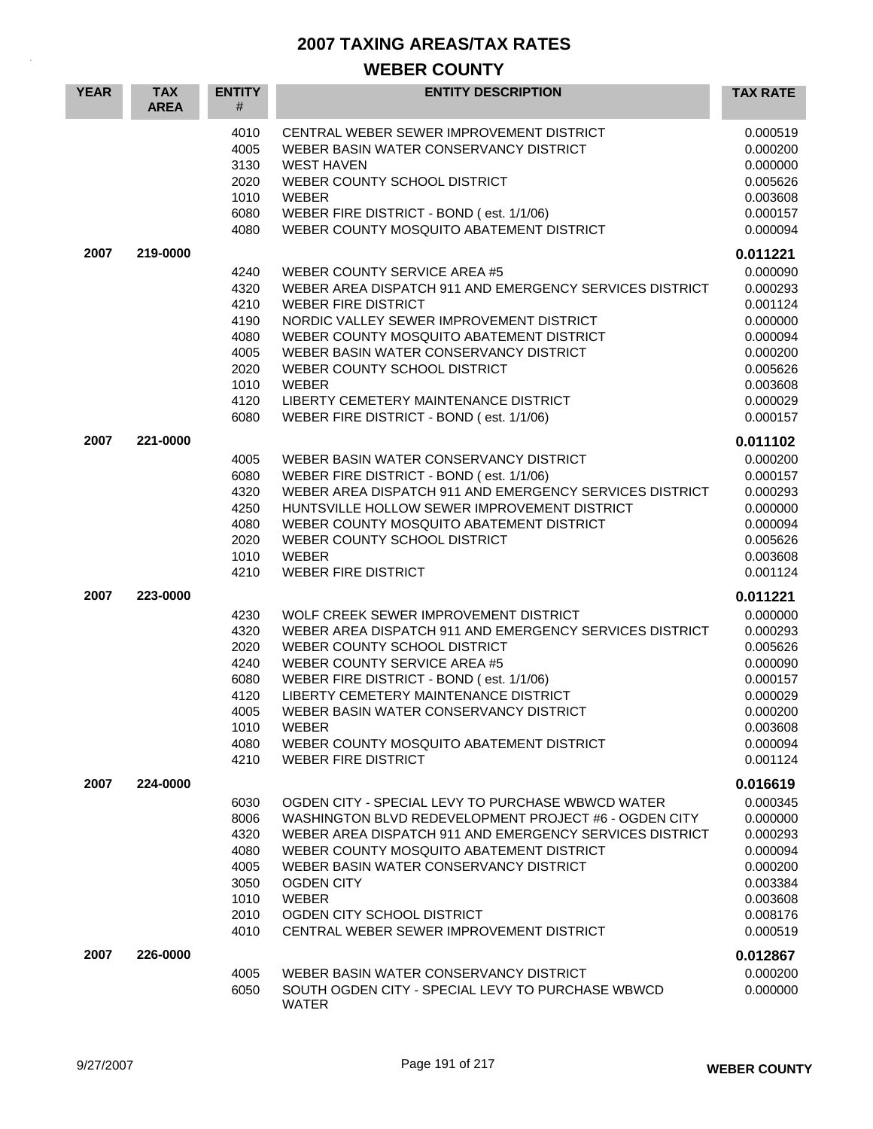| <b>YEAR</b> | <b>TAX</b><br><b>AREA</b> | <b>ENTITY</b><br>#                                                           | <b>ENTITY DESCRIPTION</b>                                                                                                                                                                                                                                                                                                                                                                    | <b>TAX RATE</b>                                                                                                                  |
|-------------|---------------------------|------------------------------------------------------------------------------|----------------------------------------------------------------------------------------------------------------------------------------------------------------------------------------------------------------------------------------------------------------------------------------------------------------------------------------------------------------------------------------------|----------------------------------------------------------------------------------------------------------------------------------|
|             |                           | 4010<br>4005<br>3130<br>2020<br>1010<br>6080<br>4080                         | CENTRAL WEBER SEWER IMPROVEMENT DISTRICT<br>WEBER BASIN WATER CONSERVANCY DISTRICT<br><b>WEST HAVEN</b><br>WEBER COUNTY SCHOOL DISTRICT<br><b>WEBER</b><br>WEBER FIRE DISTRICT - BOND (est. 1/1/06)<br>WEBER COUNTY MOSQUITO ABATEMENT DISTRICT                                                                                                                                              | 0.000519<br>0.000200<br>0.000000<br>0.005626<br>0.003608<br>0.000157<br>0.000094                                                 |
| 2007        | 219-0000                  | 4240<br>4320<br>4210<br>4190<br>4080<br>4005<br>2020<br>1010<br>4120<br>6080 | WEBER COUNTY SERVICE AREA #5<br>WEBER AREA DISPATCH 911 AND EMERGENCY SERVICES DISTRICT<br><b>WEBER FIRE DISTRICT</b><br>NORDIC VALLEY SEWER IMPROVEMENT DISTRICT<br>WEBER COUNTY MOSQUITO ABATEMENT DISTRICT<br>WEBER BASIN WATER CONSERVANCY DISTRICT<br>WEBER COUNTY SCHOOL DISTRICT<br><b>WEBER</b><br>LIBERTY CEMETERY MAINTENANCE DISTRICT<br>WEBER FIRE DISTRICT - BOND (est. 1/1/06) | 0.011221<br>0.000090<br>0.000293<br>0.001124<br>0.000000<br>0.000094<br>0.000200<br>0.005626<br>0.003608<br>0.000029<br>0.000157 |
| 2007        | 221-0000                  | 4005<br>6080<br>4320<br>4250<br>4080<br>2020<br>1010<br>4210                 | WEBER BASIN WATER CONSERVANCY DISTRICT<br>WEBER FIRE DISTRICT - BOND (est. 1/1/06)<br>WEBER AREA DISPATCH 911 AND EMERGENCY SERVICES DISTRICT<br>HUNTSVILLE HOLLOW SEWER IMPROVEMENT DISTRICT<br>WEBER COUNTY MOSQUITO ABATEMENT DISTRICT<br>WEBER COUNTY SCHOOL DISTRICT<br><b>WEBER</b><br><b>WEBER FIRE DISTRICT</b>                                                                      | 0.011102<br>0.000200<br>0.000157<br>0.000293<br>0.000000<br>0.000094<br>0.005626<br>0.003608<br>0.001124                         |
| 2007        | 223-0000                  | 4230<br>4320<br>2020<br>4240<br>6080<br>4120<br>4005<br>1010<br>4080<br>4210 | WOLF CREEK SEWER IMPROVEMENT DISTRICT<br>WEBER AREA DISPATCH 911 AND EMERGENCY SERVICES DISTRICT<br>WEBER COUNTY SCHOOL DISTRICT<br>WEBER COUNTY SERVICE AREA #5<br>WEBER FIRE DISTRICT - BOND (est. 1/1/06)<br>LIBERTY CEMETERY MAINTENANCE DISTRICT<br>WEBER BASIN WATER CONSERVANCY DISTRICT<br><b>WEBER</b><br>WEBER COUNTY MOSQUITO ABATEMENT DISTRICT<br><b>WEBER FIRE DISTRICT</b>    | 0.011221<br>0.000000<br>0.000293<br>0.005626<br>0.000090<br>0.000157<br>0.000029<br>0.000200<br>0.003608<br>0.000094<br>0.001124 |
| 2007        | 224-0000                  | 6030<br>8006<br>4320<br>4080<br>4005<br>3050<br>1010<br>2010<br>4010         | OGDEN CITY - SPECIAL LEVY TO PURCHASE WBWCD WATER<br>WASHINGTON BLVD REDEVELOPMENT PROJECT #6 - OGDEN CITY<br>WEBER AREA DISPATCH 911 AND EMERGENCY SERVICES DISTRICT<br>WEBER COUNTY MOSQUITO ABATEMENT DISTRICT<br>WEBER BASIN WATER CONSERVANCY DISTRICT<br><b>OGDEN CITY</b><br><b>WEBER</b><br>OGDEN CITY SCHOOL DISTRICT<br>CENTRAL WEBER SEWER IMPROVEMENT DISTRICT                   | 0.016619<br>0.000345<br>0.000000<br>0.000293<br>0.000094<br>0.000200<br>0.003384<br>0.003608<br>0.008176<br>0.000519             |
| 2007        | 226-0000                  | 4005<br>6050                                                                 | WEBER BASIN WATER CONSERVANCY DISTRICT<br>SOUTH OGDEN CITY - SPECIAL LEVY TO PURCHASE WBWCD<br><b>WATER</b>                                                                                                                                                                                                                                                                                  | 0.012867<br>0.000200<br>0.000000                                                                                                 |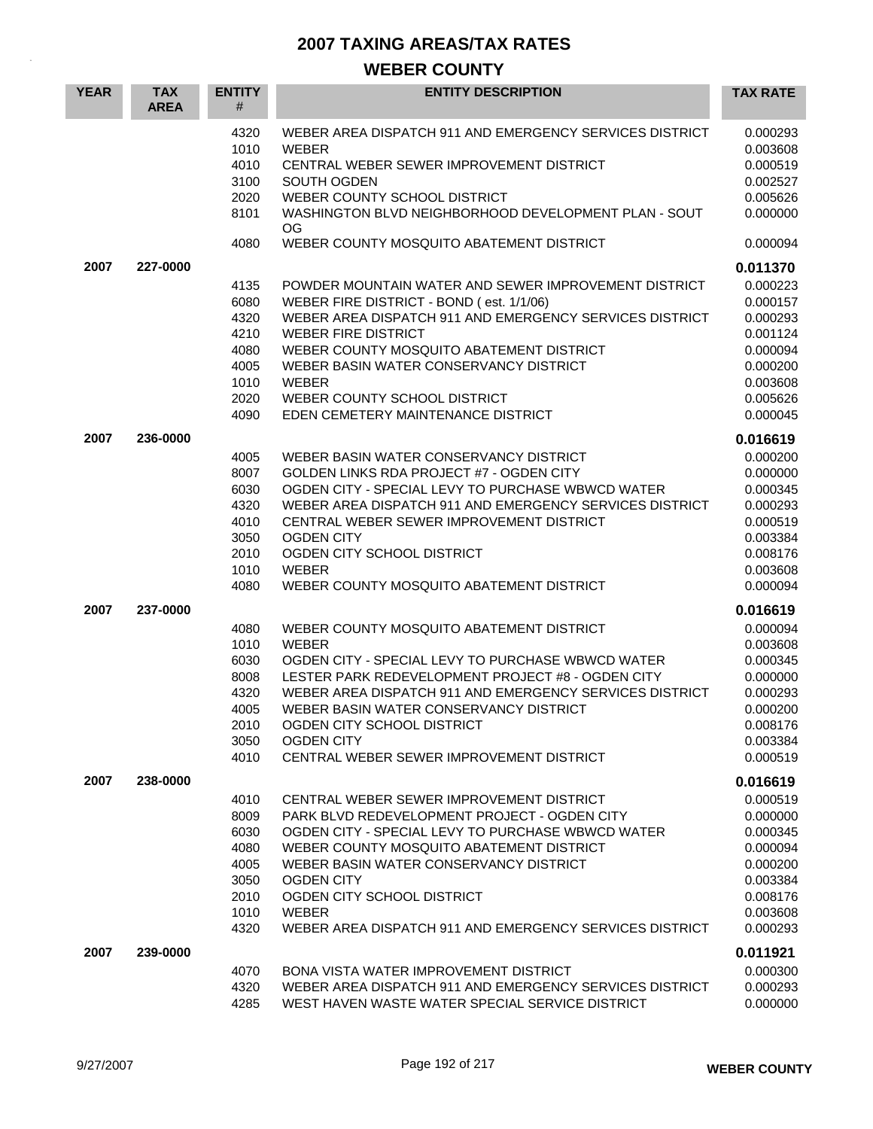| <b>YEAR</b> | <b>TAX</b><br><b>AREA</b> | <b>ENTITY</b><br>#                                                   | <b>ENTITY DESCRIPTION</b>                                                                                                                                                                                                                                                                                                                                             | <b>TAX RATE</b>                                                                                          |
|-------------|---------------------------|----------------------------------------------------------------------|-----------------------------------------------------------------------------------------------------------------------------------------------------------------------------------------------------------------------------------------------------------------------------------------------------------------------------------------------------------------------|----------------------------------------------------------------------------------------------------------|
|             |                           | 4320<br>1010<br>4010<br>3100<br>2020<br>8101                         | WEBER AREA DISPATCH 911 AND EMERGENCY SERVICES DISTRICT<br><b>WEBER</b><br>CENTRAL WEBER SEWER IMPROVEMENT DISTRICT<br><b>SOUTH OGDEN</b><br>WEBER COUNTY SCHOOL DISTRICT<br>WASHINGTON BLVD NEIGHBORHOOD DEVELOPMENT PLAN - SOUT                                                                                                                                     | 0.000293<br>0.003608<br>0.000519<br>0.002527<br>0.005626<br>0.000000                                     |
|             |                           | 4080                                                                 | OG<br>WEBER COUNTY MOSQUITO ABATEMENT DISTRICT                                                                                                                                                                                                                                                                                                                        | 0.000094                                                                                                 |
| 2007        | 227-0000                  |                                                                      |                                                                                                                                                                                                                                                                                                                                                                       | 0.011370                                                                                                 |
|             |                           | 4135<br>6080<br>4320<br>4210<br>4080<br>4005<br>1010<br>2020<br>4090 | POWDER MOUNTAIN WATER AND SEWER IMPROVEMENT DISTRICT<br>WEBER FIRE DISTRICT - BOND (est. 1/1/06)<br>WEBER AREA DISPATCH 911 AND EMERGENCY SERVICES DISTRICT<br><b>WEBER FIRE DISTRICT</b><br>WEBER COUNTY MOSQUITO ABATEMENT DISTRICT<br>WEBER BASIN WATER CONSERVANCY DISTRICT<br><b>WEBER</b><br>WEBER COUNTY SCHOOL DISTRICT<br>EDEN CEMETERY MAINTENANCE DISTRICT | 0.000223<br>0.000157<br>0.000293<br>0.001124<br>0.000094<br>0.000200<br>0.003608<br>0.005626<br>0.000045 |
| 2007        | 236-0000                  |                                                                      |                                                                                                                                                                                                                                                                                                                                                                       | 0.016619                                                                                                 |
|             |                           | 4005<br>8007<br>6030<br>4320<br>4010<br>3050<br>2010<br>1010<br>4080 | WEBER BASIN WATER CONSERVANCY DISTRICT<br>GOLDEN LINKS RDA PROJECT #7 - OGDEN CITY<br>OGDEN CITY - SPECIAL LEVY TO PURCHASE WBWCD WATER<br>WEBER AREA DISPATCH 911 AND EMERGENCY SERVICES DISTRICT<br>CENTRAL WEBER SEWER IMPROVEMENT DISTRICT<br><b>OGDEN CITY</b><br>OGDEN CITY SCHOOL DISTRICT<br><b>WEBER</b><br>WEBER COUNTY MOSQUITO ABATEMENT DISTRICT         | 0.000200<br>0.000000<br>0.000345<br>0.000293<br>0.000519<br>0.003384<br>0.008176<br>0.003608<br>0.000094 |
| 2007        | 237-0000                  |                                                                      |                                                                                                                                                                                                                                                                                                                                                                       | 0.016619                                                                                                 |
|             |                           | 4080<br>1010<br>6030<br>8008<br>4320<br>4005<br>2010<br>3050<br>4010 | WEBER COUNTY MOSQUITO ABATEMENT DISTRICT<br>WEBER<br>OGDEN CITY - SPECIAL LEVY TO PURCHASE WBWCD WATER<br>LESTER PARK REDEVELOPMENT PROJECT #8 - OGDEN CITY<br>WEBER AREA DISPATCH 911 AND EMERGENCY SERVICES DISTRICT<br>WEBER BASIN WATER CONSERVANCY DISTRICT<br>OGDEN CITY SCHOOL DISTRICT<br><b>OGDEN CITY</b><br>CENTRAL WEBER SEWER IMPROVEMENT DISTRICT       | 0.000094<br>0.003608<br>0.000345<br>0.000000<br>0.000293<br>0.000200<br>0.008176<br>0.003384<br>0.000519 |
| 2007        | 238-0000                  |                                                                      |                                                                                                                                                                                                                                                                                                                                                                       | 0.016619                                                                                                 |
|             |                           | 4010<br>8009<br>6030<br>4080<br>4005<br>3050<br>2010<br>1010<br>4320 | CENTRAL WEBER SEWER IMPROVEMENT DISTRICT<br>PARK BLVD REDEVELOPMENT PROJECT - OGDEN CITY<br>OGDEN CITY - SPECIAL LEVY TO PURCHASE WBWCD WATER<br>WEBER COUNTY MOSQUITO ABATEMENT DISTRICT<br>WEBER BASIN WATER CONSERVANCY DISTRICT<br><b>OGDEN CITY</b><br>OGDEN CITY SCHOOL DISTRICT<br><b>WEBER</b><br>WEBER AREA DISPATCH 911 AND EMERGENCY SERVICES DISTRICT     | 0.000519<br>0.000000<br>0.000345<br>0.000094<br>0.000200<br>0.003384<br>0.008176<br>0.003608<br>0.000293 |
| 2007        | 239-0000                  | 4070<br>4320<br>4285                                                 | BONA VISTA WATER IMPROVEMENT DISTRICT<br>WEBER AREA DISPATCH 911 AND EMERGENCY SERVICES DISTRICT<br>WEST HAVEN WASTE WATER SPECIAL SERVICE DISTRICT                                                                                                                                                                                                                   | 0.011921<br>0.000300<br>0.000293<br>0.000000                                                             |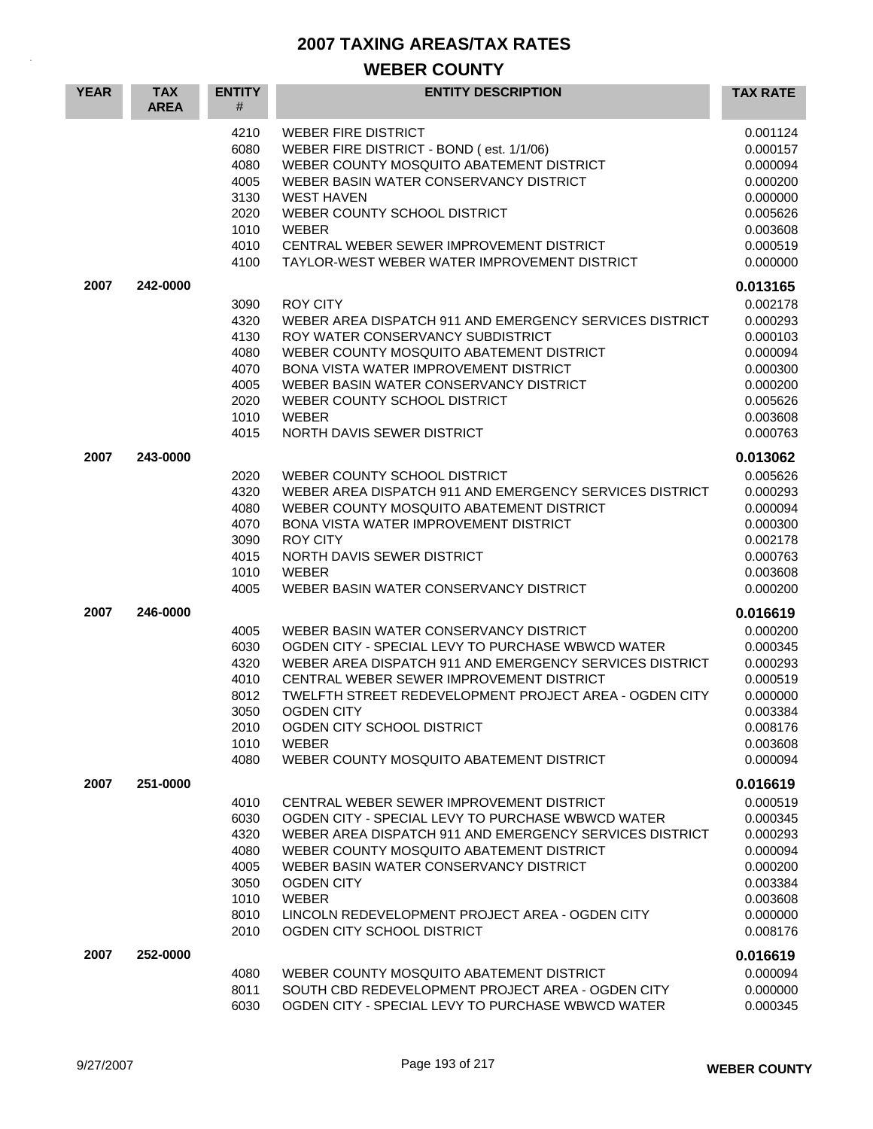| <b>YEAR</b> | <b>TAX</b><br><b>AREA</b> | <b>ENTITY</b><br>#                                                   | <b>ENTITY DESCRIPTION</b>                                                                                                                                                                                                                                                                                                                                                   | <b>TAX RATE</b>                                                                                                      |
|-------------|---------------------------|----------------------------------------------------------------------|-----------------------------------------------------------------------------------------------------------------------------------------------------------------------------------------------------------------------------------------------------------------------------------------------------------------------------------------------------------------------------|----------------------------------------------------------------------------------------------------------------------|
|             |                           | 4210<br>6080<br>4080<br>4005<br>3130<br>2020<br>1010<br>4010<br>4100 | <b>WEBER FIRE DISTRICT</b><br>WEBER FIRE DISTRICT - BOND (est. 1/1/06)<br>WEBER COUNTY MOSQUITO ABATEMENT DISTRICT<br>WEBER BASIN WATER CONSERVANCY DISTRICT<br><b>WEST HAVEN</b><br>WEBER COUNTY SCHOOL DISTRICT<br><b>WEBER</b><br>CENTRAL WEBER SEWER IMPROVEMENT DISTRICT<br>TAYLOR-WEST WEBER WATER IMPROVEMENT DISTRICT                                               | 0.001124<br>0.000157<br>0.000094<br>0.000200<br>0.000000<br>0.005626<br>0.003608<br>0.000519<br>0.000000             |
| 2007        | 242-0000                  | 3090<br>4320<br>4130<br>4080<br>4070<br>4005<br>2020<br>1010<br>4015 | <b>ROY CITY</b><br>WEBER AREA DISPATCH 911 AND EMERGENCY SERVICES DISTRICT<br>ROY WATER CONSERVANCY SUBDISTRICT<br>WEBER COUNTY MOSQUITO ABATEMENT DISTRICT<br>BONA VISTA WATER IMPROVEMENT DISTRICT<br>WEBER BASIN WATER CONSERVANCY DISTRICT<br>WEBER COUNTY SCHOOL DISTRICT<br><b>WEBER</b><br>NORTH DAVIS SEWER DISTRICT                                                | 0.013165<br>0.002178<br>0.000293<br>0.000103<br>0.000094<br>0.000300<br>0.000200<br>0.005626<br>0.003608<br>0.000763 |
| 2007        | 243-0000                  | 2020<br>4320<br>4080<br>4070<br>3090<br>4015<br>1010<br>4005         | WEBER COUNTY SCHOOL DISTRICT<br>WEBER AREA DISPATCH 911 AND EMERGENCY SERVICES DISTRICT<br>WEBER COUNTY MOSQUITO ABATEMENT DISTRICT<br>BONA VISTA WATER IMPROVEMENT DISTRICT<br><b>ROY CITY</b><br>NORTH DAVIS SEWER DISTRICT<br><b>WEBER</b><br>WEBER BASIN WATER CONSERVANCY DISTRICT                                                                                     | 0.013062<br>0.005626<br>0.000293<br>0.000094<br>0.000300<br>0.002178<br>0.000763<br>0.003608<br>0.000200             |
| 2007        | 246-0000                  | 4005<br>6030<br>4320<br>4010<br>8012<br>3050<br>2010<br>1010<br>4080 | WEBER BASIN WATER CONSERVANCY DISTRICT<br>OGDEN CITY - SPECIAL LEVY TO PURCHASE WBWCD WATER<br>WEBER AREA DISPATCH 911 AND EMERGENCY SERVICES DISTRICT<br>CENTRAL WEBER SEWER IMPROVEMENT DISTRICT<br>TWELFTH STREET REDEVELOPMENT PROJECT AREA - OGDEN CITY<br><b>OGDEN CITY</b><br>OGDEN CITY SCHOOL DISTRICT<br><b>WEBER</b><br>WEBER COUNTY MOSQUITO ABATEMENT DISTRICT | 0.016619<br>0.000200<br>0.000345<br>0.000293<br>0.000519<br>0.000000<br>0.003384<br>0.008176<br>0.003608<br>0.000094 |
| 2007        | 251-0000                  | 4010<br>6030<br>4320<br>4080<br>4005<br>3050<br>1010<br>8010<br>2010 | CENTRAL WEBER SEWER IMPROVEMENT DISTRICT<br>OGDEN CITY - SPECIAL LEVY TO PURCHASE WBWCD WATER<br>WEBER AREA DISPATCH 911 AND EMERGENCY SERVICES DISTRICT<br>WEBER COUNTY MOSQUITO ABATEMENT DISTRICT<br>WEBER BASIN WATER CONSERVANCY DISTRICT<br><b>OGDEN CITY</b><br>WEBER<br>LINCOLN REDEVELOPMENT PROJECT AREA - OGDEN CITY<br>OGDEN CITY SCHOOL DISTRICT               | 0.016619<br>0.000519<br>0.000345<br>0.000293<br>0.000094<br>0.000200<br>0.003384<br>0.003608<br>0.000000<br>0.008176 |
| 2007        | 252-0000                  | 4080<br>8011<br>6030                                                 | WEBER COUNTY MOSQUITO ABATEMENT DISTRICT<br>SOUTH CBD REDEVELOPMENT PROJECT AREA - OGDEN CITY<br>OGDEN CITY - SPECIAL LEVY TO PURCHASE WBWCD WATER                                                                                                                                                                                                                          | 0.016619<br>0.000094<br>0.000000<br>0.000345                                                                         |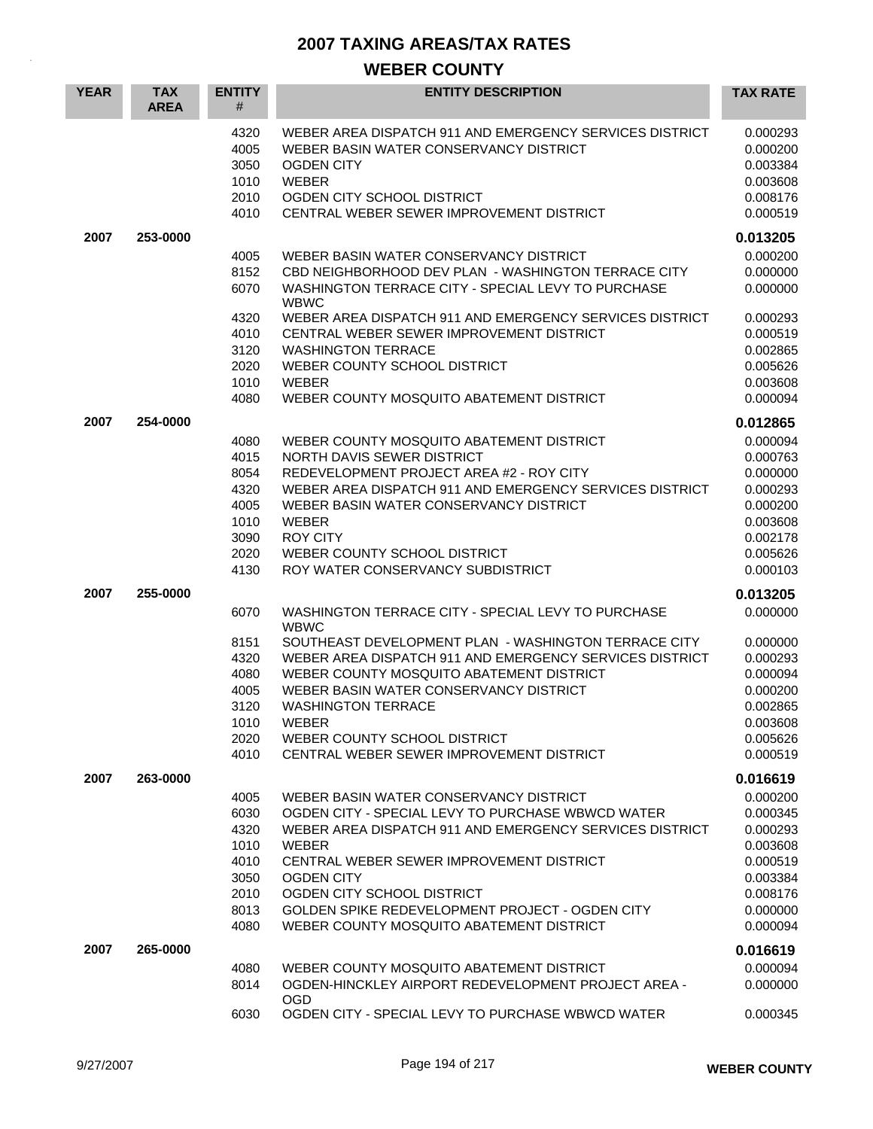| <b>YEAR</b> | <b>TAX</b><br><b>AREA</b> | <b>ENTITY</b><br>#                                                   | <b>ENTITY DESCRIPTION</b>                                                                                                                                                                                                                                                                                                                                                                    | <b>TAX RATE</b>                                                                                                      |
|-------------|---------------------------|----------------------------------------------------------------------|----------------------------------------------------------------------------------------------------------------------------------------------------------------------------------------------------------------------------------------------------------------------------------------------------------------------------------------------------------------------------------------------|----------------------------------------------------------------------------------------------------------------------|
|             |                           | 4320<br>4005<br>3050<br>1010<br>2010<br>4010                         | WEBER AREA DISPATCH 911 AND EMERGENCY SERVICES DISTRICT<br>WEBER BASIN WATER CONSERVANCY DISTRICT<br><b>OGDEN CITY</b><br><b>WEBER</b><br>OGDEN CITY SCHOOL DISTRICT<br>CENTRAL WEBER SEWER IMPROVEMENT DISTRICT                                                                                                                                                                             | 0.000293<br>0.000200<br>0.003384<br>0.003608<br>0.008176<br>0.000519                                                 |
| 2007        | 253-0000                  |                                                                      |                                                                                                                                                                                                                                                                                                                                                                                              | 0.013205                                                                                                             |
|             |                           | 4005<br>8152<br>6070<br>4320                                         | WEBER BASIN WATER CONSERVANCY DISTRICT<br>CBD NEIGHBORHOOD DEV PLAN - WASHINGTON TERRACE CITY<br>WASHINGTON TERRACE CITY - SPECIAL LEVY TO PURCHASE<br><b>WBWC</b><br>WEBER AREA DISPATCH 911 AND EMERGENCY SERVICES DISTRICT                                                                                                                                                                | 0.000200<br>0.000000<br>0.000000<br>0.000293                                                                         |
|             |                           | 4010<br>3120<br>2020<br>1010<br>4080                                 | CENTRAL WEBER SEWER IMPROVEMENT DISTRICT<br><b>WASHINGTON TERRACE</b><br>WEBER COUNTY SCHOOL DISTRICT<br><b>WEBER</b><br>WEBER COUNTY MOSQUITO ABATEMENT DISTRICT                                                                                                                                                                                                                            | 0.000519<br>0.002865<br>0.005626<br>0.003608<br>0.000094                                                             |
| 2007        | 254-0000                  | 4080<br>4015<br>8054<br>4320<br>4005<br>1010<br>3090<br>2020<br>4130 | WEBER COUNTY MOSQUITO ABATEMENT DISTRICT<br>NORTH DAVIS SEWER DISTRICT<br>REDEVELOPMENT PROJECT AREA #2 - ROY CITY<br>WEBER AREA DISPATCH 911 AND EMERGENCY SERVICES DISTRICT<br>WEBER BASIN WATER CONSERVANCY DISTRICT<br><b>WEBER</b><br><b>ROY CITY</b><br>WEBER COUNTY SCHOOL DISTRICT<br>ROY WATER CONSERVANCY SUBDISTRICT                                                              | 0.012865<br>0.000094<br>0.000763<br>0.000000<br>0.000293<br>0.000200<br>0.003608<br>0.002178<br>0.005626<br>0.000103 |
| 2007        | 255-0000                  |                                                                      |                                                                                                                                                                                                                                                                                                                                                                                              | 0.013205                                                                                                             |
|             |                           | 6070<br>8151<br>4320<br>4080<br>4005<br>3120<br>1010<br>2020<br>4010 | WASHINGTON TERRACE CITY - SPECIAL LEVY TO PURCHASE<br><b>WBWC</b><br>SOUTHEAST DEVELOPMENT PLAN - WASHINGTON TERRACE CITY<br>WEBER AREA DISPATCH 911 AND EMERGENCY SERVICES DISTRICT<br>WEBER COUNTY MOSQUITO ABATEMENT DISTRICT<br>WEBER BASIN WATER CONSERVANCY DISTRICT<br><b>WASHINGTON TERRACE</b><br>WEBER<br>WEBER COUNTY SCHOOL DISTRICT<br>CENTRAL WEBER SEWER IMPROVEMENT DISTRICT | 0.000000<br>0.000000<br>0.000293<br>0.000094<br>0.000200<br>0.002865<br>0.003608<br>0.005626<br>0.000519             |
| 2007        | 263-0000                  | 4005<br>6030<br>4320<br>1010<br>4010<br>3050<br>2010<br>8013<br>4080 | WEBER BASIN WATER CONSERVANCY DISTRICT<br>OGDEN CITY - SPECIAL LEVY TO PURCHASE WBWCD WATER<br>WEBER AREA DISPATCH 911 AND EMERGENCY SERVICES DISTRICT<br><b>WEBER</b><br>CENTRAL WEBER SEWER IMPROVEMENT DISTRICT<br><b>OGDEN CITY</b><br>OGDEN CITY SCHOOL DISTRICT<br>GOLDEN SPIKE REDEVELOPMENT PROJECT - OGDEN CITY<br>WEBER COUNTY MOSQUITO ABATEMENT DISTRICT                         | 0.016619<br>0.000200<br>0.000345<br>0.000293<br>0.003608<br>0.000519<br>0.003384<br>0.008176<br>0.000000<br>0.000094 |
| 2007        | 265-0000                  |                                                                      |                                                                                                                                                                                                                                                                                                                                                                                              | 0.016619                                                                                                             |
|             |                           | 4080<br>8014                                                         | WEBER COUNTY MOSQUITO ABATEMENT DISTRICT<br>OGDEN-HINCKLEY AIRPORT REDEVELOPMENT PROJECT AREA -<br><b>OGD</b>                                                                                                                                                                                                                                                                                | 0.000094<br>0.000000                                                                                                 |
|             |                           | 6030                                                                 | OGDEN CITY - SPECIAL LEVY TO PURCHASE WBWCD WATER                                                                                                                                                                                                                                                                                                                                            | 0.000345                                                                                                             |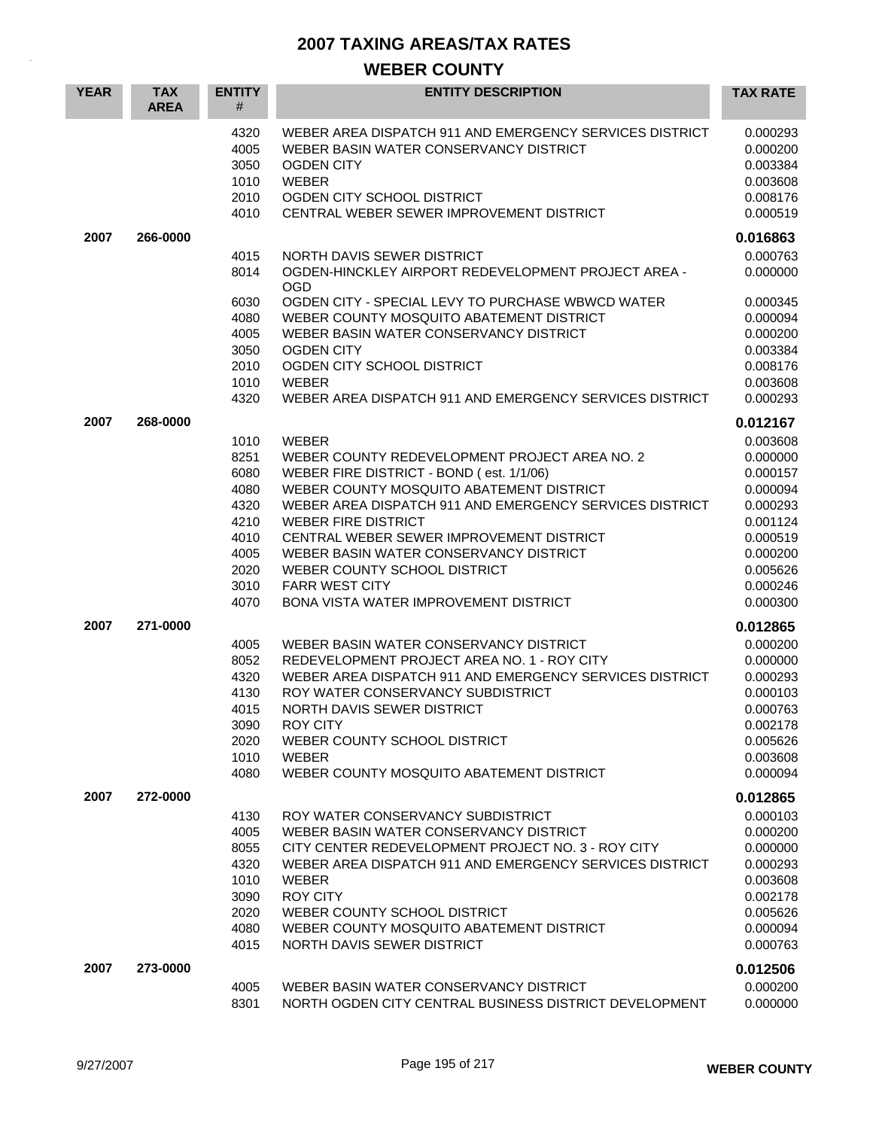| <b>YEAR</b> | <b>TAX</b><br><b>AREA</b> | <b>ENTITY</b><br>#                                                                   | <b>ENTITY DESCRIPTION</b>                                                                                                                                                                                                                                                                                                                                                                                                              | <b>TAX RATE</b>                                                                                                                              |
|-------------|---------------------------|--------------------------------------------------------------------------------------|----------------------------------------------------------------------------------------------------------------------------------------------------------------------------------------------------------------------------------------------------------------------------------------------------------------------------------------------------------------------------------------------------------------------------------------|----------------------------------------------------------------------------------------------------------------------------------------------|
|             |                           | 4320<br>4005<br>3050<br>1010<br>2010<br>4010                                         | WEBER AREA DISPATCH 911 AND EMERGENCY SERVICES DISTRICT<br>WEBER BASIN WATER CONSERVANCY DISTRICT<br><b>OGDEN CITY</b><br><b>WEBER</b><br>OGDEN CITY SCHOOL DISTRICT<br>CENTRAL WEBER SEWER IMPROVEMENT DISTRICT                                                                                                                                                                                                                       | 0.000293<br>0.000200<br>0.003384<br>0.003608<br>0.008176<br>0.000519                                                                         |
| 2007        | 266-0000                  |                                                                                      |                                                                                                                                                                                                                                                                                                                                                                                                                                        | 0.016863                                                                                                                                     |
|             |                           | 4015<br>8014                                                                         | NORTH DAVIS SEWER DISTRICT<br>OGDEN-HINCKLEY AIRPORT REDEVELOPMENT PROJECT AREA -<br><b>OGD</b>                                                                                                                                                                                                                                                                                                                                        | 0.000763<br>0.000000                                                                                                                         |
|             |                           | 6030<br>4080<br>4005<br>3050<br>2010<br>1010<br>4320                                 | OGDEN CITY - SPECIAL LEVY TO PURCHASE WBWCD WATER<br>WEBER COUNTY MOSQUITO ABATEMENT DISTRICT<br>WEBER BASIN WATER CONSERVANCY DISTRICT<br><b>OGDEN CITY</b><br>OGDEN CITY SCHOOL DISTRICT<br><b>WEBER</b><br>WEBER AREA DISPATCH 911 AND EMERGENCY SERVICES DISTRICT                                                                                                                                                                  | 0.000345<br>0.000094<br>0.000200<br>0.003384<br>0.008176<br>0.003608<br>0.000293                                                             |
| 2007        | 268-0000                  | 1010<br>8251<br>6080<br>4080<br>4320<br>4210<br>4010<br>4005<br>2020<br>3010<br>4070 | <b>WEBER</b><br>WEBER COUNTY REDEVELOPMENT PROJECT AREA NO. 2<br>WEBER FIRE DISTRICT - BOND (est. 1/1/06)<br>WEBER COUNTY MOSQUITO ABATEMENT DISTRICT<br>WEBER AREA DISPATCH 911 AND EMERGENCY SERVICES DISTRICT<br><b>WEBER FIRE DISTRICT</b><br>CENTRAL WEBER SEWER IMPROVEMENT DISTRICT<br>WEBER BASIN WATER CONSERVANCY DISTRICT<br>WEBER COUNTY SCHOOL DISTRICT<br><b>FARR WEST CITY</b><br>BONA VISTA WATER IMPROVEMENT DISTRICT | 0.012167<br>0.003608<br>0.000000<br>0.000157<br>0.000094<br>0.000293<br>0.001124<br>0.000519<br>0.000200<br>0.005626<br>0.000246<br>0.000300 |
| 2007        | 271-0000                  |                                                                                      |                                                                                                                                                                                                                                                                                                                                                                                                                                        | 0.012865                                                                                                                                     |
|             |                           | 4005<br>8052<br>4320<br>4130<br>4015<br>3090<br>2020<br>1010<br>4080                 | WEBER BASIN WATER CONSERVANCY DISTRICT<br>REDEVELOPMENT PROJECT AREA NO. 1 - ROY CITY<br>WEBER AREA DISPATCH 911 AND EMERGENCY SERVICES DISTRICT<br>ROY WATER CONSERVANCY SUBDISTRICT<br>NORTH DAVIS SEWER DISTRICT<br>ROY CITY<br>WEBER COUNTY SCHOOL DISTRICT<br><b>WEBER</b><br>WEBER COUNTY MOSQUITO ABATEMENT DISTRICT                                                                                                            | 0.000200<br>0.000000<br>0.000293<br>0.000103<br>0.000763<br>0.002178<br>0.005626<br>0.003608<br>0.000094                                     |
| 2007        | 272-0000                  | 4130<br>4005<br>8055<br>4320<br>1010<br>3090<br>2020<br>4080<br>4015                 | ROY WATER CONSERVANCY SUBDISTRICT<br>WEBER BASIN WATER CONSERVANCY DISTRICT<br>CITY CENTER REDEVELOPMENT PROJECT NO. 3 - ROY CITY<br>WEBER AREA DISPATCH 911 AND EMERGENCY SERVICES DISTRICT<br><b>WEBER</b><br><b>ROY CITY</b><br>WEBER COUNTY SCHOOL DISTRICT<br>WEBER COUNTY MOSQUITO ABATEMENT DISTRICT<br>NORTH DAVIS SEWER DISTRICT                                                                                              | 0.012865<br>0.000103<br>0.000200<br>0.000000<br>0.000293<br>0.003608<br>0.002178<br>0.005626<br>0.000094<br>0.000763                         |
| 2007        | 273-0000                  | 4005<br>8301                                                                         | WEBER BASIN WATER CONSERVANCY DISTRICT<br>NORTH OGDEN CITY CENTRAL BUSINESS DISTRICT DEVELOPMENT                                                                                                                                                                                                                                                                                                                                       | 0.012506<br>0.000200<br>0.000000                                                                                                             |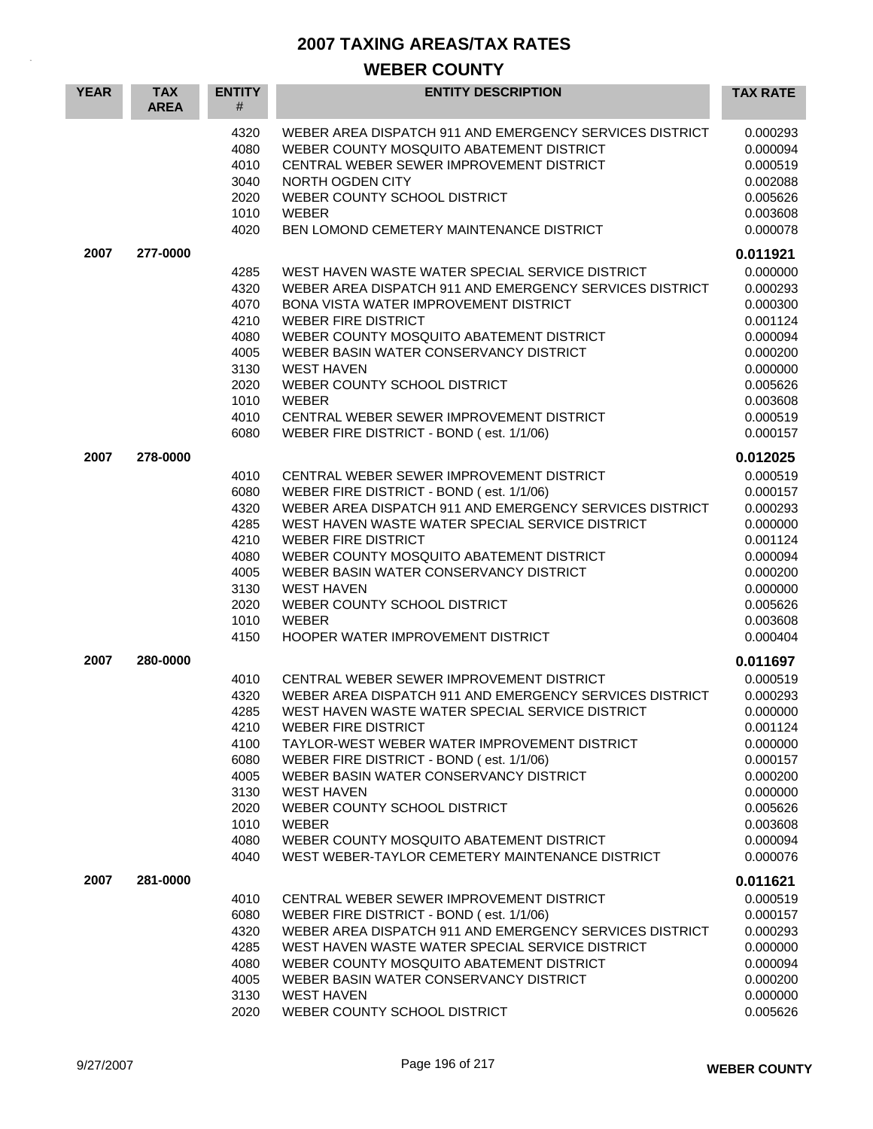| <b>YEAR</b> | <b>TAX</b><br><b>AREA</b> | <b>ENTITY</b><br>#                                                                           | <b>ENTITY DESCRIPTION</b>                                                                                                                                                                                                                                                                                                                                                                                                                                                               | <b>TAX RATE</b>                                                                                                                              |
|-------------|---------------------------|----------------------------------------------------------------------------------------------|-----------------------------------------------------------------------------------------------------------------------------------------------------------------------------------------------------------------------------------------------------------------------------------------------------------------------------------------------------------------------------------------------------------------------------------------------------------------------------------------|----------------------------------------------------------------------------------------------------------------------------------------------|
|             |                           | 4320<br>4080<br>4010<br>3040<br>2020<br>1010<br>4020                                         | WEBER AREA DISPATCH 911 AND EMERGENCY SERVICES DISTRICT<br>WEBER COUNTY MOSQUITO ABATEMENT DISTRICT<br>CENTRAL WEBER SEWER IMPROVEMENT DISTRICT<br>NORTH OGDEN CITY<br>WEBER COUNTY SCHOOL DISTRICT<br><b>WEBER</b><br>BEN LOMOND CEMETERY MAINTENANCE DISTRICT                                                                                                                                                                                                                         | 0.000293<br>0.000094<br>0.000519<br>0.002088<br>0.005626<br>0.003608<br>0.000078                                                             |
| 2007        | 277-0000                  |                                                                                              |                                                                                                                                                                                                                                                                                                                                                                                                                                                                                         | 0.011921                                                                                                                                     |
|             |                           | 4285<br>4320<br>4070<br>4210<br>4080<br>4005<br>3130<br>2020<br>1010<br>4010<br>6080         | WEST HAVEN WASTE WATER SPECIAL SERVICE DISTRICT<br>WEBER AREA DISPATCH 911 AND EMERGENCY SERVICES DISTRICT<br>BONA VISTA WATER IMPROVEMENT DISTRICT<br><b>WEBER FIRE DISTRICT</b><br>WEBER COUNTY MOSQUITO ABATEMENT DISTRICT<br>WEBER BASIN WATER CONSERVANCY DISTRICT<br><b>WEST HAVEN</b><br>WEBER COUNTY SCHOOL DISTRICT<br><b>WEBER</b><br>CENTRAL WEBER SEWER IMPROVEMENT DISTRICT<br>WEBER FIRE DISTRICT - BOND (est. 1/1/06)                                                    | 0.000000<br>0.000293<br>0.000300<br>0.001124<br>0.000094<br>0.000200<br>0.000000<br>0.005626<br>0.003608<br>0.000519<br>0.000157             |
| 2007        | 278-0000                  |                                                                                              |                                                                                                                                                                                                                                                                                                                                                                                                                                                                                         | 0.012025                                                                                                                                     |
|             |                           | 4010<br>6080<br>4320<br>4285<br>4210<br>4080<br>4005<br>3130<br>2020<br>1010<br>4150         | CENTRAL WEBER SEWER IMPROVEMENT DISTRICT<br>WEBER FIRE DISTRICT - BOND (est. 1/1/06)<br>WEBER AREA DISPATCH 911 AND EMERGENCY SERVICES DISTRICT<br>WEST HAVEN WASTE WATER SPECIAL SERVICE DISTRICT<br><b>WEBER FIRE DISTRICT</b><br>WEBER COUNTY MOSQUITO ABATEMENT DISTRICT<br>WEBER BASIN WATER CONSERVANCY DISTRICT<br><b>WEST HAVEN</b><br>WEBER COUNTY SCHOOL DISTRICT<br><b>WEBER</b><br>HOOPER WATER IMPROVEMENT DISTRICT                                                        | 0.000519<br>0.000157<br>0.000293<br>0.000000<br>0.001124<br>0.000094<br>0.000200<br>0.000000<br>0.005626<br>0.003608<br>0.000404             |
| 2007        | 280-0000                  |                                                                                              |                                                                                                                                                                                                                                                                                                                                                                                                                                                                                         | 0.011697                                                                                                                                     |
|             |                           | 4010<br>4320<br>4285<br>4210<br>4100<br>6080<br>4005<br>3130<br>2020<br>1010<br>4080<br>4040 | CENTRAL WEBER SEWER IMPROVEMENT DISTRICT<br>WEBER AREA DISPATCH 911 AND EMERGENCY SERVICES DISTRICT<br>WEST HAVEN WASTE WATER SPECIAL SERVICE DISTRICT<br><b>WEBER FIRE DISTRICT</b><br>TAYLOR-WEST WEBER WATER IMPROVEMENT DISTRICT<br>WEBER FIRE DISTRICT - BOND (est. 1/1/06)<br>WEBER BASIN WATER CONSERVANCY DISTRICT<br><b>WEST HAVEN</b><br>WEBER COUNTY SCHOOL DISTRICT<br>WEBER<br>WEBER COUNTY MOSQUITO ABATEMENT DISTRICT<br>WEST WEBER-TAYLOR CEMETERY MAINTENANCE DISTRICT | 0.000519<br>0.000293<br>0.000000<br>0.001124<br>0.000000<br>0.000157<br>0.000200<br>0.000000<br>0.005626<br>0.003608<br>0.000094<br>0.000076 |
| 2007        | 281-0000                  |                                                                                              |                                                                                                                                                                                                                                                                                                                                                                                                                                                                                         | 0.011621                                                                                                                                     |
|             |                           | 4010<br>6080<br>4320<br>4285<br>4080<br>4005<br>3130<br>2020                                 | CENTRAL WEBER SEWER IMPROVEMENT DISTRICT<br>WEBER FIRE DISTRICT - BOND (est. 1/1/06)<br>WEBER AREA DISPATCH 911 AND EMERGENCY SERVICES DISTRICT<br>WEST HAVEN WASTE WATER SPECIAL SERVICE DISTRICT<br>WEBER COUNTY MOSQUITO ABATEMENT DISTRICT<br>WEBER BASIN WATER CONSERVANCY DISTRICT<br><b>WEST HAVEN</b><br>WEBER COUNTY SCHOOL DISTRICT                                                                                                                                           | 0.000519<br>0.000157<br>0.000293<br>0.000000<br>0.000094<br>0.000200<br>0.000000<br>0.005626                                                 |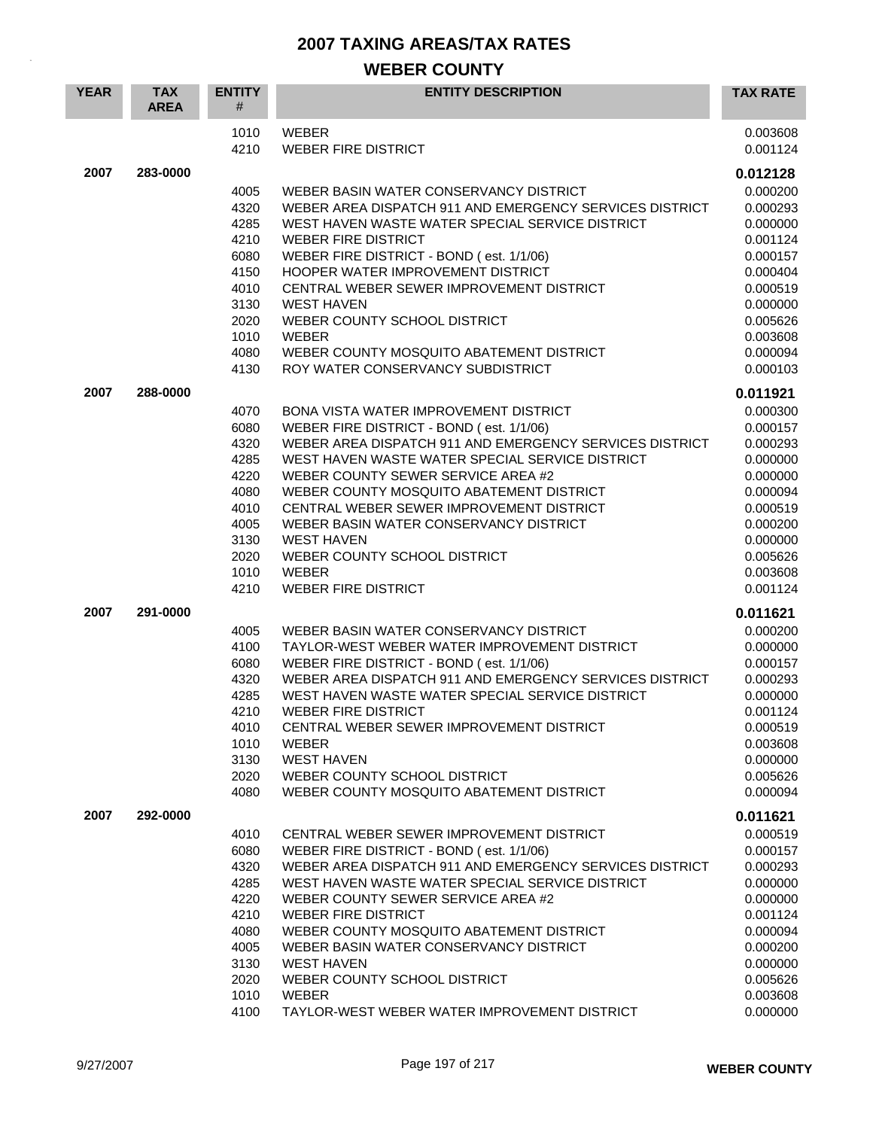| <b>YEAR</b> | <b>TAX</b><br><b>AREA</b> | <b>ENTITY</b><br>#                                                                           | <b>ENTITY DESCRIPTION</b>                                                                                                                                                                                                                                                                                                                                                                                                                                                         | <b>TAX RATE</b>                                                                                                                                          |
|-------------|---------------------------|----------------------------------------------------------------------------------------------|-----------------------------------------------------------------------------------------------------------------------------------------------------------------------------------------------------------------------------------------------------------------------------------------------------------------------------------------------------------------------------------------------------------------------------------------------------------------------------------|----------------------------------------------------------------------------------------------------------------------------------------------------------|
|             |                           | 1010<br>4210                                                                                 | <b>WEBER</b><br><b>WEBER FIRE DISTRICT</b>                                                                                                                                                                                                                                                                                                                                                                                                                                        | 0.003608<br>0.001124                                                                                                                                     |
| 2007        | 283-0000                  | 4005<br>4320<br>4285<br>4210<br>6080<br>4150<br>4010<br>3130<br>2020<br>1010                 | WEBER BASIN WATER CONSERVANCY DISTRICT<br>WEBER AREA DISPATCH 911 AND EMERGENCY SERVICES DISTRICT<br>WEST HAVEN WASTE WATER SPECIAL SERVICE DISTRICT<br><b>WEBER FIRE DISTRICT</b><br>WEBER FIRE DISTRICT - BOND (est. 1/1/06)<br>HOOPER WATER IMPROVEMENT DISTRICT<br>CENTRAL WEBER SEWER IMPROVEMENT DISTRICT<br><b>WEST HAVEN</b><br>WEBER COUNTY SCHOOL DISTRICT<br>WEBER                                                                                                     | 0.012128<br>0.000200<br>0.000293<br>0.000000<br>0.001124<br>0.000157<br>0.000404<br>0.000519<br>0.000000<br>0.005626<br>0.003608                         |
|             |                           | 4080<br>4130                                                                                 | WEBER COUNTY MOSQUITO ABATEMENT DISTRICT<br>ROY WATER CONSERVANCY SUBDISTRICT                                                                                                                                                                                                                                                                                                                                                                                                     | 0.000094<br>0.000103                                                                                                                                     |
| 2007        | 288-0000                  | 4070<br>6080<br>4320<br>4285<br>4220<br>4080<br>4010<br>4005<br>3130<br>2020<br>1010<br>4210 | BONA VISTA WATER IMPROVEMENT DISTRICT<br>WEBER FIRE DISTRICT - BOND (est. 1/1/06)<br>WEBER AREA DISPATCH 911 AND EMERGENCY SERVICES DISTRICT<br>WEST HAVEN WASTE WATER SPECIAL SERVICE DISTRICT<br>WEBER COUNTY SEWER SERVICE AREA #2<br>WEBER COUNTY MOSQUITO ABATEMENT DISTRICT<br>CENTRAL WEBER SEWER IMPROVEMENT DISTRICT<br>WEBER BASIN WATER CONSERVANCY DISTRICT<br><b>WEST HAVEN</b><br>WEBER COUNTY SCHOOL DISTRICT<br><b>WEBER</b><br><b>WEBER FIRE DISTRICT</b>        | 0.011921<br>0.000300<br>0.000157<br>0.000293<br>0.000000<br>0.000000<br>0.000094<br>0.000519<br>0.000200<br>0.000000<br>0.005626<br>0.003608<br>0.001124 |
| 2007        | 291-0000                  | 4005<br>4100<br>6080<br>4320<br>4285<br>4210<br>4010<br>1010<br>3130<br>2020<br>4080         | WEBER BASIN WATER CONSERVANCY DISTRICT<br>TAYLOR-WEST WEBER WATER IMPROVEMENT DISTRICT<br>WEBER FIRE DISTRICT - BOND (est. 1/1/06)<br>WEBER AREA DISPATCH 911 AND EMERGENCY SERVICES DISTRICT<br>WEST HAVEN WASTE WATER SPECIAL SERVICE DISTRICT<br><b>WEBER FIRE DISTRICT</b><br>CENTRAL WEBER SEWER IMPROVEMENT DISTRICT<br><b>WEBER</b><br><b>WEST HAVEN</b><br>WEBER COUNTY SCHOOL DISTRICT<br>WEBER COUNTY MOSQUITO ABATEMENT DISTRICT                                       | 0.011621<br>0.000200<br>0.000000<br>0.000157<br>0.000293<br>0.000000<br>0.001124<br>0.000519<br>0.003608<br>0.000000<br>0.005626<br>0.000094             |
| 2007        | 292-0000                  | 4010<br>6080<br>4320<br>4285<br>4220<br>4210<br>4080<br>4005<br>3130<br>2020<br>1010<br>4100 | CENTRAL WEBER SEWER IMPROVEMENT DISTRICT<br>WEBER FIRE DISTRICT - BOND (est. 1/1/06)<br>WEBER AREA DISPATCH 911 AND EMERGENCY SERVICES DISTRICT<br>WEST HAVEN WASTE WATER SPECIAL SERVICE DISTRICT<br>WEBER COUNTY SEWER SERVICE AREA #2<br><b>WEBER FIRE DISTRICT</b><br>WEBER COUNTY MOSQUITO ABATEMENT DISTRICT<br>WEBER BASIN WATER CONSERVANCY DISTRICT<br><b>WEST HAVEN</b><br>WEBER COUNTY SCHOOL DISTRICT<br><b>WEBER</b><br>TAYLOR-WEST WEBER WATER IMPROVEMENT DISTRICT | 0.011621<br>0.000519<br>0.000157<br>0.000293<br>0.000000<br>0.000000<br>0.001124<br>0.000094<br>0.000200<br>0.000000<br>0.005626<br>0.003608<br>0.000000 |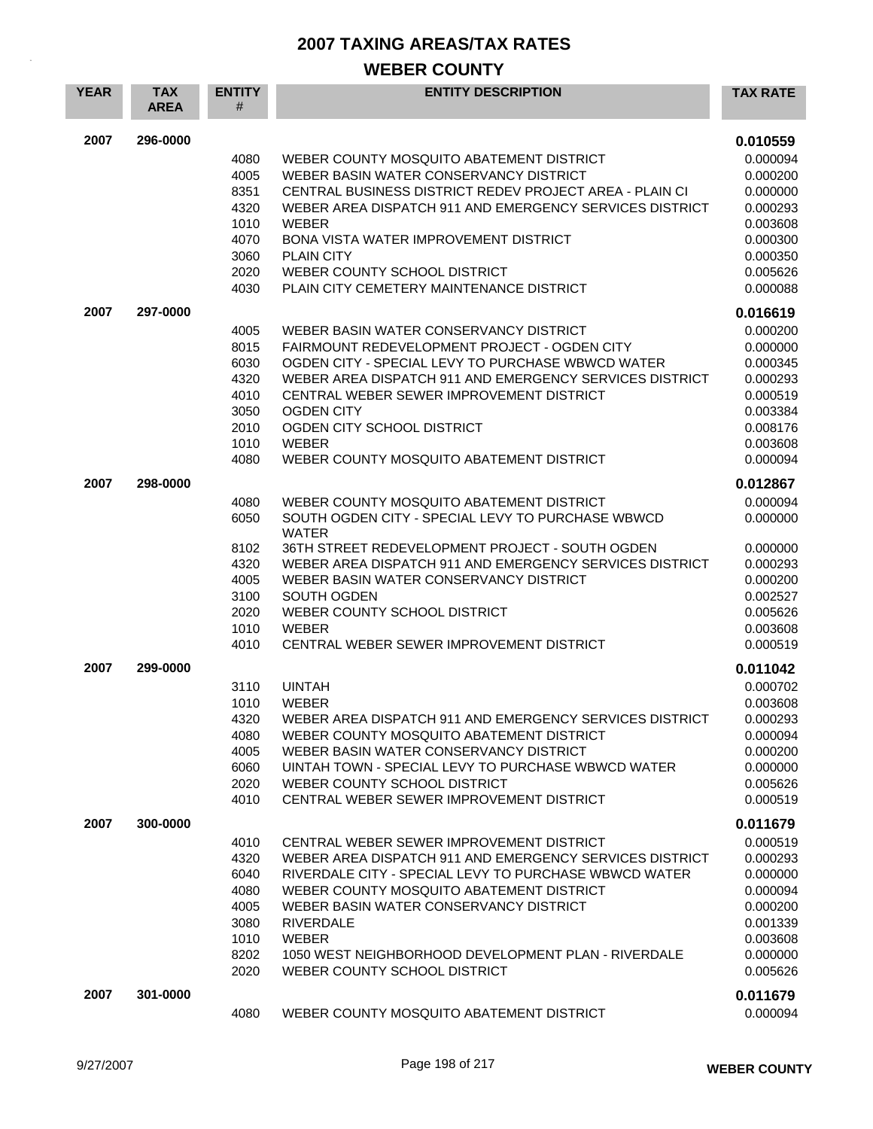| <b>YEAR</b> | <b>TAX</b><br><b>AREA</b> | <b>ENTITY</b><br># | <b>ENTITY DESCRIPTION</b>                                                                         | <b>TAX RATE</b>      |
|-------------|---------------------------|--------------------|---------------------------------------------------------------------------------------------------|----------------------|
| 2007        | 296-0000                  |                    |                                                                                                   | 0.010559             |
|             |                           | 4080               | WEBER COUNTY MOSQUITO ABATEMENT DISTRICT                                                          | 0.000094             |
|             |                           | 4005               | WEBER BASIN WATER CONSERVANCY DISTRICT                                                            | 0.000200             |
|             |                           | 8351               | CENTRAL BUSINESS DISTRICT REDEV PROJECT AREA - PLAIN CI                                           | 0.000000             |
|             |                           | 4320               | WEBER AREA DISPATCH 911 AND EMERGENCY SERVICES DISTRICT                                           | 0.000293             |
|             |                           | 1010               | <b>WEBER</b>                                                                                      | 0.003608             |
|             |                           | 4070               | <b>BONA VISTA WATER IMPROVEMENT DISTRICT</b>                                                      | 0.000300             |
|             |                           | 3060               | <b>PLAIN CITY</b><br>WEBER COUNTY SCHOOL DISTRICT                                                 | 0.000350             |
|             |                           | 2020<br>4030       | PLAIN CITY CEMETERY MAINTENANCE DISTRICT                                                          | 0.005626<br>0.000088 |
| 2007        | 297-0000                  |                    |                                                                                                   | 0.016619             |
|             |                           | 4005               | WEBER BASIN WATER CONSERVANCY DISTRICT                                                            | 0.000200             |
|             |                           | 8015               | FAIRMOUNT REDEVELOPMENT PROJECT - OGDEN CITY                                                      | 0.000000             |
|             |                           | 6030               | OGDEN CITY - SPECIAL LEVY TO PURCHASE WBWCD WATER                                                 | 0.000345             |
|             |                           | 4320               | WEBER AREA DISPATCH 911 AND EMERGENCY SERVICES DISTRICT                                           | 0.000293             |
|             |                           | 4010               | CENTRAL WEBER SEWER IMPROVEMENT DISTRICT                                                          | 0.000519             |
|             |                           | 3050               | <b>OGDEN CITY</b>                                                                                 | 0.003384             |
|             |                           | 2010               | OGDEN CITY SCHOOL DISTRICT                                                                        | 0.008176             |
|             |                           | 1010               | WEBER                                                                                             | 0.003608             |
|             |                           | 4080               | WEBER COUNTY MOSQUITO ABATEMENT DISTRICT                                                          | 0.000094             |
| 2007        | 298-0000                  |                    |                                                                                                   | 0.012867             |
|             |                           | 4080               | WEBER COUNTY MOSQUITO ABATEMENT DISTRICT                                                          | 0.000094             |
|             |                           | 6050               | SOUTH OGDEN CITY - SPECIAL LEVY TO PURCHASE WBWCD                                                 | 0.000000             |
|             |                           |                    | <b>WATER</b>                                                                                      |                      |
|             |                           | 8102               | 36TH STREET REDEVELOPMENT PROJECT - SOUTH OGDEN                                                   | 0.000000             |
|             |                           | 4320               | WEBER AREA DISPATCH 911 AND EMERGENCY SERVICES DISTRICT                                           | 0.000293             |
|             |                           | 4005<br>3100       | WEBER BASIN WATER CONSERVANCY DISTRICT<br>SOUTH OGDEN                                             | 0.000200<br>0.002527 |
|             |                           | 2020               | WEBER COUNTY SCHOOL DISTRICT                                                                      | 0.005626             |
|             |                           | 1010               | <b>WEBER</b>                                                                                      | 0.003608             |
|             |                           | 4010               | CENTRAL WEBER SEWER IMPROVEMENT DISTRICT                                                          | 0.000519             |
| 2007        | 299-0000                  |                    |                                                                                                   | 0.011042             |
|             |                           | 3110               | <b>UINTAH</b>                                                                                     | 0.000702             |
|             |                           | 1010               | <b>WEBER</b>                                                                                      | 0.003608             |
|             |                           | 4320               | WEBER AREA DISPATCH 911 AND EMERGENCY SERVICES DISTRICT                                           | 0.000293             |
|             |                           | 4080               | WEBER COUNTY MOSQUITO ABATEMENT DISTRICT                                                          | 0.000094             |
|             |                           | 4005               | WEBER BASIN WATER CONSERVANCY DISTRICT                                                            | 0.000200             |
|             |                           | 6060               | UINTAH TOWN - SPECIAL LEVY TO PURCHASE WBWCD WATER                                                | 0.000000             |
|             |                           | 2020<br>4010       | WEBER COUNTY SCHOOL DISTRICT<br>CENTRAL WEBER SEWER IMPROVEMENT DISTRICT                          | 0.005626<br>0.000519 |
|             |                           |                    |                                                                                                   |                      |
| 2007        | 300-0000                  |                    |                                                                                                   | 0.011679             |
|             |                           | 4010               | CENTRAL WEBER SEWER IMPROVEMENT DISTRICT                                                          | 0.000519             |
|             |                           | 4320               | WEBER AREA DISPATCH 911 AND EMERGENCY SERVICES DISTRICT                                           | 0.000293             |
|             |                           | 6040<br>4080       | RIVERDALE CITY - SPECIAL LEVY TO PURCHASE WBWCD WATER<br>WEBER COUNTY MOSQUITO ABATEMENT DISTRICT | 0.000000             |
|             |                           | 4005               | WEBER BASIN WATER CONSERVANCY DISTRICT                                                            | 0.000094<br>0.000200 |
|             |                           | 3080               | <b>RIVERDALE</b>                                                                                  | 0.001339             |
|             |                           | 1010               | WEBER                                                                                             | 0.003608             |
|             |                           | 8202               | 1050 WEST NEIGHBORHOOD DEVELOPMENT PLAN - RIVERDALE                                               | 0.000000             |
|             |                           | 2020               | WEBER COUNTY SCHOOL DISTRICT                                                                      | 0.005626             |
| 2007        | 301-0000                  |                    |                                                                                                   | 0.011679             |
|             |                           | 4080               | WEBER COUNTY MOSQUITO ABATEMENT DISTRICT                                                          | 0.000094             |
|             |                           |                    |                                                                                                   |                      |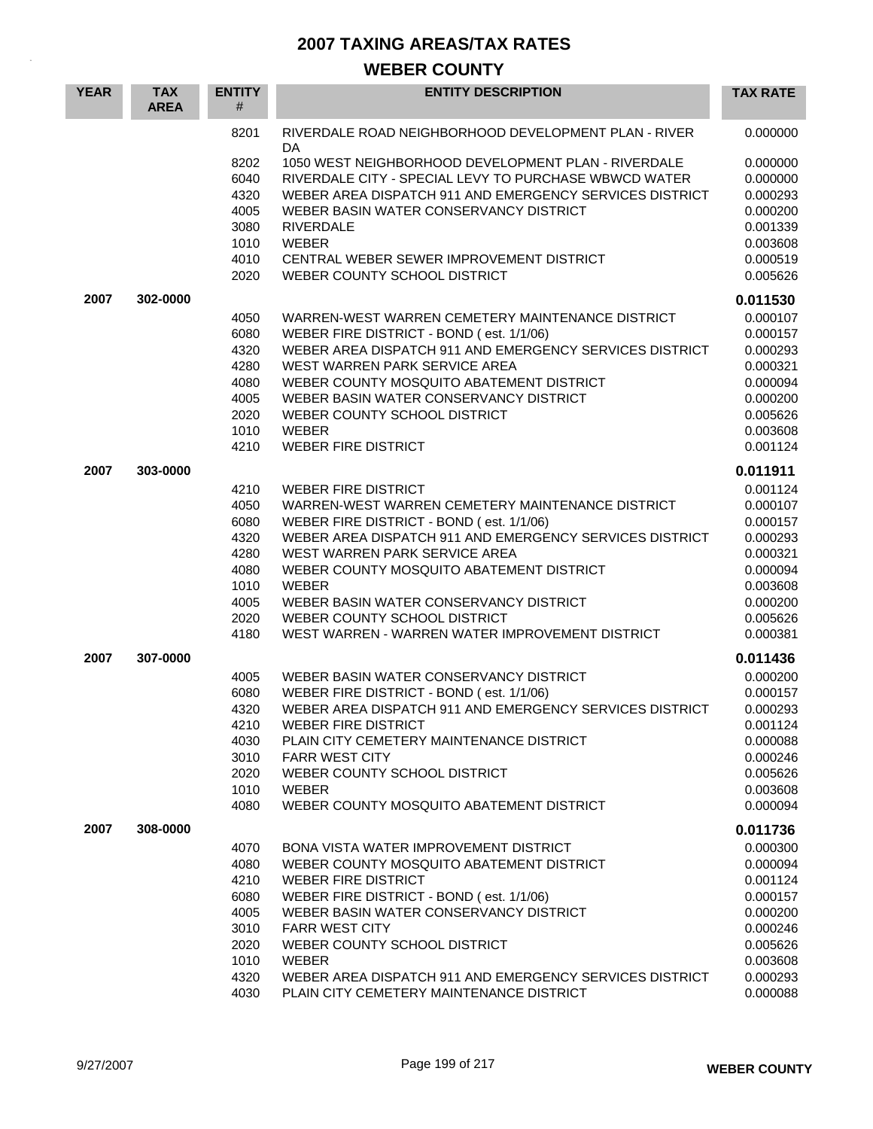| <b>YEAR</b> | <b>TAX</b><br><b>AREA</b> | <b>ENTITY</b><br># | <b>ENTITY DESCRIPTION</b>                                  | <b>TAX RATE</b>      |
|-------------|---------------------------|--------------------|------------------------------------------------------------|----------------------|
|             |                           | 8201               | RIVERDALE ROAD NEIGHBORHOOD DEVELOPMENT PLAN - RIVER<br>DA | 0.000000             |
|             |                           | 8202               | 1050 WEST NEIGHBORHOOD DEVELOPMENT PLAN - RIVERDALE        | 0.000000             |
|             |                           | 6040               | RIVERDALE CITY - SPECIAL LEVY TO PURCHASE WBWCD WATER      | 0.000000             |
|             |                           | 4320               | WEBER AREA DISPATCH 911 AND EMERGENCY SERVICES DISTRICT    | 0.000293             |
|             |                           | 4005               | WEBER BASIN WATER CONSERVANCY DISTRICT                     | 0.000200             |
|             |                           | 3080               | <b>RIVERDALE</b>                                           | 0.001339             |
|             |                           | 1010               | WEBER                                                      | 0.003608             |
|             |                           | 4010               | CENTRAL WEBER SEWER IMPROVEMENT DISTRICT                   | 0.000519             |
|             |                           | 2020               | WEBER COUNTY SCHOOL DISTRICT                               | 0.005626             |
| 2007        | 302-0000                  |                    |                                                            | 0.011530             |
|             |                           | 4050               | WARREN-WEST WARREN CEMETERY MAINTENANCE DISTRICT           | 0.000107             |
|             |                           | 6080               | WEBER FIRE DISTRICT - BOND (est. 1/1/06)                   | 0.000157             |
|             |                           | 4320               | WEBER AREA DISPATCH 911 AND EMERGENCY SERVICES DISTRICT    | 0.000293             |
|             |                           | 4280               | WEST WARREN PARK SERVICE AREA                              | 0.000321             |
|             |                           | 4080               | WEBER COUNTY MOSQUITO ABATEMENT DISTRICT                   | 0.000094             |
|             |                           | 4005               | WEBER BASIN WATER CONSERVANCY DISTRICT                     | 0.000200             |
|             |                           | 2020               | WEBER COUNTY SCHOOL DISTRICT                               | 0.005626             |
|             |                           | 1010               | <b>WEBER</b>                                               | 0.003608             |
|             |                           | 4210               | <b>WEBER FIRE DISTRICT</b>                                 | 0.001124             |
| 2007        | 303-0000                  |                    |                                                            | 0.011911             |
|             |                           | 4210               | <b>WEBER FIRE DISTRICT</b>                                 | 0.001124             |
|             |                           | 4050               | WARREN-WEST WARREN CEMETERY MAINTENANCE DISTRICT           | 0.000107             |
|             |                           | 6080               | WEBER FIRE DISTRICT - BOND (est. 1/1/06)                   | 0.000157             |
|             |                           | 4320               | WEBER AREA DISPATCH 911 AND EMERGENCY SERVICES DISTRICT    | 0.000293             |
|             |                           | 4280               | WEST WARREN PARK SERVICE AREA                              | 0.000321             |
|             |                           | 4080               | WEBER COUNTY MOSQUITO ABATEMENT DISTRICT                   | 0.000094             |
|             |                           | 1010               | <b>WEBER</b>                                               | 0.003608             |
|             |                           | 4005               | WEBER BASIN WATER CONSERVANCY DISTRICT                     | 0.000200             |
|             |                           | 2020               | WEBER COUNTY SCHOOL DISTRICT                               | 0.005626             |
|             |                           | 4180               | WEST WARREN - WARREN WATER IMPROVEMENT DISTRICT            | 0.000381             |
| 2007        | 307-0000                  |                    |                                                            | 0.011436             |
|             |                           | 4005               | WEBER BASIN WATER CONSERVANCY DISTRICT                     | 0.000200             |
|             |                           | 6080               | WEBER FIRE DISTRICT - BOND (est. 1/1/06)                   | 0.000157             |
|             |                           | 4320               | WEBER AREA DISPATCH 911 AND EMERGENCY SERVICES DISTRICT    | 0.000293             |
|             |                           | 4210               | WEBER FIRE DISTRICT                                        | 0.001124             |
|             |                           | 4030               | PLAIN CITY CEMETERY MAINTENANCE DISTRICT                   | 0.000088             |
|             |                           | 3010               | <b>FARR WEST CITY</b>                                      | 0.000246             |
|             |                           | 2020               | WEBER COUNTY SCHOOL DISTRICT                               | 0.005626             |
|             |                           | 1010               | <b>WEBER</b>                                               | 0.003608             |
|             |                           | 4080               | WEBER COUNTY MOSQUITO ABATEMENT DISTRICT                   | 0.000094             |
| 2007        | 308-0000                  |                    |                                                            | 0.011736             |
|             |                           | 4070               | BONA VISTA WATER IMPROVEMENT DISTRICT                      | 0.000300             |
|             |                           | 4080               | WEBER COUNTY MOSQUITO ABATEMENT DISTRICT                   | 0.000094             |
|             |                           | 4210               | <b>WEBER FIRE DISTRICT</b>                                 | 0.001124             |
|             |                           | 6080               | WEBER FIRE DISTRICT - BOND (est. 1/1/06)                   | 0.000157             |
|             |                           | 4005               | WEBER BASIN WATER CONSERVANCY DISTRICT                     | 0.000200             |
|             |                           | 3010<br>2020       | <b>FARR WEST CITY</b><br>WEBER COUNTY SCHOOL DISTRICT      | 0.000246<br>0.005626 |
|             |                           | 1010               | <b>WEBER</b>                                               | 0.003608             |
|             |                           | 4320               | WEBER AREA DISPATCH 911 AND EMERGENCY SERVICES DISTRICT    | 0.000293             |
|             |                           | 4030               | PLAIN CITY CEMETERY MAINTENANCE DISTRICT                   | 0.000088             |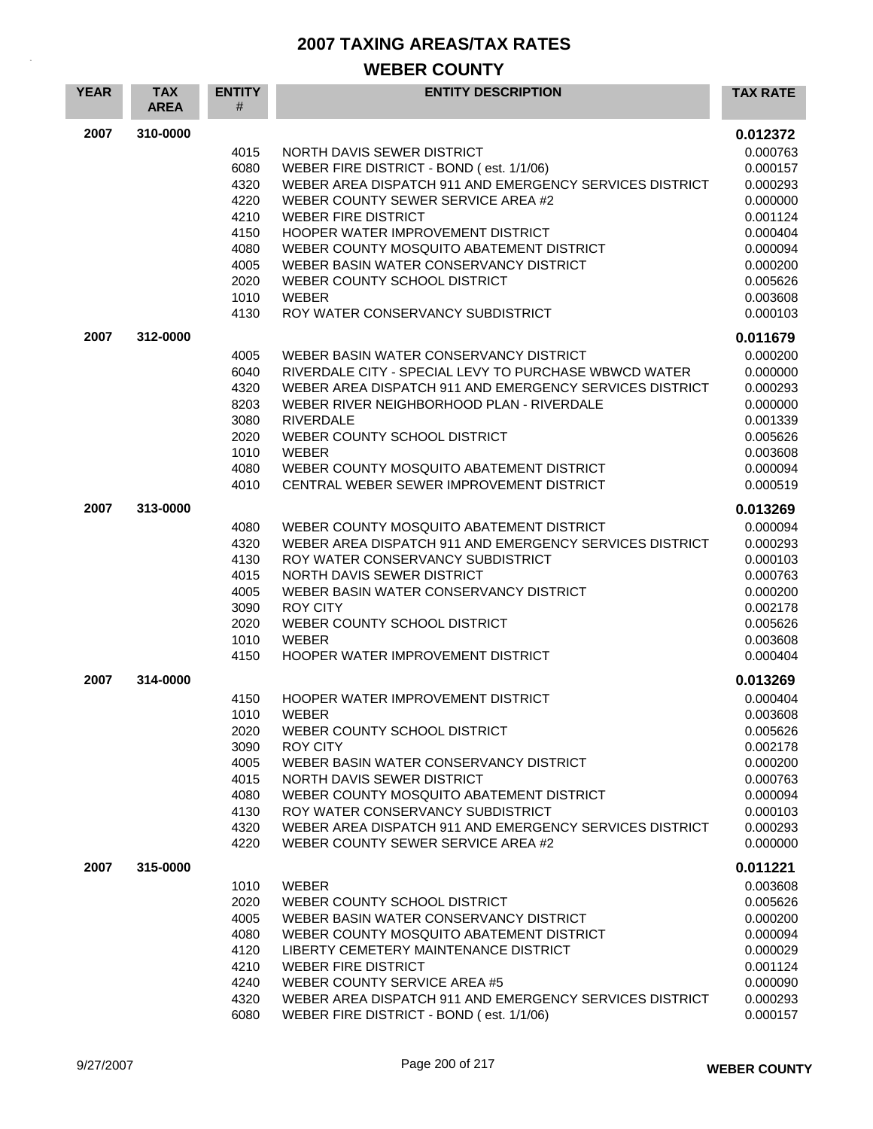| <b>YEAR</b> | <b>TAX</b><br><b>AREA</b> | <b>ENTITY</b><br># | <b>ENTITY DESCRIPTION</b>                                                                    | <b>TAX RATE</b>      |
|-------------|---------------------------|--------------------|----------------------------------------------------------------------------------------------|----------------------|
| 2007        | 310-0000                  |                    |                                                                                              | 0.012372             |
|             |                           | 4015               | NORTH DAVIS SEWER DISTRICT                                                                   | 0.000763             |
|             |                           | 6080               | WEBER FIRE DISTRICT - BOND (est. 1/1/06)                                                     | 0.000157             |
|             |                           | 4320               | WEBER AREA DISPATCH 911 AND EMERGENCY SERVICES DISTRICT                                      | 0.000293             |
|             |                           | 4220               | WEBER COUNTY SEWER SERVICE AREA #2                                                           | 0.000000             |
|             |                           | 4210               | <b>WEBER FIRE DISTRICT</b>                                                                   | 0.001124             |
|             |                           | 4150               | HOOPER WATER IMPROVEMENT DISTRICT                                                            | 0.000404             |
|             |                           | 4080<br>4005       | WEBER COUNTY MOSQUITO ABATEMENT DISTRICT<br>WEBER BASIN WATER CONSERVANCY DISTRICT           | 0.000094             |
|             |                           | 2020               | WEBER COUNTY SCHOOL DISTRICT                                                                 | 0.000200<br>0.005626 |
|             |                           | 1010               | <b>WEBER</b>                                                                                 | 0.003608             |
|             |                           | 4130               | ROY WATER CONSERVANCY SUBDISTRICT                                                            | 0.000103             |
| 2007        | 312-0000                  |                    |                                                                                              | 0.011679             |
|             |                           | 4005               | WEBER BASIN WATER CONSERVANCY DISTRICT                                                       | 0.000200             |
|             |                           | 6040               | RIVERDALE CITY - SPECIAL LEVY TO PURCHASE WBWCD WATER                                        | 0.000000             |
|             |                           | 4320               | WEBER AREA DISPATCH 911 AND EMERGENCY SERVICES DISTRICT                                      | 0.000293             |
|             |                           | 8203               | WEBER RIVER NEIGHBORHOOD PLAN - RIVERDALE                                                    | 0.000000             |
|             |                           | 3080               | <b>RIVERDALE</b>                                                                             | 0.001339             |
|             |                           | 2020               | WEBER COUNTY SCHOOL DISTRICT                                                                 | 0.005626             |
|             |                           | 1010               | <b>WEBER</b>                                                                                 | 0.003608             |
|             |                           | 4080               | WEBER COUNTY MOSQUITO ABATEMENT DISTRICT                                                     | 0.000094             |
|             |                           | 4010               | CENTRAL WEBER SEWER IMPROVEMENT DISTRICT                                                     | 0.000519             |
| 2007        | 313-0000                  |                    |                                                                                              | 0.013269             |
|             |                           | 4080               | WEBER COUNTY MOSQUITO ABATEMENT DISTRICT                                                     | 0.000094             |
|             |                           | 4320               | WEBER AREA DISPATCH 911 AND EMERGENCY SERVICES DISTRICT                                      | 0.000293             |
|             |                           | 4130<br>4015       | ROY WATER CONSERVANCY SUBDISTRICT<br>NORTH DAVIS SEWER DISTRICT                              | 0.000103             |
|             |                           | 4005               | WEBER BASIN WATER CONSERVANCY DISTRICT                                                       | 0.000763<br>0.000200 |
|             |                           | 3090               | <b>ROY CITY</b>                                                                              | 0.002178             |
|             |                           | 2020               | WEBER COUNTY SCHOOL DISTRICT                                                                 | 0.005626             |
|             |                           | 1010               | <b>WEBER</b>                                                                                 | 0.003608             |
|             |                           | 4150               | HOOPER WATER IMPROVEMENT DISTRICT                                                            | 0.000404             |
| 2007        | 314-0000                  |                    |                                                                                              | 0.013269             |
|             |                           | 4150               | HOOPER WATER IMPROVEMENT DISTRICT                                                            | 0.000404             |
|             |                           | 1010               | <b>WEBER</b>                                                                                 | 0.003608             |
|             |                           | 2020               | WEBER COUNTY SCHOOL DISTRICT                                                                 | 0.005626             |
|             |                           | 3090               | <b>ROY CITY</b>                                                                              | 0.002178             |
|             |                           | 4005               | WEBER BASIN WATER CONSERVANCY DISTRICT                                                       | 0.000200             |
|             |                           | 4015               | NORTH DAVIS SEWER DISTRICT                                                                   | 0.000763             |
|             |                           | 4080               | WEBER COUNTY MOSQUITO ABATEMENT DISTRICT                                                     | 0.000094             |
|             |                           | 4130               | ROY WATER CONSERVANCY SUBDISTRICT<br>WEBER AREA DISPATCH 911 AND EMERGENCY SERVICES DISTRICT | 0.000103             |
|             |                           | 4320<br>4220       | WEBER COUNTY SEWER SERVICE AREA #2                                                           | 0.000293<br>0.000000 |
|             |                           |                    |                                                                                              |                      |
| 2007        | 315-0000                  |                    |                                                                                              | 0.011221             |
|             |                           | 1010               | <b>WEBER</b>                                                                                 | 0.003608             |
|             |                           | 2020<br>4005       | WEBER COUNTY SCHOOL DISTRICT<br>WEBER BASIN WATER CONSERVANCY DISTRICT                       | 0.005626<br>0.000200 |
|             |                           | 4080               | WEBER COUNTY MOSQUITO ABATEMENT DISTRICT                                                     | 0.000094             |
|             |                           | 4120               | LIBERTY CEMETERY MAINTENANCE DISTRICT                                                        | 0.000029             |
|             |                           | 4210               | <b>WEBER FIRE DISTRICT</b>                                                                   | 0.001124             |
|             |                           | 4240               | WEBER COUNTY SERVICE AREA #5                                                                 | 0.000090             |
|             |                           | 4320               | WEBER AREA DISPATCH 911 AND EMERGENCY SERVICES DISTRICT                                      | 0.000293             |
|             |                           | 6080               | WEBER FIRE DISTRICT - BOND (est. 1/1/06)                                                     | 0.000157             |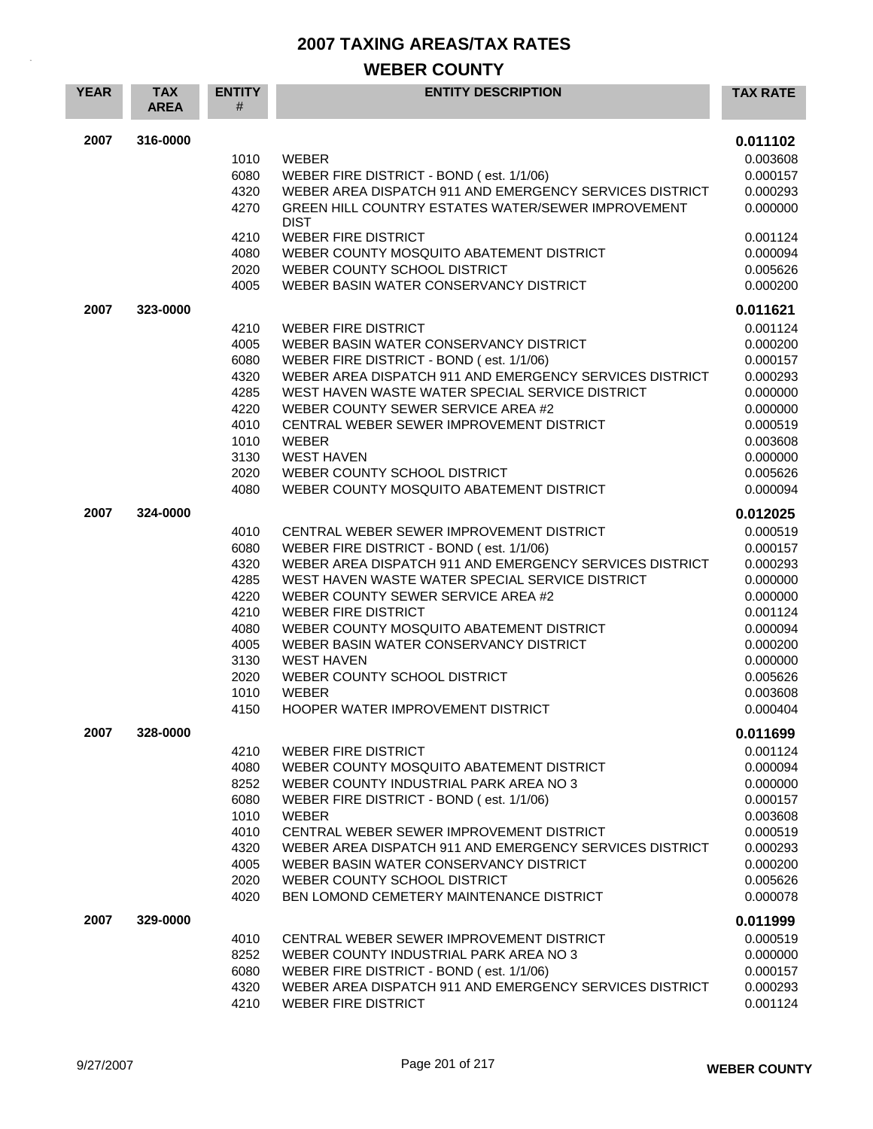| <b>YEAR</b> | <b>TAX</b><br><b>AREA</b> | <b>ENTITY</b><br># | <b>ENTITY DESCRIPTION</b>                                                             | <b>TAX RATE</b>      |
|-------------|---------------------------|--------------------|---------------------------------------------------------------------------------------|----------------------|
| 2007        | 316-0000                  |                    |                                                                                       | 0.011102             |
|             |                           | 1010               | <b>WEBER</b>                                                                          | 0.003608             |
|             |                           | 6080               | WEBER FIRE DISTRICT - BOND (est. 1/1/06)                                              | 0.000157             |
|             |                           | 4320               | WEBER AREA DISPATCH 911 AND EMERGENCY SERVICES DISTRICT                               | 0.000293             |
|             |                           | 4270               | <b>GREEN HILL COUNTRY ESTATES WATER/SEWER IMPROVEMENT</b><br><b>DIST</b>              | 0.000000             |
|             |                           | 4210               | <b>WEBER FIRE DISTRICT</b>                                                            | 0.001124             |
|             |                           | 4080               | WEBER COUNTY MOSQUITO ABATEMENT DISTRICT                                              | 0.000094             |
|             |                           | 2020               | WEBER COUNTY SCHOOL DISTRICT                                                          | 0.005626             |
|             |                           | 4005               | WEBER BASIN WATER CONSERVANCY DISTRICT                                                | 0.000200             |
| 2007        | 323-0000                  |                    |                                                                                       | 0.011621             |
|             |                           | 4210               | <b>WEBER FIRE DISTRICT</b>                                                            | 0.001124             |
|             |                           | 4005               | WEBER BASIN WATER CONSERVANCY DISTRICT                                                | 0.000200             |
|             |                           | 6080               | WEBER FIRE DISTRICT - BOND (est. 1/1/06)                                              | 0.000157             |
|             |                           | 4320               | WEBER AREA DISPATCH 911 AND EMERGENCY SERVICES DISTRICT                               | 0.000293             |
|             |                           | 4285<br>4220       | WEST HAVEN WASTE WATER SPECIAL SERVICE DISTRICT<br>WEBER COUNTY SEWER SERVICE AREA #2 | 0.000000             |
|             |                           |                    |                                                                                       | 0.000000             |
|             |                           | 4010<br>1010       | CENTRAL WEBER SEWER IMPROVEMENT DISTRICT<br><b>WEBER</b>                              | 0.000519             |
|             |                           | 3130               | <b>WEST HAVEN</b>                                                                     | 0.003608<br>0.000000 |
|             |                           | 2020               | WEBER COUNTY SCHOOL DISTRICT                                                          | 0.005626             |
|             |                           | 4080               | WEBER COUNTY MOSQUITO ABATEMENT DISTRICT                                              | 0.000094             |
| 2007        | 324-0000                  |                    |                                                                                       | 0.012025             |
|             |                           | 4010               | CENTRAL WEBER SEWER IMPROVEMENT DISTRICT                                              | 0.000519             |
|             |                           | 6080               | WEBER FIRE DISTRICT - BOND (est. 1/1/06)                                              | 0.000157             |
|             |                           | 4320               | WEBER AREA DISPATCH 911 AND EMERGENCY SERVICES DISTRICT                               | 0.000293             |
|             |                           | 4285               | WEST HAVEN WASTE WATER SPECIAL SERVICE DISTRICT                                       | 0.000000             |
|             |                           | 4220               | WEBER COUNTY SEWER SERVICE AREA #2                                                    | 0.000000             |
|             |                           | 4210               | <b>WEBER FIRE DISTRICT</b>                                                            | 0.001124             |
|             |                           | 4080               | WEBER COUNTY MOSQUITO ABATEMENT DISTRICT                                              | 0.000094             |
|             |                           | 4005               | WEBER BASIN WATER CONSERVANCY DISTRICT                                                | 0.000200             |
|             |                           | 3130               | <b>WEST HAVEN</b>                                                                     | 0.000000             |
|             |                           | 2020               | WEBER COUNTY SCHOOL DISTRICT                                                          | 0.005626             |
|             |                           | 1010               | <b>WEBER</b>                                                                          | 0.003608             |
|             |                           | 4150               | <b>HOOPER WATER IMPROVEMENT DISTRICT</b>                                              | 0.000404             |
| 2007        | 328-0000                  |                    |                                                                                       | 0.011699             |
|             |                           | 4210               | <b>WEBER FIRE DISTRICT</b>                                                            | 0.001124             |
|             |                           | 4080               | WEBER COUNTY MOSQUITO ABATEMENT DISTRICT                                              | 0.000094             |
|             |                           | 8252               | WEBER COUNTY INDUSTRIAL PARK AREA NO 3                                                | 0.000000             |
|             |                           | 6080               | WEBER FIRE DISTRICT - BOND (est. 1/1/06)                                              | 0.000157             |
|             |                           | 1010               | <b>WEBER</b><br>CENTRAL WEBER SEWER IMPROVEMENT DISTRICT                              | 0.003608             |
|             |                           | 4010<br>4320       | WEBER AREA DISPATCH 911 AND EMERGENCY SERVICES DISTRICT                               | 0.000519             |
|             |                           | 4005               | WEBER BASIN WATER CONSERVANCY DISTRICT                                                | 0.000293<br>0.000200 |
|             |                           | 2020               | WEBER COUNTY SCHOOL DISTRICT                                                          | 0.005626             |
|             |                           | 4020               | <b>BEN LOMOND CEMETERY MAINTENANCE DISTRICT</b>                                       | 0.000078             |
| 2007        | 329-0000                  |                    |                                                                                       | 0.011999             |
|             |                           | 4010               | CENTRAL WEBER SEWER IMPROVEMENT DISTRICT                                              | 0.000519             |
|             |                           | 8252               | WEBER COUNTY INDUSTRIAL PARK AREA NO 3                                                | 0.000000             |
|             |                           | 6080               | WEBER FIRE DISTRICT - BOND (est. 1/1/06)                                              | 0.000157             |
|             |                           | 4320               | WEBER AREA DISPATCH 911 AND EMERGENCY SERVICES DISTRICT                               | 0.000293             |
|             |                           | 4210               | WEBER FIRE DISTRICT                                                                   | 0.001124             |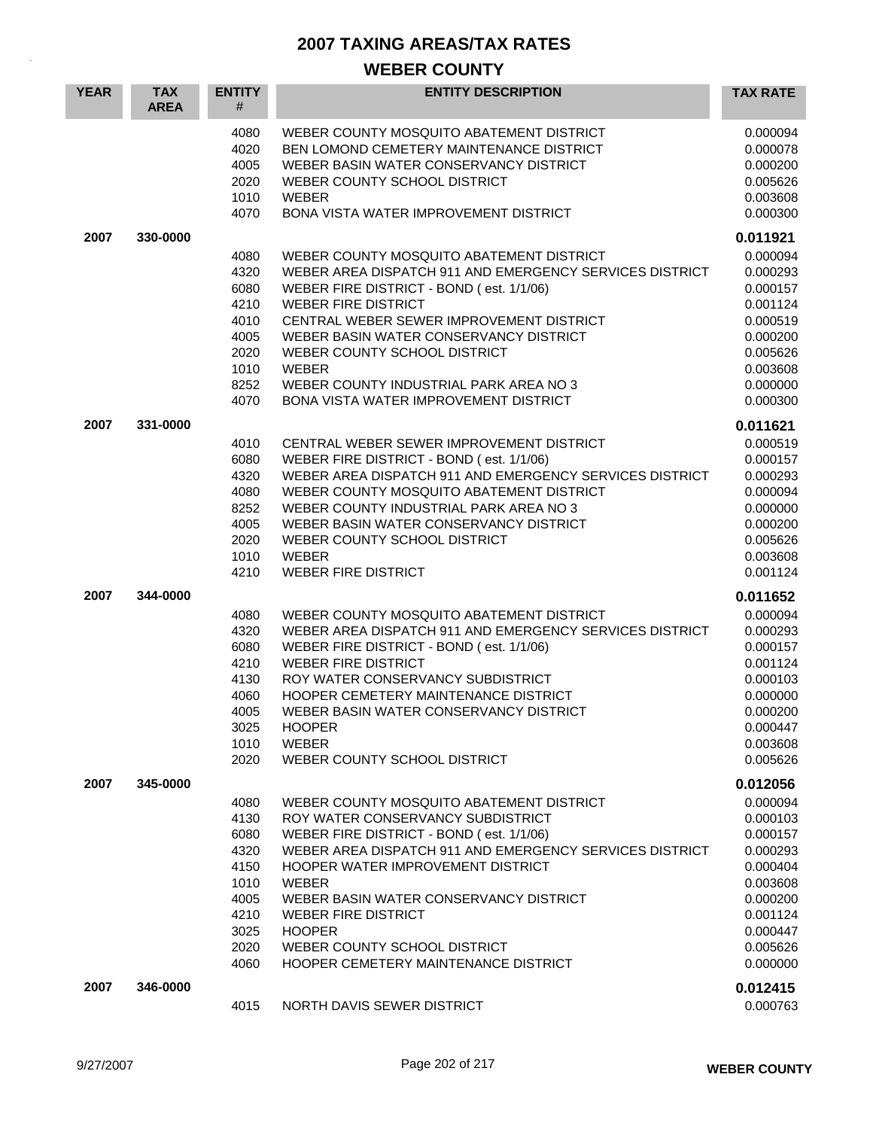| <b>YEAR</b> | <b>TAX</b><br><b>AREA</b> | <b>ENTITY</b><br>#                                                                   | <b>ENTITY DESCRIPTION</b>                                                                                                                                                                                                                                                                                                                                                                                     | <b>TAX RATE</b>                                                                                                                  |
|-------------|---------------------------|--------------------------------------------------------------------------------------|---------------------------------------------------------------------------------------------------------------------------------------------------------------------------------------------------------------------------------------------------------------------------------------------------------------------------------------------------------------------------------------------------------------|----------------------------------------------------------------------------------------------------------------------------------|
|             |                           | 4080<br>4020<br>4005<br>2020<br>1010<br>4070                                         | WEBER COUNTY MOSQUITO ABATEMENT DISTRICT<br>BEN LOMOND CEMETERY MAINTENANCE DISTRICT<br>WEBER BASIN WATER CONSERVANCY DISTRICT<br>WEBER COUNTY SCHOOL DISTRICT<br><b>WEBER</b><br><b>BONA VISTA WATER IMPROVEMENT DISTRICT</b>                                                                                                                                                                                | 0.000094<br>0.000078<br>0.000200<br>0.005626<br>0.003608<br>0.000300                                                             |
| 2007        | 330-0000                  |                                                                                      |                                                                                                                                                                                                                                                                                                                                                                                                               | 0.011921                                                                                                                         |
|             |                           | 4080<br>4320<br>6080<br>4210<br>4010<br>4005<br>2020<br>1010<br>8252<br>4070         | WEBER COUNTY MOSQUITO ABATEMENT DISTRICT<br>WEBER AREA DISPATCH 911 AND EMERGENCY SERVICES DISTRICT<br>WEBER FIRE DISTRICT - BOND (est. 1/1/06)<br><b>WEBER FIRE DISTRICT</b><br>CENTRAL WEBER SEWER IMPROVEMENT DISTRICT<br>WEBER BASIN WATER CONSERVANCY DISTRICT<br>WEBER COUNTY SCHOOL DISTRICT<br><b>WEBER</b><br>WEBER COUNTY INDUSTRIAL PARK AREA NO 3<br><b>BONA VISTA WATER IMPROVEMENT DISTRICT</b> | 0.000094<br>0.000293<br>0.000157<br>0.001124<br>0.000519<br>0.000200<br>0.005626<br>0.003608<br>0.000000<br>0.000300             |
| 2007        | 331-0000                  |                                                                                      |                                                                                                                                                                                                                                                                                                                                                                                                               | 0.011621                                                                                                                         |
|             |                           | 4010<br>6080<br>4320<br>4080<br>8252<br>4005<br>2020<br>1010<br>4210                 | CENTRAL WEBER SEWER IMPROVEMENT DISTRICT<br>WEBER FIRE DISTRICT - BOND (est. 1/1/06)<br>WEBER AREA DISPATCH 911 AND EMERGENCY SERVICES DISTRICT<br>WEBER COUNTY MOSQUITO ABATEMENT DISTRICT<br>WEBER COUNTY INDUSTRIAL PARK AREA NO 3<br>WEBER BASIN WATER CONSERVANCY DISTRICT<br>WEBER COUNTY SCHOOL DISTRICT<br><b>WEBER</b><br><b>WEBER FIRE DISTRICT</b>                                                 | 0.000519<br>0.000157<br>0.000293<br>0.000094<br>0.000000<br>0.000200<br>0.005626<br>0.003608<br>0.001124                         |
| 2007        | 344-0000                  |                                                                                      |                                                                                                                                                                                                                                                                                                                                                                                                               | 0.011652                                                                                                                         |
|             |                           | 4080<br>4320<br>6080<br>4210<br>4130<br>4060<br>4005<br>3025<br>1010<br>2020         | WEBER COUNTY MOSQUITO ABATEMENT DISTRICT<br>WEBER AREA DISPATCH 911 AND EMERGENCY SERVICES DISTRICT<br>WEBER FIRE DISTRICT - BOND (est. 1/1/06)<br><b>WEBER FIRE DISTRICT</b><br>ROY WATER CONSERVANCY SUBDISTRICT<br>HOOPER CEMETERY MAINTENANCE DISTRICT<br>WEBER BASIN WATER CONSERVANCY DISTRICT<br><b>HOOPER</b><br><b>WEBER</b><br>WEBER COUNTY SCHOOL DISTRICT                                         | 0.000094<br>0.000293<br>0.000157<br>0.001124<br>0.000103<br>0.000000<br>0.000200<br>0.000447<br>0.003608<br>0.005626             |
| 2007        | 345-0000                  |                                                                                      |                                                                                                                                                                                                                                                                                                                                                                                                               | 0.012056                                                                                                                         |
|             |                           | 4080<br>4130<br>6080<br>4320<br>4150<br>1010<br>4005<br>4210<br>3025<br>2020<br>4060 | WEBER COUNTY MOSQUITO ABATEMENT DISTRICT<br>ROY WATER CONSERVANCY SUBDISTRICT<br>WEBER FIRE DISTRICT - BOND (est. 1/1/06)<br>WEBER AREA DISPATCH 911 AND EMERGENCY SERVICES DISTRICT<br>HOOPER WATER IMPROVEMENT DISTRICT<br><b>WEBER</b><br>WEBER BASIN WATER CONSERVANCY DISTRICT<br><b>WEBER FIRE DISTRICT</b><br><b>HOOPER</b><br>WEBER COUNTY SCHOOL DISTRICT<br>HOOPER CEMETERY MAINTENANCE DISTRICT    | 0.000094<br>0.000103<br>0.000157<br>0.000293<br>0.000404<br>0.003608<br>0.000200<br>0.001124<br>0.000447<br>0.005626<br>0.000000 |
| 2007        | 346-0000                  | 4015                                                                                 | NORTH DAVIS SEWER DISTRICT                                                                                                                                                                                                                                                                                                                                                                                    | 0.012415<br>0.000763                                                                                                             |
|             |                           |                                                                                      |                                                                                                                                                                                                                                                                                                                                                                                                               |                                                                                                                                  |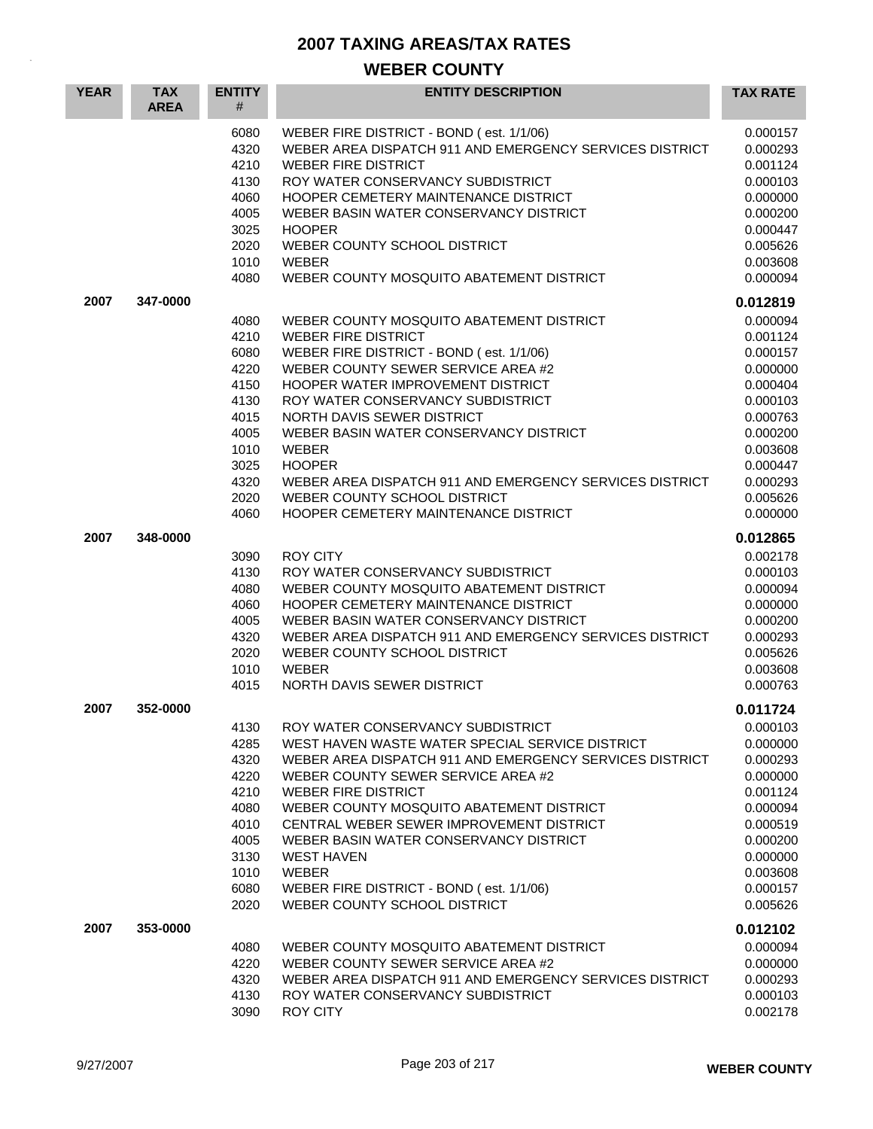| <b>YEAR</b> | <b>TAX</b><br><b>AREA</b> | <b>ENTITY</b><br>#                                                                                   | <b>ENTITY DESCRIPTION</b>                                                                                                                                                                                                                                                                                                                                                                                                                                                      | <b>TAX RATE</b>                                                                                                                                          |
|-------------|---------------------------|------------------------------------------------------------------------------------------------------|--------------------------------------------------------------------------------------------------------------------------------------------------------------------------------------------------------------------------------------------------------------------------------------------------------------------------------------------------------------------------------------------------------------------------------------------------------------------------------|----------------------------------------------------------------------------------------------------------------------------------------------------------|
|             |                           | 6080<br>4320<br>4210<br>4130<br>4060<br>4005<br>3025<br>2020<br>1010<br>4080                         | WEBER FIRE DISTRICT - BOND (est. 1/1/06)<br>WEBER AREA DISPATCH 911 AND EMERGENCY SERVICES DISTRICT<br><b>WEBER FIRE DISTRICT</b><br>ROY WATER CONSERVANCY SUBDISTRICT<br><b>HOOPER CEMETERY MAINTENANCE DISTRICT</b><br>WEBER BASIN WATER CONSERVANCY DISTRICT<br><b>HOOPER</b><br>WEBER COUNTY SCHOOL DISTRICT<br><b>WEBER</b><br>WEBER COUNTY MOSQUITO ABATEMENT DISTRICT                                                                                                   | 0.000157<br>0.000293<br>0.001124<br>0.000103<br>0.000000<br>0.000200<br>0.000447<br>0.005626<br>0.003608<br>0.000094                                     |
| 2007        | 347-0000                  |                                                                                                      |                                                                                                                                                                                                                                                                                                                                                                                                                                                                                | 0.012819                                                                                                                                                 |
|             |                           | 4080<br>4210<br>6080<br>4220<br>4150<br>4130<br>4015<br>4005<br>1010<br>3025<br>4320<br>2020<br>4060 | WEBER COUNTY MOSQUITO ABATEMENT DISTRICT<br><b>WEBER FIRE DISTRICT</b><br>WEBER FIRE DISTRICT - BOND (est. 1/1/06)<br>WEBER COUNTY SEWER SERVICE AREA #2<br>HOOPER WATER IMPROVEMENT DISTRICT<br>ROY WATER CONSERVANCY SUBDISTRICT<br>NORTH DAVIS SEWER DISTRICT<br>WEBER BASIN WATER CONSERVANCY DISTRICT<br><b>WEBER</b><br><b>HOOPER</b><br>WEBER AREA DISPATCH 911 AND EMERGENCY SERVICES DISTRICT<br>WEBER COUNTY SCHOOL DISTRICT<br>HOOPER CEMETERY MAINTENANCE DISTRICT | 0.000094<br>0.001124<br>0.000157<br>0.000000<br>0.000404<br>0.000103<br>0.000763<br>0.000200<br>0.003608<br>0.000447<br>0.000293<br>0.005626<br>0.000000 |
| 2007        | 348-0000                  |                                                                                                      |                                                                                                                                                                                                                                                                                                                                                                                                                                                                                | 0.012865                                                                                                                                                 |
|             |                           | 3090<br>4130<br>4080<br>4060<br>4005<br>4320<br>2020<br>1010<br>4015                                 | <b>ROY CITY</b><br>ROY WATER CONSERVANCY SUBDISTRICT<br>WEBER COUNTY MOSQUITO ABATEMENT DISTRICT<br><b>HOOPER CEMETERY MAINTENANCE DISTRICT</b><br>WEBER BASIN WATER CONSERVANCY DISTRICT<br>WEBER AREA DISPATCH 911 AND EMERGENCY SERVICES DISTRICT<br>WEBER COUNTY SCHOOL DISTRICT<br><b>WEBER</b><br>NORTH DAVIS SEWER DISTRICT                                                                                                                                             | 0.002178<br>0.000103<br>0.000094<br>0.000000<br>0.000200<br>0.000293<br>0.005626<br>0.003608<br>0.000763                                                 |
| 2007        | 352-0000                  |                                                                                                      |                                                                                                                                                                                                                                                                                                                                                                                                                                                                                | 0.011724                                                                                                                                                 |
|             |                           | 4130<br>4285<br>4320<br>4220<br>4210<br>4080<br>4010<br>4005<br>3130<br>1010<br>6080<br>2020         | ROY WATER CONSERVANCY SUBDISTRICT<br>WEST HAVEN WASTE WATER SPECIAL SERVICE DISTRICT<br>WEBER AREA DISPATCH 911 AND EMERGENCY SERVICES DISTRICT<br>WEBER COUNTY SEWER SERVICE AREA #2<br><b>WEBER FIRE DISTRICT</b><br>WEBER COUNTY MOSQUITO ABATEMENT DISTRICT<br>CENTRAL WEBER SEWER IMPROVEMENT DISTRICT<br>WEBER BASIN WATER CONSERVANCY DISTRICT<br><b>WEST HAVEN</b><br><b>WEBER</b><br>WEBER FIRE DISTRICT - BOND (est. 1/1/06)<br>WEBER COUNTY SCHOOL DISTRICT         | 0.000103<br>0.000000<br>0.000293<br>0.000000<br>0.001124<br>0.000094<br>0.000519<br>0.000200<br>0.000000<br>0.003608<br>0.000157<br>0.005626             |
| 2007        | 353-0000                  |                                                                                                      |                                                                                                                                                                                                                                                                                                                                                                                                                                                                                | 0.012102                                                                                                                                                 |
|             |                           | 4080<br>4220<br>4320<br>4130<br>3090                                                                 | WEBER COUNTY MOSQUITO ABATEMENT DISTRICT<br>WEBER COUNTY SEWER SERVICE AREA #2<br>WEBER AREA DISPATCH 911 AND EMERGENCY SERVICES DISTRICT<br>ROY WATER CONSERVANCY SUBDISTRICT<br>ROY CITY                                                                                                                                                                                                                                                                                     | 0.000094<br>0.000000<br>0.000293<br>0.000103<br>0.002178                                                                                                 |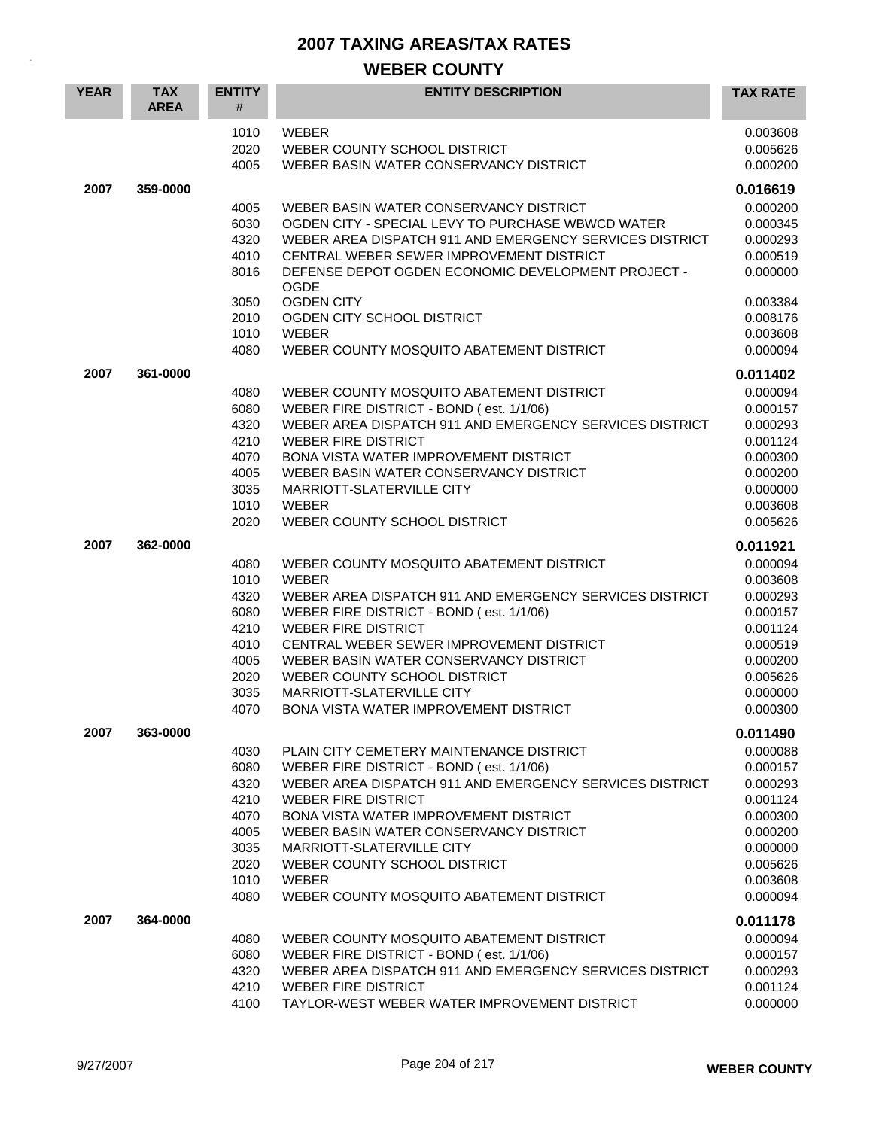| <b>YEAR</b> | <b>TAX</b><br><b>AREA</b> | <b>ENTITY</b><br>#                                                           | <b>ENTITY DESCRIPTION</b>                                                                                                                                                                                                                                                                                                                                                                        | <b>TAX RATE</b>                                                                                                      |
|-------------|---------------------------|------------------------------------------------------------------------------|--------------------------------------------------------------------------------------------------------------------------------------------------------------------------------------------------------------------------------------------------------------------------------------------------------------------------------------------------------------------------------------------------|----------------------------------------------------------------------------------------------------------------------|
|             |                           | 1010<br>2020<br>4005                                                         | <b>WEBER</b><br>WEBER COUNTY SCHOOL DISTRICT<br>WEBER BASIN WATER CONSERVANCY DISTRICT                                                                                                                                                                                                                                                                                                           | 0.003608<br>0.005626<br>0.000200                                                                                     |
| 2007        | 359-0000                  |                                                                              |                                                                                                                                                                                                                                                                                                                                                                                                  | 0.016619                                                                                                             |
|             |                           | 4005<br>6030<br>4320<br>4010<br>8016                                         | WEBER BASIN WATER CONSERVANCY DISTRICT<br>OGDEN CITY - SPECIAL LEVY TO PURCHASE WBWCD WATER<br>WEBER AREA DISPATCH 911 AND EMERGENCY SERVICES DISTRICT<br>CENTRAL WEBER SEWER IMPROVEMENT DISTRICT<br>DEFENSE DEPOT OGDEN ECONOMIC DEVELOPMENT PROJECT -<br><b>OGDE</b>                                                                                                                          | 0.000200<br>0.000345<br>0.000293<br>0.000519<br>0.000000                                                             |
|             |                           | 3050                                                                         | <b>OGDEN CITY</b>                                                                                                                                                                                                                                                                                                                                                                                | 0.003384                                                                                                             |
|             |                           | 2010                                                                         | OGDEN CITY SCHOOL DISTRICT                                                                                                                                                                                                                                                                                                                                                                       | 0.008176                                                                                                             |
|             |                           | 1010                                                                         | <b>WEBER</b>                                                                                                                                                                                                                                                                                                                                                                                     | 0.003608                                                                                                             |
|             |                           | 4080                                                                         | WEBER COUNTY MOSQUITO ABATEMENT DISTRICT                                                                                                                                                                                                                                                                                                                                                         | 0.000094                                                                                                             |
| 2007        | 361-0000                  |                                                                              |                                                                                                                                                                                                                                                                                                                                                                                                  | 0.011402                                                                                                             |
|             |                           | 4080<br>6080<br>4320<br>4210<br>4070<br>4005<br>3035<br>1010<br>2020         | WEBER COUNTY MOSQUITO ABATEMENT DISTRICT<br>WEBER FIRE DISTRICT - BOND (est. 1/1/06)<br>WEBER AREA DISPATCH 911 AND EMERGENCY SERVICES DISTRICT<br><b>WEBER FIRE DISTRICT</b><br><b>BONA VISTA WATER IMPROVEMENT DISTRICT</b><br>WEBER BASIN WATER CONSERVANCY DISTRICT<br>MARRIOTT-SLATERVILLE CITY<br><b>WEBER</b><br>WEBER COUNTY SCHOOL DISTRICT                                             | 0.000094<br>0.000157<br>0.000293<br>0.001124<br>0.000300<br>0.000200<br>0.000000<br>0.003608<br>0.005626             |
| 2007        | 362-0000                  |                                                                              |                                                                                                                                                                                                                                                                                                                                                                                                  | 0.011921                                                                                                             |
|             |                           | 4080<br>1010<br>4320<br>6080<br>4210<br>4010<br>4005<br>2020<br>3035<br>4070 | WEBER COUNTY MOSQUITO ABATEMENT DISTRICT<br><b>WEBER</b><br>WEBER AREA DISPATCH 911 AND EMERGENCY SERVICES DISTRICT<br>WEBER FIRE DISTRICT - BOND (est. 1/1/06)<br><b>WEBER FIRE DISTRICT</b><br>CENTRAL WEBER SEWER IMPROVEMENT DISTRICT<br>WEBER BASIN WATER CONSERVANCY DISTRICT<br>WEBER COUNTY SCHOOL DISTRICT<br>MARRIOTT-SLATERVILLE CITY<br><b>BONA VISTA WATER IMPROVEMENT DISTRICT</b> | 0.000094<br>0.003608<br>0.000293<br>0.000157<br>0.001124<br>0.000519<br>0.000200<br>0.005626<br>0.000000<br>0.000300 |
| 2007        | 363-0000                  |                                                                              |                                                                                                                                                                                                                                                                                                                                                                                                  | 0.011490                                                                                                             |
|             |                           | 4030<br>6080<br>4320<br>4210<br>4070<br>4005<br>3035<br>2020<br>1010<br>4080 | PLAIN CITY CEMETERY MAINTENANCE DISTRICT<br>WEBER FIRE DISTRICT - BOND (est. 1/1/06)<br>WEBER AREA DISPATCH 911 AND EMERGENCY SERVICES DISTRICT<br><b>WEBER FIRE DISTRICT</b><br>BONA VISTA WATER IMPROVEMENT DISTRICT<br>WEBER BASIN WATER CONSERVANCY DISTRICT<br>MARRIOTT-SLATERVILLE CITY<br>WEBER COUNTY SCHOOL DISTRICT<br>WEBER<br>WEBER COUNTY MOSQUITO ABATEMENT DISTRICT               | 0.000088<br>0.000157<br>0.000293<br>0.001124<br>0.000300<br>0.000200<br>0.000000<br>0.005626<br>0.003608<br>0.000094 |
| 2007        | 364-0000                  |                                                                              |                                                                                                                                                                                                                                                                                                                                                                                                  | 0.011178                                                                                                             |
|             |                           | 4080<br>6080<br>4320<br>4210<br>4100                                         | WEBER COUNTY MOSQUITO ABATEMENT DISTRICT<br>WEBER FIRE DISTRICT - BOND (est. 1/1/06)<br>WEBER AREA DISPATCH 911 AND EMERGENCY SERVICES DISTRICT<br><b>WEBER FIRE DISTRICT</b><br>TAYLOR-WEST WEBER WATER IMPROVEMENT DISTRICT                                                                                                                                                                    | 0.000094<br>0.000157<br>0.000293<br>0.001124<br>0.000000                                                             |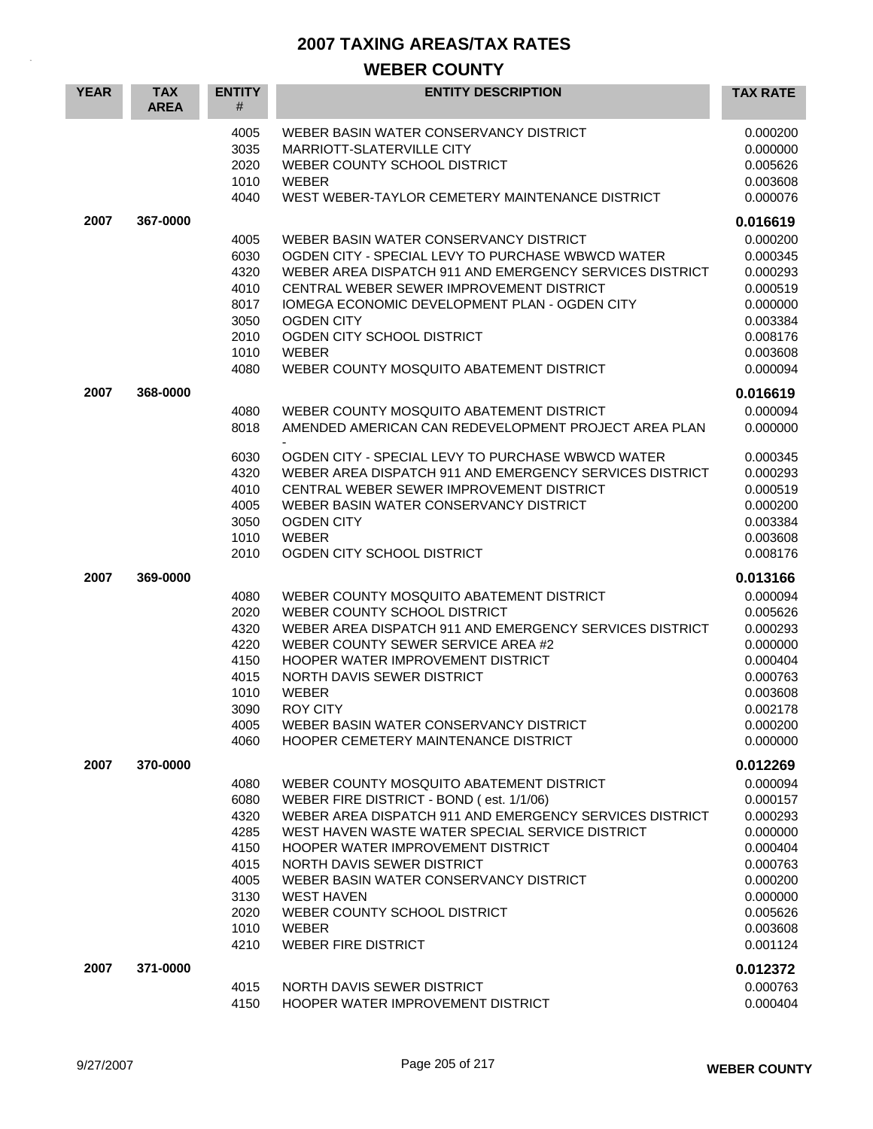| <b>YEAR</b> | <b>TAX</b><br><b>AREA</b> | <b>ENTITY</b><br>#                                                                   | <b>ENTITY DESCRIPTION</b>                                                                                                                                                                                                                                                                                                                                                                                          | <b>TAX RATE</b>                                                                                                                              |
|-------------|---------------------------|--------------------------------------------------------------------------------------|--------------------------------------------------------------------------------------------------------------------------------------------------------------------------------------------------------------------------------------------------------------------------------------------------------------------------------------------------------------------------------------------------------------------|----------------------------------------------------------------------------------------------------------------------------------------------|
|             |                           | 4005<br>3035<br>2020<br>1010<br>4040                                                 | WEBER BASIN WATER CONSERVANCY DISTRICT<br>MARRIOTT-SLATERVILLE CITY<br>WEBER COUNTY SCHOOL DISTRICT<br>WEBER<br>WEST WEBER-TAYLOR CEMETERY MAINTENANCE DISTRICT                                                                                                                                                                                                                                                    | 0.000200<br>0.000000<br>0.005626<br>0.003608<br>0.000076                                                                                     |
| 2007        | 367-0000                  | 4005<br>6030<br>4320<br>4010<br>8017<br>3050<br>2010<br>1010<br>4080                 | WEBER BASIN WATER CONSERVANCY DISTRICT<br>OGDEN CITY - SPECIAL LEVY TO PURCHASE WBWCD WATER<br>WEBER AREA DISPATCH 911 AND EMERGENCY SERVICES DISTRICT<br>CENTRAL WEBER SEWER IMPROVEMENT DISTRICT<br>IOMEGA ECONOMIC DEVELOPMENT PLAN - OGDEN CITY<br><b>OGDEN CITY</b><br>OGDEN CITY SCHOOL DISTRICT<br><b>WEBER</b><br>WEBER COUNTY MOSQUITO ABATEMENT DISTRICT                                                 | 0.016619<br>0.000200<br>0.000345<br>0.000293<br>0.000519<br>0.000000<br>0.003384<br>0.008176<br>0.003608<br>0.000094                         |
| 2007        | 368-0000                  | 4080<br>8018                                                                         | WEBER COUNTY MOSQUITO ABATEMENT DISTRICT<br>AMENDED AMERICAN CAN REDEVELOPMENT PROJECT AREA PLAN                                                                                                                                                                                                                                                                                                                   | 0.016619<br>0.000094<br>0.000000                                                                                                             |
|             |                           | 6030<br>4320<br>4010<br>4005<br>3050<br>1010<br>2010                                 | OGDEN CITY - SPECIAL LEVY TO PURCHASE WBWCD WATER<br>WEBER AREA DISPATCH 911 AND EMERGENCY SERVICES DISTRICT<br>CENTRAL WEBER SEWER IMPROVEMENT DISTRICT<br>WEBER BASIN WATER CONSERVANCY DISTRICT<br><b>OGDEN CITY</b><br><b>WEBER</b><br>OGDEN CITY SCHOOL DISTRICT                                                                                                                                              | 0.000345<br>0.000293<br>0.000519<br>0.000200<br>0.003384<br>0.003608<br>0.008176                                                             |
| 2007        | 369-0000                  | 4080<br>2020<br>4320<br>4220<br>4150<br>4015<br>1010<br>3090<br>4005<br>4060         | WEBER COUNTY MOSQUITO ABATEMENT DISTRICT<br>WEBER COUNTY SCHOOL DISTRICT<br>WEBER AREA DISPATCH 911 AND EMERGENCY SERVICES DISTRICT<br>WEBER COUNTY SEWER SERVICE AREA #2<br>HOOPER WATER IMPROVEMENT DISTRICT<br>NORTH DAVIS SEWER DISTRICT<br>WEBER<br><b>ROY CITY</b><br>WEBER BASIN WATER CONSERVANCY DISTRICT<br>HOOPER CEMETERY MAINTENANCE DISTRICT                                                         | 0.013166<br>0.000094<br>0.005626<br>0.000293<br>0.000000<br>0.000404<br>0.000763<br>0.003608<br>0.002178<br>0.000200<br>0.000000             |
| 2007        | 370-0000                  | 4080<br>6080<br>4320<br>4285<br>4150<br>4015<br>4005<br>3130<br>2020<br>1010<br>4210 | WEBER COUNTY MOSQUITO ABATEMENT DISTRICT<br>WEBER FIRE DISTRICT - BOND (est. 1/1/06)<br>WEBER AREA DISPATCH 911 AND EMERGENCY SERVICES DISTRICT<br>WEST HAVEN WASTE WATER SPECIAL SERVICE DISTRICT<br>HOOPER WATER IMPROVEMENT DISTRICT<br>NORTH DAVIS SEWER DISTRICT<br>WEBER BASIN WATER CONSERVANCY DISTRICT<br><b>WEST HAVEN</b><br>WEBER COUNTY SCHOOL DISTRICT<br><b>WEBER</b><br><b>WEBER FIRE DISTRICT</b> | 0.012269<br>0.000094<br>0.000157<br>0.000293<br>0.000000<br>0.000404<br>0.000763<br>0.000200<br>0.000000<br>0.005626<br>0.003608<br>0.001124 |
| 2007        | 371-0000                  | 4015<br>4150                                                                         | NORTH DAVIS SEWER DISTRICT<br>HOOPER WATER IMPROVEMENT DISTRICT                                                                                                                                                                                                                                                                                                                                                    | 0.012372<br>0.000763<br>0.000404                                                                                                             |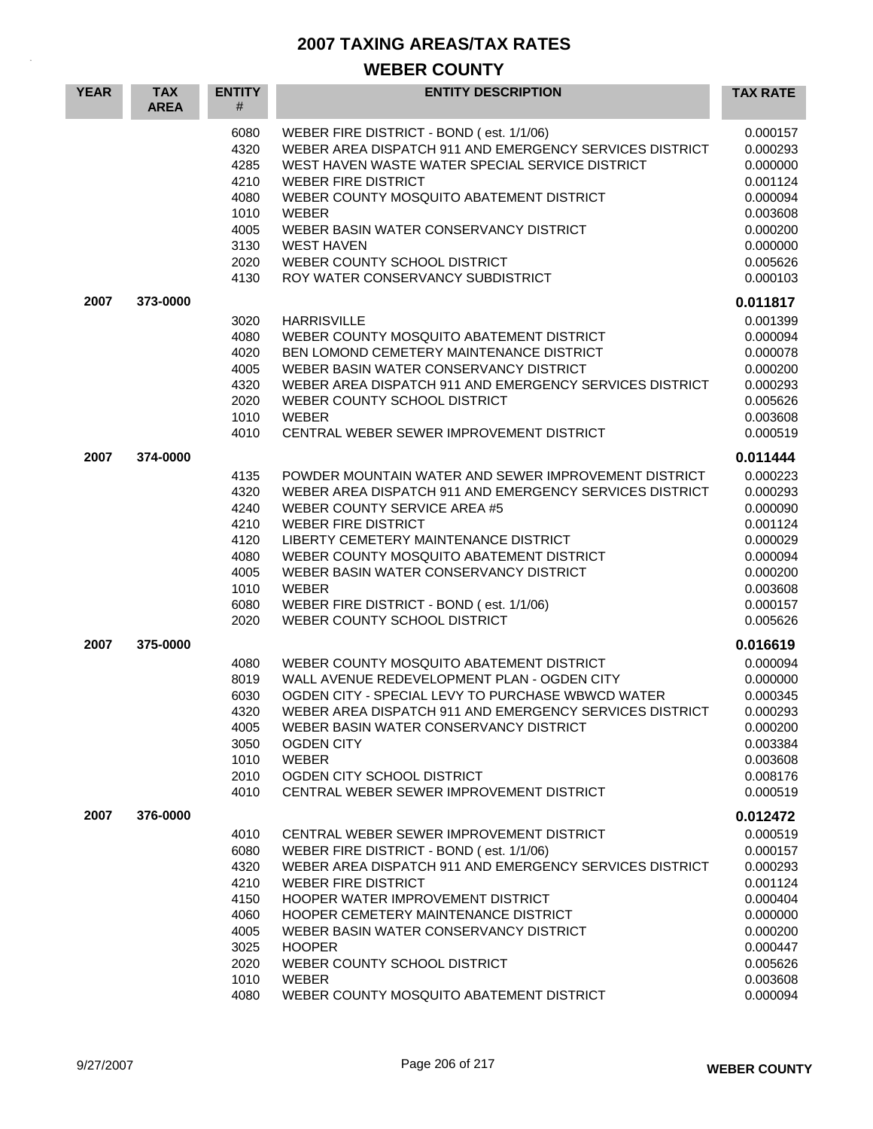| <b>YEAR</b> | <b>TAX</b><br><b>AREA</b> | <b>ENTITY</b><br>#                                                                   | <b>ENTITY DESCRIPTION</b>                                                                                                                                                                                                                                                                                                                                                                                  | <b>TAX RATE</b>                                                                                                                              |
|-------------|---------------------------|--------------------------------------------------------------------------------------|------------------------------------------------------------------------------------------------------------------------------------------------------------------------------------------------------------------------------------------------------------------------------------------------------------------------------------------------------------------------------------------------------------|----------------------------------------------------------------------------------------------------------------------------------------------|
|             |                           | 6080<br>4320<br>4285<br>4210<br>4080<br>1010<br>4005<br>3130<br>2020<br>4130         | WEBER FIRE DISTRICT - BOND (est. 1/1/06)<br>WEBER AREA DISPATCH 911 AND EMERGENCY SERVICES DISTRICT<br>WEST HAVEN WASTE WATER SPECIAL SERVICE DISTRICT<br><b>WEBER FIRE DISTRICT</b><br>WEBER COUNTY MOSQUITO ABATEMENT DISTRICT<br><b>WEBER</b><br>WEBER BASIN WATER CONSERVANCY DISTRICT<br><b>WEST HAVEN</b><br>WEBER COUNTY SCHOOL DISTRICT<br>ROY WATER CONSERVANCY SUBDISTRICT                       | 0.000157<br>0.000293<br>0.000000<br>0.001124<br>0.000094<br>0.003608<br>0.000200<br>0.000000<br>0.005626<br>0.000103                         |
| 2007        | 373-0000                  | 3020<br>4080<br>4020<br>4005<br>4320<br>2020<br>1010<br>4010                         | <b>HARRISVILLE</b><br>WEBER COUNTY MOSQUITO ABATEMENT DISTRICT<br>BEN LOMOND CEMETERY MAINTENANCE DISTRICT<br>WEBER BASIN WATER CONSERVANCY DISTRICT<br>WEBER AREA DISPATCH 911 AND EMERGENCY SERVICES DISTRICT<br>WEBER COUNTY SCHOOL DISTRICT<br><b>WEBER</b><br>CENTRAL WEBER SEWER IMPROVEMENT DISTRICT                                                                                                | 0.011817<br>0.001399<br>0.000094<br>0.000078<br>0.000200<br>0.000293<br>0.005626<br>0.003608<br>0.000519                                     |
| 2007        | 374-0000                  | 4135<br>4320<br>4240<br>4210<br>4120<br>4080<br>4005<br>1010<br>6080<br>2020         | POWDER MOUNTAIN WATER AND SEWER IMPROVEMENT DISTRICT<br>WEBER AREA DISPATCH 911 AND EMERGENCY SERVICES DISTRICT<br>WEBER COUNTY SERVICE AREA #5<br><b>WEBER FIRE DISTRICT</b><br>LIBERTY CEMETERY MAINTENANCE DISTRICT<br>WEBER COUNTY MOSQUITO ABATEMENT DISTRICT<br>WEBER BASIN WATER CONSERVANCY DISTRICT<br><b>WEBER</b><br>WEBER FIRE DISTRICT - BOND (est. 1/1/06)<br>WEBER COUNTY SCHOOL DISTRICT   | 0.011444<br>0.000223<br>0.000293<br>0.000090<br>0.001124<br>0.000029<br>0.000094<br>0.000200<br>0.003608<br>0.000157<br>0.005626             |
| 2007        | 375-0000                  | 4080<br>8019<br>6030<br>4320<br>4005<br>3050<br>1010<br>2010<br>4010                 | WEBER COUNTY MOSQUITO ABATEMENT DISTRICT<br>WALL AVENUE REDEVELOPMENT PLAN - OGDEN CITY<br>OGDEN CITY - SPECIAL LEVY TO PURCHASE WBWCD WATER<br>WEBER AREA DISPATCH 911 AND EMERGENCY SERVICES DISTRICT<br>WEBER BASIN WATER CONSERVANCY DISTRICT<br><b>OGDEN CITY</b><br><b>WEBER</b><br>OGDEN CITY SCHOOL DISTRICT<br>CENTRAL WEBER SEWER IMPROVEMENT DISTRICT                                           | 0.016619<br>0.000094<br>0.000000<br>0.000345<br>0.000293<br>0.000200<br>0.003384<br>0.003608<br>0.008176<br>0.000519                         |
| 2007        | 376-0000                  | 4010<br>6080<br>4320<br>4210<br>4150<br>4060<br>4005<br>3025<br>2020<br>1010<br>4080 | CENTRAL WEBER SEWER IMPROVEMENT DISTRICT<br>WEBER FIRE DISTRICT - BOND (est. 1/1/06)<br>WEBER AREA DISPATCH 911 AND EMERGENCY SERVICES DISTRICT<br><b>WEBER FIRE DISTRICT</b><br>HOOPER WATER IMPROVEMENT DISTRICT<br>HOOPER CEMETERY MAINTENANCE DISTRICT<br>WEBER BASIN WATER CONSERVANCY DISTRICT<br><b>HOOPER</b><br>WEBER COUNTY SCHOOL DISTRICT<br>WEBER<br>WEBER COUNTY MOSQUITO ABATEMENT DISTRICT | 0.012472<br>0.000519<br>0.000157<br>0.000293<br>0.001124<br>0.000404<br>0.000000<br>0.000200<br>0.000447<br>0.005626<br>0.003608<br>0.000094 |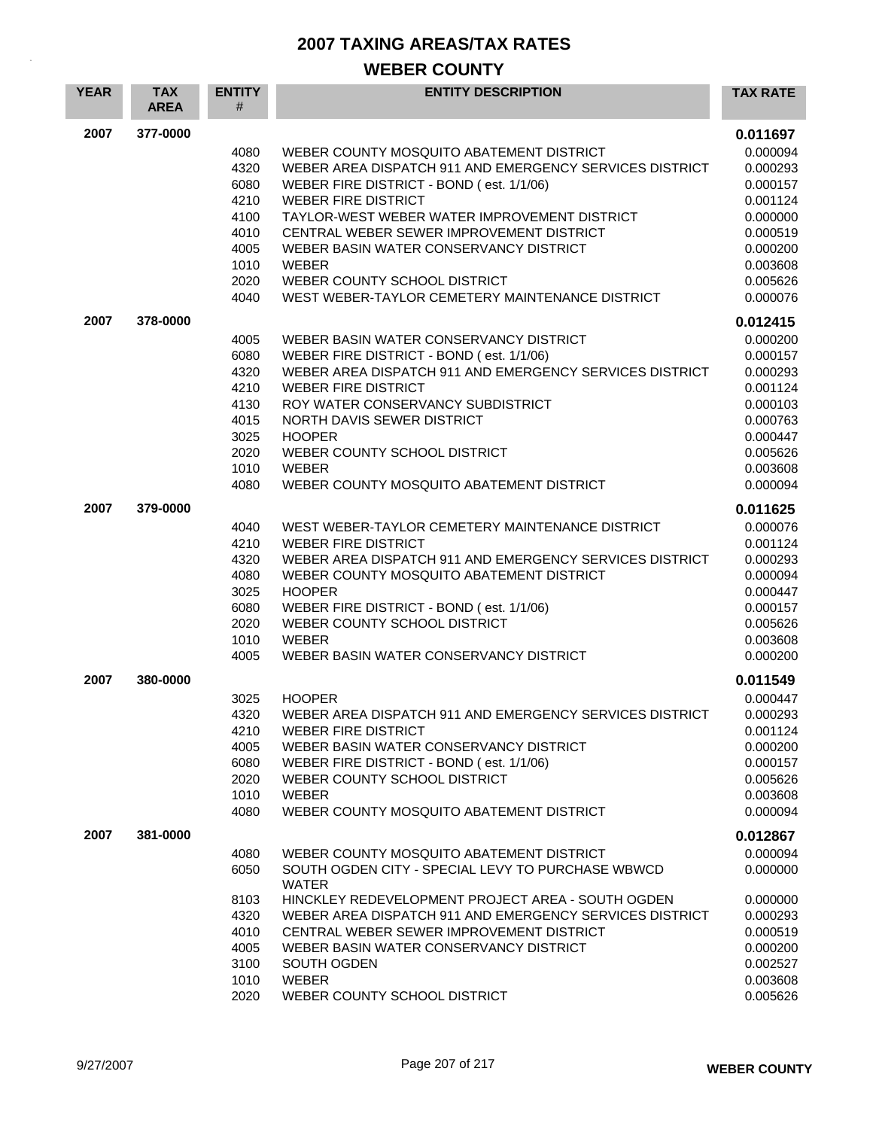| <b>YEAR</b> | <b>TAX</b><br><b>AREA</b> | <b>ENTITY</b><br># | <b>ENTITY DESCRIPTION</b>                                                       | <b>TAX RATE</b>      |
|-------------|---------------------------|--------------------|---------------------------------------------------------------------------------|----------------------|
| 2007        | 377-0000                  |                    |                                                                                 | 0.011697             |
|             |                           | 4080               | WEBER COUNTY MOSQUITO ABATEMENT DISTRICT                                        | 0.000094             |
|             |                           | 4320               | WEBER AREA DISPATCH 911 AND EMERGENCY SERVICES DISTRICT                         | 0.000293             |
|             |                           | 6080               | WEBER FIRE DISTRICT - BOND (est. 1/1/06)                                        | 0.000157             |
|             |                           | 4210               | <b>WEBER FIRE DISTRICT</b>                                                      | 0.001124             |
|             |                           | 4100               | TAYLOR-WEST WEBER WATER IMPROVEMENT DISTRICT                                    | 0.000000             |
|             |                           | 4010               | CENTRAL WEBER SEWER IMPROVEMENT DISTRICT                                        | 0.000519             |
|             |                           | 4005               | WEBER BASIN WATER CONSERVANCY DISTRICT                                          | 0.000200             |
|             |                           | 1010               | <b>WEBER</b>                                                                    | 0.003608             |
|             |                           | 2020<br>4040       | WEBER COUNTY SCHOOL DISTRICT<br>WEST WEBER-TAYLOR CEMETERY MAINTENANCE DISTRICT | 0.005626<br>0.000076 |
|             |                           |                    |                                                                                 |                      |
| 2007        | 378-0000                  | 4005               | WEBER BASIN WATER CONSERVANCY DISTRICT                                          | 0.012415<br>0.000200 |
|             |                           | 6080               | WEBER FIRE DISTRICT - BOND (est. 1/1/06)                                        | 0.000157             |
|             |                           | 4320               | WEBER AREA DISPATCH 911 AND EMERGENCY SERVICES DISTRICT                         | 0.000293             |
|             |                           | 4210               | <b>WEBER FIRE DISTRICT</b>                                                      | 0.001124             |
|             |                           | 4130               | ROY WATER CONSERVANCY SUBDISTRICT                                               | 0.000103             |
|             |                           | 4015               | NORTH DAVIS SEWER DISTRICT                                                      | 0.000763             |
|             |                           | 3025               | <b>HOOPER</b>                                                                   | 0.000447             |
|             |                           | 2020               | WEBER COUNTY SCHOOL DISTRICT                                                    | 0.005626             |
|             |                           | 1010               | <b>WEBER</b>                                                                    | 0.003608             |
|             |                           | 4080               | WEBER COUNTY MOSQUITO ABATEMENT DISTRICT                                        | 0.000094             |
| 2007        | 379-0000                  |                    |                                                                                 | 0.011625             |
|             |                           | 4040               | WEST WEBER-TAYLOR CEMETERY MAINTENANCE DISTRICT                                 | 0.000076             |
|             |                           | 4210               | <b>WEBER FIRE DISTRICT</b>                                                      | 0.001124             |
|             |                           | 4320               | WEBER AREA DISPATCH 911 AND EMERGENCY SERVICES DISTRICT                         | 0.000293             |
|             |                           | 4080               | WEBER COUNTY MOSQUITO ABATEMENT DISTRICT                                        | 0.000094             |
|             |                           | 3025               | <b>HOOPER</b>                                                                   | 0.000447             |
|             |                           | 6080               | WEBER FIRE DISTRICT - BOND (est. 1/1/06)                                        | 0.000157             |
|             |                           | 2020               | WEBER COUNTY SCHOOL DISTRICT                                                    | 0.005626             |
|             |                           | 1010               | <b>WEBER</b>                                                                    | 0.003608             |
|             |                           | 4005               | WEBER BASIN WATER CONSERVANCY DISTRICT                                          | 0.000200             |
| 2007        | 380-0000                  |                    |                                                                                 | 0.011549             |
|             |                           | 3025               | <b>HOOPER</b>                                                                   | 0.000447             |
|             |                           | 4320               | WEBER AREA DISPATCH 911 AND EMERGENCY SERVICES DISTRICT                         | 0.000293             |
|             |                           | 4210<br>4005       | <b>WEBER FIRE DISTRICT</b><br>WEBER BASIN WATER CONSERVANCY DISTRICT            | 0.001124<br>0.000200 |
|             |                           | 6080               | WEBER FIRE DISTRICT - BOND (est. 1/1/06)                                        | 0.000157             |
|             |                           | 2020               | WEBER COUNTY SCHOOL DISTRICT                                                    | 0.005626             |
|             |                           | 1010               | <b>WEBER</b>                                                                    | 0.003608             |
|             |                           | 4080               | WEBER COUNTY MOSQUITO ABATEMENT DISTRICT                                        | 0.000094             |
| 2007        | 381-0000                  |                    |                                                                                 | 0.012867             |
|             |                           | 4080               | WEBER COUNTY MOSQUITO ABATEMENT DISTRICT                                        | 0.000094             |
|             |                           | 6050               | SOUTH OGDEN CITY - SPECIAL LEVY TO PURCHASE WBWCD<br><b>WATER</b>               | 0.000000             |
|             |                           | 8103               | HINCKLEY REDEVELOPMENT PROJECT AREA - SOUTH OGDEN                               | 0.000000             |
|             |                           | 4320               | WEBER AREA DISPATCH 911 AND EMERGENCY SERVICES DISTRICT                         | 0.000293             |
|             |                           | 4010               | CENTRAL WEBER SEWER IMPROVEMENT DISTRICT                                        | 0.000519             |
|             |                           | 4005               | WEBER BASIN WATER CONSERVANCY DISTRICT                                          | 0.000200             |
|             |                           | 3100               | SOUTH OGDEN                                                                     | 0.002527             |
|             |                           | 1010<br>2020       | <b>WEBER</b>                                                                    | 0.003608<br>0.005626 |
|             |                           |                    | WEBER COUNTY SCHOOL DISTRICT                                                    |                      |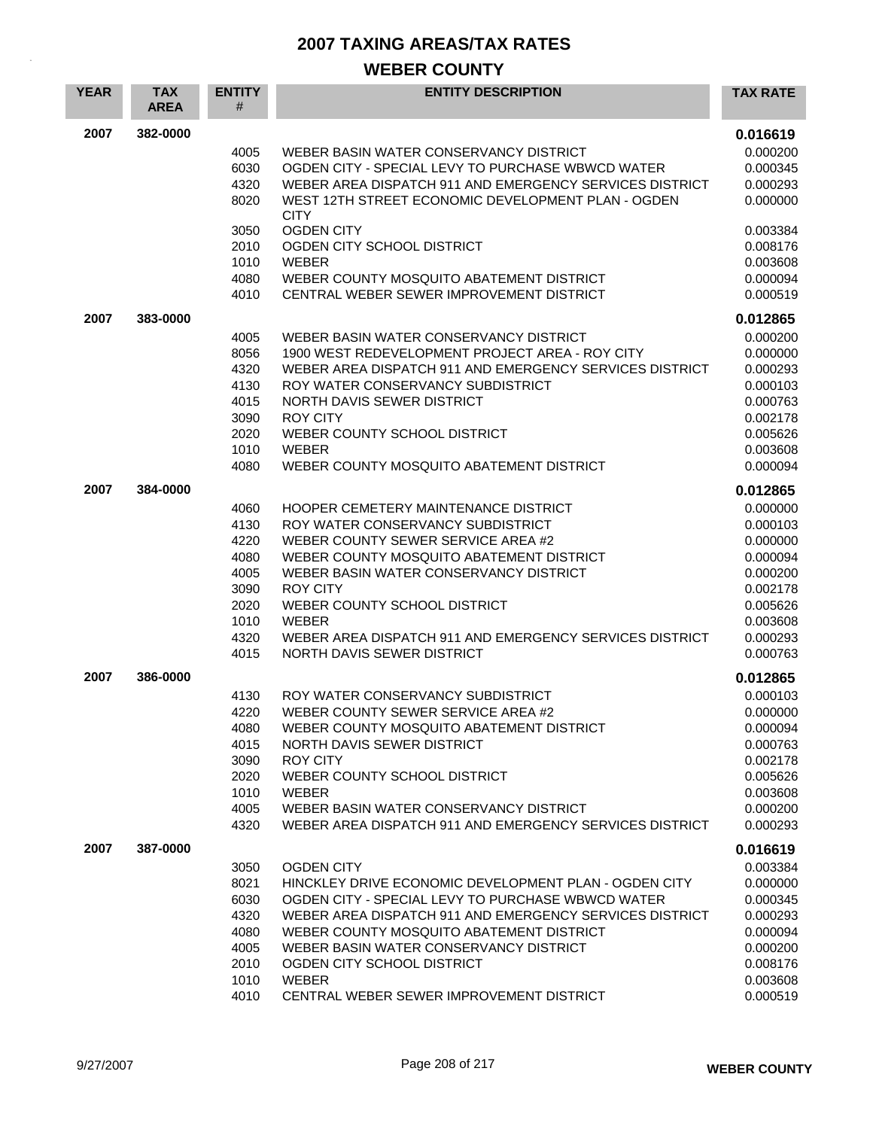| 2007<br>382-0000<br>0.016619<br>4005<br>WEBER BASIN WATER CONSERVANCY DISTRICT<br>0.000200<br>6030<br>OGDEN CITY - SPECIAL LEVY TO PURCHASE WBWCD WATER<br>0.000345<br>WEBER AREA DISPATCH 911 AND EMERGENCY SERVICES DISTRICT<br>4320<br>0.000293<br>WEST 12TH STREET ECONOMIC DEVELOPMENT PLAN - OGDEN<br>8020<br>0.000000<br><b>CITY</b><br><b>OGDEN CITY</b><br>3050<br>0.003384<br>2010<br>OGDEN CITY SCHOOL DISTRICT<br>0.008176<br>1010<br><b>WEBER</b><br>0.003608<br>4080<br>WEBER COUNTY MOSQUITO ABATEMENT DISTRICT<br>0.000094<br>4010<br>CENTRAL WEBER SEWER IMPROVEMENT DISTRICT<br>0.000519<br>2007<br>383-0000<br>0.012865<br>WEBER BASIN WATER CONSERVANCY DISTRICT<br>0.000200<br>4005<br>0.000000<br>8056<br>1900 WEST REDEVELOPMENT PROJECT AREA - ROY CITY<br>4320<br>WEBER AREA DISPATCH 911 AND EMERGENCY SERVICES DISTRICT<br>0.000293<br>4130<br>ROY WATER CONSERVANCY SUBDISTRICT<br>0.000103<br>4015<br>NORTH DAVIS SEWER DISTRICT<br>0.000763<br>3090<br><b>ROY CITY</b><br>0.002178<br>2020<br>WEBER COUNTY SCHOOL DISTRICT<br>0.005626<br><b>WEBER</b><br>1010<br>0.003608<br>4080<br>WEBER COUNTY MOSQUITO ABATEMENT DISTRICT<br>0.000094<br>2007<br>384-0000<br>0.012865<br>0.000000<br>HOOPER CEMETERY MAINTENANCE DISTRICT<br>4060<br>0.000103<br>4130<br>ROY WATER CONSERVANCY SUBDISTRICT<br>4220<br>WEBER COUNTY SEWER SERVICE AREA #2<br>0.000000<br>4080<br>WEBER COUNTY MOSQUITO ABATEMENT DISTRICT<br>0.000094<br>4005<br>WEBER BASIN WATER CONSERVANCY DISTRICT<br>0.000200<br>3090<br><b>ROY CITY</b><br>0.002178<br>2020<br>WEBER COUNTY SCHOOL DISTRICT<br>0.005626<br>1010<br><b>WEBER</b><br>0.003608<br>4320<br>WEBER AREA DISPATCH 911 AND EMERGENCY SERVICES DISTRICT<br>0.000293<br>4015<br>NORTH DAVIS SEWER DISTRICT<br>0.000763<br>2007<br>386-0000<br>0.012865<br>ROY WATER CONSERVANCY SUBDISTRICT<br>0.000103<br>4130<br>4220<br>WEBER COUNTY SEWER SERVICE AREA #2<br>0.000000<br>4080<br>WEBER COUNTY MOSQUITO ABATEMENT DISTRICT<br>0.000094<br>4015<br>NORTH DAVIS SEWER DISTRICT<br>0.000763<br>3090<br><b>ROY CITY</b><br>0.002178<br>2020<br>WEBER COUNTY SCHOOL DISTRICT<br>0.005626<br>1010<br><b>WEBER</b><br>0.003608<br>4005<br>WEBER BASIN WATER CONSERVANCY DISTRICT<br>0.000200<br>4320<br>WEBER AREA DISPATCH 911 AND EMERGENCY SERVICES DISTRICT<br>0.000293<br>2007<br>387-0000<br>0.016619<br><b>OGDEN CITY</b><br>0.003384<br>3050 | <b>YEAR</b> | <b>TAX</b><br><b>AREA</b> | <b>ENTITY</b><br># | <b>ENTITY DESCRIPTION</b>                             | <b>TAX RATE</b> |
|-----------------------------------------------------------------------------------------------------------------------------------------------------------------------------------------------------------------------------------------------------------------------------------------------------------------------------------------------------------------------------------------------------------------------------------------------------------------------------------------------------------------------------------------------------------------------------------------------------------------------------------------------------------------------------------------------------------------------------------------------------------------------------------------------------------------------------------------------------------------------------------------------------------------------------------------------------------------------------------------------------------------------------------------------------------------------------------------------------------------------------------------------------------------------------------------------------------------------------------------------------------------------------------------------------------------------------------------------------------------------------------------------------------------------------------------------------------------------------------------------------------------------------------------------------------------------------------------------------------------------------------------------------------------------------------------------------------------------------------------------------------------------------------------------------------------------------------------------------------------------------------------------------------------------------------------------------------------------------------------------------------------------------------------------------------------------------------------------------------------------------------------------------------------------------------------------------------------------------------------------------------------------------------------------------------------------------------------------------------------------------------------------------------------|-------------|---------------------------|--------------------|-------------------------------------------------------|-----------------|
|                                                                                                                                                                                                                                                                                                                                                                                                                                                                                                                                                                                                                                                                                                                                                                                                                                                                                                                                                                                                                                                                                                                                                                                                                                                                                                                                                                                                                                                                                                                                                                                                                                                                                                                                                                                                                                                                                                                                                                                                                                                                                                                                                                                                                                                                                                                                                                                                                 |             |                           |                    |                                                       |                 |
|                                                                                                                                                                                                                                                                                                                                                                                                                                                                                                                                                                                                                                                                                                                                                                                                                                                                                                                                                                                                                                                                                                                                                                                                                                                                                                                                                                                                                                                                                                                                                                                                                                                                                                                                                                                                                                                                                                                                                                                                                                                                                                                                                                                                                                                                                                                                                                                                                 |             |                           |                    |                                                       |                 |
|                                                                                                                                                                                                                                                                                                                                                                                                                                                                                                                                                                                                                                                                                                                                                                                                                                                                                                                                                                                                                                                                                                                                                                                                                                                                                                                                                                                                                                                                                                                                                                                                                                                                                                                                                                                                                                                                                                                                                                                                                                                                                                                                                                                                                                                                                                                                                                                                                 |             |                           |                    |                                                       |                 |
|                                                                                                                                                                                                                                                                                                                                                                                                                                                                                                                                                                                                                                                                                                                                                                                                                                                                                                                                                                                                                                                                                                                                                                                                                                                                                                                                                                                                                                                                                                                                                                                                                                                                                                                                                                                                                                                                                                                                                                                                                                                                                                                                                                                                                                                                                                                                                                                                                 |             |                           |                    |                                                       |                 |
|                                                                                                                                                                                                                                                                                                                                                                                                                                                                                                                                                                                                                                                                                                                                                                                                                                                                                                                                                                                                                                                                                                                                                                                                                                                                                                                                                                                                                                                                                                                                                                                                                                                                                                                                                                                                                                                                                                                                                                                                                                                                                                                                                                                                                                                                                                                                                                                                                 |             |                           |                    |                                                       |                 |
|                                                                                                                                                                                                                                                                                                                                                                                                                                                                                                                                                                                                                                                                                                                                                                                                                                                                                                                                                                                                                                                                                                                                                                                                                                                                                                                                                                                                                                                                                                                                                                                                                                                                                                                                                                                                                                                                                                                                                                                                                                                                                                                                                                                                                                                                                                                                                                                                                 |             |                           |                    |                                                       |                 |
|                                                                                                                                                                                                                                                                                                                                                                                                                                                                                                                                                                                                                                                                                                                                                                                                                                                                                                                                                                                                                                                                                                                                                                                                                                                                                                                                                                                                                                                                                                                                                                                                                                                                                                                                                                                                                                                                                                                                                                                                                                                                                                                                                                                                                                                                                                                                                                                                                 |             |                           |                    |                                                       |                 |
|                                                                                                                                                                                                                                                                                                                                                                                                                                                                                                                                                                                                                                                                                                                                                                                                                                                                                                                                                                                                                                                                                                                                                                                                                                                                                                                                                                                                                                                                                                                                                                                                                                                                                                                                                                                                                                                                                                                                                                                                                                                                                                                                                                                                                                                                                                                                                                                                                 |             |                           |                    |                                                       |                 |
|                                                                                                                                                                                                                                                                                                                                                                                                                                                                                                                                                                                                                                                                                                                                                                                                                                                                                                                                                                                                                                                                                                                                                                                                                                                                                                                                                                                                                                                                                                                                                                                                                                                                                                                                                                                                                                                                                                                                                                                                                                                                                                                                                                                                                                                                                                                                                                                                                 |             |                           |                    |                                                       |                 |
|                                                                                                                                                                                                                                                                                                                                                                                                                                                                                                                                                                                                                                                                                                                                                                                                                                                                                                                                                                                                                                                                                                                                                                                                                                                                                                                                                                                                                                                                                                                                                                                                                                                                                                                                                                                                                                                                                                                                                                                                                                                                                                                                                                                                                                                                                                                                                                                                                 |             |                           |                    |                                                       |                 |
|                                                                                                                                                                                                                                                                                                                                                                                                                                                                                                                                                                                                                                                                                                                                                                                                                                                                                                                                                                                                                                                                                                                                                                                                                                                                                                                                                                                                                                                                                                                                                                                                                                                                                                                                                                                                                                                                                                                                                                                                                                                                                                                                                                                                                                                                                                                                                                                                                 |             |                           |                    |                                                       |                 |
|                                                                                                                                                                                                                                                                                                                                                                                                                                                                                                                                                                                                                                                                                                                                                                                                                                                                                                                                                                                                                                                                                                                                                                                                                                                                                                                                                                                                                                                                                                                                                                                                                                                                                                                                                                                                                                                                                                                                                                                                                                                                                                                                                                                                                                                                                                                                                                                                                 |             |                           |                    |                                                       |                 |
|                                                                                                                                                                                                                                                                                                                                                                                                                                                                                                                                                                                                                                                                                                                                                                                                                                                                                                                                                                                                                                                                                                                                                                                                                                                                                                                                                                                                                                                                                                                                                                                                                                                                                                                                                                                                                                                                                                                                                                                                                                                                                                                                                                                                                                                                                                                                                                                                                 |             |                           |                    |                                                       |                 |
|                                                                                                                                                                                                                                                                                                                                                                                                                                                                                                                                                                                                                                                                                                                                                                                                                                                                                                                                                                                                                                                                                                                                                                                                                                                                                                                                                                                                                                                                                                                                                                                                                                                                                                                                                                                                                                                                                                                                                                                                                                                                                                                                                                                                                                                                                                                                                                                                                 |             |                           |                    |                                                       |                 |
|                                                                                                                                                                                                                                                                                                                                                                                                                                                                                                                                                                                                                                                                                                                                                                                                                                                                                                                                                                                                                                                                                                                                                                                                                                                                                                                                                                                                                                                                                                                                                                                                                                                                                                                                                                                                                                                                                                                                                                                                                                                                                                                                                                                                                                                                                                                                                                                                                 |             |                           |                    |                                                       |                 |
|                                                                                                                                                                                                                                                                                                                                                                                                                                                                                                                                                                                                                                                                                                                                                                                                                                                                                                                                                                                                                                                                                                                                                                                                                                                                                                                                                                                                                                                                                                                                                                                                                                                                                                                                                                                                                                                                                                                                                                                                                                                                                                                                                                                                                                                                                                                                                                                                                 |             |                           |                    |                                                       |                 |
|                                                                                                                                                                                                                                                                                                                                                                                                                                                                                                                                                                                                                                                                                                                                                                                                                                                                                                                                                                                                                                                                                                                                                                                                                                                                                                                                                                                                                                                                                                                                                                                                                                                                                                                                                                                                                                                                                                                                                                                                                                                                                                                                                                                                                                                                                                                                                                                                                 |             |                           |                    |                                                       |                 |
|                                                                                                                                                                                                                                                                                                                                                                                                                                                                                                                                                                                                                                                                                                                                                                                                                                                                                                                                                                                                                                                                                                                                                                                                                                                                                                                                                                                                                                                                                                                                                                                                                                                                                                                                                                                                                                                                                                                                                                                                                                                                                                                                                                                                                                                                                                                                                                                                                 |             |                           |                    |                                                       |                 |
|                                                                                                                                                                                                                                                                                                                                                                                                                                                                                                                                                                                                                                                                                                                                                                                                                                                                                                                                                                                                                                                                                                                                                                                                                                                                                                                                                                                                                                                                                                                                                                                                                                                                                                                                                                                                                                                                                                                                                                                                                                                                                                                                                                                                                                                                                                                                                                                                                 |             |                           |                    |                                                       |                 |
|                                                                                                                                                                                                                                                                                                                                                                                                                                                                                                                                                                                                                                                                                                                                                                                                                                                                                                                                                                                                                                                                                                                                                                                                                                                                                                                                                                                                                                                                                                                                                                                                                                                                                                                                                                                                                                                                                                                                                                                                                                                                                                                                                                                                                                                                                                                                                                                                                 |             |                           |                    |                                                       |                 |
|                                                                                                                                                                                                                                                                                                                                                                                                                                                                                                                                                                                                                                                                                                                                                                                                                                                                                                                                                                                                                                                                                                                                                                                                                                                                                                                                                                                                                                                                                                                                                                                                                                                                                                                                                                                                                                                                                                                                                                                                                                                                                                                                                                                                                                                                                                                                                                                                                 |             |                           |                    |                                                       |                 |
|                                                                                                                                                                                                                                                                                                                                                                                                                                                                                                                                                                                                                                                                                                                                                                                                                                                                                                                                                                                                                                                                                                                                                                                                                                                                                                                                                                                                                                                                                                                                                                                                                                                                                                                                                                                                                                                                                                                                                                                                                                                                                                                                                                                                                                                                                                                                                                                                                 |             |                           |                    |                                                       |                 |
|                                                                                                                                                                                                                                                                                                                                                                                                                                                                                                                                                                                                                                                                                                                                                                                                                                                                                                                                                                                                                                                                                                                                                                                                                                                                                                                                                                                                                                                                                                                                                                                                                                                                                                                                                                                                                                                                                                                                                                                                                                                                                                                                                                                                                                                                                                                                                                                                                 |             |                           |                    |                                                       |                 |
|                                                                                                                                                                                                                                                                                                                                                                                                                                                                                                                                                                                                                                                                                                                                                                                                                                                                                                                                                                                                                                                                                                                                                                                                                                                                                                                                                                                                                                                                                                                                                                                                                                                                                                                                                                                                                                                                                                                                                                                                                                                                                                                                                                                                                                                                                                                                                                                                                 |             |                           |                    |                                                       |                 |
|                                                                                                                                                                                                                                                                                                                                                                                                                                                                                                                                                                                                                                                                                                                                                                                                                                                                                                                                                                                                                                                                                                                                                                                                                                                                                                                                                                                                                                                                                                                                                                                                                                                                                                                                                                                                                                                                                                                                                                                                                                                                                                                                                                                                                                                                                                                                                                                                                 |             |                           |                    |                                                       |                 |
|                                                                                                                                                                                                                                                                                                                                                                                                                                                                                                                                                                                                                                                                                                                                                                                                                                                                                                                                                                                                                                                                                                                                                                                                                                                                                                                                                                                                                                                                                                                                                                                                                                                                                                                                                                                                                                                                                                                                                                                                                                                                                                                                                                                                                                                                                                                                                                                                                 |             |                           |                    |                                                       |                 |
|                                                                                                                                                                                                                                                                                                                                                                                                                                                                                                                                                                                                                                                                                                                                                                                                                                                                                                                                                                                                                                                                                                                                                                                                                                                                                                                                                                                                                                                                                                                                                                                                                                                                                                                                                                                                                                                                                                                                                                                                                                                                                                                                                                                                                                                                                                                                                                                                                 |             |                           |                    |                                                       |                 |
|                                                                                                                                                                                                                                                                                                                                                                                                                                                                                                                                                                                                                                                                                                                                                                                                                                                                                                                                                                                                                                                                                                                                                                                                                                                                                                                                                                                                                                                                                                                                                                                                                                                                                                                                                                                                                                                                                                                                                                                                                                                                                                                                                                                                                                                                                                                                                                                                                 |             |                           |                    |                                                       |                 |
|                                                                                                                                                                                                                                                                                                                                                                                                                                                                                                                                                                                                                                                                                                                                                                                                                                                                                                                                                                                                                                                                                                                                                                                                                                                                                                                                                                                                                                                                                                                                                                                                                                                                                                                                                                                                                                                                                                                                                                                                                                                                                                                                                                                                                                                                                                                                                                                                                 |             |                           |                    |                                                       |                 |
|                                                                                                                                                                                                                                                                                                                                                                                                                                                                                                                                                                                                                                                                                                                                                                                                                                                                                                                                                                                                                                                                                                                                                                                                                                                                                                                                                                                                                                                                                                                                                                                                                                                                                                                                                                                                                                                                                                                                                                                                                                                                                                                                                                                                                                                                                                                                                                                                                 |             |                           |                    |                                                       |                 |
|                                                                                                                                                                                                                                                                                                                                                                                                                                                                                                                                                                                                                                                                                                                                                                                                                                                                                                                                                                                                                                                                                                                                                                                                                                                                                                                                                                                                                                                                                                                                                                                                                                                                                                                                                                                                                                                                                                                                                                                                                                                                                                                                                                                                                                                                                                                                                                                                                 |             |                           |                    |                                                       |                 |
|                                                                                                                                                                                                                                                                                                                                                                                                                                                                                                                                                                                                                                                                                                                                                                                                                                                                                                                                                                                                                                                                                                                                                                                                                                                                                                                                                                                                                                                                                                                                                                                                                                                                                                                                                                                                                                                                                                                                                                                                                                                                                                                                                                                                                                                                                                                                                                                                                 |             |                           |                    |                                                       |                 |
|                                                                                                                                                                                                                                                                                                                                                                                                                                                                                                                                                                                                                                                                                                                                                                                                                                                                                                                                                                                                                                                                                                                                                                                                                                                                                                                                                                                                                                                                                                                                                                                                                                                                                                                                                                                                                                                                                                                                                                                                                                                                                                                                                                                                                                                                                                                                                                                                                 |             |                           |                    |                                                       |                 |
|                                                                                                                                                                                                                                                                                                                                                                                                                                                                                                                                                                                                                                                                                                                                                                                                                                                                                                                                                                                                                                                                                                                                                                                                                                                                                                                                                                                                                                                                                                                                                                                                                                                                                                                                                                                                                                                                                                                                                                                                                                                                                                                                                                                                                                                                                                                                                                                                                 |             |                           |                    |                                                       |                 |
|                                                                                                                                                                                                                                                                                                                                                                                                                                                                                                                                                                                                                                                                                                                                                                                                                                                                                                                                                                                                                                                                                                                                                                                                                                                                                                                                                                                                                                                                                                                                                                                                                                                                                                                                                                                                                                                                                                                                                                                                                                                                                                                                                                                                                                                                                                                                                                                                                 |             |                           |                    |                                                       |                 |
|                                                                                                                                                                                                                                                                                                                                                                                                                                                                                                                                                                                                                                                                                                                                                                                                                                                                                                                                                                                                                                                                                                                                                                                                                                                                                                                                                                                                                                                                                                                                                                                                                                                                                                                                                                                                                                                                                                                                                                                                                                                                                                                                                                                                                                                                                                                                                                                                                 |             |                           |                    |                                                       |                 |
|                                                                                                                                                                                                                                                                                                                                                                                                                                                                                                                                                                                                                                                                                                                                                                                                                                                                                                                                                                                                                                                                                                                                                                                                                                                                                                                                                                                                                                                                                                                                                                                                                                                                                                                                                                                                                                                                                                                                                                                                                                                                                                                                                                                                                                                                                                                                                                                                                 |             |                           |                    |                                                       |                 |
|                                                                                                                                                                                                                                                                                                                                                                                                                                                                                                                                                                                                                                                                                                                                                                                                                                                                                                                                                                                                                                                                                                                                                                                                                                                                                                                                                                                                                                                                                                                                                                                                                                                                                                                                                                                                                                                                                                                                                                                                                                                                                                                                                                                                                                                                                                                                                                                                                 |             |                           |                    |                                                       |                 |
|                                                                                                                                                                                                                                                                                                                                                                                                                                                                                                                                                                                                                                                                                                                                                                                                                                                                                                                                                                                                                                                                                                                                                                                                                                                                                                                                                                                                                                                                                                                                                                                                                                                                                                                                                                                                                                                                                                                                                                                                                                                                                                                                                                                                                                                                                                                                                                                                                 |             |                           |                    |                                                       |                 |
|                                                                                                                                                                                                                                                                                                                                                                                                                                                                                                                                                                                                                                                                                                                                                                                                                                                                                                                                                                                                                                                                                                                                                                                                                                                                                                                                                                                                                                                                                                                                                                                                                                                                                                                                                                                                                                                                                                                                                                                                                                                                                                                                                                                                                                                                                                                                                                                                                 |             |                           |                    |                                                       |                 |
|                                                                                                                                                                                                                                                                                                                                                                                                                                                                                                                                                                                                                                                                                                                                                                                                                                                                                                                                                                                                                                                                                                                                                                                                                                                                                                                                                                                                                                                                                                                                                                                                                                                                                                                                                                                                                                                                                                                                                                                                                                                                                                                                                                                                                                                                                                                                                                                                                 |             |                           |                    |                                                       |                 |
|                                                                                                                                                                                                                                                                                                                                                                                                                                                                                                                                                                                                                                                                                                                                                                                                                                                                                                                                                                                                                                                                                                                                                                                                                                                                                                                                                                                                                                                                                                                                                                                                                                                                                                                                                                                                                                                                                                                                                                                                                                                                                                                                                                                                                                                                                                                                                                                                                 |             |                           |                    |                                                       |                 |
|                                                                                                                                                                                                                                                                                                                                                                                                                                                                                                                                                                                                                                                                                                                                                                                                                                                                                                                                                                                                                                                                                                                                                                                                                                                                                                                                                                                                                                                                                                                                                                                                                                                                                                                                                                                                                                                                                                                                                                                                                                                                                                                                                                                                                                                                                                                                                                                                                 |             |                           | 8021               | HINCKLEY DRIVE ECONOMIC DEVELOPMENT PLAN - OGDEN CITY | 0.000000        |
| OGDEN CITY - SPECIAL LEVY TO PURCHASE WBWCD WATER<br>0.000345<br>6030                                                                                                                                                                                                                                                                                                                                                                                                                                                                                                                                                                                                                                                                                                                                                                                                                                                                                                                                                                                                                                                                                                                                                                                                                                                                                                                                                                                                                                                                                                                                                                                                                                                                                                                                                                                                                                                                                                                                                                                                                                                                                                                                                                                                                                                                                                                                           |             |                           |                    |                                                       |                 |
| 4320<br>WEBER AREA DISPATCH 911 AND EMERGENCY SERVICES DISTRICT<br>0.000293                                                                                                                                                                                                                                                                                                                                                                                                                                                                                                                                                                                                                                                                                                                                                                                                                                                                                                                                                                                                                                                                                                                                                                                                                                                                                                                                                                                                                                                                                                                                                                                                                                                                                                                                                                                                                                                                                                                                                                                                                                                                                                                                                                                                                                                                                                                                     |             |                           |                    |                                                       |                 |
| 4080<br>WEBER COUNTY MOSQUITO ABATEMENT DISTRICT<br>0.000094                                                                                                                                                                                                                                                                                                                                                                                                                                                                                                                                                                                                                                                                                                                                                                                                                                                                                                                                                                                                                                                                                                                                                                                                                                                                                                                                                                                                                                                                                                                                                                                                                                                                                                                                                                                                                                                                                                                                                                                                                                                                                                                                                                                                                                                                                                                                                    |             |                           |                    |                                                       |                 |
| 4005<br>WEBER BASIN WATER CONSERVANCY DISTRICT<br>0.000200                                                                                                                                                                                                                                                                                                                                                                                                                                                                                                                                                                                                                                                                                                                                                                                                                                                                                                                                                                                                                                                                                                                                                                                                                                                                                                                                                                                                                                                                                                                                                                                                                                                                                                                                                                                                                                                                                                                                                                                                                                                                                                                                                                                                                                                                                                                                                      |             |                           |                    |                                                       |                 |
| 2010<br>OGDEN CITY SCHOOL DISTRICT<br>0.008176<br>1010<br>WEBER<br>0.003608                                                                                                                                                                                                                                                                                                                                                                                                                                                                                                                                                                                                                                                                                                                                                                                                                                                                                                                                                                                                                                                                                                                                                                                                                                                                                                                                                                                                                                                                                                                                                                                                                                                                                                                                                                                                                                                                                                                                                                                                                                                                                                                                                                                                                                                                                                                                     |             |                           |                    |                                                       |                 |
| 4010<br>0.000519<br>CENTRAL WEBER SEWER IMPROVEMENT DISTRICT                                                                                                                                                                                                                                                                                                                                                                                                                                                                                                                                                                                                                                                                                                                                                                                                                                                                                                                                                                                                                                                                                                                                                                                                                                                                                                                                                                                                                                                                                                                                                                                                                                                                                                                                                                                                                                                                                                                                                                                                                                                                                                                                                                                                                                                                                                                                                    |             |                           |                    |                                                       |                 |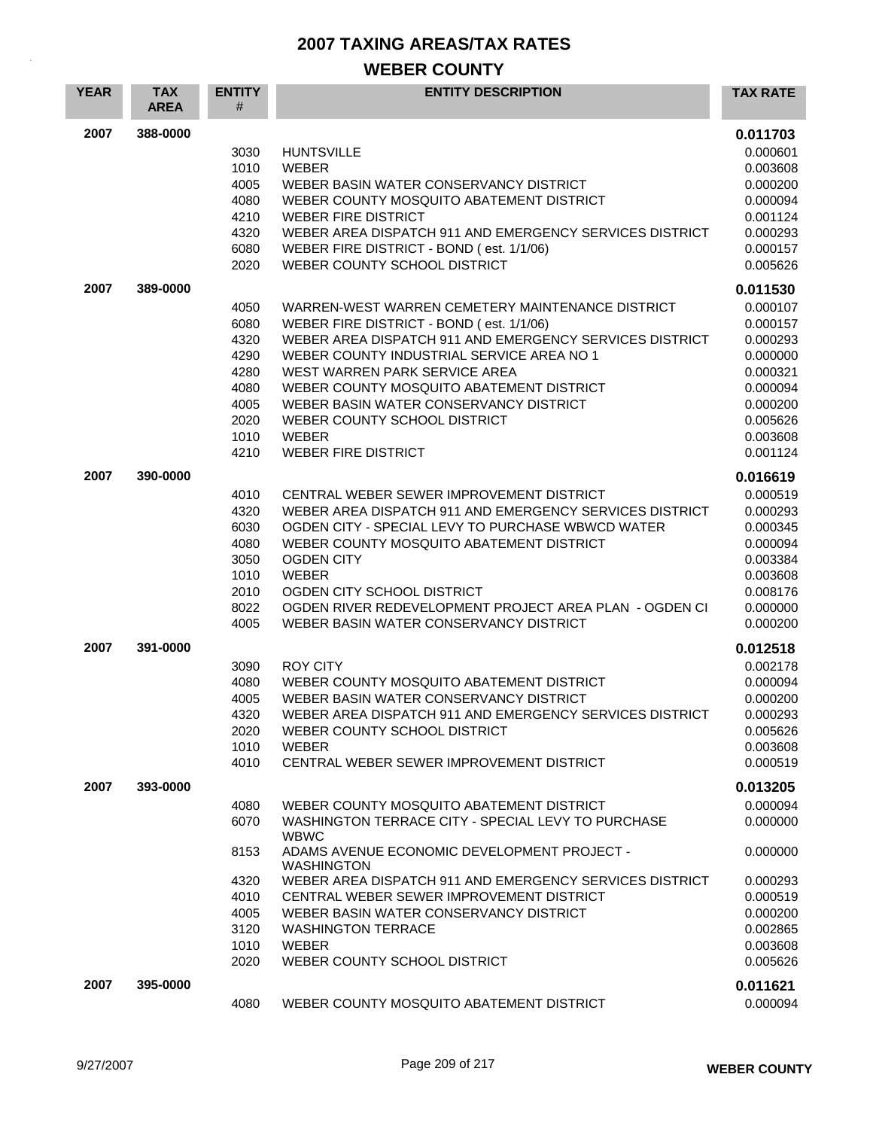| <b>YEAR</b> | <b>TAX</b><br><b>AREA</b> | <b>ENTITY</b><br>#                                                           | <b>ENTITY DESCRIPTION</b>                                                                                                                                                                                                                                                                                                                                                                                       | <b>TAX RATE</b>                                                                                                                  |
|-------------|---------------------------|------------------------------------------------------------------------------|-----------------------------------------------------------------------------------------------------------------------------------------------------------------------------------------------------------------------------------------------------------------------------------------------------------------------------------------------------------------------------------------------------------------|----------------------------------------------------------------------------------------------------------------------------------|
| 2007        | 388-0000                  | 3030<br>1010<br>4005<br>4080<br>4210<br>4320<br>6080<br>2020                 | <b>HUNTSVILLE</b><br>WEBER<br>WEBER BASIN WATER CONSERVANCY DISTRICT<br>WEBER COUNTY MOSQUITO ABATEMENT DISTRICT<br><b>WEBER FIRE DISTRICT</b><br>WEBER AREA DISPATCH 911 AND EMERGENCY SERVICES DISTRICT<br>WEBER FIRE DISTRICT - BOND (est. 1/1/06)<br>WEBER COUNTY SCHOOL DISTRICT                                                                                                                           | 0.011703<br>0.000601<br>0.003608<br>0.000200<br>0.000094<br>0.001124<br>0.000293<br>0.000157<br>0.005626                         |
| 2007        | 389-0000                  | 4050<br>6080<br>4320<br>4290<br>4280<br>4080<br>4005<br>2020<br>1010<br>4210 | WARREN-WEST WARREN CEMETERY MAINTENANCE DISTRICT<br>WEBER FIRE DISTRICT - BOND (est. 1/1/06)<br>WEBER AREA DISPATCH 911 AND EMERGENCY SERVICES DISTRICT<br>WEBER COUNTY INDUSTRIAL SERVICE AREA NO 1<br>WEST WARREN PARK SERVICE AREA<br>WEBER COUNTY MOSQUITO ABATEMENT DISTRICT<br>WEBER BASIN WATER CONSERVANCY DISTRICT<br>WEBER COUNTY SCHOOL DISTRICT<br><b>WEBER</b><br><b>WEBER FIRE DISTRICT</b>       | 0.011530<br>0.000107<br>0.000157<br>0.000293<br>0.000000<br>0.000321<br>0.000094<br>0.000200<br>0.005626<br>0.003608<br>0.001124 |
| 2007        | 390-0000                  | 4010<br>4320<br>6030<br>4080<br>3050<br>1010<br>2010<br>8022<br>4005         | CENTRAL WEBER SEWER IMPROVEMENT DISTRICT<br>WEBER AREA DISPATCH 911 AND EMERGENCY SERVICES DISTRICT<br>OGDEN CITY - SPECIAL LEVY TO PURCHASE WBWCD WATER<br>WEBER COUNTY MOSQUITO ABATEMENT DISTRICT<br><b>OGDEN CITY</b><br><b>WEBER</b><br>OGDEN CITY SCHOOL DISTRICT<br>OGDEN RIVER REDEVELOPMENT PROJECT AREA PLAN - OGDEN CI<br>WEBER BASIN WATER CONSERVANCY DISTRICT                                     | 0.016619<br>0.000519<br>0.000293<br>0.000345<br>0.000094<br>0.003384<br>0.003608<br>0.008176<br>0.000000<br>0.000200             |
| 2007        | 391-0000                  | 3090<br>4080<br>4005<br>4320<br>2020<br>1010<br>4010                         | <b>ROY CITY</b><br>WEBER COUNTY MOSQUITO ABATEMENT DISTRICT<br>WEBER BASIN WATER CONSERVANCY DISTRICT<br>WEBER AREA DISPATCH 911 AND EMERGENCY SERVICES DISTRICT<br>WEBER COUNTY SCHOOL DISTRICT<br><b>WEBER</b><br>CENTRAL WEBER SEWER IMPROVEMENT DISTRICT                                                                                                                                                    | 0.012518<br>0.002178<br>0.000094<br>0.000200<br>0.000293<br>0.005626<br>0.003608<br>0.000519                                     |
| 2007        | 393-0000                  | 4080<br>6070<br>8153<br>4320<br>4010<br>4005<br>3120<br>1010<br>2020         | WEBER COUNTY MOSQUITO ABATEMENT DISTRICT<br>WASHINGTON TERRACE CITY - SPECIAL LEVY TO PURCHASE<br><b>WBWC</b><br>ADAMS AVENUE ECONOMIC DEVELOPMENT PROJECT -<br><b>WASHINGTON</b><br>WEBER AREA DISPATCH 911 AND EMERGENCY SERVICES DISTRICT<br>CENTRAL WEBER SEWER IMPROVEMENT DISTRICT<br>WEBER BASIN WATER CONSERVANCY DISTRICT<br><b>WASHINGTON TERRACE</b><br><b>WEBER</b><br>WEBER COUNTY SCHOOL DISTRICT | 0.013205<br>0.000094<br>0.000000<br>0.000000<br>0.000293<br>0.000519<br>0.000200<br>0.002865<br>0.003608<br>0.005626             |
| 2007        | 395-0000                  | 4080                                                                         | WEBER COUNTY MOSQUITO ABATEMENT DISTRICT                                                                                                                                                                                                                                                                                                                                                                        | 0.011621<br>0.000094                                                                                                             |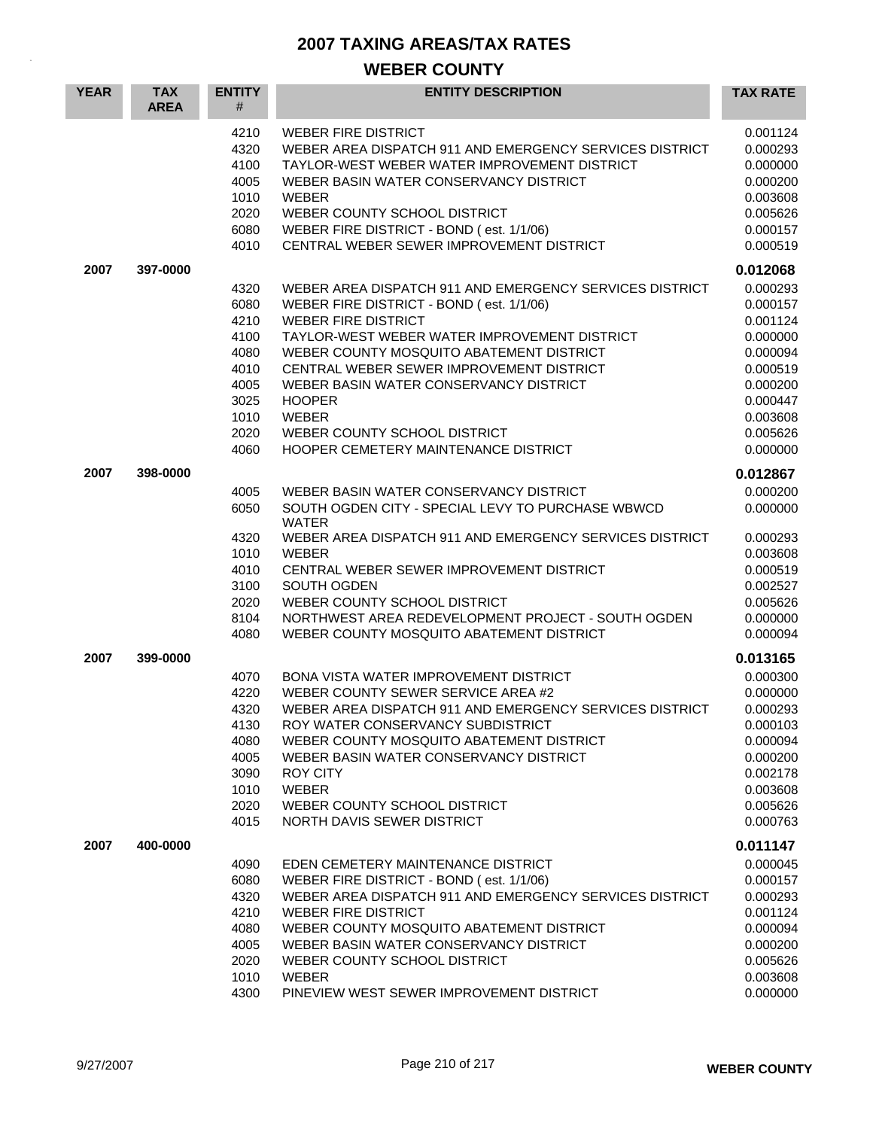| <b>YEAR</b> | <b>TAX</b><br><b>AREA</b> | <b>ENTITY</b><br>#                                                                   | <b>ENTITY DESCRIPTION</b>                                                                                                                                                                                                                                                                                                                                                                                                           | <b>TAX RATE</b>                                                                                                                  |
|-------------|---------------------------|--------------------------------------------------------------------------------------|-------------------------------------------------------------------------------------------------------------------------------------------------------------------------------------------------------------------------------------------------------------------------------------------------------------------------------------------------------------------------------------------------------------------------------------|----------------------------------------------------------------------------------------------------------------------------------|
|             |                           | 4210<br>4320<br>4100<br>4005<br>1010<br>2020<br>6080<br>4010                         | <b>WEBER FIRE DISTRICT</b><br>WEBER AREA DISPATCH 911 AND EMERGENCY SERVICES DISTRICT<br>TAYLOR-WEST WEBER WATER IMPROVEMENT DISTRICT<br>WEBER BASIN WATER CONSERVANCY DISTRICT<br><b>WEBER</b><br>WEBER COUNTY SCHOOL DISTRICT<br>WEBER FIRE DISTRICT - BOND (est. 1/1/06)<br>CENTRAL WEBER SEWER IMPROVEMENT DISTRICT                                                                                                             | 0.001124<br>0.000293<br>0.000000<br>0.000200<br>0.003608<br>0.005626<br>0.000157<br>0.000519                                     |
| 2007        | 397-0000                  |                                                                                      |                                                                                                                                                                                                                                                                                                                                                                                                                                     | 0.012068                                                                                                                         |
|             |                           | 4320<br>6080<br>4210<br>4100<br>4080<br>4010<br>4005<br>3025<br>1010<br>2020<br>4060 | WEBER AREA DISPATCH 911 AND EMERGENCY SERVICES DISTRICT<br>WEBER FIRE DISTRICT - BOND (est. 1/1/06)<br><b>WEBER FIRE DISTRICT</b><br>TAYLOR-WEST WEBER WATER IMPROVEMENT DISTRICT<br>WEBER COUNTY MOSQUITO ABATEMENT DISTRICT<br>CENTRAL WEBER SEWER IMPROVEMENT DISTRICT<br>WEBER BASIN WATER CONSERVANCY DISTRICT<br><b>HOOPER</b><br><b>WEBER</b><br>WEBER COUNTY SCHOOL DISTRICT<br><b>HOOPER CEMETERY MAINTENANCE DISTRICT</b> | 0.000293<br>0.000157<br>0.001124<br>0.000000<br>0.000094<br>0.000519<br>0.000200<br>0.000447<br>0.003608<br>0.005626<br>0.000000 |
| 2007        | 398-0000                  |                                                                                      |                                                                                                                                                                                                                                                                                                                                                                                                                                     | 0.012867                                                                                                                         |
|             |                           | 4005<br>6050                                                                         | WEBER BASIN WATER CONSERVANCY DISTRICT<br>SOUTH OGDEN CITY - SPECIAL LEVY TO PURCHASE WBWCD<br><b>WATER</b>                                                                                                                                                                                                                                                                                                                         | 0.000200<br>0.000000                                                                                                             |
|             |                           | 4320<br>1010<br>4010<br>3100<br>2020<br>8104<br>4080                                 | WEBER AREA DISPATCH 911 AND EMERGENCY SERVICES DISTRICT<br><b>WEBER</b><br>CENTRAL WEBER SEWER IMPROVEMENT DISTRICT<br>SOUTH OGDEN<br>WEBER COUNTY SCHOOL DISTRICT<br>NORTHWEST AREA REDEVELOPMENT PROJECT - SOUTH OGDEN<br>WEBER COUNTY MOSQUITO ABATEMENT DISTRICT                                                                                                                                                                | 0.000293<br>0.003608<br>0.000519<br>0.002527<br>0.005626<br>0.000000<br>0.000094                                                 |
| 2007        | 399-0000                  |                                                                                      |                                                                                                                                                                                                                                                                                                                                                                                                                                     | 0.013165                                                                                                                         |
|             |                           | 4070<br>4220<br>4320<br>4130<br>4080<br>4005<br>3090<br>1010<br>2020<br>4015         | <b>BONA VISTA WATER IMPROVEMENT DISTRICT</b><br>WEBER COUNTY SEWER SERVICE AREA #2<br>WEBER AREA DISPATCH 911 AND EMERGENCY SERVICES DISTRICT<br>ROY WATER CONSERVANCY SUBDISTRICT<br>WEBER COUNTY MOSQUITO ABATEMENT DISTRICT<br>WEBER BASIN WATER CONSERVANCY DISTRICT<br><b>ROY CITY</b><br><b>WEBER</b><br>WEBER COUNTY SCHOOL DISTRICT<br>NORTH DAVIS SEWER DISTRICT                                                           | 0.000300<br>0.000000<br>0.000293<br>0.000103<br>0.000094<br>0.000200<br>0.002178<br>0.003608<br>0.005626<br>0.000763             |
| 2007        | 400-0000                  |                                                                                      |                                                                                                                                                                                                                                                                                                                                                                                                                                     | 0.011147                                                                                                                         |
|             |                           | 4090<br>6080<br>4320<br>4210<br>4080<br>4005<br>2020<br>1010<br>4300                 | EDEN CEMETERY MAINTENANCE DISTRICT<br>WEBER FIRE DISTRICT - BOND (est. 1/1/06)<br>WEBER AREA DISPATCH 911 AND EMERGENCY SERVICES DISTRICT<br><b>WEBER FIRE DISTRICT</b><br>WEBER COUNTY MOSQUITO ABATEMENT DISTRICT<br>WEBER BASIN WATER CONSERVANCY DISTRICT<br>WEBER COUNTY SCHOOL DISTRICT<br><b>WEBER</b><br>PINEVIEW WEST SEWER IMPROVEMENT DISTRICT                                                                           | 0.000045<br>0.000157<br>0.000293<br>0.001124<br>0.000094<br>0.000200<br>0.005626<br>0.003608<br>0.000000                         |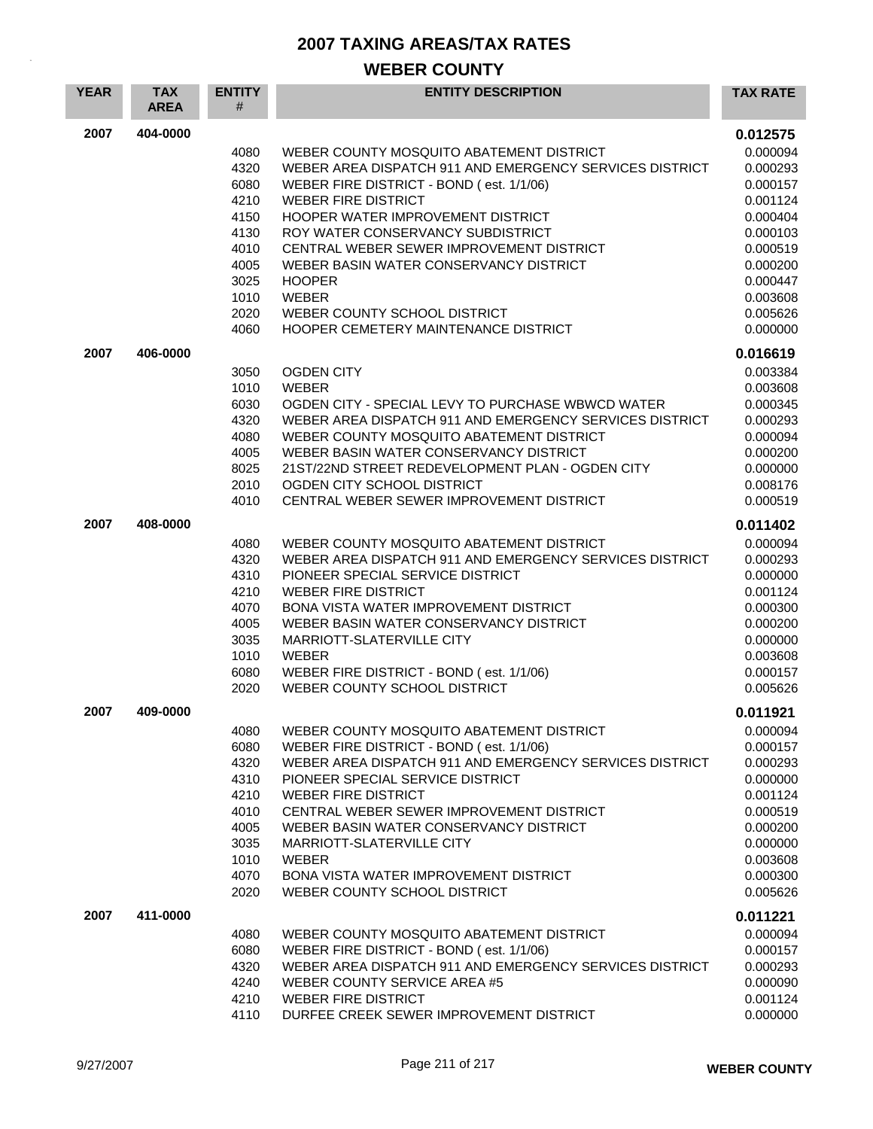| <b>YEAR</b> | <b>TAX</b><br><b>AREA</b> | <b>ENTITY</b><br># | <b>ENTITY DESCRIPTION</b>                                                                           | <b>TAX RATE</b>      |
|-------------|---------------------------|--------------------|-----------------------------------------------------------------------------------------------------|----------------------|
| 2007        | 404-0000                  |                    |                                                                                                     | 0.012575             |
|             |                           | 4080               | WEBER COUNTY MOSQUITO ABATEMENT DISTRICT                                                            | 0.000094             |
|             |                           | 4320               | WEBER AREA DISPATCH 911 AND EMERGENCY SERVICES DISTRICT                                             | 0.000293             |
|             |                           | 6080               | WEBER FIRE DISTRICT - BOND (est. 1/1/06)                                                            | 0.000157             |
|             |                           | 4210<br>4150       | <b>WEBER FIRE DISTRICT</b><br>HOOPER WATER IMPROVEMENT DISTRICT                                     | 0.001124<br>0.000404 |
|             |                           | 4130               | ROY WATER CONSERVANCY SUBDISTRICT                                                                   | 0.000103             |
|             |                           | 4010               | CENTRAL WEBER SEWER IMPROVEMENT DISTRICT                                                            | 0.000519             |
|             |                           | 4005               | WEBER BASIN WATER CONSERVANCY DISTRICT                                                              | 0.000200             |
|             |                           | 3025               | <b>HOOPER</b>                                                                                       | 0.000447             |
|             |                           | 1010               | <b>WEBER</b>                                                                                        | 0.003608             |
|             |                           | 2020<br>4060       | WEBER COUNTY SCHOOL DISTRICT<br>HOOPER CEMETERY MAINTENANCE DISTRICT                                | 0.005626<br>0.000000 |
| 2007        | 406-0000                  |                    |                                                                                                     |                      |
|             |                           | 3050               | <b>OGDEN CITY</b>                                                                                   | 0.016619<br>0.003384 |
|             |                           | 1010               | <b>WEBER</b>                                                                                        | 0.003608             |
|             |                           | 6030               | OGDEN CITY - SPECIAL LEVY TO PURCHASE WBWCD WATER                                                   | 0.000345             |
|             |                           | 4320               | WEBER AREA DISPATCH 911 AND EMERGENCY SERVICES DISTRICT                                             | 0.000293             |
|             |                           | 4080               | WEBER COUNTY MOSQUITO ABATEMENT DISTRICT                                                            | 0.000094             |
|             |                           | 4005<br>8025       | WEBER BASIN WATER CONSERVANCY DISTRICT<br>21ST/22ND STREET REDEVELOPMENT PLAN - OGDEN CITY          | 0.000200             |
|             |                           | 2010               | OGDEN CITY SCHOOL DISTRICT                                                                          | 0.000000<br>0.008176 |
|             |                           | 4010               | CENTRAL WEBER SEWER IMPROVEMENT DISTRICT                                                            | 0.000519             |
| 2007        | 408-0000                  |                    |                                                                                                     | 0.011402             |
|             |                           | 4080               | WEBER COUNTY MOSQUITO ABATEMENT DISTRICT                                                            | 0.000094             |
|             |                           | 4320               | WEBER AREA DISPATCH 911 AND EMERGENCY SERVICES DISTRICT                                             | 0.000293             |
|             |                           | 4310               | PIONEER SPECIAL SERVICE DISTRICT                                                                    | 0.000000             |
|             |                           | 4210<br>4070       | <b>WEBER FIRE DISTRICT</b><br><b>BONA VISTA WATER IMPROVEMENT DISTRICT</b>                          | 0.001124<br>0.000300 |
|             |                           | 4005               | WEBER BASIN WATER CONSERVANCY DISTRICT                                                              | 0.000200             |
|             |                           | 3035               | MARRIOTT-SLATERVILLE CITY                                                                           | 0.000000             |
|             |                           | 1010               | <b>WEBER</b>                                                                                        | 0.003608             |
|             |                           | 6080               | WEBER FIRE DISTRICT - BOND (est. 1/1/06)                                                            | 0.000157             |
|             |                           | 2020               | WEBER COUNTY SCHOOL DISTRICT                                                                        | 0.005626             |
| 2007        | 409-0000                  |                    |                                                                                                     | 0.011921             |
|             |                           | 4080               | WEBER COUNTY MOSQUITO ABATEMENT DISTRICT                                                            | 0.000094             |
|             |                           | 6080<br>4320       | WEBER FIRE DISTRICT - BOND (est. 1/1/06)<br>WEBER AREA DISPATCH 911 AND EMERGENCY SERVICES DISTRICT | 0.000157<br>0.000293 |
|             |                           | 4310               | PIONEER SPECIAL SERVICE DISTRICT                                                                    | 0.000000             |
|             |                           | 4210               | <b>WEBER FIRE DISTRICT</b>                                                                          | 0.001124             |
|             |                           | 4010               | CENTRAL WEBER SEWER IMPROVEMENT DISTRICT                                                            | 0.000519             |
|             |                           | 4005               | WEBER BASIN WATER CONSERVANCY DISTRICT                                                              | 0.000200             |
|             |                           | 3035               | MARRIOTT-SLATERVILLE CITY                                                                           | 0.000000             |
|             |                           | 1010<br>4070       | WEBER<br><b>BONA VISTA WATER IMPROVEMENT DISTRICT</b>                                               | 0.003608<br>0.000300 |
|             |                           | 2020               | WEBER COUNTY SCHOOL DISTRICT                                                                        | 0.005626             |
| 2007        | 411-0000                  |                    |                                                                                                     | 0.011221             |
|             |                           | 4080               | WEBER COUNTY MOSQUITO ABATEMENT DISTRICT                                                            | 0.000094             |
|             |                           | 6080               | WEBER FIRE DISTRICT - BOND (est. 1/1/06)                                                            | 0.000157             |
|             |                           | 4320               | WEBER AREA DISPATCH 911 AND EMERGENCY SERVICES DISTRICT                                             | 0.000293             |
|             |                           | 4240<br>4210       | WEBER COUNTY SERVICE AREA #5<br>WEBER FIRE DISTRICT                                                 | 0.000090<br>0.001124 |
|             |                           | 4110               | DURFEE CREEK SEWER IMPROVEMENT DISTRICT                                                             | 0.000000             |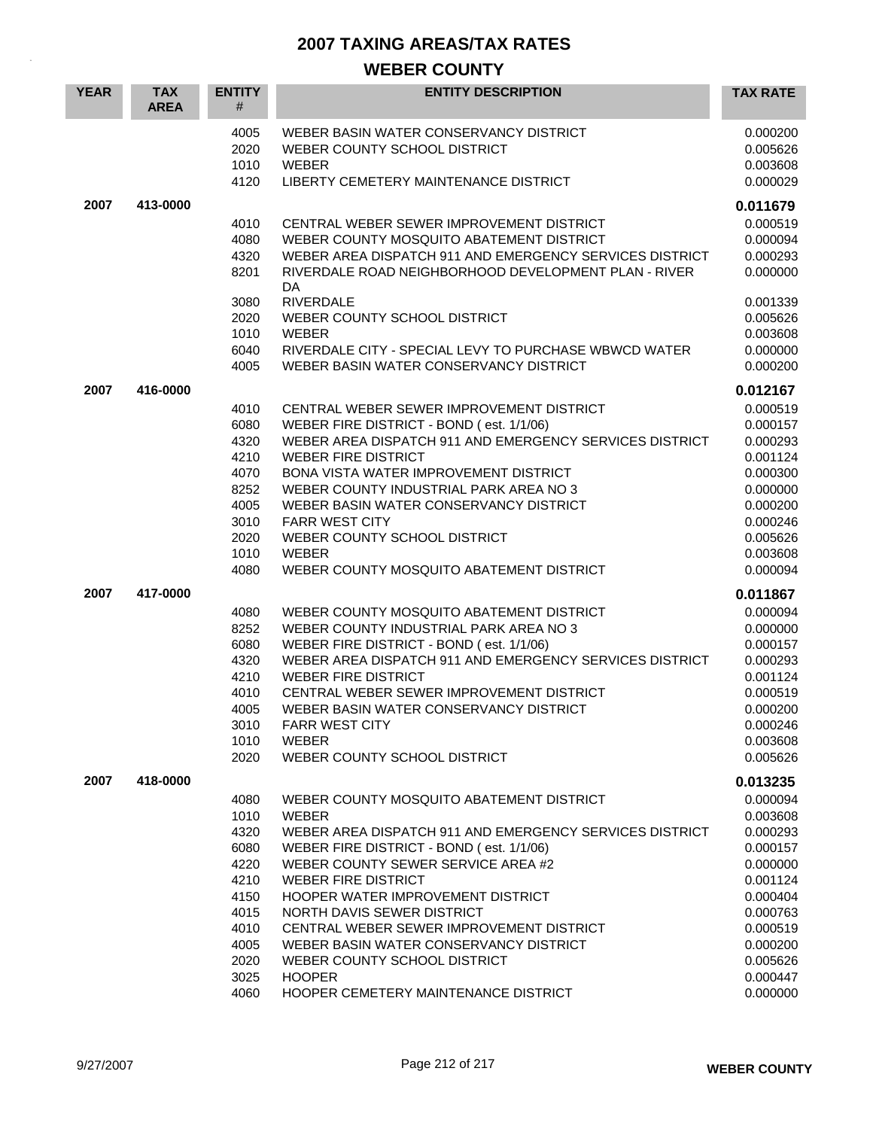| <b>YEAR</b> | <b>TAX</b><br><b>AREA</b> | <b>ENTITY</b><br>#                                                                                   | <b>ENTITY DESCRIPTION</b>                                                                                                                                                                                                                                                                                                                                                                                                                                                                    | <b>TAX RATE</b>                                                                                                                                          |
|-------------|---------------------------|------------------------------------------------------------------------------------------------------|----------------------------------------------------------------------------------------------------------------------------------------------------------------------------------------------------------------------------------------------------------------------------------------------------------------------------------------------------------------------------------------------------------------------------------------------------------------------------------------------|----------------------------------------------------------------------------------------------------------------------------------------------------------|
|             |                           | 4005<br>2020<br>1010<br>4120                                                                         | WEBER BASIN WATER CONSERVANCY DISTRICT<br>WEBER COUNTY SCHOOL DISTRICT<br><b>WEBER</b><br>LIBERTY CEMETERY MAINTENANCE DISTRICT                                                                                                                                                                                                                                                                                                                                                              | 0.000200<br>0.005626<br>0.003608<br>0.000029                                                                                                             |
| 2007        | 413-0000                  |                                                                                                      |                                                                                                                                                                                                                                                                                                                                                                                                                                                                                              | 0.011679                                                                                                                                                 |
|             |                           | 4010<br>4080<br>4320<br>8201<br>3080                                                                 | CENTRAL WEBER SEWER IMPROVEMENT DISTRICT<br>WEBER COUNTY MOSQUITO ABATEMENT DISTRICT<br>WEBER AREA DISPATCH 911 AND EMERGENCY SERVICES DISTRICT<br>RIVERDALE ROAD NEIGHBORHOOD DEVELOPMENT PLAN - RIVER<br>DA.<br><b>RIVERDALE</b>                                                                                                                                                                                                                                                           | 0.000519<br>0.000094<br>0.000293<br>0.000000<br>0.001339                                                                                                 |
|             |                           | 2020<br>1010<br>6040                                                                                 | WEBER COUNTY SCHOOL DISTRICT<br><b>WEBER</b><br>RIVERDALE CITY - SPECIAL LEVY TO PURCHASE WBWCD WATER                                                                                                                                                                                                                                                                                                                                                                                        | 0.005626<br>0.003608<br>0.000000                                                                                                                         |
|             |                           | 4005                                                                                                 | WEBER BASIN WATER CONSERVANCY DISTRICT                                                                                                                                                                                                                                                                                                                                                                                                                                                       | 0.000200                                                                                                                                                 |
| 2007        | 416-0000                  | 4010<br>6080<br>4320<br>4210<br>4070<br>8252<br>4005<br>3010<br>2020<br>1010<br>4080                 | CENTRAL WEBER SEWER IMPROVEMENT DISTRICT<br>WEBER FIRE DISTRICT - BOND (est. 1/1/06)<br>WEBER AREA DISPATCH 911 AND EMERGENCY SERVICES DISTRICT<br><b>WEBER FIRE DISTRICT</b><br>BONA VISTA WATER IMPROVEMENT DISTRICT<br>WEBER COUNTY INDUSTRIAL PARK AREA NO 3<br>WEBER BASIN WATER CONSERVANCY DISTRICT<br><b>FARR WEST CITY</b><br>WEBER COUNTY SCHOOL DISTRICT<br><b>WEBER</b><br>WEBER COUNTY MOSQUITO ABATEMENT DISTRICT                                                              | 0.012167<br>0.000519<br>0.000157<br>0.000293<br>0.001124<br>0.000300<br>0.000000<br>0.000200<br>0.000246<br>0.005626<br>0.003608<br>0.000094             |
| 2007        | 417-0000                  |                                                                                                      |                                                                                                                                                                                                                                                                                                                                                                                                                                                                                              | 0.011867                                                                                                                                                 |
|             |                           | 4080<br>8252<br>6080<br>4320<br>4210<br>4010<br>4005<br>3010<br>1010<br>2020                         | WEBER COUNTY MOSQUITO ABATEMENT DISTRICT<br>WEBER COUNTY INDUSTRIAL PARK AREA NO 3<br>WEBER FIRE DISTRICT - BOND (est. 1/1/06)<br>WEBER AREA DISPATCH 911 AND EMERGENCY SERVICES DISTRICT<br><b>WEBER FIRE DISTRICT</b><br>CENTRAL WEBER SEWER IMPROVEMENT DISTRICT<br>WEBER BASIN WATER CONSERVANCY DISTRICT<br><b>FARR WEST CITY</b><br><b>WEBER</b><br>WEBER COUNTY SCHOOL DISTRICT                                                                                                       | 0.000094<br>0.000000<br>0.000157<br>0.000293<br>0.001124<br>0.000519<br>0.000200<br>0.000246<br>0.003608<br>0.005626                                     |
| 2007        | 418-0000                  |                                                                                                      |                                                                                                                                                                                                                                                                                                                                                                                                                                                                                              | 0.013235                                                                                                                                                 |
|             |                           | 4080<br>1010<br>4320<br>6080<br>4220<br>4210<br>4150<br>4015<br>4010<br>4005<br>2020<br>3025<br>4060 | WEBER COUNTY MOSQUITO ABATEMENT DISTRICT<br><b>WEBER</b><br>WEBER AREA DISPATCH 911 AND EMERGENCY SERVICES DISTRICT<br>WEBER FIRE DISTRICT - BOND (est. 1/1/06)<br>WEBER COUNTY SEWER SERVICE AREA #2<br><b>WEBER FIRE DISTRICT</b><br>HOOPER WATER IMPROVEMENT DISTRICT<br>NORTH DAVIS SEWER DISTRICT<br>CENTRAL WEBER SEWER IMPROVEMENT DISTRICT<br>WEBER BASIN WATER CONSERVANCY DISTRICT<br>WEBER COUNTY SCHOOL DISTRICT<br><b>HOOPER</b><br><b>HOOPER CEMETERY MAINTENANCE DISTRICT</b> | 0.000094<br>0.003608<br>0.000293<br>0.000157<br>0.000000<br>0.001124<br>0.000404<br>0.000763<br>0.000519<br>0.000200<br>0.005626<br>0.000447<br>0.000000 |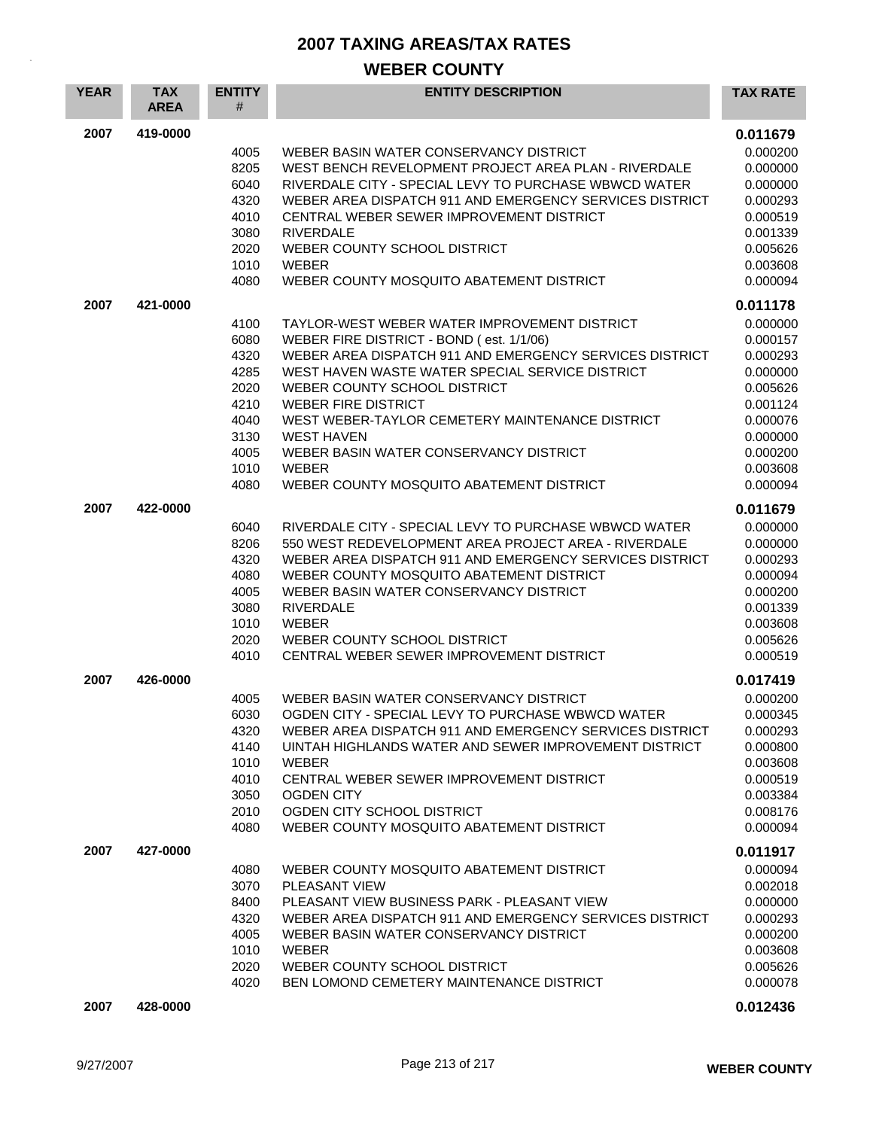| <b>YEAR</b> | <b>TAX</b><br><b>AREA</b> | <b>ENTITY</b><br>#                                                                   | <b>ENTITY DESCRIPTION</b>                                                                                                                                                                                                                                                                                                                                                                                                                          | <b>TAX RATE</b>                                                                                                                              |
|-------------|---------------------------|--------------------------------------------------------------------------------------|----------------------------------------------------------------------------------------------------------------------------------------------------------------------------------------------------------------------------------------------------------------------------------------------------------------------------------------------------------------------------------------------------------------------------------------------------|----------------------------------------------------------------------------------------------------------------------------------------------|
| 2007        | 419-0000                  | 4005<br>8205<br>6040<br>4320<br>4010<br>3080<br>2020<br>1010<br>4080                 | WEBER BASIN WATER CONSERVANCY DISTRICT<br>WEST BENCH REVELOPMENT PROJECT AREA PLAN - RIVERDALE<br>RIVERDALE CITY - SPECIAL LEVY TO PURCHASE WBWCD WATER<br>WEBER AREA DISPATCH 911 AND EMERGENCY SERVICES DISTRICT<br>CENTRAL WEBER SEWER IMPROVEMENT DISTRICT<br><b>RIVERDALE</b><br>WEBER COUNTY SCHOOL DISTRICT<br><b>WEBER</b><br>WEBER COUNTY MOSQUITO ABATEMENT DISTRICT                                                                     | 0.011679<br>0.000200<br>0.000000<br>0.000000<br>0.000293<br>0.000519<br>0.001339<br>0.005626<br>0.003608<br>0.000094                         |
| 2007        | 421-0000                  | 4100<br>6080<br>4320<br>4285<br>2020<br>4210<br>4040<br>3130<br>4005<br>1010<br>4080 | TAYLOR-WEST WEBER WATER IMPROVEMENT DISTRICT<br>WEBER FIRE DISTRICT - BOND (est. 1/1/06)<br>WEBER AREA DISPATCH 911 AND EMERGENCY SERVICES DISTRICT<br>WEST HAVEN WASTE WATER SPECIAL SERVICE DISTRICT<br>WEBER COUNTY SCHOOL DISTRICT<br><b>WEBER FIRE DISTRICT</b><br>WEST WEBER-TAYLOR CEMETERY MAINTENANCE DISTRICT<br><b>WEST HAVEN</b><br>WEBER BASIN WATER CONSERVANCY DISTRICT<br><b>WEBER</b><br>WEBER COUNTY MOSQUITO ABATEMENT DISTRICT | 0.011178<br>0.000000<br>0.000157<br>0.000293<br>0.000000<br>0.005626<br>0.001124<br>0.000076<br>0.000000<br>0.000200<br>0.003608<br>0.000094 |
| 2007        | 422-0000                  | 6040<br>8206<br>4320<br>4080<br>4005<br>3080<br>1010<br>2020<br>4010                 | RIVERDALE CITY - SPECIAL LEVY TO PURCHASE WBWCD WATER<br>550 WEST REDEVELOPMENT AREA PROJECT AREA - RIVERDALE<br>WEBER AREA DISPATCH 911 AND EMERGENCY SERVICES DISTRICT<br>WEBER COUNTY MOSQUITO ABATEMENT DISTRICT<br>WEBER BASIN WATER CONSERVANCY DISTRICT<br><b>RIVERDALE</b><br><b>WEBER</b><br>WEBER COUNTY SCHOOL DISTRICT<br>CENTRAL WEBER SEWER IMPROVEMENT DISTRICT                                                                     | 0.011679<br>0.000000<br>0.000000<br>0.000293<br>0.000094<br>0.000200<br>0.001339<br>0.003608<br>0.005626<br>0.000519                         |
| 2007        | 426-0000                  | 4005<br>6030<br>4320<br>4140<br>1010<br>4010<br>3050<br>2010<br>4080                 | WEBER BASIN WATER CONSERVANCY DISTRICT<br>OGDEN CITY - SPECIAL LEVY TO PURCHASE WBWCD WATER<br>WEBER AREA DISPATCH 911 AND EMERGENCY SERVICES DISTRICT<br>UINTAH HIGHLANDS WATER AND SEWER IMPROVEMENT DISTRICT<br><b>WEBER</b><br>CENTRAL WEBER SEWER IMPROVEMENT DISTRICT<br><b>OGDEN CITY</b><br>OGDEN CITY SCHOOL DISTRICT<br>WEBER COUNTY MOSQUITO ABATEMENT DISTRICT                                                                         | 0.017419<br>0.000200<br>0.000345<br>0.000293<br>0.000800<br>0.003608<br>0.000519<br>0.003384<br>0.008176<br>0.000094                         |
| 2007        | 427-0000                  | 4080<br>3070<br>8400<br>4320<br>4005<br>1010<br>2020<br>4020                         | WEBER COUNTY MOSQUITO ABATEMENT DISTRICT<br>PLEASANT VIEW<br>PLEASANT VIEW BUSINESS PARK - PLEASANT VIEW<br>WEBER AREA DISPATCH 911 AND EMERGENCY SERVICES DISTRICT<br>WEBER BASIN WATER CONSERVANCY DISTRICT<br><b>WEBER</b><br>WEBER COUNTY SCHOOL DISTRICT<br>BEN LOMOND CEMETERY MAINTENANCE DISTRICT                                                                                                                                          | 0.011917<br>0.000094<br>0.002018<br>0.000000<br>0.000293<br>0.000200<br>0.003608<br>0.005626<br>0.000078                                     |
| 2007        | 428-0000                  |                                                                                      |                                                                                                                                                                                                                                                                                                                                                                                                                                                    | 0.012436                                                                                                                                     |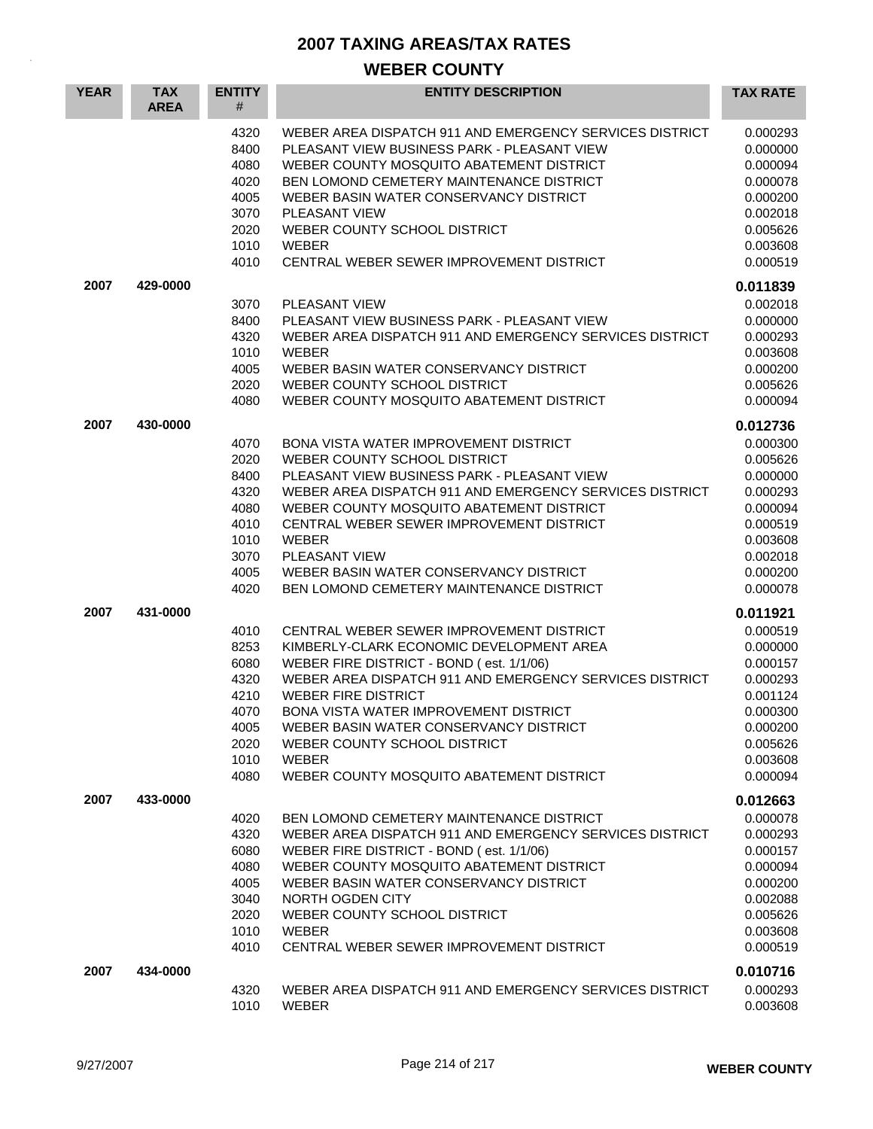| <b>YEAR</b> | <b>TAX</b><br><b>AREA</b> | <b>ENTITY</b><br>#                                                           | <b>ENTITY DESCRIPTION</b>                                                                                                                                                                                                                                                                                                                                                                                       | <b>TAX RATE</b>                                                                                                      |
|-------------|---------------------------|------------------------------------------------------------------------------|-----------------------------------------------------------------------------------------------------------------------------------------------------------------------------------------------------------------------------------------------------------------------------------------------------------------------------------------------------------------------------------------------------------------|----------------------------------------------------------------------------------------------------------------------|
|             |                           | 4320<br>8400<br>4080<br>4020<br>4005<br>3070<br>2020<br>1010<br>4010         | WEBER AREA DISPATCH 911 AND EMERGENCY SERVICES DISTRICT<br>PLEASANT VIEW BUSINESS PARK - PLEASANT VIEW<br>WEBER COUNTY MOSQUITO ABATEMENT DISTRICT<br>BEN LOMOND CEMETERY MAINTENANCE DISTRICT<br>WEBER BASIN WATER CONSERVANCY DISTRICT<br><b>PLEASANT VIEW</b><br>WEBER COUNTY SCHOOL DISTRICT<br><b>WEBER</b><br>CENTRAL WEBER SEWER IMPROVEMENT DISTRICT                                                    | 0.000293<br>0.000000<br>0.000094<br>0.000078<br>0.000200<br>0.002018<br>0.005626<br>0.003608<br>0.000519             |
| 2007        | 429-0000                  |                                                                              |                                                                                                                                                                                                                                                                                                                                                                                                                 | 0.011839                                                                                                             |
|             |                           | 3070<br>8400<br>4320<br>1010<br>4005<br>2020<br>4080                         | <b>PLEASANT VIEW</b><br>PLEASANT VIEW BUSINESS PARK - PLEASANT VIEW<br>WEBER AREA DISPATCH 911 AND EMERGENCY SERVICES DISTRICT<br><b>WEBER</b><br>WEBER BASIN WATER CONSERVANCY DISTRICT<br>WEBER COUNTY SCHOOL DISTRICT<br>WEBER COUNTY MOSQUITO ABATEMENT DISTRICT                                                                                                                                            | 0.002018<br>0.000000<br>0.000293<br>0.003608<br>0.000200<br>0.005626<br>0.000094                                     |
| 2007        | 430-0000                  |                                                                              |                                                                                                                                                                                                                                                                                                                                                                                                                 | 0.012736                                                                                                             |
|             |                           | 4070<br>2020<br>8400<br>4320<br>4080<br>4010<br>1010<br>3070<br>4005<br>4020 | BONA VISTA WATER IMPROVEMENT DISTRICT<br>WEBER COUNTY SCHOOL DISTRICT<br>PLEASANT VIEW BUSINESS PARK - PLEASANT VIEW<br>WEBER AREA DISPATCH 911 AND EMERGENCY SERVICES DISTRICT<br>WEBER COUNTY MOSQUITO ABATEMENT DISTRICT<br>CENTRAL WEBER SEWER IMPROVEMENT DISTRICT<br><b>WEBER</b><br><b>PLEASANT VIEW</b><br>WEBER BASIN WATER CONSERVANCY DISTRICT<br><b>BEN LOMOND CEMETERY MAINTENANCE DISTRICT</b>    | 0.000300<br>0.005626<br>0.000000<br>0.000293<br>0.000094<br>0.000519<br>0.003608<br>0.002018<br>0.000200<br>0.000078 |
| 2007        | 431-0000                  |                                                                              |                                                                                                                                                                                                                                                                                                                                                                                                                 | 0.011921                                                                                                             |
|             |                           | 4010<br>8253<br>6080<br>4320<br>4210<br>4070<br>4005<br>2020<br>1010<br>4080 | CENTRAL WEBER SEWER IMPROVEMENT DISTRICT<br>KIMBERLY-CLARK ECONOMIC DEVELOPMENT AREA<br>WEBER FIRE DISTRICT - BOND (est. 1/1/06)<br>WEBER AREA DISPATCH 911 AND EMERGENCY SERVICES DISTRICT<br><b>WEBER FIRE DISTRICT</b><br><b>BONA VISTA WATER IMPROVEMENT DISTRICT</b><br>WEBER BASIN WATER CONSERVANCY DISTRICT<br>WEBER COUNTY SCHOOL DISTRICT<br><b>WEBER</b><br>WEBER COUNTY MOSQUITO ABATEMENT DISTRICT | 0.000519<br>0.000000<br>0.000157<br>0.000293<br>0.001124<br>0.000300<br>0.000200<br>0.005626<br>0.003608<br>0.000094 |
| 2007        | 433-0000                  |                                                                              |                                                                                                                                                                                                                                                                                                                                                                                                                 | 0.012663                                                                                                             |
|             |                           | 4020<br>4320<br>6080<br>4080<br>4005<br>3040<br>2020<br>1010<br>4010         | BEN LOMOND CEMETERY MAINTENANCE DISTRICT<br>WEBER AREA DISPATCH 911 AND EMERGENCY SERVICES DISTRICT<br>WEBER FIRE DISTRICT - BOND (est. 1/1/06)<br>WEBER COUNTY MOSQUITO ABATEMENT DISTRICT<br>WEBER BASIN WATER CONSERVANCY DISTRICT<br>NORTH OGDEN CITY<br>WEBER COUNTY SCHOOL DISTRICT<br><b>WEBER</b><br>CENTRAL WEBER SEWER IMPROVEMENT DISTRICT                                                           | 0.000078<br>0.000293<br>0.000157<br>0.000094<br>0.000200<br>0.002088<br>0.005626<br>0.003608<br>0.000519             |
| 2007        | 434-0000                  |                                                                              |                                                                                                                                                                                                                                                                                                                                                                                                                 | 0.010716                                                                                                             |
|             |                           | 4320<br>1010                                                                 | WEBER AREA DISPATCH 911 AND EMERGENCY SERVICES DISTRICT<br><b>WEBER</b>                                                                                                                                                                                                                                                                                                                                         | 0.000293<br>0.003608                                                                                                 |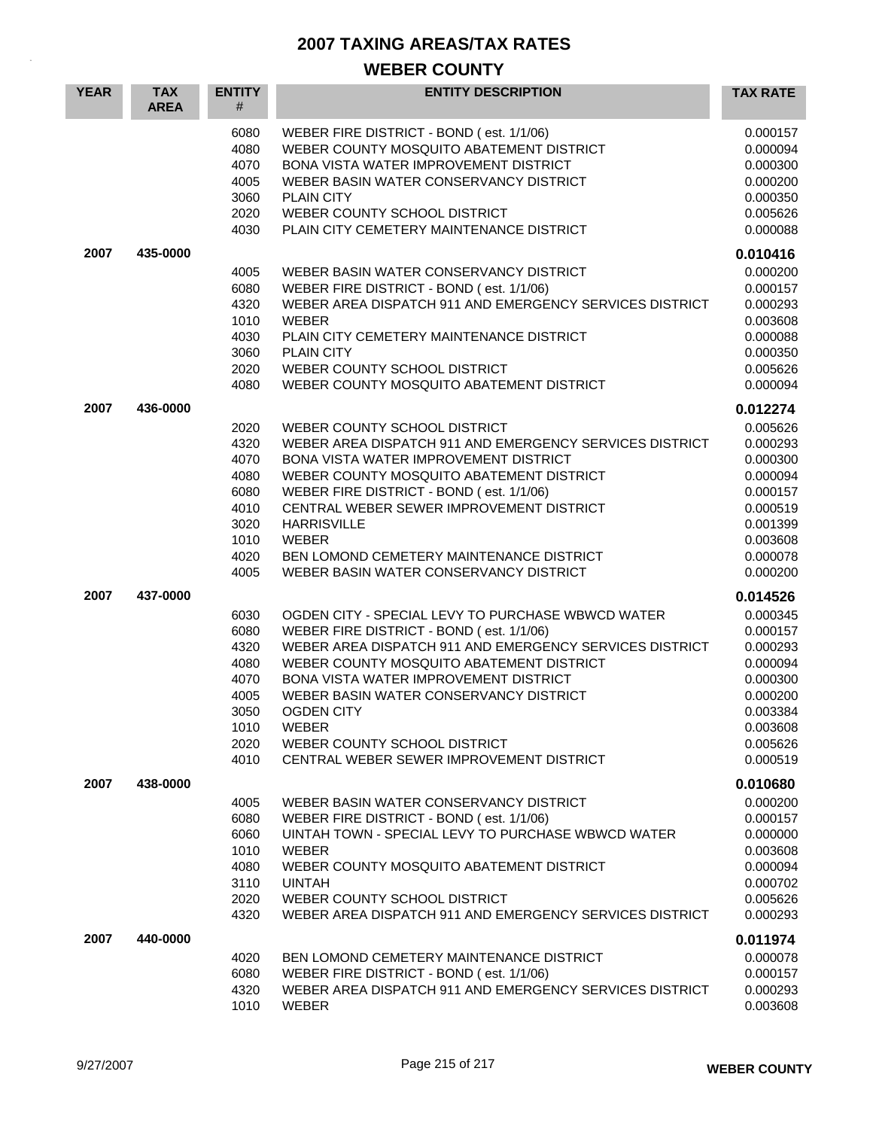| <b>YEAR</b> | <b>TAX</b><br><b>AREA</b> | <b>ENTITY</b><br>#                                                           | <b>ENTITY DESCRIPTION</b>                                                                                                                                                                                                                                                                                                                                                                                | <b>TAX RATE</b>                                                                                                      |
|-------------|---------------------------|------------------------------------------------------------------------------|----------------------------------------------------------------------------------------------------------------------------------------------------------------------------------------------------------------------------------------------------------------------------------------------------------------------------------------------------------------------------------------------------------|----------------------------------------------------------------------------------------------------------------------|
|             |                           | 6080<br>4080<br>4070<br>4005<br>3060<br>2020<br>4030                         | WEBER FIRE DISTRICT - BOND (est. 1/1/06)<br>WEBER COUNTY MOSQUITO ABATEMENT DISTRICT<br><b>BONA VISTA WATER IMPROVEMENT DISTRICT</b><br>WEBER BASIN WATER CONSERVANCY DISTRICT<br><b>PLAIN CITY</b><br>WEBER COUNTY SCHOOL DISTRICT<br>PLAIN CITY CEMETERY MAINTENANCE DISTRICT                                                                                                                          | 0.000157<br>0.000094<br>0.000300<br>0.000200<br>0.000350<br>0.005626<br>0.000088                                     |
| 2007        | 435-0000                  |                                                                              |                                                                                                                                                                                                                                                                                                                                                                                                          | 0.010416                                                                                                             |
|             |                           | 4005<br>6080<br>4320<br>1010<br>4030<br>3060<br>2020<br>4080                 | WEBER BASIN WATER CONSERVANCY DISTRICT<br>WEBER FIRE DISTRICT - BOND (est. 1/1/06)<br>WEBER AREA DISPATCH 911 AND EMERGENCY SERVICES DISTRICT<br>WEBER<br>PLAIN CITY CEMETERY MAINTENANCE DISTRICT<br><b>PLAIN CITY</b><br>WEBER COUNTY SCHOOL DISTRICT<br>WEBER COUNTY MOSQUITO ABATEMENT DISTRICT                                                                                                      | 0.000200<br>0.000157<br>0.000293<br>0.003608<br>0.000088<br>0.000350<br>0.005626<br>0.000094                         |
| 2007        | 436-0000                  |                                                                              |                                                                                                                                                                                                                                                                                                                                                                                                          | 0.012274                                                                                                             |
|             |                           | 2020<br>4320<br>4070<br>4080<br>6080<br>4010<br>3020<br>1010<br>4020<br>4005 | WEBER COUNTY SCHOOL DISTRICT<br>WEBER AREA DISPATCH 911 AND EMERGENCY SERVICES DISTRICT<br>BONA VISTA WATER IMPROVEMENT DISTRICT<br>WEBER COUNTY MOSQUITO ABATEMENT DISTRICT<br>WEBER FIRE DISTRICT - BOND (est. 1/1/06)<br>CENTRAL WEBER SEWER IMPROVEMENT DISTRICT<br><b>HARRISVILLE</b><br>WEBER<br>BEN LOMOND CEMETERY MAINTENANCE DISTRICT<br>WEBER BASIN WATER CONSERVANCY DISTRICT                | 0.005626<br>0.000293<br>0.000300<br>0.000094<br>0.000157<br>0.000519<br>0.001399<br>0.003608<br>0.000078<br>0.000200 |
| 2007        | 437-0000                  |                                                                              |                                                                                                                                                                                                                                                                                                                                                                                                          | 0.014526                                                                                                             |
|             |                           | 6030<br>6080<br>4320<br>4080<br>4070<br>4005<br>3050<br>1010<br>2020<br>4010 | OGDEN CITY - SPECIAL LEVY TO PURCHASE WBWCD WATER<br>WEBER FIRE DISTRICT - BOND (est. 1/1/06)<br>WEBER AREA DISPATCH 911 AND EMERGENCY SERVICES DISTRICT<br>WEBER COUNTY MOSQUITO ABATEMENT DISTRICT<br>BONA VISTA WATER IMPROVEMENT DISTRICT<br>WEBER BASIN WATER CONSERVANCY DISTRICT<br><b>OGDEN CITY</b><br><b>WEBER</b><br>WEBER COUNTY SCHOOL DISTRICT<br>CENTRAL WEBER SEWER IMPROVEMENT DISTRICT | 0.000345<br>0.000157<br>0.000293<br>0.000094<br>0.000300<br>0.000200<br>0.003384<br>0.003608<br>0.005626<br>0.000519 |
| 2007        | 438-0000                  |                                                                              |                                                                                                                                                                                                                                                                                                                                                                                                          | 0.010680                                                                                                             |
|             |                           | 4005<br>6080<br>6060<br>1010<br>4080<br>3110<br>2020<br>4320                 | WEBER BASIN WATER CONSERVANCY DISTRICT<br>WEBER FIRE DISTRICT - BOND (est. 1/1/06)<br>UINTAH TOWN - SPECIAL LEVY TO PURCHASE WBWCD WATER<br><b>WEBER</b><br>WEBER COUNTY MOSQUITO ABATEMENT DISTRICT<br><b>UINTAH</b><br>WEBER COUNTY SCHOOL DISTRICT<br>WEBER AREA DISPATCH 911 AND EMERGENCY SERVICES DISTRICT                                                                                         | 0.000200<br>0.000157<br>0.000000<br>0.003608<br>0.000094<br>0.000702<br>0.005626<br>0.000293                         |
| 2007        | 440-0000                  |                                                                              |                                                                                                                                                                                                                                                                                                                                                                                                          | 0.011974                                                                                                             |
|             |                           | 4020<br>6080<br>4320<br>1010                                                 | BEN LOMOND CEMETERY MAINTENANCE DISTRICT<br>WEBER FIRE DISTRICT - BOND (est. 1/1/06)<br>WEBER AREA DISPATCH 911 AND EMERGENCY SERVICES DISTRICT<br><b>WEBER</b>                                                                                                                                                                                                                                          | 0.000078<br>0.000157<br>0.000293<br>0.003608                                                                         |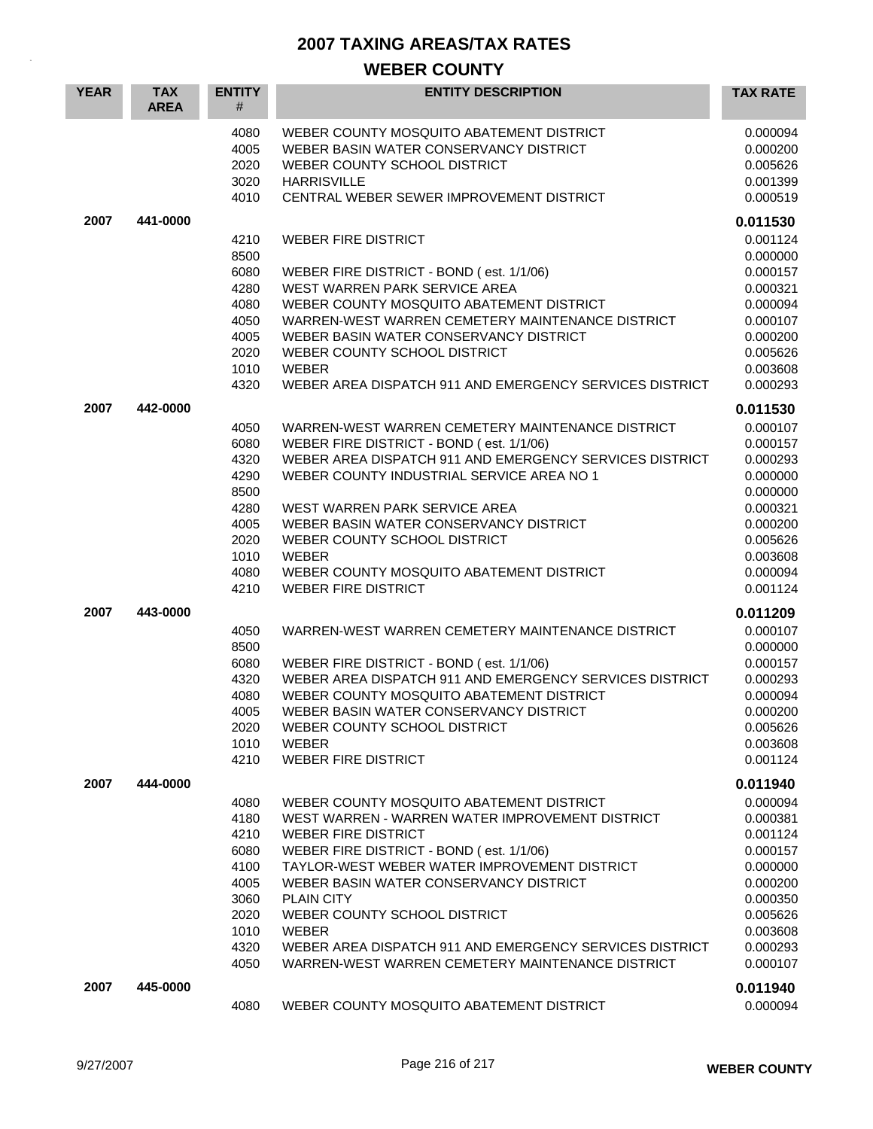| <b>YEAR</b> | <b>TAX</b><br><b>AREA</b> | <b>ENTITY</b><br>#                                                                   | <b>ENTITY DESCRIPTION</b>                                                                                                                                                                                                                                                                                                                                                                                                                           | <b>TAX RATE</b>                                                                                                                              |
|-------------|---------------------------|--------------------------------------------------------------------------------------|-----------------------------------------------------------------------------------------------------------------------------------------------------------------------------------------------------------------------------------------------------------------------------------------------------------------------------------------------------------------------------------------------------------------------------------------------------|----------------------------------------------------------------------------------------------------------------------------------------------|
|             |                           | 4080<br>4005<br>2020<br>3020<br>4010                                                 | WEBER COUNTY MOSQUITO ABATEMENT DISTRICT<br>WEBER BASIN WATER CONSERVANCY DISTRICT<br>WEBER COUNTY SCHOOL DISTRICT<br><b>HARRISVILLE</b><br>CENTRAL WEBER SEWER IMPROVEMENT DISTRICT                                                                                                                                                                                                                                                                | 0.000094<br>0.000200<br>0.005626<br>0.001399<br>0.000519                                                                                     |
| 2007        | 441-0000                  |                                                                                      |                                                                                                                                                                                                                                                                                                                                                                                                                                                     | 0.011530                                                                                                                                     |
|             |                           | 4210<br>8500<br>6080<br>4280<br>4080<br>4050<br>4005<br>2020<br>1010<br>4320         | <b>WEBER FIRE DISTRICT</b><br>WEBER FIRE DISTRICT - BOND (est. 1/1/06)<br>WEST WARREN PARK SERVICE AREA<br>WEBER COUNTY MOSQUITO ABATEMENT DISTRICT<br>WARREN-WEST WARREN CEMETERY MAINTENANCE DISTRICT<br>WEBER BASIN WATER CONSERVANCY DISTRICT<br>WEBER COUNTY SCHOOL DISTRICT<br><b>WEBER</b><br>WEBER AREA DISPATCH 911 AND EMERGENCY SERVICES DISTRICT                                                                                        | 0.001124<br>0.000000<br>0.000157<br>0.000321<br>0.000094<br>0.000107<br>0.000200<br>0.005626<br>0.003608<br>0.000293                         |
| 2007        | 442-0000                  | 4050<br>6080<br>4320<br>4290<br>8500<br>4280<br>4005<br>2020<br>1010<br>4080<br>4210 | WARREN-WEST WARREN CEMETERY MAINTENANCE DISTRICT<br>WEBER FIRE DISTRICT - BOND (est. 1/1/06)<br>WEBER AREA DISPATCH 911 AND EMERGENCY SERVICES DISTRICT<br>WEBER COUNTY INDUSTRIAL SERVICE AREA NO 1<br>WEST WARREN PARK SERVICE AREA<br>WEBER BASIN WATER CONSERVANCY DISTRICT<br>WEBER COUNTY SCHOOL DISTRICT<br><b>WEBER</b><br>WEBER COUNTY MOSQUITO ABATEMENT DISTRICT<br><b>WEBER FIRE DISTRICT</b>                                           | 0.011530<br>0.000107<br>0.000157<br>0.000293<br>0.000000<br>0.000000<br>0.000321<br>0.000200<br>0.005626<br>0.003608<br>0.000094<br>0.001124 |
| 2007        | 443-0000                  | 4050<br>8500<br>6080<br>4320<br>4080<br>4005<br>2020<br>1010<br>4210                 | WARREN-WEST WARREN CEMETERY MAINTENANCE DISTRICT<br>WEBER FIRE DISTRICT - BOND (est. 1/1/06)<br>WEBER AREA DISPATCH 911 AND EMERGENCY SERVICES DISTRICT<br>WEBER COUNTY MOSQUITO ABATEMENT DISTRICT<br>WEBER BASIN WATER CONSERVANCY DISTRICT<br>WEBER COUNTY SCHOOL DISTRICT<br><b>WEBER</b><br><b>WEBER FIRE DISTRICT</b>                                                                                                                         | 0.011209<br>0.000107<br>0.000000<br>0.000157<br>0.000293<br>0.000094<br>0.000200<br>0.005626<br>0.003608<br>0.001124                         |
| 2007        | 444-0000                  | 4080<br>4180<br>4210<br>6080<br>4100<br>4005<br>3060<br>2020<br>1010<br>4320<br>4050 | WEBER COUNTY MOSQUITO ABATEMENT DISTRICT<br>WEST WARREN - WARREN WATER IMPROVEMENT DISTRICT<br><b>WEBER FIRE DISTRICT</b><br>WEBER FIRE DISTRICT - BOND (est. 1/1/06)<br>TAYLOR-WEST WEBER WATER IMPROVEMENT DISTRICT<br>WEBER BASIN WATER CONSERVANCY DISTRICT<br><b>PLAIN CITY</b><br>WEBER COUNTY SCHOOL DISTRICT<br><b>WEBER</b><br>WEBER AREA DISPATCH 911 AND EMERGENCY SERVICES DISTRICT<br>WARREN-WEST WARREN CEMETERY MAINTENANCE DISTRICT | 0.011940<br>0.000094<br>0.000381<br>0.001124<br>0.000157<br>0.000000<br>0.000200<br>0.000350<br>0.005626<br>0.003608<br>0.000293<br>0.000107 |
| 2007        | 445-0000                  | 4080                                                                                 | WEBER COUNTY MOSQUITO ABATEMENT DISTRICT                                                                                                                                                                                                                                                                                                                                                                                                            | 0.011940<br>0.000094                                                                                                                         |